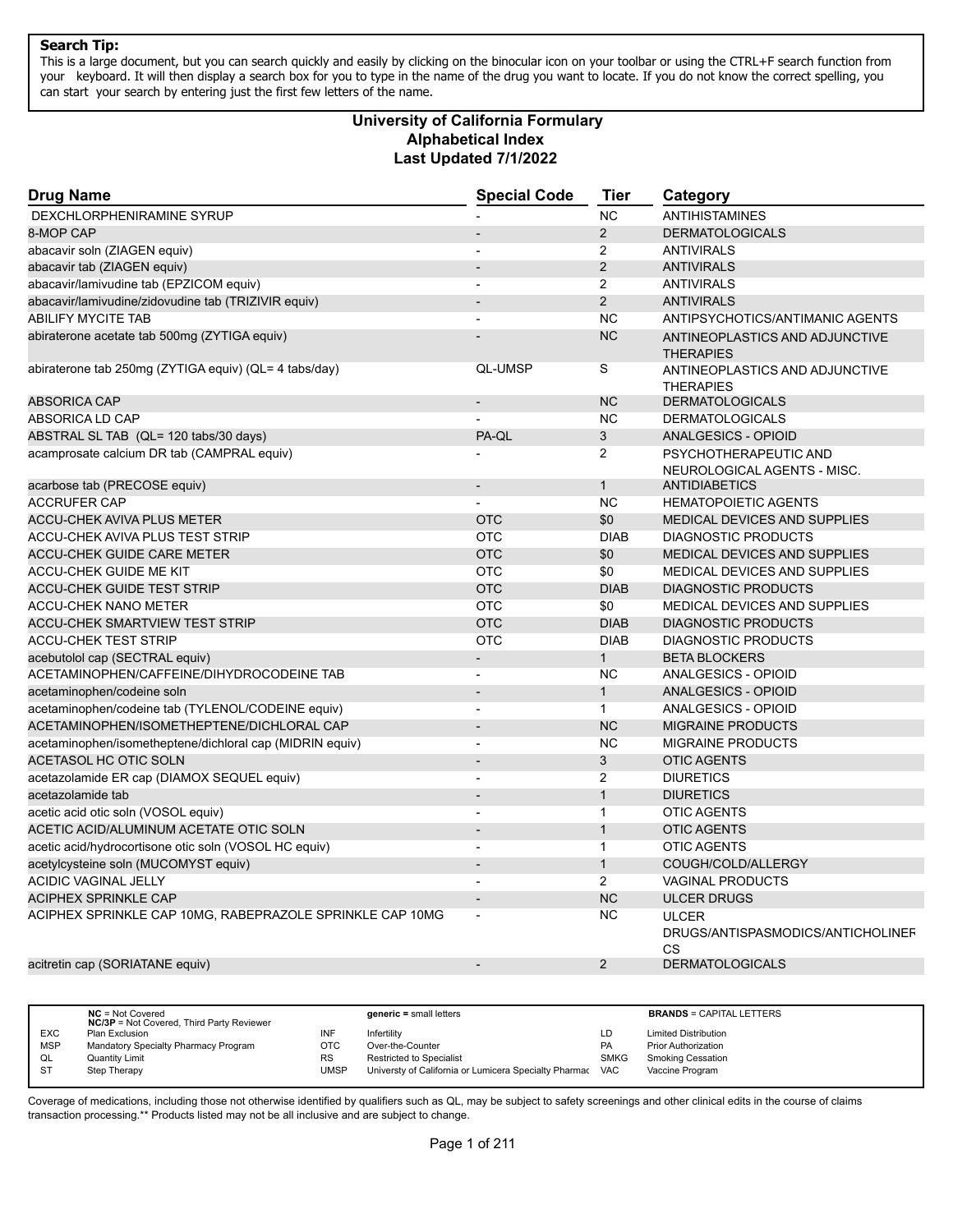This is a large document, but you can search quickly and easily by clicking on the binocular icon on your toolbar or using the CTRL+F search function from your keyboard. It will then display a search box for you to type in the name of the drug you want to locate. If you do not know the correct spelling, you can start your search by entering just the first few letters of the name.

# **Alphabetical Index Last Updated 7/1/2022 University of California Formulary**

| <b>Drug Name</b>                                         | <b>Special Code</b>      | <b>Tier</b>    | Category                                                |
|----------------------------------------------------------|--------------------------|----------------|---------------------------------------------------------|
| DEXCHLORPHENIRAMINE SYRUP                                |                          | <b>NC</b>      | <b>ANTIHISTAMINES</b>                                   |
| 8-MOP CAP                                                |                          | $\overline{2}$ | <b>DERMATOLOGICALS</b>                                  |
| abacavir soln (ZIAGEN equiv)                             | $\overline{\phantom{a}}$ | $\overline{2}$ | <b>ANTIVIRALS</b>                                       |
| abacavir tab (ZIAGEN equiv)                              |                          | 2              | <b>ANTIVIRALS</b>                                       |
| abacavir/lamivudine tab (EPZICOM equiv)                  | $\overline{a}$           | $\overline{2}$ | <b>ANTIVIRALS</b>                                       |
| abacavir/lamivudine/zidovudine tab (TRIZIVIR equiv)      |                          | $\overline{2}$ | <b>ANTIVIRALS</b>                                       |
| <b>ABILIFY MYCITE TAB</b>                                |                          | <b>NC</b>      | ANTIPSYCHOTICS/ANTIMANIC AGENTS                         |
| abiraterone acetate tab 500mg (ZYTIGA equiv)             |                          | <b>NC</b>      | ANTINEOPLASTICS AND ADJUNCTIVE<br><b>THERAPIES</b>      |
| abiraterone tab 250mg (ZYTIGA equiv) (QL= 4 tabs/day)    | <b>QL-UMSP</b>           | S              | ANTINEOPLASTICS AND ADJUNCTIVE<br><b>THERAPIES</b>      |
| <b>ABSORICA CAP</b>                                      |                          | <b>NC</b>      | <b>DERMATOLOGICALS</b>                                  |
| ABSORICA LD CAP                                          |                          | <b>NC</b>      | <b>DERMATOLOGICALS</b>                                  |
| ABSTRAL SL TAB (QL= 120 tabs/30 days)                    | PA-QL                    | 3              | <b>ANALGESICS - OPIOID</b>                              |
| acamprosate calcium DR tab (CAMPRAL equiv)               |                          | 2              | PSYCHOTHERAPEUTIC AND<br>NEUROLOGICAL AGENTS - MISC.    |
| acarbose tab (PRECOSE equiv)                             | $\overline{a}$           | $\mathbf{1}$   | <b>ANTIDIABETICS</b>                                    |
| <b>ACCRUFER CAP</b>                                      |                          | <b>NC</b>      | <b>HEMATOPOIETIC AGENTS</b>                             |
| <b>ACCU-CHEK AVIVA PLUS METER</b>                        | <b>OTC</b>               | \$0            | MEDICAL DEVICES AND SUPPLIES                            |
| ACCU-CHEK AVIVA PLUS TEST STRIP                          | <b>OTC</b>               | <b>DIAB</b>    | <b>DIAGNOSTIC PRODUCTS</b>                              |
| <b>ACCU-CHEK GUIDE CARE METER</b>                        | <b>OTC</b>               | \$0            | MEDICAL DEVICES AND SUPPLIES                            |
| <b>ACCU-CHEK GUIDE ME KIT</b>                            | <b>OTC</b>               | \$0            | MEDICAL DEVICES AND SUPPLIES                            |
| ACCU-CHEK GUIDE TEST STRIP                               | <b>OTC</b>               | <b>DIAB</b>    | <b>DIAGNOSTIC PRODUCTS</b>                              |
| <b>ACCU-CHEK NANO METER</b>                              | <b>OTC</b>               | \$0            | <b>MEDICAL DEVICES AND SUPPLIES</b>                     |
| <b>ACCU-CHEK SMARTVIEW TEST STRIP</b>                    | <b>OTC</b>               | <b>DIAB</b>    | <b>DIAGNOSTIC PRODUCTS</b>                              |
| ACCU-CHEK TEST STRIP                                     | <b>OTC</b>               | <b>DIAB</b>    | <b>DIAGNOSTIC PRODUCTS</b>                              |
| acebutolol cap (SECTRAL equiv)                           |                          | $\mathbf{1}$   | <b>BETA BLOCKERS</b>                                    |
| ACETAMINOPHEN/CAFFEINE/DIHYDROCODEINE TAB                | ÷                        | <b>NC</b>      | ANALGESICS - OPIOID                                     |
| acetaminophen/codeine soln                               |                          | $\mathbf{1}$   | <b>ANALGESICS - OPIOID</b>                              |
| acetaminophen/codeine tab (TYLENOL/CODEINE equiv)        | $\overline{\phantom{a}}$ | $\mathbf{1}$   | ANALGESICS - OPIOID                                     |
| ACETAMINOPHEN/ISOMETHEPTENE/DICHLORAL CAP                |                          | <b>NC</b>      | <b>MIGRAINE PRODUCTS</b>                                |
| acetaminophen/isometheptene/dichloral cap (MIDRIN equiv) | $\overline{a}$           | <b>NC</b>      | MIGRAINE PRODUCTS                                       |
| ACETASOL HC OTIC SOLN                                    |                          | $\sqrt{3}$     | <b>OTIC AGENTS</b>                                      |
| acetazolamide ER cap (DIAMOX SEQUEL equiv)               | $\overline{\phantom{a}}$ | 2              | <b>DIURETICS</b>                                        |
| acetazolamide tab                                        | $\overline{a}$           | $\mathbf{1}$   | <b>DIURETICS</b>                                        |
| acetic acid otic soln (VOSOL equiv)                      | ÷                        | $\mathbf{1}$   | <b>OTIC AGENTS</b>                                      |
| ACETIC ACID/ALUMINUM ACETATE OTIC SOLN                   |                          | $\mathbf{1}$   | <b>OTIC AGENTS</b>                                      |
| acetic acid/hydrocortisone otic soln (VOSOL HC equiv)    | L,                       | $\mathbf{1}$   | <b>OTIC AGENTS</b>                                      |
| acetylcysteine soln (MUCOMYST equiv)                     |                          | $\mathbf{1}$   | COUGH/COLD/ALLERGY                                      |
| <b>ACIDIC VAGINAL JELLY</b>                              |                          | 2              | <b>VAGINAL PRODUCTS</b>                                 |
| <b>ACIPHEX SPRINKLE CAP</b>                              | $\overline{a}$           | <b>NC</b>      | <b>ULCER DRUGS</b>                                      |
| ACIPHEX SPRINKLE CAP 10MG, RABEPRAZOLE SPRINKLE CAP 10MG |                          | <b>NC</b>      | <b>ULCER</b><br>DRUGS/ANTISPASMODICS/ANTICHOLINEF<br>CS |
| acitretin cap (SORIATANE equiv)                          |                          | 2              | <b>DERMATOLOGICALS</b>                                  |
|                                                          |                          |                |                                                         |

|            | $NC = Not Covered$<br><b>NC/3P</b> = Not Covered, Third Party Reviewer |             | $generic = small letters$                             |             | <b>BRANDS = CAPITAL LETTERS</b> |
|------------|------------------------------------------------------------------------|-------------|-------------------------------------------------------|-------------|---------------------------------|
| <b>EXC</b> | Plan Exclusion                                                         | INF         | Infertility                                           | LD          | <b>Limited Distribution</b>     |
| <b>MSP</b> | Mandatory Specialty Pharmacy Program                                   | OTC         | Over-the-Counter                                      | <b>PA</b>   | <b>Prior Authorization</b>      |
| QL         | Quantity Limit                                                         | <b>RS</b>   | <b>Restricted to Specialist</b>                       | <b>SMKG</b> | <b>Smoking Cessation</b>        |
| S1         | Step Therapy                                                           | <b>UMSP</b> | Universty of California or Lumicera Specialty Pharmac | <b>VAC</b>  | Vaccine Program                 |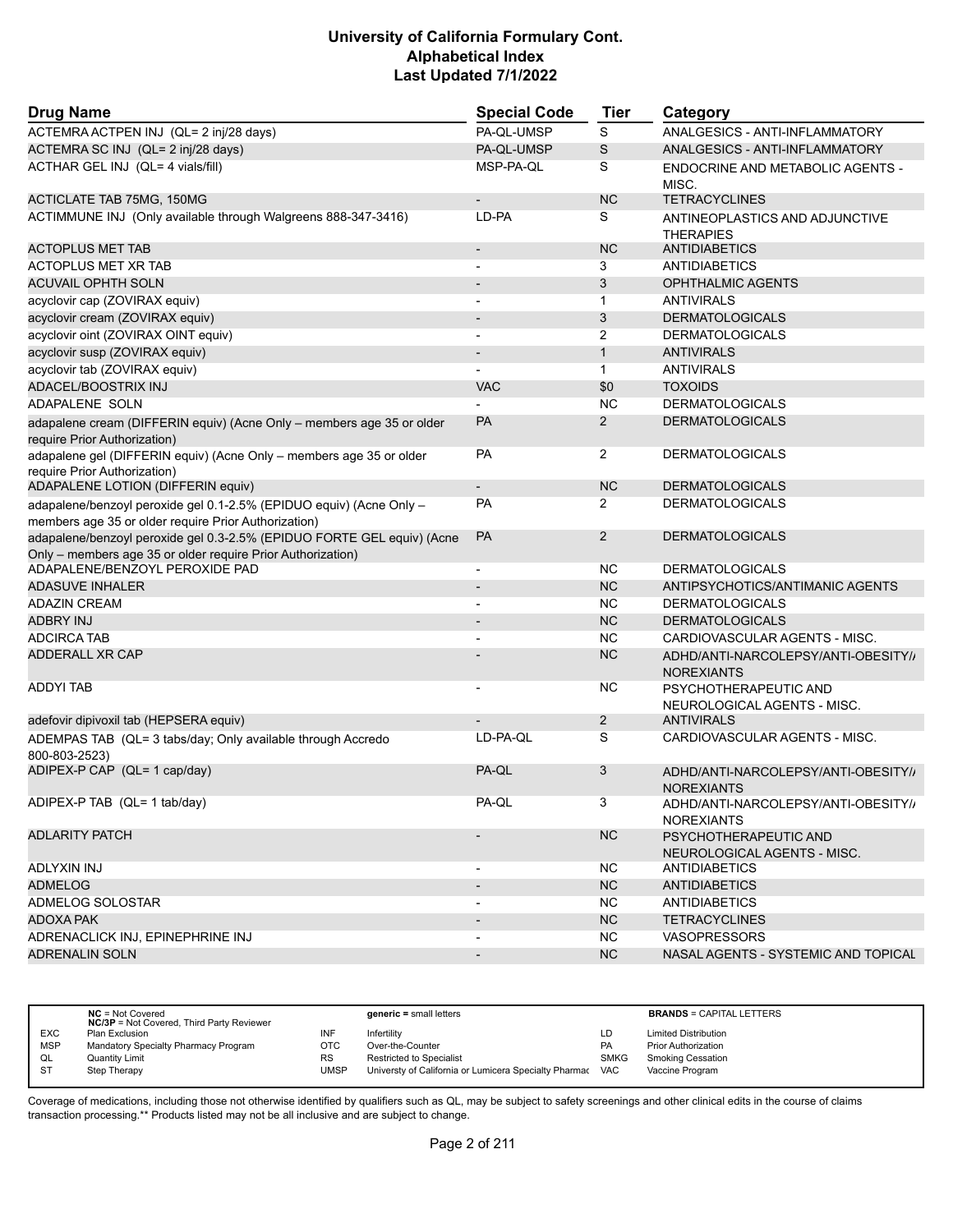| <b>Drug Name</b>                                                                                                                      | <b>Special Code</b>      | <b>Tier</b>    | Category                                                 |
|---------------------------------------------------------------------------------------------------------------------------------------|--------------------------|----------------|----------------------------------------------------------|
| ACTEMRA ACTPEN INJ (QL= 2 inj/28 days)                                                                                                | PA-QL-UMSP               | S              | ANALGESICS - ANTI-INFLAMMATORY                           |
| ACTEMRA SC INJ (QL= 2 inj/28 days)                                                                                                    | PA-QL-UMSP               | S              | ANALGESICS - ANTI-INFLAMMATORY                           |
| ACTHAR GEL INJ (QL= 4 vials/fill)                                                                                                     | MSP-PA-QL                | S              | ENDOCRINE AND METABOLIC AGENTS -<br>MISC.                |
| <b>ACTICLATE TAB 75MG, 150MG</b>                                                                                                      |                          | <b>NC</b>      | <b>TETRACYCLINES</b>                                     |
| ACTIMMUNE INJ (Only available through Walgreens 888-347-3416)                                                                         | LD-PA                    | S              | ANTINEOPLASTICS AND ADJUNCTIVE<br><b>THERAPIES</b>       |
| <b>ACTOPLUS MET TAB</b>                                                                                                               | $\overline{\phantom{a}}$ | <b>NC</b>      | <b>ANTIDIABETICS</b>                                     |
| <b>ACTOPLUS MET XR TAB</b>                                                                                                            |                          | 3              | <b>ANTIDIABETICS</b>                                     |
| <b>ACUVAIL OPHTH SOLN</b>                                                                                                             |                          | 3              | <b>OPHTHALMIC AGENTS</b>                                 |
| acyclovir cap (ZOVIRAX equiv)                                                                                                         | $\overline{\phantom{a}}$ | 1              | <b>ANTIVIRALS</b>                                        |
| acyclovir cream (ZOVIRAX equiv)                                                                                                       |                          | 3              | <b>DERMATOLOGICALS</b>                                   |
| acyclovir oint (ZOVIRAX OINT equiv)                                                                                                   |                          | 2              | <b>DERMATOLOGICALS</b>                                   |
| acyclovir susp (ZOVIRAX equiv)                                                                                                        | $\blacksquare$           | $\mathbf{1}$   | <b>ANTIVIRALS</b>                                        |
| acyclovir tab (ZOVIRAX equiv)                                                                                                         |                          | $\mathbf{1}$   | <b>ANTIVIRALS</b>                                        |
| ADACEL/BOOSTRIX INJ                                                                                                                   | <b>VAC</b>               | \$0            | <b>TOXOIDS</b>                                           |
| ADAPALENE SOLN                                                                                                                        |                          | <b>NC</b>      | <b>DERMATOLOGICALS</b>                                   |
| adapalene cream (DIFFERIN equiv) (Acne Only - members age 35 or older<br>require Prior Authorization)                                 | PA                       | $\overline{2}$ | <b>DERMATOLOGICALS</b>                                   |
| adapalene gel (DIFFERIN equiv) (Acne Only - members age 35 or older<br>require Prior Authorization)                                   | PA                       | $\overline{2}$ | <b>DERMATOLOGICALS</b>                                   |
| ADAPALENE LOTION (DIFFERIN equiv)                                                                                                     |                          | <b>NC</b>      | <b>DERMATOLOGICALS</b>                                   |
| adapalene/benzoyl peroxide gel 0.1-2.5% (EPIDUO equiv) (Acne Only -<br>members age 35 or older require Prior Authorization)           | <b>PA</b>                | 2              | <b>DERMATOLOGICALS</b>                                   |
| adapalene/benzoyl peroxide gel 0.3-2.5% (EPIDUO FORTE GEL equiv) (Acne<br>Only - members age 35 or older require Prior Authorization) | PA                       | $\overline{2}$ | <b>DERMATOLOGICALS</b>                                   |
| ADAPALENE/BENZOYL PEROXIDE PAD                                                                                                        | $\blacksquare$           | <b>NC</b>      | <b>DERMATOLOGICALS</b>                                   |
| <b>ADASUVE INHALER</b>                                                                                                                | $\overline{\phantom{a}}$ | <b>NC</b>      | ANTIPSYCHOTICS/ANTIMANIC AGENTS                          |
| <b>ADAZIN CREAM</b>                                                                                                                   | $\blacksquare$           | <b>NC</b>      | <b>DERMATOLOGICALS</b>                                   |
| <b>ADBRY INJ</b>                                                                                                                      | $\overline{\phantom{a}}$ | <b>NC</b>      | <b>DERMATOLOGICALS</b>                                   |
| <b>ADCIRCA TAB</b>                                                                                                                    |                          | <b>NC</b>      | CARDIOVASCULAR AGENTS - MISC.                            |
| <b>ADDERALL XR CAP</b>                                                                                                                |                          | <b>NC</b>      | ADHD/ANTI-NARCOLEPSY/ANTI-OBESITY//<br><b>NOREXIANTS</b> |
| ADDYI TAB                                                                                                                             |                          | NC.            | PSYCHOTHERAPEUTIC AND<br>NEUROLOGICAL AGENTS - MISC.     |
| adefovir dipivoxil tab (HEPSERA equiv)                                                                                                |                          | 2              | <b>ANTIVIRALS</b>                                        |
| ADEMPAS TAB (QL= 3 tabs/day; Only available through Accredo<br>800-803-2523)                                                          | LD-PA-QL                 | S              | CARDIOVASCULAR AGENTS - MISC.                            |
| ADIPEX-P CAP (QL= 1 cap/day)                                                                                                          | PA-QL                    | 3              | ADHD/ANTI-NARCOLEPSY/ANTI-OBESITY//<br><b>NOREXIANTS</b> |
| ADIPEX-P TAB (QL= 1 tab/day)                                                                                                          | PA-QL                    | 3              | ADHD/ANTI-NARCOLEPSY/ANTI-OBESITY//<br><b>NOREXIANTS</b> |
| <b>ADLARITY PATCH</b>                                                                                                                 |                          | <b>NC</b>      | PSYCHOTHERAPEUTIC AND<br>NEUROLOGICAL AGENTS - MISC.     |
| ADLYXIN INJ                                                                                                                           | $\overline{\phantom{a}}$ | <b>NC</b>      | ANTIDIABETICS                                            |
| <b>ADMELOG</b>                                                                                                                        | $\blacksquare$           | <b>NC</b>      | ANTIDIABETICS                                            |
| ADMELOG SOLOSTAR                                                                                                                      | $\blacksquare$           | <b>NC</b>      | <b>ANTIDIABETICS</b>                                     |
| ADOXA PAK                                                                                                                             | $\overline{\phantom{a}}$ | <b>NC</b>      | <b>TETRACYCLINES</b>                                     |
| ADRENACLICK INJ, EPINEPHRINE INJ                                                                                                      |                          | <b>NC</b>      | <b>VASOPRESSORS</b>                                      |
| <b>ADRENALIN SOLN</b>                                                                                                                 | $\overline{\phantom{a}}$ | NC             | NASAL AGENTS - SYSTEMIC AND TOPICAL                      |
|                                                                                                                                       |                          |                |                                                          |

|            | $NC = Not Covered$<br><b>NC/3P</b> = Not Covered, Third Party Reviewer |      | <b>generic</b> = small letters                        |             | <b>BRANDS = CAPITAL LETTERS</b> |
|------------|------------------------------------------------------------------------|------|-------------------------------------------------------|-------------|---------------------------------|
| <b>EXC</b> | Plan Exclusion                                                         | INF  | Infertilitv                                           | LD          | <b>Limited Distribution</b>     |
| <b>MSP</b> | Mandatory Specialty Pharmacy Program                                   | отс  | Over-the-Counter                                      | <b>PA</b>   | <b>Prior Authorization</b>      |
| QL         | <b>Quantity Limit</b>                                                  | RS   | <b>Restricted to Specialist</b>                       | <b>SMKG</b> | <b>Smoking Cessation</b>        |
| -ST        | Step Therapy                                                           | UMSP | Universty of California or Lumicera Specialty Pharmac | <b>VAC</b>  | Vaccine Program                 |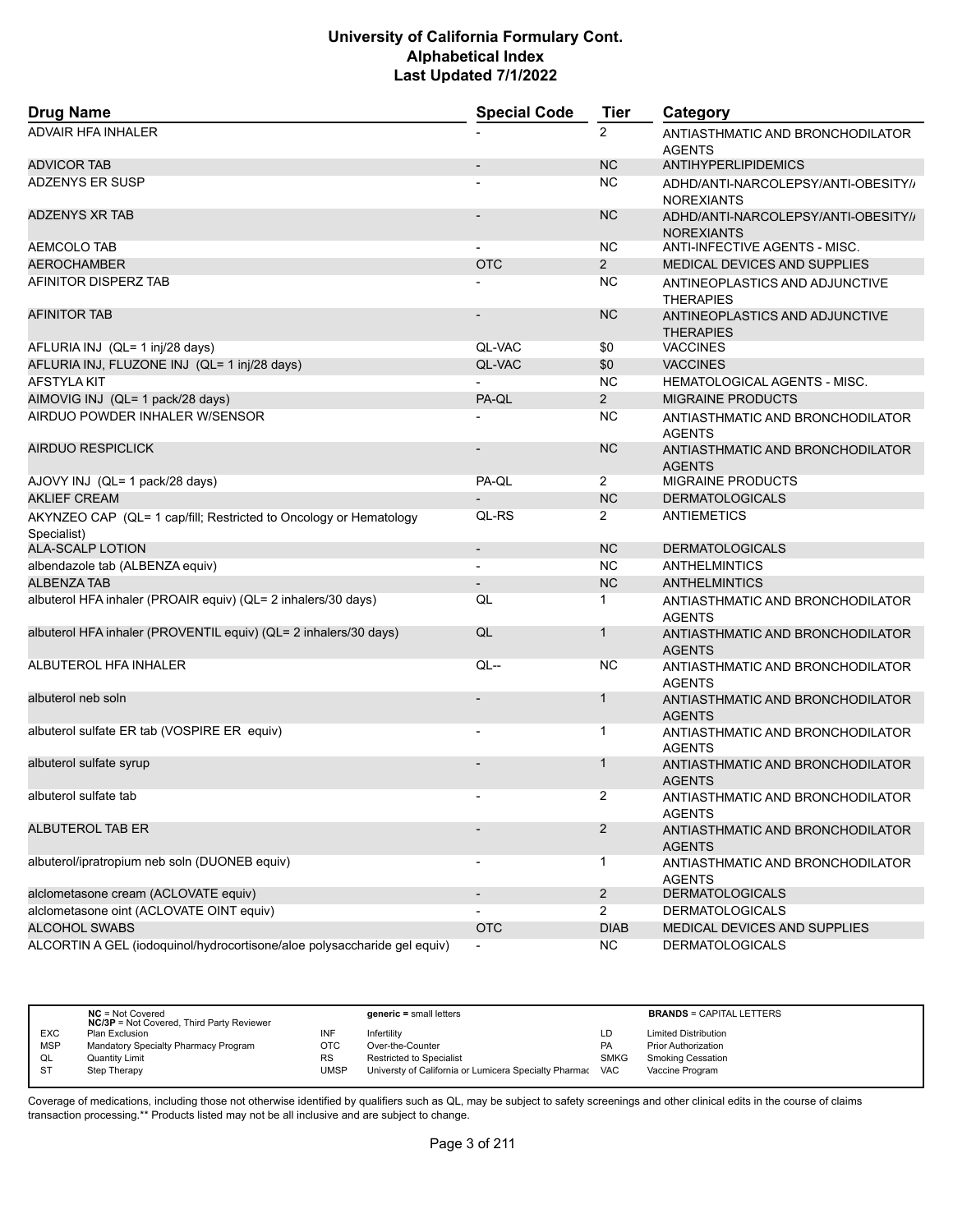| <b>Drug Name</b>                                                                 | <b>Special Code</b>      | <b>Tier</b>          | Category                                                 |
|----------------------------------------------------------------------------------|--------------------------|----------------------|----------------------------------------------------------|
| <b>ADVAIR HFA INHALER</b>                                                        |                          | $\overline{2}$       | ANTIASTHMATIC AND BRONCHODILATOR<br><b>AGENTS</b>        |
| <b>ADVICOR TAB</b>                                                               |                          | <b>NC</b>            | ANTIHYPERLIPIDEMICS                                      |
| <b>ADZENYS ER SUSP</b>                                                           |                          | <b>NC</b>            | ADHD/ANTI-NARCOLEPSY/ANTI-OBESITY//<br><b>NOREXIANTS</b> |
| <b>ADZENYS XR TAB</b>                                                            |                          | <b>NC</b>            | ADHD/ANTI-NARCOLEPSY/ANTI-OBESITY//<br><b>NOREXIANTS</b> |
| AEMCOLO TAB                                                                      |                          | NC.                  | ANTI-INFECTIVE AGENTS - MISC.                            |
| <b>AEROCHAMBER</b>                                                               | <b>OTC</b>               | $\overline{2}$       | MEDICAL DEVICES AND SUPPLIES                             |
| AFINITOR DISPERZ TAB                                                             |                          | <b>NC</b>            | ANTINEOPLASTICS AND ADJUNCTIVE<br><b>THERAPIES</b>       |
| <b>AFINITOR TAB</b>                                                              |                          | <b>NC</b>            | ANTINEOPLASTICS AND ADJUNCTIVE<br><b>THERAPIES</b>       |
| AFLURIA INJ (QL= 1 inj/28 days)                                                  | QL-VAC                   | \$0                  | <b>VACCINES</b>                                          |
| AFLURIA INJ, FLUZONE INJ (QL= 1 inj/28 days)                                     | QL-VAC                   | \$0                  | <b>VACCINES</b>                                          |
| <b>AFSTYLA KIT</b>                                                               |                          | <b>NC</b>            | <b>HEMATOLOGICAL AGENTS - MISC.</b>                      |
| AIMOVIG INJ (QL= 1 pack/28 days)                                                 | PA-QL                    | $\overline{2}$       | <b>MIGRAINE PRODUCTS</b>                                 |
| AIRDUO POWDER INHALER W/SENSOR                                                   |                          | NC.                  | ANTIASTHMATIC AND BRONCHODILATOR<br><b>AGENTS</b>        |
| <b>AIRDUO RESPICLICK</b>                                                         |                          | <b>NC</b>            | ANTIASTHMATIC AND BRONCHODILATOR<br><b>AGENTS</b>        |
| AJOVY INJ (QL= 1 pack/28 days)                                                   | PA-QL                    | $\mathbf{2}^{\circ}$ | <b>MIGRAINE PRODUCTS</b>                                 |
| <b>AKLIEF CREAM</b>                                                              |                          | <b>NC</b>            | <b>DERMATOLOGICALS</b>                                   |
| AKYNZEO CAP (QL= 1 cap/fill; Restricted to Oncology or Hematology<br>Specialist) | QL-RS                    | $\overline{2}$       | <b>ANTIEMETICS</b>                                       |
| ALA-SCALP LOTION                                                                 | $\overline{\phantom{a}}$ | <b>NC</b>            | <b>DERMATOLOGICALS</b>                                   |
| albendazole tab (ALBENZA equiv)                                                  | $\blacksquare$           | <b>NC</b>            | <b>ANTHELMINTICS</b>                                     |
| <b>ALBENZA TAB</b>                                                               |                          | <b>NC</b>            | <b>ANTHELMINTICS</b>                                     |
| albuterol HFA inhaler (PROAIR equiv) (QL= 2 inhalers/30 days)                    | QL                       | 1                    | ANTIASTHMATIC AND BRONCHODILATOR<br><b>AGENTS</b>        |
| albuterol HFA inhaler (PROVENTIL equiv) (QL= 2 inhalers/30 days)                 | QL                       | 1                    | ANTIASTHMATIC AND BRONCHODILATOR<br><b>AGENTS</b>        |
| ALBUTEROL HFA INHALER                                                            | QL--                     | <b>NC</b>            | ANTIASTHMATIC AND BRONCHODILATOR<br><b>AGENTS</b>        |
| albuterol neb soln                                                               |                          | 1                    | ANTIASTHMATIC AND BRONCHODILATOR<br><b>AGENTS</b>        |
| albuterol sulfate ER tab (VOSPIRE ER equiv)                                      |                          | 1                    | ANTIASTHMATIC AND BRONCHODILATOR<br><b>AGENTS</b>        |
| albuterol sulfate syrup                                                          |                          | 1                    | ANTIASTHMATIC AND BRONCHODILATOR<br><b>AGENTS</b>        |
| albuterol sulfate tab                                                            |                          | 2                    | ANTIASTHMATIC AND BRONCHODILATOR<br><b>AGENTS</b>        |
| ALBUTEROL TAB ER                                                                 |                          | $\overline{2}$       | ANTIASTHMATIC AND BRONCHODILATOR<br><b>AGENTS</b>        |
| albuterol/ipratropium neb soln (DUONEB equiv)                                    |                          | $\mathbf{1}$         | ANTIASTHMATIC AND BRONCHODILATOR<br><b>AGENTS</b>        |
| alclometasone cream (ACLOVATE equiv)                                             | $\overline{\phantom{a}}$ | $\overline{2}$       | <b>DERMATOLOGICALS</b>                                   |
| alclometasone oint (ACLOVATE OINT equiv)                                         |                          | $\overline{2}$       | <b>DERMATOLOGICALS</b>                                   |
| <b>ALCOHOL SWABS</b>                                                             | <b>OTC</b>               | <b>DIAB</b>          | MEDICAL DEVICES AND SUPPLIES                             |
| ALCORTIN A GEL (iodoquinol/hydrocortisone/aloe polysaccharide gel equiv)         |                          | <b>NC</b>            | <b>DERMATOLOGICALS</b>                                   |

|            | $NC = Not Covered$<br><b>NC/3P</b> = Not Covered, Third Party Reviewer |           | $generic = small letters$                             |             | <b>BRANDS = CAPITAL LETTERS</b> |
|------------|------------------------------------------------------------------------|-----------|-------------------------------------------------------|-------------|---------------------------------|
| <b>EXC</b> | Plan Exclusion                                                         | INF       | Infertility                                           | LD          | <b>Limited Distribution</b>     |
| <b>MSP</b> | Mandatory Specialty Pharmacy Program                                   | отс       | Over-the-Counter                                      | <b>PA</b>   | <b>Prior Authorization</b>      |
| QL         | <b>Quantity Limit</b>                                                  | <b>RS</b> | <b>Restricted to Specialist</b>                       | <b>SMKG</b> | <b>Smoking Cessation</b>        |
| <b>ST</b>  | Step Therapy                                                           | UMSP      | Universty of California or Lumicera Specialty Pharmac | <b>VAC</b>  | Vaccine Program                 |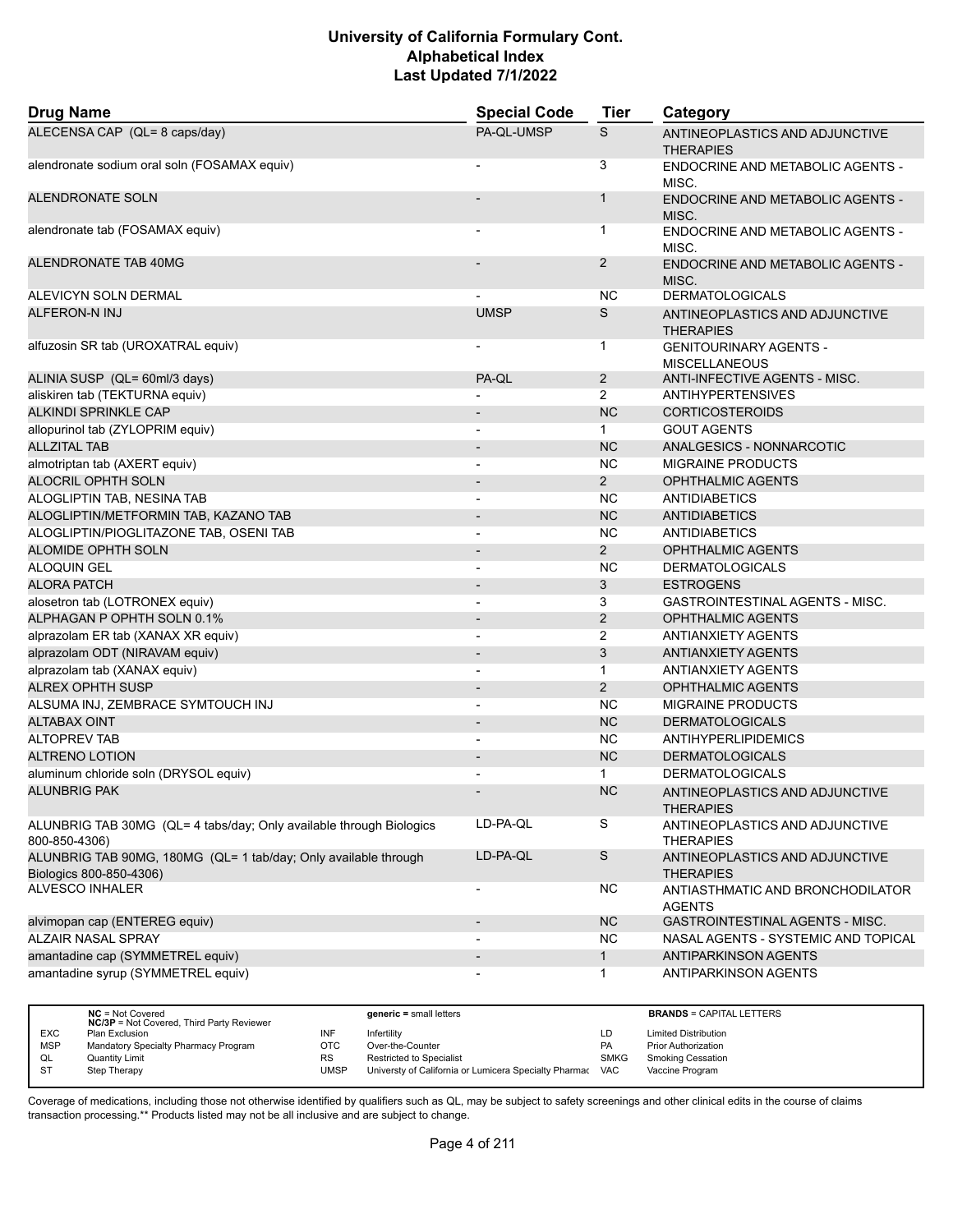| <b>Drug Name</b>                                                                           | <b>Special Code</b>      | <b>Tier</b>    | Category                                              |
|--------------------------------------------------------------------------------------------|--------------------------|----------------|-------------------------------------------------------|
| ALECENSA CAP (QL= 8 caps/day)                                                              | PA-QL-UMSP               | S              | ANTINEOPLASTICS AND ADJUNCTIVE<br><b>THERAPIES</b>    |
| alendronate sodium oral soln (FOSAMAX equiv)                                               |                          | 3              | ENDOCRINE AND METABOLIC AGENTS -<br>MISC.             |
| <b>ALENDRONATE SOLN</b>                                                                    |                          | $\mathbf{1}$   | ENDOCRINE AND METABOLIC AGENTS -<br>MISC.             |
| alendronate tab (FOSAMAX equiv)                                                            |                          | 1              | <b>ENDOCRINE AND METABOLIC AGENTS -</b><br>MISC.      |
| ALENDRONATE TAB 40MG                                                                       |                          | $\overline{2}$ | <b>ENDOCRINE AND METABOLIC AGENTS -</b><br>MISC.      |
| ALEVICYN SOLN DERMAL                                                                       |                          | NC.            | <b>DERMATOLOGICALS</b>                                |
| <b>ALFERON-N INJ</b>                                                                       | <b>UMSP</b>              | S              | ANTINEOPLASTICS AND ADJUNCTIVE<br><b>THERAPIES</b>    |
| alfuzosin SR tab (UROXATRAL equiv)                                                         |                          | 1              | <b>GENITOURINARY AGENTS -</b><br><b>MISCELLANEOUS</b> |
| ALINIA SUSP (QL= 60ml/3 days)                                                              | PA-QL                    | $\overline{2}$ | ANTI-INFECTIVE AGENTS - MISC.                         |
| aliskiren tab (TEKTURNA equiv)                                                             |                          | $\overline{2}$ | <b>ANTIHYPERTENSIVES</b>                              |
| <b>ALKINDI SPRINKLE CAP</b>                                                                |                          | <b>NC</b>      | <b>CORTICOSTEROIDS</b>                                |
| allopurinol tab (ZYLOPRIM equiv)                                                           |                          | $\mathbf{1}$   | <b>GOUT AGENTS</b>                                    |
| <b>ALLZITAL TAB</b>                                                                        | $\overline{a}$           | <b>NC</b>      | ANALGESICS - NONNARCOTIC                              |
| almotriptan tab (AXERT equiv)                                                              |                          | NC.            | <b>MIGRAINE PRODUCTS</b>                              |
| ALOCRIL OPHTH SOLN                                                                         |                          | $2^{\circ}$    | <b>OPHTHALMIC AGENTS</b>                              |
| ALOGLIPTIN TAB, NESINA TAB                                                                 | $\blacksquare$           | NC.            | <b>ANTIDIABETICS</b>                                  |
| ALOGLIPTIN/METFORMIN TAB, KAZANO TAB                                                       |                          | <b>NC</b>      | <b>ANTIDIABETICS</b>                                  |
| ALOGLIPTIN/PIOGLITAZONE TAB, OSENI TAB                                                     | $\blacksquare$           | <b>NC</b>      | <b>ANTIDIABETICS</b>                                  |
| <b>ALOMIDE OPHTH SOLN</b>                                                                  | $\overline{\phantom{a}}$ | 2 <sup>1</sup> | <b>OPHTHALMIC AGENTS</b>                              |
| <b>ALOQUIN GEL</b>                                                                         | $\blacksquare$           | NC.            | <b>DERMATOLOGICALS</b>                                |
|                                                                                            |                          |                |                                                       |
| <b>ALORA PATCH</b>                                                                         | $\overline{\phantom{a}}$ | 3              | <b>ESTROGENS</b>                                      |
| alosetron tab (LOTRONEX equiv)                                                             |                          | 3              | <b>GASTROINTESTINAL AGENTS - MISC.</b>                |
| ALPHAGAN P OPHTH SOLN 0.1%                                                                 | $\overline{\phantom{a}}$ | $\overline{2}$ | <b>OPHTHALMIC AGENTS</b>                              |
| alprazolam ER tab (XANAX XR equiv)                                                         | $\overline{\phantom{a}}$ | 2              | <b>ANTIANXIETY AGENTS</b>                             |
| alprazolam ODT (NIRAVAM equiv)                                                             |                          | 3              | <b>ANTIANXIETY AGENTS</b>                             |
| alprazolam tab (XANAX equiv)                                                               | $\blacksquare$           | $\mathbf{1}$   | <b>ANTIANXIETY AGENTS</b>                             |
| <b>ALREX OPHTH SUSP</b>                                                                    |                          | 2              | <b>OPHTHALMIC AGENTS</b>                              |
| ALSUMA INJ, ZEMBRACE SYMTOUCH INJ                                                          |                          | <b>NC</b>      | <b>MIGRAINE PRODUCTS</b>                              |
| <b>ALTABAX OINT</b>                                                                        | $\overline{\phantom{a}}$ | <b>NC</b>      | <b>DERMATOLOGICALS</b>                                |
| <b>ALTOPREV TAB</b>                                                                        | $\overline{\phantom{a}}$ | NC.            | <b>ANTIHYPERLIPIDEMICS</b>                            |
| <b>ALTRENO LOTION</b>                                                                      |                          | NC             | <b>DERMATOLOGICALS</b>                                |
| aluminum chloride soln (DRYSOL equiv)                                                      |                          | $\mathbf{1}$   | <b>DERMATOLOGICALS</b>                                |
| <b>ALUNBRIG PAK</b>                                                                        |                          | <b>NC</b>      | ANTINEOPLASTICS AND ADJUNCTIVE<br><b>THERAPIES</b>    |
| ALUNBRIG TAB 30MG (QL= 4 tabs/day; Only available through Biologics<br>800-850-4306)       | LD-PA-QL                 | S              | ANTINEOPLASTICS AND ADJUNCTIVE<br><b>THERAPIES</b>    |
| ALUNBRIG TAB 90MG, 180MG (QL= 1 tab/day; Only available through<br>Biologics 800-850-4306) | LD-PA-QL                 | ${\mathsf S}$  | ANTINEOPLASTICS AND ADJUNCTIVE<br><b>THERAPIES</b>    |
| <b>ALVESCO INHALER</b>                                                                     | $\overline{a}$           | <b>NC</b>      | ANTIASTHMATIC AND BRONCHODILATOR<br><b>AGENTS</b>     |
| alvimopan cap (ENTEREG equiv)                                                              | $\overline{\phantom{a}}$ | <b>NC</b>      | GASTROINTESTINAL AGENTS - MISC.                       |
| <b>ALZAIR NASAL SPRAY</b>                                                                  |                          | <b>NC</b>      | NASAL AGENTS - SYSTEMIC AND TOPICAL                   |
| amantadine cap (SYMMETREL equiv)                                                           |                          | $\mathbf{1}$   | ANTIPARKINSON AGENTS                                  |
| amantadine syrup (SYMMETREL equiv)                                                         |                          | $\mathbf{1}$   | ANTIPARKINSON AGENTS                                  |

|            | $NC = Not Covered$<br><b>NC/3P</b> = Not Covered, Third Party Reviewer |             | $generic = small letters$                             |             | <b>BRANDS = CAPITAL LETTERS</b> |
|------------|------------------------------------------------------------------------|-------------|-------------------------------------------------------|-------------|---------------------------------|
| <b>EXC</b> | Plan Exclusion                                                         | INF         | Infertility                                           | LD          | <b>Limited Distribution</b>     |
| <b>MSP</b> | Mandatory Specialty Pharmacy Program                                   | ОТС         | Over-the-Counter                                      | <b>PA</b>   | <b>Prior Authorization</b>      |
| QL         | <b>Quantity Limit</b>                                                  | <b>RS</b>   | <b>Restricted to Specialist</b>                       | <b>SMKG</b> | <b>Smoking Cessation</b>        |
| -ST        | Step Therapy                                                           | <b>UMSP</b> | Universty of California or Lumicera Specialty Pharmac | VAC         | Vaccine Program                 |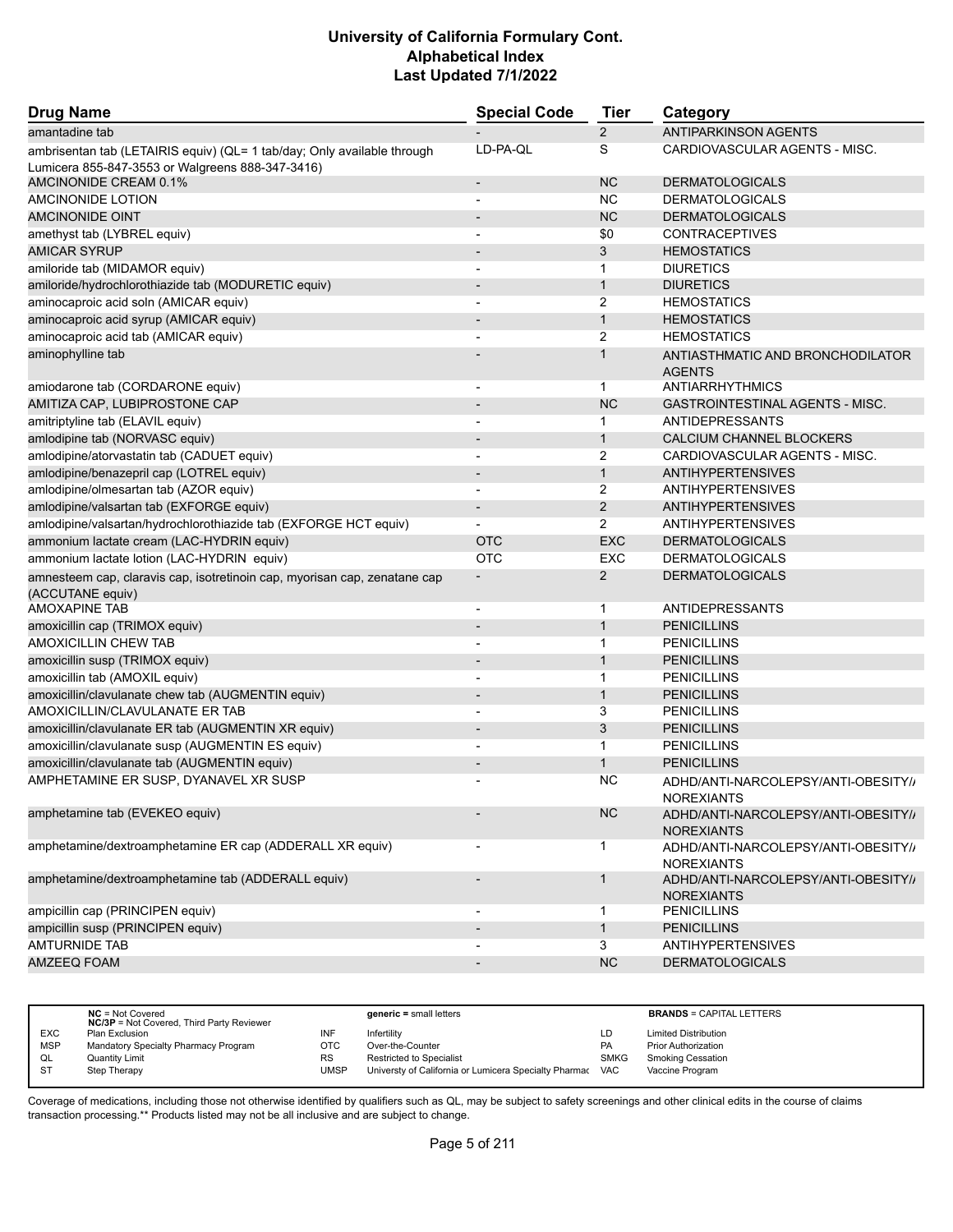| <b>Drug Name</b>                                                                              | <b>Special Code</b>          | <b>Tier</b>    | Category                                                 |
|-----------------------------------------------------------------------------------------------|------------------------------|----------------|----------------------------------------------------------|
| amantadine tab                                                                                |                              | $\overline{2}$ | <b>ANTIPARKINSON AGENTS</b>                              |
| ambrisentan tab (LETAIRIS equiv) (QL= 1 tab/day; Only available through                       | LD-PA-QL                     | S              | CARDIOVASCULAR AGENTS - MISC.                            |
| Lumicera 855-847-3553 or Walgreens 888-347-3416)<br>AMCINONIDE CREAM 0.1%                     |                              | <b>NC</b>      | <b>DERMATOLOGICALS</b>                                   |
| AMCINONIDE LOTION                                                                             | $\overline{\phantom{m}}$     | <b>NC</b>      | <b>DERMATOLOGICALS</b>                                   |
| AMCINONIDE OINT                                                                               |                              | <b>NC</b>      | <b>DERMATOLOGICALS</b>                                   |
|                                                                                               | $\overline{\phantom{a}}$     | \$0            | <b>CONTRACEPTIVES</b>                                    |
| amethyst tab (LYBREL equiv)<br>AMICAR SYRUP                                                   | $\overline{\phantom{m}}$     | 3              | <b>HEMOSTATICS</b>                                       |
| amiloride tab (MIDAMOR equiv)                                                                 |                              | 1              | <b>DIURETICS</b>                                         |
| amiloride/hydrochlorothiazide tab (MODURETIC equiv)                                           | $\qquad \qquad \blacksquare$ | $\mathbf{1}$   | <b>DIURETICS</b>                                         |
| aminocaproic acid soln (AMICAR equiv)                                                         |                              | 2              | <b>HEMOSTATICS</b>                                       |
| aminocaproic acid syrup (AMICAR equiv)                                                        |                              | $\mathbf{1}$   | <b>HEMOSTATICS</b>                                       |
| aminocaproic acid tab (AMICAR equiv)                                                          |                              | 2              | <b>HEMOSTATICS</b>                                       |
| aminophylline tab                                                                             |                              | $\mathbf{1}$   | ANTIASTHMATIC AND BRONCHODILATOR                         |
|                                                                                               |                              |                | <b>AGENTS</b>                                            |
| amiodarone tab (CORDARONE equiv)                                                              |                              | 1              | <b>ANTIARRHYTHMICS</b>                                   |
| AMITIZA CAP, LUBIPROSTONE CAP                                                                 |                              | <b>NC</b>      | <b>GASTROINTESTINAL AGENTS - MISC.</b>                   |
| amitriptyline tab (ELAVIL equiv)                                                              |                              | 1              | <b>ANTIDEPRESSANTS</b>                                   |
| amlodipine tab (NORVASC equiv)                                                                |                              | $\mathbf{1}$   | CALCIUM CHANNEL BLOCKERS                                 |
| amlodipine/atorvastatin tab (CADUET equiv)                                                    | $\overline{a}$               | 2              | CARDIOVASCULAR AGENTS - MISC.                            |
| amlodipine/benazepril cap (LOTREL equiv)                                                      | $\qquad \qquad \blacksquare$ | $\mathbf{1}$   | <b>ANTIHYPERTENSIVES</b>                                 |
| amlodipine/olmesartan tab (AZOR equiv)                                                        | $\overline{\phantom{0}}$     | 2              | <b>ANTIHYPERTENSIVES</b>                                 |
| amlodipine/valsartan tab (EXFORGE equiv)                                                      | $\qquad \qquad \blacksquare$ | 2              | <b>ANTIHYPERTENSIVES</b>                                 |
| amlodipine/valsartan/hydrochlorothiazide tab (EXFORGE HCT equiv)                              |                              | $\overline{2}$ | <b>ANTIHYPERTENSIVES</b>                                 |
| ammonium lactate cream (LAC-HYDRIN equiv)                                                     | <b>OTC</b>                   | <b>EXC</b>     | <b>DERMATOLOGICALS</b>                                   |
| ammonium lactate lotion (LAC-HYDRIN equiv)                                                    | OTC                          | EXC            | <b>DERMATOLOGICALS</b>                                   |
| amnesteem cap, claravis cap, isotretinoin cap, myorisan cap, zenatane cap<br>(ACCUTANE equiv) |                              | $\overline{2}$ | <b>DERMATOLOGICALS</b>                                   |
| <b>AMOXAPINE TAB</b>                                                                          |                              | 1              | <b>ANTIDEPRESSANTS</b>                                   |
| amoxicillin cap (TRIMOX equiv)                                                                | $\overline{\phantom{a}}$     | $\mathbf{1}$   | <b>PENICILLINS</b>                                       |
| AMOXICILLIN CHEW TAB                                                                          | $\overline{\phantom{a}}$     | 1              | <b>PENICILLINS</b>                                       |
| amoxicillin susp (TRIMOX equiv)                                                               |                              | $\mathbf{1}$   | <b>PENICILLINS</b>                                       |
| amoxicillin tab (AMOXIL equiv)                                                                | $\blacksquare$               | $\mathbf{1}$   | <b>PENICILLINS</b>                                       |
| amoxicillin/clavulanate chew tab (AUGMENTIN equiv)                                            | $\overline{\phantom{0}}$     | $\mathbf{1}$   | <b>PENICILLINS</b>                                       |
| AMOXICILLIN/CLAVULANATE ER TAB                                                                |                              | 3              | <b>PENICILLINS</b>                                       |
| amoxicillin/clavulanate ER tab (AUGMENTIN XR equiv)                                           | $\overline{\phantom{0}}$     | 3              | <b>PENICILLINS</b>                                       |
| amoxicillin/clavulanate susp (AUGMENTIN ES equiv)                                             |                              | 1              | <b>PENICILLINS</b>                                       |
| amoxicillin/clavulanate tab (AUGMENTIN equiv)                                                 |                              | 1              | <b>PENICILLINS</b>                                       |
| AMPHETAMINE ER SUSP, DYANAVEL XR SUSP                                                         |                              | <b>NC</b>      | ADHD/ANTI-NARCOLEPSY/ANTI-OBESITY//<br><b>NOREXIANTS</b> |
| amphetamine tab (EVEKEO equiv)                                                                | $\overline{\phantom{a}}$     | NC             | ADHD/ANTI-NARCOLEPSY/ANTI-OBESITY//<br><b>NOREXIANTS</b> |
| amphetamine/dextroamphetamine ER cap (ADDERALL XR equiv)                                      |                              | $\mathbf{1}$   | ADHD/ANTI-NARCOLEPSY/ANTI-OBESITY//<br><b>NOREXIANTS</b> |
| amphetamine/dextroamphetamine tab (ADDERALL equiv)                                            | $\overline{\phantom{m}}$     | $\mathbf{1}$   | ADHD/ANTI-NARCOLEPSY/ANTI-OBESITY//<br><b>NOREXIANTS</b> |
| ampicillin cap (PRINCIPEN equiv)                                                              | $\overline{\phantom{a}}$     | $\mathbf{1}$   | <b>PENICILLINS</b>                                       |
| ampicillin susp (PRINCIPEN equiv)                                                             | $\overline{\phantom{a}}$     | $\mathbf{1}$   | <b>PENICILLINS</b>                                       |
| <b>AMTURNIDE TAB</b>                                                                          |                              | 3              | <b>ANTIHYPERTENSIVES</b>                                 |
| AMZEEQ FOAM                                                                                   |                              | NC             | <b>DERMATOLOGICALS</b>                                   |

|            | $NC = Not Covered$<br><b>NC/3P</b> = Not Covered, Third Party Reviewer |      | $generic = small letters$                             |             | <b>BRANDS = CAPITAL LETTERS</b> |
|------------|------------------------------------------------------------------------|------|-------------------------------------------------------|-------------|---------------------------------|
| <b>EXC</b> | Plan Exclusion                                                         | INF  | Infertility                                           | LD          | <b>Limited Distribution</b>     |
| <b>MSP</b> | Mandatory Specialty Pharmacy Program                                   | OTC  | Over-the-Counter                                      | PA          | <b>Prior Authorization</b>      |
| QL         | Quantity Limit                                                         | RS   | <b>Restricted to Specialist</b>                       | <b>SMKG</b> | <b>Smoking Cessation</b>        |
| <b>ST</b>  | Step Therapy                                                           | UMSP | Universty of California or Lumicera Specialty Pharmac | <b>VAC</b>  | Vaccine Program                 |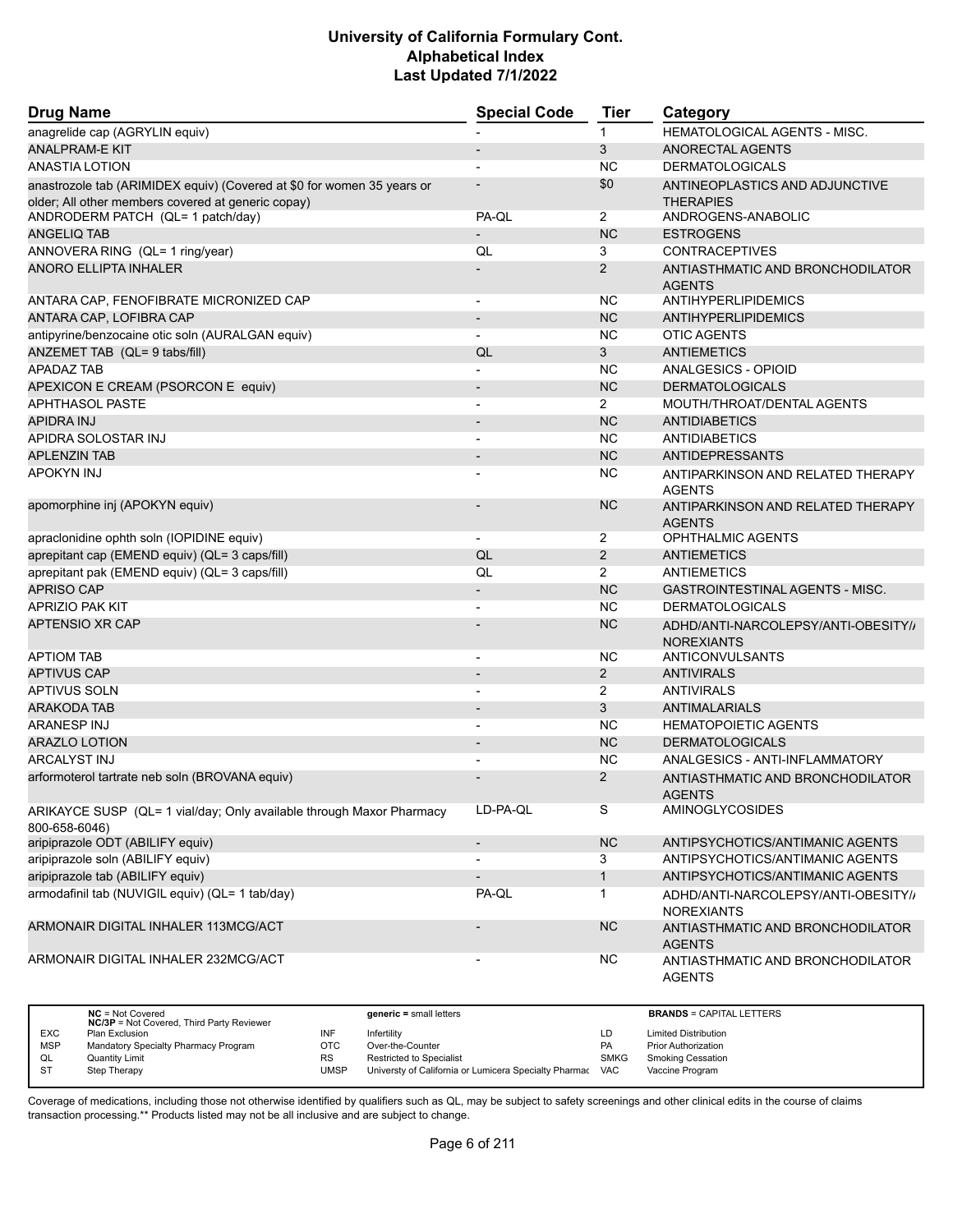| <b>Drug Name</b>                                                                                                             | <b>Special Code</b>      | <b>Tier</b>    | Category                                                 |
|------------------------------------------------------------------------------------------------------------------------------|--------------------------|----------------|----------------------------------------------------------|
| anagrelide cap (AGRYLIN equiv)                                                                                               |                          | 1              | <b>HEMATOLOGICAL AGENTS - MISC.</b>                      |
| <b>ANALPRAM-E KIT</b>                                                                                                        |                          | 3              | ANORECTAL AGENTS                                         |
| <b>ANASTIA LOTION</b>                                                                                                        |                          | <b>NC</b>      | <b>DERMATOLOGICALS</b>                                   |
| anastrozole tab (ARIMIDEX equiv) (Covered at \$0 for women 35 years or<br>older; All other members covered at generic copay) |                          | \$0            | ANTINEOPLASTICS AND ADJUNCTIVE<br><b>THERAPIES</b>       |
| ANDRODERM PATCH (QL= 1 patch/day)                                                                                            | PA-QL                    | $\overline{2}$ | ANDROGENS-ANABOLIC                                       |
| <b>ANGELIQ TAB</b>                                                                                                           |                          | <b>NC</b>      | <b>ESTROGENS</b>                                         |
| ANNOVERA RING (QL= 1 ring/year)                                                                                              | QL                       | 3              | <b>CONTRACEPTIVES</b>                                    |
| ANORO ELLIPTA INHALER                                                                                                        |                          | 2              | ANTIASTHMATIC AND BRONCHODILATOR<br><b>AGENTS</b>        |
| ANTARA CAP, FENOFIBRATE MICRONIZED CAP                                                                                       | $\overline{a}$           | <b>NC</b>      | ANTIHYPERLIPIDEMICS                                      |
| ANTARA CAP, LOFIBRA CAP                                                                                                      | $\overline{\phantom{a}}$ | <b>NC</b>      | <b>ANTIHYPERLIPIDEMICS</b>                               |
| antipyrine/benzocaine otic soln (AURALGAN equiv)                                                                             | $\blacksquare$           | <b>NC</b>      | <b>OTIC AGENTS</b>                                       |
| ANZEMET TAB (QL= 9 tabs/fill)                                                                                                | QL                       | 3              | ANTIEMETICS                                              |
| <b>APADAZ TAB</b>                                                                                                            | $\overline{\phantom{0}}$ | <b>NC</b>      | ANALGESICS - OPIOID                                      |
| APEXICON E CREAM (PSORCON E equiv)                                                                                           | $\overline{\phantom{m}}$ | <b>NC</b>      | <b>DERMATOLOGICALS</b>                                   |
| <b>APHTHASOL PASTE</b>                                                                                                       |                          | $\overline{2}$ | MOUTH/THROAT/DENTAL AGENTS                               |
| <b>APIDRA INJ</b>                                                                                                            | $\overline{\phantom{a}}$ | <b>NC</b>      | <b>ANTIDIABETICS</b>                                     |
| APIDRA SOLOSTAR INJ                                                                                                          | $\overline{\phantom{a}}$ | <b>NC</b>      | <b>ANTIDIABETICS</b>                                     |
| <b>APLENZIN TAB</b>                                                                                                          | $\overline{\phantom{a}}$ | <b>NC</b>      | <b>ANTIDEPRESSANTS</b>                                   |
| <b>APOKYN INJ</b>                                                                                                            | $\overline{a}$           | <b>NC</b>      | ANTIPARKINSON AND RELATED THERAPY<br><b>AGENTS</b>       |
| apomorphine inj (APOKYN equiv)                                                                                               |                          | <b>NC</b>      | ANTIPARKINSON AND RELATED THERAPY<br><b>AGENTS</b>       |
| apraclonidine ophth soln (IOPIDINE equiv)                                                                                    | $\overline{\phantom{a}}$ | $\overline{2}$ | OPHTHALMIC AGENTS                                        |
| aprepitant cap (EMEND equiv) (QL= 3 caps/fill)                                                                               | QL                       | $\overline{2}$ | <b>ANTIEMETICS</b>                                       |
| aprepitant pak (EMEND equiv) (QL= 3 caps/fill)                                                                               | QL                       | $\overline{2}$ | ANTIEMETICS                                              |
| <b>APRISO CAP</b>                                                                                                            | $\overline{\phantom{a}}$ | <b>NC</b>      | <b>GASTROINTESTINAL AGENTS - MISC.</b>                   |
| <b>APRIZIO PAK KIT</b>                                                                                                       | $\overline{\phantom{a}}$ | <b>NC</b>      | <b>DERMATOLOGICALS</b>                                   |
| <b>APTENSIO XR CAP</b>                                                                                                       |                          | <b>NC</b>      | ADHD/ANTI-NARCOLEPSY/ANTI-OBESITY//<br><b>NOREXIANTS</b> |
| <b>APTIOM TAB</b>                                                                                                            |                          | <b>NC</b>      | ANTICONVULSANTS                                          |
| <b>APTIVUS CAP</b>                                                                                                           | $\overline{\phantom{m}}$ | $\overline{2}$ | <b>ANTIVIRALS</b>                                        |
| <b>APTIVUS SOLN</b>                                                                                                          |                          | $\overline{2}$ | <b>ANTIVIRALS</b>                                        |
| ARAKODA TAB                                                                                                                  |                          | 3              | <b>ANTIMALARIALS</b>                                     |
| <b>ARANESP INJ</b>                                                                                                           | $\overline{\phantom{a}}$ | <b>NC</b>      | <b>HEMATOPOIETIC AGENTS</b>                              |
| <b>ARAZLO LOTION</b>                                                                                                         | $\overline{\phantom{a}}$ | <b>NC</b>      | <b>DERMATOLOGICALS</b>                                   |
| <b>ARCALYST INJ</b>                                                                                                          |                          | <b>NC</b>      | ANALGESICS - ANTI-INFLAMMATORY                           |
| arformoterol tartrate neb soln (BROVANA equiv)                                                                               |                          | $\overline{2}$ | ANTIASTHMATIC AND BRONCHODILATOR<br><b>AGENTS</b>        |
| ARIKAYCE SUSP (QL= 1 vial/day; Only available through Maxor Pharmacy<br>800-658-6046)                                        | LD-PA-QL                 | S              | AMINOGLYCOSIDES                                          |
| aripiprazole ODT (ABILIFY equiv)                                                                                             | $\overline{\phantom{a}}$ | <b>NC</b>      | ANTIPSYCHOTICS/ANTIMANIC AGENTS                          |
| aripiprazole soln (ABILIFY equiv)                                                                                            | $\overline{\phantom{a}}$ | 3              | ANTIPSYCHOTICS/ANTIMANIC AGENTS                          |
| aripiprazole tab (ABILIFY equiv)                                                                                             | -                        | $\mathbf{1}$   | ANTIPSYCHOTICS/ANTIMANIC AGENTS                          |
| armodafinil tab (NUVIGIL equiv) (QL= 1 tab/day)                                                                              | PA-QL                    | $\mathbf{1}$   | ADHD/ANTI-NARCOLEPSY/ANTI-OBESITY//<br><b>NOREXIANTS</b> |
| ARMONAIR DIGITAL INHALER 113MCG/ACT                                                                                          |                          | <b>NC</b>      | ANTIASTHMATIC AND BRONCHODILATOR<br><b>AGENTS</b>        |
| ARMONAIR DIGITAL INHALER 232MCG/ACT                                                                                          | $\overline{a}$           | <b>NC</b>      | ANTIASTHMATIC AND BRONCHODILATOR<br><b>AGENTS</b>        |

|            | $NC = Not Covered$<br><b>NC/3P</b> = Not Covered, Third Party Reviewer |             | $generic = small letters$                             |             | <b>BRANDS = CAPITAL LETTERS</b> |
|------------|------------------------------------------------------------------------|-------------|-------------------------------------------------------|-------------|---------------------------------|
| <b>EXC</b> | Plan Exclusion                                                         | INF         | Infertility                                           | LD          | <b>Limited Distribution</b>     |
| <b>MSP</b> | Mandatory Specialty Pharmacy Program                                   | OTC         | Over-the-Counter                                      | PA          | <b>Prior Authorization</b>      |
| QL         | <b>Quantity Limit</b>                                                  | RS          | <b>Restricted to Specialist</b>                       | <b>SMKG</b> | <b>Smoking Cessation</b>        |
| <b>ST</b>  | Step Therapy                                                           | <b>UMSP</b> | Universty of California or Lumicera Specialty Pharmac | <b>VAC</b>  | Vaccine Program                 |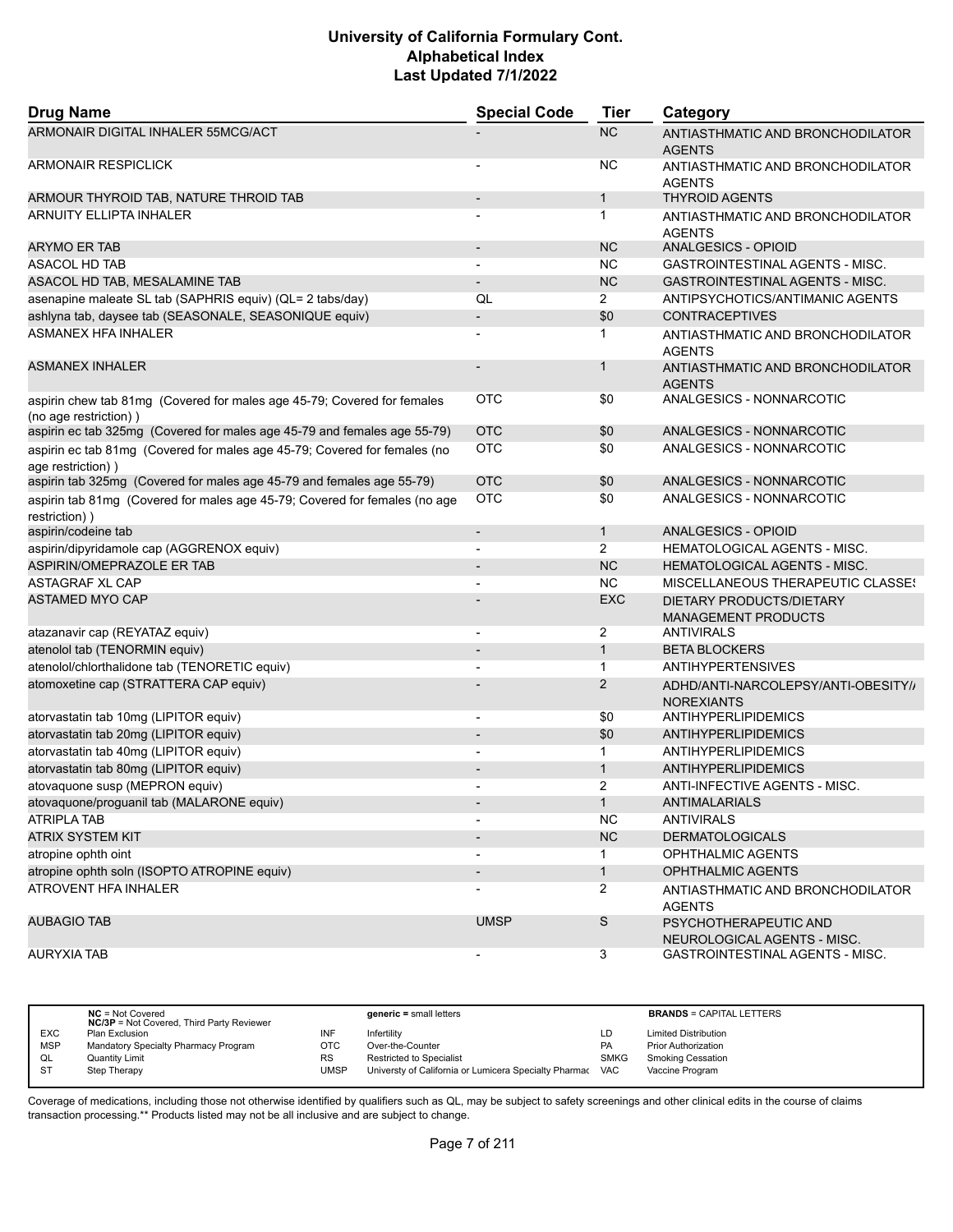| <b>Drug Name</b>                                                                                 | <b>Special Code</b>      | <b>Tier</b>    | Category                                                 |
|--------------------------------------------------------------------------------------------------|--------------------------|----------------|----------------------------------------------------------|
| ARMONAIR DIGITAL INHALER 55MCG/ACT                                                               |                          | <b>NC</b>      | ANTIASTHMATIC AND BRONCHODILATOR<br><b>AGENTS</b>        |
| <b>ARMONAIR RESPICLICK</b>                                                                       |                          | ΝC             | ANTIASTHMATIC AND BRONCHODILATOR<br><b>AGENTS</b>        |
| ARMOUR THYROID TAB, NATURE THROID TAB                                                            | $\overline{\phantom{a}}$ | $\mathbf{1}$   | <b>THYROID AGENTS</b>                                    |
| <b>ARNUITY ELLIPTA INHALER</b>                                                                   |                          | 1              | ANTIASTHMATIC AND BRONCHODILATOR<br><b>AGENTS</b>        |
| <b>ARYMO ER TAB</b>                                                                              |                          | <b>NC</b>      | ANALGESICS - OPIOID                                      |
| ASACOL HD TAB                                                                                    |                          | ΝC             | GASTROINTESTINAL AGENTS - MISC.                          |
| ASACOL HD TAB, MESALAMINE TAB                                                                    |                          | <b>NC</b>      | GASTROINTESTINAL AGENTS - MISC.                          |
| asenapine maleate SL tab (SAPHRIS equiv) (QL= 2 tabs/day)                                        | QL                       | $\overline{2}$ | ANTIPSYCHOTICS/ANTIMANIC AGENTS                          |
| ashlyna tab, daysee tab (SEASONALE, SEASONIQUE equiv)                                            |                          | \$0            | <b>CONTRACEPTIVES</b>                                    |
| <b>ASMANEX HFA INHALER</b>                                                                       |                          | 1              | ANTIASTHMATIC AND BRONCHODILATOR<br><b>AGENTS</b>        |
| <b>ASMANEX INHALER</b>                                                                           |                          | 1              | ANTIASTHMATIC AND BRONCHODILATOR<br><b>AGENTS</b>        |
| aspirin chew tab 81mg (Covered for males age 45-79; Covered for females<br>(no age restriction)) | OTC                      | \$0            | ANALGESICS - NONNARCOTIC                                 |
| aspirin ec tab 325mg (Covered for males age 45-79 and females age 55-79)                         | <b>OTC</b>               | \$0            | ANALGESICS - NONNARCOTIC                                 |
| aspirin ec tab 81mg (Covered for males age 45-79; Covered for females (no<br>age restriction) )  | <b>OTC</b>               | \$0            | ANALGESICS - NONNARCOTIC                                 |
| aspirin tab 325mg (Covered for males age 45-79 and females age 55-79)                            | <b>OTC</b>               | \$0            | ANALGESICS - NONNARCOTIC                                 |
| aspirin tab 81mg (Covered for males age 45-79; Covered for females (no age<br>restriction))      | <b>OTC</b>               | \$0            | ANALGESICS - NONNARCOTIC                                 |
| aspirin/codeine tab                                                                              | $\overline{\phantom{a}}$ | $\mathbf{1}$   | ANALGESICS - OPIOID                                      |
| aspirin/dipyridamole cap (AGGRENOX equiv)                                                        | $\overline{a}$           | $\overline{2}$ | HEMATOLOGICAL AGENTS - MISC.                             |
| ASPIRIN/OMEPRAZOLE ER TAB                                                                        |                          | <b>NC</b>      | HEMATOLOGICAL AGENTS - MISC.                             |
| <b>ASTAGRAF XL CAP</b>                                                                           |                          | ΝC             | <b>MISCELLANEOUS THERAPEUTIC CLASSES</b>                 |
| <b>ASTAMED MYO CAP</b>                                                                           |                          | <b>EXC</b>     | DIETARY PRODUCTS/DIETARY<br><b>MANAGEMENT PRODUCTS</b>   |
| atazanavir cap (REYATAZ equiv)                                                                   | $\overline{\phantom{a}}$ | 2              | <b>ANTIVIRALS</b>                                        |
| atenolol tab (TENORMIN equiv)                                                                    |                          | $\mathbf{1}$   | <b>BETA BLOCKERS</b>                                     |
| atenolol/chlorthalidone tab (TENORETIC equiv)                                                    |                          | $\mathbf 1$    | ANTIHYPERTENSIVES                                        |
| atomoxetine cap (STRATTERA CAP equiv)                                                            |                          | $\overline{2}$ | ADHD/ANTI-NARCOLEPSY/ANTI-OBESITY//<br><b>NOREXIANTS</b> |
| atorvastatin tab 10mg (LIPITOR equiv)                                                            | $\overline{\phantom{0}}$ | \$0            | ANTIHYPERLIPIDEMICS                                      |
| atorvastatin tab 20mg (LIPITOR equiv)                                                            | $\overline{\phantom{a}}$ | \$0            | ANTIHYPERLIPIDEMICS                                      |
| atorvastatin tab 40mg (LIPITOR equiv)                                                            |                          | 1              | ANTIHYPERLIPIDEMICS                                      |
| atorvastatin tab 80mg (LIPITOR equiv)                                                            | $\overline{\phantom{a}}$ | $\mathbf{1}$   | ANTIHYPERLIPIDEMICS                                      |
| atovaquone susp (MEPRON equiv)                                                                   | $\overline{\phantom{a}}$ | 2              | ANTI-INFECTIVE AGENTS - MISC.                            |
| atovaquone/proguanil tab (MALARONE equiv)                                                        |                          | 1.             | ANTIMALARIALS                                            |
| <b>ATRIPLA TAB</b>                                                                               | $\overline{\phantom{a}}$ | <b>NC</b>      | <b>ANTIVIRALS</b>                                        |
| <b>ATRIX SYSTEM KIT</b>                                                                          |                          | <b>NC</b>      | <b>DERMATOLOGICALS</b>                                   |
| atropine ophth oint                                                                              |                          | 1              | OPHTHALMIC AGENTS                                        |
| atropine ophth soln (ISOPTO ATROPINE equiv)                                                      | $\overline{\phantom{a}}$ | $\mathbf{1}$   | OPHTHALMIC AGENTS                                        |
| ATROVENT HFA INHALER                                                                             |                          | $\overline{2}$ | ANTIASTHMATIC AND BRONCHODILATOR<br><b>AGENTS</b>        |
| <b>AUBAGIO TAB</b>                                                                               | <b>UMSP</b>              | $\mathsf S$    | PSYCHOTHERAPEUTIC AND<br>NEUROLOGICAL AGENTS - MISC.     |
| <b>AURYXIA TAB</b>                                                                               |                          | 3              | GASTROINTESTINAL AGENTS - MISC.                          |

|            | $NC = Not Covered$<br><b>NC/3P</b> = Not Covered, Third Party Reviewer |      | $generic = small letters$                             |             | <b>BRANDS = CAPITAL LETTERS</b> |
|------------|------------------------------------------------------------------------|------|-------------------------------------------------------|-------------|---------------------------------|
| <b>EXC</b> | Plan Exclusion                                                         | INF  | Infertility                                           | LD          | <b>Limited Distribution</b>     |
| <b>MSP</b> | Mandatory Specialty Pharmacy Program                                   | OTC  | Over-the-Counter                                      | <b>PA</b>   | <b>Prior Authorization</b>      |
| QL         | <b>Quantity Limit</b>                                                  | RS   | <b>Restricted to Specialist</b>                       | <b>SMKG</b> | <b>Smoking Cessation</b>        |
| <b>ST</b>  | Step Therapy                                                           | UMSP | Universty of California or Lumicera Specialty Pharmac | VAC         | Vaccine Program                 |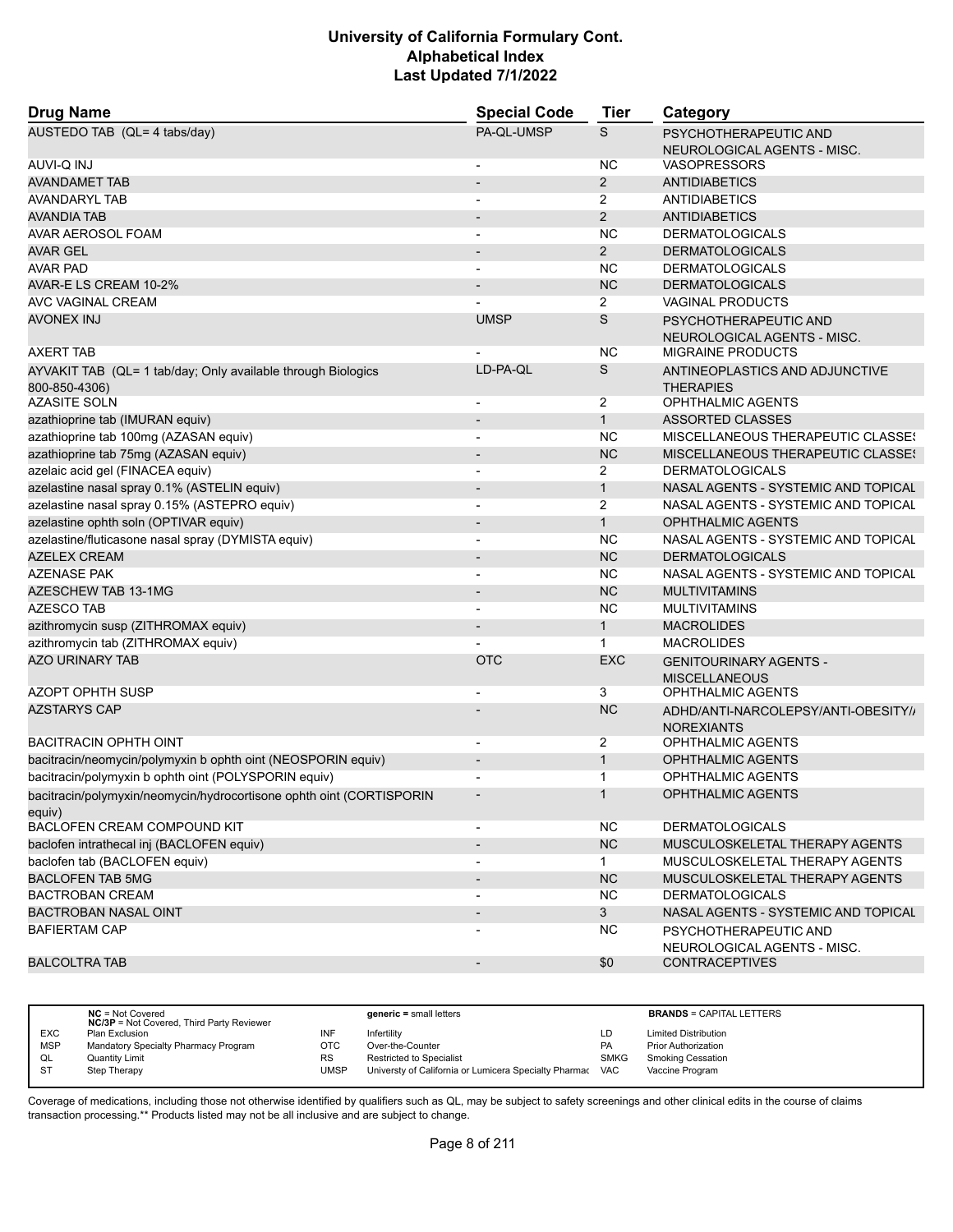| <b>Drug Name</b>                                                               | <b>Special Code</b>          | Tier           | Category                                                 |
|--------------------------------------------------------------------------------|------------------------------|----------------|----------------------------------------------------------|
| AUSTEDO TAB (QL= 4 tabs/day)                                                   | PA-QL-UMSP                   | S              | PSYCHOTHERAPEUTIC AND<br>NEUROLOGICAL AGENTS - MISC.     |
| AUVI-Q INJ                                                                     | $\overline{\phantom{a}}$     | <b>NC</b>      | <b>VASOPRESSORS</b>                                      |
| <b>AVANDAMET TAB</b>                                                           |                              | $\overline{2}$ | <b>ANTIDIABETICS</b>                                     |
| <b>AVANDARYL TAB</b>                                                           |                              | 2              | <b>ANTIDIABETICS</b>                                     |
| AVANDIA TAB                                                                    |                              | $\overline{2}$ | <b>ANTIDIABETICS</b>                                     |
| AVAR AEROSOL FOAM                                                              | ٠                            | <b>NC</b>      | <b>DERMATOLOGICALS</b>                                   |
| AVAR GEL                                                                       |                              | $\overline{2}$ | <b>DERMATOLOGICALS</b>                                   |
| <b>AVAR PAD</b>                                                                | $\blacksquare$               | <b>NC</b>      | <b>DERMATOLOGICALS</b>                                   |
| AVAR-E LS CREAM 10-2%                                                          | $\qquad \qquad \blacksquare$ | <b>NC</b>      | <b>DERMATOLOGICALS</b>                                   |
| AVC VAGINAL CREAM                                                              |                              | 2              | <b>VAGINAL PRODUCTS</b>                                  |
| <b>AVONEX INJ</b>                                                              | <b>UMSP</b>                  | S              | PSYCHOTHERAPEUTIC AND<br>NEUROLOGICAL AGENTS - MISC.     |
| <b>AXERT TAB</b>                                                               |                              | <b>NC</b>      | <b>MIGRAINE PRODUCTS</b>                                 |
| AYVAKIT TAB (QL= 1 tab/day; Only available through Biologics<br>800-850-4306)  | LD-PA-QL                     | S              | ANTINEOPLASTICS AND ADJUNCTIVE<br><b>THERAPIES</b>       |
| <b>AZASITE SOLN</b>                                                            | $\overline{\phantom{a}}$     | 2              | <b>OPHTHALMIC AGENTS</b>                                 |
| azathioprine tab (IMURAN equiv)                                                | $\overline{\phantom{a}}$     | $\mathbf{1}$   | <b>ASSORTED CLASSES</b>                                  |
| azathioprine tab 100mg (AZASAN equiv)                                          | -                            | <b>NC</b>      | MISCELLANEOUS THERAPEUTIC CLASSES                        |
| azathioprine tab 75mg (AZASAN equiv)                                           | $\overline{\phantom{a}}$     | <b>NC</b>      | MISCELLANEOUS THERAPEUTIC CLASSES                        |
| azelaic acid gel (FINACEA equiv)                                               | $\overline{\phantom{a}}$     | 2              | <b>DERMATOLOGICALS</b>                                   |
| azelastine nasal spray 0.1% (ASTELIN equiv)                                    | $\overline{a}$               | $\mathbf{1}$   | NASAL AGENTS - SYSTEMIC AND TOPICAL                      |
| azelastine nasal spray 0.15% (ASTEPRO equiv)                                   | $\blacksquare$               | $\overline{2}$ | NASAL AGENTS - SYSTEMIC AND TOPICAL                      |
| azelastine ophth soln (OPTIVAR equiv)                                          |                              | $\mathbf{1}$   | <b>OPHTHALMIC AGENTS</b>                                 |
| azelastine/fluticasone nasal spray (DYMISTA equiv)                             | -                            | <b>NC</b>      | NASAL AGENTS - SYSTEMIC AND TOPICAL                      |
| <b>AZELEX CREAM</b>                                                            | $\blacksquare$               | <b>NC</b>      | <b>DERMATOLOGICALS</b>                                   |
| <b>AZENASE PAK</b>                                                             |                              | <b>NC</b>      | NASAL AGENTS - SYSTEMIC AND TOPICAL                      |
| AZESCHEW TAB 13-1MG                                                            | $\overline{a}$               | <b>NC</b>      | <b>MULTIVITAMINS</b>                                     |
| <b>AZESCO TAB</b>                                                              | $\overline{a}$               | <b>NC</b>      | <b>MULTIVITAMINS</b>                                     |
| azithromycin susp (ZITHROMAX equiv)                                            |                              | $\mathbf{1}$   | <b>MACROLIDES</b>                                        |
| azithromycin tab (ZITHROMAX equiv)                                             |                              | $\mathbf 1$    | <b>MACROLIDES</b>                                        |
| <b>AZO URINARY TAB</b>                                                         | <b>OTC</b>                   | <b>EXC</b>     | <b>GENITOURINARY AGENTS -</b><br><b>MISCELLANEOUS</b>    |
| <b>AZOPT OPHTH SUSP</b>                                                        |                              | 3              | <b>OPHTHALMIC AGENTS</b>                                 |
| <b>AZSTARYS CAP</b>                                                            |                              | <b>NC</b>      | ADHD/ANTI-NARCOLEPSY/ANTI-OBESITY//<br><b>NOREXIANTS</b> |
| <b>BACITRACIN OPHTH OINT</b>                                                   | $\overline{\phantom{a}}$     | 2              | <b>OPHTHALMIC AGENTS</b>                                 |
| bacitracin/neomycin/polymyxin b ophth oint (NEOSPORIN equiv)                   | $\overline{\phantom{m}}$     | $\mathbf{1}$   | <b>OPHTHALMIC AGENTS</b>                                 |
| bacitracin/polymyxin b ophth oint (POLYSPORIN equiv)                           |                              | 1              | <b>OPHTHALMIC AGENTS</b>                                 |
| bacitracin/polymyxin/neomycin/hydrocortisone ophth oint (CORTISPORIN<br>equiv) |                              |                | <b>OPHTHALMIC AGENTS</b>                                 |
| BACLOFEN CREAM COMPOUND KIT                                                    |                              | <b>NC</b>      | <b>DERMATOLOGICALS</b>                                   |
| baclofen intrathecal inj (BACLOFEN equiv)                                      | $\overline{\phantom{a}}$     | NC             | MUSCULOSKELETAL THERAPY AGENTS                           |
| baclofen tab (BACLOFEN equiv)                                                  | $\overline{\phantom{0}}$     | $\mathbf{1}$   | MUSCULOSKELETAL THERAPY AGENTS                           |
| <b>BACLOFEN TAB 5MG</b>                                                        | $\overline{\phantom{a}}$     | NC             | MUSCULOSKELETAL THERAPY AGENTS                           |
| <b>BACTROBAN CREAM</b>                                                         | $\blacksquare$               | <b>NC</b>      | <b>DERMATOLOGICALS</b>                                   |
| <b>BACTROBAN NASAL OINT</b>                                                    |                              | 3 <sup>1</sup> | NASAL AGENTS - SYSTEMIC AND TOPICAL                      |
| <b>BAFIERTAM CAP</b>                                                           |                              | <b>NC</b>      | PSYCHOTHERAPEUTIC AND<br>NEUROLOGICAL AGENTS - MISC.     |
| <b>BALCOLTRA TAB</b>                                                           | $\overline{\phantom{a}}$     | \$0            | <b>CONTRACEPTIVES</b>                                    |

|            | $NC = Not Covered$<br><b>NC/3P</b> = Not Covered, Third Party Reviewer |           | $generic = small letters$                             |             | <b>BRANDS = CAPITAL LETTERS</b> |
|------------|------------------------------------------------------------------------|-----------|-------------------------------------------------------|-------------|---------------------------------|
| <b>EXC</b> | Plan Exclusion                                                         | INF       | Infertility                                           | LD          | <b>Limited Distribution</b>     |
| <b>MSP</b> | Mandatory Specialty Pharmacy Program                                   | отс       | Over-the-Counter                                      | PA          | <b>Prior Authorization</b>      |
| QL         | <b>Quantity Limit</b>                                                  | <b>RS</b> | <b>Restricted to Specialist</b>                       | <b>SMKG</b> | <b>Smoking Cessation</b>        |
| S1         | Step Therapy                                                           | UMSP      | Universty of California or Lumicera Specialty Pharmac | <b>VAC</b>  | Vaccine Program                 |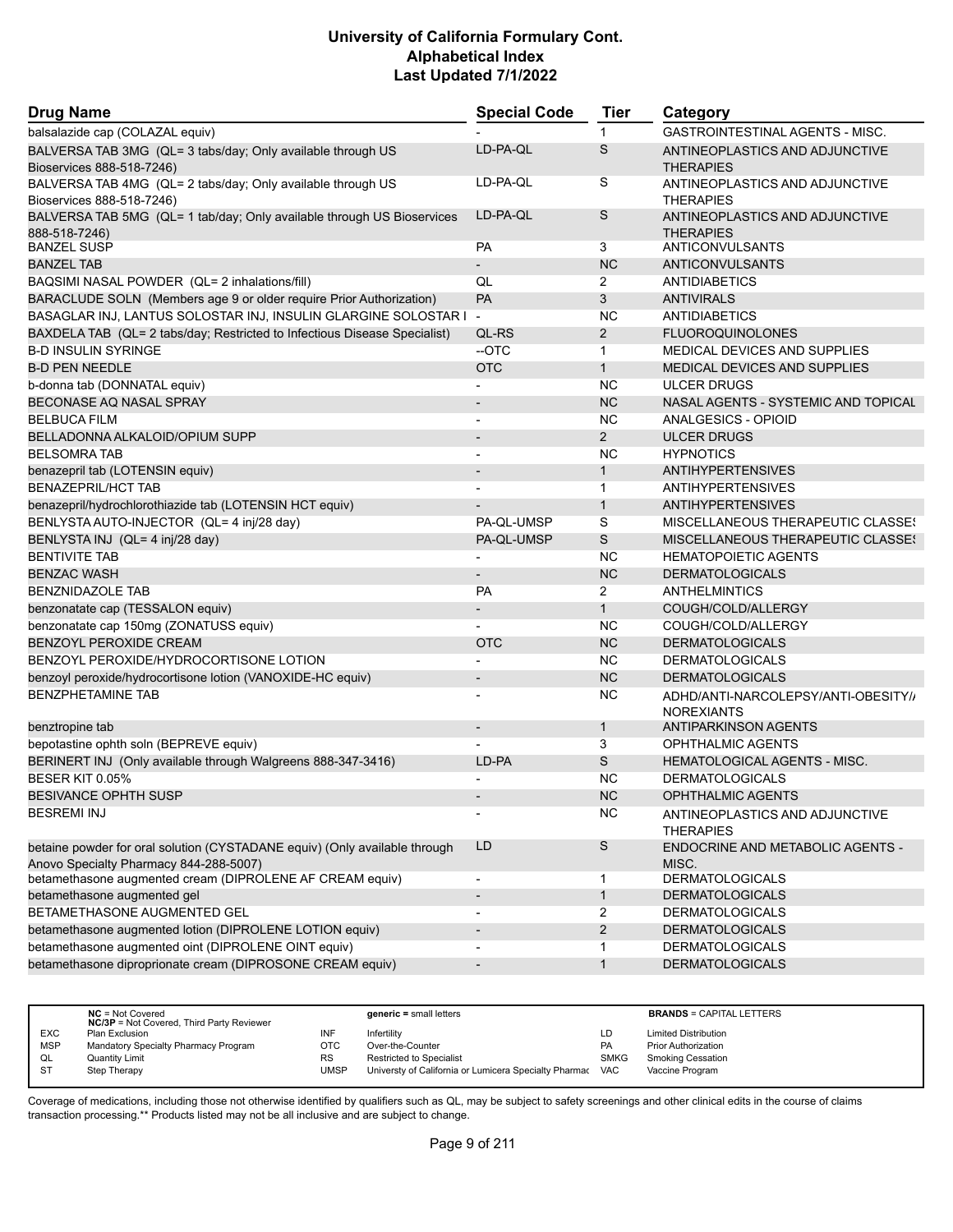| <b>Drug Name</b>                                                                         | <b>Special Code</b>      | <b>Tier</b>    | Category                                                 |
|------------------------------------------------------------------------------------------|--------------------------|----------------|----------------------------------------------------------|
| balsalazide cap (COLAZAL equiv)                                                          |                          | 1              | <b>GASTROINTESTINAL AGENTS - MISC.</b>                   |
| BALVERSA TAB 3MG (QL= 3 tabs/day; Only available through US<br>Bioservices 888-518-7246) | LD-PA-QL                 | S              | ANTINEOPLASTICS AND ADJUNCTIVE<br><b>THERAPIES</b>       |
| BALVERSA TAB 4MG (QL= 2 tabs/day; Only available through US<br>Bioservices 888-518-7246) | LD-PA-QL                 | S              | ANTINEOPLASTICS AND ADJUNCTIVE<br><b>THERAPIES</b>       |
| BALVERSA TAB 5MG (QL= 1 tab/day; Only available through US Bioservices<br>888-518-7246)  | LD-PA-QL                 | S              | ANTINEOPLASTICS AND ADJUNCTIVE<br><b>THERAPIES</b>       |
| <b>BANZEL SUSP</b>                                                                       | <b>PA</b>                | 3              | <b>ANTICONVULSANTS</b>                                   |
| <b>BANZEL TAB</b>                                                                        | $\overline{\phantom{0}}$ | <b>NC</b>      | <b>ANTICONVULSANTS</b>                                   |
| BAQSIMI NASAL POWDER (QL= 2 inhalations/fill)                                            | QL                       | $\overline{2}$ | ANTIDIABETICS                                            |
| BARACLUDE SOLN (Members age 9 or older require Prior Authorization)                      | PA                       | 3              | <b>ANTIVIRALS</b>                                        |
| BASAGLAR INJ, LANTUS SOLOSTAR INJ, INSULIN GLARGINE SOLOSTAR I                           | $\overline{\phantom{a}}$ | <b>NC</b>      | <b>ANTIDIABETICS</b>                                     |
| BAXDELA TAB (QL= 2 tabs/day; Restricted to Infectious Disease Specialist)                | QL-RS                    | $\overline{2}$ | <b>FLUOROQUINOLONES</b>                                  |
| <b>B-D INSULIN SYRINGE</b>                                                               | --OTC                    | $\mathbf{1}$   | <b>MEDICAL DEVICES AND SUPPLIES</b>                      |
| <b>B-D PEN NEEDLE</b>                                                                    | <b>OTC</b>               | $\mathbf{1}$   | MEDICAL DEVICES AND SUPPLIES                             |
| b-donna tab (DONNATAL equiv)                                                             |                          | <b>NC</b>      | <b>ULCER DRUGS</b>                                       |
| BECONASE AQ NASAL SPRAY                                                                  |                          | <b>NC</b>      | NASAL AGENTS - SYSTEMIC AND TOPICAL                      |
| <b>BELBUCA FILM</b>                                                                      | $\overline{\phantom{a}}$ | <b>NC</b>      | <b>ANALGESICS - OPIOID</b>                               |
| BELLADONNA ALKALOID/OPIUM SUPP                                                           |                          | 2              | <b>ULCER DRUGS</b>                                       |
| <b>BELSOMRA TAB</b>                                                                      | $\blacksquare$           | <b>NC</b>      | <b>HYPNOTICS</b>                                         |
| benazepril tab (LOTENSIN equiv)                                                          | $\overline{\phantom{m}}$ | $\mathbf{1}$   | <b>ANTIHYPERTENSIVES</b>                                 |
| <b>BENAZEPRIL/HCT TAB</b>                                                                |                          | $\mathbf{1}$   | <b>ANTIHYPERTENSIVES</b>                                 |
| benazepril/hydrochlorothiazide tab (LOTENSIN HCT equiv)                                  |                          | $\mathbf{1}$   | <b>ANTIHYPERTENSIVES</b>                                 |
| BENLYSTA AUTO-INJECTOR (QL= 4 inj/28 day)                                                | PA-QL-UMSP               | S              | MISCELLANEOUS THERAPEUTIC CLASSES                        |
| BENLYSTA INJ (QL= 4 inj/28 day)                                                          | PA-QL-UMSP               | S              | MISCELLANEOUS THERAPEUTIC CLASSES                        |
| <b>BENTIVITE TAB</b>                                                                     |                          | <b>NC</b>      | <b>HEMATOPOIETIC AGENTS</b>                              |
| <b>BENZAC WASH</b>                                                                       | $\overline{a}$           | <b>NC</b>      | <b>DERMATOLOGICALS</b>                                   |
| <b>BENZNIDAZOLE TAB</b>                                                                  | PA                       | 2              | <b>ANTHELMINTICS</b>                                     |
| benzonatate cap (TESSALON equiv)                                                         | $\overline{\phantom{m}}$ | $\mathbf{1}$   | COUGH/COLD/ALLERGY                                       |
| benzonatate cap 150mg (ZONATUSS equiv)                                                   | $\overline{\phantom{0}}$ | <b>NC</b>      | COUGH/COLD/ALLERGY                                       |
| BENZOYL PEROXIDE CREAM                                                                   | <b>OTC</b>               | <b>NC</b>      | <b>DERMATOLOGICALS</b>                                   |
| BENZOYL PEROXIDE/HYDROCORTISONE LOTION                                                   |                          | <b>NC</b>      | <b>DERMATOLOGICALS</b>                                   |
|                                                                                          |                          |                |                                                          |
| benzoyl peroxide/hydrocortisone lotion (VANOXIDE-HC equiv)                               | $\overline{\phantom{a}}$ | <b>NC</b>      | <b>DERMATOLOGICALS</b>                                   |
| <b>BENZPHETAMINE TAB</b>                                                                 |                          | NC             | ADHD/ANTI-NARCOLEPSY/ANTI-OBESITY//<br><b>NOREXIANTS</b> |
| benztropine tab                                                                          |                          | $\mathbf{1}$   | ANTIPARKINSON AGENTS                                     |
| bepotastine ophth soln (BEPREVE equiv)                                                   |                          | 3              | <b>OPHTHALMIC AGENTS</b>                                 |
| BERINERT INJ (Only available through Walgreens 888-347-3416)                             | LD-PA                    | S              | HEMATOLOGICAL AGENTS - MISC.                             |
| BESER KIT 0.05%                                                                          |                          | <b>NC</b>      | <b>DERMATOLOGICALS</b>                                   |
| BESIVANCE OPHTH SUSP                                                                     |                          | NC             | <b>OPHTHALMIC AGENTS</b>                                 |
| <b>BESREMI INJ</b>                                                                       |                          | <b>NC</b>      | ANTINEOPLASTICS AND ADJUNCTIVE<br><b>THERAPIES</b>       |
| betaine powder for oral solution (CYSTADANE equiv) (Only available through               | LD                       | S              | ENDOCRINE AND METABOLIC AGENTS -                         |
| Anovo Specialty Pharmacy 844-288-5007)                                                   |                          |                | MISC.                                                    |
| betamethasone augmented cream (DIPROLENE AF CREAM equiv)                                 | $\overline{\phantom{a}}$ | 1              | <b>DERMATOLOGICALS</b>                                   |
| betamethasone augmented gel                                                              |                          | $\mathbf{1}$   | <b>DERMATOLOGICALS</b>                                   |
| BETAMETHASONE AUGMENTED GEL                                                              | $\blacksquare$           | 2              | <b>DERMATOLOGICALS</b>                                   |
| betamethasone augmented lotion (DIPROLENE LOTION equiv)                                  | $\overline{\phantom{a}}$ | $\overline{2}$ | <b>DERMATOLOGICALS</b>                                   |
| betamethasone augmented oint (DIPROLENE OINT equiv)                                      |                          | 1              | <b>DERMATOLOGICALS</b>                                   |
| betamethasone diproprionate cream (DIPROSONE CREAM equiv)                                | $\overline{\phantom{a}}$ | $\mathbf{1}$   | <b>DERMATOLOGICALS</b>                                   |

|                | $NC = Not Covered$<br><b>NC/3P</b> = Not Covered, Third Party Reviewer |           | $generic = small letters$                             |             | <b>BRANDS = CAPITAL LETTERS</b> |
|----------------|------------------------------------------------------------------------|-----------|-------------------------------------------------------|-------------|---------------------------------|
| <b>EXC</b>     | Plan Exclusion                                                         | INF       | Infertility                                           | LD          | <b>Limited Distribution</b>     |
| <b>MSP</b>     | Mandatory Specialty Pharmacy Program                                   | OTC       | Over-the-Counter                                      | <b>PA</b>   | <b>Prior Authorization</b>      |
| QL             | Quantity Limit                                                         | <b>RS</b> | <b>Restricted to Specialist</b>                       | <b>SMKG</b> | <b>Smoking Cessation</b>        |
| S <sub>1</sub> | Step Therapy                                                           | UMSP      | Universty of California or Lumicera Specialty Pharmac | <b>VAC</b>  | Vaccine Program                 |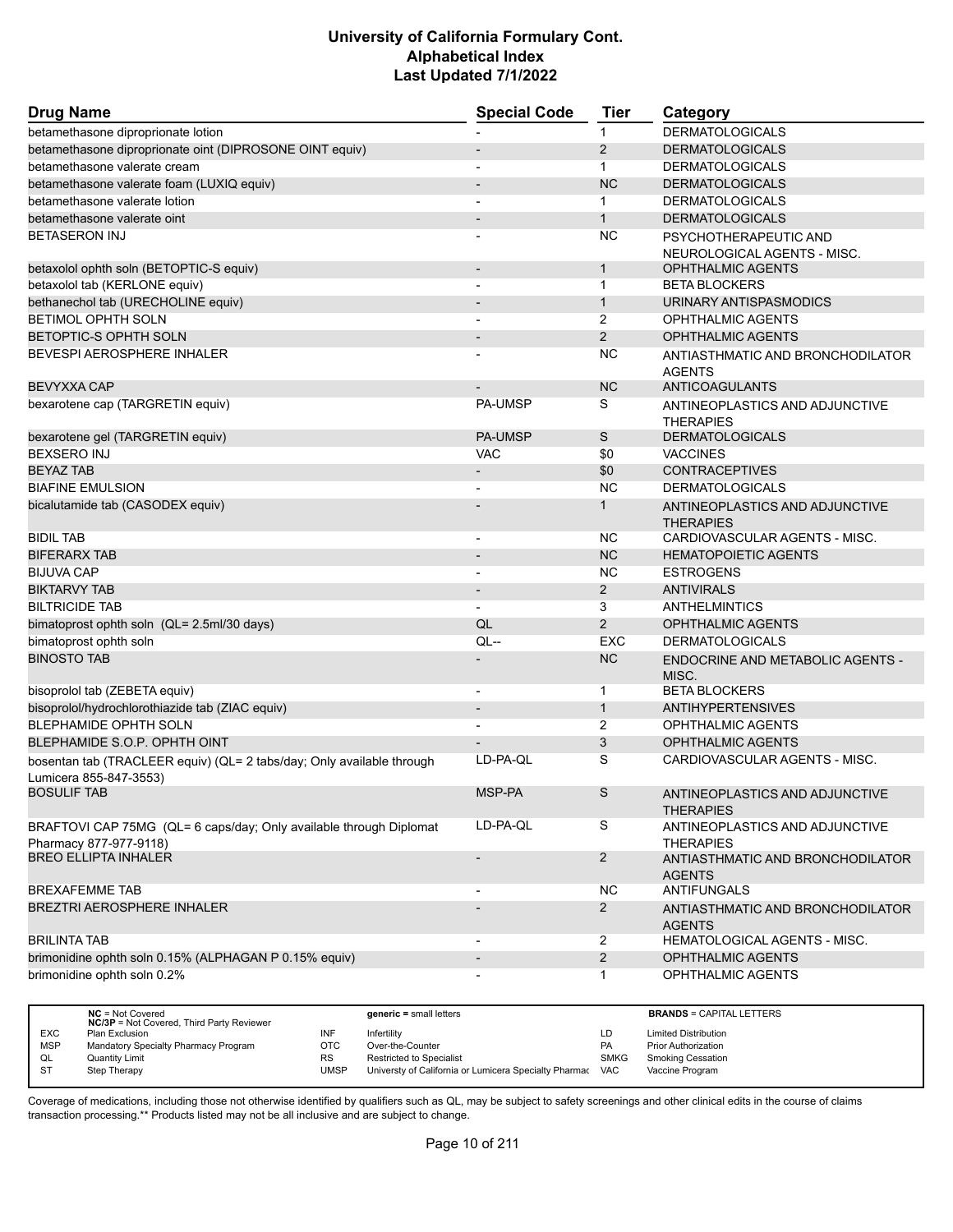| <b>Drug Name</b>                                                                                | <b>Special Code</b>          | <b>Tier</b>    | Category                                             |
|-------------------------------------------------------------------------------------------------|------------------------------|----------------|------------------------------------------------------|
| betamethasone diproprionate lotion                                                              |                              | 1              | <b>DERMATOLOGICALS</b>                               |
| betamethasone diproprionate oint (DIPROSONE OINT equiv)                                         |                              | 2              | <b>DERMATOLOGICALS</b>                               |
| betamethasone valerate cream                                                                    |                              | $\mathbf 1$    | <b>DERMATOLOGICALS</b>                               |
| betamethasone valerate foam (LUXIQ equiv)                                                       | $\qquad \qquad \blacksquare$ | <b>NC</b>      | <b>DERMATOLOGICALS</b>                               |
| betamethasone valerate lotion                                                                   |                              | $\mathbf 1$    | <b>DERMATOLOGICALS</b>                               |
| betamethasone valerate oint                                                                     |                              | $\mathbf{1}$   | <b>DERMATOLOGICALS</b>                               |
| <b>BETASERON INJ</b>                                                                            |                              | <b>NC</b>      | PSYCHOTHERAPEUTIC AND<br>NEUROLOGICAL AGENTS - MISC. |
| betaxolol ophth soln (BETOPTIC-S equiv)                                                         | $\overline{\phantom{a}}$     | $\mathbf{1}$   | <b>OPHTHALMIC AGENTS</b>                             |
| betaxolol tab (KERLONE equiv)                                                                   |                              | $\mathbf{1}$   | <b>BETA BLOCKERS</b>                                 |
| bethanechol tab (URECHOLINE equiv)                                                              |                              | $\mathbf{1}$   | URINARY ANTISPASMODICS                               |
| BETIMOL OPHTH SOLN                                                                              | $\overline{\phantom{a}}$     | 2              | OPHTHALMIC AGENTS                                    |
| BETOPTIC-S OPHTH SOLN                                                                           | $\overline{\phantom{m}}$     | $\overline{2}$ | <b>OPHTHALMIC AGENTS</b>                             |
| BEVESPI AEROSPHERE INHALER                                                                      |                              | <b>NC</b>      | ANTIASTHMATIC AND BRONCHODILATOR<br><b>AGENTS</b>    |
| <b>BEVYXXA CAP</b>                                                                              |                              | <b>NC</b>      | ANTICOAGULANTS                                       |
| bexarotene cap (TARGRETIN equiv)                                                                | <b>PA-UMSP</b>               | S              | ANTINEOPLASTICS AND ADJUNCTIVE<br><b>THERAPIES</b>   |
| bexarotene gel (TARGRETIN equiv)                                                                | <b>PA-UMSP</b>               | S              | <b>DERMATOLOGICALS</b>                               |
| <b>BEXSERO INJ</b>                                                                              | VAC                          | \$0            | <b>VACCINES</b>                                      |
| <b>BEYAZ TAB</b>                                                                                |                              | \$0            | <b>CONTRACEPTIVES</b>                                |
| <b>BIAFINE EMULSION</b>                                                                         |                              | ΝC             | <b>DERMATOLOGICALS</b>                               |
| bicalutamide tab (CASODEX equiv)                                                                |                              | $\mathbf{1}$   | ANTINEOPLASTICS AND ADJUNCTIVE<br><b>THERAPIES</b>   |
| <b>BIDIL TAB</b>                                                                                |                              | <b>NC</b>      | CARDIOVASCULAR AGENTS - MISC.                        |
| <b>BIFERARX TAB</b>                                                                             | $\qquad \qquad \blacksquare$ | <b>NC</b>      | <b>HEMATOPOIETIC AGENTS</b>                          |
| <b>BIJUVA CAP</b>                                                                               | $\overline{a}$               | <b>NC</b>      | <b>ESTROGENS</b>                                     |
| <b>BIKTARVY TAB</b>                                                                             | $\qquad \qquad \blacksquare$ | $\overline{2}$ | <b>ANTIVIRALS</b>                                    |
| <b>BILTRICIDE TAB</b>                                                                           | $\overline{\phantom{a}}$     | 3              | <b>ANTHELMINTICS</b>                                 |
| bimatoprost ophth soln (QL= 2.5ml/30 days)                                                      | QL                           | $\overline{2}$ | <b>OPHTHALMIC AGENTS</b>                             |
| bimatoprost ophth soln                                                                          | $QL -$                       | <b>EXC</b>     | <b>DERMATOLOGICALS</b>                               |
| <b>BINOSTO TAB</b>                                                                              |                              | <b>NC</b>      | ENDOCRINE AND METABOLIC AGENTS -<br>MISC.            |
| bisoprolol tab (ZEBETA equiv)                                                                   | $\overline{a}$               | 1              | <b>BETA BLOCKERS</b>                                 |
| bisoprolol/hydrochlorothiazide tab (ZIAC equiv)                                                 |                              | $\mathbf{1}$   | <b>ANTIHYPERTENSIVES</b>                             |
| BLEPHAMIDE OPHTH SOLN                                                                           |                              | 2              | <b>OPHTHALMIC AGENTS</b>                             |
| BLEPHAMIDE S.O.P. OPHTH OINT                                                                    |                              | 3              | <b>OPHTHALMIC AGENTS</b>                             |
| bosentan tab (TRACLEER equiv) (QL= 2 tabs/day; Only available through<br>Lumicera 855-847-3553) | LD-PA-QL                     | S              | CARDIOVASCULAR AGENTS - MISC.                        |
| <b>BOSULIF TAB</b>                                                                              | MSP-PA                       | S              | ANTINEOPLASTICS AND ADJUNCTIVE<br><b>THERAPIES</b>   |
| BRAFTOVI CAP 75MG (QL= 6 caps/day; Only available through Diplomat<br>Pharmacy 877-977-9118)    | LD-PA-QL                     | S              | ANTINEOPLASTICS AND ADJUNCTIVE<br><b>THERAPIES</b>   |
| <b>BREO ELLIPTA INHALER</b>                                                                     |                              | $\overline{2}$ | ANTIASTHMATIC AND BRONCHODILATOR<br><b>AGENTS</b>    |
| <b>BREXAFEMME TAB</b>                                                                           |                              | NC.            | <b>ANTIFUNGALS</b>                                   |
| <b>BREZTRI AEROSPHERE INHALER</b>                                                               |                              | $\overline{2}$ | ANTIASTHMATIC AND BRONCHODILATOR<br><b>AGENTS</b>    |
| <b>BRILINTA TAB</b>                                                                             | $\overline{\phantom{a}}$     | $\overline{2}$ | HEMATOLOGICAL AGENTS - MISC.                         |
| brimonidine ophth soln 0.15% (ALPHAGAN P 0.15% equiv)                                           | $\overline{\phantom{m}}$     | $\overline{2}$ | <b>OPHTHALMIC AGENTS</b>                             |
| brimonidine ophth soln 0.2%                                                                     |                              | 1              | OPHTHALMIC AGENTS                                    |

|            | $NC = Not Covered$<br><b>NC/3P</b> = Not Covered, Third Party Reviewer |           | $generic = small letters$                                 |             | <b>BRANDS = CAPITAL LETTERS</b> |
|------------|------------------------------------------------------------------------|-----------|-----------------------------------------------------------|-------------|---------------------------------|
| <b>EXC</b> | Plan Exclusion                                                         | INF       | Infertility                                               | LD          | <b>Limited Distribution</b>     |
| <b>MSP</b> | Mandatory Specialty Pharmacy Program                                   | ОТС       | Over-the-Counter                                          | <b>PA</b>   | <b>Prior Authorization</b>      |
| QL         | <b>Quantity Limit</b>                                                  | <b>RS</b> | <b>Restricted to Specialist</b>                           | <b>SMKG</b> | <b>Smoking Cessation</b>        |
| <b>ST</b>  | Step Therapy                                                           | UMSP      | Universty of California or Lumicera Specialty Pharmac VAC |             | Vaccine Program                 |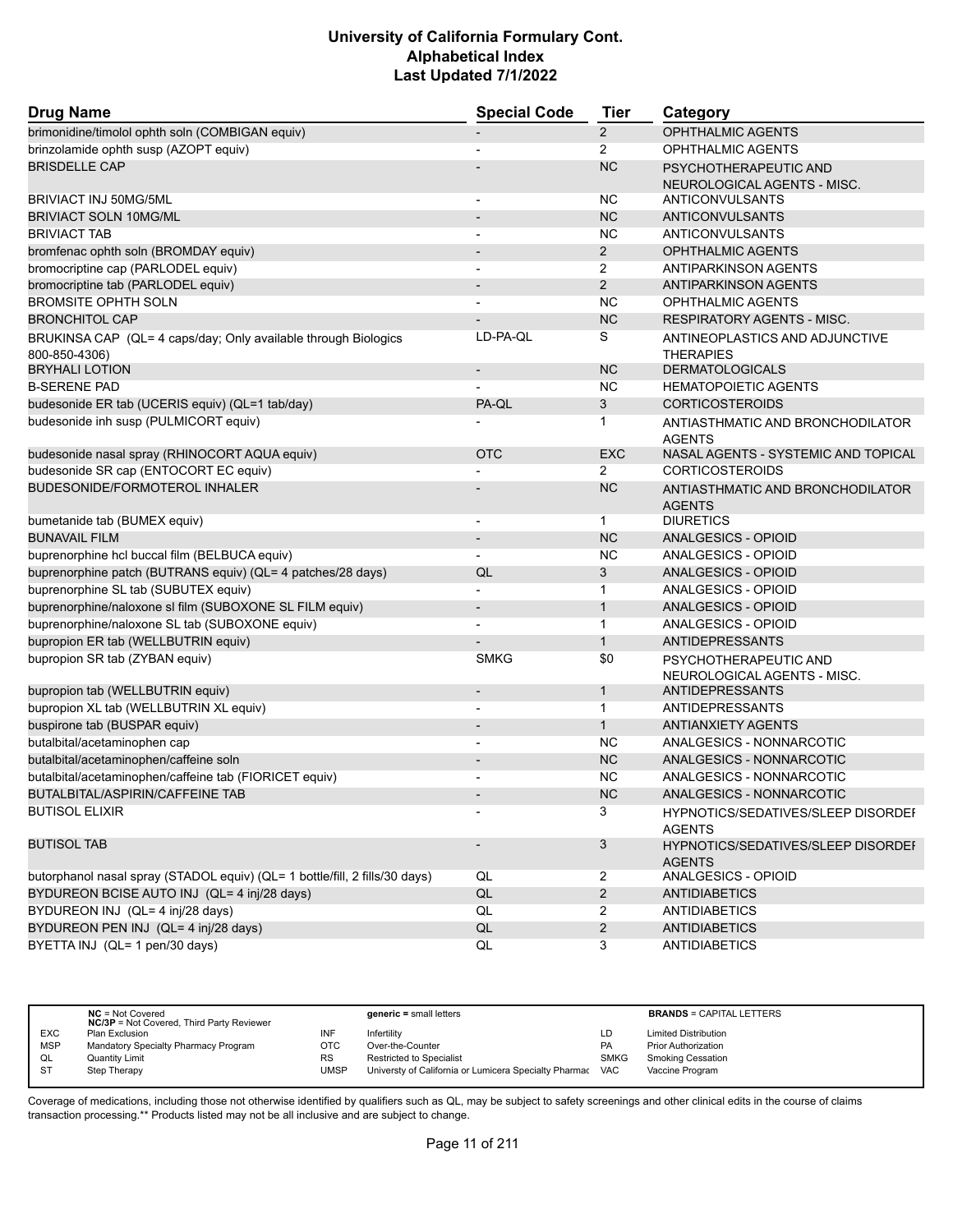| <b>Drug Name</b>                                                                | <b>Special Code</b>      | <b>Tier</b>           | Category                                                   |
|---------------------------------------------------------------------------------|--------------------------|-----------------------|------------------------------------------------------------|
| brimonidine/timolol ophth soln (COMBIGAN equiv)                                 |                          | $\mathbf{2}^{\prime}$ | <b>OPHTHALMIC AGENTS</b>                                   |
| brinzolamide ophth susp (AZOPT equiv)                                           |                          | $\overline{2}$        | OPHTHALMIC AGENTS                                          |
| <b>BRISDELLE CAP</b>                                                            |                          | <b>NC</b>             | PSYCHOTHERAPEUTIC AND                                      |
|                                                                                 |                          |                       | NEUROLOGICAL AGENTS - MISC.                                |
| BRIVIACT INJ 50MG/5ML                                                           | $\overline{a}$           | <b>NC</b>             | <b>ANTICONVULSANTS</b>                                     |
| <b>BRIVIACT SOLN 10MG/ML</b>                                                    |                          | <b>NC</b>             | <b>ANTICONVULSANTS</b>                                     |
| <b>BRIVIACT TAB</b>                                                             |                          | <b>NC</b>             | <b>ANTICONVULSANTS</b>                                     |
| bromfenac ophth soln (BROMDAY equiv)                                            | $\overline{\phantom{a}}$ | $\overline{2}$        | <b>OPHTHALMIC AGENTS</b>                                   |
| bromocriptine cap (PARLODEL equiv)                                              | $\overline{\phantom{a}}$ | 2                     | ANTIPARKINSON AGENTS                                       |
| bromocriptine tab (PARLODEL equiv)                                              |                          | 2                     | <b>ANTIPARKINSON AGENTS</b>                                |
| <b>BROMSITE OPHTH SOLN</b>                                                      |                          | <b>NC</b>             | <b>OPHTHALMIC AGENTS</b>                                   |
| <b>BRONCHITOL CAP</b>                                                           |                          | <b>NC</b>             | <b>RESPIRATORY AGENTS - MISC.</b>                          |
| BRUKINSA CAP (QL= 4 caps/day; Only available through Biologics<br>800-850-4306) | LD-PA-QL                 | S                     | ANTINEOPLASTICS AND ADJUNCTIVE<br><b>THERAPIES</b>         |
| <b>BRYHALI LOTION</b>                                                           |                          | <b>NC</b>             | <b>DERMATOLOGICALS</b>                                     |
| <b>B-SERENE PAD</b>                                                             |                          | <b>NC</b>             | <b>HEMATOPOIETIC AGENTS</b>                                |
| budesonide ER tab (UCERIS equiv) (QL=1 tab/day)                                 | PA-QL                    | 3                     | <b>CORTICOSTEROIDS</b>                                     |
| budesonide inh susp (PULMICORT equiv)                                           |                          | 1                     | ANTIASTHMATIC AND BRONCHODILATOR<br><b>AGENTS</b>          |
| budesonide nasal spray (RHINOCORT AQUA equiv)                                   | <b>OTC</b>               | <b>EXC</b>            | NASAL AGENTS - SYSTEMIC AND TOPICAL                        |
| budesonide SR cap (ENTOCORT EC equiv)                                           |                          | $\overline{2}$        | <b>CORTICOSTEROIDS</b>                                     |
| BUDESONIDE/FORMOTEROL INHALER                                                   |                          | <b>NC</b>             | ANTIASTHMATIC AND BRONCHODILATOR<br><b>AGENTS</b>          |
| bumetanide tab (BUMEX equiv)                                                    |                          | $\mathbf{1}$          | <b>DIURETICS</b>                                           |
| <b>BUNAVAIL FILM</b>                                                            |                          | <b>NC</b>             | ANALGESICS - OPIOID                                        |
| buprenorphine hcl buccal film (BELBUCA equiv)                                   |                          | <b>NC</b>             | ANALGESICS - OPIOID                                        |
| buprenorphine patch (BUTRANS equiv) (QL= 4 patches/28 days)                     | QL                       | 3                     | ANALGESICS - OPIOID                                        |
| buprenorphine SL tab (SUBUTEX equiv)                                            |                          | $\mathbf{1}$          | ANALGESICS - OPIOID                                        |
| buprenorphine/naloxone sl film (SUBOXONE SL FILM equiv)                         | $\overline{\phantom{a}}$ | $\mathbf{1}$          | ANALGESICS - OPIOID                                        |
| buprenorphine/naloxone SL tab (SUBOXONE equiv)                                  |                          | $\mathbf{1}$          | ANALGESICS - OPIOID                                        |
| bupropion ER tab (WELLBUTRIN equiv)                                             |                          | $\mathbf{1}$          | <b>ANTIDEPRESSANTS</b>                                     |
| bupropion SR tab (ZYBAN equiv)                                                  | <b>SMKG</b>              | \$0                   | PSYCHOTHERAPEUTIC AND                                      |
|                                                                                 |                          |                       | NEUROLOGICAL AGENTS - MISC.                                |
| bupropion tab (WELLBUTRIN equiv)                                                |                          | $\mathbf{1}$          | <b>ANTIDEPRESSANTS</b>                                     |
| bupropion XL tab (WELLBUTRIN XL equiv)                                          |                          | $\mathbf{1}$          | <b>ANTIDEPRESSANTS</b>                                     |
| buspirone tab (BUSPAR equiv)                                                    |                          | $\mathbf{1}$          | <b>ANTIANXIETY AGENTS</b>                                  |
| butalbital/acetaminophen cap                                                    |                          | <b>NC</b>             | ANALGESICS - NONNARCOTIC                                   |
| butalbital/acetaminophen/caffeine soln                                          |                          | <b>NC</b>             | ANALGESICS - NONNARCOTIC                                   |
| butalbital/acetaminophen/caffeine tab (FIORICET equiv)                          |                          | <b>NC</b>             | ANALGESICS - NONNARCOTIC                                   |
| BUTALBITAL/ASPIRIN/CAFFEINE TAB                                                 |                          | <b>NC</b>             | <b>ANALGESICS - NONNARCOTIC</b>                            |
| <b>BUTISOL ELIXIR</b>                                                           |                          | 3                     | <b>HYPNOTICS/SEDATIVES/SLEEP DISORDEF</b><br><b>AGENTS</b> |
| <b>BUTISOL TAB</b>                                                              |                          | 3                     | HYPNOTICS/SEDATIVES/SLEEP DISORDEF<br><b>AGENTS</b>        |
| butorphanol nasal spray (STADOL equiv) (QL= 1 bottle/fill, 2 fills/30 days)     | QL                       | $\overline{2}$        | ANALGESICS - OPIOID                                        |
| BYDUREON BCISE AUTO INJ (QL= 4 inj/28 days)                                     | QL                       | $\overline{2}$        | <b>ANTIDIABETICS</b>                                       |
| BYDUREON INJ (QL= 4 inj/28 days)                                                | QL                       | $\overline{2}$        | <b>ANTIDIABETICS</b>                                       |
| BYDUREON PEN INJ (QL= 4 inj/28 days)                                            | QL                       | $\overline{2}$        | <b>ANTIDIABETICS</b>                                       |
| BYETTA INJ (QL= 1 pen/30 days)                                                  | QL                       | 3                     | <b>ANTIDIABETICS</b>                                       |

|            | $NC = Not Covered$<br><b>NC/3P</b> = Not Covered, Third Party Reviewer |      | $generic = small letters$                             |             | <b>BRANDS = CAPITAL LETTERS</b> |
|------------|------------------------------------------------------------------------|------|-------------------------------------------------------|-------------|---------------------------------|
| <b>EXC</b> | Plan Exclusion                                                         | INF  | Infertilitv                                           | LD          | <b>Limited Distribution</b>     |
| <b>MSP</b> | Mandatory Specialty Pharmacy Program                                   | отс  | Over-the-Counter                                      | PA          | <b>Prior Authorization</b>      |
| QL         | <b>Quantity Limit</b>                                                  | RS   | <b>Restricted to Specialist</b>                       | <b>SMKG</b> | Smoking Cessation               |
| ST         | Step Therapy                                                           | UMSP | Universty of California or Lumicera Specialty Pharmac | <b>VAC</b>  | Vaccine Program                 |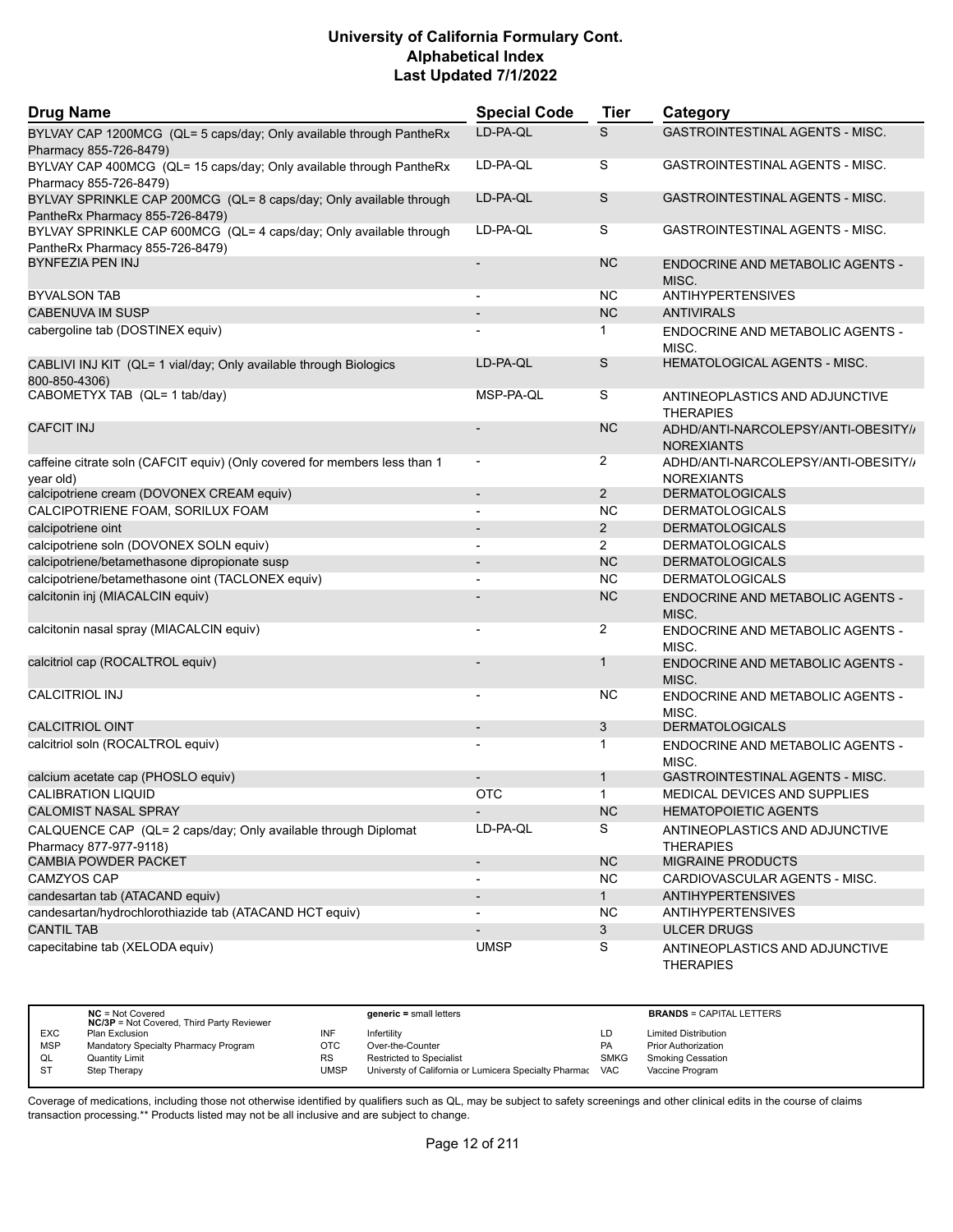| <b>Drug Name</b>                                                                                      | <b>Special Code</b>      | Tier           | Category                                                 |
|-------------------------------------------------------------------------------------------------------|--------------------------|----------------|----------------------------------------------------------|
| BYLVAY CAP 1200MCG (QL= 5 caps/day; Only available through PantheRx<br>Pharmacy 855-726-8479)         | LD-PA-QL                 | S              | <b>GASTROINTESTINAL AGENTS - MISC.</b>                   |
| BYLVAY CAP 400MCG (QL= 15 caps/day; Only available through PantheRx<br>Pharmacy 855-726-8479)         | LD-PA-QL                 | S              | GASTROINTESTINAL AGENTS - MISC.                          |
| BYLVAY SPRINKLE CAP 200MCG (QL= 8 caps/day; Only available through<br>PantheRx Pharmacy 855-726-8479) | LD-PA-QL                 | S              | GASTROINTESTINAL AGENTS - MISC.                          |
| BYLVAY SPRINKLE CAP 600MCG (QL= 4 caps/day; Only available through<br>PantheRx Pharmacy 855-726-8479) | LD-PA-QL                 | S              | GASTROINTESTINAL AGENTS - MISC.                          |
| <b>BYNFEZIA PEN INJ</b>                                                                               | $\overline{\phantom{a}}$ | <b>NC</b>      | <b>ENDOCRINE AND METABOLIC AGENTS -</b><br>MISC.         |
| <b>BYVALSON TAB</b>                                                                                   | $\blacksquare$           | NC.            | <b>ANTIHYPERTENSIVES</b>                                 |
| CABENUVA IM SUSP                                                                                      |                          | <b>NC</b>      | <b>ANTIVIRALS</b>                                        |
| cabergoline tab (DOSTINEX equiv)                                                                      |                          | 1              | <b>ENDOCRINE AND METABOLIC AGENTS -</b><br>MISC.         |
| CABLIVI INJ KIT (QL= 1 vial/day; Only available through Biologics<br>800-850-4306)                    | LD-PA-QL                 | S              | <b>HEMATOLOGICAL AGENTS - MISC.</b>                      |
| CABOMETYX TAB (QL= 1 tab/day)                                                                         | MSP-PA-QL                | S              | ANTINEOPLASTICS AND ADJUNCTIVE<br><b>THERAPIES</b>       |
| <b>CAFCIT INJ</b>                                                                                     |                          | <b>NC</b>      | ADHD/ANTI-NARCOLEPSY/ANTI-OBESITY//<br><b>NOREXIANTS</b> |
| caffeine citrate soln (CAFCIT equiv) (Only covered for members less than 1<br>year old)               | $\overline{\phantom{a}}$ | $\overline{2}$ | ADHD/ANTI-NARCOLEPSY/ANTI-OBESITY//<br><b>NOREXIANTS</b> |
| calcipotriene cream (DOVONEX CREAM equiv)                                                             | $\overline{\phantom{a}}$ | $\overline{2}$ | <b>DERMATOLOGICALS</b>                                   |
| CALCIPOTRIENE FOAM, SORILUX FOAM                                                                      | $\overline{\phantom{a}}$ | <b>NC</b>      | <b>DERMATOLOGICALS</b>                                   |
| calcipotriene oint                                                                                    | $\overline{\phantom{a}}$ | $\overline{2}$ | <b>DERMATOLOGICALS</b>                                   |
| calcipotriene soln (DOVONEX SOLN equiv)                                                               |                          | 2              | <b>DERMATOLOGICALS</b>                                   |
| calcipotriene/betamethasone dipropionate susp                                                         | $\overline{\phantom{a}}$ | <b>NC</b>      | <b>DERMATOLOGICALS</b>                                   |
| calcipotriene/betamethasone oint (TACLONEX equiv)                                                     | $\blacksquare$           | <b>NC</b>      | <b>DERMATOLOGICALS</b>                                   |
| calcitonin inj (MIACALCIN equiv)                                                                      |                          | <b>NC</b>      | ENDOCRINE AND METABOLIC AGENTS -<br>MISC.                |
| calcitonin nasal spray (MIACALCIN equiv)                                                              |                          | 2              | ENDOCRINE AND METABOLIC AGENTS -<br>MISC.                |
| calcitriol cap (ROCALTROL equiv)                                                                      |                          | 1              | ENDOCRINE AND METABOLIC AGENTS -<br>MISC.                |
| <b>CALCITRIOL INJ</b>                                                                                 |                          | <b>NC</b>      | ENDOCRINE AND METABOLIC AGENTS -<br>MISC.                |
| <b>CALCITRIOL OINT</b>                                                                                |                          | 3              | <b>DERMATOLOGICALS</b>                                   |
| calcitriol soln (ROCALTROL equiv)                                                                     |                          | 1              | ENDOCRINE AND METABOLIC AGENTS -<br>MISC.                |
| calcium acetate cap (PHOSLO equiv)                                                                    |                          | $\mathbf{1}$   | <b>GASTROINTESTINAL AGENTS - MISC.</b>                   |
| <b>CALIBRATION LIQUID</b>                                                                             | <b>OTC</b>               | 1              | MEDICAL DEVICES AND SUPPLIES                             |
| <b>CALOMIST NASAL SPRAY</b>                                                                           | $\overline{\phantom{a}}$ | NC             | <b>HEMATOPOIETIC AGENTS</b>                              |
| CALQUENCE CAP (QL= 2 caps/day; Only available through Diplomat<br>Pharmacy 877-977-9118)              | LD-PA-QL                 | S              | ANTINEOPLASTICS AND ADJUNCTIVE<br><b>THERAPIES</b>       |
| <b>CAMBIA POWDER PACKET</b>                                                                           | $\overline{\phantom{a}}$ | <b>NC</b>      | <b>MIGRAINE PRODUCTS</b>                                 |
| CAMZYOS CAP                                                                                           | $\blacksquare$           | <b>NC</b>      | CARDIOVASCULAR AGENTS - MISC.                            |
| candesartan tab (ATACAND equiv)                                                                       |                          | $\mathbf{1}$   | <b>ANTIHYPERTENSIVES</b>                                 |
| candesartan/hydrochlorothiazide tab (ATACAND HCT equiv)                                               |                          | <b>NC</b>      | <b>ANTIHYPERTENSIVES</b>                                 |
| <b>CANTIL TAB</b>                                                                                     | $\overline{\phantom{a}}$ | 3              | <b>ULCER DRUGS</b>                                       |
| capecitabine tab (XELODA equiv)                                                                       | <b>UMSP</b>              | S              | ANTINEOPLASTICS AND ADJUNCTIVE<br><b>THERAPIES</b>       |

|            | $NC = Not Covered$<br><b>NC/3P</b> = Not Covered, Third Party Reviewer |             | $generic = small letters$                             |             | <b>BRANDS = CAPITAL LETTERS</b> |
|------------|------------------------------------------------------------------------|-------------|-------------------------------------------------------|-------------|---------------------------------|
| <b>EXC</b> | Plan Exclusion                                                         | INF         | Infertility                                           | LD          | <b>Limited Distribution</b>     |
| <b>MSP</b> | Mandatory Specialty Pharmacy Program                                   | ОТС         | Over-the-Counter                                      | PA          | <b>Prior Authorization</b>      |
| QL         | <b>Quantity Limit</b>                                                  | <b>RS</b>   | <b>Restricted to Specialist</b>                       | <b>SMKG</b> | <b>Smoking Cessation</b>        |
| -ST        | Step Therapy                                                           | <b>UMSP</b> | Universty of California or Lumicera Specialty Pharmac | <b>VAC</b>  | Vaccine Program                 |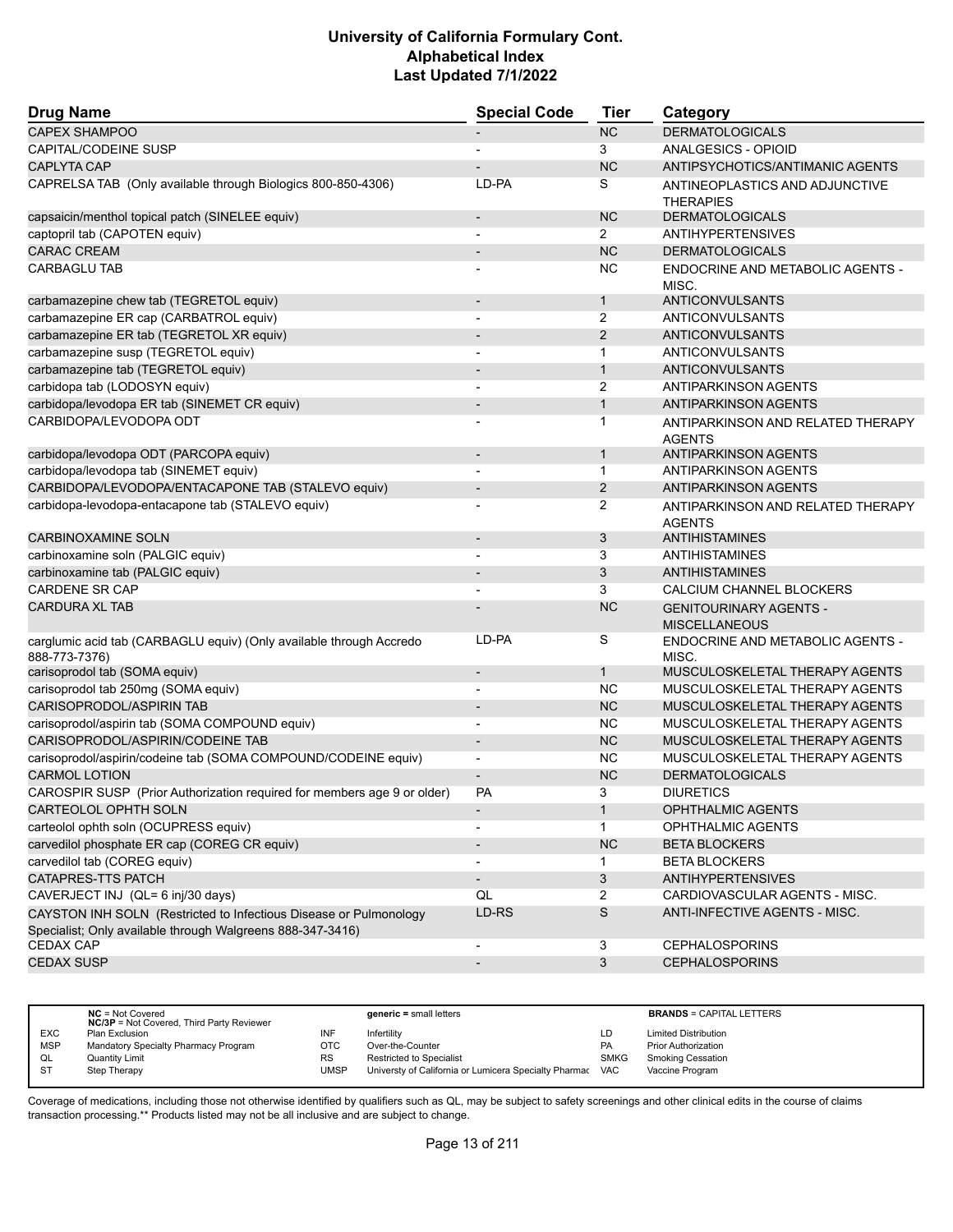| <b>Drug Name</b>                                                                                                                | <b>Special Code</b>      | <b>Tier</b>    | Category                                              |
|---------------------------------------------------------------------------------------------------------------------------------|--------------------------|----------------|-------------------------------------------------------|
| <b>CAPEX SHAMPOO</b>                                                                                                            |                          | <b>NC</b>      | <b>DERMATOLOGICALS</b>                                |
| CAPITAL/CODEINE SUSP                                                                                                            |                          | 3              | ANALGESICS - OPIOID                                   |
| <b>CAPLYTA CAP</b>                                                                                                              |                          | <b>NC</b>      | ANTIPSYCHOTICS/ANTIMANIC AGENTS                       |
| CAPRELSA TAB (Only available through Biologics 800-850-4306)                                                                    | LD-PA                    | S              | ANTINEOPLASTICS AND ADJUNCTIVE<br><b>THERAPIES</b>    |
| capsaicin/menthol topical patch (SINELEE equiv)                                                                                 | $\overline{\phantom{a}}$ | <b>NC</b>      | <b>DERMATOLOGICALS</b>                                |
| captopril tab (CAPOTEN equiv)                                                                                                   | $\overline{\phantom{a}}$ | $\overline{2}$ | <b>ANTIHYPERTENSIVES</b>                              |
| <b>CARAC CREAM</b>                                                                                                              |                          | <b>NC</b>      | <b>DERMATOLOGICALS</b>                                |
| <b>CARBAGLU TAB</b>                                                                                                             |                          | <b>NC</b>      | ENDOCRINE AND METABOLIC AGENTS -<br>MISC.             |
| carbamazepine chew tab (TEGRETOL equiv)                                                                                         | $\overline{\phantom{a}}$ | $\mathbf{1}$   | <b>ANTICONVULSANTS</b>                                |
| carbamazepine ER cap (CARBATROL equiv)                                                                                          |                          | 2              | <b>ANTICONVULSANTS</b>                                |
| carbamazepine ER tab (TEGRETOL XR equiv)                                                                                        |                          | 2              | <b>ANTICONVULSANTS</b>                                |
| carbamazepine susp (TEGRETOL equiv)                                                                                             | $\overline{\phantom{a}}$ | $\mathbf{1}$   | <b>ANTICONVULSANTS</b>                                |
| carbamazepine tab (TEGRETOL equiv)                                                                                              |                          | $\mathbf{1}$   | <b>ANTICONVULSANTS</b>                                |
| carbidopa tab (LODOSYN equiv)                                                                                                   |                          | 2              | <b>ANTIPARKINSON AGENTS</b>                           |
| carbidopa/levodopa ER tab (SINEMET CR equiv)                                                                                    | $\overline{\phantom{a}}$ | $\mathbf{1}$   | <b>ANTIPARKINSON AGENTS</b>                           |
| CARBIDOPA/LEVODOPA ODT                                                                                                          |                          | 1              | ANTIPARKINSON AND RELATED THERAPY                     |
| carbidopa/levodopa ODT (PARCOPA equiv)                                                                                          | $\overline{\phantom{a}}$ | $\mathbf{1}$   | <b>AGENTS</b><br><b>ANTIPARKINSON AGENTS</b>          |
| carbidopa/levodopa tab (SINEMET equiv)                                                                                          |                          | $\mathbf{1}$   | ANTIPARKINSON AGENTS                                  |
| CARBIDOPA/LEVODOPA/ENTACAPONE TAB (STALEVO equiv)                                                                               |                          | 2              |                                                       |
|                                                                                                                                 |                          |                | <b>ANTIPARKINSON AGENTS</b>                           |
| carbidopa-levodopa-entacapone tab (STALEVO equiv)                                                                               |                          | 2              | ANTIPARKINSON AND RELATED THERAPY<br><b>AGENTS</b>    |
| <b>CARBINOXAMINE SOLN</b>                                                                                                       | $\overline{\phantom{a}}$ | 3              | <b>ANTIHISTAMINES</b>                                 |
| carbinoxamine soln (PALGIC equiv)                                                                                               |                          | 3              | <b>ANTIHISTAMINES</b>                                 |
| carbinoxamine tab (PALGIC equiv)                                                                                                |                          | 3              | <b>ANTIHISTAMINES</b>                                 |
| <b>CARDENE SR CAP</b>                                                                                                           | $\blacksquare$           | 3              | CALCIUM CHANNEL BLOCKERS                              |
| <b>CARDURA XL TAB</b>                                                                                                           |                          | <b>NC</b>      | <b>GENITOURINARY AGENTS -</b><br><b>MISCELLANEOUS</b> |
| carglumic acid tab (CARBAGLU equiv) (Only available through Accredo<br>888-773-7376)                                            | LD-PA                    | S              | ENDOCRINE AND METABOLIC AGENTS -<br>MISC.             |
| carisoprodol tab (SOMA equiv)                                                                                                   | $\overline{\phantom{a}}$ | $\mathbf{1}$   | MUSCULOSKELETAL THERAPY AGENTS                        |
| carisoprodol tab 250mg (SOMA equiv)                                                                                             |                          | <b>NC</b>      | MUSCULOSKELETAL THERAPY AGENTS                        |
| CARISOPRODOL/ASPIRIN TAB                                                                                                        | $\blacksquare$           | <b>NC</b>      | MUSCULOSKELETAL THERAPY AGENTS                        |
| carisoprodol/aspirin tab (SOMA COMPOUND equiv)                                                                                  |                          | <b>NC</b>      | MUSCULOSKELETAL THERAPY AGENTS                        |
| CARISOPRODOL/ASPIRIN/CODEINE TAB                                                                                                |                          | <b>NC</b>      | MUSCULOSKELETAL THERAPY AGENTS                        |
| carisoprodol/aspirin/codeine tab (SOMA COMPOUND/CODEINE equiv)                                                                  | $\blacksquare$           | <b>NC</b>      | MUSCULOSKELETAL THERAPY AGENTS                        |
| <b>CARMOL LOTION</b>                                                                                                            |                          | <b>NC</b>      | <b>DERMATOLOGICALS</b>                                |
| CAROSPIR SUSP (Prior Authorization required for members age 9 or older)                                                         | <b>PA</b>                | 3              | <b>DIURETICS</b>                                      |
| <b>CARTEOLOL OPHTH SOLN</b>                                                                                                     | $\overline{\phantom{a}}$ | $\mathbf{1}$   | OPHTHALMIC AGENTS                                     |
| carteolol ophth soln (OCUPRESS equiv)                                                                                           |                          | $\mathbf 1$    | <b>OPHTHALMIC AGENTS</b>                              |
| carvedilol phosphate ER cap (COREG CR equiv)                                                                                    |                          | NC             | <b>BETA BLOCKERS</b>                                  |
| carvedilol tab (COREG equiv)                                                                                                    | $\blacksquare$           | 1              | <b>BETA BLOCKERS</b>                                  |
| CATAPRES-TTS PATCH                                                                                                              |                          | 3              | <b>ANTIHYPERTENSIVES</b>                              |
| CAVERJECT INJ (QL= 6 inj/30 days)                                                                                               | QL                       | $\overline{2}$ | CARDIOVASCULAR AGENTS - MISC.                         |
| CAYSTON INH SOLN (Restricted to Infectious Disease or Pulmonology<br>Specialist; Only available through Walgreens 888-347-3416) | LD-RS                    | $\mathsf S$    | ANTI-INFECTIVE AGENTS - MISC.                         |
| <b>CEDAX CAP</b>                                                                                                                |                          | 3              | <b>CEPHALOSPORINS</b>                                 |
| <b>CEDAX SUSP</b>                                                                                                               | $\overline{\phantom{a}}$ | 3              | <b>CEPHALOSPORINS</b>                                 |
|                                                                                                                                 |                          |                |                                                       |

|            | $NC = Not Covered$<br><b>NC/3P</b> = Not Covered, Third Party Reviewer |      | $generic = small letters$                             |             | <b>BRANDS = CAPITAL LETTERS</b> |
|------------|------------------------------------------------------------------------|------|-------------------------------------------------------|-------------|---------------------------------|
| <b>EXC</b> | Plan Exclusion                                                         | INF  | Infertility                                           | LD          | <b>Limited Distribution</b>     |
| <b>MSP</b> | Mandatory Specialty Pharmacy Program                                   | отс  | Over-the-Counter                                      | <b>PA</b>   | <b>Prior Authorization</b>      |
| QL         | <b>Quantity Limit</b>                                                  | RS   | Restricted to Specialist                              | <b>SMKG</b> | <b>Smoking Cessation</b>        |
| <b>ST</b>  | Step Therapy                                                           | JMSP | Universty of California or Lumicera Specialty Pharmac | VAC         | Vaccine Program                 |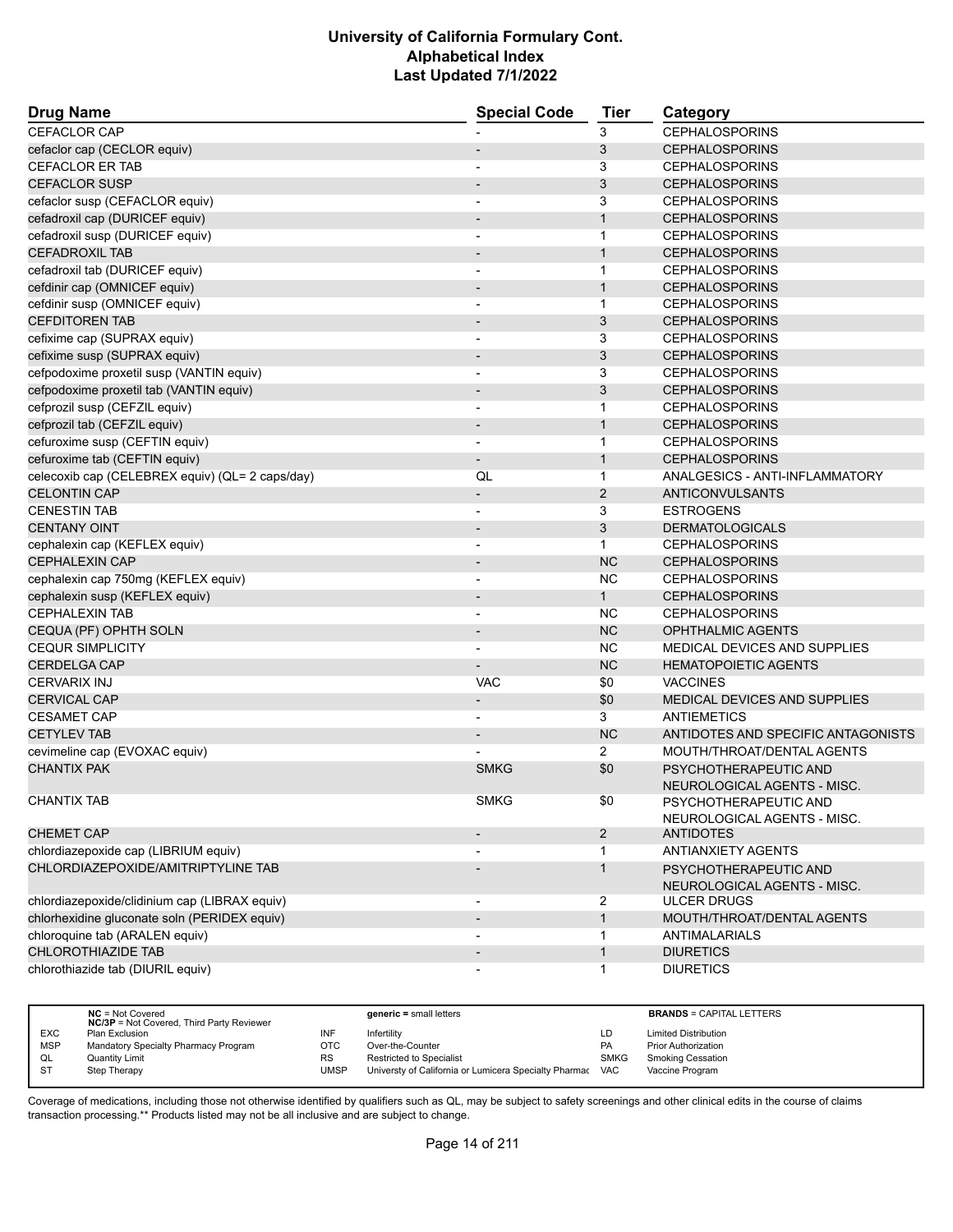| <b>Drug Name</b>                                | <b>Special Code</b>      | <b>Tier</b>    | Category                                             |
|-------------------------------------------------|--------------------------|----------------|------------------------------------------------------|
| CEFACLOR CAP                                    |                          | 3              | <b>CEPHALOSPORINS</b>                                |
| cefaclor cap (CECLOR equiv)                     | $\overline{\phantom{a}}$ | 3              | <b>CEPHALOSPORINS</b>                                |
| <b>CEFACLOR ER TAB</b>                          |                          | 3              | <b>CEPHALOSPORINS</b>                                |
| <b>CEFACLOR SUSP</b>                            |                          | 3              | <b>CEPHALOSPORINS</b>                                |
| cefaclor susp (CEFACLOR equiv)                  |                          | 3              | <b>CEPHALOSPORINS</b>                                |
| cefadroxil cap (DURICEF equiv)                  | $\overline{\phantom{a}}$ | $\mathbf{1}$   | <b>CEPHALOSPORINS</b>                                |
| cefadroxil susp (DURICEF equiv)                 |                          | 1              | <b>CEPHALOSPORINS</b>                                |
| <b>CEFADROXIL TAB</b>                           |                          | $\mathbf{1}$   | <b>CEPHALOSPORINS</b>                                |
| cefadroxil tab (DURICEF equiv)                  | $\overline{\phantom{a}}$ | $\mathbf{1}$   | <b>CEPHALOSPORINS</b>                                |
| cefdinir cap (OMNICEF equiv)                    | $\overline{\phantom{a}}$ | $\mathbf{1}$   | <b>CEPHALOSPORINS</b>                                |
| cefdinir susp (OMNICEF equiv)                   |                          | $\mathbf{1}$   | <b>CEPHALOSPORINS</b>                                |
| <b>CEFDITOREN TAB</b>                           | $\blacksquare$           | 3              | <b>CEPHALOSPORINS</b>                                |
| cefixime cap (SUPRAX equiv)                     | $\overline{\phantom{a}}$ | 3              | <b>CEPHALOSPORINS</b>                                |
| cefixime susp (SUPRAX equiv)                    |                          | 3              | <b>CEPHALOSPORINS</b>                                |
| cefpodoxime proxetil susp (VANTIN equiv)        | $\blacksquare$           | 3              | <b>CEPHALOSPORINS</b>                                |
| cefpodoxime proxetil tab (VANTIN equiv)         |                          | 3              | <b>CEPHALOSPORINS</b>                                |
| cefprozil susp (CEFZIL equiv)                   | $\blacksquare$           | $\mathbf{1}$   | <b>CEPHALOSPORINS</b>                                |
| cefprozil tab (CEFZIL equiv)                    | $\blacksquare$           | $\mathbf{1}$   | <b>CEPHALOSPORINS</b>                                |
| cefuroxime susp (CEFTIN equiv)                  |                          | $\mathbf{1}$   | <b>CEPHALOSPORINS</b>                                |
| cefuroxime tab (CEFTIN equiv)                   | $\overline{\phantom{a}}$ | $\mathbf{1}$   | <b>CEPHALOSPORINS</b>                                |
| celecoxib cap (CELEBREX equiv) (QL= 2 caps/day) | QL                       | $\mathbf{1}$   | ANALGESICS - ANTI-INFLAMMATORY                       |
| <b>CELONTIN CAP</b>                             | $\overline{\phantom{a}}$ | 2              | <b>ANTICONVULSANTS</b>                               |
| <b>CENESTIN TAB</b>                             | $\blacksquare$           | 3              | <b>ESTROGENS</b>                                     |
| <b>CENTANY OINT</b>                             | $\blacksquare$           | 3              | <b>DERMATOLOGICALS</b>                               |
| cephalexin cap (KEFLEX equiv)                   | $\blacksquare$           | $\mathbf{1}$   | <b>CEPHALOSPORINS</b>                                |
| <b>CEPHALEXIN CAP</b>                           |                          | <b>NC</b>      | <b>CEPHALOSPORINS</b>                                |
| cephalexin cap 750mg (KEFLEX equiv)             |                          | <b>NC</b>      | <b>CEPHALOSPORINS</b>                                |
| cephalexin susp (KEFLEX equiv)                  | $\overline{\phantom{a}}$ | 1              | <b>CEPHALOSPORINS</b>                                |
| <b>CEPHALEXIN TAB</b>                           | $\overline{\phantom{a}}$ | NC.            | <b>CEPHALOSPORINS</b>                                |
| CEQUA (PF) OPHTH SOLN                           |                          | <b>NC</b>      | <b>OPHTHALMIC AGENTS</b>                             |
| <b>CEQUR SIMPLICITY</b>                         | $\blacksquare$           | <b>NC</b>      | MEDICAL DEVICES AND SUPPLIES                         |
| <b>CERDELGA CAP</b>                             |                          | <b>NC</b>      | <b>HEMATOPOIETIC AGENTS</b>                          |
| <b>CERVARIX INJ</b>                             | <b>VAC</b>               | \$0            | <b>VACCINES</b>                                      |
| <b>CERVICAL CAP</b>                             | $\overline{\phantom{a}}$ | \$0            | MEDICAL DEVICES AND SUPPLIES                         |
| <b>CESAMET CAP</b>                              | $\overline{\phantom{a}}$ | 3              | <b>ANTIEMETICS</b>                                   |
| <b>CETYLEV TAB</b>                              |                          | <b>NC</b>      | ANTIDOTES AND SPECIFIC ANTAGONISTS                   |
| cevimeline cap (EVOXAC equiv)                   |                          | $\overline{2}$ | MOUTH/THROAT/DENTAL AGENTS                           |
| <b>CHANTIX PAK</b>                              | <b>SMKG</b>              | \$0            | PSYCHOTHERAPEUTIC AND<br>NEUROLOGICAL AGENTS - MISC. |
| <b>CHANTIX TAB</b>                              | <b>SMKG</b>              | \$0            | PSYCHOTHERAPEUTIC AND<br>NEUROLOGICAL AGENTS - MISC. |
| <b>CHEMET CAP</b>                               |                          | $\overline{2}$ | <b>ANTIDOTES</b>                                     |
| chlordiazepoxide cap (LIBRIUM equiv)            |                          | 1              | <b>ANTIANXIETY AGENTS</b>                            |
| CHLORDIAZEPOXIDE/AMITRIPTYLINE TAB              |                          | $\mathbf{1}$   | PSYCHOTHERAPEUTIC AND<br>NEUROLOGICAL AGENTS - MISC. |
| chlordiazepoxide/clidinium cap (LIBRAX equiv)   | $\overline{\phantom{a}}$ | $\overline{2}$ | <b>ULCER DRUGS</b>                                   |
| chlorhexidine gluconate soln (PERIDEX equiv)    | $\overline{\phantom{a}}$ | $\mathbf{1}$   | MOUTH/THROAT/DENTAL AGENTS                           |
| chloroquine tab (ARALEN equiv)                  |                          | $\mathbf{1}$   | <b>ANTIMALARIALS</b>                                 |
| <b>CHLOROTHIAZIDE TAB</b>                       |                          | $\mathbf{1}$   | <b>DIURETICS</b>                                     |
| chlorothiazide tab (DIURIL equiv)               |                          | $\mathbf{1}$   | <b>DIURETICS</b>                                     |

|            | $NC = Not Covered$<br><b>NC/3P</b> = Not Covered, Third Party Reviewer |             | $generic = small letters$                             |             | <b>BRANDS = CAPITAL LETTERS</b> |
|------------|------------------------------------------------------------------------|-------------|-------------------------------------------------------|-------------|---------------------------------|
| <b>EXC</b> | <b>Plan Exclusion</b>                                                  | INF         | Infertilitv                                           | LD          | <b>Limited Distribution</b>     |
| <b>MSP</b> | Mandatory Specialty Pharmacy Program                                   | <b>OTC</b>  | Over-the-Counter                                      | <b>PA</b>   | <b>Prior Authorization</b>      |
| QL         | <b>Quantity Limit</b>                                                  | <b>RS</b>   | Restricted to Specialist                              | <b>SMKG</b> | <b>Smoking Cessation</b>        |
| <b>ST</b>  | Step Therapy                                                           | <b>UMSP</b> | Universty of California or Lumicera Specialty Pharmac | <b>VAC</b>  | Vaccine Program                 |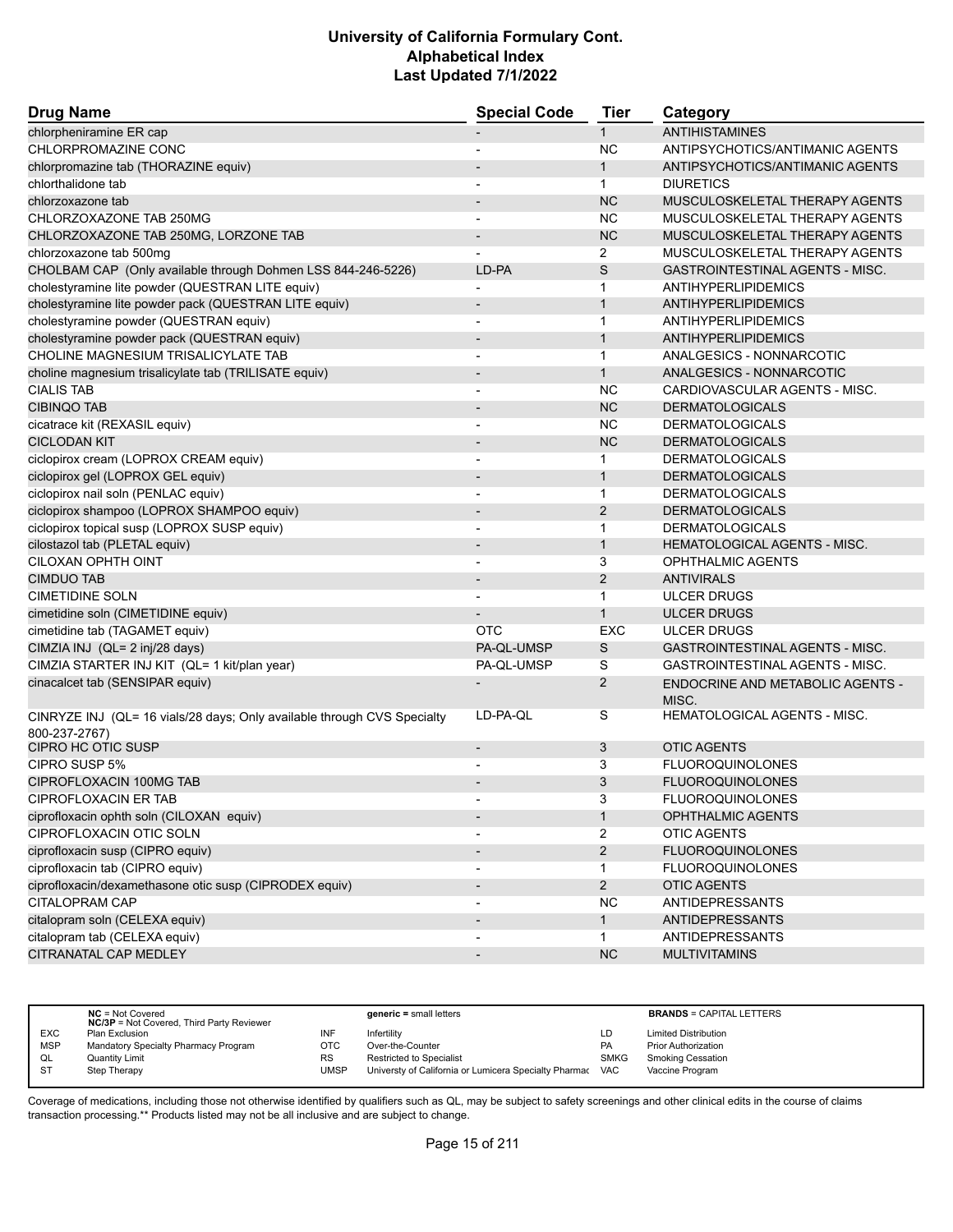| <b>Drug Name</b>                                                                         | <b>Special Code</b>      | <b>Tier</b>       | Category                                  |
|------------------------------------------------------------------------------------------|--------------------------|-------------------|-------------------------------------------|
| chlorpheniramine ER cap                                                                  |                          | $\mathbf{1}$      | <b>ANTIHISTAMINES</b>                     |
| CHLORPROMAZINE CONC                                                                      |                          | <b>NC</b>         | ANTIPSYCHOTICS/ANTIMANIC AGENTS           |
| chlorpromazine tab (THORAZINE equiv)                                                     |                          | $\mathbf{1}$      | ANTIPSYCHOTICS/ANTIMANIC AGENTS           |
| chlorthalidone tab                                                                       |                          | $\mathbf{1}$      | <b>DIURETICS</b>                          |
| chlorzoxazone tab                                                                        | $\overline{\phantom{a}}$ | <b>NC</b>         | MUSCULOSKELETAL THERAPY AGENTS            |
| CHLORZOXAZONE TAB 250MG                                                                  |                          | <b>NC</b>         | MUSCULOSKELETAL THERAPY AGENTS            |
| CHLORZOXAZONE TAB 250MG, LORZONE TAB                                                     |                          | <b>NC</b>         | MUSCULOSKELETAL THERAPY AGENTS            |
| chlorzoxazone tab 500mg                                                                  |                          | $\overline{2}$    | MUSCULOSKELETAL THERAPY AGENTS            |
| CHOLBAM CAP (Only available through Dohmen LSS 844-246-5226)                             | LD-PA                    | S                 | <b>GASTROINTESTINAL AGENTS - MISC.</b>    |
| cholestyramine lite powder (QUESTRAN LITE equiv)                                         | $\blacksquare$           | $\mathbf{1}$      | ANTIHYPERLIPIDEMICS                       |
| cholestyramine lite powder pack (QUESTRAN LITE equiv)                                    | $\overline{\phantom{a}}$ | $\mathbf{1}$      | ANTIHYPERLIPIDEMICS                       |
| cholestyramine powder (QUESTRAN equiv)                                                   | $\overline{\phantom{a}}$ | $\mathbf{1}$      | ANTIHYPERLIPIDEMICS                       |
| cholestyramine powder pack (QUESTRAN equiv)                                              |                          | $\mathbf{1}$      | ANTIHYPERLIPIDEMICS                       |
| CHOLINE MAGNESIUM TRISALICYLATE TAB                                                      |                          | $\mathbf{1}$      | ANALGESICS - NONNARCOTIC                  |
| choline magnesium trisalicylate tab (TRILISATE equiv)                                    | $\overline{\phantom{a}}$ | $\mathbf{1}$      | ANALGESICS - NONNARCOTIC                  |
| <b>CIALIS TAB</b>                                                                        |                          | <b>NC</b>         | CARDIOVASCULAR AGENTS - MISC.             |
| <b>CIBINQO TAB</b>                                                                       |                          | <b>NC</b>         | <b>DERMATOLOGICALS</b>                    |
| cicatrace kit (REXASIL equiv)                                                            | $\blacksquare$           | NC                | <b>DERMATOLOGICALS</b>                    |
| <b>CICLODAN KIT</b>                                                                      | $\overline{\phantom{a}}$ | <b>NC</b>         | <b>DERMATOLOGICALS</b>                    |
| ciclopirox cream (LOPROX CREAM equiv)                                                    |                          | $\mathbf 1$       | <b>DERMATOLOGICALS</b>                    |
| ciclopirox gel (LOPROX GEL equiv)                                                        | $\overline{\phantom{a}}$ | $\mathbf{1}$      | <b>DERMATOLOGICALS</b>                    |
| ciclopirox nail soln (PENLAC equiv)                                                      | $\overline{\phantom{a}}$ | $\mathbf{1}$      | <b>DERMATOLOGICALS</b>                    |
| ciclopirox shampoo (LOPROX SHAMPOO equiv)                                                |                          | 2                 | <b>DERMATOLOGICALS</b>                    |
| ciclopirox topical susp (LOPROX SUSP equiv)                                              | $\blacksquare$           | $\mathbf{1}$      | <b>DERMATOLOGICALS</b>                    |
| cilostazol tab (PLETAL equiv)                                                            | $\overline{\phantom{a}}$ | $\mathbf{1}$      | <b>HEMATOLOGICAL AGENTS - MISC.</b>       |
| CILOXAN OPHTH OINT                                                                       |                          | 3                 | <b>OPHTHALMIC AGENTS</b>                  |
| <b>CIMDUO TAB</b>                                                                        | $\overline{\phantom{a}}$ | $\overline{2}$    | <b>ANTIVIRALS</b>                         |
| <b>CIMETIDINE SOLN</b>                                                                   |                          | $\mathbf 1$       | <b>ULCER DRUGS</b>                        |
| cimetidine soln (CIMETIDINE equiv)                                                       |                          | $\mathbf{1}$      | <b>ULCER DRUGS</b>                        |
| cimetidine tab (TAGAMET equiv)                                                           | <b>OTC</b>               | EXC               | <b>ULCER DRUGS</b>                        |
| CIMZIA INJ (QL= 2 inj/28 days)                                                           | PA-QL-UMSP               | S                 | <b>GASTROINTESTINAL AGENTS - MISC.</b>    |
| CIMZIA STARTER INJ KIT (QL= 1 kit/plan year)                                             | PA-QL-UMSP               | S                 | GASTROINTESTINAL AGENTS - MISC.           |
| cinacalcet tab (SENSIPAR equiv)                                                          |                          | 2                 | ENDOCRINE AND METABOLIC AGENTS -<br>MISC. |
| CINRYZE INJ (QL= 16 vials/28 days; Only available through CVS Specialty<br>800-237-2767) | LD-PA-QL                 | S                 | <b>HEMATOLOGICAL AGENTS - MISC.</b>       |
| CIPRO HC OTIC SUSP                                                                       | $\overline{\phantom{a}}$ | 3                 | <b>OTIC AGENTS</b>                        |
| CIPRO SUSP 5%                                                                            |                          | 3                 | <b>FLUOROQUINOLONES</b>                   |
| <b>CIPROFLOXACIN 100MG TAB</b>                                                           |                          | 3                 | <b>FLUOROQUINOLONES</b>                   |
| CIPROFLOXACIN ER TAB                                                                     |                          |                   | <b>FLUOROQUINOLONES</b>                   |
| ciprofloxacin ophth soln (CILOXAN equiv)                                                 | $\overline{\phantom{a}}$ | 3<br>$\mathbf{1}$ | OPHTHALMIC AGENTS                         |
| CIPROFLOXACIN OTIC SOLN                                                                  |                          | $\overline{2}$    | <b>OTIC AGENTS</b>                        |
| ciprofloxacin susp (CIPRO equiv)                                                         |                          | $\overline{2}$    | <b>FLUOROQUINOLONES</b>                   |
| ciprofloxacin tab (CIPRO equiv)                                                          |                          | $\mathbf{1}$      | <b>FLUOROQUINOLONES</b>                   |
| ciprofloxacin/dexamethasone otic susp (CIPRODEX equiv)                                   |                          |                   |                                           |
|                                                                                          | $\overline{\phantom{a}}$ | $\overline{2}$    | <b>OTIC AGENTS</b>                        |
| CITALOPRAM CAP                                                                           |                          | <b>NC</b>         | <b>ANTIDEPRESSANTS</b>                    |
| citalopram soln (CELEXA equiv)                                                           | $\overline{\phantom{a}}$ | 1                 | <b>ANTIDEPRESSANTS</b>                    |
| citalopram tab (CELEXA equiv)                                                            |                          | $\mathbf{1}$      | ANTIDEPRESSANTS                           |
| CITRANATAL CAP MEDLEY                                                                    |                          | NC                | <b>MULTIVITAMINS</b>                      |

|            | $NC = Not Covered$<br><b>NC/3P</b> = Not Covered, Third Party Reviewer |           | $generic = small letters$                                 |             | <b>BRANDS = CAPITAL LETTERS</b> |
|------------|------------------------------------------------------------------------|-----------|-----------------------------------------------------------|-------------|---------------------------------|
| <b>EXC</b> | Plan Exclusion                                                         | INF       | Infertility                                               | LD          | <b>Limited Distribution</b>     |
| <b>MSP</b> | Mandatory Specialty Pharmacy Program                                   | отс       | Over-the-Counter                                          | <b>PA</b>   | <b>Prior Authorization</b>      |
| QL         | <b>Quantity Limit</b>                                                  | <b>RS</b> | <b>Restricted to Specialist</b>                           | <b>SMKG</b> | <b>Smoking Cessation</b>        |
| <b>ST</b>  | Step Therapy                                                           | UMSP      | Universty of California or Lumicera Specialty Pharmac VAC |             | Vaccine Program                 |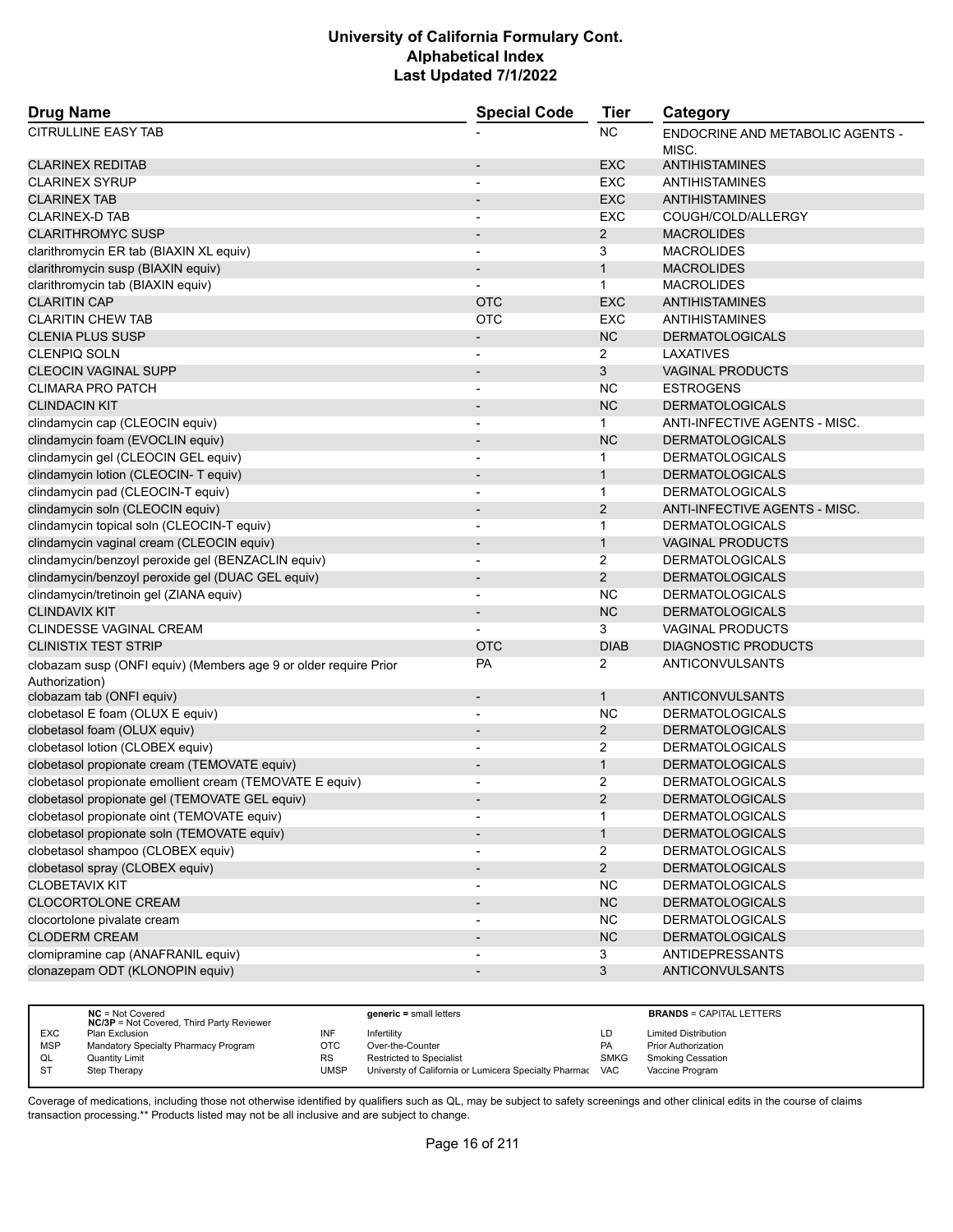| <b>Drug Name</b>                                                                   | <b>Special Code</b>      | <b>Tier</b>    | Category                                         |
|------------------------------------------------------------------------------------|--------------------------|----------------|--------------------------------------------------|
| <b>CITRULLINE EASY TAB</b>                                                         |                          | <b>NC</b>      | <b>ENDOCRINE AND METABOLIC AGENTS -</b><br>MISC. |
| <b>CLARINEX REDITAB</b>                                                            | $\overline{\phantom{a}}$ | <b>EXC</b>     | ANTIHISTAMINES                                   |
| <b>CLARINEX SYRUP</b>                                                              |                          | EXC            | ANTIHISTAMINES                                   |
| <b>CLARINEX TAB</b>                                                                |                          | <b>EXC</b>     | <b>ANTIHISTAMINES</b>                            |
| <b>CLARINEX-D TAB</b>                                                              |                          | EXC            | COUGH/COLD/ALLERGY                               |
| <b>CLARITHROMYC SUSP</b>                                                           | $\overline{\phantom{a}}$ | $\overline{2}$ | <b>MACROLIDES</b>                                |
| clarithromycin ER tab (BIAXIN XL equiv)                                            | $\blacksquare$           | 3              | <b>MACROLIDES</b>                                |
| clarithromycin susp (BIAXIN equiv)                                                 | $\overline{\phantom{a}}$ | $\mathbf{1}$   | <b>MACROLIDES</b>                                |
| clarithromycin tab (BIAXIN equiv)                                                  |                          | $\mathbf{1}$   | <b>MACROLIDES</b>                                |
| <b>CLARITIN CAP</b>                                                                | <b>OTC</b>               | <b>EXC</b>     | ANTIHISTAMINES                                   |
| <b>CLARITIN CHEW TAB</b>                                                           | <b>OTC</b>               | <b>EXC</b>     | <b>ANTIHISTAMINES</b>                            |
| <b>CLENIA PLUS SUSP</b>                                                            | $\overline{\phantom{a}}$ | <b>NC</b>      | <b>DERMATOLOGICALS</b>                           |
| <b>CLENPIQ SOLN</b>                                                                |                          | 2              | LAXATIVES                                        |
| <b>CLEOCIN VAGINAL SUPP</b>                                                        |                          | 3              | <b>VAGINAL PRODUCTS</b>                          |
| <b>CLIMARA PRO PATCH</b>                                                           | $\overline{\phantom{a}}$ | <b>NC</b>      | <b>ESTROGENS</b>                                 |
| <b>CLINDACIN KIT</b>                                                               | $\overline{\phantom{a}}$ | <b>NC</b>      | <b>DERMATOLOGICALS</b>                           |
| clindamycin cap (CLEOCIN equiv)                                                    |                          | $\mathbf{1}$   | ANTI-INFECTIVE AGENTS - MISC.                    |
| clindamycin foam (EVOCLIN equiv)                                                   | $\overline{\phantom{a}}$ | NC             | <b>DERMATOLOGICALS</b>                           |
| clindamycin gel (CLEOCIN GEL equiv)                                                | $\overline{\phantom{a}}$ | $\mathbf{1}$   | <b>DERMATOLOGICALS</b>                           |
| clindamycin lotion (CLEOCIN- T equiv)                                              |                          | 1              | <b>DERMATOLOGICALS</b>                           |
| clindamycin pad (CLEOCIN-T equiv)                                                  | $\blacksquare$           | $\mathbf 1$    | <b>DERMATOLOGICALS</b>                           |
| clindamycin soln (CLEOCIN equiv)                                                   |                          | $\overline{2}$ | ANTI-INFECTIVE AGENTS - MISC.                    |
| clindamycin topical soln (CLEOCIN-T equiv)                                         |                          | $\mathbf{1}$   | <b>DERMATOLOGICALS</b>                           |
| clindamycin vaginal cream (CLEOCIN equiv)                                          | $\overline{\phantom{a}}$ | $\mathbf{1}$   | <b>VAGINAL PRODUCTS</b>                          |
| clindamycin/benzoyl peroxide gel (BENZACLIN equiv)                                 | $\overline{\phantom{a}}$ | 2              | <b>DERMATOLOGICALS</b>                           |
| clindamycin/benzoyl peroxide gel (DUAC GEL equiv)                                  |                          | $\overline{2}$ | <b>DERMATOLOGICALS</b>                           |
| clindamycin/tretinoin gel (ZIANA equiv)                                            | $\blacksquare$           | NC.            | <b>DERMATOLOGICALS</b>                           |
| <b>CLINDAVIX KIT</b>                                                               | $\blacksquare$           | <b>NC</b>      | <b>DERMATOLOGICALS</b>                           |
| CLINDESSE VAGINAL CREAM                                                            |                          | 3              | <b>VAGINAL PRODUCTS</b>                          |
| <b>CLINISTIX TEST STRIP</b>                                                        | <b>OTC</b>               | <b>DIAB</b>    | <b>DIAGNOSTIC PRODUCTS</b>                       |
| clobazam susp (ONFI equiv) (Members age 9 or older require Prior<br>Authorization) | PA                       | 2              | ANTICONVULSANTS                                  |
| clobazam tab (ONFI equiv)                                                          | $\overline{\phantom{a}}$ | $\mathbf{1}$   | ANTICONVULSANTS                                  |
| clobetasol E foam (OLUX E equiv)                                                   |                          | NC.            | <b>DERMATOLOGICALS</b>                           |
| clobetasol foam (OLUX equiv)                                                       |                          | $\overline{2}$ | <b>DERMATOLOGICALS</b>                           |
| clobetasol lotion (CLOBEX equiv)                                                   |                          | 2              | <b>DERMATOLOGICALS</b>                           |
| clobetasol propionate cream (TEMOVATE equiv)                                       |                          | $\mathbf{1}$   | <b>DERMATOLOGICALS</b>                           |
| clobetasol propionate emollient cream (TEMOVATE E equiv)                           |                          | 2              | <b>DERMATOLOGICALS</b>                           |
| clobetasol propionate gel (TEMOVATE GEL equiv)                                     |                          | $\overline{c}$ | <b>DERMATOLOGICALS</b>                           |
| clobetasol propionate oint (TEMOVATE equiv)                                        |                          | 1              | <b>DERMATOLOGICALS</b>                           |
| clobetasol propionate soln (TEMOVATE equiv)                                        |                          | $\mathbf{1}$   | <b>DERMATOLOGICALS</b>                           |
| clobetasol shampoo (CLOBEX equiv)                                                  |                          | $\overline{2}$ | <b>DERMATOLOGICALS</b>                           |
| clobetasol spray (CLOBEX equiv)                                                    | $\overline{\phantom{a}}$ | $\overline{2}$ | <b>DERMATOLOGICALS</b>                           |
| <b>CLOBETAVIX KIT</b>                                                              |                          | <b>NC</b>      | <b>DERMATOLOGICALS</b>                           |
| CLOCORTOLONE CREAM                                                                 | $\overline{\phantom{a}}$ | NC             | <b>DERMATOLOGICALS</b>                           |
| clocortolone pivalate cream<br><b>CLODERM CREAM</b>                                |                          | <b>NC</b>      | <b>DERMATOLOGICALS</b>                           |
| clomipramine cap (ANAFRANIL equiv)                                                 |                          | NC             | <b>DERMATOLOGICALS</b><br><b>ANTIDEPRESSANTS</b> |
| clonazepam ODT (KLONOPIN equiv)                                                    |                          | 3              | ANTICONVULSANTS                                  |
|                                                                                    | $\overline{\phantom{a}}$ | 3              |                                                  |

|            | $NC = Not Covered$<br><b>NC/3P</b> = Not Covered, Third Party Reviewer |           | $generic = small letters$                             |             | <b>BRANDS = CAPITAL LETTERS</b> |
|------------|------------------------------------------------------------------------|-----------|-------------------------------------------------------|-------------|---------------------------------|
| <b>EXC</b> | Plan Exclusion                                                         | INF       | Infertility                                           | LD          | <b>Limited Distribution</b>     |
| <b>MSP</b> | Mandatory Specialty Pharmacy Program                                   | ОТС       | Over-the-Counter                                      | PA          | <b>Prior Authorization</b>      |
| QL         | Quantity Limit                                                         | <b>RS</b> | Restricted to Specialist                              | <b>SMKG</b> | <b>Smoking Cessation</b>        |
| S1         | Step Therapy                                                           | UMSP      | Universty of California or Lumicera Specialty Pharmac | <b>VAC</b>  | Vaccine Program                 |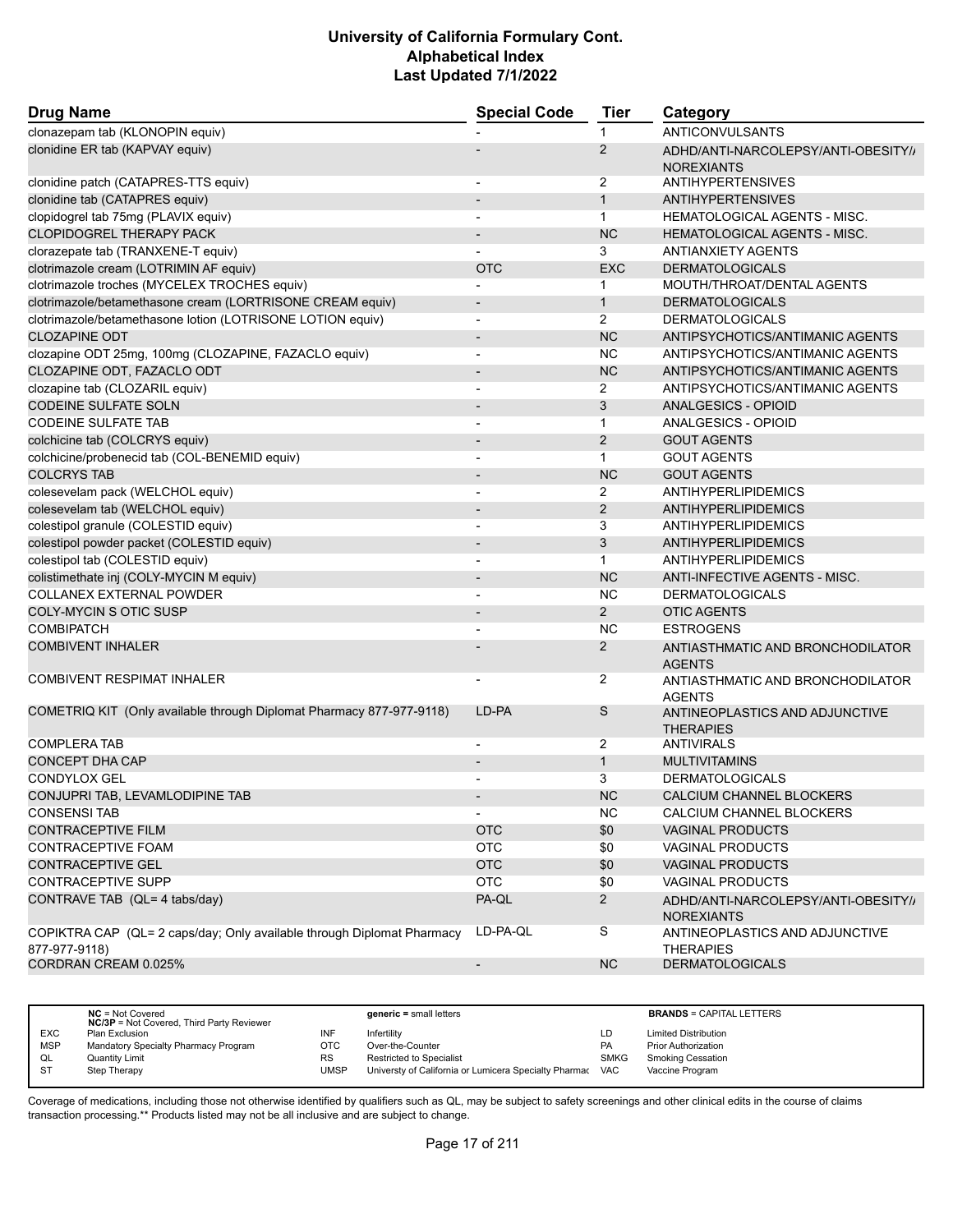| <b>Drug Name</b>                                                                        | <b>Special Code</b>      | <b>Tier</b>    | Category                                                 |
|-----------------------------------------------------------------------------------------|--------------------------|----------------|----------------------------------------------------------|
| clonazepam tab (KLONOPIN equiv)                                                         |                          | 1              | ANTICONVULSANTS                                          |
| clonidine ER tab (KAPVAY equiv)                                                         |                          | $\overline{2}$ | ADHD/ANTI-NARCOLEPSY/ANTI-OBESITY//<br><b>NOREXIANTS</b> |
| clonidine patch (CATAPRES-TTS equiv)                                                    |                          | 2              | <b>ANTIHYPERTENSIVES</b>                                 |
| clonidine tab (CATAPRES equiv)                                                          | $\overline{\phantom{a}}$ | $\mathbf{1}$   | <b>ANTIHYPERTENSIVES</b>                                 |
| clopidogrel tab 75mg (PLAVIX equiv)                                                     |                          | $\mathbf 1$    | <b>HEMATOLOGICAL AGENTS - MISC.</b>                      |
| <b>CLOPIDOGREL THERAPY PACK</b>                                                         |                          | <b>NC</b>      | <b>HEMATOLOGICAL AGENTS - MISC.</b>                      |
| clorazepate tab (TRANXENE-T equiv)                                                      |                          | 3              | <b>ANTIANXIETY AGENTS</b>                                |
| clotrimazole cream (LOTRIMIN AF equiv)                                                  | <b>OTC</b>               | <b>EXC</b>     | <b>DERMATOLOGICALS</b>                                   |
| clotrimazole troches (MYCELEX TROCHES equiv)                                            |                          | 1              | MOUTH/THROAT/DENTAL AGENTS                               |
| clotrimazole/betamethasone cream (LORTRISONE CREAM equiv)                               | $\overline{\phantom{a}}$ | $\mathbf{1}$   | <b>DERMATOLOGICALS</b>                                   |
| clotrimazole/betamethasone lotion (LOTRISONE LOTION equiv)                              |                          | $\overline{2}$ | <b>DERMATOLOGICALS</b>                                   |
| <b>CLOZAPINE ODT</b>                                                                    | $\overline{\phantom{0}}$ | <b>NC</b>      | ANTIPSYCHOTICS/ANTIMANIC AGENTS                          |
| clozapine ODT 25mg, 100mg (CLOZAPINE, FAZACLO equiv)                                    | $\blacksquare$           | <b>NC</b>      | ANTIPSYCHOTICS/ANTIMANIC AGENTS                          |
| CLOZAPINE ODT, FAZACLO ODT                                                              |                          | <b>NC</b>      | ANTIPSYCHOTICS/ANTIMANIC AGENTS                          |
| clozapine tab (CLOZARIL equiv)                                                          | $\blacksquare$           | 2              | ANTIPSYCHOTICS/ANTIMANIC AGENTS                          |
| <b>CODEINE SULFATE SOLN</b>                                                             |                          | 3              | ANALGESICS - OPIOID                                      |
| <b>CODEINE SULFATE TAB</b>                                                              |                          | $\mathbf{1}$   | ANALGESICS - OPIOID                                      |
| colchicine tab (COLCRYS equiv)                                                          |                          | $\overline{2}$ | <b>GOUT AGENTS</b>                                       |
| colchicine/probenecid tab (COL-BENEMID equiv)                                           | $\overline{\phantom{a}}$ | $\mathbf{1}$   | <b>GOUT AGENTS</b>                                       |
| <b>COLCRYS TAB</b>                                                                      |                          | <b>NC</b>      | <b>GOUT AGENTS</b>                                       |
| colesevelam pack (WELCHOL equiv)                                                        | $\blacksquare$           | $\overline{2}$ | ANTIHYPERLIPIDEMICS                                      |
| colesevelam tab (WELCHOL equiv)                                                         |                          | $\overline{2}$ | ANTIHYPERLIPIDEMICS                                      |
| colestipol granule (COLESTID equiv)                                                     |                          | 3              | ANTIHYPERLIPIDEMICS                                      |
| colestipol powder packet (COLESTID equiv)                                               | $\overline{\phantom{a}}$ | 3              | ANTIHYPERLIPIDEMICS                                      |
| colestipol tab (COLESTID equiv)                                                         |                          | $\mathbf{1}$   | ANTIHYPERLIPIDEMICS                                      |
| colistimethate inj (COLY-MYCIN M equiv)                                                 |                          | <b>NC</b>      | ANTI-INFECTIVE AGENTS - MISC.                            |
| COLLANEX EXTERNAL POWDER                                                                | $\blacksquare$           | <b>NC</b>      | <b>DERMATOLOGICALS</b>                                   |
| <b>COLY-MYCIN S OTIC SUSP</b>                                                           |                          | $\overline{2}$ | <b>OTIC AGENTS</b>                                       |
| <b>COMBIPATCH</b>                                                                       |                          | <b>NC</b>      | <b>ESTROGENS</b>                                         |
| <b>COMBIVENT INHALER</b>                                                                |                          | $\mathbf{2}$   | ANTIASTHMATIC AND BRONCHODILATOR<br><b>AGENTS</b>        |
| <b>COMBIVENT RESPIMAT INHALER</b>                                                       | $\overline{\phantom{a}}$ | 2              | ANTIASTHMATIC AND BRONCHODILATOR<br><b>AGENTS</b>        |
| COMETRIQ KIT (Only available through Diplomat Pharmacy 877-977-9118)                    | LD-PA                    | S              | ANTINEOPLASTICS AND ADJUNCTIVE<br><b>THERAPIES</b>       |
| <b>COMPLERA TAB</b>                                                                     |                          | 2              | <b>ANTIVIRALS</b>                                        |
| <b>CONCEPT DHA CAP</b>                                                                  | $\overline{\phantom{0}}$ | $\mathbf{1}$   | <b>MULTIVITAMINS</b>                                     |
| <b>CONDYLOX GEL</b>                                                                     |                          | 3              | <b>DERMATOLOGICALS</b>                                   |
| CONJUPRI TAB, LEVAMLODIPINE TAB                                                         |                          | <b>NC</b>      | CALCIUM CHANNEL BLOCKERS                                 |
| <b>CONSENSI TAB</b>                                                                     | $\overline{\phantom{a}}$ | <b>NC</b>      | CALCIUM CHANNEL BLOCKERS                                 |
| <b>CONTRACEPTIVE FILM</b>                                                               | <b>OTC</b>               | \$0            | <b>VAGINAL PRODUCTS</b>                                  |
| CONTRACEPTIVE FOAM                                                                      | <b>OTC</b>               | \$0            | <b>VAGINAL PRODUCTS</b>                                  |
| <b>CONTRACEPTIVE GEL</b>                                                                | <b>OTC</b>               | \$0            | <b>VAGINAL PRODUCTS</b>                                  |
| <b>CONTRACEPTIVE SUPP</b>                                                               | <b>OTC</b>               | \$0            | VAGINAL PRODUCTS                                         |
| CONTRAVE TAB (QL= 4 tabs/day)                                                           | PA-QL                    | $\overline{2}$ | ADHD/ANTI-NARCOLEPSY/ANTI-OBESITY//<br><b>NOREXIANTS</b> |
| COPIKTRA CAP (QL= 2 caps/day; Only available through Diplomat Pharmacy<br>877-977-9118) | LD-PA-QL                 | S              | ANTINEOPLASTICS AND ADJUNCTIVE<br>THERAPIES              |
| CORDRAN CREAM 0.025%                                                                    | $\overline{\phantom{a}}$ | <b>NC</b>      | <b>DERMATOLOGICALS</b>                                   |
|                                                                                         |                          |                |                                                          |

|            | $NC = Not Covered$<br><b>NC/3P</b> = Not Covered, Third Party Reviewer |           | $generic = small letters$                                 |             | <b>BRANDS = CAPITAL LETTERS</b> |
|------------|------------------------------------------------------------------------|-----------|-----------------------------------------------------------|-------------|---------------------------------|
| <b>EXC</b> | Plan Exclusion                                                         | INF       | Infertility                                               | LD          | <b>Limited Distribution</b>     |
| <b>MSP</b> | Mandatory Specialty Pharmacy Program                                   | ОТС       | Over-the-Counter                                          | <b>PA</b>   | <b>Prior Authorization</b>      |
| QL         | <b>Quantity Limit</b>                                                  | <b>RS</b> | <b>Restricted to Specialist</b>                           | <b>SMKG</b> | <b>Smoking Cessation</b>        |
| <b>ST</b>  | Step Therapy                                                           | UMSP      | Universty of California or Lumicera Specialty Pharmac VAC |             | Vaccine Program                 |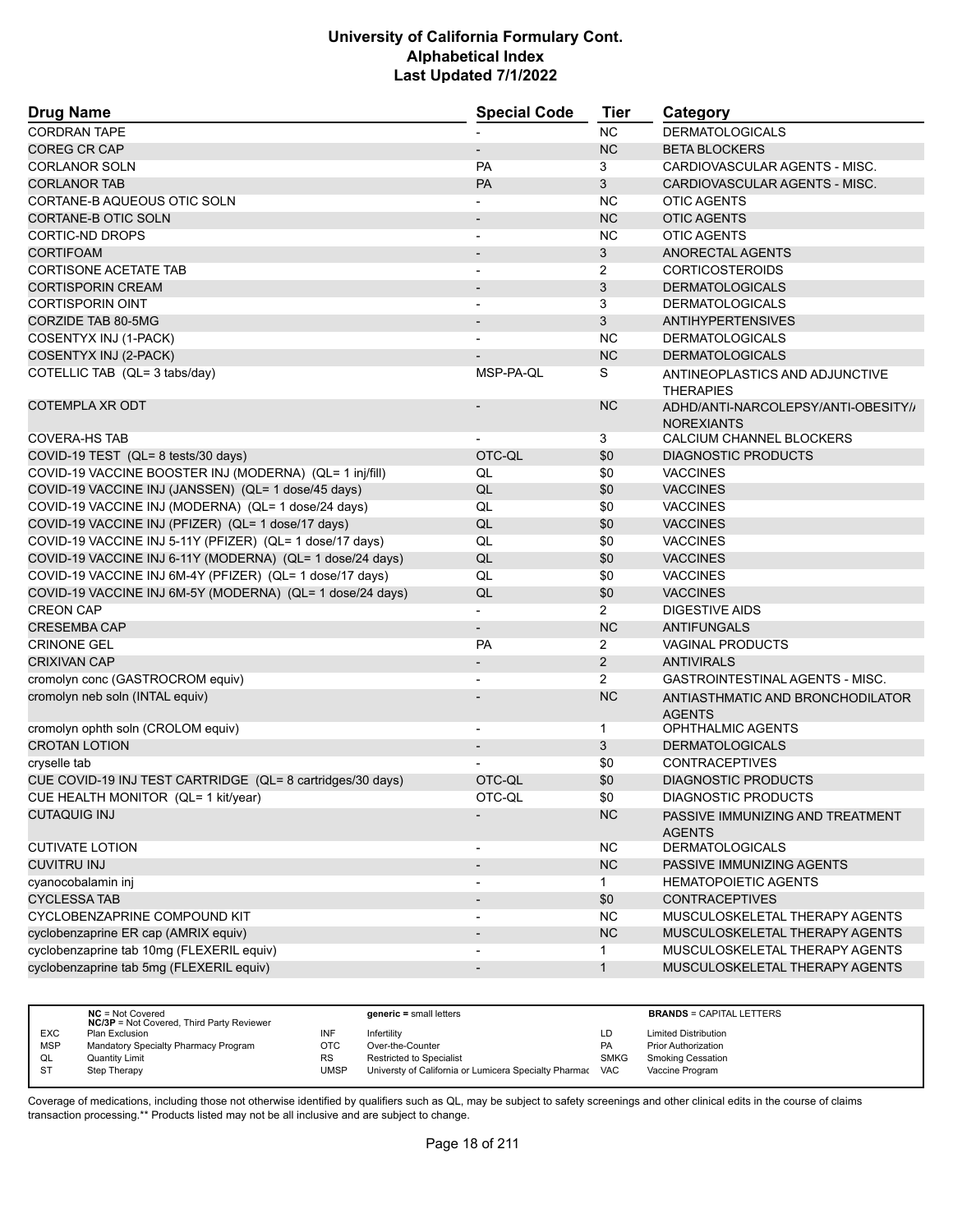| <b>Drug Name</b>                                           | <b>Special Code</b>      | <b>Tier</b>    | Category                                                 |  |
|------------------------------------------------------------|--------------------------|----------------|----------------------------------------------------------|--|
| <b>CORDRAN TAPE</b>                                        |                          | <b>NC</b>      | <b>DERMATOLOGICALS</b>                                   |  |
| <b>COREG CR CAP</b>                                        |                          | <b>NC</b>      | <b>BETA BLOCKERS</b>                                     |  |
| <b>CORLANOR SOLN</b>                                       | PA                       | 3              | CARDIOVASCULAR AGENTS - MISC.                            |  |
| <b>CORLANOR TAB</b>                                        | PA                       | 3              | CARDIOVASCULAR AGENTS - MISC.                            |  |
| CORTANE-B AQUEOUS OTIC SOLN                                |                          | <b>NC</b>      | <b>OTIC AGENTS</b>                                       |  |
| CORTANE-B OTIC SOLN                                        |                          | <b>NC</b>      | <b>OTIC AGENTS</b>                                       |  |
| CORTIC-ND DROPS                                            | ٠                        | ΝC             | <b>OTIC AGENTS</b>                                       |  |
| <b>CORTIFOAM</b>                                           | $\overline{\phantom{m}}$ | 3              | ANORECTAL AGENTS                                         |  |
| <b>CORTISONE ACETATE TAB</b>                               |                          | 2              | <b>CORTICOSTEROIDS</b>                                   |  |
| <b>CORTISPORIN CREAM</b>                                   | $\overline{\phantom{a}}$ | 3              | <b>DERMATOLOGICALS</b>                                   |  |
| <b>CORTISPORIN OINT</b>                                    |                          | 3              | <b>DERMATOLOGICALS</b>                                   |  |
| <b>CORZIDE TAB 80-5MG</b>                                  |                          | 3              | <b>ANTIHYPERTENSIVES</b>                                 |  |
| COSENTYX INJ (1-PACK)                                      |                          | ΝC             | <b>DERMATOLOGICALS</b>                                   |  |
| COSENTYX INJ (2-PACK)                                      |                          | <b>NC</b>      | <b>DERMATOLOGICALS</b>                                   |  |
| COTELLIC TAB (QL= 3 tabs/day)                              | MSP-PA-QL                | S              | ANTINEOPLASTICS AND ADJUNCTIVE<br><b>THERAPIES</b>       |  |
| <b>COTEMPLA XR ODT</b>                                     |                          | <b>NC</b>      | ADHD/ANTI-NARCOLEPSY/ANTI-OBESITY//<br><b>NOREXIANTS</b> |  |
| <b>COVERA-HS TAB</b>                                       |                          | 3              | CALCIUM CHANNEL BLOCKERS                                 |  |
| COVID-19 TEST (QL= 8 tests/30 days)                        | OTC-QL                   | \$0            | <b>DIAGNOSTIC PRODUCTS</b>                               |  |
| COVID-19 VACCINE BOOSTER INJ (MODERNA) (QL= 1 inj/fill)    | QL                       | \$0            | <b>VACCINES</b>                                          |  |
| COVID-19 VACCINE INJ (JANSSEN) (QL= 1 dose/45 days)        | QL                       | \$0            | <b>VACCINES</b>                                          |  |
| COVID-19 VACCINE INJ (MODERNA) (QL= 1 dose/24 days)        | QL                       | \$0            | <b>VACCINES</b>                                          |  |
| COVID-19 VACCINE INJ (PFIZER) (QL= 1 dose/17 days)         | QL                       | \$0            | <b>VACCINES</b>                                          |  |
| COVID-19 VACCINE INJ 5-11Y (PFIZER) (QL= 1 dose/17 days)   | QL                       | \$0            | <b>VACCINES</b>                                          |  |
| COVID-19 VACCINE INJ 6-11Y (MODERNA) (QL= 1 dose/24 days)  | QL                       | \$0            | <b>VACCINES</b>                                          |  |
| COVID-19 VACCINE INJ 6M-4Y (PFIZER) (QL= 1 dose/17 days)   | QL                       | \$0            | <b>VACCINES</b>                                          |  |
| COVID-19 VACCINE INJ 6M-5Y (MODERNA) (QL= 1 dose/24 days)  | QL                       | \$0            | <b>VACCINES</b>                                          |  |
| <b>CREON CAP</b>                                           |                          | $\overline{2}$ | <b>DIGESTIVE AIDS</b>                                    |  |
| <b>CRESEMBA CAP</b>                                        | $\overline{a}$           | <b>NC</b>      | <b>ANTIFUNGALS</b>                                       |  |
| <b>CRINONE GEL</b>                                         | PA                       | 2              | <b>VAGINAL PRODUCTS</b>                                  |  |
| <b>CRIXIVAN CAP</b>                                        |                          | $\overline{2}$ | <b>ANTIVIRALS</b>                                        |  |
| cromolyn conc (GASTROCROM equiv)                           | $\overline{\phantom{a}}$ | $\overline{2}$ | <b>GASTROINTESTINAL AGENTS - MISC.</b>                   |  |
| cromolyn neb soln (INTAL equiv)                            |                          | <b>NC</b>      | ANTIASTHMATIC AND BRONCHODILATOR<br><b>AGENTS</b>        |  |
| cromolyn ophth soln (CROLOM equiv)                         |                          | $\mathbf{1}$   | <b>OPHTHALMIC AGENTS</b>                                 |  |
| <b>CROTAN LOTION</b>                                       |                          | 3              | <b>DERMATOLOGICALS</b>                                   |  |
| cryselle tab                                               |                          | \$0            | <b>CONTRACEPTIVES</b>                                    |  |
| CUE COVID-19 INJ TEST CARTRIDGE (QL= 8 cartridges/30 days) | OTC-QL                   | \$0            | <b>DIAGNOSTIC PRODUCTS</b>                               |  |
| CUE HEALTH MONITOR (QL= 1 kit/year)                        | OTC-QL                   | \$0            | DIAGNOSTIC PRODUCTS                                      |  |
| <b>CUTAQUIG INJ</b>                                        |                          | NC             | PASSIVE IMMUNIZING AND TREATMENT<br><b>AGENTS</b>        |  |
| <b>CUTIVATE LOTION</b>                                     | $\overline{\phantom{a}}$ | NC.            | <b>DERMATOLOGICALS</b>                                   |  |
| <b>CUVITRU INJ</b>                                         |                          | <b>NC</b>      | PASSIVE IMMUNIZING AGENTS                                |  |
| cyanocobalamin inj                                         |                          | $\mathbf{1}$   | <b>HEMATOPOIETIC AGENTS</b>                              |  |
| <b>CYCLESSA TAB</b>                                        |                          | \$0            | <b>CONTRACEPTIVES</b>                                    |  |
| CYCLOBENZAPRINE COMPOUND KIT                               | -                        | NC.            | MUSCULOSKELETAL THERAPY AGENTS                           |  |
| cyclobenzaprine ER cap (AMRIX equiv)                       |                          | NC             | MUSCULOSKELETAL THERAPY AGENTS                           |  |
| cyclobenzaprine tab 10mg (FLEXERIL equiv)                  |                          | $\mathbf 1$    | MUSCULOSKELETAL THERAPY AGENTS                           |  |
| cyclobenzaprine tab 5mg (FLEXERIL equiv)                   | $\overline{\phantom{m}}$ | $\mathbf{1}$   | MUSCULOSKELETAL THERAPY AGENTS                           |  |
|                                                            |                          |                |                                                          |  |

|            | $NC = Not Covered$<br><b>NC/3P</b> = Not Covered, Third Party Reviewer |           | $generic = small letters$                             |             | <b>BRANDS = CAPITAL LETTERS</b> |
|------------|------------------------------------------------------------------------|-----------|-------------------------------------------------------|-------------|---------------------------------|
| <b>EXC</b> | Plan Exclusion                                                         | INF       | Infertility                                           | LD          | <b>Limited Distribution</b>     |
| <b>MSP</b> | Mandatory Specialty Pharmacy Program                                   | OTC.      | Over-the-Counter                                      | <b>PA</b>   | <b>Prior Authorization</b>      |
| QL         | Quantity Limit                                                         | <b>RS</b> | <b>Restricted to Specialist</b>                       | <b>SMKG</b> | <b>Smoking Cessation</b>        |
| <b>ST</b>  | Step Therapy                                                           | UMSP      | Universty of California or Lumicera Specialty Pharmac | VAC         | Vaccine Program                 |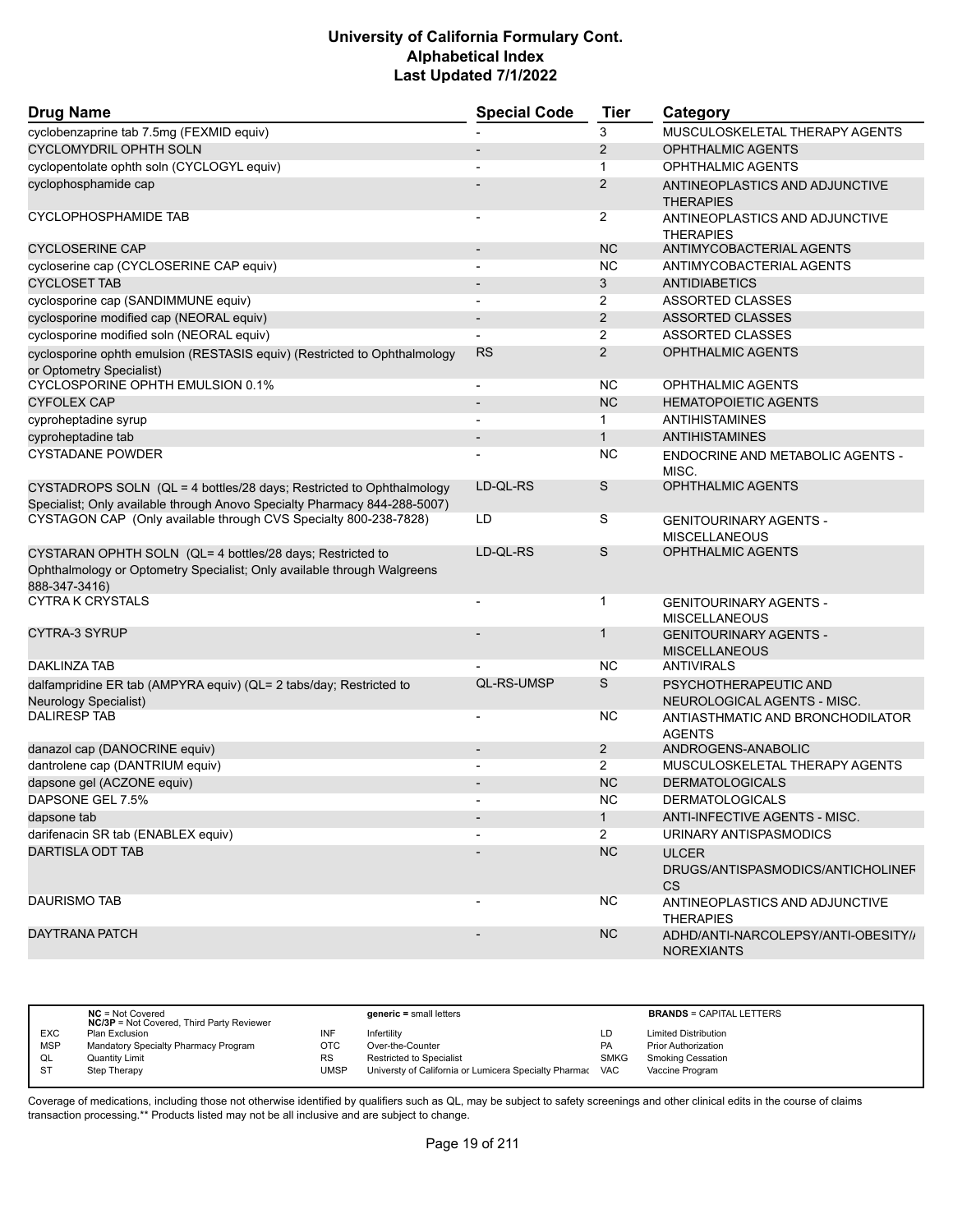| <b>Drug Name</b>                                                                                                                                      | <b>Special Code</b>      | <b>Tier</b>    | Category                                                       |
|-------------------------------------------------------------------------------------------------------------------------------------------------------|--------------------------|----------------|----------------------------------------------------------------|
| cyclobenzaprine tab 7.5mg (FEXMID equiv)                                                                                                              |                          | 3              | MUSCULOSKELETAL THERAPY AGENTS                                 |
| <b>CYCLOMYDRIL OPHTH SOLN</b>                                                                                                                         |                          | 2              | <b>OPHTHALMIC AGENTS</b>                                       |
| cyclopentolate ophth soln (CYCLOGYL equiv)                                                                                                            |                          | $\mathbf{1}$   | <b>OPHTHALMIC AGENTS</b>                                       |
| cyclophosphamide cap                                                                                                                                  |                          | 2              | ANTINEOPLASTICS AND ADJUNCTIVE<br><b>THERAPIES</b>             |
| CYCLOPHOSPHAMIDE TAB                                                                                                                                  |                          | 2              | ANTINEOPLASTICS AND ADJUNCTIVE<br><b>THERAPIES</b>             |
| <b>CYCLOSERINE CAP</b>                                                                                                                                | $\overline{\phantom{a}}$ | <b>NC</b>      | ANTIMYCOBACTERIAL AGENTS                                       |
| cycloserine cap (CYCLOSERINE CAP equiv)                                                                                                               |                          | <b>NC</b>      | ANTIMYCOBACTERIAL AGENTS                                       |
| <b>CYCLOSET TAB</b>                                                                                                                                   |                          | 3              | <b>ANTIDIABETICS</b>                                           |
| cyclosporine cap (SANDIMMUNE equiv)                                                                                                                   | $\blacksquare$           | $\overline{2}$ | <b>ASSORTED CLASSES</b>                                        |
| cyclosporine modified cap (NEORAL equiv)                                                                                                              |                          | 2              | <b>ASSORTED CLASSES</b>                                        |
| cyclosporine modified soln (NEORAL equiv)                                                                                                             |                          | 2              | ASSORTED CLASSES                                               |
| cyclosporine ophth emulsion (RESTASIS equiv) (Restricted to Ophthalmology<br>or Optometry Specialist)                                                 | <b>RS</b>                | 2              | <b>OPHTHALMIC AGENTS</b>                                       |
| CYCLOSPORINE OPHTH EMULSION 0.1%                                                                                                                      | $\blacksquare$           | <b>NC</b>      | <b>OPHTHALMIC AGENTS</b>                                       |
| <b>CYFOLEX CAP</b>                                                                                                                                    |                          | <b>NC</b>      | <b>HEMATOPOIETIC AGENTS</b>                                    |
| cyproheptadine syrup                                                                                                                                  |                          | 1              | <b>ANTIHISTAMINES</b>                                          |
| cyproheptadine tab                                                                                                                                    |                          | $\mathbf{1}$   | <b>ANTIHISTAMINES</b>                                          |
| <b>CYSTADANE POWDER</b>                                                                                                                               |                          | <b>NC</b>      | ENDOCRINE AND METABOLIC AGENTS -<br>MISC.                      |
| CYSTADROPS SOLN (QL = 4 bottles/28 days; Restricted to Ophthalmology<br>Specialist; Only available through Anovo Specialty Pharmacy 844-288-5007)     | LD-QL-RS                 | S              | <b>OPHTHALMIC AGENTS</b>                                       |
| CYSTAGON CAP (Only available through CVS Specialty 800-238-7828)                                                                                      | LD                       | S              | <b>GENITOURINARY AGENTS -</b><br><b>MISCELLANEOUS</b>          |
| CYSTARAN OPHTH SOLN (QL= 4 bottles/28 days; Restricted to<br>Ophthalmology or Optometry Specialist; Only available through Walgreens<br>888-347-3416) | LD-QL-RS                 | S              | <b>OPHTHALMIC AGENTS</b>                                       |
| <b>CYTRA K CRYSTALS</b>                                                                                                                               |                          | $\mathbf{1}$   | <b>GENITOURINARY AGENTS -</b><br><b>MISCELLANEOUS</b>          |
| CYTRA-3 SYRUP                                                                                                                                         |                          | 1              | <b>GENITOURINARY AGENTS -</b><br><b>MISCELLANEOUS</b>          |
| <b>DAKLINZA TAB</b>                                                                                                                                   |                          | <b>NC</b>      | <b>ANTIVIRALS</b>                                              |
| dalfampridine ER tab (AMPYRA equiv) (QL= 2 tabs/day; Restricted to<br>Neurology Specialist)                                                           | QL-RS-UMSP               | S              | PSYCHOTHERAPEUTIC AND<br>NEUROLOGICAL AGENTS - MISC.           |
| <b>DALIRESP TAB</b>                                                                                                                                   | $\blacksquare$           | NС             | ANTIASTHMATIC AND BRONCHODILATOR<br><b>AGENTS</b>              |
| danazol cap (DANOCRINE equiv)                                                                                                                         |                          | $\overline{2}$ | ANDROGENS-ANABOLIC                                             |
| dantrolene cap (DANTRIUM equiv)                                                                                                                       |                          | $\overline{2}$ | MUSCULOSKELETAL THERAPY AGENTS                                 |
| dapsone gel (ACZONE equiv)                                                                                                                            |                          | <b>NC</b>      | <b>DERMATOLOGICALS</b>                                         |
| DAPSONE GEL 7.5%                                                                                                                                      |                          | <b>NC</b>      | <b>DERMATOLOGICALS</b>                                         |
| dapsone tab                                                                                                                                           |                          | $\mathbf{1}$   | ANTI-INFECTIVE AGENTS - MISC.                                  |
| darifenacin SR tab (ENABLEX equiv)                                                                                                                    |                          | $\overline{2}$ | URINARY ANTISPASMODICS                                         |
| <b>DARTISLA ODT TAB</b>                                                                                                                               |                          | NC             | <b>ULCER</b><br>DRUGS/ANTISPASMODICS/ANTICHOLINEF<br><b>CS</b> |
| <b>DAURISMO TAB</b>                                                                                                                                   |                          | <b>NC</b>      | ANTINEOPLASTICS AND ADJUNCTIVE<br><b>THERAPIES</b>             |
| <b>DAYTRANA PATCH</b>                                                                                                                                 |                          | <b>NC</b>      | ADHD/ANTI-NARCOLEPSY/ANTI-OBESITY//<br><b>NOREXIANTS</b>       |

|            | $NC = Not Covered$<br><b>NC/3P</b> = Not Covered, Third Party Reviewer |           | $generic = small letters$                             |             | <b>BRANDS = CAPITAL LETTERS</b> |
|------------|------------------------------------------------------------------------|-----------|-------------------------------------------------------|-------------|---------------------------------|
| <b>EXC</b> | Plan Exclusion                                                         | INF       | Infertility                                           | LD          | <b>Limited Distribution</b>     |
| <b>MSP</b> | Mandatory Specialty Pharmacy Program                                   | OTC       | Over-the-Counter                                      | <b>PA</b>   | <b>Prior Authorization</b>      |
| QL         | Quantity Limit                                                         | <b>RS</b> | <b>Restricted to Specialist</b>                       | <b>SMKG</b> | Smoking Cessation               |
| <b>ST</b>  | Step Therapy                                                           | UMSP      | Universty of California or Lumicera Specialty Pharmac | <b>VAC</b>  | Vaccine Program                 |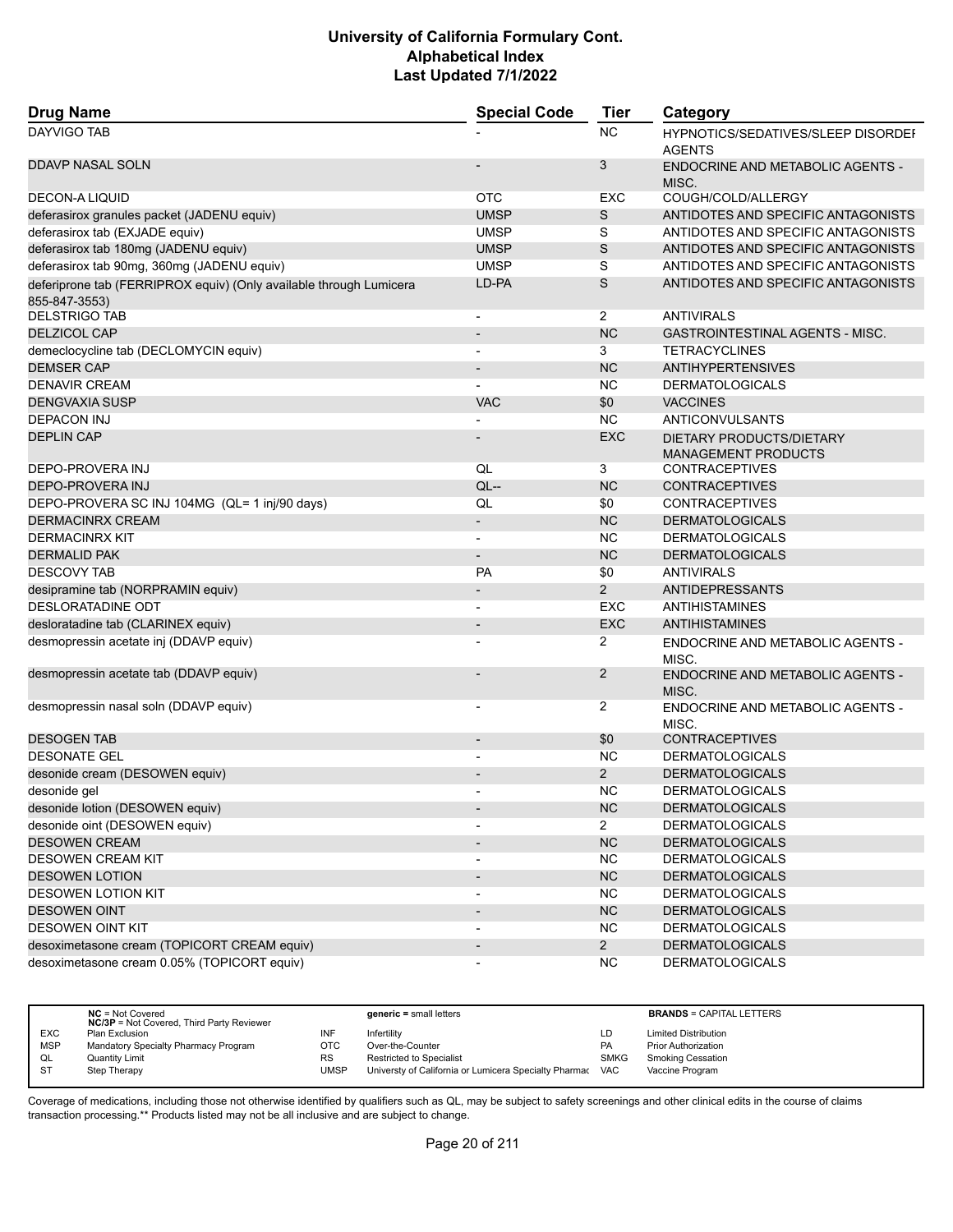| <b>Drug Name</b>                                                                    | <b>Special Code</b>      | <b>Tier</b>    | Category                                                   |
|-------------------------------------------------------------------------------------|--------------------------|----------------|------------------------------------------------------------|
| <b>DAYVIGO TAB</b>                                                                  |                          | <b>NC</b>      | <b>HYPNOTICS/SEDATIVES/SLEEP DISORDEF</b><br><b>AGENTS</b> |
| <b>DDAVP NASAL SOLN</b>                                                             |                          | 3              | <b>ENDOCRINE AND METABOLIC AGENTS -</b><br>MISC.           |
| <b>DECON-A LIQUID</b>                                                               | <b>OTC</b>               | EXC            | COUGH/COLD/ALLERGY                                         |
| deferasirox granules packet (JADENU equiv)                                          | <b>UMSP</b>              | S              | ANTIDOTES AND SPECIFIC ANTAGONISTS                         |
| deferasirox tab (EXJADE equiv)                                                      | <b>UMSP</b>              | S              | ANTIDOTES AND SPECIFIC ANTAGONISTS                         |
| deferasirox tab 180mg (JADENU equiv)                                                | <b>UMSP</b>              | S              | ANTIDOTES AND SPECIFIC ANTAGONISTS                         |
| deferasirox tab 90mg, 360mg (JADENU equiv)                                          | <b>UMSP</b>              | S              | ANTIDOTES AND SPECIFIC ANTAGONISTS                         |
| deferiprone tab (FERRIPROX equiv) (Only available through Lumicera<br>855-847-3553) | LD-PA                    | S              | ANTIDOTES AND SPECIFIC ANTAGONISTS                         |
| <b>DELSTRIGO TAB</b>                                                                | $\overline{\phantom{a}}$ | $\overline{2}$ | <b>ANTIVIRALS</b>                                          |
| <b>DELZICOL CAP</b>                                                                 | $\blacksquare$           | <b>NC</b>      | GASTROINTESTINAL AGENTS - MISC.                            |
| demeclocycline tab (DECLOMYCIN equiv)                                               | $\overline{\phantom{a}}$ | 3              | <b>TETRACYCLINES</b>                                       |
| <b>DEMSER CAP</b>                                                                   |                          | <b>NC</b>      | <b>ANTIHYPERTENSIVES</b>                                   |
| <b>DENAVIR CREAM</b>                                                                |                          | <b>NC</b>      | <b>DERMATOLOGICALS</b>                                     |
| <b>DENGVAXIA SUSP</b>                                                               | <b>VAC</b>               | \$0            | <b>VACCINES</b>                                            |
| <b>DEPACON INJ</b>                                                                  |                          | <b>NC</b>      | ANTICONVULSANTS                                            |
| <b>DEPLIN CAP</b>                                                                   |                          | <b>EXC</b>     | DIETARY PRODUCTS/DIETARY<br><b>MANAGEMENT PRODUCTS</b>     |
| DEPO-PROVERA INJ                                                                    | QL                       | 3              | <b>CONTRACEPTIVES</b>                                      |
| DEPO-PROVERA INJ                                                                    | $QL$ --                  | <b>NC</b>      | <b>CONTRACEPTIVES</b>                                      |
| DEPO-PROVERA SC INJ 104MG (QL= 1 inj/90 days)                                       | QL                       | \$0            | <b>CONTRACEPTIVES</b>                                      |
| <b>DERMACINRX CREAM</b>                                                             | $\overline{\phantom{a}}$ | <b>NC</b>      | <b>DERMATOLOGICALS</b>                                     |
| <b>DERMACINRX KIT</b>                                                               | $\blacksquare$           | <b>NC</b>      | <b>DERMATOLOGICALS</b>                                     |
| <b>DERMALID PAK</b>                                                                 | $\overline{\phantom{a}}$ | <b>NC</b>      | <b>DERMATOLOGICALS</b>                                     |
| <b>DESCOVY TAB</b>                                                                  | <b>PA</b>                | \$0            | <b>ANTIVIRALS</b>                                          |
| desipramine tab (NORPRAMIN equiv)                                                   | $\overline{\phantom{a}}$ | $\overline{2}$ | <b>ANTIDEPRESSANTS</b>                                     |
| DESLORATADINE ODT                                                                   | $\overline{\phantom{a}}$ | <b>EXC</b>     | ANTIHISTAMINES                                             |
| desloratadine tab (CLARINEX equiv)                                                  |                          | <b>EXC</b>     | ANTIHISTAMINES                                             |
| desmopressin acetate inj (DDAVP equiv)                                              | $\overline{\phantom{a}}$ | $\overline{2}$ | ENDOCRINE AND METABOLIC AGENTS -<br>MISC.                  |
| desmopressin acetate tab (DDAVP equiv)                                              |                          | 2              | <b>ENDOCRINE AND METABOLIC AGENTS -</b><br>MISC.           |
| desmopressin nasal soln (DDAVP equiv)                                               | $\overline{\phantom{a}}$ | $\overline{2}$ | <b>ENDOCRINE AND METABOLIC AGENTS -</b><br>MISC.           |
| <b>DESOGEN TAB</b>                                                                  | $\overline{\phantom{a}}$ | \$0            | <b>CONTRACEPTIVES</b>                                      |
| <b>DESONATE GEL</b>                                                                 |                          | <b>NC</b>      | <b>DERMATOLOGICALS</b>                                     |
| desonide cream (DESOWEN equiv)                                                      |                          | $\overline{2}$ | <b>DERMATOLOGICALS</b>                                     |
| desonide gel                                                                        | $\blacksquare$           | <b>NC</b>      | <b>DERMATOLOGICALS</b>                                     |
| desonide lotion (DESOWEN equiv)                                                     | $\overline{\phantom{a}}$ | NC             | <b>DERMATOLOGICALS</b>                                     |
| desonide oint (DESOWEN equiv)                                                       |                          | $\overline{2}$ | <b>DERMATOLOGICALS</b>                                     |
| <b>DESOWEN CREAM</b>                                                                |                          | NC             | <b>DERMATOLOGICALS</b>                                     |
| DESOWEN CREAM KIT                                                                   | $\overline{\phantom{a}}$ | <b>NC</b>      | <b>DERMATOLOGICALS</b>                                     |
| <b>DESOWEN LOTION</b>                                                               | $\overline{\phantom{a}}$ | NC             | <b>DERMATOLOGICALS</b>                                     |
| <b>DESOWEN LOTION KIT</b>                                                           | $\overline{\phantom{a}}$ | <b>NC</b>      | <b>DERMATOLOGICALS</b>                                     |
| <b>DESOWEN OINT</b>                                                                 | $\overline{\phantom{a}}$ | NC             | <b>DERMATOLOGICALS</b>                                     |
| <b>DESOWEN OINT KIT</b>                                                             |                          | <b>NC</b>      | <b>DERMATOLOGICALS</b>                                     |
| desoximetasone cream (TOPICORT CREAM equiv)                                         |                          | $2^{\circ}$    | <b>DERMATOLOGICALS</b>                                     |
| desoximetasone cream 0.05% (TOPICORT equiv)                                         | $\overline{\phantom{a}}$ | <b>NC</b>      | <b>DERMATOLOGICALS</b>                                     |

|            | $NC = Not Covered$<br><b>NC/3P</b> = Not Covered, Third Party Reviewer |           | generic = small letters                               |             | <b>BRANDS = CAPITAL LETTERS</b> |
|------------|------------------------------------------------------------------------|-----------|-------------------------------------------------------|-------------|---------------------------------|
| <b>EXC</b> | Plan Exclusion                                                         | INF       | Infertilitv                                           | LD          | <b>Limited Distribution</b>     |
| <b>MSP</b> | Mandatory Specialty Pharmacy Program                                   | ОТС       | Over-the-Counter                                      | <b>PA</b>   | <b>Prior Authorization</b>      |
| QL         | Quantity Limit                                                         | <b>RS</b> | <b>Restricted to Specialist</b>                       | <b>SMKG</b> | <b>Smoking Cessation</b>        |
| S1         | Step Therapy                                                           | UMSP      | Universty of California or Lumicera Specialty Pharmac | <b>VAC</b>  | Vaccine Program                 |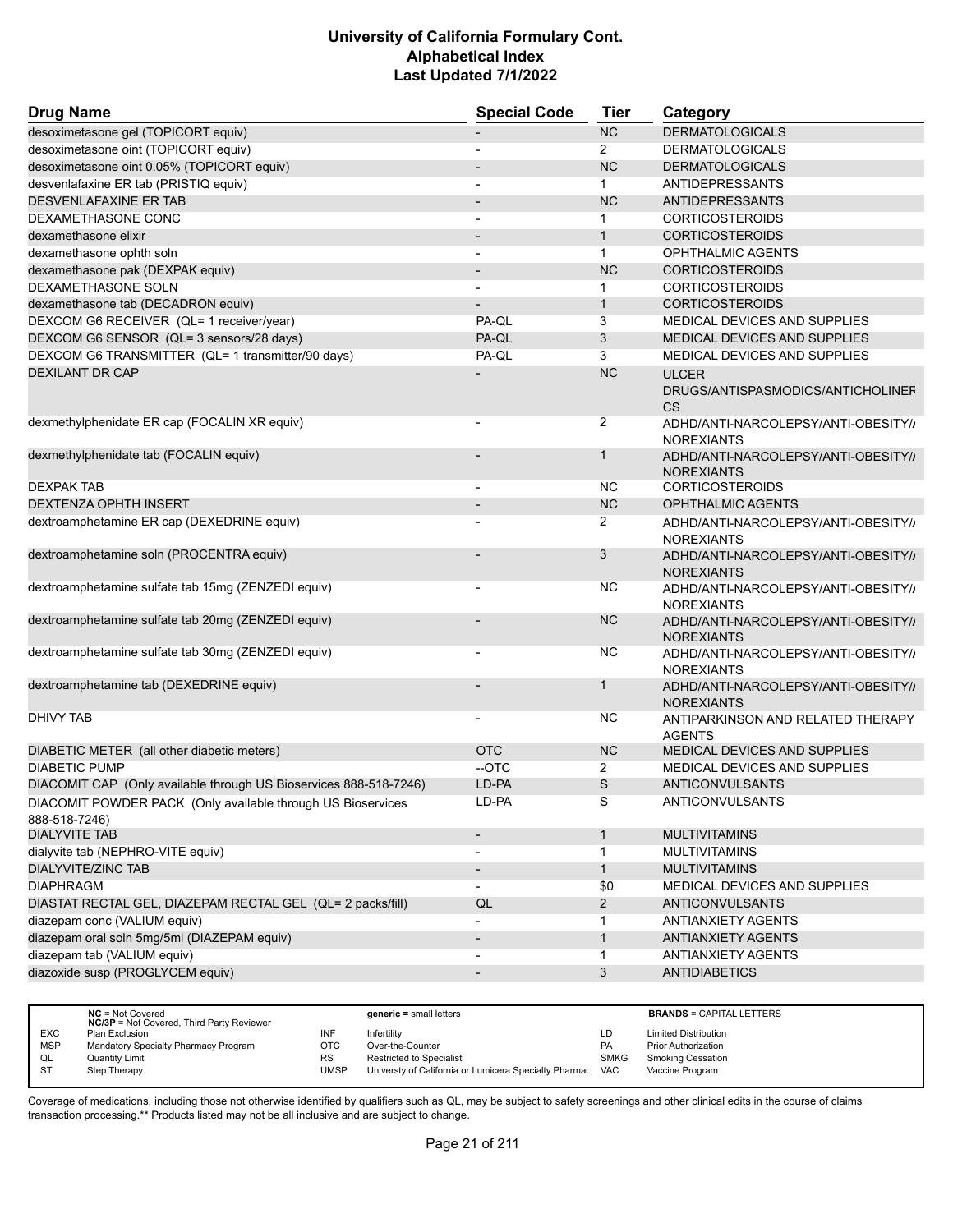| <b>Drug Name</b>                                                             | <b>Special Code</b>      | <b>Tier</b>    | Category                                                 |
|------------------------------------------------------------------------------|--------------------------|----------------|----------------------------------------------------------|
| desoximetasone gel (TOPICORT equiv)                                          |                          | <b>NC</b>      | <b>DERMATOLOGICALS</b>                                   |
| desoximetasone oint (TOPICORT equiv)                                         |                          | $\overline{2}$ | <b>DERMATOLOGICALS</b>                                   |
| desoximetasone oint 0.05% (TOPICORT equiv)                                   |                          | <b>NC</b>      | <b>DERMATOLOGICALS</b>                                   |
| desvenlafaxine ER tab (PRISTIQ equiv)                                        |                          | $\mathbf{1}$   | ANTIDEPRESSANTS                                          |
| <b>DESVENLAFAXINE ER TAB</b>                                                 |                          | <b>NC</b>      | ANTIDEPRESSANTS                                          |
| DEXAMETHASONE CONC                                                           |                          | 1              | <b>CORTICOSTEROIDS</b>                                   |
| dexamethasone elixir                                                         |                          | $\mathbf{1}$   | <b>CORTICOSTEROIDS</b>                                   |
| dexamethasone ophth soln                                                     |                          | $\mathbf{1}$   | <b>OPHTHALMIC AGENTS</b>                                 |
| dexamethasone pak (DEXPAK equiv)                                             |                          | <b>NC</b>      | <b>CORTICOSTEROIDS</b>                                   |
| DEXAMETHASONE SOLN                                                           |                          | 1              | <b>CORTICOSTEROIDS</b>                                   |
| dexamethasone tab (DECADRON equiv)                                           |                          | $\mathbf{1}$   | <b>CORTICOSTEROIDS</b>                                   |
| DEXCOM G6 RECEIVER (QL= 1 receiver/year)                                     | PA-QL                    | 3              | MEDICAL DEVICES AND SUPPLIES                             |
| DEXCOM G6 SENSOR (QL= 3 sensors/28 days)                                     | PA-QL                    | 3              | MEDICAL DEVICES AND SUPPLIES                             |
| DEXCOM G6 TRANSMITTER (QL= 1 transmitter/90 days)                            | PA-QL                    | 3              | MEDICAL DEVICES AND SUPPLIES                             |
| <b>DEXILANT DR CAP</b>                                                       |                          | <b>NC</b>      | <b>ULCER</b>                                             |
|                                                                              |                          |                | DRUGS/ANTISPASMODICS/ANTICHOLINEF<br><b>CS</b>           |
| dexmethylphenidate ER cap (FOCALIN XR equiv)                                 |                          | 2              | ADHD/ANTI-NARCOLEPSY/ANTI-OBESITY//<br><b>NOREXIANTS</b> |
| dexmethylphenidate tab (FOCALIN equiv)                                       |                          | $\mathbf 1$    | ADHD/ANTI-NARCOLEPSY/ANTI-OBESITY/<br><b>NOREXIANTS</b>  |
| <b>DEXPAK TAB</b>                                                            |                          | NC             | <b>CORTICOSTEROIDS</b>                                   |
| <b>DEXTENZA OPHTH INSERT</b>                                                 |                          | <b>NC</b>      | <b>OPHTHALMIC AGENTS</b>                                 |
| dextroamphetamine ER cap (DEXEDRINE equiv)                                   |                          | $\overline{2}$ | ADHD/ANTI-NARCOLEPSY/ANTI-OBESITY//<br><b>NOREXIANTS</b> |
| dextroamphetamine soln (PROCENTRA equiv)                                     |                          | 3              | ADHD/ANTI-NARCOLEPSY/ANTI-OBESITY//<br><b>NOREXIANTS</b> |
| dextroamphetamine sulfate tab 15mg (ZENZEDI equiv)                           | $\overline{\phantom{a}}$ | NС             | ADHD/ANTI-NARCOLEPSY/ANTI-OBESITY//<br><b>NOREXIANTS</b> |
| dextroamphetamine sulfate tab 20mg (ZENZEDI equiv)                           |                          | <b>NC</b>      | ADHD/ANTI-NARCOLEPSY/ANTI-OBESITY//<br><b>NOREXIANTS</b> |
| dextroamphetamine sulfate tab 30mg (ZENZEDI equiv)                           |                          | NC             | ADHD/ANTI-NARCOLEPSY/ANTI-OBESITY//<br><b>NOREXIANTS</b> |
| dextroamphetamine tab (DEXEDRINE equiv)                                      |                          | $\mathbf 1$    | ADHD/ANTI-NARCOLEPSY/ANTI-OBESITY//<br><b>NOREXIANTS</b> |
| DHIVY TAB                                                                    | $\overline{\phantom{a}}$ | NС             | ANTIPARKINSON AND RELATED THERAPY<br><b>AGENTS</b>       |
| DIABETIC METER (all other diabetic meters)                                   | <b>OTC</b>               | <b>NC</b>      | MEDICAL DEVICES AND SUPPLIES                             |
| <b>DIABETIC PUMP</b>                                                         | --OTC                    | $\overline{2}$ | MEDICAL DEVICES AND SUPPLIES                             |
| DIACOMIT CAP (Only available through US Bioservices 888-518-7246)            | LD-PA                    | S              | <b>ANTICONVULSANTS</b>                                   |
| DIACOMIT POWDER PACK (Only available through US Bioservices<br>888-518-7246) | LD-PA                    | S              | ANTICONVULSANTS                                          |
| <b>DIALYVITE TAB</b>                                                         | $\overline{\phantom{a}}$ | $\mathbf{1}$   | <b>MULTIVITAMINS</b>                                     |
| dialyvite tab (NEPHRO-VITE equiv)                                            | $\overline{\phantom{a}}$ | $\mathbf 1$    | <b>MULTIVITAMINS</b>                                     |
| <b>DIALYVITE/ZINC TAB</b>                                                    | $\overline{\phantom{a}}$ | $\mathbf{1}$   | <b>MULTIVITAMINS</b>                                     |
| <b>DIAPHRAGM</b>                                                             | $\overline{\phantom{a}}$ | \$0            | MEDICAL DEVICES AND SUPPLIES                             |
| DIASTAT RECTAL GEL, DIAZEPAM RECTAL GEL (QL= 2 packs/fill)                   | QL                       | $\overline{2}$ | <b>ANTICONVULSANTS</b>                                   |
| diazepam conc (VALIUM equiv)                                                 | $\overline{\phantom{a}}$ | 1              | <b>ANTIANXIETY AGENTS</b>                                |
| diazepam oral soln 5mg/5ml (DIAZEPAM equiv)                                  | $\overline{\phantom{a}}$ | $\mathbf{1}$   | <b>ANTIANXIETY AGENTS</b>                                |
| diazepam tab (VALIUM equiv)                                                  | $\blacksquare$           | $\mathbf{1}$   | <b>ANTIANXIETY AGENTS</b>                                |
| diazoxide susp (PROGLYCEM equiv)                                             | $\overline{\phantom{a}}$ | 3              | <b>ANTIDIABETICS</b>                                     |
|                                                                              |                          |                |                                                          |

|            | $NC = Not Covered$<br><b>NC/3P</b> = Not Covered, Third Party Reviewer |           | $generic = small letters$                             |             | <b>BRANDS = CAPITAL LETTERS</b> |
|------------|------------------------------------------------------------------------|-----------|-------------------------------------------------------|-------------|---------------------------------|
| <b>EXC</b> | Plan Exclusion                                                         | INF       | Infertility                                           | LD.         | <b>Limited Distribution</b>     |
| <b>MSP</b> | Mandatory Specialty Pharmacy Program                                   | отс       | Over-the-Counter                                      | PA          | <b>Prior Authorization</b>      |
| QL         | Quantity Limit                                                         | <b>RS</b> | <b>Restricted to Specialist</b>                       | <b>SMKG</b> | Smoking Cessation               |
| <b>ST</b>  | Step Therapy                                                           | UMSP      | Universty of California or Lumicera Specialty Pharmac | VAC         | Vaccine Program                 |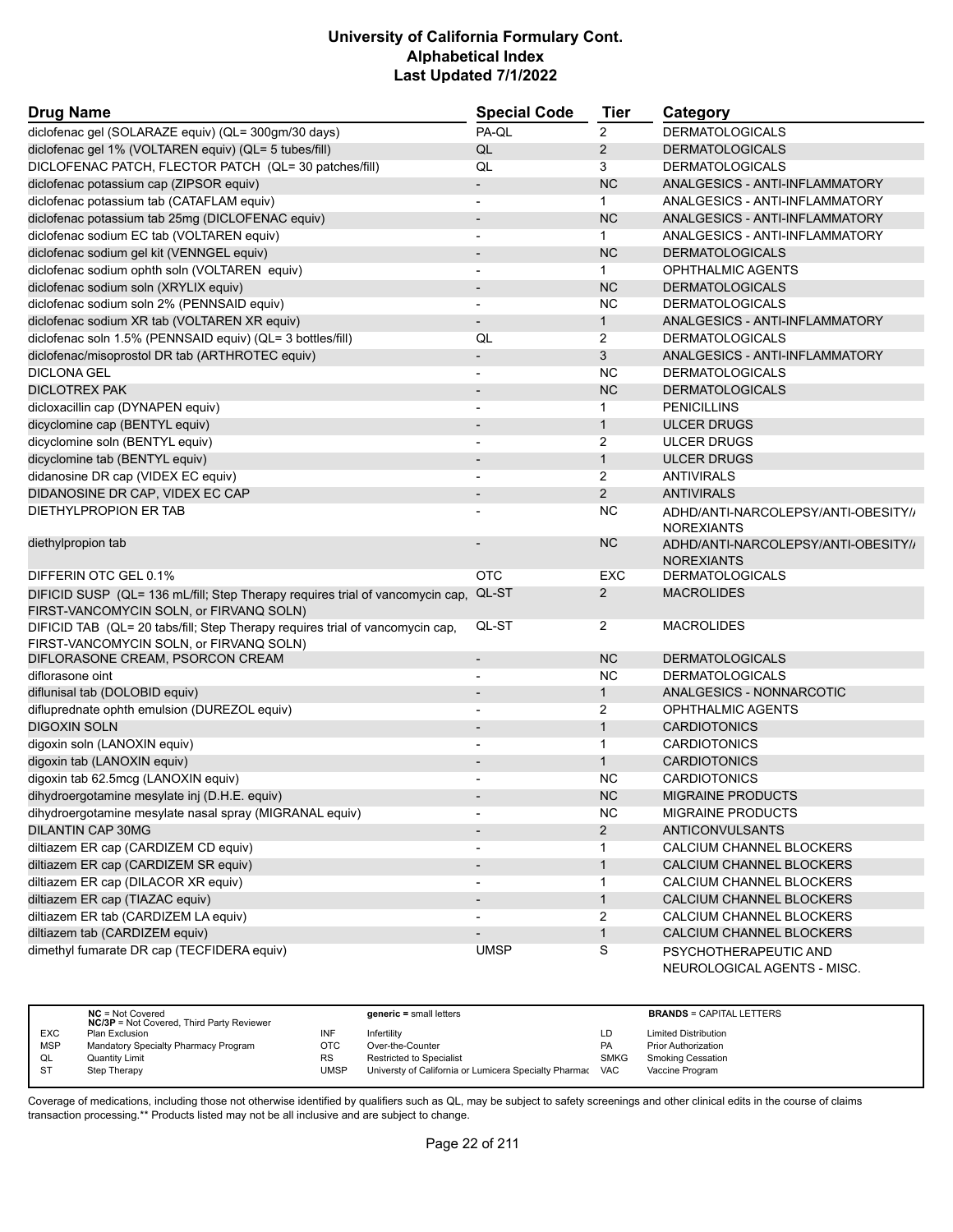| <b>Drug Name</b>                                                                                                         | <b>Special Code</b>          | Tier           | Category                                                 |
|--------------------------------------------------------------------------------------------------------------------------|------------------------------|----------------|----------------------------------------------------------|
| diclofenac gel (SOLARAZE equiv) (QL= 300gm/30 days)                                                                      | PA-QL                        | $\overline{2}$ | <b>DERMATOLOGICALS</b>                                   |
| diclofenac gel 1% (VOLTAREN equiv) (QL= 5 tubes/fill)                                                                    | QL                           | $\overline{2}$ | <b>DERMATOLOGICALS</b>                                   |
| DICLOFENAC PATCH, FLECTOR PATCH (QL= 30 patches/fill)                                                                    | QL                           | 3              | <b>DERMATOLOGICALS</b>                                   |
| diclofenac potassium cap (ZIPSOR equiv)                                                                                  | $\overline{\phantom{a}}$     | <b>NC</b>      | ANALGESICS - ANTI-INFLAMMATORY                           |
| diclofenac potassium tab (CATAFLAM equiv)                                                                                | $\overline{\phantom{a}}$     | $\mathbf{1}$   | ANALGESICS - ANTI-INFLAMMATORY                           |
| diclofenac potassium tab 25mg (DICLOFENAC equiv)                                                                         | $\overline{a}$               | <b>NC</b>      | ANALGESICS - ANTI-INFLAMMATORY                           |
| diclofenac sodium EC tab (VOLTAREN equiv)                                                                                | $\overline{a}$               | $\mathbf{1}$   | ANALGESICS - ANTI-INFLAMMATORY                           |
| diclofenac sodium gel kit (VENNGEL equiv)                                                                                | $\overline{\phantom{0}}$     | <b>NC</b>      | <b>DERMATOLOGICALS</b>                                   |
| diclofenac sodium ophth soln (VOLTAREN equiv)                                                                            | -                            | $\mathbf{1}$   | <b>OPHTHALMIC AGENTS</b>                                 |
| diclofenac sodium soln (XRYLIX equiv)                                                                                    | $\overline{\phantom{m}}$     | <b>NC</b>      | <b>DERMATOLOGICALS</b>                                   |
| diclofenac sodium soln 2% (PENNSAID equiv)                                                                               | $\overline{\phantom{0}}$     | <b>NC</b>      | <b>DERMATOLOGICALS</b>                                   |
| diclofenac sodium XR tab (VOLTAREN XR equiv)                                                                             | $\overline{\phantom{a}}$     | $\mathbf{1}$   | ANALGESICS - ANTI-INFLAMMATORY                           |
| diclofenac soln 1.5% (PENNSAID equiv) (QL= 3 bottles/fill)                                                               | QL                           | 2              | <b>DERMATOLOGICALS</b>                                   |
| diclofenac/misoprostol DR tab (ARTHROTEC equiv)                                                                          | $\overline{\phantom{a}}$     | 3              | ANALGESICS - ANTI-INFLAMMATORY                           |
| <b>DICLONA GEL</b>                                                                                                       |                              | <b>NC</b>      | <b>DERMATOLOGICALS</b>                                   |
| <b>DICLOTREX PAK</b>                                                                                                     |                              | <b>NC</b>      | <b>DERMATOLOGICALS</b>                                   |
| dicloxacillin cap (DYNAPEN equiv)                                                                                        | $\overline{\phantom{a}}$     | $\mathbf{1}$   | <b>PENICILLINS</b>                                       |
| dicyclomine cap (BENTYL equiv)                                                                                           |                              | $\mathbf{1}$   | <b>ULCER DRUGS</b>                                       |
| dicyclomine soln (BENTYL equiv)                                                                                          |                              | 2              | <b>ULCER DRUGS</b>                                       |
| dicyclomine tab (BENTYL equiv)                                                                                           | $\overline{\phantom{a}}$     | $\mathbf{1}$   | <b>ULCER DRUGS</b>                                       |
| didanosine DR cap (VIDEX EC equiv)                                                                                       | $\overline{\phantom{0}}$     | 2              | <b>ANTIVIRALS</b>                                        |
| DIDANOSINE DR CAP, VIDEX EC CAP                                                                                          |                              | $\overline{2}$ | <b>ANTIVIRALS</b>                                        |
| DIETHYLPROPION ER TAB                                                                                                    |                              | NC             | ADHD/ANTI-NARCOLEPSY/ANTI-OBESITY//<br><b>NOREXIANTS</b> |
| diethylpropion tab                                                                                                       |                              | <b>NC</b>      | ADHD/ANTI-NARCOLEPSY/ANTI-OBESITY//<br><b>NOREXIANTS</b> |
| DIFFERIN OTC GEL 0.1%                                                                                                    | <b>OTC</b>                   | EXC            | <b>DERMATOLOGICALS</b>                                   |
| DIFICID SUSP (QL= 136 mL/fill; Step Therapy requires trial of vancomycin cap,                                            | QL-ST                        | 2              | <b>MACROLIDES</b>                                        |
| FIRST-VANCOMYCIN SOLN, or FIRVANQ SOLN)                                                                                  |                              |                |                                                          |
| DIFICID TAB (QL= 20 tabs/fill; Step Therapy requires trial of vancomycin cap,<br>FIRST-VANCOMYCIN SOLN, or FIRVANQ SOLN) | QL-ST                        | 2              | <b>MACROLIDES</b>                                        |
| DIFLORASONE CREAM, PSORCON CREAM                                                                                         | $\overline{\phantom{m}}$     | <b>NC</b>      | <b>DERMATOLOGICALS</b>                                   |
| diflorasone oint                                                                                                         |                              | <b>NC</b>      | <b>DERMATOLOGICALS</b>                                   |
| diflunisal tab (DOLOBID equiv)                                                                                           | $\overline{\phantom{a}}$     | $\mathbf{1}$   | ANALGESICS - NONNARCOTIC                                 |
| difluprednate ophth emulsion (DUREZOL equiv)                                                                             | $\overline{a}$               | 2              | <b>OPHTHALMIC AGENTS</b>                                 |
| <b>DIGOXIN SOLN</b>                                                                                                      |                              | $\mathbf{1}$   | <b>CARDIOTONICS</b>                                      |
| digoxin soln (LANOXIN equiv)                                                                                             |                              | $\mathbf{1}$   | <b>CARDIOTONICS</b>                                      |
| digoxin tab (LANOXIN equiv)                                                                                              | $\overline{\phantom{0}}$     | $\mathbf{1}$   | <b>CARDIOTONICS</b>                                      |
| digoxin tab 62.5mcg (LANOXIN equiv)                                                                                      |                              | <b>NC</b>      | <b>CARDIOTONICS</b>                                      |
| dihydroergotamine mesylate inj (D.H.E. equiv)                                                                            |                              | <b>NC</b>      | <b>MIGRAINE PRODUCTS</b>                                 |
| dihydroergotamine mesylate nasal spray (MIGRANAL equiv)                                                                  | -                            | <b>NC</b>      | <b>MIGRAINE PRODUCTS</b>                                 |
| <b>DILANTIN CAP 30MG</b>                                                                                                 | $\overline{\phantom{a}}$     | $\mathbf{2}$   | <b>ANTICONVULSANTS</b>                                   |
| diltiazem ER cap (CARDIZEM CD equiv)                                                                                     | $\overline{\phantom{a}}$     | 1              | CALCIUM CHANNEL BLOCKERS                                 |
| diltiazem ER cap (CARDIZEM SR equiv)                                                                                     | $\overline{\phantom{a}}$     | $\mathbf{1}$   | CALCIUM CHANNEL BLOCKERS                                 |
| diltiazem ER cap (DILACOR XR equiv)                                                                                      |                              | $\mathbf{1}$   | CALCIUM CHANNEL BLOCKERS                                 |
| diltiazem ER cap (TIAZAC equiv)                                                                                          | $\overline{\phantom{m}}$     | $\mathbf{1}$   | CALCIUM CHANNEL BLOCKERS                                 |
| diltiazem ER tab (CARDIZEM LA equiv)                                                                                     | $\overline{\phantom{0}}$     | 2              | CALCIUM CHANNEL BLOCKERS                                 |
| diltiazem tab (CARDIZEM equiv)                                                                                           | $\qquad \qquad \blacksquare$ | $\mathbf{1}$   | CALCIUM CHANNEL BLOCKERS                                 |
| dimethyl fumarate DR cap (TECFIDERA equiv)                                                                               | <b>UMSP</b>                  | S              | PSYCHOTHERAPEUTIC AND<br>NEUROLOGICAL AGENTS - MISC.     |

|            | $NC = Not Covered$<br><b>NC/3P</b> = Not Covered, Third Party Reviewer |           | $generic = small letters$                                 |             | <b>BRANDS = CAPITAL LETTERS</b> |
|------------|------------------------------------------------------------------------|-----------|-----------------------------------------------------------|-------------|---------------------------------|
| <b>EXC</b> | Plan Exclusion                                                         | INF       | Infertility                                               | ∟D -        | <b>Limited Distribution</b>     |
| <b>MSP</b> | Mandatory Specialty Pharmacy Program                                   | отс       | Over-the-Counter                                          | <b>PA</b>   | <b>Prior Authorization</b>      |
| QL         | Quantity Limit                                                         | <b>RS</b> | <b>Restricted to Specialist</b>                           | <b>SMKG</b> | <b>Smoking Cessation</b>        |
| <b>ST</b>  | Step Therapy                                                           | UMSP      | Universty of California or Lumicera Specialty Pharmac VAC |             | Vaccine Program                 |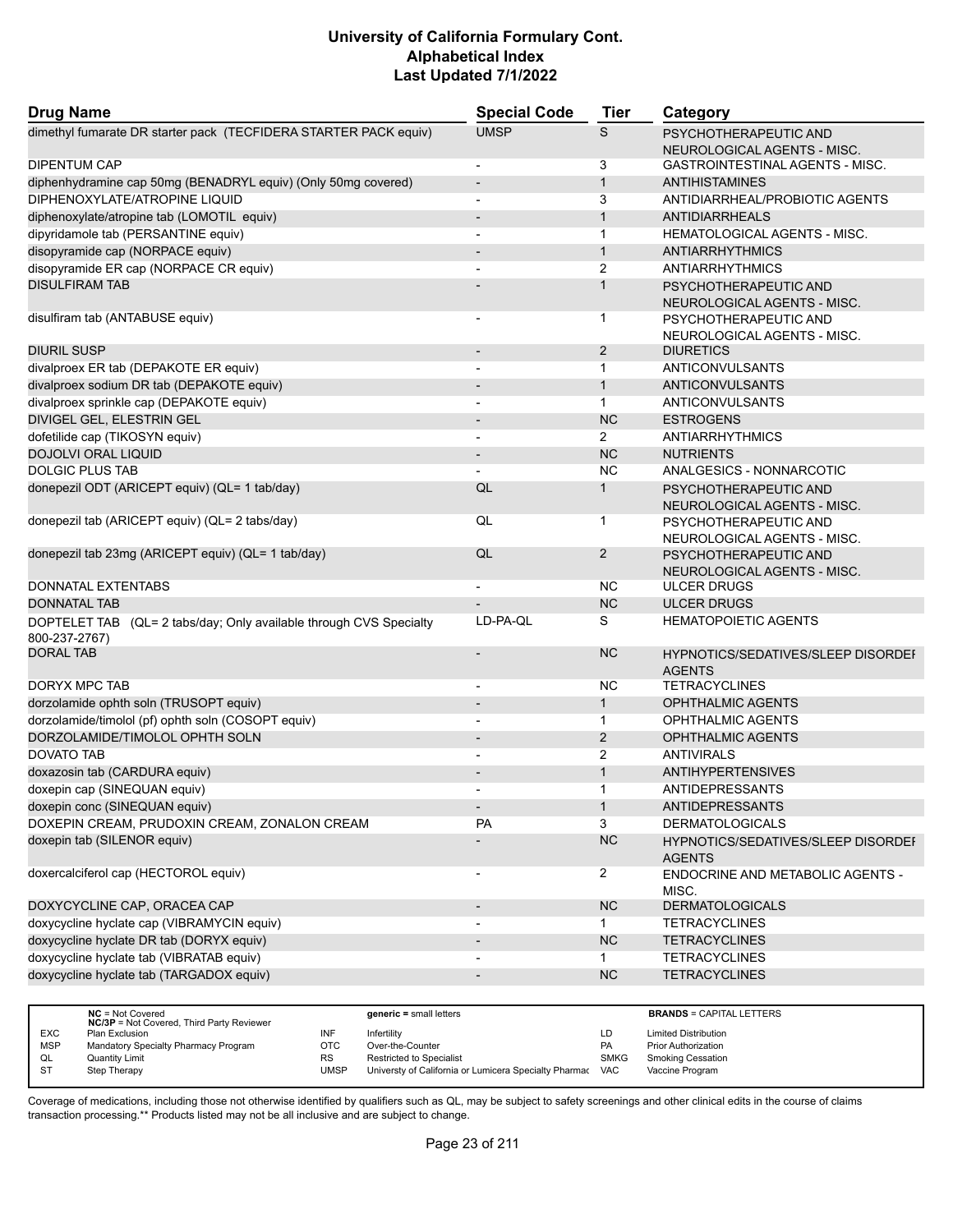| <b>Drug Name</b>                                                                    | <b>Special Code</b>      | <b>Tier</b>    | Category                                                   |
|-------------------------------------------------------------------------------------|--------------------------|----------------|------------------------------------------------------------|
| dimethyl fumarate DR starter pack (TECFIDERA STARTER PACK equiv)                    | <b>UMSP</b>              | S              | PSYCHOTHERAPEUTIC AND<br>NEUROLOGICAL AGENTS - MISC.       |
| <b>DIPENTUM CAP</b>                                                                 | $\overline{a}$           | 3              | GASTROINTESTINAL AGENTS - MISC.                            |
| diphenhydramine cap 50mg (BENADRYL equiv) (Only 50mg covered)                       | $\overline{a}$           | $\mathbf{1}$   | <b>ANTIHISTAMINES</b>                                      |
| DIPHENOXYLATE/ATROPINE LIQUID                                                       | $\overline{a}$           | 3              | ANTIDIARRHEAL/PROBIOTIC AGENTS                             |
| diphenoxylate/atropine tab (LOMOTIL equiv)                                          | $\overline{\phantom{0}}$ | $\mathbf{1}$   | <b>ANTIDIARRHEALS</b>                                      |
| dipyridamole tab (PERSANTINE equiv)                                                 | $\overline{a}$           | $\mathbf{1}$   | <b>HEMATOLOGICAL AGENTS - MISC.</b>                        |
| disopyramide cap (NORPACE equiv)                                                    | $\overline{\phantom{a}}$ | $\mathbf{1}$   | <b>ANTIARRHYTHMICS</b>                                     |
| disopyramide ER cap (NORPACE CR equiv)                                              |                          | $\overline{2}$ | <b>ANTIARRHYTHMICS</b>                                     |
| <b>DISULFIRAM TAB</b>                                                               |                          | $\mathbf{1}$   | PSYCHOTHERAPEUTIC AND<br>NEUROLOGICAL AGENTS - MISC.       |
| disulfiram tab (ANTABUSE equiv)                                                     | -                        | 1              | PSYCHOTHERAPEUTIC AND<br>NEUROLOGICAL AGENTS - MISC.       |
| <b>DIURIL SUSP</b>                                                                  | $\overline{\phantom{a}}$ | $\overline{2}$ | <b>DIURETICS</b>                                           |
| divalproex ER tab (DEPAKOTE ER equiv)                                               | $\overline{a}$           | $\mathbf{1}$   | ANTICONVULSANTS                                            |
| divalproex sodium DR tab (DEPAKOTE equiv)                                           |                          | $\mathbf{1}$   | <b>ANTICONVULSANTS</b>                                     |
| divalproex sprinkle cap (DEPAKOTE equiv)                                            | $\blacksquare$           | $\mathbf{1}$   | ANTICONVULSANTS                                            |
| DIVIGEL GEL, ELESTRIN GEL                                                           | $\overline{\phantom{a}}$ | <b>NC</b>      | <b>ESTROGENS</b>                                           |
| dofetilide cap (TIKOSYN equiv)                                                      | -                        | $\overline{2}$ | <b>ANTIARRHYTHMICS</b>                                     |
| <b>DOJOLVI ORAL LIQUID</b>                                                          | $\overline{\phantom{a}}$ | <b>NC</b>      | <b>NUTRIENTS</b>                                           |
| <b>DOLGIC PLUS TAB</b>                                                              |                          | <b>NC</b>      | ANALGESICS - NONNARCOTIC                                   |
| donepezil ODT (ARICEPT equiv) (QL= 1 tab/day)                                       | QL                       | $\mathbf{1}$   | PSYCHOTHERAPEUTIC AND<br>NEUROLOGICAL AGENTS - MISC.       |
| donepezil tab (ARICEPT equiv) (QL= 2 tabs/day)                                      | QL                       | 1              | PSYCHOTHERAPEUTIC AND<br>NEUROLOGICAL AGENTS - MISC.       |
| donepezil tab 23mg (ARICEPT equiv) (QL= 1 tab/day)                                  | QL                       | $\overline{2}$ | PSYCHOTHERAPEUTIC AND<br>NEUROLOGICAL AGENTS - MISC.       |
| <b>DONNATAL EXTENTABS</b>                                                           |                          | NC             | <b>ULCER DRUGS</b>                                         |
| <b>DONNATAL TAB</b>                                                                 |                          | <b>NC</b>      | <b>ULCER DRUGS</b>                                         |
| DOPTELET TAB (QL= 2 tabs/day; Only available through CVS Specialty<br>800-237-2767) | LD-PA-QL                 | S              | <b>HEMATOPOIETIC AGENTS</b>                                |
| <b>DORAL TAB</b>                                                                    | $\overline{\phantom{0}}$ | <b>NC</b>      | <b>HYPNOTICS/SEDATIVES/SLEEP DISORDEF</b><br><b>AGENTS</b> |
| DORYX MPC TAB                                                                       |                          | <b>NC</b>      | <b>TETRACYCLINES</b>                                       |
| dorzolamide ophth soln (TRUSOPT equiv)                                              | $\overline{\phantom{a}}$ | $\mathbf{1}$   | <b>OPHTHALMIC AGENTS</b>                                   |
| dorzolamide/timolol (pf) ophth soln (COSOPT equiv)                                  | $\overline{\phantom{a}}$ | $\mathbf{1}$   | OPHTHALMIC AGENTS                                          |
| DORZOLAMIDE/TIMOLOL OPHTH SOLN                                                      |                          | 2              | <b>OPHTHALMIC AGENTS</b>                                   |
| DOVATO TAB                                                                          | $\overline{\phantom{a}}$ | 2              | <b>ANTIVIRALS</b>                                          |
| doxazosin tab (CARDURA equiv)                                                       |                          | $\mathbf{1}$   | <b>ANTIHYPERTENSIVES</b>                                   |
| doxepin cap (SINEQUAN equiv)                                                        |                          | 1              | <b>ANTIDEPRESSANTS</b>                                     |
| doxepin conc (SINEQUAN equiv)                                                       | $\overline{\phantom{a}}$ | $\mathbf{1}$   | ANTIDEPRESSANTS                                            |
| DOXEPIN CREAM, PRUDOXIN CREAM, ZONALON CREAM                                        | <b>PA</b>                | 3              | <b>DERMATOLOGICALS</b>                                     |
| doxepin tab (SILENOR equiv)                                                         |                          | <b>NC</b>      | HYPNOTICS/SEDATIVES/SLEEP DISORDEI<br><b>AGENTS</b>        |
| doxercalciferol cap (HECTOROL equiv)                                                |                          | $\overline{2}$ | <b>ENDOCRINE AND METABOLIC AGENTS -</b><br>MISC.           |
| DOXYCYCLINE CAP, ORACEA CAP                                                         |                          | <b>NC</b>      | <b>DERMATOLOGICALS</b>                                     |
| doxycycline hyclate cap (VIBRAMYCIN equiv)                                          | $\overline{\phantom{a}}$ | 1              | <b>TETRACYCLINES</b>                                       |
| doxycycline hyclate DR tab (DORYX equiv)                                            | $\overline{\phantom{0}}$ | NC             | <b>TETRACYCLINES</b>                                       |
| doxycycline hyclate tab (VIBRATAB equiv)                                            |                          | 1              | <b>TETRACYCLINES</b>                                       |
| doxycycline hyclate tab (TARGADOX equiv)                                            | -                        | NC             | <b>TETRACYCLINES</b>                                       |
|                                                                                     |                          |                |                                                            |

|            | $NC = Not Covered$<br><b>NC/3P</b> = Not Covered, Third Party Reviewer |           | $generic = small letters$                                 |             | <b>BRANDS = CAPITAL LETTERS</b> |
|------------|------------------------------------------------------------------------|-----------|-----------------------------------------------------------|-------------|---------------------------------|
| <b>EXC</b> | Plan Exclusion                                                         | INF       | Infertility                                               | LD          | <b>Limited Distribution</b>     |
| <b>MSP</b> | Mandatory Specialty Pharmacy Program                                   | ОТС       | Over-the-Counter                                          | <b>PA</b>   | <b>Prior Authorization</b>      |
| QL         | <b>Quantity Limit</b>                                                  | <b>RS</b> | <b>Restricted to Specialist</b>                           | <b>SMKG</b> | <b>Smoking Cessation</b>        |
| <b>ST</b>  | Step Therapy                                                           | UMSP      | Universty of California or Lumicera Specialty Pharmac VAC |             | Vaccine Program                 |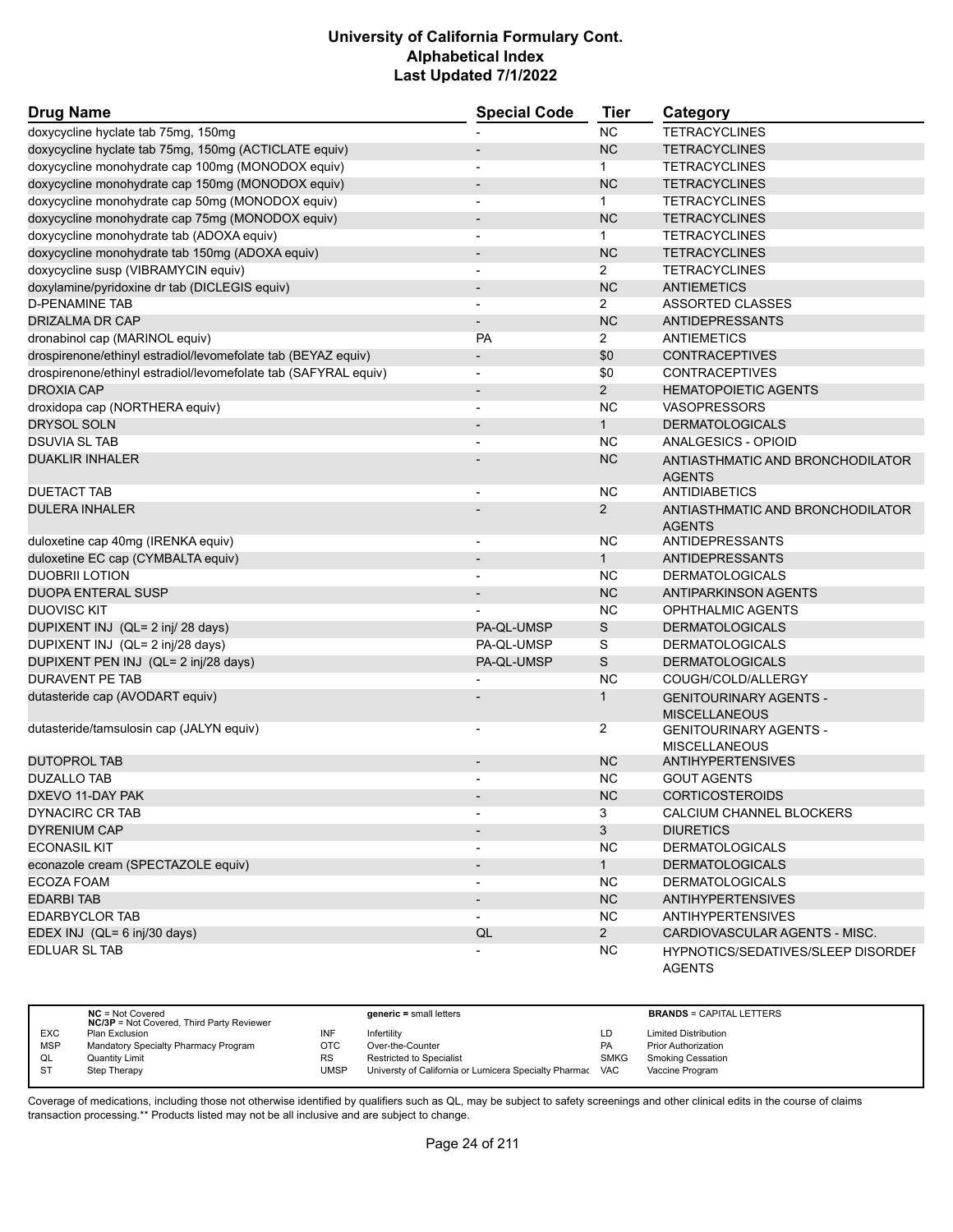| <b>Drug Name</b>                                                | <b>Special Code</b>      | <b>Tier</b>    | Category                                              |
|-----------------------------------------------------------------|--------------------------|----------------|-------------------------------------------------------|
| doxycycline hyclate tab 75mg, 150mg                             |                          | <b>NC</b>      | <b>TETRACYCLINES</b>                                  |
| doxycycline hyclate tab 75mg, 150mg (ACTICLATE equiv)           |                          | <b>NC</b>      | <b>TETRACYCLINES</b>                                  |
| doxycycline monohydrate cap 100mg (MONODOX equiv)               |                          | 1.             | <b>TETRACYCLINES</b>                                  |
| doxycycline monohydrate cap 150mg (MONODOX equiv)               |                          | <b>NC</b>      | <b>TETRACYCLINES</b>                                  |
| doxycycline monohydrate cap 50mg (MONODOX equiv)                | $\blacksquare$           | $\mathbf{1}$   | <b>TETRACYCLINES</b>                                  |
| doxycycline monohydrate cap 75mg (MONODOX equiv)                | $\overline{\phantom{a}}$ | <b>NC</b>      | <b>TETRACYCLINES</b>                                  |
| doxycycline monohydrate tab (ADOXA equiv)                       |                          | $\mathbf{1}$   | <b>TETRACYCLINES</b>                                  |
| doxycycline monohydrate tab 150mg (ADOXA equiv)                 | $\overline{\phantom{a}}$ | <b>NC</b>      | <b>TETRACYCLINES</b>                                  |
| doxycycline susp (VIBRAMYCIN equiv)                             | $\overline{\phantom{a}}$ | $\overline{2}$ | <b>TETRACYCLINES</b>                                  |
| doxylamine/pyridoxine dr tab (DICLEGIS equiv)                   |                          | <b>NC</b>      | <b>ANTIEMETICS</b>                                    |
| <b>D-PENAMINE TAB</b>                                           | $\blacksquare$           | $\overline{2}$ | <b>ASSORTED CLASSES</b>                               |
| <b>DRIZALMA DR CAP</b>                                          | $\overline{\phantom{a}}$ | <b>NC</b>      | <b>ANTIDEPRESSANTS</b>                                |
| dronabinol cap (MARINOL equiv)                                  | <b>PA</b>                | 2              | ANTIEMETICS                                           |
| drospirenone/ethinyl estradiol/levomefolate tab (BEYAZ equiv)   | $\overline{\phantom{a}}$ | \$0            | <b>CONTRACEPTIVES</b>                                 |
| drospirenone/ethinyl estradiol/levomefolate tab (SAFYRAL equiv) | $\overline{\phantom{a}}$ | \$0            | <b>CONTRACEPTIVES</b>                                 |
| <b>DROXIA CAP</b>                                               |                          | $\overline{2}$ | <b>HEMATOPOIETIC AGENTS</b>                           |
| droxidopa cap (NORTHERA equiv)                                  | $\blacksquare$           | <b>NC</b>      | <b>VASOPRESSORS</b>                                   |
| DRYSOL SOLN                                                     |                          | $\mathbf{1}$   | <b>DERMATOLOGICALS</b>                                |
| <b>DSUVIA SL TAB</b>                                            |                          | <b>NC</b>      | ANALGESICS - OPIOID                                   |
| <b>DUAKLIR INHALER</b>                                          |                          | <b>NC</b>      | ANTIASTHMATIC AND BRONCHODILATOR<br><b>AGENTS</b>     |
| <b>DUETACT TAB</b>                                              |                          | <b>NC</b>      | <b>ANTIDIABETICS</b>                                  |
| <b>DULERA INHALER</b>                                           |                          | $\overline{2}$ | ANTIASTHMATIC AND BRONCHODILATOR<br><b>AGENTS</b>     |
| duloxetine cap 40mg (IRENKA equiv)                              | $\overline{\phantom{a}}$ | NC.            | ANTIDEPRESSANTS                                       |
| duloxetine EC cap (CYMBALTA equiv)                              |                          | $\mathbf{1}$   | <b>ANTIDEPRESSANTS</b>                                |
| <b>DUOBRII LOTION</b>                                           |                          | <b>NC</b>      | <b>DERMATOLOGICALS</b>                                |
| <b>DUOPA ENTERAL SUSP</b>                                       | $\overline{\phantom{a}}$ | <b>NC</b>      | <b>ANTIPARKINSON AGENTS</b>                           |
| <b>DUOVISC KIT</b>                                              |                          | <b>NC</b>      | OPHTHALMIC AGENTS                                     |
| DUPIXENT INJ (QL= 2 inj/ 28 days)                               | PA-QL-UMSP               | $\mathsf S$    | <b>DERMATOLOGICALS</b>                                |
| DUPIXENT INJ (QL= 2 inj/28 days)                                | PA-QL-UMSP               | S              | <b>DERMATOLOGICALS</b>                                |
| DUPIXENT PEN INJ (QL= 2 inj/28 days)                            | PA-QL-UMSP               | S              | <b>DERMATOLOGICALS</b>                                |
| <b>DURAVENT PE TAB</b>                                          |                          | <b>NC</b>      | COUGH/COLD/ALLERGY                                    |
| dutasteride cap (AVODART equiv)                                 |                          | 1              | <b>GENITOURINARY AGENTS -</b><br><b>MISCELLANEOUS</b> |
| dutasteride/tamsulosin cap (JALYN equiv)                        |                          | $\overline{2}$ | <b>GENITOURINARY AGENTS -</b><br><b>MISCELLANEOUS</b> |
| <b>DUTOPROL TAB</b>                                             | $\overline{\phantom{a}}$ | <b>NC</b>      | <b>ANTIHYPERTENSIVES</b>                              |
| <b>DUZALLO TAB</b>                                              |                          | <b>NC</b>      | <b>GOUT AGENTS</b>                                    |
| DXEVO 11-DAY PAK                                                |                          | NC             | <b>CORTICOSTEROIDS</b>                                |
| <b>DYNACIRC CR TAB</b>                                          |                          | 3              | CALCIUM CHANNEL BLOCKERS                              |
| <b>DYRENIUM CAP</b>                                             |                          | 3              | <b>DIURETICS</b>                                      |
| <b>ECONASIL KIT</b>                                             |                          | <b>NC</b>      | <b>DERMATOLOGICALS</b>                                |
| econazole cream (SPECTAZOLE equiv)                              |                          | 1              | <b>DERMATOLOGICALS</b>                                |
| ECOZA FOAM                                                      |                          | <b>NC</b>      | <b>DERMATOLOGICALS</b>                                |
| <b>EDARBI TAB</b>                                               |                          | NC             | <b>ANTIHYPERTENSIVES</b>                              |
| <b>EDARBYCLOR TAB</b>                                           |                          | NC.            | <b>ANTIHYPERTENSIVES</b>                              |
| EDEX INJ (QL= 6 inj/30 days)                                    | QL                       | $\overline{2}$ | CARDIOVASCULAR AGENTS - MISC.                         |
| EDLUAR SL TAB                                                   |                          | <b>NC</b>      | HYPNOTICS/SEDATIVES/SLEEP DISORDEI<br><b>AGENTS</b>   |

|            | $NC = Not Covered$<br><b>NC/3P</b> = Not Covered, Third Party Reviewer |           | generic = small letters                               |             | <b>BRANDS = CAPITAL LETTERS</b> |
|------------|------------------------------------------------------------------------|-----------|-------------------------------------------------------|-------------|---------------------------------|
| <b>EXC</b> | Plan Exclusion                                                         | INF       | Infertility                                           | LD          | <b>Limited Distribution</b>     |
| <b>MSP</b> | Mandatory Specialty Pharmacy Program                                   | OTC       | Over-the-Counter                                      | PA          | <b>Prior Authorization</b>      |
| QL         | <b>Quantity Limit</b>                                                  | <b>RS</b> | <b>Restricted to Specialist</b>                       | <b>SMKG</b> | Smoking Cessation               |
| -ST        | Step Therapy                                                           | UMSP      | Universty of California or Lumicera Specialty Pharmac | <b>VAC</b>  | Vaccine Program                 |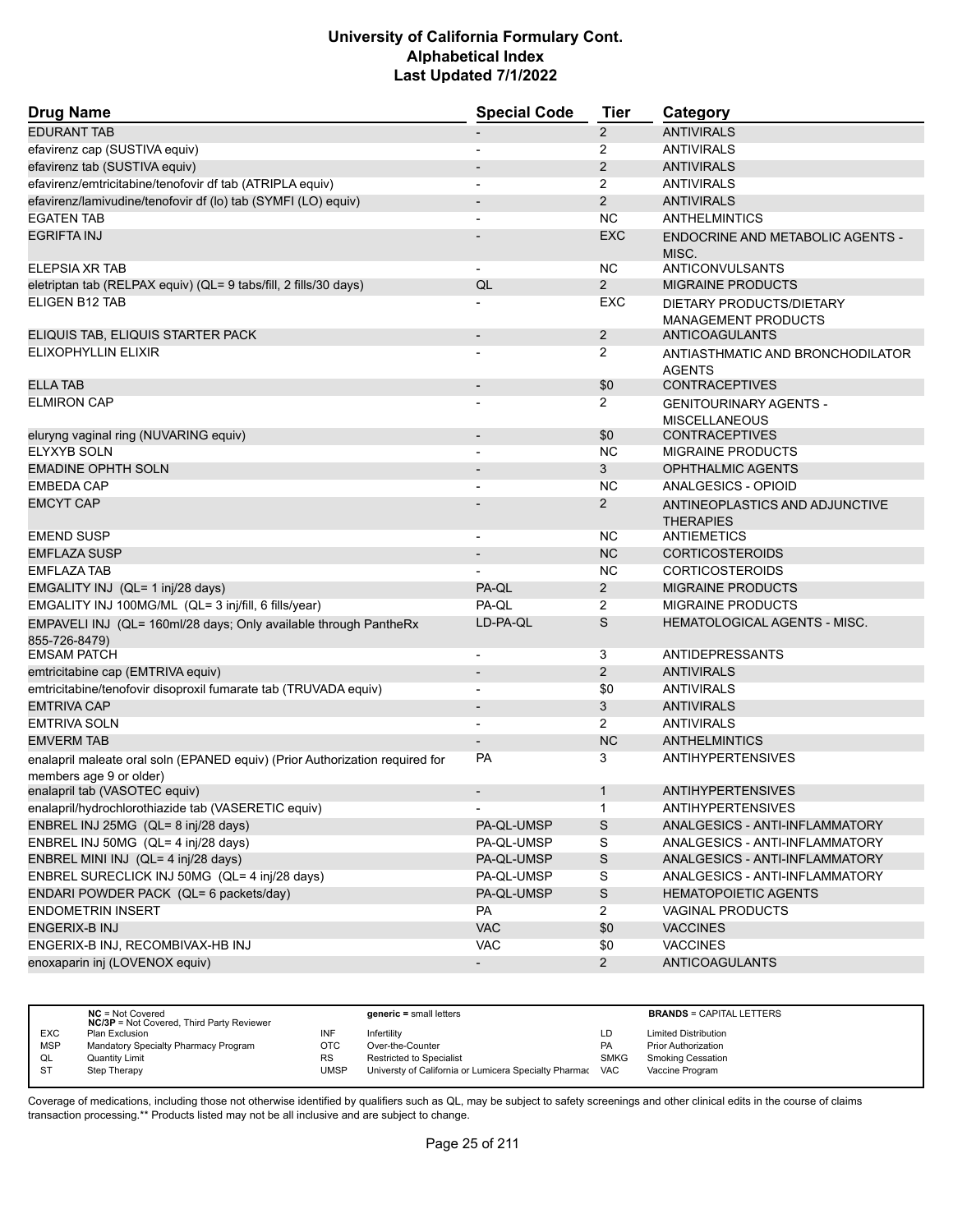| <b>Drug Name</b>                                                                                        | <b>Special Code</b>      | Tier           | Category                                               |
|---------------------------------------------------------------------------------------------------------|--------------------------|----------------|--------------------------------------------------------|
| <b>EDURANT TAB</b>                                                                                      |                          | $\overline{2}$ | <b>ANTIVIRALS</b>                                      |
| efavirenz cap (SUSTIVA equiv)                                                                           |                          | 2              | <b>ANTIVIRALS</b>                                      |
| efavirenz tab (SUSTIVA equiv)                                                                           |                          | $\overline{2}$ | <b>ANTIVIRALS</b>                                      |
| efavirenz/emtricitabine/tenofovir df tab (ATRIPLA equiv)                                                |                          | 2              | <b>ANTIVIRALS</b>                                      |
| efavirenz/lamivudine/tenofovir df (lo) tab (SYMFI (LO) equiv)                                           | $\overline{\phantom{a}}$ | $\overline{2}$ | <b>ANTIVIRALS</b>                                      |
| <b>EGATEN TAB</b>                                                                                       |                          | <b>NC</b>      | <b>ANTHELMINTICS</b>                                   |
| <b>EGRIFTA INJ</b>                                                                                      |                          | <b>EXC</b>     | <b>ENDOCRINE AND METABOLIC AGENTS -</b><br>MISC.       |
| ELEPSIA XR TAB                                                                                          |                          | NC.            | ANTICONVULSANTS                                        |
| eletriptan tab (RELPAX equiv) (QL= 9 tabs/fill, 2 fills/30 days)                                        | QL                       | $\overline{2}$ | <b>MIGRAINE PRODUCTS</b>                               |
| <b>ELIGEN B12 TAB</b>                                                                                   |                          | EXC            | DIETARY PRODUCTS/DIETARY<br><b>MANAGEMENT PRODUCTS</b> |
| ELIQUIS TAB, ELIQUIS STARTER PACK                                                                       | $\overline{\phantom{a}}$ | 2              | ANTICOAGULANTS                                         |
| ELIXOPHYLLIN ELIXIR                                                                                     |                          | 2              | ANTIASTHMATIC AND BRONCHODILATOR<br><b>AGENTS</b>      |
| <b>ELLA TAB</b>                                                                                         | $\overline{\phantom{a}}$ | \$0            | <b>CONTRACEPTIVES</b>                                  |
| <b>ELMIRON CAP</b>                                                                                      |                          | $\overline{2}$ | <b>GENITOURINARY AGENTS -</b><br><b>MISCELLANEOUS</b>  |
| eluryng vaginal ring (NUVARING equiv)                                                                   | $\overline{\phantom{a}}$ | \$0            | <b>CONTRACEPTIVES</b>                                  |
| <b>ELYXYB SOLN</b>                                                                                      |                          | <b>NC</b>      | <b>MIGRAINE PRODUCTS</b>                               |
| <b>EMADINE OPHTH SOLN</b>                                                                               |                          | 3              | <b>OPHTHALMIC AGENTS</b>                               |
| EMBEDA CAP                                                                                              |                          | <b>NC</b>      | ANALGESICS - OPIOID                                    |
| <b>EMCYT CAP</b>                                                                                        |                          | $\overline{2}$ | ANTINEOPLASTICS AND ADJUNCTIVE<br><b>THERAPIES</b>     |
| <b>EMEND SUSP</b>                                                                                       |                          | NC.            | <b>ANTIEMETICS</b>                                     |
| <b>EMFLAZA SUSP</b>                                                                                     |                          | <b>NC</b>      | <b>CORTICOSTEROIDS</b>                                 |
| <b>EMFLAZA TAB</b>                                                                                      |                          | NC.            | <b>CORTICOSTEROIDS</b>                                 |
| EMGALITY INJ (QL= 1 inj/28 days)                                                                        | PA-QL                    | $\overline{2}$ | <b>MIGRAINE PRODUCTS</b>                               |
| EMGALITY INJ 100MG/ML (QL= 3 inj/fill, 6 fills/year)                                                    | PA-QL                    | 2              | <b>MIGRAINE PRODUCTS</b>                               |
| EMPAVELI INJ (QL= 160ml/28 days; Only available through PantheRx<br>855-726-8479)                       | LD-PA-QL                 | S              | <b>HEMATOLOGICAL AGENTS - MISC.</b>                    |
| <b>EMSAM PATCH</b>                                                                                      |                          | 3              | <b>ANTIDEPRESSANTS</b>                                 |
| emtricitabine cap (EMTRIVA equiv)                                                                       |                          | $\overline{2}$ | <b>ANTIVIRALS</b>                                      |
| emtricitabine/tenofovir disoproxil fumarate tab (TRUVADA equiv)                                         | $\blacksquare$           | \$0            | ANTIVIRALS                                             |
| <b>EMTRIVA CAP</b>                                                                                      |                          | 3              | <b>ANTIVIRALS</b>                                      |
| <b>EMTRIVA SOLN</b>                                                                                     | $\blacksquare$           | $\overline{2}$ | <b>ANTIVIRALS</b>                                      |
| <b>EMVERM TAB</b>                                                                                       | $\overline{\phantom{a}}$ | <b>NC</b>      | <b>ANTHELMINTICS</b>                                   |
| enalapril maleate oral soln (EPANED equiv) (Prior Authorization required for<br>members age 9 or older) | <b>PA</b>                | 3              | <b>ANTIHYPERTENSIVES</b>                               |
| enalapril tab (VASOTEC equiv)                                                                           |                          | 1              | <b>ANTIHYPERTENSIVES</b>                               |
| enalapril/hydrochlorothiazide tab (VASERETIC equiv)                                                     |                          | $\mathbf{1}$   | <b>ANTIHYPERTENSIVES</b>                               |
| ENBREL INJ 25MG (QL= 8 inj/28 days)                                                                     | PA-QL-UMSP               | ${\mathsf S}$  | ANALGESICS - ANTI-INFLAMMATORY                         |
| ENBREL INJ 50MG (QL= 4 inj/28 days)                                                                     | PA-QL-UMSP               | S              | ANALGESICS - ANTI-INFLAMMATORY                         |
| ENBREL MINI INJ (QL= 4 inj/28 days)                                                                     | PA-QL-UMSP               | ${\mathsf S}$  | ANALGESICS - ANTI-INFLAMMATORY                         |
| ENBREL SURECLICK INJ 50MG (QL= 4 inj/28 days)                                                           | PA-QL-UMSP               | S              | ANALGESICS - ANTI-INFLAMMATORY                         |
| ENDARI POWDER PACK (QL= 6 packets/day)                                                                  | PA-QL-UMSP               | $\mathsf S$    | <b>HEMATOPOIETIC AGENTS</b>                            |
| <b>ENDOMETRIN INSERT</b>                                                                                | PA                       | $\overline{2}$ | <b>VAGINAL PRODUCTS</b>                                |
| ENGERIX-B INJ                                                                                           | <b>VAC</b>               | \$0            | <b>VACCINES</b>                                        |
| ENGERIX-B INJ, RECOMBIVAX-HB INJ                                                                        | <b>VAC</b>               | \$0            | <b>VACCINES</b>                                        |
| enoxaparin inj (LOVENOX equiv)                                                                          | $\blacksquare$           | $2^{\circ}$    | <b>ANTICOAGULANTS</b>                                  |

|            | $NC = Not Covered$<br><b>NC/3P</b> = Not Covered, Third Party Reviewer |           | generic = small letters                               |             | <b>BRANDS = CAPITAL LETTERS</b> |
|------------|------------------------------------------------------------------------|-----------|-------------------------------------------------------|-------------|---------------------------------|
| <b>EXC</b> | Plan Exclusion                                                         | INF       | Infertilitv                                           | LD          | <b>Limited Distribution</b>     |
| <b>MSP</b> | Mandatory Specialty Pharmacy Program                                   | OTC       | Over-the-Counter                                      | <b>PA</b>   | <b>Prior Authorization</b>      |
| QL         | <b>Quantity Limit</b>                                                  | <b>RS</b> | <b>Restricted to Specialist</b>                       | <b>SMKG</b> | <b>Smoking Cessation</b>        |
| <b>ST</b>  | Step Therapy                                                           | UMSP      | Universty of California or Lumicera Specialty Pharmac | VAC         | Vaccine Program                 |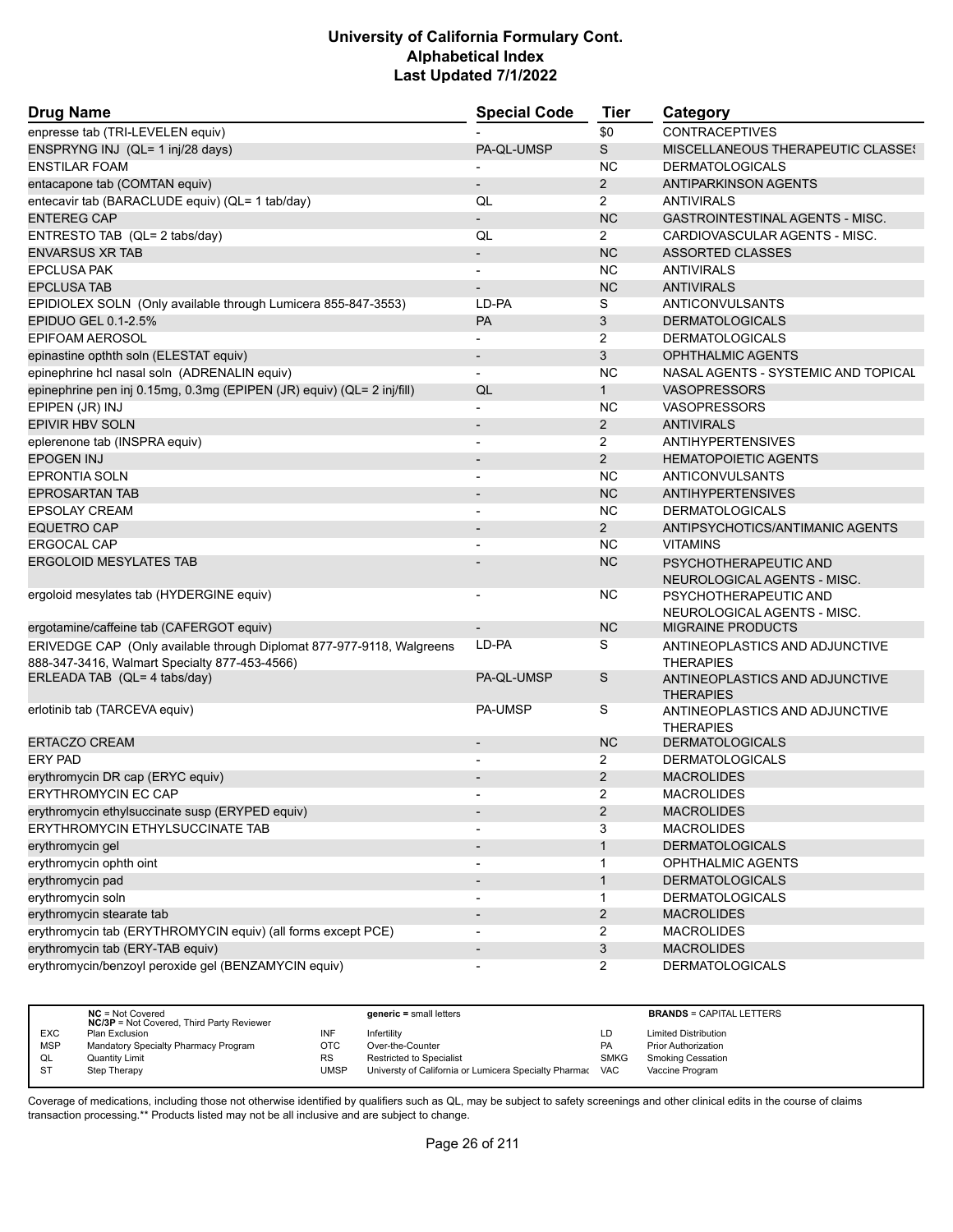| <b>Drug Name</b>                                                                                                       | <b>Special Code</b>          | <b>Tier</b>    | Category                                             |
|------------------------------------------------------------------------------------------------------------------------|------------------------------|----------------|------------------------------------------------------|
| enpresse tab (TRI-LEVELEN equiv)                                                                                       |                              | \$0            | <b>CONTRACEPTIVES</b>                                |
| ENSPRYNG INJ (QL= 1 inj/28 days)                                                                                       | PA-QL-UMSP                   | S              | MISCELLANEOUS THERAPEUTIC CLASSES                    |
| <b>ENSTILAR FOAM</b>                                                                                                   |                              | <b>NC</b>      | <b>DERMATOLOGICALS</b>                               |
| entacapone tab (COMTAN equiv)                                                                                          |                              | $\overline{2}$ | <b>ANTIPARKINSON AGENTS</b>                          |
| entecavir tab (BARACLUDE equiv) (QL= 1 tab/day)                                                                        | QL                           | $\overline{2}$ | <b>ANTIVIRALS</b>                                    |
| <b>ENTEREG CAP</b>                                                                                                     | $\overline{a}$               | <b>NC</b>      | <b>GASTROINTESTINAL AGENTS - MISC.</b>               |
| ENTRESTO TAB (QL= 2 tabs/day)                                                                                          | QL                           | $\overline{2}$ | CARDIOVASCULAR AGENTS - MISC.                        |
| <b>ENVARSUS XR TAB</b>                                                                                                 | $\overline{\phantom{a}}$     | <b>NC</b>      | <b>ASSORTED CLASSES</b>                              |
| <b>EPCLUSA PAK</b>                                                                                                     | $\overline{\phantom{a}}$     | <b>NC</b>      | <b>ANTIVIRALS</b>                                    |
| <b>EPCLUSA TAB</b>                                                                                                     |                              | <b>NC</b>      | <b>ANTIVIRALS</b>                                    |
| EPIDIOLEX SOLN (Only available through Lumicera 855-847-3553)                                                          | LD-PA                        | S              | ANTICONVULSANTS                                      |
| EPIDUO GEL 0.1-2.5%                                                                                                    | <b>PA</b>                    | 3              | <b>DERMATOLOGICALS</b>                               |
| <b>EPIFOAM AEROSOL</b>                                                                                                 |                              | 2              | <b>DERMATOLOGICALS</b>                               |
| epinastine opthth soln (ELESTAT equiv)                                                                                 | $\overline{\phantom{a}}$     | 3              | <b>OPHTHALMIC AGENTS</b>                             |
| epinephrine hcl nasal soln (ADRENALIN equiv)                                                                           |                              | <b>NC</b>      | NASAL AGENTS - SYSTEMIC AND TOPICAL                  |
| epinephrine pen inj 0.15mg, 0.3mg (EPIPEN (JR) equiv) (QL= 2 inj/fill)                                                 | QL                           | $\mathbf{1}$   | <b>VASOPRESSORS</b>                                  |
| EPIPEN (JR) INJ                                                                                                        | $\overline{\phantom{0}}$     | ΝC             | <b>VASOPRESSORS</b>                                  |
| <b>EPIVIR HBV SOLN</b>                                                                                                 | $\qquad \qquad \blacksquare$ | $\overline{2}$ | <b>ANTIVIRALS</b>                                    |
| eplerenone tab (INSPRA equiv)                                                                                          |                              | 2              | <b>ANTIHYPERTENSIVES</b>                             |
| <b>EPOGEN INJ</b>                                                                                                      |                              | $\overline{2}$ | <b>HEMATOPOIETIC AGENTS</b>                          |
| <b>EPRONTIA SOLN</b>                                                                                                   | $\overline{\phantom{0}}$     | ΝC             | <b>ANTICONVULSANTS</b>                               |
| <b>EPROSARTAN TAB</b>                                                                                                  |                              | <b>NC</b>      | <b>ANTIHYPERTENSIVES</b>                             |
| <b>EPSOLAY CREAM</b>                                                                                                   |                              | <b>NC</b>      | <b>DERMATOLOGICALS</b>                               |
| <b>EQUETRO CAP</b>                                                                                                     | $\overline{\phantom{a}}$     | $\overline{2}$ | ANTIPSYCHOTICS/ANTIMANIC AGENTS                      |
| <b>ERGOCAL CAP</b>                                                                                                     |                              | <b>NC</b>      | <b>VITAMINS</b>                                      |
| <b>ERGOLOID MESYLATES TAB</b>                                                                                          |                              | <b>NC</b>      | PSYCHOTHERAPEUTIC AND<br>NEUROLOGICAL AGENTS - MISC. |
| ergoloid mesylates tab (HYDERGINE equiv)                                                                               |                              | ΝC             | PSYCHOTHERAPEUTIC AND<br>NEUROLOGICAL AGENTS - MISC. |
| ergotamine/caffeine tab (CAFERGOT equiv)                                                                               |                              | <b>NC</b>      | <b>MIGRAINE PRODUCTS</b>                             |
| ERIVEDGE CAP (Only available through Diplomat 877-977-9118, Walgreens<br>888-347-3416, Walmart Specialty 877-453-4566) | LD-PA                        | S              | ANTINEOPLASTICS AND ADJUNCTIVE<br><b>THERAPIES</b>   |
| ERLEADA TAB (QL= 4 tabs/day)                                                                                           | PA-QL-UMSP                   | S              | ANTINEOPLASTICS AND ADJUNCTIVE<br><b>THERAPIES</b>   |
| erlotinib tab (TARCEVA equiv)                                                                                          | <b>PA-UMSP</b>               | S              | ANTINEOPLASTICS AND ADJUNCTIVE<br><b>THERAPIES</b>   |
| <b>ERTACZO CREAM</b>                                                                                                   | $\blacksquare$               | <b>NC</b>      | <b>DERMATOLOGICALS</b>                               |
| <b>ERY PAD</b>                                                                                                         |                              | 2              | <b>DERMATOLOGICALS</b>                               |
| erythromycin DR cap (ERYC equiv)                                                                                       |                              | $\overline{2}$ | <b>MACROLIDES</b>                                    |
| <b>ERYTHROMYCIN EC CAP</b>                                                                                             |                              | 2              | <b>MACROLIDES</b>                                    |
| erythromycin ethylsuccinate susp (ERYPED equiv)                                                                        | $\overline{\phantom{a}}$     | $\overline{2}$ | <b>MACROLIDES</b>                                    |
| ERYTHROMYCIN ETHYLSUCCINATE TAB                                                                                        | -                            | 3              | <b>MACROLIDES</b>                                    |
| erythromycin gel                                                                                                       | $\overline{\phantom{a}}$     | $\mathbf{1}$   | <b>DERMATOLOGICALS</b>                               |
| erythromycin ophth oint                                                                                                |                              | 1              | OPHTHALMIC AGENTS                                    |
| erythromycin pad                                                                                                       | $\overline{\phantom{a}}$     | $\mathbf{1}$   | <b>DERMATOLOGICALS</b>                               |
| erythromycin soln                                                                                                      |                              | 1              | <b>DERMATOLOGICALS</b>                               |
| erythromycin stearate tab                                                                                              |                              | 2              | <b>MACROLIDES</b>                                    |
| erythromycin tab (ERYTHROMYCIN equiv) (all forms except PCE)                                                           |                              | 2              | <b>MACROLIDES</b>                                    |
| erythromycin tab (ERY-TAB equiv)                                                                                       | $\overline{\phantom{a}}$     | 3              | <b>MACROLIDES</b>                                    |
| erythromycin/benzoyl peroxide gel (BENZAMYCIN equiv)                                                                   | $\overline{\phantom{0}}$     | $\overline{2}$ | <b>DERMATOLOGICALS</b>                               |

|            | $NC = Not Covered$<br><b>NC/3P</b> = Not Covered, Third Party Reviewer |            | $generic = small letters$                             |             | <b>BRANDS = CAPITAL LETTERS</b> |
|------------|------------------------------------------------------------------------|------------|-------------------------------------------------------|-------------|---------------------------------|
| <b>EXC</b> | Plan Exclusion                                                         | INF        | Infertility                                           | LD          | <b>Limited Distribution</b>     |
| <b>MSP</b> | Mandatory Specialty Pharmacy Program                                   | <b>OTC</b> | Over-the-Counter                                      | PA          | <b>Prior Authorization</b>      |
| QL         | <b>Quantity Limit</b>                                                  | <b>RS</b>  | <b>Restricted to Specialist</b>                       | <b>SMKG</b> | <b>Smoking Cessation</b>        |
|            | Step Therapy                                                           | UMSP       | Universty of California or Lumicera Specialty Pharmac | <b>VAC</b>  | Vaccine Program                 |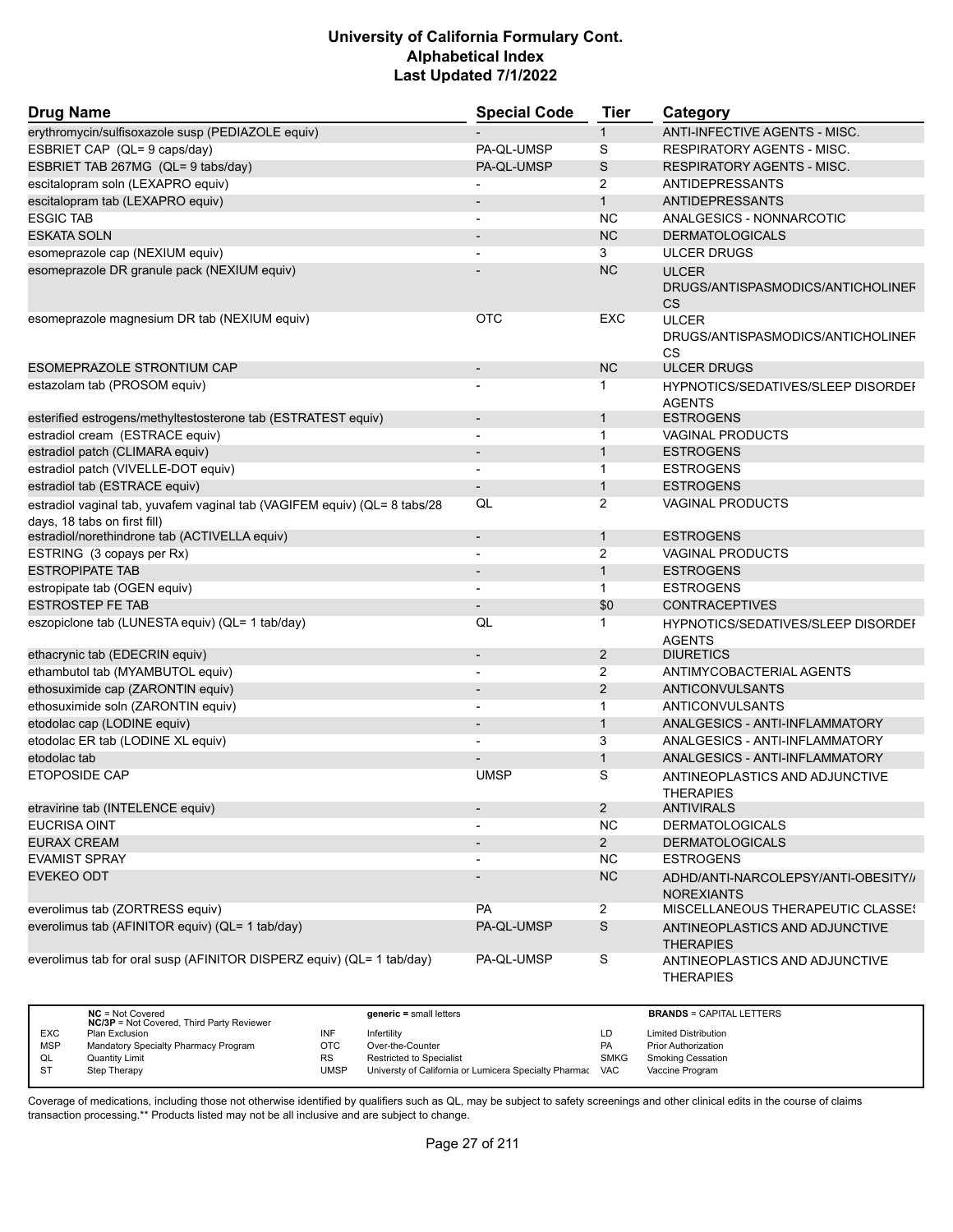| <b>Drug Name</b>                                                                                          | <b>Special Code</b>      | <b>Tier</b>    | Category                                                 |
|-----------------------------------------------------------------------------------------------------------|--------------------------|----------------|----------------------------------------------------------|
| erythromycin/sulfisoxazole susp (PEDIAZOLE equiv)                                                         |                          | $\mathbf{1}$   | ANTI-INFECTIVE AGENTS - MISC.                            |
| ESBRIET CAP (QL= 9 caps/day)                                                                              | PA-QL-UMSP               | S              | <b>RESPIRATORY AGENTS - MISC.</b>                        |
| ESBRIET TAB 267MG (QL= 9 tabs/day)                                                                        | PA-QL-UMSP               | $\mathsf S$    | <b>RESPIRATORY AGENTS - MISC.</b>                        |
| escitalopram soln (LEXAPRO equiv)                                                                         |                          | 2              | ANTIDEPRESSANTS                                          |
| escitalopram tab (LEXAPRO equiv)                                                                          |                          | $\mathbf{1}$   | <b>ANTIDEPRESSANTS</b>                                   |
| <b>ESGIC TAB</b>                                                                                          |                          | <b>NC</b>      | ANALGESICS - NONNARCOTIC                                 |
| <b>ESKATA SOLN</b>                                                                                        |                          | <b>NC</b>      | <b>DERMATOLOGICALS</b>                                   |
| esomeprazole cap (NEXIUM equiv)                                                                           | $\blacksquare$           | 3              | <b>ULCER DRUGS</b>                                       |
| esomeprazole DR granule pack (NEXIUM equiv)                                                               |                          | <b>NC</b>      | <b>ULCER</b>                                             |
|                                                                                                           |                          |                | DRUGS/ANTISPASMODICS/ANTICHOLINEF<br><b>CS</b>           |
| esomeprazole magnesium DR tab (NEXIUM equiv)                                                              | <b>OTC</b>               | EXC            | <b>ULCER</b><br>DRUGS/ANTISPASMODICS/ANTICHOLINEF<br>CS  |
| <b>ESOMEPRAZOLE STRONTIUM CAP</b>                                                                         | $\overline{\phantom{a}}$ | <b>NC</b>      | <b>ULCER DRUGS</b>                                       |
| estazolam tab (PROSOM equiv)                                                                              |                          | 1              | HYPNOTICS/SEDATIVES/SLEEP DISORDEF<br><b>AGENTS</b>      |
| esterified estrogens/methyltestosterone tab (ESTRATEST equiv)                                             | $\overline{\phantom{a}}$ | $\mathbf{1}$   | <b>ESTROGENS</b>                                         |
| estradiol cream (ESTRACE equiv)                                                                           | $\overline{\phantom{a}}$ | $\mathbf{1}$   | <b>VAGINAL PRODUCTS</b>                                  |
| estradiol patch (CLIMARA equiv)                                                                           | $\overline{\phantom{a}}$ | $\mathbf{1}$   | <b>ESTROGENS</b>                                         |
| estradiol patch (VIVELLE-DOT equiv)                                                                       |                          | $\mathbf{1}$   | <b>ESTROGENS</b>                                         |
| estradiol tab (ESTRACE equiv)                                                                             |                          | $\mathbf{1}$   | <b>ESTROGENS</b>                                         |
| estradiol vaginal tab, yuvafem vaginal tab (VAGIFEM equiv) (QL= 8 tabs/28<br>days, 18 tabs on first fill) | QL                       | 2              | <b>VAGINAL PRODUCTS</b>                                  |
| estradiol/norethindrone tab (ACTIVELLA equiv)                                                             | $\overline{\phantom{a}}$ | $\mathbf{1}$   | <b>ESTROGENS</b>                                         |
| ESTRING (3 copays per Rx)                                                                                 |                          | 2              | <b>VAGINAL PRODUCTS</b>                                  |
| <b>ESTROPIPATE TAB</b>                                                                                    |                          | $\mathbf{1}$   | <b>ESTROGENS</b>                                         |
| estropipate tab (OGEN equiv)                                                                              | $\overline{\phantom{a}}$ | $\mathbf{1}$   | <b>ESTROGENS</b>                                         |
| <b>ESTROSTEP FE TAB</b>                                                                                   |                          | \$0            | <b>CONTRACEPTIVES</b>                                    |
| eszopiclone tab (LUNESTA equiv) (QL= 1 tab/day)                                                           | QL                       | $\mathbf 1$    | HYPNOTICS/SEDATIVES/SLEEP DISORDEF<br><b>AGENTS</b>      |
| ethacrynic tab (EDECRIN equiv)                                                                            | $\overline{\phantom{a}}$ | $\overline{2}$ | <b>DIURETICS</b>                                         |
| ethambutol tab (MYAMBUTOL equiv)                                                                          |                          | $\overline{2}$ | ANTIMYCOBACTERIAL AGENTS                                 |
| ethosuximide cap (ZARONTIN equiv)                                                                         |                          | 2              | <b>ANTICONVULSANTS</b>                                   |
| ethosuximide soln (ZARONTIN equiv)                                                                        | $\blacksquare$           | $\mathbf{1}$   | ANTICONVULSANTS                                          |
| etodolac cap (LODINE equiv)                                                                               |                          | $\mathbf{1}$   | ANALGESICS - ANTI-INFLAMMATORY                           |
| etodolac ER tab (LODINE XL equiv)                                                                         |                          | 3              | ANALGESICS - ANTI-INFLAMMATORY                           |
| etodolac tab                                                                                              |                          | $\mathbf{1}$   | ANALGESICS - ANTI-INFLAMMATORY                           |
| <b>ETOPOSIDE CAP</b>                                                                                      | <b>UMSP</b>              | S              | ANTINEOPLASTICS AND ADJUNCTIVE<br><b>THERAPIES</b>       |
| etravirine tab (INTELENCE equiv)                                                                          |                          | $\overline{2}$ | <b>ANTIVIRALS</b>                                        |
| EUCRISA OINT                                                                                              |                          | <b>NC</b>      | <b>DERMATOLOGICALS</b>                                   |
| <b>EURAX CREAM</b>                                                                                        |                          | $2^{\circ}$    | <b>DERMATOLOGICALS</b>                                   |
| <b>EVAMIST SPRAY</b>                                                                                      | $\overline{a}$           | <b>NC</b>      | <b>ESTROGENS</b>                                         |
| <b>EVEKEO ODT</b>                                                                                         |                          | NC             | ADHD/ANTI-NARCOLEPSY/ANTI-OBESITY//<br><b>NOREXIANTS</b> |
| everolimus tab (ZORTRESS equiv)                                                                           | PA                       | $\overline{2}$ | MISCELLANEOUS THERAPEUTIC CLASSES                        |
| everolimus tab (AFINITOR equiv) (QL= 1 tab/day)                                                           | PA-QL-UMSP               | $\mathbb S$    | ANTINEOPLASTICS AND ADJUNCTIVE<br><b>THERAPIES</b>       |
| everolimus tab for oral susp (AFINITOR DISPERZ equiv) (QL= 1 tab/day)                                     | PA-QL-UMSP               | $\mbox{\bf S}$ | ANTINEOPLASTICS AND ADJUNCTIVE<br><b>THERAPIES</b>       |

|            | $NC = Not Covered$<br><b>NC/3P</b> = Not Covered, Third Party Reviewer |      | $generic = small letters$                             |             | <b>BRANDS = CAPITAL LETTERS</b> |
|------------|------------------------------------------------------------------------|------|-------------------------------------------------------|-------------|---------------------------------|
| <b>EXC</b> | Plan Exclusion                                                         | INF  | Infertilitv                                           | LD          | <b>Limited Distribution</b>     |
| <b>MSP</b> | Mandatory Specialty Pharmacy Program                                   | отс  | Over-the-Counter                                      | <b>PA</b>   | <b>Prior Authorization</b>      |
| QL         | <b>Quantity Limit</b>                                                  | RS   | <b>Restricted to Specialist</b>                       | <b>SMKG</b> | <b>Smoking Cessation</b>        |
| -ST        | Step Therapy                                                           | UMSP | Universty of California or Lumicera Specialty Pharmac | <b>VAC</b>  | Vaccine Program                 |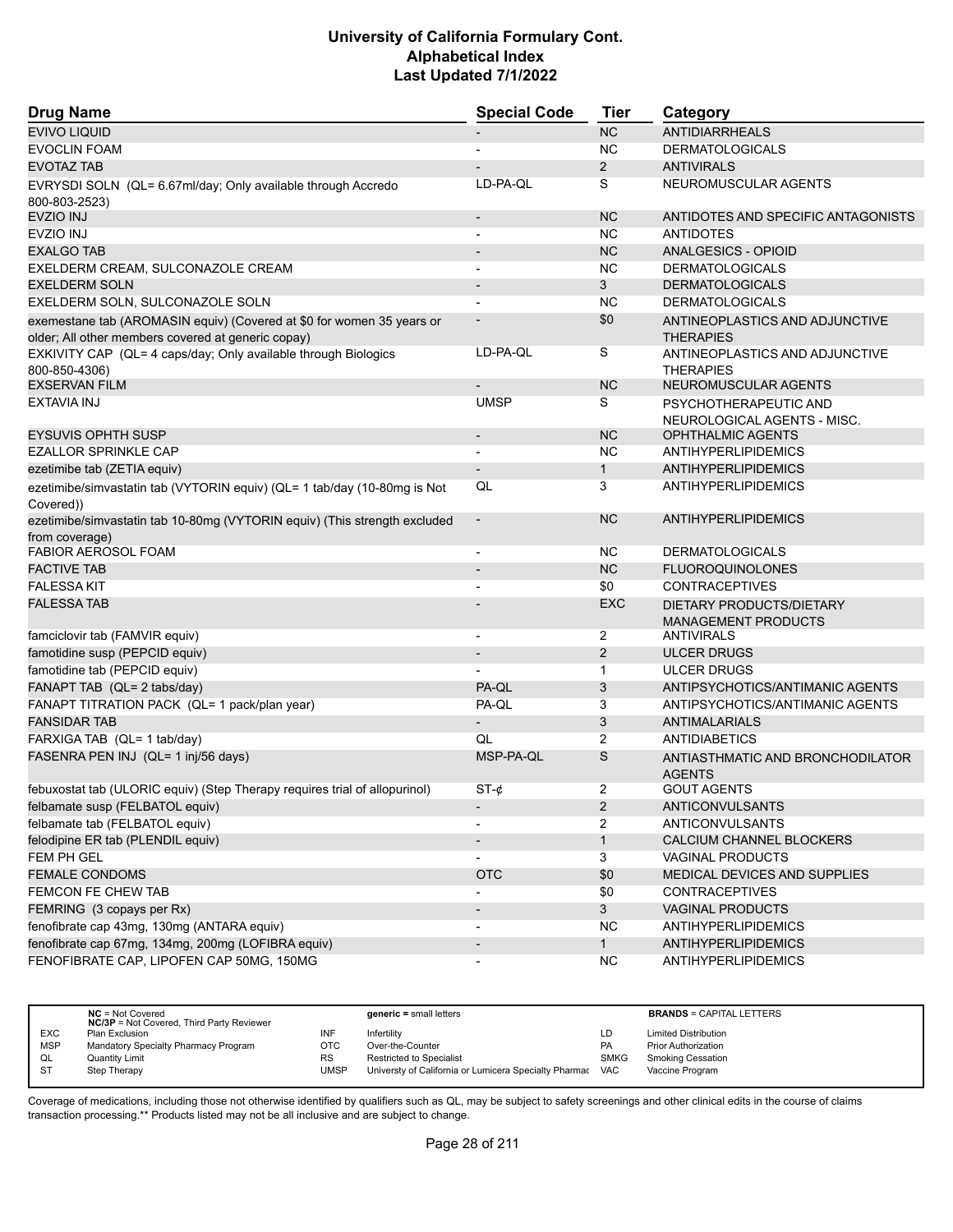| <b>Drug Name</b>                                                                            | <b>Special Code</b>          | <b>Tier</b>    | Category                                             |
|---------------------------------------------------------------------------------------------|------------------------------|----------------|------------------------------------------------------|
| <b>EVIVO LIQUID</b>                                                                         |                              | <b>NC</b>      | <b>ANTIDIARRHEALS</b>                                |
| <b>EVOCLIN FOAM</b>                                                                         |                              | <b>NC</b>      | <b>DERMATOLOGICALS</b>                               |
| <b>EVOTAZ TAB</b>                                                                           |                              | $\overline{2}$ | <b>ANTIVIRALS</b>                                    |
| EVRYSDI SOLN (QL= 6.67ml/day; Only available through Accredo<br>800-803-2523)               | LD-PA-QL                     | S              | NEUROMUSCULAR AGENTS                                 |
| <b>EVZIO INJ</b>                                                                            | $\overline{\phantom{m}}$     | <b>NC</b>      | ANTIDOTES AND SPECIFIC ANTAGONISTS                   |
| <b>EVZIO INJ</b>                                                                            | $\overline{a}$               | <b>NC</b>      | <b>ANTIDOTES</b>                                     |
| <b>EXALGO TAB</b>                                                                           | $\overline{\phantom{a}}$     | <b>NC</b>      | <b>ANALGESICS - OPIOID</b>                           |
| EXELDERM CREAM, SULCONAZOLE CREAM                                                           |                              | <b>NC</b>      | <b>DERMATOLOGICALS</b>                               |
| <b>EXELDERM SOLN</b>                                                                        | $\blacksquare$               | 3              | <b>DERMATOLOGICALS</b>                               |
| EXELDERM SOLN, SULCONAZOLE SOLN                                                             |                              | NC             | <b>DERMATOLOGICALS</b>                               |
| exemestane tab (AROMASIN equiv) (Covered at \$0 for women 35 years or                       |                              | \$0            | ANTINEOPLASTICS AND ADJUNCTIVE                       |
| older; All other members covered at generic copay)                                          |                              |                | <b>THERAPIES</b>                                     |
| EXKIVITY CAP (QL= 4 caps/day; Only available through Biologics                              | LD-PA-QL                     | S              | ANTINEOPLASTICS AND ADJUNCTIVE                       |
| 800-850-4306)                                                                               |                              |                | <b>THERAPIES</b>                                     |
| <b>EXSERVAN FILM</b>                                                                        |                              | <b>NC</b>      | NEUROMUSCULAR AGENTS                                 |
| EXTAVIA INJ                                                                                 | <b>UMSP</b>                  | S              | PSYCHOTHERAPEUTIC AND<br>NEUROLOGICAL AGENTS - MISC. |
| <b>EYSUVIS OPHTH SUSP</b>                                                                   | $\overline{\phantom{a}}$     | <b>NC</b>      | <b>OPHTHALMIC AGENTS</b>                             |
| <b>EZALLOR SPRINKLE CAP</b>                                                                 |                              | NC.            | ANTIHYPERLIPIDEMICS                                  |
| ezetimibe tab (ZETIA equiv)                                                                 |                              | $\mathbf{1}$   | <b>ANTIHYPERLIPIDEMICS</b>                           |
| ezetimibe/simvastatin tab (VYTORIN equiv) (QL= 1 tab/day (10-80mg is Not<br>Covered))       | QL                           | 3              | <b>ANTIHYPERLIPIDEMICS</b>                           |
| ezetimibe/simvastatin tab 10-80mg (VYTORIN equiv) (This strength excluded<br>from coverage) | $\overline{\phantom{a}}$     | <b>NC</b>      | <b>ANTIHYPERLIPIDEMICS</b>                           |
| <b>FABIOR AEROSOL FOAM</b>                                                                  | $\overline{\phantom{a}}$     | <b>NC</b>      | <b>DERMATOLOGICALS</b>                               |
| <b>FACTIVE TAB</b>                                                                          |                              | <b>NC</b>      | <b>FLUOROQUINOLONES</b>                              |
| <b>FALESSA KIT</b>                                                                          |                              | \$0            | <b>CONTRACEPTIVES</b>                                |
| <b>FALESSA TAB</b>                                                                          |                              | <b>EXC</b>     | DIETARY PRODUCTS/DIETARY                             |
|                                                                                             |                              |                | <b>MANAGEMENT PRODUCTS</b>                           |
| famciclovir tab (FAMVIR equiv)                                                              | $\blacksquare$               | 2              | <b>ANTIVIRALS</b>                                    |
| famotidine susp (PEPCID equiv)                                                              | $\qquad \qquad \blacksquare$ | 2              | <b>ULCER DRUGS</b>                                   |
| famotidine tab (PEPCID equiv)                                                               |                              | $\mathbf 1$    | ULCER DRUGS                                          |
| FANAPT TAB (QL= 2 tabs/day)                                                                 | PA-QL                        | 3              | ANTIPSYCHOTICS/ANTIMANIC AGENTS                      |
| FANAPT TITRATION PACK (QL= 1 pack/plan year)                                                | PA-QL                        | 3              | ANTIPSYCHOTICS/ANTIMANIC AGENTS                      |
| <b>FANSIDAR TAB</b>                                                                         |                              | 3              | <b>ANTIMALARIALS</b>                                 |
| FARXIGA TAB (QL= 1 tab/day)                                                                 | QL                           | $\overline{2}$ | <b>ANTIDIABETICS</b>                                 |
| FASENRA PEN INJ (QL= 1 inj/56 days)                                                         | MSP-PA-QL                    | S              | ANTIASTHMATIC AND BRONCHODILATOR<br><b>AGENTS</b>    |
| febuxostat tab (ULORIC equiv) (Step Therapy requires trial of allopurinol)                  | $ST-\phi$                    | 2              | <b>GOUT AGENTS</b>                                   |
| felbamate susp (FELBATOL equiv)                                                             |                              | $\overline{2}$ | <b>ANTICONVULSANTS</b>                               |
| felbamate tab (FELBATOL equiv)                                                              |                              | 2              | ANTICONVULSANTS                                      |
| felodipine ER tab (PLENDIL equiv)                                                           |                              | $\mathbf{1}$   | CALCIUM CHANNEL BLOCKERS                             |
| FEM PH GEL                                                                                  |                              | 3              | VAGINAL PRODUCTS                                     |
| <b>FEMALE CONDOMS</b>                                                                       | <b>OTC</b>                   | \$0            | MEDICAL DEVICES AND SUPPLIES                         |
| FEMCON FE CHEW TAB                                                                          |                              | \$0            | <b>CONTRACEPTIVES</b>                                |
| FEMRING (3 copays per Rx)                                                                   |                              | 3 <sup>1</sup> | <b>VAGINAL PRODUCTS</b>                              |
| fenofibrate cap 43mg, 130mg (ANTARA equiv)                                                  |                              | <b>NC</b>      | <b>ANTIHYPERLIPIDEMICS</b>                           |
| fenofibrate cap 67mg, 134mg, 200mg (LOFIBRA equiv)                                          | $\qquad \qquad \blacksquare$ | 1              | <b>ANTIHYPERLIPIDEMICS</b>                           |
| FENOFIBRATE CAP, LIPOFEN CAP 50MG, 150MG                                                    | $\overline{\phantom{a}}$     | <b>NC</b>      | <b>ANTIHYPERLIPIDEMICS</b>                           |

|            | $NC = Not Covered$<br><b>NC/3P</b> = Not Covered, Third Party Reviewer |      | $generic = small letters$                             |             | <b>BRANDS = CAPITAL LETTERS</b> |
|------------|------------------------------------------------------------------------|------|-------------------------------------------------------|-------------|---------------------------------|
| <b>EXC</b> | Plan Exclusion                                                         | INF  | Infertility                                           | LD          | <b>Limited Distribution</b>     |
| <b>MSP</b> | Mandatory Specialty Pharmacy Program                                   | OTC  | Over-the-Counter                                      | <b>PA</b>   | <b>Prior Authorization</b>      |
| QL         | Quantity Limit                                                         | RS   | <b>Restricted to Specialist</b>                       | <b>SMKG</b> | <b>Smoking Cessation</b>        |
| <b>ST</b>  | Step Therapy                                                           | UMSP | Universty of California or Lumicera Specialty Pharmac | <b>VAC</b>  | Vaccine Program                 |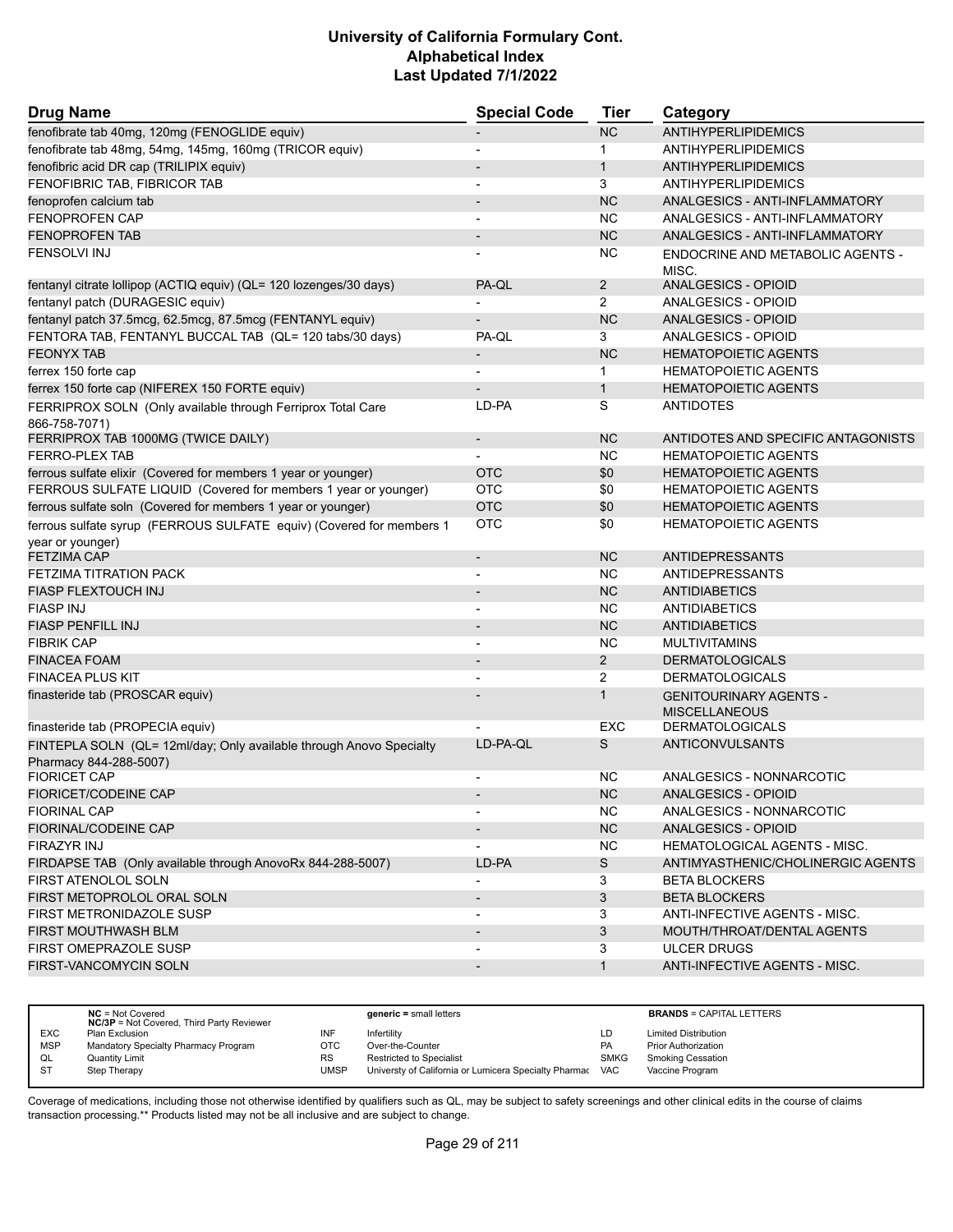| <b>Drug Name</b>                                                                              | <b>Special Code</b>          | Tier           | Category                                         |
|-----------------------------------------------------------------------------------------------|------------------------------|----------------|--------------------------------------------------|
| fenofibrate tab 40mg, 120mg (FENOGLIDE equiv)                                                 |                              | <b>NC</b>      | <b>ANTIHYPERLIPIDEMICS</b>                       |
| fenofibrate tab 48mg, 54mg, 145mg, 160mg (TRICOR equiv)                                       |                              | $\mathbf{1}$   | <b>ANTIHYPERLIPIDEMICS</b>                       |
| fenofibric acid DR cap (TRILIPIX equiv)                                                       |                              | $\mathbf{1}$   | ANTIHYPERLIPIDEMICS                              |
| FENOFIBRIC TAB, FIBRICOR TAB                                                                  | $\overline{\phantom{0}}$     | 3              | ANTIHYPERLIPIDEMICS                              |
| fenoprofen calcium tab                                                                        |                              | <b>NC</b>      | ANALGESICS - ANTI-INFLAMMATORY                   |
| FENOPROFEN CAP                                                                                |                              | <b>NC</b>      | ANALGESICS - ANTI-INFLAMMATORY                   |
| <b>FENOPROFEN TAB</b>                                                                         |                              | <b>NC</b>      | ANALGESICS - ANTI-INFLAMMATORY                   |
| <b>FENSOLVI INJ</b>                                                                           |                              | <b>NC</b>      | <b>ENDOCRINE AND METABOLIC AGENTS -</b><br>MISC. |
| fentanyl citrate lollipop (ACTIQ equiv) (QL= 120 lozenges/30 days)                            | PA-QL                        | $\overline{2}$ | ANALGESICS - OPIOID                              |
| fentanyl patch (DURAGESIC equiv)                                                              |                              | $\overline{2}$ | ANALGESICS - OPIOID                              |
| fentanyl patch 37.5mcg, 62.5mcg, 87.5mcg (FENTANYL equiv)                                     |                              | <b>NC</b>      | <b>ANALGESICS - OPIOID</b>                       |
| FENTORA TAB, FENTANYL BUCCAL TAB (QL= 120 tabs/30 days)                                       | PA-QL                        | 3              | ANALGESICS - OPIOID                              |
| <b>FEONYX TAB</b>                                                                             |                              | <b>NC</b>      | <b>HEMATOPOIETIC AGENTS</b>                      |
| ferrex 150 forte cap                                                                          |                              | $\mathbf 1$    | <b>HEMATOPOIETIC AGENTS</b>                      |
| ferrex 150 forte cap (NIFEREX 150 FORTE equiv)                                                |                              | $\mathbf{1}$   | <b>HEMATOPOIETIC AGENTS</b>                      |
| FERRIPROX SOLN (Only available through Ferriprox Total Care<br>866-758-7071)                  | LD-PA                        | S              | <b>ANTIDOTES</b>                                 |
| FERRIPROX TAB 1000MG (TWICE DAILY)                                                            | $\qquad \qquad \blacksquare$ | <b>NC</b>      | ANTIDOTES AND SPECIFIC ANTAGONISTS               |
| <b>FERRO-PLEX TAB</b>                                                                         |                              | <b>NC</b>      | <b>HEMATOPOIETIC AGENTS</b>                      |
| ferrous sulfate elixir (Covered for members 1 year or younger)                                | <b>OTC</b>                   | \$0            | <b>HEMATOPOIETIC AGENTS</b>                      |
| FERROUS SULFATE LIQUID (Covered for members 1 year or younger)                                | <b>OTC</b>                   | \$0            | <b>HEMATOPOIETIC AGENTS</b>                      |
| ferrous sulfate soln (Covered for members 1 year or younger)                                  | <b>OTC</b>                   | \$0            | <b>HEMATOPOIETIC AGENTS</b>                      |
| ferrous sulfate syrup (FERROUS SULFATE equiv) (Covered for members 1                          | OTC                          | \$0            | <b>HEMATOPOIETIC AGENTS</b>                      |
| year or younger)<br><b>FETZIMA CAP</b>                                                        | $\overline{\phantom{m}}$     | <b>NC</b>      | <b>ANTIDEPRESSANTS</b>                           |
| FETZIMA TITRATION PACK                                                                        |                              | NC.            | <b>ANTIDEPRESSANTS</b>                           |
| <b>FIASP FLEXTOUCH INJ</b>                                                                    |                              | <b>NC</b>      | <b>ANTIDIABETICS</b>                             |
| <b>FIASP INJ</b>                                                                              |                              | <b>NC</b>      | <b>ANTIDIABETICS</b>                             |
| <b>FIASP PENFILL INJ</b>                                                                      |                              | <b>NC</b>      | <b>ANTIDIABETICS</b>                             |
| <b>FIBRIK CAP</b>                                                                             | $\overline{a}$               | <b>NC</b>      | <b>MULTIVITAMINS</b>                             |
| <b>FINACEA FOAM</b>                                                                           | $\qquad \qquad \blacksquare$ | $\overline{2}$ | <b>DERMATOLOGICALS</b>                           |
| <b>FINACEA PLUS KIT</b>                                                                       |                              | 2              | <b>DERMATOLOGICALS</b>                           |
| finasteride tab (PROSCAR equiv)                                                               |                              | $\mathbf{1}$   | <b>GENITOURINARY AGENTS -</b>                    |
|                                                                                               |                              |                | <b>MISCELLANEOUS</b>                             |
| finasteride tab (PROPECIA equiv)                                                              |                              | EXC            | <b>DERMATOLOGICALS</b>                           |
| FINTEPLA SOLN (QL= 12ml/day; Only available through Anovo Specialty<br>Pharmacy 844-288-5007) | LD-PA-QL                     | S              | ANTICONVULSANTS                                  |
| <b>FIORICET CAP</b>                                                                           |                              | <b>NC</b>      | ANALGESICS - NONNARCOTIC                         |
| <b>FIORICET/CODEINE CAP</b>                                                                   |                              | <b>NC</b>      | ANALGESICS - OPIOID                              |
| <b>FIORINAL CAP</b>                                                                           |                              | <b>NC</b>      | ANALGESICS - NONNARCOTIC                         |
| FIORINAL/CODEINE CAP                                                                          |                              | <b>NC</b>      | ANALGESICS - OPIOID                              |
| FIRAZYR INJ                                                                                   |                              | <b>NC</b>      | <b>HEMATOLOGICAL AGENTS - MISC.</b>              |
| FIRDAPSE TAB (Only available through AnovoRx 844-288-5007)                                    | LD-PA                        | S              | ANTIMYASTHENIC/CHOLINERGIC AGENTS                |
| FIRST ATENOLOL SOLN                                                                           |                              | 3              | <b>BETA BLOCKERS</b>                             |
| FIRST METOPROLOL ORAL SOLN                                                                    | $\qquad \qquad \blacksquare$ | 3              | <b>BETA BLOCKERS</b>                             |
| FIRST METRONIDAZOLE SUSP                                                                      | $\qquad \qquad \blacksquare$ | 3              | ANTI-INFECTIVE AGENTS - MISC.                    |
| FIRST MOUTHWASH BLM                                                                           |                              | 3              | MOUTH/THROAT/DENTAL AGENTS                       |
| FIRST OMEPRAZOLE SUSP                                                                         |                              | 3              | <b>ULCER DRUGS</b>                               |
| <b>FIRST-VANCOMYCIN SOLN</b>                                                                  | $\qquad \qquad \blacksquare$ | $\mathbf{1}$   | ANTI-INFECTIVE AGENTS - MISC.                    |
|                                                                                               |                              |                |                                                  |

|            | $NC = Not Covered$<br><b>NC/3P</b> = Not Covered, Third Party Reviewer |           | $generic = small letters$                             |             | <b>BRANDS = CAPITAL LETTERS</b> |
|------------|------------------------------------------------------------------------|-----------|-------------------------------------------------------|-------------|---------------------------------|
| <b>EXC</b> | Plan Exclusion                                                         | INF       | Infertility                                           | LD          | <b>Limited Distribution</b>     |
| <b>MSP</b> | Mandatory Specialty Pharmacy Program                                   | OTC       | Over-the-Counter                                      | <b>PA</b>   | <b>Prior Authorization</b>      |
| QL         | Quantity Limit                                                         | <b>RS</b> | <b>Restricted to Specialist</b>                       | <b>SMKG</b> | <b>Smoking Cessation</b>        |
| <b>ST</b>  | Step Therapy                                                           | UMSP      | Universty of California or Lumicera Specialty Pharmac | <b>VAC</b>  | Vaccine Program                 |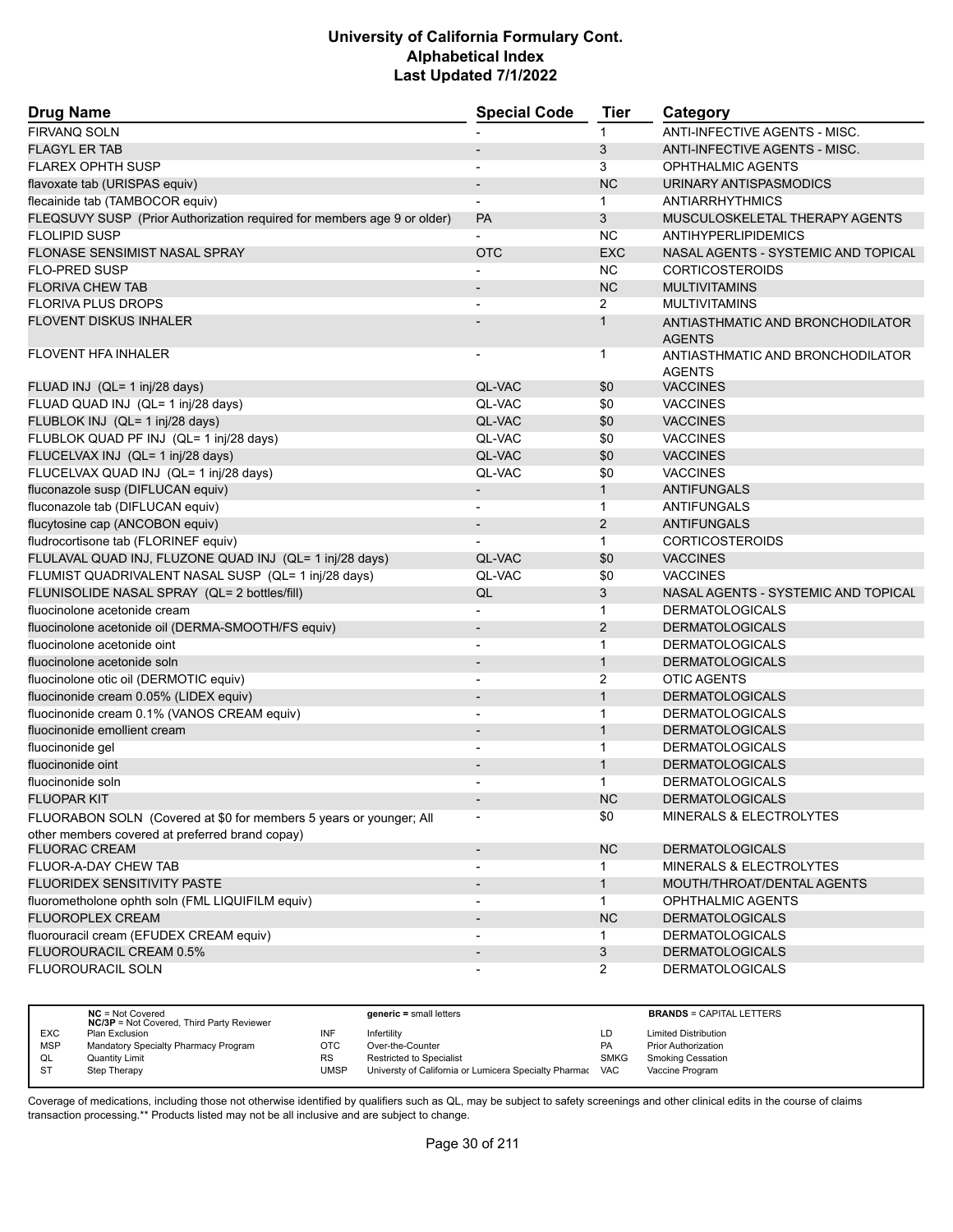| <b>Drug Name</b>                                                        | <b>Special Code</b>      | <b>Tier</b>    | Category                            |
|-------------------------------------------------------------------------|--------------------------|----------------|-------------------------------------|
| <b>FIRVANQ SOLN</b>                                                     |                          | 1              | ANTI-INFECTIVE AGENTS - MISC.       |
| <b>FLAGYL ER TAB</b>                                                    |                          | 3              | ANTI-INFECTIVE AGENTS - MISC.       |
| <b>FLAREX OPHTH SUSP</b>                                                |                          | 3              | <b>OPHTHALMIC AGENTS</b>            |
| flavoxate tab (URISPAS equiv)                                           |                          | <b>NC</b>      | URINARY ANTISPASMODICS              |
| flecainide tab (TAMBOCOR equiv)                                         | $\blacksquare$           | $\mathbf 1$    | <b>ANTIARRHYTHMICS</b>              |
| FLEQSUVY SUSP (Prior Authorization required for members age 9 or older) | <b>PA</b>                | 3              | MUSCULOSKELETAL THERAPY AGENTS      |
| <b>FLOLIPID SUSP</b>                                                    |                          | NC             | ANTIHYPERLIPIDEMICS                 |
| <b>FLONASE SENSIMIST NASAL SPRAY</b>                                    | <b>OTC</b>               | <b>EXC</b>     | NASAL AGENTS - SYSTEMIC AND TOPICAL |
| <b>FLO-PRED SUSP</b>                                                    |                          | <b>NC</b>      | <b>CORTICOSTEROIDS</b>              |
| <b>FLORIVA CHEW TAB</b>                                                 |                          | <b>NC</b>      | <b>MULTIVITAMINS</b>                |
| <b>FLORIVA PLUS DROPS</b>                                               |                          | $\overline{2}$ | <b>MULTIVITAMINS</b>                |
| <b>FLOVENT DISKUS INHALER</b>                                           |                          | $\mathbf{1}$   | ANTIASTHMATIC AND BRONCHODILATOR    |
|                                                                         |                          |                | <b>AGENTS</b>                       |
| <b>FLOVENT HFA INHALER</b>                                              |                          | 1              | ANTIASTHMATIC AND BRONCHODILATOR    |
| FLUAD INJ (QL= 1 inj/28 days)                                           | QL-VAC                   | \$0            | <b>AGENTS</b><br><b>VACCINES</b>    |
| FLUAD QUAD INJ (QL= 1 inj/28 days)                                      | QL-VAC                   | \$0            | <b>VACCINES</b>                     |
| FLUBLOK INJ (QL= 1 inj/28 days)                                         | QL-VAC                   | \$0            | <b>VACCINES</b>                     |
| FLUBLOK QUAD PF INJ (QL= 1 inj/28 days)                                 | QL-VAC                   | \$0            | <b>VACCINES</b>                     |
| FLUCELVAX INJ (QL= 1 inj/28 days)                                       | QL-VAC                   | \$0            | <b>VACCINES</b>                     |
| FLUCELVAX QUAD INJ (QL= 1 inj/28 days)                                  | QL-VAC                   | \$0            | <b>VACCINES</b>                     |
| fluconazole susp (DIFLUCAN equiv)                                       | $\overline{\phantom{a}}$ | $\mathbf{1}$   | <b>ANTIFUNGALS</b>                  |
| fluconazole tab (DIFLUCAN equiv)                                        |                          | $\mathbf{1}$   | ANTIFUNGALS                         |
| flucytosine cap (ANCOBON equiv)                                         | $\overline{\phantom{a}}$ | 2              | ANTIFUNGALS                         |
| fludrocortisone tab (FLORINEF equiv)                                    |                          | $\mathbf{1}$   | <b>CORTICOSTEROIDS</b>              |
| FLULAVAL QUAD INJ, FLUZONE QUAD INJ (QL= 1 inj/28 days)                 | <b>QL-VAC</b>            | \$0            | <b>VACCINES</b>                     |
| FLUMIST QUADRIVALENT NASAL SUSP (QL= 1 inj/28 days)                     | QL-VAC                   | \$0            | <b>VACCINES</b>                     |
| FLUNISOLIDE NASAL SPRAY (QL= 2 bottles/fill)                            | QL                       | 3              | NASAL AGENTS - SYSTEMIC AND TOPICAL |
| fluocinolone acetonide cream                                            |                          | $\mathbf{1}$   | <b>DERMATOLOGICALS</b>              |
| fluocinolone acetonide oil (DERMA-SMOOTH/FS equiv)                      | $\blacksquare$           | 2              | <b>DERMATOLOGICALS</b>              |
| fluocinolone acetonide oint                                             |                          | $\mathbf{1}$   | <b>DERMATOLOGICALS</b>              |
| fluocinolone acetonide soln                                             | $\overline{\phantom{a}}$ | $\mathbf{1}$   | <b>DERMATOLOGICALS</b>              |
| fluocinolone otic oil (DERMOTIC equiv)                                  | $\overline{\phantom{a}}$ | 2              | <b>OTIC AGENTS</b>                  |
| fluocinonide cream 0.05% (LIDEX equiv)                                  |                          | $\mathbf{1}$   | <b>DERMATOLOGICALS</b>              |
| fluocinonide cream 0.1% (VANOS CREAM equiv)                             | $\blacksquare$           | $\mathbf{1}$   | <b>DERMATOLOGICALS</b>              |
| fluocinonide emollient cream                                            | $\overline{\phantom{a}}$ | $\mathbf{1}$   | <b>DERMATOLOGICALS</b>              |
| fluocinonide gel                                                        |                          | $\mathbf{1}$   | <b>DERMATOLOGICALS</b>              |
| fluocinonide oint                                                       | $\overline{\phantom{a}}$ | $\mathbf{1}$   | <b>DERMATOLOGICALS</b>              |
| fluocinonide soln                                                       |                          | $\mathbf{1}$   | <b>DERMATOLOGICALS</b>              |
| <b>FLUOPAR KIT</b>                                                      |                          | NC             | <b>DERMATOLOGICALS</b>              |
| FLUORABON SOLN (Covered at \$0 for members 5 years or younger; All      |                          | \$0            | MINERALS & ELECTROLYTES             |
| other members covered at preferred brand copay)                         |                          |                |                                     |
| <b>FLUORAC CREAM</b>                                                    | $\overline{\phantom{a}}$ | NC             | <b>DERMATOLOGICALS</b>              |
| FLUOR-A-DAY CHEW TAB                                                    |                          | 1.             | <b>MINERALS &amp; ELECTROLYTES</b>  |
| FLUORIDEX SENSITIVITY PASTE                                             |                          | $\mathbf{1}$   | MOUTH/THROAT/DENTAL AGENTS          |
| fluorometholone ophth soln (FML LIQUIFILM equiv)                        | $\blacksquare$           | $\mathbf{1}$   | OPHTHALMIC AGENTS                   |
| <b>FLUOROPLEX CREAM</b>                                                 |                          | <b>NC</b>      | <b>DERMATOLOGICALS</b>              |
| fluorouracil cream (EFUDEX CREAM equiv)                                 |                          | 1              | <b>DERMATOLOGICALS</b>              |
| FLUOROURACIL CREAM 0.5%                                                 |                          | 3              | <b>DERMATOLOGICALS</b>              |
| FLUOROURACIL SOLN                                                       |                          | $\overline{2}$ | <b>DERMATOLOGICALS</b>              |

|            | $NC = Not Covered$<br><b>NC/3P</b> = Not Covered, Third Party Reviewer |           | $generic = small letters$                                 |             | <b>BRANDS = CAPITAL LETTERS</b> |
|------------|------------------------------------------------------------------------|-----------|-----------------------------------------------------------|-------------|---------------------------------|
| <b>EXC</b> | Plan Exclusion                                                         | INF       | Infertility                                               | LD          | <b>Limited Distribution</b>     |
| <b>MSP</b> | Mandatory Specialty Pharmacy Program                                   | OTC       | Over-the-Counter                                          | <b>PA</b>   | <b>Prior Authorization</b>      |
| QL         | Quantity Limit                                                         | <b>RS</b> | <b>Restricted to Specialist</b>                           | <b>SMKG</b> | <b>Smoking Cessation</b>        |
| <b>ST</b>  | Step Therapy                                                           | UMSP      | Universty of California or Lumicera Specialty Pharmac VAC |             | Vaccine Program                 |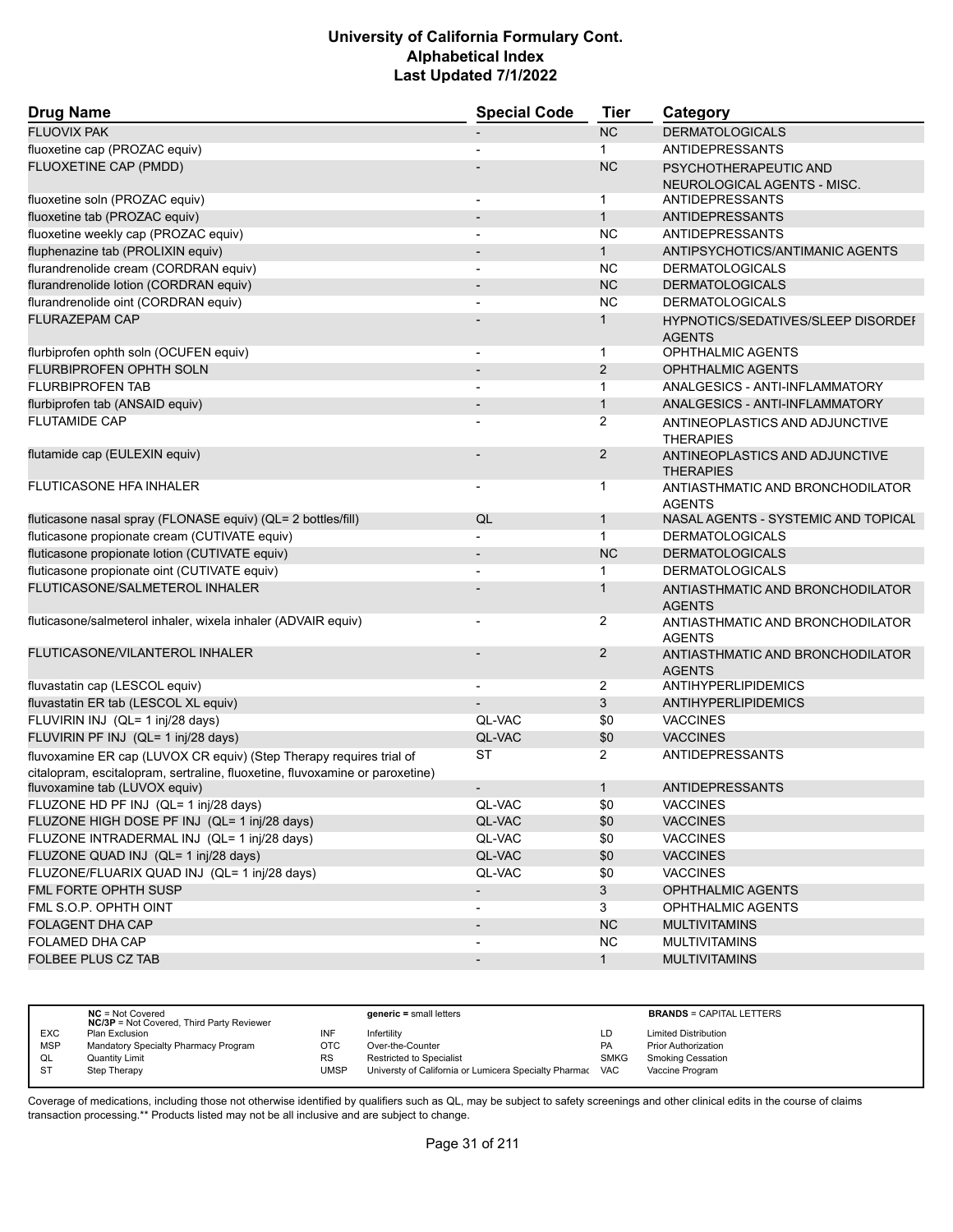| <b>Drug Name</b>                                                                                                                                    | <b>Special Code</b>      | <b>Tier</b>    | Category                                            |
|-----------------------------------------------------------------------------------------------------------------------------------------------------|--------------------------|----------------|-----------------------------------------------------|
| <b>FLUOVIX PAK</b>                                                                                                                                  |                          | <b>NC</b>      | <b>DERMATOLOGICALS</b>                              |
| fluoxetine cap (PROZAC equiv)                                                                                                                       |                          | $\mathbf{1}$   | <b>ANTIDEPRESSANTS</b>                              |
| FLUOXETINE CAP (PMDD)                                                                                                                               |                          | <b>NC</b>      | PSYCHOTHERAPEUTIC AND                               |
|                                                                                                                                                     |                          |                | NEUROLOGICAL AGENTS - MISC.                         |
| fluoxetine soln (PROZAC equiv)                                                                                                                      |                          | $\mathbf 1$    | <b>ANTIDEPRESSANTS</b>                              |
| fluoxetine tab (PROZAC equiv)                                                                                                                       |                          | $\mathbf{1}$   | <b>ANTIDEPRESSANTS</b>                              |
| fluoxetine weekly cap (PROZAC equiv)                                                                                                                |                          | <b>NC</b>      | <b>ANTIDEPRESSANTS</b>                              |
| fluphenazine tab (PROLIXIN equiv)                                                                                                                   |                          | $\mathbf{1}$   | ANTIPSYCHOTICS/ANTIMANIC AGENTS                     |
| flurandrenolide cream (CORDRAN equiv)                                                                                                               | $\overline{\phantom{a}}$ | <b>NC</b>      | <b>DERMATOLOGICALS</b>                              |
| flurandrenolide lotion (CORDRAN equiv)                                                                                                              |                          | <b>NC</b>      | <b>DERMATOLOGICALS</b>                              |
| flurandrenolide oint (CORDRAN equiv)                                                                                                                |                          | <b>NC</b>      | <b>DERMATOLOGICALS</b>                              |
| <b>FLURAZEPAM CAP</b>                                                                                                                               |                          | $\mathbf{1}$   | HYPNOTICS/SEDATIVES/SLEEP DISORDEF<br><b>AGENTS</b> |
| flurbiprofen ophth soln (OCUFEN equiv)                                                                                                              | $\overline{\phantom{a}}$ | $\mathbf{1}$   | <b>OPHTHALMIC AGENTS</b>                            |
| FLURBIPROFEN OPHTH SOLN                                                                                                                             |                          | 2              | <b>OPHTHALMIC AGENTS</b>                            |
| <b>FLURBIPROFEN TAB</b>                                                                                                                             |                          | $\mathbf{1}$   | ANALGESICS - ANTI-INFLAMMATORY                      |
| flurbiprofen tab (ANSAID equiv)                                                                                                                     | $\overline{\phantom{a}}$ | $\mathbf{1}$   | ANALGESICS - ANTI-INFLAMMATORY                      |
| <b>FLUTAMIDE CAP</b>                                                                                                                                |                          | 2              | ANTINEOPLASTICS AND ADJUNCTIVE<br><b>THERAPIES</b>  |
| flutamide cap (EULEXIN equiv)                                                                                                                       |                          | 2              | ANTINEOPLASTICS AND ADJUNCTIVE<br><b>THERAPIES</b>  |
| <b>FLUTICASONE HFA INHALER</b>                                                                                                                      |                          | $\mathbf 1$    | ANTIASTHMATIC AND BRONCHODILATOR<br><b>AGENTS</b>   |
| fluticasone nasal spray (FLONASE equiv) (QL= 2 bottles/fill)                                                                                        | QL                       | $\mathbf{1}$   | NASAL AGENTS - SYSTEMIC AND TOPICAL                 |
| fluticasone propionate cream (CUTIVATE equiv)                                                                                                       |                          | $\mathbf{1}$   | <b>DERMATOLOGICALS</b>                              |
| fluticasone propionate lotion (CUTIVATE equiv)                                                                                                      |                          | <b>NC</b>      | <b>DERMATOLOGICALS</b>                              |
| fluticasone propionate oint (CUTIVATE equiv)                                                                                                        |                          | $\mathbf 1$    | <b>DERMATOLOGICALS</b>                              |
| FLUTICASONE/SALMETEROL INHALER                                                                                                                      |                          | 1              | ANTIASTHMATIC AND BRONCHODILATOR<br><b>AGENTS</b>   |
| fluticasone/salmeterol inhaler, wixela inhaler (ADVAIR equiv)                                                                                       |                          | 2              | ANTIASTHMATIC AND BRONCHODILATOR<br><b>AGENTS</b>   |
| FLUTICASONE/VILANTEROL INHALER                                                                                                                      |                          | $\overline{2}$ | ANTIASTHMATIC AND BRONCHODILATOR<br><b>AGENTS</b>   |
| fluvastatin cap (LESCOL equiv)                                                                                                                      |                          | 2              | <b>ANTIHYPERLIPIDEMICS</b>                          |
| fluvastatin ER tab (LESCOL XL equiv)                                                                                                                |                          | 3              | ANTIHYPERLIPIDEMICS                                 |
| FLUVIRIN INJ (QL= 1 inj/28 days)                                                                                                                    | QL-VAC                   | \$0            | <b>VACCINES</b>                                     |
| FLUVIRIN PF INJ (QL= 1 inj/28 days)                                                                                                                 | QL-VAC                   | \$0            | <b>VACCINES</b>                                     |
| fluvoxamine ER cap (LUVOX CR equiv) (Step Therapy requires trial of<br>citalopram, escitalopram, sertraline, fluoxetine, fluvoxamine or paroxetine) | ST                       | $\overline{2}$ | <b>ANTIDEPRESSANTS</b>                              |
| fluvoxamine tab (LUVOX equiv)                                                                                                                       | $\overline{\phantom{a}}$ | $\mathbf{1}$   | <b>ANTIDEPRESSANTS</b>                              |
| FLUZONE HD PF INJ (QL= 1 inj/28 days)                                                                                                               | QL-VAC                   | \$0            | <b>VACCINES</b>                                     |
| FLUZONE HIGH DOSE PF INJ (QL= 1 inj/28 days)                                                                                                        | QL-VAC                   | \$0            | <b>VACCINES</b>                                     |
| FLUZONE INTRADERMAL INJ (QL= 1 inj/28 days)                                                                                                         | QL-VAC                   | \$0            | <b>VACCINES</b>                                     |
| FLUZONE QUAD INJ (QL= 1 inj/28 days)                                                                                                                | QL-VAC                   | \$0            | <b>VACCINES</b>                                     |
| FLUZONE/FLUARIX QUAD INJ (QL= 1 inj/28 days)                                                                                                        | QL-VAC                   | \$0            | <b>VACCINES</b>                                     |
| FML FORTE OPHTH SUSP                                                                                                                                | $\overline{\phantom{a}}$ | $\mathbf{3}$   | <b>OPHTHALMIC AGENTS</b>                            |
| FML S.O.P. OPHTH OINT                                                                                                                               | $\overline{\phantom{a}}$ | 3              | <b>OPHTHALMIC AGENTS</b>                            |
| <b>FOLAGENT DHA CAP</b>                                                                                                                             | $\overline{\phantom{a}}$ | NC             | <b>MULTIVITAMINS</b>                                |
| FOLAMED DHA CAP                                                                                                                                     |                          | NC             | <b>MULTIVITAMINS</b>                                |
| FOLBEE PLUS CZ TAB                                                                                                                                  | $\overline{\phantom{a}}$ | 1              | <b>MULTIVITAMINS</b>                                |

|            | $NC = Not Covered$<br><b>NC/3P</b> = Not Covered, Third Party Reviewer |           | $generic = small letters$                             |             | <b>BRANDS = CAPITAL LETTERS</b> |
|------------|------------------------------------------------------------------------|-----------|-------------------------------------------------------|-------------|---------------------------------|
| <b>EXC</b> | Plan Exclusion                                                         | INF       | Infertility                                           | LD          | <b>Limited Distribution</b>     |
| <b>MSP</b> | Mandatory Specialty Pharmacy Program                                   | OTC       | Over-the-Counter                                      | PA          | <b>Prior Authorization</b>      |
| QL         | <b>Quantity Limit</b>                                                  | <b>RS</b> | <b>Restricted to Specialist</b>                       | <b>SMKG</b> | <b>Smoking Cessation</b>        |
| <b>ST</b>  | Step Therapy                                                           | UMSP      | Universty of California or Lumicera Specialty Pharmac | <b>VAC</b>  | Vaccine Program                 |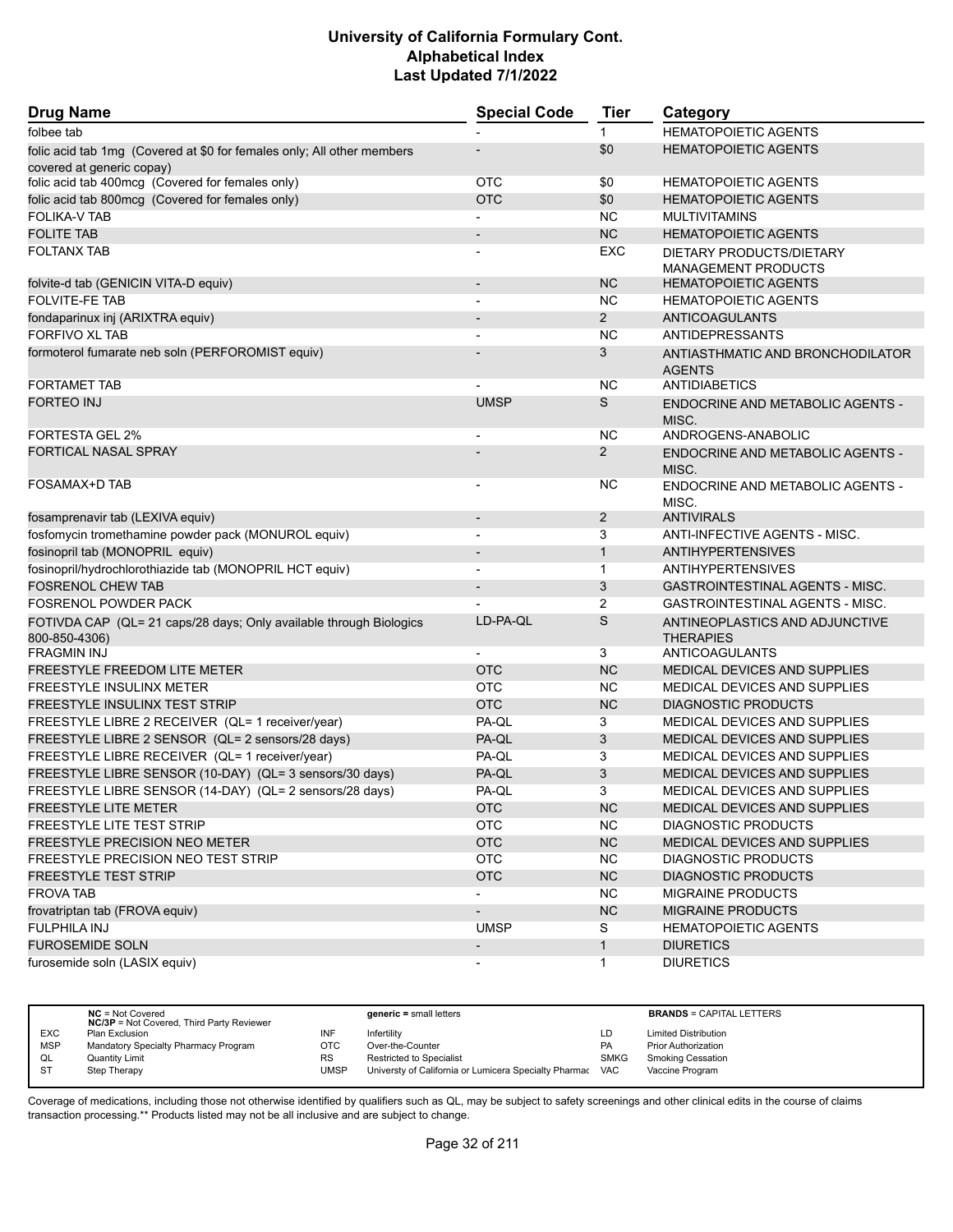| <b>Drug Name</b>                                                                    | <b>Special Code</b>      | <b>Tier</b>    | Category                                           |
|-------------------------------------------------------------------------------------|--------------------------|----------------|----------------------------------------------------|
| folbee tab                                                                          |                          | $\mathbf 1$    | <b>HEMATOPOIETIC AGENTS</b>                        |
| folic acid tab 1mg (Covered at \$0 for females only; All other members              |                          | \$0            | <b>HEMATOPOIETIC AGENTS</b>                        |
| covered at generic copay)                                                           |                          |                |                                                    |
| folic acid tab 400mcg (Covered for females only)                                    | <b>OTC</b>               | \$0            | <b>HEMATOPOIETIC AGENTS</b>                        |
| folic acid tab 800mcg (Covered for females only)                                    | <b>OTC</b>               | \$0            | <b>HEMATOPOIETIC AGENTS</b>                        |
| <b>FOLIKA-V TAB</b>                                                                 |                          | NC.            | <b>MULTIVITAMINS</b>                               |
| <b>FOLITE TAB</b>                                                                   |                          | <b>NC</b>      | <b>HEMATOPOIETIC AGENTS</b>                        |
| <b>FOLTANX TAB</b>                                                                  |                          | EXC            | DIETARY PRODUCTS/DIETARY<br>MANAGEMENT PRODUCTS    |
| folvite-d tab (GENICIN VITA-D equiv)                                                |                          | <b>NC</b>      | <b>HEMATOPOIETIC AGENTS</b>                        |
| <b>FOLVITE-FE TAB</b>                                                               |                          | NC.            | <b>HEMATOPOIETIC AGENTS</b>                        |
| fondaparinux inj (ARIXTRA equiv)                                                    |                          | $\overline{2}$ | <b>ANTICOAGULANTS</b>                              |
| <b>FORFIVO XL TAB</b>                                                               |                          | <b>NC</b>      | <b>ANTIDEPRESSANTS</b>                             |
| formoterol fumarate neb soln (PERFOROMIST equiv)                                    |                          | 3              | ANTIASTHMATIC AND BRONCHODILATOR<br><b>AGENTS</b>  |
| <b>FORTAMET TAB</b>                                                                 |                          | NC.            | ANTIDIABETICS                                      |
| <b>FORTEO INJ</b>                                                                   | <b>UMSP</b>              | S              | <b>ENDOCRINE AND METABOLIC AGENTS -</b><br>MISC.   |
| <b>FORTESTA GEL 2%</b>                                                              |                          | <b>NC</b>      | ANDROGENS-ANABOLIC                                 |
| FORTICAL NASAL SPRAY                                                                |                          | $\overline{2}$ | <b>ENDOCRINE AND METABOLIC AGENTS -</b><br>MISC.   |
| FOSAMAX+D TAB                                                                       |                          | NC.            | ENDOCRINE AND METABOLIC AGENTS -<br>MISC.          |
| fosamprenavir tab (LEXIVA equiv)                                                    | $\overline{\phantom{a}}$ | 2              | <b>ANTIVIRALS</b>                                  |
| fosfomycin tromethamine powder pack (MONUROL equiv)                                 |                          | 3              | ANTI-INFECTIVE AGENTS - MISC.                      |
| fosinopril tab (MONOPRIL equiv)                                                     |                          | $\mathbf{1}$   | <b>ANTIHYPERTENSIVES</b>                           |
| fosinopril/hydrochlorothiazide tab (MONOPRIL HCT equiv)                             |                          | $\mathbf{1}$   | <b>ANTIHYPERTENSIVES</b>                           |
| <b>FOSRENOL CHEW TAB</b>                                                            |                          | 3              | <b>GASTROINTESTINAL AGENTS - MISC.</b>             |
| <b>FOSRENOL POWDER PACK</b>                                                         |                          | $\overline{2}$ | GASTROINTESTINAL AGENTS - MISC.                    |
| FOTIVDA CAP (QL= 21 caps/28 days; Only available through Biologics<br>800-850-4306) | LD-PA-QL                 | $\mathsf S$    | ANTINEOPLASTICS AND ADJUNCTIVE<br><b>THERAPIES</b> |
| <b>FRAGMIN INJ</b>                                                                  |                          | 3              | ANTICOAGULANTS                                     |
| <b>FREESTYLE FREEDOM LITE METER</b>                                                 | <b>OTC</b>               | <b>NC</b>      | <b>MEDICAL DEVICES AND SUPPLIES</b>                |
| <b>FREESTYLE INSULINX METER</b>                                                     | <b>OTC</b>               | <b>NC</b>      | MEDICAL DEVICES AND SUPPLIES                       |
| FREESTYLE INSULINX TEST STRIP                                                       | <b>OTC</b>               | <b>NC</b>      | <b>DIAGNOSTIC PRODUCTS</b>                         |
| FREESTYLE LIBRE 2 RECEIVER (QL= 1 receiver/year)                                    | PA-QL                    | 3              | MEDICAL DEVICES AND SUPPLIES                       |
| FREESTYLE LIBRE 2 SENSOR (QL= 2 sensors/28 days)                                    | PA-QL                    | 3              | MEDICAL DEVICES AND SUPPLIES                       |
| FREESTYLE LIBRE RECEIVER (QL= 1 receiver/year)                                      | PA-QL                    | 3              | MEDICAL DEVICES AND SUPPLIES                       |
| FREESTYLE LIBRE SENSOR (10-DAY) (QL= 3 sensors/30 days)                             | PA-QL                    | 3              | MEDICAL DEVICES AND SUPPLIES                       |
| FREESTYLE LIBRE SENSOR (14-DAY) (QL= 2 sensors/28 days)                             | PA-QL                    | 3              | MEDICAL DEVICES AND SUPPLIES                       |
| <b>FREESTYLE LITE METER</b>                                                         | <b>OTC</b>               | NC             | MEDICAL DEVICES AND SUPPLIES                       |
| <b>FREESTYLE LITE TEST STRIP</b>                                                    | <b>OTC</b>               | <b>NC</b>      | <b>DIAGNOSTIC PRODUCTS</b>                         |
| FREESTYLE PRECISION NEO METER                                                       | <b>OTC</b>               | <b>NC</b>      | MEDICAL DEVICES AND SUPPLIES                       |
| FREESTYLE PRECISION NEO TEST STRIP                                                  | <b>OTC</b>               | <b>NC</b>      | DIAGNOSTIC PRODUCTS                                |
| <b>FREESTYLE TEST STRIP</b>                                                         | <b>OTC</b>               | NC             | <b>DIAGNOSTIC PRODUCTS</b>                         |
| <b>FROVA TAB</b>                                                                    | $\overline{\phantom{a}}$ | <b>NC</b>      | MIGRAINE PRODUCTS                                  |
| frovatriptan tab (FROVA equiv)                                                      | $\overline{\phantom{a}}$ | NC             | <b>MIGRAINE PRODUCTS</b>                           |
| <b>FULPHILA INJ</b>                                                                 | <b>UMSP</b>              | S              | <b>HEMATOPOIETIC AGENTS</b>                        |
| <b>FUROSEMIDE SOLN</b>                                                              | $\overline{\phantom{a}}$ | $\mathbf{1}$   | <b>DIURETICS</b>                                   |
| furosemide soln (LASIX equiv)                                                       | $\overline{\phantom{a}}$ | $\mathbf{1}$   | <b>DIURETICS</b>                                   |

|            | $NC = Not Covered$<br><b>NC/3P</b> = Not Covered, Third Party Reviewer |           | $generic = small letters$                             |             | <b>BRANDS = CAPITAL LETTERS</b> |
|------------|------------------------------------------------------------------------|-----------|-------------------------------------------------------|-------------|---------------------------------|
| <b>EXC</b> | Plan Exclusion                                                         | INF       | Infertility                                           | LD          | <b>Limited Distribution</b>     |
| <b>MSP</b> | Mandatory Specialty Pharmacy Program                                   | отс       | Over-the-Counter                                      | PA          | <b>Prior Authorization</b>      |
| QL         | <b>Quantity Limit</b>                                                  | <b>RS</b> | <b>Restricted to Specialist</b>                       | <b>SMKG</b> | <b>Smoking Cessation</b>        |
| S1         | Step Therapy                                                           | UMSP      | Universty of California or Lumicera Specialty Pharmac | <b>VAC</b>  | Vaccine Program                 |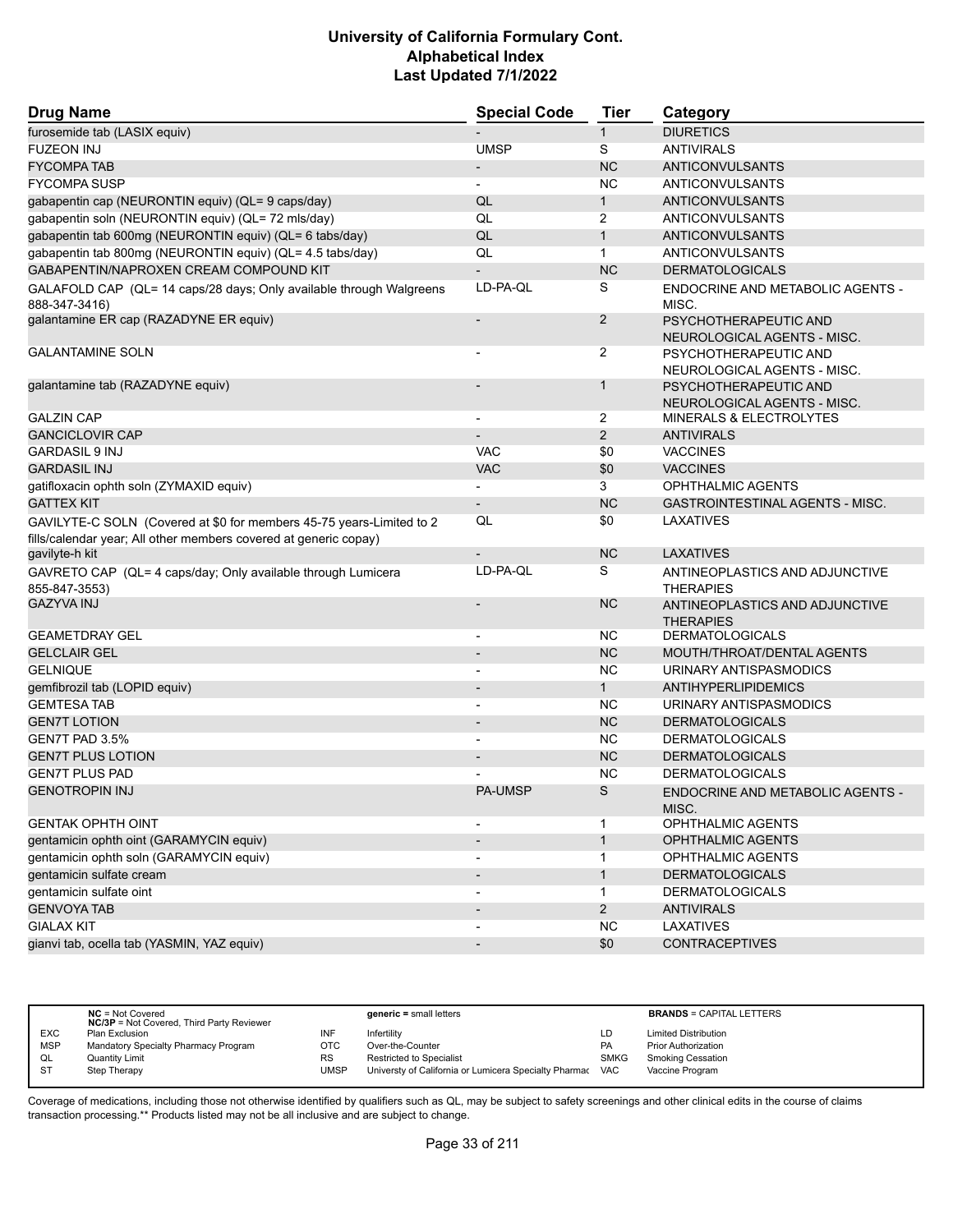| <b>Drug Name</b>                                                                     | <b>Special Code</b>      | <b>Tier</b>    | Category                                             |
|--------------------------------------------------------------------------------------|--------------------------|----------------|------------------------------------------------------|
| furosemide tab (LASIX equiv)                                                         |                          | $\mathbf{1}$   | <b>DIURETICS</b>                                     |
| <b>FUZEON INJ</b>                                                                    | <b>UMSP</b>              | S              | <b>ANTIVIRALS</b>                                    |
| <b>FYCOMPA TAB</b>                                                                   | $\overline{\phantom{a}}$ | <b>NC</b>      | <b>ANTICONVULSANTS</b>                               |
| <b>FYCOMPA SUSP</b>                                                                  | $\blacksquare$           | <b>NC</b>      | ANTICONVULSANTS                                      |
| gabapentin cap (NEURONTIN equiv) (QL= 9 caps/day)                                    | QL                       | $\mathbf{1}$   | ANTICONVULSANTS                                      |
| gabapentin soln (NEURONTIN equiv) (QL= 72 mls/day)                                   | QL                       | 2              | ANTICONVULSANTS                                      |
| gabapentin tab 600mg (NEURONTIN equiv) (QL= 6 tabs/day)                              | QL                       | $\mathbf{1}$   | ANTICONVULSANTS                                      |
| gabapentin tab 800mg (NEURONTIN equiv) (QL= 4.5 tabs/day)                            | QL                       | $\mathbf{1}$   | <b>ANTICONVULSANTS</b>                               |
| GABAPENTIN/NAPROXEN CREAM COMPOUND KIT                                               |                          | <b>NC</b>      | <b>DERMATOLOGICALS</b>                               |
| GALAFOLD CAP (QL= 14 caps/28 days; Only available through Walgreens<br>888-347-3416) | LD-PA-QL                 | S              | ENDOCRINE AND METABOLIC AGENTS -<br>MISC.            |
| galantamine ER cap (RAZADYNE ER equiv)                                               |                          | $\overline{2}$ | PSYCHOTHERAPEUTIC AND<br>NEUROLOGICAL AGENTS - MISC. |
| <b>GALANTAMINE SOLN</b>                                                              |                          | 2              | PSYCHOTHERAPEUTIC AND<br>NEUROLOGICAL AGENTS - MISC. |
| galantamine tab (RAZADYNE equiv)                                                     |                          | 1              | PSYCHOTHERAPEUTIC AND<br>NEUROLOGICAL AGENTS - MISC. |
| <b>GALZIN CAP</b>                                                                    | $\overline{\phantom{a}}$ | $\overline{2}$ | MINERALS & ELECTROLYTES                              |
| <b>GANCICLOVIR CAP</b>                                                               |                          | 2              | <b>ANTIVIRALS</b>                                    |
| <b>GARDASIL 9 INJ</b>                                                                | <b>VAC</b>               | \$0            | <b>VACCINES</b>                                      |
| <b>GARDASIL INJ</b>                                                                  | <b>VAC</b>               | \$0            | <b>VACCINES</b>                                      |
| gatifloxacin ophth soln (ZYMAXID equiv)                                              |                          | 3              | <b>OPHTHALMIC AGENTS</b>                             |
| <b>GATTEX KIT</b>                                                                    | $\overline{\phantom{a}}$ | <b>NC</b>      | GASTROINTESTINAL AGENTS - MISC.                      |
| GAVILYTE-C SOLN (Covered at \$0 for members 45-75 years-Limited to 2                 | QL                       | \$0            | LAXATIVES                                            |
| fills/calendar year; All other members covered at generic copay)                     |                          |                |                                                      |
| gavilyte-h kit                                                                       |                          | <b>NC</b>      | <b>LAXATIVES</b>                                     |
| GAVRETO CAP (QL= 4 caps/day; Only available through Lumicera<br>855-847-3553)        | LD-PA-QL                 | S              | ANTINEOPLASTICS AND ADJUNCTIVE<br><b>THERAPIES</b>   |
| <b>GAZYVA INJ</b>                                                                    |                          | <b>NC</b>      | ANTINEOPLASTICS AND ADJUNCTIVE<br><b>THERAPIES</b>   |
| <b>GEAMETDRAY GEL</b>                                                                |                          | NC.            | <b>DERMATOLOGICALS</b>                               |
| <b>GELCLAIR GEL</b>                                                                  | $\overline{\phantom{a}}$ | <b>NC</b>      | MOUTH/THROAT/DENTAL AGENTS                           |
| <b>GELNIQUE</b>                                                                      |                          | <b>NC</b>      | URINARY ANTISPASMODICS                               |
| gemfibrozil tab (LOPID equiv)                                                        |                          | $\mathbf{1}$   | <b>ANTIHYPERLIPIDEMICS</b>                           |
| <b>GEMTESA TAB</b>                                                                   | $\overline{\phantom{a}}$ | NC.            | URINARY ANTISPASMODICS                               |
| <b>GEN7T LOTION</b>                                                                  |                          | <b>NC</b>      | <b>DERMATOLOGICALS</b>                               |
| GEN7T PAD 3.5%                                                                       |                          | <b>NC</b>      | <b>DERMATOLOGICALS</b>                               |
| <b>GEN7T PLUS LOTION</b>                                                             |                          | <b>NC</b>      | <b>DERMATOLOGICALS</b>                               |
| <b>GEN7T PLUS PAD</b>                                                                |                          | <b>NC</b>      | <b>DERMATOLOGICALS</b>                               |
| <b>GENOTROPIN INJ</b>                                                                | <b>PA-UMSP</b>           | S              | ENDOCRINE AND METABOLIC AGENTS -<br>MISC.            |
| <b>GENTAK OPHTH OINT</b>                                                             |                          | 1              | OPHTHALMIC AGENTS                                    |
| gentamicin ophth oint (GARAMYCIN equiv)                                              |                          | $\mathbf{1}$   | <b>OPHTHALMIC AGENTS</b>                             |
| gentamicin ophth soln (GARAMYCIN equiv)                                              | $\blacksquare$           | 1              | OPHTHALMIC AGENTS                                    |
| gentamicin sulfate cream                                                             |                          | $\mathbf{1}$   | <b>DERMATOLOGICALS</b>                               |
| gentamicin sulfate oint                                                              |                          | $\mathbf{1}$   | <b>DERMATOLOGICALS</b>                               |
| <b>GENVOYA TAB</b>                                                                   | $\overline{\phantom{a}}$ | $\overline{2}$ | <b>ANTIVIRALS</b>                                    |
| <b>GIALAX KIT</b>                                                                    |                          | <b>NC</b>      | LAXATIVES                                            |
| gianvi tab, ocella tab (YASMIN, YAZ equiv)                                           |                          | \$0            | <b>CONTRACEPTIVES</b>                                |

|            | $NC = Not Covered$<br><b>NC/3P</b> = Not Covered, Third Party Reviewer |      | $generic = small letters$                             |             | <b>BRANDS = CAPITAL LETTERS</b> |
|------------|------------------------------------------------------------------------|------|-------------------------------------------------------|-------------|---------------------------------|
| <b>EXC</b> | Plan Exclusion                                                         |      | Infertility                                           | LD          | <b>Limited Distribution</b>     |
| <b>MSP</b> | Mandatory Specialty Pharmacy Program                                   | отс  | Over-the-Counter                                      | PA          | <b>Prior Authorization</b>      |
| QL         | <b>Quantity Limit</b>                                                  | RS   | <b>Restricted to Specialist</b>                       | <b>SMKG</b> | <b>Smoking Cessation</b>        |
| ST         | Step Therapy                                                           | UMSP | Universty of California or Lumicera Specialty Pharmac | <b>VAC</b>  | Vaccine Program                 |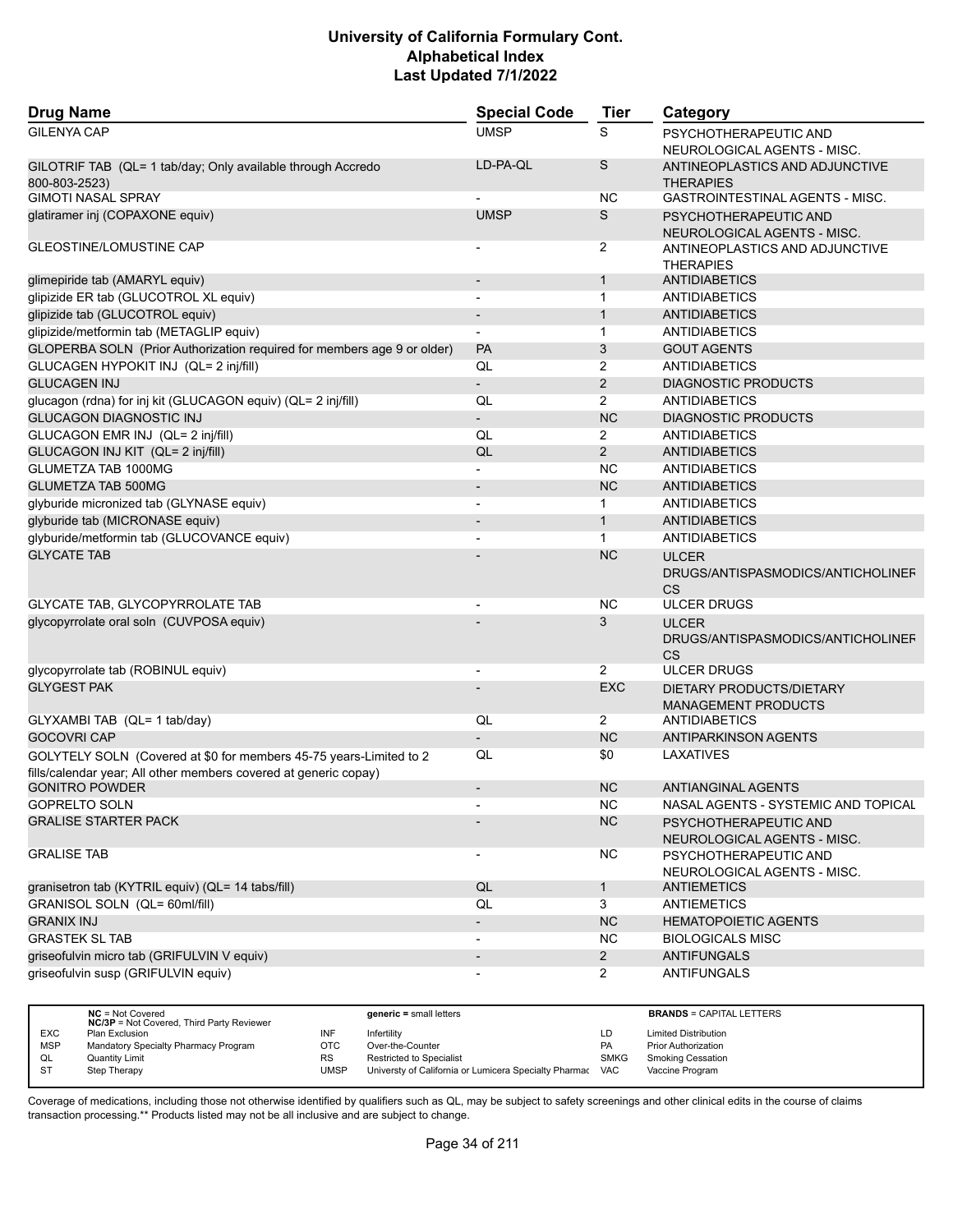| <b>Drug Name</b>                                                                                                                       | <b>Special Code</b>      | <b>Tier</b>    | Category                                                |
|----------------------------------------------------------------------------------------------------------------------------------------|--------------------------|----------------|---------------------------------------------------------|
| <b>GILENYA CAP</b>                                                                                                                     | <b>UMSP</b>              | S              | PSYCHOTHERAPEUTIC AND<br>NEUROLOGICAL AGENTS - MISC.    |
| GILOTRIF TAB (QL= 1 tab/day; Only available through Accredo<br>800-803-2523)                                                           | LD-PA-QL                 | S              | ANTINEOPLASTICS AND ADJUNCTIVE<br><b>THERAPIES</b>      |
| <b>GIMOTI NASAL SPRAY</b>                                                                                                              |                          | NC             | <b>GASTROINTESTINAL AGENTS - MISC.</b>                  |
| glatiramer inj (COPAXONE equiv)                                                                                                        | <b>UMSP</b>              | $\mathsf S$    | PSYCHOTHERAPEUTIC AND<br>NEUROLOGICAL AGENTS - MISC.    |
| <b>GLEOSTINE/LOMUSTINE CAP</b>                                                                                                         |                          | 2              | ANTINEOPLASTICS AND ADJUNCTIVE<br><b>THERAPIES</b>      |
| glimepiride tab (AMARYL equiv)                                                                                                         |                          | $\mathbf{1}$   | ANTIDIABETICS                                           |
| glipizide ER tab (GLUCOTROL XL equiv)                                                                                                  | $\blacksquare$           | $\mathbf{1}$   | <b>ANTIDIABETICS</b>                                    |
| glipizide tab (GLUCOTROL equiv)                                                                                                        | $\overline{\phantom{a}}$ | $\mathbf{1}$   | <b>ANTIDIABETICS</b>                                    |
| glipizide/metformin tab (METAGLIP equiv)                                                                                               | $\overline{\phantom{a}}$ | $\mathbf{1}$   | <b>ANTIDIABETICS</b>                                    |
| GLOPERBA SOLN (Prior Authorization required for members age 9 or older)                                                                | <b>PA</b>                | 3              | <b>GOUT AGENTS</b>                                      |
| GLUCAGEN HYPOKIT INJ (QL= 2 inj/fill)                                                                                                  | QL                       | 2              | <b>ANTIDIABETICS</b>                                    |
| <b>GLUCAGEN INJ</b>                                                                                                                    | $\overline{\phantom{a}}$ | 2              | <b>DIAGNOSTIC PRODUCTS</b>                              |
| glucagon (rdna) for inj kit (GLUCAGON equiv) (QL= 2 inj/fill)                                                                          | QL                       | $\overline{2}$ | ANTIDIABETICS                                           |
| <b>GLUCAGON DIAGNOSTIC INJ</b>                                                                                                         | $\blacksquare$           | <b>NC</b>      | <b>DIAGNOSTIC PRODUCTS</b>                              |
| GLUCAGON EMR INJ (QL= 2 inj/fill)                                                                                                      | QL                       | 2              | <b>ANTIDIABETICS</b>                                    |
| GLUCAGON INJ KIT (QL= 2 inj/fill)                                                                                                      | QL                       | $\overline{2}$ | <b>ANTIDIABETICS</b>                                    |
| GLUMETZA TAB 1000MG                                                                                                                    |                          | ΝC             | <b>ANTIDIABETICS</b>                                    |
| <b>GLUMETZA TAB 500MG</b>                                                                                                              |                          | <b>NC</b>      | <b>ANTIDIABETICS</b>                                    |
| glyburide micronized tab (GLYNASE equiv)                                                                                               |                          | 1              | <b>ANTIDIABETICS</b>                                    |
| glyburide tab (MICRONASE equiv)                                                                                                        |                          | $\mathbf{1}$   | <b>ANTIDIABETICS</b>                                    |
| glyburide/metformin tab (GLUCOVANCE equiv)                                                                                             |                          | $\mathbf{1}$   | <b>ANTIDIABETICS</b>                                    |
| <b>GLYCATE TAB</b>                                                                                                                     |                          | <b>NC</b>      | <b>ULCER</b>                                            |
|                                                                                                                                        |                          |                | DRUGS/ANTISPASMODICS/ANTICHOLINEF<br><b>CS</b>          |
| GLYCATE TAB, GLYCOPYRROLATE TAB                                                                                                        |                          | NС             | <b>ULCER DRUGS</b>                                      |
| glycopyrrolate oral soln (CUVPOSA equiv)                                                                                               |                          | 3              | <b>ULCER</b><br>DRUGS/ANTISPASMODICS/ANTICHOLINEF<br>CS |
| glycopyrrolate tab (ROBINUL equiv)                                                                                                     | $\overline{\phantom{a}}$ | $\overline{2}$ | <b>ULCER DRUGS</b>                                      |
| <b>GLYGEST PAK</b>                                                                                                                     |                          | <b>EXC</b>     | DIETARY PRODUCTS/DIETARY<br><b>MANAGEMENT PRODUCTS</b>  |
| GLYXAMBI TAB (QL= 1 tab/day)                                                                                                           | QL                       | 2              | <b>ANTIDIABETICS</b>                                    |
| <b>GOCOVRI CAP</b>                                                                                                                     |                          | <b>NC</b>      | <b>ANTIPARKINSON AGENTS</b>                             |
| GOLYTELY SOLN (Covered at \$0 for members 45-75 years-Limited to 2<br>fills/calendar year; All other members covered at generic copay) | QL                       | \$0            | LAXATIVES                                               |
| <b>GONITRO POWDER</b>                                                                                                                  |                          | <b>NC</b>      | <b>ANTIANGINAL AGENTS</b>                               |
| <b>GOPRELTO SOLN</b>                                                                                                                   | $\blacksquare$           | <b>NC</b>      | NASAL AGENTS - SYSTEMIC AND TOPICAL                     |
| <b>GRALISE STARTER PACK</b>                                                                                                            |                          | NC             | PSYCHOTHERAPEUTIC AND<br>NEUROLOGICAL AGENTS - MISC.    |
| <b>GRALISE TAB</b>                                                                                                                     |                          | <b>NC</b>      | PSYCHOTHERAPEUTIC AND<br>NEUROLOGICAL AGENTS - MISC.    |
| granisetron tab (KYTRIL equiv) (QL= 14 tabs/fill)                                                                                      | QL                       | $\mathbf{1}$   | <b>ANTIEMETICS</b>                                      |
| GRANISOL SOLN (QL= 60ml/fill)                                                                                                          | QL                       | $\overline{3}$ | <b>ANTIEMETICS</b>                                      |
| <b>GRANIX INJ</b>                                                                                                                      | $\overline{\phantom{a}}$ | NC             | <b>HEMATOPOIETIC AGENTS</b>                             |
| <b>GRASTEK SL TAB</b>                                                                                                                  | $\overline{\phantom{a}}$ | <b>NC</b>      | <b>BIOLOGICALS MISC</b>                                 |
| griseofulvin micro tab (GRIFULVIN V equiv)                                                                                             |                          | $\overline{2}$ | <b>ANTIFUNGALS</b>                                      |
| griseofulvin susp (GRIFULVIN equiv)                                                                                                    |                          | $\overline{2}$ | <b>ANTIFUNGALS</b>                                      |

|            | $NC = Not Covered$<br><b>NC/3P</b> = Not Covered, Third Party Reviewer |             | $generic = small letters$                             |             | <b>BRANDS = CAPITAL LETTERS</b> |
|------------|------------------------------------------------------------------------|-------------|-------------------------------------------------------|-------------|---------------------------------|
| <b>EXC</b> | Plan Exclusion                                                         |             | Infertility                                           | LD          | <b>Limited Distribution</b>     |
| <b>MSP</b> | Mandatory Specialty Pharmacy Program                                   | ОТС         | Over-the-Counter                                      | PA          | <b>Prior Authorization</b>      |
| QL         | <b>Quantity Limit</b>                                                  | <b>RS</b>   | <b>Restricted to Specialist</b>                       | <b>SMKG</b> | <b>Smoking Cessation</b>        |
|            | Step Therapy                                                           | <b>UMSP</b> | Universty of California or Lumicera Specialty Pharmac | <b>VAC</b>  | Vaccine Program                 |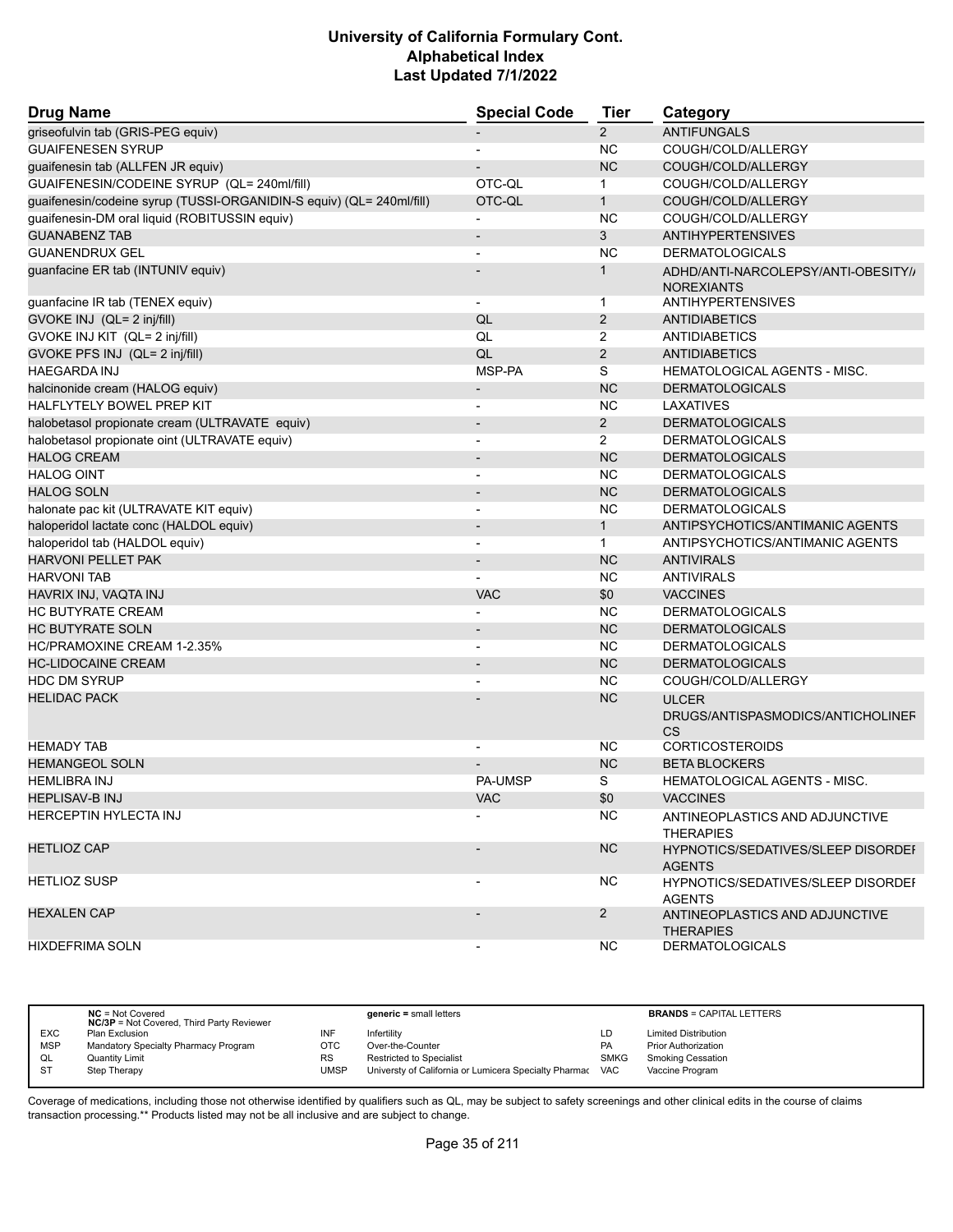| Drug Name                                                            | <b>Special Code</b>      | Tier           | Category                                                   |
|----------------------------------------------------------------------|--------------------------|----------------|------------------------------------------------------------|
| griseofulvin tab (GRIS-PEG equiv)                                    |                          | 2              | <b>ANTIFUNGALS</b>                                         |
| <b>GUAIFENESEN SYRUP</b>                                             |                          | <b>NC</b>      | COUGH/COLD/ALLERGY                                         |
| guaifenesin tab (ALLFEN JR equiv)                                    |                          | <b>NC</b>      | COUGH/COLD/ALLERGY                                         |
| GUAIFENESIN/CODEINE SYRUP (QL= 240ml/fill)                           | OTC-QL                   | 1              | COUGH/COLD/ALLERGY                                         |
| guaifenesin/codeine syrup (TUSSI-ORGANIDIN-S equiv) (QL= 240ml/fill) | OTC-QL                   | $\mathbf{1}$   | COUGH/COLD/ALLERGY                                         |
| guaifenesin-DM oral liquid (ROBITUSSIN equiv)                        |                          | <b>NC</b>      | COUGH/COLD/ALLERGY                                         |
| <b>GUANABENZ TAB</b>                                                 |                          | 3              | <b>ANTIHYPERTENSIVES</b>                                   |
| <b>GUANENDRUX GEL</b>                                                |                          | <b>NC</b>      | <b>DERMATOLOGICALS</b>                                     |
| guanfacine ER tab (INTUNIV equiv)                                    |                          | $\mathbf{1}$   | ADHD/ANTI-NARCOLEPSY/ANTI-OBESITY//                        |
|                                                                      |                          |                | <b>NOREXIANTS</b>                                          |
| guanfacine IR tab (TENEX equiv)                                      |                          | 1              | <b>ANTIHYPERTENSIVES</b>                                   |
| GVOKE INJ (QL= 2 inj/fill)                                           | QL                       | $\overline{2}$ | <b>ANTIDIABETICS</b>                                       |
| GVOKE INJ KIT (QL= 2 inj/fill)                                       | QL                       | $\overline{2}$ | ANTIDIABETICS                                              |
| GVOKE PFS INJ (QL= 2 inj/fill)                                       | QL                       | $\overline{2}$ | <b>ANTIDIABETICS</b>                                       |
| <b>HAEGARDA INJ</b>                                                  | MSP-PA                   | S              | <b>HEMATOLOGICAL AGENTS - MISC.</b>                        |
| halcinonide cream (HALOG equiv)                                      |                          | <b>NC</b>      | <b>DERMATOLOGICALS</b>                                     |
| HALFLYTELY BOWEL PREP KIT                                            | $\overline{a}$           | <b>NC</b>      | LAXATIVES                                                  |
| halobetasol propionate cream (ULTRAVATE equiv)                       |                          | $\overline{2}$ | <b>DERMATOLOGICALS</b>                                     |
| halobetasol propionate oint (ULTRAVATE equiv)                        |                          | 2              | <b>DERMATOLOGICALS</b>                                     |
| <b>HALOG CREAM</b>                                                   |                          | <b>NC</b>      | <b>DERMATOLOGICALS</b>                                     |
| <b>HALOG OINT</b>                                                    | $\overline{a}$           | <b>NC</b>      | <b>DERMATOLOGICALS</b>                                     |
| <b>HALOG SOLN</b>                                                    |                          | <b>NC</b>      | <b>DERMATOLOGICALS</b>                                     |
| halonate pac kit (ULTRAVATE KIT equiv)                               | $\blacksquare$           | <b>NC</b>      | <b>DERMATOLOGICALS</b>                                     |
| haloperidol lactate conc (HALDOL equiv)                              | $\overline{\phantom{a}}$ | $\mathbf{1}$   | ANTIPSYCHOTICS/ANTIMANIC AGENTS                            |
| haloperidol tab (HALDOL equiv)                                       |                          | $\mathbf 1$    | ANTIPSYCHOTICS/ANTIMANIC AGENTS                            |
| <b>HARVONI PELLET PAK</b>                                            | $\overline{a}$           | <b>NC</b>      | <b>ANTIVIRALS</b>                                          |
| <b>HARVONI TAB</b>                                                   |                          | <b>NC</b>      | <b>ANTIVIRALS</b>                                          |
| HAVRIX INJ, VAQTA INJ                                                | <b>VAC</b>               | \$0            | <b>VACCINES</b>                                            |
| <b>HC BUTYRATE CREAM</b>                                             |                          | <b>NC</b>      | <b>DERMATOLOGICALS</b>                                     |
| <b>HC BUTYRATE SOLN</b>                                              |                          | <b>NC</b>      | <b>DERMATOLOGICALS</b>                                     |
| HC/PRAMOXINE CREAM 1-2.35%                                           |                          | <b>NC</b>      | <b>DERMATOLOGICALS</b>                                     |
|                                                                      |                          | <b>NC</b>      |                                                            |
| <b>HC-LIDOCAINE CREAM</b>                                            |                          |                | <b>DERMATOLOGICALS</b>                                     |
| <b>HDC DM SYRUP</b>                                                  | $\blacksquare$           | <b>NC</b>      | COUGH/COLD/ALLERGY                                         |
| <b>HELIDAC PACK</b>                                                  |                          | <b>NC</b>      | <b>ULCER</b>                                               |
|                                                                      |                          |                | DRUGS/ANTISPASMODICS/ANTICHOLINEF                          |
| <b>HEMADY TAB</b>                                                    |                          | NC.            | <b>CS</b><br><b>CORTICOSTEROIDS</b>                        |
| <b>HEMANGEOL SOLN</b>                                                |                          | <b>NC</b>      | <b>BETA BLOCKERS</b>                                       |
| <b>HEMLIBRA INJ</b>                                                  | <b>PA-UMSP</b>           | S              | <b>HEMATOLOGICAL AGENTS - MISC.</b>                        |
| <b>HEPLISAV-B INJ</b>                                                | VAC                      | \$0            | <b>VACCINES</b>                                            |
| HERCEPTIN HYLECTA INJ                                                |                          | NC.            |                                                            |
|                                                                      |                          |                | ANTINEOPLASTICS AND ADJUNCTIVE<br><b>THERAPIES</b>         |
| <b>HETLIOZ CAP</b>                                                   |                          | NC             | <b>HYPNOTICS/SEDATIVES/SLEEP DISORDEF</b><br><b>AGENTS</b> |
| <b>HETLIOZ SUSP</b>                                                  |                          | NC.            | <b>HYPNOTICS/SEDATIVES/SLEEP DISORDEF</b><br><b>AGENTS</b> |
| <b>HEXALEN CAP</b>                                                   |                          | $\overline{2}$ | ANTINEOPLASTICS AND ADJUNCTIVE<br><b>THERAPIES</b>         |
| <b>HIXDEFRIMA SOLN</b>                                               |                          | NC.            | <b>DERMATOLOGICALS</b>                                     |

|            | $NC = Not Covered$<br><b>NC/3P</b> = Not Covered, Third Party Reviewer |      | $generic = small letters$                             |             | <b>BRANDS = CAPITAL LETTERS</b> |
|------------|------------------------------------------------------------------------|------|-------------------------------------------------------|-------------|---------------------------------|
| <b>EXC</b> | Plan Exclusion                                                         | INF  | Infertility                                           | LD          | <b>Limited Distribution</b>     |
| <b>MSP</b> | Mandatory Specialty Pharmacy Program                                   | OTC  | Over-the-Counter                                      | <b>PA</b>   | <b>Prior Authorization</b>      |
| QL         | Quantity Limit                                                         | RS   | <b>Restricted to Specialist</b>                       | <b>SMKG</b> | <b>Smoking Cessation</b>        |
| -ST        | Step Therapy                                                           | JMSP | Universty of California or Lumicera Specialty Pharmac | <b>VAC</b>  | Vaccine Program                 |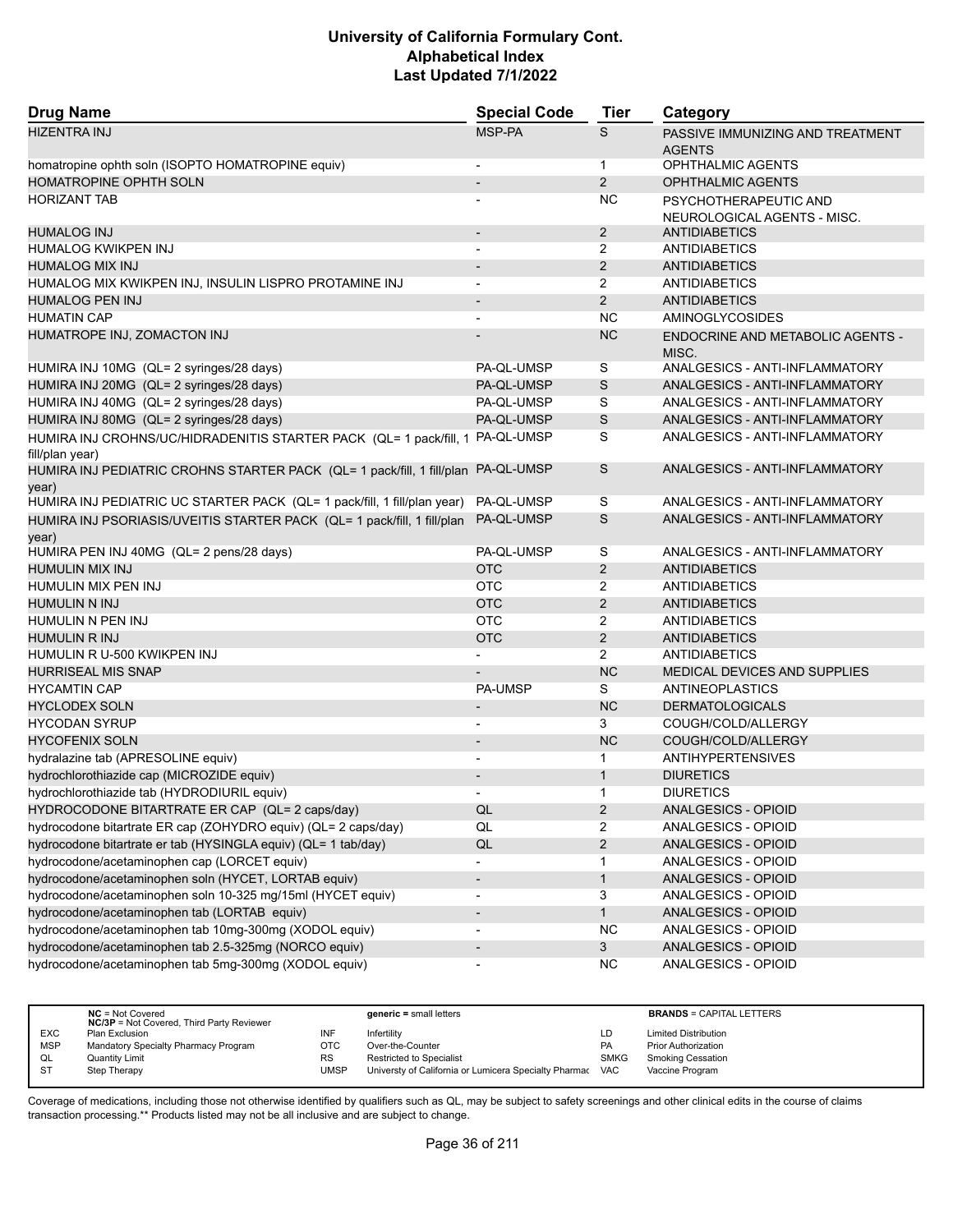| <b>Drug Name</b>                                                                           | <b>Special Code</b>      | <b>Tier</b>    | Category                                  |
|--------------------------------------------------------------------------------------------|--------------------------|----------------|-------------------------------------------|
| <b>HIZENTRA INJ</b>                                                                        | MSP-PA                   | S              | PASSIVE IMMUNIZING AND TREATMENT          |
|                                                                                            |                          |                | <b>AGENTS</b>                             |
| homatropine ophth soln (ISOPTO HOMATROPINE equiv)                                          |                          | $\mathbf{1}$   | <b>OPHTHALMIC AGENTS</b>                  |
| HOMATROPINE OPHTH SOLN                                                                     |                          | 2              | <b>OPHTHALMIC AGENTS</b>                  |
| <b>HORIZANT TAB</b>                                                                        |                          | NC.            | PSYCHOTHERAPEUTIC AND                     |
|                                                                                            |                          |                | NEUROLOGICAL AGENTS - MISC.               |
| <b>HUMALOG INJ</b>                                                                         | $\overline{\phantom{a}}$ | $\overline{2}$ | ANTIDIABETICS                             |
| HUMALOG KWIKPEN INJ                                                                        |                          | 2              | <b>ANTIDIABETICS</b>                      |
| <b>HUMALOG MIX INJ</b>                                                                     |                          | 2              | <b>ANTIDIABETICS</b>                      |
| HUMALOG MIX KWIKPEN INJ, INSULIN LISPRO PROTAMINE INJ                                      | $\overline{a}$           | $\overline{2}$ | <b>ANTIDIABETICS</b>                      |
| <b>HUMALOG PEN INJ</b>                                                                     | $\overline{\phantom{a}}$ | $\overline{2}$ | <b>ANTIDIABETICS</b>                      |
| <b>HUMATIN CAP</b>                                                                         |                          | <b>NC</b>      | <b>AMINOGLYCOSIDES</b>                    |
| HUMATROPE INJ, ZOMACTON INJ                                                                |                          | <b>NC</b>      | ENDOCRINE AND METABOLIC AGENTS -<br>MISC. |
| HUMIRA INJ 10MG (QL= 2 syringes/28 days)                                                   | PA-QL-UMSP               | S              | ANALGESICS - ANTI-INFLAMMATORY            |
| HUMIRA INJ 20MG (QL= 2 syringes/28 days)                                                   | PA-QL-UMSP               | S              | ANALGESICS - ANTI-INFLAMMATORY            |
| HUMIRA INJ 40MG (QL= 2 syringes/28 days)                                                   | PA-QL-UMSP               | S              | ANALGESICS - ANTI-INFLAMMATORY            |
| HUMIRA INJ 80MG (QL= 2 syringes/28 days)                                                   | PA-QL-UMSP               | $\mathsf S$    | ANALGESICS - ANTI-INFLAMMATORY            |
| HUMIRA INJ CROHNS/UC/HIDRADENITIS STARTER PACK (QL= 1 pack/fill, 1<br>fill/plan year)      | PA-QL-UMSP               | S              | ANALGESICS - ANTI-INFLAMMATORY            |
| HUMIRA INJ PEDIATRIC CROHNS STARTER PACK (QL= 1 pack/fill, 1 fill/plan PA-QL-UMSP<br>year) |                          | S              | ANALGESICS - ANTI-INFLAMMATORY            |
| HUMIRA INJ PEDIATRIC UC STARTER PACK (QL= 1 pack/fill, 1 fill/plan year)                   | PA-QL-UMSP               | S              | ANALGESICS - ANTI-INFLAMMATORY            |
| HUMIRA INJ PSORIASIS/UVEITIS STARTER PACK (QL= 1 pack/fill, 1 fill/plan<br>year)           | PA-QL-UMSP               | S              | ANALGESICS - ANTI-INFLAMMATORY            |
| HUMIRA PEN INJ 40MG (QL= 2 pens/28 days)                                                   | PA-QL-UMSP               | S              | ANALGESICS - ANTI-INFLAMMATORY            |
| HUMULIN MIX INJ                                                                            | <b>OTC</b>               | $\overline{2}$ | <b>ANTIDIABETICS</b>                      |
| HUMULIN MIX PEN INJ                                                                        | <b>OTC</b>               | 2              | <b>ANTIDIABETICS</b>                      |
| <b>HUMULIN N INJ</b>                                                                       | <b>OTC</b>               | 2              | <b>ANTIDIABETICS</b>                      |
| HUMULIN N PEN INJ                                                                          | <b>OTC</b>               | $\overline{2}$ | ANTIDIABETICS                             |
| HUMULIN R INJ                                                                              | <b>OTC</b>               | $\overline{2}$ | <b>ANTIDIABETICS</b>                      |
| HUMULIN R U-500 KWIKPEN INJ                                                                |                          | $\overline{2}$ | <b>ANTIDIABETICS</b>                      |
| <b>HURRISEAL MIS SNAP</b>                                                                  |                          | <b>NC</b>      | MEDICAL DEVICES AND SUPPLIES              |
| <b>HYCAMTIN CAP</b>                                                                        | <b>PA-UMSP</b>           | S              | ANTINEOPLASTICS                           |
| <b>HYCLODEX SOLN</b>                                                                       | $\overline{\phantom{a}}$ | <b>NC</b>      | <b>DERMATOLOGICALS</b>                    |
| <b>HYCODAN SYRUP</b>                                                                       |                          | 3              | COUGH/COLD/ALLERGY                        |
| <b>HYCOFENIX SOLN</b>                                                                      | $\overline{\phantom{a}}$ | <b>NC</b>      | COUGH/COLD/ALLERGY                        |
| hydralazine tab (APRESOLINE equiv)                                                         | $\overline{\phantom{a}}$ | $\mathbf{1}$   | <b>ANTIHYPERTENSIVES</b>                  |
| hydrochlorothiazide cap (MICROZIDE equiv)                                                  |                          | $\mathbf{1}$   | <b>DIURETICS</b>                          |
| hydrochlorothiazide tab (HYDRODIURIL equiv)                                                | $\blacksquare$           | $\mathbf{1}$   | <b>DIURETICS</b>                          |
| HYDROCODONE BITARTRATE ER CAP (QL= 2 caps/day)                                             | QL                       | $\overline{2}$ | ANALGESICS - OPIOID                       |
| hydrocodone bitartrate ER cap (ZOHYDRO equiv) (QL= 2 caps/day)                             | QL                       | 2              | ANALGESICS - OPIOID                       |
| hydrocodone bitartrate er tab (HYSINGLA equiv) (QL= 1 tab/day)                             | QL                       | $\overline{a}$ | ANALGESICS - OPIOID                       |
| hydrocodone/acetaminophen cap (LORCET equiv)                                               | $\overline{\phantom{a}}$ | $\mathbf{1}$   | ANALGESICS - OPIOID                       |
| hydrocodone/acetaminophen soln (HYCET, LORTAB equiv)                                       | $\overline{\phantom{a}}$ | $\mathbf{1}$   | ANALGESICS - OPIOID                       |
| hydrocodone/acetaminophen soln 10-325 mg/15ml (HYCET equiv)                                | $\overline{\phantom{a}}$ | 3              | ANALGESICS - OPIOID                       |
| hydrocodone/acetaminophen tab (LORTAB equiv)                                               | $\overline{\phantom{a}}$ | $\mathbf{1}$   | ANALGESICS - OPIOID                       |
| hydrocodone/acetaminophen tab 10mg-300mg (XODOL equiv)                                     | $\overline{\phantom{a}}$ | <b>NC</b>      | ANALGESICS - OPIOID                       |
| hydrocodone/acetaminophen tab 2.5-325mg (NORCO equiv)                                      | $\overline{a}$           | 3 <sup>1</sup> | ANALGESICS - OPIOID                       |
| hydrocodone/acetaminophen tab 5mg-300mg (XODOL equiv)                                      | $\overline{a}$           | <b>NC</b>      | ANALGESICS - OPIOID                       |

|            | $NC = Not Covered$<br><b>NC/3P</b> = Not Covered, Third Party Reviewer |           | generic = small letters                               |             | <b>BRANDS = CAPITAL LETTERS</b> |
|------------|------------------------------------------------------------------------|-----------|-------------------------------------------------------|-------------|---------------------------------|
| <b>EXC</b> | Plan Exclusion                                                         | INF       | Infertilitv                                           | LD          | <b>Limited Distribution</b>     |
| <b>MSP</b> | Mandatory Specialty Pharmacy Program                                   | ОТС       | Over-the-Counter                                      | <b>PA</b>   | <b>Prior Authorization</b>      |
| QL         | Quantity Limit                                                         | <b>RS</b> | <b>Restricted to Specialist</b>                       | <b>SMKG</b> | <b>Smoking Cessation</b>        |
| S1         | Step Therapy                                                           | UMSP      | Universty of California or Lumicera Specialty Pharmac | <b>VAC</b>  | Vaccine Program                 |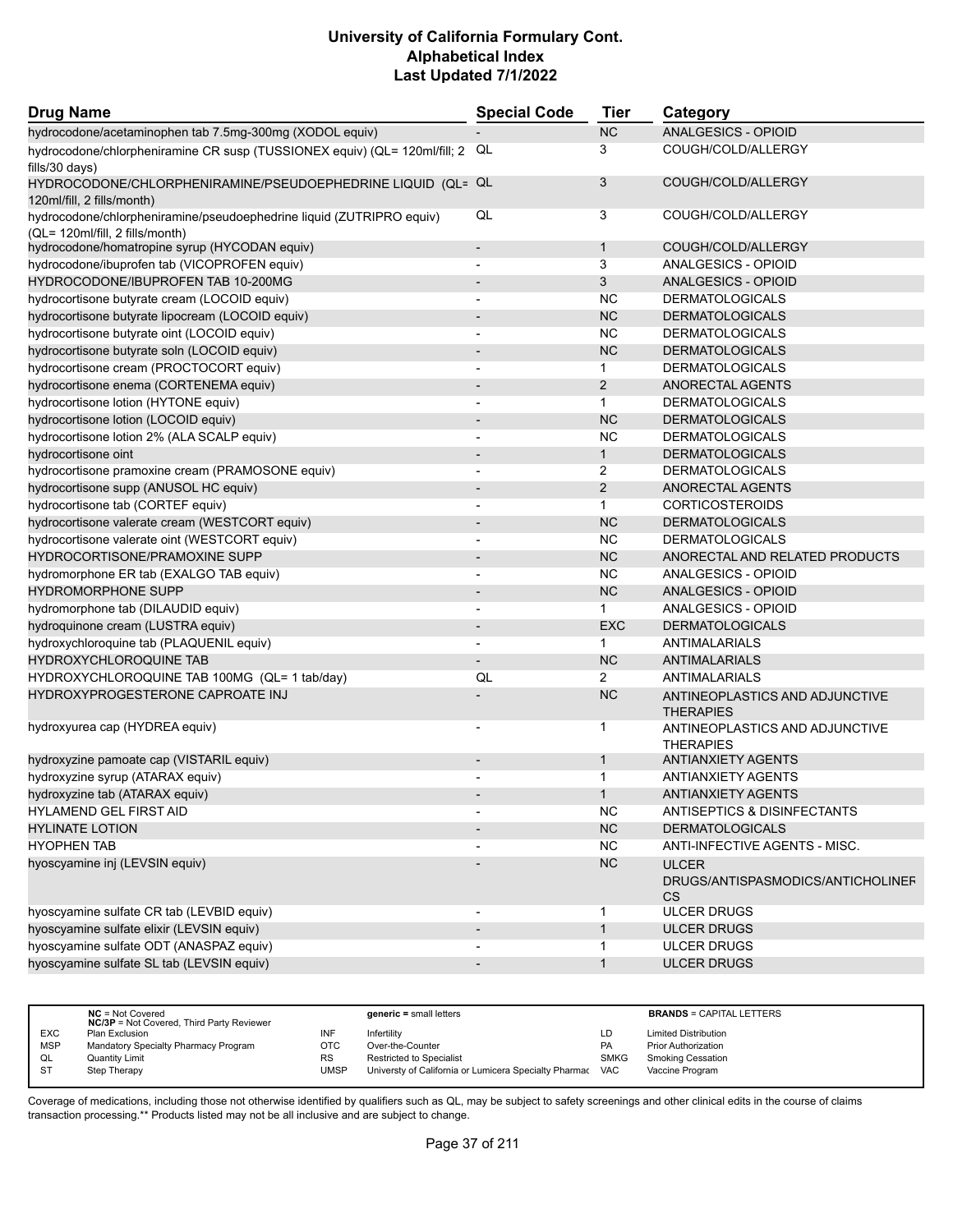| <b>Drug Name</b>                                                                                        | <b>Special Code</b>      | Tier           | Category                                                       |  |
|---------------------------------------------------------------------------------------------------------|--------------------------|----------------|----------------------------------------------------------------|--|
| hydrocodone/acetaminophen tab 7.5mg-300mg (XODOL equiv)                                                 |                          | <b>NC</b>      | <b>ANALGESICS - OPIOID</b>                                     |  |
| hydrocodone/chlorpheniramine CR susp (TUSSIONEX equiv) (QL= 120ml/fill; 2<br>fills/30 days)             | QL                       | 3              | COUGH/COLD/ALLERGY                                             |  |
| HYDROCODONE/CHLORPHENIRAMINE/PSEUDOEPHEDRINE LIQUID (QL= QL<br>120ml/fill, 2 fills/month)               |                          | 3              | COUGH/COLD/ALLERGY                                             |  |
| hydrocodone/chlorpheniramine/pseudoephedrine liquid (ZUTRIPRO equiv)<br>(QL= 120ml/fill, 2 fills/month) | QL                       | 3              | COUGH/COLD/ALLERGY                                             |  |
| hydrocodone/homatropine syrup (HYCODAN equiv)                                                           | $\blacksquare$           | $\mathbf{1}$   | COUGH/COLD/ALLERGY                                             |  |
| hydrocodone/ibuprofen tab (VICOPROFEN equiv)                                                            |                          | 3              | ANALGESICS - OPIOID                                            |  |
| HYDROCODONE/IBUPROFEN TAB 10-200MG                                                                      |                          | 3              | ANALGESICS - OPIOID                                            |  |
| hydrocortisone butyrate cream (LOCOID equiv)                                                            | $\blacksquare$           | <b>NC</b>      | <b>DERMATOLOGICALS</b>                                         |  |
| hydrocortisone butyrate lipocream (LOCOID equiv)                                                        |                          | <b>NC</b>      | <b>DERMATOLOGICALS</b>                                         |  |
| hydrocortisone butyrate oint (LOCOID equiv)                                                             |                          | <b>NC</b>      | <b>DERMATOLOGICALS</b>                                         |  |
| hydrocortisone butyrate soln (LOCOID equiv)                                                             | $\overline{\phantom{0}}$ | <b>NC</b>      | <b>DERMATOLOGICALS</b>                                         |  |
| hydrocortisone cream (PROCTOCORT equiv)                                                                 | $\overline{\phantom{a}}$ | $\mathbf 1$    | <b>DERMATOLOGICALS</b>                                         |  |
| hydrocortisone enema (CORTENEMA equiv)                                                                  |                          | 2              | ANORECTAL AGENTS                                               |  |
| hydrocortisone lotion (HYTONE equiv)                                                                    | $\blacksquare$           | $\mathbf{1}$   | <b>DERMATOLOGICALS</b>                                         |  |
| hydrocortisone lotion (LOCOID equiv)                                                                    |                          | <b>NC</b>      | <b>DERMATOLOGICALS</b>                                         |  |
| hydrocortisone lotion 2% (ALA SCALP equiv)                                                              |                          | <b>NC</b>      | <b>DERMATOLOGICALS</b>                                         |  |
| hydrocortisone oint                                                                                     | $\overline{a}$           | $\mathbf{1}$   | <b>DERMATOLOGICALS</b>                                         |  |
| hydrocortisone pramoxine cream (PRAMOSONE equiv)                                                        |                          | $\overline{2}$ | <b>DERMATOLOGICALS</b>                                         |  |
| hydrocortisone supp (ANUSOL HC equiv)                                                                   | $\blacksquare$           | 2              | ANORECTAL AGENTS                                               |  |
| hydrocortisone tab (CORTEF equiv)                                                                       | $\overline{a}$           | $\mathbf{1}$   | <b>CORTICOSTEROIDS</b>                                         |  |
| hydrocortisone valerate cream (WESTCORT equiv)                                                          |                          | <b>NC</b>      | <b>DERMATOLOGICALS</b>                                         |  |
| hydrocortisone valerate oint (WESTCORT equiv)                                                           |                          | <b>NC</b>      | <b>DERMATOLOGICALS</b>                                         |  |
| HYDROCORTISONE/PRAMOXINE SUPP                                                                           |                          | <b>NC</b>      | ANORECTAL AND RELATED PRODUCTS                                 |  |
| hydromorphone ER tab (EXALGO TAB equiv)                                                                 | $\blacksquare$           | <b>NC</b>      | ANALGESICS - OPIOID                                            |  |
| <b>HYDROMORPHONE SUPP</b>                                                                               |                          | <b>NC</b>      | ANALGESICS - OPIOID                                            |  |
| hydromorphone tab (DILAUDID equiv)                                                                      |                          | $\mathbf 1$    | ANALGESICS - OPIOID                                            |  |
| hydroquinone cream (LUSTRA equiv)                                                                       |                          | <b>EXC</b>     | <b>DERMATOLOGICALS</b>                                         |  |
| hydroxychloroquine tab (PLAQUENIL equiv)                                                                | $\blacksquare$           | 1              | ANTIMALARIALS                                                  |  |
| <b>HYDROXYCHLOROQUINE TAB</b>                                                                           |                          | <b>NC</b>      | <b>ANTIMALARIALS</b>                                           |  |
| HYDROXYCHLOROQUINE TAB 100MG (QL= 1 tab/day)                                                            | QL                       | $\overline{2}$ | ANTIMALARIALS                                                  |  |
| HYDROXYPROGESTERONE CAPROATE INJ                                                                        |                          | <b>NC</b>      | ANTINEOPLASTICS AND ADJUNCTIVE<br><b>THERAPIES</b>             |  |
| hydroxyurea cap (HYDREA equiv)                                                                          |                          | $\mathbf 1$    | ANTINEOPLASTICS AND ADJUNCTIVE<br><b>THERAPIES</b>             |  |
| hydroxyzine pamoate cap (VISTARIL equiv)                                                                |                          | $\mathbf{1}$   | <b>ANTIANXIETY AGENTS</b>                                      |  |
| hydroxyzine syrup (ATARAX equiv)                                                                        |                          | $\overline{1}$ | <b>ANTIANXIETY AGENTS</b>                                      |  |
| hydroxyzine tab (ATARAX equiv)                                                                          |                          |                | <b>ANTIANXIETY AGENTS</b>                                      |  |
| HYLAMEND GEL FIRST AID                                                                                  |                          | <b>NC</b>      | ANTISEPTICS & DISINFECTANTS                                    |  |
| <b>HYLINATE LOTION</b>                                                                                  |                          | NC             | <b>DERMATOLOGICALS</b>                                         |  |
| <b>HYOPHEN TAB</b>                                                                                      |                          | <b>NC</b>      | ANTI-INFECTIVE AGENTS - MISC.                                  |  |
| hyoscyamine inj (LEVSIN equiv)                                                                          |                          | NC             | <b>ULCER</b><br>DRUGS/ANTISPASMODICS/ANTICHOLINEF<br><b>CS</b> |  |
| hyoscyamine sulfate CR tab (LEVBID equiv)                                                               |                          | 1              | <b>ULCER DRUGS</b>                                             |  |
| hyoscyamine sulfate elixir (LEVSIN equiv)                                                               | $\blacksquare$           | $\mathbf{1}$   | <b>ULCER DRUGS</b>                                             |  |
| hyoscyamine sulfate ODT (ANASPAZ equiv)                                                                 |                          | $\mathbf{1}$   | <b>ULCER DRUGS</b>                                             |  |
| hyoscyamine sulfate SL tab (LEVSIN equiv)                                                               |                          | $\mathbf{1}$   | <b>ULCER DRUGS</b>                                             |  |

|            | $NC = Not Covered$<br><b>NC/3P</b> = Not Covered, Third Party Reviewer |           | $generic = small letters$                             |             | <b>BRANDS = CAPITAL LETTERS</b> |
|------------|------------------------------------------------------------------------|-----------|-------------------------------------------------------|-------------|---------------------------------|
| <b>EXC</b> | Plan Exclusion                                                         | INF       | Infertility                                           | LD          | <b>Limited Distribution</b>     |
| <b>MSP</b> | Mandatory Specialty Pharmacy Program                                   | OTC       | Over-the-Counter                                      | <b>PA</b>   | <b>Prior Authorization</b>      |
| QL         | Quantity Limit                                                         | <b>RS</b> | <b>Restricted to Specialist</b>                       | <b>SMKG</b> | <b>Smoking Cessation</b>        |
| <b>ST</b>  | Step Therapy                                                           | UMSP      | Universty of California or Lumicera Specialty Pharmac | <b>VAC</b>  | Vaccine Program                 |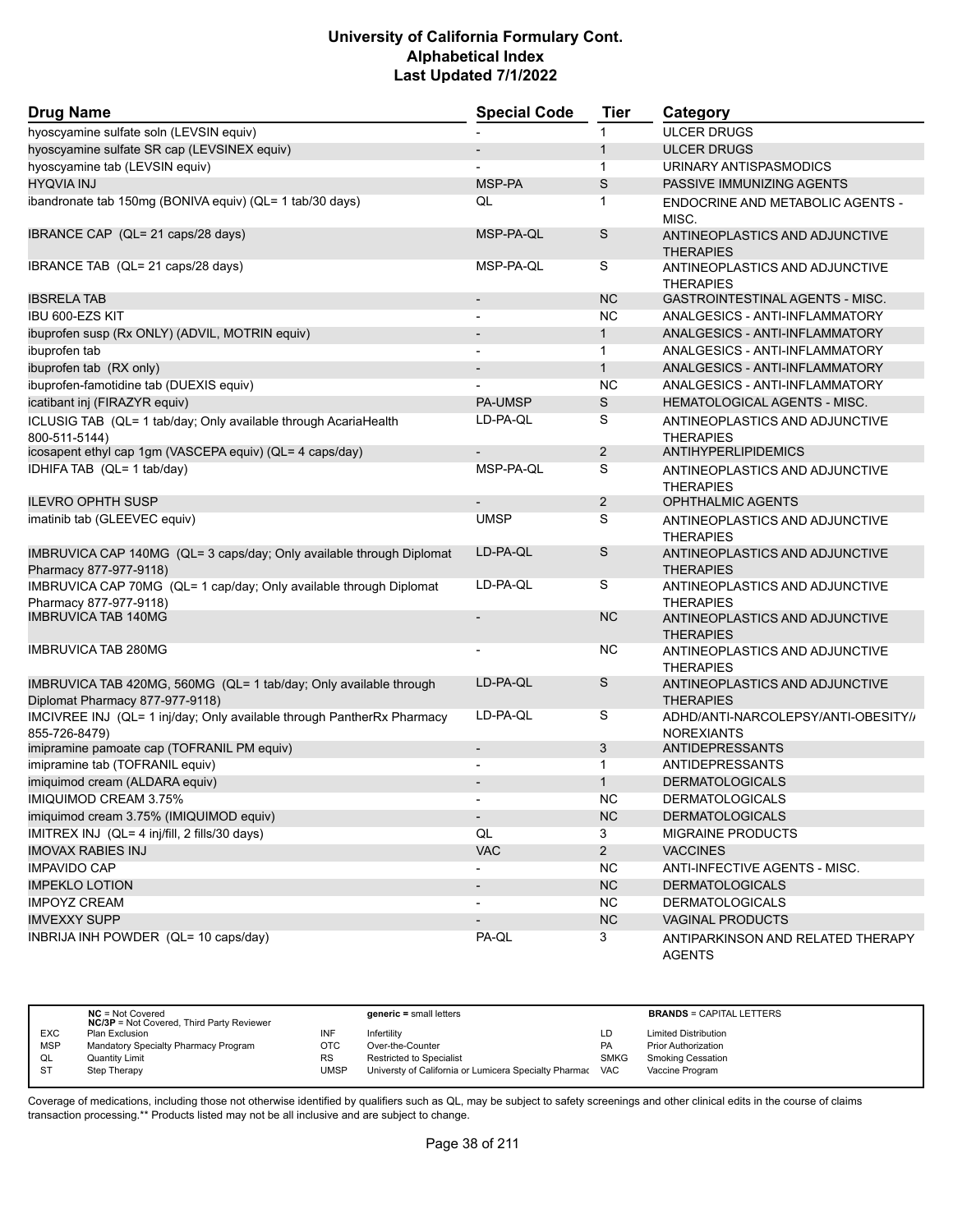| <b>Drug Name</b>                                                                                     | <b>Special Code</b>      | <b>Tier</b>    | Category                                                 |
|------------------------------------------------------------------------------------------------------|--------------------------|----------------|----------------------------------------------------------|
| hyoscyamine sulfate soln (LEVSIN equiv)                                                              |                          |                | <b>ULCER DRUGS</b>                                       |
| hyoscyamine sulfate SR cap (LEVSINEX equiv)                                                          | $\overline{\phantom{a}}$ | $\mathbf{1}$   | <b>ULCER DRUGS</b>                                       |
| hyoscyamine tab (LEVSIN equiv)                                                                       |                          | $\mathbf{1}$   | URINARY ANTISPASMODICS                                   |
| <b>HYQVIA INJ</b>                                                                                    | MSP-PA                   | S              | PASSIVE IMMUNIZING AGENTS                                |
| ibandronate tab 150mg (BONIVA equiv) (QL= 1 tab/30 days)                                             | QL                       | $\mathbf{1}$   | ENDOCRINE AND METABOLIC AGENTS -<br>MISC.                |
| IBRANCE CAP (QL= 21 caps/28 days)                                                                    | MSP-PA-QL                | S              | ANTINEOPLASTICS AND ADJUNCTIVE<br><b>THERAPIES</b>       |
| IBRANCE TAB (QL= 21 caps/28 days)                                                                    | MSP-PA-QL                | S              | ANTINEOPLASTICS AND ADJUNCTIVE<br><b>THERAPIES</b>       |
| <b>IBSRELA TAB</b>                                                                                   | $\overline{\phantom{a}}$ | <b>NC</b>      | <b>GASTROINTESTINAL AGENTS - MISC.</b>                   |
| IBU 600-EZS KIT                                                                                      |                          | <b>NC</b>      | ANALGESICS - ANTI-INFLAMMATORY                           |
| ibuprofen susp (Rx ONLY) (ADVIL, MOTRIN equiv)                                                       |                          | $\mathbf{1}$   | ANALGESICS - ANTI-INFLAMMATORY                           |
| ibuprofen tab                                                                                        | $\overline{a}$           | $\mathbf{1}$   | ANALGESICS - ANTI-INFLAMMATORY                           |
| ibuprofen tab (RX only)                                                                              | $\overline{\phantom{a}}$ | $\mathbf{1}$   | ANALGESICS - ANTI-INFLAMMATORY                           |
| ibuprofen-famotidine tab (DUEXIS equiv)                                                              |                          | <b>NC</b>      | ANALGESICS - ANTI-INFLAMMATORY                           |
| icatibant inj (FIRAZYR equiv)                                                                        | <b>PA-UMSP</b>           | $\mathsf S$    | HEMATOLOGICAL AGENTS - MISC.                             |
| ICLUSIG TAB (QL= 1 tab/day; Only available through AcariaHealth<br>800-511-5144)                     | LD-PA-QL                 | S              | ANTINEOPLASTICS AND ADJUNCTIVE<br><b>THERAPIES</b>       |
| icosapent ethyl cap 1gm (VASCEPA equiv) (QL= 4 caps/day)                                             | $\overline{\phantom{a}}$ | $\overline{2}$ | ANTIHYPERLIPIDEMICS                                      |
| IDHIFA TAB (QL= 1 tab/day)                                                                           | MSP-PA-QL                | S              | ANTINEOPLASTICS AND ADJUNCTIVE<br><b>THERAPIES</b>       |
| <b>ILEVRO OPHTH SUSP</b>                                                                             |                          | $\overline{2}$ | <b>OPHTHALMIC AGENTS</b>                                 |
| imatinib tab (GLEEVEC equiv)                                                                         | <b>UMSP</b>              | S              | ANTINEOPLASTICS AND ADJUNCTIVE<br><b>THERAPIES</b>       |
| IMBRUVICA CAP 140MG (QL= 3 caps/day; Only available through Diplomat<br>Pharmacy 877-977-9118)       | LD-PA-QL                 | S              | ANTINEOPLASTICS AND ADJUNCTIVE<br><b>THERAPIES</b>       |
| IMBRUVICA CAP 70MG (QL= 1 cap/day; Only available through Diplomat<br>Pharmacy 877-977-9118)         | LD-PA-QL                 | S              | ANTINEOPLASTICS AND ADJUNCTIVE<br><b>THERAPIES</b>       |
| <b>IMBRUVICA TAB 140MG</b>                                                                           |                          | <b>NC</b>      | ANTINEOPLASTICS AND ADJUNCTIVE<br><b>THERAPIES</b>       |
| <b>IMBRUVICA TAB 280MG</b>                                                                           |                          | <b>NC</b>      | ANTINEOPLASTICS AND ADJUNCTIVE<br><b>THERAPIES</b>       |
| IMBRUVICA TAB 420MG, 560MG (QL= 1 tab/day; Only available through<br>Diplomat Pharmacy 877-977-9118) | LD-PA-QL                 | S              | ANTINEOPLASTICS AND ADJUNCTIVE<br><b>THERAPIES</b>       |
| IMCIVREE INJ (QL= 1 inj/day; Only available through PantherRx Pharmacy<br>855-726-8479)              | LD-PA-QL                 | S              | ADHD/ANTI-NARCOLEPSY/ANTI-OBESITY//<br><b>NOREXIANTS</b> |
| imipramine pamoate cap (TOFRANIL PM equiv)                                                           | $\overline{a}$           | $\mathfrak{Z}$ | <b>ANTIDEPRESSANTS</b>                                   |
| imipramine tab (TOFRANIL equiv)                                                                      |                          | 1              | ANTIDEPRESSANTS                                          |
| imiquimod cream (ALDARA equiv)                                                                       |                          | $\mathbf{1}$   | <b>DERMATOLOGICALS</b>                                   |
| IMIQUIMOD CREAM 3.75%                                                                                | $\overline{\phantom{a}}$ | <b>NC</b>      | <b>DERMATOLOGICALS</b>                                   |
| imiquimod cream 3.75% (IMIQUIMOD equiv)                                                              | $\sim$                   | NC             | <b>DERMATOLOGICALS</b>                                   |
| IMITREX INJ (QL= 4 inj/fill, 2 fills/30 days)                                                        | QL                       | 3              | <b>MIGRAINE PRODUCTS</b>                                 |
| <b>IMOVAX RABIES INJ</b>                                                                             | VAC                      | $\overline{2}$ | <b>VACCINES</b>                                          |
| <b>IMPAVIDO CAP</b>                                                                                  |                          | NC.            | ANTI-INFECTIVE AGENTS - MISC.                            |
| <b>IMPEKLO LOTION</b>                                                                                |                          | <b>NC</b>      | <b>DERMATOLOGICALS</b>                                   |
| <b>IMPOYZ CREAM</b>                                                                                  |                          | <b>NC</b>      | <b>DERMATOLOGICALS</b>                                   |
| <b>IMVEXXY SUPP</b>                                                                                  |                          | <b>NC</b>      | <b>VAGINAL PRODUCTS</b>                                  |
| INBRIJA INH POWDER (QL= 10 caps/day)                                                                 | PA-QL                    | 3              | ANTIPARKINSON AND RELATED THERAPY<br><b>AGENTS</b>       |

|            | $NC = Not Covered$<br><b>NC/3P</b> = Not Covered, Third Party Reviewer |           | $generic = small letters$                             |             | <b>BRANDS = CAPITAL LETTERS</b> |
|------------|------------------------------------------------------------------------|-----------|-------------------------------------------------------|-------------|---------------------------------|
| EXC        | Plan Exclusion                                                         | INF       | Infertilitv                                           | LD          | <b>Limited Distribution</b>     |
| <b>MSP</b> | Mandatory Specialty Pharmacy Program                                   | OTC       | Over-the-Counter                                      | <b>PA</b>   | <b>Prior Authorization</b>      |
| QL         | Quantity Limit                                                         | <b>RS</b> | <b>Restricted to Specialist</b>                       | <b>SMKG</b> | <b>Smoking Cessation</b>        |
| S1         | Step Therapy                                                           | UMSP      | Universty of California or Lumicera Specialty Pharmac | VAC         | Vaccine Program                 |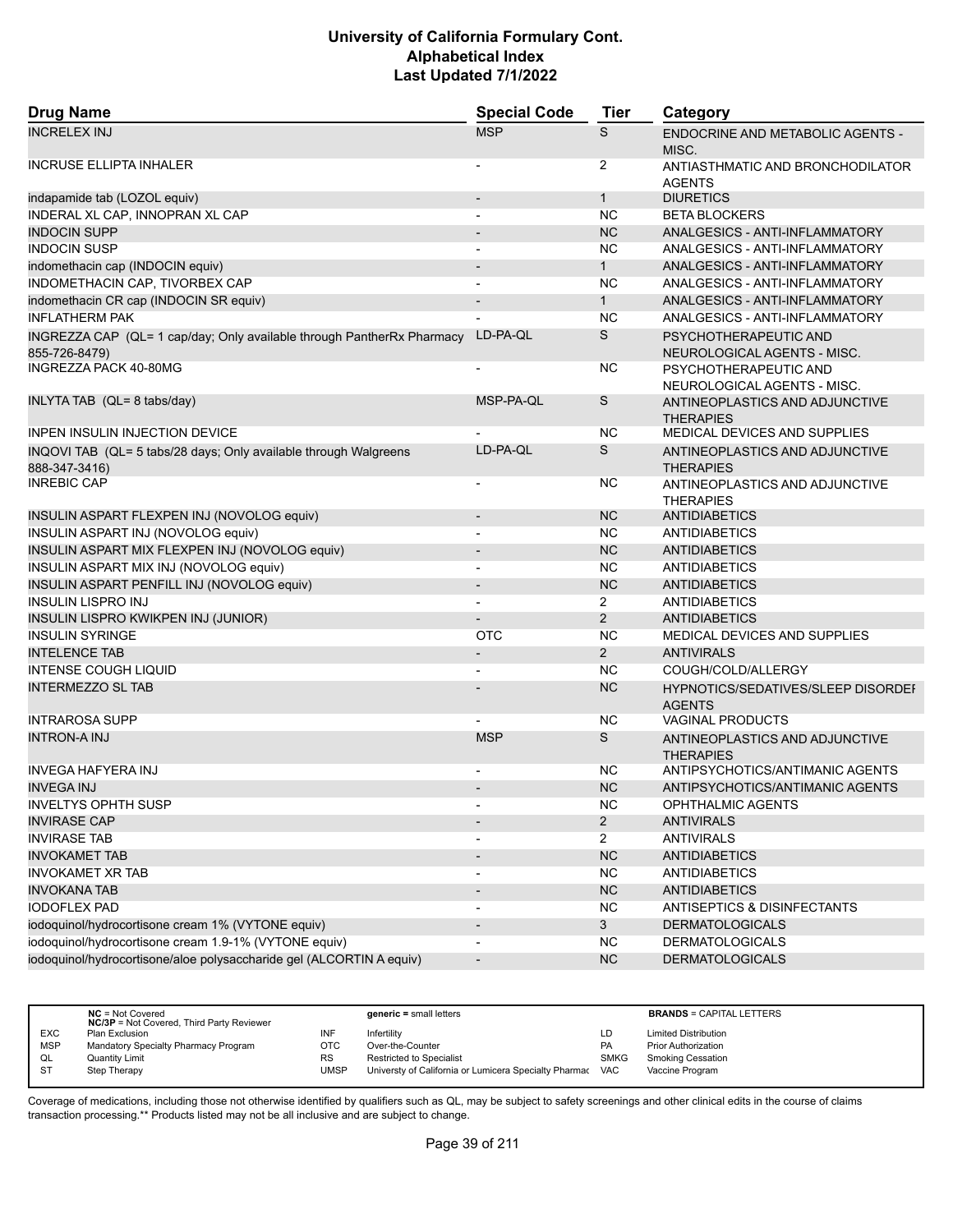| <b>Drug Name</b>                                                                        | <b>Special Code</b>      | <b>Tier</b>    | Category                                             |
|-----------------------------------------------------------------------------------------|--------------------------|----------------|------------------------------------------------------|
| <b>INCRELEX INJ</b>                                                                     | <b>MSP</b>               | S              | <b>ENDOCRINE AND METABOLIC AGENTS -</b><br>MISC.     |
| <b>INCRUSE ELLIPTA INHALER</b>                                                          |                          | $\overline{2}$ | ANTIASTHMATIC AND BRONCHODILATOR<br><b>AGENTS</b>    |
| indapamide tab (LOZOL equiv)                                                            | $\overline{\phantom{a}}$ | $\mathbf{1}$   | <b>DIURETICS</b>                                     |
| INDERAL XL CAP, INNOPRAN XL CAP                                                         |                          | <b>NC</b>      | <b>BETA BLOCKERS</b>                                 |
| <b>INDOCIN SUPP</b>                                                                     |                          | <b>NC</b>      | ANALGESICS - ANTI-INFLAMMATORY                       |
| <b>INDOCIN SUSP</b>                                                                     | $\blacksquare$           | <b>NC</b>      | ANALGESICS - ANTI-INFLAMMATORY                       |
| indomethacin cap (INDOCIN equiv)                                                        |                          | $\mathbf{1}$   | ANALGESICS - ANTI-INFLAMMATORY                       |
| INDOMETHACIN CAP, TIVORBEX CAP                                                          |                          | <b>NC</b>      | ANALGESICS - ANTI-INFLAMMATORY                       |
| indomethacin CR cap (INDOCIN SR equiv)                                                  | $\overline{\phantom{a}}$ | 1              | ANALGESICS - ANTI-INFLAMMATORY                       |
| <b>INFLATHERM PAK</b>                                                                   |                          | <b>NC</b>      | ANALGESICS - ANTI-INFLAMMATORY                       |
| INGREZZA CAP (QL= 1 cap/day; Only available through PantherRx Pharmacy<br>855-726-8479) | LD-PA-QL                 | S              | PSYCHOTHERAPEUTIC AND<br>NEUROLOGICAL AGENTS - MISC. |
| <b>INGREZZA PACK 40-80MG</b>                                                            |                          | <b>NC</b>      | PSYCHOTHERAPEUTIC AND<br>NEUROLOGICAL AGENTS - MISC. |
| INLYTA TAB (QL= 8 tabs/day)                                                             | MSP-PA-QL                | S              | ANTINEOPLASTICS AND ADJUNCTIVE<br><b>THERAPIES</b>   |
| <b>INPEN INSULIN INJECTION DEVICE</b>                                                   |                          | <b>NC</b>      | MEDICAL DEVICES AND SUPPLIES                         |
| INQOVI TAB (QL= 5 tabs/28 days; Only available through Walgreens<br>888-347-3416)       | LD-PA-QL                 | S              | ANTINEOPLASTICS AND ADJUNCTIVE<br><b>THERAPIES</b>   |
| <b>INREBIC CAP</b>                                                                      | $\overline{\phantom{a}}$ | ΝC             | ANTINEOPLASTICS AND ADJUNCTIVE<br><b>THERAPIES</b>   |
| INSULIN ASPART FLEXPEN INJ (NOVOLOG equiv)                                              | $\overline{\phantom{a}}$ | <b>NC</b>      | <b>ANTIDIABETICS</b>                                 |
| INSULIN ASPART INJ (NOVOLOG equiv)                                                      |                          | <b>NC</b>      | <b>ANTIDIABETICS</b>                                 |
| INSULIN ASPART MIX FLEXPEN INJ (NOVOLOG equiv)                                          |                          | <b>NC</b>      | <b>ANTIDIABETICS</b>                                 |
| INSULIN ASPART MIX INJ (NOVOLOG equiv)                                                  | $\blacksquare$           | <b>NC</b>      | <b>ANTIDIABETICS</b>                                 |
| INSULIN ASPART PENFILL INJ (NOVOLOG equiv)                                              | $\blacksquare$           | <b>NC</b>      | <b>ANTIDIABETICS</b>                                 |
| <b>INSULIN LISPRO INJ</b>                                                               |                          | $\overline{2}$ | <b>ANTIDIABETICS</b>                                 |
| INSULIN LISPRO KWIKPEN INJ (JUNIOR)                                                     | $\overline{\phantom{a}}$ | $\overline{2}$ | <b>ANTIDIABETICS</b>                                 |
| <b>INSULIN SYRINGE</b>                                                                  | <b>OTC</b>               | <b>NC</b>      | MEDICAL DEVICES AND SUPPLIES                         |
| <b>INTELENCE TAB</b>                                                                    |                          | $\overline{2}$ | <b>ANTIVIRALS</b>                                    |
| <b>INTENSE COUGH LIQUID</b>                                                             |                          | <b>NC</b>      | COUGH/COLD/ALLERGY                                   |
| <b>INTERMEZZO SL TAB</b>                                                                |                          | <b>NC</b>      | HYPNOTICS/SEDATIVES/SLEEP DISORDEI<br><b>AGENTS</b>  |
| <b>INTRAROSA SUPP</b>                                                                   |                          | <b>NC</b>      | <b>VAGINAL PRODUCTS</b>                              |
| <b>INTRON-A INJ</b>                                                                     | <b>MSP</b>               | S              | ANTINEOPLASTICS AND ADJUNCTIVE<br><b>THERAPIES</b>   |
| <b>INVEGA HAFYERA INJ</b>                                                               |                          | ΝC             | ANTIPSYCHOTICS/ANTIMANIC AGENTS                      |
| <b>INVEGA INJ</b>                                                                       |                          | <b>NC</b>      | ANTIPSYCHOTICS/ANTIMANIC AGENTS                      |
| <b>INVELTYS OPHTH SUSP</b>                                                              |                          | <b>NC</b>      | OPHTHALMIC AGENTS                                    |
| <b>INVIRASE CAP</b>                                                                     |                          | $\overline{2}$ | <b>ANTIVIRALS</b>                                    |
| <b>INVIRASE TAB</b>                                                                     |                          | $\overline{2}$ | <b>ANTIVIRALS</b>                                    |
| <b>INVOKAMET TAB</b>                                                                    | $\overline{\phantom{a}}$ | <b>NC</b>      | <b>ANTIDIABETICS</b>                                 |
| <b>INVOKAMET XR TAB</b>                                                                 |                          | NC.            | <b>ANTIDIABETICS</b>                                 |
| <b>INVOKANA TAB</b>                                                                     |                          | <b>NC</b>      | <b>ANTIDIABETICS</b>                                 |
| <b>IODOFLEX PAD</b>                                                                     |                          | NC.            | ANTISEPTICS & DISINFECTANTS                          |
| iodoquinol/hydrocortisone cream 1% (VYTONE equiv)                                       |                          | 3              | <b>DERMATOLOGICALS</b>                               |
| iodoquinol/hydrocortisone cream 1.9-1% (VYTONE equiv)                                   |                          | <b>NC</b>      | <b>DERMATOLOGICALS</b>                               |
| iodoquinol/hydrocortisone/aloe polysaccharide gel (ALCORTIN A equiv)                    | $\overline{\phantom{a}}$ | <b>NC</b>      | <b>DERMATOLOGICALS</b>                               |

|            | $NC = Not Covered$<br><b>NC/3P</b> = Not Covered, Third Party Reviewer |             | $generic = small letters$                             |             | <b>BRANDS = CAPITAL LETTERS</b> |
|------------|------------------------------------------------------------------------|-------------|-------------------------------------------------------|-------------|---------------------------------|
| <b>EXC</b> | Plan Exclusion                                                         | INF         | Infertility                                           | LD          | <b>Limited Distribution</b>     |
| <b>MSP</b> | Mandatory Specialty Pharmacy Program                                   | OTC         | Over-the-Counter                                      | <b>PA</b>   | <b>Prior Authorization</b>      |
| QL         | <b>Quantity Limit</b>                                                  | <b>RS</b>   | <b>Restricted to Specialist</b>                       | <b>SMKG</b> | <b>Smoking Cessation</b>        |
| <b>ST</b>  | Step Therapy                                                           | <b>UMSP</b> | Universty of California or Lumicera Specialty Pharmac | <b>VAC</b>  | Vaccine Program                 |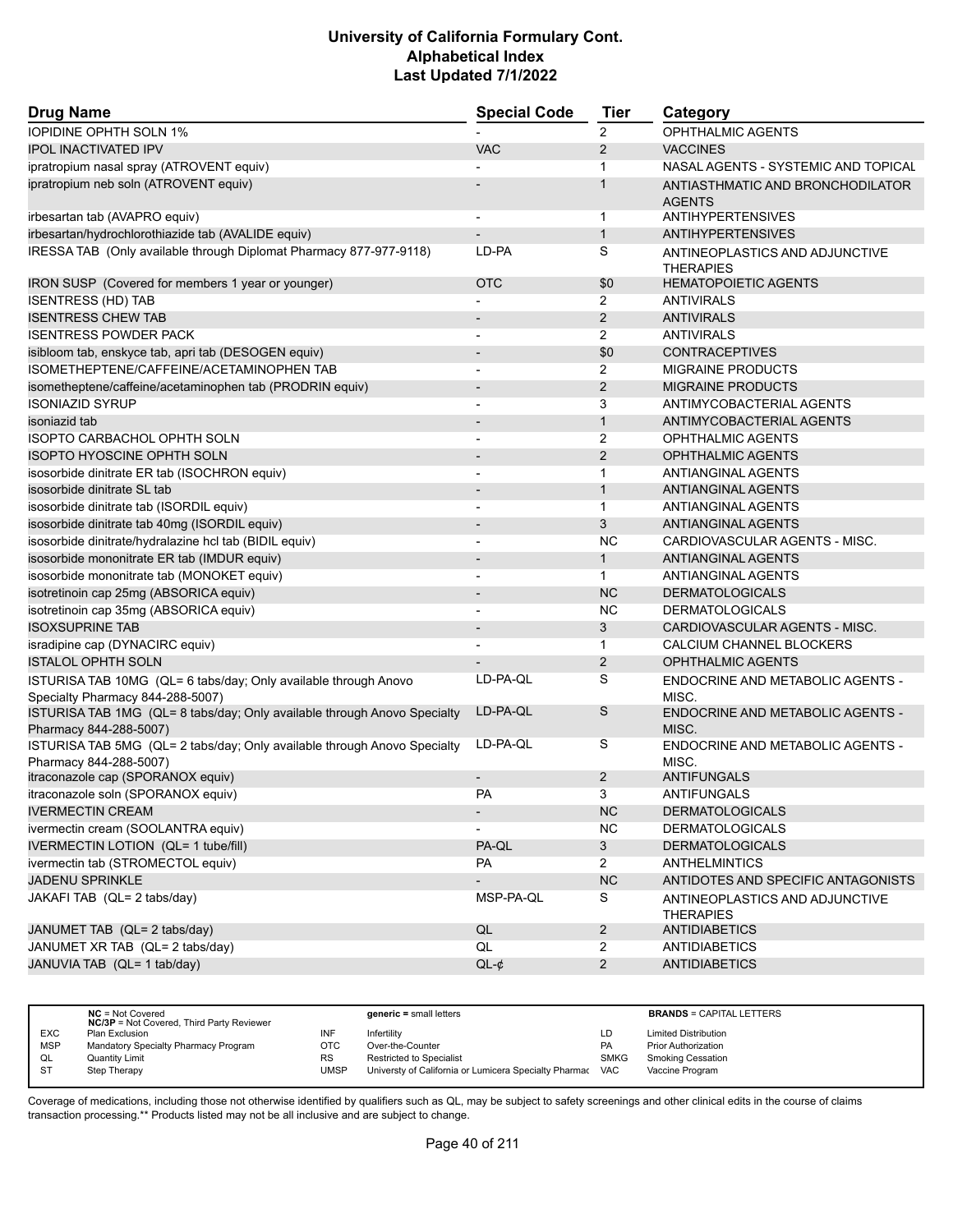| <b>IOPIDINE OPHTH SOLN 1%</b><br>$\overline{2}$<br><b>OPHTHALMIC AGENTS</b><br><b>VAC</b><br>2<br><b>IPOL INACTIVATED IPV</b><br><b>VACCINES</b><br>ipratropium nasal spray (ATROVENT equiv)<br>NASAL AGENTS - SYSTEMIC AND TOPICAL<br>1<br>ipratropium neb soln (ATROVENT equiv)<br>1<br>ANTIASTHMATIC AND BRONCHODILATOR<br><b>AGENTS</b><br><b>ANTIHYPERTENSIVES</b><br>irbesartan tab (AVAPRO equiv)<br>1<br>irbesartan/hydrochlorothiazide tab (AVALIDE equiv)<br>$\mathbf{1}$<br><b>ANTIHYPERTENSIVES</b><br>IRESSA TAB (Only available through Diplomat Pharmacy 877-977-9118)<br>S<br>LD-PA<br>ANTINEOPLASTICS AND ADJUNCTIVE<br><b>THERAPIES</b><br>IRON SUSP (Covered for members 1 year or younger)<br><b>OTC</b><br>\$0<br><b>HEMATOPOIETIC AGENTS</b><br><b>ISENTRESS (HD) TAB</b><br>$\overline{2}$<br><b>ANTIVIRALS</b><br><b>ISENTRESS CHEW TAB</b><br>2<br><b>ANTIVIRALS</b><br><b>ISENTRESS POWDER PACK</b><br>$\overline{2}$<br><b>ANTIVIRALS</b><br>isibloom tab, enskyce tab, apri tab (DESOGEN equiv)<br>\$0<br><b>CONTRACEPTIVES</b><br>ISOMETHEPTENE/CAFFEINE/ACETAMINOPHEN TAB<br>2<br><b>MIGRAINE PRODUCTS</b><br>$\overline{\phantom{a}}$<br>2<br><b>MIGRAINE PRODUCTS</b><br>isometheptene/caffeine/acetaminophen tab (PRODRIN equiv)<br><b>ISONIAZID SYRUP</b><br>3<br>ANTIMYCOBACTERIAL AGENTS<br>$\mathbf{1}$<br>isoniazid tab<br>ANTIMYCOBACTERIAL AGENTS<br>$\overline{\phantom{a}}$<br><b>ISOPTO CARBACHOL OPHTH SOLN</b><br>2<br><b>OPHTHALMIC AGENTS</b><br>$\overline{\phantom{a}}$<br>$\overline{2}$<br><b>ISOPTO HYOSCINE OPHTH SOLN</b><br><b>OPHTHALMIC AGENTS</b><br>isosorbide dinitrate ER tab (ISOCHRON equiv)<br><b>ANTIANGINAL AGENTS</b><br>$\mathbf{1}$<br>$\overline{\phantom{a}}$<br>isosorbide dinitrate SL tab<br>$\mathbf{1}$<br>ANTIANGINAL AGENTS<br>$\overline{\phantom{a}}$<br>isosorbide dinitrate tab (ISORDIL equiv)<br>$\mathbf{1}$<br>ANTIANGINAL AGENTS<br>3<br>isosorbide dinitrate tab 40mg (ISORDIL equiv)<br><b>ANTIANGINAL AGENTS</b><br>isosorbide dinitrate/hydralazine hcl tab (BIDIL equiv)<br><b>NC</b><br>CARDIOVASCULAR AGENTS - MISC.<br>$\blacksquare$<br>isosorbide mononitrate ER tab (IMDUR equiv)<br>ANTIANGINAL AGENTS<br>1<br>isosorbide mononitrate tab (MONOKET equiv)<br>ANTIANGINAL AGENTS<br>$\mathbf 1$<br><b>NC</b><br>isotretinoin cap 25mg (ABSORICA equiv)<br><b>DERMATOLOGICALS</b><br>$\overline{\phantom{a}}$<br><b>NC</b><br>isotretinoin cap 35mg (ABSORICA equiv)<br><b>DERMATOLOGICALS</b><br><b>ISOXSUPRINE TAB</b><br>3<br>CARDIOVASCULAR AGENTS - MISC.<br>isradipine cap (DYNACIRC equiv)<br>CALCIUM CHANNEL BLOCKERS<br>1<br><b>ISTALOL OPHTH SOLN</b><br>$\overline{2}$<br><b>OPHTHALMIC AGENTS</b><br>LD-PA-QL<br>S<br>ISTURISA TAB 10MG (QL= 6 tabs/day; Only available through Anovo<br>ENDOCRINE AND METABOLIC AGENTS -<br>Specialty Pharmacy 844-288-5007)<br>MISC.<br>LD-PA-QL<br>S<br>ISTURISA TAB 1MG (QL= 8 tabs/day; Only available through Anovo Specialty<br><b>ENDOCRINE AND METABOLIC AGENTS -</b><br>Pharmacy 844-288-5007)<br>MISC.<br>LD-PA-QL<br>S<br>ISTURISA TAB 5MG (QL= 2 tabs/day; Only available through Anovo Specialty<br><b>ENDOCRINE AND METABOLIC AGENTS -</b><br>Pharmacy 844-288-5007)<br>MISC.<br>itraconazole cap (SPORANOX equiv)<br>2<br>ANTIFUNGALS<br>itraconazole soln (SPORANOX equiv)<br>PA<br>3<br>ANTIFUNGALS<br>NC<br><b>IVERMECTIN CREAM</b><br><b>DERMATOLOGICALS</b><br>$\overline{\phantom{a}}$<br>NC<br>ivermectin cream (SOOLANTRA equiv)<br><b>DERMATOLOGICALS</b><br>IVERMECTIN LOTION (QL= 1 tube/fill)<br>3 <sup>5</sup><br>PA-QL<br><b>DERMATOLOGICALS</b><br>ivermectin tab (STROMECTOL equiv)<br>PA<br>$\overline{2}$<br><b>ANTHELMINTICS</b><br>JADENU SPRINKLE<br>NC<br>ANTIDOTES AND SPECIFIC ANTAGONISTS<br>MSP-PA-QL<br>JAKAFI TAB (QL= 2 tabs/day)<br>S<br>ANTINEOPLASTICS AND ADJUNCTIVE<br><b>THERAPIES</b><br>QL<br>JANUMET TAB (QL= 2 tabs/day)<br>$\overline{2}$<br>ANTIDIABETICS<br>JANUMET XR TAB (QL= 2 tabs/day)<br>QL<br>$\overline{2}$<br>ANTIDIABETICS<br>JANUVIA TAB (QL= 1 tab/day)<br>$QL-¢$<br>$\overline{a}$<br><b>ANTIDIABETICS</b> | <b>Drug Name</b> | <b>Special Code</b> | <b>Tier</b> | Category |  |
|--------------------------------------------------------------------------------------------------------------------------------------------------------------------------------------------------------------------------------------------------------------------------------------------------------------------------------------------------------------------------------------------------------------------------------------------------------------------------------------------------------------------------------------------------------------------------------------------------------------------------------------------------------------------------------------------------------------------------------------------------------------------------------------------------------------------------------------------------------------------------------------------------------------------------------------------------------------------------------------------------------------------------------------------------------------------------------------------------------------------------------------------------------------------------------------------------------------------------------------------------------------------------------------------------------------------------------------------------------------------------------------------------------------------------------------------------------------------------------------------------------------------------------------------------------------------------------------------------------------------------------------------------------------------------------------------------------------------------------------------------------------------------------------------------------------------------------------------------------------------------------------------------------------------------------------------------------------------------------------------------------------------------------------------------------------------------------------------------------------------------------------------------------------------------------------------------------------------------------------------------------------------------------------------------------------------------------------------------------------------------------------------------------------------------------------------------------------------------------------------------------------------------------------------------------------------------------------------------------------------------------------------------------------------------------------------------------------------------------------------------------------------------------------------------------------------------------------------------------------------------------------------------------------------------------------------------------------------------------------------------------------------------------------------------------------------------------------------------------------------------------------------------------------------------------------------------------------------------------------------------------------------------------------------------------------------------------------------------------------------------------------------------------------------------------------------------------------------------------------------------------------------------------------------------------------------------------------------------------------------------------------------------------------------------------------------------------------------------------------------------------------------------------------------------------------------------------------------------------------------------------------------------------------------------------------------------------------------------------------------------------------------------------------------------------------------------------------------------------------------------------|------------------|---------------------|-------------|----------|--|
|                                                                                                                                                                                                                                                                                                                                                                                                                                                                                                                                                                                                                                                                                                                                                                                                                                                                                                                                                                                                                                                                                                                                                                                                                                                                                                                                                                                                                                                                                                                                                                                                                                                                                                                                                                                                                                                                                                                                                                                                                                                                                                                                                                                                                                                                                                                                                                                                                                                                                                                                                                                                                                                                                                                                                                                                                                                                                                                                                                                                                                                                                                                                                                                                                                                                                                                                                                                                                                                                                                                                                                                                                                                                                                                                                                                                                                                                                                                                                                                                                                                                                                                                |                  |                     |             |          |  |
|                                                                                                                                                                                                                                                                                                                                                                                                                                                                                                                                                                                                                                                                                                                                                                                                                                                                                                                                                                                                                                                                                                                                                                                                                                                                                                                                                                                                                                                                                                                                                                                                                                                                                                                                                                                                                                                                                                                                                                                                                                                                                                                                                                                                                                                                                                                                                                                                                                                                                                                                                                                                                                                                                                                                                                                                                                                                                                                                                                                                                                                                                                                                                                                                                                                                                                                                                                                                                                                                                                                                                                                                                                                                                                                                                                                                                                                                                                                                                                                                                                                                                                                                |                  |                     |             |          |  |
|                                                                                                                                                                                                                                                                                                                                                                                                                                                                                                                                                                                                                                                                                                                                                                                                                                                                                                                                                                                                                                                                                                                                                                                                                                                                                                                                                                                                                                                                                                                                                                                                                                                                                                                                                                                                                                                                                                                                                                                                                                                                                                                                                                                                                                                                                                                                                                                                                                                                                                                                                                                                                                                                                                                                                                                                                                                                                                                                                                                                                                                                                                                                                                                                                                                                                                                                                                                                                                                                                                                                                                                                                                                                                                                                                                                                                                                                                                                                                                                                                                                                                                                                |                  |                     |             |          |  |
|                                                                                                                                                                                                                                                                                                                                                                                                                                                                                                                                                                                                                                                                                                                                                                                                                                                                                                                                                                                                                                                                                                                                                                                                                                                                                                                                                                                                                                                                                                                                                                                                                                                                                                                                                                                                                                                                                                                                                                                                                                                                                                                                                                                                                                                                                                                                                                                                                                                                                                                                                                                                                                                                                                                                                                                                                                                                                                                                                                                                                                                                                                                                                                                                                                                                                                                                                                                                                                                                                                                                                                                                                                                                                                                                                                                                                                                                                                                                                                                                                                                                                                                                |                  |                     |             |          |  |
|                                                                                                                                                                                                                                                                                                                                                                                                                                                                                                                                                                                                                                                                                                                                                                                                                                                                                                                                                                                                                                                                                                                                                                                                                                                                                                                                                                                                                                                                                                                                                                                                                                                                                                                                                                                                                                                                                                                                                                                                                                                                                                                                                                                                                                                                                                                                                                                                                                                                                                                                                                                                                                                                                                                                                                                                                                                                                                                                                                                                                                                                                                                                                                                                                                                                                                                                                                                                                                                                                                                                                                                                                                                                                                                                                                                                                                                                                                                                                                                                                                                                                                                                |                  |                     |             |          |  |
|                                                                                                                                                                                                                                                                                                                                                                                                                                                                                                                                                                                                                                                                                                                                                                                                                                                                                                                                                                                                                                                                                                                                                                                                                                                                                                                                                                                                                                                                                                                                                                                                                                                                                                                                                                                                                                                                                                                                                                                                                                                                                                                                                                                                                                                                                                                                                                                                                                                                                                                                                                                                                                                                                                                                                                                                                                                                                                                                                                                                                                                                                                                                                                                                                                                                                                                                                                                                                                                                                                                                                                                                                                                                                                                                                                                                                                                                                                                                                                                                                                                                                                                                |                  |                     |             |          |  |
|                                                                                                                                                                                                                                                                                                                                                                                                                                                                                                                                                                                                                                                                                                                                                                                                                                                                                                                                                                                                                                                                                                                                                                                                                                                                                                                                                                                                                                                                                                                                                                                                                                                                                                                                                                                                                                                                                                                                                                                                                                                                                                                                                                                                                                                                                                                                                                                                                                                                                                                                                                                                                                                                                                                                                                                                                                                                                                                                                                                                                                                                                                                                                                                                                                                                                                                                                                                                                                                                                                                                                                                                                                                                                                                                                                                                                                                                                                                                                                                                                                                                                                                                |                  |                     |             |          |  |
|                                                                                                                                                                                                                                                                                                                                                                                                                                                                                                                                                                                                                                                                                                                                                                                                                                                                                                                                                                                                                                                                                                                                                                                                                                                                                                                                                                                                                                                                                                                                                                                                                                                                                                                                                                                                                                                                                                                                                                                                                                                                                                                                                                                                                                                                                                                                                                                                                                                                                                                                                                                                                                                                                                                                                                                                                                                                                                                                                                                                                                                                                                                                                                                                                                                                                                                                                                                                                                                                                                                                                                                                                                                                                                                                                                                                                                                                                                                                                                                                                                                                                                                                |                  |                     |             |          |  |
|                                                                                                                                                                                                                                                                                                                                                                                                                                                                                                                                                                                                                                                                                                                                                                                                                                                                                                                                                                                                                                                                                                                                                                                                                                                                                                                                                                                                                                                                                                                                                                                                                                                                                                                                                                                                                                                                                                                                                                                                                                                                                                                                                                                                                                                                                                                                                                                                                                                                                                                                                                                                                                                                                                                                                                                                                                                                                                                                                                                                                                                                                                                                                                                                                                                                                                                                                                                                                                                                                                                                                                                                                                                                                                                                                                                                                                                                                                                                                                                                                                                                                                                                |                  |                     |             |          |  |
|                                                                                                                                                                                                                                                                                                                                                                                                                                                                                                                                                                                                                                                                                                                                                                                                                                                                                                                                                                                                                                                                                                                                                                                                                                                                                                                                                                                                                                                                                                                                                                                                                                                                                                                                                                                                                                                                                                                                                                                                                                                                                                                                                                                                                                                                                                                                                                                                                                                                                                                                                                                                                                                                                                                                                                                                                                                                                                                                                                                                                                                                                                                                                                                                                                                                                                                                                                                                                                                                                                                                                                                                                                                                                                                                                                                                                                                                                                                                                                                                                                                                                                                                |                  |                     |             |          |  |
|                                                                                                                                                                                                                                                                                                                                                                                                                                                                                                                                                                                                                                                                                                                                                                                                                                                                                                                                                                                                                                                                                                                                                                                                                                                                                                                                                                                                                                                                                                                                                                                                                                                                                                                                                                                                                                                                                                                                                                                                                                                                                                                                                                                                                                                                                                                                                                                                                                                                                                                                                                                                                                                                                                                                                                                                                                                                                                                                                                                                                                                                                                                                                                                                                                                                                                                                                                                                                                                                                                                                                                                                                                                                                                                                                                                                                                                                                                                                                                                                                                                                                                                                |                  |                     |             |          |  |
|                                                                                                                                                                                                                                                                                                                                                                                                                                                                                                                                                                                                                                                                                                                                                                                                                                                                                                                                                                                                                                                                                                                                                                                                                                                                                                                                                                                                                                                                                                                                                                                                                                                                                                                                                                                                                                                                                                                                                                                                                                                                                                                                                                                                                                                                                                                                                                                                                                                                                                                                                                                                                                                                                                                                                                                                                                                                                                                                                                                                                                                                                                                                                                                                                                                                                                                                                                                                                                                                                                                                                                                                                                                                                                                                                                                                                                                                                                                                                                                                                                                                                                                                |                  |                     |             |          |  |
|                                                                                                                                                                                                                                                                                                                                                                                                                                                                                                                                                                                                                                                                                                                                                                                                                                                                                                                                                                                                                                                                                                                                                                                                                                                                                                                                                                                                                                                                                                                                                                                                                                                                                                                                                                                                                                                                                                                                                                                                                                                                                                                                                                                                                                                                                                                                                                                                                                                                                                                                                                                                                                                                                                                                                                                                                                                                                                                                                                                                                                                                                                                                                                                                                                                                                                                                                                                                                                                                                                                                                                                                                                                                                                                                                                                                                                                                                                                                                                                                                                                                                                                                |                  |                     |             |          |  |
|                                                                                                                                                                                                                                                                                                                                                                                                                                                                                                                                                                                                                                                                                                                                                                                                                                                                                                                                                                                                                                                                                                                                                                                                                                                                                                                                                                                                                                                                                                                                                                                                                                                                                                                                                                                                                                                                                                                                                                                                                                                                                                                                                                                                                                                                                                                                                                                                                                                                                                                                                                                                                                                                                                                                                                                                                                                                                                                                                                                                                                                                                                                                                                                                                                                                                                                                                                                                                                                                                                                                                                                                                                                                                                                                                                                                                                                                                                                                                                                                                                                                                                                                |                  |                     |             |          |  |
|                                                                                                                                                                                                                                                                                                                                                                                                                                                                                                                                                                                                                                                                                                                                                                                                                                                                                                                                                                                                                                                                                                                                                                                                                                                                                                                                                                                                                                                                                                                                                                                                                                                                                                                                                                                                                                                                                                                                                                                                                                                                                                                                                                                                                                                                                                                                                                                                                                                                                                                                                                                                                                                                                                                                                                                                                                                                                                                                                                                                                                                                                                                                                                                                                                                                                                                                                                                                                                                                                                                                                                                                                                                                                                                                                                                                                                                                                                                                                                                                                                                                                                                                |                  |                     |             |          |  |
|                                                                                                                                                                                                                                                                                                                                                                                                                                                                                                                                                                                                                                                                                                                                                                                                                                                                                                                                                                                                                                                                                                                                                                                                                                                                                                                                                                                                                                                                                                                                                                                                                                                                                                                                                                                                                                                                                                                                                                                                                                                                                                                                                                                                                                                                                                                                                                                                                                                                                                                                                                                                                                                                                                                                                                                                                                                                                                                                                                                                                                                                                                                                                                                                                                                                                                                                                                                                                                                                                                                                                                                                                                                                                                                                                                                                                                                                                                                                                                                                                                                                                                                                |                  |                     |             |          |  |
|                                                                                                                                                                                                                                                                                                                                                                                                                                                                                                                                                                                                                                                                                                                                                                                                                                                                                                                                                                                                                                                                                                                                                                                                                                                                                                                                                                                                                                                                                                                                                                                                                                                                                                                                                                                                                                                                                                                                                                                                                                                                                                                                                                                                                                                                                                                                                                                                                                                                                                                                                                                                                                                                                                                                                                                                                                                                                                                                                                                                                                                                                                                                                                                                                                                                                                                                                                                                                                                                                                                                                                                                                                                                                                                                                                                                                                                                                                                                                                                                                                                                                                                                |                  |                     |             |          |  |
|                                                                                                                                                                                                                                                                                                                                                                                                                                                                                                                                                                                                                                                                                                                                                                                                                                                                                                                                                                                                                                                                                                                                                                                                                                                                                                                                                                                                                                                                                                                                                                                                                                                                                                                                                                                                                                                                                                                                                                                                                                                                                                                                                                                                                                                                                                                                                                                                                                                                                                                                                                                                                                                                                                                                                                                                                                                                                                                                                                                                                                                                                                                                                                                                                                                                                                                                                                                                                                                                                                                                                                                                                                                                                                                                                                                                                                                                                                                                                                                                                                                                                                                                |                  |                     |             |          |  |
|                                                                                                                                                                                                                                                                                                                                                                                                                                                                                                                                                                                                                                                                                                                                                                                                                                                                                                                                                                                                                                                                                                                                                                                                                                                                                                                                                                                                                                                                                                                                                                                                                                                                                                                                                                                                                                                                                                                                                                                                                                                                                                                                                                                                                                                                                                                                                                                                                                                                                                                                                                                                                                                                                                                                                                                                                                                                                                                                                                                                                                                                                                                                                                                                                                                                                                                                                                                                                                                                                                                                                                                                                                                                                                                                                                                                                                                                                                                                                                                                                                                                                                                                |                  |                     |             |          |  |
|                                                                                                                                                                                                                                                                                                                                                                                                                                                                                                                                                                                                                                                                                                                                                                                                                                                                                                                                                                                                                                                                                                                                                                                                                                                                                                                                                                                                                                                                                                                                                                                                                                                                                                                                                                                                                                                                                                                                                                                                                                                                                                                                                                                                                                                                                                                                                                                                                                                                                                                                                                                                                                                                                                                                                                                                                                                                                                                                                                                                                                                                                                                                                                                                                                                                                                                                                                                                                                                                                                                                                                                                                                                                                                                                                                                                                                                                                                                                                                                                                                                                                                                                |                  |                     |             |          |  |
|                                                                                                                                                                                                                                                                                                                                                                                                                                                                                                                                                                                                                                                                                                                                                                                                                                                                                                                                                                                                                                                                                                                                                                                                                                                                                                                                                                                                                                                                                                                                                                                                                                                                                                                                                                                                                                                                                                                                                                                                                                                                                                                                                                                                                                                                                                                                                                                                                                                                                                                                                                                                                                                                                                                                                                                                                                                                                                                                                                                                                                                                                                                                                                                                                                                                                                                                                                                                                                                                                                                                                                                                                                                                                                                                                                                                                                                                                                                                                                                                                                                                                                                                |                  |                     |             |          |  |
|                                                                                                                                                                                                                                                                                                                                                                                                                                                                                                                                                                                                                                                                                                                                                                                                                                                                                                                                                                                                                                                                                                                                                                                                                                                                                                                                                                                                                                                                                                                                                                                                                                                                                                                                                                                                                                                                                                                                                                                                                                                                                                                                                                                                                                                                                                                                                                                                                                                                                                                                                                                                                                                                                                                                                                                                                                                                                                                                                                                                                                                                                                                                                                                                                                                                                                                                                                                                                                                                                                                                                                                                                                                                                                                                                                                                                                                                                                                                                                                                                                                                                                                                |                  |                     |             |          |  |
|                                                                                                                                                                                                                                                                                                                                                                                                                                                                                                                                                                                                                                                                                                                                                                                                                                                                                                                                                                                                                                                                                                                                                                                                                                                                                                                                                                                                                                                                                                                                                                                                                                                                                                                                                                                                                                                                                                                                                                                                                                                                                                                                                                                                                                                                                                                                                                                                                                                                                                                                                                                                                                                                                                                                                                                                                                                                                                                                                                                                                                                                                                                                                                                                                                                                                                                                                                                                                                                                                                                                                                                                                                                                                                                                                                                                                                                                                                                                                                                                                                                                                                                                |                  |                     |             |          |  |
|                                                                                                                                                                                                                                                                                                                                                                                                                                                                                                                                                                                                                                                                                                                                                                                                                                                                                                                                                                                                                                                                                                                                                                                                                                                                                                                                                                                                                                                                                                                                                                                                                                                                                                                                                                                                                                                                                                                                                                                                                                                                                                                                                                                                                                                                                                                                                                                                                                                                                                                                                                                                                                                                                                                                                                                                                                                                                                                                                                                                                                                                                                                                                                                                                                                                                                                                                                                                                                                                                                                                                                                                                                                                                                                                                                                                                                                                                                                                                                                                                                                                                                                                |                  |                     |             |          |  |
|                                                                                                                                                                                                                                                                                                                                                                                                                                                                                                                                                                                                                                                                                                                                                                                                                                                                                                                                                                                                                                                                                                                                                                                                                                                                                                                                                                                                                                                                                                                                                                                                                                                                                                                                                                                                                                                                                                                                                                                                                                                                                                                                                                                                                                                                                                                                                                                                                                                                                                                                                                                                                                                                                                                                                                                                                                                                                                                                                                                                                                                                                                                                                                                                                                                                                                                                                                                                                                                                                                                                                                                                                                                                                                                                                                                                                                                                                                                                                                                                                                                                                                                                |                  |                     |             |          |  |
|                                                                                                                                                                                                                                                                                                                                                                                                                                                                                                                                                                                                                                                                                                                                                                                                                                                                                                                                                                                                                                                                                                                                                                                                                                                                                                                                                                                                                                                                                                                                                                                                                                                                                                                                                                                                                                                                                                                                                                                                                                                                                                                                                                                                                                                                                                                                                                                                                                                                                                                                                                                                                                                                                                                                                                                                                                                                                                                                                                                                                                                                                                                                                                                                                                                                                                                                                                                                                                                                                                                                                                                                                                                                                                                                                                                                                                                                                                                                                                                                                                                                                                                                |                  |                     |             |          |  |
|                                                                                                                                                                                                                                                                                                                                                                                                                                                                                                                                                                                                                                                                                                                                                                                                                                                                                                                                                                                                                                                                                                                                                                                                                                                                                                                                                                                                                                                                                                                                                                                                                                                                                                                                                                                                                                                                                                                                                                                                                                                                                                                                                                                                                                                                                                                                                                                                                                                                                                                                                                                                                                                                                                                                                                                                                                                                                                                                                                                                                                                                                                                                                                                                                                                                                                                                                                                                                                                                                                                                                                                                                                                                                                                                                                                                                                                                                                                                                                                                                                                                                                                                |                  |                     |             |          |  |
|                                                                                                                                                                                                                                                                                                                                                                                                                                                                                                                                                                                                                                                                                                                                                                                                                                                                                                                                                                                                                                                                                                                                                                                                                                                                                                                                                                                                                                                                                                                                                                                                                                                                                                                                                                                                                                                                                                                                                                                                                                                                                                                                                                                                                                                                                                                                                                                                                                                                                                                                                                                                                                                                                                                                                                                                                                                                                                                                                                                                                                                                                                                                                                                                                                                                                                                                                                                                                                                                                                                                                                                                                                                                                                                                                                                                                                                                                                                                                                                                                                                                                                                                |                  |                     |             |          |  |
|                                                                                                                                                                                                                                                                                                                                                                                                                                                                                                                                                                                                                                                                                                                                                                                                                                                                                                                                                                                                                                                                                                                                                                                                                                                                                                                                                                                                                                                                                                                                                                                                                                                                                                                                                                                                                                                                                                                                                                                                                                                                                                                                                                                                                                                                                                                                                                                                                                                                                                                                                                                                                                                                                                                                                                                                                                                                                                                                                                                                                                                                                                                                                                                                                                                                                                                                                                                                                                                                                                                                                                                                                                                                                                                                                                                                                                                                                                                                                                                                                                                                                                                                |                  |                     |             |          |  |
|                                                                                                                                                                                                                                                                                                                                                                                                                                                                                                                                                                                                                                                                                                                                                                                                                                                                                                                                                                                                                                                                                                                                                                                                                                                                                                                                                                                                                                                                                                                                                                                                                                                                                                                                                                                                                                                                                                                                                                                                                                                                                                                                                                                                                                                                                                                                                                                                                                                                                                                                                                                                                                                                                                                                                                                                                                                                                                                                                                                                                                                                                                                                                                                                                                                                                                                                                                                                                                                                                                                                                                                                                                                                                                                                                                                                                                                                                                                                                                                                                                                                                                                                |                  |                     |             |          |  |
|                                                                                                                                                                                                                                                                                                                                                                                                                                                                                                                                                                                                                                                                                                                                                                                                                                                                                                                                                                                                                                                                                                                                                                                                                                                                                                                                                                                                                                                                                                                                                                                                                                                                                                                                                                                                                                                                                                                                                                                                                                                                                                                                                                                                                                                                                                                                                                                                                                                                                                                                                                                                                                                                                                                                                                                                                                                                                                                                                                                                                                                                                                                                                                                                                                                                                                                                                                                                                                                                                                                                                                                                                                                                                                                                                                                                                                                                                                                                                                                                                                                                                                                                |                  |                     |             |          |  |
|                                                                                                                                                                                                                                                                                                                                                                                                                                                                                                                                                                                                                                                                                                                                                                                                                                                                                                                                                                                                                                                                                                                                                                                                                                                                                                                                                                                                                                                                                                                                                                                                                                                                                                                                                                                                                                                                                                                                                                                                                                                                                                                                                                                                                                                                                                                                                                                                                                                                                                                                                                                                                                                                                                                                                                                                                                                                                                                                                                                                                                                                                                                                                                                                                                                                                                                                                                                                                                                                                                                                                                                                                                                                                                                                                                                                                                                                                                                                                                                                                                                                                                                                |                  |                     |             |          |  |
|                                                                                                                                                                                                                                                                                                                                                                                                                                                                                                                                                                                                                                                                                                                                                                                                                                                                                                                                                                                                                                                                                                                                                                                                                                                                                                                                                                                                                                                                                                                                                                                                                                                                                                                                                                                                                                                                                                                                                                                                                                                                                                                                                                                                                                                                                                                                                                                                                                                                                                                                                                                                                                                                                                                                                                                                                                                                                                                                                                                                                                                                                                                                                                                                                                                                                                                                                                                                                                                                                                                                                                                                                                                                                                                                                                                                                                                                                                                                                                                                                                                                                                                                |                  |                     |             |          |  |
|                                                                                                                                                                                                                                                                                                                                                                                                                                                                                                                                                                                                                                                                                                                                                                                                                                                                                                                                                                                                                                                                                                                                                                                                                                                                                                                                                                                                                                                                                                                                                                                                                                                                                                                                                                                                                                                                                                                                                                                                                                                                                                                                                                                                                                                                                                                                                                                                                                                                                                                                                                                                                                                                                                                                                                                                                                                                                                                                                                                                                                                                                                                                                                                                                                                                                                                                                                                                                                                                                                                                                                                                                                                                                                                                                                                                                                                                                                                                                                                                                                                                                                                                |                  |                     |             |          |  |
|                                                                                                                                                                                                                                                                                                                                                                                                                                                                                                                                                                                                                                                                                                                                                                                                                                                                                                                                                                                                                                                                                                                                                                                                                                                                                                                                                                                                                                                                                                                                                                                                                                                                                                                                                                                                                                                                                                                                                                                                                                                                                                                                                                                                                                                                                                                                                                                                                                                                                                                                                                                                                                                                                                                                                                                                                                                                                                                                                                                                                                                                                                                                                                                                                                                                                                                                                                                                                                                                                                                                                                                                                                                                                                                                                                                                                                                                                                                                                                                                                                                                                                                                |                  |                     |             |          |  |
|                                                                                                                                                                                                                                                                                                                                                                                                                                                                                                                                                                                                                                                                                                                                                                                                                                                                                                                                                                                                                                                                                                                                                                                                                                                                                                                                                                                                                                                                                                                                                                                                                                                                                                                                                                                                                                                                                                                                                                                                                                                                                                                                                                                                                                                                                                                                                                                                                                                                                                                                                                                                                                                                                                                                                                                                                                                                                                                                                                                                                                                                                                                                                                                                                                                                                                                                                                                                                                                                                                                                                                                                                                                                                                                                                                                                                                                                                                                                                                                                                                                                                                                                |                  |                     |             |          |  |
|                                                                                                                                                                                                                                                                                                                                                                                                                                                                                                                                                                                                                                                                                                                                                                                                                                                                                                                                                                                                                                                                                                                                                                                                                                                                                                                                                                                                                                                                                                                                                                                                                                                                                                                                                                                                                                                                                                                                                                                                                                                                                                                                                                                                                                                                                                                                                                                                                                                                                                                                                                                                                                                                                                                                                                                                                                                                                                                                                                                                                                                                                                                                                                                                                                                                                                                                                                                                                                                                                                                                                                                                                                                                                                                                                                                                                                                                                                                                                                                                                                                                                                                                |                  |                     |             |          |  |
|                                                                                                                                                                                                                                                                                                                                                                                                                                                                                                                                                                                                                                                                                                                                                                                                                                                                                                                                                                                                                                                                                                                                                                                                                                                                                                                                                                                                                                                                                                                                                                                                                                                                                                                                                                                                                                                                                                                                                                                                                                                                                                                                                                                                                                                                                                                                                                                                                                                                                                                                                                                                                                                                                                                                                                                                                                                                                                                                                                                                                                                                                                                                                                                                                                                                                                                                                                                                                                                                                                                                                                                                                                                                                                                                                                                                                                                                                                                                                                                                                                                                                                                                |                  |                     |             |          |  |
|                                                                                                                                                                                                                                                                                                                                                                                                                                                                                                                                                                                                                                                                                                                                                                                                                                                                                                                                                                                                                                                                                                                                                                                                                                                                                                                                                                                                                                                                                                                                                                                                                                                                                                                                                                                                                                                                                                                                                                                                                                                                                                                                                                                                                                                                                                                                                                                                                                                                                                                                                                                                                                                                                                                                                                                                                                                                                                                                                                                                                                                                                                                                                                                                                                                                                                                                                                                                                                                                                                                                                                                                                                                                                                                                                                                                                                                                                                                                                                                                                                                                                                                                |                  |                     |             |          |  |
|                                                                                                                                                                                                                                                                                                                                                                                                                                                                                                                                                                                                                                                                                                                                                                                                                                                                                                                                                                                                                                                                                                                                                                                                                                                                                                                                                                                                                                                                                                                                                                                                                                                                                                                                                                                                                                                                                                                                                                                                                                                                                                                                                                                                                                                                                                                                                                                                                                                                                                                                                                                                                                                                                                                                                                                                                                                                                                                                                                                                                                                                                                                                                                                                                                                                                                                                                                                                                                                                                                                                                                                                                                                                                                                                                                                                                                                                                                                                                                                                                                                                                                                                |                  |                     |             |          |  |
|                                                                                                                                                                                                                                                                                                                                                                                                                                                                                                                                                                                                                                                                                                                                                                                                                                                                                                                                                                                                                                                                                                                                                                                                                                                                                                                                                                                                                                                                                                                                                                                                                                                                                                                                                                                                                                                                                                                                                                                                                                                                                                                                                                                                                                                                                                                                                                                                                                                                                                                                                                                                                                                                                                                                                                                                                                                                                                                                                                                                                                                                                                                                                                                                                                                                                                                                                                                                                                                                                                                                                                                                                                                                                                                                                                                                                                                                                                                                                                                                                                                                                                                                |                  |                     |             |          |  |
|                                                                                                                                                                                                                                                                                                                                                                                                                                                                                                                                                                                                                                                                                                                                                                                                                                                                                                                                                                                                                                                                                                                                                                                                                                                                                                                                                                                                                                                                                                                                                                                                                                                                                                                                                                                                                                                                                                                                                                                                                                                                                                                                                                                                                                                                                                                                                                                                                                                                                                                                                                                                                                                                                                                                                                                                                                                                                                                                                                                                                                                                                                                                                                                                                                                                                                                                                                                                                                                                                                                                                                                                                                                                                                                                                                                                                                                                                                                                                                                                                                                                                                                                |                  |                     |             |          |  |
|                                                                                                                                                                                                                                                                                                                                                                                                                                                                                                                                                                                                                                                                                                                                                                                                                                                                                                                                                                                                                                                                                                                                                                                                                                                                                                                                                                                                                                                                                                                                                                                                                                                                                                                                                                                                                                                                                                                                                                                                                                                                                                                                                                                                                                                                                                                                                                                                                                                                                                                                                                                                                                                                                                                                                                                                                                                                                                                                                                                                                                                                                                                                                                                                                                                                                                                                                                                                                                                                                                                                                                                                                                                                                                                                                                                                                                                                                                                                                                                                                                                                                                                                |                  |                     |             |          |  |
|                                                                                                                                                                                                                                                                                                                                                                                                                                                                                                                                                                                                                                                                                                                                                                                                                                                                                                                                                                                                                                                                                                                                                                                                                                                                                                                                                                                                                                                                                                                                                                                                                                                                                                                                                                                                                                                                                                                                                                                                                                                                                                                                                                                                                                                                                                                                                                                                                                                                                                                                                                                                                                                                                                                                                                                                                                                                                                                                                                                                                                                                                                                                                                                                                                                                                                                                                                                                                                                                                                                                                                                                                                                                                                                                                                                                                                                                                                                                                                                                                                                                                                                                |                  |                     |             |          |  |
|                                                                                                                                                                                                                                                                                                                                                                                                                                                                                                                                                                                                                                                                                                                                                                                                                                                                                                                                                                                                                                                                                                                                                                                                                                                                                                                                                                                                                                                                                                                                                                                                                                                                                                                                                                                                                                                                                                                                                                                                                                                                                                                                                                                                                                                                                                                                                                                                                                                                                                                                                                                                                                                                                                                                                                                                                                                                                                                                                                                                                                                                                                                                                                                                                                                                                                                                                                                                                                                                                                                                                                                                                                                                                                                                                                                                                                                                                                                                                                                                                                                                                                                                |                  |                     |             |          |  |
|                                                                                                                                                                                                                                                                                                                                                                                                                                                                                                                                                                                                                                                                                                                                                                                                                                                                                                                                                                                                                                                                                                                                                                                                                                                                                                                                                                                                                                                                                                                                                                                                                                                                                                                                                                                                                                                                                                                                                                                                                                                                                                                                                                                                                                                                                                                                                                                                                                                                                                                                                                                                                                                                                                                                                                                                                                                                                                                                                                                                                                                                                                                                                                                                                                                                                                                                                                                                                                                                                                                                                                                                                                                                                                                                                                                                                                                                                                                                                                                                                                                                                                                                |                  |                     |             |          |  |

|            | $NC = Not Covered$<br><b>NC/3P</b> = Not Covered, Third Party Reviewer |             | $generic = small letters$                             |             | <b>BRANDS = CAPITAL LETTERS</b> |
|------------|------------------------------------------------------------------------|-------------|-------------------------------------------------------|-------------|---------------------------------|
| <b>EXC</b> | Plan Exclusion                                                         | INF         | Infertility                                           | LD          | <b>Limited Distribution</b>     |
| <b>MSP</b> | Mandatory Specialty Pharmacy Program                                   | OTC         | Over-the-Counter                                      | <b>PA</b>   | <b>Prior Authorization</b>      |
| QL         | Quantity Limit                                                         | <b>RS</b>   | <b>Restricted to Specialist</b>                       | <b>SMKG</b> | <b>Smoking Cessation</b>        |
| S1         | Step Therapy                                                           | <b>UMSP</b> | Universty of California or Lumicera Specialty Pharmac | VAC         | Vaccine Program                 |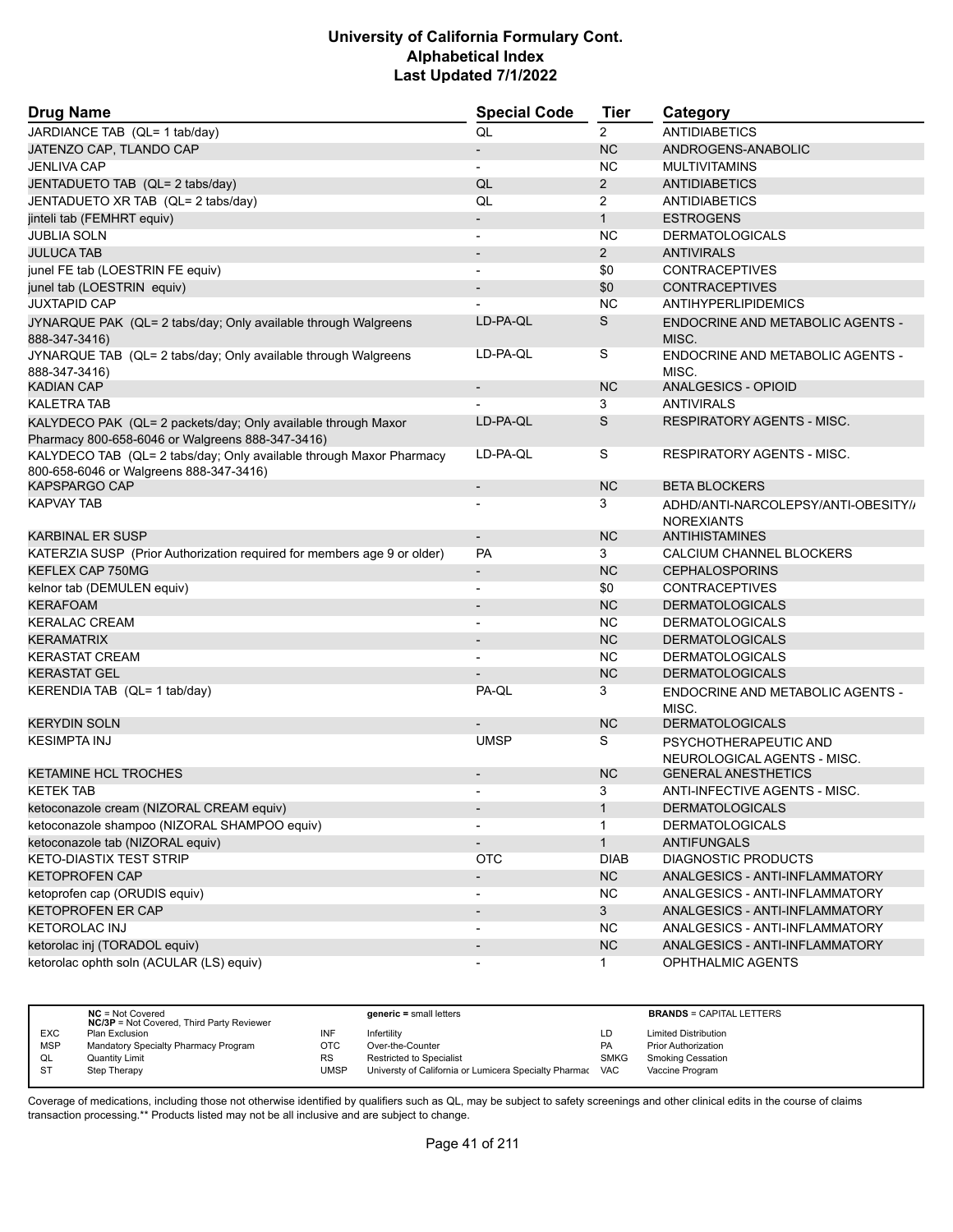| <b>Drug Name</b>                                                                                                  | <b>Special Code</b>      | Tier           | Category                                                 |
|-------------------------------------------------------------------------------------------------------------------|--------------------------|----------------|----------------------------------------------------------|
| JARDIANCE TAB (QL= 1 tab/day)                                                                                     | QL                       | $\overline{2}$ | <b>ANTIDIABETICS</b>                                     |
| JATENZO CAP, TLANDO CAP                                                                                           | $\overline{\phantom{a}}$ | <b>NC</b>      | ANDROGENS-ANABOLIC                                       |
| <b>JENLIVA CAP</b>                                                                                                |                          | NC.            | <b>MULTIVITAMINS</b>                                     |
| JENTADUETO TAB (QL= 2 tabs/day)                                                                                   | QL                       | $\overline{2}$ | <b>ANTIDIABETICS</b>                                     |
| JENTADUETO XR TAB (QL= 2 tabs/day)                                                                                | QL                       | $\overline{2}$ | <b>ANTIDIABETICS</b>                                     |
| jinteli tab (FEMHRT equiv)                                                                                        |                          | $\mathbf{1}$   | <b>ESTROGENS</b>                                         |
| <b>JUBLIA SOLN</b>                                                                                                |                          | <b>NC</b>      | <b>DERMATOLOGICALS</b>                                   |
| <b>JULUCA TAB</b>                                                                                                 | $\overline{\phantom{a}}$ | $\overline{2}$ | <b>ANTIVIRALS</b>                                        |
| junel FE tab (LOESTRIN FE equiv)                                                                                  | $\overline{\phantom{a}}$ | \$0            | <b>CONTRACEPTIVES</b>                                    |
| junel tab (LOESTRIN equiv)                                                                                        |                          | \$0            | <b>CONTRACEPTIVES</b>                                    |
| <b>JUXTAPID CAP</b>                                                                                               |                          | <b>NC</b>      | ANTIHYPERLIPIDEMICS                                      |
| JYNARQUE PAK (QL= 2 tabs/day; Only available through Walgreens<br>888-347-3416)                                   | LD-PA-QL                 | S              | <b>ENDOCRINE AND METABOLIC AGENTS -</b><br>MISC.         |
| JYNARQUE TAB (QL= 2 tabs/day; Only available through Walgreens<br>888-347-3416)                                   | LD-PA-QL                 | S              | ENDOCRINE AND METABOLIC AGENTS -<br>MISC.                |
| <b>KADIAN CAP</b>                                                                                                 | $\overline{\phantom{a}}$ | <b>NC</b>      | ANALGESICS - OPIOID                                      |
| <b>KALETRA TAB</b>                                                                                                |                          | 3              | <b>ANTIVIRALS</b>                                        |
| KALYDECO PAK (QL= 2 packets/day; Only available through Maxor<br>Pharmacy 800-658-6046 or Walgreens 888-347-3416) | LD-PA-QL                 | S              | <b>RESPIRATORY AGENTS - MISC.</b>                        |
| KALYDECO TAB (QL= 2 tabs/day; Only available through Maxor Pharmacy<br>800-658-6046 or Walgreens 888-347-3416)    | LD-PA-QL                 | S              | RESPIRATORY AGENTS - MISC.                               |
| <b>KAPSPARGO CAP</b>                                                                                              | $\overline{a}$           | <b>NC</b>      | <b>BETA BLOCKERS</b>                                     |
| <b>KAPVAY TAB</b>                                                                                                 |                          | 3              | ADHD/ANTI-NARCOLEPSY/ANTI-OBESITY//<br><b>NOREXIANTS</b> |
| <b>KARBINAL ER SUSP</b>                                                                                           | $\overline{\phantom{a}}$ | <b>NC</b>      | <b>ANTIHISTAMINES</b>                                    |
| KATERZIA SUSP (Prior Authorization required for members age 9 or older)                                           | PA                       | 3              | CALCIUM CHANNEL BLOCKERS                                 |
| KEFLEX CAP 750MG                                                                                                  | $\overline{\phantom{a}}$ | <b>NC</b>      | <b>CEPHALOSPORINS</b>                                    |
| kelnor tab (DEMULEN equiv)                                                                                        | $\overline{\phantom{a}}$ | \$0            | <b>CONTRACEPTIVES</b>                                    |
| <b>KERAFOAM</b>                                                                                                   |                          | <b>NC</b>      | <b>DERMATOLOGICALS</b>                                   |
| <b>KERALAC CREAM</b>                                                                                              |                          | <b>NC</b>      | <b>DERMATOLOGICALS</b>                                   |
| <b>KERAMATRIX</b>                                                                                                 | $\overline{\phantom{a}}$ | <b>NC</b>      | <b>DERMATOLOGICALS</b>                                   |
| <b>KERASTAT CREAM</b>                                                                                             |                          | NC.            | <b>DERMATOLOGICALS</b>                                   |
| <b>KERASTAT GEL</b>                                                                                               |                          | <b>NC</b>      | <b>DERMATOLOGICALS</b>                                   |
| KERENDIA TAB (QL= 1 tab/day)                                                                                      | PA-QL                    | 3              | ENDOCRINE AND METABOLIC AGENTS -<br>MISC.                |
| <b>KERYDIN SOLN</b>                                                                                               |                          | <b>NC</b>      | <b>DERMATOLOGICALS</b>                                   |
| <b>KESIMPTA INJ</b>                                                                                               | <b>UMSP</b>              | S              | PSYCHOTHERAPEUTIC AND<br>NEUROLOGICAL AGENTS - MISC.     |
| <b>KETAMINE HCL TROCHES</b>                                                                                       |                          | <b>NC</b>      | <b>GENERAL ANESTHETICS</b>                               |
| <b>KETEK TAB</b>                                                                                                  |                          | 3              | ANTI-INFECTIVE AGENTS - MISC.                            |
| ketoconazole cream (NIZORAL CREAM equiv)                                                                          | $\overline{\phantom{a}}$ | $\mathbf{1}$   | <b>DERMATOLOGICALS</b>                                   |
| ketoconazole shampoo (NIZORAL SHAMPOO equiv)                                                                      |                          | 1              | <b>DERMATOLOGICALS</b>                                   |
| ketoconazole tab (NIZORAL equiv)                                                                                  | $\overline{\phantom{a}}$ | $\mathbf{1}$   | <b>ANTIFUNGALS</b>                                       |
| <b>KETO-DIASTIX TEST STRIP</b>                                                                                    | <b>OTC</b>               | <b>DIAB</b>    | <b>DIAGNOSTIC PRODUCTS</b>                               |
| <b>KETOPROFEN CAP</b>                                                                                             | $\overline{\phantom{a}}$ | <b>NC</b>      | ANALGESICS - ANTI-INFLAMMATORY                           |
| ketoprofen cap (ORUDIS equiv)                                                                                     | $\overline{\phantom{a}}$ | <b>NC</b>      | ANALGESICS - ANTI-INFLAMMATORY                           |
| <b>KETOPROFEN ER CAP</b>                                                                                          | $\overline{\phantom{a}}$ | 3 <sup>1</sup> | ANALGESICS - ANTI-INFLAMMATORY                           |
| <b>KETOROLAC INJ</b>                                                                                              | $\overline{\phantom{a}}$ | <b>NC</b>      | ANALGESICS - ANTI-INFLAMMATORY                           |
| ketorolac inj (TORADOL equiv)                                                                                     |                          | <b>NC</b>      | ANALGESICS - ANTI-INFLAMMATORY                           |
| ketorolac ophth soln (ACULAR (LS) equiv)                                                                          |                          | $\mathbf{1}$   | OPHTHALMIC AGENTS                                        |

|            | $NC = Not Covered$<br><b>NC/3P</b> = Not Covered, Third Party Reviewer |           | generic = small letters                               |             | <b>BRANDS = CAPITAL LETTERS</b> |
|------------|------------------------------------------------------------------------|-----------|-------------------------------------------------------|-------------|---------------------------------|
| <b>EXC</b> | Plan Exclusion                                                         | INF       | Infertilitv                                           | LD          | <b>Limited Distribution</b>     |
| <b>MSP</b> | Mandatory Specialty Pharmacy Program                                   | OTC       | Over-the-Counter                                      | <b>PA</b>   | <b>Prior Authorization</b>      |
| QL         | <b>Quantity Limit</b>                                                  | <b>RS</b> | <b>Restricted to Specialist</b>                       | <b>SMKG</b> | <b>Smoking Cessation</b>        |
| <b>ST</b>  | Step Therapy                                                           | UMSP      | Universty of California or Lumicera Specialty Pharmac | VAC         | Vaccine Program                 |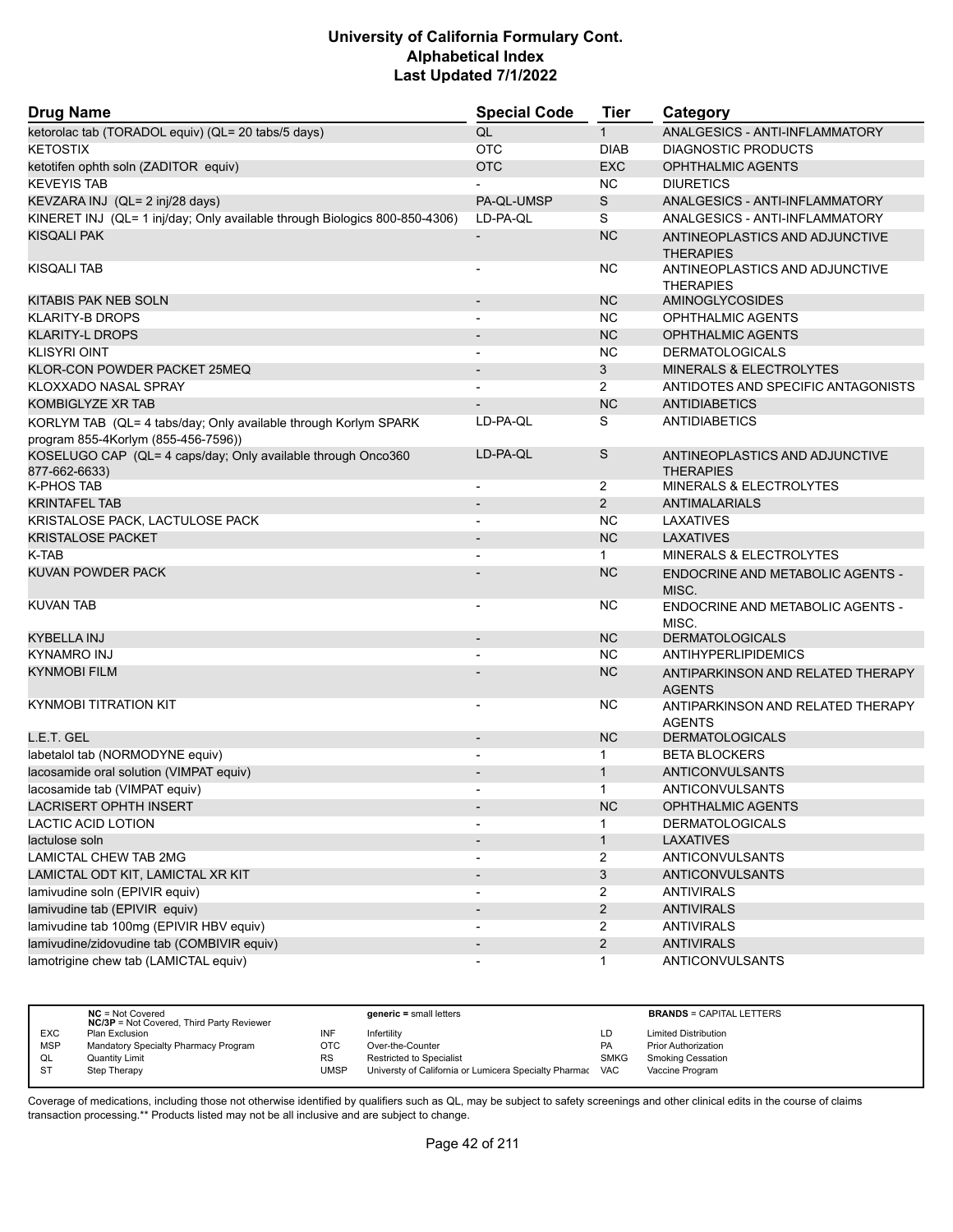| <b>Drug Name</b>                                                              | <b>Special Code</b>      | <b>Tier</b>    | Category                                           |
|-------------------------------------------------------------------------------|--------------------------|----------------|----------------------------------------------------|
| ketorolac tab (TORADOL equiv) (QL= 20 tabs/5 days)                            | QL                       | $\mathbf 1$    | ANALGESICS - ANTI-INFLAMMATORY                     |
| <b>KETOSTIX</b>                                                               | <b>OTC</b>               | <b>DIAB</b>    | <b>DIAGNOSTIC PRODUCTS</b>                         |
| ketotifen ophth soln (ZADITOR equiv)                                          | <b>OTC</b>               | <b>EXC</b>     | <b>OPHTHALMIC AGENTS</b>                           |
| <b>KEVEYIS TAB</b>                                                            |                          | <b>NC</b>      | <b>DIURETICS</b>                                   |
| KEVZARA INJ (QL= 2 inj/28 days)                                               | PA-QL-UMSP               | S              | ANALGESICS - ANTI-INFLAMMATORY                     |
| KINERET INJ (QL= 1 inj/day; Only available through Biologics 800-850-4306)    | LD-PA-QL                 | S              | ANALGESICS - ANTI-INFLAMMATORY                     |
| <b>KISQALI PAK</b>                                                            |                          | <b>NC</b>      | ANTINEOPLASTICS AND ADJUNCTIVE<br><b>THERAPIES</b> |
| <b>KISQALI TAB</b>                                                            |                          | NC.            | ANTINEOPLASTICS AND ADJUNCTIVE<br><b>THERAPIES</b> |
| KITABIS PAK NEB SOLN                                                          |                          | <b>NC</b>      | <b>AMINOGLYCOSIDES</b>                             |
| <b>KLARITY-B DROPS</b>                                                        |                          | NC.            | <b>OPHTHALMIC AGENTS</b>                           |
| <b>KLARITY-L DROPS</b>                                                        |                          | <b>NC</b>      | <b>OPHTHALMIC AGENTS</b>                           |
| <b>KLISYRI OINT</b>                                                           |                          | <b>NC</b>      | <b>DERMATOLOGICALS</b>                             |
| KLOR-CON POWDER PACKET 25MEQ                                                  |                          | 3              | <b>MINERALS &amp; ELECTROLYTES</b>                 |
| KLOXXADO NASAL SPRAY                                                          |                          | $\overline{2}$ | ANTIDOTES AND SPECIFIC ANTAGONISTS                 |
| <b>KOMBIGLYZE XR TAB</b>                                                      |                          | <b>NC</b>      | <b>ANTIDIABETICS</b>                               |
| KORLYM TAB (QL= 4 tabs/day; Only available through Korlym SPARK               | LD-PA-QL                 | S              | ANTIDIABETICS                                      |
| program 855-4Korlym (855-456-7596))                                           |                          |                |                                                    |
| KOSELUGO CAP (QL= 4 caps/day; Only available through Onco360<br>877-662-6633) | LD-PA-QL                 | S              | ANTINEOPLASTICS AND ADJUNCTIVE<br><b>THERAPIES</b> |
| <b>K-PHOS TAB</b>                                                             |                          | 2              | MINERALS & ELECTROLYTES                            |
| <b>KRINTAFEL TAB</b>                                                          |                          | $\overline{2}$ | <b>ANTIMALARIALS</b>                               |
| KRISTALOSE PACK, LACTULOSE PACK                                               |                          | <b>NC</b>      | LAXATIVES                                          |
| <b>KRISTALOSE PACKET</b>                                                      |                          | <b>NC</b>      | <b>LAXATIVES</b>                                   |
| K-TAB                                                                         | $\blacksquare$           | $\mathbf{1}$   | <b>MINERALS &amp; ELECTROLYTES</b>                 |
| KUVAN POWDER PACK                                                             |                          | <b>NC</b>      | <b>ENDOCRINE AND METABOLIC AGENTS -</b><br>MISC.   |
| <b>KUVAN TAB</b>                                                              |                          | NC.            | ENDOCRINE AND METABOLIC AGENTS -<br>MISC.          |
| KYBELLA INJ                                                                   | $\overline{\phantom{a}}$ | <b>NC</b>      | <b>DERMATOLOGICALS</b>                             |
| <b>KYNAMRO INJ</b>                                                            |                          | <b>NC</b>      | <b>ANTIHYPERLIPIDEMICS</b>                         |
| <b>KYNMOBI FILM</b>                                                           |                          | <b>NC</b>      | ANTIPARKINSON AND RELATED THERAPY<br><b>AGENTS</b> |
| <b>KYNMOBI TITRATION KIT</b>                                                  |                          | NC.            | ANTIPARKINSON AND RELATED THERAPY<br><b>AGENTS</b> |
| L.E.T. GEL                                                                    | $\overline{\phantom{a}}$ | <b>NC</b>      | <b>DERMATOLOGICALS</b>                             |
| labetalol tab (NORMODYNE equiv)                                               | $\overline{\phantom{a}}$ | $\mathbf{1}$   | <b>BETA BLOCKERS</b>                               |
| lacosamide oral solution (VIMPAT equiv)                                       |                          | $\mathbf{1}$   | <b>ANTICONVULSANTS</b>                             |
| lacosamide tab (VIMPAT equiv)                                                 | $\blacksquare$           | $\mathbf{1}$   | ANTICONVULSANTS                                    |
| LACRISERT OPHTH INSERT                                                        |                          | <b>NC</b>      | OPHTHALMIC AGENTS                                  |
| LACTIC ACID LOTION                                                            |                          | 1              | <b>DERMATOLOGICALS</b>                             |
| lactulose soln                                                                |                          | $\mathbf{1}$   | <b>LAXATIVES</b>                                   |
| <b>LAMICTAL CHEW TAB 2MG</b>                                                  |                          | $\overline{2}$ | <b>ANTICONVULSANTS</b>                             |
| LAMICTAL ODT KIT, LAMICTAL XR KIT                                             | $\blacksquare$           | 3              | <b>ANTICONVULSANTS</b>                             |
| lamivudine soln (EPIVIR equiv)                                                | $\overline{\phantom{a}}$ | $\overline{2}$ | <b>ANTIVIRALS</b>                                  |
| lamivudine tab (EPIVIR equiv)                                                 | $\overline{\phantom{a}}$ | $\overline{2}$ | <b>ANTIVIRALS</b>                                  |
| lamivudine tab 100mg (EPIVIR HBV equiv)                                       |                          | $\overline{2}$ | <b>ANTIVIRALS</b>                                  |
| lamivudine/zidovudine tab (COMBIVIR equiv)                                    | $\overline{\phantom{a}}$ | $\overline{2}$ | <b>ANTIVIRALS</b>                                  |
| lamotrigine chew tab (LAMICTAL equiv)                                         | $\overline{\phantom{a}}$ | $\mathbf{1}$   | ANTICONVULSANTS                                    |

|            | $NC = Not Covered$<br><b>NC/3P</b> = Not Covered, Third Party Reviewer |      | $generic = small letters$                             |             | <b>BRANDS = CAPITAL LETTERS</b> |
|------------|------------------------------------------------------------------------|------|-------------------------------------------------------|-------------|---------------------------------|
| <b>EXC</b> | Plan Exclusion                                                         | INF  | Infertility                                           | LD          | <b>Limited Distribution</b>     |
| <b>MSP</b> | Mandatory Specialty Pharmacy Program                                   | OTC  | Over-the-Counter                                      | PA          | <b>Prior Authorization</b>      |
| QL         | <b>Quantity Limit</b>                                                  | RS   | <b>Restricted to Specialist</b>                       | <b>SMKG</b> | <b>Smoking Cessation</b>        |
| -ST        | Step Therapy                                                           | UMSP | Universty of California or Lumicera Specialty Pharmac | VAC         | Vaccine Program                 |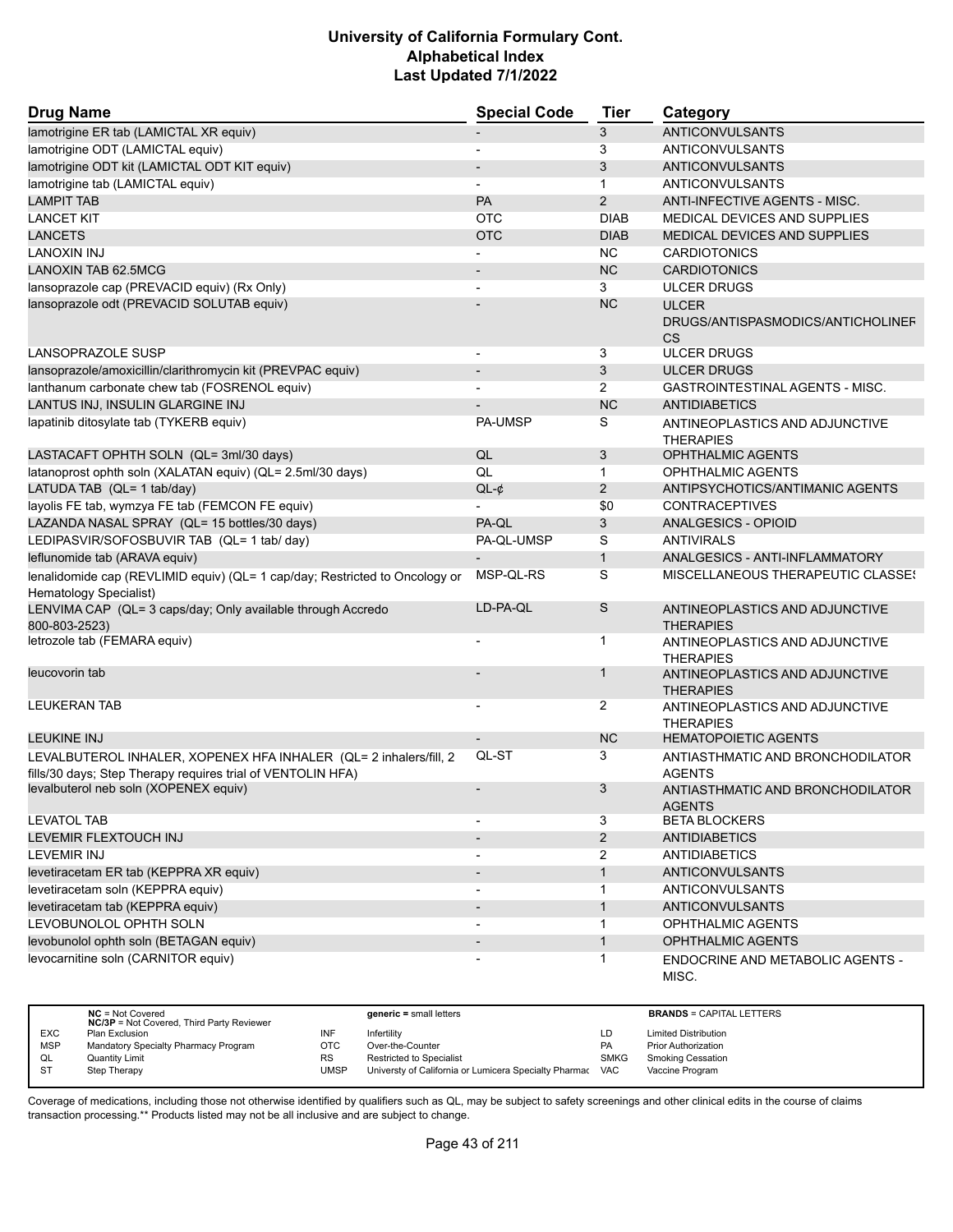| <b>Drug Name</b>                                                                                                                 | <b>Special Code</b>      | <b>Tier</b>    | Category                                           |
|----------------------------------------------------------------------------------------------------------------------------------|--------------------------|----------------|----------------------------------------------------|
| lamotrigine ER tab (LAMICTAL XR equiv)                                                                                           |                          | 3              | <b>ANTICONVULSANTS</b>                             |
| lamotrigine ODT (LAMICTAL equiv)                                                                                                 | $\overline{\phantom{a}}$ | 3              | ANTICONVULSANTS                                    |
| lamotrigine ODT kit (LAMICTAL ODT KIT equiv)                                                                                     |                          | 3              | <b>ANTICONVULSANTS</b>                             |
| lamotrigine tab (LAMICTAL equiv)                                                                                                 |                          | $\mathbf{1}$   | ANTICONVULSANTS                                    |
| <b>LAMPIT TAB</b>                                                                                                                | PA                       | $\overline{2}$ | ANTI-INFECTIVE AGENTS - MISC.                      |
| <b>LANCET KIT</b>                                                                                                                | <b>OTC</b>               | <b>DIAB</b>    | MEDICAL DEVICES AND SUPPLIES                       |
| <b>LANCETS</b>                                                                                                                   | <b>OTC</b>               | <b>DIAB</b>    | MEDICAL DEVICES AND SUPPLIES                       |
| <b>LANOXIN INJ</b>                                                                                                               | L,                       | <b>NC</b>      | <b>CARDIOTONICS</b>                                |
| <b>LANOXIN TAB 62.5MCG</b>                                                                                                       |                          | <b>NC</b>      | <b>CARDIOTONICS</b>                                |
| lansoprazole cap (PREVACID equiv) (Rx Only)                                                                                      |                          | 3              | <b>ULCER DRUGS</b>                                 |
| lansoprazole odt (PREVACID SOLUTAB equiv)                                                                                        |                          | <b>NC</b>      | <b>ULCER</b>                                       |
|                                                                                                                                  |                          |                | DRUGS/ANTISPASMODICS/ANTICHOLINEF<br><b>CS</b>     |
| LANSOPRAZOLE SUSP                                                                                                                |                          | 3              | <b>ULCER DRUGS</b>                                 |
| lansoprazole/amoxicillin/clarithromycin kit (PREVPAC equiv)                                                                      |                          | 3              | <b>ULCER DRUGS</b>                                 |
| lanthanum carbonate chew tab (FOSRENOL equiv)                                                                                    |                          | $\overline{2}$ | <b>GASTROINTESTINAL AGENTS - MISC.</b>             |
| LANTUS INJ, INSULIN GLARGINE INJ                                                                                                 |                          | <b>NC</b>      | <b>ANTIDIABETICS</b>                               |
| lapatinib ditosylate tab (TYKERB equiv)                                                                                          | PA-UMSP                  | S              | ANTINEOPLASTICS AND ADJUNCTIVE<br><b>THERAPIES</b> |
| LASTACAFT OPHTH SOLN (QL= 3ml/30 days)                                                                                           | QL                       | 3              | <b>OPHTHALMIC AGENTS</b>                           |
| latanoprost ophth soln (XALATAN equiv) (QL= 2.5ml/30 days)                                                                       | QL                       | $\mathbf 1$    | <b>OPHTHALMIC AGENTS</b>                           |
| LATUDA TAB (QL= 1 tab/day)                                                                                                       | $QL-¢$                   | 2              | ANTIPSYCHOTICS/ANTIMANIC AGENTS                    |
| layolis FE tab, wymzya FE tab (FEMCON FE equiv)                                                                                  |                          | \$0            | <b>CONTRACEPTIVES</b>                              |
| LAZANDA NASAL SPRAY (QL= 15 bottles/30 days)                                                                                     | PA-QL                    | 3              | ANALGESICS - OPIOID                                |
| LEDIPASVIR/SOFOSBUVIR TAB (QL= 1 tab/ day)                                                                                       | PA-QL-UMSP               | S              | <b>ANTIVIRALS</b>                                  |
| leflunomide tab (ARAVA equiv)                                                                                                    |                          | $\mathbf{1}$   | ANALGESICS - ANTI-INFLAMMATORY                     |
| lenalidomide cap (REVLIMID equiv) (QL= 1 cap/day; Restricted to Oncology or<br>Hematology Specialist)                            | MSP-QL-RS                | S              | MISCELLANEOUS THERAPEUTIC CLASSES                  |
| LENVIMA CAP (QL= 3 caps/day; Only available through Accredo<br>800-803-2523)                                                     | LD-PA-QL                 | S              | ANTINEOPLASTICS AND ADJUNCTIVE<br><b>THERAPIES</b> |
| letrozole tab (FEMARA equiv)                                                                                                     |                          | $\mathbf 1$    | ANTINEOPLASTICS AND ADJUNCTIVE<br><b>THERAPIES</b> |
| leucovorin tab                                                                                                                   |                          | $\mathbf 1$    | ANTINEOPLASTICS AND ADJUNCTIVE<br><b>THERAPIES</b> |
| <b>LEUKERAN TAB</b>                                                                                                              |                          | 2              | ANTINEOPLASTICS AND ADJUNCTIVE<br><b>THERAPIES</b> |
| <b>LEUKINE INJ</b>                                                                                                               |                          | <b>NC</b>      | <b>HEMATOPOIETIC AGENTS</b>                        |
| LEVALBUTEROL INHALER, XOPENEX HFA INHALER (QL= 2 inhalers/fill, 2<br>fills/30 days; Step Therapy requires trial of VENTOLIN HFA) | QL-ST                    | 3              | ANTIASTHMATIC AND BRONCHODILATOR<br><b>AGENTS</b>  |
| levalbuterol neb soln (XOPENEX equiv)                                                                                            |                          | 3              | ANTIASTHMATIC AND BRONCHODILATOR<br><b>AGENTS</b>  |
| <b>LEVATOL TAB</b>                                                                                                               |                          | 3              | <b>BETA BLOCKERS</b>                               |
| LEVEMIR FLEXTOUCH INJ                                                                                                            |                          | $\overline{2}$ | <b>ANTIDIABETICS</b>                               |
| <b>LEVEMIR INJ</b>                                                                                                               | $\blacksquare$           | $\overline{2}$ | <b>ANTIDIABETICS</b>                               |
| levetiracetam ER tab (KEPPRA XR equiv)                                                                                           |                          | $\mathbf{1}$   | <b>ANTICONVULSANTS</b>                             |
| levetiracetam soln (KEPPRA equiv)                                                                                                |                          | $\mathbf 1$    | <b>ANTICONVULSANTS</b>                             |
| levetiracetam tab (KEPPRA equiv)                                                                                                 |                          | $\mathbf{1}$   | <b>ANTICONVULSANTS</b>                             |
| LEVOBUNOLOL OPHTH SOLN                                                                                                           | $\blacksquare$           | $\mathbf 1$    | OPHTHALMIC AGENTS                                  |
| levobunolol ophth soln (BETAGAN equiv)                                                                                           |                          |                | OPHTHALMIC AGENTS                                  |
| levocarnitine soln (CARNITOR equiv)                                                                                              |                          | $\mathbf{1}$   | ENDOCRINE AND METABOLIC AGENTS -<br>MISC.          |

|            | $NC = Not Covered$                               |             | $generic = small letters$                             |             | <b>BRANDS = CAPITAL LETTERS</b> |
|------------|--------------------------------------------------|-------------|-------------------------------------------------------|-------------|---------------------------------|
|            | <b>NC/3P</b> = Not Covered, Third Party Reviewer |             |                                                       |             |                                 |
| <b>EXC</b> |                                                  |             |                                                       |             |                                 |
|            | Plan Exclusion                                   | INF         | Infertility                                           | LD          | <b>Limited Distribution</b>     |
| <b>MSP</b> | Mandatory Specialty Pharmacy Program             | OTC         | Over-the-Counter                                      | PA          | <b>Prior Authorization</b>      |
| QL         | <b>Quantity Limit</b>                            | <b>RS</b>   | <b>Restricted to Specialist</b>                       | <b>SMKG</b> | <b>Smoking Cessation</b>        |
| <b>ST</b>  | Step Therapy                                     | <b>UMSP</b> | Universty of California or Lumicera Specialty Pharmac | <b>VAC</b>  | Vaccine Program                 |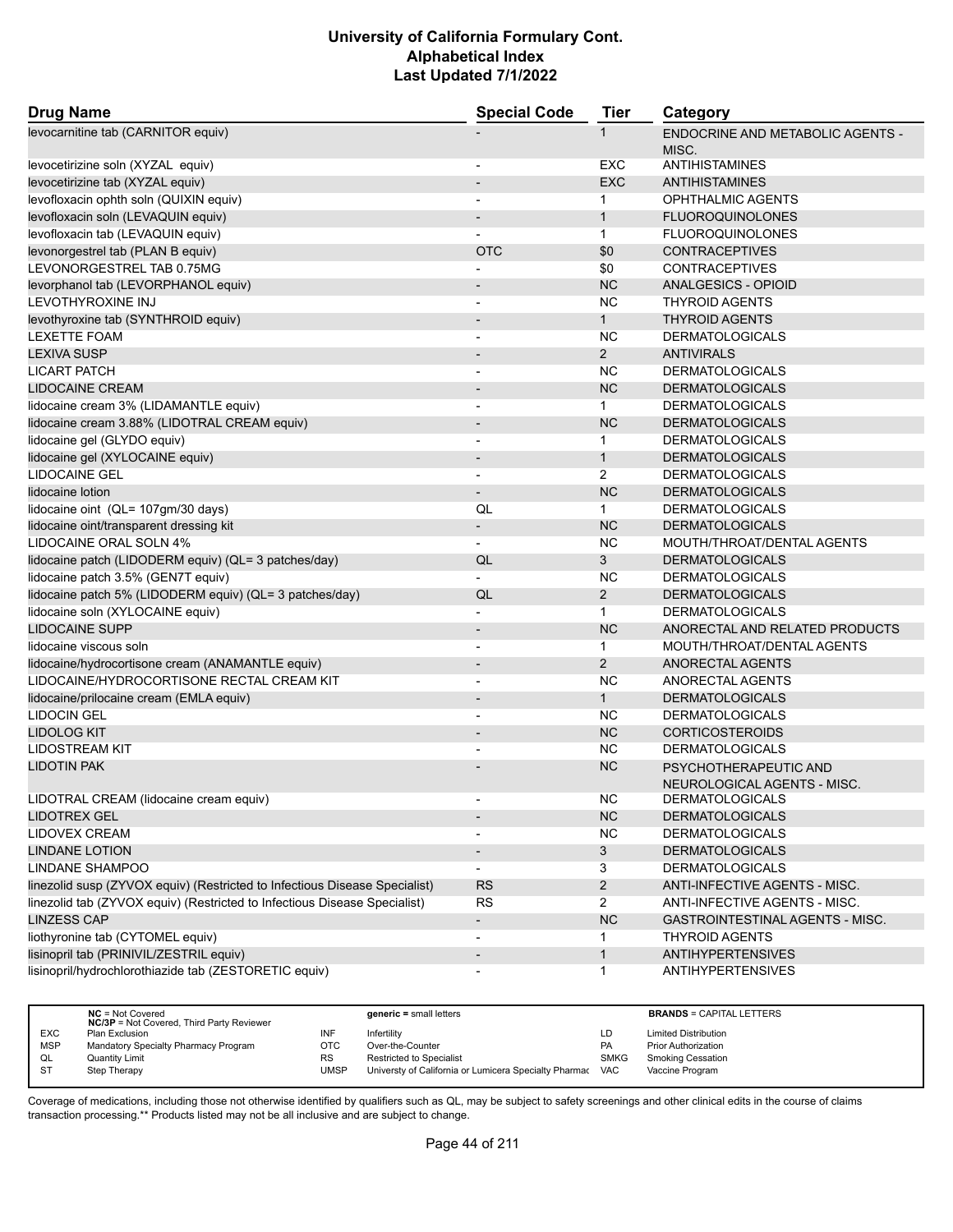| levocarnitine tab (CARNITOR equiv)<br>ENDOCRINE AND METABOLIC AGENTS -<br>1<br>MISC.<br>levocetirizine soln (XYZAL equiv)<br>EXC<br>ANTIHISTAMINES<br>$\overline{\phantom{a}}$<br><b>EXC</b><br>levocetirizine tab (XYZAL equiv)<br><b>ANTIHISTAMINES</b><br>$\overline{\phantom{a}}$<br>levofloxacin ophth soln (QUIXIN equiv)<br><b>OPHTHALMIC AGENTS</b><br>$\mathbf 1$<br>$\overline{\phantom{a}}$<br>levofloxacin soln (LEVAQUIN equiv)<br><b>FLUOROQUINOLONES</b><br>$\mathbf{1}$<br>levofloxacin tab (LEVAQUIN equiv)<br><b>FLUOROQUINOLONES</b><br>$\mathbf{1}$<br><b>OTC</b><br>\$0<br>levonorgestrel tab (PLAN B equiv)<br><b>CONTRACEPTIVES</b><br>LEVONORGESTREL TAB 0.75MG<br>\$0<br><b>CONTRACEPTIVES</b><br>NC<br>levorphanol tab (LEVORPHANOL equiv)<br><b>ANALGESICS - OPIOID</b><br>$\overline{\phantom{a}}$<br><b>NC</b><br>LEVOTHYROXINE INJ<br><b>THYROID AGENTS</b><br>$\overline{\phantom{a}}$<br>$\mathbf{1}$<br>levothyroxine tab (SYNTHROID equiv)<br><b>THYROID AGENTS</b><br>$\overline{\phantom{a}}$<br><b>NC</b><br><b>LEXETTE FOAM</b><br><b>DERMATOLOGICALS</b><br>$\blacksquare$<br><b>LEXIVA SUSP</b><br>$2^{\circ}$<br><b>ANTIVIRALS</b><br><b>NC</b><br><b>LICART PATCH</b><br><b>DERMATOLOGICALS</b><br>$\overline{\phantom{a}}$<br><b>LIDOCAINE CREAM</b><br><b>NC</b><br><b>DERMATOLOGICALS</b><br>$\overline{\phantom{a}}$<br>lidocaine cream 3% (LIDAMANTLE equiv)<br><b>DERMATOLOGICALS</b><br>$\mathbf{1}$<br><b>NC</b><br>lidocaine cream 3.88% (LIDOTRAL CREAM equiv)<br><b>DERMATOLOGICALS</b><br>$\overline{\phantom{a}}$<br>lidocaine gel (GLYDO equiv)<br>$\mathbf{1}$<br><b>DERMATOLOGICALS</b><br>$\blacksquare$<br>lidocaine gel (XYLOCAINE equiv)<br><b>DERMATOLOGICALS</b><br>$\mathbf{1}$<br><b>LIDOCAINE GEL</b><br>2<br><b>DERMATOLOGICALS</b><br>$\blacksquare$<br><b>NC</b><br><b>DERMATOLOGICALS</b><br>lidocaine lotion<br>$\overline{\phantom{a}}$<br>lidocaine oint (QL= 107gm/30 days)<br><b>DERMATOLOGICALS</b><br>QL<br>$\mathbf{1}$<br><b>NC</b><br>lidocaine oint/transparent dressing kit<br><b>DERMATOLOGICALS</b><br>$\overline{\phantom{a}}$<br>LIDOCAINE ORAL SOLN 4%<br><b>NC</b><br>MOUTH/THROAT/DENTAL AGENTS<br>3<br>lidocaine patch (LIDODERM equiv) (QL= 3 patches/day)<br>QL<br><b>DERMATOLOGICALS</b><br><b>NC</b><br>lidocaine patch 3.5% (GEN7T equiv)<br><b>DERMATOLOGICALS</b><br>lidocaine patch 5% (LIDODERM equiv) (QL= 3 patches/day)<br>QL<br>$\overline{2}$<br><b>DERMATOLOGICALS</b><br><b>DERMATOLOGICALS</b><br>lidocaine soln (XYLOCAINE equiv)<br>$\mathbf{1}$<br>$\overline{a}$<br><b>LIDOCAINE SUPP</b><br><b>NC</b><br>ANORECTAL AND RELATED PRODUCTS<br>$\overline{\phantom{a}}$<br>MOUTH/THROAT/DENTAL AGENTS<br>lidocaine viscous soln<br>$\mathbf{1}$<br>$\overline{2}$<br>ANORECTAL AGENTS<br>lidocaine/hydrocortisone cream (ANAMANTLE equiv)<br>$\overline{\phantom{a}}$<br>LIDOCAINE/HYDROCORTISONE RECTAL CREAM KIT<br><b>NC</b><br>ANORECTAL AGENTS<br>$\overline{\phantom{a}}$<br>lidocaine/prilocaine cream (EMLA equiv)<br>$\mathbf{1}$<br><b>DERMATOLOGICALS</b><br><b>LIDOCIN GEL</b><br>NC.<br><b>DERMATOLOGICALS</b><br>$\overline{\phantom{a}}$<br><b>NC</b><br><b>LIDOLOG KIT</b><br><b>CORTICOSTEROIDS</b><br><b>LIDOSTREAM KIT</b><br>NC<br><b>DERMATOLOGICALS</b><br><b>LIDOTIN PAK</b><br><b>NC</b><br>PSYCHOTHERAPEUTIC AND<br>NEUROLOGICAL AGENTS - MISC.<br>LIDOTRAL CREAM (lidocaine cream equiv)<br><b>NC</b><br><b>DERMATOLOGICALS</b><br>NC<br><b>LIDOTREX GEL</b><br><b>DERMATOLOGICALS</b><br><b>NC</b><br>LIDOVEX CREAM<br><b>DERMATOLOGICALS</b><br>$\mathbf{3}$<br><b>LINDANE LOTION</b><br><b>DERMATOLOGICALS</b><br>$\overline{\phantom{a}}$<br>LINDANE SHAMPOO<br><b>DERMATOLOGICALS</b><br>3<br>$\blacksquare$<br><b>RS</b><br>$\overline{a}$<br>linezolid susp (ZYVOX equiv) (Restricted to Infectious Disease Specialist)<br>ANTI-INFECTIVE AGENTS - MISC.<br>linezolid tab (ZYVOX equiv) (Restricted to Infectious Disease Specialist)<br>$\overline{2}$<br><b>RS</b><br>ANTI-INFECTIVE AGENTS - MISC.<br><b>LINZESS CAP</b><br>NC<br>GASTROINTESTINAL AGENTS - MISC.<br>$\overline{\phantom{a}}$<br>liothyronine tab (CYTOMEL equiv)<br><b>THYROID AGENTS</b><br>1<br>$\overline{a}$<br>lisinopril tab (PRINIVIL/ZESTRIL equiv)<br>$\mathbf{1}$<br><b>ANTIHYPERTENSIVES</b><br>lisinopril/hydrochlorothiazide tab (ZESTORETIC equiv)<br><b>ANTIHYPERTENSIVES</b><br>$\mathbf{1}$ | <b>Drug Name</b> | <b>Special Code</b> | <b>Tier</b> | Category |
|--------------------------------------------------------------------------------------------------------------------------------------------------------------------------------------------------------------------------------------------------------------------------------------------------------------------------------------------------------------------------------------------------------------------------------------------------------------------------------------------------------------------------------------------------------------------------------------------------------------------------------------------------------------------------------------------------------------------------------------------------------------------------------------------------------------------------------------------------------------------------------------------------------------------------------------------------------------------------------------------------------------------------------------------------------------------------------------------------------------------------------------------------------------------------------------------------------------------------------------------------------------------------------------------------------------------------------------------------------------------------------------------------------------------------------------------------------------------------------------------------------------------------------------------------------------------------------------------------------------------------------------------------------------------------------------------------------------------------------------------------------------------------------------------------------------------------------------------------------------------------------------------------------------------------------------------------------------------------------------------------------------------------------------------------------------------------------------------------------------------------------------------------------------------------------------------------------------------------------------------------------------------------------------------------------------------------------------------------------------------------------------------------------------------------------------------------------------------------------------------------------------------------------------------------------------------------------------------------------------------------------------------------------------------------------------------------------------------------------------------------------------------------------------------------------------------------------------------------------------------------------------------------------------------------------------------------------------------------------------------------------------------------------------------------------------------------------------------------------------------------------------------------------------------------------------------------------------------------------------------------------------------------------------------------------------------------------------------------------------------------------------------------------------------------------------------------------------------------------------------------------------------------------------------------------------------------------------------------------------------------------------------------------------------------------------------------------------------------------------------------------------------------------------------------------------------------------------------------------------------------------------------------------------------------------------------------------------------------------------------------------------------------------------------------------------------------------------------------------------------------------------------------------------------------------------------------------------------------------------------------------------------------------------------------------------------------------------------------------------------------------------------------------------------------------|------------------|---------------------|-------------|----------|
|                                                                                                                                                                                                                                                                                                                                                                                                                                                                                                                                                                                                                                                                                                                                                                                                                                                                                                                                                                                                                                                                                                                                                                                                                                                                                                                                                                                                                                                                                                                                                                                                                                                                                                                                                                                                                                                                                                                                                                                                                                                                                                                                                                                                                                                                                                                                                                                                                                                                                                                                                                                                                                                                                                                                                                                                                                                                                                                                                                                                                                                                                                                                                                                                                                                                                                                                                                                                                                                                                                                                                                                                                                                                                                                                                                                                                                                                                                                                                                                                                                                                                                                                                                                                                                                                                                                                                                                                                                |                  |                     |             |          |
|                                                                                                                                                                                                                                                                                                                                                                                                                                                                                                                                                                                                                                                                                                                                                                                                                                                                                                                                                                                                                                                                                                                                                                                                                                                                                                                                                                                                                                                                                                                                                                                                                                                                                                                                                                                                                                                                                                                                                                                                                                                                                                                                                                                                                                                                                                                                                                                                                                                                                                                                                                                                                                                                                                                                                                                                                                                                                                                                                                                                                                                                                                                                                                                                                                                                                                                                                                                                                                                                                                                                                                                                                                                                                                                                                                                                                                                                                                                                                                                                                                                                                                                                                                                                                                                                                                                                                                                                                                |                  |                     |             |          |
|                                                                                                                                                                                                                                                                                                                                                                                                                                                                                                                                                                                                                                                                                                                                                                                                                                                                                                                                                                                                                                                                                                                                                                                                                                                                                                                                                                                                                                                                                                                                                                                                                                                                                                                                                                                                                                                                                                                                                                                                                                                                                                                                                                                                                                                                                                                                                                                                                                                                                                                                                                                                                                                                                                                                                                                                                                                                                                                                                                                                                                                                                                                                                                                                                                                                                                                                                                                                                                                                                                                                                                                                                                                                                                                                                                                                                                                                                                                                                                                                                                                                                                                                                                                                                                                                                                                                                                                                                                |                  |                     |             |          |
|                                                                                                                                                                                                                                                                                                                                                                                                                                                                                                                                                                                                                                                                                                                                                                                                                                                                                                                                                                                                                                                                                                                                                                                                                                                                                                                                                                                                                                                                                                                                                                                                                                                                                                                                                                                                                                                                                                                                                                                                                                                                                                                                                                                                                                                                                                                                                                                                                                                                                                                                                                                                                                                                                                                                                                                                                                                                                                                                                                                                                                                                                                                                                                                                                                                                                                                                                                                                                                                                                                                                                                                                                                                                                                                                                                                                                                                                                                                                                                                                                                                                                                                                                                                                                                                                                                                                                                                                                                |                  |                     |             |          |
|                                                                                                                                                                                                                                                                                                                                                                                                                                                                                                                                                                                                                                                                                                                                                                                                                                                                                                                                                                                                                                                                                                                                                                                                                                                                                                                                                                                                                                                                                                                                                                                                                                                                                                                                                                                                                                                                                                                                                                                                                                                                                                                                                                                                                                                                                                                                                                                                                                                                                                                                                                                                                                                                                                                                                                                                                                                                                                                                                                                                                                                                                                                                                                                                                                                                                                                                                                                                                                                                                                                                                                                                                                                                                                                                                                                                                                                                                                                                                                                                                                                                                                                                                                                                                                                                                                                                                                                                                                |                  |                     |             |          |
|                                                                                                                                                                                                                                                                                                                                                                                                                                                                                                                                                                                                                                                                                                                                                                                                                                                                                                                                                                                                                                                                                                                                                                                                                                                                                                                                                                                                                                                                                                                                                                                                                                                                                                                                                                                                                                                                                                                                                                                                                                                                                                                                                                                                                                                                                                                                                                                                                                                                                                                                                                                                                                                                                                                                                                                                                                                                                                                                                                                                                                                                                                                                                                                                                                                                                                                                                                                                                                                                                                                                                                                                                                                                                                                                                                                                                                                                                                                                                                                                                                                                                                                                                                                                                                                                                                                                                                                                                                |                  |                     |             |          |
|                                                                                                                                                                                                                                                                                                                                                                                                                                                                                                                                                                                                                                                                                                                                                                                                                                                                                                                                                                                                                                                                                                                                                                                                                                                                                                                                                                                                                                                                                                                                                                                                                                                                                                                                                                                                                                                                                                                                                                                                                                                                                                                                                                                                                                                                                                                                                                                                                                                                                                                                                                                                                                                                                                                                                                                                                                                                                                                                                                                                                                                                                                                                                                                                                                                                                                                                                                                                                                                                                                                                                                                                                                                                                                                                                                                                                                                                                                                                                                                                                                                                                                                                                                                                                                                                                                                                                                                                                                |                  |                     |             |          |
|                                                                                                                                                                                                                                                                                                                                                                                                                                                                                                                                                                                                                                                                                                                                                                                                                                                                                                                                                                                                                                                                                                                                                                                                                                                                                                                                                                                                                                                                                                                                                                                                                                                                                                                                                                                                                                                                                                                                                                                                                                                                                                                                                                                                                                                                                                                                                                                                                                                                                                                                                                                                                                                                                                                                                                                                                                                                                                                                                                                                                                                                                                                                                                                                                                                                                                                                                                                                                                                                                                                                                                                                                                                                                                                                                                                                                                                                                                                                                                                                                                                                                                                                                                                                                                                                                                                                                                                                                                |                  |                     |             |          |
|                                                                                                                                                                                                                                                                                                                                                                                                                                                                                                                                                                                                                                                                                                                                                                                                                                                                                                                                                                                                                                                                                                                                                                                                                                                                                                                                                                                                                                                                                                                                                                                                                                                                                                                                                                                                                                                                                                                                                                                                                                                                                                                                                                                                                                                                                                                                                                                                                                                                                                                                                                                                                                                                                                                                                                                                                                                                                                                                                                                                                                                                                                                                                                                                                                                                                                                                                                                                                                                                                                                                                                                                                                                                                                                                                                                                                                                                                                                                                                                                                                                                                                                                                                                                                                                                                                                                                                                                                                |                  |                     |             |          |
|                                                                                                                                                                                                                                                                                                                                                                                                                                                                                                                                                                                                                                                                                                                                                                                                                                                                                                                                                                                                                                                                                                                                                                                                                                                                                                                                                                                                                                                                                                                                                                                                                                                                                                                                                                                                                                                                                                                                                                                                                                                                                                                                                                                                                                                                                                                                                                                                                                                                                                                                                                                                                                                                                                                                                                                                                                                                                                                                                                                                                                                                                                                                                                                                                                                                                                                                                                                                                                                                                                                                                                                                                                                                                                                                                                                                                                                                                                                                                                                                                                                                                                                                                                                                                                                                                                                                                                                                                                |                  |                     |             |          |
|                                                                                                                                                                                                                                                                                                                                                                                                                                                                                                                                                                                                                                                                                                                                                                                                                                                                                                                                                                                                                                                                                                                                                                                                                                                                                                                                                                                                                                                                                                                                                                                                                                                                                                                                                                                                                                                                                                                                                                                                                                                                                                                                                                                                                                                                                                                                                                                                                                                                                                                                                                                                                                                                                                                                                                                                                                                                                                                                                                                                                                                                                                                                                                                                                                                                                                                                                                                                                                                                                                                                                                                                                                                                                                                                                                                                                                                                                                                                                                                                                                                                                                                                                                                                                                                                                                                                                                                                                                |                  |                     |             |          |
|                                                                                                                                                                                                                                                                                                                                                                                                                                                                                                                                                                                                                                                                                                                                                                                                                                                                                                                                                                                                                                                                                                                                                                                                                                                                                                                                                                                                                                                                                                                                                                                                                                                                                                                                                                                                                                                                                                                                                                                                                                                                                                                                                                                                                                                                                                                                                                                                                                                                                                                                                                                                                                                                                                                                                                                                                                                                                                                                                                                                                                                                                                                                                                                                                                                                                                                                                                                                                                                                                                                                                                                                                                                                                                                                                                                                                                                                                                                                                                                                                                                                                                                                                                                                                                                                                                                                                                                                                                |                  |                     |             |          |
|                                                                                                                                                                                                                                                                                                                                                                                                                                                                                                                                                                                                                                                                                                                                                                                                                                                                                                                                                                                                                                                                                                                                                                                                                                                                                                                                                                                                                                                                                                                                                                                                                                                                                                                                                                                                                                                                                                                                                                                                                                                                                                                                                                                                                                                                                                                                                                                                                                                                                                                                                                                                                                                                                                                                                                                                                                                                                                                                                                                                                                                                                                                                                                                                                                                                                                                                                                                                                                                                                                                                                                                                                                                                                                                                                                                                                                                                                                                                                                                                                                                                                                                                                                                                                                                                                                                                                                                                                                |                  |                     |             |          |
|                                                                                                                                                                                                                                                                                                                                                                                                                                                                                                                                                                                                                                                                                                                                                                                                                                                                                                                                                                                                                                                                                                                                                                                                                                                                                                                                                                                                                                                                                                                                                                                                                                                                                                                                                                                                                                                                                                                                                                                                                                                                                                                                                                                                                                                                                                                                                                                                                                                                                                                                                                                                                                                                                                                                                                                                                                                                                                                                                                                                                                                                                                                                                                                                                                                                                                                                                                                                                                                                                                                                                                                                                                                                                                                                                                                                                                                                                                                                                                                                                                                                                                                                                                                                                                                                                                                                                                                                                                |                  |                     |             |          |
|                                                                                                                                                                                                                                                                                                                                                                                                                                                                                                                                                                                                                                                                                                                                                                                                                                                                                                                                                                                                                                                                                                                                                                                                                                                                                                                                                                                                                                                                                                                                                                                                                                                                                                                                                                                                                                                                                                                                                                                                                                                                                                                                                                                                                                                                                                                                                                                                                                                                                                                                                                                                                                                                                                                                                                                                                                                                                                                                                                                                                                                                                                                                                                                                                                                                                                                                                                                                                                                                                                                                                                                                                                                                                                                                                                                                                                                                                                                                                                                                                                                                                                                                                                                                                                                                                                                                                                                                                                |                  |                     |             |          |
|                                                                                                                                                                                                                                                                                                                                                                                                                                                                                                                                                                                                                                                                                                                                                                                                                                                                                                                                                                                                                                                                                                                                                                                                                                                                                                                                                                                                                                                                                                                                                                                                                                                                                                                                                                                                                                                                                                                                                                                                                                                                                                                                                                                                                                                                                                                                                                                                                                                                                                                                                                                                                                                                                                                                                                                                                                                                                                                                                                                                                                                                                                                                                                                                                                                                                                                                                                                                                                                                                                                                                                                                                                                                                                                                                                                                                                                                                                                                                                                                                                                                                                                                                                                                                                                                                                                                                                                                                                |                  |                     |             |          |
|                                                                                                                                                                                                                                                                                                                                                                                                                                                                                                                                                                                                                                                                                                                                                                                                                                                                                                                                                                                                                                                                                                                                                                                                                                                                                                                                                                                                                                                                                                                                                                                                                                                                                                                                                                                                                                                                                                                                                                                                                                                                                                                                                                                                                                                                                                                                                                                                                                                                                                                                                                                                                                                                                                                                                                                                                                                                                                                                                                                                                                                                                                                                                                                                                                                                                                                                                                                                                                                                                                                                                                                                                                                                                                                                                                                                                                                                                                                                                                                                                                                                                                                                                                                                                                                                                                                                                                                                                                |                  |                     |             |          |
|                                                                                                                                                                                                                                                                                                                                                                                                                                                                                                                                                                                                                                                                                                                                                                                                                                                                                                                                                                                                                                                                                                                                                                                                                                                                                                                                                                                                                                                                                                                                                                                                                                                                                                                                                                                                                                                                                                                                                                                                                                                                                                                                                                                                                                                                                                                                                                                                                                                                                                                                                                                                                                                                                                                                                                                                                                                                                                                                                                                                                                                                                                                                                                                                                                                                                                                                                                                                                                                                                                                                                                                                                                                                                                                                                                                                                                                                                                                                                                                                                                                                                                                                                                                                                                                                                                                                                                                                                                |                  |                     |             |          |
|                                                                                                                                                                                                                                                                                                                                                                                                                                                                                                                                                                                                                                                                                                                                                                                                                                                                                                                                                                                                                                                                                                                                                                                                                                                                                                                                                                                                                                                                                                                                                                                                                                                                                                                                                                                                                                                                                                                                                                                                                                                                                                                                                                                                                                                                                                                                                                                                                                                                                                                                                                                                                                                                                                                                                                                                                                                                                                                                                                                                                                                                                                                                                                                                                                                                                                                                                                                                                                                                                                                                                                                                                                                                                                                                                                                                                                                                                                                                                                                                                                                                                                                                                                                                                                                                                                                                                                                                                                |                  |                     |             |          |
|                                                                                                                                                                                                                                                                                                                                                                                                                                                                                                                                                                                                                                                                                                                                                                                                                                                                                                                                                                                                                                                                                                                                                                                                                                                                                                                                                                                                                                                                                                                                                                                                                                                                                                                                                                                                                                                                                                                                                                                                                                                                                                                                                                                                                                                                                                                                                                                                                                                                                                                                                                                                                                                                                                                                                                                                                                                                                                                                                                                                                                                                                                                                                                                                                                                                                                                                                                                                                                                                                                                                                                                                                                                                                                                                                                                                                                                                                                                                                                                                                                                                                                                                                                                                                                                                                                                                                                                                                                |                  |                     |             |          |
|                                                                                                                                                                                                                                                                                                                                                                                                                                                                                                                                                                                                                                                                                                                                                                                                                                                                                                                                                                                                                                                                                                                                                                                                                                                                                                                                                                                                                                                                                                                                                                                                                                                                                                                                                                                                                                                                                                                                                                                                                                                                                                                                                                                                                                                                                                                                                                                                                                                                                                                                                                                                                                                                                                                                                                                                                                                                                                                                                                                                                                                                                                                                                                                                                                                                                                                                                                                                                                                                                                                                                                                                                                                                                                                                                                                                                                                                                                                                                                                                                                                                                                                                                                                                                                                                                                                                                                                                                                |                  |                     |             |          |
|                                                                                                                                                                                                                                                                                                                                                                                                                                                                                                                                                                                                                                                                                                                                                                                                                                                                                                                                                                                                                                                                                                                                                                                                                                                                                                                                                                                                                                                                                                                                                                                                                                                                                                                                                                                                                                                                                                                                                                                                                                                                                                                                                                                                                                                                                                                                                                                                                                                                                                                                                                                                                                                                                                                                                                                                                                                                                                                                                                                                                                                                                                                                                                                                                                                                                                                                                                                                                                                                                                                                                                                                                                                                                                                                                                                                                                                                                                                                                                                                                                                                                                                                                                                                                                                                                                                                                                                                                                |                  |                     |             |          |
|                                                                                                                                                                                                                                                                                                                                                                                                                                                                                                                                                                                                                                                                                                                                                                                                                                                                                                                                                                                                                                                                                                                                                                                                                                                                                                                                                                                                                                                                                                                                                                                                                                                                                                                                                                                                                                                                                                                                                                                                                                                                                                                                                                                                                                                                                                                                                                                                                                                                                                                                                                                                                                                                                                                                                                                                                                                                                                                                                                                                                                                                                                                                                                                                                                                                                                                                                                                                                                                                                                                                                                                                                                                                                                                                                                                                                                                                                                                                                                                                                                                                                                                                                                                                                                                                                                                                                                                                                                |                  |                     |             |          |
|                                                                                                                                                                                                                                                                                                                                                                                                                                                                                                                                                                                                                                                                                                                                                                                                                                                                                                                                                                                                                                                                                                                                                                                                                                                                                                                                                                                                                                                                                                                                                                                                                                                                                                                                                                                                                                                                                                                                                                                                                                                                                                                                                                                                                                                                                                                                                                                                                                                                                                                                                                                                                                                                                                                                                                                                                                                                                                                                                                                                                                                                                                                                                                                                                                                                                                                                                                                                                                                                                                                                                                                                                                                                                                                                                                                                                                                                                                                                                                                                                                                                                                                                                                                                                                                                                                                                                                                                                                |                  |                     |             |          |
|                                                                                                                                                                                                                                                                                                                                                                                                                                                                                                                                                                                                                                                                                                                                                                                                                                                                                                                                                                                                                                                                                                                                                                                                                                                                                                                                                                                                                                                                                                                                                                                                                                                                                                                                                                                                                                                                                                                                                                                                                                                                                                                                                                                                                                                                                                                                                                                                                                                                                                                                                                                                                                                                                                                                                                                                                                                                                                                                                                                                                                                                                                                                                                                                                                                                                                                                                                                                                                                                                                                                                                                                                                                                                                                                                                                                                                                                                                                                                                                                                                                                                                                                                                                                                                                                                                                                                                                                                                |                  |                     |             |          |
|                                                                                                                                                                                                                                                                                                                                                                                                                                                                                                                                                                                                                                                                                                                                                                                                                                                                                                                                                                                                                                                                                                                                                                                                                                                                                                                                                                                                                                                                                                                                                                                                                                                                                                                                                                                                                                                                                                                                                                                                                                                                                                                                                                                                                                                                                                                                                                                                                                                                                                                                                                                                                                                                                                                                                                                                                                                                                                                                                                                                                                                                                                                                                                                                                                                                                                                                                                                                                                                                                                                                                                                                                                                                                                                                                                                                                                                                                                                                                                                                                                                                                                                                                                                                                                                                                                                                                                                                                                |                  |                     |             |          |
|                                                                                                                                                                                                                                                                                                                                                                                                                                                                                                                                                                                                                                                                                                                                                                                                                                                                                                                                                                                                                                                                                                                                                                                                                                                                                                                                                                                                                                                                                                                                                                                                                                                                                                                                                                                                                                                                                                                                                                                                                                                                                                                                                                                                                                                                                                                                                                                                                                                                                                                                                                                                                                                                                                                                                                                                                                                                                                                                                                                                                                                                                                                                                                                                                                                                                                                                                                                                                                                                                                                                                                                                                                                                                                                                                                                                                                                                                                                                                                                                                                                                                                                                                                                                                                                                                                                                                                                                                                |                  |                     |             |          |
|                                                                                                                                                                                                                                                                                                                                                                                                                                                                                                                                                                                                                                                                                                                                                                                                                                                                                                                                                                                                                                                                                                                                                                                                                                                                                                                                                                                                                                                                                                                                                                                                                                                                                                                                                                                                                                                                                                                                                                                                                                                                                                                                                                                                                                                                                                                                                                                                                                                                                                                                                                                                                                                                                                                                                                                                                                                                                                                                                                                                                                                                                                                                                                                                                                                                                                                                                                                                                                                                                                                                                                                                                                                                                                                                                                                                                                                                                                                                                                                                                                                                                                                                                                                                                                                                                                                                                                                                                                |                  |                     |             |          |
|                                                                                                                                                                                                                                                                                                                                                                                                                                                                                                                                                                                                                                                                                                                                                                                                                                                                                                                                                                                                                                                                                                                                                                                                                                                                                                                                                                                                                                                                                                                                                                                                                                                                                                                                                                                                                                                                                                                                                                                                                                                                                                                                                                                                                                                                                                                                                                                                                                                                                                                                                                                                                                                                                                                                                                                                                                                                                                                                                                                                                                                                                                                                                                                                                                                                                                                                                                                                                                                                                                                                                                                                                                                                                                                                                                                                                                                                                                                                                                                                                                                                                                                                                                                                                                                                                                                                                                                                                                |                  |                     |             |          |
|                                                                                                                                                                                                                                                                                                                                                                                                                                                                                                                                                                                                                                                                                                                                                                                                                                                                                                                                                                                                                                                                                                                                                                                                                                                                                                                                                                                                                                                                                                                                                                                                                                                                                                                                                                                                                                                                                                                                                                                                                                                                                                                                                                                                                                                                                                                                                                                                                                                                                                                                                                                                                                                                                                                                                                                                                                                                                                                                                                                                                                                                                                                                                                                                                                                                                                                                                                                                                                                                                                                                                                                                                                                                                                                                                                                                                                                                                                                                                                                                                                                                                                                                                                                                                                                                                                                                                                                                                                |                  |                     |             |          |
|                                                                                                                                                                                                                                                                                                                                                                                                                                                                                                                                                                                                                                                                                                                                                                                                                                                                                                                                                                                                                                                                                                                                                                                                                                                                                                                                                                                                                                                                                                                                                                                                                                                                                                                                                                                                                                                                                                                                                                                                                                                                                                                                                                                                                                                                                                                                                                                                                                                                                                                                                                                                                                                                                                                                                                                                                                                                                                                                                                                                                                                                                                                                                                                                                                                                                                                                                                                                                                                                                                                                                                                                                                                                                                                                                                                                                                                                                                                                                                                                                                                                                                                                                                                                                                                                                                                                                                                                                                |                  |                     |             |          |
|                                                                                                                                                                                                                                                                                                                                                                                                                                                                                                                                                                                                                                                                                                                                                                                                                                                                                                                                                                                                                                                                                                                                                                                                                                                                                                                                                                                                                                                                                                                                                                                                                                                                                                                                                                                                                                                                                                                                                                                                                                                                                                                                                                                                                                                                                                                                                                                                                                                                                                                                                                                                                                                                                                                                                                                                                                                                                                                                                                                                                                                                                                                                                                                                                                                                                                                                                                                                                                                                                                                                                                                                                                                                                                                                                                                                                                                                                                                                                                                                                                                                                                                                                                                                                                                                                                                                                                                                                                |                  |                     |             |          |
|                                                                                                                                                                                                                                                                                                                                                                                                                                                                                                                                                                                                                                                                                                                                                                                                                                                                                                                                                                                                                                                                                                                                                                                                                                                                                                                                                                                                                                                                                                                                                                                                                                                                                                                                                                                                                                                                                                                                                                                                                                                                                                                                                                                                                                                                                                                                                                                                                                                                                                                                                                                                                                                                                                                                                                                                                                                                                                                                                                                                                                                                                                                                                                                                                                                                                                                                                                                                                                                                                                                                                                                                                                                                                                                                                                                                                                                                                                                                                                                                                                                                                                                                                                                                                                                                                                                                                                                                                                |                  |                     |             |          |
|                                                                                                                                                                                                                                                                                                                                                                                                                                                                                                                                                                                                                                                                                                                                                                                                                                                                                                                                                                                                                                                                                                                                                                                                                                                                                                                                                                                                                                                                                                                                                                                                                                                                                                                                                                                                                                                                                                                                                                                                                                                                                                                                                                                                                                                                                                                                                                                                                                                                                                                                                                                                                                                                                                                                                                                                                                                                                                                                                                                                                                                                                                                                                                                                                                                                                                                                                                                                                                                                                                                                                                                                                                                                                                                                                                                                                                                                                                                                                                                                                                                                                                                                                                                                                                                                                                                                                                                                                                |                  |                     |             |          |
|                                                                                                                                                                                                                                                                                                                                                                                                                                                                                                                                                                                                                                                                                                                                                                                                                                                                                                                                                                                                                                                                                                                                                                                                                                                                                                                                                                                                                                                                                                                                                                                                                                                                                                                                                                                                                                                                                                                                                                                                                                                                                                                                                                                                                                                                                                                                                                                                                                                                                                                                                                                                                                                                                                                                                                                                                                                                                                                                                                                                                                                                                                                                                                                                                                                                                                                                                                                                                                                                                                                                                                                                                                                                                                                                                                                                                                                                                                                                                                                                                                                                                                                                                                                                                                                                                                                                                                                                                                |                  |                     |             |          |
|                                                                                                                                                                                                                                                                                                                                                                                                                                                                                                                                                                                                                                                                                                                                                                                                                                                                                                                                                                                                                                                                                                                                                                                                                                                                                                                                                                                                                                                                                                                                                                                                                                                                                                                                                                                                                                                                                                                                                                                                                                                                                                                                                                                                                                                                                                                                                                                                                                                                                                                                                                                                                                                                                                                                                                                                                                                                                                                                                                                                                                                                                                                                                                                                                                                                                                                                                                                                                                                                                                                                                                                                                                                                                                                                                                                                                                                                                                                                                                                                                                                                                                                                                                                                                                                                                                                                                                                                                                |                  |                     |             |          |
|                                                                                                                                                                                                                                                                                                                                                                                                                                                                                                                                                                                                                                                                                                                                                                                                                                                                                                                                                                                                                                                                                                                                                                                                                                                                                                                                                                                                                                                                                                                                                                                                                                                                                                                                                                                                                                                                                                                                                                                                                                                                                                                                                                                                                                                                                                                                                                                                                                                                                                                                                                                                                                                                                                                                                                                                                                                                                                                                                                                                                                                                                                                                                                                                                                                                                                                                                                                                                                                                                                                                                                                                                                                                                                                                                                                                                                                                                                                                                                                                                                                                                                                                                                                                                                                                                                                                                                                                                                |                  |                     |             |          |
|                                                                                                                                                                                                                                                                                                                                                                                                                                                                                                                                                                                                                                                                                                                                                                                                                                                                                                                                                                                                                                                                                                                                                                                                                                                                                                                                                                                                                                                                                                                                                                                                                                                                                                                                                                                                                                                                                                                                                                                                                                                                                                                                                                                                                                                                                                                                                                                                                                                                                                                                                                                                                                                                                                                                                                                                                                                                                                                                                                                                                                                                                                                                                                                                                                                                                                                                                                                                                                                                                                                                                                                                                                                                                                                                                                                                                                                                                                                                                                                                                                                                                                                                                                                                                                                                                                                                                                                                                                |                  |                     |             |          |
|                                                                                                                                                                                                                                                                                                                                                                                                                                                                                                                                                                                                                                                                                                                                                                                                                                                                                                                                                                                                                                                                                                                                                                                                                                                                                                                                                                                                                                                                                                                                                                                                                                                                                                                                                                                                                                                                                                                                                                                                                                                                                                                                                                                                                                                                                                                                                                                                                                                                                                                                                                                                                                                                                                                                                                                                                                                                                                                                                                                                                                                                                                                                                                                                                                                                                                                                                                                                                                                                                                                                                                                                                                                                                                                                                                                                                                                                                                                                                                                                                                                                                                                                                                                                                                                                                                                                                                                                                                |                  |                     |             |          |
|                                                                                                                                                                                                                                                                                                                                                                                                                                                                                                                                                                                                                                                                                                                                                                                                                                                                                                                                                                                                                                                                                                                                                                                                                                                                                                                                                                                                                                                                                                                                                                                                                                                                                                                                                                                                                                                                                                                                                                                                                                                                                                                                                                                                                                                                                                                                                                                                                                                                                                                                                                                                                                                                                                                                                                                                                                                                                                                                                                                                                                                                                                                                                                                                                                                                                                                                                                                                                                                                                                                                                                                                                                                                                                                                                                                                                                                                                                                                                                                                                                                                                                                                                                                                                                                                                                                                                                                                                                |                  |                     |             |          |
|                                                                                                                                                                                                                                                                                                                                                                                                                                                                                                                                                                                                                                                                                                                                                                                                                                                                                                                                                                                                                                                                                                                                                                                                                                                                                                                                                                                                                                                                                                                                                                                                                                                                                                                                                                                                                                                                                                                                                                                                                                                                                                                                                                                                                                                                                                                                                                                                                                                                                                                                                                                                                                                                                                                                                                                                                                                                                                                                                                                                                                                                                                                                                                                                                                                                                                                                                                                                                                                                                                                                                                                                                                                                                                                                                                                                                                                                                                                                                                                                                                                                                                                                                                                                                                                                                                                                                                                                                                |                  |                     |             |          |
|                                                                                                                                                                                                                                                                                                                                                                                                                                                                                                                                                                                                                                                                                                                                                                                                                                                                                                                                                                                                                                                                                                                                                                                                                                                                                                                                                                                                                                                                                                                                                                                                                                                                                                                                                                                                                                                                                                                                                                                                                                                                                                                                                                                                                                                                                                                                                                                                                                                                                                                                                                                                                                                                                                                                                                                                                                                                                                                                                                                                                                                                                                                                                                                                                                                                                                                                                                                                                                                                                                                                                                                                                                                                                                                                                                                                                                                                                                                                                                                                                                                                                                                                                                                                                                                                                                                                                                                                                                |                  |                     |             |          |
|                                                                                                                                                                                                                                                                                                                                                                                                                                                                                                                                                                                                                                                                                                                                                                                                                                                                                                                                                                                                                                                                                                                                                                                                                                                                                                                                                                                                                                                                                                                                                                                                                                                                                                                                                                                                                                                                                                                                                                                                                                                                                                                                                                                                                                                                                                                                                                                                                                                                                                                                                                                                                                                                                                                                                                                                                                                                                                                                                                                                                                                                                                                                                                                                                                                                                                                                                                                                                                                                                                                                                                                                                                                                                                                                                                                                                                                                                                                                                                                                                                                                                                                                                                                                                                                                                                                                                                                                                                |                  |                     |             |          |
|                                                                                                                                                                                                                                                                                                                                                                                                                                                                                                                                                                                                                                                                                                                                                                                                                                                                                                                                                                                                                                                                                                                                                                                                                                                                                                                                                                                                                                                                                                                                                                                                                                                                                                                                                                                                                                                                                                                                                                                                                                                                                                                                                                                                                                                                                                                                                                                                                                                                                                                                                                                                                                                                                                                                                                                                                                                                                                                                                                                                                                                                                                                                                                                                                                                                                                                                                                                                                                                                                                                                                                                                                                                                                                                                                                                                                                                                                                                                                                                                                                                                                                                                                                                                                                                                                                                                                                                                                                |                  |                     |             |          |
|                                                                                                                                                                                                                                                                                                                                                                                                                                                                                                                                                                                                                                                                                                                                                                                                                                                                                                                                                                                                                                                                                                                                                                                                                                                                                                                                                                                                                                                                                                                                                                                                                                                                                                                                                                                                                                                                                                                                                                                                                                                                                                                                                                                                                                                                                                                                                                                                                                                                                                                                                                                                                                                                                                                                                                                                                                                                                                                                                                                                                                                                                                                                                                                                                                                                                                                                                                                                                                                                                                                                                                                                                                                                                                                                                                                                                                                                                                                                                                                                                                                                                                                                                                                                                                                                                                                                                                                                                                |                  |                     |             |          |
|                                                                                                                                                                                                                                                                                                                                                                                                                                                                                                                                                                                                                                                                                                                                                                                                                                                                                                                                                                                                                                                                                                                                                                                                                                                                                                                                                                                                                                                                                                                                                                                                                                                                                                                                                                                                                                                                                                                                                                                                                                                                                                                                                                                                                                                                                                                                                                                                                                                                                                                                                                                                                                                                                                                                                                                                                                                                                                                                                                                                                                                                                                                                                                                                                                                                                                                                                                                                                                                                                                                                                                                                                                                                                                                                                                                                                                                                                                                                                                                                                                                                                                                                                                                                                                                                                                                                                                                                                                |                  |                     |             |          |
|                                                                                                                                                                                                                                                                                                                                                                                                                                                                                                                                                                                                                                                                                                                                                                                                                                                                                                                                                                                                                                                                                                                                                                                                                                                                                                                                                                                                                                                                                                                                                                                                                                                                                                                                                                                                                                                                                                                                                                                                                                                                                                                                                                                                                                                                                                                                                                                                                                                                                                                                                                                                                                                                                                                                                                                                                                                                                                                                                                                                                                                                                                                                                                                                                                                                                                                                                                                                                                                                                                                                                                                                                                                                                                                                                                                                                                                                                                                                                                                                                                                                                                                                                                                                                                                                                                                                                                                                                                |                  |                     |             |          |
|                                                                                                                                                                                                                                                                                                                                                                                                                                                                                                                                                                                                                                                                                                                                                                                                                                                                                                                                                                                                                                                                                                                                                                                                                                                                                                                                                                                                                                                                                                                                                                                                                                                                                                                                                                                                                                                                                                                                                                                                                                                                                                                                                                                                                                                                                                                                                                                                                                                                                                                                                                                                                                                                                                                                                                                                                                                                                                                                                                                                                                                                                                                                                                                                                                                                                                                                                                                                                                                                                                                                                                                                                                                                                                                                                                                                                                                                                                                                                                                                                                                                                                                                                                                                                                                                                                                                                                                                                                |                  |                     |             |          |
|                                                                                                                                                                                                                                                                                                                                                                                                                                                                                                                                                                                                                                                                                                                                                                                                                                                                                                                                                                                                                                                                                                                                                                                                                                                                                                                                                                                                                                                                                                                                                                                                                                                                                                                                                                                                                                                                                                                                                                                                                                                                                                                                                                                                                                                                                                                                                                                                                                                                                                                                                                                                                                                                                                                                                                                                                                                                                                                                                                                                                                                                                                                                                                                                                                                                                                                                                                                                                                                                                                                                                                                                                                                                                                                                                                                                                                                                                                                                                                                                                                                                                                                                                                                                                                                                                                                                                                                                                                |                  |                     |             |          |

|            | $NC = Not Covered$<br><b>NC/3P</b> = Not Covered, Third Party Reviewer |           | $generic = small letters$                             |             | <b>BRANDS = CAPITAL LETTERS</b> |
|------------|------------------------------------------------------------------------|-----------|-------------------------------------------------------|-------------|---------------------------------|
| <b>EXC</b> | Plan Exclusion                                                         | INF       | Infertilitv                                           | LD          | <b>Limited Distribution</b>     |
| <b>MSP</b> | Mandatory Specialty Pharmacy Program                                   | отс       | Over-the-Counter                                      | <b>PA</b>   | <b>Prior Authorization</b>      |
| QL         | <b>Quantity Limit</b>                                                  | <b>RS</b> | <b>Restricted to Specialist</b>                       | <b>SMKG</b> | Smoking Cessation               |
| ST         | Step Therapy                                                           | UMSP      | Universty of California or Lumicera Specialty Pharmac | VAC         | Vaccine Program                 |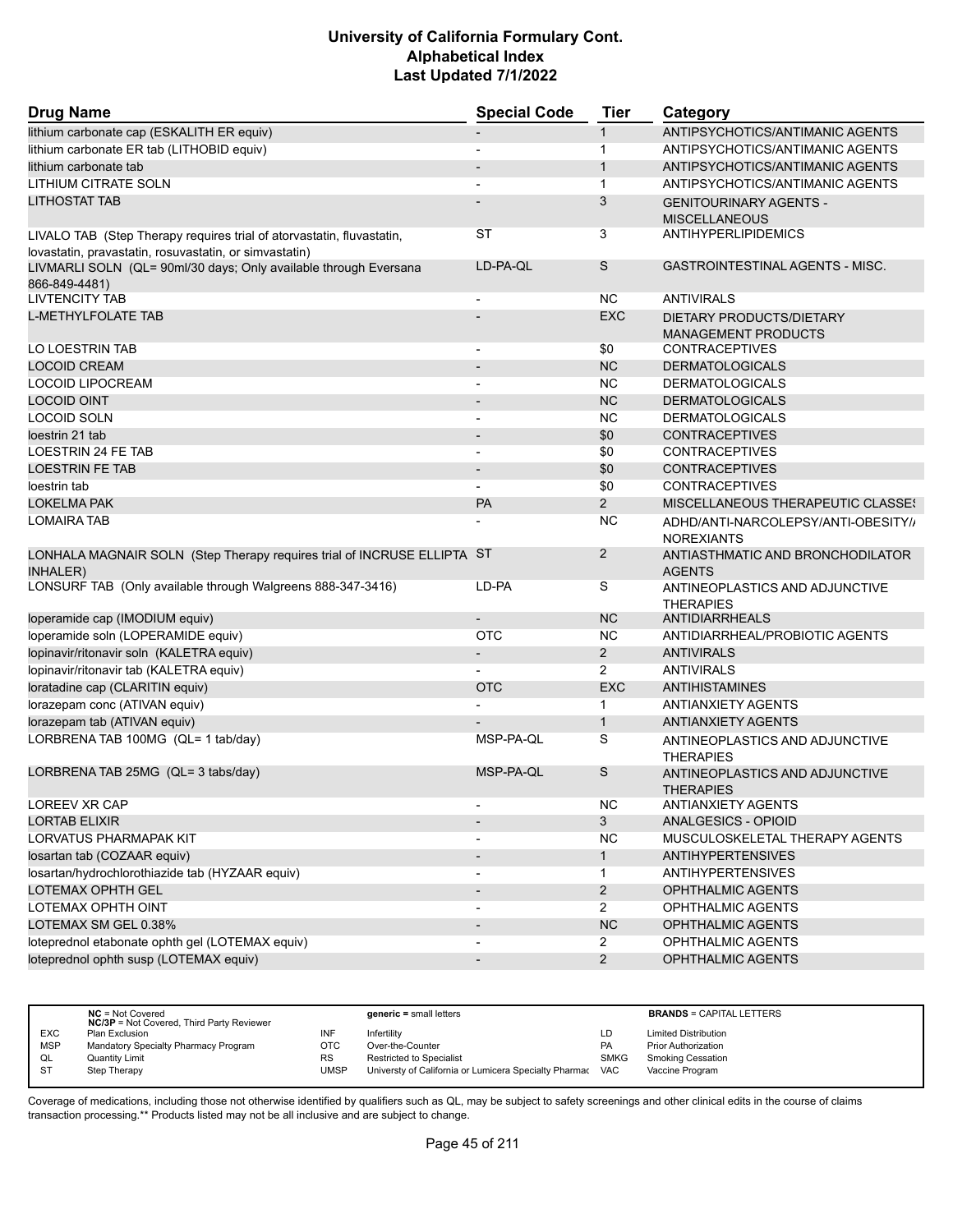| <b>Drug Name</b>                                                                                                                | <b>Special Code</b>      | Tier           | Category                                                 |
|---------------------------------------------------------------------------------------------------------------------------------|--------------------------|----------------|----------------------------------------------------------|
| lithium carbonate cap (ESKALITH ER equiv)                                                                                       |                          | $\mathbf{1}$   | ANTIPSYCHOTICS/ANTIMANIC AGENTS                          |
| lithium carbonate ER tab (LITHOBID equiv)                                                                                       |                          | $\mathbf{1}$   | ANTIPSYCHOTICS/ANTIMANIC AGENTS                          |
| lithium carbonate tab                                                                                                           |                          | $\mathbf{1}$   | ANTIPSYCHOTICS/ANTIMANIC AGENTS                          |
| LITHIUM CITRATE SOLN                                                                                                            |                          | $\mathbf{1}$   | ANTIPSYCHOTICS/ANTIMANIC AGENTS                          |
| <b>LITHOSTAT TAB</b>                                                                                                            |                          | 3              | <b>GENITOURINARY AGENTS -</b><br><b>MISCELLANEOUS</b>    |
| LIVALO TAB (Step Therapy requires trial of atorvastatin, fluvastatin,<br>lovastatin, pravastatin, rosuvastatin, or simvastatin) | ST                       | 3              | <b>ANTIHYPERLIPIDEMICS</b>                               |
| LIVMARLI SOLN (QL= 90ml/30 days; Only available through Eversana<br>866-849-4481)                                               | LD-PA-QL                 | S              | <b>GASTROINTESTINAL AGENTS - MISC.</b>                   |
| <b>LIVTENCITY TAB</b>                                                                                                           |                          | NC.            | <b>ANTIVIRALS</b>                                        |
| <b>L-METHYLFOLATE TAB</b>                                                                                                       |                          | <b>EXC</b>     | DIETARY PRODUCTS/DIETARY<br><b>MANAGEMENT PRODUCTS</b>   |
| LO LOESTRIN TAB                                                                                                                 |                          | \$0            | <b>CONTRACEPTIVES</b>                                    |
| <b>LOCOID CREAM</b>                                                                                                             | $\overline{\phantom{a}}$ | <b>NC</b>      | <b>DERMATOLOGICALS</b>                                   |
| LOCOID LIPOCREAM                                                                                                                | $\blacksquare$           | NC.            | <b>DERMATOLOGICALS</b>                                   |
| <b>LOCOID OINT</b>                                                                                                              |                          | <b>NC</b>      | <b>DERMATOLOGICALS</b>                                   |
| <b>LOCOID SOLN</b>                                                                                                              |                          | <b>NC</b>      | <b>DERMATOLOGICALS</b>                                   |
| loestrin 21 tab                                                                                                                 | $\overline{\phantom{a}}$ | \$0            | <b>CONTRACEPTIVES</b>                                    |
| LOESTRIN 24 FE TAB                                                                                                              | $\overline{\phantom{a}}$ | \$0            | <b>CONTRACEPTIVES</b>                                    |
| <b>LOESTRIN FE TAB</b>                                                                                                          | $\overline{\phantom{a}}$ | \$0            | <b>CONTRACEPTIVES</b>                                    |
| loestrin tab                                                                                                                    |                          | \$0            | <b>CONTRACEPTIVES</b>                                    |
| <b>LOKELMA PAK</b>                                                                                                              | <b>PA</b>                | $\overline{2}$ | MISCELLANEOUS THERAPEUTIC CLASSES                        |
| <b>LOMAIRA TAB</b>                                                                                                              |                          | <b>NC</b>      | ADHD/ANTI-NARCOLEPSY/ANTI-OBESITY//<br><b>NOREXIANTS</b> |
| LONHALA MAGNAIR SOLN (Step Therapy requires trial of INCRUSE ELLIPTA ST<br><b>INHALER)</b>                                      |                          | $\overline{2}$ | ANTIASTHMATIC AND BRONCHODILATOR<br><b>AGENTS</b>        |
| LONSURF TAB (Only available through Walgreens 888-347-3416)                                                                     | LD-PA                    | S              | ANTINEOPLASTICS AND ADJUNCTIVE<br><b>THERAPIES</b>       |
| loperamide cap (IMODIUM equiv)                                                                                                  |                          | <b>NC</b>      | ANTIDIARRHEALS                                           |
| loperamide soln (LOPERAMIDE equiv)                                                                                              | <b>OTC</b>               | <b>NC</b>      | ANTIDIARRHEAL/PROBIOTIC AGENTS                           |
| lopinavir/ritonavir soln (KALETRA equiv)                                                                                        | $\overline{\phantom{a}}$ | $\overline{2}$ | <b>ANTIVIRALS</b>                                        |
| lopinavir/ritonavir tab (KALETRA equiv)                                                                                         |                          | 2              | <b>ANTIVIRALS</b>                                        |
| loratadine cap (CLARITIN equiv)                                                                                                 | <b>OTC</b>               | <b>EXC</b>     | <b>ANTIHISTAMINES</b>                                    |
| lorazepam conc (ATIVAN equiv)                                                                                                   |                          | $\mathbf{1}$   | <b>ANTIANXIETY AGENTS</b>                                |
| lorazepam tab (ATIVAN equiv)                                                                                                    |                          | $\mathbf{1}$   | <b>ANTIANXIETY AGENTS</b>                                |
| LORBRENA TAB 100MG (QL= 1 tab/day)                                                                                              | MSP-PA-QL                | S              | ANTINEOPLASTICS AND ADJUNCTIVE<br><b>THERAPIES</b>       |
| LORBRENA TAB 25MG (QL= 3 tabs/day)                                                                                              | MSP-PA-QL                | S              | ANTINEOPLASTICS AND ADJUNCTIVE<br><b>THERAPIES</b>       |
| <b>LOREEV XR CAP</b>                                                                                                            |                          | NC             | <b>ANTIANXIETY AGENTS</b>                                |
| <b>LORTAB ELIXIR</b>                                                                                                            |                          | 3              | <b>ANALGESICS - OPIOID</b>                               |
| <b>LORVATUS PHARMAPAK KIT</b>                                                                                                   |                          | <b>NC</b>      | MUSCULOSKELETAL THERAPY AGENTS                           |
| Iosartan tab (COZAAR equiv)                                                                                                     | $\overline{\phantom{a}}$ | $\mathbf{1}$   | <b>ANTIHYPERTENSIVES</b>                                 |
| losartan/hydrochlorothiazide tab (HYZAAR equiv)                                                                                 |                          | $\mathbf 1$    | <b>ANTIHYPERTENSIVES</b>                                 |
| LOTEMAX OPHTH GEL                                                                                                               |                          | $\overline{a}$ | OPHTHALMIC AGENTS                                        |
| LOTEMAX OPHTH OINT                                                                                                              |                          | $\overline{2}$ | <b>OPHTHALMIC AGENTS</b>                                 |
| LOTEMAX SM GEL 0.38%                                                                                                            | $\overline{\phantom{a}}$ | <b>NC</b>      | OPHTHALMIC AGENTS                                        |
| loteprednol etabonate ophth gel (LOTEMAX equiv)                                                                                 |                          | $\mathbf{2}$   | OPHTHALMIC AGENTS                                        |
| loteprednol ophth susp (LOTEMAX equiv)                                                                                          |                          | $\overline{2}$ | OPHTHALMIC AGENTS                                        |
|                                                                                                                                 |                          |                |                                                          |

|            | $NC = Not Covered$<br><b>NC/3P</b> = Not Covered, Third Party Reviewer |           | $generic = small letters$                             |             | <b>BRANDS = CAPITAL LETTERS</b> |
|------------|------------------------------------------------------------------------|-----------|-------------------------------------------------------|-------------|---------------------------------|
| EXC        | Plan Exclusion                                                         | INF       | Infertility                                           | LD          | <b>Limited Distribution</b>     |
| <b>MSP</b> | Mandatory Specialty Pharmacy Program                                   | OTC       | Over-the-Counter                                      | <b>PA</b>   | Prior Authorization             |
| QL         | Quantity Limit                                                         | <b>RS</b> | <b>Restricted to Specialist</b>                       | <b>SMKG</b> | <b>Smoking Cessation</b>        |
|            | Step Therapy                                                           | UMSP      | Universty of California or Lumicera Specialty Pharmac | <b>VAC</b>  | Vaccine Program                 |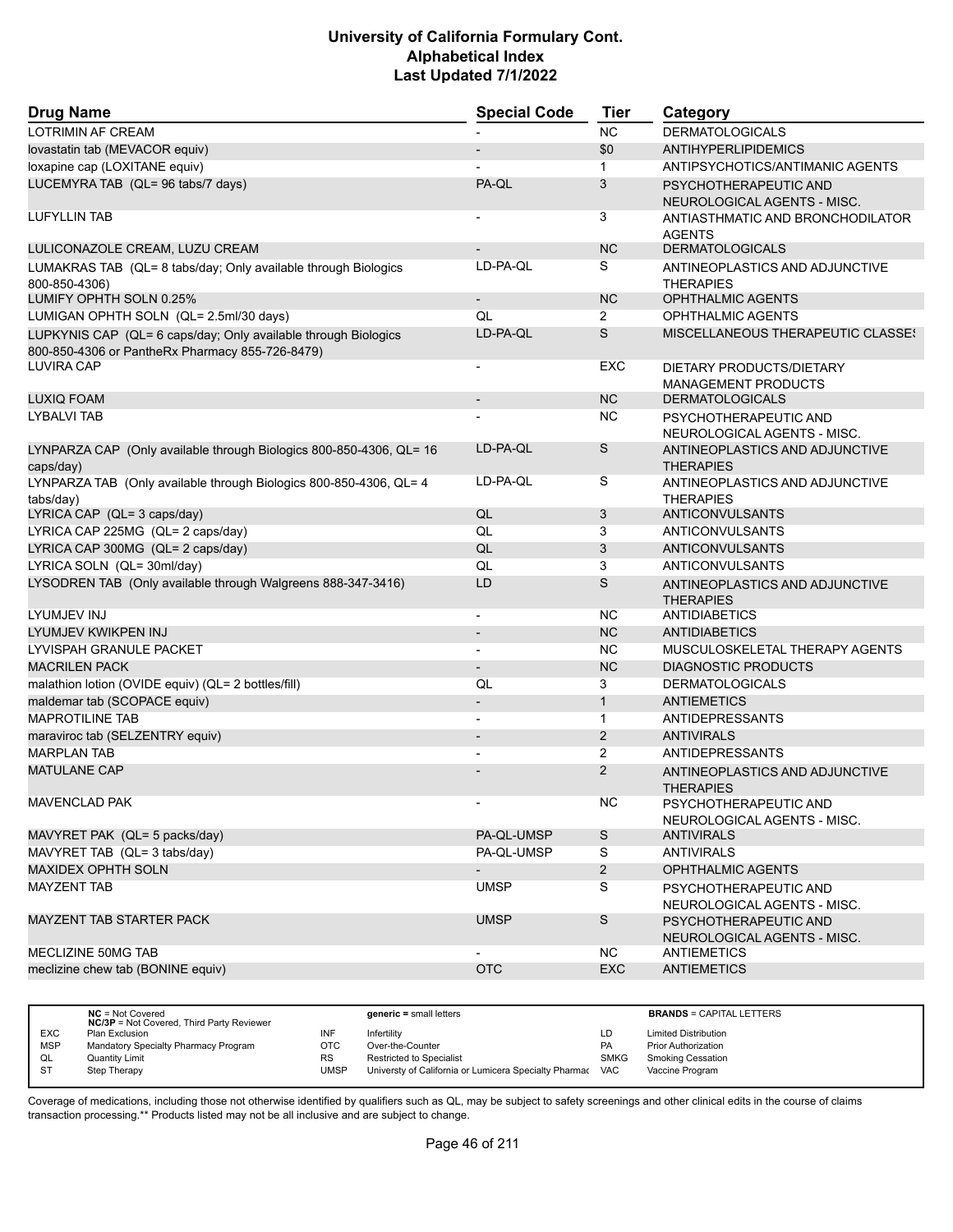| <b>Drug Name</b>                                                                                                  | <b>Special Code</b>      | <b>Tier</b>    | Category                                               |
|-------------------------------------------------------------------------------------------------------------------|--------------------------|----------------|--------------------------------------------------------|
| <b>LOTRIMIN AF CREAM</b>                                                                                          |                          | <b>NC</b>      | <b>DERMATOLOGICALS</b>                                 |
| lovastatin tab (MEVACOR equiv)                                                                                    |                          | \$0            | <b>ANTIHYPERLIPIDEMICS</b>                             |
| loxapine cap (LOXITANE equiv)                                                                                     |                          | $\mathbf{1}$   | ANTIPSYCHOTICS/ANTIMANIC AGENTS                        |
| LUCEMYRA TAB (QL= 96 tabs/7 days)                                                                                 | PA-QL                    | 3              | PSYCHOTHERAPEUTIC AND<br>NEUROLOGICAL AGENTS - MISC.   |
| <b>LUFYLLIN TAB</b>                                                                                               |                          | 3              | ANTIASTHMATIC AND BRONCHODILATOR<br><b>AGENTS</b>      |
| LULICONAZOLE CREAM, LUZU CREAM                                                                                    |                          | <b>NC</b>      | <b>DERMATOLOGICALS</b>                                 |
| LUMAKRAS TAB (QL= 8 tabs/day; Only available through Biologics<br>800-850-4306)                                   | LD-PA-QL                 | S              | ANTINEOPLASTICS AND ADJUNCTIVE<br><b>THERAPIES</b>     |
| LUMIFY OPHTH SOLN 0.25%                                                                                           |                          | <b>NC</b>      | <b>OPHTHALMIC AGENTS</b>                               |
| LUMIGAN OPHTH SOLN (QL= 2.5ml/30 days)                                                                            | QL                       | 2              | <b>OPHTHALMIC AGENTS</b>                               |
| LUPKYNIS CAP (QL= 6 caps/day; Only available through Biologics<br>800-850-4306 or PantheRx Pharmacy 855-726-8479) | LD-PA-QL                 | S              | <b>MISCELLANEOUS THERAPEUTIC CLASSES</b>               |
| <b>LUVIRA CAP</b>                                                                                                 | $\overline{\phantom{a}}$ | EXC            | DIETARY PRODUCTS/DIETARY<br><b>MANAGEMENT PRODUCTS</b> |
| <b>LUXIQ FOAM</b>                                                                                                 | $\overline{\phantom{a}}$ | <b>NC</b>      | <b>DERMATOLOGICALS</b>                                 |
| <b>LYBALVI TAB</b>                                                                                                |                          | <b>NC</b>      | PSYCHOTHERAPEUTIC AND<br>NEUROLOGICAL AGENTS - MISC.   |
| LYNPARZA CAP (Only available through Biologics 800-850-4306, QL= 16<br>caps/day)                                  | LD-PA-QL                 | S              | ANTINEOPLASTICS AND ADJUNCTIVE<br><b>THERAPIES</b>     |
| LYNPARZA TAB (Only available through Biologics 800-850-4306, QL= 4<br>tabs/day)                                   | LD-PA-QL                 | S              | ANTINEOPLASTICS AND ADJUNCTIVE<br><b>THERAPIES</b>     |
| LYRICA CAP (QL= 3 caps/day)                                                                                       | QL                       | 3              | ANTICONVULSANTS                                        |
| LYRICA CAP 225MG (QL= 2 caps/day)                                                                                 | QL                       | 3              | ANTICONVULSANTS                                        |
| LYRICA CAP 300MG (QL= 2 caps/day)                                                                                 | QL                       | 3              | ANTICONVULSANTS                                        |
| LYRICA SOLN (QL= 30ml/day)                                                                                        | QL                       | 3              | ANTICONVULSANTS                                        |
| LYSODREN TAB (Only available through Walgreens 888-347-3416)                                                      | LD                       | $\mathsf S$    | ANTINEOPLASTICS AND ADJUNCTIVE<br><b>THERAPIES</b>     |
| LYUMJEV INJ                                                                                                       | $\overline{\phantom{a}}$ | NC.            | ANTIDIABETICS                                          |
| LYUMJEV KWIKPEN INJ                                                                                               |                          | <b>NC</b>      | <b>ANTIDIABETICS</b>                                   |
| LYVISPAH GRANULE PACKET                                                                                           | $\blacksquare$           | <b>NC</b>      | MUSCULOSKELETAL THERAPY AGENTS                         |
| <b>MACRILEN PACK</b>                                                                                              | $\overline{\phantom{a}}$ | <b>NC</b>      | <b>DIAGNOSTIC PRODUCTS</b>                             |
| malathion lotion (OVIDE equiv) (QL= 2 bottles/fill)                                                               | QL                       | 3              | <b>DERMATOLOGICALS</b>                                 |
| maldemar tab (SCOPACE equiv)                                                                                      | $\overline{\phantom{a}}$ | $\mathbf{1}$   | <b>ANTIEMETICS</b>                                     |
| <b>MAPROTILINE TAB</b>                                                                                            | $\blacksquare$           | $\mathbf{1}$   | <b>ANTIDEPRESSANTS</b>                                 |
| maraviroc tab (SELZENTRY equiv)                                                                                   |                          | 2              | <b>ANTIVIRALS</b>                                      |
| <b>MARPLAN TAB</b>                                                                                                |                          | $\overline{2}$ | <b>ANTIDEPRESSANTS</b>                                 |
| <b>MATULANE CAP</b>                                                                                               |                          | $\overline{2}$ | ANTINEOPLASTICS AND ADJUNCTIVE<br><b>THERAPIES</b>     |
| <b>MAVENCLAD PAK</b>                                                                                              | $\blacksquare$           | NC.            | PSYCHOTHERAPEUTIC AND<br>NEUROLOGICAL AGENTS - MISC.   |
| MAVYRET PAK (QL= 5 packs/day)                                                                                     | PA-QL-UMSP               | $\mathsf S$    | <b>ANTIVIRALS</b>                                      |
| MAVYRET TAB (QL= 3 tabs/day)                                                                                      | PA-QL-UMSP               | S              | <b>ANTIVIRALS</b>                                      |
| <b>MAXIDEX OPHTH SOLN</b>                                                                                         | $\overline{\phantom{a}}$ | $\overline{2}$ | <b>OPHTHALMIC AGENTS</b>                               |
| <b>MAYZENT TAB</b>                                                                                                | <b>UMSP</b>              | S              | PSYCHOTHERAPEUTIC AND<br>NEUROLOGICAL AGENTS - MISC.   |
| MAYZENT TAB STARTER PACK                                                                                          | <b>UMSP</b>              | S              | PSYCHOTHERAPEUTIC AND<br>NEUROLOGICAL AGENTS - MISC.   |
| MECLIZINE 50MG TAB                                                                                                |                          | NC.            | <b>ANTIEMETICS</b>                                     |
| meclizine chew tab (BONINE equiv)                                                                                 | <b>OTC</b>               | EXC            | <b>ANTIEMETICS</b>                                     |
|                                                                                                                   |                          |                |                                                        |

|            | $NC = Not Covered$<br><b>NC/3P</b> = Not Covered, Third Party Reviewer |             | $generic = small letters$                             |             | <b>BRANDS = CAPITAL LETTERS</b> |
|------------|------------------------------------------------------------------------|-------------|-------------------------------------------------------|-------------|---------------------------------|
| <b>EXC</b> | Plan Exclusion                                                         | INF         | Infertility                                           | LD          | <b>Limited Distribution</b>     |
| <b>MSP</b> | Mandatory Specialty Pharmacy Program                                   | отс         | Over-the-Counter                                      | <b>PA</b>   | <b>Prior Authorization</b>      |
| QL         | Quantity Limit                                                         | <b>RS</b>   | Restricted to Specialist                              | <b>SMKG</b> | <b>Smoking Cessation</b>        |
| <b>ST</b>  | Step Therapy                                                           | <b>UMSP</b> | Universty of California or Lumicera Specialty Pharmac | <b>VAC</b>  | Vaccine Program                 |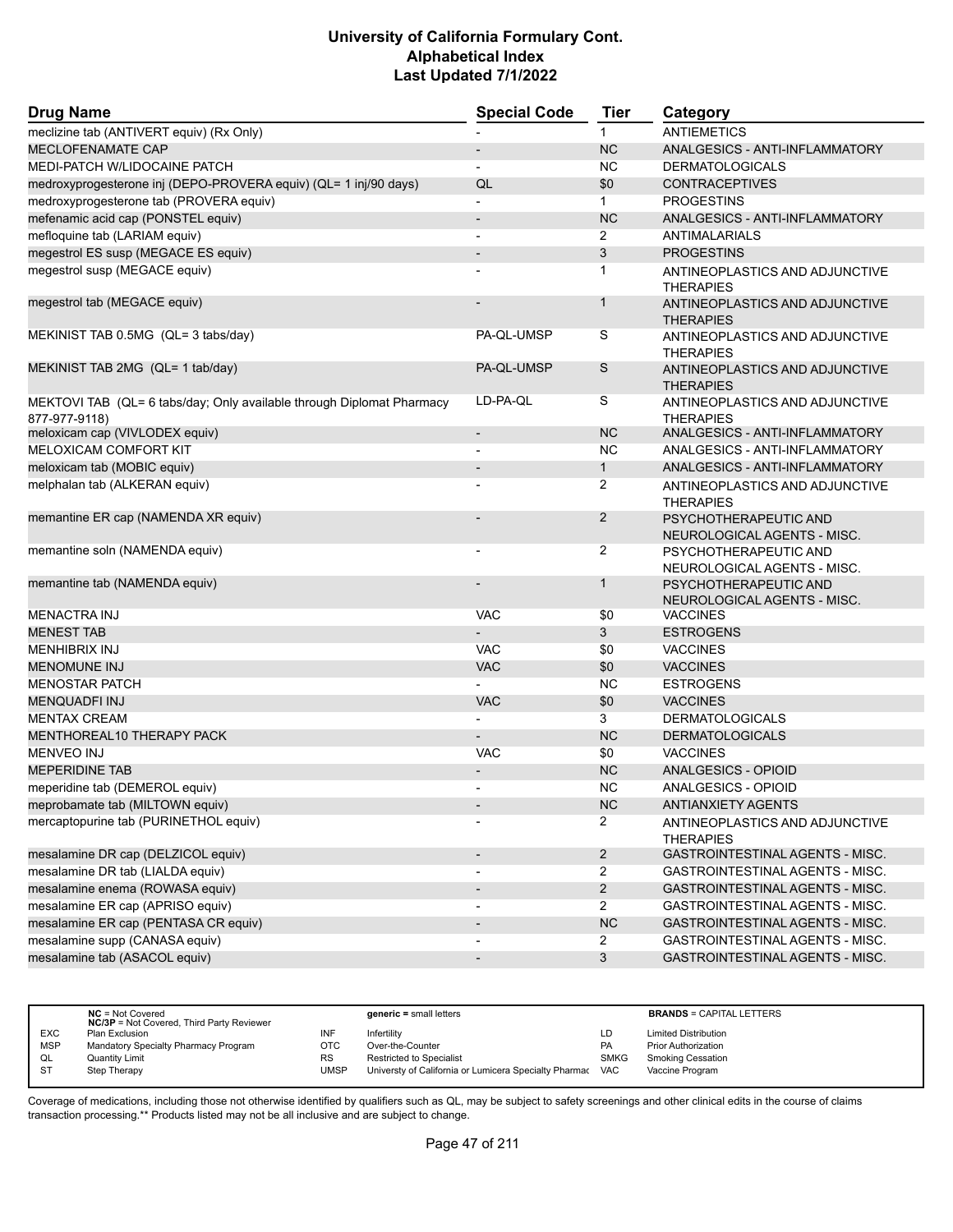| <b>Drug Name</b>                                                                       | <b>Special Code</b>          | <b>Tier</b>    | Category                                             |
|----------------------------------------------------------------------------------------|------------------------------|----------------|------------------------------------------------------|
| meclizine tab (ANTIVERT equiv) (Rx Only)                                               |                              | $\mathbf{1}$   | <b>ANTIEMETICS</b>                                   |
| <b>MECLOFENAMATE CAP</b>                                                               | $\overline{\phantom{a}}$     | <b>NC</b>      | ANALGESICS - ANTI-INFLAMMATORY                       |
| MEDI-PATCH W/LIDOCAINE PATCH                                                           | $\blacksquare$               | <b>NC</b>      | <b>DERMATOLOGICALS</b>                               |
| medroxyprogesterone inj (DEPO-PROVERA equiv) (QL= 1 inj/90 days)                       | QL                           | \$0            | <b>CONTRACEPTIVES</b>                                |
| medroxyprogesterone tab (PROVERA equiv)                                                | $\blacksquare$               | $\mathbf{1}$   | <b>PROGESTINS</b>                                    |
| mefenamic acid cap (PONSTEL equiv)                                                     | $\overline{\phantom{a}}$     | <b>NC</b>      | ANALGESICS - ANTI-INFLAMMATORY                       |
| mefloquine tab (LARIAM equiv)                                                          | $\blacksquare$               | $\overline{2}$ | ANTIMALARIALS                                        |
| megestrol ES susp (MEGACE ES equiv)                                                    |                              | 3              | <b>PROGESTINS</b>                                    |
| megestrol susp (MEGACE equiv)                                                          |                              | 1              | ANTINEOPLASTICS AND ADJUNCTIVE<br><b>THERAPIES</b>   |
| megestrol tab (MEGACE equiv)                                                           |                              | $\mathbf{1}$   | ANTINEOPLASTICS AND ADJUNCTIVE<br><b>THERAPIES</b>   |
| MEKINIST TAB 0.5MG (QL= 3 tabs/day)                                                    | PA-QL-UMSP                   | S              | ANTINEOPLASTICS AND ADJUNCTIVE<br><b>THERAPIES</b>   |
| MEKINIST TAB 2MG (QL= 1 tab/day)                                                       | PA-QL-UMSP                   | S              | ANTINEOPLASTICS AND ADJUNCTIVE<br><b>THERAPIES</b>   |
| MEKTOVI TAB (QL= 6 tabs/day; Only available through Diplomat Pharmacy<br>877-977-9118) | LD-PA-QL                     | S              | ANTINEOPLASTICS AND ADJUNCTIVE<br><b>THERAPIES</b>   |
| meloxicam cap (VIVLODEX equiv)                                                         | $\overline{\phantom{a}}$     | <b>NC</b>      | ANALGESICS - ANTI-INFLAMMATORY                       |
| <b>MELOXICAM COMFORT KIT</b>                                                           |                              | <b>NC</b>      | ANALGESICS - ANTI-INFLAMMATORY                       |
| meloxicam tab (MOBIC equiv)                                                            |                              | $\mathbf{1}$   | ANALGESICS - ANTI-INFLAMMATORY                       |
| melphalan tab (ALKERAN equiv)                                                          |                              | $\overline{2}$ | ANTINEOPLASTICS AND ADJUNCTIVE<br><b>THERAPIES</b>   |
| memantine ER cap (NAMENDA XR equiv)                                                    |                              | $\overline{2}$ | PSYCHOTHERAPEUTIC AND<br>NEUROLOGICAL AGENTS - MISC. |
| memantine soln (NAMENDA equiv)                                                         | $\overline{\phantom{a}}$     | 2              | PSYCHOTHERAPEUTIC AND<br>NEUROLOGICAL AGENTS - MISC. |
| memantine tab (NAMENDA equiv)                                                          |                              | $\mathbf{1}$   | PSYCHOTHERAPEUTIC AND<br>NEUROLOGICAL AGENTS - MISC. |
| <b>MENACTRA INJ</b>                                                                    | <b>VAC</b>                   | \$0            | <b>VACCINES</b>                                      |
| <b>MENEST TAB</b>                                                                      |                              | 3              | <b>ESTROGENS</b>                                     |
| <b>MENHIBRIX INJ</b>                                                                   | <b>VAC</b>                   | \$0            | <b>VACCINES</b>                                      |
| <b>MENOMUNE INJ</b>                                                                    | <b>VAC</b>                   | \$0            | <b>VACCINES</b>                                      |
| <b>MENOSTAR PATCH</b>                                                                  |                              | <b>NC</b>      | <b>ESTROGENS</b>                                     |
| <b>MENQUADFI INJ</b>                                                                   | <b>VAC</b>                   | \$0            | <b>VACCINES</b>                                      |
| <b>MENTAX CREAM</b>                                                                    | $\overline{a}$               | 3              | <b>DERMATOLOGICALS</b>                               |
| MENTHOREAL10 THERAPY PACK                                                              |                              | <b>NC</b>      | <b>DERMATOLOGICALS</b>                               |
| <b>MENVEO INJ</b>                                                                      | <b>VAC</b>                   | \$0            | <b>VACCINES</b>                                      |
| <b>MEPERIDINE TAB</b>                                                                  |                              | <b>NC</b>      | ANALGESICS - OPIOID                                  |
| meperidine tab (DEMEROL equiv)                                                         |                              | NC.            | ANALGESICS - OPIOID                                  |
| meprobamate tab (MILTOWN equiv)                                                        |                              | NC             | <b>ANTIANXIETY AGENTS</b>                            |
| mercaptopurine tab (PURINETHOL equiv)                                                  |                              | $\overline{2}$ | ANTINEOPLASTICS AND ADJUNCTIVE<br><b>THERAPIES</b>   |
| mesalamine DR cap (DELZICOL equiv)                                                     | $\qquad \qquad \blacksquare$ | $\overline{2}$ | GASTROINTESTINAL AGENTS - MISC.                      |
| mesalamine DR tab (LIALDA equiv)                                                       |                              | $\overline{2}$ | GASTROINTESTINAL AGENTS - MISC.                      |
| mesalamine enema (ROWASA equiv)                                                        | $\qquad \qquad \blacksquare$ | $\overline{2}$ | GASTROINTESTINAL AGENTS - MISC.                      |
| mesalamine ER cap (APRISO equiv)                                                       | $\overline{\phantom{a}}$     | $\overline{2}$ | GASTROINTESTINAL AGENTS - MISC.                      |
| mesalamine ER cap (PENTASA CR equiv)                                                   |                              | NC             | GASTROINTESTINAL AGENTS - MISC.                      |
| mesalamine supp (CANASA equiv)                                                         | $\overline{\phantom{a}}$     | $\overline{2}$ | GASTROINTESTINAL AGENTS - MISC.                      |
| mesalamine tab (ASACOL equiv)                                                          | $\overline{\phantom{a}}$     | $\mathbf{3}$   | GASTROINTESTINAL AGENTS - MISC.                      |
|                                                                                        |                              |                |                                                      |

|            | $NC = Not Covered$<br><b>NC/3P</b> = Not Covered, Third Party Reviewer |            | $generic = small letters$                             |             | <b>BRANDS = CAPITAL LETTERS</b> |
|------------|------------------------------------------------------------------------|------------|-------------------------------------------------------|-------------|---------------------------------|
| <b>EXC</b> | Plan Exclusion                                                         | INF        | Infertility                                           | LD          | <b>Limited Distribution</b>     |
| <b>MSP</b> | Mandatory Specialty Pharmacy Program                                   | <b>OTC</b> | Over-the-Counter                                      | <b>PA</b>   | <b>Prior Authorization</b>      |
| QL         | <b>Quantity Limit</b>                                                  | <b>RS</b>  | <b>Restricted to Specialist</b>                       | <b>SMKG</b> | <b>Smoking Cessation</b>        |
|            | Step Therapy                                                           | UMSP       | Universty of California or Lumicera Specialty Pharmac | <b>VAC</b>  | Vaccine Program                 |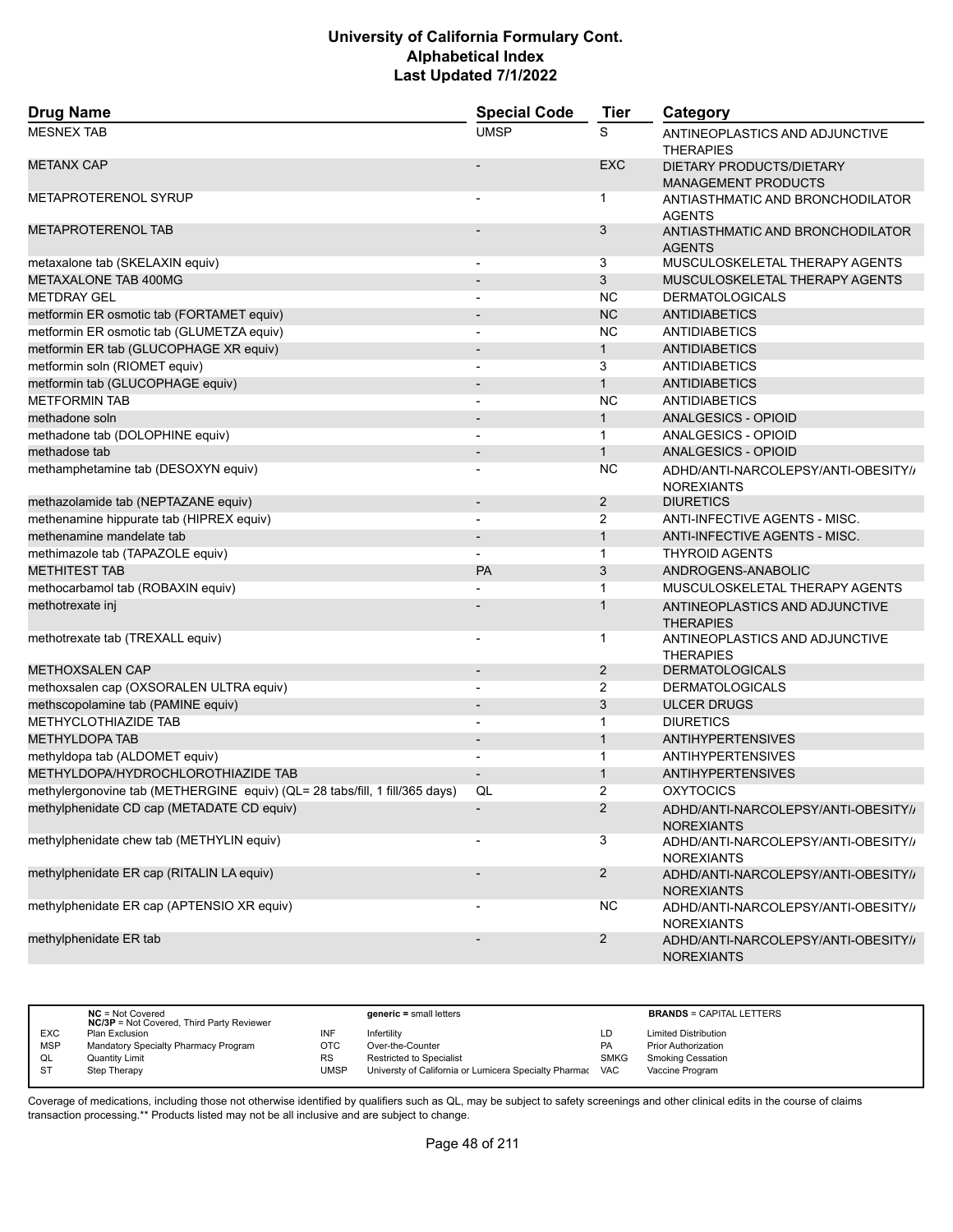| <b>Drug Name</b>                                                            | <b>Special Code</b>          | <b>Tier</b>    | Category                                                 |  |
|-----------------------------------------------------------------------------|------------------------------|----------------|----------------------------------------------------------|--|
| <b>MESNEX TAB</b>                                                           | <b>UMSP</b>                  | S              | ANTINEOPLASTICS AND ADJUNCTIVE<br><b>THERAPIES</b>       |  |
| <b>METANX CAP</b>                                                           |                              | <b>EXC</b>     | DIETARY PRODUCTS/DIETARY<br><b>MANAGEMENT PRODUCTS</b>   |  |
| <b>METAPROTERENOL SYRUP</b>                                                 |                              | $\mathbf{1}$   | ANTIASTHMATIC AND BRONCHODILATOR<br><b>AGENTS</b>        |  |
| <b>METAPROTERENOL TAB</b>                                                   |                              | 3              | ANTIASTHMATIC AND BRONCHODILATOR<br><b>AGENTS</b>        |  |
| metaxalone tab (SKELAXIN equiv)                                             |                              | 3              | MUSCULOSKELETAL THERAPY AGENTS                           |  |
| METAXALONE TAB 400MG                                                        |                              | 3              | MUSCULOSKELETAL THERAPY AGENTS                           |  |
| <b>METDRAY GEL</b>                                                          |                              | <b>NC</b>      | <b>DERMATOLOGICALS</b>                                   |  |
| metformin ER osmotic tab (FORTAMET equiv)                                   | $\overline{\phantom{a}}$     | <b>NC</b>      | <b>ANTIDIABETICS</b>                                     |  |
| metformin ER osmotic tab (GLUMETZA equiv)                                   |                              | <b>NC</b>      | ANTIDIABETICS                                            |  |
| metformin ER tab (GLUCOPHAGE XR equiv)                                      |                              | $\mathbf{1}$   | <b>ANTIDIABETICS</b>                                     |  |
| metformin soln (RIOMET equiv)                                               | ٠                            | 3              | <b>ANTIDIABETICS</b>                                     |  |
| metformin tab (GLUCOPHAGE equiv)                                            | $\qquad \qquad \blacksquare$ | $\mathbf{1}$   | <b>ANTIDIABETICS</b>                                     |  |
| <b>METFORMIN TAB</b>                                                        |                              | <b>NC</b>      | <b>ANTIDIABETICS</b>                                     |  |
| methadone soln                                                              | $\overline{\phantom{a}}$     | $\mathbf{1}$   | ANALGESICS - OPIOID                                      |  |
| methadone tab (DOLOPHINE equiv)                                             |                              | $\mathbf{1}$   | ANALGESICS - OPIOID                                      |  |
| methadose tab                                                               |                              | $\mathbf{1}$   | <b>ANALGESICS - OPIOID</b>                               |  |
| methamphetamine tab (DESOXYN equiv)                                         |                              | <b>NC</b>      | ADHD/ANTI-NARCOLEPSY/ANTI-OBESITY//<br><b>NOREXIANTS</b> |  |
| methazolamide tab (NEPTAZANE equiv)                                         | $\overline{\phantom{a}}$     | $\overline{2}$ | <b>DIURETICS</b>                                         |  |
| methenamine hippurate tab (HIPREX equiv)                                    |                              | $\overline{2}$ | ANTI-INFECTIVE AGENTS - MISC.                            |  |
| methenamine mandelate tab                                                   | $\overline{\phantom{0}}$     | $\mathbf{1}$   | ANTI-INFECTIVE AGENTS - MISC.                            |  |
| methimazole tab (TAPAZOLE equiv)                                            |                              | $\mathbf{1}$   | <b>THYROID AGENTS</b>                                    |  |
| <b>METHITEST TAB</b>                                                        | PA                           | 3              | ANDROGENS-ANABOLIC                                       |  |
| methocarbamol tab (ROBAXIN equiv)                                           |                              | $\mathbf 1$    | MUSCULOSKELETAL THERAPY AGENTS                           |  |
| methotrexate inj                                                            |                              | $\mathbf{1}$   | ANTINEOPLASTICS AND ADJUNCTIVE<br><b>THERAPIES</b>       |  |
| methotrexate tab (TREXALL equiv)                                            |                              | 1              | ANTINEOPLASTICS AND ADJUNCTIVE<br><b>THERAPIES</b>       |  |
| <b>METHOXSALEN CAP</b>                                                      | $\qquad \qquad \blacksquare$ | $\overline{2}$ | <b>DERMATOLOGICALS</b>                                   |  |
| methoxsalen cap (OXSORALEN ULTRA equiv)                                     | $\overline{\phantom{a}}$     | 2              | <b>DERMATOLOGICALS</b>                                   |  |
| methscopolamine tab (PAMINE equiv)                                          | $\qquad \qquad \blacksquare$ | 3              | <b>ULCER DRUGS</b>                                       |  |
| METHYCLOTHIAZIDE TAB                                                        | $\overline{a}$               | $\mathbf{1}$   | <b>DIURETICS</b>                                         |  |
| <b>METHYLDOPA TAB</b>                                                       | $\qquad \qquad \blacksquare$ | $\mathbf{1}$   | <b>ANTIHYPERTENSIVES</b>                                 |  |
| methyldopa tab (ALDOMET equiv)                                              | $\overline{\phantom{a}}$     | $\mathbf{1}$   | <b>ANTIHYPERTENSIVES</b>                                 |  |
| METHYLDOPA/HYDROCHLOROTHIAZIDE TAB                                          | $\overline{\phantom{m}}$     | $\mathbf{1}$   | <b>ANTIHYPERTENSIVES</b>                                 |  |
| methylergonovine tab (METHERGINE equiv) (QL= 28 tabs/fill, 1 fill/365 days) | QL                           | 2              | <b>OXYTOCICS</b>                                         |  |
| methylphenidate CD cap (METADATE CD equiv)                                  |                              | $\overline{2}$ | ADHD/ANTI-NARCOLEPSY/ANTI-OBESITY//<br><b>NOREXIANTS</b> |  |
| methylphenidate chew tab (METHYLIN equiv)                                   |                              | 3              | ADHD/ANTI-NARCOLEPSY/ANTI-OBESITY//<br><b>NOREXIANTS</b> |  |
| methylphenidate ER cap (RITALIN LA equiv)                                   |                              | $\overline{2}$ | ADHD/ANTI-NARCOLEPSY/ANTI-OBESITY//<br><b>NOREXIANTS</b> |  |
| methylphenidate ER cap (APTENSIO XR equiv)                                  |                              | <b>NC</b>      | ADHD/ANTI-NARCOLEPSY/ANTI-OBESITY//<br><b>NOREXIANTS</b> |  |
| methylphenidate ER tab                                                      | $\overline{\phantom{0}}$     | $\overline{c}$ | ADHD/ANTI-NARCOLEPSY/ANTI-OBESITY//<br><b>NOREXIANTS</b> |  |

|            | $NC = Not Covered$<br><b>NC/3P</b> = Not Covered, Third Party Reviewer |           | $generic = small letters$                             |             | <b>BRANDS = CAPITAL LETTERS</b> |
|------------|------------------------------------------------------------------------|-----------|-------------------------------------------------------|-------------|---------------------------------|
| <b>EXC</b> | Plan Exclusion                                                         | INF       | Infertility                                           | LD          | <b>Limited Distribution</b>     |
| <b>MSP</b> | Mandatory Specialty Pharmacy Program                                   | отс       | Over-the-Counter                                      | PA          | <b>Prior Authorization</b>      |
| QL         | Quantity Limit                                                         | <b>RS</b> | <b>Restricted to Specialist</b>                       | <b>SMKG</b> | <b>Smoking Cessation</b>        |
| <b>ST</b>  | Step Therapy                                                           | UMSP      | Universty of California or Lumicera Specialty Pharmac | <b>VAC</b>  | Vaccine Program                 |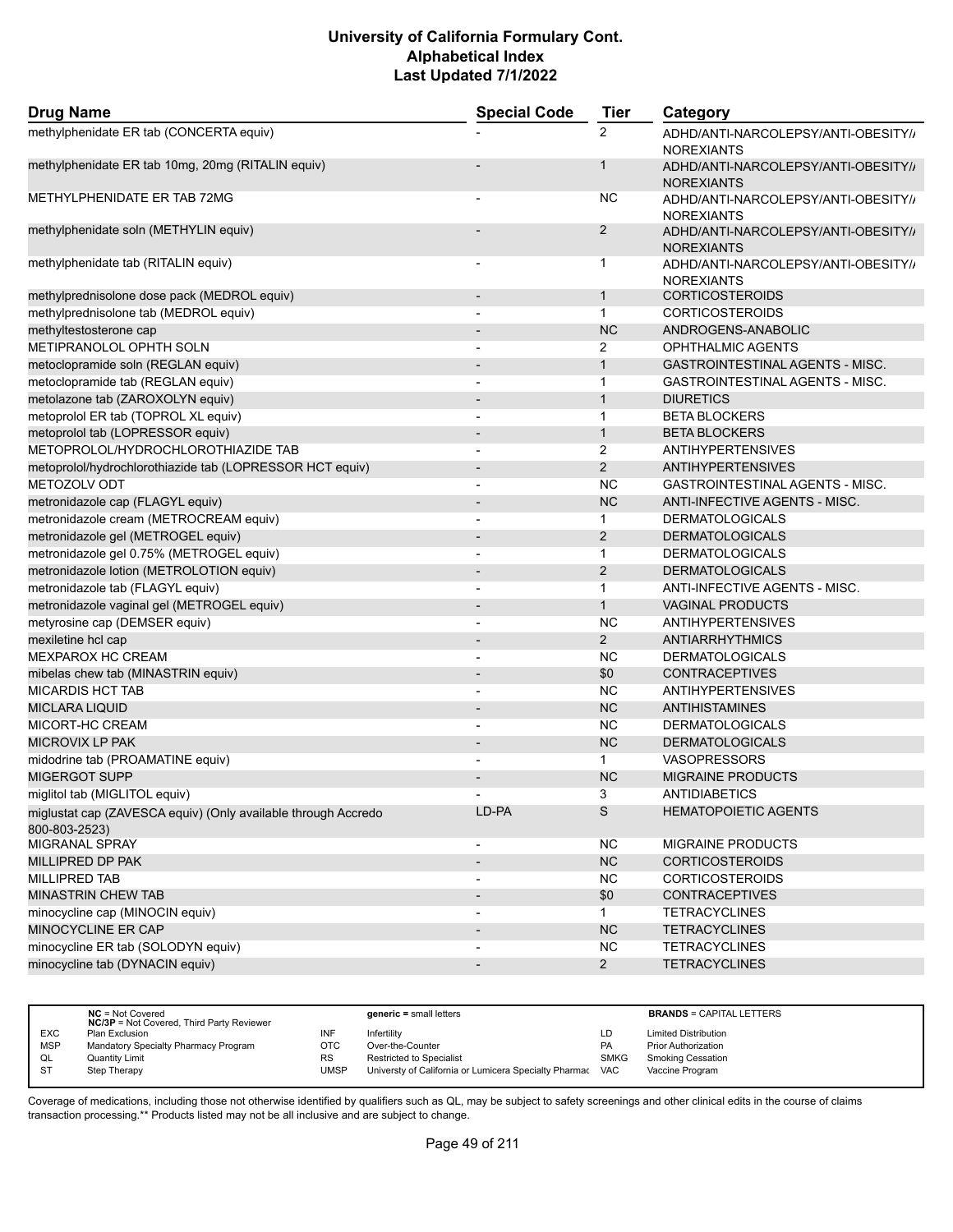| <b>Drug Name</b>                                                               | <b>Special Code</b>      | <b>Tier</b>    | Category                                                 |
|--------------------------------------------------------------------------------|--------------------------|----------------|----------------------------------------------------------|
| methylphenidate ER tab (CONCERTA equiv)                                        |                          | 2              | ADHD/ANTI-NARCOLEPSY/ANTI-OBESITY//<br><b>NOREXIANTS</b> |
| methylphenidate ER tab 10mg, 20mg (RITALIN equiv)                              |                          | 1              | ADHD/ANTI-NARCOLEPSY/ANTI-OBESITY//<br><b>NOREXIANTS</b> |
| METHYLPHENIDATE ER TAB 72MG                                                    |                          | NC.            | ADHD/ANTI-NARCOLEPSY/ANTI-OBESITY//<br><b>NOREXIANTS</b> |
| methylphenidate soln (METHYLIN equiv)                                          |                          | $\overline{2}$ | ADHD/ANTI-NARCOLEPSY/ANTI-OBESITY//<br><b>NOREXIANTS</b> |
| methylphenidate tab (RITALIN equiv)                                            |                          | 1              | ADHD/ANTI-NARCOLEPSY/ANTI-OBESITY//<br><b>NOREXIANTS</b> |
| methylprednisolone dose pack (MEDROL equiv)                                    | $\overline{\phantom{a}}$ | $\mathbf{1}$   | <b>CORTICOSTEROIDS</b>                                   |
| methylprednisolone tab (MEDROL equiv)                                          |                          | $\mathbf{1}$   | <b>CORTICOSTEROIDS</b>                                   |
| methyltestosterone cap                                                         |                          | <b>NC</b>      | ANDROGENS-ANABOLIC                                       |
| METIPRANOLOL OPHTH SOLN                                                        | $\blacksquare$           | 2              | OPHTHALMIC AGENTS                                        |
| metoclopramide soln (REGLAN equiv)                                             |                          | $\mathbf{1}$   | <b>GASTROINTESTINAL AGENTS - MISC.</b>                   |
| metoclopramide tab (REGLAN equiv)                                              |                          | $\mathbf{1}$   | GASTROINTESTINAL AGENTS - MISC.                          |
| metolazone tab (ZAROXOLYN equiv)                                               | $\overline{\phantom{a}}$ | $\mathbf{1}$   | <b>DIURETICS</b>                                         |
| metoprolol ER tab (TOPROL XL equiv)                                            |                          | $\mathbf{1}$   | <b>BETA BLOCKERS</b>                                     |
| metoprolol tab (LOPRESSOR equiv)                                               |                          | $\mathbf{1}$   | <b>BETA BLOCKERS</b>                                     |
| METOPROLOL/HYDROCHLOROTHIAZIDE TAB                                             |                          | 2              | <b>ANTIHYPERTENSIVES</b>                                 |
| metoprolol/hydrochlorothiazide tab (LOPRESSOR HCT equiv)                       |                          | $\overline{2}$ | <b>ANTIHYPERTENSIVES</b>                                 |
| METOZOLV ODT                                                                   | $\overline{\phantom{a}}$ | <b>NC</b>      | GASTROINTESTINAL AGENTS - MISC.                          |
| metronidazole cap (FLAGYL equiv)                                               | $\overline{\phantom{a}}$ | <b>NC</b>      | ANTI-INFECTIVE AGENTS - MISC.                            |
| metronidazole cream (METROCREAM equiv)                                         | $\blacksquare$           | 1              | <b>DERMATOLOGICALS</b>                                   |
| metronidazole gel (METROGEL equiv)                                             |                          | 2              | <b>DERMATOLOGICALS</b>                                   |
| metronidazole gel 0.75% (METROGEL equiv)                                       |                          | $\mathbf{1}$   | <b>DERMATOLOGICALS</b>                                   |
| metronidazole lotion (METROLOTION equiv)                                       | $\overline{\phantom{a}}$ | 2              | <b>DERMATOLOGICALS</b>                                   |
| metronidazole tab (FLAGYL equiv)                                               | $\overline{\phantom{a}}$ | $\mathbf{1}$   | ANTI-INFECTIVE AGENTS - MISC.                            |
| metronidazole vaginal gel (METROGEL equiv)                                     |                          | $\mathbf{1}$   | <b>VAGINAL PRODUCTS</b>                                  |
| metyrosine cap (DEMSER equiv)                                                  | $\blacksquare$           | <b>NC</b>      | <b>ANTIHYPERTENSIVES</b>                                 |
| mexiletine hcl cap                                                             | $\overline{\phantom{a}}$ | $\overline{2}$ | ANTIARRHYTHMICS                                          |
| <b>MEXPAROX HC CREAM</b>                                                       |                          | NC.            | <b>DERMATOLOGICALS</b>                                   |
| mibelas chew tab (MINASTRIN equiv)                                             | $\blacksquare$           | \$0            | <b>CONTRACEPTIVES</b>                                    |
| <b>MICARDIS HCT TAB</b>                                                        |                          | <b>NC</b>      | <b>ANTIHYPERTENSIVES</b>                                 |
| <b>MICLARA LIQUID</b>                                                          |                          | <b>NC</b>      | <b>ANTIHISTAMINES</b>                                    |
| MICORT-HC CREAM                                                                | $\blacksquare$           | <b>NC</b>      | <b>DERMATOLOGICALS</b>                                   |
| MICROVIX LP PAK                                                                |                          | <b>NC</b>      | <b>DERMATOLOGICALS</b>                                   |
| midodrine tab (PROAMATINE equiv)                                               |                          | $\mathbf{1}$   | <b>VASOPRESSORS</b>                                      |
| <b>MIGERGOT SUPP</b>                                                           |                          | <b>NC</b>      | <b>MIGRAINE PRODUCTS</b>                                 |
|                                                                                |                          | 3              |                                                          |
| miglitol tab (MIGLITOL equiv)                                                  |                          |                | ANTIDIABETICS                                            |
| miglustat cap (ZAVESCA equiv) (Only available through Accredo<br>800-803-2523) | LD-PA                    | S              | <b>HEMATOPOIETIC AGENTS</b>                              |
| MIGRANAL SPRAY                                                                 | $\overline{\phantom{a}}$ | <b>NC</b>      | MIGRAINE PRODUCTS                                        |
| MILLIPRED DP PAK                                                               | $\overline{\phantom{a}}$ | NC             | <b>CORTICOSTEROIDS</b>                                   |
| MILLIPRED TAB                                                                  | $\overline{\phantom{a}}$ | <b>NC</b>      | <b>CORTICOSTEROIDS</b>                                   |
| MINASTRIN CHEW TAB                                                             | $\overline{\phantom{a}}$ | \$0            | <b>CONTRACEPTIVES</b>                                    |
| minocycline cap (MINOCIN equiv)                                                |                          | $\mathbf 1$    | <b>TETRACYCLINES</b>                                     |
| MINOCYCLINE ER CAP                                                             | $\overline{\phantom{a}}$ | NC             | <b>TETRACYCLINES</b>                                     |
| minocycline ER tab (SOLODYN equiv)                                             |                          | <b>NC</b>      | <b>TETRACYCLINES</b>                                     |
| minocycline tab (DYNACIN equiv)                                                |                          | $2^{\circ}$    | <b>TETRACYCLINES</b>                                     |

|            | $NC = Not Covered$<br><b>NC/3P</b> = Not Covered, Third Party Reviewer |           | $generic = small letters$                             |             | <b>BRANDS = CAPITAL LETTERS</b> |
|------------|------------------------------------------------------------------------|-----------|-------------------------------------------------------|-------------|---------------------------------|
| <b>EXC</b> | Plan Exclusion                                                         | INF       | Infertilitv                                           | LD          | <b>Limited Distribution</b>     |
| <b>MSP</b> | Mandatory Specialty Pharmacy Program                                   | OTC       | Over-the-Counter                                      | PA          | Prior Authorization             |
| QL         | Quantity Limit                                                         | <b>RS</b> | Restricted to Specialist                              | <b>SMKG</b> | <b>Smoking Cessation</b>        |
| S1         | Step Therapy                                                           | UMSP      | Universty of California or Lumicera Specialty Pharmac | <b>VAC</b>  | Vaccine Program                 |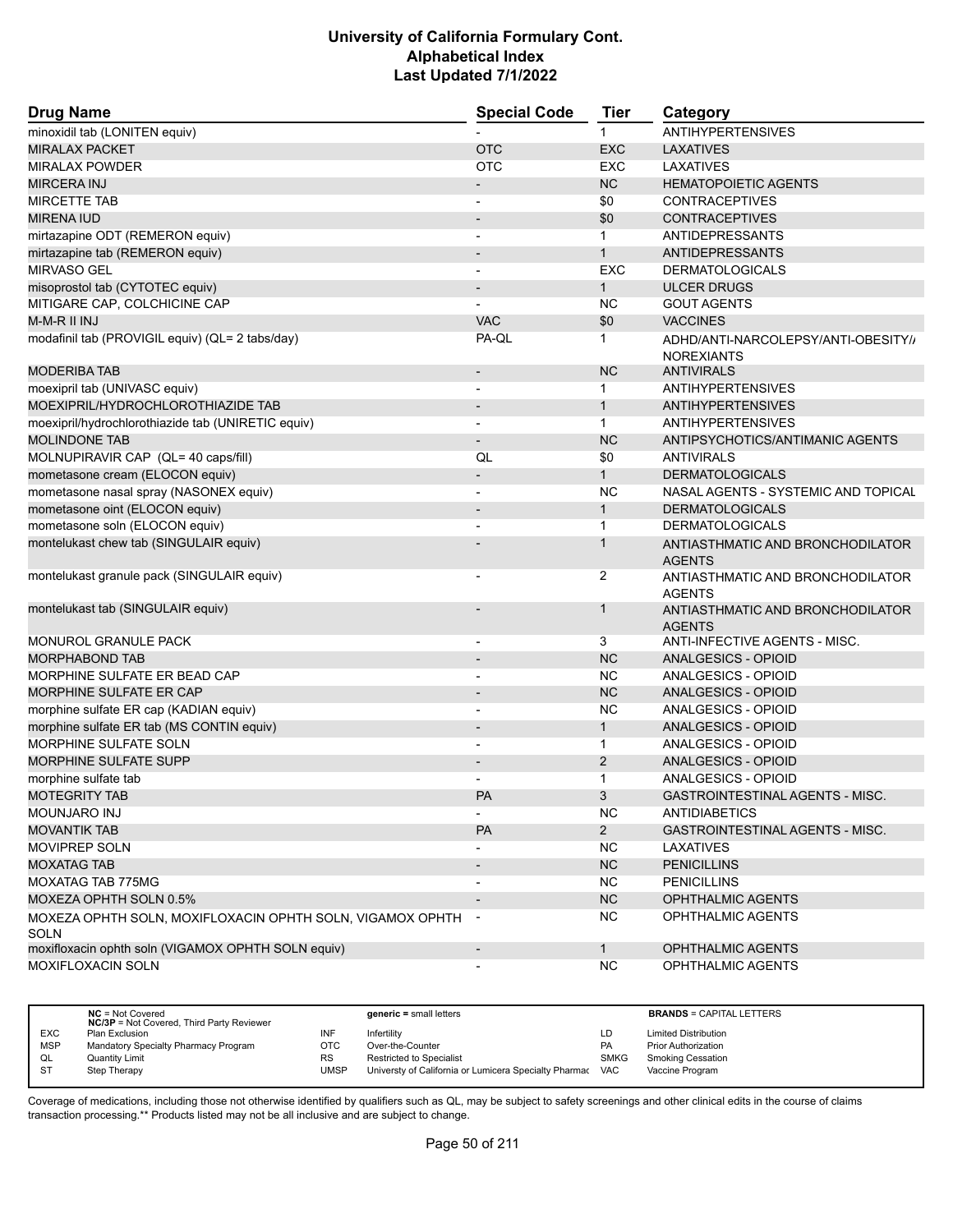| <b>Drug Name</b>                                                  | <b>Special Code</b>      | <b>Tier</b>    | Category                                                 |
|-------------------------------------------------------------------|--------------------------|----------------|----------------------------------------------------------|
| minoxidil tab (LONITEN equiv)                                     |                          | $\mathbf 1$    | <b>ANTIHYPERTENSIVES</b>                                 |
| <b>MIRALAX PACKET</b>                                             | <b>OTC</b>               | <b>EXC</b>     | <b>LAXATIVES</b>                                         |
| <b>MIRALAX POWDER</b>                                             | <b>OTC</b>               | <b>EXC</b>     | LAXATIVES                                                |
| <b>MIRCERA INJ</b>                                                |                          | <b>NC</b>      | <b>HEMATOPOIETIC AGENTS</b>                              |
| <b>MIRCETTE TAB</b>                                               |                          | \$0            | <b>CONTRACEPTIVES</b>                                    |
| <b>MIRENA IUD</b>                                                 |                          | \$0            | <b>CONTRACEPTIVES</b>                                    |
| mirtazapine ODT (REMERON equiv)                                   |                          | $\mathbf{1}$   | <b>ANTIDEPRESSANTS</b>                                   |
| mirtazapine tab (REMERON equiv)                                   | $\blacksquare$           | $\mathbf{1}$   | <b>ANTIDEPRESSANTS</b>                                   |
| MIRVASO GEL                                                       | $\blacksquare$           | <b>EXC</b>     | <b>DERMATOLOGICALS</b>                                   |
| misoprostol tab (CYTOTEC equiv)                                   | $\overline{\phantom{a}}$ | $\mathbf{1}$   | <b>ULCER DRUGS</b>                                       |
| MITIGARE CAP, COLCHICINE CAP                                      | ٠                        | NC.            | <b>GOUT AGENTS</b>                                       |
| M-M-R II INJ                                                      | <b>VAC</b>               | \$0            | <b>VACCINES</b>                                          |
| modafinil tab (PROVIGIL equiv) (QL= 2 tabs/day)                   | PA-QL                    | 1              | ADHD/ANTI-NARCOLEPSY/ANTI-OBESITY//<br><b>NOREXIANTS</b> |
| <b>MODERIBA TAB</b>                                               |                          | NC             | <b>ANTIVIRALS</b>                                        |
| moexipril tab (UNIVASC equiv)                                     | $\blacksquare$           | $\mathbf{1}$   | <b>ANTIHYPERTENSIVES</b>                                 |
| MOEXIPRIL/HYDROCHLOROTHIAZIDE TAB                                 | $\overline{\phantom{a}}$ | $\mathbf{1}$   | <b>ANTIHYPERTENSIVES</b>                                 |
| moexipril/hydrochlorothiazide tab (UNIRETIC equiv)                |                          | $\mathbf{1}$   | <b>ANTIHYPERTENSIVES</b>                                 |
| <b>MOLINDONE TAB</b>                                              | $\overline{\phantom{a}}$ | <b>NC</b>      | ANTIPSYCHOTICS/ANTIMANIC AGENTS                          |
| MOLNUPIRAVIR CAP (QL= 40 caps/fill)                               | QL                       | \$0            | <b>ANTIVIRALS</b>                                        |
| mometasone cream (ELOCON equiv)                                   |                          | $\mathbf{1}$   | <b>DERMATOLOGICALS</b>                                   |
| mometasone nasal spray (NASONEX equiv)                            | $\blacksquare$           | <b>NC</b>      | NASAL AGENTS - SYSTEMIC AND TOPICAL                      |
| mometasone oint (ELOCON equiv)                                    |                          | $\mathbf{1}$   | <b>DERMATOLOGICALS</b>                                   |
| mometasone soln (ELOCON equiv)                                    |                          | $\mathbf{1}$   | <b>DERMATOLOGICALS</b>                                   |
| montelukast chew tab (SINGULAIR equiv)                            |                          | $\mathbf{1}$   | ANTIASTHMATIC AND BRONCHODILATOR<br><b>AGENTS</b>        |
| montelukast granule pack (SINGULAIR equiv)                        |                          | $\overline{2}$ | ANTIASTHMATIC AND BRONCHODILATOR<br><b>AGENTS</b>        |
| montelukast tab (SINGULAIR equiv)                                 |                          | 1              | ANTIASTHMATIC AND BRONCHODILATOR<br><b>AGENTS</b>        |
| MONUROL GRANULE PACK                                              | $\overline{\phantom{a}}$ | 3              | ANTI-INFECTIVE AGENTS - MISC.                            |
| <b>MORPHABOND TAB</b>                                             |                          | <b>NC</b>      | ANALGESICS - OPIOID                                      |
| MORPHINE SULFATE ER BEAD CAP                                      |                          | <b>NC</b>      | ANALGESICS - OPIOID                                      |
| <b>MORPHINE SULFATE ER CAP</b>                                    | $\overline{\phantom{a}}$ | <b>NC</b>      | ANALGESICS - OPIOID                                      |
| morphine sulfate ER cap (KADIAN equiv)                            | $\overline{\phantom{a}}$ | <b>NC</b>      | ANALGESICS - OPIOID                                      |
| morphine sulfate ER tab (MS CONTIN equiv)                         |                          | 1              | <b>ANALGESICS - OPIOID</b>                               |
| MORPHINE SULFATE SOLN                                             |                          | $\mathbf{1}$   | ANALGESICS - OPIOID                                      |
| <b>MORPHINE SULFATE SUPP</b>                                      | $\blacksquare$           | 2              | ANALGESICS - OPIOID                                      |
| morphine sulfate tab                                              |                          | $\mathbf{1}$   | ANALGESICS - OPIOID                                      |
| <b>MOTEGRITY TAB</b>                                              | PA                       | 3              | <b>GASTROINTESTINAL AGENTS - MISC.</b>                   |
| <b>MOUNJARO INJ</b>                                               | $\blacksquare$           | <b>NC</b>      | <b>ANTIDIABETICS</b>                                     |
| <b>MOVANTIK TAB</b>                                               | PA                       | $2^{\circ}$    | GASTROINTESTINAL AGENTS - MISC.                          |
| MOVIPREP SOLN                                                     |                          | <b>NC</b>      | <b>LAXATIVES</b>                                         |
| <b>MOXATAG TAB</b>                                                | $\overline{\phantom{a}}$ | NC             | <b>PENICILLINS</b>                                       |
| MOXATAG TAB 775MG                                                 |                          | <b>NC</b>      | <b>PENICILLINS</b>                                       |
| MOXEZA OPHTH SOLN 0.5%                                            |                          | NC             | OPHTHALMIC AGENTS                                        |
| MOXEZA OPHTH SOLN, MOXIFLOXACIN OPHTH SOLN, VIGAMOX OPHTH<br>SOLN | $\sim$                   | <b>NC</b>      | OPHTHALMIC AGENTS                                        |
| moxifloxacin ophth soln (VIGAMOX OPHTH SOLN equiv)                | $\overline{\phantom{a}}$ | $\mathbf{1}$   | OPHTHALMIC AGENTS                                        |
| <b>MOXIFLOXACIN SOLN</b>                                          |                          | <b>NC</b>      | <b>OPHTHALMIC AGENTS</b>                                 |

|            | $NC = Not Covered$<br><b>NC/3P</b> = Not Covered, Third Party Reviewer |           | $generic = small letters$                             |             | <b>BRANDS = CAPITAL LETTERS</b> |
|------------|------------------------------------------------------------------------|-----------|-------------------------------------------------------|-------------|---------------------------------|
| <b>EXC</b> | Plan Exclusion                                                         | INF       | Infertility                                           | LD          | <b>Limited Distribution</b>     |
| <b>MSP</b> | Mandatory Specialty Pharmacy Program                                   | OTC       | Over-the-Counter                                      | PA          | <b>Prior Authorization</b>      |
| QL         | Quantity Limit                                                         | <b>RS</b> | <b>Restricted to Specialist</b>                       | <b>SMKG</b> | <b>Smoking Cessation</b>        |
| <b>ST</b>  | Step Therapy                                                           | UMSP      | Universty of California or Lumicera Specialty Pharmac | <b>VAC</b>  | Vaccine Program                 |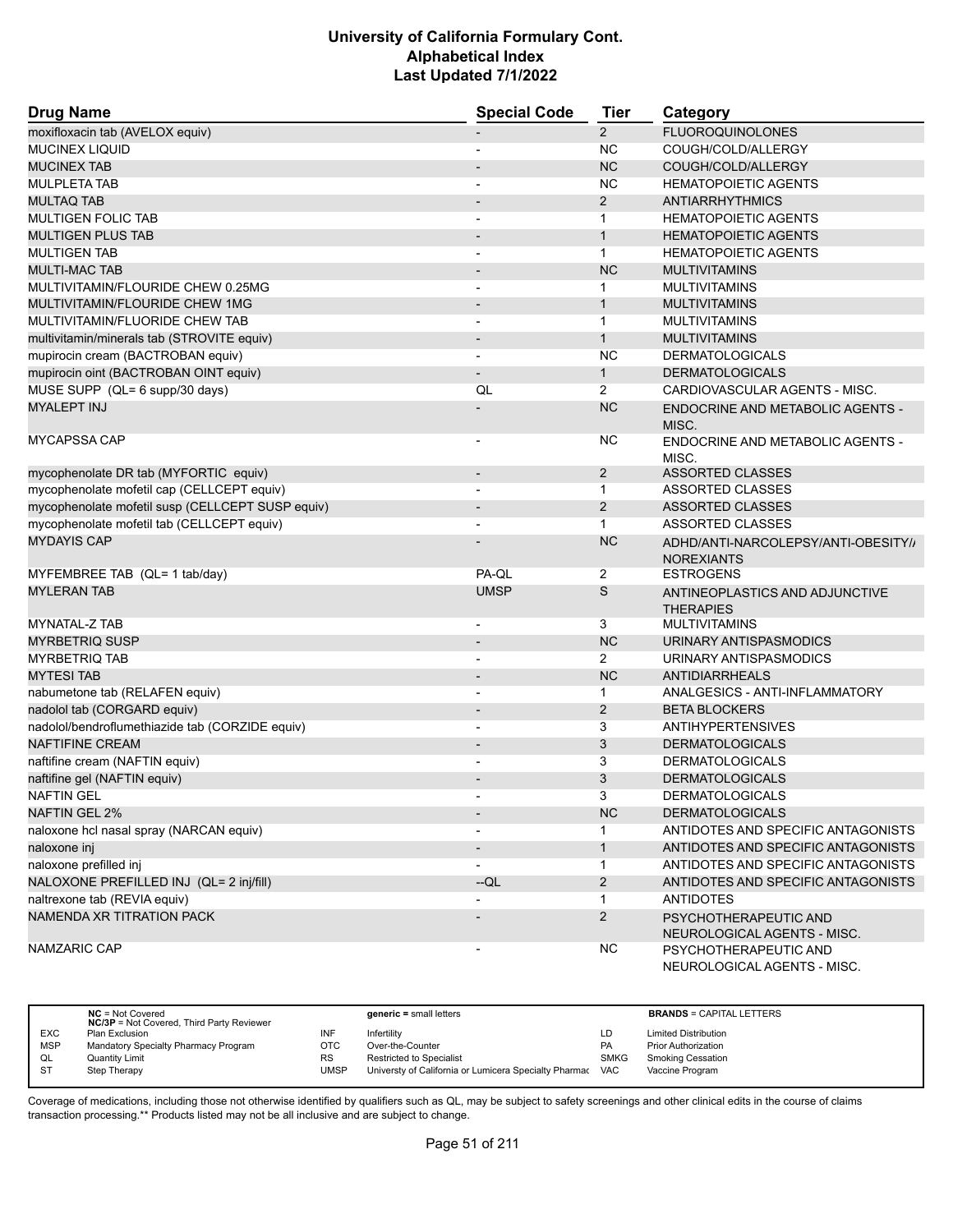| <b>Drug Name</b>                                 | <b>Special Code</b>          | Tier           | Category                                                 |
|--------------------------------------------------|------------------------------|----------------|----------------------------------------------------------|
| moxifloxacin tab (AVELOX equiv)                  |                              | $\overline{2}$ | <b>FLUOROQUINOLONES</b>                                  |
| <b>MUCINEX LIQUID</b>                            | -                            | <b>NC</b>      | COUGH/COLD/ALLERGY                                       |
| <b>MUCINEX TAB</b>                               |                              | <b>NC</b>      | COUGH/COLD/ALLERGY                                       |
| <b>MULPLETA TAB</b>                              | $\blacksquare$               | <b>NC</b>      | <b>HEMATOPOIETIC AGENTS</b>                              |
| <b>MULTAQ TAB</b>                                | $\overline{\phantom{a}}$     | $\overline{2}$ | <b>ANTIARRHYTHMICS</b>                                   |
| <b>MULTIGEN FOLIC TAB</b>                        |                              | 1              | <b>HEMATOPOIETIC AGENTS</b>                              |
| <b>MULTIGEN PLUS TAB</b>                         | $\overline{\phantom{a}}$     | $\mathbf{1}$   | <b>HEMATOPOIETIC AGENTS</b>                              |
| <b>MULTIGEN TAB</b>                              | $\overline{\phantom{0}}$     | $\mathbf{1}$   | <b>HEMATOPOIETIC AGENTS</b>                              |
| <b>MULTI-MAC TAB</b>                             | $\overline{\phantom{a}}$     | <b>NC</b>      | <b>MULTIVITAMINS</b>                                     |
| MULTIVITAMIN/FLOURIDE CHEW 0.25MG                | $\overline{\phantom{a}}$     | $\mathbf 1$    | <b>MULTIVITAMINS</b>                                     |
| MULTIVITAMIN/FLOURIDE CHEW 1MG                   | $\overline{\phantom{a}}$     | $\mathbf{1}$   | <b>MULTIVITAMINS</b>                                     |
| MULTIVITAMIN/FLUORIDE CHEW TAB                   | $\overline{\phantom{a}}$     | $\mathbf{1}$   | <b>MULTIVITAMINS</b>                                     |
| multivitamin/minerals tab (STROVITE equiv)       |                              | $\mathbf{1}$   | <b>MULTIVITAMINS</b>                                     |
| mupirocin cream (BACTROBAN equiv)                | $\overline{\phantom{0}}$     | <b>NC</b>      | <b>DERMATOLOGICALS</b>                                   |
| mupirocin oint (BACTROBAN OINT equiv)            | $\overline{\phantom{0}}$     | $\mathbf{1}$   | <b>DERMATOLOGICALS</b>                                   |
| MUSE SUPP (QL= 6 supp/30 days)                   | QL                           | $\overline{2}$ | CARDIOVASCULAR AGENTS - MISC.                            |
| <b>MYALEPT INJ</b>                               |                              | <b>NC</b>      | ENDOCRINE AND METABOLIC AGENTS -<br>MISC.                |
| <b>MYCAPSSA CAP</b>                              | $\overline{\phantom{0}}$     | <b>NC</b>      | ENDOCRINE AND METABOLIC AGENTS -<br>MISC.                |
| mycophenolate DR tab (MYFORTIC equiv)            | $\overline{\phantom{a}}$     | $\overline{2}$ | <b>ASSORTED CLASSES</b>                                  |
| mycophenolate mofetil cap (CELLCEPT equiv)       |                              | $\mathbf{1}$   | ASSORTED CLASSES                                         |
| mycophenolate mofetil susp (CELLCEPT SUSP equiv) | $\overline{\phantom{a}}$     | $\overline{2}$ | <b>ASSORTED CLASSES</b>                                  |
| mycophenolate mofetil tab (CELLCEPT equiv)       |                              | $\mathbf{1}$   | <b>ASSORTED CLASSES</b>                                  |
| <b>MYDAYIS CAP</b>                               |                              | <b>NC</b>      | ADHD/ANTI-NARCOLEPSY/ANTI-OBESITY//<br><b>NOREXIANTS</b> |
| MYFEMBREE TAB (QL= 1 tab/day)                    | PA-QL                        | 2              | <b>ESTROGENS</b>                                         |
| <b>MYLERAN TAB</b>                               | <b>UMSP</b>                  | S              | ANTINEOPLASTICS AND ADJUNCTIVE<br><b>THERAPIES</b>       |
| MYNATAL-Z TAB                                    | $\overline{\phantom{a}}$     | 3              | <b>MULTIVITAMINS</b>                                     |
| <b>MYRBETRIQ SUSP</b>                            | $\overline{\phantom{a}}$     | <b>NC</b>      | URINARY ANTISPASMODICS                                   |
| <b>MYRBETRIQ TAB</b>                             | $\overline{\phantom{a}}$     | 2              | URINARY ANTISPASMODICS                                   |
| <b>MYTESI TAB</b>                                | $\overline{\phantom{a}}$     | <b>NC</b>      | <b>ANTIDIARRHEALS</b>                                    |
| nabumetone tab (RELAFEN equiv)                   | $\overline{a}$               | $\mathbf{1}$   | ANALGESICS - ANTI-INFLAMMATORY                           |
| nadolol tab (CORGARD equiv)                      | $\overline{\phantom{m}}$     | $\overline{2}$ | <b>BETA BLOCKERS</b>                                     |
| nadolol/bendroflumethiazide tab (CORZIDE equiv)  | -                            | 3              | <b>ANTIHYPERTENSIVES</b>                                 |
| <b>NAFTIFINE CREAM</b>                           | $\qquad \qquad \blacksquare$ | 3              | <b>DERMATOLOGICALS</b>                                   |
| naftifine cream (NAFTIN equiv)                   | $\overline{\phantom{a}}$     | 3              | <b>DERMATOLOGICALS</b>                                   |
| naftifine gel (NAFTIN equiv)                     | $\overline{\phantom{m}}$     | 3              | <b>DERMATOLOGICALS</b>                                   |
| <b>NAFTIN GEL</b>                                |                              | 3              | <b>DERMATOLOGICALS</b>                                   |
| NAFTIN GEL 2%                                    | $\overline{\phantom{a}}$     | <b>NC</b>      | <b>DERMATOLOGICALS</b>                                   |
| naloxone hcl nasal spray (NARCAN equiv)          |                              | 1.             | ANTIDOTES AND SPECIFIC ANTAGONISTS                       |
| naloxone inj                                     |                              | $\mathbf{1}$   | ANTIDOTES AND SPECIFIC ANTAGONISTS                       |
| naloxone prefilled inj                           | $\overline{\phantom{a}}$     | $\mathbf{1}$   | ANTIDOTES AND SPECIFIC ANTAGONISTS                       |
| NALOXONE PREFILLED INJ (QL= 2 inj/fill)          | --QL                         | $\overline{2}$ | ANTIDOTES AND SPECIFIC ANTAGONISTS                       |
| naltrexone tab (REVIA equiv)                     |                              | 1              | <b>ANTIDOTES</b>                                         |
| NAMENDA XR TITRATION PACK                        |                              | $\overline{2}$ | PSYCHOTHERAPEUTIC AND<br>NEUROLOGICAL AGENTS - MISC.     |
| NAMZARIC CAP                                     |                              | <b>NC</b>      | PSYCHOTHERAPEUTIC AND<br>NEUROLOGICAL AGENTS - MISC.     |

|            | $NC = Not Covered$<br><b>NC/3P</b> = Not Covered, Third Party Reviewer |      | $generic = small letters$                             |            | <b>BRANDS = CAPITAL LETTERS</b> |
|------------|------------------------------------------------------------------------|------|-------------------------------------------------------|------------|---------------------------------|
| <b>EXC</b> | Plan Exclusion                                                         | INF  | Infertility                                           | LD         | <b>Limited Distribution</b>     |
| <b>MSP</b> | Mandatory Specialty Pharmacy Program                                   | ОТС  | Over-the-Counter                                      | PA         | <b>Prior Authorization</b>      |
| QL         | <b>Quantity Limit</b>                                                  | RS   | <b>Restricted to Specialist</b>                       | SMKG       | <b>Smoking Cessation</b>        |
| -ST        | Step Therapy                                                           | UMSP | Universty of California or Lumicera Specialty Pharmac | <b>VAC</b> | Vaccine Program                 |

 $\overline{\phantom{a}}$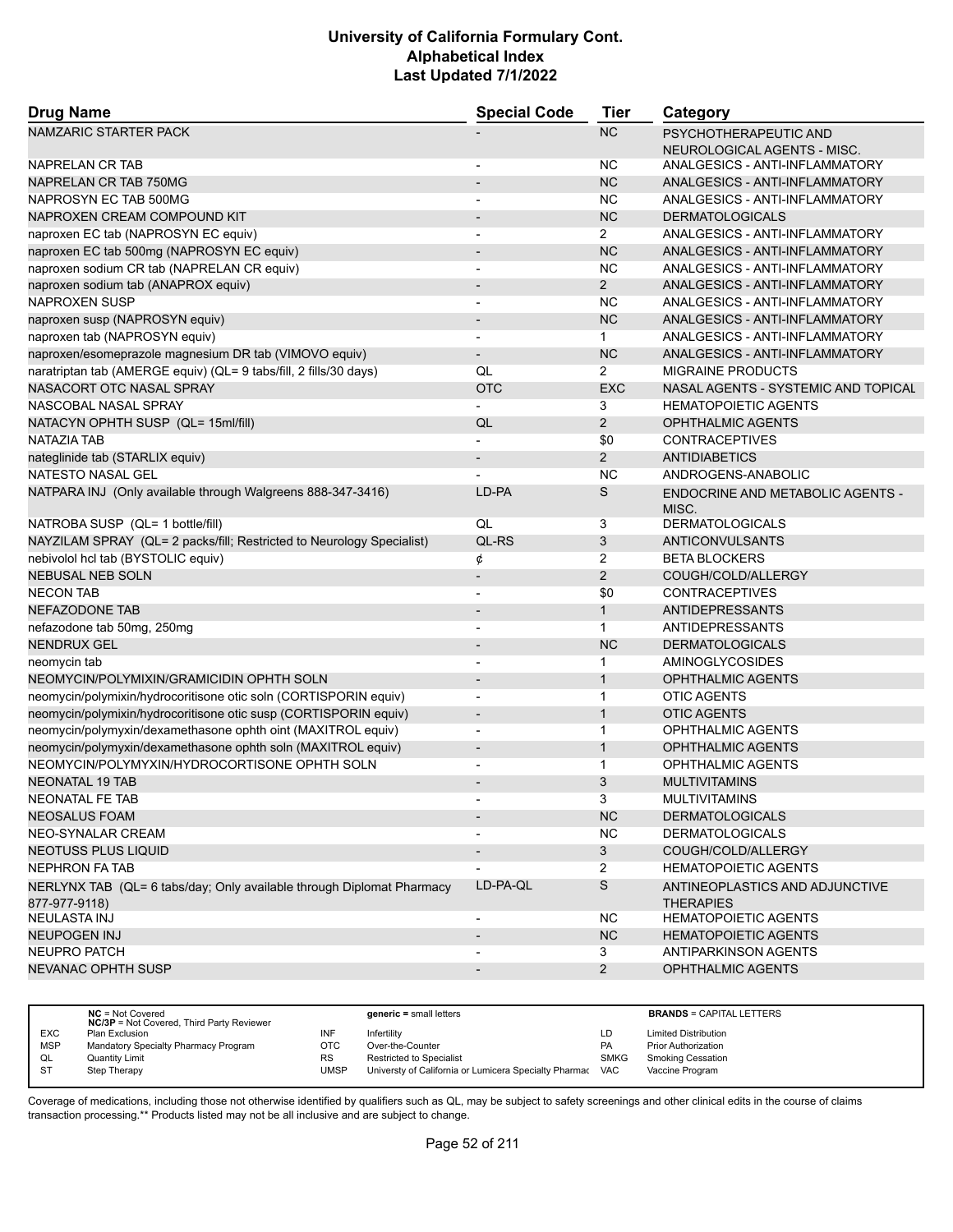| <b>Drug Name</b>                                                                       | <b>Special Code</b>      | <b>Tier</b>           | Category                                           |
|----------------------------------------------------------------------------------------|--------------------------|-----------------------|----------------------------------------------------|
| NAMZARIC STARTER PACK                                                                  |                          | <b>NC</b>             | PSYCHOTHERAPEUTIC AND                              |
|                                                                                        |                          |                       | NEUROLOGICAL AGENTS - MISC.                        |
| NAPRELAN CR TAB                                                                        |                          | NC                    | ANALGESICS - ANTI-INFLAMMATORY                     |
| NAPRELAN CR TAB 750MG                                                                  | $\overline{a}$           | <b>NC</b>             | ANALGESICS - ANTI-INFLAMMATORY                     |
| NAPROSYN EC TAB 500MG                                                                  |                          | <b>NC</b>             | ANALGESICS - ANTI-INFLAMMATORY                     |
| NAPROXEN CREAM COMPOUND KIT                                                            |                          | <b>NC</b>             | <b>DERMATOLOGICALS</b>                             |
| naproxen EC tab (NAPROSYN EC equiv)                                                    | ٠                        | $\mathbf{2}^{\prime}$ | ANALGESICS - ANTI-INFLAMMATORY                     |
| naproxen EC tab 500mg (NAPROSYN EC equiv)                                              |                          | <b>NC</b>             | ANALGESICS - ANTI-INFLAMMATORY                     |
| naproxen sodium CR tab (NAPRELAN CR equiv)                                             | $\blacksquare$           | <b>NC</b>             | ANALGESICS - ANTI-INFLAMMATORY                     |
| naproxen sodium tab (ANAPROX equiv)                                                    | $\overline{a}$           | $\overline{2}$        | ANALGESICS - ANTI-INFLAMMATORY                     |
| <b>NAPROXEN SUSP</b>                                                                   |                          | <b>NC</b>             | ANALGESICS - ANTI-INFLAMMATORY                     |
| naproxen susp (NAPROSYN equiv)                                                         | $\overline{\phantom{0}}$ | <b>NC</b>             | ANALGESICS - ANTI-INFLAMMATORY                     |
| naproxen tab (NAPROSYN equiv)                                                          | $\overline{a}$           | 1.                    | ANALGESICS - ANTI-INFLAMMATORY                     |
| naproxen/esomeprazole magnesium DR tab (VIMOVO equiv)                                  | $\overline{\phantom{0}}$ | <b>NC</b>             | ANALGESICS - ANTI-INFLAMMATORY                     |
| naratriptan tab (AMERGE equiv) (QL= 9 tabs/fill, 2 fills/30 days)                      | QL                       | $\overline{2}$        | <b>MIGRAINE PRODUCTS</b>                           |
| NASACORT OTC NASAL SPRAY                                                               | <b>OTC</b>               | <b>EXC</b>            | NASAL AGENTS - SYSTEMIC AND TOPICAL                |
| NASCOBAL NASAL SPRAY                                                                   |                          | 3                     | <b>HEMATOPOIETIC AGENTS</b>                        |
| NATACYN OPHTH SUSP (QL= 15ml/fill)                                                     | QL                       | $\overline{2}$        | <b>OPHTHALMIC AGENTS</b>                           |
| <b>NATAZIA TAB</b>                                                                     | $\overline{\phantom{0}}$ | \$0                   | <b>CONTRACEPTIVES</b>                              |
| nateglinide tab (STARLIX equiv)                                                        | $\overline{\phantom{a}}$ | $\overline{2}$        | <b>ANTIDIABETICS</b>                               |
| <b>NATESTO NASAL GEL</b>                                                               |                          | <b>NC</b>             | ANDROGENS-ANABOLIC                                 |
| NATPARA INJ (Only available through Walgreens 888-347-3416)                            | LD-PA                    | S                     | <b>ENDOCRINE AND METABOLIC AGENTS -</b><br>MISC.   |
| NATROBA SUSP (QL= 1 bottle/fill)                                                       | QL                       | 3                     | <b>DERMATOLOGICALS</b>                             |
| NAYZILAM SPRAY (QL= 2 packs/fill; Restricted to Neurology Specialist)                  | QL-RS                    | 3                     | <b>ANTICONVULSANTS</b>                             |
| nebivolol hcl tab (BYSTOLIC equiv)                                                     | ¢                        | $\overline{2}$        | <b>BETA BLOCKERS</b>                               |
| <b>NEBUSAL NEB SOLN</b>                                                                | $\overline{\phantom{a}}$ | $\overline{2}$        | COUGH/COLD/ALLERGY                                 |
| <b>NECON TAB</b>                                                                       | ٠                        | \$0                   | <b>CONTRACEPTIVES</b>                              |
| <b>NEFAZODONE TAB</b>                                                                  |                          | $\mathbf{1}$          | ANTIDEPRESSANTS                                    |
| nefazodone tab 50mg, 250mg                                                             | L,                       | $\mathbf{1}$          | ANTIDEPRESSANTS                                    |
| <b>NENDRUX GEL</b>                                                                     |                          | <b>NC</b>             | <b>DERMATOLOGICALS</b>                             |
| neomycin tab                                                                           |                          | 1                     | AMINOGLYCOSIDES                                    |
| NEOMYCIN/POLYMIXIN/GRAMICIDIN OPHTH SOLN                                               | $\overline{\phantom{0}}$ | $\mathbf{1}$          | <b>OPHTHALMIC AGENTS</b>                           |
| neomycin/polymixin/hydrocoritisone otic soln (CORTISPORIN equiv)                       | $\overline{a}$           | $\mathbf 1$           | <b>OTIC AGENTS</b>                                 |
| neomycin/polymixin/hydrocoritisone otic susp (CORTISPORIN equiv)                       | $\overline{\phantom{a}}$ | $\mathbf{1}$          | <b>OTIC AGENTS</b>                                 |
| neomycin/polymyxin/dexamethasone ophth oint (MAXITROL equiv)                           | $\overline{\phantom{a}}$ | 1                     | OPHTHALMIC AGENTS                                  |
| neomycin/polymyxin/dexamethasone ophth soln (MAXITROL equiv)                           | $\overline{a}$           | $\mathbf{1}$          | <b>OPHTHALMIC AGENTS</b>                           |
| NEOMYCIN/POLYMYXIN/HYDROCORTISONE OPHTH SOLN                                           |                          | 1                     | OPHTHALMIC AGENTS                                  |
| <b>NEONATAL 19 TAB</b>                                                                 |                          | 3                     | <b>MULTIVITAMINS</b>                               |
| NEONATAL FE TAB                                                                        |                          |                       | <b>MULTIVITAMINS</b>                               |
| <b>NEOSALUS FOAM</b>                                                                   |                          | NC                    | <b>DERMATOLOGICALS</b>                             |
| NEO-SYNALAR CREAM                                                                      |                          | <b>NC</b>             | <b>DERMATOLOGICALS</b>                             |
| <b>NEOTUSS PLUS LIQUID</b>                                                             | $\overline{\phantom{a}}$ | 3                     | COUGH/COLD/ALLERGY                                 |
| <b>NEPHRON FA TAB</b>                                                                  |                          | 2                     | <b>HEMATOPOIETIC AGENTS</b>                        |
| NERLYNX TAB (QL= 6 tabs/day; Only available through Diplomat Pharmacy<br>877-977-9118) | LD-PA-QL                 | S                     | ANTINEOPLASTICS AND ADJUNCTIVE<br><b>THERAPIES</b> |
| NEULASTA INJ                                                                           |                          | NC.                   | <b>HEMATOPOIETIC AGENTS</b>                        |
| <b>NEUPOGEN INJ</b>                                                                    |                          | NC                    | <b>HEMATOPOIETIC AGENTS</b>                        |
| NEUPRO PATCH                                                                           |                          | 3                     | ANTIPARKINSON AGENTS                               |
| NEVANAC OPHTH SUSP                                                                     |                          | $2^{\circ}$           | OPHTHALMIC AGENTS                                  |
|                                                                                        |                          |                       |                                                    |

|            | $NC = Not Covered$<br><b>NC/3P</b> = Not Covered, Third Party Reviewer |             | $generic = small letters$                                 |             | <b>BRANDS = CAPITAL LETTERS</b> |
|------------|------------------------------------------------------------------------|-------------|-----------------------------------------------------------|-------------|---------------------------------|
| <b>EXC</b> | Plan Exclusion                                                         | INF         | Infertility                                               | LD          | <b>Limited Distribution</b>     |
| <b>MSP</b> | Mandatory Specialty Pharmacy Program                                   | OTC         | Over-the-Counter                                          | <b>PA</b>   | <b>Prior Authorization</b>      |
| QL         | <b>Quantity Limit</b>                                                  | <b>RS</b>   | <b>Restricted to Specialist</b>                           | <b>SMKG</b> | <b>Smoking Cessation</b>        |
| - ST       | Step Therapy                                                           | <b>UMSP</b> | Universty of California or Lumicera Specialty Pharmac VAC |             | Vaccine Program                 |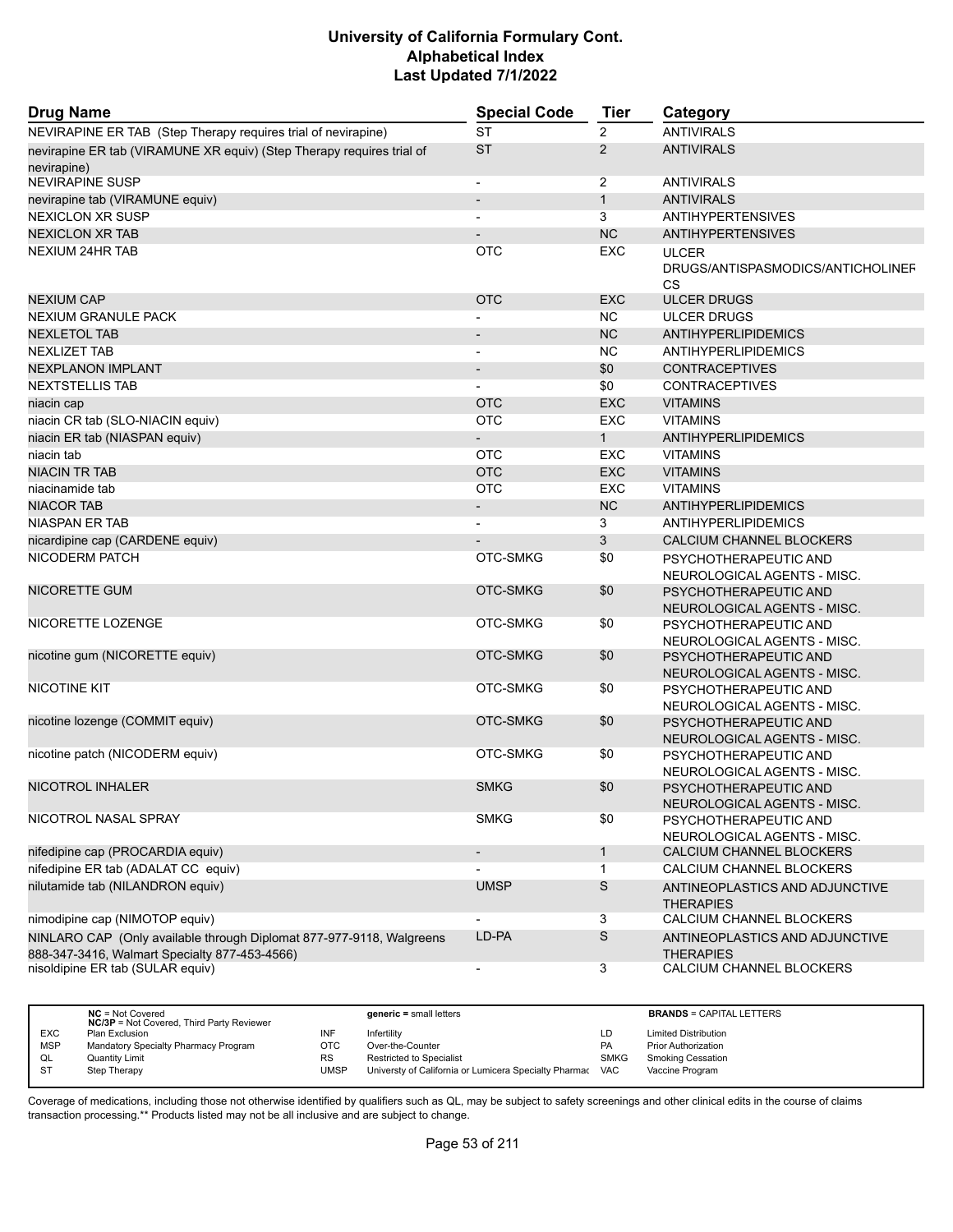| <b>Drug Name</b>                                                                                                      | <b>Special Code</b>      | Tier           | Category                                                |
|-----------------------------------------------------------------------------------------------------------------------|--------------------------|----------------|---------------------------------------------------------|
| NEVIRAPINE ER TAB (Step Therapy requires trial of nevirapine)                                                         | <b>ST</b>                | 2              | <b>ANTIVIRALS</b>                                       |
| nevirapine ER tab (VIRAMUNE XR equiv) (Step Therapy requires trial of<br>nevirapine)                                  | <b>ST</b>                | $\overline{2}$ | <b>ANTIVIRALS</b>                                       |
| <b>NEVIRAPINE SUSP</b>                                                                                                | $\overline{\phantom{a}}$ | $\overline{2}$ | <b>ANTIVIRALS</b>                                       |
| nevirapine tab (VIRAMUNE equiv)                                                                                       | $\overline{\phantom{a}}$ | $\mathbf{1}$   | <b>ANTIVIRALS</b>                                       |
| <b>NEXICLON XR SUSP</b>                                                                                               |                          | 3              | <b>ANTIHYPERTENSIVES</b>                                |
| <b>NEXICLON XR TAB</b>                                                                                                |                          | <b>NC</b>      | <b>ANTIHYPERTENSIVES</b>                                |
| <b>NEXIUM 24HR TAB</b>                                                                                                | <b>OTC</b>               | EXC            | <b>ULCER</b><br>DRUGS/ANTISPASMODICS/ANTICHOLINEF<br>CS |
| <b>NEXIUM CAP</b>                                                                                                     | <b>OTC</b>               | <b>EXC</b>     | <b>ULCER DRUGS</b>                                      |
| <b>NEXIUM GRANULE PACK</b>                                                                                            |                          | NC             | <b>ULCER DRUGS</b>                                      |
| <b>NEXLETOL TAB</b>                                                                                                   |                          | <b>NC</b>      | ANTIHYPERLIPIDEMICS                                     |
| <b>NEXLIZET TAB</b>                                                                                                   |                          | <b>NC</b>      | ANTIHYPERLIPIDEMICS                                     |
| <b>NEXPLANON IMPLANT</b>                                                                                              | $\overline{\phantom{0}}$ | \$0            | <b>CONTRACEPTIVES</b>                                   |
| <b>NEXTSTELLIS TAB</b>                                                                                                |                          | \$0            | <b>CONTRACEPTIVES</b>                                   |
| niacin cap                                                                                                            | <b>OTC</b>               | <b>EXC</b>     | <b>VITAMINS</b>                                         |
| niacin CR tab (SLO-NIACIN equiv)                                                                                      | <b>OTC</b>               | EXC            | <b>VITAMINS</b>                                         |
| niacin ER tab (NIASPAN equiv)                                                                                         |                          | $\mathbf{1}$   | <b>ANTIHYPERLIPIDEMICS</b>                              |
| niacin tab                                                                                                            | <b>OTC</b>               | <b>EXC</b>     | <b>VITAMINS</b>                                         |
| <b>NIACIN TR TAB</b>                                                                                                  | <b>OTC</b>               | <b>EXC</b>     | <b>VITAMINS</b>                                         |
| niacinamide tab                                                                                                       | <b>OTC</b>               | <b>EXC</b>     | <b>VITAMINS</b>                                         |
| <b>NIACOR TAB</b>                                                                                                     |                          | <b>NC</b>      | <b>ANTIHYPERLIPIDEMICS</b>                              |
| <b>NIASPAN ER TAB</b>                                                                                                 |                          | 3              | <b>ANTIHYPERLIPIDEMICS</b>                              |
| nicardipine cap (CARDENE equiv)                                                                                       |                          | 3              | CALCIUM CHANNEL BLOCKERS                                |
| NICODERM PATCH                                                                                                        | OTC-SMKG                 | \$0            | PSYCHOTHERAPEUTIC AND<br>NEUROLOGICAL AGENTS - MISC.    |
| NICORETTE GUM                                                                                                         | OTC-SMKG                 | \$0            | PSYCHOTHERAPEUTIC AND<br>NEUROLOGICAL AGENTS - MISC.    |
| NICORETTE LOZENGE                                                                                                     | OTC-SMKG                 | \$0            | PSYCHOTHERAPEUTIC AND<br>NEUROLOGICAL AGENTS - MISC.    |
| nicotine gum (NICORETTE equiv)                                                                                        | OTC-SMKG                 | \$0            | PSYCHOTHERAPEUTIC AND<br>NEUROLOGICAL AGENTS - MISC.    |
| <b>NICOTINE KIT</b>                                                                                                   | OTC-SMKG                 | \$0            | PSYCHOTHERAPEUTIC AND<br>NEUROLOGICAL AGENTS - MISC.    |
| nicotine lozenge (COMMIT equiv)                                                                                       | OTC-SMKG                 | \$0            | PSYCHOTHERAPEUTIC AND<br>NEUROLOGICAL AGENTS - MISC.    |
| nicotine patch (NICODERM equiv)                                                                                       | OTC-SMKG                 | \$0            | PSYCHOTHERAPEUTIC AND<br>NEUROLOGICAL AGENTS - MISC.    |
| NICOTROL INHALER                                                                                                      | <b>SMKG</b>              | \$0            | PSYCHOTHERAPEUTIC AND<br>NEUROLOGICAL AGENTS - MISC.    |
| NICOTROL NASAL SPRAY                                                                                                  | <b>SMKG</b>              | \$0            | PSYCHOTHERAPEUTIC AND<br>NEUROLOGICAL AGENTS - MISC.    |
| nifedipine cap (PROCARDIA equiv)                                                                                      | $\overline{\phantom{a}}$ | $\mathbf{1}$   | CALCIUM CHANNEL BLOCKERS                                |
| nifedipine ER tab (ADALAT CC equiv)                                                                                   |                          | $\mathbf{1}$   | CALCIUM CHANNEL BLOCKERS                                |
| nilutamide tab (NILANDRON equiv)                                                                                      | <b>UMSP</b>              | S              | ANTINEOPLASTICS AND ADJUNCTIVE<br><b>THERAPIES</b>      |
| nimodipine cap (NIMOTOP equiv)                                                                                        |                          | 3              | CALCIUM CHANNEL BLOCKERS                                |
| NINLARO CAP (Only available through Diplomat 877-977-9118, Walgreens<br>888-347-3416, Walmart Specialty 877-453-4566) | LD-PA                    | $\mathsf S$    | ANTINEOPLASTICS AND ADJUNCTIVE<br><b>THERAPIES</b>      |
| nisoldipine ER tab (SULAR equiv)                                                                                      | $\overline{\phantom{a}}$ | 3              | CALCIUM CHANNEL BLOCKERS                                |

|            | $NC = Not Covered$<br><b>NC/3P</b> = Not Covered, Third Party Reviewer |             | generic = small letters                                   |             | <b>BRANDS = CAPITAL LETTERS</b> |
|------------|------------------------------------------------------------------------|-------------|-----------------------------------------------------------|-------------|---------------------------------|
| <b>EXC</b> | Plan Exclusion                                                         | INF         | Infertility                                               | LD          | <b>Limited Distribution</b>     |
| <b>MSP</b> | Mandatory Specialty Pharmacy Program                                   | <b>OTC</b>  | Over-the-Counter                                          | <b>PA</b>   | <b>Prior Authorization</b>      |
| QL         | Quantity Limit                                                         | <b>RS</b>   | Restricted to Specialist                                  | <b>SMKG</b> | <b>Smoking Cessation</b>        |
|            | Step Therapy                                                           | <b>UMSP</b> | Universty of California or Lumicera Specialty Pharmac VAC |             | Vaccine Program                 |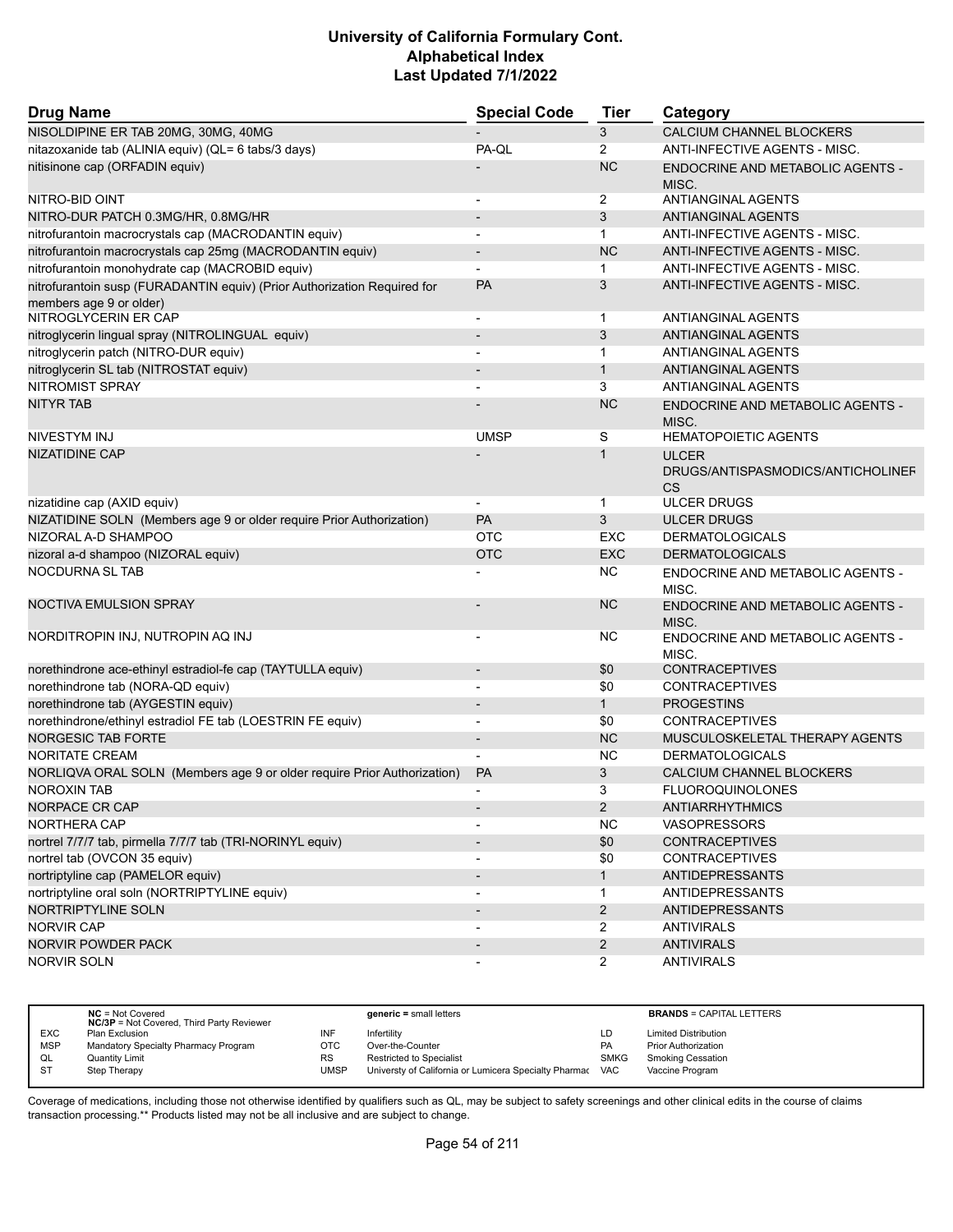| <b>Drug Name</b>                                                                                    | <b>Special Code</b>      | <b>Tier</b>    | Category                                                |
|-----------------------------------------------------------------------------------------------------|--------------------------|----------------|---------------------------------------------------------|
| NISOLDIPINE ER TAB 20MG, 30MG, 40MG                                                                 |                          | 3              | CALCIUM CHANNEL BLOCKERS                                |
| nitazoxanide tab (ALINIA equiv) (QL= 6 tabs/3 days)                                                 | PA-QL                    | 2              | <b>ANTI-INFECTIVE AGENTS - MISC.</b>                    |
| nitisinone cap (ORFADIN equiv)                                                                      |                          | <b>NC</b>      | <b>ENDOCRINE AND METABOLIC AGENTS -</b><br>MISC.        |
| NITRO-BID OINT                                                                                      | $\overline{a}$           | $\overline{2}$ | ANTIANGINAL AGENTS                                      |
| NITRO-DUR PATCH 0.3MG/HR, 0.8MG/HR                                                                  |                          | 3              | <b>ANTIANGINAL AGENTS</b>                               |
| nitrofurantoin macrocrystals cap (MACRODANTIN equiv)                                                |                          | $\mathbf 1$    | ANTI-INFECTIVE AGENTS - MISC.                           |
| nitrofurantoin macrocrystals cap 25mg (MACRODANTIN equiv)                                           | $\overline{a}$           | <b>NC</b>      | ANTI-INFECTIVE AGENTS - MISC.                           |
| nitrofurantoin monohydrate cap (MACROBID equiv)                                                     |                          | $\mathbf 1$    | ANTI-INFECTIVE AGENTS - MISC.                           |
| nitrofurantoin susp (FURADANTIN equiv) (Prior Authorization Required for<br>members age 9 or older) | PA                       | 3              | ANTI-INFECTIVE AGENTS - MISC.                           |
| NITROGLYCERIN ER CAP                                                                                | $\blacksquare$           | $\mathbf 1$    | ANTIANGINAL AGENTS                                      |
| nitroglycerin lingual spray (NITROLINGUAL equiv)                                                    | $\overline{a}$           | 3              | ANTIANGINAL AGENTS                                      |
| nitroglycerin patch (NITRO-DUR equiv)                                                               | $\overline{a}$           | $\mathbf{1}$   | ANTIANGINAL AGENTS                                      |
| nitroglycerin SL tab (NITROSTAT equiv)                                                              |                          | $\mathbf{1}$   | <b>ANTIANGINAL AGENTS</b>                               |
| <b>NITROMIST SPRAY</b>                                                                              |                          | 3              | ANTIANGINAL AGENTS                                      |
| <b>NITYR TAB</b>                                                                                    |                          | <b>NC</b>      | ENDOCRINE AND METABOLIC AGENTS -<br>MISC.               |
| NIVESTYM INJ                                                                                        | <b>UMSP</b>              | S              | <b>HEMATOPOIETIC AGENTS</b>                             |
| <b>NIZATIDINE CAP</b>                                                                               |                          | $\mathbf{1}$   | <b>ULCER</b><br>DRUGS/ANTISPASMODICS/ANTICHOLINEF<br>CS |
| nizatidine cap (AXID equiv)                                                                         |                          | $\mathbf 1$    | <b>ULCER DRUGS</b>                                      |
| NIZATIDINE SOLN (Members age 9 or older require Prior Authorization)                                | PA                       | 3              | <b>ULCER DRUGS</b>                                      |
| NIZORAL A-D SHAMPOO                                                                                 | <b>OTC</b>               | <b>EXC</b>     | <b>DERMATOLOGICALS</b>                                  |
| nizoral a-d shampoo (NIZORAL equiv)                                                                 | <b>OTC</b>               | <b>EXC</b>     | <b>DERMATOLOGICALS</b>                                  |
| <b>NOCDURNA SL TAB</b>                                                                              |                          | NC.            | ENDOCRINE AND METABOLIC AGENTS -<br>MISC.               |
| <b>NOCTIVA EMULSION SPRAY</b>                                                                       |                          | <b>NC</b>      | ENDOCRINE AND METABOLIC AGENTS -<br>MISC.               |
| NORDITROPIN INJ, NUTROPIN AQ INJ                                                                    |                          | <b>NC</b>      | ENDOCRINE AND METABOLIC AGENTS -<br>MISC.               |
| norethindrone ace-ethinyl estradiol-fe cap (TAYTULLA equiv)                                         | $\overline{\phantom{a}}$ | \$0            | <b>CONTRACEPTIVES</b>                                   |
| norethindrone tab (NORA-QD equiv)                                                                   |                          | \$0            | <b>CONTRACEPTIVES</b>                                   |
| norethindrone tab (AYGESTIN equiv)                                                                  |                          | $\mathbf{1}$   | <b>PROGESTINS</b>                                       |
| norethindrone/ethinyl estradiol FE tab (LOESTRIN FE equiv)                                          | $\overline{a}$           | \$0            | <b>CONTRACEPTIVES</b>                                   |
| <b>NORGESIC TAB FORTE</b>                                                                           |                          | <b>NC</b>      | MUSCULOSKELETAL THERAPY AGENTS                          |
| NORITATE CREAM                                                                                      |                          | <b>NC</b>      | <b>DERMATOLOGICALS</b>                                  |
| NORLIQVA ORAL SOLN (Members age 9 or older require Prior Authorization)                             | <b>PA</b>                | 3              | CALCIUM CHANNEL BLOCKERS                                |
| <b>NOROXIN TAB</b>                                                                                  | $\overline{\phantom{a}}$ | 3              | <b>FLUOROQUINOLONES</b>                                 |
| NORPACE CR CAP                                                                                      |                          | $\overline{2}$ | <b>ANTIARRHYTHMICS</b>                                  |
| NORTHERA CAP                                                                                        |                          | <b>NC</b>      | <b>VASOPRESSORS</b>                                     |
| nortrel 7/7/7 tab, pirmella 7/7/7 tab (TRI-NORINYL equiv)                                           |                          | \$0            | <b>CONTRACEPTIVES</b>                                   |
| nortrel tab (OVCON 35 equiv)                                                                        |                          | \$0            | <b>CONTRACEPTIVES</b>                                   |
| nortriptyline cap (PAMELOR equiv)                                                                   | $\blacksquare$           | $\mathbf{1}$   | <b>ANTIDEPRESSANTS</b>                                  |
| nortriptyline oral soln (NORTRIPTYLINE equiv)                                                       |                          | 1              | <b>ANTIDEPRESSANTS</b>                                  |
| NORTRIPTYLINE SOLN                                                                                  |                          | $\overline{2}$ | <b>ANTIDEPRESSANTS</b>                                  |
| NORVIR CAP                                                                                          |                          | $\overline{2}$ | <b>ANTIVIRALS</b>                                       |
| NORVIR POWDER PACK                                                                                  |                          | $\overline{2}$ | <b>ANTIVIRALS</b>                                       |
| <b>NORVIR SOLN</b>                                                                                  | $\overline{a}$           | $\overline{2}$ | <b>ANTIVIRALS</b>                                       |

|            | $NC = Not Covered$<br><b>NC/3P</b> = Not Covered, Third Party Reviewer |             | $generic = small letters$                             |             | <b>BRANDS = CAPITAL LETTERS</b> |
|------------|------------------------------------------------------------------------|-------------|-------------------------------------------------------|-------------|---------------------------------|
| <b>EXC</b> | Plan Exclusion                                                         | INF         | Infertility                                           | LD          | <b>Limited Distribution</b>     |
| <b>MSP</b> | Mandatory Specialty Pharmacy Program                                   | OTC         | Over-the-Counter                                      | PA          | <b>Prior Authorization</b>      |
| QL         | Quantity Limit                                                         | <b>RS</b>   | <b>Restricted to Specialist</b>                       | <b>SMKG</b> | Smoking Cessation               |
| <b>ST</b>  | Step Therapy                                                           | <b>UMSP</b> | Universty of California or Lumicera Specialty Pharmac | <b>VAC</b>  | Vaccine Program                 |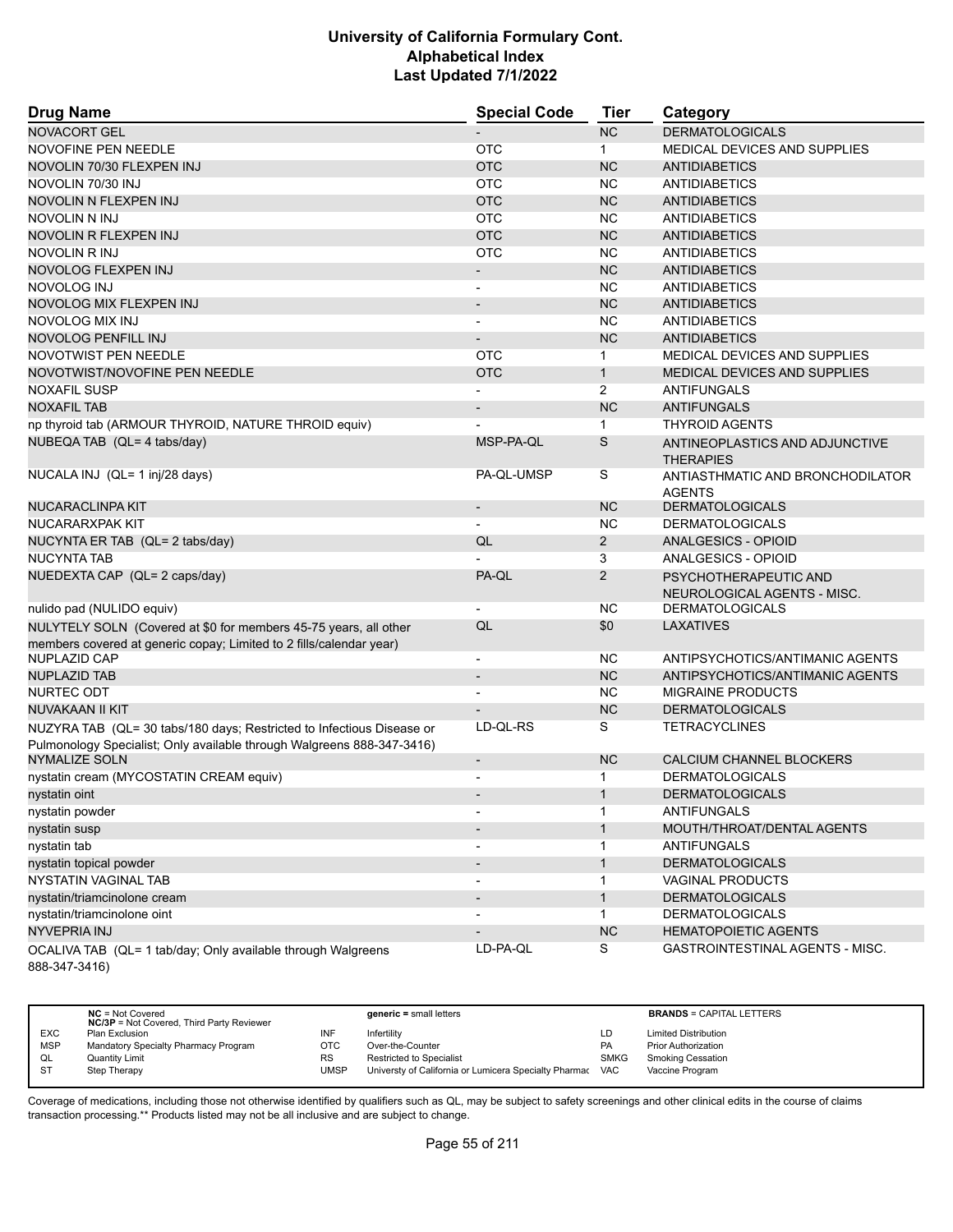| <b>Drug Name</b>                                                                                                                                | <b>Special Code</b>      | Tier           | Category                                             |
|-------------------------------------------------------------------------------------------------------------------------------------------------|--------------------------|----------------|------------------------------------------------------|
| <b>NOVACORT GEL</b>                                                                                                                             |                          | <b>NC</b>      | <b>DERMATOLOGICALS</b>                               |
| NOVOFINE PEN NEEDLE                                                                                                                             | <b>OTC</b>               | $\mathbf{1}$   | MEDICAL DEVICES AND SUPPLIES                         |
| NOVOLIN 70/30 FLEXPEN INJ                                                                                                                       | <b>OTC</b>               | <b>NC</b>      | <b>ANTIDIABETICS</b>                                 |
| NOVOLIN 70/30 INJ                                                                                                                               | <b>OTC</b>               | <b>NC</b>      | <b>ANTIDIABETICS</b>                                 |
| NOVOLIN N FLEXPEN INJ                                                                                                                           | <b>OTC</b>               | <b>NC</b>      | <b>ANTIDIABETICS</b>                                 |
| NOVOLIN N INJ                                                                                                                                   | <b>OTC</b>               | <b>NC</b>      | <b>ANTIDIABETICS</b>                                 |
| NOVOLIN R FLEXPEN INJ                                                                                                                           | <b>OTC</b>               | <b>NC</b>      | <b>ANTIDIABETICS</b>                                 |
| NOVOLIN R INJ                                                                                                                                   | <b>OTC</b>               | <b>NC</b>      | <b>ANTIDIABETICS</b>                                 |
| NOVOLOG FLEXPEN INJ                                                                                                                             | $\overline{\phantom{a}}$ | <b>NC</b>      | <b>ANTIDIABETICS</b>                                 |
| <b>NOVOLOG INJ</b>                                                                                                                              | $\blacksquare$           | <b>NC</b>      | <b>ANTIDIABETICS</b>                                 |
| NOVOLOG MIX FLEXPEN INJ                                                                                                                         | $\overline{\phantom{a}}$ | <b>NC</b>      | <b>ANTIDIABETICS</b>                                 |
| NOVOLOG MIX INJ                                                                                                                                 |                          | <b>NC</b>      | ANTIDIABETICS                                        |
| NOVOLOG PENFILL INJ                                                                                                                             |                          | <b>NC</b>      | <b>ANTIDIABETICS</b>                                 |
| NOVOTWIST PEN NEEDLE                                                                                                                            | <b>OTC</b>               | $\mathbf 1$    | MEDICAL DEVICES AND SUPPLIES                         |
| NOVOTWIST/NOVOFINE PEN NEEDLE                                                                                                                   | <b>OTC</b>               | $\mathbf{1}$   | MEDICAL DEVICES AND SUPPLIES                         |
| <b>NOXAFIL SUSP</b>                                                                                                                             |                          | $\overline{2}$ | ANTIFUNGALS                                          |
| <b>NOXAFIL TAB</b>                                                                                                                              |                          | <b>NC</b>      | ANTIFUNGALS                                          |
| np thyroid tab (ARMOUR THYROID, NATURE THROID equiv)                                                                                            |                          | $\mathbf{1}$   | <b>THYROID AGENTS</b>                                |
| NUBEQA TAB (QL= 4 tabs/day)                                                                                                                     | MSP-PA-QL                | S              | ANTINEOPLASTICS AND ADJUNCTIVE<br><b>THERAPIES</b>   |
| NUCALA INJ (QL= 1 inj/28 days)                                                                                                                  | PA-QL-UMSP               | S              | ANTIASTHMATIC AND BRONCHODILATOR<br><b>AGENTS</b>    |
| NUCARACLINPA KIT                                                                                                                                |                          | <b>NC</b>      | <b>DERMATOLOGICALS</b>                               |
| NUCARARXPAK KIT                                                                                                                                 |                          | <b>NC</b>      | <b>DERMATOLOGICALS</b>                               |
| NUCYNTA ER TAB (QL= 2 tabs/day)                                                                                                                 | QL                       | $\overline{2}$ | ANALGESICS - OPIOID                                  |
| <b>NUCYNTA TAB</b>                                                                                                                              |                          | 3              | ANALGESICS - OPIOID                                  |
| NUEDEXTA CAP (QL= 2 caps/day)                                                                                                                   | PA-QL                    | $\overline{2}$ | PSYCHOTHERAPEUTIC AND<br>NEUROLOGICAL AGENTS - MISC. |
| nulido pad (NULIDO equiv)                                                                                                                       |                          | NC.            | <b>DERMATOLOGICALS</b>                               |
| NULYTELY SOLN (Covered at \$0 for members 45-75 years, all other                                                                                | QL                       | \$0            | <b>LAXATIVES</b>                                     |
| members covered at generic copay; Limited to 2 fills/calendar year)                                                                             |                          |                |                                                      |
| <b>NUPLAZID CAP</b>                                                                                                                             | $\overline{\phantom{a}}$ | NC.            | ANTIPSYCHOTICS/ANTIMANIC AGENTS                      |
| <b>NUPLAZID TAB</b>                                                                                                                             | $\overline{\phantom{a}}$ | <b>NC</b>      | ANTIPSYCHOTICS/ANTIMANIC AGENTS                      |
| NURTEC ODT                                                                                                                                      |                          | NC.            | <b>MIGRAINE PRODUCTS</b>                             |
| NUVAKAAN II KIT                                                                                                                                 |                          | <b>NC</b>      | <b>DERMATOLOGICALS</b>                               |
| NUZYRA TAB (QL= 30 tabs/180 days; Restricted to Infectious Disease or<br>Pulmonology Specialist; Only available through Walgreens 888-347-3416) | LD-QL-RS                 | S              | <b>TETRACYCLINES</b>                                 |
| <b>NYMALIZE SOLN</b>                                                                                                                            | $\overline{\phantom{a}}$ | <b>NC</b>      | CALCIUM CHANNEL BLOCKERS                             |
| nystatin cream (MYCOSTATIN CREAM equiv)                                                                                                         |                          | $\mathbf{1}$   | <b>DERMATOLOGICALS</b>                               |
| nvstatin oint                                                                                                                                   |                          | 1              | <b>DERMATOLOGICALS</b>                               |
| nystatin powder                                                                                                                                 |                          | 1              | <b>ANTIFUNGALS</b>                                   |
| nystatin susp                                                                                                                                   |                          | 1              | MOUTH/THROAT/DENTAL AGENTS                           |
| nystatin tab                                                                                                                                    |                          | 1              | ANTIFUNGALS                                          |
| nystatin topical powder                                                                                                                         |                          | 1              | <b>DERMATOLOGICALS</b>                               |
| <b>NYSTATIN VAGINAL TAB</b>                                                                                                                     |                          | 1              | <b>VAGINAL PRODUCTS</b>                              |
| nystatin/triamcinolone cream                                                                                                                    |                          | $\mathbf{1}$   | <b>DERMATOLOGICALS</b>                               |
| nystatin/triamcinolone oint                                                                                                                     |                          | $\mathbf{1}$   | <b>DERMATOLOGICALS</b>                               |
| NYVEPRIA INJ                                                                                                                                    |                          | ${\sf NC}$     | <b>HEMATOPOIETIC AGENTS</b>                          |
| OCALIVA TAB (QL= 1 tab/day; Only available through Walgreens<br>888-347-3416)                                                                   | LD-PA-QL                 | S              | GASTROINTESTINAL AGENTS - MISC.                      |

|            | $NC = Not Covered$<br><b>NC/3P</b> = Not Covered, Third Party Reviewer |           | $generic = small letters$                             |             | <b>BRANDS = CAPITAL LETTERS</b> |
|------------|------------------------------------------------------------------------|-----------|-------------------------------------------------------|-------------|---------------------------------|
| <b>EXC</b> | Plan Exclusion                                                         | INF       | Infertility                                           | LD          | <b>Limited Distribution</b>     |
| <b>MSP</b> | Mandatory Specialty Pharmacy Program                                   | OTC       | Over-the-Counter                                      | <b>PA</b>   | <b>Prior Authorization</b>      |
| QL         | <b>Quantity Limit</b>                                                  | <b>RS</b> | <b>Restricted to Specialist</b>                       | <b>SMKG</b> | <b>Smoking Cessation</b>        |
| <b>ST</b>  | Step Therapy                                                           | UMSP      | Universty of California or Lumicera Specialty Pharmac | <b>VAC</b>  | Vaccine Program                 |
|            |                                                                        |           |                                                       |             |                                 |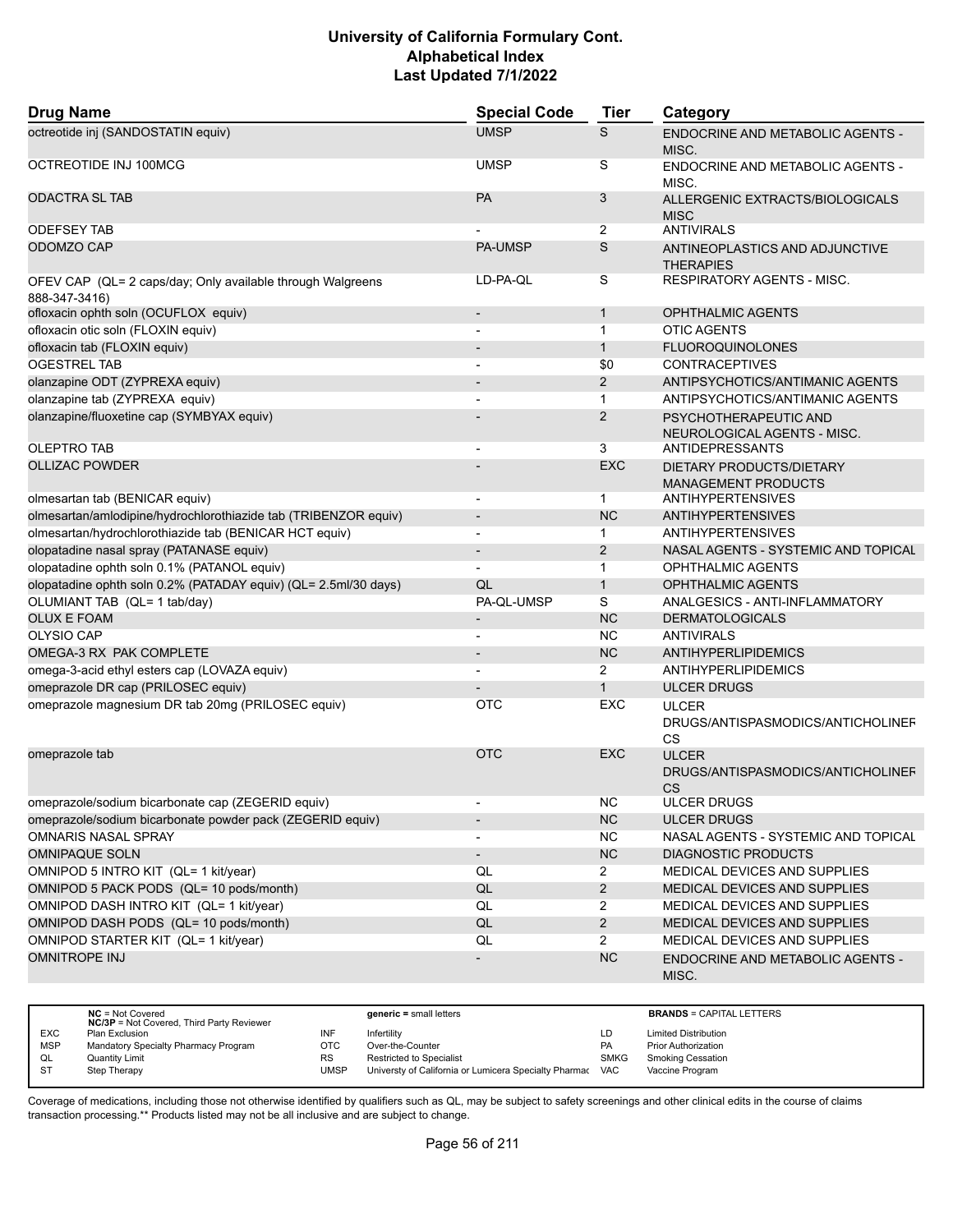| <b>Drug Name</b>                                                            | <b>Special Code</b>          | <b>Tier</b>    | Category                                                       |
|-----------------------------------------------------------------------------|------------------------------|----------------|----------------------------------------------------------------|
| octreotide inj (SANDOSTATIN equiv)                                          | <b>UMSP</b>                  | S              | ENDOCRINE AND METABOLIC AGENTS -<br>MISC.                      |
| OCTREOTIDE INJ 100MCG                                                       | <b>UMSP</b>                  | S              | ENDOCRINE AND METABOLIC AGENTS -<br>MISC.                      |
| <b>ODACTRA SL TAB</b>                                                       | PA                           | 3              | ALLERGENIC EXTRACTS/BIOLOGICALS<br><b>MISC</b>                 |
| <b>ODEFSEY TAB</b>                                                          |                              | 2              | <b>ANTIVIRALS</b>                                              |
| ODOMZO CAP                                                                  | <b>PA-UMSP</b>               | S              | ANTINEOPLASTICS AND ADJUNCTIVE<br><b>THERAPIES</b>             |
| OFEV CAP (QL= 2 caps/day; Only available through Walgreens<br>888-347-3416) | LD-PA-QL                     | S              | <b>RESPIRATORY AGENTS - MISC.</b>                              |
| ofloxacin ophth soln (OCUFLOX equiv)                                        | $\overline{\phantom{a}}$     | $\mathbf{1}$   | <b>OPHTHALMIC AGENTS</b>                                       |
| ofloxacin otic soln (FLOXIN equiv)                                          |                              | $\mathbf{1}$   | <b>OTIC AGENTS</b>                                             |
| ofloxacin tab (FLOXIN equiv)                                                |                              | $\mathbf{1}$   | <b>FLUOROQUINOLONES</b>                                        |
| <b>OGESTREL TAB</b>                                                         | $\blacksquare$               | \$0            | <b>CONTRACEPTIVES</b>                                          |
| olanzapine ODT (ZYPREXA equiv)                                              |                              | 2              | ANTIPSYCHOTICS/ANTIMANIC AGENTS                                |
| olanzapine tab (ZYPREXA equiv)                                              |                              | $\mathbf{1}$   | ANTIPSYCHOTICS/ANTIMANIC AGENTS                                |
| olanzapine/fluoxetine cap (SYMBYAX equiv)                                   |                              | 2              | PSYCHOTHERAPEUTIC AND<br>NEUROLOGICAL AGENTS - MISC.           |
| <b>OLEPTRO TAB</b>                                                          |                              | 3              | <b>ANTIDEPRESSANTS</b>                                         |
| <b>OLLIZAC POWDER</b>                                                       |                              | <b>EXC</b>     | DIETARY PRODUCTS/DIETARY<br><b>MANAGEMENT PRODUCTS</b>         |
| olmesartan tab (BENICAR equiv)                                              |                              | $\mathbf 1$    | <b>ANTIHYPERTENSIVES</b>                                       |
| olmesartan/amlodipine/hydrochlorothiazide tab (TRIBENZOR equiv)             | $\qquad \qquad \blacksquare$ | <b>NC</b>      | <b>ANTIHYPERTENSIVES</b>                                       |
| olmesartan/hydrochlorothiazide tab (BENICAR HCT equiv)                      | $\overline{\phantom{a}}$     | $\mathbf{1}$   | <b>ANTIHYPERTENSIVES</b>                                       |
| olopatadine nasal spray (PATANASE equiv)                                    | $\overline{\phantom{a}}$     | 2              | NASAL AGENTS - SYSTEMIC AND TOPICAL                            |
| olopatadine ophth soln 0.1% (PATANOL equiv)                                 | $\overline{\phantom{a}}$     | $\mathbf{1}$   | <b>OPHTHALMIC AGENTS</b>                                       |
| olopatadine ophth soln 0.2% (PATADAY equiv) (QL= 2.5ml/30 days)             | QL                           | $\mathbf{1}$   | <b>OPHTHALMIC AGENTS</b>                                       |
| OLUMIANT TAB (QL= 1 tab/day)                                                | PA-QL-UMSP                   | S              | ANALGESICS - ANTI-INFLAMMATORY                                 |
| <b>OLUX E FOAM</b>                                                          | $\overline{\phantom{a}}$     | <b>NC</b>      | <b>DERMATOLOGICALS</b>                                         |
| OLYSIO CAP                                                                  | $\overline{\phantom{a}}$     | <b>NC</b>      | <b>ANTIVIRALS</b>                                              |
| OMEGA-3 RX PAK COMPLETE                                                     |                              | <b>NC</b>      | ANTIHYPERLIPIDEMICS                                            |
| omega-3-acid ethyl esters cap (LOVAZA equiv)                                |                              | 2              | ANTIHYPERLIPIDEMICS                                            |
| omeprazole DR cap (PRILOSEC equiv)                                          |                              | $\mathbf{1}$   | <b>ULCER DRUGS</b>                                             |
| omeprazole magnesium DR tab 20mg (PRILOSEC equiv)                           | <b>OTC</b>                   | <b>EXC</b>     | <b>ULCER</b><br>DRUGS/ANTISPASMODICS/ANTICHOLINEF<br><b>CS</b> |
| omeprazole tab                                                              | <b>OTC</b>                   | <b>EXC</b>     | <b>ULCER</b><br>DRUGS/ANTISPASMODICS/ANTICHOLINEF<br><b>CS</b> |
| omeprazole/sodium bicarbonate cap (ZEGERID equiv)                           |                              | NC.            | ULCER DRUGS                                                    |
| omeprazole/sodium bicarbonate powder pack (ZEGERID equiv)                   | $\overline{\phantom{0}}$     | NC             | <b>ULCER DRUGS</b>                                             |
| <b>OMNARIS NASAL SPRAY</b>                                                  | $\blacksquare$               | <b>NC</b>      | NASAL AGENTS - SYSTEMIC AND TOPICAL                            |
| <b>OMNIPAQUE SOLN</b>                                                       | $\overline{\phantom{a}}$     | <b>NC</b>      | <b>DIAGNOSTIC PRODUCTS</b>                                     |
| OMNIPOD 5 INTRO KIT (QL= 1 kit/year)                                        | QL                           | $\overline{2}$ | MEDICAL DEVICES AND SUPPLIES                                   |
| OMNIPOD 5 PACK PODS (QL= 10 pods/month)                                     | QL                           | $\overline{2}$ | MEDICAL DEVICES AND SUPPLIES                                   |
| OMNIPOD DASH INTRO KIT (QL= 1 kit/year)                                     | QL                           | $\overline{2}$ | MEDICAL DEVICES AND SUPPLIES                                   |
| OMNIPOD DASH PODS (QL= 10 pods/month)                                       | QL                           | $\overline{2}$ | MEDICAL DEVICES AND SUPPLIES                                   |
| OMNIPOD STARTER KIT (QL= 1 kit/year)                                        | QL                           | $\overline{2}$ | MEDICAL DEVICES AND SUPPLIES                                   |
| <b>OMNITROPE INJ</b>                                                        |                              | <b>NC</b>      | ENDOCRINE AND METABOLIC AGENTS -<br>MISC.                      |

|            | $NC = Not Covered$<br><b>NC/3P</b> = Not Covered, Third Party Reviewer |           | $generic = small letters$                             |             | <b>BRANDS = CAPITAL LETTERS</b> |
|------------|------------------------------------------------------------------------|-----------|-------------------------------------------------------|-------------|---------------------------------|
| <b>EXC</b> | Plan Exclusion                                                         | INF       | Infertility                                           | LD          | <b>Limited Distribution</b>     |
| <b>MSP</b> | Mandatory Specialty Pharmacy Program                                   | OTC       | Over-the-Counter                                      | PA          | <b>Prior Authorization</b>      |
| QL         | <b>Quantity Limit</b>                                                  | <b>RS</b> | Restricted to Specialist                              | <b>SMKG</b> | <b>Smoking Cessation</b>        |
| <b>ST</b>  | Step Therapy                                                           | UMSP      | Universty of California or Lumicera Specialty Pharmac | VAC         | Vaccine Program                 |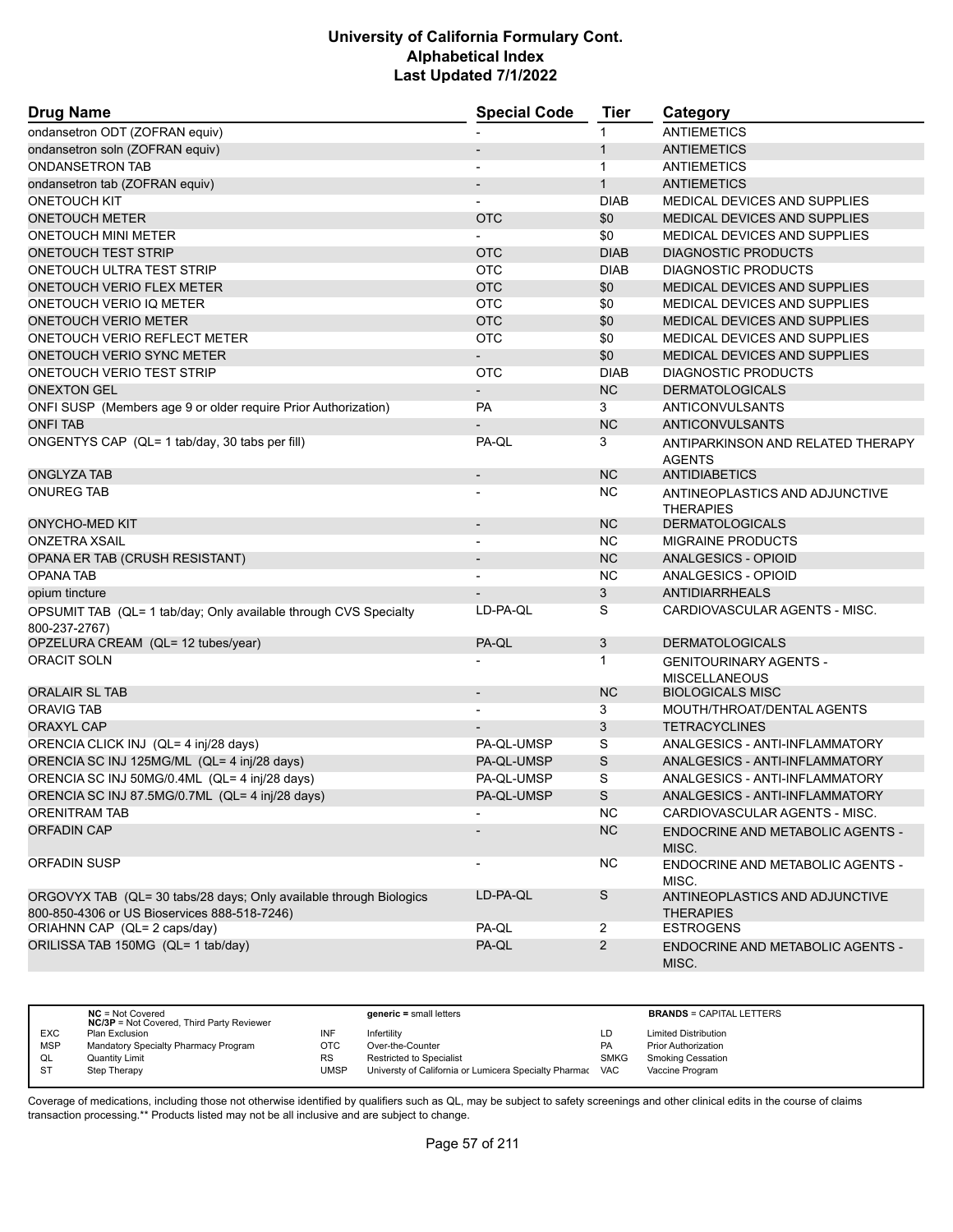| <b>Drug Name</b>                                                                                                   | <b>Special Code</b>          | Tier           | Category                                              |
|--------------------------------------------------------------------------------------------------------------------|------------------------------|----------------|-------------------------------------------------------|
| ondansetron ODT (ZOFRAN equiv)                                                                                     |                              | 1              | <b>ANTIEMETICS</b>                                    |
| ondansetron soln (ZOFRAN equiv)                                                                                    |                              | $\mathbf{1}$   | <b>ANTIEMETICS</b>                                    |
| <b>ONDANSETRON TAB</b>                                                                                             |                              | 1              | <b>ANTIEMETICS</b>                                    |
| ondansetron tab (ZOFRAN equiv)                                                                                     |                              | $\mathbf{1}$   | <b>ANTIEMETICS</b>                                    |
| <b>ONETOUCH KIT</b>                                                                                                |                              | <b>DIAB</b>    | MEDICAL DEVICES AND SUPPLIES                          |
| <b>ONETOUCH METER</b>                                                                                              | <b>OTC</b>                   | \$0            | MEDICAL DEVICES AND SUPPLIES                          |
| ONETOUCH MINI METER                                                                                                |                              | \$0            | MEDICAL DEVICES AND SUPPLIES                          |
| <b>ONETOUCH TEST STRIP</b>                                                                                         | <b>OTC</b>                   | <b>DIAB</b>    | <b>DIAGNOSTIC PRODUCTS</b>                            |
| ONETOUCH ULTRA TEST STRIP                                                                                          | <b>OTC</b>                   | <b>DIAB</b>    | DIAGNOSTIC PRODUCTS                                   |
| <b>ONETOUCH VERIO FLEX METER</b>                                                                                   | <b>OTC</b>                   | \$0            | MEDICAL DEVICES AND SUPPLIES                          |
| ONETOUCH VERIO IQ METER                                                                                            | <b>OTC</b>                   | \$0            | <b>MEDICAL DEVICES AND SUPPLIES</b>                   |
| <b>ONETOUCH VERIO METER</b>                                                                                        | <b>OTC</b>                   | \$0            | MEDICAL DEVICES AND SUPPLIES                          |
| ONETOUCH VERIO REFLECT METER                                                                                       | <b>OTC</b>                   | \$0            | MEDICAL DEVICES AND SUPPLIES                          |
| ONETOUCH VERIO SYNC METER                                                                                          |                              | \$0            | MEDICAL DEVICES AND SUPPLIES                          |
| ONETOUCH VERIO TEST STRIP                                                                                          | <b>OTC</b>                   | <b>DIAB</b>    | DIAGNOSTIC PRODUCTS                                   |
| <b>ONEXTON GEL</b>                                                                                                 |                              | <b>NC</b>      | <b>DERMATOLOGICALS</b>                                |
| ONFI SUSP (Members age 9 or older require Prior Authorization)                                                     | <b>PA</b>                    | 3              | ANTICONVULSANTS                                       |
| <b>ONFI TAB</b>                                                                                                    |                              | <b>NC</b>      | <b>ANTICONVULSANTS</b>                                |
| ONGENTYS CAP (QL= 1 tab/day, 30 tabs per fill)                                                                     | PA-QL                        | 3              | ANTIPARKINSON AND RELATED THERAPY<br><b>AGENTS</b>    |
| <b>ONGLYZA TAB</b>                                                                                                 | $\overline{\phantom{a}}$     | <b>NC</b>      | <b>ANTIDIABETICS</b>                                  |
| <b>ONUREG TAB</b>                                                                                                  |                              | <b>NC</b>      | ANTINEOPLASTICS AND ADJUNCTIVE<br><b>THERAPIES</b>    |
| <b>ONYCHO-MED KIT</b>                                                                                              | $\qquad \qquad \blacksquare$ | <b>NC</b>      | <b>DERMATOLOGICALS</b>                                |
| <b>ONZETRA XSAIL</b>                                                                                               |                              | NC.            | <b>MIGRAINE PRODUCTS</b>                              |
| OPANA ER TAB (CRUSH RESISTANT)                                                                                     |                              | <b>NC</b>      | <b>ANALGESICS - OPIOID</b>                            |
| <b>OPANA TAB</b>                                                                                                   |                              | <b>NC</b>      | ANALGESICS - OPIOID                                   |
| opium tincture                                                                                                     |                              | 3              | <b>ANTIDIARRHEALS</b>                                 |
| OPSUMIT TAB (QL= 1 tab/day; Only available through CVS Specialty<br>800-237-2767)                                  | LD-PA-QL                     | S              | CARDIOVASCULAR AGENTS - MISC.                         |
| OPZELURA CREAM (QL= 12 tubes/year)                                                                                 | PA-QL                        | 3              | <b>DERMATOLOGICALS</b>                                |
| <b>ORACIT SOLN</b>                                                                                                 |                              | $\mathbf{1}$   | <b>GENITOURINARY AGENTS -</b><br><b>MISCELLANEOUS</b> |
| <b>ORALAIR SL TAB</b>                                                                                              | $\overline{\phantom{a}}$     | <b>NC</b>      | <b>BIOLOGICALS MISC</b>                               |
| <b>ORAVIG TAB</b>                                                                                                  |                              | 3              | MOUTH/THROAT/DENTAL AGENTS                            |
| <b>ORAXYL CAP</b>                                                                                                  |                              | 3              | <b>TETRACYCLINES</b>                                  |
| ORENCIA CLICK INJ (QL= 4 inj/28 days)                                                                              | PA-QL-UMSP                   | S              | ANALGESICS - ANTI-INFLAMMATORY                        |
| ORENCIA SC INJ 125MG/ML (QL= 4 inj/28 days)                                                                        | PA-QL-UMSP                   | S              | ANALGESICS - ANTI-INFLAMMATORY                        |
| ORENCIA SC INJ 50MG/0.4ML (QL= 4 inj/28 days)                                                                      | PA-QL-UMSP                   | S              | ANALGESICS - ANTI-INFLAMMATORY                        |
| ORENCIA SC INJ 87.5MG/0.7ML (QL= 4 inj/28 days)                                                                    | PA-QL-UMSP                   | S              | ANALGESICS - ANTI-INFLAMMATORY                        |
| <b>ORENITRAM TAB</b>                                                                                               |                              | <b>NC</b>      | CARDIOVASCULAR AGENTS - MISC.                         |
| <b>ORFADIN CAP</b>                                                                                                 |                              | NC             | ENDOCRINE AND METABOLIC AGENTS -<br>MISC.             |
| ORFADIN SUSP                                                                                                       | $\overline{\phantom{a}}$     | <b>NC</b>      | ENDOCRINE AND METABOLIC AGENTS -<br>MISC.             |
| ORGOVYX TAB (QL= 30 tabs/28 days; Only available through Biologics<br>800-850-4306 or US Bioservices 888-518-7246) | LD-PA-QL                     | S              | ANTINEOPLASTICS AND ADJUNCTIVE<br><b>THERAPIES</b>    |
| ORIAHNN CAP (QL= 2 caps/day)                                                                                       | PA-QL                        | $\overline{2}$ | <b>ESTROGENS</b>                                      |
| ORILISSA TAB 150MG (QL= 1 tab/day)                                                                                 | PA-QL                        | $\overline{2}$ | ENDOCRINE AND METABOLIC AGENTS -<br>MISC.             |

|            | $NC = Not Covered$<br><b>NC/3P</b> = Not Covered, Third Party Reviewer |      | $generic = small letters$                             |            | <b>BRANDS = CAPITAL LETTERS</b> |
|------------|------------------------------------------------------------------------|------|-------------------------------------------------------|------------|---------------------------------|
| <b>EXC</b> | Plan Exclusion                                                         | INF  | Infertility                                           | LD         | <b>Limited Distribution</b>     |
| <b>MSP</b> | Mandatory Specialty Pharmacy Program                                   | OTC  | Over-the-Counter                                      | PA         | <b>Prior Authorization</b>      |
| QL         | <b>Quantity Limit</b>                                                  | RS   | <b>Restricted to Specialist</b>                       | SMKG       | <b>Smoking Cessation</b>        |
| ST         | Step Therapy                                                           | JMSP | Universty of California or Lumicera Specialty Pharmac | <b>VAC</b> | Vaccine Program                 |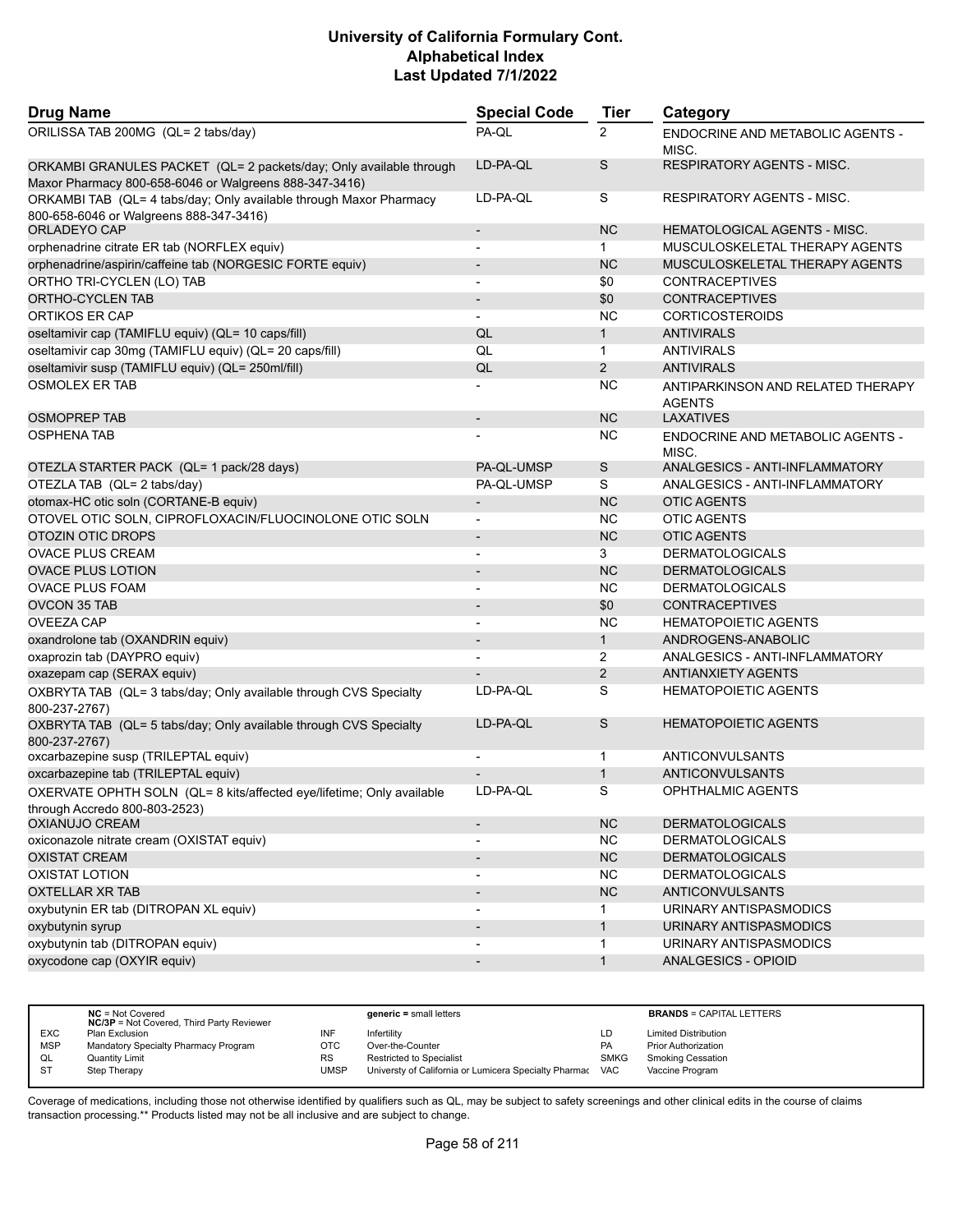| <b>Drug Name</b>                                                                                                             | <b>Special Code</b>      | <b>Tier</b>    | Category                                           |
|------------------------------------------------------------------------------------------------------------------------------|--------------------------|----------------|----------------------------------------------------|
| ORILISSA TAB 200MG (QL= 2 tabs/day)                                                                                          | PA-QL                    | $\overline{2}$ | ENDOCRINE AND METABOLIC AGENTS -<br>MISC.          |
| ORKAMBI GRANULES PACKET (QL= 2 packets/day; Only available through<br>Maxor Pharmacy 800-658-6046 or Walgreens 888-347-3416) | LD-PA-QL                 | S              | <b>RESPIRATORY AGENTS - MISC.</b>                  |
| ORKAMBI TAB (QL= 4 tabs/day; Only available through Maxor Pharmacy<br>800-658-6046 or Walgreens 888-347-3416)                | LD-PA-QL                 | S              | <b>RESPIRATORY AGENTS - MISC.</b>                  |
| ORLADEYO CAP                                                                                                                 | $\overline{\phantom{a}}$ | <b>NC</b>      | <b>HEMATOLOGICAL AGENTS - MISC.</b>                |
| orphenadrine citrate ER tab (NORFLEX equiv)                                                                                  | $\blacksquare$           | $\mathbf 1$    | MUSCULOSKELETAL THERAPY AGENTS                     |
| orphenadrine/aspirin/caffeine tab (NORGESIC FORTE equiv)                                                                     | $\overline{\phantom{a}}$ | <b>NC</b>      | MUSCULOSKELETAL THERAPY AGENTS                     |
| ORTHO TRI-CYCLEN (LO) TAB                                                                                                    |                          | \$0            | <b>CONTRACEPTIVES</b>                              |
| ORTHO-CYCLEN TAB                                                                                                             | $\overline{\phantom{a}}$ | \$0            | <b>CONTRACEPTIVES</b>                              |
| <b>ORTIKOS ER CAP</b>                                                                                                        | $\blacksquare$           | <b>NC</b>      | <b>CORTICOSTEROIDS</b>                             |
| oseltamivir cap (TAMIFLU equiv) (QL= 10 caps/fill)                                                                           | QL                       | $\mathbf{1}$   | <b>ANTIVIRALS</b>                                  |
| oseltamivir cap 30mg (TAMIFLU equiv) (QL= 20 caps/fill)                                                                      | QL                       | $\mathbf{1}$   | <b>ANTIVIRALS</b>                                  |
| oseltamivir susp (TAMIFLU equiv) (QL= 250ml/fill)                                                                            | QL                       | $\overline{2}$ | <b>ANTIVIRALS</b>                                  |
| <b>OSMOLEX ER TAB</b>                                                                                                        |                          | <b>NC</b>      | ANTIPARKINSON AND RELATED THERAPY<br><b>AGENTS</b> |
| <b>OSMOPREP TAB</b>                                                                                                          |                          | <b>NC</b>      | <b>LAXATIVES</b>                                   |
| <b>OSPHENA TAB</b>                                                                                                           |                          | <b>NC</b>      | ENDOCRINE AND METABOLIC AGENTS -<br>MISC.          |
| OTEZLA STARTER PACK (QL= 1 pack/28 days)                                                                                     | PA-QL-UMSP               | S              | ANALGESICS - ANTI-INFLAMMATORY                     |
| OTEZLA TAB (QL= 2 tabs/day)                                                                                                  | PA-QL-UMSP               | S              | ANALGESICS - ANTI-INFLAMMATORY                     |
| otomax-HC otic soln (CORTANE-B equiv)                                                                                        |                          | <b>NC</b>      | <b>OTIC AGENTS</b>                                 |
| OTOVEL OTIC SOLN, CIPROFLOXACIN/FLUOCINOLONE OTIC SOLN                                                                       | $\overline{\phantom{a}}$ | <b>NC</b>      | <b>OTIC AGENTS</b>                                 |
| <b>OTOZIN OTIC DROPS</b>                                                                                                     | $\overline{\phantom{a}}$ | <b>NC</b>      | <b>OTIC AGENTS</b>                                 |
| <b>OVACE PLUS CREAM</b>                                                                                                      |                          | 3              | <b>DERMATOLOGICALS</b>                             |
| <b>OVACE PLUS LOTION</b>                                                                                                     | $\blacksquare$           | <b>NC</b>      | <b>DERMATOLOGICALS</b>                             |
| <b>OVACE PLUS FOAM</b>                                                                                                       | $\overline{\phantom{a}}$ | <b>NC</b>      | <b>DERMATOLOGICALS</b>                             |
| <b>OVCON 35 TAB</b>                                                                                                          |                          | \$0            | <b>CONTRACEPTIVES</b>                              |
| <b>OVEEZA CAP</b>                                                                                                            | $\overline{\phantom{a}}$ | <b>NC</b>      | <b>HEMATOPOIETIC AGENTS</b>                        |
| oxandrolone tab (OXANDRIN equiv)                                                                                             | $\overline{\phantom{a}}$ | $\mathbf{1}$   | ANDROGENS-ANABOLIC                                 |
| oxaprozin tab (DAYPRO equiv)                                                                                                 |                          | $\overline{2}$ | ANALGESICS - ANTI-INFLAMMATORY                     |
| oxazepam cap (SERAX equiv)                                                                                                   |                          | 2              | <b>ANTIANXIETY AGENTS</b>                          |
| OXBRYTA TAB (QL= 3 tabs/day; Only available through CVS Specialty<br>800-237-2767)                                           | LD-PA-QL                 | S              | <b>HEMATOPOIETIC AGENTS</b>                        |
| OXBRYTA TAB (QL= 5 tabs/day; Only available through CVS Specialty<br>800-237-2767)                                           | LD-PA-QL                 | S              | <b>HEMATOPOIETIC AGENTS</b>                        |
| oxcarbazepine susp (TRILEPTAL equiv)                                                                                         | $\blacksquare$           | 1              | ANTICONVULSANTS                                    |
| oxcarbazepine tab (TRILEPTAL equiv)                                                                                          |                          | $\mathbf{1}$   | <b>ANTICONVULSANTS</b>                             |
| OXERVATE OPHTH SOLN (QL= 8 kits/affected eye/lifetime; Only available<br>through Accredo 800-803-2523)                       | LD-PA-QL                 | S              | <b>OPHTHALMIC AGENTS</b>                           |
| <b>OXIANUJO CREAM</b>                                                                                                        |                          | NC             | <b>DERMATOLOGICALS</b>                             |
| oxiconazole nitrate cream (OXISTAT equiv)                                                                                    | $\overline{\phantom{a}}$ | <b>NC</b>      | <b>DERMATOLOGICALS</b>                             |
| <b>OXISTAT CREAM</b>                                                                                                         | $\overline{\phantom{a}}$ | NC             | <b>DERMATOLOGICALS</b>                             |
| <b>OXISTAT LOTION</b>                                                                                                        | $\overline{\phantom{a}}$ | <b>NC</b>      | <b>DERMATOLOGICALS</b>                             |
| OXTELLAR XR TAB                                                                                                              | $\overline{\phantom{a}}$ | NC             | ANTICONVULSANTS                                    |
| oxybutynin ER tab (DITROPAN XL equiv)                                                                                        | $\overline{\phantom{a}}$ | $\mathbf{1}$   | URINARY ANTISPASMODICS                             |
| oxybutynin syrup                                                                                                             | $\overline{\phantom{a}}$ | $\mathbf{1}$   | URINARY ANTISPASMODICS                             |
| oxybutynin tab (DITROPAN equiv)                                                                                              |                          | 1              | URINARY ANTISPASMODICS                             |
| oxycodone cap (OXYIR equiv)                                                                                                  |                          | $\mathbf{1}$   | <b>ANALGESICS - OPIOID</b>                         |
|                                                                                                                              |                          |                |                                                    |

|            | $NC = Not Covered$<br><b>NC/3P</b> = Not Covered, Third Party Reviewer |      | $generic = small letters$                             |             | <b>BRANDS = CAPITAL LETTERS</b> |
|------------|------------------------------------------------------------------------|------|-------------------------------------------------------|-------------|---------------------------------|
| <b>EXC</b> | Plan Exclusion                                                         | INF  | Infertility                                           | LD          | <b>Limited Distribution</b>     |
| <b>MSP</b> | Mandatory Specialty Pharmacy Program                                   | OTC  | Over-the-Counter                                      | PA          | <b>Prior Authorization</b>      |
| QL         | Quantity Limit                                                         | RS   | <b>Restricted to Specialist</b>                       | <b>SMKG</b> | <b>Smoking Cessation</b>        |
| <b>ST</b>  | Step Therapy                                                           | UMSP | Universty of California or Lumicera Specialty Pharmac | <b>VAC</b>  | Vaccine Program                 |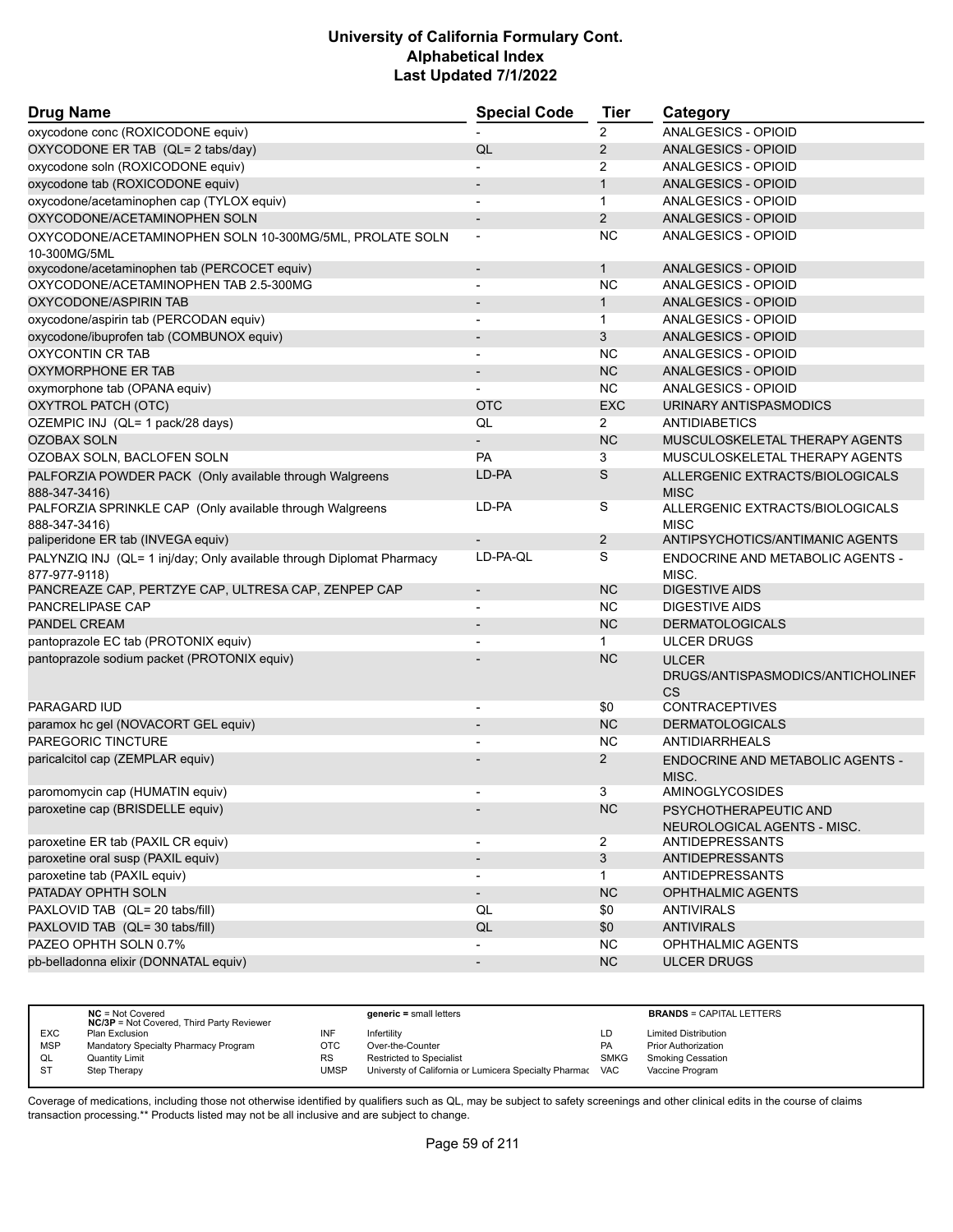| <b>Drug Name</b>                                                          | <b>Special Code</b>      | Tier           | Category                                                       |
|---------------------------------------------------------------------------|--------------------------|----------------|----------------------------------------------------------------|
| oxycodone conc (ROXICODONE equiv)                                         |                          | 2              | ANALGESICS - OPIOID                                            |
| OXYCODONE ER TAB (QL= 2 tabs/day)                                         | QL                       | 2              | ANALGESICS - OPIOID                                            |
| oxycodone soln (ROXICODONE equiv)                                         |                          | 2              | ANALGESICS - OPIOID                                            |
| oxycodone tab (ROXICODONE equiv)                                          |                          | $\mathbf{1}$   | <b>ANALGESICS - OPIOID</b>                                     |
| oxycodone/acetaminophen cap (TYLOX equiv)                                 |                          | $\mathbf{1}$   | ANALGESICS - OPIOID                                            |
| OXYCODONE/ACETAMINOPHEN SOLN                                              | $\overline{\phantom{a}}$ | $\overline{2}$ | ANALGESICS - OPIOID                                            |
| OXYCODONE/ACETAMINOPHEN SOLN 10-300MG/5ML, PROLATE SOLN                   |                          | <b>NC</b>      | ANALGESICS - OPIOID                                            |
| 10-300MG/5ML                                                              |                          |                |                                                                |
| oxycodone/acetaminophen tab (PERCOCET equiv)                              | $\overline{\phantom{a}}$ | $\mathbf{1}$   | <b>ANALGESICS - OPIOID</b>                                     |
| OXYCODONE/ACETAMINOPHEN TAB 2.5-300MG                                     |                          | <b>NC</b>      | ANALGESICS - OPIOID                                            |
| OXYCODONE/ASPIRIN TAB                                                     | $\overline{\phantom{a}}$ | $\mathbf{1}$   | ANALGESICS - OPIOID                                            |
| oxycodone/aspirin tab (PERCODAN equiv)                                    |                          | $\mathbf{1}$   | ANALGESICS - OPIOID                                            |
| oxycodone/ibuprofen tab (COMBUNOX equiv)                                  |                          | 3              | ANALGESICS - OPIOID                                            |
| <b>OXYCONTIN CR TAB</b>                                                   | $\overline{a}$           | <b>NC</b>      | ANALGESICS - OPIOID                                            |
| OXYMORPHONE ER TAB                                                        |                          | <b>NC</b>      | ANALGESICS - OPIOID                                            |
| oxymorphone tab (OPANA equiv)                                             |                          | <b>NC</b>      | ANALGESICS - OPIOID                                            |
| OXYTROL PATCH (OTC)                                                       | <b>OTC</b>               | <b>EXC</b>     | URINARY ANTISPASMODICS                                         |
| OZEMPIC INJ (QL= 1 pack/28 days)                                          | QL                       | 2              | <b>ANTIDIABETICS</b>                                           |
| <b>OZOBAX SOLN</b>                                                        |                          | <b>NC</b>      | MUSCULOSKELETAL THERAPY AGENTS                                 |
| OZOBAX SOLN, BACLOFEN SOLN                                                | PA                       | 3              | MUSCULOSKELETAL THERAPY AGENTS                                 |
| PALFORZIA POWDER PACK (Only available through Walgreens<br>888-347-3416)  | LD-PA                    | S              | ALLERGENIC EXTRACTS/BIOLOGICALS<br><b>MISC</b>                 |
| PALFORZIA SPRINKLE CAP (Only available through Walgreens<br>888-347-3416) | LD-PA                    | S              | ALLERGENIC EXTRACTS/BIOLOGICALS<br><b>MISC</b>                 |
| paliperidone ER tab (INVEGA equiv)                                        |                          | $\overline{2}$ | ANTIPSYCHOTICS/ANTIMANIC AGENTS                                |
| PALYNZIQ INJ (QL= 1 inj/day; Only available through Diplomat Pharmacy     | LD-PA-QL                 | S              | ENDOCRINE AND METABOLIC AGENTS -                               |
| 877-977-9118)<br>PANCREAZE CAP, PERTZYE CAP, ULTRESA CAP, ZENPEP CAP      | $\overline{\phantom{a}}$ | <b>NC</b>      | MISC.<br><b>DIGESTIVE AIDS</b>                                 |
| <b>PANCRELIPASE CAP</b>                                                   |                          | <b>NC</b>      | DIGESTIVE AIDS                                                 |
| <b>PANDEL CREAM</b>                                                       |                          | <b>NC</b>      | <b>DERMATOLOGICALS</b>                                         |
|                                                                           |                          | $\mathbf{1}$   | <b>ULCER DRUGS</b>                                             |
| pantoprazole EC tab (PROTONIX equiv)                                      | $\blacksquare$           | <b>NC</b>      |                                                                |
| pantoprazole sodium packet (PROTONIX equiv)                               |                          |                | <b>ULCER</b><br>DRUGS/ANTISPASMODICS/ANTICHOLINEF<br><b>CS</b> |
| <b>PARAGARD IUD</b>                                                       |                          | \$0            | <b>CONTRACEPTIVES</b>                                          |
| paramox hc gel (NOVACORT GEL equiv)                                       |                          | <b>NC</b>      | <b>DERMATOLOGICALS</b>                                         |
| PAREGORIC TINCTURE                                                        |                          | <b>NC</b>      | ANTIDIARRHEALS                                                 |
| paricalcitol cap (ZEMPLAR equiv)                                          |                          | 2              | <b>ENDOCRINE AND METABOLIC AGENTS -</b><br>MISC.               |
| paromomycin cap (HUMATIN equiv)                                           |                          | 3              | AMINOGLYCOSIDES                                                |
| paroxetine cap (BRISDELLE equiv)                                          |                          | NC             | PSYCHOTHERAPEUTIC AND<br>NEUROLOGICAL AGENTS - MISC.           |
| paroxetine ER tab (PAXIL CR equiv)                                        |                          | $\overline{a}$ | ANTIDEPRESSANTS                                                |
| paroxetine oral susp (PAXIL equiv)                                        |                          | $\mathbf{3}$   | <b>ANTIDEPRESSANTS</b>                                         |
| paroxetine tab (PAXIL equiv)                                              | $\overline{\phantom{a}}$ | $\mathbf{1}$   | <b>ANTIDEPRESSANTS</b>                                         |
| PATADAY OPHTH SOLN                                                        | $\overline{\phantom{a}}$ | NC             | OPHTHALMIC AGENTS                                              |
| PAXLOVID TAB (QL= 20 tabs/fill)                                           | QL                       | \$0            | <b>ANTIVIRALS</b>                                              |
| PAXLOVID TAB (QL= 30 tabs/fill)                                           | QL                       | \$0            | <b>ANTIVIRALS</b>                                              |
| PAZEO OPHTH SOLN 0.7%                                                     |                          | NC.            | OPHTHALMIC AGENTS                                              |
| pb-belladonna elixir (DONNATAL equiv)                                     | $\overline{\phantom{a}}$ | NC             | <b>ULCER DRUGS</b>                                             |
|                                                                           |                          |                |                                                                |

|            | $NC = Not Covered$<br><b>NC/3P</b> = Not Covered, Third Party Reviewer |           | $generic = small letters$                             |             | <b>BRANDS = CAPITAL LETTERS</b> |
|------------|------------------------------------------------------------------------|-----------|-------------------------------------------------------|-------------|---------------------------------|
| <b>EXC</b> | Plan Exclusion                                                         | INF       | Infertility                                           | LD          | <b>Limited Distribution</b>     |
| <b>MSP</b> | Mandatory Specialty Pharmacy Program                                   | OTC       | Over-the-Counter                                      | PA          | <b>Prior Authorization</b>      |
| QL         | Quantity Limit                                                         | <b>RS</b> | <b>Restricted to Specialist</b>                       | <b>SMKG</b> | <b>Smoking Cessation</b>        |
| <b>ST</b>  | Step Therapy                                                           | UMSP      | Universty of California or Lumicera Specialty Pharmac | <b>VAC</b>  | Vaccine Program                 |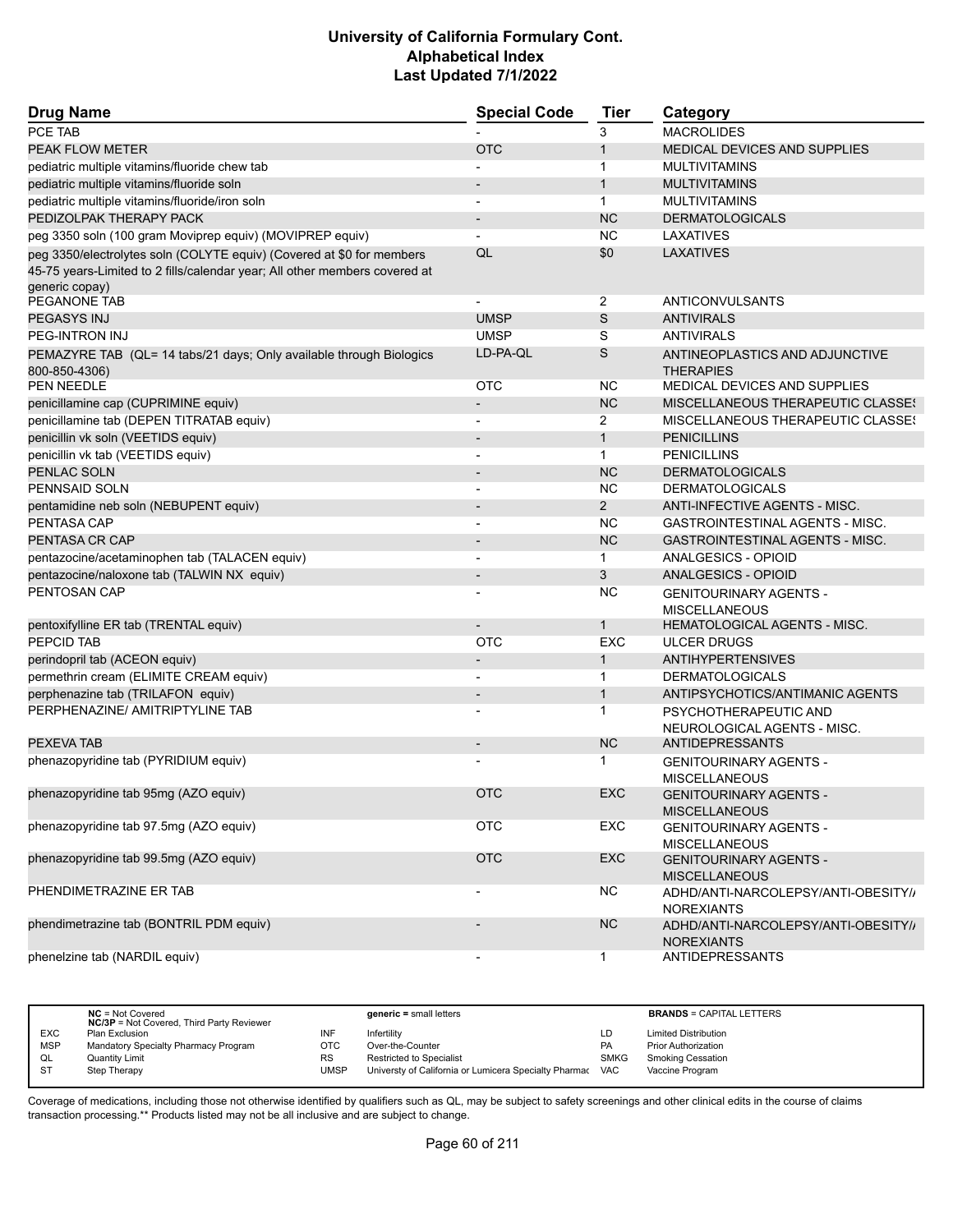| <b>Drug Name</b>                                                           | <b>Special Code</b>      | Tier           | Category                                    |
|----------------------------------------------------------------------------|--------------------------|----------------|---------------------------------------------|
| PCE TAB                                                                    |                          | 3              | <b>MACROLIDES</b>                           |
| PEAK FLOW METER                                                            | <b>OTC</b>               | $\mathbf{1}$   | <b>MEDICAL DEVICES AND SUPPLIES</b>         |
| pediatric multiple vitamins/fluoride chew tab                              |                          | 1              | <b>MULTIVITAMINS</b>                        |
| pediatric multiple vitamins/fluoride soln                                  |                          | $\mathbf{1}$   | <b>MULTIVITAMINS</b>                        |
| pediatric multiple vitamins/fluoride/iron soln                             |                          | $\mathbf{1}$   | <b>MULTIVITAMINS</b>                        |
| PEDIZOLPAK THERAPY PACK                                                    | $\overline{\phantom{a}}$ | <b>NC</b>      | <b>DERMATOLOGICALS</b>                      |
| peg 3350 soln (100 gram Moviprep equiv) (MOVIPREP equiv)                   |                          | <b>NC</b>      | LAXATIVES                                   |
| peg 3350/electrolytes soln (COLYTE equiv) (Covered at \$0 for members      | QL                       | \$0            | LAXATIVES                                   |
| 45-75 years-Limited to 2 fills/calendar year; All other members covered at |                          |                |                                             |
| generic copay)                                                             |                          |                |                                             |
| PEGANONE TAB                                                               |                          | 2              | ANTICONVULSANTS                             |
| PEGASYS INJ                                                                | <b>UMSP</b>              | S              | <b>ANTIVIRALS</b>                           |
| PEG-INTRON INJ                                                             | <b>UMSP</b>              | S              | <b>ANTIVIRALS</b>                           |
| PEMAZYRE TAB (QL= 14 tabs/21 days; Only available through Biologics        | LD-PA-QL                 | S              | ANTINEOPLASTICS AND ADJUNCTIVE              |
| 800-850-4306)                                                              |                          |                | <b>THERAPIES</b>                            |
| PEN NEEDLE                                                                 | <b>OTC</b>               | <b>NC</b>      | MEDICAL DEVICES AND SUPPLIES                |
| penicillamine cap (CUPRIMINE equiv)                                        |                          | <b>NC</b>      | MISCELLANEOUS THERAPEUTIC CLASSES           |
| penicillamine tab (DEPEN TITRATAB equiv)                                   |                          | 2              | MISCELLANEOUS THERAPEUTIC CLASSES           |
| penicillin vk soln (VEETIDS equiv)                                         |                          | $\mathbf{1}$   | <b>PENICILLINS</b>                          |
| penicillin vk tab (VEETIDS equiv)                                          | Ĭ.                       | $\mathbf{1}$   | <b>PENICILLINS</b>                          |
| PENLAC SOLN                                                                |                          | <b>NC</b>      | <b>DERMATOLOGICALS</b>                      |
| PENNSAID SOLN                                                              | $\overline{\phantom{a}}$ | <b>NC</b>      | <b>DERMATOLOGICALS</b>                      |
| pentamidine neb soln (NEBUPENT equiv)                                      | $\overline{\phantom{a}}$ | $\overline{2}$ | ANTI-INFECTIVE AGENTS - MISC.               |
| <b>PENTASA CAP</b>                                                         |                          | <b>NC</b>      | <b>GASTROINTESTINAL AGENTS - MISC.</b>      |
| PENTASA CR CAP                                                             | $\overline{\phantom{0}}$ | <b>NC</b>      | <b>GASTROINTESTINAL AGENTS - MISC.</b>      |
| pentazocine/acetaminophen tab (TALACEN equiv)                              |                          | $\mathbf 1$    | ANALGESICS - OPIOID                         |
| pentazocine/naloxone tab (TALWIN NX equiv)                                 |                          | 3              | <b>ANALGESICS - OPIOID</b>                  |
| PENTOSAN CAP                                                               |                          | <b>NC</b>      | <b>GENITOURINARY AGENTS -</b>               |
|                                                                            |                          |                | <b>MISCELLANEOUS</b>                        |
| pentoxifylline ER tab (TRENTAL equiv)                                      |                          | 1              | <b>HEMATOLOGICAL AGENTS - MISC.</b>         |
| <b>PEPCID TAB</b>                                                          | <b>OTC</b>               | <b>EXC</b>     | <b>ULCER DRUGS</b>                          |
| perindopril tab (ACEON equiv)                                              |                          | 1              | <b>ANTIHYPERTENSIVES</b>                    |
| permethrin cream (ELIMITE CREAM equiv)                                     | $\overline{\phantom{a}}$ | $\mathbf{1}$   | <b>DERMATOLOGICALS</b>                      |
| perphenazine tab (TRILAFON equiv)                                          | $\overline{\phantom{m}}$ | $\mathbf{1}$   | ANTIPSYCHOTICS/ANTIMANIC AGENTS             |
| PERPHENAZINE/ AMITRIPTYLINE TAB                                            |                          | 1              | PSYCHOTHERAPEUTIC AND                       |
|                                                                            |                          |                | NEUROLOGICAL AGENTS - MISC.                 |
| PEXEVA TAB                                                                 |                          | <b>NC</b>      | <b>ANTIDEPRESSANTS</b>                      |
| phenazopyridine tab (PYRIDIUM equiv)                                       |                          | 1              | <b>GENITOURINARY AGENTS -</b>               |
|                                                                            |                          |                | <b>MISCELLANEOUS</b>                        |
| phenazopyridine tab 95mg (AZO equiv)                                       | <b>OTC</b>               | EXC            | <b>GENITOURINARY AGENTS -</b>               |
|                                                                            |                          |                | <b>MISCELLANEOUS</b>                        |
| phenazopyridine tab 97.5mg (AZO equiv)                                     | OTC                      | EXC            | <b>GENITOURINARY AGENTS -</b>               |
|                                                                            |                          |                | <b>MISCELLANEOUS</b>                        |
| phenazopyridine tab 99.5mg (AZO equiv)                                     | <b>OTC</b>               | <b>EXC</b>     | <b>GENITOURINARY AGENTS -</b>               |
|                                                                            |                          |                | <b>MISCELLANEOUS</b>                        |
| PHENDIMETRAZINE ER TAB                                                     | $\overline{\phantom{a}}$ | <b>NC</b>      | ADHD/ANTI-NARCOLEPSY/ANTI-OBESITY//         |
|                                                                            |                          |                | <b>NOREXIANTS</b>                           |
| phendimetrazine tab (BONTRIL PDM equiv)                                    |                          | <b>NC</b>      | ADHD/ANTI-NARCOLEPSY/ANTI-OBESITY//         |
| phenelzine tab (NARDIL equiv)                                              |                          | $\mathbf{1}$   | <b>NOREXIANTS</b><br><b>ANTIDEPRESSANTS</b> |
|                                                                            | $\overline{\phantom{a}}$ |                |                                             |

|            | $NC = Not Covered$<br><b>NC/3P</b> = Not Covered, Third Party Reviewer |           | $generic = small letters$                             |             | <b>BRANDS = CAPITAL LETTERS</b> |
|------------|------------------------------------------------------------------------|-----------|-------------------------------------------------------|-------------|---------------------------------|
| <b>EXC</b> | Plan Exclusion                                                         | INF       | Infertility                                           | LD          | <b>Limited Distribution</b>     |
| <b>MSP</b> | Mandatory Specialty Pharmacy Program                                   | OTC       | Over-the-Counter                                      | PA          | <b>Prior Authorization</b>      |
| QL         | <b>Quantity Limit</b>                                                  | <b>RS</b> | <b>Restricted to Specialist</b>                       | <b>SMKG</b> | <b>Smoking Cessation</b>        |
| <b>ST</b>  | Step Therapy                                                           | UMSP      | Universty of California or Lumicera Specialty Pharmac | <b>VAC</b>  | Vaccine Program                 |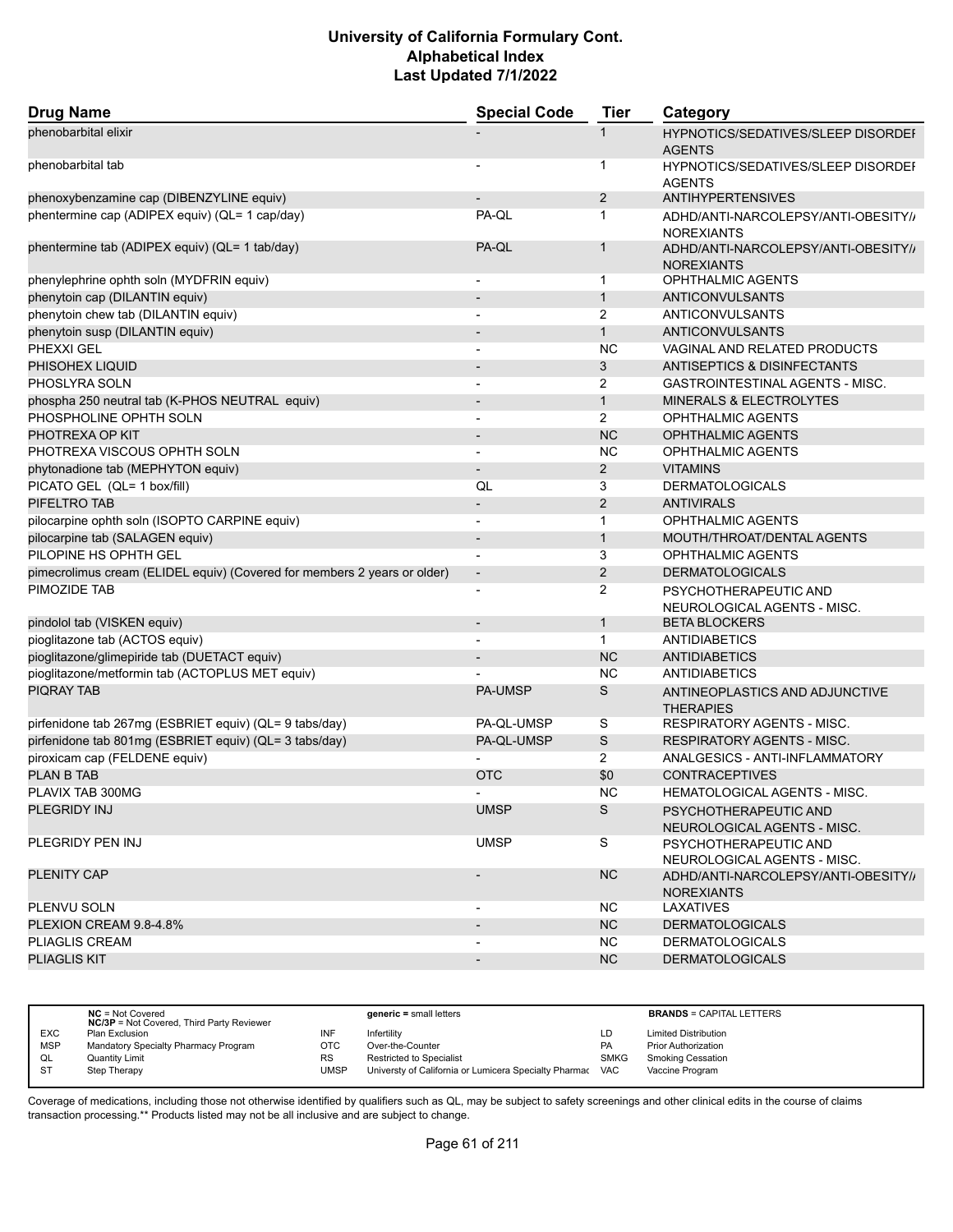| <b>Drug Name</b>                                                         | <b>Special Code</b>      | <b>Tier</b>    | Category                                                 |
|--------------------------------------------------------------------------|--------------------------|----------------|----------------------------------------------------------|
| phenobarbital elixir                                                     |                          | 1              | HYPNOTICS/SEDATIVES/SLEEP DISORDEF<br><b>AGENTS</b>      |
| phenobarbital tab                                                        |                          | 1              | HYPNOTICS/SEDATIVES/SLEEP DISORDEF<br><b>AGENTS</b>      |
| phenoxybenzamine cap (DIBENZYLINE equiv)                                 |                          | $\overline{2}$ | <b>ANTIHYPERTENSIVES</b>                                 |
| phentermine cap (ADIPEX equiv) (QL= 1 cap/day)                           | PA-QL                    | 1              | ADHD/ANTI-NARCOLEPSY/ANTI-OBESITY//<br><b>NOREXIANTS</b> |
| phentermine tab (ADIPEX equiv) (QL= 1 tab/day)                           | PA-QL                    | $\mathbf{1}$   | ADHD/ANTI-NARCOLEPSY/ANTI-OBESITY//<br><b>NOREXIANTS</b> |
| phenylephrine ophth soln (MYDFRIN equiv)                                 | $\overline{\phantom{a}}$ | $\mathbf{1}$   | <b>OPHTHALMIC AGENTS</b>                                 |
| phenytoin cap (DILANTIN equiv)                                           |                          | $\mathbf{1}$   | <b>ANTICONVULSANTS</b>                                   |
| phenytoin chew tab (DILANTIN equiv)                                      |                          | 2              | ANTICONVULSANTS                                          |
| phenytoin susp (DILANTIN equiv)                                          | $\overline{\phantom{a}}$ | $\mathbf{1}$   | ANTICONVULSANTS                                          |
| PHEXXI GEL                                                               |                          | <b>NC</b>      | VAGINAL AND RELATED PRODUCTS                             |
| PHISOHEX LIQUID                                                          |                          | 3              | <b>ANTISEPTICS &amp; DISINFECTANTS</b>                   |
| PHOSLYRA SOLN                                                            | $\blacksquare$           | 2              | GASTROINTESTINAL AGENTS - MISC.                          |
| phospha 250 neutral tab (K-PHOS NEUTRAL equiv)                           |                          | $\mathbf{1}$   | <b>MINERALS &amp; ELECTROLYTES</b>                       |
| PHOSPHOLINE OPHTH SOLN                                                   |                          | $\overline{2}$ | OPHTHALMIC AGENTS                                        |
| PHOTREXA OP KIT                                                          | $\blacksquare$           | <b>NC</b>      | <b>OPHTHALMIC AGENTS</b>                                 |
| PHOTREXA VISCOUS OPHTH SOLN                                              |                          | NC.            | OPHTHALMIC AGENTS                                        |
| phytonadione tab (MEPHYTON equiv)                                        | $\overline{\phantom{a}}$ | $\overline{2}$ | <b>VITAMINS</b>                                          |
| PICATO GEL (QL= 1 box/fill)                                              | QL                       | 3              | <b>DERMATOLOGICALS</b>                                   |
| PIFELTRO TAB                                                             | $\overline{\phantom{a}}$ | $\overline{2}$ | <b>ANTIVIRALS</b>                                        |
| pilocarpine ophth soln (ISOPTO CARPINE equiv)                            |                          | $\mathbf{1}$   | OPHTHALMIC AGENTS                                        |
| pilocarpine tab (SALAGEN equiv)                                          | $\blacksquare$           | $\mathbf{1}$   | MOUTH/THROAT/DENTAL AGENTS                               |
| PILOPINE HS OPHTH GEL                                                    |                          | 3              | OPHTHALMIC AGENTS                                        |
| pimecrolimus cream (ELIDEL equiv) (Covered for members 2 years or older) | $\overline{\phantom{a}}$ | 2              | <b>DERMATOLOGICALS</b>                                   |
| PIMOZIDE TAB                                                             |                          | $\overline{2}$ | PSYCHOTHERAPEUTIC AND<br>NEUROLOGICAL AGENTS - MISC.     |
| pindolol tab (VISKEN equiv)                                              | $\overline{\phantom{a}}$ | $\mathbf{1}$   | <b>BETA BLOCKERS</b>                                     |
| pioglitazone tab (ACTOS equiv)                                           |                          | $\mathbf{1}$   | <b>ANTIDIABETICS</b>                                     |
| pioglitazone/glimepiride tab (DUETACT equiv)                             |                          | <b>NC</b>      | <b>ANTIDIABETICS</b>                                     |
| pioglitazone/metformin tab (ACTOPLUS MET equiv)                          |                          | <b>NC</b>      | ANTIDIABETICS                                            |
| <b>PIQRAY TAB</b>                                                        | PA-UMSP                  | S              | ANTINEOPLASTICS AND ADJUNCTIVE<br><b>THERAPIES</b>       |
| pirfenidone tab 267mg (ESBRIET equiv) (QL= 9 tabs/day)                   | PA-QL-UMSP               | S              | <b>RESPIRATORY AGENTS - MISC.</b>                        |
| pirfenidone tab 801mg (ESBRIET equiv) (QL= 3 tabs/day)                   | PA-QL-UMSP               | S              | <b>RESPIRATORY AGENTS - MISC.</b>                        |
| piroxicam cap (FELDENE equiv)                                            |                          | $\overline{2}$ | ANALGESICS - ANTI-INFLAMMATORY                           |
| <b>PLAN B TAB</b>                                                        | <b>OTC</b>               | \$0            | <b>CONTRACEPTIVES</b>                                    |
| PLAVIX TAB 300MG                                                         |                          | <b>NC</b>      | HEMATOLOGICAL AGENTS - MISC.                             |
| PLEGRIDY INJ                                                             | <b>UMSP</b>              | S              | PSYCHOTHERAPEUTIC AND<br>NEUROLOGICAL AGENTS - MISC.     |
| PLEGRIDY PEN INJ                                                         | <b>UMSP</b>              | S              | PSYCHOTHERAPEUTIC AND<br>NEUROLOGICAL AGENTS - MISC.     |
| <b>PLENITY CAP</b>                                                       |                          | <b>NC</b>      | ADHD/ANTI-NARCOLEPSY/ANTI-OBESITY//<br><b>NOREXIANTS</b> |
| PLENVU SOLN                                                              |                          | NC.            | LAXATIVES                                                |
| PLEXION CREAM 9.8-4.8%                                                   | $\overline{\phantom{a}}$ | <b>NC</b>      | <b>DERMATOLOGICALS</b>                                   |
| PLIAGLIS CREAM                                                           |                          | NC.            | <b>DERMATOLOGICALS</b>                                   |
| <b>PLIAGLIS KIT</b>                                                      |                          | N <sub>C</sub> | <b>DERMATOLOGICALS</b>                                   |

|            | $NC = Not Covered$<br><b>NC/3P</b> = Not Covered, Third Party Reviewer |      | $generic = small letters$                             |             | <b>BRANDS = CAPITAL LETTERS</b> |
|------------|------------------------------------------------------------------------|------|-------------------------------------------------------|-------------|---------------------------------|
| <b>EXC</b> | Plan Exclusion                                                         | INF  | Infertility                                           | LD          | <b>Limited Distribution</b>     |
| <b>MSP</b> | Mandatory Specialty Pharmacy Program                                   | OTC  | Over-the-Counter                                      | PA          | <b>Prior Authorization</b>      |
| QL         | <b>Quantity Limit</b>                                                  | RS   | <b>Restricted to Specialist</b>                       | <b>SMKG</b> | <b>Smoking Cessation</b>        |
| - ST       | Step Therapy                                                           | UMSP | Universty of California or Lumicera Specialty Pharmac | <b>VAC</b>  | Vaccine Program                 |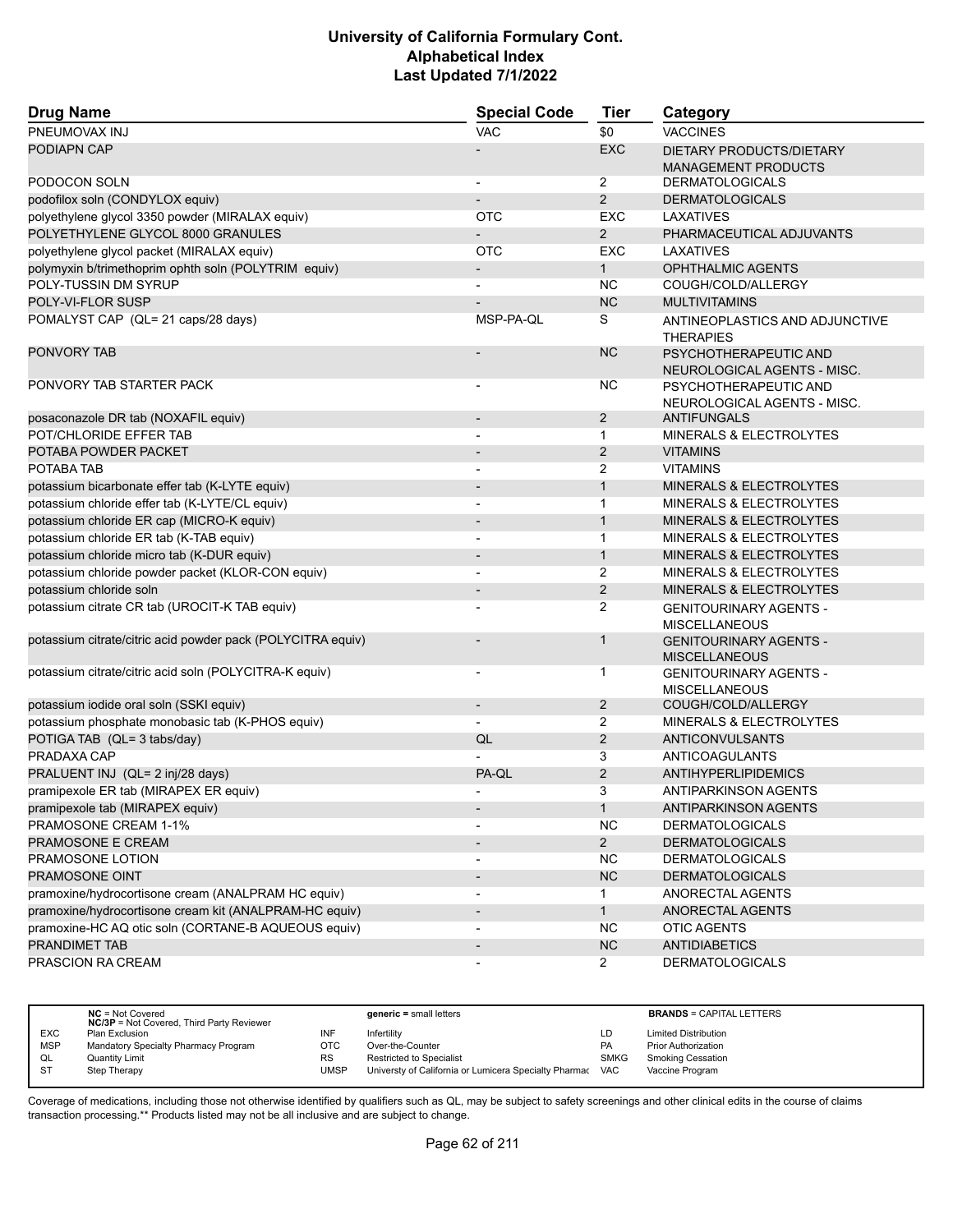| <b>Drug Name</b>                                            | <b>Special Code</b>          | <b>Tier</b>    | Category                                               |
|-------------------------------------------------------------|------------------------------|----------------|--------------------------------------------------------|
| PNEUMOVAX INJ                                               | <b>VAC</b>                   | \$0            | <b>VACCINES</b>                                        |
| PODIAPN CAP                                                 |                              | <b>EXC</b>     | DIETARY PRODUCTS/DIETARY<br><b>MANAGEMENT PRODUCTS</b> |
| PODOCON SOLN                                                |                              | $\overline{2}$ | <b>DERMATOLOGICALS</b>                                 |
| podofilox soln (CONDYLOX equiv)                             |                              | 2              | <b>DERMATOLOGICALS</b>                                 |
| polyethylene glycol 3350 powder (MIRALAX equiv)             | <b>OTC</b>                   | <b>EXC</b>     | LAXATIVES                                              |
| POLYETHYLENE GLYCOL 8000 GRANULES                           |                              | 2              | PHARMACEUTICAL ADJUVANTS                               |
| polyethylene glycol packet (MIRALAX equiv)                  | <b>OTC</b>                   | <b>EXC</b>     | LAXATIVES                                              |
| polymyxin b/trimethoprim ophth soln (POLYTRIM equiv)        |                              | $\mathbf{1}$   | <b>OPHTHALMIC AGENTS</b>                               |
| POLY-TUSSIN DM SYRUP                                        |                              | <b>NC</b>      | COUGH/COLD/ALLERGY                                     |
| POLY-VI-FLOR SUSP                                           |                              | <b>NC</b>      | <b>MULTIVITAMINS</b>                                   |
| POMALYST CAP (QL= 21 caps/28 days)                          | MSP-PA-QL                    | S              | ANTINEOPLASTICS AND ADJUNCTIVE<br><b>THERAPIES</b>     |
| <b>PONVORY TAB</b>                                          |                              | <b>NC</b>      | PSYCHOTHERAPEUTIC AND<br>NEUROLOGICAL AGENTS - MISC.   |
| PONVORY TAB STARTER PACK                                    | $\overline{a}$               | <b>NC</b>      | PSYCHOTHERAPEUTIC AND<br>NEUROLOGICAL AGENTS - MISC.   |
| posaconazole DR tab (NOXAFIL equiv)                         | $\blacksquare$               | $\overline{2}$ | <b>ANTIFUNGALS</b>                                     |
| POT/CHLORIDE EFFER TAB                                      |                              | 1              | MINERALS & ELECTROLYTES                                |
| POTABA POWDER PACKET                                        |                              | 2              | <b>VITAMINS</b>                                        |
| POTABA TAB                                                  | $\overline{\phantom{a}}$     | 2              | <b>VITAMINS</b>                                        |
| potassium bicarbonate effer tab (K-LYTE equiv)              |                              | $\mathbf{1}$   | <b>MINERALS &amp; ELECTROLYTES</b>                     |
| potassium chloride effer tab (K-LYTE/CL equiv)              |                              | 1              | <b>MINERALS &amp; ELECTROLYTES</b>                     |
| potassium chloride ER cap (MICRO-K equiv)                   | $\qquad \qquad \blacksquare$ | $\mathbf{1}$   | <b>MINERALS &amp; ELECTROLYTES</b>                     |
| potassium chloride ER tab (K-TAB equiv)                     |                              | $\mathbf{1}$   | MINERALS & ELECTROLYTES                                |
| potassium chloride micro tab (K-DUR equiv)                  |                              | $\mathbf{1}$   | MINERALS & ELECTROLYTES                                |
| potassium chloride powder packet (KLOR-CON equiv)           |                              | 2              | <b>MINERALS &amp; ELECTROLYTES</b>                     |
| potassium chloride soln                                     |                              | 2              | MINERALS & ELECTROLYTES                                |
| potassium citrate CR tab (UROCIT-K TAB equiv)               |                              | 2              | <b>GENITOURINARY AGENTS -</b><br><b>MISCELLANEOUS</b>  |
| potassium citrate/citric acid powder pack (POLYCITRA equiv) |                              | $\mathbf{1}$   | <b>GENITOURINARY AGENTS -</b><br><b>MISCELLANEOUS</b>  |
| potassium citrate/citric acid soln (POLYCITRA-K equiv)      |                              | 1              | <b>GENITOURINARY AGENTS -</b><br><b>MISCELLANEOUS</b>  |
| potassium iodide oral soln (SSKI equiv)                     | $\overline{\phantom{0}}$     | $\overline{c}$ | COUGH/COLD/ALLERGY                                     |
| potassium phosphate monobasic tab (K-PHOS equiv)            |                              | 2              | <b>MINERALS &amp; ELECTROLYTES</b>                     |
| POTIGA TAB (QL= 3 tabs/day)                                 | QL                           | 2              | <b>ANTICONVULSANTS</b>                                 |
| PRADAXA CAP                                                 |                              | 3              | ANTICOAGULANTS                                         |
| PRALUENT INJ (QL= 2 inj/28 days)                            | PA-QL                        | 2              | ANTIHYPERLIPIDEMICS                                    |
| pramipexole ER tab (MIRAPEX ER equiv)                       |                              | 3              | <b>ANTIPARKINSON AGENTS</b>                            |
| pramipexole tab (MIRAPEX equiv)                             |                              | $\mathbf{1}$   | ANTIPARKINSON AGENTS                                   |
| PRAMOSONE CREAM 1-1%                                        |                              | <b>NC</b>      | <b>DERMATOLOGICALS</b>                                 |
| PRAMOSONE E CREAM                                           |                              | $2^{\circ}$    | <b>DERMATOLOGICALS</b>                                 |
| PRAMOSONE LOTION                                            |                              | <b>NC</b>      | <b>DERMATOLOGICALS</b>                                 |
| PRAMOSONE OINT                                              |                              | NC             | <b>DERMATOLOGICALS</b>                                 |
| pramoxine/hydrocortisone cream (ANALPRAM HC equiv)          | $\overline{\phantom{a}}$     | 1              | ANORECTAL AGENTS                                       |
| pramoxine/hydrocortisone cream kit (ANALPRAM-HC equiv)      | $\overline{\phantom{a}}$     | $\mathbf{1}$   | ANORECTAL AGENTS                                       |
| pramoxine-HC AQ otic soln (CORTANE-B AQUEOUS equiv)         |                              | <b>NC</b>      | <b>OTIC AGENTS</b>                                     |
| PRANDIMET TAB                                               | $\qquad \qquad \blacksquare$ | NC             | <b>ANTIDIABETICS</b>                                   |
| PRASCION RA CREAM                                           | $\qquad \qquad \blacksquare$ | $\mathbf{2}$   | <b>DERMATOLOGICALS</b>                                 |

|            | $NC = Not Covered$<br><b>NC/3P</b> = Not Covered, Third Party Reviewer |           | $generic = small letters$                             |             | <b>BRANDS = CAPITAL LETTERS</b> |
|------------|------------------------------------------------------------------------|-----------|-------------------------------------------------------|-------------|---------------------------------|
| <b>EXC</b> | Plan Exclusion                                                         | INF       | Infertilitv                                           | LD          | <b>Limited Distribution</b>     |
| <b>MSP</b> | Mandatory Specialty Pharmacy Program                                   | отс       | Over-the-Counter                                      | PA          | <b>Prior Authorization</b>      |
| QL         | <b>Quantity Limit</b>                                                  | <b>RS</b> | <b>Restricted to Specialist</b>                       | <b>SMKG</b> | <b>Smoking Cessation</b>        |
| <b>ST</b>  | Step Therapy                                                           | UMSP      | Universty of California or Lumicera Specialty Pharmac | <b>VAC</b>  | Vaccine Program                 |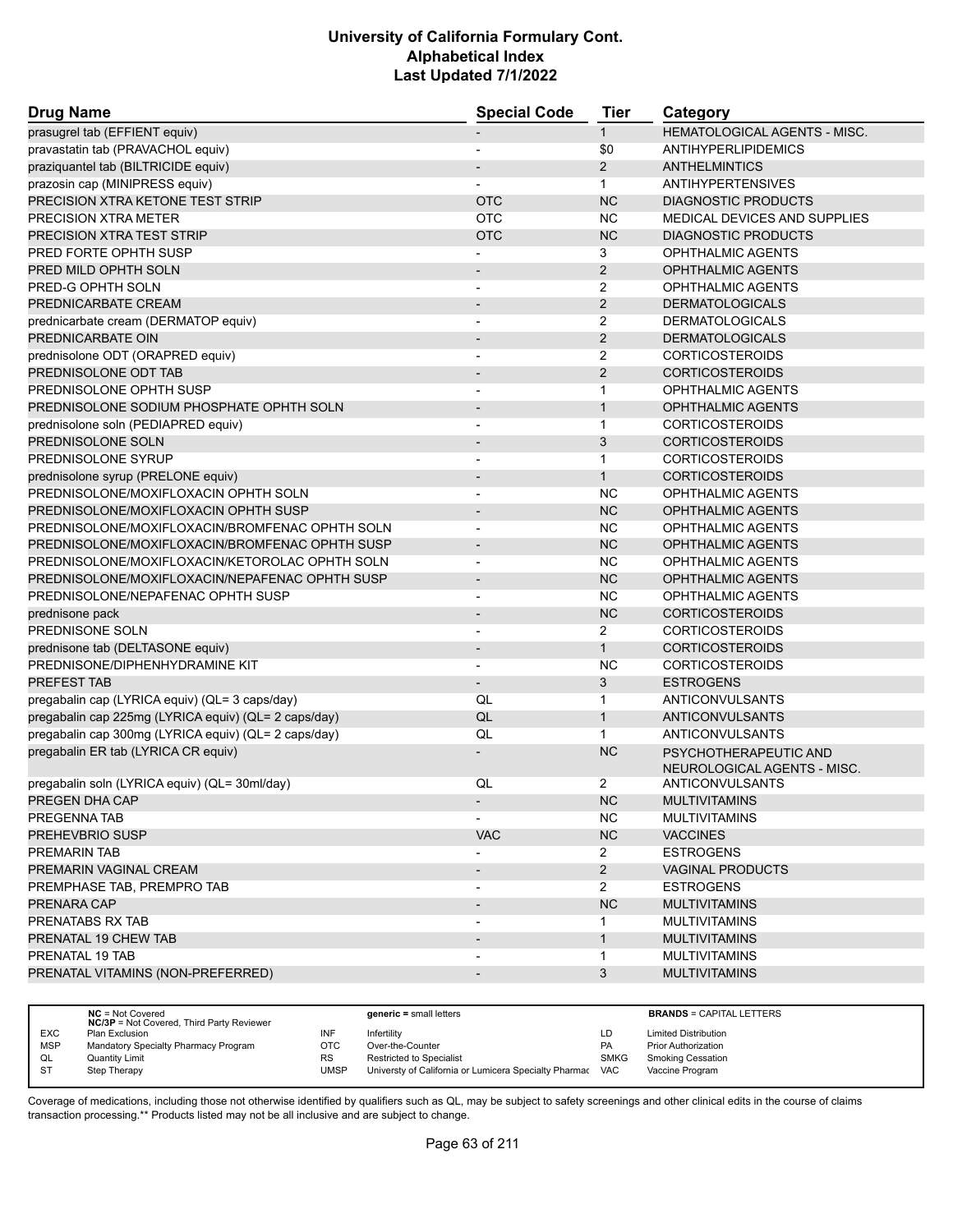| <b>Drug Name</b>                                     | <b>Special Code</b>      | <b>Tier</b>    | Category                     |
|------------------------------------------------------|--------------------------|----------------|------------------------------|
| prasugrel tab (EFFIENT equiv)                        |                          | $\mathbf{1}$   | HEMATOLOGICAL AGENTS - MISC. |
| pravastatin tab (PRAVACHOL equiv)                    |                          | \$0            | ANTIHYPERLIPIDEMICS          |
| praziquantel tab (BILTRICIDE equiv)                  |                          | $\overline{2}$ | <b>ANTHELMINTICS</b>         |
| prazosin cap (MINIPRESS equiv)                       |                          | $\mathbf{1}$   | <b>ANTIHYPERTENSIVES</b>     |
| PRECISION XTRA KETONE TEST STRIP                     | <b>OTC</b>               | <b>NC</b>      | <b>DIAGNOSTIC PRODUCTS</b>   |
| <b>PRECISION XTRA METER</b>                          | <b>OTC</b>               | NC.            | MEDICAL DEVICES AND SUPPLIES |
| PRECISION XTRA TEST STRIP                            | <b>OTC</b>               | <b>NC</b>      | <b>DIAGNOSTIC PRODUCTS</b>   |
| PRED FORTE OPHTH SUSP                                |                          | 3              | <b>OPHTHALMIC AGENTS</b>     |
| PRED MILD OPHTH SOLN                                 |                          | 2              | <b>OPHTHALMIC AGENTS</b>     |
| PRED-G OPHTH SOLN                                    | $\overline{\phantom{a}}$ | $\overline{2}$ | OPHTHALMIC AGENTS            |
| PREDNICARBATE CREAM                                  | $\overline{\phantom{a}}$ | $\overline{2}$ | <b>DERMATOLOGICALS</b>       |
| prednicarbate cream (DERMATOP equiv)                 | $\blacksquare$           | $\overline{2}$ | <b>DERMATOLOGICALS</b>       |
| PREDNICARBATE OIN                                    |                          | 2              | <b>DERMATOLOGICALS</b>       |
| prednisolone ODT (ORAPRED equiv)                     |                          | $\overline{2}$ | <b>CORTICOSTEROIDS</b>       |
| PREDNISOLONE ODT TAB                                 | $\overline{\phantom{a}}$ | 2              | <b>CORTICOSTEROIDS</b>       |
| PREDNISOLONE OPHTH SUSP                              |                          | $\mathbf{1}$   | OPHTHALMIC AGENTS            |
| PREDNISOLONE SODIUM PHOSPHATE OPHTH SOLN             |                          | $\mathbf{1}$   | <b>OPHTHALMIC AGENTS</b>     |
| prednisolone soln (PEDIAPRED equiv)                  | $\blacksquare$           | $\mathbf{1}$   | <b>CORTICOSTEROIDS</b>       |
| PREDNISOLONE SOLN                                    | $\overline{\phantom{a}}$ | 3              | <b>CORTICOSTEROIDS</b>       |
| PREDNISOLONE SYRUP                                   |                          | $\mathbf{1}$   | <b>CORTICOSTEROIDS</b>       |
| prednisolone syrup (PRELONE equiv)                   | $\overline{\phantom{a}}$ | $\mathbf{1}$   | <b>CORTICOSTEROIDS</b>       |
| PREDNISOLONE/MOXIFLOXACIN OPHTH SOLN                 | $\overline{\phantom{a}}$ | NC             | <b>OPHTHALMIC AGENTS</b>     |
| PREDNISOLONE/MOXIFLOXACIN OPHTH SUSP                 |                          | NC             | <b>OPHTHALMIC AGENTS</b>     |
| PREDNISOLONE/MOXIFLOXACIN/BROMFENAC OPHTH SOLN       | $\overline{a}$           | <b>NC</b>      | <b>OPHTHALMIC AGENTS</b>     |
| PREDNISOLONE/MOXIFLOXACIN/BROMFENAC OPHTH SUSP       | $\overline{\phantom{a}}$ | <b>NC</b>      | <b>OPHTHALMIC AGENTS</b>     |
| PREDNISOLONE/MOXIFLOXACIN/KETOROLAC OPHTH SOLN       |                          | <b>NC</b>      | OPHTHALMIC AGENTS            |
| PREDNISOLONE/MOXIFLOXACIN/NEPAFENAC OPHTH SUSP       | $\overline{\phantom{a}}$ | <b>NC</b>      | <b>OPHTHALMIC AGENTS</b>     |
| PREDNISOLONE/NEPAFENAC OPHTH SUSP                    |                          | NC.            | <b>OPHTHALMIC AGENTS</b>     |
| prednisone pack                                      |                          | NC             | <b>CORTICOSTEROIDS</b>       |
| PREDNISONE SOLN                                      | $\overline{\phantom{a}}$ | $\overline{2}$ | <b>CORTICOSTEROIDS</b>       |
| prednisone tab (DELTASONE equiv)                     | $\overline{\phantom{a}}$ | $\mathbf{1}$   | <b>CORTICOSTEROIDS</b>       |
| PREDNISONE/DIPHENHYDRAMINE KIT                       |                          | <b>NC</b>      | <b>CORTICOSTEROIDS</b>       |
| PREFEST TAB                                          | $\overline{\phantom{a}}$ | 3              | <b>ESTROGENS</b>             |
| pregabalin cap (LYRICA equiv) (QL= 3 caps/day)       | QL                       | $\mathbf{1}$   | ANTICONVULSANTS              |
| pregabalin cap 225mg (LYRICA equiv) (QL= 2 caps/day) | QL                       | $\mathbf{1}$   | <b>ANTICONVULSANTS</b>       |
| pregabalin cap 300mg (LYRICA equiv) (QL= 2 caps/day) | QL                       | $\mathbf{1}$   | ANTICONVULSANTS              |
| pregabalin ER tab (LYRICA CR equiv)                  |                          | <b>NC</b>      | PSYCHOTHERAPEUTIC AND        |
|                                                      |                          |                | NEUROLOGICAL AGENTS - MISC.  |
| pregabalin soln (LYRICA equiv) (QL= 30ml/day)        | QL                       | 2              | ANTICONVULSANTS              |
| PREGEN DHA CAP                                       | ٠                        | NC.            | <b>MULTIVITAMINS</b>         |
| PREGENNA TAB                                         |                          | NC.            | <b>MULTIVITAMINS</b>         |
| <b>PREHEVBRIO SUSP</b>                               | <b>VAC</b>               | NC             | <b>VACCINES</b>              |
| PREMARIN TAB                                         |                          | $\mathbf{2}$   | <b>ESTROGENS</b>             |
| PREMARIN VAGINAL CREAM                               |                          | $2^{\circ}$    | <b>VAGINAL PRODUCTS</b>      |
| PREMPHASE TAB, PREMPRO TAB                           |                          | $\mathbf{2}$   | <b>ESTROGENS</b>             |
| PRENARA CAP                                          |                          | <b>NC</b>      | <b>MULTIVITAMINS</b>         |
| PRENATABS RX TAB                                     |                          |                | <b>MULTIVITAMINS</b>         |
| PRENATAL 19 CHEW TAB                                 | $\overline{\phantom{a}}$ | $\mathbf{1}$   | <b>MULTIVITAMINS</b>         |
| PRENATAL 19 TAB                                      |                          | $\mathbf{1}$   | <b>MULTIVITAMINS</b>         |
| PRENATAL VITAMINS (NON-PREFERRED)                    | $\overline{\phantom{a}}$ | $\mathbf{3}$   | <b>MULTIVITAMINS</b>         |
|                                                      |                          |                |                              |

|            | $NC = Not Covered$<br><b>NC/3P</b> = Not Covered, Third Party Reviewer |           | $generic = small letters$                             |             | <b>BRANDS = CAPITAL LETTERS</b> |
|------------|------------------------------------------------------------------------|-----------|-------------------------------------------------------|-------------|---------------------------------|
| <b>EXC</b> | Plan Exclusion                                                         | INF       | Infertilitv                                           | LD          | <b>Limited Distribution</b>     |
| <b>MSP</b> | Mandatory Specialty Pharmacy Program                                   | OTC       | Over-the-Counter                                      | PA          | Prior Authorization             |
| QL         | Quantity Limit                                                         | <b>RS</b> | Restricted to Specialist                              | <b>SMKG</b> | <b>Smoking Cessation</b>        |
| S1         | Step Therapy                                                           | UMSP      | Universty of California or Lumicera Specialty Pharmac | <b>VAC</b>  | Vaccine Program                 |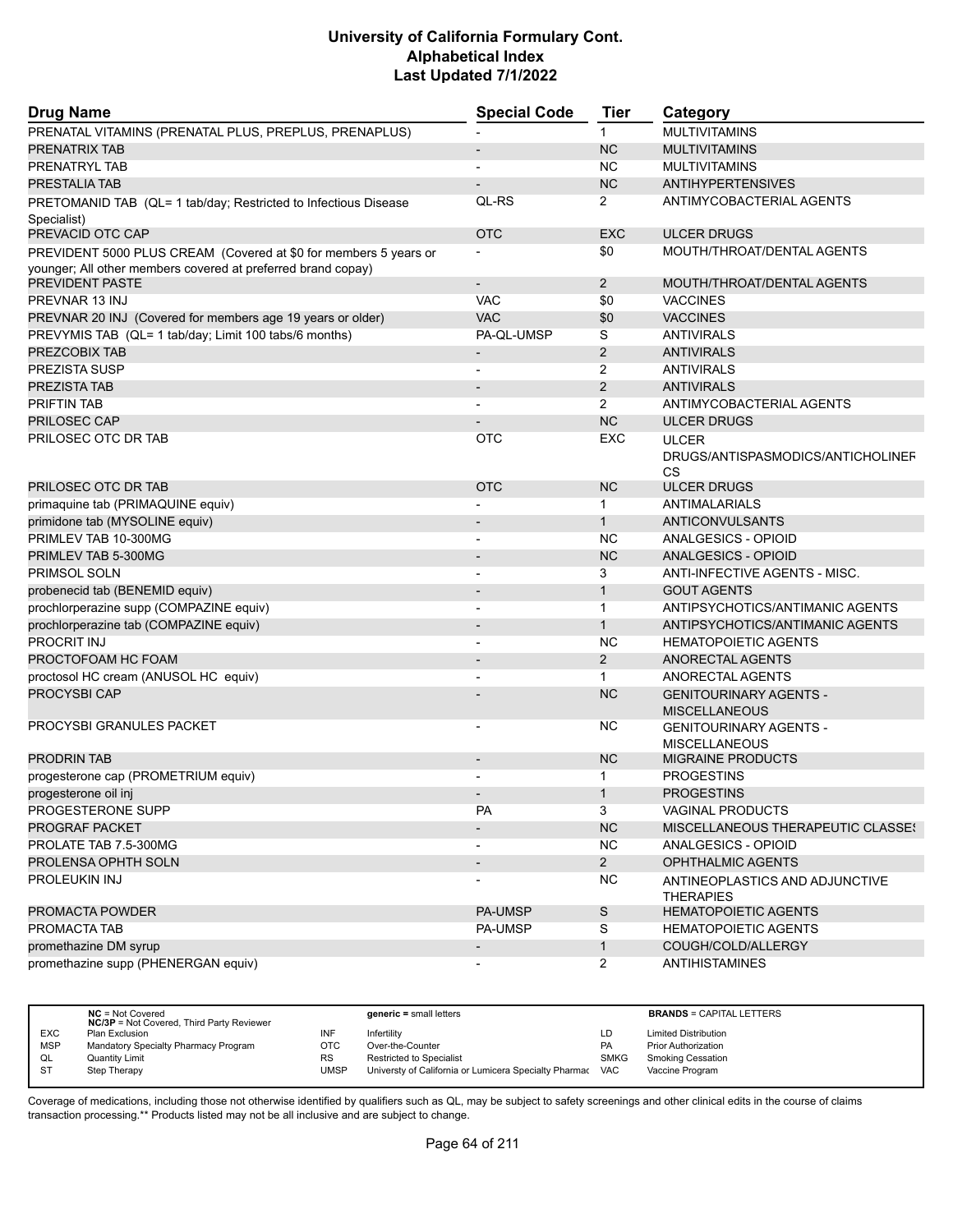| <b>Drug Name</b>                                                                | <b>Special Code</b> | <b>Tier</b>    | Category                                              |
|---------------------------------------------------------------------------------|---------------------|----------------|-------------------------------------------------------|
| PRENATAL VITAMINS (PRENATAL PLUS, PREPLUS, PRENAPLUS)                           |                     | 1              | <b>MULTIVITAMINS</b>                                  |
| PRENATRIX TAB                                                                   |                     | <b>NC</b>      | <b>MULTIVITAMINS</b>                                  |
| PRENATRYL TAB                                                                   |                     | <b>NC</b>      | <b>MULTIVITAMINS</b>                                  |
| <b>PRESTALIA TAB</b>                                                            |                     | <b>NC</b>      | <b>ANTIHYPERTENSIVES</b>                              |
| PRETOMANID TAB (QL= 1 tab/day; Restricted to Infectious Disease                 | QL-RS               | 2              | ANTIMYCOBACTERIAL AGENTS                              |
| Specialist)<br>PREVACID OTC CAP                                                 | <b>OTC</b>          | <b>EXC</b>     | <b>ULCER DRUGS</b>                                    |
| PREVIDENT 5000 PLUS CREAM (Covered at \$0 for members 5 years or                |                     | \$0            | MOUTH/THROAT/DENTAL AGENTS                            |
| younger; All other members covered at preferred brand copay)<br>PREVIDENT PASTE |                     | $\overline{2}$ | MOUTH/THROAT/DENTAL AGENTS                            |
| PREVNAR 13 INJ                                                                  | <b>VAC</b>          | \$0            | <b>VACCINES</b>                                       |
|                                                                                 | <b>VAC</b>          | \$0            |                                                       |
| PREVNAR 20 INJ (Covered for members age 19 years or older)                      |                     |                | <b>VACCINES</b>                                       |
| PREVYMIS TAB (QL= 1 tab/day; Limit 100 tabs/6 months)                           | PA-QL-UMSP          | S              | <b>ANTIVIRALS</b>                                     |
| PREZCOBIX TAB                                                                   |                     | 2              | <b>ANTIVIRALS</b>                                     |
| <b>PREZISTA SUSP</b>                                                            | $\overline{a}$      | $\overline{2}$ | <b>ANTIVIRALS</b>                                     |
| PREZISTA TAB                                                                    |                     | 2              | <b>ANTIVIRALS</b>                                     |
| <b>PRIFTIN TAB</b>                                                              |                     | 2              | ANTIMYCOBACTERIAL AGENTS                              |
| PRILOSEC CAP                                                                    |                     | <b>NC</b>      | <b>ULCER DRUGS</b>                                    |
| PRILOSEC OTC DR TAB                                                             | OTC                 | EXC            | <b>ULCER</b>                                          |
|                                                                                 |                     |                | DRUGS/ANTISPASMODICS/ANTICHOLINEF<br><b>CS</b>        |
| PRILOSEC OTC DR TAB                                                             | <b>OTC</b>          | <b>NC</b>      | <b>ULCER DRUGS</b>                                    |
| primaquine tab (PRIMAQUINE equiv)                                               |                     | $\mathbf{1}$   | <b>ANTIMALARIALS</b>                                  |
| primidone tab (MYSOLINE equiv)                                                  |                     | $\mathbf{1}$   | <b>ANTICONVULSANTS</b>                                |
| PRIMLEV TAB 10-300MG                                                            |                     | <b>NC</b>      | ANALGESICS - OPIOID                                   |
| PRIMLEV TAB 5-300MG                                                             |                     | <b>NC</b>      | ANALGESICS - OPIOID                                   |
| PRIMSOL SOLN                                                                    |                     | 3              | ANTI-INFECTIVE AGENTS - MISC.                         |
| probenecid tab (BENEMID equiv)                                                  |                     | $\mathbf{1}$   | <b>GOUT AGENTS</b>                                    |
| prochlorperazine supp (COMPAZINE equiv)                                         | $\overline{a}$      | $\mathbf{1}$   | ANTIPSYCHOTICS/ANTIMANIC AGENTS                       |
| prochlorperazine tab (COMPAZINE equiv)                                          |                     | $\mathbf{1}$   | ANTIPSYCHOTICS/ANTIMANIC AGENTS                       |
| PROCRIT INJ                                                                     |                     | <b>NC</b>      | <b>HEMATOPOIETIC AGENTS</b>                           |
| PROCTOFOAM HC FOAM                                                              |                     | 2              | ANORECTAL AGENTS                                      |
| proctosol HC cream (ANUSOL HC equiv)                                            |                     | $\mathbf{1}$   | ANORECTAL AGENTS                                      |
| <b>PROCYSBI CAP</b>                                                             |                     | <b>NC</b>      |                                                       |
|                                                                                 |                     |                | <b>GENITOURINARY AGENTS -</b><br><b>MISCELLANEOUS</b> |
| PROCYSBI GRANULES PACKET                                                        |                     | <b>NC</b>      | <b>GENITOURINARY AGENTS -</b><br><b>MISCELLANEOUS</b> |
| <b>PRODRIN TAB</b>                                                              |                     | <b>NC</b>      | <b>MIGRAINE PRODUCTS</b>                              |
| progesterone cap (PROMETRIUM equiv)                                             |                     | $\mathbf 1$    | <b>PROGESTINS</b>                                     |
| progesterone oil inj                                                            |                     |                | <b>PROGESTINS</b>                                     |
| PROGESTERONE SUPP                                                               | <b>PA</b>           | 3              | VAGINAL PRODUCTS                                      |
| <b>PROGRAF PACKET</b>                                                           |                     | NC             | MISCELLANEOUS THERAPEUTIC CLASSE!                     |
| PROLATE TAB 7.5-300MG                                                           | $\overline{a}$      | <b>NC</b>      | ANALGESICS - OPIOID                                   |
| PROLENSA OPHTH SOLN                                                             |                     | $2^{\circ}$    | <b>OPHTHALMIC AGENTS</b>                              |
| PROLEUKIN INJ                                                                   |                     | NC.            | ANTINEOPLASTICS AND ADJUNCTIVE                        |
|                                                                                 |                     |                | <b>THERAPIES</b>                                      |
| PROMACTA POWDER                                                                 | <b>PA-UMSP</b>      | ${\mathsf S}$  | <b>HEMATOPOIETIC AGENTS</b>                           |
| PROMACTA TAB                                                                    | <b>PA-UMSP</b>      | S              | <b>HEMATOPOIETIC AGENTS</b>                           |
| promethazine DM syrup                                                           |                     | $\mathbf{1}$   | COUGH/COLD/ALLERGY                                    |
| promethazine supp (PHENERGAN equiv)                                             |                     | $\overline{2}$ | <b>ANTIHISTAMINES</b>                                 |

|            | $NC = Not Covered$<br><b>NC/3P</b> = Not Covered, Third Party Reviewer |           | $generic = small letters$                             |             | <b>BRANDS = CAPITAL LETTERS</b> |
|------------|------------------------------------------------------------------------|-----------|-------------------------------------------------------|-------------|---------------------------------|
| <b>EXC</b> | Plan Exclusion                                                         | INF       | Infertility                                           | LD          | <b>Limited Distribution</b>     |
| <b>MSP</b> | Mandatory Specialty Pharmacy Program                                   | OTC       | Over-the-Counter                                      | <b>PA</b>   | <b>Prior Authorization</b>      |
| QL         | <b>Quantity Limit</b>                                                  | <b>RS</b> | <b>Restricted to Specialist</b>                       | <b>SMKG</b> | <b>Smoking Cessation</b>        |
| <b>ST</b>  | Step Therapy                                                           | UMSP      | Universty of California or Lumicera Specialty Pharmac | <b>VAC</b>  | Vaccine Program                 |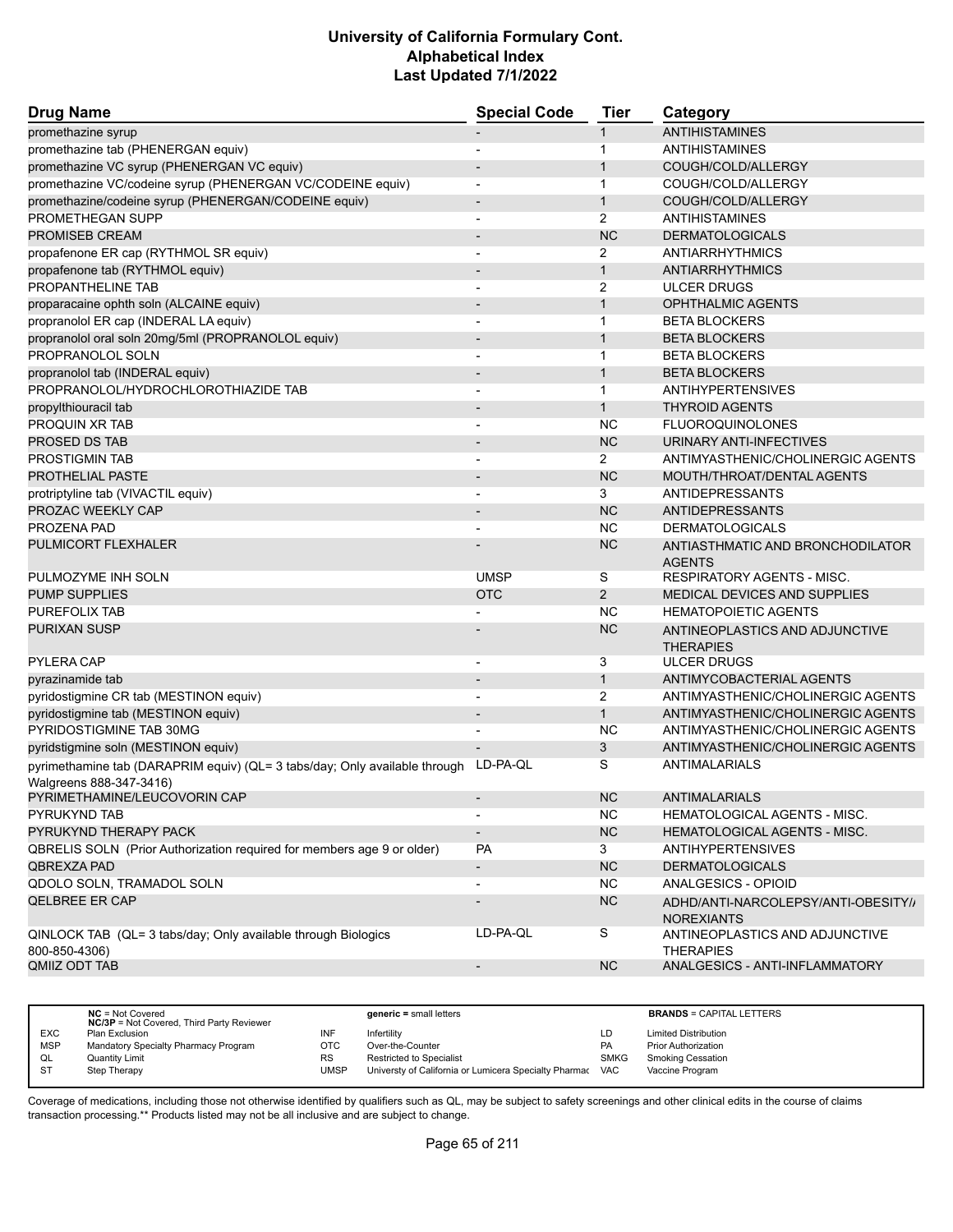| <b>Drug Name</b>                                                               | <b>Special Code</b>      | Tier           | Category                                           |
|--------------------------------------------------------------------------------|--------------------------|----------------|----------------------------------------------------|
| promethazine syrup                                                             |                          | 1              | <b>ANTIHISTAMINES</b>                              |
| promethazine tab (PHENERGAN equiv)                                             |                          | 1              | <b>ANTIHISTAMINES</b>                              |
| promethazine VC syrup (PHENERGAN VC equiv)                                     |                          | $\mathbf{1}$   | COUGH/COLD/ALLERGY                                 |
| promethazine VC/codeine syrup (PHENERGAN VC/CODEINE equiv)                     |                          | 1              | COUGH/COLD/ALLERGY                                 |
| promethazine/codeine syrup (PHENERGAN/CODEINE equiv)                           |                          | $\mathbf{1}$   | COUGH/COLD/ALLERGY                                 |
| PROMETHEGAN SUPP                                                               | $\overline{\phantom{a}}$ | $\overline{2}$ | ANTIHISTAMINES                                     |
| <b>PROMISEB CREAM</b>                                                          |                          | <b>NC</b>      | <b>DERMATOLOGICALS</b>                             |
| propafenone ER cap (RYTHMOL SR equiv)                                          |                          | 2              | <b>ANTIARRHYTHMICS</b>                             |
| propafenone tab (RYTHMOL equiv)                                                | $\overline{\phantom{a}}$ | $\mathbf{1}$   | <b>ANTIARRHYTHMICS</b>                             |
| PROPANTHELINE TAB                                                              | $\overline{\phantom{a}}$ | 2              | <b>ULCER DRUGS</b>                                 |
| proparacaine ophth soln (ALCAINE equiv)                                        |                          | $\mathbf{1}$   | <b>OPHTHALMIC AGENTS</b>                           |
| propranolol ER cap (INDERAL LA equiv)                                          | $\overline{\phantom{a}}$ | $\mathbf{1}$   | <b>BETA BLOCKERS</b>                               |
| propranolol oral soln 20mg/5ml (PROPRANOLOL equiv)                             |                          | $\mathbf{1}$   | <b>BETA BLOCKERS</b>                               |
| PROPRANOLOL SOLN                                                               |                          | $\mathbf 1$    | <b>BETA BLOCKERS</b>                               |
| propranolol tab (INDERAL equiv)                                                | $\overline{\phantom{a}}$ | $\mathbf{1}$   | <b>BETA BLOCKERS</b>                               |
| PROPRANOLOL/HYDROCHLOROTHIAZIDE TAB                                            | $\overline{\phantom{a}}$ | $\mathbf{1}$   | <b>ANTIHYPERTENSIVES</b>                           |
| propylthiouracil tab                                                           |                          | $\mathbf{1}$   | <b>THYROID AGENTS</b>                              |
| PROQUIN XR TAB                                                                 |                          | <b>NC</b>      | <b>FLUOROQUINOLONES</b>                            |
| PROSED DS TAB                                                                  | $\overline{\phantom{a}}$ | <b>NC</b>      | URINARY ANTI-INFECTIVES                            |
| PROSTIGMIN TAB                                                                 |                          | $\overline{2}$ | ANTIMYASTHENIC/CHOLINERGIC AGENTS                  |
| <b>PROTHELIAL PASTE</b>                                                        |                          | <b>NC</b>      | MOUTH/THROAT/DENTAL AGENTS                         |
| protriptyline tab (VIVACTIL equiv)                                             | $\overline{a}$           | 3              | ANTIDEPRESSANTS                                    |
| PROZAC WEEKLY CAP                                                              |                          | <b>NC</b>      | <b>ANTIDEPRESSANTS</b>                             |
| PROZENA PAD                                                                    |                          | <b>NC</b>      | <b>DERMATOLOGICALS</b>                             |
| PULMICORT FLEXHALER                                                            |                          | <b>NC</b>      | ANTIASTHMATIC AND BRONCHODILATOR<br><b>AGENTS</b>  |
| PULMOZYME INH SOLN                                                             | <b>UMSP</b>              | S              | <b>RESPIRATORY AGENTS - MISC.</b>                  |
| <b>PUMP SUPPLIES</b>                                                           | <b>OTC</b>               | $\overline{2}$ | <b>MEDICAL DEVICES AND SUPPLIES</b>                |
| PUREFOLIX TAB                                                                  |                          | <b>NC</b>      | <b>HEMATOPOIETIC AGENTS</b>                        |
| PURIXAN SUSP                                                                   |                          | <b>NC</b>      | ANTINEOPLASTICS AND ADJUNCTIVE<br><b>THERAPIES</b> |
| <b>PYLERA CAP</b>                                                              | $\overline{a}$           | 3              | <b>ULCER DRUGS</b>                                 |
| pyrazinamide tab                                                               |                          | $\mathbf{1}$   | ANTIMYCOBACTERIAL AGENTS                           |
| pyridostigmine CR tab (MESTINON equiv)                                         |                          | $\overline{2}$ | ANTIMYASTHENIC/CHOLINERGIC AGENTS                  |
| pyridostigmine tab (MESTINON equiv)                                            | $\overline{\phantom{a}}$ | $\mathbf{1}$   | ANTIMYASTHENIC/CHOLINERGIC AGENTS                  |
| PYRIDOSTIGMINE TAB 30MG                                                        |                          | <b>NC</b>      | ANTIMYASTHENIC/CHOLINERGIC AGENTS                  |
| pyridstigmine soln (MESTINON equiv)                                            |                          | 3              | ANTIMYASTHENIC/CHOLINERGIC AGENTS                  |
| pyrimethamine tab (DARAPRIM equiv) (QL= 3 tabs/day; Only available through     | LD-PA-QL                 | S              | <b>ANTIMALARIALS</b>                               |
| Walgreens 888-347-3416)<br>PYRIMETHAMINE/LEUCOVORIN CAP                        |                          | $NC$           | ANTIMALARIALS                                      |
| PYRUKYND TAB                                                                   | $\overline{\phantom{a}}$ | NC.            | HEMATOLOGICAL AGENTS - MISC.                       |
| PYRUKYND THERAPY PACK                                                          | $\overline{\phantom{a}}$ | NC             | HEMATOLOGICAL AGENTS - MISC.                       |
| QBRELIS SOLN (Prior Authorization required for members age 9 or older)         | <b>PA</b>                | 3              | ANTIHYPERTENSIVES                                  |
| QBREXZA PAD                                                                    | $\overline{\phantom{a}}$ | <b>NC</b>      | <b>DERMATOLOGICALS</b>                             |
| QDOLO SOLN, TRAMADOL SOLN                                                      | $\overline{\phantom{a}}$ | <b>NC</b>      | ANALGESICS - OPIOID                                |
| <b>QELBREE ER CAP</b>                                                          |                          | <b>NC</b>      | ADHD/ANTI-NARCOLEPSY/ANTI-OBESITY//                |
|                                                                                | LD-PA-QL                 | S              | <b>NOREXIANTS</b>                                  |
| QINLOCK TAB (QL= 3 tabs/day; Only available through Biologics<br>800-850-4306) |                          |                | ANTINEOPLASTICS AND ADJUNCTIVE<br><b>THERAPIES</b> |
| QMIIZ ODT TAB                                                                  | $\overline{\phantom{a}}$ | <b>NC</b>      | ANALGESICS - ANTI-INFLAMMATORY                     |

|                | $NC = Not Covered$<br><b>NC/3P</b> = Not Covered, Third Party Reviewer |           | $generic = small letters$                             |             | <b>BRANDS = CAPITAL LETTERS</b> |
|----------------|------------------------------------------------------------------------|-----------|-------------------------------------------------------|-------------|---------------------------------|
| <b>EXC</b>     | Plan Exclusion                                                         | INF       | Infertility                                           | LD          | <b>Limited Distribution</b>     |
| <b>MSP</b>     | Mandatory Specialty Pharmacy Program                                   | отс       | Over-the-Counter                                      | <b>PA</b>   | <b>Prior Authorization</b>      |
| QL             | <b>Quantity Limit</b>                                                  | <b>RS</b> | <b>Restricted to Specialist</b>                       | <b>SMKG</b> | <b>Smoking Cessation</b>        |
| S <sub>T</sub> | Step Therapy                                                           | UMSP      | Universty of California or Lumicera Specialty Pharmac | <b>VAC</b>  | Vaccine Program                 |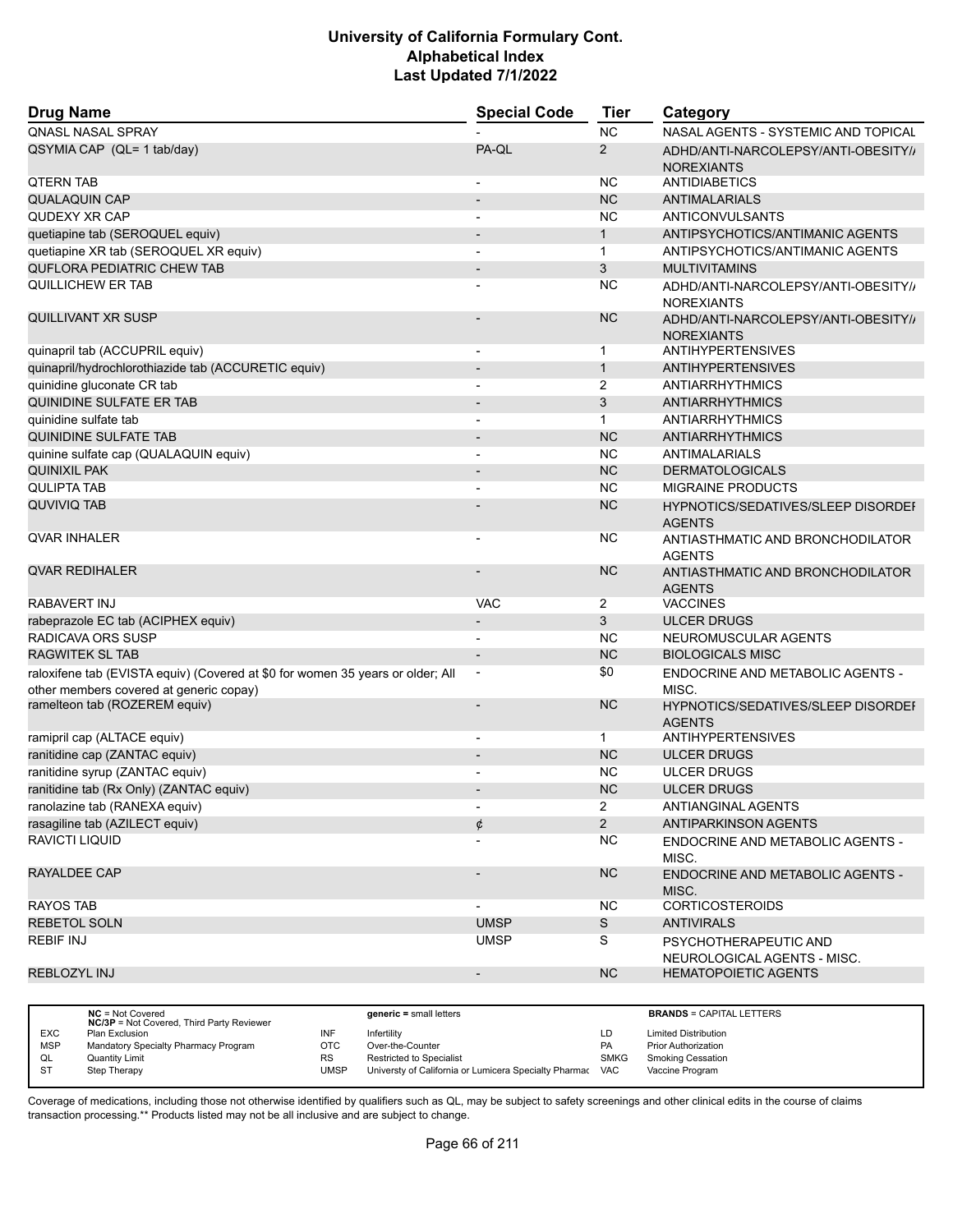| <b>Drug Name</b>                                                                                                          | <b>Special Code</b>          | <b>Tier</b>    | Category                                                 |
|---------------------------------------------------------------------------------------------------------------------------|------------------------------|----------------|----------------------------------------------------------|
| <b>QNASL NASAL SPRAY</b>                                                                                                  |                              | <b>NC</b>      | NASAL AGENTS - SYSTEMIC AND TOPICAL                      |
| QSYMIA CAP (QL= 1 tab/day)                                                                                                | PA-QL                        | 2              | ADHD/ANTI-NARCOLEPSY/ANTI-OBESITY//<br><b>NOREXIANTS</b> |
| <b>QTERN TAB</b>                                                                                                          |                              | <b>NC</b>      | ANTIDIABETICS                                            |
| <b>QUALAQUIN CAP</b>                                                                                                      |                              | <b>NC</b>      | <b>ANTIMALARIALS</b>                                     |
| QUDEXY XR CAP                                                                                                             |                              | ΝC             | ANTICONVULSANTS                                          |
| quetiapine tab (SEROQUEL equiv)                                                                                           |                              | $\mathbf{1}$   | ANTIPSYCHOTICS/ANTIMANIC AGENTS                          |
| quetiapine XR tab (SEROQUEL XR equiv)                                                                                     |                              | $\mathbf{1}$   | ANTIPSYCHOTICS/ANTIMANIC AGENTS                          |
| <b>QUFLORA PEDIATRIC CHEW TAB</b>                                                                                         | $\qquad \qquad \blacksquare$ | 3              | <b>MULTIVITAMINS</b>                                     |
| QUILLICHEW ER TAB                                                                                                         |                              | NC             | ADHD/ANTI-NARCOLEPSY/ANTI-OBESITY//<br><b>NOREXIANTS</b> |
| QUILLIVANT XR SUSP                                                                                                        |                              | <b>NC</b>      | ADHD/ANTI-NARCOLEPSY/ANTI-OBESITY//<br><b>NOREXIANTS</b> |
| quinapril tab (ACCUPRIL equiv)                                                                                            |                              | 1              | <b>ANTIHYPERTENSIVES</b>                                 |
| quinapril/hydrochlorothiazide tab (ACCURETIC equiv)                                                                       |                              | $\mathbf{1}$   | <b>ANTIHYPERTENSIVES</b>                                 |
| quinidine gluconate CR tab                                                                                                |                              | 2              | ANTIARRHYTHMICS                                          |
| QUINIDINE SULFATE ER TAB                                                                                                  | $\qquad \qquad \blacksquare$ | 3              | <b>ANTIARRHYTHMICS</b>                                   |
| quinidine sulfate tab                                                                                                     | $\overline{\phantom{0}}$     | $\mathbf{1}$   | <b>ANTIARRHYTHMICS</b>                                   |
| QUINIDINE SULFATE TAB                                                                                                     |                              | <b>NC</b>      | <b>ANTIARRHYTHMICS</b>                                   |
| quinine sulfate cap (QUALAQUIN equiv)                                                                                     | $\overline{\phantom{0}}$     | <b>NC</b>      | ANTIMALARIALS                                            |
| <b>QUINIXIL PAK</b>                                                                                                       | $\overline{\phantom{0}}$     | <b>NC</b>      | <b>DERMATOLOGICALS</b>                                   |
| <b>QULIPTA TAB</b>                                                                                                        |                              | <b>NC</b>      | <b>MIGRAINE PRODUCTS</b>                                 |
| <b>QUVIVIQ TAB</b>                                                                                                        |                              | <b>NC</b>      | HYPNOTICS/SEDATIVES/SLEEP DISORDEF<br><b>AGENTS</b>      |
| <b>QVAR INHALER</b>                                                                                                       |                              | ΝC             | ANTIASTHMATIC AND BRONCHODILATOR<br><b>AGENTS</b>        |
| <b>QVAR REDIHALER</b>                                                                                                     |                              | <b>NC</b>      | ANTIASTHMATIC AND BRONCHODILATOR<br><b>AGENTS</b>        |
| RABAVERT INJ                                                                                                              | <b>VAC</b>                   | $\overline{2}$ | <b>VACCINES</b>                                          |
| rabeprazole EC tab (ACIPHEX equiv)                                                                                        |                              | 3              | <b>ULCER DRUGS</b>                                       |
| RADICAVA ORS SUSP                                                                                                         |                              | <b>NC</b>      | NEUROMUSCULAR AGENTS                                     |
| <b>RAGWITEK SL TAB</b>                                                                                                    | $\overline{\phantom{m}}$     | <b>NC</b>      | <b>BIOLOGICALS MISC</b>                                  |
| raloxifene tab (EVISTA equiv) (Covered at \$0 for women 35 years or older; All<br>other members covered at generic copay) | $\overline{\phantom{a}}$     | \$0            | ENDOCRINE AND METABOLIC AGENTS -<br>MISC.                |
| ramelteon tab (ROZEREM equiv)                                                                                             |                              | <b>NC</b>      | HYPNOTICS/SEDATIVES/SLEEP DISORDEI<br><b>AGENTS</b>      |
| ramipril cap (ALTACE equiv)                                                                                               | $\overline{a}$               | $\mathbf{1}$   | <b>ANTIHYPERTENSIVES</b>                                 |
| ranitidine cap (ZANTAC equiv)                                                                                             |                              | <b>NC</b>      | <b>ULCER DRUGS</b>                                       |
| ranitidine syrup (ZANTAC equiv)                                                                                           |                              | ΝC             | <b>ULCER DRUGS</b>                                       |
| ranitidine tab (Rx Only) (ZANTAC equiv)                                                                                   |                              | <b>NC</b>      | <b>ULCER DRUGS</b>                                       |
| ranolazine tab (RANEXA equiv)                                                                                             |                              | $\overline{a}$ | ANTIANGINAL AGENTS                                       |
| rasagiline tab (AZILECT equiv)                                                                                            | ¢                            | $\overline{2}$ | <b>ANTIPARKINSON AGENTS</b>                              |
| <b>RAVICTI LIQUID</b>                                                                                                     |                              | NC.            | ENDOCRINE AND METABOLIC AGENTS -<br>MISC.                |
| RAYALDEE CAP                                                                                                              |                              | NC             | <b>ENDOCRINE AND METABOLIC AGENTS -</b><br>MISC.         |
| <b>RAYOS TAB</b>                                                                                                          |                              | NC.            | <b>CORTICOSTEROIDS</b>                                   |
| <b>REBETOL SOLN</b>                                                                                                       | <b>UMSP</b>                  | S              | <b>ANTIVIRALS</b>                                        |
| <b>REBIF INJ</b>                                                                                                          | <b>UMSP</b>                  | S              | PSYCHOTHERAPEUTIC AND<br>NEUROLOGICAL AGENTS - MISC.     |
| REBLOZYL INJ                                                                                                              | $\overline{\phantom{m}}$     | NC             | <b>HEMATOPOIETIC AGENTS</b>                              |
|                                                                                                                           |                              |                |                                                          |

|            | $NC = Not Covered$<br><b>NC/3P</b> = Not Covered, Third Party Reviewer |            | $generic = small letters$                             |             | <b>BRANDS = CAPITAL LETTERS</b> |
|------------|------------------------------------------------------------------------|------------|-------------------------------------------------------|-------------|---------------------------------|
| <b>EXC</b> | Plan Exclusion                                                         | INF        | Infertility                                           | LD          | <b>Limited Distribution</b>     |
| <b>MSP</b> | Mandatory Specialty Pharmacy Program                                   | <b>OTC</b> | Over-the-Counter                                      | <b>PA</b>   | <b>Prior Authorization</b>      |
| QL         | Quantity Limit                                                         | <b>RS</b>  | <b>Restricted to Specialist</b>                       | <b>SMKG</b> | <b>Smoking Cessation</b>        |
| ST         | Step Therapy                                                           | UMSP       | Universty of California or Lumicera Specialty Pharmac | VAC         | Vaccine Program                 |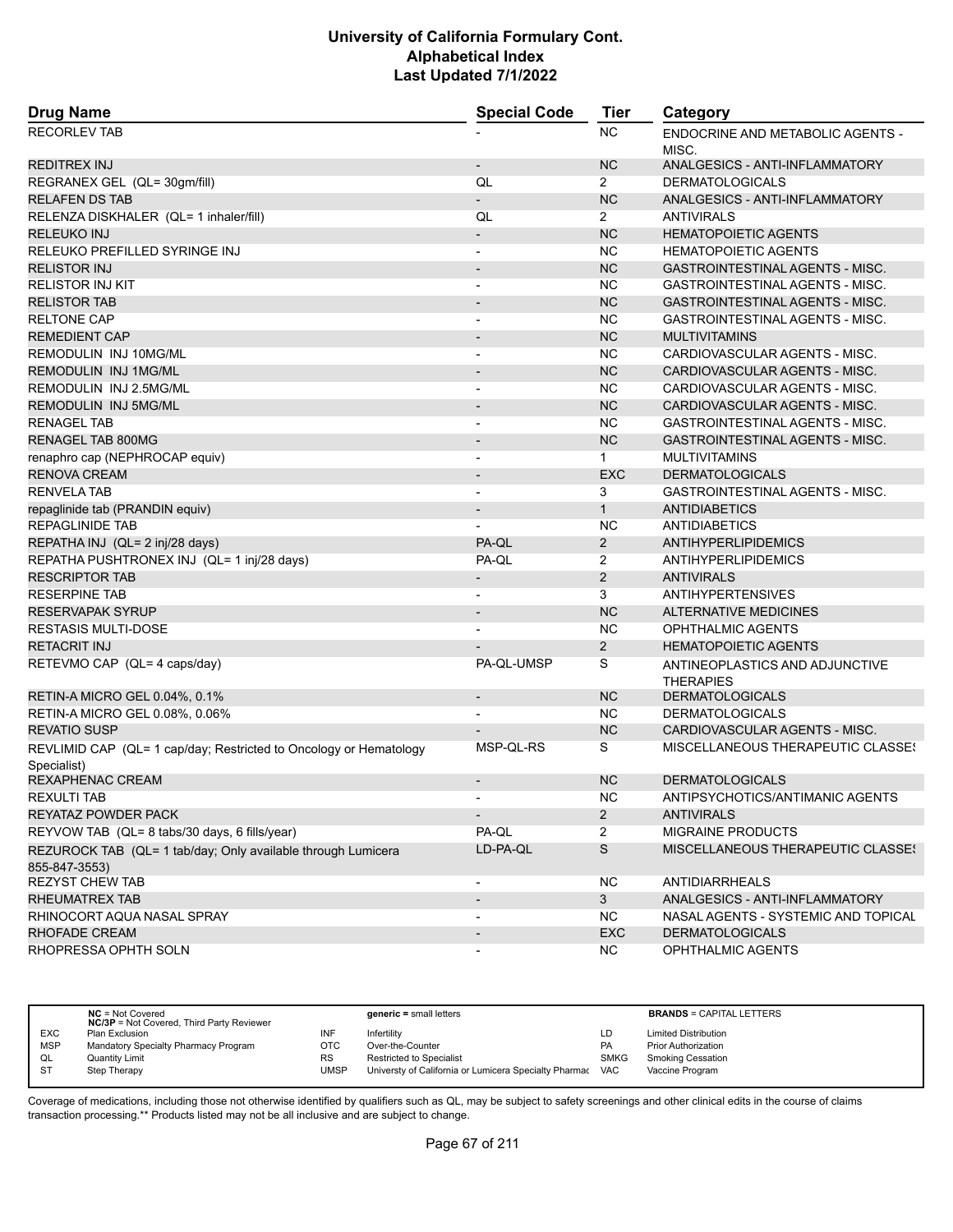| <b>Drug Name</b>                                                                 | <b>Special Code</b>          | Tier           | Category                                                |
|----------------------------------------------------------------------------------|------------------------------|----------------|---------------------------------------------------------|
| <b>RECORLEV TAB</b>                                                              |                              | <b>NC</b>      | ENDOCRINE AND METABOLIC AGENTS -<br>MISC.               |
| REDITREX INJ                                                                     | $\overline{\phantom{a}}$     | <b>NC</b>      | ANALGESICS - ANTI-INFLAMMATORY                          |
| REGRANEX GEL (QL= 30gm/fill)                                                     | QL                           | $\overline{2}$ | <b>DERMATOLOGICALS</b>                                  |
| <b>RELAFEN DS TAB</b>                                                            | $\overline{\phantom{0}}$     | <b>NC</b>      | ANALGESICS - ANTI-INFLAMMATORY                          |
| RELENZA DISKHALER (QL= 1 inhaler/fill)                                           | QL                           | $\overline{2}$ | <b>ANTIVIRALS</b>                                       |
| <b>RELEUKO INJ</b>                                                               | $\overline{\phantom{0}}$     | <b>NC</b>      | <b>HEMATOPOIETIC AGENTS</b>                             |
| RELEUKO PREFILLED SYRINGE INJ                                                    | $\overline{a}$               | <b>NC</b>      | <b>HEMATOPOIETIC AGENTS</b>                             |
| <b>RELISTOR INJ</b>                                                              | $\blacksquare$               | <b>NC</b>      | <b>GASTROINTESTINAL AGENTS - MISC.</b>                  |
| <b>RELISTOR INJ KIT</b>                                                          | $\overline{a}$               | <b>NC</b>      | <b>GASTROINTESTINAL AGENTS - MISC.</b>                  |
| <b>RELISTOR TAB</b>                                                              | $\overline{\phantom{a}}$     | <b>NC</b>      | <b>GASTROINTESTINAL AGENTS - MISC.</b>                  |
| <b>RELTONE CAP</b>                                                               |                              | <b>NC</b>      | GASTROINTESTINAL AGENTS - MISC.                         |
| <b>REMEDIENT CAP</b>                                                             | $\overline{a}$               | <b>NC</b>      | <b>MULTIVITAMINS</b>                                    |
| REMODULIN INJ 10MG/ML                                                            | $\overline{a}$               | <b>NC</b>      | CARDIOVASCULAR AGENTS - MISC.                           |
| REMODULIN INJ 1MG/ML                                                             |                              | <b>NC</b>      | CARDIOVASCULAR AGENTS - MISC.                           |
| REMODULIN INJ 2.5MG/ML                                                           | $\blacksquare$               | <b>NC</b>      | CARDIOVASCULAR AGENTS - MISC.                           |
| REMODULIN INJ 5MG/ML                                                             | $\overline{a}$               | <b>NC</b>      | CARDIOVASCULAR AGENTS - MISC.                           |
| <b>RENAGEL TAB</b>                                                               |                              | <b>NC</b>      | <b>GASTROINTESTINAL AGENTS - MISC.</b>                  |
| <b>RENAGEL TAB 800MG</b>                                                         | $\qquad \qquad \blacksquare$ | <b>NC</b>      | GASTROINTESTINAL AGENTS - MISC.                         |
| renaphro cap (NEPHROCAP equiv)                                                   | $\overline{a}$               | $\mathbf{1}$   | <b>MULTIVITAMINS</b>                                    |
| <b>RENOVA CREAM</b>                                                              |                              | <b>EXC</b>     | <b>DERMATOLOGICALS</b>                                  |
| <b>RENVELA TAB</b>                                                               | $\overline{\phantom{a}}$     | 3              | GASTROINTESTINAL AGENTS - MISC.                         |
| repaglinide tab (PRANDIN equiv)                                                  | $\overline{\phantom{0}}$     | $\mathbf{1}$   | <b>ANTIDIABETICS</b>                                    |
| <b>REPAGLINIDE TAB</b>                                                           |                              | <b>NC</b>      | <b>ANTIDIABETICS</b>                                    |
| REPATHA INJ (QL= 2 inj/28 days)                                                  | PA-QL                        | $\overline{2}$ | ANTIHYPERLIPIDEMICS                                     |
| REPATHA PUSHTRONEX INJ (QL= 1 inj/28 days)                                       | PA-QL                        | 2              | ANTIHYPERLIPIDEMICS                                     |
| <b>RESCRIPTOR TAB</b>                                                            |                              | $\overline{2}$ | <b>ANTIVIRALS</b>                                       |
| <b>RESERPINE TAB</b>                                                             | $\overline{\phantom{a}}$     | 3              | <b>ANTIHYPERTENSIVES</b>                                |
| <b>RESERVAPAK SYRUP</b>                                                          | $\overline{\phantom{a}}$     | <b>NC</b>      | <b>ALTERNATIVE MEDICINES</b>                            |
| <b>RESTASIS MULTI-DOSE</b>                                                       |                              | <b>NC</b>      | OPHTHALMIC AGENTS                                       |
| <b>RETACRIT INJ</b>                                                              |                              | 2              | <b>HEMATOPOIETIC AGENTS</b>                             |
| RETEVMO CAP (QL= 4 caps/day)                                                     | PA-QL-UMSP                   | S              | ANTINEOPLASTICS AND ADJUNCTIVE                          |
|                                                                                  |                              | <b>NC</b>      | <b>THERAPIES</b><br><b>DERMATOLOGICALS</b>              |
| RETIN-A MICRO GEL 0.04%, 0.1%                                                    | $\overline{\phantom{a}}$     |                |                                                         |
| RETIN-A MICRO GEL 0.08%, 0.06%                                                   |                              | NC.            | <b>DERMATOLOGICALS</b><br>CARDIOVASCULAR AGENTS - MISC. |
| <b>REVATIO SUSP</b>                                                              |                              | <b>NC</b>      |                                                         |
| REVLIMID CAP (QL= 1 cap/day; Restricted to Oncology or Hematology<br>Specialist) | MSP-OL-RS                    | S              | MISCELLANEOUS THERAPEUTIC CLASSES                       |
| REXAPHENAC CREAM                                                                 | $\overline{\phantom{a}}$     | <b>NC</b>      | <b>DERMATOLOGICALS</b>                                  |
| REXULTI TAB                                                                      |                              | NC             | ANTIPSYCHOTICS/ANTIMANIC AGENTS                         |
| REYATAZ POWDER PACK                                                              |                              | $\overline{2}$ | <b>ANTIVIRALS</b>                                       |
| REYVOW TAB (QL= 8 tabs/30 days, 6 fills/year)                                    | PA-QL                        | $\overline{2}$ | <b>MIGRAINE PRODUCTS</b>                                |
| REZUROCK TAB (QL= 1 tab/day; Only available through Lumicera<br>855-847-3553)    | LD-PA-QL                     | S              | MISCELLANEOUS THERAPEUTIC CLASSES                       |
| <b>REZYST CHEW TAB</b>                                                           |                              | <b>NC</b>      | ANTIDIARRHEALS                                          |
| RHEUMATREX TAB                                                                   |                              | 3 <sup>1</sup> | ANALGESICS - ANTI-INFLAMMATORY                          |
| RHINOCORT AQUA NASAL SPRAY                                                       |                              | <b>NC</b>      | NASAL AGENTS - SYSTEMIC AND TOPICAL                     |
| <b>RHOFADE CREAM</b>                                                             |                              | <b>EXC</b>     | <b>DERMATOLOGICALS</b>                                  |
| RHOPRESSA OPHTH SOLN                                                             |                              | NC.            | OPHTHALMIC AGENTS                                       |

|            | $NC = Not Covered$<br><b>NC/3P</b> = Not Covered, Third Party Reviewer |           | $generic = small letters$                             |             | <b>BRANDS = CAPITAL LETTERS</b> |
|------------|------------------------------------------------------------------------|-----------|-------------------------------------------------------|-------------|---------------------------------|
| <b>EXC</b> | <b>Plan Exclusion</b>                                                  | INF       | Infertility                                           | LD          | <b>Limited Distribution</b>     |
| <b>MSP</b> | Mandatory Specialty Pharmacy Program                                   | отс       | Over-the-Counter                                      | PA          | <b>Prior Authorization</b>      |
| QL         | <b>Quantity Limit</b>                                                  | <b>RS</b> | <b>Restricted to Specialist</b>                       | <b>SMKG</b> | <b>Smoking Cessation</b>        |
| <b>ST</b>  | Step Therapy                                                           | UMSP      | Universty of California or Lumicera Specialty Pharmac | <b>VAC</b>  | Vaccine Program                 |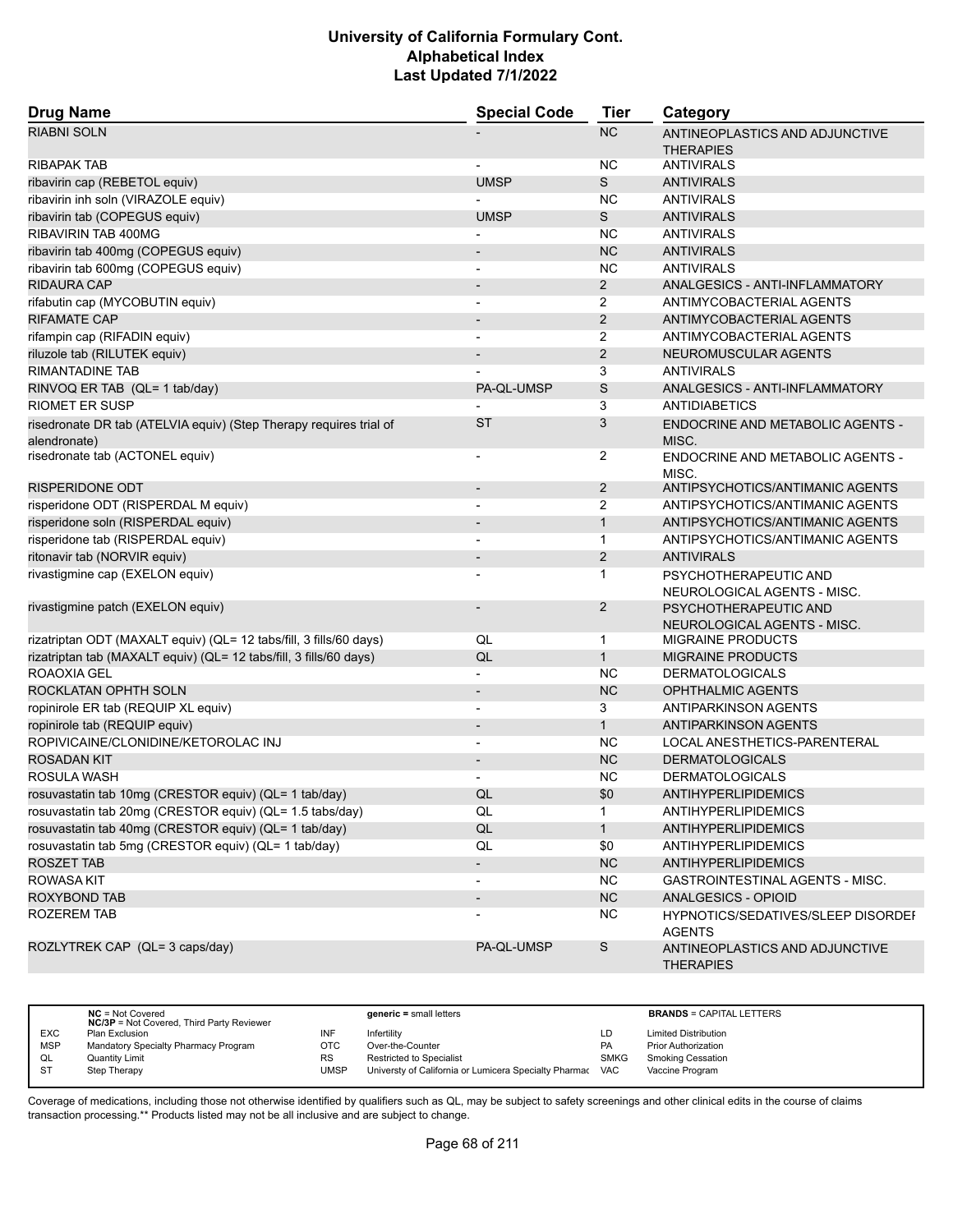| <b>Drug Name</b>                                                                   | <b>Special Code</b>      | <b>Tier</b>    | Category                                                |
|------------------------------------------------------------------------------------|--------------------------|----------------|---------------------------------------------------------|
| <b>RIABNI SOLN</b>                                                                 |                          | <b>NC</b>      | ANTINEOPLASTICS AND ADJUNCTIVE                          |
|                                                                                    |                          |                | <b>THERAPIES</b>                                        |
| <b>RIBAPAK TAB</b>                                                                 |                          | ΝC             | <b>ANTIVIRALS</b>                                       |
| ribavirin cap (REBETOL equiv)                                                      | <b>UMSP</b>              | S              | <b>ANTIVIRALS</b>                                       |
| ribavirin inh soln (VIRAZOLE equiv)                                                |                          | <b>NC</b>      | <b>ANTIVIRALS</b>                                       |
| ribavirin tab (COPEGUS equiv)                                                      | <b>UMSP</b>              | S              | <b>ANTIVIRALS</b>                                       |
| RIBAVIRIN TAB 400MG                                                                |                          | <b>NC</b>      | <b>ANTIVIRALS</b>                                       |
| ribavirin tab 400mg (COPEGUS equiv)                                                | $\overline{\phantom{0}}$ | <b>NC</b>      | <b>ANTIVIRALS</b>                                       |
| ribavirin tab 600mg (COPEGUS equiv)                                                | $\overline{\phantom{a}}$ | <b>NC</b>      | <b>ANTIVIRALS</b>                                       |
| RIDAURA CAP                                                                        | $\overline{\phantom{a}}$ | $\overline{2}$ | ANALGESICS - ANTI-INFLAMMATORY                          |
| rifabutin cap (MYCOBUTIN equiv)                                                    | -                        | $\overline{2}$ | ANTIMYCOBACTERIAL AGENTS                                |
| RIFAMATE CAP                                                                       | $\overline{\phantom{a}}$ | $\overline{2}$ | ANTIMYCOBACTERIAL AGENTS                                |
| rifampin cap (RIFADIN equiv)                                                       | $\overline{\phantom{a}}$ | 2              | ANTIMYCOBACTERIAL AGENTS                                |
| riluzole tab (RILUTEK equiv)                                                       |                          | $\overline{2}$ | NEUROMUSCULAR AGENTS                                    |
| <b>RIMANTADINE TAB</b>                                                             |                          | 3              | <b>ANTIVIRALS</b>                                       |
| RINVOQ ER TAB (QL= 1 tab/day)                                                      | PA-QL-UMSP               | S              | ANALGESICS - ANTI-INFLAMMATORY                          |
| <b>RIOMET ER SUSP</b>                                                              |                          | 3              | <b>ANTIDIABETICS</b>                                    |
| risedronate DR tab (ATELVIA equiv) (Step Therapy requires trial of<br>alendronate) | <b>ST</b>                | 3              | ENDOCRINE AND METABOLIC AGENTS -<br>MISC.               |
| risedronate tab (ACTONEL equiv)                                                    | $\overline{\phantom{a}}$ | 2              | ENDOCRINE AND METABOLIC AGENTS -<br>MISC.               |
| RISPERIDONE ODT                                                                    | $\overline{\phantom{a}}$ | $\overline{2}$ | ANTIPSYCHOTICS/ANTIMANIC AGENTS                         |
| risperidone ODT (RISPERDAL M equiv)                                                | -                        | $\overline{2}$ | ANTIPSYCHOTICS/ANTIMANIC AGENTS                         |
| risperidone soln (RISPERDAL equiv)                                                 |                          | $\mathbf{1}$   | ANTIPSYCHOTICS/ANTIMANIC AGENTS                         |
| risperidone tab (RISPERDAL equiv)                                                  | $\overline{\phantom{a}}$ | $\mathbf{1}$   | ANTIPSYCHOTICS/ANTIMANIC AGENTS                         |
| ritonavir tab (NORVIR equiv)                                                       | $\overline{\phantom{a}}$ | $\overline{2}$ | <b>ANTIVIRALS</b>                                       |
| rivastigmine cap (EXELON equiv)                                                    |                          | 1              | PSYCHOTHERAPEUTIC AND<br>NEUROLOGICAL AGENTS - MISC.    |
| rivastigmine patch (EXELON equiv)                                                  | $\overline{\phantom{0}}$ | $\overline{2}$ | PSYCHOTHERAPEUTIC AND                                   |
| rizatriptan ODT (MAXALT equiv) (QL= 12 tabs/fill, 3 fills/60 days)                 | QL                       | 1              | NEUROLOGICAL AGENTS - MISC.<br><b>MIGRAINE PRODUCTS</b> |
| rizatriptan tab (MAXALT equiv) (QL= 12 tabs/fill, 3 fills/60 days)                 | QL                       | $\mathbf{1}$   | <b>MIGRAINE PRODUCTS</b>                                |
| ROAOXIA GEL                                                                        | -                        | NC             | <b>DERMATOLOGICALS</b>                                  |
| ROCKLATAN OPHTH SOLN                                                               | $\overline{a}$           | <b>NC</b>      | <b>OPHTHALMIC AGENTS</b>                                |
| ropinirole ER tab (REQUIP XL equiv)                                                | $\overline{\phantom{a}}$ | 3              | ANTIPARKINSON AGENTS                                    |
| ropinirole tab (REQUIP equiv)                                                      | $\overline{\phantom{a}}$ | $\mathbf{1}$   | <b>ANTIPARKINSON AGENTS</b>                             |
| ROPIVICAINE/CLONIDINE/KETOROLAC INJ                                                | -                        | <b>NC</b>      | LOCAL ANESTHETICS-PARENTERAL                            |
| <b>ROSADAN KIT</b>                                                                 | $\overline{\phantom{a}}$ | <b>NC</b>      | <b>DERMATOLOGICALS</b>                                  |
| ROSULA WASH                                                                        | $\overline{a}$           | <b>NC</b>      | <b>DERMATOLOGICALS</b>                                  |
| rosuvastatin tab 10mg (CRESTOR equiv) (QL= 1 tab/day)                              | QL                       | \$0            | ANTIHYPERLIPIDEMICS                                     |
| rosuvastatin tab 20mg (CRESTOR equiv) (QL= 1.5 tabs/day)                           | QL                       | 1              | ANTIHYPERLIPIDEMICS                                     |
| rosuvastatin tab 40mg (CRESTOR equiv) (QL= 1 tab/day)                              | QL                       | 1              | <b>ANTIHYPERLIPIDEMICS</b>                              |
| rosuvastatin tab 5mg (CRESTOR equiv) (QL= 1 tab/day)                               | QL                       | \$0            | <b>ANTIHYPERLIPIDEMICS</b>                              |
| ROSZET TAB                                                                         | $\overline{\phantom{a}}$ | NC             | <b>ANTIHYPERLIPIDEMICS</b>                              |
| <b>ROWASA KIT</b>                                                                  | $\overline{\phantom{a}}$ | NC.            | <b>GASTROINTESTINAL AGENTS - MISC.</b>                  |
| <b>ROXYBOND TAB</b>                                                                | -                        | <b>NC</b>      | ANALGESICS - OPIOID                                     |
| ROZEREM TAB                                                                        |                          | <b>NC</b>      | HYPNOTICS/SEDATIVES/SLEEP DISORDEI<br><b>AGENTS</b>     |
| ROZLYTREK CAP (QL= 3 caps/day)                                                     | PA-QL-UMSP               | S              | ANTINEOPLASTICS AND ADJUNCTIVE<br><b>THERAPIES</b>      |

|            | $NC = Not Covered$<br><b>NC/3P</b> = Not Covered, Third Party Reviewer |      | $generic = small letters$                             |             | <b>BRANDS = CAPITAL LETTERS</b> |
|------------|------------------------------------------------------------------------|------|-------------------------------------------------------|-------------|---------------------------------|
| <b>EXC</b> | Plan Exclusion                                                         | INF  | Infertility                                           | LD          | <b>Limited Distribution</b>     |
| <b>MSP</b> | Mandatory Specialty Pharmacy Program                                   | отс  | Over-the-Counter                                      | PA          | <b>Prior Authorization</b>      |
| QL         | Quantity Limit                                                         | RS   | <b>Restricted to Specialist</b>                       | <b>SMKG</b> | <b>Smoking Cessation</b>        |
| <b>ST</b>  | Step Therapy                                                           | UMSP | Universty of California or Lumicera Specialty Pharmac | <b>VAC</b>  | Vaccine Program                 |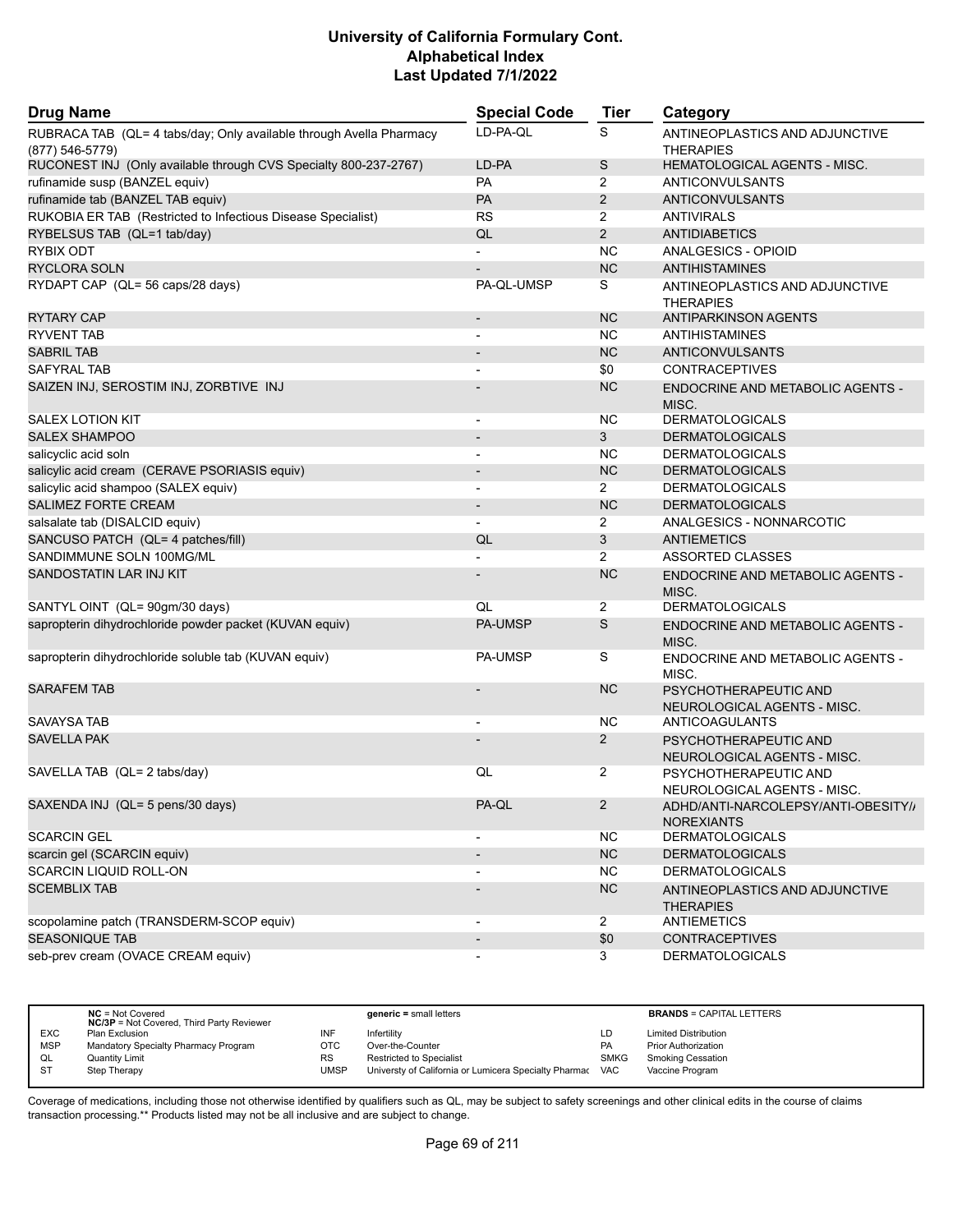| <b>Drug Name</b>                                                                          | <b>Special Code</b>      | <b>Tier</b>    | Category                                                 |
|-------------------------------------------------------------------------------------------|--------------------------|----------------|----------------------------------------------------------|
| RUBRACA TAB (QL= 4 tabs/day; Only available through Avella Pharmacy<br>$(877) 546 - 5779$ | LD-PA-QL                 | S              | ANTINEOPLASTICS AND ADJUNCTIVE<br><b>THERAPIES</b>       |
| RUCONEST INJ (Only available through CVS Specialty 800-237-2767)                          | LD-PA                    | S              | HEMATOLOGICAL AGENTS - MISC.                             |
| rufinamide susp (BANZEL equiv)                                                            | PA                       | $\overline{2}$ | <b>ANTICONVULSANTS</b>                                   |
| rufinamide tab (BANZEL TAB equiv)                                                         | PA                       | $\overline{2}$ | <b>ANTICONVULSANTS</b>                                   |
| RUKOBIA ER TAB (Restricted to Infectious Disease Specialist)                              | <b>RS</b>                | $\overline{2}$ | <b>ANTIVIRALS</b>                                        |
| RYBELSUS TAB (QL=1 tab/day)                                                               | QL                       | $\overline{2}$ | <b>ANTIDIABETICS</b>                                     |
| RYBIX ODT                                                                                 | $\overline{\phantom{a}}$ | <b>NC</b>      | ANALGESICS - OPIOID                                      |
| <b>RYCLORA SOLN</b>                                                                       |                          | <b>NC</b>      | <b>ANTIHISTAMINES</b>                                    |
| RYDAPT CAP (QL= 56 caps/28 days)                                                          | PA-QL-UMSP               | S              | ANTINEOPLASTICS AND ADJUNCTIVE<br><b>THERAPIES</b>       |
| <b>RYTARY CAP</b>                                                                         | $\overline{\phantom{a}}$ | <b>NC</b>      | <b>ANTIPARKINSON AGENTS</b>                              |
| RYVENT TAB                                                                                | $\blacksquare$           | <b>NC</b>      | ANTIHISTAMINES                                           |
| <b>SABRIL TAB</b>                                                                         |                          | <b>NC</b>      | <b>ANTICONVULSANTS</b>                                   |
| <b>SAFYRAL TAB</b>                                                                        | $\blacksquare$           | \$0            | <b>CONTRACEPTIVES</b>                                    |
| SAIZEN INJ, SEROSTIM INJ, ZORBTIVE INJ                                                    |                          | <b>NC</b>      | <b>ENDOCRINE AND METABOLIC AGENTS -</b><br>MISC.         |
| <b>SALEX LOTION KIT</b>                                                                   | $\overline{\phantom{a}}$ | <b>NC</b>      | <b>DERMATOLOGICALS</b>                                   |
| <b>SALEX SHAMPOO</b>                                                                      |                          | 3              | <b>DERMATOLOGICALS</b>                                   |
| salicyclic acid soln                                                                      | $\blacksquare$           | <b>NC</b>      | <b>DERMATOLOGICALS</b>                                   |
| salicylic acid cream (CERAVE PSORIASIS equiv)                                             | $\overline{\phantom{m}}$ | <b>NC</b>      | <b>DERMATOLOGICALS</b>                                   |
| salicylic acid shampoo (SALEX equiv)                                                      | $\overline{\phantom{0}}$ | $\overline{2}$ | <b>DERMATOLOGICALS</b>                                   |
| <b>SALIMEZ FORTE CREAM</b>                                                                | $\overline{\phantom{a}}$ | <b>NC</b>      | <b>DERMATOLOGICALS</b>                                   |
| salsalate tab (DISALCID equiv)                                                            |                          | $\overline{2}$ | ANALGESICS - NONNARCOTIC                                 |
| SANCUSO PATCH (QL= 4 patches/fill)                                                        | QL                       | 3              | <b>ANTIEMETICS</b>                                       |
| SANDIMMUNE SOLN 100MG/ML                                                                  |                          | $\overline{2}$ | <b>ASSORTED CLASSES</b>                                  |
| SANDOSTATIN LAR INJ KIT                                                                   |                          | <b>NC</b>      | <b>ENDOCRINE AND METABOLIC AGENTS -</b><br>MISC.         |
| SANTYL OINT (QL= 90gm/30 days)                                                            | QL                       | 2              | <b>DERMATOLOGICALS</b>                                   |
| sapropterin dihydrochloride powder packet (KUVAN equiv)                                   | PA-UMSP                  | $\mathsf S$    | ENDOCRINE AND METABOLIC AGENTS -<br>MISC.                |
| sapropterin dihydrochloride soluble tab (KUVAN equiv)                                     | PA-UMSP                  | S              | ENDOCRINE AND METABOLIC AGENTS -<br>MISC.                |
| <b>SARAFEM TAB</b>                                                                        |                          | <b>NC</b>      | PSYCHOTHERAPEUTIC AND<br>NEUROLOGICAL AGENTS - MISC.     |
| <b>SAVAYSA TAB</b>                                                                        |                          | <b>NC</b>      | ANTICOAGULANTS                                           |
| <b>SAVELLA PAK</b>                                                                        |                          | $\overline{2}$ | PSYCHOTHERAPEUTIC AND<br>NEUROLOGICAL AGENTS - MISC.     |
| SAVELLA TAB (QL= 2 tabs/day)                                                              | QL                       | 2              | PSYCHOTHERAPEUTIC AND<br>NEUROLOGICAL AGENTS - MISC.     |
| SAXENDA INJ (QL= 5 pens/30 days)                                                          | PA-QL                    | $\overline{2}$ | ADHD/ANTI-NARCOLEPSY/ANTI-OBESITY//<br><b>NOREXIANTS</b> |
| <b>SCARCIN GEL</b>                                                                        |                          | <b>NC</b>      | <b>DERMATOLOGICALS</b>                                   |
| scarcin gel (SCARCIN equiv)                                                               | $\overline{\phantom{a}}$ | NC             | <b>DERMATOLOGICALS</b>                                   |
| <b>SCARCIN LIQUID ROLL-ON</b>                                                             |                          | NC.            | <b>DERMATOLOGICALS</b>                                   |
| <b>SCEMBLIX TAB</b>                                                                       |                          | NC             | ANTINEOPLASTICS AND ADJUNCTIVE<br><b>THERAPIES</b>       |
| scopolamine patch (TRANSDERM-SCOP equiv)                                                  | $\overline{\phantom{a}}$ | $\overline{a}$ | <b>ANTIEMETICS</b>                                       |
| <b>SEASONIQUE TAB</b>                                                                     | $\overline{\phantom{a}}$ | \$0            | <b>CONTRACEPTIVES</b>                                    |
| seb-prev cream (OVACE CREAM equiv)                                                        |                          | 3              | <b>DERMATOLOGICALS</b>                                   |

|            | $NC = Not Covered$<br><b>NC/3P</b> = Not Covered, Third Party Reviewer |           | $generic = small letters$                             |             | <b>BRANDS = CAPITAL LETTERS</b> |
|------------|------------------------------------------------------------------------|-----------|-------------------------------------------------------|-------------|---------------------------------|
| <b>EXC</b> | Plan Exclusion                                                         | INF       | Infertility                                           | LD          | <b>Limited Distribution</b>     |
| <b>MSP</b> | Mandatory Specialty Pharmacy Program                                   | OTC       | Over-the-Counter                                      | <b>PA</b>   | <b>Prior Authorization</b>      |
| QL         | Quantity Limit                                                         | <b>RS</b> | <b>Restricted to Specialist</b>                       | <b>SMKG</b> | <b>Smoking Cessation</b>        |
| S1         | Step Therapy                                                           | UMSP      | Universty of California or Lumicera Specialty Pharmac | VAC         | Vaccine Program                 |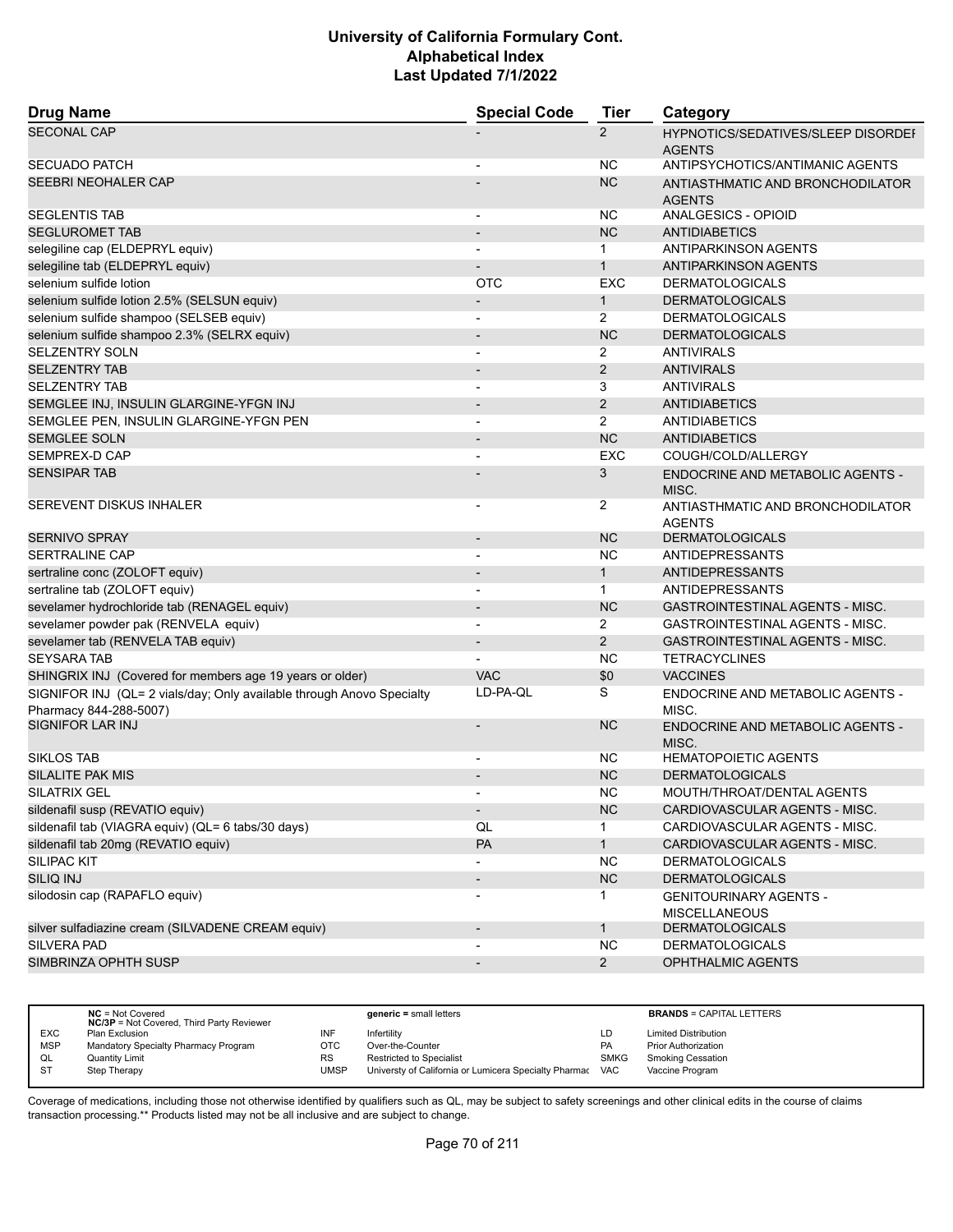| <b>Drug Name</b>                                                                                | <b>Special Code</b>      | <b>Tier</b>    | Category                                                   |
|-------------------------------------------------------------------------------------------------|--------------------------|----------------|------------------------------------------------------------|
| <b>SECONAL CAP</b>                                                                              |                          | $\overline{2}$ | <b>HYPNOTICS/SEDATIVES/SLEEP DISORDEF</b><br><b>AGENTS</b> |
| <b>SECUADO PATCH</b>                                                                            |                          | <b>NC</b>      | ANTIPSYCHOTICS/ANTIMANIC AGENTS                            |
| SEEBRI NEOHALER CAP                                                                             |                          | <b>NC</b>      | ANTIASTHMATIC AND BRONCHODILATOR<br><b>AGENTS</b>          |
| <b>SEGLENTIS TAB</b>                                                                            | $\overline{a}$           | <b>NC</b>      | ANALGESICS - OPIOID                                        |
| <b>SEGLUROMET TAB</b>                                                                           |                          | <b>NC</b>      | <b>ANTIDIABETICS</b>                                       |
| selegiline cap (ELDEPRYL equiv)                                                                 | $\blacksquare$           | $\mathbf 1$    | <b>ANTIPARKINSON AGENTS</b>                                |
| selegiline tab (ELDEPRYL equiv)                                                                 | $\overline{\phantom{a}}$ | $\mathbf{1}$   | <b>ANTIPARKINSON AGENTS</b>                                |
| selenium sulfide lotion                                                                         | <b>OTC</b>               | <b>EXC</b>     | <b>DERMATOLOGICALS</b>                                     |
| selenium sulfide lotion 2.5% (SELSUN equiv)                                                     |                          | $\mathbf{1}$   | <b>DERMATOLOGICALS</b>                                     |
| selenium sulfide shampoo (SELSEB equiv)                                                         | $\overline{\phantom{a}}$ | $\overline{2}$ | <b>DERMATOLOGICALS</b>                                     |
| selenium sulfide shampoo 2.3% (SELRX equiv)                                                     |                          | <b>NC</b>      | <b>DERMATOLOGICALS</b>                                     |
| SELZENTRY SOLN                                                                                  |                          | 2              | <b>ANTIVIRALS</b>                                          |
| <b>SELZENTRY TAB</b>                                                                            | $\overline{\phantom{a}}$ | $\overline{2}$ | <b>ANTIVIRALS</b>                                          |
| <b>SELZENTRY TAB</b>                                                                            | $\overline{\phantom{a}}$ | 3              | <b>ANTIVIRALS</b>                                          |
| SEMGLEE INJ, INSULIN GLARGINE-YFGN INJ                                                          |                          | $\overline{2}$ | <b>ANTIDIABETICS</b>                                       |
| SEMGLEE PEN, INSULIN GLARGINE-YFGN PEN                                                          |                          | $\overline{2}$ | ANTIDIABETICS                                              |
| <b>SEMGLEE SOLN</b>                                                                             |                          | <b>NC</b>      | <b>ANTIDIABETICS</b>                                       |
| SEMPREX-D CAP                                                                                   |                          | <b>EXC</b>     | COUGH/COLD/ALLERGY                                         |
| <b>SENSIPAR TAB</b>                                                                             |                          | 3              | ENDOCRINE AND METABOLIC AGENTS -<br>MISC.                  |
| <b>SEREVENT DISKUS INHALER</b>                                                                  |                          | $\overline{2}$ | ANTIASTHMATIC AND BRONCHODILATOR<br><b>AGENTS</b>          |
| <b>SERNIVO SPRAY</b>                                                                            |                          | <b>NC</b>      | <b>DERMATOLOGICALS</b>                                     |
| <b>SERTRALINE CAP</b>                                                                           | $\blacksquare$           | <b>NC</b>      | ANTIDEPRESSANTS                                            |
| sertraline conc (ZOLOFT equiv)                                                                  | $\overline{\phantom{a}}$ | $\mathbf{1}$   | ANTIDEPRESSANTS                                            |
| sertraline tab (ZOLOFT equiv)                                                                   |                          | $\mathbf 1$    | <b>ANTIDEPRESSANTS</b>                                     |
| sevelamer hydrochloride tab (RENAGEL equiv)                                                     | $\overline{\phantom{a}}$ | <b>NC</b>      | <b>GASTROINTESTINAL AGENTS - MISC.</b>                     |
| sevelamer powder pak (RENVELA equiv)                                                            | $\overline{\phantom{a}}$ | $\overline{2}$ | GASTROINTESTINAL AGENTS - MISC.                            |
| sevelamer tab (RENVELA TAB equiv)                                                               |                          | $\overline{2}$ | <b>GASTROINTESTINAL AGENTS - MISC.</b>                     |
| <b>SEYSARA TAB</b>                                                                              |                          | <b>NC</b>      | <b>TETRACYCLINES</b>                                       |
| SHINGRIX INJ (Covered for members age 19 years or older)                                        | <b>VAC</b>               | \$0            | <b>VACCINES</b>                                            |
| SIGNIFOR INJ (QL= 2 vials/day; Only available through Anovo Specialty<br>Pharmacy 844-288-5007) | LD-PA-QL                 | S              | ENDOCRINE AND METABOLIC AGENTS -<br>MISC.                  |
| <b>SIGNIFOR LAR INJ</b>                                                                         |                          | <b>NC</b>      | <b>ENDOCRINE AND METABOLIC AGENTS -</b><br>MISC.           |
| <b>SIKLOS TAB</b>                                                                               |                          | <b>NC</b>      | <b>HEMATOPOIETIC AGENTS</b>                                |
| <b>SILALITE PAK MIS</b>                                                                         | $\overline{\phantom{a}}$ | <b>NC</b>      | <b>DERMATOLOGICALS</b>                                     |
| <b>SILATRIX GEL</b>                                                                             |                          | <b>NC</b>      | MOUTH/THROAT/DENTAL AGENTS                                 |
| sildenafil susp (REVATIO equiv)                                                                 | $\overline{\phantom{a}}$ | NC             | CARDIOVASCULAR AGENTS - MISC.                              |
| sildenafil tab (VIAGRA equiv) (QL= 6 tabs/30 days)                                              | QL                       | 1              | CARDIOVASCULAR AGENTS - MISC.                              |
| sildenafil tab 20mg (REVATIO equiv)                                                             | PA                       | $\mathbf{1}$   | CARDIOVASCULAR AGENTS - MISC.                              |
| <b>SILIPAC KIT</b>                                                                              |                          | <b>NC</b>      | <b>DERMATOLOGICALS</b>                                     |
| <b>SILIQ INJ</b>                                                                                | $\overline{\phantom{a}}$ | NC             | <b>DERMATOLOGICALS</b>                                     |
| silodosin cap (RAPAFLO equiv)                                                                   | $\overline{a}$           | $\mathbf{1}$   | <b>GENITOURINARY AGENTS -</b><br><b>MISCELLANEOUS</b>      |
| silver sulfadiazine cream (SILVADENE CREAM equiv)                                               | $\overline{\phantom{a}}$ | $\mathbf{1}$   | <b>DERMATOLOGICALS</b>                                     |
| SILVERA PAD                                                                                     |                          | <b>NC</b>      | <b>DERMATOLOGICALS</b>                                     |
| SIMBRINZA OPHTH SUSP                                                                            | $\overline{\phantom{a}}$ | $2^{\circ}$    | OPHTHALMIC AGENTS                                          |
|                                                                                                 |                          |                |                                                            |

|            | $NC = Not Covered$<br><b>NC/3P</b> = Not Covered, Third Party Reviewer |           | $generic = small letters$                             |            | <b>BRANDS = CAPITAL LETTERS</b> |
|------------|------------------------------------------------------------------------|-----------|-------------------------------------------------------|------------|---------------------------------|
| <b>EXC</b> | Plan Exclusion                                                         | INF       | Infertility                                           | LD         | <b>Limited Distribution</b>     |
| <b>MSP</b> | Mandatory Specialty Pharmacy Program                                   | OTC       | Over-the-Counter                                      | PA         | <b>Prior Authorization</b>      |
| QL         | Quantity Limit                                                         | <b>RS</b> | <b>Restricted to Specialist</b>                       | SMKG       | <b>Smoking Cessation</b>        |
| <b>ST</b>  | Step Therapy                                                           | UMSP      | Universty of California or Lumicera Specialty Pharmac | <b>VAC</b> | Vaccine Program                 |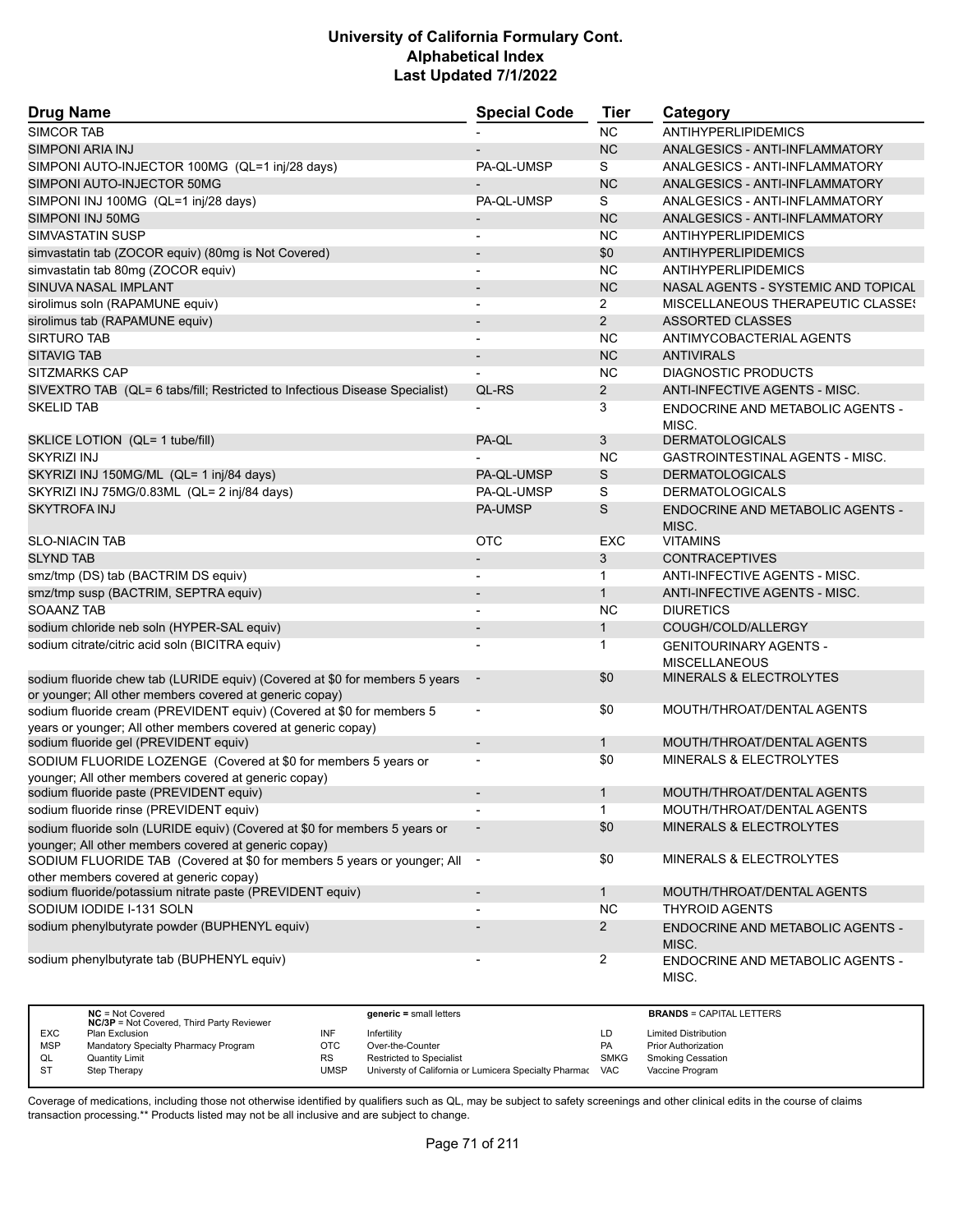| <b>Drug Name</b>                                                                                                                       | <b>Special Code</b>      | Tier           | Category                                              |
|----------------------------------------------------------------------------------------------------------------------------------------|--------------------------|----------------|-------------------------------------------------------|
| <b>SIMCOR TAB</b>                                                                                                                      |                          | <b>NC</b>      | <b>ANTIHYPERLIPIDEMICS</b>                            |
| <b>SIMPONI ARIA INJ</b>                                                                                                                |                          | <b>NC</b>      | ANALGESICS - ANTI-INFLAMMATORY                        |
| SIMPONI AUTO-INJECTOR 100MG (QL=1 inj/28 days)                                                                                         | PA-QL-UMSP               | S              | ANALGESICS - ANTI-INFLAMMATORY                        |
| SIMPONI AUTO-INJECTOR 50MG                                                                                                             |                          | <b>NC</b>      | ANALGESICS - ANTI-INFLAMMATORY                        |
| SIMPONI INJ 100MG (QL=1 inj/28 days)                                                                                                   | PA-QL-UMSP               | S              | ANALGESICS - ANTI-INFLAMMATORY                        |
| SIMPONI INJ 50MG                                                                                                                       |                          | <b>NC</b>      | ANALGESICS - ANTI-INFLAMMATORY                        |
| SIMVASTATIN SUSP                                                                                                                       | $\overline{a}$           | NC             | ANTIHYPERLIPIDEMICS                                   |
| simvastatin tab (ZOCOR equiv) (80mg is Not Covered)                                                                                    | $\overline{a}$           | \$0            | <b>ANTIHYPERLIPIDEMICS</b>                            |
| simvastatin tab 80mg (ZOCOR equiv)                                                                                                     | $\blacksquare$           | <b>NC</b>      | ANTIHYPERLIPIDEMICS                                   |
| SINUVA NASAL IMPLANT                                                                                                                   | $\overline{\phantom{0}}$ | <b>NC</b>      | NASAL AGENTS - SYSTEMIC AND TOPICAL                   |
| sirolimus soln (RAPAMUNE equiv)                                                                                                        | $\overline{\phantom{a}}$ | $\overline{2}$ | MISCELLANEOUS THERAPEUTIC CLASSES                     |
| sirolimus tab (RAPAMUNE equiv)                                                                                                         | $\overline{\phantom{a}}$ | $\overline{2}$ | ASSORTED CLASSES                                      |
| <b>SIRTURO TAB</b>                                                                                                                     |                          | <b>NC</b>      | ANTIMYCOBACTERIAL AGENTS                              |
| <b>SITAVIG TAB</b>                                                                                                                     | $\overline{\phantom{a}}$ | <b>NC</b>      | <b>ANTIVIRALS</b>                                     |
| <b>SITZMARKS CAP</b>                                                                                                                   |                          | NC             | <b>DIAGNOSTIC PRODUCTS</b>                            |
| SIVEXTRO TAB (QL= 6 tabs/fill; Restricted to Infectious Disease Specialist)                                                            | QL-RS                    | $\overline{2}$ | ANTI-INFECTIVE AGENTS - MISC.                         |
| <b>SKELID TAB</b>                                                                                                                      |                          | 3              | ENDOCRINE AND METABOLIC AGENTS -<br>MISC.             |
| SKLICE LOTION (QL= 1 tube/fill)                                                                                                        | PA-QL                    | 3              | <b>DERMATOLOGICALS</b>                                |
| <b>SKYRIZI INJ</b>                                                                                                                     |                          | <b>NC</b>      | <b>GASTROINTESTINAL AGENTS - MISC.</b>                |
| SKYRIZI INJ 150MG/ML (QL= 1 inj/84 days)                                                                                               | PA-QL-UMSP               | S              | <b>DERMATOLOGICALS</b>                                |
| SKYRIZI INJ 75MG/0.83ML (QL= 2 inj/84 days)                                                                                            | PA-QL-UMSP               | S              | <b>DERMATOLOGICALS</b>                                |
| <b>SKYTROFA INJ</b>                                                                                                                    | <b>PA-UMSP</b>           | S              | ENDOCRINE AND METABOLIC AGENTS -<br>MISC.             |
| <b>SLO-NIACIN TAB</b>                                                                                                                  | <b>OTC</b>               | <b>EXC</b>     | <b>VITAMINS</b>                                       |
| <b>SLYND TAB</b>                                                                                                                       |                          | 3              | <b>CONTRACEPTIVES</b>                                 |
| smz/tmp (DS) tab (BACTRIM DS equiv)                                                                                                    | $\blacksquare$           | $\mathbf{1}$   | ANTI-INFECTIVE AGENTS - MISC.                         |
| smz/tmp susp (BACTRIM, SEPTRA equiv)                                                                                                   |                          | $\mathbf{1}$   | ANTI-INFECTIVE AGENTS - MISC.                         |
| <b>SOAANZ TAB</b>                                                                                                                      |                          | <b>NC</b>      | <b>DIURETICS</b>                                      |
| sodium chloride neb soln (HYPER-SAL equiv)                                                                                             | $\overline{\phantom{a}}$ | $\mathbf{1}$   | COUGH/COLD/ALLERGY                                    |
| sodium citrate/citric acid soln (BICITRA equiv)                                                                                        | -                        | 1              | <b>GENITOURINARY AGENTS -</b><br><b>MISCELLANEOUS</b> |
| sodium fluoride chew tab (LURIDE equiv) (Covered at \$0 for members 5 years<br>or younger; All other members covered at generic copay) | $\overline{\phantom{a}}$ | \$0            | <b>MINERALS &amp; ELECTROLYTES</b>                    |
| sodium fluoride cream (PREVIDENT equiv) (Covered at \$0 for members 5<br>years or younger; All other members covered at generic copay) | $\overline{\phantom{a}}$ | \$0            | MOUTH/THROAT/DENTAL AGENTS                            |
| sodium fluoride gel (PREVIDENT equiv)                                                                                                  | $\overline{\phantom{a}}$ | $\mathbf{1}$   | MOUTH/THROAT/DENTAL AGENTS                            |
| SODIUM FLUORIDE LOZENGE (Covered at \$0 for members 5 years or                                                                         |                          | \$0            | <b>MINERALS &amp; ELECTROLYTES</b>                    |
| younger; All other members covered at generic copay)<br>sodium fluoride paste (PREVIDENT equiv)                                        | $\overline{\phantom{a}}$ | $\mathbf 1$    | MOUTH/THROAT/DENTAL AGENTS                            |
| sodium fluoride rinse (PREVIDENT equiv)                                                                                                | $\overline{\phantom{a}}$ | $\mathbf{1}$   | MOUTH/THROAT/DENTAL AGENTS                            |
| sodium fluoride soln (LURIDE equiv) (Covered at \$0 for members 5 years or                                                             |                          | \$0            | MINERALS & ELECTROLYTES                               |
| younger; All other members covered at generic copay)                                                                                   |                          | \$0            | MINERALS & ELECTROLYTES                               |
| SODIUM FLUORIDE TAB (Covered at \$0 for members 5 years or younger; All<br>other members covered at generic copay)                     | $\sim$                   |                |                                                       |
| sodium fluoride/potassium nitrate paste (PREVIDENT equiv)                                                                              | $\overline{\phantom{a}}$ | $\mathbf{1}$   | MOUTH/THROAT/DENTAL AGENTS                            |
| SODIUM IODIDE I-131 SOLN                                                                                                               |                          | <b>NC</b>      | <b>THYROID AGENTS</b>                                 |
| sodium phenylbutyrate powder (BUPHENYL equiv)                                                                                          |                          | $\overline{2}$ | ENDOCRINE AND METABOLIC AGENTS -                      |
|                                                                                                                                        |                          |                | MISC.                                                 |
| sodium phenylbutyrate tab (BUPHENYL equiv)                                                                                             | -                        | 2              | ENDOCRINE AND METABOLIC AGENTS -<br>MISC.             |

|            | $NC = Not Covered$<br><b>NC/3P</b> = Not Covered, Third Party Reviewer |           | $generic = small letters$                             |             | <b>BRANDS = CAPITAL LETTERS</b> |
|------------|------------------------------------------------------------------------|-----------|-------------------------------------------------------|-------------|---------------------------------|
| <b>EXC</b> | Plan Exclusion                                                         | INF       | Infertility                                           | LD          | <b>Limited Distribution</b>     |
| <b>MSP</b> | Mandatory Specialty Pharmacy Program                                   | OTC       | Over-the-Counter                                      | PA          | <b>Prior Authorization</b>      |
| QL         | <b>Quantity Limit</b>                                                  | <b>RS</b> | <b>Restricted to Specialist</b>                       | <b>SMKG</b> | <b>Smoking Cessation</b>        |
|            | Step Therapy                                                           | UMSP      | Universty of California or Lumicera Specialty Pharmac | <b>VAC</b>  | Vaccine Program                 |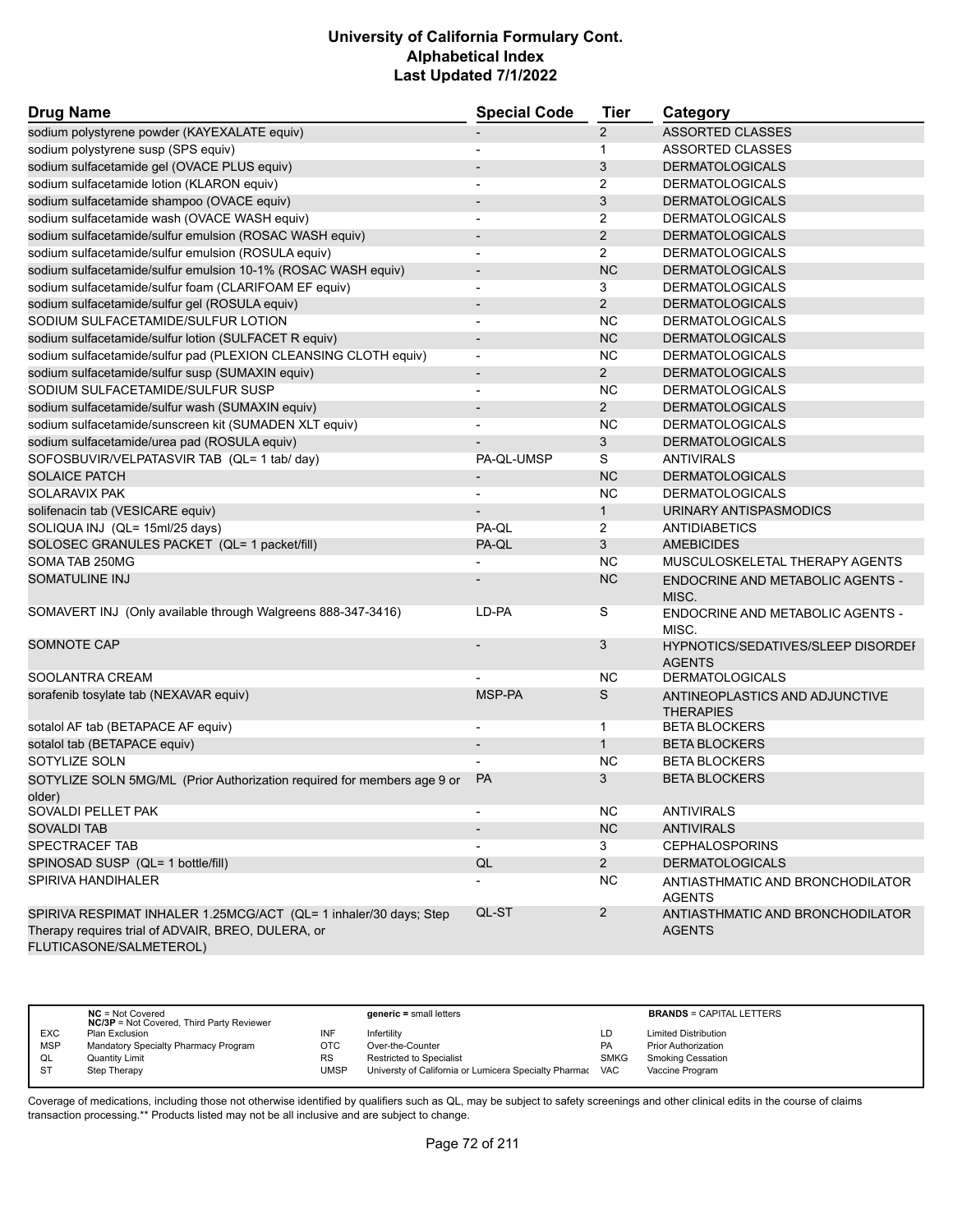| <b>Drug Name</b>                                                                                                                                   | <b>Special Code</b>      | <b>Tier</b>    | Category                                            |
|----------------------------------------------------------------------------------------------------------------------------------------------------|--------------------------|----------------|-----------------------------------------------------|
| sodium polystyrene powder (KAYEXALATE equiv)                                                                                                       |                          | $\overline{2}$ | <b>ASSORTED CLASSES</b>                             |
| sodium polystyrene susp (SPS equiv)                                                                                                                | $\overline{\phantom{a}}$ | $\mathbf{1}$   | ASSORTED CLASSES                                    |
| sodium sulfacetamide gel (OVACE PLUS equiv)                                                                                                        |                          | 3              | <b>DERMATOLOGICALS</b>                              |
| sodium sulfacetamide lotion (KLARON equiv)                                                                                                         | $\blacksquare$           | $\overline{2}$ | <b>DERMATOLOGICALS</b>                              |
| sodium sulfacetamide shampoo (OVACE equiv)                                                                                                         | $\overline{\phantom{a}}$ | 3              | <b>DERMATOLOGICALS</b>                              |
| sodium sulfacetamide wash (OVACE WASH equiv)                                                                                                       |                          | $\overline{2}$ | <b>DERMATOLOGICALS</b>                              |
| sodium sulfacetamide/sulfur emulsion (ROSAC WASH equiv)                                                                                            | $\overline{\phantom{a}}$ | $\overline{2}$ | <b>DERMATOLOGICALS</b>                              |
| sodium sulfacetamide/sulfur emulsion (ROSULA equiv)                                                                                                | $\blacksquare$           | $\overline{2}$ | <b>DERMATOLOGICALS</b>                              |
| sodium sulfacetamide/sulfur emulsion 10-1% (ROSAC WASH equiv)                                                                                      | $\overline{\phantom{a}}$ | <b>NC</b>      | <b>DERMATOLOGICALS</b>                              |
| sodium sulfacetamide/sulfur foam (CLARIFOAM EF equiv)                                                                                              | $\overline{\phantom{a}}$ | 3              | <b>DERMATOLOGICALS</b>                              |
| sodium sulfacetamide/sulfur gel (ROSULA equiv)                                                                                                     | $\overline{\phantom{a}}$ | 2              | <b>DERMATOLOGICALS</b>                              |
| SODIUM SULFACETAMIDE/SULFUR LOTION                                                                                                                 | $\overline{\phantom{a}}$ | NC.            | <b>DERMATOLOGICALS</b>                              |
| sodium sulfacetamide/sulfur lotion (SULFACET R equiv)                                                                                              |                          | <b>NC</b>      | <b>DERMATOLOGICALS</b>                              |
| sodium sulfacetamide/sulfur pad (PLEXION CLEANSING CLOTH equiv)                                                                                    | $\overline{a}$           | <b>NC</b>      | <b>DERMATOLOGICALS</b>                              |
| sodium sulfacetamide/sulfur susp (SUMAXIN equiv)                                                                                                   | $\overline{\phantom{a}}$ | $\overline{2}$ | <b>DERMATOLOGICALS</b>                              |
| SODIUM SULFACETAMIDE/SULFUR SUSP                                                                                                                   | $\blacksquare$           | <b>NC</b>      | <b>DERMATOLOGICALS</b>                              |
| sodium sulfacetamide/sulfur wash (SUMAXIN equiv)                                                                                                   | $\overline{\phantom{a}}$ | $\overline{2}$ | <b>DERMATOLOGICALS</b>                              |
| sodium sulfacetamide/sunscreen kit (SUMADEN XLT equiv)                                                                                             |                          | <b>NC</b>      | <b>DERMATOLOGICALS</b>                              |
| sodium sulfacetamide/urea pad (ROSULA equiv)                                                                                                       |                          | 3              | <b>DERMATOLOGICALS</b>                              |
| SOFOSBUVIR/VELPATASVIR TAB (QL= 1 tab/ day)                                                                                                        | PA-QL-UMSP               | S              | <b>ANTIVIRALS</b>                                   |
| <b>SOLAICE PATCH</b>                                                                                                                               | $\overline{\phantom{a}}$ | <b>NC</b>      | <b>DERMATOLOGICALS</b>                              |
| SOLARAVIX PAK                                                                                                                                      | $\overline{\phantom{a}}$ | <b>NC</b>      | <b>DERMATOLOGICALS</b>                              |
| solifenacin tab (VESICARE equiv)                                                                                                                   | $\overline{\phantom{a}}$ | $\mathbf{1}$   | URINARY ANTISPASMODICS                              |
| SOLIQUA INJ (QL= 15ml/25 days)                                                                                                                     | PA-QL                    | 2              | <b>ANTIDIABETICS</b>                                |
| SOLOSEC GRANULES PACKET (QL= 1 packet/fill)                                                                                                        | PA-QL                    | 3              | <b>AMEBICIDES</b>                                   |
| SOMA TAB 250MG                                                                                                                                     |                          | NC.            | MUSCULOSKELETAL THERAPY AGENTS                      |
| <b>SOMATULINE INJ</b>                                                                                                                              |                          | NC             |                                                     |
|                                                                                                                                                    |                          |                | ENDOCRINE AND METABOLIC AGENTS -<br>MISC.           |
| SOMAVERT INJ (Only available through Walgreens 888-347-3416)                                                                                       | LD-PA                    | S              | ENDOCRINE AND METABOLIC AGENTS -<br>MISC.           |
| <b>SOMNOTE CAP</b>                                                                                                                                 |                          | 3              | HYPNOTICS/SEDATIVES/SLEEP DISORDEI<br><b>AGENTS</b> |
| SOOLANTRA CREAM                                                                                                                                    |                          | NC.            | <b>DERMATOLOGICALS</b>                              |
| sorafenib tosylate tab (NEXAVAR equiv)                                                                                                             | MSP-PA                   | S              | ANTINEOPLASTICS AND ADJUNCTIVE<br><b>THERAPIES</b>  |
| sotalol AF tab (BETAPACE AF equiv)                                                                                                                 | $\overline{\phantom{a}}$ | 1              | <b>BETA BLOCKERS</b>                                |
| sotalol tab (BETAPACE equiv)                                                                                                                       | $\blacksquare$           | $\mathbf{1}$   | <b>BETA BLOCKERS</b>                                |
| SOTYLIZE SOLN                                                                                                                                      |                          | NC.            | <b>BETA BLOCKERS</b>                                |
| SOTYLIZE SOLN 5MG/ML (Prior Authorization required for members age 9 or<br>older)                                                                  | <b>PA</b>                | 3              | <b>BETA BLOCKERS</b>                                |
| SOVALDI PELLET PAK                                                                                                                                 |                          | <b>NC</b>      | <b>ANTIVIRALS</b>                                   |
| <b>SOVALDI TAB</b>                                                                                                                                 |                          | NC             | <b>ANTIVIRALS</b>                                   |
| SPECTRACEF TAB                                                                                                                                     | $\overline{\phantom{a}}$ | 3              | <b>CEPHALOSPORINS</b>                               |
| SPINOSAD SUSP (QL= 1 bottle/fill)                                                                                                                  | QL                       | $\overline{2}$ | <b>DERMATOLOGICALS</b>                              |
| SPIRIVA HANDIHALER                                                                                                                                 |                          | <b>NC</b>      | ANTIASTHMATIC AND BRONCHODILATOR<br><b>AGENTS</b>   |
| SPIRIVA RESPIMAT INHALER 1.25MCG/ACT (QL= 1 inhaler/30 days; Step<br>Therapy requires trial of ADVAIR, BREO, DULERA, or<br>FLUTICASONE/SALMETEROL) | QL-ST                    | $\overline{2}$ | ANTIASTHMATIC AND BRONCHODILATOR<br><b>AGENTS</b>   |

|            | $NC = Not Covered$<br><b>NC/3P</b> = Not Covered, Third Party Reviewer |           | $generic = small letters$                             |             | <b>BRANDS = CAPITAL LETTERS</b> |
|------------|------------------------------------------------------------------------|-----------|-------------------------------------------------------|-------------|---------------------------------|
| <b>EXC</b> | Plan Exclusion                                                         | INF       | Infertilitv                                           | LD          | <b>Limited Distribution</b>     |
| <b>MSP</b> | Mandatory Specialty Pharmacy Program                                   | отс       | Over-the-Counter                                      | <b>PA</b>   | <b>Prior Authorization</b>      |
| QL         | Quantity Limit                                                         | <b>RS</b> | <b>Restricted to Specialist</b>                       | <b>SMKG</b> | <b>Smoking Cessation</b>        |
| -ST        | Step Therapy                                                           | UMSP      | Universty of California or Lumicera Specialty Pharmac | <b>VAC</b>  | Vaccine Program                 |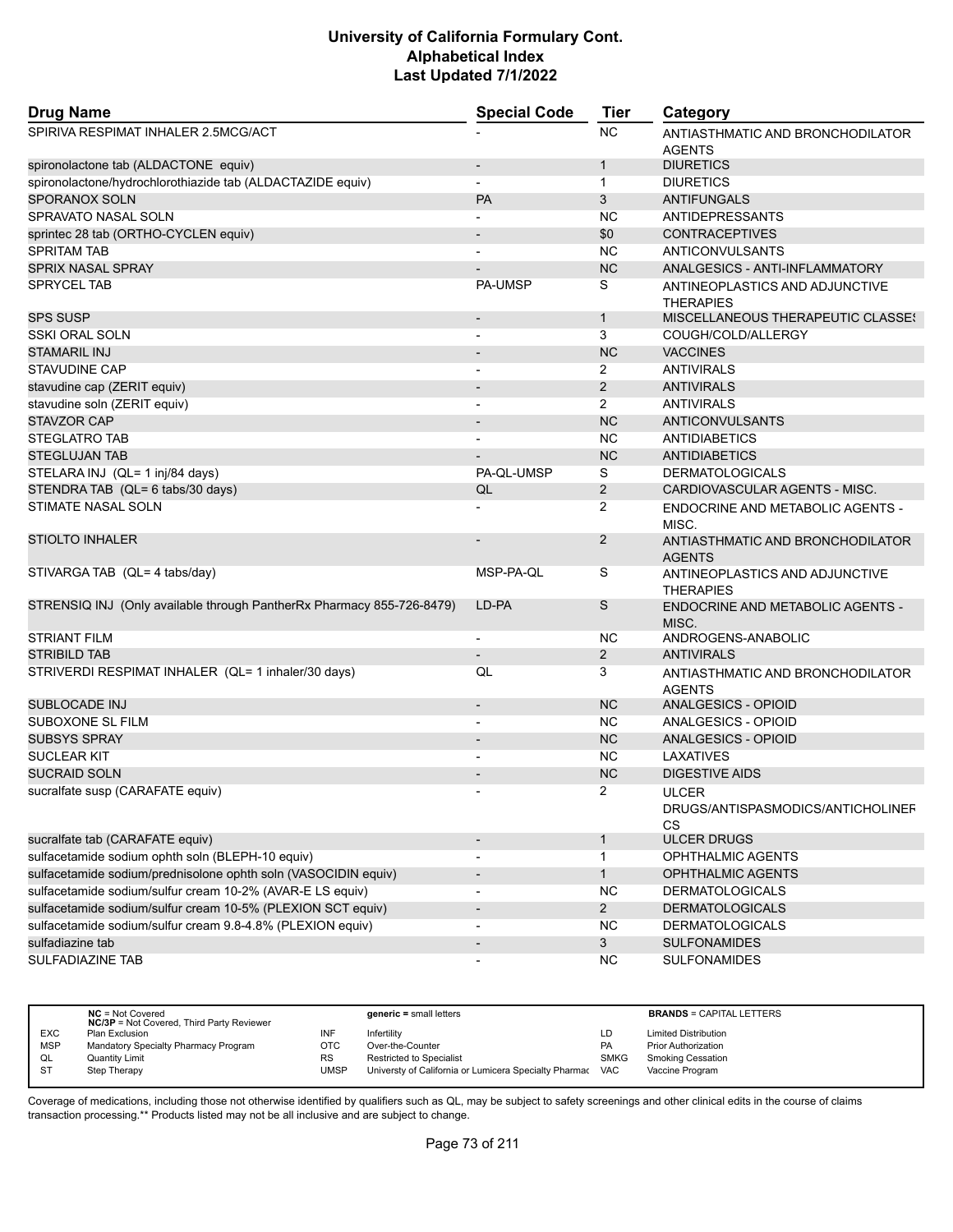| <b>Drug Name</b>                                                      | <b>Special Code</b>          | <b>Tier</b>    | Category                                                       |
|-----------------------------------------------------------------------|------------------------------|----------------|----------------------------------------------------------------|
| SPIRIVA RESPIMAT INHALER 2.5MCG/ACT                                   |                              | <b>NC</b>      | ANTIASTHMATIC AND BRONCHODILATOR<br><b>AGENTS</b>              |
| spironolactone tab (ALDACTONE equiv)                                  | $\overline{\phantom{a}}$     | $\mathbf{1}$   | <b>DIURETICS</b>                                               |
| spironolactone/hydrochlorothiazide tab (ALDACTAZIDE equiv)            |                              | $\mathbf 1$    | <b>DIURETICS</b>                                               |
| <b>SPORANOX SOLN</b>                                                  | <b>PA</b>                    | 3              | <b>ANTIFUNGALS</b>                                             |
| SPRAVATO NASAL SOLN                                                   |                              | <b>NC</b>      | ANTIDEPRESSANTS                                                |
| sprintec 28 tab (ORTHO-CYCLEN equiv)                                  |                              | \$0            | <b>CONTRACEPTIVES</b>                                          |
| <b>SPRITAM TAB</b>                                                    |                              | <b>NC</b>      | ANTICONVULSANTS                                                |
| <b>SPRIX NASAL SPRAY</b>                                              |                              | <b>NC</b>      | ANALGESICS - ANTI-INFLAMMATORY                                 |
| <b>SPRYCEL TAB</b>                                                    | <b>PA-UMSP</b>               | S              | ANTINEOPLASTICS AND ADJUNCTIVE<br><b>THERAPIES</b>             |
| <b>SPS SUSP</b>                                                       |                              | $\mathbf{1}$   | <b>MISCELLANEOUS THERAPEUTIC CLASSES</b>                       |
| SSKI ORAL SOLN                                                        |                              | 3              | COUGH/COLD/ALLERGY                                             |
| <b>STAMARIL INJ</b>                                                   |                              | <b>NC</b>      | <b>VACCINES</b>                                                |
| STAVUDINE CAP                                                         |                              | 2              | <b>ANTIVIRALS</b>                                              |
| stavudine cap (ZERIT equiv)                                           |                              | 2              | <b>ANTIVIRALS</b>                                              |
| stavudine soln (ZERIT equiv)                                          | L,                           | $\overline{2}$ | <b>ANTIVIRALS</b>                                              |
| <b>STAVZOR CAP</b>                                                    |                              | <b>NC</b>      | <b>ANTICONVULSANTS</b>                                         |
| <b>STEGLATRO TAB</b>                                                  |                              | <b>NC</b>      | <b>ANTIDIABETICS</b>                                           |
| <b>STEGLUJAN TAB</b>                                                  |                              | <b>NC</b>      | <b>ANTIDIABETICS</b>                                           |
| STELARA INJ (QL= 1 inj/84 days)                                       | PA-QL-UMSP                   | S              | <b>DERMATOLOGICALS</b>                                         |
| STENDRA TAB (QL= 6 tabs/30 days)                                      | QL                           | 2              | CARDIOVASCULAR AGENTS - MISC.                                  |
| <b>STIMATE NASAL SOLN</b>                                             |                              | 2              | ENDOCRINE AND METABOLIC AGENTS -<br>MISC.                      |
| <b>STIOLTO INHALER</b>                                                |                              | $\overline{2}$ | ANTIASTHMATIC AND BRONCHODILATOR<br><b>AGENTS</b>              |
| STIVARGA TAB (QL= 4 tabs/day)                                         | MSP-PA-QL                    | S              | ANTINEOPLASTICS AND ADJUNCTIVE<br><b>THERAPIES</b>             |
| STRENSIQ INJ (Only available through PantherRx Pharmacy 855-726-8479) | LD-PA                        | S              | ENDOCRINE AND METABOLIC AGENTS -<br>MISC.                      |
| <b>STRIANT FILM</b>                                                   |                              | <b>NC</b>      | ANDROGENS-ANABOLIC                                             |
| <b>STRIBILD TAB</b>                                                   |                              | 2              | <b>ANTIVIRALS</b>                                              |
| STRIVERDI RESPIMAT INHALER (QL= 1 inhaler/30 days)                    | QL                           | 3              | ANTIASTHMATIC AND BRONCHODILATOR<br><b>AGENTS</b>              |
| <b>SUBLOCADE INJ</b>                                                  | $\overline{\phantom{a}}$     | <b>NC</b>      | <b>ANALGESICS - OPIOID</b>                                     |
| SUBOXONE SL FILM                                                      | $\overline{\phantom{a}}$     | <b>NC</b>      | ANALGESICS - OPIOID                                            |
| <b>SUBSYS SPRAY</b>                                                   |                              | <b>NC</b>      | ANALGESICS - OPIOID                                            |
| <b>SUCLEAR KIT</b>                                                    |                              | <b>NC</b>      | LAXATIVES                                                      |
| <b>SUCRAID SOLN</b>                                                   |                              | <b>NC</b>      | <b>DIGESTIVE AIDS</b>                                          |
| sucralfate susp (CARAFATE equiv)                                      | $\blacksquare$               | $\overline{2}$ | <b>ULCER</b><br>DRUGS/ANTISPASMODICS/ANTICHOLINEF<br><b>CS</b> |
| sucralfate tab (CARAFATE equiv)                                       |                              | $\mathbf 1$    | <b>ULCER DRUGS</b>                                             |
| sulfacetamide sodium ophth soln (BLEPH-10 equiv)                      | $\overline{\phantom{a}}$     | $\mathbf{1}$   | OPHTHALMIC AGENTS                                              |
| sulfacetamide sodium/prednisolone ophth soln (VASOCIDIN equiv)        | $\overline{\phantom{a}}$     | $\mathbf{1}$   | OPHTHALMIC AGENTS                                              |
| sulfacetamide sodium/sulfur cream 10-2% (AVAR-E LS equiv)             |                              | <b>NC</b>      | <b>DERMATOLOGICALS</b>                                         |
| sulfacetamide sodium/sulfur cream 10-5% (PLEXION SCT equiv)           | $\qquad \qquad \blacksquare$ | $2^{\circ}$    | <b>DERMATOLOGICALS</b>                                         |
| sulfacetamide sodium/sulfur cream 9.8-4.8% (PLEXION equiv)            | $\overline{a}$               | <b>NC</b>      | <b>DERMATOLOGICALS</b>                                         |
| sulfadiazine tab                                                      | $\overline{\phantom{a}}$     | 3              | <b>SULFONAMIDES</b>                                            |
| SULFADIAZINE TAB                                                      | $\overline{a}$               | <b>NC</b>      | <b>SULFONAMIDES</b>                                            |

|            | $NC = Not Covered$<br><b>NC/3P</b> = Not Covered, Third Party Reviewer |            | $generic = small letters$                             |             | <b>BRANDS = CAPITAL LETTERS</b> |
|------------|------------------------------------------------------------------------|------------|-------------------------------------------------------|-------------|---------------------------------|
| <b>EXC</b> | Plan Exclusion                                                         | INF        | Infertility                                           | LD          | <b>Limited Distribution</b>     |
| <b>MSP</b> | Mandatory Specialty Pharmacy Program                                   | <b>OTC</b> | Over-the-Counter                                      | PA          | <b>Prior Authorization</b>      |
| QL         | Quantity Limit                                                         | RS         | <b>Restricted to Specialist</b>                       | <b>SMKG</b> | <b>Smoking Cessation</b>        |
| S1         | Step Therapy                                                           | JMSP       | Universty of California or Lumicera Specialty Pharmac | <b>VAC</b>  | Vaccine Program                 |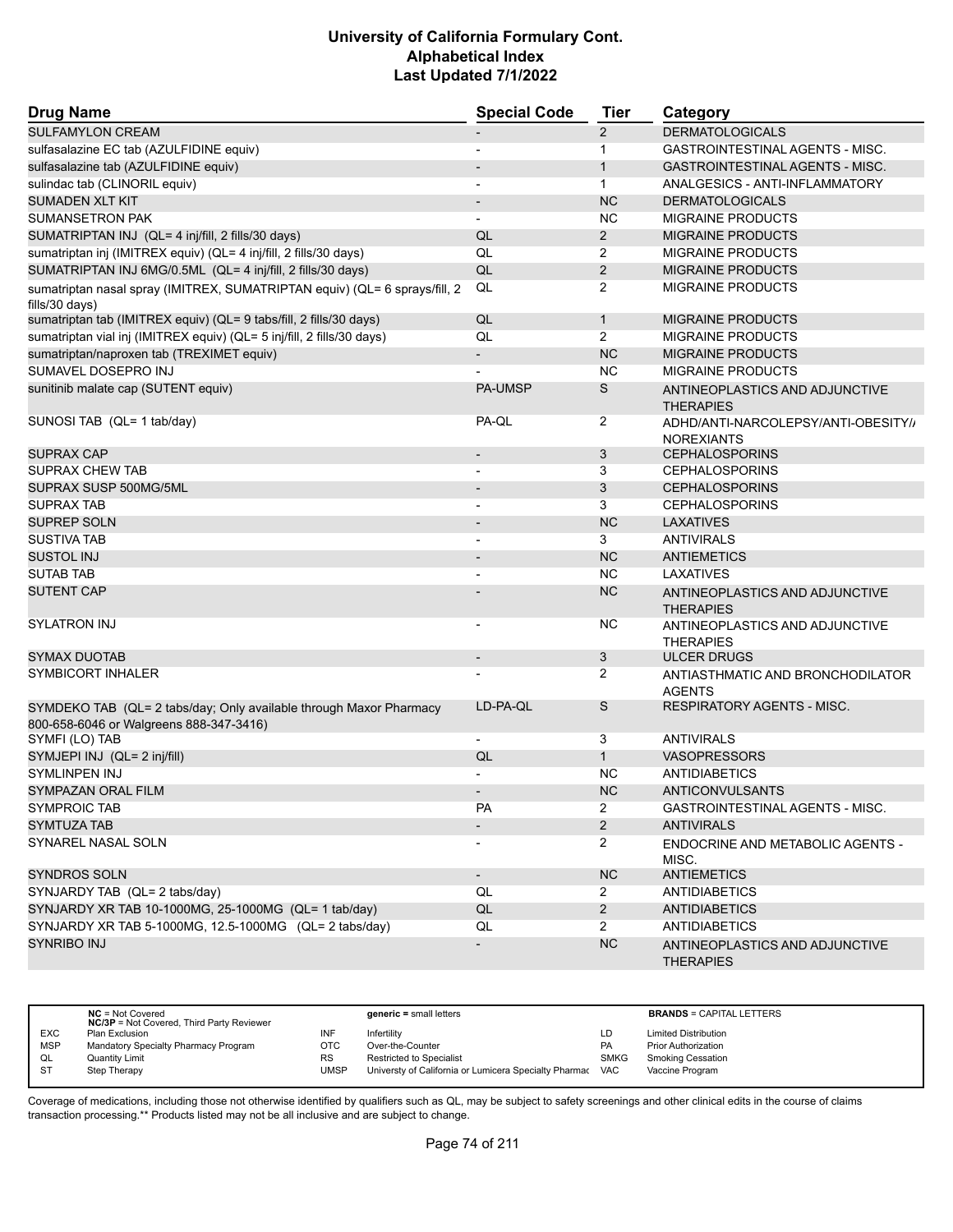| <b>Drug Name</b>                                                                                              | <b>Special Code</b>      | <b>Tier</b>    | Category                                                 |
|---------------------------------------------------------------------------------------------------------------|--------------------------|----------------|----------------------------------------------------------|
| <b>SULFAMYLON CREAM</b>                                                                                       |                          | $\overline{2}$ | <b>DERMATOLOGICALS</b>                                   |
| sulfasalazine EC tab (AZULFIDINE equiv)                                                                       |                          | 1              | <b>GASTROINTESTINAL AGENTS - MISC.</b>                   |
| sulfasalazine tab (AZULFIDINE equiv)                                                                          |                          | $\mathbf{1}$   | <b>GASTROINTESTINAL AGENTS - MISC.</b>                   |
| sulindac tab (CLINORIL equiv)                                                                                 |                          | $\mathbf{1}$   | ANALGESICS - ANTI-INFLAMMATORY                           |
| <b>SUMADEN XLT KIT</b>                                                                                        | $\overline{\phantom{a}}$ | <b>NC</b>      | <b>DERMATOLOGICALS</b>                                   |
| <b>SUMANSETRON PAK</b>                                                                                        |                          | NC.            | <b>MIGRAINE PRODUCTS</b>                                 |
| SUMATRIPTAN INJ (QL= 4 inj/fill, 2 fills/30 days)                                                             | QL                       | $\overline{2}$ | <b>MIGRAINE PRODUCTS</b>                                 |
| sumatriptan inj (IMITREX equiv) (QL= 4 inj/fill, 2 fills/30 days)                                             | QL                       | $\overline{2}$ | <b>MIGRAINE PRODUCTS</b>                                 |
| SUMATRIPTAN INJ 6MG/0.5ML (QL= 4 inj/fill, 2 fills/30 days)                                                   | QL                       | $\overline{2}$ | <b>MIGRAINE PRODUCTS</b>                                 |
| sumatriptan nasal spray (IMITREX, SUMATRIPTAN equiv) (QL= 6 sprays/fill, 2<br>fills/30 days)                  | QL                       | $\overline{2}$ | <b>MIGRAINE PRODUCTS</b>                                 |
| sumatriptan tab (IMITREX equiv) (QL= 9 tabs/fill, 2 fills/30 days)                                            | QL                       | $\mathbf{1}$   | <b>MIGRAINE PRODUCTS</b>                                 |
| sumatriptan vial inj (IMITREX equiv) (QL= 5 inj/fill, 2 fills/30 days)                                        | QL                       | $\overline{2}$ | <b>MIGRAINE PRODUCTS</b>                                 |
| sumatriptan/naproxen tab (TREXIMET equiv)                                                                     | $\overline{\phantom{a}}$ | <b>NC</b>      | <b>MIGRAINE PRODUCTS</b>                                 |
| SUMAVEL DOSEPRO INJ                                                                                           |                          | <b>NC</b>      | <b>MIGRAINE PRODUCTS</b>                                 |
| sunitinib malate cap (SUTENT equiv)                                                                           | <b>PA-UMSP</b>           | S              | ANTINEOPLASTICS AND ADJUNCTIVE<br><b>THERAPIES</b>       |
| SUNOSI TAB (QL= 1 tab/day)                                                                                    | PA-QL                    | $\overline{2}$ | ADHD/ANTI-NARCOLEPSY/ANTI-OBESITY//<br><b>NOREXIANTS</b> |
| SUPRAX CAP                                                                                                    |                          | 3              | <b>CEPHALOSPORINS</b>                                    |
| SUPRAX CHEW TAB                                                                                               |                          | 3              | <b>CEPHALOSPORINS</b>                                    |
| SUPRAX SUSP 500MG/5ML                                                                                         | $\overline{\phantom{a}}$ | 3              | <b>CEPHALOSPORINS</b>                                    |
| <b>SUPRAX TAB</b>                                                                                             |                          | 3              | <b>CEPHALOSPORINS</b>                                    |
| <b>SUPREP SOLN</b>                                                                                            | $\overline{\phantom{a}}$ | <b>NC</b>      | LAXATIVES                                                |
| <b>SUSTIVA TAB</b>                                                                                            |                          | 3              | <b>ANTIVIRALS</b>                                        |
| <b>SUSTOL INJ</b>                                                                                             |                          | <b>NC</b>      | <b>ANTIEMETICS</b>                                       |
| <b>SUTAB TAB</b>                                                                                              |                          | <b>NC</b>      | LAXATIVES                                                |
| <b>SUTENT CAP</b>                                                                                             |                          | <b>NC</b>      | ANTINEOPLASTICS AND ADJUNCTIVE<br><b>THERAPIES</b>       |
| <b>SYLATRON INJ</b>                                                                                           |                          | NC.            | ANTINEOPLASTICS AND ADJUNCTIVE<br><b>THERAPIES</b>       |
| <b>SYMAX DUOTAB</b>                                                                                           | $\overline{\phantom{a}}$ | 3              | <b>ULCER DRUGS</b>                                       |
| SYMBICORT INHALER                                                                                             |                          | 2              | ANTIASTHMATIC AND BRONCHODILATOR<br><b>AGENTS</b>        |
| SYMDEKO TAB (QL= 2 tabs/day; Only available through Maxor Pharmacy<br>800-658-6046 or Walgreens 888-347-3416) | LD-PA-QL                 | S              | <b>RESPIRATORY AGENTS - MISC.</b>                        |
| SYMFI (LO) TAB                                                                                                |                          | 3              | <b>ANTIVIRALS</b>                                        |
| SYMJEPI INJ (QL= 2 inj/fill)                                                                                  | QL                       | $\mathbf{1}$   | <b>VASOPRESSORS</b>                                      |
| <b>SYMLINPEN INJ</b>                                                                                          |                          | <b>NC</b>      | <b>ANTIDIABETICS</b>                                     |
| <b>SYMPAZAN ORAL FILM</b>                                                                                     |                          | <b>NC</b>      | <b>ANTICONVULSANTS</b>                                   |
| <b>SYMPROIC TAB</b>                                                                                           | PA                       | $\overline{2}$ | GASTROINTESTINAL AGENTS - MISC.                          |
| <b>SYMTUZA TAB</b>                                                                                            |                          | $2^{\circ}$    | <b>ANTIVIRALS</b>                                        |
| SYNAREL NASAL SOLN                                                                                            |                          | $\overline{2}$ | <b>ENDOCRINE AND METABOLIC AGENTS -</b><br>MISC.         |
| SYNDROS SOLN                                                                                                  | $\overline{\phantom{a}}$ | NC             | <b>ANTIEMETICS</b>                                       |
| SYNJARDY TAB (QL= 2 tabs/day)                                                                                 | QL                       | $\mathbf{2}$   | <b>ANTIDIABETICS</b>                                     |
| SYNJARDY XR TAB 10-1000MG, 25-1000MG (QL= 1 tab/day)                                                          | QL                       | $2^{\circ}$    | <b>ANTIDIABETICS</b>                                     |
| SYNJARDY XR TAB 5-1000MG, 12.5-1000MG (QL= 2 tabs/day)                                                        | QL                       | $\overline{2}$ | <b>ANTIDIABETICS</b>                                     |
| <b>SYNRIBO INJ</b>                                                                                            |                          | NC             | ANTINEOPLASTICS AND ADJUNCTIVE<br><b>THERAPIES</b>       |

|            | $NC = Not Covered$<br><b>NC/3P</b> = Not Covered, Third Party Reviewer |      | $generic = small letters$                             |             | <b>BRANDS = CAPITAL LETTERS</b> |
|------------|------------------------------------------------------------------------|------|-------------------------------------------------------|-------------|---------------------------------|
| <b>EXC</b> | Plan Exclusion                                                         | INF  | Infertility                                           | LD          | <b>Limited Distribution</b>     |
| <b>MSP</b> | Mandatory Specialty Pharmacy Program                                   | OTC  | Over-the-Counter                                      | PA          | <b>Prior Authorization</b>      |
| QL         | <b>Quantity Limit</b>                                                  | RS   | <b>Restricted to Specialist</b>                       | <b>SMKG</b> | <b>Smoking Cessation</b>        |
| -ST        | Step Therapy                                                           | UMSP | Universty of California or Lumicera Specialty Pharmac | <b>VAC</b>  | Vaccine Program                 |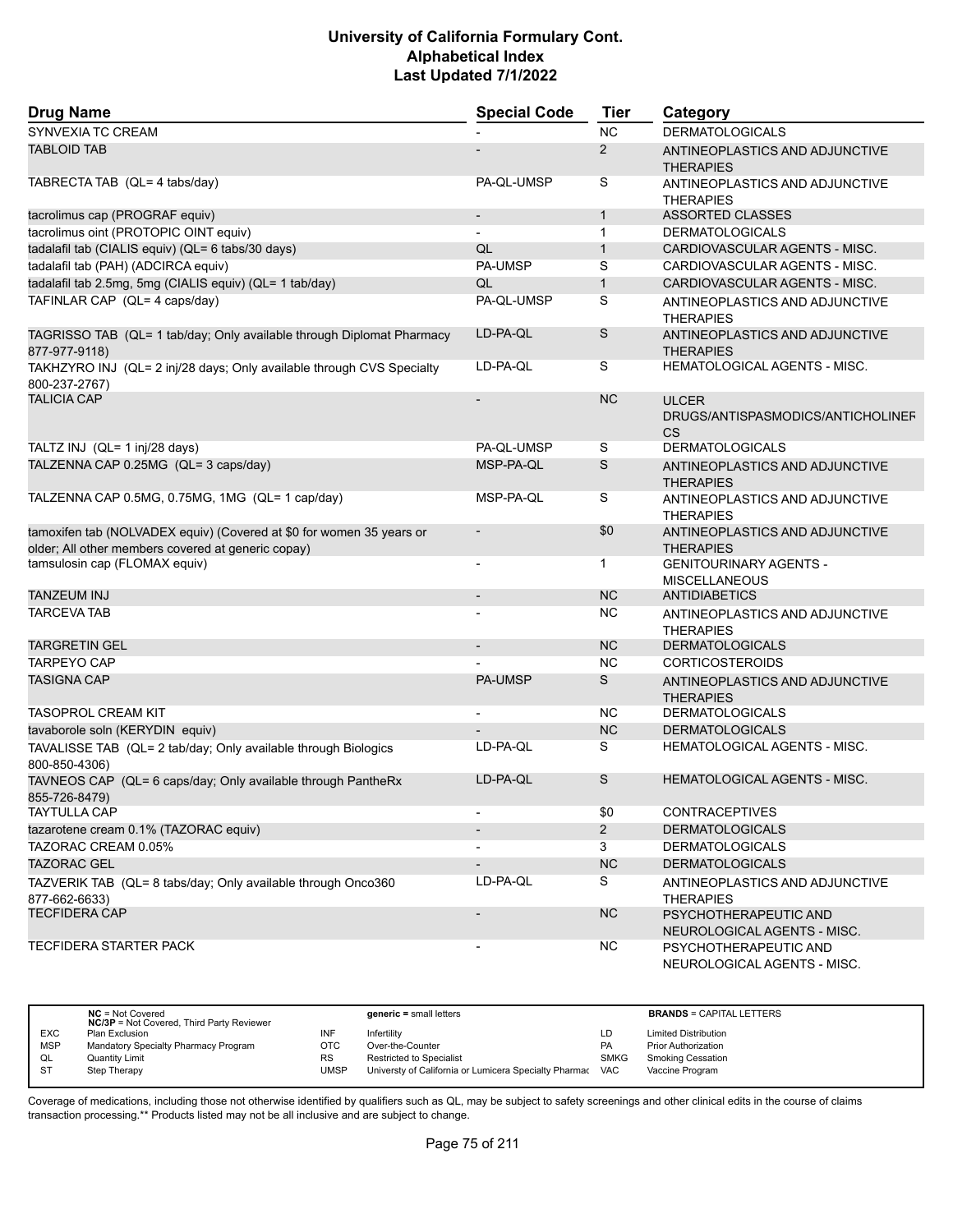| <b>Drug Name</b>                                                                                                           | <b>Special Code</b>      | <b>Tier</b>  | Category                                                       |  |
|----------------------------------------------------------------------------------------------------------------------------|--------------------------|--------------|----------------------------------------------------------------|--|
| SYNVEXIA TC CREAM                                                                                                          |                          | <b>NC</b>    | <b>DERMATOLOGICALS</b>                                         |  |
| <b>TABLOID TAB</b>                                                                                                         |                          | 2            | ANTINEOPLASTICS AND ADJUNCTIVE<br><b>THERAPIES</b>             |  |
| TABRECTA TAB (QL= 4 tabs/day)                                                                                              | PA-QL-UMSP               | S            | ANTINEOPLASTICS AND ADJUNCTIVE<br><b>THERAPIES</b>             |  |
| tacrolimus cap (PROGRAF equiv)                                                                                             |                          | $\mathbf{1}$ | <b>ASSORTED CLASSES</b>                                        |  |
| tacrolimus oint (PROTOPIC OINT equiv)                                                                                      | $\overline{\phantom{a}}$ | $\mathbf{1}$ | <b>DERMATOLOGICALS</b>                                         |  |
| tadalafil tab (CIALIS equiv) (QL= 6 tabs/30 days)                                                                          | QL                       | $\mathbf{1}$ | CARDIOVASCULAR AGENTS - MISC.                                  |  |
| tadalafil tab (PAH) (ADCIRCA equiv)                                                                                        | PA-UMSP                  | S            | CARDIOVASCULAR AGENTS - MISC.                                  |  |
| tadalafil tab 2.5mg, 5mg (CIALIS equiv) (QL= 1 tab/day)                                                                    | QL                       | $\mathbf{1}$ | CARDIOVASCULAR AGENTS - MISC.                                  |  |
| TAFINLAR CAP (QL= 4 caps/day)                                                                                              | PA-QL-UMSP               | S            | ANTINEOPLASTICS AND ADJUNCTIVE<br><b>THERAPIES</b>             |  |
| TAGRISSO TAB (QL= 1 tab/day; Only available through Diplomat Pharmacy<br>877-977-9118)                                     | LD-PA-QL                 | S            | ANTINEOPLASTICS AND ADJUNCTIVE<br><b>THERAPIES</b>             |  |
| TAKHZYRO INJ (QL= 2 inj/28 days; Only available through CVS Specialty<br>800-237-2767)                                     | LD-PA-QL                 | S            | <b>HEMATOLOGICAL AGENTS - MISC.</b>                            |  |
| <b>TALICIA CAP</b>                                                                                                         |                          | <b>NC</b>    | <b>ULCER</b><br>DRUGS/ANTISPASMODICS/ANTICHOLINEF<br><b>CS</b> |  |
| TALTZ INJ (QL= 1 inj/28 days)                                                                                              | PA-QL-UMSP               | S            | <b>DERMATOLOGICALS</b>                                         |  |
| TALZENNA CAP 0.25MG (QL= 3 caps/day)                                                                                       | MSP-PA-QL                | S            | ANTINEOPLASTICS AND ADJUNCTIVE<br><b>THERAPIES</b>             |  |
| TALZENNA CAP 0.5MG, 0.75MG, 1MG (QL= 1 cap/day)                                                                            | MSP-PA-QL                | S            | ANTINEOPLASTICS AND ADJUNCTIVE<br><b>THERAPIES</b>             |  |
| tamoxifen tab (NOLVADEX equiv) (Covered at \$0 for women 35 years or<br>older; All other members covered at generic copay) |                          | \$0          | ANTINEOPLASTICS AND ADJUNCTIVE<br><b>THERAPIES</b>             |  |
| tamsulosin cap (FLOMAX equiv)                                                                                              | $\blacksquare$           | $\mathbf{1}$ | <b>GENITOURINARY AGENTS -</b><br><b>MISCELLANEOUS</b>          |  |
| <b>TANZEUM INJ</b>                                                                                                         | $\overline{\phantom{a}}$ | <b>NC</b>    | <b>ANTIDIABETICS</b>                                           |  |
| <b>TARCEVA TAB</b>                                                                                                         |                          | <b>NC</b>    | ANTINEOPLASTICS AND ADJUNCTIVE<br><b>THERAPIES</b>             |  |
| <b>TARGRETIN GEL</b>                                                                                                       | $\overline{\phantom{a}}$ | <b>NC</b>    | <b>DERMATOLOGICALS</b>                                         |  |
| <b>TARPEYO CAP</b>                                                                                                         |                          | <b>NC</b>    | <b>CORTICOSTEROIDS</b>                                         |  |
| <b>TASIGNA CAP</b>                                                                                                         | <b>PA-UMSP</b>           | S            | ANTINEOPLASTICS AND ADJUNCTIVE<br><b>THERAPIES</b>             |  |
| <b>TASOPROL CREAM KIT</b>                                                                                                  | $\blacksquare$           | NC.          | <b>DERMATOLOGICALS</b>                                         |  |
| tavaborole soln (KERYDIN equiv)                                                                                            |                          | <b>NC</b>    | <b>DERMATOLOGICALS</b>                                         |  |
| TAVALISSE TAB (QL= 2 tab/day; Only available through Biologics<br>800-850-4306)                                            | LD-PA-QL                 | S            | HEMATOLOGICAL AGENTS - MISC.                                   |  |
| TAVNEOS CAP (QL= 6 caps/day; Only available through PantheRx<br>855-726-8479)                                              | LD-PA-QL                 | S            | <b>HEMATOLOGICAL AGENTS - MISC.</b>                            |  |
| <b>TAYTULLA CAP</b>                                                                                                        |                          | \$0          | <b>CONTRACEPTIVES</b>                                          |  |
| tazarotene cream 0.1% (TAZORAC equiv)                                                                                      |                          | $2^{\circ}$  | <b>DERMATOLOGICALS</b>                                         |  |
| TAZORAC CREAM 0.05%                                                                                                        |                          | 3            | <b>DERMATOLOGICALS</b>                                         |  |
| <b>TAZORAC GEL</b>                                                                                                         |                          | NC           | <b>DERMATOLOGICALS</b>                                         |  |
| TAZVERIK TAB (QL= 8 tabs/day; Only available through Onco360<br>877-662-6633)                                              | LD-PA-QL                 | S            | ANTINEOPLASTICS AND ADJUNCTIVE<br><b>THERAPIES</b>             |  |
| <b>TECFIDERA CAP</b>                                                                                                       |                          | <b>NC</b>    | PSYCHOTHERAPEUTIC AND<br>NEUROLOGICAL AGENTS - MISC.           |  |
| TECFIDERA STARTER PACK                                                                                                     |                          | <b>NC</b>    | PSYCHOTHERAPEUTIC AND<br>NEUROLOGICAL AGENTS - MISC.           |  |

|            | $NC = Not Covered$<br><b>NC/3P</b> = Not Covered, Third Party Reviewer |      | $generic = small letters$                             |             | <b>BRANDS = CAPITAL LETTERS</b> |
|------------|------------------------------------------------------------------------|------|-------------------------------------------------------|-------------|---------------------------------|
| <b>EXC</b> | Plan Exclusion                                                         | INF  | Infertility                                           | LD          | <b>Limited Distribution</b>     |
| <b>MSP</b> | Mandatory Specialty Pharmacy Program                                   | OTC  | Over-the-Counter                                      | <b>PA</b>   | <b>Prior Authorization</b>      |
| QL         | Quantity Limit                                                         | RS   | <b>Restricted to Specialist</b>                       | <b>SMKG</b> | <b>Smoking Cessation</b>        |
|            | Step Therapy                                                           | UMSP | Universty of California or Lumicera Specialty Pharmac | <b>VAC</b>  | Vaccine Program                 |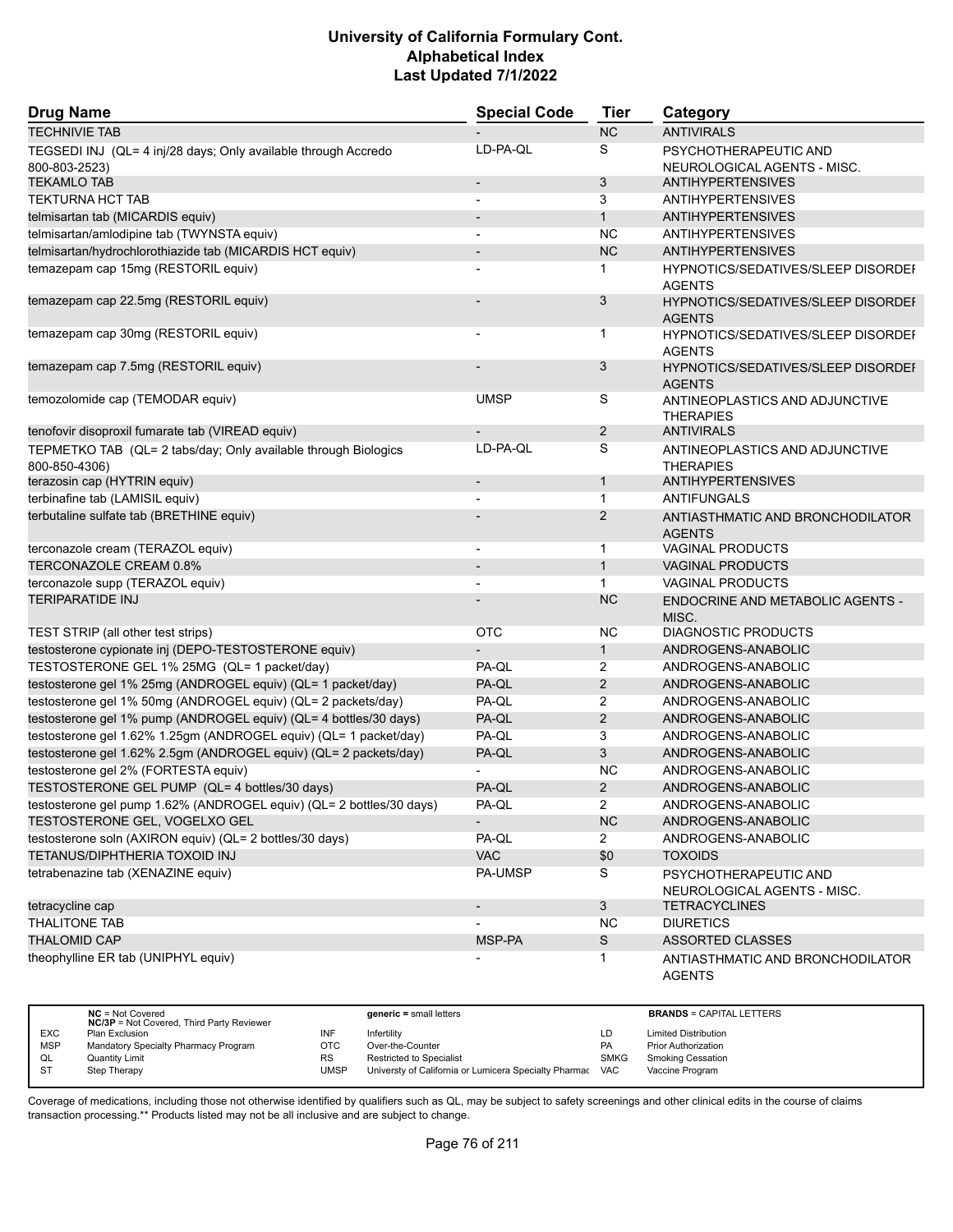| <b>Drug Name</b>                                                                | <b>Special Code</b>      | <b>Tier</b>    | Category                                                   |
|---------------------------------------------------------------------------------|--------------------------|----------------|------------------------------------------------------------|
| <b>TECHNIVIE TAB</b>                                                            |                          | <b>NC</b>      | <b>ANTIVIRALS</b>                                          |
| TEGSEDI INJ (QL= 4 inj/28 days; Only available through Accredo<br>800-803-2523) | LD-PA-QL                 | S              | PSYCHOTHERAPEUTIC AND<br>NEUROLOGICAL AGENTS - MISC.       |
| <b>TEKAMLO TAB</b>                                                              | $\overline{\phantom{a}}$ | 3              | <b>ANTIHYPERTENSIVES</b>                                   |
| <b>TEKTURNA HCT TAB</b>                                                         |                          | 3              | <b>ANTIHYPERTENSIVES</b>                                   |
| telmisartan tab (MICARDIS equiv)                                                |                          | $\mathbf{1}$   | <b>ANTIHYPERTENSIVES</b>                                   |
| telmisartan/amlodipine tab (TWYNSTA equiv)                                      | $\overline{\phantom{a}}$ | <b>NC</b>      | <b>ANTIHYPERTENSIVES</b>                                   |
| telmisartan/hydrochlorothiazide tab (MICARDIS HCT equiv)                        |                          | <b>NC</b>      | <b>ANTIHYPERTENSIVES</b>                                   |
| temazepam cap 15mg (RESTORIL equiv)                                             |                          | 1              | <b>HYPNOTICS/SEDATIVES/SLEEP DISORDEF</b><br><b>AGENTS</b> |
| temazepam cap 22.5mg (RESTORIL equiv)                                           |                          | 3              | <b>HYPNOTICS/SEDATIVES/SLEEP DISORDEF</b><br><b>AGENTS</b> |
| temazepam cap 30mg (RESTORIL equiv)                                             |                          | 1              | HYPNOTICS/SEDATIVES/SLEEP DISORDEI<br><b>AGENTS</b>        |
| temazepam cap 7.5mg (RESTORIL equiv)                                            |                          | 3              | <b>HYPNOTICS/SEDATIVES/SLEEP DISORDEF</b><br><b>AGENTS</b> |
| temozolomide cap (TEMODAR equiv)                                                | <b>UMSP</b>              | S              | ANTINEOPLASTICS AND ADJUNCTIVE<br><b>THERAPIES</b>         |
| tenofovir disoproxil fumarate tab (VIREAD equiv)                                |                          | $\overline{2}$ | <b>ANTIVIRALS</b>                                          |
| TEPMETKO TAB (QL= 2 tabs/day; Only available through Biologics<br>800-850-4306) | LD-PA-QL                 | S              | ANTINEOPLASTICS AND ADJUNCTIVE<br><b>THERAPIES</b>         |
| terazosin cap (HYTRIN equiv)                                                    | $\overline{\phantom{m}}$ | $\mathbf{1}$   | <b>ANTIHYPERTENSIVES</b>                                   |
| terbinafine tab (LAMISIL equiv)                                                 |                          | $\mathbf{1}$   | <b>ANTIFUNGALS</b>                                         |
| terbutaline sulfate tab (BRETHINE equiv)                                        |                          | $\overline{2}$ | ANTIASTHMATIC AND BRONCHODILATOR<br><b>AGENTS</b>          |
| terconazole cream (TERAZOL equiv)                                               | $\blacksquare$           | $\mathbf{1}$   | <b>VAGINAL PRODUCTS</b>                                    |
| TERCONAZOLE CREAM 0.8%                                                          |                          | $\mathbf{1}$   | <b>VAGINAL PRODUCTS</b>                                    |
| terconazole supp (TERAZOL equiv)                                                |                          | $\mathbf{1}$   | <b>VAGINAL PRODUCTS</b>                                    |
| <b>TERIPARATIDE INJ</b>                                                         |                          | <b>NC</b>      | ENDOCRINE AND METABOLIC AGENTS -<br>MISC.                  |
| TEST STRIP (all other test strips)                                              | OTC                      | ΝC             | <b>DIAGNOSTIC PRODUCTS</b>                                 |
| testosterone cypionate inj (DEPO-TESTOSTERONE equiv)                            |                          | $\mathbf{1}$   | ANDROGENS-ANABOLIC                                         |
| TESTOSTERONE GEL 1% 25MG (QL= 1 packet/day)                                     | PA-QL                    | 2              | ANDROGENS-ANABOLIC                                         |
| testosterone gel 1% 25mg (ANDROGEL equiv) (QL= 1 packet/day)                    | PA-QL                    | $\overline{2}$ | ANDROGENS-ANABOLIC                                         |
| testosterone gel 1% 50mg (ANDROGEL equiv) (QL= 2 packets/day)                   | PA-QL                    | $\overline{2}$ | ANDROGENS-ANABOLIC                                         |
| testosterone gel 1% pump (ANDROGEL equiv) (QL= 4 bottles/30 days)               | PA-QL                    | $\overline{2}$ | ANDROGENS-ANABOLIC                                         |
| testosterone gel 1.62% 1.25gm (ANDROGEL equiv) (QL= 1 packet/day)               | PA-QL                    | 3              | ANDROGENS-ANABOLIC                                         |
| testosterone gel 1.62% 2.5gm (ANDROGEL equiv) (QL= 2 packets/day)               | PA-QL                    | 3              | ANDROGENS-ANABOLIC                                         |
| testosterone gel 2% (FORTESTA equiv)                                            |                          | <b>NC</b>      | ANDROGENS-ANABOLIC                                         |
| TESTOSTERONE GEL PUMP (QL= 4 bottles/30 days)                                   | PA-QL                    | $\overline{2}$ | ANDROGENS-ANABOLIC                                         |
| testosterone gel pump 1.62% (ANDROGEL equiv) (QL= 2 bottles/30 days)            | PA-QL                    | 2              | ANDROGENS-ANABOLIC                                         |
| TESTOSTERONE GEL, VOGELXO GEL                                                   |                          | <b>NC</b>      | ANDROGENS-ANABOLIC                                         |
| testosterone soln (AXIRON equiv) (QL= 2 bottles/30 days)                        | PA-QL                    | $\overline{2}$ | ANDROGENS-ANABOLIC                                         |
| TETANUS/DIPHTHERIA TOXOID INJ                                                   | <b>VAC</b>               | \$0            | <b>TOXOIDS</b>                                             |
| tetrabenazine tab (XENAZINE equiv)                                              | PA-UMSP                  | S              | PSYCHOTHERAPEUTIC AND<br>NEUROLOGICAL AGENTS - MISC.       |
| tetracycline cap                                                                | $\overline{\phantom{a}}$ | 3              | <b>TETRACYCLINES</b>                                       |
| THALITONE TAB                                                                   |                          | <b>NC</b>      | <b>DIURETICS</b>                                           |
| <b>THALOMID CAP</b>                                                             | MSP-PA                   | S              | <b>ASSORTED CLASSES</b>                                    |
| theophylline ER tab (UNIPHYL equiv)                                             |                          | 1              | ANTIASTHMATIC AND BRONCHODILATOR<br><b>AGENTS</b>          |

|            | $NC = Not Covered$<br><b>NC/3P</b> = Not Covered, Third Party Reviewer |           | $generic = small letters$                             |             | <b>BRANDS = CAPITAL LETTERS</b> |
|------------|------------------------------------------------------------------------|-----------|-------------------------------------------------------|-------------|---------------------------------|
| <b>EXC</b> | Plan Exclusion                                                         | INF       | Infertility                                           | LD          | <b>Limited Distribution</b>     |
| <b>MSP</b> | Mandatory Specialty Pharmacy Program                                   | отс       | Over-the-Counter                                      | <b>PA</b>   | <b>Prior Authorization</b>      |
| QL         | <b>Quantity Limit</b>                                                  | <b>RS</b> | <b>Restricted to Specialist</b>                       | <b>SMKG</b> | <b>Smoking Cessation</b>        |
| -ST        | Step Therapy                                                           | UMSP      | Universty of California or Lumicera Specialty Pharmac | <b>VAC</b>  | Vaccine Program                 |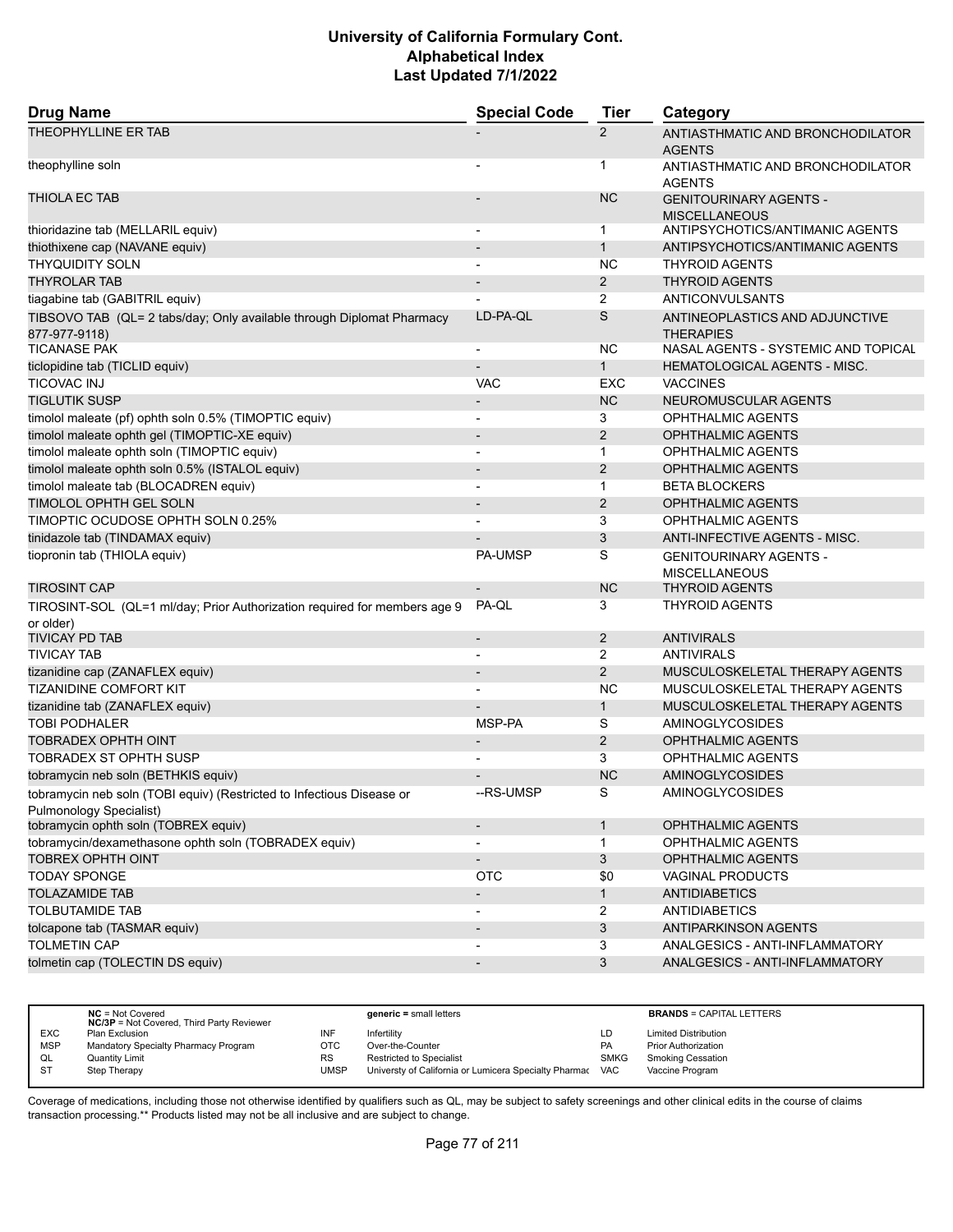| <b>Special Code</b><br><b>Tier</b><br><b>Drug Name</b><br>Category                                                                                            |  |
|---------------------------------------------------------------------------------------------------------------------------------------------------------------|--|
| <b>THEOPHYLLINE ER TAB</b><br>$\overline{2}$<br>ANTIASTHMATIC AND BRONCHODILATOR<br><b>AGENTS</b>                                                             |  |
| theophylline soln<br>1<br>ANTIASTHMATIC AND BRONCHODILATOR<br><b>AGENTS</b>                                                                                   |  |
| <b>THIOLA EC TAB</b><br><b>NC</b><br><b>GENITOURINARY AGENTS -</b><br><b>MISCELLANEOUS</b>                                                                    |  |
| thioridazine tab (MELLARIL equiv)<br>$\mathbf{1}$<br>ANTIPSYCHOTICS/ANTIMANIC AGENTS<br>$\overline{\phantom{a}}$                                              |  |
| thiothixene cap (NAVANE equiv)<br>ANTIPSYCHOTICS/ANTIMANIC AGENTS<br>$\mathbf{1}$<br>$\overline{\phantom{a}}$                                                 |  |
| <b>THYQUIDITY SOLN</b><br><b>NC</b><br><b>THYROID AGENTS</b>                                                                                                  |  |
| $\overline{2}$<br><b>THYROLAR TAB</b><br><b>THYROID AGENTS</b>                                                                                                |  |
| $\overline{2}$<br>tiagabine tab (GABITRIL equiv)<br>ANTICONVULSANTS                                                                                           |  |
| S<br>LD-PA-QL<br>TIBSOVO TAB (QL= 2 tabs/day; Only available through Diplomat Pharmacy<br>ANTINEOPLASTICS AND ADJUNCTIVE<br>877-977-9118)<br><b>THERAPIES</b> |  |
| <b>NC</b><br>NASAL AGENTS - SYSTEMIC AND TOPICAL<br><b>TICANASE PAK</b><br>$\overline{\phantom{a}}$                                                           |  |
| ticlopidine tab (TICLID equiv)<br>$\mathbf{1}$<br><b>HEMATOLOGICAL AGENTS - MISC.</b>                                                                         |  |
| <b>TICOVAC INJ</b><br><b>VACCINES</b><br><b>VAC</b><br>EXC                                                                                                    |  |
| <b>TIGLUTIK SUSP</b><br><b>NC</b><br>NEUROMUSCULAR AGENTS<br>$\overline{\phantom{a}}$                                                                         |  |
| timolol maleate (pf) ophth soln 0.5% (TIMOPTIC equiv)<br>3<br>OPHTHALMIC AGENTS<br>$\overline{\phantom{a}}$                                                   |  |
| $\overline{2}$<br>timolol maleate ophth gel (TIMOPTIC-XE equiv)<br><b>OPHTHALMIC AGENTS</b><br>$\overline{\phantom{a}}$                                       |  |
| timolol maleate ophth soln (TIMOPTIC equiv)<br><b>OPHTHALMIC AGENTS</b><br>$\mathbf{1}$                                                                       |  |
| timolol maleate ophth soln 0.5% (ISTALOL equiv)<br>2<br><b>OPHTHALMIC AGENTS</b><br>$\overline{a}$                                                            |  |
| timolol maleate tab (BLOCADREN equiv)<br>$\mathbf{1}$<br><b>BETA BLOCKERS</b><br>$\overline{\phantom{a}}$                                                     |  |
| TIMOLOL OPHTH GEL SOLN<br>$\overline{2}$<br><b>OPHTHALMIC AGENTS</b>                                                                                          |  |
| TIMOPTIC OCUDOSE OPHTH SOLN 0.25%<br>3<br>OPHTHALMIC AGENTS                                                                                                   |  |
| 3<br>tinidazole tab (TINDAMAX equiv)<br>ANTI-INFECTIVE AGENTS - MISC.                                                                                         |  |
| S<br>tiopronin tab (THIOLA equiv)<br><b>PA-UMSP</b><br><b>GENITOURINARY AGENTS -</b><br><b>MISCELLANEOUS</b>                                                  |  |
| <b>TIROSINT CAP</b><br><b>NC</b><br><b>THYROID AGENTS</b>                                                                                                     |  |
| PA-QL<br>3<br><b>THYROID AGENTS</b><br>TIROSINT-SOL (QL=1 ml/day; Prior Authorization required for members age 9<br>or older)                                 |  |
| $\overline{2}$<br><b>TIVICAY PD TAB</b><br><b>ANTIVIRALS</b><br>$\overline{\phantom{a}}$                                                                      |  |
| <b>TIVICAY TAB</b><br>$\overline{2}$<br><b>ANTIVIRALS</b>                                                                                                     |  |
| 2<br>tizanidine cap (ZANAFLEX equiv)<br>MUSCULOSKELETAL THERAPY AGENTS<br>$\overline{a}$                                                                      |  |
| <b>NC</b><br><b>TIZANIDINE COMFORT KIT</b><br>MUSCULOSKELETAL THERAPY AGENTS                                                                                  |  |
| tizanidine tab (ZANAFLEX equiv)<br>$\mathbf{1}$<br>MUSCULOSKELETAL THERAPY AGENTS                                                                             |  |
| S<br><b>TOBI PODHALER</b><br>MSP-PA<br>AMINOGLYCOSIDES                                                                                                        |  |
| <b>TOBRADEX OPHTH OINT</b><br>$\overline{2}$<br><b>OPHTHALMIC AGENTS</b><br>$\overline{\phantom{a}}$                                                          |  |
| <b>TOBRADEX ST OPHTH SUSP</b><br>3<br>OPHTHALMIC AGENTS                                                                                                       |  |
| <b>NC</b><br>tobramycin neb soln (BETHKIS equiv)<br><b>AMINOGLYCOSIDES</b>                                                                                    |  |
| S<br>AMINOGLYCOSIDES<br>--RS-UMSP<br>tobramycin neb soln (TOBI equiv) (Restricted to Infectious Disease or<br>Pulmonology Specialist)                         |  |
| tobramycin ophth soln (TOBREX equiv)<br>$\mathbf{1}$<br><b>OPHTHALMIC AGENTS</b><br>$\overline{\phantom{a}}$                                                  |  |
| tobramycin/dexamethasone ophth soln (TOBRADEX equiv)<br>OPHTHALMIC AGENTS<br>1                                                                                |  |
| <b>TOBREX OPHTH OINT</b><br>3<br>OPHTHALMIC AGENTS                                                                                                            |  |
| <b>TODAY SPONGE</b><br>OTC<br>\$0<br><b>VAGINAL PRODUCTS</b>                                                                                                  |  |
| <b>TOLAZAMIDE TAB</b><br><b>ANTIDIABETICS</b><br>$\mathbf{1}$<br>$\overline{\phantom{a}}$                                                                     |  |
| <b>TOLBUTAMIDE TAB</b><br>2<br><b>ANTIDIABETICS</b><br>$\overline{\phantom{a}}$                                                                               |  |
| tolcapone tab (TASMAR equiv)<br>3<br><b>ANTIPARKINSON AGENTS</b>                                                                                              |  |
| <b>TOLMETIN CAP</b><br>3<br>ANALGESICS - ANTI-INFLAMMATORY                                                                                                    |  |
| 3<br>tolmetin cap (TOLECTIN DS equiv)<br>ANALGESICS - ANTI-INFLAMMATORY<br>$\overline{\phantom{m}}$                                                           |  |

|            | $NC = Not Covered$<br><b>NC/3P</b> = Not Covered, Third Party Reviewer |           | $generic = small letters$                                 |             | <b>BRANDS = CAPITAL LETTERS</b> |
|------------|------------------------------------------------------------------------|-----------|-----------------------------------------------------------|-------------|---------------------------------|
| <b>EXC</b> | Plan Exclusion                                                         | INF       | Infertility                                               | LD          | <b>Limited Distribution</b>     |
| <b>MSP</b> | Mandatory Specialty Pharmacy Program                                   | OTC       | Over-the-Counter                                          | <b>PA</b>   | <b>Prior Authorization</b>      |
| QL         | <b>Quantity Limit</b>                                                  | <b>RS</b> | <b>Restricted to Specialist</b>                           | <b>SMKG</b> | <b>Smoking Cessation</b>        |
| <b>ST</b>  | Step Therapy                                                           | UMSP      | Universty of California or Lumicera Specialty Pharmac VAC |             | Vaccine Program                 |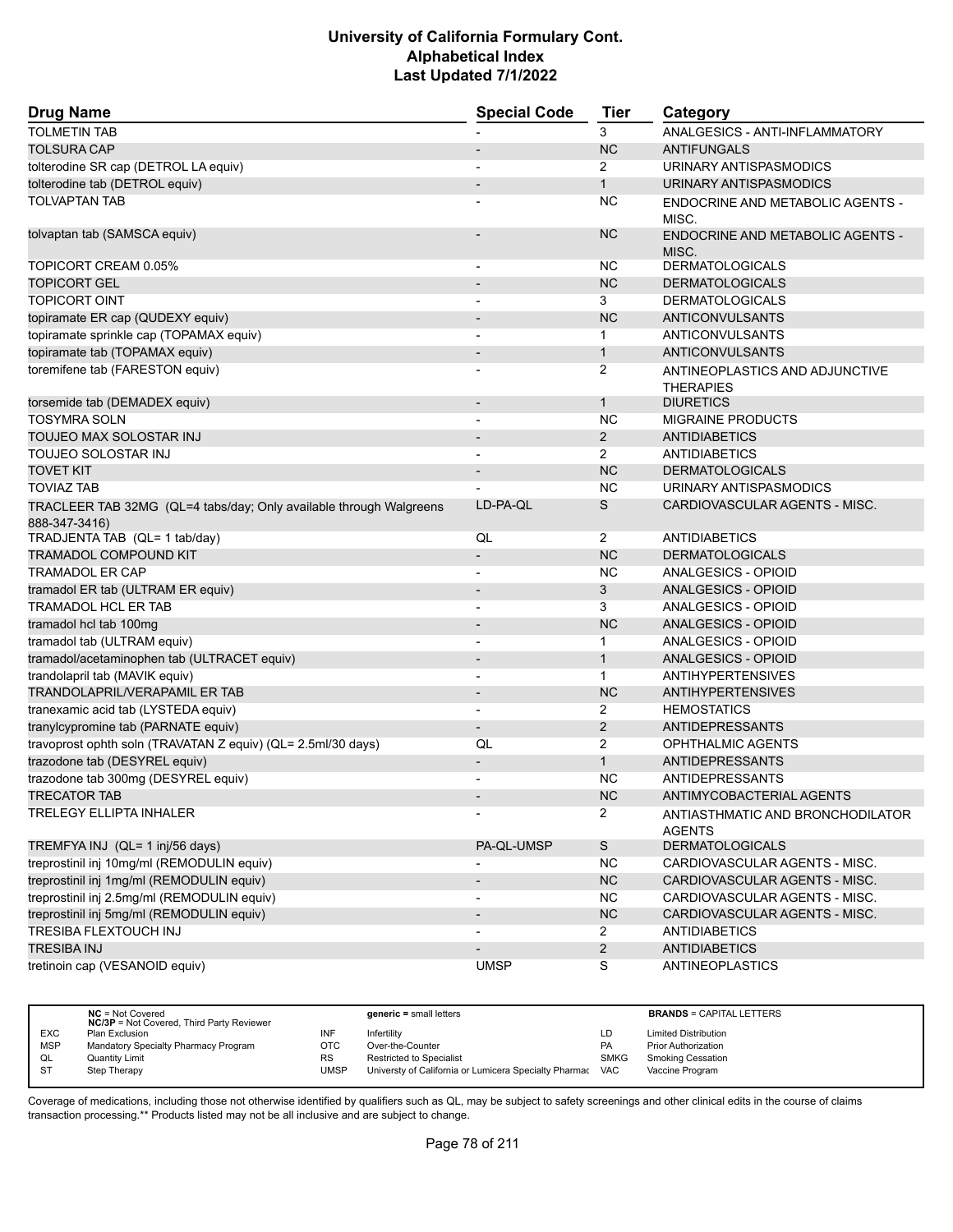| <b>Drug Name</b>                                                                    | <b>Special Code</b>      | <b>Tier</b>           | Category                                           |
|-------------------------------------------------------------------------------------|--------------------------|-----------------------|----------------------------------------------------|
| <b>TOLMETIN TAB</b>                                                                 |                          | 3                     | <b>ANALGESICS - ANTI-INFLAMMATORY</b>              |
| <b>TOLSURA CAP</b>                                                                  |                          | <b>NC</b>             | <b>ANTIFUNGALS</b>                                 |
| tolterodine SR cap (DETROL LA equiv)                                                |                          | 2                     | URINARY ANTISPASMODICS                             |
| tolterodine tab (DETROL equiv)                                                      |                          | $\mathbf{1}$          | URINARY ANTISPASMODICS                             |
| <b>TOLVAPTAN TAB</b>                                                                |                          | NC.                   | ENDOCRINE AND METABOLIC AGENTS -<br>MISC.          |
| tolvaptan tab (SAMSCA equiv)                                                        |                          | <b>NC</b>             | ENDOCRINE AND METABOLIC AGENTS -<br>MISC.          |
| TOPICORT CREAM 0.05%                                                                | $\overline{\phantom{a}}$ | NC.                   | <b>DERMATOLOGICALS</b>                             |
| <b>TOPICORT GEL</b>                                                                 |                          | <b>NC</b>             | <b>DERMATOLOGICALS</b>                             |
| <b>TOPICORT OINT</b>                                                                |                          | 3                     | <b>DERMATOLOGICALS</b>                             |
| topiramate ER cap (QUDEXY equiv)                                                    | $\overline{\phantom{a}}$ | <b>NC</b>             | <b>ANTICONVULSANTS</b>                             |
| topiramate sprinkle cap (TOPAMAX equiv)                                             |                          | $\mathbf 1$           | ANTICONVULSANTS                                    |
| topiramate tab (TOPAMAX equiv)                                                      |                          | $\mathbf{1}$          | <b>ANTICONVULSANTS</b>                             |
| toremifene tab (FARESTON equiv)                                                     |                          | 2                     | ANTINEOPLASTICS AND ADJUNCTIVE<br><b>THERAPIES</b> |
| torsemide tab (DEMADEX equiv)                                                       | $\overline{\phantom{a}}$ | $\mathbf{1}$          | <b>DIURETICS</b>                                   |
| <b>TOSYMRA SOLN</b>                                                                 |                          | <b>NC</b>             | <b>MIGRAINE PRODUCTS</b>                           |
| TOUJEO MAX SOLOSTAR INJ                                                             |                          | $\overline{2}$        | <b>ANTIDIABETICS</b>                               |
| <b>TOUJEO SOLOSTAR INJ</b>                                                          |                          | $\overline{2}$        | <b>ANTIDIABETICS</b>                               |
| <b>TOVET KIT</b>                                                                    | $\overline{\phantom{a}}$ | <b>NC</b>             | <b>DERMATOLOGICALS</b>                             |
| <b>TOVIAZ TAB</b>                                                                   |                          | <b>NC</b>             | URINARY ANTISPASMODICS                             |
| TRACLEER TAB 32MG (QL=4 tabs/day; Only available through Walgreens<br>888-347-3416) | LD-PA-QL                 | S                     | CARDIOVASCULAR AGENTS - MISC.                      |
| TRADJENTA TAB (QL= 1 tab/day)                                                       | QL                       | $\overline{2}$        | <b>ANTIDIABETICS</b>                               |
| <b>TRAMADOL COMPOUND KIT</b>                                                        | $\overline{\phantom{a}}$ | <b>NC</b>             | <b>DERMATOLOGICALS</b>                             |
| <b>TRAMADOL ER CAP</b>                                                              |                          | <b>NC</b>             | ANALGESICS - OPIOID                                |
| tramadol ER tab (ULTRAM ER equiv)                                                   |                          | 3                     | ANALGESICS - OPIOID                                |
| <b>TRAMADOL HCL ER TAB</b>                                                          | $\blacksquare$           | 3                     | ANALGESICS - OPIOID                                |
| tramadol hcl tab 100mg                                                              | $\overline{\phantom{a}}$ | <b>NC</b>             | ANALGESICS - OPIOID                                |
| tramadol tab (ULTRAM equiv)                                                         |                          | 1                     | ANALGESICS - OPIOID                                |
| tramadol/acetaminophen tab (ULTRACET equiv)                                         | $\blacksquare$           | $\mathbf{1}$          | <b>ANALGESICS - OPIOID</b>                         |
| trandolapril tab (MAVIK equiv)                                                      |                          | $\mathbf 1$           | <b>ANTIHYPERTENSIVES</b>                           |
| <b>TRANDOLAPRIL/VERAPAMIL ER TAB</b>                                                | $\overline{\phantom{a}}$ | <b>NC</b>             | <b>ANTIHYPERTENSIVES</b>                           |
| tranexamic acid tab (LYSTEDA equiv)                                                 | $\overline{\phantom{0}}$ | $\mathbf{2}^{\prime}$ | <b>HEMOSTATICS</b>                                 |
| tranylcypromine tab (PARNATE equiv)                                                 | $\overline{\phantom{a}}$ | 2                     | <b>ANTIDEPRESSANTS</b>                             |
| travoprost ophth soln (TRAVATAN Z equiv) (QL= 2.5ml/30 days)                        | QL                       | 2                     | OPHTHALMIC AGENTS                                  |
| trazodone tab (DESYREL equiv)                                                       |                          | $\mathbf{1}$          | <b>ANTIDEPRESSANTS</b>                             |
| trazodone tab 300mg (DESYREL equiv)                                                 |                          | <b>NC</b>             | <b>ANTIDEPRESSANTS</b>                             |
| <b>TRECATOR TAB</b>                                                                 |                          | <b>NC</b>             | ANTIMYCOBACTERIAL AGENTS                           |
| <b>TRELEGY ELLIPTA INHALER</b>                                                      |                          | $\overline{2}$        | ANTIASTHMATIC AND BRONCHODILATOR<br><b>AGENTS</b>  |
| TREMFYA INJ (QL= 1 inj/56 days)                                                     | PA-QL-UMSP               | $\mathbb S$           | <b>DERMATOLOGICALS</b>                             |
| treprostinil inj 10mg/ml (REMODULIN equiv)                                          |                          | <b>NC</b>             | CARDIOVASCULAR AGENTS - MISC.                      |
| treprostinil inj 1mg/ml (REMODULIN equiv)                                           |                          | NC                    | CARDIOVASCULAR AGENTS - MISC.                      |
| treprostinil inj 2.5mg/ml (REMODULIN equiv)                                         |                          | <b>NC</b>             | CARDIOVASCULAR AGENTS - MISC.                      |
| treprostinil inj 5mg/ml (REMODULIN equiv)                                           |                          | $NC$                  | CARDIOVASCULAR AGENTS - MISC.                      |
| <b>TRESIBA FLEXTOUCH INJ</b>                                                        |                          | $\mathbf{2}$          | <b>ANTIDIABETICS</b>                               |
| <b>TRESIBA INJ</b>                                                                  |                          | $\overline{2}$        | <b>ANTIDIABETICS</b>                               |
| tretinoin cap (VESANOID equiv)                                                      | <b>UMSP</b>              | S                     | <b>ANTINEOPLASTICS</b>                             |

|            | $NC = Not Covered$<br><b>NC/3P</b> = Not Covered, Third Party Reviewer |           | $generic = small letters$                             |             | <b>BRANDS = CAPITAL LETTERS</b> |
|------------|------------------------------------------------------------------------|-----------|-------------------------------------------------------|-------------|---------------------------------|
| <b>EXC</b> | Plan Exclusion                                                         | INF       | Infertilitv                                           | LD          | <b>Limited Distribution</b>     |
| <b>MSP</b> | Mandatory Specialty Pharmacy Program                                   | OTC       | Over-the-Counter                                      | PA          | <b>Prior Authorization</b>      |
| QL         | Quantity Limit                                                         | <b>RS</b> | Restricted to Specialist                              | <b>SMKG</b> | <b>Smoking Cessation</b>        |
| -ST        | Step Therapy                                                           | UMSP      | Universty of California or Lumicera Specialty Pharmac | VAC         | Vaccine Program                 |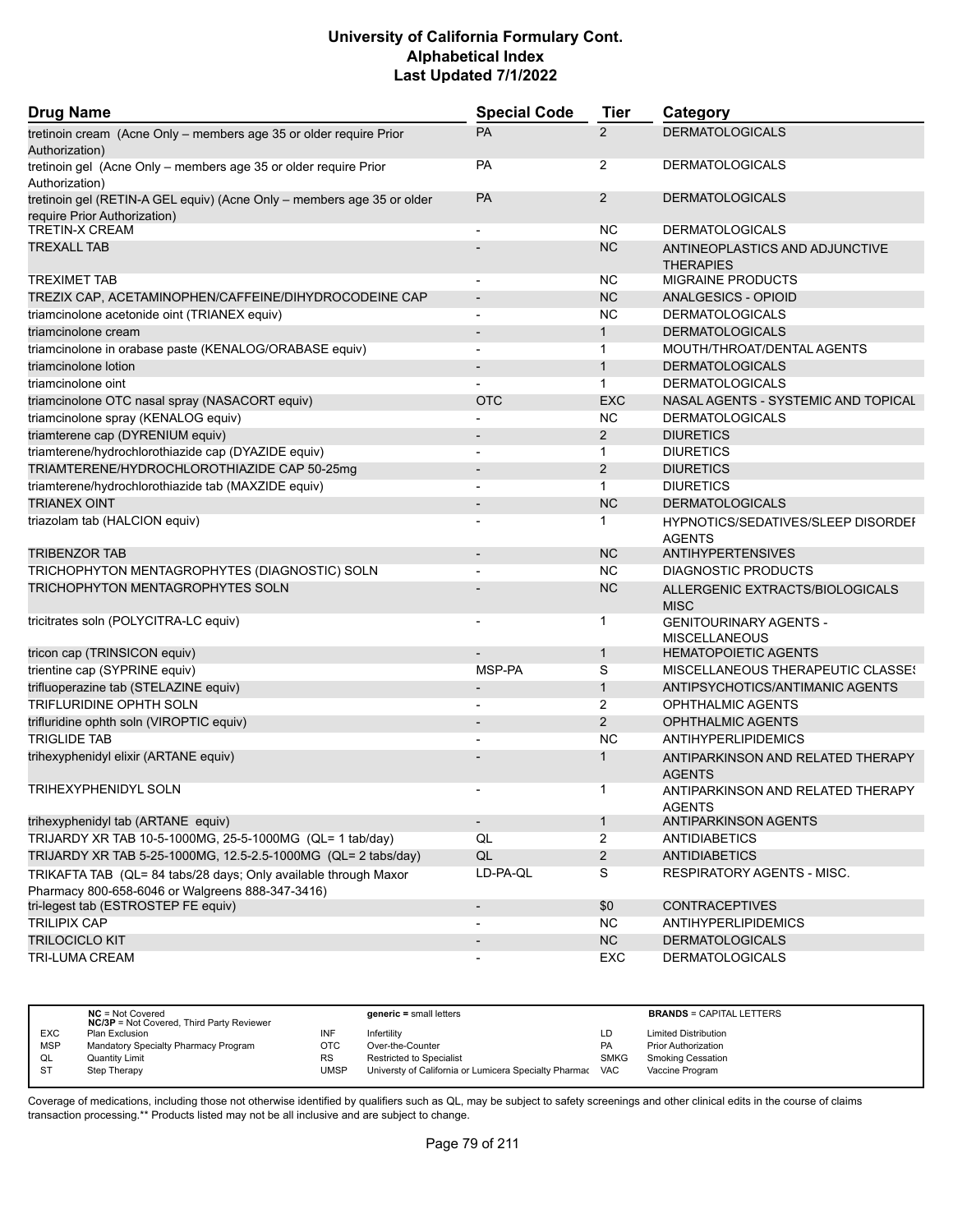| <b>Drug Name</b>                                                                                                    | <b>Special Code</b>          | <b>Tier</b>    | Category                                              |
|---------------------------------------------------------------------------------------------------------------------|------------------------------|----------------|-------------------------------------------------------|
| tretinoin cream (Acne Only - members age 35 or older require Prior<br>Authorization)                                | PA                           | $\overline{2}$ | <b>DERMATOLOGICALS</b>                                |
| tretinoin gel (Acne Only - members age 35 or older require Prior<br>Authorization)                                  | PA                           | $\overline{2}$ | <b>DERMATOLOGICALS</b>                                |
| tretinoin gel (RETIN-A GEL equiv) (Acne Only - members age 35 or older<br>require Prior Authorization)              | PA                           | 2              | <b>DERMATOLOGICALS</b>                                |
| TRETIN-X CREAM                                                                                                      | $\overline{\phantom{a}}$     | <b>NC</b>      | <b>DERMATOLOGICALS</b>                                |
| <b>TREXALL TAB</b>                                                                                                  |                              | <b>NC</b>      | ANTINEOPLASTICS AND ADJUNCTIVE<br><b>THERAPIES</b>    |
| <b>TREXIMET TAB</b>                                                                                                 | $\overline{a}$               | <b>NC</b>      | <b>MIGRAINE PRODUCTS</b>                              |
| TREZIX CAP, ACETAMINOPHEN/CAFFEINE/DIHYDROCODEINE CAP                                                               |                              | <b>NC</b>      | <b>ANALGESICS - OPIOID</b>                            |
| triamcinolone acetonide oint (TRIANEX equiv)                                                                        | L,                           | <b>NC</b>      | <b>DERMATOLOGICALS</b>                                |
| triamcinolone cream                                                                                                 | $\overline{a}$               | $\mathbf{1}$   | <b>DERMATOLOGICALS</b>                                |
| triamcinolone in orabase paste (KENALOG/ORABASE equiv)                                                              |                              | 1              | MOUTH/THROAT/DENTAL AGENTS                            |
| triamcinolone lotion                                                                                                | $\qquad \qquad \blacksquare$ | $\mathbf{1}$   | <b>DERMATOLOGICALS</b>                                |
| triamcinolone oint                                                                                                  |                              | $\mathbf{1}$   | <b>DERMATOLOGICALS</b>                                |
| triamcinolone OTC nasal spray (NASACORT equiv)                                                                      | <b>OTC</b>                   | <b>EXC</b>     | NASAL AGENTS - SYSTEMIC AND TOPICAL                   |
| triamcinolone spray (KENALOG equiv)                                                                                 |                              | <b>NC</b>      | <b>DERMATOLOGICALS</b>                                |
| triamterene cap (DYRENIUM equiv)                                                                                    |                              | 2              | <b>DIURETICS</b>                                      |
| triamterene/hydrochlorothiazide cap (DYAZIDE equiv)                                                                 |                              | $\mathbf{1}$   | <b>DIURETICS</b>                                      |
| TRIAMTERENE/HYDROCHLOROTHIAZIDE CAP 50-25mg                                                                         | $\qquad \qquad \blacksquare$ | 2              | <b>DIURETICS</b>                                      |
| triamterene/hydrochlorothiazide tab (MAXZIDE equiv)                                                                 | $\overline{\phantom{a}}$     | $\mathbf 1$    | <b>DIURETICS</b>                                      |
| <b>TRIANEX OINT</b>                                                                                                 |                              | <b>NC</b>      | <b>DERMATOLOGICALS</b>                                |
| triazolam tab (HALCION equiv)                                                                                       |                              | 1              | HYPNOTICS/SEDATIVES/SLEEP DISORDEF<br><b>AGENTS</b>   |
| <b>TRIBENZOR TAB</b>                                                                                                |                              | <b>NC</b>      | <b>ANTIHYPERTENSIVES</b>                              |
| TRICHOPHYTON MENTAGROPHYTES (DIAGNOSTIC) SOLN                                                                       | $\overline{\phantom{a}}$     | <b>NC</b>      | DIAGNOSTIC PRODUCTS                                   |
| TRICHOPHYTON MENTAGROPHYTES SOLN                                                                                    |                              | <b>NC</b>      | ALLERGENIC EXTRACTS/BIOLOGICALS<br><b>MISC</b>        |
| tricitrates soln (POLYCITRA-LC equiv)                                                                               |                              | 1              | <b>GENITOURINARY AGENTS -</b><br><b>MISCELLANEOUS</b> |
| tricon cap (TRINSICON equiv)                                                                                        |                              | $\mathbf{1}$   | <b>HEMATOPOIETIC AGENTS</b>                           |
| trientine cap (SYPRINE equiv)                                                                                       | MSP-PA                       | S              | MISCELLANEOUS THERAPEUTIC CLASSES                     |
| trifluoperazine tab (STELAZINE equiv)                                                                               | $\qquad \qquad \blacksquare$ | $\mathbf{1}$   | ANTIPSYCHOTICS/ANTIMANIC AGENTS                       |
| TRIFLURIDINE OPHTH SOLN                                                                                             |                              | 2              | <b>OPHTHALMIC AGENTS</b>                              |
| trifluridine ophth soln (VIROPTIC equiv)                                                                            |                              | 2              | <b>OPHTHALMIC AGENTS</b>                              |
| <b>TRIGLIDE TAB</b>                                                                                                 | $\overline{a}$               | <b>NC</b>      | <b>ANTIHYPERLIPIDEMICS</b>                            |
| trihexyphenidyl elixir (ARTANE equiv)                                                                               |                              | 1              | ANTIPARKINSON AND RELATED THERAPY<br><b>AGENTS</b>    |
| TRIHEXYPHENIDYL SOLN                                                                                                |                              | 1              | ANTIPARKINSON AND RELATED THERAPY<br><b>AGENTS</b>    |
| trihexyphenidyl tab (ARTANE equiv)                                                                                  | $\overline{\phantom{a}}$     | $\mathbf{1}$   | ANTIPARKINSON AGENTS                                  |
| TRIJARDY XR TAB 10-5-1000MG, 25-5-1000MG (QL= 1 tab/day)                                                            | QL                           | $\overline{2}$ | <b>ANTIDIABETICS</b>                                  |
| TRIJARDY XR TAB 5-25-1000MG, 12.5-2.5-1000MG (QL= 2 tabs/day)                                                       | QL                           | $\overline{2}$ | <b>ANTIDIABETICS</b>                                  |
| TRIKAFTA TAB (QL= 84 tabs/28 days; Only available through Maxor<br>Pharmacy 800-658-6046 or Walgreens 888-347-3416) | LD-PA-QL                     | S              | RESPIRATORY AGENTS - MISC.                            |
| tri-legest tab (ESTROSTEP FE equiv)                                                                                 | $\qquad \qquad \blacksquare$ | \$0            | <b>CONTRACEPTIVES</b>                                 |
| <b>TRILIPIX CAP</b>                                                                                                 |                              | <b>NC</b>      | <b>ANTIHYPERLIPIDEMICS</b>                            |
| <b>TRILOCICLO KIT</b>                                                                                               | $\overline{\phantom{a}}$     | NC             | <b>DERMATOLOGICALS</b>                                |
| TRI-LUMA CREAM                                                                                                      |                              | <b>EXC</b>     | <b>DERMATOLOGICALS</b>                                |

|            | $NC = Not Covered$<br><b>NC/3P</b> = Not Covered, Third Party Reviewer |             | $generic = small letters$                             |             | <b>BRANDS = CAPITAL LETTERS</b> |
|------------|------------------------------------------------------------------------|-------------|-------------------------------------------------------|-------------|---------------------------------|
| <b>EXC</b> | Plan Exclusion                                                         | INF         | Infertility                                           | LD          | <b>Limited Distribution</b>     |
| <b>MSP</b> | Mandatory Specialty Pharmacy Program                                   | OTC         | Over-the-Counter                                      | PA          | <b>Prior Authorization</b>      |
| QL         | <b>Quantity Limit</b>                                                  | <b>RS</b>   | <b>Restricted to Specialist</b>                       | <b>SMKG</b> | <b>Smoking Cessation</b>        |
| <b>ST</b>  | Step Therapy                                                           | <b>UMSP</b> | Universty of California or Lumicera Specialty Pharmac | <b>VAC</b>  | Vaccine Program                 |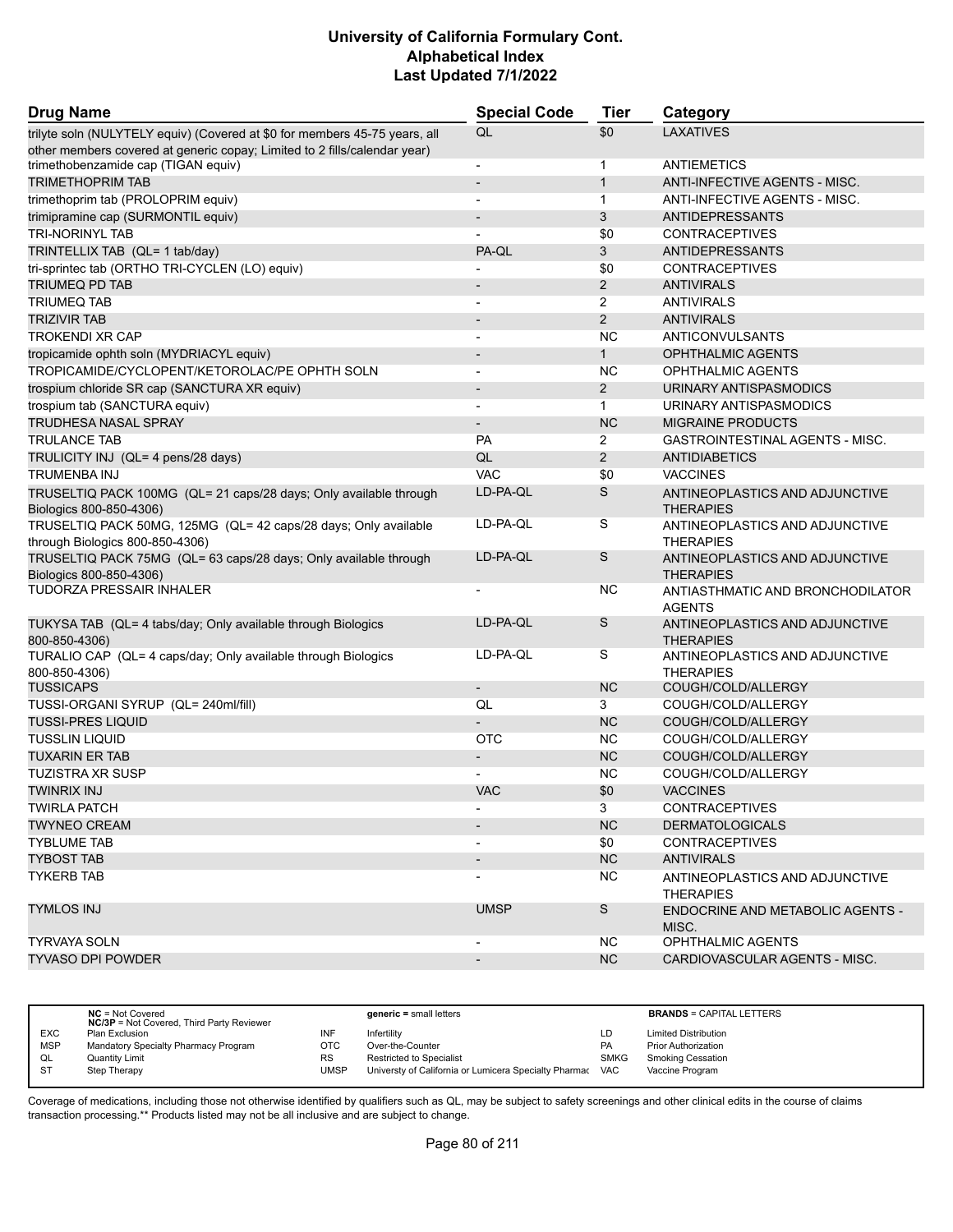| <b>Drug Name</b>                                                                                   | <b>Special Code</b>          | <b>Tier</b>    | Category                                           |
|----------------------------------------------------------------------------------------------------|------------------------------|----------------|----------------------------------------------------|
| trilyte soln (NULYTELY equiv) (Covered at \$0 for members 45-75 years, all                         | QL                           | \$0            | <b>LAXATIVES</b>                                   |
| other members covered at generic copay; Limited to 2 fills/calendar year)                          |                              |                |                                                    |
| trimethobenzamide cap (TIGAN equiv)                                                                | $\overline{\phantom{a}}$     | $\mathbf 1$    | <b>ANTIEMETICS</b>                                 |
| <b>TRIMETHOPRIM TAB</b>                                                                            | $\qquad \qquad \blacksquare$ | $\mathbf{1}$   | ANTI-INFECTIVE AGENTS - MISC.                      |
| trimethoprim tab (PROLOPRIM equiv)                                                                 | $\overline{\phantom{a}}$     | $\mathbf{1}$   | ANTI-INFECTIVE AGENTS - MISC.                      |
| trimipramine cap (SURMONTIL equiv)                                                                 |                              | 3              | <b>ANTIDEPRESSANTS</b>                             |
| <b>TRI-NORINYL TAB</b>                                                                             |                              | \$0            | <b>CONTRACEPTIVES</b>                              |
| TRINTELLIX TAB (QL= 1 tab/day)                                                                     | PA-QL                        | 3              | <b>ANTIDEPRESSANTS</b>                             |
| tri-sprintec tab (ORTHO TRI-CYCLEN (LO) equiv)                                                     |                              | \$0            | <b>CONTRACEPTIVES</b>                              |
| TRIUMEQ PD TAB                                                                                     |                              | 2              | <b>ANTIVIRALS</b>                                  |
| <b>TRIUMEQ TAB</b>                                                                                 | $\overline{\phantom{a}}$     | 2              | <b>ANTIVIRALS</b>                                  |
| <b>TRIZIVIR TAB</b>                                                                                | $\overline{\phantom{m}}$     | 2              | <b>ANTIVIRALS</b>                                  |
| <b>TROKENDI XR CAP</b>                                                                             |                              | <b>NC</b>      | ANTICONVULSANTS                                    |
| tropicamide ophth soln (MYDRIACYL equiv)                                                           | $\qquad \qquad \blacksquare$ | $\mathbf{1}$   | <b>OPHTHALMIC AGENTS</b>                           |
| TROPICAMIDE/CYCLOPENT/KETOROLAC/PE OPHTH SOLN                                                      | $\overline{\phantom{0}}$     | <b>NC</b>      | <b>OPHTHALMIC AGENTS</b>                           |
| trospium chloride SR cap (SANCTURA XR equiv)                                                       |                              | $\overline{2}$ | URINARY ANTISPASMODICS                             |
| trospium tab (SANCTURA equiv)                                                                      | $\overline{\phantom{a}}$     | $\mathbf{1}$   | URINARY ANTISPASMODICS                             |
| <b>TRUDHESA NASAL SPRAY</b>                                                                        | $\overline{\phantom{m}}$     | <b>NC</b>      | <b>MIGRAINE PRODUCTS</b>                           |
| <b>TRULANCE TAB</b>                                                                                | PA                           | 2              | GASTROINTESTINAL AGENTS - MISC.                    |
| TRULICITY INJ (QL= 4 pens/28 days)                                                                 | QL                           | 2              | <b>ANTIDIABETICS</b>                               |
| <b>TRUMENBA INJ</b>                                                                                | <b>VAC</b>                   | \$0            | <b>VACCINES</b>                                    |
| TRUSELTIQ PACK 100MG (QL= 21 caps/28 days; Only available through<br>Biologics 800-850-4306)       | LD-PA-QL                     | S              | ANTINEOPLASTICS AND ADJUNCTIVE<br><b>THERAPIES</b> |
| TRUSELTIQ PACK 50MG, 125MG (QL= 42 caps/28 days; Only available<br>through Biologics 800-850-4306) | LD-PA-QL                     | S              | ANTINEOPLASTICS AND ADJUNCTIVE<br><b>THERAPIES</b> |
| TRUSELTIQ PACK 75MG (QL= 63 caps/28 days; Only available through                                   | LD-PA-QL                     | S              | ANTINEOPLASTICS AND ADJUNCTIVE                     |
| Biologics 800-850-4306)                                                                            |                              |                | <b>THERAPIES</b>                                   |
| TUDORZA PRESSAIR INHALER                                                                           |                              | <b>NC</b>      | ANTIASTHMATIC AND BRONCHODILATOR<br><b>AGENTS</b>  |
| TUKYSA TAB (QL= 4 tabs/day; Only available through Biologics<br>800-850-4306)                      | LD-PA-QL                     | S              | ANTINEOPLASTICS AND ADJUNCTIVE<br><b>THERAPIES</b> |
| TURALIO CAP (QL= 4 caps/day; Only available through Biologics<br>800-850-4306)                     | LD-PA-QL                     | S              | ANTINEOPLASTICS AND ADJUNCTIVE<br><b>THERAPIES</b> |
| <b>TUSSICAPS</b>                                                                                   | $\overline{a}$               | <b>NC</b>      | COUGH/COLD/ALLERGY                                 |
| TUSSI-ORGANI SYRUP (QL= 240ml/fill)                                                                | QL                           | 3              | COUGH/COLD/ALLERGY                                 |
| <b>TUSSI-PRES LIQUID</b>                                                                           |                              | <b>NC</b>      | COUGH/COLD/ALLERGY                                 |
| <b>TUSSLIN LIQUID</b>                                                                              | <b>OTC</b>                   | <b>NC</b>      | COUGH/COLD/ALLERGY                                 |
| <b>TUXARIN ER TAB</b>                                                                              | $\qquad \qquad \blacksquare$ | <b>NC</b>      | COUGH/COLD/ALLERGY                                 |
| <b>TUZISTRA XR SUSP</b>                                                                            |                              | <b>NC</b>      | COUGH/COLD/ALLERGY                                 |
| <b>TWINRIX INJ</b>                                                                                 | <b>VAC</b>                   | \$0            | <b>VACCINES</b>                                    |
| <b>TWIRLA PATCH</b>                                                                                |                              | 3              | <b>CONTRACEPTIVES</b>                              |
| <b>TWYNEO CREAM</b>                                                                                | $\overline{\phantom{a}}$     | <b>NC</b>      | <b>DERMATOLOGICALS</b>                             |
| <b>TYBLUME TAB</b>                                                                                 |                              | \$0            | <b>CONTRACEPTIVES</b>                              |
| <b>TYBOST TAB</b>                                                                                  |                              | NC             | <b>ANTIVIRALS</b>                                  |
| <b>TYKERB TAB</b>                                                                                  |                              | NC.            | ANTINEOPLASTICS AND ADJUNCTIVE                     |
|                                                                                                    |                              |                | <b>THERAPIES</b>                                   |
| <b>TYMLOS INJ</b>                                                                                  | <b>UMSP</b>                  | S              | <b>ENDOCRINE AND METABOLIC AGENTS -</b><br>MISC.   |
| <b>TYRVAYA SOLN</b>                                                                                | $\overline{\phantom{0}}$     | NC.            | OPHTHALMIC AGENTS                                  |
| <b>TYVASO DPI POWDER</b>                                                                           | $\overline{\phantom{a}}$     | <b>NC</b>      | CARDIOVASCULAR AGENTS - MISC.                      |

|            | $NC = Not Covered$<br><b>NC/3P</b> = Not Covered, Third Party Reviewer |           | $generic = small letters$                             |             | <b>BRANDS = CAPITAL LETTERS</b> |
|------------|------------------------------------------------------------------------|-----------|-------------------------------------------------------|-------------|---------------------------------|
| <b>EXC</b> | Plan Exclusion                                                         | INF       | Infertility                                           | LD          | <b>Limited Distribution</b>     |
| <b>MSP</b> | Mandatory Specialty Pharmacy Program                                   | отс       | Over-the-Counter                                      | PA          | <b>Prior Authorization</b>      |
| QL         | Quantity Limit                                                         | <b>RS</b> | Restricted to Specialist                              | <b>SMKG</b> | <b>Smoking Cessation</b>        |
| S1         | Step Therapy                                                           | UMSP      | Universty of California or Lumicera Specialty Pharmac | <b>VAC</b>  | Vaccine Program                 |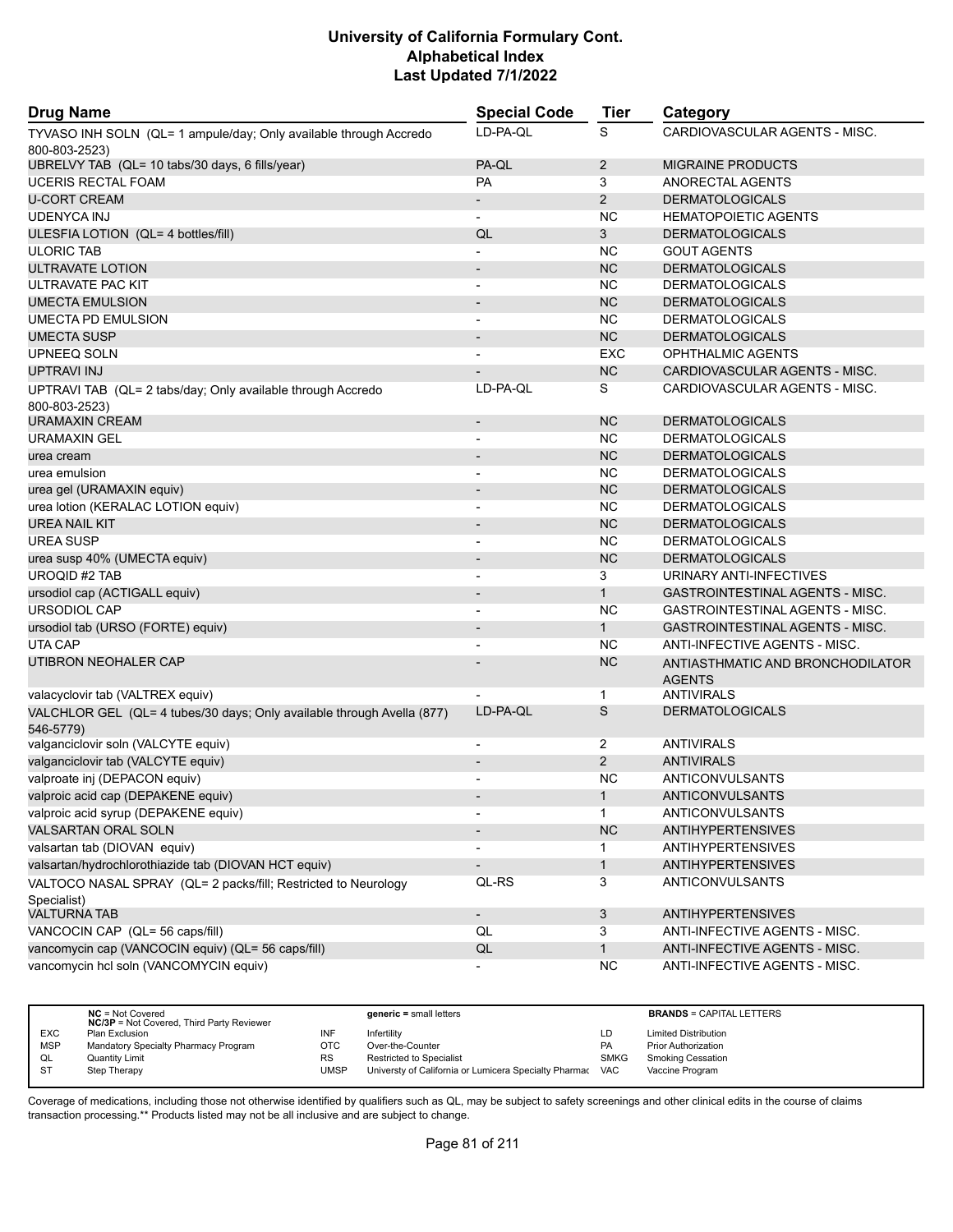| <b>Drug Name</b>                                                                    | <b>Special Code</b>      | Tier           | Category                                          |
|-------------------------------------------------------------------------------------|--------------------------|----------------|---------------------------------------------------|
| TYVASO INH SOLN (QL= 1 ampule/day; Only available through Accredo                   | LD-PA-QL                 | S              | CARDIOVASCULAR AGENTS - MISC.                     |
| 800-803-2523)                                                                       |                          |                |                                                   |
| UBRELVY TAB (QL= 10 tabs/30 days, 6 fills/year)                                     | PA-QL                    | $\overline{2}$ | MIGRAINE PRODUCTS                                 |
| <b>UCERIS RECTAL FOAM</b>                                                           | <b>PA</b>                | 3              | ANORECTAL AGENTS                                  |
| <b>U-CORT CREAM</b>                                                                 | $\overline{\phantom{a}}$ | $\overline{2}$ | <b>DERMATOLOGICALS</b>                            |
| <b>UDENYCA INJ</b>                                                                  | $\blacksquare$           | <b>NC</b>      | <b>HEMATOPOIETIC AGENTS</b>                       |
| ULESFIA LOTION (QL= 4 bottles/fill)                                                 | QL                       | 3              | <b>DERMATOLOGICALS</b>                            |
| <b>ULORIC TAB</b>                                                                   |                          | <b>NC</b>      | <b>GOUT AGENTS</b>                                |
| ULTRAVATE LOTION                                                                    | $\blacksquare$           | <b>NC</b>      | <b>DERMATOLOGICALS</b>                            |
| ULTRAVATE PAC KIT                                                                   | $\overline{a}$           | <b>NC</b>      | <b>DERMATOLOGICALS</b>                            |
| <b>UMECTA EMULSION</b>                                                              |                          | <b>NC</b>      | <b>DERMATOLOGICALS</b>                            |
| UMECTA PD EMULSION                                                                  |                          | <b>NC</b>      | <b>DERMATOLOGICALS</b>                            |
| <b>UMECTA SUSP</b>                                                                  |                          | <b>NC</b>      | <b>DERMATOLOGICALS</b>                            |
| UPNEEQ SOLN                                                                         |                          | <b>EXC</b>     | OPHTHALMIC AGENTS                                 |
| UPTRAVI INJ                                                                         |                          | <b>NC</b>      | CARDIOVASCULAR AGENTS - MISC.                     |
| UPTRAVI TAB (QL= 2 tabs/day; Only available through Accredo                         | LD-PA-QL                 | S              | CARDIOVASCULAR AGENTS - MISC.                     |
| 800-803-2523)                                                                       |                          |                |                                                   |
| URAMAXIN CREAM                                                                      | $\overline{\phantom{a}}$ | <b>NC</b>      | <b>DERMATOLOGICALS</b>                            |
| URAMAXIN GEL                                                                        | $\overline{\phantom{a}}$ | <b>NC</b>      | <b>DERMATOLOGICALS</b>                            |
| urea cream                                                                          |                          | <b>NC</b>      | <b>DERMATOLOGICALS</b>                            |
| urea emulsion                                                                       | $\overline{a}$           | <b>NC</b>      | <b>DERMATOLOGICALS</b>                            |
| urea gel (URAMAXIN equiv)                                                           | $\overline{\phantom{a}}$ | <b>NC</b>      | <b>DERMATOLOGICALS</b>                            |
| urea lotion (KERALAC LOTION equiv)                                                  |                          | <b>NC</b>      | <b>DERMATOLOGICALS</b>                            |
| <b>UREA NAIL KIT</b>                                                                | $\overline{\phantom{0}}$ | <b>NC</b>      | <b>DERMATOLOGICALS</b>                            |
| <b>UREA SUSP</b>                                                                    |                          | <b>NC</b>      | <b>DERMATOLOGICALS</b>                            |
| urea susp 40% (UMECTA equiv)                                                        |                          | <b>NC</b>      | <b>DERMATOLOGICALS</b>                            |
| <b>UROQID #2 TAB</b>                                                                | $\blacksquare$           | 3              | URINARY ANTI-INFECTIVES                           |
| ursodiol cap (ACTIGALL equiv)                                                       | $\overline{\phantom{a}}$ | $\mathbf{1}$   | GASTROINTESTINAL AGENTS - MISC.                   |
| <b>URSODIOL CAP</b>                                                                 |                          | <b>NC</b>      | <b>GASTROINTESTINAL AGENTS - MISC.</b>            |
| ursodiol tab (URSO (FORTE) equiv)                                                   | $\overline{\phantom{a}}$ | 1              | GASTROINTESTINAL AGENTS - MISC.                   |
| UTA CAP                                                                             | $\overline{a}$           | <b>NC</b>      | ANTI-INFECTIVE AGENTS - MISC.                     |
| UTIBRON NEOHALER CAP                                                                |                          | <b>NC</b>      | ANTIASTHMATIC AND BRONCHODILATOR<br><b>AGENTS</b> |
| valacyclovir tab (VALTREX equiv)                                                    |                          | 1              | ANTIVIRALS                                        |
| VALCHLOR GEL (QL= 4 tubes/30 days; Only available through Avella (877)<br>546-5779) | LD-PA-QL                 | S              | <b>DERMATOLOGICALS</b>                            |
| valganciclovir soln (VALCYTE equiv)                                                 | $\overline{\phantom{a}}$ | $\overline{2}$ | ANTIVIRALS                                        |
| valganciclovir tab (VALCYTE equiv)                                                  |                          | $\overline{2}$ | <b>ANTIVIRALS</b>                                 |
| valproate inj (DEPACON equiv)                                                       |                          | <b>NC</b>      | ANTICONVULSANTS                                   |
| valproic acid cap (DEPAKENE equiv)                                                  |                          | 1              | <b>ANTICONVULSANTS</b>                            |
| valproic acid syrup (DEPAKENE equiv)                                                |                          | $\mathbf{1}$   | <b>ANTICONVULSANTS</b>                            |
| VALSARTAN ORAL SOLN                                                                 |                          | <b>NC</b>      | <b>ANTIHYPERTENSIVES</b>                          |
| valsartan tab (DIOVAN equiv)                                                        |                          | 1              | <b>ANTIHYPERTENSIVES</b>                          |
| valsartan/hydrochlorothiazide tab (DIOVAN HCT equiv)                                | $\overline{\phantom{a}}$ | $\mathbf{1}$   | <b>ANTIHYPERTENSIVES</b>                          |
| VALTOCO NASAL SPRAY (QL= 2 packs/fill; Restricted to Neurology                      | QL-RS                    | 3              | ANTICONVULSANTS                                   |
| Specialist)                                                                         |                          |                |                                                   |
| <b>VALTURNA TAB</b>                                                                 | $\overline{\phantom{a}}$ | 3              | <b>ANTIHYPERTENSIVES</b>                          |
| VANCOCIN CAP (QL= 56 caps/fill)                                                     | QL                       | 3              | ANTI-INFECTIVE AGENTS - MISC.                     |
| vancomycin cap (VANCOCIN equiv) (QL= 56 caps/fill)                                  | QL                       | 1              | ANTI-INFECTIVE AGENTS - MISC.                     |
| vancomycin hcl soln (VANCOMYCIN equiv)                                              |                          | <b>NC</b>      | ANTI-INFECTIVE AGENTS - MISC.                     |

|            | $NC = Not Covered$<br><b>NC/3P</b> = Not Covered, Third Party Reviewer |           | $generic = small letters$                             |             | <b>BRANDS = CAPITAL LETTERS</b> |
|------------|------------------------------------------------------------------------|-----------|-------------------------------------------------------|-------------|---------------------------------|
| <b>EXC</b> | Plan Exclusion                                                         | INF       | Infertility                                           | LD          | <b>Limited Distribution</b>     |
| <b>MSP</b> | Mandatory Specialty Pharmacy Program                                   | OTC       | Over-the-Counter                                      | PA          | <b>Prior Authorization</b>      |
| QL         | Quantity Limit                                                         | <b>RS</b> | <b>Restricted to Specialist</b>                       | <b>SMKG</b> | <b>Smoking Cessation</b>        |
| S1         | Step Therapy                                                           | UMSP      | Universty of California or Lumicera Specialty Pharmac | VAC         | Vaccine Program                 |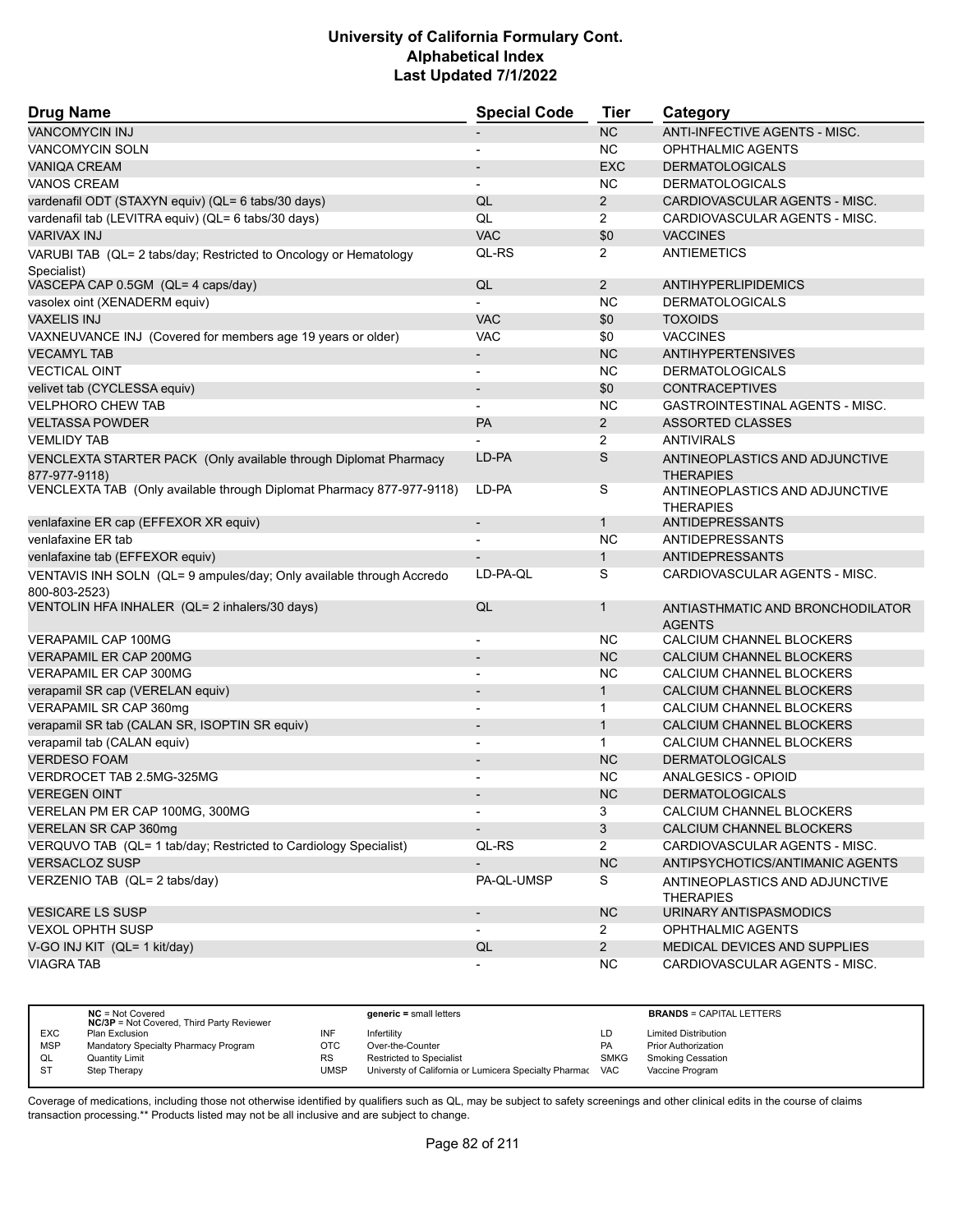| <b>Drug Name</b>                                                                      | <b>Special Code</b>      | <b>Tier</b>    | Category                                           |
|---------------------------------------------------------------------------------------|--------------------------|----------------|----------------------------------------------------|
| <b>VANCOMYCIN INJ</b>                                                                 |                          | <b>NC</b>      | ANTI-INFECTIVE AGENTS - MISC.                      |
| VANCOMYCIN SOLN                                                                       | $\blacksquare$           | <b>NC</b>      | OPHTHALMIC AGENTS                                  |
| <b>VANIQA CREAM</b>                                                                   |                          | <b>EXC</b>     | <b>DERMATOLOGICALS</b>                             |
| <b>VANOS CREAM</b>                                                                    | $\blacksquare$           | <b>NC</b>      | <b>DERMATOLOGICALS</b>                             |
| vardenafil ODT (STAXYN equiv) (QL= 6 tabs/30 days)                                    | QL                       | $\overline{2}$ | CARDIOVASCULAR AGENTS - MISC.                      |
| vardenafil tab (LEVITRA equiv) (QL= 6 tabs/30 days)                                   | QL                       | $\overline{2}$ | CARDIOVASCULAR AGENTS - MISC.                      |
| <b>VARIVAX INJ</b>                                                                    | <b>VAC</b>               | \$0            | <b>VACCINES</b>                                    |
| VARUBI TAB (QL= 2 tabs/day; Restricted to Oncology or Hematology<br>Specialist)       | QL-RS                    | $\overline{2}$ | <b>ANTIEMETICS</b>                                 |
| VASCEPA CAP 0.5GM (QL= 4 caps/day)                                                    | QL                       | 2              | <b>ANTIHYPERLIPIDEMICS</b>                         |
| vasolex oint (XENADERM equiv)                                                         |                          | <b>NC</b>      | <b>DERMATOLOGICALS</b>                             |
| <b>VAXELIS INJ</b>                                                                    | <b>VAC</b>               | \$0            | <b>TOXOIDS</b>                                     |
| VAXNEUVANCE INJ (Covered for members age 19 years or older)                           | <b>VAC</b>               | \$0            | <b>VACCINES</b>                                    |
| <b>VECAMYL TAB</b>                                                                    |                          | <b>NC</b>      | <b>ANTIHYPERTENSIVES</b>                           |
| <b>VECTICAL OINT</b>                                                                  | $\overline{\phantom{a}}$ | <b>NC</b>      | <b>DERMATOLOGICALS</b>                             |
| velivet tab (CYCLESSA equiv)                                                          | $\blacksquare$           | \$0            | <b>CONTRACEPTIVES</b>                              |
| <b>VELPHORO CHEW TAB</b>                                                              |                          | <b>NC</b>      | <b>GASTROINTESTINAL AGENTS - MISC.</b>             |
| <b>VELTASSA POWDER</b>                                                                | <b>PA</b>                | $\overline{2}$ | <b>ASSORTED CLASSES</b>                            |
| <b>VEMLIDY TAB</b>                                                                    |                          | 2              | <b>ANTIVIRALS</b>                                  |
| VENCLEXTA STARTER PACK (Only available through Diplomat Pharmacy                      | LD-PA                    | $\mathsf S$    | ANTINEOPLASTICS AND ADJUNCTIVE                     |
| 877-977-9118)                                                                         |                          |                | <b>THERAPIES</b>                                   |
| VENCLEXTA TAB (Only available through Diplomat Pharmacy 877-977-9118)                 | LD-PA                    | S              | ANTINEOPLASTICS AND ADJUNCTIVE<br><b>THERAPIES</b> |
| venlafaxine ER cap (EFFEXOR XR equiv)                                                 | $\overline{\phantom{a}}$ | $\mathbf{1}$   | ANTIDEPRESSANTS                                    |
| venlafaxine ER tab                                                                    | $\blacksquare$           | <b>NC</b>      | <b>ANTIDEPRESSANTS</b>                             |
| venlafaxine tab (EFFEXOR equiv)                                                       |                          | $\mathbf{1}$   | <b>ANTIDEPRESSANTS</b>                             |
| VENTAVIS INH SOLN (QL= 9 ampules/day; Only available through Accredo<br>800-803-2523) | LD-PA-QL                 | S              | CARDIOVASCULAR AGENTS - MISC.                      |
| VENTOLIN HFA INHALER (QL= 2 inhalers/30 days)                                         | QL                       | 1              | ANTIASTHMATIC AND BRONCHODILATOR<br><b>AGENTS</b>  |
| <b>VERAPAMIL CAP 100MG</b>                                                            |                          | NC.            | CALCIUM CHANNEL BLOCKERS                           |
| <b>VERAPAMIL ER CAP 200MG</b>                                                         |                          | <b>NC</b>      | CALCIUM CHANNEL BLOCKERS                           |
| VERAPAMIL ER CAP 300MG                                                                |                          | <b>NC</b>      | CALCIUM CHANNEL BLOCKERS                           |
| verapamil SR cap (VERELAN equiv)                                                      |                          | $\mathbf{1}$   | CALCIUM CHANNEL BLOCKERS                           |
| VERAPAMIL SR CAP 360mg                                                                |                          | $\mathbf{1}$   | CALCIUM CHANNEL BLOCKERS                           |
| verapamil SR tab (CALAN SR, ISOPTIN SR equiv)                                         | $\blacksquare$           | $\mathbf{1}$   | CALCIUM CHANNEL BLOCKERS                           |
| verapamil tab (CALAN equiv)                                                           |                          | $\mathbf{1}$   | CALCIUM CHANNEL BLOCKERS                           |
| <b>VERDESO FOAM</b>                                                                   |                          | <b>NC</b>      | <b>DERMATOLOGICALS</b>                             |
| VERDROCET TAB 2.5MG-325MG                                                             |                          | <b>NC</b>      | ANALGESICS - OPIOID                                |
| <b>VEREGEN OINT</b>                                                                   |                          | <b>NC</b>      | <b>DERMATOLOGICALS</b>                             |
| VERELAN PM ER CAP 100MG, 300MG                                                        |                          | 3              | CALCIUM CHANNEL BLOCKERS                           |
| VERELAN SR CAP 360mg                                                                  | $\overline{\phantom{a}}$ | $\mathbf{3}$   | CALCIUM CHANNEL BLOCKERS                           |
| VERQUVO TAB (QL= 1 tab/day; Restricted to Cardiology Specialist)                      | QL-RS                    | $\overline{2}$ | CARDIOVASCULAR AGENTS - MISC.                      |
| <b>VERSACLOZ SUSP</b>                                                                 | $\overline{\phantom{a}}$ | NC             | ANTIPSYCHOTICS/ANTIMANIC AGENTS                    |
| VERZENIO TAB (QL= 2 tabs/day)                                                         | PA-QL-UMSP               | S              | ANTINEOPLASTICS AND ADJUNCTIVE<br><b>THERAPIES</b> |
| <b>VESICARE LS SUSP</b>                                                               | $\overline{\phantom{a}}$ | <b>NC</b>      | URINARY ANTISPASMODICS                             |
| <b>VEXOL OPHTH SUSP</b>                                                               | $\overline{\phantom{a}}$ | $\overline{2}$ | OPHTHALMIC AGENTS                                  |
| V-GO INJ KIT (QL= 1 kit/day)                                                          | QL                       | $\overline{2}$ | MEDICAL DEVICES AND SUPPLIES                       |
| <b>VIAGRA TAB</b>                                                                     |                          | <b>NC</b>      | CARDIOVASCULAR AGENTS - MISC.                      |

|            | $NC = Not Covered$<br><b>NC/3P</b> = Not Covered, Third Party Reviewer |             | generic = small letters                               |            | <b>BRANDS = CAPITAL LETTERS</b> |
|------------|------------------------------------------------------------------------|-------------|-------------------------------------------------------|------------|---------------------------------|
| <b>EXC</b> | Plan Exclusion                                                         | INF         | Infertility                                           | LD         | <b>Limited Distribution</b>     |
| <b>MSP</b> | Mandatory Specialty Pharmacy Program                                   | OTC         | Over-the-Counter                                      | <b>PA</b>  | <b>Prior Authorization</b>      |
| QL         | <b>Quantity Limit</b>                                                  | RS          | <b>Restricted to Specialist</b>                       | SMKG       | <b>Smoking Cessation</b>        |
|            | Step Therapy                                                           | <b>JMSP</b> | Universty of California or Lumicera Specialty Pharmac | <b>VAC</b> | Vaccine Program                 |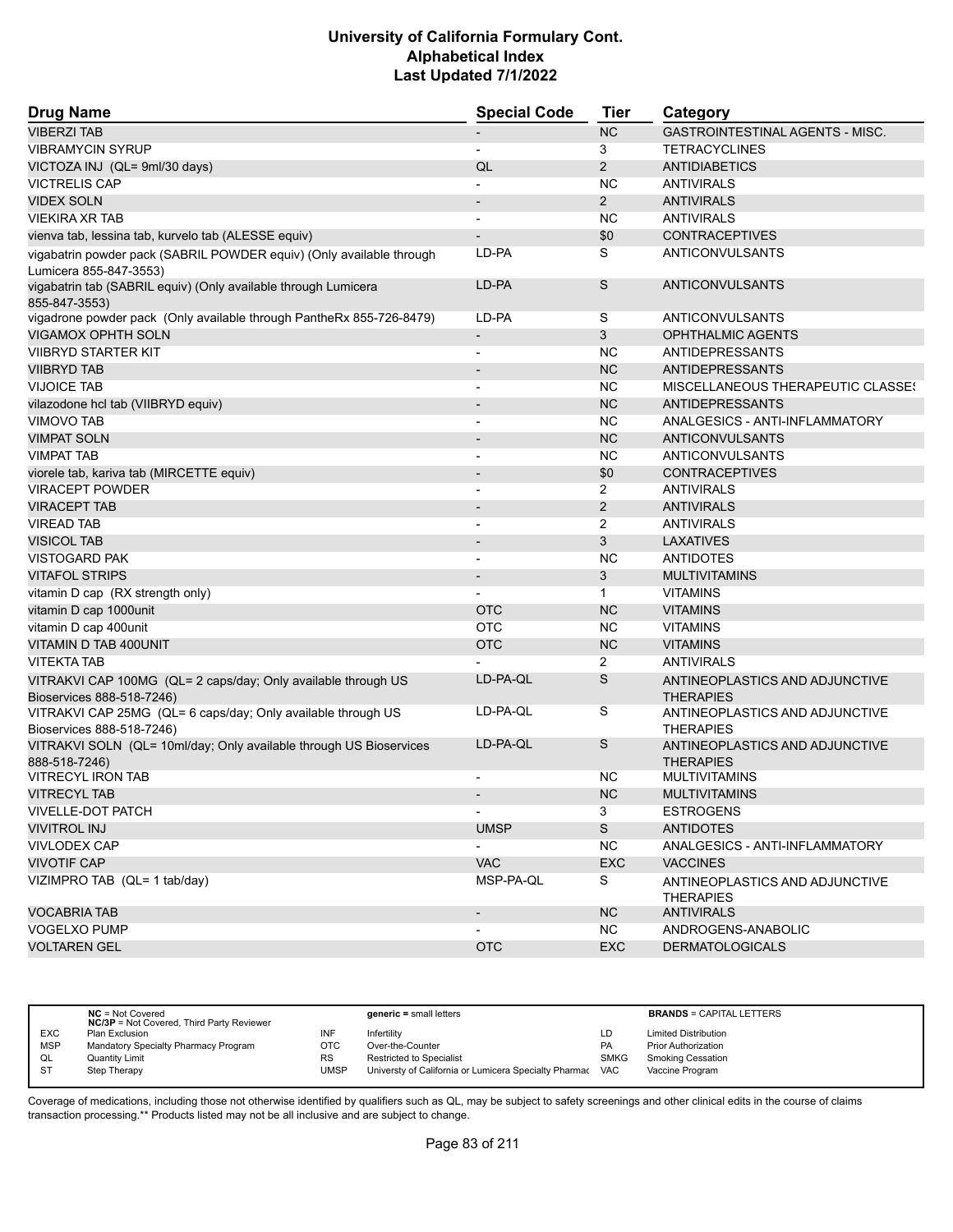| <b>Drug Name</b>                                                                               | <b>Special Code</b>      | Tier           | Category                                           |
|------------------------------------------------------------------------------------------------|--------------------------|----------------|----------------------------------------------------|
| <b>VIBERZI TAB</b>                                                                             |                          | <b>NC</b>      | <b>GASTROINTESTINAL AGENTS - MISC.</b>             |
| <b>VIBRAMYCIN SYRUP</b>                                                                        | $\overline{\phantom{a}}$ | 3              | <b>TETRACYCLINES</b>                               |
| VICTOZA INJ (QL= 9ml/30 days)                                                                  | QL                       | $\overline{2}$ | <b>ANTIDIABETICS</b>                               |
| <b>VICTRELIS CAP</b>                                                                           |                          | NC.            | <b>ANTIVIRALS</b>                                  |
| <b>VIDEX SOLN</b>                                                                              |                          | $\overline{2}$ | <b>ANTIVIRALS</b>                                  |
| <b>VIEKIRA XR TAB</b>                                                                          |                          | <b>NC</b>      | <b>ANTIVIRALS</b>                                  |
| vienva tab, lessina tab, kurvelo tab (ALESSE equiv)                                            |                          | \$0            | <b>CONTRACEPTIVES</b>                              |
| vigabatrin powder pack (SABRIL POWDER equiv) (Only available through<br>Lumicera 855-847-3553) | LD-PA                    | S              | ANTICONVULSANTS                                    |
| vigabatrin tab (SABRIL equiv) (Only available through Lumicera<br>855-847-3553)                | LD-PA                    | S              | <b>ANTICONVULSANTS</b>                             |
| vigadrone powder pack (Only available through PantheRx 855-726-8479)                           | LD-PA                    | S              | ANTICONVULSANTS                                    |
| VIGAMOX OPHTH SOLN                                                                             | $\overline{\phantom{a}}$ | 3              | OPHTHALMIC AGENTS                                  |
| <b>VIIBRYD STARTER KIT</b>                                                                     |                          | NC.            | <b>ANTIDEPRESSANTS</b>                             |
| <b>VIIBRYD TAB</b>                                                                             | $\overline{\phantom{a}}$ | <b>NC</b>      | <b>ANTIDEPRESSANTS</b>                             |
| <b>VIJOICE TAB</b>                                                                             | $\blacksquare$           | <b>NC</b>      | MISCELLANEOUS THERAPEUTIC CLASSES                  |
| vilazodone hcl tab (VIIBRYD equiv)                                                             |                          | <b>NC</b>      | <b>ANTIDEPRESSANTS</b>                             |
| <b>VIMOVO TAB</b>                                                                              | $\blacksquare$           | <b>NC</b>      | ANALGESICS - ANTI-INFLAMMATORY                     |
| <b>VIMPAT SOLN</b>                                                                             | $\overline{\phantom{a}}$ | <b>NC</b>      | <b>ANTICONVULSANTS</b>                             |
| <b>VIMPAT TAB</b>                                                                              | $\overline{\phantom{a}}$ | <b>NC</b>      | ANTICONVULSANTS                                    |
| viorele tab, kariva tab (MIRCETTE equiv)                                                       | $\overline{\phantom{a}}$ | \$0            | <b>CONTRACEPTIVES</b>                              |
| <b>VIRACEPT POWDER</b>                                                                         |                          | $\overline{2}$ | <b>ANTIVIRALS</b>                                  |
| <b>VIRACEPT TAB</b>                                                                            | $\overline{\phantom{a}}$ | $\overline{2}$ | <b>ANTIVIRALS</b>                                  |
| <b>VIREAD TAB</b>                                                                              |                          | 2              | <b>ANTIVIRALS</b>                                  |
| <b>VISICOL TAB</b>                                                                             |                          | 3              | <b>LAXATIVES</b>                                   |
| <b>VISTOGARD PAK</b>                                                                           |                          | <b>NC</b>      | <b>ANTIDOTES</b>                                   |
| <b>VITAFOL STRIPS</b>                                                                          | $\overline{\phantom{a}}$ | 3              | <b>MULTIVITAMINS</b>                               |
| vitamin D cap (RX strength only)                                                               |                          | $\mathbf{1}$   | <b>VITAMINS</b>                                    |
| vitamin D cap 1000unit                                                                         | <b>OTC</b>               | <b>NC</b>      | <b>VITAMINS</b>                                    |
| vitamin D cap 400unit                                                                          | <b>OTC</b>               | <b>NC</b>      | <b>VITAMINS</b>                                    |
| VITAMIN D TAB 400UNIT                                                                          | <b>OTC</b>               | <b>NC</b>      | <b>VITAMINS</b>                                    |
| <b>VITEKTA TAB</b>                                                                             |                          | 2              | <b>ANTIVIRALS</b>                                  |
| VITRAKVI CAP 100MG (QL= 2 caps/day; Only available through US<br>Bioservices 888-518-7246)     | LD-PA-QL                 | S              | ANTINEOPLASTICS AND ADJUNCTIVE<br><b>THERAPIES</b> |
| VITRAKVI CAP 25MG (QL= 6 caps/day; Only available through US<br>Bioservices 888-518-7246)      | LD-PA-QL                 | S              | ANTINEOPLASTICS AND ADJUNCTIVE<br><b>THERAPIES</b> |
| VITRAKVI SOLN (QL= 10ml/day; Only available through US Bioservices<br>888-518-7246)            | LD-PA-QL                 | S              | ANTINEOPLASTICS AND ADJUNCTIVE<br><b>THERAPIES</b> |
| <b>VITRECYL IRON TAB</b>                                                                       |                          | NC.            | <b>MULTIVITAMINS</b>                               |
| <b>VITRECYL TAB</b>                                                                            |                          | <b>NC</b>      | <b>MULTIVITAMINS</b>                               |
| <b>VIVELLE-DOT PATCH</b>                                                                       |                          | 3              | <b>ESTROGENS</b>                                   |
| <b>VIVITROL INJ</b>                                                                            | <b>UMSP</b>              | S              | <b>ANTIDOTES</b>                                   |
| <b>VIVLODEX CAP</b>                                                                            |                          | <b>NC</b>      | ANALGESICS - ANTI-INFLAMMATORY                     |
| <b>VIVOTIF CAP</b>                                                                             | <b>VAC</b>               | EXC            | <b>VACCINES</b>                                    |
| VIZIMPRO TAB (QL= 1 tab/day)                                                                   | MSP-PA-QL                | S              | ANTINEOPLASTICS AND ADJUNCTIVE<br><b>THERAPIES</b> |
| <b>VOCABRIA TAB</b>                                                                            | $\overline{\phantom{a}}$ | <b>NC</b>      | <b>ANTIVIRALS</b>                                  |
| <b>VOGELXO PUMP</b>                                                                            |                          | <b>NC</b>      | ANDROGENS-ANABOLIC                                 |
| <b>VOLTAREN GEL</b>                                                                            | <b>OTC</b>               | <b>EXC</b>     | <b>DERMATOLOGICALS</b>                             |
|                                                                                                |                          |                |                                                    |

|            | $NC = Not Covered$<br><b>NC/3P</b> = Not Covered, Third Party Reviewer |      | $generic = small letters$                             |             | <b>BRANDS = CAPITAL LETTERS</b> |
|------------|------------------------------------------------------------------------|------|-------------------------------------------------------|-------------|---------------------------------|
| <b>EXC</b> | Plan Exclusion                                                         | INF  | Infertility                                           | LD          | <b>Limited Distribution</b>     |
| <b>MSP</b> | Mandatory Specialty Pharmacy Program                                   | OTC  | Over-the-Counter                                      | PA          | <b>Prior Authorization</b>      |
| QL         | <b>Quantity Limit</b>                                                  | RS   | <b>Restricted to Specialist</b>                       | <b>SMKG</b> | <b>Smoking Cessation</b>        |
| -ST        | Step Therapy                                                           | UMSP | Universty of California or Lumicera Specialty Pharmac | <b>VAC</b>  | Vaccine Program                 |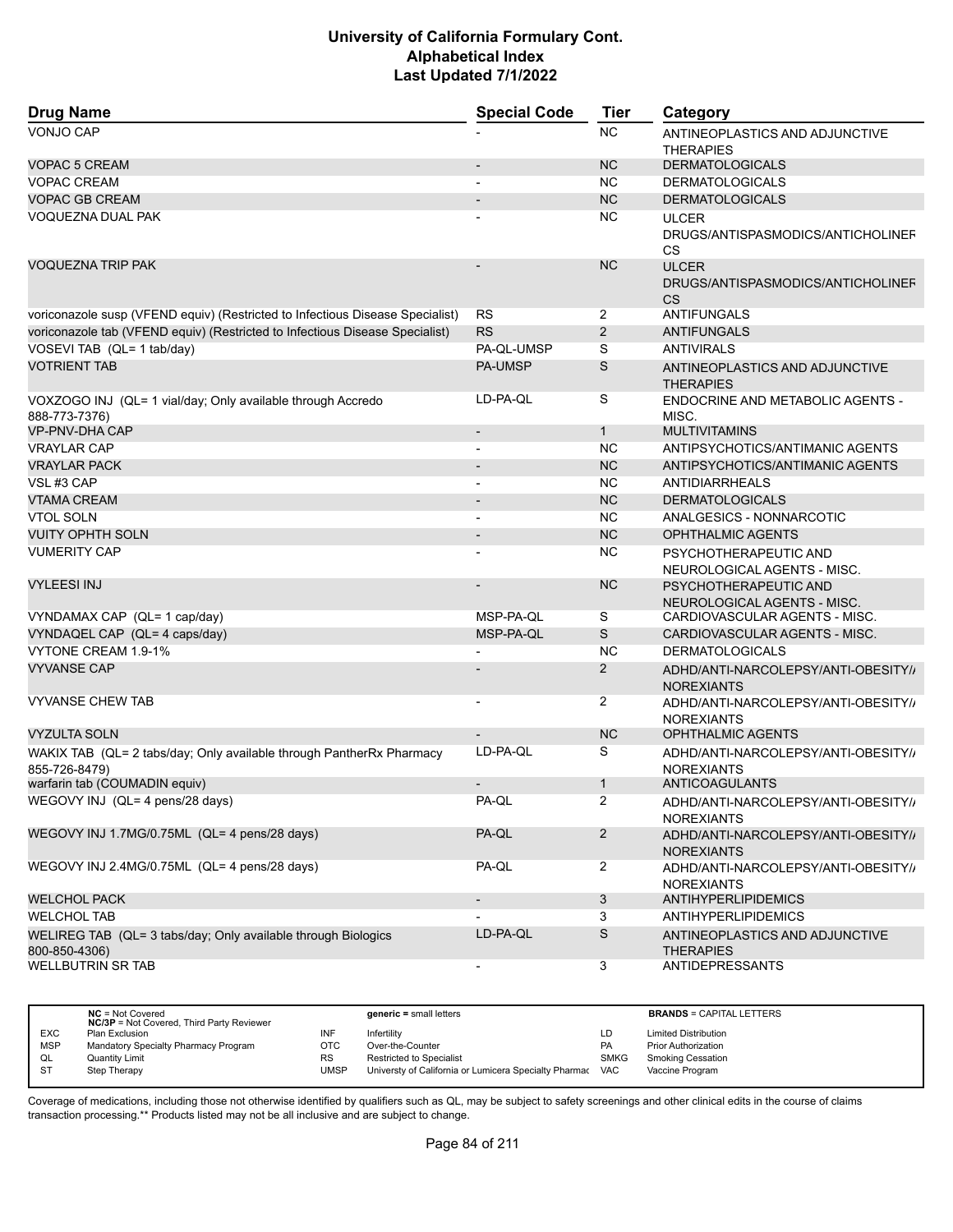| <b>Drug Name</b>                                                                      | <b>Special Code</b>      | <b>Tier</b>    | Category                                                       |
|---------------------------------------------------------------------------------------|--------------------------|----------------|----------------------------------------------------------------|
| <b>VONJO CAP</b>                                                                      |                          | <b>NC</b>      | ANTINEOPLASTICS AND ADJUNCTIVE<br><b>THERAPIES</b>             |
| <b>VOPAC 5 CREAM</b>                                                                  |                          | <b>NC</b>      | <b>DERMATOLOGICALS</b>                                         |
| <b>VOPAC CREAM</b>                                                                    |                          | <b>NC</b>      | <b>DERMATOLOGICALS</b>                                         |
| <b>VOPAC GB CREAM</b>                                                                 |                          | <b>NC</b>      | <b>DERMATOLOGICALS</b>                                         |
| <b>VOQUEZNA DUAL PAK</b>                                                              |                          | NC.            | <b>ULCER</b><br>DRUGS/ANTISPASMODICS/ANTICHOLINEF<br><b>CS</b> |
| <b>VOQUEZNA TRIP PAK</b>                                                              |                          | <b>NC</b>      | <b>ULCER</b><br>DRUGS/ANTISPASMODICS/ANTICHOLINEF<br>CS        |
| voriconazole susp (VFEND equiv) (Restricted to Infectious Disease Specialist)         | <b>RS</b>                | $\overline{2}$ | ANTIFUNGALS                                                    |
| voriconazole tab (VFEND equiv) (Restricted to Infectious Disease Specialist)          | <b>RS</b>                | $\overline{2}$ | <b>ANTIFUNGALS</b>                                             |
| VOSEVI TAB (QL= 1 tab/day)                                                            | PA-QL-UMSP               | S              | <b>ANTIVIRALS</b>                                              |
| <b>VOTRIENT TAB</b>                                                                   | <b>PA-UMSP</b>           | S              | ANTINEOPLASTICS AND ADJUNCTIVE<br><b>THERAPIES</b>             |
| VOXZOGO INJ (QL= 1 vial/day; Only available through Accredo<br>888-773-7376)          | LD-PA-QL                 | S              | ENDOCRINE AND METABOLIC AGENTS -<br>MISC.                      |
| <b>VP-PNV-DHA CAP</b>                                                                 |                          | $\mathbf{1}$   | <b>MULTIVITAMINS</b>                                           |
| <b>VRAYLAR CAP</b>                                                                    | $\blacksquare$           | <b>NC</b>      | ANTIPSYCHOTICS/ANTIMANIC AGENTS                                |
| <b>VRAYLAR PACK</b>                                                                   |                          | <b>NC</b>      | ANTIPSYCHOTICS/ANTIMANIC AGENTS                                |
| VSL#3 CAP                                                                             |                          | <b>NC</b>      | <b>ANTIDIARRHEALS</b>                                          |
| <b>VTAMA CREAM</b>                                                                    | $\overline{a}$           | <b>NC</b>      | <b>DERMATOLOGICALS</b>                                         |
| <b>VTOL SOLN</b>                                                                      |                          | <b>NC</b>      | ANALGESICS - NONNARCOTIC                                       |
| <b>VUITY OPHTH SOLN</b>                                                               |                          | <b>NC</b>      | <b>OPHTHALMIC AGENTS</b>                                       |
| <b>VUMERITY CAP</b>                                                                   |                          | <b>NC</b>      | PSYCHOTHERAPEUTIC AND<br>NEUROLOGICAL AGENTS - MISC.           |
| <b>VYLEESI INJ</b>                                                                    |                          | <b>NC</b>      | PSYCHOTHERAPEUTIC AND<br>NEUROLOGICAL AGENTS - MISC.           |
| VYNDAMAX CAP (QL= 1 cap/day)                                                          | MSP-PA-QL                | S              | CARDIOVASCULAR AGENTS - MISC.                                  |
| VYNDAQEL CAP (QL= 4 caps/day)                                                         | MSP-PA-QL                | S              | CARDIOVASCULAR AGENTS - MISC.                                  |
| VYTONE CREAM 1.9-1%                                                                   |                          | <b>NC</b>      | <b>DERMATOLOGICALS</b>                                         |
| <b>VYVANSE CAP</b>                                                                    |                          | 2              | ADHD/ANTI-NARCOLEPSY/ANTI-OBESITY//<br><b>NOREXIANTS</b>       |
| <b>VYVANSE CHEW TAB</b>                                                               |                          | 2              | ADHD/ANTI-NARCOLEPSY/ANTI-OBESITY//<br><b>NOREXIANTS</b>       |
| <b>VYZULTA SOLN</b>                                                                   |                          | <b>NC</b>      | <b>OPHTHALMIC AGENTS</b>                                       |
| WAKIX TAB (QL= 2 tabs/day; Only available through PantherRx Pharmacy<br>855-726-8479) | LD-PA-QL                 | S              | ADHD/ANTI-NARCOLEPSY/ANTI-OBESITY//<br><b>NOREXIANTS</b>       |
| warfarin tab (COUMADIN equiv)                                                         |                          | $\mathbf{1}$   | ANTICOAGULANTS                                                 |
| WEGOVY INJ (QL= 4 pens/28 days)                                                       | PA-QL                    | 2              | ADHD/ANTI-NARCOLEPSY/ANTI-OBESITY//<br><b>NOREXIANTS</b>       |
| WEGOVY INJ 1.7MG/0.75ML (QL= 4 pens/28 days)                                          | PA-QL                    | $\overline{2}$ | ADHD/ANTI-NARCOLEPSY/ANTI-OBESITY/<br><b>NOREXIANTS</b>        |
| WEGOVY INJ 2.4MG/0.75ML (QL= 4 pens/28 days)                                          | PA-QL                    | $\overline{2}$ | ADHD/ANTI-NARCOLEPSY/ANTI-OBESITY//<br><b>NOREXIANTS</b>       |
| <b>WELCHOL PACK</b>                                                                   | $\overline{\phantom{a}}$ | $\mathbf{3}$   | <b>ANTIHYPERLIPIDEMICS</b>                                     |
| <b>WELCHOL TAB</b>                                                                    |                          | 3              | <b>ANTIHYPERLIPIDEMICS</b>                                     |
| WELIREG TAB (QL= 3 tabs/day; Only available through Biologics<br>800-850-4306)        | LD-PA-QL                 | S              | ANTINEOPLASTICS AND ADJUNCTIVE<br><b>THERAPIES</b>             |
| <b>WELLBUTRIN SR TAB</b>                                                              |                          | 3              | ANTIDEPRESSANTS                                                |

|            | $NC = Not Covered$<br><b>NC/3P</b> = Not Covered, Third Party Reviewer |           | $generic = small letters$                             |             | <b>BRANDS = CAPITAL LETTERS</b> |
|------------|------------------------------------------------------------------------|-----------|-------------------------------------------------------|-------------|---------------------------------|
| <b>EXC</b> | Plan Exclusion                                                         | INF       | Infertility                                           | LD          | <b>Limited Distribution</b>     |
| <b>MSP</b> | Mandatory Specialty Pharmacy Program                                   | OTC       | Over-the-Counter                                      | PA          | <b>Prior Authorization</b>      |
| QL         | Quantity Limit                                                         | <b>RS</b> | <b>Restricted to Specialist</b>                       | <b>SMKG</b> | <b>Smoking Cessation</b>        |
| <b>ST</b>  | Step Therapy                                                           | UMSP      | Universty of California or Lumicera Specialty Pharmac | <b>VAC</b>  | Vaccine Program                 |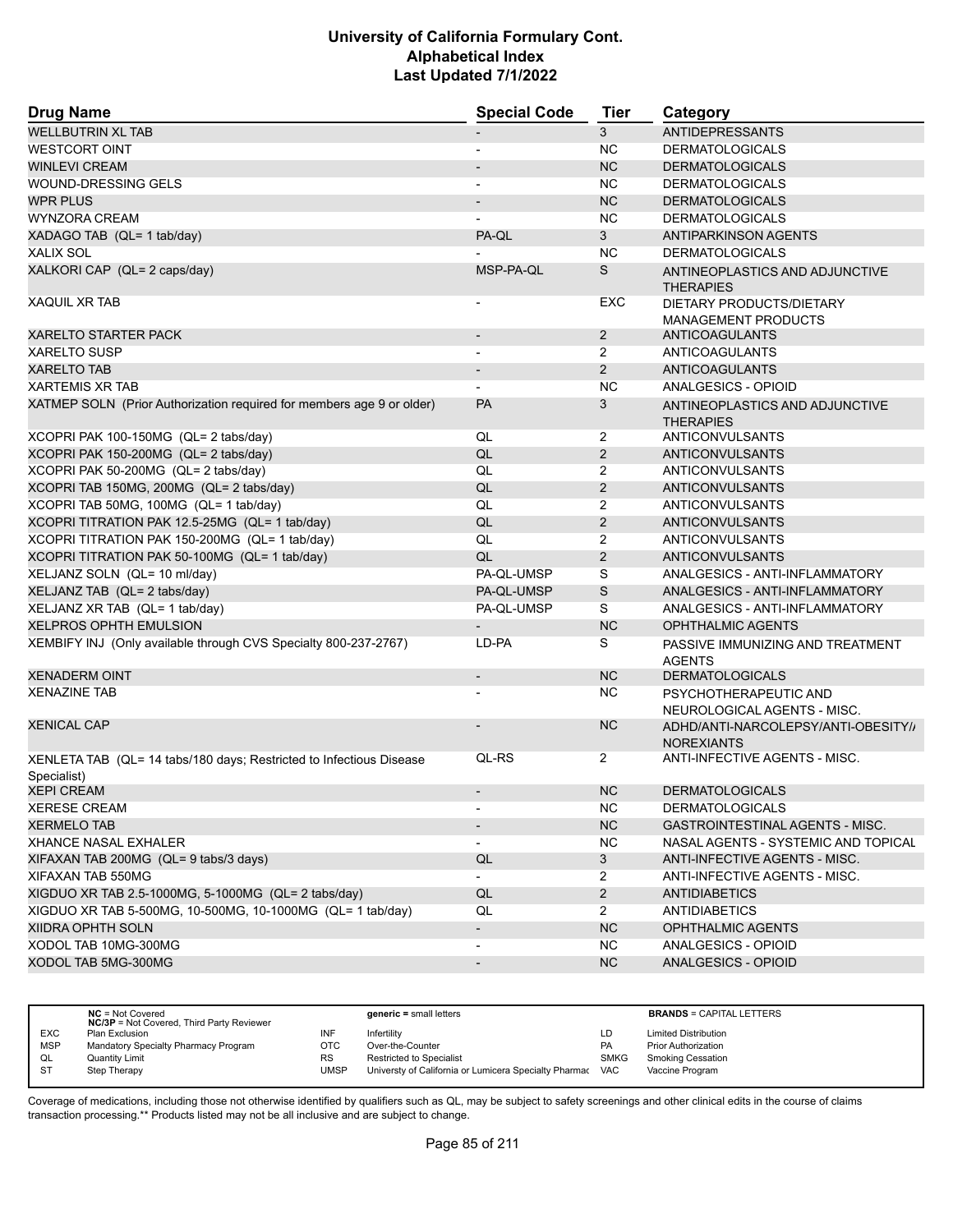| <b>Drug Name</b>                                                                   | <b>Special Code</b>      | Tier           | Category                                                 |  |
|------------------------------------------------------------------------------------|--------------------------|----------------|----------------------------------------------------------|--|
| <b>WELLBUTRIN XL TAB</b>                                                           |                          | 3              | <b>ANTIDEPRESSANTS</b>                                   |  |
| <b>WESTCORT OINT</b>                                                               | $\overline{\phantom{a}}$ | <b>NC</b>      | <b>DERMATOLOGICALS</b>                                   |  |
| <b>WINLEVI CREAM</b>                                                               |                          | <b>NC</b>      | <b>DERMATOLOGICALS</b>                                   |  |
| <b>WOUND-DRESSING GELS</b>                                                         |                          | <b>NC</b>      | <b>DERMATOLOGICALS</b>                                   |  |
| <b>WPR PLUS</b>                                                                    | $\blacksquare$           | NC             | <b>DERMATOLOGICALS</b>                                   |  |
| <b>WYNZORA CREAM</b>                                                               |                          | <b>NC</b>      | <b>DERMATOLOGICALS</b>                                   |  |
| XADAGO TAB (QL= 1 tab/day)                                                         | PA-QL                    | 3              | <b>ANTIPARKINSON AGENTS</b>                              |  |
| <b>XALIX SOL</b>                                                                   |                          | <b>NC</b>      | <b>DERMATOLOGICALS</b>                                   |  |
| XALKORI CAP (QL= 2 caps/day)                                                       | MSP-PA-QL                | S              | ANTINEOPLASTICS AND ADJUNCTIVE<br><b>THERAPIES</b>       |  |
| <b>XAQUIL XR TAB</b>                                                               |                          | <b>EXC</b>     | DIETARY PRODUCTS/DIETARY<br><b>MANAGEMENT PRODUCTS</b>   |  |
| <b>XARELTO STARTER PACK</b>                                                        |                          | $\overline{2}$ | ANTICOAGULANTS                                           |  |
| <b>XARELTO SUSP</b>                                                                |                          | $\overline{2}$ | <b>ANTICOAGULANTS</b>                                    |  |
| <b>XARELTO TAB</b>                                                                 | $\blacksquare$           | $\overline{2}$ | ANTICOAGULANTS                                           |  |
| <b>XARTEMIS XR TAB</b>                                                             |                          | <b>NC</b>      | ANALGESICS - OPIOID                                      |  |
| XATMEP SOLN (Prior Authorization required for members age 9 or older)              | <b>PA</b>                | 3              | ANTINEOPLASTICS AND ADJUNCTIVE<br><b>THERAPIES</b>       |  |
| XCOPRI PAK 100-150MG (QL= 2 tabs/day)                                              | QL                       | 2              | ANTICONVULSANTS                                          |  |
| XCOPRI PAK 150-200MG (QL= 2 tabs/day)                                              | QL                       | $\overline{2}$ | <b>ANTICONVULSANTS</b>                                   |  |
| XCOPRI PAK 50-200MG (QL= 2 tabs/day)                                               | QL                       | 2              | <b>ANTICONVULSANTS</b>                                   |  |
| XCOPRI TAB 150MG, 200MG (QL= 2 tabs/day)                                           | QL                       | $\overline{2}$ | ANTICONVULSANTS                                          |  |
| XCOPRI TAB 50MG, 100MG (QL= 1 tab/day)                                             | QL                       | $\overline{2}$ | <b>ANTICONVULSANTS</b>                                   |  |
| XCOPRI TITRATION PAK 12.5-25MG (QL= 1 tab/day)                                     | QL                       | $\overline{2}$ | ANTICONVULSANTS                                          |  |
| XCOPRI TITRATION PAK 150-200MG (QL= 1 tab/day)                                     | QL                       | $\overline{2}$ | <b>ANTICONVULSANTS</b>                                   |  |
| XCOPRI TITRATION PAK 50-100MG (QL= 1 tab/day)                                      | QL                       | 2              | ANTICONVULSANTS                                          |  |
| XELJANZ SOLN (QL= 10 ml/day)                                                       | PA-QL-UMSP               | S              | ANALGESICS - ANTI-INFLAMMATORY                           |  |
| XELJANZ TAB (QL= 2 tabs/day)                                                       | PA-QL-UMSP               | S              | ANALGESICS - ANTI-INFLAMMATORY                           |  |
| XELJANZ XR TAB (QL= 1 tab/day)                                                     | PA-QL-UMSP               | S              | ANALGESICS - ANTI-INFLAMMATORY                           |  |
| <b>XELPROS OPHTH EMULSION</b>                                                      |                          | <b>NC</b>      | <b>OPHTHALMIC AGENTS</b>                                 |  |
| XEMBIFY INJ (Only available through CVS Specialty 800-237-2767)                    | LD-PA                    | S              | PASSIVE IMMUNIZING AND TREATMENT<br><b>AGENTS</b>        |  |
| <b>XENADERM OINT</b>                                                               | $\overline{\phantom{a}}$ | <b>NC</b>      | <b>DERMATOLOGICALS</b>                                   |  |
| <b>XENAZINE TAB</b>                                                                |                          | NC.            | PSYCHOTHERAPEUTIC AND<br>NEUROLOGICAL AGENTS - MISC.     |  |
| <b>XENICAL CAP</b>                                                                 |                          | NC             | ADHD/ANTI-NARCOLEPSY/ANTI-OBESITY//<br><b>NOREXIANTS</b> |  |
| XENLETA TAB (QL= 14 tabs/180 days; Restricted to Infectious Disease<br>Specialist) | QL-RS                    | $\overline{2}$ | ANTI-INFECTIVE AGENTS - MISC.                            |  |
| <b>XEPI CREAM</b>                                                                  |                          | NC.            | <b>DERMATOLOGICALS</b>                                   |  |
| <b>XERESE CREAM</b>                                                                | $\overline{\phantom{a}}$ | <b>NC</b>      | <b>DERMATOLOGICALS</b>                                   |  |
| <b>XERMELO TAB</b>                                                                 |                          | NC             | GASTROINTESTINAL AGENTS - MISC.                          |  |
| <b>XHANCE NASAL EXHALER</b>                                                        | $\overline{\phantom{a}}$ | <b>NC</b>      | NASAL AGENTS - SYSTEMIC AND TOPICAL                      |  |
| XIFAXAN TAB 200MG (QL= 9 tabs/3 days)                                              | QL                       | $\mathbf{3}$   | ANTI-INFECTIVE AGENTS - MISC.                            |  |
| XIFAXAN TAB 550MG                                                                  | $\blacksquare$           | 2              | ANTI-INFECTIVE AGENTS - MISC.                            |  |
| XIGDUO XR TAB 2.5-1000MG, 5-1000MG (QL= 2 tabs/day)                                | QL                       | $\overline{2}$ | <b>ANTIDIABETICS</b>                                     |  |
| XIGDUO XR TAB 5-500MG, 10-500MG, 10-1000MG (QL= 1 tab/day)                         | QL                       | $\overline{2}$ | <b>ANTIDIABETICS</b>                                     |  |
| <b>XIIDRA OPHTH SOLN</b>                                                           | $\overline{\phantom{a}}$ | NC             | <b>OPHTHALMIC AGENTS</b>                                 |  |
| XODOL TAB 10MG-300MG                                                               | $\overline{\phantom{a}}$ | NC.            | ANALGESICS - OPIOID                                      |  |
| XODOL TAB 5MG-300MG                                                                | $\overline{\phantom{a}}$ | <b>NC</b>      | ANALGESICS - OPIOID                                      |  |
|                                                                                    |                          |                |                                                          |  |

|            | $NC = Not Covered$<br><b>NC/3P</b> = Not Covered, Third Party Reviewer |           | generic = small letters                               |             | <b>BRANDS = CAPITAL LETTERS</b> |
|------------|------------------------------------------------------------------------|-----------|-------------------------------------------------------|-------------|---------------------------------|
| <b>EXC</b> | Plan Exclusion                                                         | INF       | Infertilitv                                           | LD          | <b>Limited Distribution</b>     |
| <b>MSP</b> | Mandatory Specialty Pharmacy Program                                   | OTC       | Over-the-Counter                                      | PA          | <b>Prior Authorization</b>      |
| QL         | <b>Quantity Limit</b>                                                  | <b>RS</b> | <b>Restricted to Specialist</b>                       | <b>SMKG</b> | <b>Smoking Cessation</b>        |
| <b>ST</b>  | Step Therapy                                                           | UMSP      | Universty of California or Lumicera Specialty Pharmac | <b>VAC</b>  | Vaccine Program                 |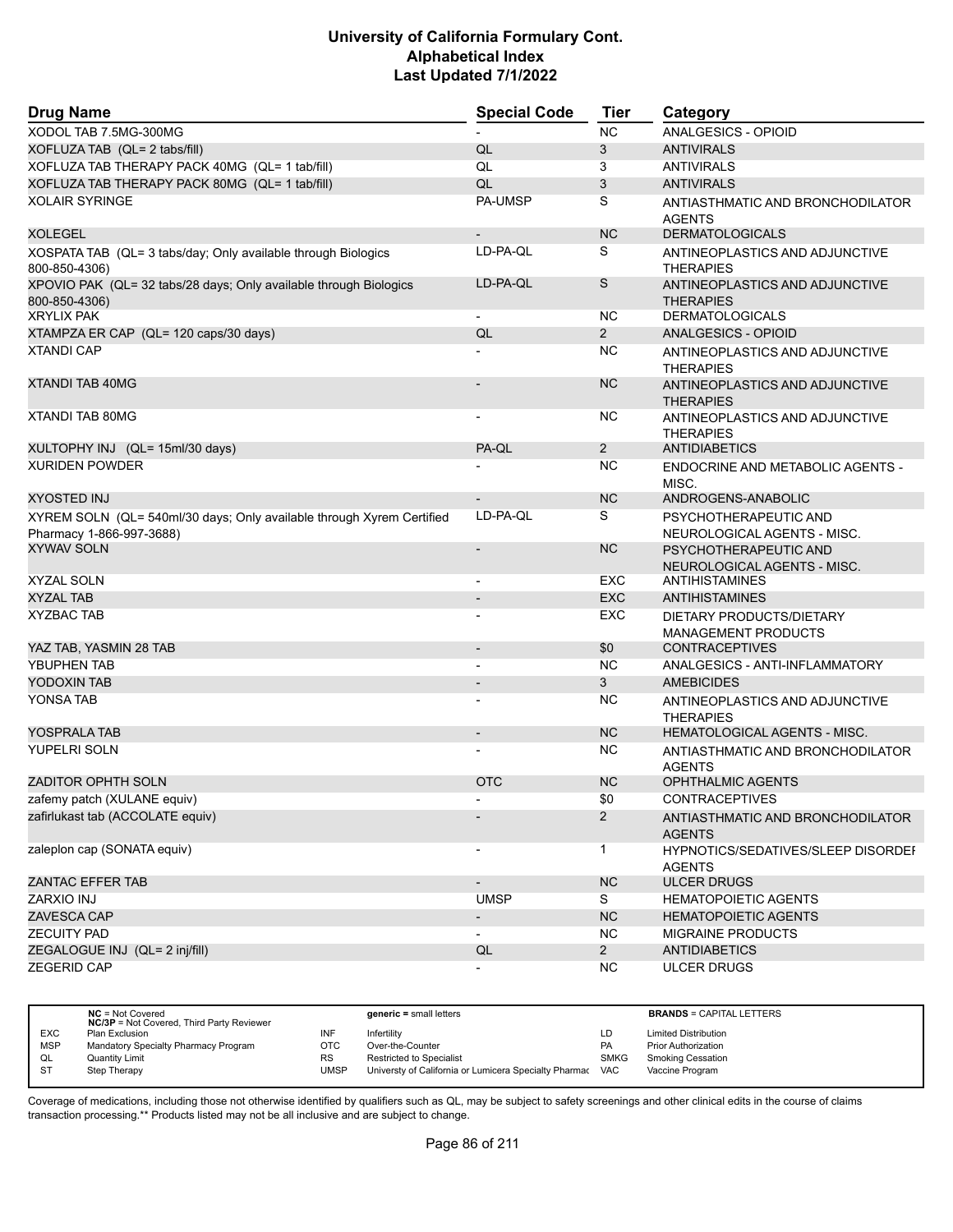| <b>Drug Name</b>                                                                                  | <b>Special Code</b>      | <b>Tier</b>    | Category                                                   |  |
|---------------------------------------------------------------------------------------------------|--------------------------|----------------|------------------------------------------------------------|--|
| XODOL TAB 7.5MG-300MG                                                                             |                          | <b>NC</b>      | ANALGESICS - OPIOID                                        |  |
| XOFLUZA TAB (QL= 2 tabs/fill)                                                                     | QL                       | 3              | <b>ANTIVIRALS</b>                                          |  |
| XOFLUZA TAB THERAPY PACK 40MG (QL= 1 tab/fill)                                                    | QL                       | 3              | <b>ANTIVIRALS</b>                                          |  |
| XOFLUZA TAB THERAPY PACK 80MG (QL= 1 tab/fill)                                                    | QL                       | 3              | <b>ANTIVIRALS</b>                                          |  |
| <b>XOLAIR SYRINGE</b>                                                                             | PA-UMSP                  | S              | ANTIASTHMATIC AND BRONCHODILATOR<br><b>AGENTS</b>          |  |
| <b>XOLEGEL</b>                                                                                    |                          | <b>NC</b>      | <b>DERMATOLOGICALS</b>                                     |  |
| XOSPATA TAB (QL= 3 tabs/day; Only available through Biologics<br>800-850-4306)                    | LD-PA-QL                 | S              | ANTINEOPLASTICS AND ADJUNCTIVE<br><b>THERAPIES</b>         |  |
| XPOVIO PAK (QL= 32 tabs/28 days; Only available through Biologics<br>800-850-4306)                | LD-PA-QL                 | S              | ANTINEOPLASTICS AND ADJUNCTIVE<br><b>THERAPIES</b>         |  |
| <b>XRYLIX PAK</b>                                                                                 |                          | NC.            | <b>DERMATOLOGICALS</b>                                     |  |
| XTAMPZA ER CAP (QL= 120 caps/30 days)                                                             | QL                       | $\overline{2}$ | ANALGESICS - OPIOID                                        |  |
| <b>XTANDI CAP</b>                                                                                 |                          | NC.            | ANTINEOPLASTICS AND ADJUNCTIVE<br><b>THERAPIES</b>         |  |
| <b>XTANDI TAB 40MG</b>                                                                            |                          | <b>NC</b>      | ANTINEOPLASTICS AND ADJUNCTIVE<br><b>THERAPIES</b>         |  |
| <b>XTANDI TAB 80MG</b>                                                                            | $\overline{\phantom{a}}$ | NC.            | ANTINEOPLASTICS AND ADJUNCTIVE<br><b>THERAPIES</b>         |  |
| XULTOPHY INJ (QL= 15ml/30 days)                                                                   | PA-QL                    | $\overline{2}$ | <b>ANTIDIABETICS</b>                                       |  |
| <b>XURIDEN POWDER</b>                                                                             |                          | <b>NC</b>      | ENDOCRINE AND METABOLIC AGENTS -<br>MISC.                  |  |
| XYOSTED INJ                                                                                       |                          | <b>NC</b>      | ANDROGENS-ANABOLIC                                         |  |
| XYREM SOLN (QL= 540ml/30 days; Only available through Xyrem Certified<br>Pharmacy 1-866-997-3688) | LD-PA-QL                 | S              | PSYCHOTHERAPEUTIC AND<br>NEUROLOGICAL AGENTS - MISC.       |  |
| <b>XYWAV SOLN</b>                                                                                 |                          | <b>NC</b>      | PSYCHOTHERAPEUTIC AND<br>NEUROLOGICAL AGENTS - MISC.       |  |
| <b>XYZAL SOLN</b>                                                                                 |                          | EXC            | ANTIHISTAMINES                                             |  |
| <b>XYZAL TAB</b>                                                                                  | $\overline{\phantom{a}}$ | <b>EXC</b>     | <b>ANTIHISTAMINES</b>                                      |  |
| <b>XYZBAC TAB</b>                                                                                 |                          | EXC            | DIETARY PRODUCTS/DIETARY<br><b>MANAGEMENT PRODUCTS</b>     |  |
| YAZ TAB, YASMIN 28 TAB                                                                            | $\overline{\phantom{a}}$ | \$0            | <b>CONTRACEPTIVES</b>                                      |  |
| <b>YBUPHEN TAB</b>                                                                                |                          | <b>NC</b>      | ANALGESICS - ANTI-INFLAMMATORY                             |  |
| YODOXIN TAB                                                                                       |                          | 3              | <b>AMEBICIDES</b>                                          |  |
| YONSA TAB                                                                                         |                          | NC.            | ANTINEOPLASTICS AND ADJUNCTIVE<br><b>THERAPIES</b>         |  |
| YOSPRALA TAB                                                                                      | $\overline{\phantom{a}}$ | <b>NC</b>      | <b>HEMATOLOGICAL AGENTS - MISC.</b>                        |  |
| <b>YUPELRI SOLN</b>                                                                               |                          | NC.            | ANTIASTHMATIC AND BRONCHODILATOR<br><b>AGENTS</b>          |  |
| <b>ZADITOR OPHTH SOLN</b>                                                                         | <b>OTC</b>               | <b>NC</b>      | <b>OPHTHALMIC AGENTS</b>                                   |  |
| zafemy patch (XULANE equiv)                                                                       |                          | \$0            | CONTRACEPTIVES                                             |  |
| zafirlukast tab (ACCOLATE equiv)                                                                  |                          | $\overline{2}$ | ANTIASTHMATIC AND BRONCHODILATOR<br><b>AGENTS</b>          |  |
| zaleplon cap (SONATA equiv)                                                                       |                          | $\mathbf{1}$   | <b>HYPNOTICS/SEDATIVES/SLEEP DISORDEF</b><br><b>AGENTS</b> |  |
| <b>ZANTAC EFFER TAB</b>                                                                           | $\overline{\phantom{a}}$ | NC             | <b>ULCER DRUGS</b>                                         |  |
| ZARXIO INJ                                                                                        | <b>UMSP</b>              | S              | <b>HEMATOPOIETIC AGENTS</b>                                |  |
| ZAVESCA CAP                                                                                       | $\overline{\phantom{a}}$ | NC             | <b>HEMATOPOIETIC AGENTS</b>                                |  |
| <b>ZECUITY PAD</b>                                                                                | $\blacksquare$           | NC.            | <b>MIGRAINE PRODUCTS</b>                                   |  |
| ZEGALOGUE INJ (QL= 2 inj/fill)                                                                    | QL                       | $2^{\circ}$    | <b>ANTIDIABETICS</b>                                       |  |
| ZEGERID CAP                                                                                       | $\overline{\phantom{a}}$ | <b>NC</b>      | <b>ULCER DRUGS</b>                                         |  |

|            | $NC = Not Covered$<br><b>NC/3P</b> = Not Covered, Third Party Reviewer |             | generic = small letters                               |             | <b>BRANDS = CAPITAL LETTERS</b> |
|------------|------------------------------------------------------------------------|-------------|-------------------------------------------------------|-------------|---------------------------------|
| <b>EXC</b> | Plan Exclusion                                                         | INF         | Infertility                                           | LD          | <b>Limited Distribution</b>     |
| <b>MSP</b> | Mandatory Specialty Pharmacy Program                                   | OTC         | Over-the-Counter                                      | <b>PA</b>   | <b>Prior Authorization</b>      |
| QL         | <b>Quantity Limit</b>                                                  | <b>RS</b>   | <b>Restricted to Specialist</b>                       | <b>SMKG</b> | <b>Smoking Cessation</b>        |
| <b>ST</b>  | Step Therapy                                                           | <b>UMSP</b> | Universty of California or Lumicera Specialty Pharmac | <b>VAC</b>  | Vaccine Program                 |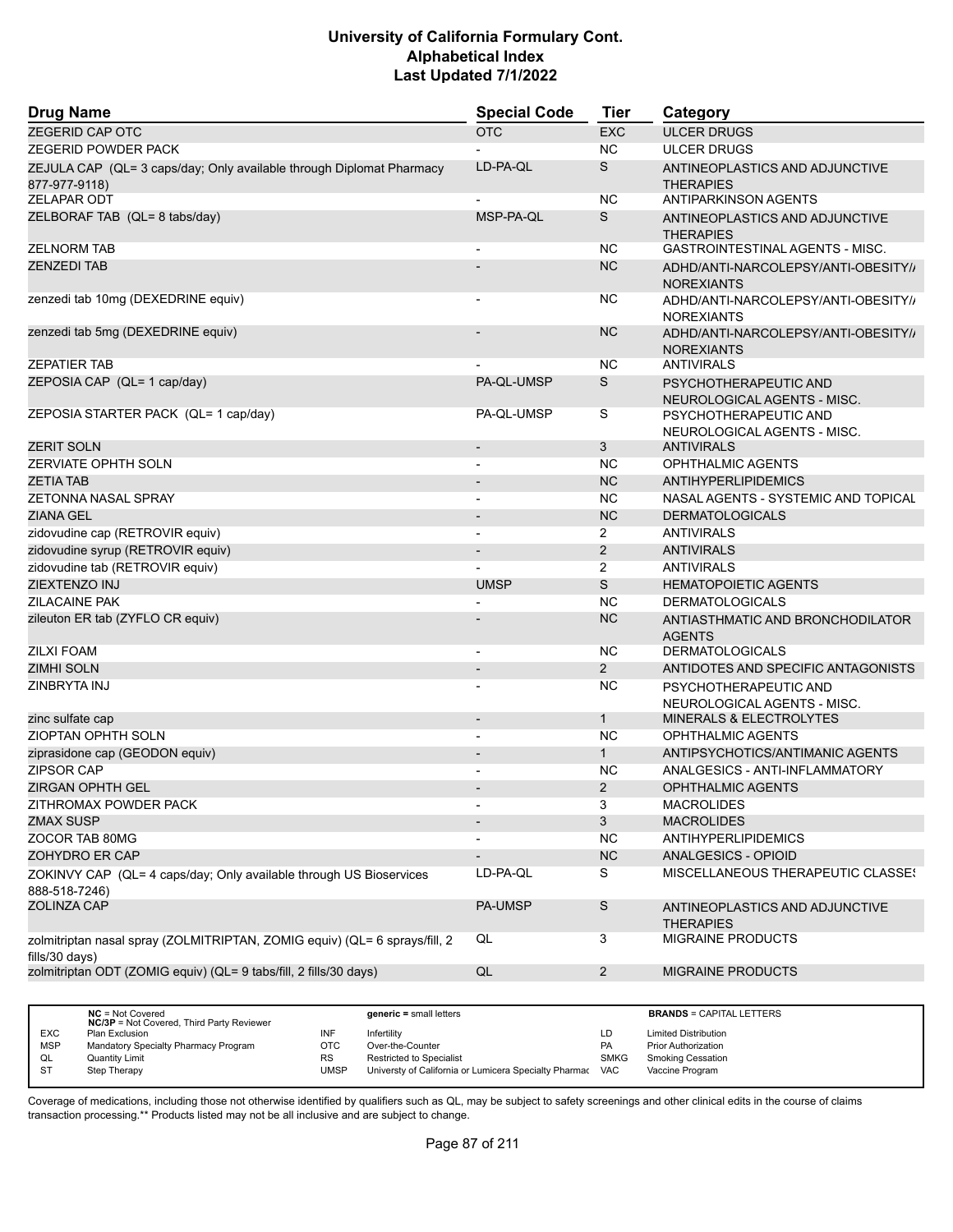| <b>Drug Name</b>                                                                             | <b>Special Code</b>      | Tier           | Category                                                 |
|----------------------------------------------------------------------------------------------|--------------------------|----------------|----------------------------------------------------------|
| <b>ZEGERID CAP OTC</b>                                                                       | <b>OTC</b>               | <b>EXC</b>     | <b>ULCER DRUGS</b>                                       |
| <b>ZEGERID POWDER PACK</b>                                                                   |                          | <b>NC</b>      | <b>ULCER DRUGS</b>                                       |
| ZEJULA CAP (QL= 3 caps/day; Only available through Diplomat Pharmacy<br>877-977-9118)        | LD-PA-QL                 | S              | ANTINEOPLASTICS AND ADJUNCTIVE<br><b>THERAPIES</b>       |
| <b>ZELAPAR ODT</b>                                                                           |                          | <b>NC</b>      | <b>ANTIPARKINSON AGENTS</b>                              |
| ZELBORAF TAB (QL= 8 tabs/day)                                                                | MSP-PA-QL                | S              | ANTINEOPLASTICS AND ADJUNCTIVE<br><b>THERAPIES</b>       |
| <b>ZELNORM TAB</b>                                                                           |                          | NC.            | GASTROINTESTINAL AGENTS - MISC.                          |
| <b>ZENZEDI TAB</b>                                                                           |                          | <b>NC</b>      | ADHD/ANTI-NARCOLEPSY/ANTI-OBESITY//<br><b>NOREXIANTS</b> |
| zenzedi tab 10mg (DEXEDRINE equiv)                                                           |                          | <b>NC</b>      | ADHD/ANTI-NARCOLEPSY/ANTI-OBESITY//<br><b>NOREXIANTS</b> |
| zenzedi tab 5mg (DEXEDRINE equiv)                                                            |                          | <b>NC</b>      | ADHD/ANTI-NARCOLEPSY/ANTI-OBESITY//<br><b>NOREXIANTS</b> |
| <b>ZEPATIER TAB</b>                                                                          |                          | NC.            | <b>ANTIVIRALS</b>                                        |
| ZEPOSIA CAP (QL= 1 cap/day)                                                                  | PA-QL-UMSP               | S              | PSYCHOTHERAPEUTIC AND<br>NEUROLOGICAL AGENTS - MISC.     |
| ZEPOSIA STARTER PACK (QL= 1 cap/day)                                                         | PA-QL-UMSP               | S              | PSYCHOTHERAPEUTIC AND<br>NEUROLOGICAL AGENTS - MISC.     |
| <b>ZERIT SOLN</b>                                                                            |                          | 3              | <b>ANTIVIRALS</b>                                        |
| <b>ZERVIATE OPHTH SOLN</b>                                                                   |                          | <b>NC</b>      | <b>OPHTHALMIC AGENTS</b>                                 |
| <b>ZETIA TAB</b>                                                                             | $\overline{\phantom{a}}$ | <b>NC</b>      | ANTIHYPERLIPIDEMICS                                      |
| ZETONNA NASAL SPRAY                                                                          |                          | <b>NC</b>      | NASAL AGENTS - SYSTEMIC AND TOPICAL                      |
| <b>ZIANA GEL</b>                                                                             |                          | <b>NC</b>      | <b>DERMATOLOGICALS</b>                                   |
| zidovudine cap (RETROVIR equiv)                                                              | $\overline{\phantom{a}}$ | $\overline{2}$ | <b>ANTIVIRALS</b>                                        |
| zidovudine syrup (RETROVIR equiv)                                                            |                          | 2              | <b>ANTIVIRALS</b>                                        |
| zidovudine tab (RETROVIR equiv)                                                              |                          | 2              | <b>ANTIVIRALS</b>                                        |
| ZIEXTENZO INJ                                                                                | <b>UMSP</b>              | S              | <b>HEMATOPOIETIC AGENTS</b>                              |
| <b>ZILACAINE PAK</b>                                                                         |                          | <b>NC</b>      | <b>DERMATOLOGICALS</b>                                   |
| zileuton ER tab (ZYFLO CR equiv)                                                             |                          | <b>NC</b>      | ANTIASTHMATIC AND BRONCHODILATOR<br><b>AGENTS</b>        |
| <b>ZILXI FOAM</b>                                                                            | $\overline{\phantom{a}}$ | <b>NC</b>      | <b>DERMATOLOGICALS</b>                                   |
| <b>ZIMHI SOLN</b>                                                                            |                          | $\overline{2}$ | ANTIDOTES AND SPECIFIC ANTAGONISTS                       |
| ZINBRYTA INJ                                                                                 |                          | <b>NC</b>      | PSYCHOTHERAPEUTIC AND<br>NEUROLOGICAL AGENTS - MISC.     |
| zinc sulfate cap                                                                             | $\overline{\phantom{a}}$ | $\mathbf{1}$   | <b>MINERALS &amp; ELECTROLYTES</b>                       |
| ZIOPTAN OPHTH SOLN                                                                           | $\overline{\phantom{a}}$ | <b>NC</b>      | OPHTHALMIC AGENTS                                        |
| ziprasidone cap (GEODON equiv)                                                               |                          | $\mathbf{1}$   | ANTIPSYCHOTICS/ANTIMANIC AGENTS                          |
| <b>ZIPSOR CAP</b>                                                                            |                          | NC.            | ANALGESICS - ANTI-INFLAMMATORY                           |
| <b>ZIRGAN OPHTH GEL</b>                                                                      |                          | $\overline{2}$ | <b>OPHTHALMIC AGENTS</b>                                 |
| ZITHROMAX POWDER PACK                                                                        |                          | 3              | <b>MACROLIDES</b>                                        |
| <b>ZMAX SUSP</b>                                                                             | $\overline{\phantom{a}}$ | 3              | <b>MACROLIDES</b>                                        |
| ZOCOR TAB 80MG                                                                               |                          | NC.            | ANTIHYPERLIPIDEMICS                                      |
| ZOHYDRO ER CAP                                                                               |                          | NC             | ANALGESICS - OPIOID                                      |
| ZOKINVY CAP (QL= 4 caps/day; Only available through US Bioservices<br>888-518-7246)          | LD-PA-QL                 | S              | MISCELLANEOUS THERAPEUTIC CLASSES                        |
| ZOLINZA CAP                                                                                  | <b>PA-UMSP</b>           | $\mathsf S$    | ANTINEOPLASTICS AND ADJUNCTIVE<br><b>THERAPIES</b>       |
| zolmitriptan nasal spray (ZOLMITRIPTAN, ZOMIG equiv) (QL= 6 sprays/fill, 2<br>fills/30 days) | QL                       | $\overline{3}$ | MIGRAINE PRODUCTS                                        |
| zolmitriptan ODT (ZOMIG equiv) (QL= 9 tabs/fill, 2 fills/30 days)                            | $\mathsf{QL}$            | $\overline{2}$ | MIGRAINE PRODUCTS                                        |
|                                                                                              |                          |                |                                                          |

|            | $NC = Not Covered$<br><b>NC/3P</b> = Not Covered, Third Party Reviewer |           | $generic = small letters$                             |             | <b>BRANDS = CAPITAL LETTERS</b> |
|------------|------------------------------------------------------------------------|-----------|-------------------------------------------------------|-------------|---------------------------------|
| <b>EXC</b> | Plan Exclusion                                                         | INF       | Infertility                                           | LD          | <b>Limited Distribution</b>     |
| <b>MSP</b> | Mandatory Specialty Pharmacy Program                                   | отс       | Over-the-Counter                                      | <b>PA</b>   | <b>Prior Authorization</b>      |
| QL         | Quantity Limit                                                         | <b>RS</b> | <b>Restricted to Specialist</b>                       | <b>SMKG</b> | <b>Smoking Cessation</b>        |
| <b>ST</b>  | Step Therapy                                                           | UMSP      | Universty of California or Lumicera Specialty Pharmac | <b>VAC</b>  | Vaccine Program                 |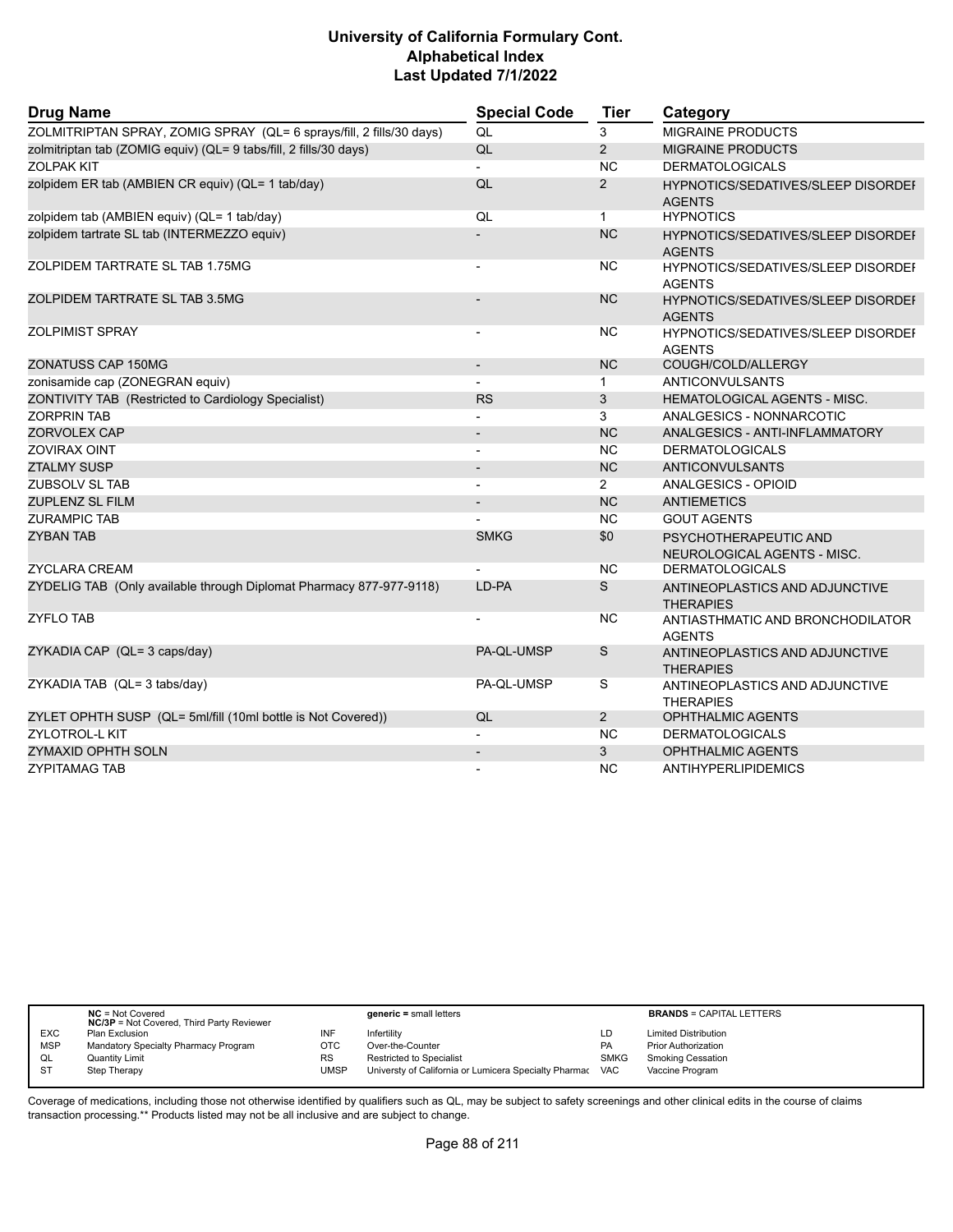| <b>Drug Name</b>                                                     | <b>Special Code</b>      | <b>Tier</b>    | Category                                                   |
|----------------------------------------------------------------------|--------------------------|----------------|------------------------------------------------------------|
| ZOLMITRIPTAN SPRAY, ZOMIG SPRAY (QL= 6 sprays/fill, 2 fills/30 days) | QL                       | 3              | <b>MIGRAINE PRODUCTS</b>                                   |
| zolmitriptan tab (ZOMIG equiv) (QL= 9 tabs/fill, 2 fills/30 days)    | QL                       | $\overline{2}$ | <b>MIGRAINE PRODUCTS</b>                                   |
| <b>ZOLPAK KIT</b>                                                    |                          | <b>NC</b>      | <b>DERMATOLOGICALS</b>                                     |
| zolpidem ER tab (AMBIEN CR equiv) (QL= 1 tab/day)                    | QL                       | $\overline{2}$ | HYPNOTICS/SEDATIVES/SLEEP DISORDEF<br><b>AGENTS</b>        |
| zolpidem tab (AMBIEN equiv) (QL= 1 tab/day)                          | QL                       | $\mathbf{1}$   | <b>HYPNOTICS</b>                                           |
| zolpidem tartrate SL tab (INTERMEZZO equiv)                          |                          | <b>NC</b>      | <b>HYPNOTICS/SEDATIVES/SLEEP DISORDEF</b><br><b>AGENTS</b> |
| ZOLPIDEM TARTRATE SL TAB 1.75MG                                      | $\blacksquare$           | <b>NC</b>      | <b>HYPNOTICS/SEDATIVES/SLEEP DISORDEF</b><br><b>AGENTS</b> |
| ZOLPIDEM TARTRATE SL TAB 3.5MG                                       |                          | <b>NC</b>      | <b>HYPNOTICS/SEDATIVES/SLEEP DISORDEF</b><br><b>AGENTS</b> |
| <b>ZOLPIMIST SPRAY</b>                                               |                          | <b>NC</b>      | <b>HYPNOTICS/SEDATIVES/SLEEP DISORDEF</b><br><b>AGENTS</b> |
| ZONATUSS CAP 150MG                                                   |                          | <b>NC</b>      | COUGH/COLD/ALLERGY                                         |
| zonisamide cap (ZONEGRAN equiv)                                      |                          | $\mathbf{1}$   | <b>ANTICONVULSANTS</b>                                     |
| ZONTIVITY TAB (Restricted to Cardiology Specialist)                  | <b>RS</b>                | 3              | HEMATOLOGICAL AGENTS - MISC.                               |
| <b>ZORPRIN TAB</b>                                                   |                          | 3              | ANALGESICS - NONNARCOTIC                                   |
| <b>ZORVOLEX CAP</b>                                                  | $\blacksquare$           | <b>NC</b>      | ANALGESICS - ANTI-INFLAMMATORY                             |
| <b>ZOVIRAX OINT</b>                                                  |                          | <b>NC</b>      | <b>DERMATOLOGICALS</b>                                     |
| <b>ZTALMY SUSP</b>                                                   |                          | <b>NC</b>      | ANTICONVULSANTS                                            |
| <b>ZUBSOLV SL TAB</b>                                                |                          | $\overline{2}$ | ANALGESICS - OPIOID                                        |
| <b>ZUPLENZ SL FILM</b>                                               | $\blacksquare$           | <b>NC</b>      | <b>ANTIEMETICS</b>                                         |
| <b>ZURAMPIC TAB</b>                                                  |                          | N <sub>C</sub> | <b>GOUT AGENTS</b>                                         |
| <b>ZYBAN TAB</b>                                                     | <b>SMKG</b>              | \$0            | PSYCHOTHERAPEUTIC AND<br>NEUROLOGICAL AGENTS - MISC.       |
| <b>ZYCLARA CREAM</b>                                                 |                          | <b>NC</b>      | <b>DERMATOLOGICALS</b>                                     |
| ZYDELIG TAB (Only available through Diplomat Pharmacy 877-977-9118)  | LD-PA                    | S              | ANTINEOPLASTICS AND ADJUNCTIVE<br><b>THERAPIES</b>         |
| <b>ZYFLO TAB</b>                                                     |                          | <b>NC</b>      | ANTIASTHMATIC AND BRONCHODILATOR<br><b>AGENTS</b>          |
| ZYKADIA CAP (QL= 3 caps/day)                                         | PA-QL-UMSP               | S              | ANTINEOPLASTICS AND ADJUNCTIVE<br><b>THERAPIES</b>         |
| ZYKADIA TAB (QL= 3 tabs/day)                                         | PA-QL-UMSP               | S              | ANTINEOPLASTICS AND ADJUNCTIVE<br><b>THERAPIES</b>         |
| ZYLET OPHTH SUSP (QL= 5ml/fill (10ml bottle is Not Covered))         | QL                       | $\overline{2}$ | <b>OPHTHALMIC AGENTS</b>                                   |
| <b>ZYLOTROL-L KIT</b>                                                |                          | <b>NC</b>      | <b>DERMATOLOGICALS</b>                                     |
| ZYMAXID OPHTH SOLN                                                   | $\overline{\phantom{a}}$ | 3              | <b>OPHTHALMIC AGENTS</b>                                   |
| <b>ZYPITAMAG TAB</b>                                                 | $\blacksquare$           | <b>NC</b>      | <b>ANTIHYPERLIPIDEMICS</b>                                 |

|            | $NC = Not Covered$<br><b>NC/3P</b> = Not Covered, Third Party Reviewer |           | $generic = small letters$                                 |             | <b>BRANDS = CAPITAL LETTERS</b> |
|------------|------------------------------------------------------------------------|-----------|-----------------------------------------------------------|-------------|---------------------------------|
| <b>EXC</b> | <b>Plan Exclusion</b>                                                  | INF       | Infertilitv                                               | LD          | <b>Limited Distribution</b>     |
| <b>MSP</b> | Mandatory Specialty Pharmacy Program                                   | OTC       | Over-the-Counter                                          | <b>PA</b>   | <b>Prior Authorization</b>      |
| QL         | Quantity Limit                                                         | <b>RS</b> | Restricted to Specialist                                  | <b>SMKG</b> | <b>Smoking Cessation</b>        |
| <b>ST</b>  | Step Therapy                                                           | UMSP      | Universty of California or Lumicera Specialty Pharmac VAC |             | Vaccine Program                 |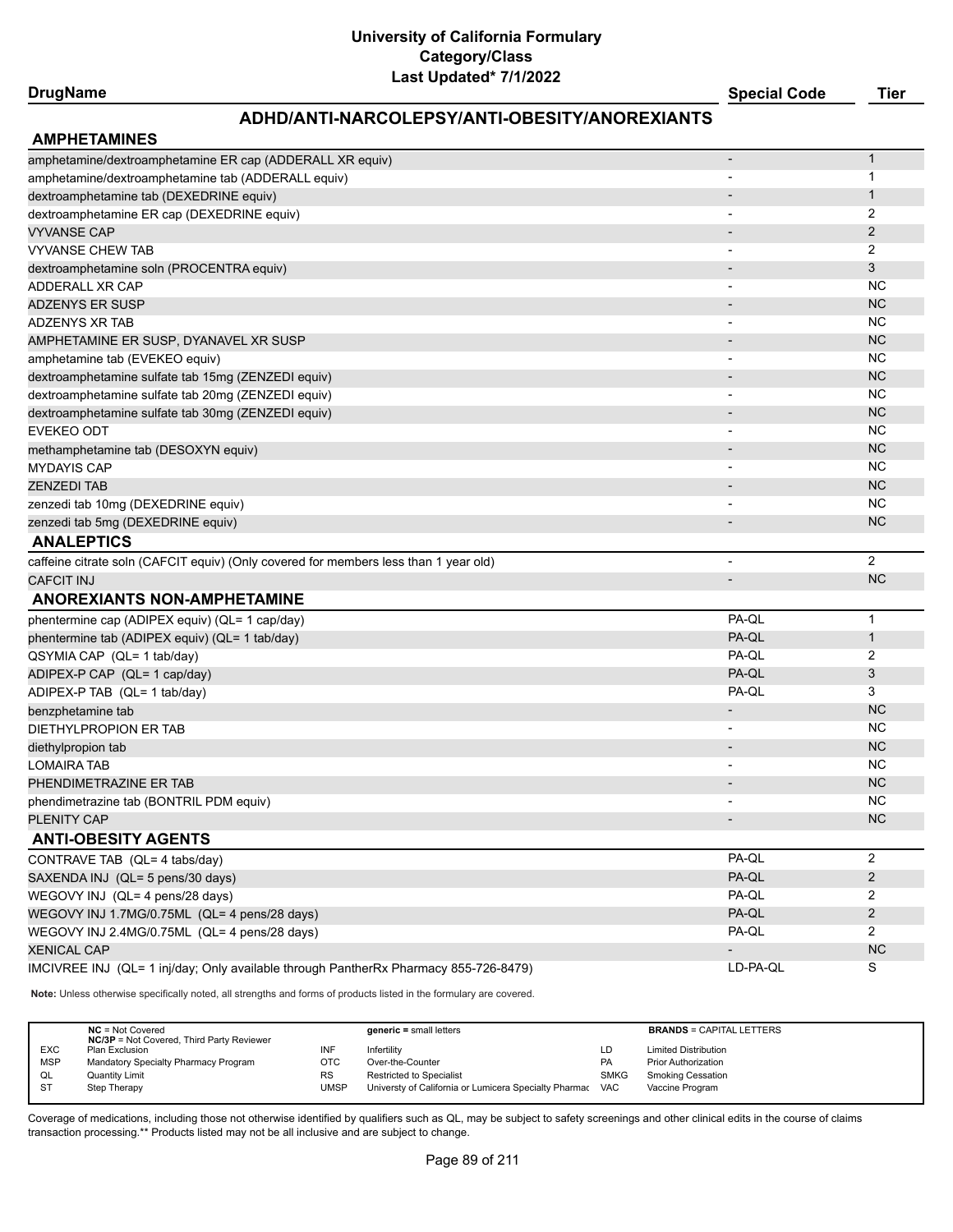#### **DrugName Special Code Tier**

## **ADHD/ANTI-NARCOLEPSY/ANTI-OBESITY/ANOREXIANTS**

| amphetamine/dextroamphetamine ER cap (ADDERALL XR equiv)                             |                              | $\mathbf{1}$   |
|--------------------------------------------------------------------------------------|------------------------------|----------------|
| amphetamine/dextroamphetamine tab (ADDERALL equiv)                                   |                              | 1              |
| dextroamphetamine tab (DEXEDRINE equiv)                                              |                              | 1              |
| dextroamphetamine ER cap (DEXEDRINE equiv)                                           |                              | 2              |
| <b>VYVANSE CAP</b>                                                                   |                              | 2              |
| <b>VYVANSE CHEW TAB</b>                                                              |                              | 2              |
| dextroamphetamine soln (PROCENTRA equiv)                                             | $\overline{\phantom{a}}$     | 3              |
| ADDERALL XR CAP                                                                      | $\overline{\phantom{a}}$     | NC.            |
| <b>ADZENYS ER SUSP</b>                                                               | $\overline{\phantom{a}}$     | <b>NC</b>      |
| <b>ADZENYS XR TAB</b>                                                                | $\overline{\phantom{a}}$     | <b>NC</b>      |
| AMPHETAMINE ER SUSP, DYANAVEL XR SUSP                                                | $\overline{\phantom{a}}$     | <b>NC</b>      |
| amphetamine tab (EVEKEO equiv)                                                       | $\overline{\phantom{a}}$     | <b>NC</b>      |
| dextroamphetamine sulfate tab 15mg (ZENZEDI equiv)                                   | $\overline{\phantom{a}}$     | <b>NC</b>      |
| dextroamphetamine sulfate tab 20mg (ZENZEDI equiv)                                   |                              | <b>NC</b>      |
| dextroamphetamine sulfate tab 30mg (ZENZEDI equiv)                                   |                              | <b>NC</b>      |
| <b>EVEKEO ODT</b>                                                                    | $\blacksquare$               | NC.            |
| methamphetamine tab (DESOXYN equiv)                                                  | $\overline{\phantom{a}}$     | <b>NC</b>      |
| <b>MYDAYIS CAP</b>                                                                   |                              | NC.            |
| <b>ZENZEDI TAB</b>                                                                   |                              | <b>NC</b>      |
| zenzedi tab 10mg (DEXEDRINE equiv)                                                   | $\overline{\phantom{a}}$     | NC.            |
| zenzedi tab 5mg (DEXEDRINE equiv)                                                    | $\qquad \qquad \blacksquare$ | <b>NC</b>      |
| <b>ANALEPTICS</b>                                                                    |                              |                |
| caffeine citrate soln (CAFCIT equiv) (Only covered for members less than 1 year old) |                              | $\overline{2}$ |
|                                                                                      |                              |                |
| <b>CAFCIT INJ</b>                                                                    | $\overline{\phantom{a}}$     | <b>NC</b>      |
| <b>ANOREXIANTS NON-AMPHETAMINE</b>                                                   |                              |                |
| phentermine cap (ADIPEX equiv) (QL= 1 cap/day)                                       | PA-QL                        | 1              |
| phentermine tab (ADIPEX equiv) (QL= 1 tab/day)                                       | PA-QL                        | $\mathbf{1}$   |
| QSYMIA CAP (QL= 1 tab/day)                                                           | PA-QL                        | 2              |
| ADIPEX-P CAP (QL= 1 cap/day)                                                         | PA-QL                        | 3              |
| ADIPEX-P TAB (QL= 1 tab/day)                                                         | PA-QL                        | 3              |
| benzphetamine tab                                                                    | $\overline{\phantom{a}}$     | <b>NC</b>      |
| DIETHYLPROPION ER TAB                                                                |                              | NC.            |
| diethylpropion tab                                                                   | $\overline{\phantom{a}}$     | <b>NC</b>      |
| <b>LOMAIRA TAB</b>                                                                   | $\overline{\phantom{a}}$     | NC.            |
| PHENDIMETRAZINE ER TAB                                                               |                              | <b>NC</b>      |
| phendimetrazine tab (BONTRIL PDM equiv)                                              |                              | NC.            |
| <b>PLENITY CAP</b>                                                                   |                              | <b>NC</b>      |
| <b>ANTI-OBESITY AGENTS</b>                                                           |                              |                |
| CONTRAVE TAB (QL= 4 tabs/day)                                                        | PA-QL                        | $\overline{2}$ |
| SAXENDA INJ (QL= 5 pens/30 days)                                                     | PA-QL                        | $\overline{c}$ |
| WEGOVY INJ (QL= 4 pens/28 days)                                                      | PA-QL                        | $\overline{c}$ |
| WEGOVY INJ 1.7MG/0.75ML (QL= 4 pens/28 days)                                         | PA-QL                        | $\overline{2}$ |
| WEGOVY INJ 2.4MG/0.75ML (QL= 4 pens/28 days)                                         | PA-QL                        | $\overline{2}$ |
| <b>XENICAL CAP</b>                                                                   |                              | ${\sf NC}$     |

**Note:** Unless otherwise specifically noted, all strengths and forms of products listed in the formulary are covered.

|            | $NC = Not Covered$<br><b>NC/3P</b> = Not Covered, Third Party Reviewer |      | $generic = small letters$                                 |             | <b>BRANDS = CAPITAL LETTERS</b> |
|------------|------------------------------------------------------------------------|------|-----------------------------------------------------------|-------------|---------------------------------|
| <b>EXC</b> | Plan Exclusion                                                         |      | Infertility                                               | LD          | <b>Limited Distribution</b>     |
| <b>MSP</b> | Mandatory Specialty Pharmacy Program                                   | отс  | Over-the-Counter                                          | <b>PA</b>   | <b>Prior Authorization</b>      |
| QL         | <b>Quantity Limit</b>                                                  | RS   | Restricted to Specialist                                  | <b>SMKG</b> | Smoking Cessation               |
| <b>ST</b>  | Step Therapy                                                           | UMSP | Universty of California or Lumicera Specialty Pharmac VAC |             | Vaccine Program                 |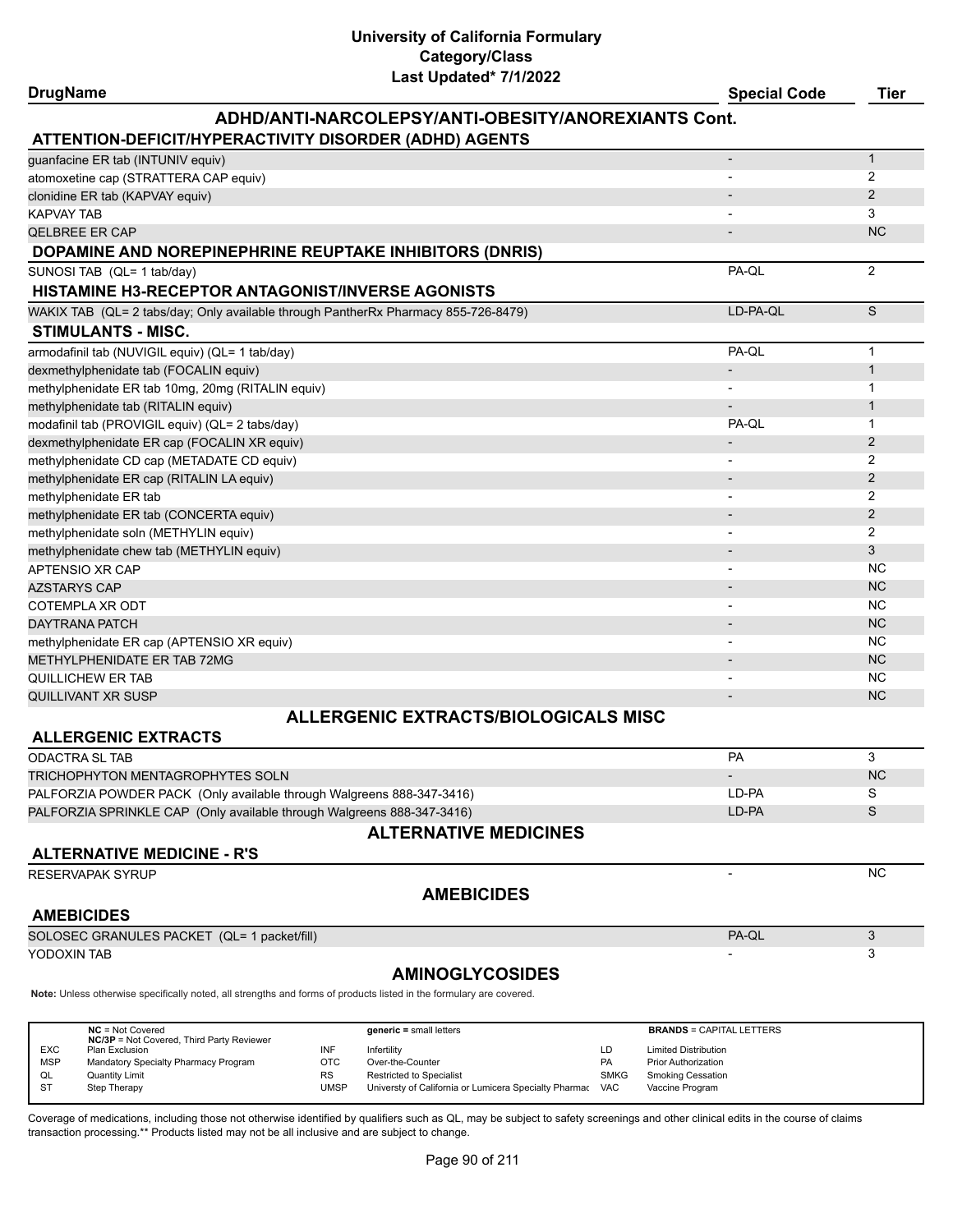#### **DrugName Special Code Tier ADHD/ANTI-NARCOLEPSY/ANTI-OBESITY/ANOREXIANTS Cont. ATTENTION-DEFICIT/HYPERACTIVITY DISORDER (ADHD) AGENTS** guanfacine ER tab (INTUNIV equiv) - 1 atomoxetine cap (STRATTERA CAP equiv) 2 clonidine ER tab (KAPVAY equiv) - 2 A Control of the Control of the Control of the Control of the Control of the Control of the Control of the Control of the Control of the Control of the Control of the Control of the Cont KAPVAY TAB - 3 OELBREE ER CAP - NC NOT HER CAP - NC NOT HER CAPITAL AND HER CAPITAL AND HER CAPITAL AND HER CAPITAL AND NOT H **DOPAMINE AND NOREPINEPHRINE REUPTAKE INHIBITORS (DNRIS)** SUNOSI TAB (QL= 1 tab/day) PA-QL 2 **HISTAMINE H3-RECEPTOR ANTAGONIST/INVERSE AGONISTS** WAKIX TAB (QL= 2 tabs/day; Only available through PantherRx Pharmacy 855-726-8479) LO-PA-QL LD-PA-QL S **STIMULANTS - MISC.** armodafinil tab (NUVIGIL equiv) (QL= 1 tab/day) and the state of the state of the state of the PA-QL 1 dexmethylphenidate tab (FOCALIN equiv) and the control of the control of the control of the control of the control of the control of the control of the control of the control of the control of the control of the control of methylphenidate ER tab 10mg, 20mg (RITALIN equiv) - 1 methylphenidate tab (RITALIN equiv) - 1 modafinil tab (PROVIGIL equiv) (QL= 2 tabs/day) and the control of the control of the control of the control of the control of the control of the control of the control of the control of the control of the control of the c dexmethylphenidate ER cap (FOCALIN XR equiv) - 2 methylphenidate CD cap (METADATE CD equiv) - 2 methylphenidate ER cap (RITALIN LA equiv) - 2 methylphenidate ER tab - 22 and 22 and 23 and 23 and 23 and 23 and 23 and 23 and 23 and 24 and 25 and 25 and 25 and 26 and 26 and 26 and 26 and 26 and 26 and 26 and 26 and 26 and 26 and 26 and 26 and 26 and 26 and 26 and 2 methylphenidate ER tab (CONCERTA equiv) - 2 and 2 and 2 and 2 and 2 and 2 and 2 and 2 and 2 and 2 and 2 and 2 and 2 and 2 and 2 and 2 and 2 and 2 and 2 and 2 and 2 and 2 and 2 and 2 and 2 and 2 and 2 and 2 and 2 and 2 and methylphenidate soln (METHYLIN equiv) - 2 methylphenidate chew tab (METHYLIN equiv) - 3 APTENSIO XR CAP - NC NORTH - NC NORTH - NC NORTH - NC NORTH - NC NORTH - NC NORTH - NC NORTH - NC NORTH - NC NO AZSTARYS CAP - NC COTEMPLA XR ODT AND THE SERVICE OF THE SERVICE OF THE SERVICE OF THE SERVICE OF THE SERVICE OF THE SERVICE OF THE SERVICE OF THE SERVICE OF THE SERVICE OF THE SERVICE OF THE SERVICE OF THE SERVICE OF THE SERVICE OF THE SER den and the second state of the second state of the second state of the second state  $\sim$  NC  $\,$  NC  $\,$ methylphenidate ER cap (APTENSIO XR equiv) and the control of the control of the control of the control of the control of the control of the control of the control of the control of the control of the control of the contro

#### **ALLERGENIC EXTRACTS/BIOLOGICALS MISC**

METHYLPHENIDATE ER TAB 72MG - NEW YORK HERE I AND THE STATE OF THE STATE OF THE STATE OF THE STATE OF THE STATE OF THE STATE OF THE STATE OF THE STATE OF THE STATE OF THE STATE OF THE STATE OF THE STATE OF THE STATE OF THE QUILLICHEW ER TAB - NC NOTES AND THE SERVICE OF THE SERVICE OF THE SERVICE OF THE SERVICE OF THE SERVICE OF THE SERVICE OF THE SERVICE OF THE SERVICE OF THE SERVICE OF THE SERVICE OF THE SERVICE OF THE SERVICE OF THE SERVI QUILLIVANT XR SUSP AND RELEASED FOR THE SUSPENSION OF THE SUSPENSION OF THE SUSPENSION OF THE SUSPENSION OF THE SUSPENSION OF THE SUSPENSION OF THE SUSPENSION OF THE SUSPENSION OF THE SUSPENSION OF THE SUSPENSION OF THE SU

| <b>ALLERGENIC EXTRACTS</b>                                             |       |     |
|------------------------------------------------------------------------|-------|-----|
| ODACTRA SL TAB                                                         | PA    |     |
| TRICHOPHYTON MENTAGROPHYTES SOLN                                       |       | NC. |
| PALFORZIA POWDER PACK (Only available through Walgreens 888-347-3416)  | LD-PA |     |
| PALFORZIA SPRINKLE CAP (Only available through Walgreens 888-347-3416) | LD-PA |     |
| <b>ALTERNATIVE MEDICINES</b>                                           |       |     |

#### **ALTERNATIVE MEDICINE - R'S**

RESERVAPAK SYRUP - NC

#### **AMEBICIDES**

**AMEBICIDES**

#### SOLOSEC GRANULES PACKET (QL= 1 packet/fill) PA-QL 3 YODOXIN TAB - 3

#### **AMINOGLYCOSIDES**

**Note:** Unless otherwise specifically noted, all strengths and forms of products listed in the formulary are covered.

|            | $NC = Not Covered$<br><b>NC/3P</b> = Not Covered, Third Party Reviewer |           | $generic = small letters$                             |             | <b>BRANDS = CAPITAL LETTERS</b> |
|------------|------------------------------------------------------------------------|-----------|-------------------------------------------------------|-------------|---------------------------------|
| <b>EXC</b> | Plan Exclusion                                                         | INF       | Infertility                                           | LD          | <b>Limited Distribution</b>     |
| <b>MSP</b> | Mandatory Specialty Pharmacy Program                                   | отс       | Over-the-Counter                                      | PA          | <b>Prior Authorization</b>      |
| QL         | <b>Quantity Limit</b>                                                  | <b>RS</b> | <b>Restricted to Specialist</b>                       | <b>SMKG</b> | <b>Smoking Cessation</b>        |
| <b>ST</b>  | Step Therapy                                                           | UMSP      | Universty of California or Lumicera Specialty Pharmac | <b>VAC</b>  | Vaccine Program                 |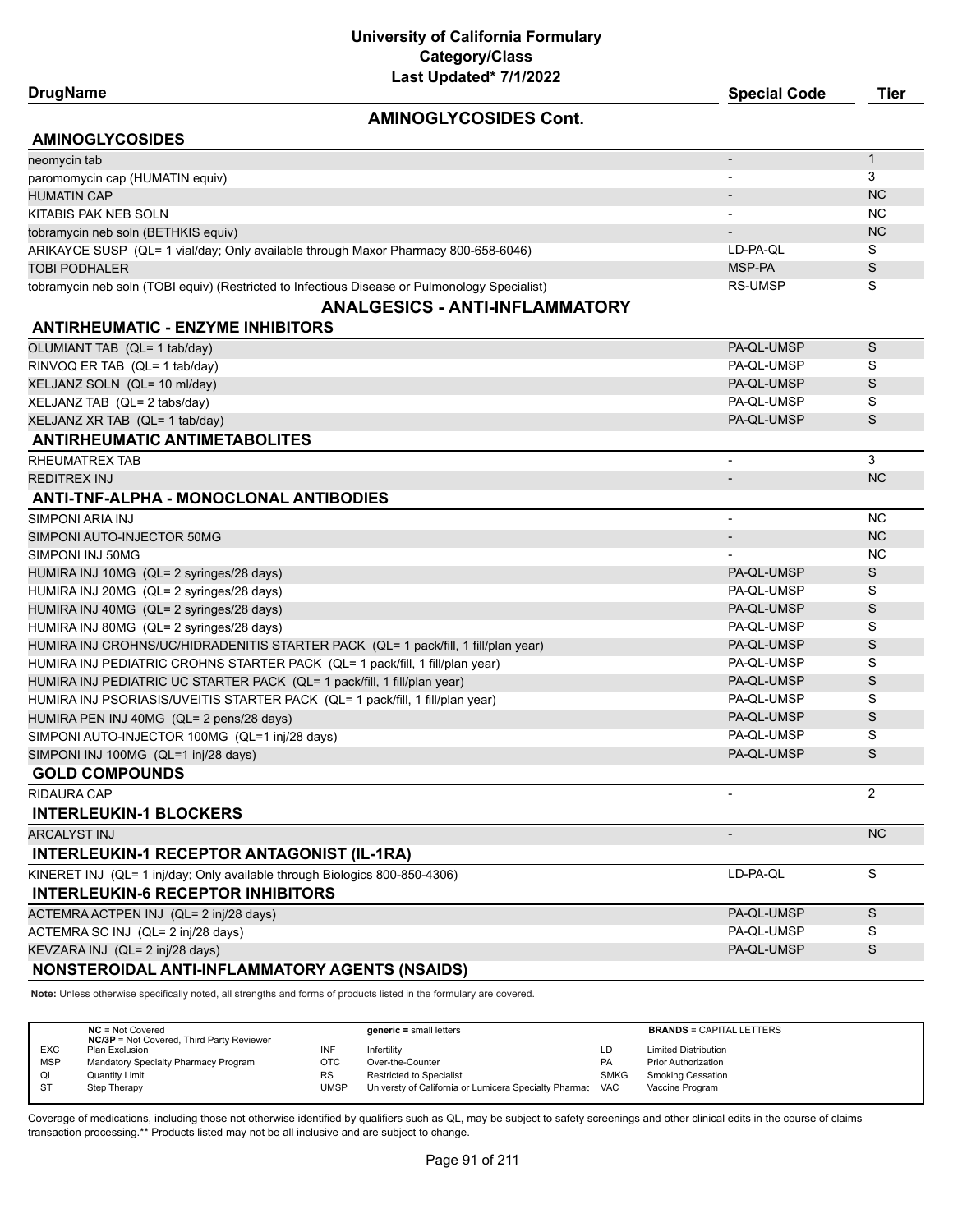## **DrugName Special Code Tier**

#### **AMINOGLYCOSIDES Cont.**

| <b>AMINOGLYCOSIDES</b>                                                                        |                          |              |
|-----------------------------------------------------------------------------------------------|--------------------------|--------------|
| neomycin tab                                                                                  |                          | $\mathbf{1}$ |
| paromomycin cap (HUMATIN equiv)                                                               |                          | 3            |
| <b>HUMATIN CAP</b>                                                                            |                          | <b>NC</b>    |
| KITABIS PAK NEB SOLN                                                                          |                          | <b>NC</b>    |
| tobramycin neb soln (BETHKIS equiv)                                                           |                          | <b>NC</b>    |
| ARIKAYCE SUSP (QL= 1 vial/day; Only available through Maxor Pharmacy 800-658-6046)            | LD-PA-QL                 | S            |
| <b>TOBI PODHALER</b>                                                                          | MSP-PA                   | S            |
| tobramycin neb soln (TOBI equiv) (Restricted to Infectious Disease or Pulmonology Specialist) | <b>RS-UMSP</b>           | S            |
| <b>ANALGESICS - ANTI-INFLAMMATORY</b>                                                         |                          |              |
| <b>ANTIRHEUMATIC - ENZYME INHIBITORS</b>                                                      |                          |              |
| OLUMIANT TAB (QL= 1 tab/day)                                                                  | PA-QL-UMSP               | S            |
| RINVOQ ER TAB (QL= 1 tab/day)                                                                 | PA-QL-UMSP               | S            |
| XELJANZ SOLN (QL= 10 ml/day)                                                                  | PA-QL-UMSP               | S            |
| XELJANZ TAB (QL= 2 tabs/day)                                                                  | PA-QL-UMSP               | S            |
| XELJANZ XR TAB (QL= 1 tab/day)                                                                | PA-QL-UMSP               | S            |
| <b>ANTIRHEUMATIC ANTIMETABOLITES</b>                                                          |                          |              |
| RHEUMATREX TAB                                                                                | $\overline{\phantom{a}}$ | 3            |
| <b>REDITREX INJ</b>                                                                           |                          | <b>NC</b>    |
| ANTI-TNF-ALPHA - MONOCLONAL ANTIBODIES                                                        |                          |              |
| SIMPONI ARIA INJ                                                                              | $\overline{a}$           | <b>NC</b>    |
| SIMPONI AUTO-INJECTOR 50MG                                                                    | $\overline{\phantom{a}}$ | <b>NC</b>    |
| SIMPONI INJ 50MG                                                                              |                          | <b>NC</b>    |
| HUMIRA INJ 10MG (QL= 2 syringes/28 days)                                                      | PA-QL-UMSP               | S            |
| HUMIRA INJ 20MG (QL= 2 syringes/28 days)                                                      | PA-QL-UMSP               | S            |
| HUMIRA INJ 40MG (QL= 2 syringes/28 days)                                                      | PA-QL-UMSP               | S            |
| HUMIRA INJ 80MG (QL= 2 syringes/28 days)                                                      | PA-QL-UMSP               | S            |
| HUMIRA INJ CROHNS/UC/HIDRADENITIS STARTER PACK (QL= 1 pack/fill, 1 fill/plan year)            | PA-QL-UMSP               | S            |
| HUMIRA INJ PEDIATRIC CROHNS STARTER PACK (QL= 1 pack/fill, 1 fill/plan year)                  | PA-QL-UMSP               | S            |
| HUMIRA INJ PEDIATRIC UC STARTER PACK (QL= 1 pack/fill, 1 fill/plan year)                      | PA-QL-UMSP               | S            |
| HUMIRA INJ PSORIASIS/UVEITIS STARTER PACK (QL= 1 pack/fill, 1 fill/plan year)                 | PA-QL-UMSP               | S            |
| HUMIRA PEN INJ 40MG (QL= 2 pens/28 days)                                                      | PA-QL-UMSP               | S            |
| SIMPONI AUTO-INJECTOR 100MG (QL=1 inj/28 days)                                                | PA-OL-UMSP               | S            |
| SIMPONI INJ 100MG (QL=1 inj/28 days)                                                          | PA-QL-UMSP               | S            |
| <b>GOLD COMPOUNDS</b>                                                                         |                          |              |
| RIDAURA CAP                                                                                   |                          | 2            |
| <b>INTERLEUKIN-1 BLOCKERS</b>                                                                 |                          |              |
| <b>ARCALYST INJ</b>                                                                           |                          | <b>NC</b>    |
| <b>INTERLEUKIN-1 RECEPTOR ANTAGONIST (IL-1RA)</b>                                             |                          |              |
| KINERET INJ (QL= 1 inj/day; Only available through Biologics 800-850-4306)                    | LD-PA-QL                 | S            |
| <b>INTERLEUKIN-6 RECEPTOR INHIBITORS</b>                                                      |                          |              |
| ACTEMRA ACTPEN INJ (QL= 2 inj/28 days)                                                        | PA-QL-UMSP               | S            |
| ACTEMRA SC INJ (QL= 2 inj/28 days)                                                            | PA-QL-UMSP               | S            |
| KEVZARA INJ (QL= 2 inj/28 days)                                                               | PA-QL-UMSP               | S            |
| NONSTEROIDAL ANTI-INFLAMMATORY AGENTS (NSAIDS)                                                |                          |              |

**Note:** Unless otherwise specifically noted, all strengths and forms of products listed in the formulary are covered.

|            | $NC = Not Covered$<br><b>NC/3P</b> = Not Covered, Third Party Reviewer |             | $generic = small letters$                             |             | <b>BRANDS = CAPITAL LETTERS</b> |
|------------|------------------------------------------------------------------------|-------------|-------------------------------------------------------|-------------|---------------------------------|
| <b>EXC</b> | Plan Exclusion                                                         | INF         | Infertilitv                                           | LD          | <b>Limited Distribution</b>     |
| <b>MSP</b> | Mandatory Specialty Pharmacy Program                                   | ОТС         | Over-the-Counter                                      | <b>PA</b>   | <b>Prior Authorization</b>      |
| QL         | <b>Quantity Limit</b>                                                  | <b>RS</b>   | <b>Restricted to Specialist</b>                       | <b>SMKG</b> | Smoking Cessation               |
| -ST        | Step Therapy                                                           | <b>UMSP</b> | Universty of California or Lumicera Specialty Pharmac | <b>VAC</b>  | Vaccine Program                 |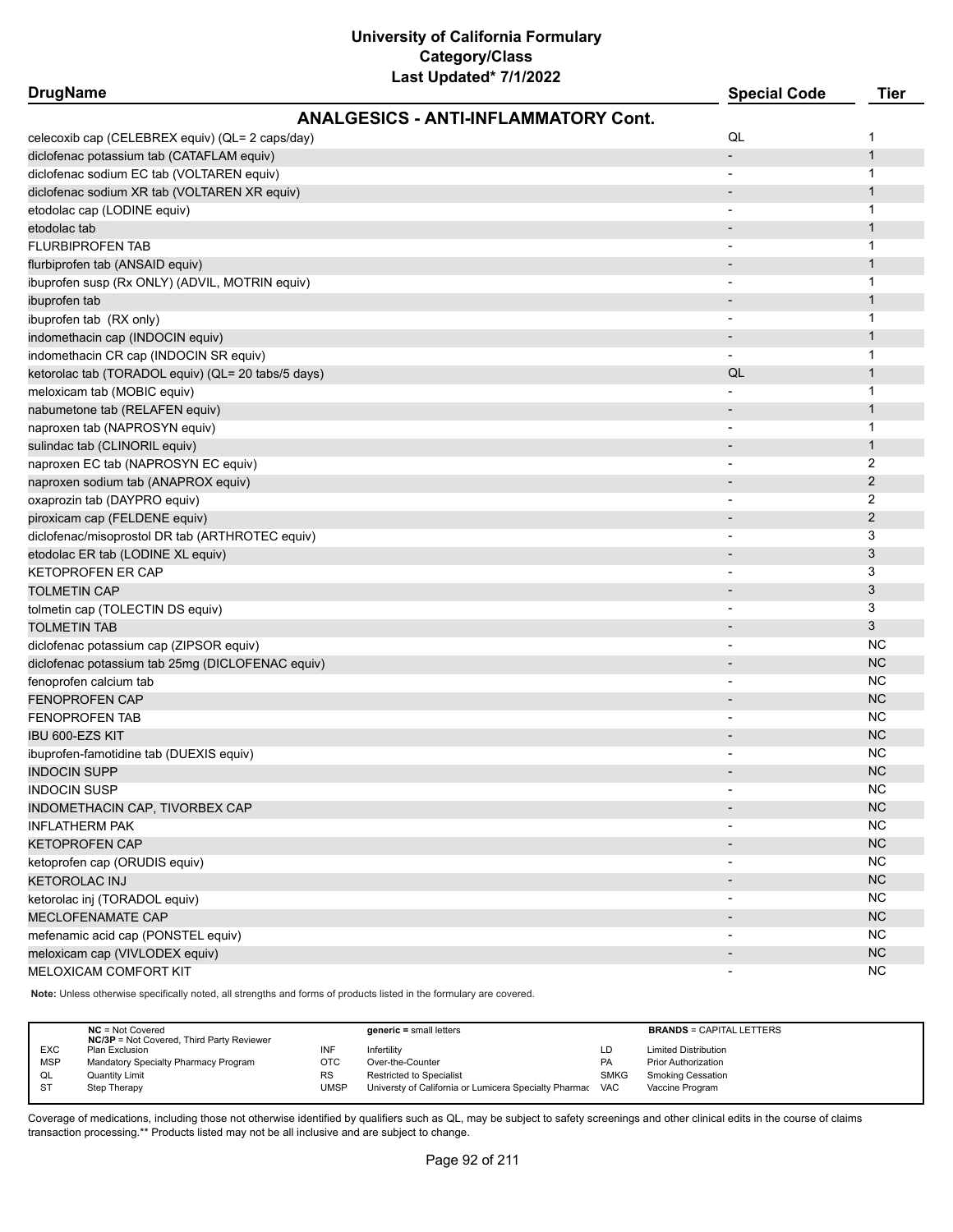| <b>DrugName</b>                                    |                                             | <b>Special Code</b>      | <b>Tier</b>  |
|----------------------------------------------------|---------------------------------------------|--------------------------|--------------|
|                                                    | <b>ANALGESICS - ANTI-INFLAMMATORY Cont.</b> |                          |              |
| celecoxib cap (CELEBREX equiv) (QL= 2 caps/day)    |                                             | QL                       | 1            |
| diclofenac potassium tab (CATAFLAM equiv)          |                                             |                          | $\mathbf{1}$ |
| diclofenac sodium EC tab (VOLTAREN equiv)          |                                             | $\overline{\phantom{a}}$ | $\mathbf{1}$ |
| diclofenac sodium XR tab (VOLTAREN XR equiv)       |                                             |                          | 1            |
| etodolac cap (LODINE equiv)                        |                                             |                          | 1            |
| etodolac tab                                       |                                             |                          | $\mathbf{1}$ |
| <b>FLURBIPROFEN TAB</b>                            |                                             |                          | 1            |
| flurbiprofen tab (ANSAID equiv)                    |                                             |                          | $\mathbf{1}$ |
| ibuprofen susp (Rx ONLY) (ADVIL, MOTRIN equiv)     |                                             |                          | 1            |
| ibuprofen tab                                      |                                             |                          | $\mathbf{1}$ |
| ibuprofen tab (RX only)                            |                                             | $\overline{\phantom{a}}$ | 1            |
| indomethacin cap (INDOCIN equiv)                   |                                             |                          | $\mathbf{1}$ |
| indomethacin CR cap (INDOCIN SR equiv)             |                                             |                          | 1            |
| ketorolac tab (TORADOL equiv) (QL= 20 tabs/5 days) |                                             | QL                       | 1            |
| meloxicam tab (MOBIC equiv)                        |                                             |                          | 1            |
| nabumetone tab (RELAFEN equiv)                     |                                             |                          | $\mathbf{1}$ |
| naproxen tab (NAPROSYN equiv)                      |                                             |                          | 1            |
| sulindac tab (CLINORIL equiv)                      |                                             |                          | $\mathbf{1}$ |
| naproxen EC tab (NAPROSYN EC equiv)                |                                             | $\overline{\phantom{a}}$ | 2            |
| naproxen sodium tab (ANAPROX equiv)                |                                             |                          | 2            |
| oxaprozin tab (DAYPRO equiv)                       |                                             |                          | 2            |
| piroxicam cap (FELDENE equiv)                      |                                             |                          | 2            |
| diclofenac/misoprostol DR tab (ARTHROTEC equiv)    |                                             |                          | 3            |
| etodolac ER tab (LODINE XL equiv)                  |                                             |                          | 3            |
| KETOPROFEN ER CAP                                  |                                             |                          | 3            |
| <b>TOLMETIN CAP</b>                                |                                             |                          | 3            |
| tolmetin cap (TOLECTIN DS equiv)                   |                                             | $\overline{\phantom{a}}$ | 3            |
| <b>TOLMETIN TAB</b>                                |                                             |                          | 3            |
| diclofenac potassium cap (ZIPSOR equiv)            |                                             | $\overline{\phantom{a}}$ | NC           |
| diclofenac potassium tab 25mg (DICLOFENAC equiv)   |                                             |                          | <b>NC</b>    |
| fenoprofen calcium tab                             |                                             | $\overline{\phantom{a}}$ | NC           |
| <b>FENOPROFEN CAP</b>                              |                                             |                          | <b>NC</b>    |
| <b>FENOPROFEN TAB</b>                              |                                             |                          | NC.          |
| <b>IBU 600-EZS KIT</b>                             |                                             |                          | <b>NC</b>    |
| ibuprofen-famotidine tab (DUEXIS equiv)            |                                             |                          | NC           |
| <b>INDOCIN SUPP</b>                                |                                             |                          | <b>NC</b>    |
| INDOCIN SUSP                                       |                                             | $\overline{\phantom{a}}$ | <b>NC</b>    |
| INDOMETHACIN CAP, TIVORBEX CAP                     |                                             |                          | <b>NC</b>    |
| INFLATHERM PAK                                     |                                             |                          | <b>NC</b>    |
| <b>KETOPROFEN CAP</b>                              |                                             |                          | <b>NC</b>    |
| ketoprofen cap (ORUDIS equiv)                      |                                             |                          | <b>NC</b>    |
| <b>KETOROLAC INJ</b>                               |                                             |                          | <b>NC</b>    |
| ketorolac inj (TORADOL equiv)                      |                                             |                          | NC.          |
| MECLOFENAMATE CAP                                  |                                             |                          | <b>NC</b>    |
| mefenamic acid cap (PONSTEL equiv)                 |                                             | $\overline{\phantom{a}}$ | <b>NC</b>    |
| meloxicam cap (VIVLODEX equiv)                     |                                             | $\overline{\phantom{a}}$ | <b>NC</b>    |
| MELOXICAM COMFORT KIT                              |                                             | $\overline{\phantom{a}}$ | NC.          |

**Note:** Unless otherwise specifically noted, all strengths and forms of products listed in the formulary are covered.

|            | $NC = Not Covered$                               |           | $generic = small letters$                             |             | <b>BRANDS = CAPITAL LETTERS</b> |
|------------|--------------------------------------------------|-----------|-------------------------------------------------------|-------------|---------------------------------|
|            | <b>NC/3P</b> = Not Covered, Third Party Reviewer |           |                                                       |             |                                 |
| <b>EXC</b> | Plan Exclusion                                   | INF       | Infertility                                           | LD          | <b>Limited Distribution</b>     |
| <b>MSP</b> | Mandatory Specialty Pharmacy Program             | отс       | Over-the-Counter                                      | <b>PA</b>   | <b>Prior Authorization</b>      |
| QL         | <b>Quantity Limit</b>                            | <b>RS</b> | Restricted to Specialist                              | <b>SMKG</b> | <b>Smoking Cessation</b>        |
| <b>ST</b>  | Step Therapy                                     | UMSP      | Universty of California or Lumicera Specialty Pharmac | <b>VAC</b>  | Vaccine Program                 |
|            |                                                  |           |                                                       |             |                                 |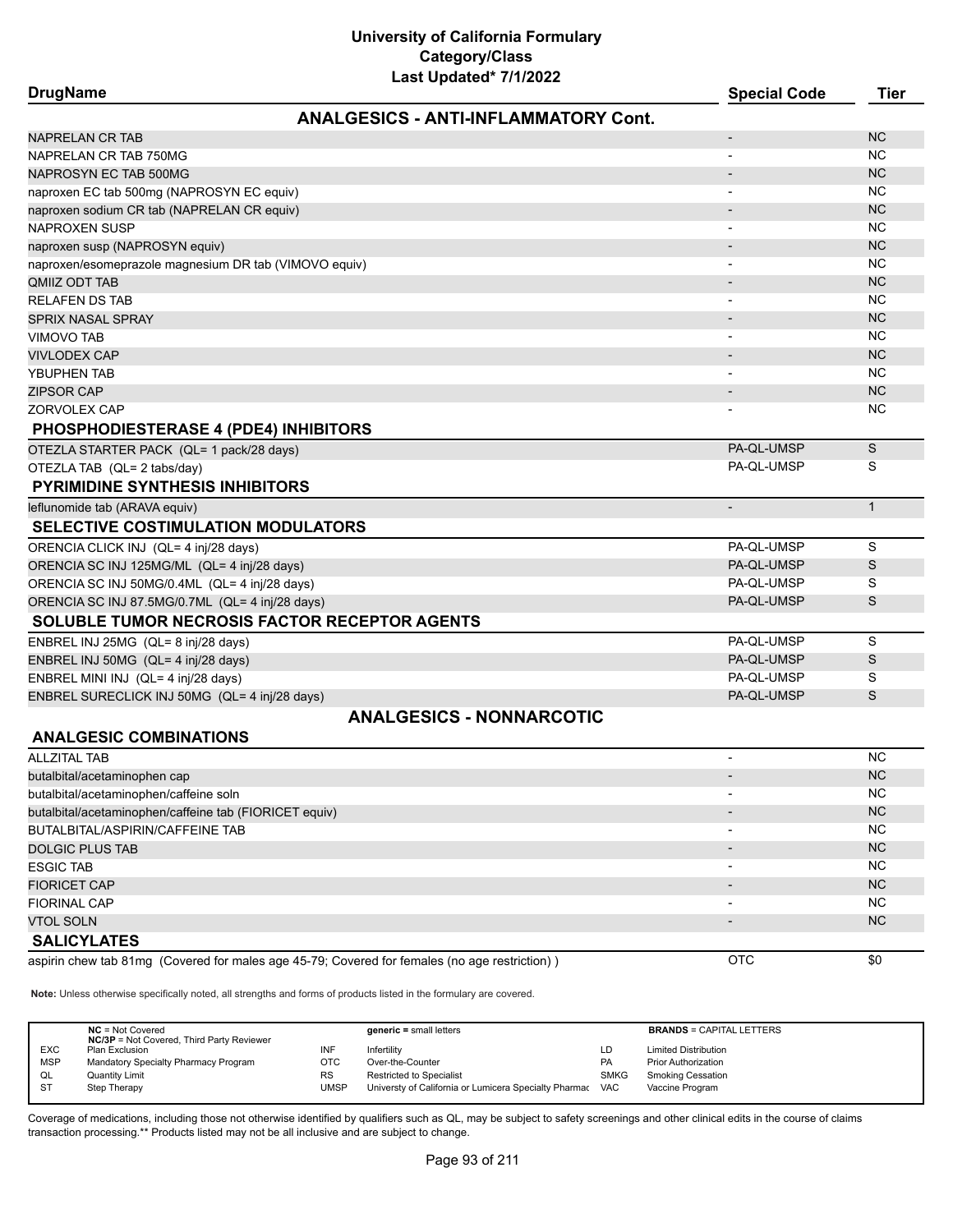| Last Updated <sup>*</sup> 7/1/2022<br><b>DrugName</b>  | <b>Special Code</b>      | Tier         |
|--------------------------------------------------------|--------------------------|--------------|
| <b>ANALGESICS - ANTI-INFLAMMATORY Cont.</b>            |                          |              |
|                                                        |                          |              |
| NAPRELAN CR TAB                                        | $\overline{a}$           | <b>NC</b>    |
| NAPRELAN CR TAB 750MG                                  |                          | <b>NC</b>    |
| NAPROSYN EC TAB 500MG                                  |                          | <b>NC</b>    |
| naproxen EC tab 500mg (NAPROSYN EC equiv)              |                          | <b>NC</b>    |
| naproxen sodium CR tab (NAPRELAN CR equiv)             |                          | <b>NC</b>    |
| <b>NAPROXEN SUSP</b>                                   | $\overline{\phantom{0}}$ | NC.          |
| naproxen susp (NAPROSYN equiv)                         |                          | <b>NC</b>    |
| naproxen/esomeprazole magnesium DR tab (VIMOVO equiv)  | ٠                        | <b>NC</b>    |
| QMIIZ ODT TAB                                          |                          | NC           |
| <b>RELAFEN DS TAB</b>                                  | $\overline{a}$           | <b>NC</b>    |
| <b>SPRIX NASAL SPRAY</b>                               |                          | <b>NC</b>    |
| VIMOVO TAB                                             |                          | NC.          |
| <b>VIVLODEX CAP</b>                                    |                          | <b>NC</b>    |
| YBUPHEN TAB                                            | ٠                        | <b>NC</b>    |
| <b>ZIPSOR CAP</b>                                      |                          | <b>NC</b>    |
| ZORVOLEX CAP                                           |                          | <b>NC</b>    |
| <b>PHOSPHODIESTERASE 4 (PDE4) INHIBITORS</b>           |                          |              |
| OTEZLA STARTER PACK (QL= 1 pack/28 days)               | PA-QL-UMSP               | S            |
| OTEZLA TAB (QL= 2 tabs/day)                            | PA-QL-UMSP               | S            |
| <b>PYRIMIDINE SYNTHESIS INHIBITORS</b>                 |                          |              |
| leflunomide tab (ARAVA equiv)                          |                          | $\mathbf{1}$ |
| <b>SELECTIVE COSTIMULATION MODULATORS</b>              |                          |              |
| ORENCIA CLICK INJ (QL= 4 inj/28 days)                  | PA-QL-UMSP               | S            |
| ORENCIA SC INJ 125MG/ML (QL= 4 inj/28 days)            | PA-QL-UMSP               | S            |
| ORENCIA SC INJ 50MG/0.4ML (QL= 4 inj/28 days)          | PA-QL-UMSP               | S            |
| ORENCIA SC INJ 87.5MG/0.7ML (QL= 4 inj/28 days)        | PA-QL-UMSP               | S            |
| <b>SOLUBLE TUMOR NECROSIS FACTOR RECEPTOR AGENTS</b>   |                          |              |
| ENBREL INJ 25MG (QL= 8 inj/28 days)                    | PA-QL-UMSP               | S            |
| ENBREL INJ 50MG (QL= 4 inj/28 days)                    | PA-QL-UMSP               | S            |
| ENBREL MINI INJ (QL= 4 inj/28 days)                    | PA-QL-UMSP               | S            |
| ENBREL SURECLICK INJ 50MG (QL= 4 inj/28 days)          | PA-QL-UMSP               | S            |
| <b>ANALGESICS - NONNARCOTIC</b>                        |                          |              |
| <b>ANALGESIC COMBINATIONS</b>                          |                          |              |
| <b>ALLZITAL TAB</b>                                    | $\overline{\phantom{a}}$ | <b>NC</b>    |
| butalbital/acetaminophen cap                           |                          | <b>NC</b>    |
| butalbital/acetaminophen/caffeine soln                 |                          | <b>NC</b>    |
| butalbital/acetaminophen/caffeine tab (FIORICET equiv) |                          | <b>NC</b>    |
|                                                        |                          |              |

BUTALBITAL/ASPIRIN/CAFFEINE TAB - NC DOLGIC PLUS TAB - NC NORTH AND THE RELEASED OF THE RELEASED OF THE RELEASED OF THE RELEASED OF THE RELEASED OF THE RELEASED OF THE RELEASED OF THE RELEASED OF THE RELEASED OF THE RELEASED OF THE RELEASED OF THE RELEASED OF ESGIC TAB - NC FIORICET CAP - NOTE AND THE RESERVE OF THE RESERVE OF THE RESERVE OF THE RESERVE OF THE RESERVE OF THE RESERVE FIORINAL CAP - NC VTOL SOLN $\blacksquare$ **SALICYLATES** aspirin chew tab 81mg (Covered for males age 45-79; Covered for females (no age restriction) ) OTC 0 0 0 0 0 \$0

**Note:** Unless otherwise specifically noted, all strengths and forms of products listed in the formulary are covered.

|            | $NC = Not Covered$<br><b>NC/3P</b> = Not Covered, Third Party Reviewer |             | $generic = small letters$                             |             | <b>BRANDS = CAPITAL LETTERS</b> |
|------------|------------------------------------------------------------------------|-------------|-------------------------------------------------------|-------------|---------------------------------|
| <b>EXC</b> | Plan Exclusion                                                         | INF         | Infertility                                           | LD          | <b>Limited Distribution</b>     |
| <b>MSP</b> | Mandatory Specialty Pharmacy Program                                   | OTC         | Over-the-Counter                                      | <b>PA</b>   | <b>Prior Authorization</b>      |
| QL         | <b>Quantity Limit</b>                                                  | <b>RS</b>   | Restricted to Specialist                              | <b>SMKG</b> | <b>Smoking Cessation</b>        |
| <b>ST</b>  | Step Therapy                                                           | <b>UMSP</b> | Universty of California or Lumicera Specialty Pharmac | <b>VAC</b>  | Vaccine Program                 |
|            |                                                                        |             |                                                       |             |                                 |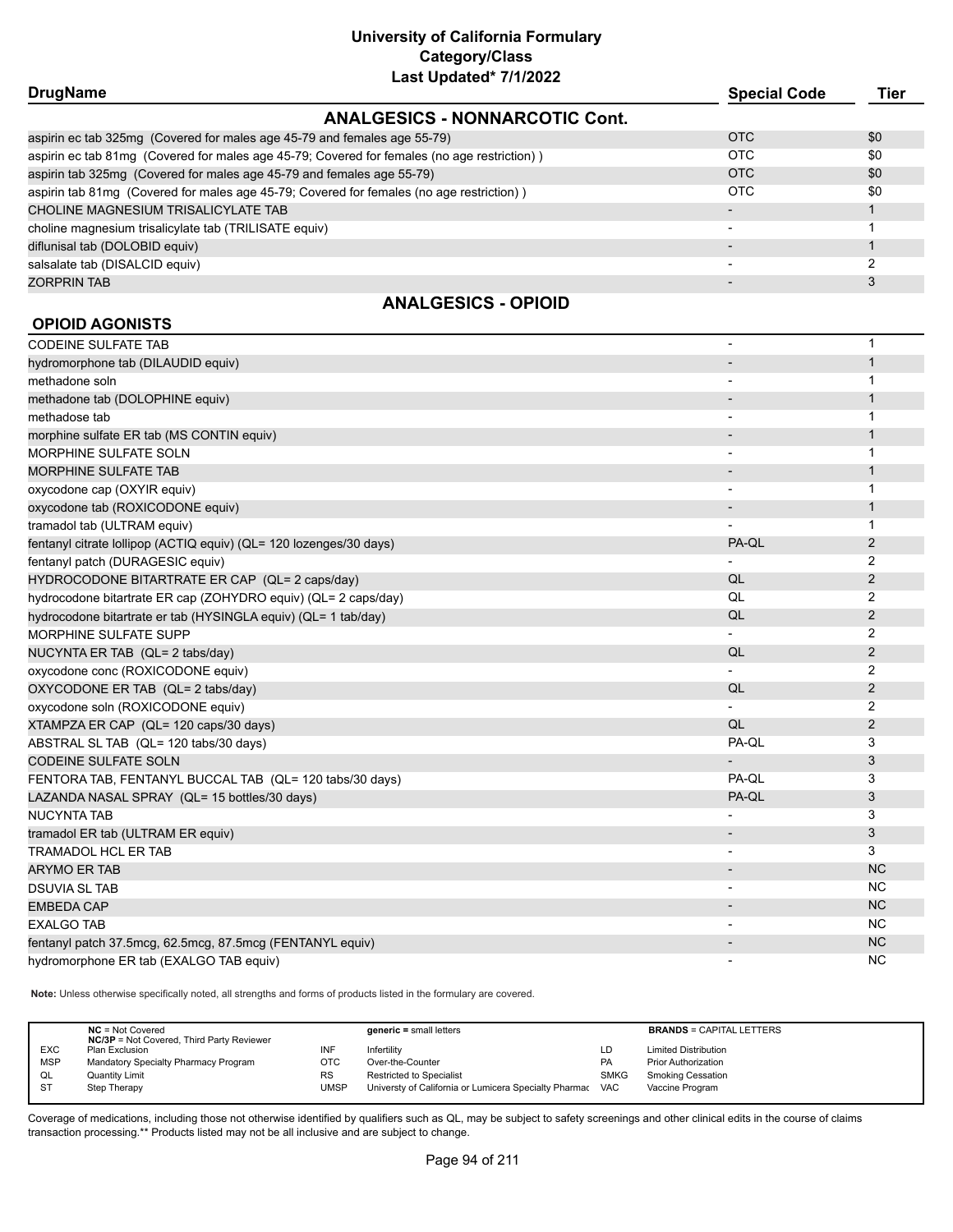| <b>DrugName</b>                                                                             | <b>Special Code</b> | Tier |
|---------------------------------------------------------------------------------------------|---------------------|------|
| <b>ANALGESICS - NONNARCOTIC Cont.</b>                                                       |                     |      |
| aspirin ec tab 325mg (Covered for males age 45-79 and females age 55-79)                    | <b>OTC</b>          | \$0  |
| aspirin ec tab 81mg (Covered for males age 45-79; Covered for females (no age restriction)) | OTC                 | \$0  |
| aspirin tab 325mg (Covered for males age 45-79 and females age 55-79)                       | <b>OTC</b>          | \$0  |
| aspirin tab 81mg (Covered for males age 45-79; Covered for females (no age restriction))    | OTC                 | \$0  |
| CHOLINE MAGNESIUM TRISALICYLATE TAB                                                         |                     |      |
| choline magnesium trisalicylate tab (TRILISATE equiv)                                       |                     |      |
| diflunisal tab (DOLOBID equiv)                                                              |                     |      |
| salsalate tab (DISALCID equiv)                                                              |                     |      |
| ZORPRIN TAB                                                                                 |                     |      |

## **ANALGESICS - OPIOID**

## **OPIOID AGONISTS**

| <b>CODEINE SULFATE TAB</b>                                         | ٠                        | $\mathbf{1}$   |
|--------------------------------------------------------------------|--------------------------|----------------|
| hydromorphone tab (DILAUDID equiv)                                 |                          | $\mathbf{1}$   |
| methadone soln                                                     |                          | 1              |
| methadone tab (DOLOPHINE equiv)                                    |                          | $\mathbf{1}$   |
| methadose tab                                                      |                          | 1              |
| morphine sulfate ER tab (MS CONTIN equiv)                          |                          | $\mathbf{1}$   |
| <b>MORPHINE SULFATE SOLN</b>                                       | $\overline{\phantom{a}}$ | $\mathbf 1$    |
| <b>MORPHINE SULFATE TAB</b>                                        |                          | $\mathbf{1}$   |
| oxycodone cap (OXYIR equiv)                                        | $\overline{a}$           | $\mathbf 1$    |
| oxycodone tab (ROXICODONE equiv)                                   |                          | $\mathbf{1}$   |
| tramadol tab (ULTRAM equiv)                                        |                          | 1              |
| fentanyl citrate lollipop (ACTIQ equiv) (QL= 120 lozenges/30 days) | PA-QL                    | $\overline{2}$ |
| fentanyl patch (DURAGESIC equiv)                                   |                          | 2              |
| HYDROCODONE BITARTRATE ER CAP (QL= 2 caps/day)                     | QL                       | $\overline{2}$ |
| hydrocodone bitartrate ER cap (ZOHYDRO equiv) (QL= 2 caps/day)     | QL                       | 2              |
| hydrocodone bitartrate er tab (HYSINGLA equiv) (QL= 1 tab/day)     | QL                       | $\overline{2}$ |
| MORPHINE SULFATE SUPP                                              |                          | $\overline{2}$ |
| NUCYNTA ER TAB (QL= 2 tabs/day)                                    | QL                       | $\overline{2}$ |
| oxycodone conc (ROXICODONE equiv)                                  |                          | 2              |
| OXYCODONE ER TAB (QL= 2 tabs/day)                                  | QL                       | 2              |
| oxycodone soln (ROXICODONE equiv)                                  |                          | 2              |
| XTAMPZA ER CAP (QL= 120 caps/30 days)                              | QL                       | $\overline{2}$ |
| ABSTRAL SL TAB (QL= 120 tabs/30 days)                              | PA-QL                    | 3              |
| <b>CODEINE SULFATE SOLN</b>                                        |                          | 3              |
| FENTORA TAB, FENTANYL BUCCAL TAB (QL= 120 tabs/30 days)            | PA-QL                    | 3              |
| LAZANDA NASAL SPRAY (QL= 15 bottles/30 days)                       | PA-QL                    | 3              |
| <b>NUCYNTA TAB</b>                                                 | $\overline{a}$           | 3              |
| tramadol ER tab (ULTRAM ER equiv)                                  | $\overline{\phantom{a}}$ | 3              |
| <b>TRAMADOL HCL ER TAB</b>                                         |                          | 3              |
| <b>ARYMO ER TAB</b>                                                |                          | <b>NC</b>      |
| <b>DSUVIA SL TAB</b>                                               |                          | <b>NC</b>      |
| <b>EMBEDA CAP</b>                                                  |                          | <b>NC</b>      |
| <b>EXALGO TAB</b>                                                  |                          | <b>NC</b>      |
| fentanyl patch 37.5mcg, 62.5mcg, 87.5mcg (FENTANYL equiv)          |                          | <b>NC</b>      |
| hydromorphone ER tab (EXALGO TAB equiv)                            |                          | <b>NC</b>      |
|                                                                    |                          |                |

**Note:** Unless otherwise specifically noted, all strengths and forms of products listed in the formulary are covered.

|            | $NC = Not Covered$<br><b>NC/3P</b> = Not Covered, Third Party Reviewer |           | $generic = small letters$                             |             | <b>BRANDS = CAPITAL LETTERS</b> |
|------------|------------------------------------------------------------------------|-----------|-------------------------------------------------------|-------------|---------------------------------|
| <b>EXC</b> | Plan Exclusion                                                         | INF       | Infertilitv                                           | LD          | <b>Limited Distribution</b>     |
| <b>MSP</b> | Mandatory Specialty Pharmacy Program                                   | отс       | Over-the-Counter                                      | <b>PA</b>   | <b>Prior Authorization</b>      |
| QL         | <b>Quantity Limit</b>                                                  | <b>RS</b> | <b>Restricted to Specialist</b>                       | <b>SMKG</b> | <b>Smoking Cessation</b>        |
| <b>ST</b>  | Step Therapy                                                           | UMSP      | Universty of California or Lumicera Specialty Pharmac | <b>VAC</b>  | Vaccine Program                 |
|            |                                                                        |           |                                                       |             |                                 |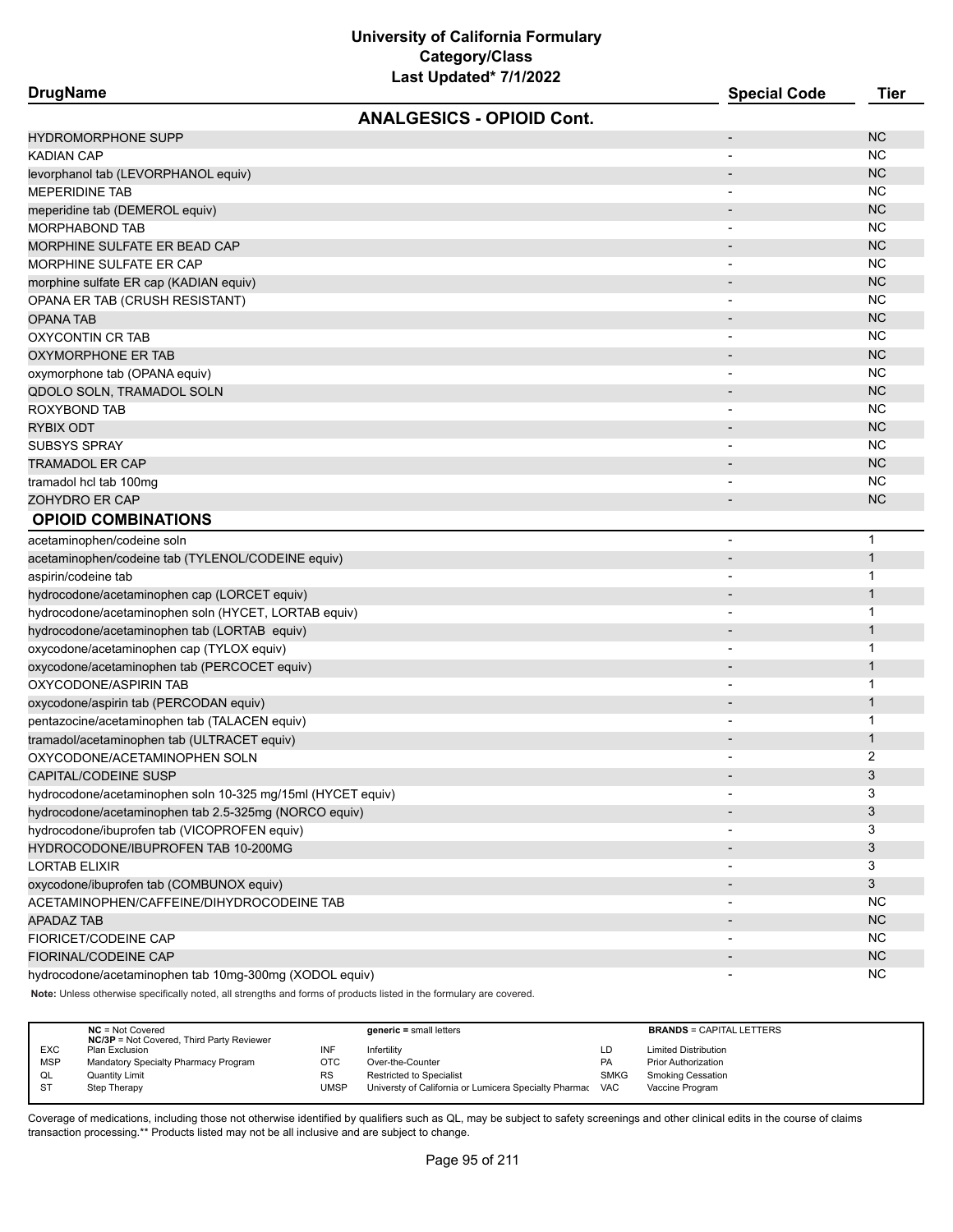| Last Updated 1/1/2022<br><b>DrugName</b>                    | <b>Special Code</b>      | <b>Tier</b>  |
|-------------------------------------------------------------|--------------------------|--------------|
| <b>ANALGESICS - OPIOID Cont.</b>                            |                          |              |
| <b>HYDROMORPHONE SUPP</b>                                   | $\overline{\phantom{a}}$ | <b>NC</b>    |
| KADIAN CAP                                                  |                          | ΝC           |
| levorphanol tab (LEVORPHANOL equiv)                         |                          | <b>NC</b>    |
| MEPERIDINE TAB                                              | $\overline{\phantom{a}}$ | ΝC           |
| meperidine tab (DEMEROL equiv)                              | $\overline{\phantom{a}}$ | <b>NC</b>    |
| MORPHABOND TAB                                              | $\overline{\phantom{a}}$ | ΝC           |
| MORPHINE SULFATE ER BEAD CAP                                | $\overline{\phantom{a}}$ | <b>NC</b>    |
| MORPHINE SULFATE ER CAP                                     | $\overline{\phantom{a}}$ | <b>NC</b>    |
| morphine sulfate ER cap (KADIAN equiv)                      |                          | <b>NC</b>    |
| OPANA ER TAB (CRUSH RESISTANT)                              |                          | ΝC           |
| OPANA TAB                                                   |                          | <b>NC</b>    |
| OXYCONTIN CR TAB                                            | $\overline{\phantom{a}}$ | ΝC           |
| OXYMORPHONE ER TAB                                          |                          | <b>NC</b>    |
| oxymorphone tab (OPANA equiv)                               | $\overline{\phantom{a}}$ | ΝC           |
| QDOLO SOLN, TRAMADOL SOLN                                   | $\overline{\phantom{a}}$ | <b>NC</b>    |
| ROXYBOND TAB                                                | $\overline{\phantom{a}}$ | ΝC           |
| RYBIX ODT                                                   | $\overline{\phantom{a}}$ | <b>NC</b>    |
| <b>SUBSYS SPRAY</b>                                         |                          | ΝC           |
| TRAMADOL ER CAP                                             |                          | <b>NC</b>    |
| tramadol hcl tab 100mg                                      |                          | ΝC           |
| ZOHYDRO ER CAP                                              | $\overline{a}$           | <b>NC</b>    |
| <b>OPIOID COMBINATIONS</b>                                  |                          |              |
| acetaminophen/codeine soln                                  | $\overline{\phantom{0}}$ | $\mathbf{1}$ |
| acetaminophen/codeine tab (TYLENOL/CODEINE equiv)           | $\overline{\phantom{a}}$ | $\mathbf{1}$ |
| aspirin/codeine tab                                         |                          | 1            |
| hydrocodone/acetaminophen cap (LORCET equiv)                |                          | $\mathbf{1}$ |
| hydrocodone/acetaminophen soln (HYCET, LORTAB equiv)        |                          | 1            |
| hydrocodone/acetaminophen tab (LORTAB equiv)                | $\overline{\phantom{a}}$ | $\mathbf{1}$ |
| oxycodone/acetaminophen cap (TYLOX equiv)                   | $\blacksquare$           | 1            |
| oxycodone/acetaminophen tab (PERCOCET equiv)                |                          | $\mathbf{1}$ |
| OXYCODONE/ASPIRIN TAB                                       |                          | 1            |
| oxycodone/aspirin tab (PERCODAN equiv)                      |                          | $\mathbf{1}$ |
| pentazocine/acetaminophen tab (TALACEN equiv)               |                          | 1            |
| tramadol/acetaminophen tab (ULTRACET equiv)                 |                          | $\mathbf 1$  |
| OXYCODONE/ACETAMINOPHEN SOLN                                |                          | 2            |
| CAPITAL/CODEINE SUSP                                        |                          | 3            |
| hydrocodone/acetaminophen soln 10-325 mg/15ml (HYCET equiv) | ۰                        | 3            |
| hydrocodone/acetaminophen tab 2.5-325mg (NORCO equiv)       |                          | 3            |
| hydrocodone/ibuprofen tab (VICOPROFEN equiv)                |                          | 3            |
| HYDROCODONE/IBUPROFEN TAB 10-200MG                          |                          | 3            |
| <b>LORTAB ELIXIR</b>                                        |                          | 3            |
| oxycodone/ibuprofen tab (COMBUNOX equiv)                    |                          | 3            |
| ACETAMINOPHEN/CAFFEINE/DIHYDROCODEINE TAB                   |                          | ΝC           |
| <b>APADAZ TAB</b>                                           |                          | <b>NC</b>    |
| FIORICET/CODEINE CAP                                        |                          | NС           |
| FIORINAL/CODEINE CAP                                        |                          | <b>NC</b>    |
| hydrocodone/acetaminophen tab 10mg-300mg (XODOL equiv)      | $\overline{\phantom{a}}$ | ΝC           |

**Note:** Unless otherwise specifically noted, all strengths and forms of products listed in the formulary are covered.

|            | $NC = Not Covered$<br><b>NC/3P</b> = Not Covered, Third Party Reviewer |           | $generic = small letters$                             |             | <b>BRANDS = CAPITAL LETTERS</b> |
|------------|------------------------------------------------------------------------|-----------|-------------------------------------------------------|-------------|---------------------------------|
| <b>EXC</b> | Plan Exclusion                                                         | INF       | Infertility                                           | LD          | <b>Limited Distribution</b>     |
| <b>MSP</b> | Mandatory Specialty Pharmacy Program                                   | отс       | Over-the-Counter                                      | PA          | <b>Prior Authorization</b>      |
| QL         | <b>Quantity Limit</b>                                                  | <b>RS</b> | Restricted to Specialist                              | <b>SMKG</b> | <b>Smoking Cessation</b>        |
| <b>ST</b>  | Step Therapy                                                           | JMSP      | Universty of California or Lumicera Specialty Pharmac | <b>VAC</b>  | Vaccine Program                 |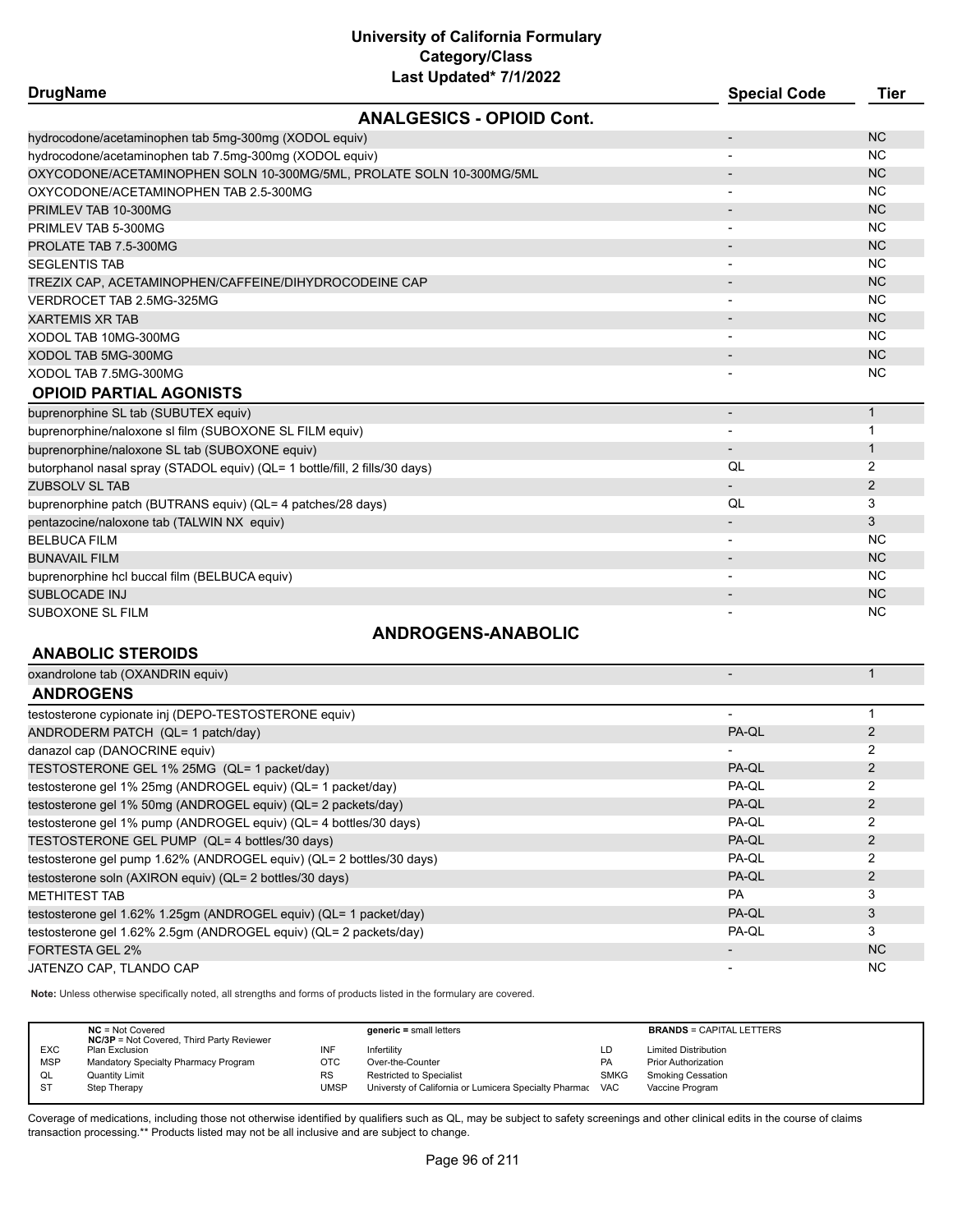| Last Upuateu <i>IIIIZUZZ</i><br><b>DrugName</b>                             | <b>Special Code</b>      | <b>Tier</b>  |
|-----------------------------------------------------------------------------|--------------------------|--------------|
| <b>ANALGESICS - OPIOID Cont.</b>                                            |                          |              |
|                                                                             |                          |              |
| hydrocodone/acetaminophen tab 5mg-300mg (XODOL equiv)                       |                          | <b>NC</b>    |
| hydrocodone/acetaminophen tab 7.5mg-300mg (XODOL equiv)                     |                          | <b>NC</b>    |
| OXYCODONE/ACETAMINOPHEN SOLN 10-300MG/5ML, PROLATE SOLN 10-300MG/5ML        |                          | <b>NC</b>    |
| OXYCODONE/ACETAMINOPHEN TAB 2.5-300MG                                       |                          | <b>NC</b>    |
| PRIMLEV TAB 10-300MG                                                        | $\overline{\phantom{a}}$ | <b>NC</b>    |
| PRIMLEV TAB 5-300MG                                                         |                          | <b>NC</b>    |
| PROLATE TAB 7.5-300MG                                                       |                          | <b>NC</b>    |
| <b>SEGLENTIS TAB</b>                                                        |                          | <b>NC</b>    |
| TREZIX CAP, ACETAMINOPHEN/CAFFEINE/DIHYDROCODEINE CAP                       |                          | <b>NC</b>    |
| VERDROCET TAB 2.5MG-325MG                                                   |                          | <b>NC</b>    |
| <b>XARTEMIS XR TAB</b>                                                      |                          | <b>NC</b>    |
| XODOL TAB 10MG-300MG                                                        | $\overline{\phantom{a}}$ | <b>NC</b>    |
| XODOL TAB 5MG-300MG                                                         |                          | <b>NC</b>    |
| XODOL TAB 7.5MG-300MG                                                       |                          | <b>NC</b>    |
| <b>OPIOID PARTIAL AGONISTS</b>                                              |                          |              |
| buprenorphine SL tab (SUBUTEX equiv)                                        | $\overline{\phantom{a}}$ | $\mathbf{1}$ |
| buprenorphine/naloxone sl film (SUBOXONE SL FILM equiv)                     |                          | 1            |
| buprenorphine/naloxone SL tab (SUBOXONE equiv)                              |                          | $\mathbf{1}$ |
| butorphanol nasal spray (STADOL equiv) (QL= 1 bottle/fill, 2 fills/30 days) | QL                       | 2            |
| ZUBSOLV SL TAB                                                              |                          | 2            |
| buprenorphine patch (BUTRANS equiv) (QL= 4 patches/28 days)                 | QL                       | 3            |
| pentazocine/naloxone tab (TALWIN NX equiv)                                  |                          | 3            |
| <b>BELBUCA FILM</b>                                                         |                          | <b>NC</b>    |
| <b>BUNAVAIL FILM</b>                                                        |                          | <b>NC</b>    |
| buprenorphine hcl buccal film (BELBUCA equiv)                               |                          | <b>NC</b>    |
| <b>SUBLOCADE INJ</b>                                                        |                          | <b>NC</b>    |
| SUBOXONE SL FILM                                                            |                          | <b>NC</b>    |
| <b>ANDROGENS-ANABOLIC</b>                                                   |                          |              |

#### **ANABOLIC STEROIDS**

| oxandrolone tab (OXANDRIN equiv)                                     |                          |                |
|----------------------------------------------------------------------|--------------------------|----------------|
| <b>ANDROGENS</b>                                                     |                          |                |
| testosterone cypionate inj (DEPO-TESTOSTERONE equiv)                 | -                        |                |
| ANDRODERM PATCH (QL= 1 patch/day)                                    | PA-QL                    |                |
| danazol cap (DANOCRINE equiv)                                        | $\overline{\phantom{a}}$ | 2              |
| TESTOSTERONE GEL 1% 25MG (QL= 1 packet/day)                          | PA-QL                    | 2              |
| testosterone gel 1% 25mg (ANDROGEL equiv) (QL= 1 packet/day)         | PA-QL                    | 2              |
| testosterone gel 1% 50mg (ANDROGEL equiv) (QL= 2 packets/day)        | PA-QL                    |                |
| testosterone gel 1% pump (ANDROGEL equiv) (QL= 4 bottles/30 days)    | PA-QL                    | 2              |
| TESTOSTERONE GEL PUMP (QL= 4 bottles/30 days)                        | PA-QL                    | $\overline{2}$ |
| testosterone gel pump 1.62% (ANDROGEL equiv) (QL= 2 bottles/30 days) | PA-QL                    | 2              |
| testosterone soln (AXIRON equiv) (QL= 2 bottles/30 days)             | PA-QL                    | $\overline{2}$ |
| <b>METHITEST TAB</b>                                                 | <b>PA</b>                | 3              |
| testosterone gel 1.62% 1.25gm (ANDROGEL equiv) (QL= 1 packet/day)    | PA-QL                    | 3              |
| testosterone gel 1.62% 2.5qm (ANDROGEL equiv) (QL= 2 packets/day)    | PA-QL                    | 3              |
| <b>FORTESTA GEL 2%</b>                                               | $\overline{\phantom{a}}$ | <b>NC</b>      |
| JATENZO CAP. TLANDO CAP                                              | $\overline{\phantom{a}}$ | <b>NC</b>      |

**Note:** Unless otherwise specifically noted, all strengths and forms of products listed in the formulary are covered.

|            | $NC = Not Covered$<br><b>NC/3P</b> = Not Covered, Third Party Reviewer |           | $generic = small letters$                             |             | <b>BRANDS = CAPITAL LETTERS</b> |
|------------|------------------------------------------------------------------------|-----------|-------------------------------------------------------|-------------|---------------------------------|
| <b>EXC</b> | Plan Exclusion                                                         |           | Infertility                                           | LD          | <b>Limited Distribution</b>     |
| <b>MSP</b> | Mandatory Specialty Pharmacy Program                                   | отс       | Over-the-Counter                                      | PA          | <b>Prior Authorization</b>      |
| QL         | <b>Quantity Limit</b>                                                  | <b>RS</b> | <b>Restricted to Specialist</b>                       | <b>SMKG</b> | <b>Smoking Cessation</b>        |
| ST         | Step Therapy                                                           | UMSP      | Universty of California or Lumicera Specialty Pharmac | VAC         | Vaccine Program                 |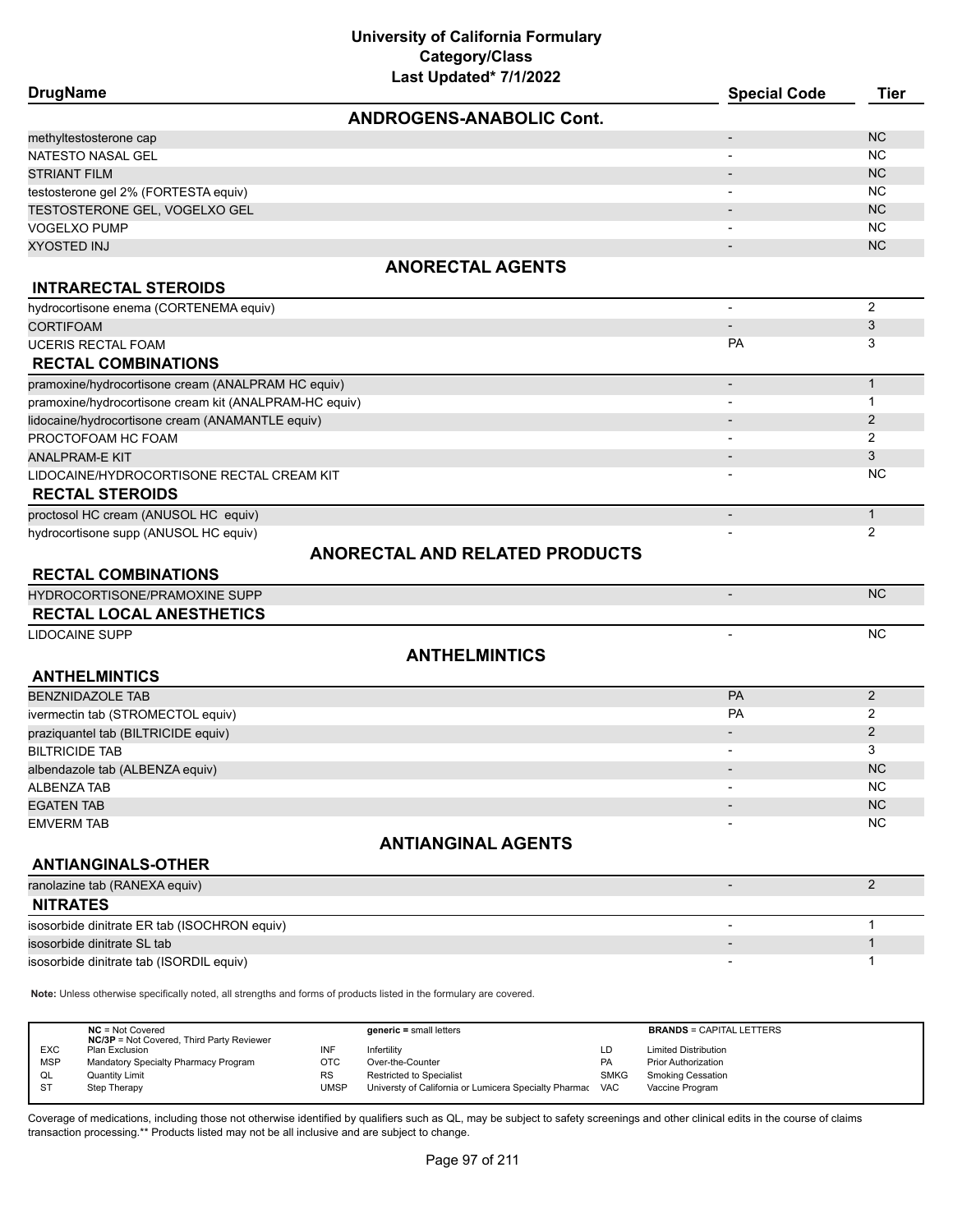| <b>DrugName</b>                                                                                                     | <b>Special Code</b>                   | <b>Tier</b>    |
|---------------------------------------------------------------------------------------------------------------------|---------------------------------------|----------------|
|                                                                                                                     | <b>ANDROGENS-ANABOLIC Cont.</b>       |                |
| methyltestosterone cap                                                                                              | $\overline{\phantom{a}}$              | <b>NC</b>      |
| NATESTO NASAL GEL                                                                                                   | $\blacksquare$                        | <b>NC</b>      |
| <b>STRIANT FILM</b>                                                                                                 |                                       | <b>NC</b>      |
| testosterone gel 2% (FORTESTA equiv)                                                                                |                                       | <b>NC</b>      |
| TESTOSTERONE GEL, VOGELXO GEL                                                                                       |                                       | <b>NC</b>      |
| <b>VOGELXO PUMP</b>                                                                                                 |                                       | <b>NC</b>      |
| <b>XYOSTED INJ</b>                                                                                                  |                                       | <b>NC</b>      |
|                                                                                                                     | <b>ANORECTAL AGENTS</b>               |                |
| <b>INTRARECTAL STEROIDS</b>                                                                                         |                                       |                |
| hydrocortisone enema (CORTENEMA equiv)                                                                              | $\overline{\phantom{a}}$              | $\overline{2}$ |
| <b>CORTIFOAM</b>                                                                                                    |                                       | 3              |
| <b>UCERIS RECTAL FOAM</b>                                                                                           | <b>PA</b>                             | 3              |
| <b>RECTAL COMBINATIONS</b>                                                                                          |                                       |                |
| pramoxine/hydrocortisone cream (ANALPRAM HC equiv)                                                                  | $\overline{\phantom{a}}$              | $\mathbf{1}$   |
| pramoxine/hydrocortisone cream kit (ANALPRAM-HC equiv)                                                              | $\overline{\phantom{a}}$              | $\mathbf{1}$   |
| lidocaine/hydrocortisone cream (ANAMANTLE equiv)                                                                    |                                       | $\overline{2}$ |
| PROCTOFOAM HC FOAM                                                                                                  |                                       | $\overline{2}$ |
| <b>ANALPRAM-E KIT</b>                                                                                               |                                       | 3              |
| LIDOCAINE/HYDROCORTISONE RECTAL CREAM KIT                                                                           |                                       | <b>NC</b>      |
| <b>RECTAL STEROIDS</b>                                                                                              |                                       |                |
| proctosol HC cream (ANUSOL HC equiv)                                                                                | $\overline{\phantom{a}}$              | $\mathbf{1}$   |
| hydrocortisone supp (ANUSOL HC equiv)                                                                               |                                       | $\overline{2}$ |
|                                                                                                                     | <b>ANORECTAL AND RELATED PRODUCTS</b> |                |
| <b>RECTAL COMBINATIONS</b>                                                                                          |                                       |                |
| HYDROCORTISONE/PRAMOXINE SUPP                                                                                       |                                       | <b>NC</b>      |
| <b>RECTAL LOCAL ANESTHETICS</b>                                                                                     |                                       |                |
| <b>LIDOCAINE SUPP</b>                                                                                               |                                       | NC             |
|                                                                                                                     | <b>ANTHELMINTICS</b>                  |                |
| <b>ANTHELMINTICS</b>                                                                                                |                                       |                |
| <b>BENZNIDAZOLE TAB</b>                                                                                             | PA                                    | $\overline{2}$ |
| ivermectin tab (STROMECTOL equiv)                                                                                   | <b>PA</b>                             | 2              |
| praziquantel tab (BILTRICIDE equiv)                                                                                 |                                       | $\overline{2}$ |
| <b>BILTRICIDE TAB</b>                                                                                               |                                       | 3              |
| albendazole tab (ALBENZA equiv)                                                                                     |                                       | <b>NC</b>      |
| <b>ALBENZA TAB</b>                                                                                                  |                                       | <b>NC</b>      |
| <b>EGATEN TAB</b>                                                                                                   |                                       | <b>NC</b>      |
| <b>EMVERM TAB</b>                                                                                                   |                                       | <b>NC</b>      |
|                                                                                                                     | <b>ANTIANGINAL AGENTS</b>             |                |
| <b>ANTIANGINALS-OTHER</b>                                                                                           |                                       |                |
| ranolazine tab (RANEXA equiv)                                                                                       | $\overline{\phantom{0}}$              | $\overline{2}$ |
| <b>NITRATES</b>                                                                                                     |                                       |                |
| isosorbide dinitrate ER tab (ISOCHRON equiv)                                                                        | $\blacksquare$                        | $\mathbf{1}$   |
| isosorbide dinitrate SL tab                                                                                         |                                       | 1              |
| isosorbide dinitrate tab (ISORDIL equiv)                                                                            |                                       | 1              |
| Note: Unless otherwise specifically noted, all strengths and forms of products listed in the formulary are covered. |                                       |                |

**NC** = Not Covered **generic =** small letters **BRANDS** = CAPITAL LETTERS **NC/3P** = Not Covered, Third Party Reviewer EXC Plan Exclusion Contract The Theorem Contract INF Infertility Counter the Counter Counter Counter (Duministed Distribution<br>
MSP Mandatory Specialty Pharmacy Program (DTC Over-the-Counter (Duministed Distribution Counter MSP Mandatory Specialty Pharmacy Program OTC Over-the-Counter Counter Communism PA Prior Authorization<br>CL Quantity Limit Counter Program RS Restricted to Specialist Communism SMKG Smoking Cessation RS Restricted to Specialist<br>UMSP Universty of California o ST Step Therapy Step Therapy Step Therapy California or Lumicera Specialty Pharmac VAC Vaccine Program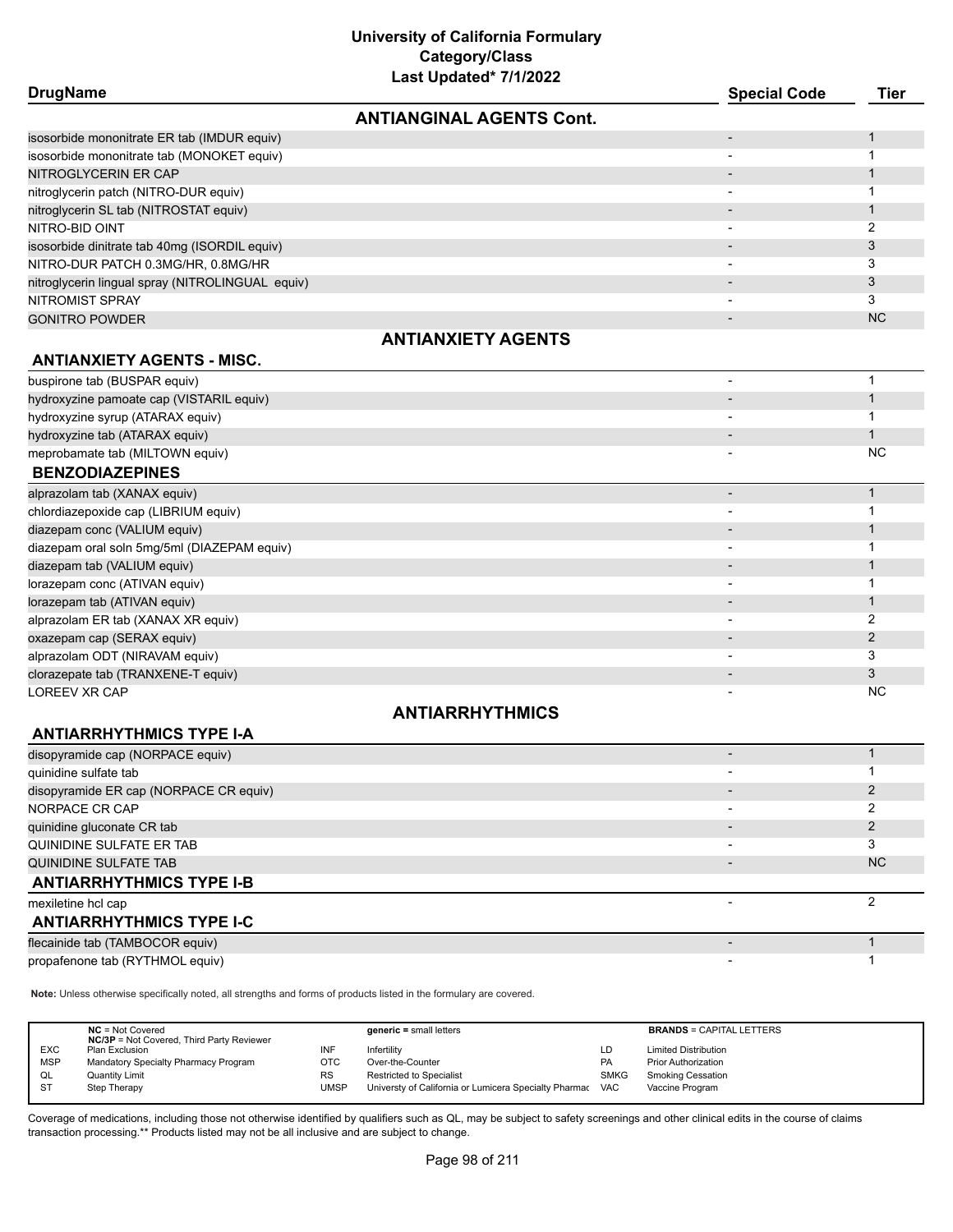| <b>DrugName</b>                                  |                                 | <b>Special Code</b>      | Tier      |
|--------------------------------------------------|---------------------------------|--------------------------|-----------|
|                                                  | <b>ANTIANGINAL AGENTS Cont.</b> |                          |           |
| isosorbide mononitrate ER tab (IMDUR equiv)      |                                 | $\overline{\phantom{a}}$ |           |
| isosorbide mononitrate tab (MONOKET equiv)       |                                 |                          |           |
| NITROGLYCERIN ER CAP                             |                                 |                          |           |
| nitroglycerin patch (NITRO-DUR equiv)            |                                 |                          |           |
| nitroglycerin SL tab (NITROSTAT equiv)           |                                 | $\overline{\phantom{0}}$ |           |
| NITRO-BID OINT                                   |                                 | $\overline{\phantom{a}}$ | 2         |
| isosorbide dinitrate tab 40mg (ISORDIL equiv)    |                                 |                          | 3         |
| NITRO-DUR PATCH 0.3MG/HR, 0.8MG/HR               |                                 |                          | 3         |
| nitroglycerin lingual spray (NITROLINGUAL equiv) |                                 |                          | 3         |
| NITROMIST SPRAY                                  |                                 |                          | 3         |
| <b>GONITRO POWDER</b>                            |                                 | $\overline{\phantom{a}}$ | <b>NC</b> |
|                                                  | <b>ANTIANXIETY AGENTS</b>       |                          |           |
| <b>ANTIANXIETY AGENTS - MISC.</b>                |                                 |                          |           |
| buspirone tab (BUSPAR equiv)                     |                                 |                          |           |
| hydroxyzine pamoate cap (VISTARIL equiv)         |                                 |                          |           |
| hydroxyzine syrup (ATARAX equiv)                 |                                 |                          |           |
| hydroxyzine tab (ATARAX equiv)                   |                                 | $\overline{\phantom{a}}$ |           |
| meprobamate tab (MILTOWN equiv)                  |                                 |                          | <b>NC</b> |
| <b>BENZODIAZEPINES</b>                           |                                 |                          |           |

| alprazolam tab (XANAX equiv)                |                          |           |
|---------------------------------------------|--------------------------|-----------|
| chlordiazepoxide cap (LIBRIUM equiv)        |                          |           |
| diazepam conc (VALIUM equiv)                |                          |           |
| diazepam oral soln 5mg/5ml (DIAZEPAM equiv) |                          |           |
| diazepam tab (VALIUM equiv)                 |                          |           |
| lorazepam conc (ATIVAN equiv)               |                          |           |
| lorazepam tab (ATIVAN equiv)                |                          |           |
| alprazolam ER tab (XANAX XR equiv)          |                          |           |
| oxazepam cap (SERAX equiv)                  |                          |           |
| alprazolam ODT (NIRAVAM equiv)              | $\overline{\phantom{a}}$ |           |
| clorazepate tab (TRANXENE-T equiv)          |                          |           |
| LOREEV XR CAP                               |                          | <b>NC</b> |

## **ANTIARRHYTHMICS**

| disopyramide cap (NORPACE equiv)       |                          |     |
|----------------------------------------|--------------------------|-----|
| quinidine sulfate tab                  | $\overline{\phantom{0}}$ |     |
| disopyramide ER cap (NORPACE CR equiv) | $\overline{\phantom{0}}$ |     |
| NORPACE CR CAP                         | $\overline{\phantom{0}}$ |     |
| quinidine gluconate CR tab             | $\overline{\phantom{0}}$ |     |
| QUINIDINE SULFATE ER TAB               | $\overline{\phantom{0}}$ |     |
| QUINIDINE SULFATE TAB                  |                          | NC. |
| <b>ANTIARRHYTHMICS TYPE I-B</b>        |                          |     |
| mexiletine hcl cap                     |                          |     |
| <b>ANTIARRHYTHMICS TYPE I-C</b>        |                          |     |
| flecainide tab (TAMBOCOR equiv)        |                          |     |
| propafenone tab (RYTHMOL equiv)        |                          |     |

**Note:** Unless otherwise specifically noted, all strengths and forms of products listed in the formulary are covered.

**ANTIARRHYTHMICS TYPE I-A**

|            | $NC = Not Covered$<br><b>NC/3P</b> = Not Covered, Third Party Reviewer |             | $generic = small letters$                             |             | <b>BRANDS = CAPITAL LETTERS</b> |
|------------|------------------------------------------------------------------------|-------------|-------------------------------------------------------|-------------|---------------------------------|
| <b>EXC</b> | Plan Exclusion                                                         | INF         | Infertility                                           | LD          | <b>Limited Distribution</b>     |
| <b>MSP</b> | Mandatory Specialty Pharmacy Program                                   | ОТС         | Over-the-Counter                                      | <b>PA</b>   | <b>Prior Authorization</b>      |
| QL         | <b>Quantity Limit</b>                                                  | <b>RS</b>   | <b>Restricted to Specialist</b>                       | <b>SMKG</b> | <b>Smoking Cessation</b>        |
| -ST        | Step Therapy                                                           | <b>UMSP</b> | Universty of California or Lumicera Specialty Pharmac | <b>VAC</b>  | Vaccine Program                 |
|            |                                                                        |             |                                                       |             |                                 |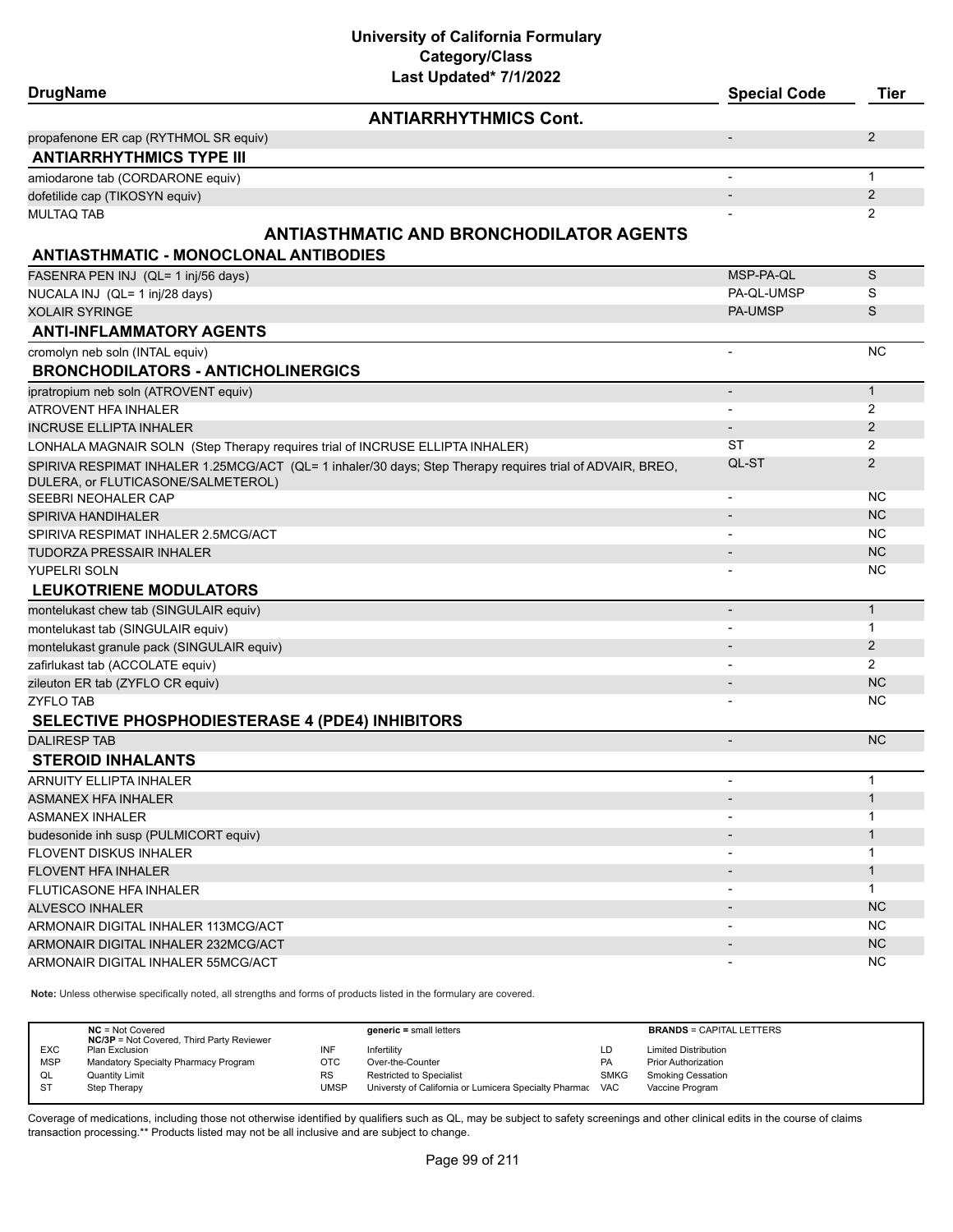| Last Updated* 7/1/2022<br><b>DrugName</b>                                                                 | <b>Special Code</b> | <b>Tier</b>    |
|-----------------------------------------------------------------------------------------------------------|---------------------|----------------|
| <b>ANTIARRHYTHMICS Cont.</b>                                                                              |                     |                |
| propafenone ER cap (RYTHMOL SR equiv)                                                                     |                     | $\overline{2}$ |
| <b>ANTIARRHYTHMICS TYPE III</b>                                                                           |                     |                |
| amiodarone tab (CORDARONE equiv)                                                                          |                     | $\mathbf{1}$   |
| dofetilide cap (TIKOSYN equiv)                                                                            |                     | $\overline{2}$ |
| MULTAQ TAB                                                                                                |                     | $\overline{2}$ |
| <b>ANTIASTHMATIC AND BRONCHODILATOR AGENTS</b>                                                            |                     |                |
| <b>ANTIASTHMATIC - MONOCLONAL ANTIBODIES</b>                                                              |                     |                |
| FASENRA PEN INJ (QL= 1 inj/56 days)                                                                       | MSP-PA-QL           | S              |
| NUCALA INJ (QL= 1 inj/28 days)                                                                            | PA-QL-UMSP          | S              |
| XOLAIR SYRINGE                                                                                            | <b>PA-UMSP</b>      | S              |
| <b>ANTI-INFLAMMATORY AGENTS</b>                                                                           |                     |                |
| cromolyn neb soln (INTAL equiv)                                                                           | ÷.                  | <b>NC</b>      |
| <b>BRONCHODILATORS - ANTICHOLINERGICS</b>                                                                 |                     |                |
| ipratropium neb soln (ATROVENT equiv)                                                                     |                     | $\mathbf{1}$   |
| ATROVENT HFA INHALER                                                                                      |                     | 2              |
| <b>INCRUSE ELLIPTA INHALER</b>                                                                            |                     | $\overline{2}$ |
| LONHALA MAGNAIR SOLN (Step Therapy requires trial of INCRUSE ELLIPTA INHALER)                             | ST                  | 2              |
| SPIRIVA RESPIMAT INHALER 1.25MCG/ACT (QL= 1 inhaler/30 days; Step Therapy requires trial of ADVAIR, BREO, | QL-ST               | $\overline{2}$ |
| DULERA, or FLUTICASONE/SALMETEROL)                                                                        |                     |                |
| SEEBRI NEOHALER CAP                                                                                       |                     | NC.            |
| SPIRIVA HANDIHALER                                                                                        |                     | <b>NC</b>      |
| SPIRIVA RESPIMAT INHALER 2.5MCG/ACT                                                                       |                     | <b>NC</b>      |
| TUDORZA PRESSAIR INHALER                                                                                  |                     | <b>NC</b>      |
| YUPELRI SOLN                                                                                              |                     | NC             |
| <b>LEUKOTRIENE MODULATORS</b>                                                                             |                     |                |
| montelukast chew tab (SINGULAIR equiv)                                                                    |                     | $\mathbf{1}$   |
| montelukast tab (SINGULAIR equiv)                                                                         |                     | 1              |
| montelukast granule pack (SINGULAIR equiv)                                                                |                     | $\overline{2}$ |
| zafirlukast tab (ACCOLATE equiv)                                                                          |                     | 2              |
| zileuton ER tab (ZYFLO CR equiv)                                                                          |                     | <b>NC</b>      |
| ZYFLO TAB                                                                                                 |                     | NC             |
| <b>SELECTIVE PHOSPHODIESTERASE 4 (PDE4) INHIBITORS</b>                                                    |                     |                |
| <b>DALIRESP TAB</b>                                                                                       |                     | NC             |
| <b>STEROID INHALANTS</b>                                                                                  |                     |                |
| ARNUITY ELLIPTA INHALER                                                                                   |                     | 1              |
| ASMANEX HFA INHALER                                                                                       |                     | $\mathbf{1}$   |
| ASMANEX INHALER                                                                                           |                     | 1              |
| budesonide inh susp (PULMICORT equiv)                                                                     |                     | $\mathbf{1}$   |
| FLOVENT DISKUS INHALER                                                                                    |                     | 1              |
| <b>FLOVENT HFA INHALER</b>                                                                                |                     | $\mathbf{1}$   |
| FLUTICASONE HFA INHALER                                                                                   | -                   | $\mathbf{1}$   |
| <b>ALVESCO INHALER</b>                                                                                    |                     | NC             |
| ARMONAIR DIGITAL INHALER 113MCG/ACT                                                                       |                     | NC.            |
| ARMONAIR DIGITAL INHALER 232MCG/ACT                                                                       |                     | <b>NC</b>      |
| ARMONAIR DIGITAL INHALER 55MCG/ACT                                                                        |                     | <b>NC</b>      |
|                                                                                                           |                     |                |

**Note:** Unless otherwise specifically noted, all strengths and forms of products listed in the formulary are covered.

| <b>NC/3P</b> = Not Covered, Third Party Reviewer                                                                         | <b>BRANDS = CAPITAL LETTERS</b> |
|--------------------------------------------------------------------------------------------------------------------------|---------------------------------|
| <b>EXC</b><br>INF<br><b>Limited Distribution</b><br>Infertility<br>Plan Exclusion<br>LD                                  |                                 |
| <b>MSP</b><br>Mandatory Specialty Pharmacy Program<br>отс<br><b>PA</b><br>Over-the-Counter<br><b>Prior Authorization</b> |                                 |
| <b>Restricted to Specialist</b><br><b>SMKG</b><br>Smoking Cessation<br><b>Quantity Limit</b><br>RS<br>QL                 |                                 |
| -ST<br>UMSP<br>Universty of California or Lumicera Specialty Pharmac VAC<br>Step Therapy<br>Vaccine Program              |                                 |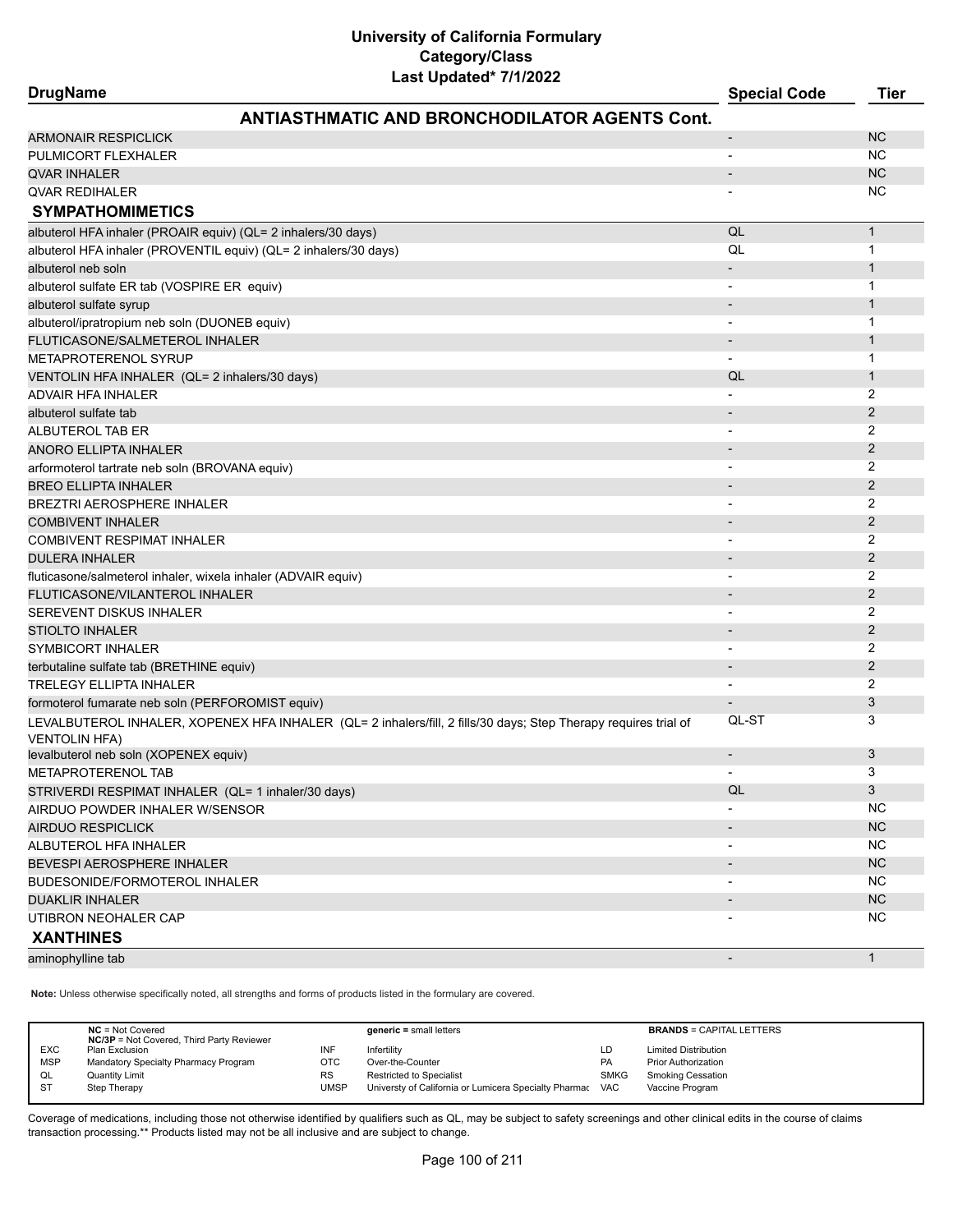#### **DrugName Special Code Tier ANTIASTHMATIC AND BRONCHODILATOR AGENTS Cont.** ARMONAIR RESPICITION AND RESPIRE TO A RESPIRE THE CONTRACT OF THE CONTRACT OF THE CONTRACT OF THE CONTRACT OF THE CONTRACT OF THE CONTRACT OF THE CONTRACT OF THE CONTRACT OF THE CONTRACT OF THE CONTRACT OF THE CONTRACT OF PULMICORT FLEXHALER AND THE RESERVE THAT IS A RESERVE TO A RESERVE THAT A RESERVE THAT IS A RESERVE TO A RESERVE THAT IS A RESERVE THAT IS A RESERVE THAT IS A RESERVE THAT IS A RESERVE THAT IS A RESERVE THAT IS A RESERVE T  $\blacksquare$ QVAR INHALER  $\blacksquare$  $\blacksquare$ QVAR REDIHALER  $\blacksquare$ **SYMPATHOMIMETICS** albuterol HFA inhaler (PROAIR equiv) (QL= 2 inhalers/30 days) **Quarter and Containers** COL 1 and 1 and 1 and 1 and 1 and 1 and 1 and 1 and 1 and 1 and 1 and 1 and 1 and 1 and 1 and 1 and 1 and 1 and 1 and 1 and 1 and 1 and albuterol HFA inhaler (PROVENTIL equiv) (QL= 2 inhalers/30 days) QL 1 albuterol neb soln - 1999 i 1999 i 1999 i 1999 i 1999 i 1999 i 1999 i 1999 i 1999 i 1999 i 1999 i 1999 i 1999 albuterol sulfate ER tab (VOSPIRE ER equiv) and the state of the state of the state of the state of the state of the state of the state of the state of the state of the state of the state of the state of the state of the s albuterol sulfate syrup  $\sim$  100  $\,$  100  $\,$  100  $\,$  100  $\,$  100  $\,$  100  $\,$  100  $\,$  100  $\,$  100  $\,$  100  $\,$  100  $\,$  100  $\,$  100  $\,$  100  $\,$  100  $\,$  100  $\,$  100  $\,$  100  $\,$  100  $\,$  100  $\,$  100  $\,$  100 albuterol/ipratropium neb soln (DUONEB equiv) and the solution of the solution of the solution of the solution of the solution of the solution of the solution of the solution of the solution of the solution of the solution FLUTICASONE/SALMETEROL INHALER - 1 METAPROTERENOL SYRUP **A CONSTRUCT OF A CONSTRUCT OF A CONSTRUCT OF A CONSTRUCT OF A CONSTRUCT OF A CONSTRUCT OF A CONSTRUCT OF A CONSTRUCT OF A CONSTRUCT OF A CONSTRUCT OF A CONSTRUCTION OF A CONSTRUCT OF A CONSTRUCT OF A** VENTOLIN HFA INHALER (QL= 2 inhalers/30 days) QL 1 ADVAIR HFA INHALER - 2 albuterol sulfate tab - 22 and 22 and 22 and 23 and 23 and 23 and 24 and 25 and 26 and 26 and 26 and 26 and 26 ALBUTEROL TAB ER - 2 ANORO ELLIPTA INHALER - 2 arformoterol tartrate neb soln (BROVANA equiv) - 2 er i den større i den større i større i større i større i større i større i større i større i større i større i BREZTRI AEROSPHERE INHALER - 2 COMBIVENT INHALER 2 COMBIVENT RESPIMAT INHALER 2 DULERA INHALER - 2 fluticasone/salmeterol inhaler, wixela inhaler (ADVAIR equiv) - 2 FLUTICASONE/VILANTEROL INHALER - 2 SEREVENT DISKUS INHALER - 2 STIOLTO INHALER **AND THE STIOLTO IN THE STIOLTO IN THE STIOLTO IN THE STIOLTO IN THE STIOLTO IN** SYMBICORT INHALER 2 terbutaline sulfate tab (BRETHINE equiv) and the control of the control of the control of the control of the control of the control of the control of the control of the control of the control of the control of the control TRELEGY ELLIPTA INHALER - 2 formoterol fumarate neb soln (PERFOROMIST equiv) - 3 LEVALBUTEROL INHALER, XOPENEX HFA INHALER (QL= 2 inhalers/fill, 2 fills/30 days; Step Therapy requires trial of VENTOLIN HFA) QL-ST 3 levalbuterol neb soln (XOPENEX equiv) - 3 METAPROTERENOL TAB - 3 STRIVERDI RESPIMAT INHALER (QL= 1 inhaler/30 days) QL 3 AIRDUO POWDER INHALER W/SENSOR NATURAL AND THE SENSING STATE OF THE SENSING STATE OF THE SENSING STATE OF THE STA AIRDUO RESPICLICK AND A RESPICTIVE AND A RESPIRATION OF THE CONTRACT OF THE CONTRACT OF THE CONTRACT OF THE CONTRACT OF THE CONTRACT OF THE CONTRACT OF THE CONTRACT OF THE CONTRACT OF THE CONTRACT OF THE CONTRACT OF THE CO ALBUTEROL HFA INHALER - NC BEVESPI AEROSPHERE INHALER - NC NORTHER - NC NORTHER - NC NORTHERE IN THE SERVER OF THE SERVER OF THE SERVER O BUDESONIDE/FORMOTEROL INHALER AND A SERIES AND A SERIES AND A SERIES AND A SERIES AND A SERIES AND A SERIES AND A SERIES AND A SERIES AND A SERIES AND A SERIES AND A SERIES AND A SERIES AND A SERIES AND A SERIES AND A SERI de the second term of the second second terms of the second second second second second second second second second second second second second second second second second second second second second second second second s UTIBRON NEOHALER CAP NO UNIVERSIDADE IN A SERVER OF THE CONTRACT OF THE CONTRACT OF THE CONTRACT OF THE CONTRACT OF THE CONTRACT OF THE CONTRACT OF THE CONTRACT OF THE CONTRACT OF THE CONTRACT OF THE CONTRACT OF THE CONTRA **XANTHINES** aminophylline tab - 1 aminophylline tab - 1 aminophylline tab - 1 aminophylline tab - 1 aminophylline tab - 1

**Note:** Unless otherwise specifically noted, all strengths and forms of products listed in the formulary are covered.

|            | $NC = Not Covered$<br><b>NC/3P</b> = Not Covered, Third Party Reviewer |           | $generic = small letters$                             |             | <b>BRANDS = CAPITAL LETTERS</b> |
|------------|------------------------------------------------------------------------|-----------|-------------------------------------------------------|-------------|---------------------------------|
| <b>EXC</b> | Plan Exclusion                                                         | INF       | Infertility                                           | LD          | <b>Limited Distribution</b>     |
| <b>MSP</b> | Mandatory Specialty Pharmacy Program                                   | отс       | Over-the-Counter                                      | <b>PA</b>   | <b>Prior Authorization</b>      |
| QL         | <b>Quantity Limit</b>                                                  | <b>RS</b> | <b>Restricted to Specialist</b>                       | <b>SMKG</b> | <b>Smoking Cessation</b>        |
| <b>ST</b>  | Step Therapy                                                           | UMSP      | Universty of California or Lumicera Specialty Pharmac | <b>VAC</b>  | Vaccine Program                 |
|            |                                                                        |           |                                                       |             |                                 |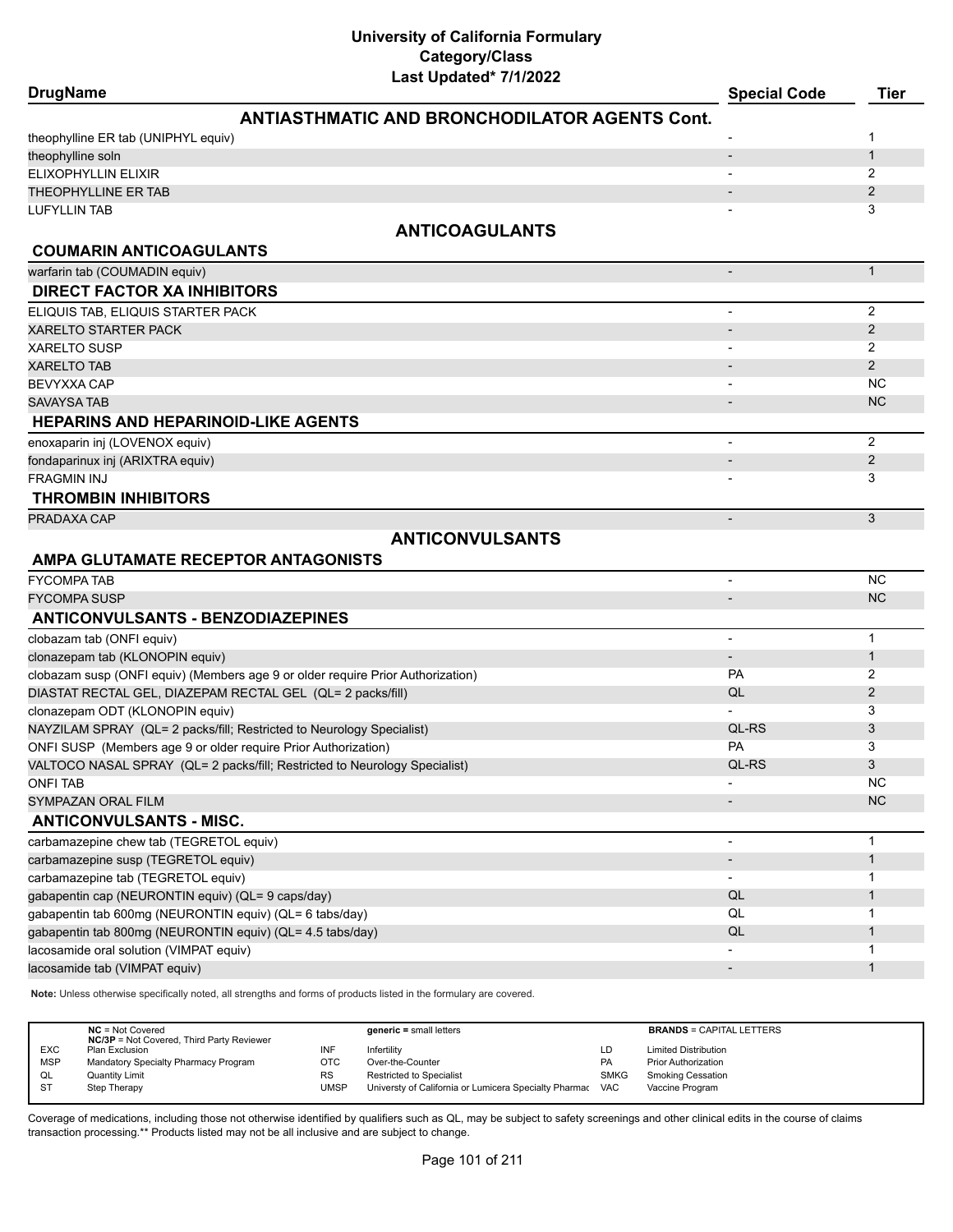| <b>DrugName</b>                                                                                                     | <b>Special Code</b>      | <b>Tier</b>    |
|---------------------------------------------------------------------------------------------------------------------|--------------------------|----------------|
| <b>ANTIASTHMATIC AND BRONCHODILATOR AGENTS Cont.</b>                                                                |                          |                |
| theophylline ER tab (UNIPHYL equiv)                                                                                 |                          | 1              |
| theophylline soln                                                                                                   | $\overline{\phantom{a}}$ | $\mathbf{1}$   |
| ELIXOPHYLLIN ELIXIR                                                                                                 |                          | 2              |
| THEOPHYLLINE ER TAB                                                                                                 |                          | 2              |
| <b>LUFYLLIN TAB</b>                                                                                                 |                          | 3              |
| <b>ANTICOAGULANTS</b>                                                                                               |                          |                |
|                                                                                                                     |                          |                |
| <b>COUMARIN ANTICOAGULANTS</b><br>warfarin tab (COUMADIN equiv)                                                     |                          | $\mathbf{1}$   |
| <b>DIRECT FACTOR XA INHIBITORS</b>                                                                                  |                          |                |
|                                                                                                                     |                          |                |
| ELIQUIS TAB, ELIQUIS STARTER PACK                                                                                   |                          | $\overline{2}$ |
| <b>XARELTO STARTER PACK</b>                                                                                         |                          | 2              |
| <b>XARELTO SUSP</b>                                                                                                 |                          | 2              |
| <b>XARELTO TAB</b>                                                                                                  |                          | $\overline{2}$ |
| <b>BEVYXXA CAP</b>                                                                                                  |                          | <b>NC</b>      |
| <b>SAVAYSA TAB</b>                                                                                                  |                          | <b>NC</b>      |
| <b>HEPARINS AND HEPARINOID-LIKE AGENTS</b>                                                                          |                          |                |
| enoxaparin inj (LOVENOX equiv)                                                                                      |                          | 2              |
| fondaparinux inj (ARIXTRA equiv)                                                                                    |                          | $\overline{2}$ |
| <b>FRAGMIN INJ</b>                                                                                                  |                          | 3              |
| <b>THROMBIN INHIBITORS</b>                                                                                          |                          |                |
| PRADAXA CAP                                                                                                         | $\overline{\phantom{a}}$ | 3              |
| <b>ANTICONVULSANTS</b>                                                                                              |                          |                |
| AMPA GLUTAMATE RECEPTOR ANTAGONISTS                                                                                 |                          |                |
| <b>FYCOMPA TAB</b>                                                                                                  |                          | <b>NC</b>      |
| <b>FYCOMPA SUSP</b>                                                                                                 |                          | <b>NC</b>      |
|                                                                                                                     |                          |                |
| <b>ANTICONVULSANTS - BENZODIAZEPINES</b>                                                                            |                          |                |
| clobazam tab (ONFI equiv)                                                                                           |                          | $\mathbf{1}$   |
| clonazepam tab (KLONOPIN equiv)                                                                                     | $\overline{\phantom{a}}$ | $\mathbf{1}$   |
| clobazam susp (ONFI equiv) (Members age 9 or older require Prior Authorization)                                     | <b>PA</b>                | 2              |
| DIASTAT RECTAL GEL, DIAZEPAM RECTAL GEL (QL= 2 packs/fill)                                                          | QL                       | $\overline{2}$ |
| clonazepam ODT (KLONOPIN equiv)                                                                                     |                          | 3              |
| NAYZILAM SPRAY (QL= 2 packs/fill; Restricted to Neurology Specialist)                                               | QL-RS                    | 3              |
| ONFI SUSP (Members age 9 or older require Prior Authorization)                                                      | PA                       | 3              |
| VALTOCO NASAL SPRAY (QL= 2 packs/fill; Restricted to Neurology Specialist)                                          | QL-RS                    | 3              |
| <b>ONFI TAB</b>                                                                                                     |                          | <b>NC</b>      |
| SYMPAZAN ORAL FILM                                                                                                  |                          | <b>NC</b>      |
| <b>ANTICONVULSANTS - MISC.</b>                                                                                      |                          |                |
| carbamazepine chew tab (TEGRETOL equiv)                                                                             |                          | $\mathbf{1}$   |
| carbamazepine susp (TEGRETOL equiv)                                                                                 |                          | $\mathbf{1}$   |
| carbamazepine tab (TEGRETOL equiv)                                                                                  |                          | 1              |
| gabapentin cap (NEURONTIN equiv) (QL= 9 caps/day)                                                                   | QL                       | $\mathbf 1$    |
| gabapentin tab 600mg (NEURONTIN equiv) (QL= 6 tabs/day)                                                             | QL                       | 1              |
| gabapentin tab 800mg (NEURONTIN equiv) (QL= 4.5 tabs/day)                                                           | QL                       | $\mathbf{1}$   |
| lacosamide oral solution (VIMPAT equiv)                                                                             |                          | 1              |
| lacosamide tab (VIMPAT equiv)                                                                                       |                          | $\mathbf{1}$   |
| Note: Unless otherwise specifically noted, all strengths and forms of products listed in the formulary are covered. |                          |                |
|                                                                                                                     |                          |                |

**NC** = Not Covered **generic =** small letters **BRANDS** = CAPITAL LETTERS **NC/3P** = Not Covered, Third Party Reviewer EXC Plan Exclusion International Infertility Infertility CD Limited Distribution Infertility MSP Mandatory Specialty Pharmacy Program OTC Over-the-Counter Counter Communism PA Prior Authorization<br>CL Quantity Limit Counter Program RS Restricted to Specialist Communism SMKG Smoking Cessation Restricted to Specialist ST Step Therapy Step Therapy Step Therapy California or Lumicera Specialty Pharmac VAC Vaccine Program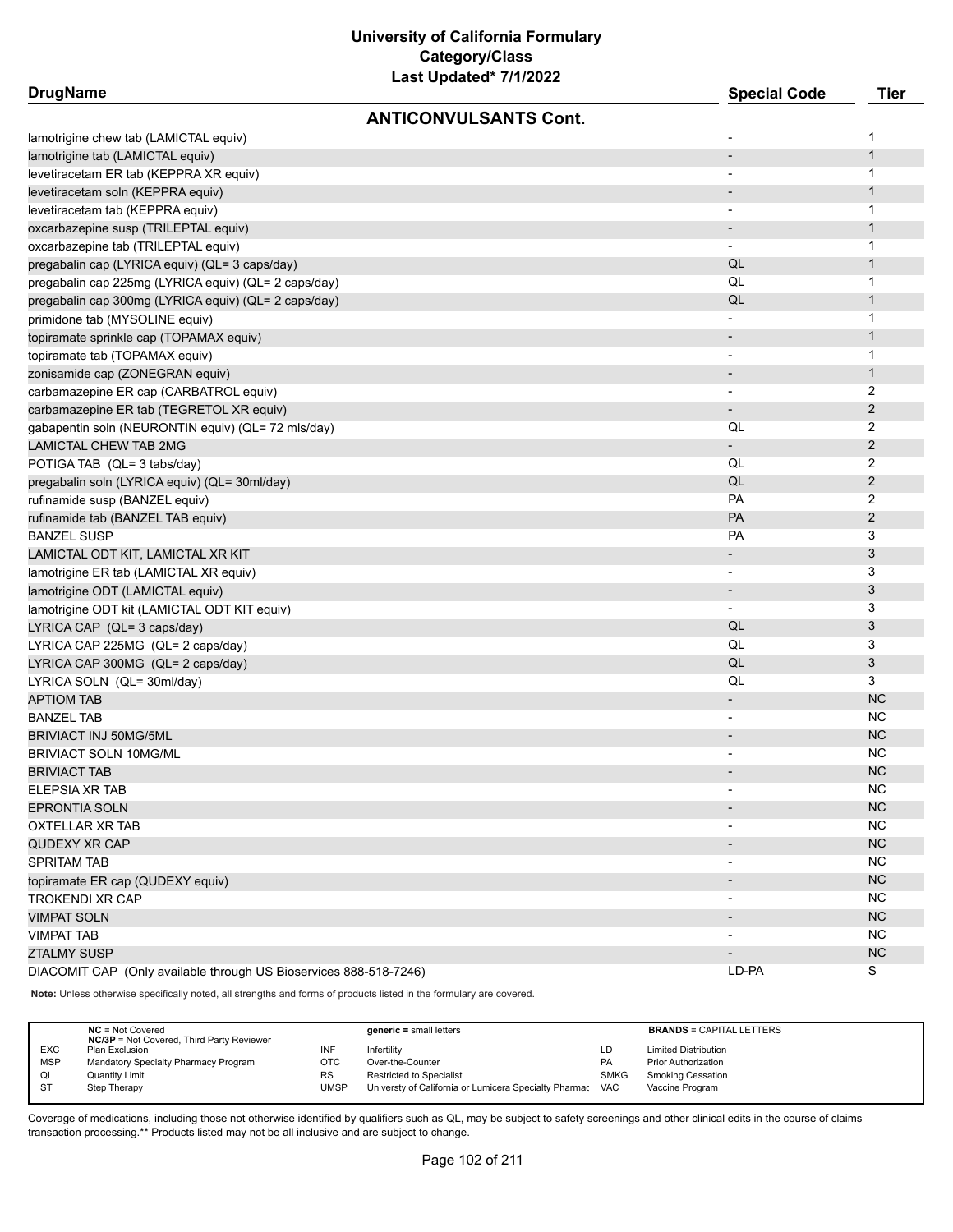| <b>DrugName</b>                                                   | Last Upuateu <i>IIIIZUZZ</i> | <b>Special Code</b>          | <b>Tier</b>    |
|-------------------------------------------------------------------|------------------------------|------------------------------|----------------|
|                                                                   | <b>ANTICONVULSANTS Cont.</b> |                              |                |
| lamotrigine chew tab (LAMICTAL equiv)                             |                              | $\overline{a}$               | 1              |
| lamotrigine tab (LAMICTAL equiv)                                  |                              |                              | $\mathbf{1}$   |
| levetiracetam ER tab (KEPPRA XR equiv)                            |                              | $\overline{\phantom{a}}$     | 1              |
| levetiracetam soln (KEPPRA equiv)                                 |                              |                              | $\mathbf{1}$   |
| levetiracetam tab (KEPPRA equiv)                                  |                              | $\overline{\phantom{0}}$     | 1              |
|                                                                   |                              |                              | $\mathbf{1}$   |
| oxcarbazepine susp (TRILEPTAL equiv)                              |                              | $\overline{\phantom{a}}$     | 1              |
| oxcarbazepine tab (TRILEPTAL equiv)                               |                              | QL                           | $\mathbf{1}$   |
| pregabalin cap (LYRICA equiv) (QL= 3 caps/day)                    |                              | QL                           |                |
| pregabalin cap 225mg (LYRICA equiv) (QL= 2 caps/day)              |                              |                              | $\mathbf{1}$   |
| pregabalin cap 300mg (LYRICA equiv) (QL= 2 caps/day)              |                              | QL                           | $\mathbf{1}$   |
| primidone tab (MYSOLINE equiv)                                    |                              |                              | 1              |
| topiramate sprinkle cap (TOPAMAX equiv)                           |                              | $\overline{\phantom{a}}$     | $\mathbf{1}$   |
| topiramate tab (TOPAMAX equiv)                                    |                              | $\overline{\phantom{a}}$     | 1              |
| zonisamide cap (ZONEGRAN equiv)                                   |                              |                              | $\mathbf{1}$   |
| carbamazepine ER cap (CARBATROL equiv)                            |                              |                              | 2              |
| carbamazepine ER tab (TEGRETOL XR equiv)                          |                              | $\overline{\phantom{a}}$     | $\overline{2}$ |
| gabapentin soln (NEURONTIN equiv) (QL= 72 mls/day)                |                              | QL                           | 2              |
| LAMICTAL CHEW TAB 2MG                                             |                              |                              | $\overline{2}$ |
| POTIGA TAB (QL= 3 tabs/day)                                       |                              | QL                           | 2              |
| pregabalin soln (LYRICA equiv) (QL= 30ml/day)                     |                              | QL                           | $\overline{2}$ |
| rufinamide susp (BANZEL equiv)                                    |                              | PA                           | $\overline{2}$ |
| rufinamide tab (BANZEL TAB equiv)                                 |                              | PA                           | $\overline{2}$ |
| BANZEL SUSP                                                       |                              | PA                           | 3              |
| LAMICTAL ODT KIT, LAMICTAL XR KIT                                 |                              | $\overline{\phantom{a}}$     | $\mathfrak{B}$ |
| lamotrigine ER tab (LAMICTAL XR equiv)                            |                              |                              | 3              |
| lamotrigine ODT (LAMICTAL equiv)                                  |                              |                              | 3              |
| lamotrigine ODT kit (LAMICTAL ODT KIT equiv)                      |                              |                              | 3              |
| LYRICA CAP (QL= 3 caps/day)                                       |                              | QL                           | 3              |
| LYRICA CAP 225MG (QL= 2 caps/day)                                 |                              | QL                           | 3              |
| LYRICA CAP 300MG (QL= 2 caps/day)                                 |                              | QL                           | $\mathfrak{B}$ |
| LYRICA SOLN (QL= 30ml/day)                                        |                              | QL                           | 3              |
| <b>APTIOM TAB</b>                                                 |                              | $\qquad \qquad \blacksquare$ | <b>NC</b>      |
| BANZEL TAB                                                        |                              | $\overline{\phantom{a}}$     | <b>NC</b>      |
| BRIVIACT INJ 50MG/5ML                                             |                              | $\overline{\phantom{a}}$     | <b>NC</b>      |
| <b>BRIVIACT SOLN 10MG/ML</b>                                      |                              | $\overline{\phantom{a}}$     | <b>NC</b>      |
| <b>BRIVIACT TAB</b>                                               |                              |                              | <b>NC</b>      |
| ELEPSIA XR TAB                                                    |                              |                              | <b>NC</b>      |
| EPRONTIA SOLN                                                     |                              |                              | <b>NC</b>      |
| OXTELLAR XR TAB                                                   |                              |                              | <b>NC</b>      |
| QUDEXY XR CAP                                                     |                              |                              | <b>NC</b>      |
| <b>SPRITAM TAB</b>                                                |                              |                              | <b>NC</b>      |
| topiramate ER cap (QUDEXY equiv)                                  |                              |                              | <b>NC</b>      |
| TROKENDI XR CAP                                                   |                              | $\overline{\phantom{a}}$     | <b>NC</b>      |
| <b>VIMPAT SOLN</b>                                                |                              |                              | <b>NC</b>      |
| <b>VIMPAT TAB</b>                                                 |                              |                              | NC.            |
| <b>ZTALMY SUSP</b>                                                |                              |                              | <b>NC</b>      |
| DIACOMIT CAP (Only available through US Bioservices 888-518-7246) |                              | LD-PA                        | S              |
|                                                                   |                              |                              |                |

**Note:** Unless otherwise specifically noted, all strengths and forms of products listed in the formulary are covered.

|            | $NC = Not Covered$<br><b>NC/3P</b> = Not Covered, Third Party Reviewer |      | $generic = small letters$                             |             | <b>BRANDS = CAPITAL LETTERS</b> |
|------------|------------------------------------------------------------------------|------|-------------------------------------------------------|-------------|---------------------------------|
| <b>EXC</b> | Plan Exclusion                                                         |      | Infertility                                           | LD          | <b>Limited Distribution</b>     |
| <b>MSP</b> | Mandatory Specialty Pharmacy Program                                   | отс  | Over-the-Counter                                      | PA          | <b>Prior Authorization</b>      |
| QL         | <b>Quantity Limit</b>                                                  | RS   | Restricted to Specialist                              | <b>SMKG</b> | Smoking Cessation               |
| <b>ST</b>  | Step Therapy                                                           | UMSP | Universty of California or Lumicera Specialty Pharmac | <b>VAC</b>  | Vaccine Program                 |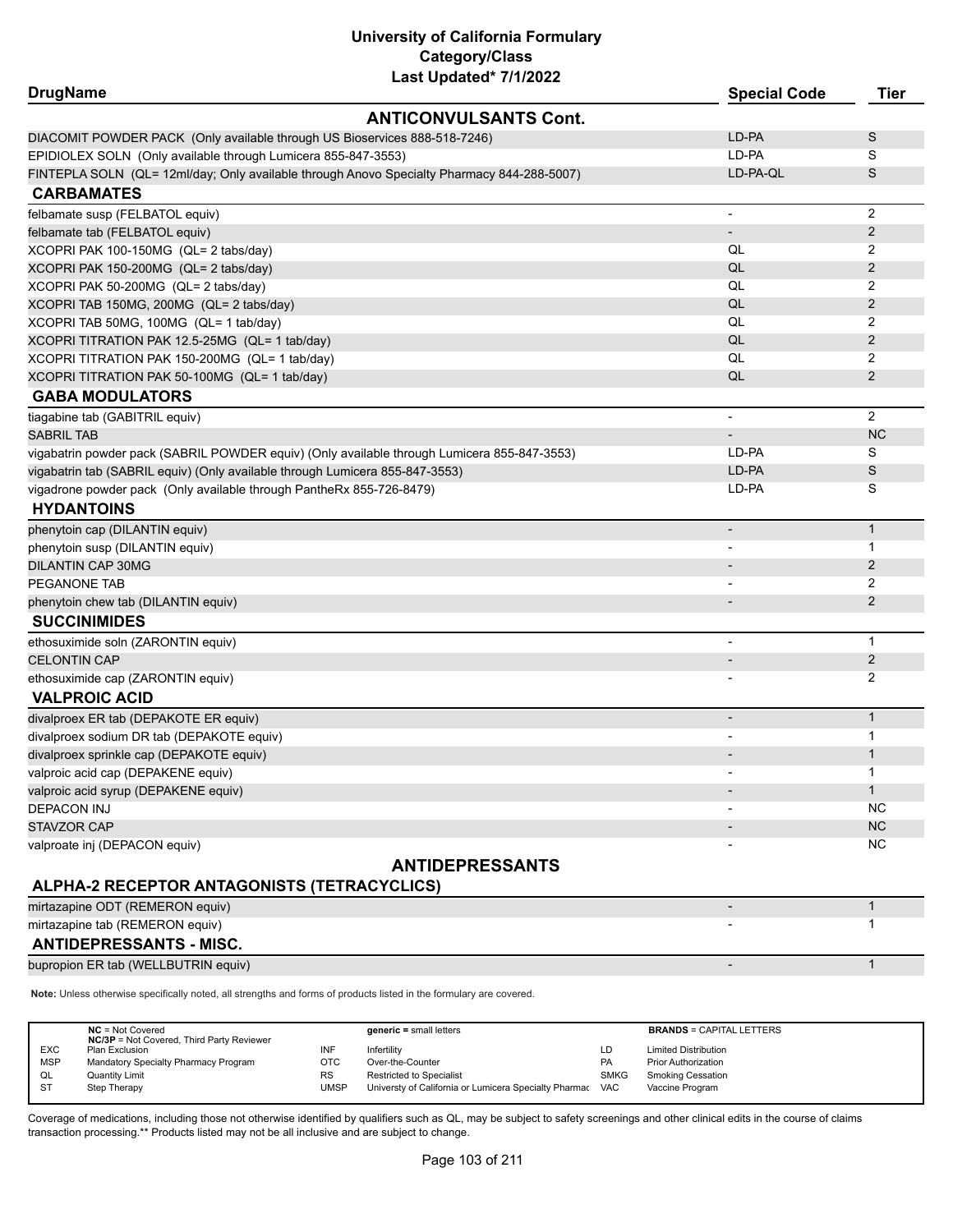| <b>ANTICONVULSANTS Cont.</b><br>LD-PA<br>S<br>DIACOMIT POWDER PACK (Only available through US Bioservices 888-518-7246)<br>LD-PA<br>S<br>S<br>LD-PA-QL<br>FINTEPLA SOLN (QL= 12ml/day; Only available through Anovo Specialty Pharmacy 844-288-5007)<br>2<br>felbamate susp (FELBATOL equiv)<br>$\overline{\phantom{a}}$<br>2<br>felbamate tab (FELBATOL equiv)<br>$\overline{\phantom{a}}$<br>QL<br>2<br>XCOPRI PAK 100-150MG (QL= 2 tabs/day)<br>QL<br>$\overline{2}$<br>XCOPRI PAK 150-200MG (QL= 2 tabs/day)<br>QL<br>2<br>QL<br>$\overline{2}$<br>XCOPRI TAB 150MG, 200MG (QL= 2 tabs/day)<br>QL<br>2<br>XCOPRI TITRATION PAK 12.5-25MG (QL= 1 tab/day)<br>QL<br>2<br>QL<br>XCOPRI TITRATION PAK 150-200MG (QL= 1 tab/day)<br>2<br>2<br>QL<br>XCOPRI TITRATION PAK 50-100MG (QL= 1 tab/day)<br><b>GABA MODULATORS</b><br>$\overline{2}$<br>tiagabine tab (GABITRIL equiv)<br>$\overline{\phantom{a}}$<br><b>NC</b><br><b>SABRIL TAB</b><br>$\overline{\phantom{a}}$<br>LD-PA<br>S<br>vigabatrin powder pack (SABRIL POWDER equiv) (Only available through Lumicera 855-847-3553)<br>S<br>vigabatrin tab (SABRIL equiv) (Only available through Lumicera 855-847-3553)<br>LD-PA<br>LD-PA<br>S<br>vigadrone powder pack (Only available through PantheRx 855-726-8479)<br><b>HYDANTOINS</b><br>$\mathbf{1}$<br>phenytoin cap (DILANTIN equiv)<br>$\overline{\phantom{a}}$<br>1<br>phenytoin susp (DILANTIN equiv)<br>$\overline{\phantom{a}}$<br>2<br><b>DILANTIN CAP 30MG</b><br>$\overline{\phantom{a}}$<br>2<br>PEGANONE TAB<br>2<br>phenytoin chew tab (DILANTIN equiv)<br>$\overline{\phantom{a}}$<br><b>SUCCINIMIDES</b><br>$\mathbf{1}$<br>ethosuximide soln (ZARONTIN equiv)<br>$\overline{\phantom{a}}$<br>2<br><b>CELONTIN CAP</b><br>$\overline{\phantom{a}}$<br>2<br>ethosuximide cap (ZARONTIN equiv)<br><b>VALPROIC ACID</b><br>$\mathbf{1}$<br>divalproex ER tab (DEPAKOTE ER equiv)<br>$\overline{\phantom{a}}$<br>1<br>$\mathbf{1}$<br>divalproex sprinkle cap (DEPAKOTE equiv)<br>1<br>valproic acid cap (DEPAKENE equiv)<br>$\mathbf{1}$<br>valproic acid syrup (DEPAKENE equiv)<br>NC.<br><b>DEPACON INJ</b><br>NC<br><b>STAVZOR CAP</b><br>NC.<br>valproate inj (DEPACON equiv)<br><b>ANTIDEPRESSANTS</b><br>ALPHA-2 RECEPTOR ANTAGONISTS (TETRACYCLICS)<br>$\mathbf{1}$<br>mirtazapine ODT (REMERON equiv)<br>mirtazapine tab (REMERON equiv)<br>1 |                                                               | Last updated" //1/2022 |                     |      |
|-----------------------------------------------------------------------------------------------------------------------------------------------------------------------------------------------------------------------------------------------------------------------------------------------------------------------------------------------------------------------------------------------------------------------------------------------------------------------------------------------------------------------------------------------------------------------------------------------------------------------------------------------------------------------------------------------------------------------------------------------------------------------------------------------------------------------------------------------------------------------------------------------------------------------------------------------------------------------------------------------------------------------------------------------------------------------------------------------------------------------------------------------------------------------------------------------------------------------------------------------------------------------------------------------------------------------------------------------------------------------------------------------------------------------------------------------------------------------------------------------------------------------------------------------------------------------------------------------------------------------------------------------------------------------------------------------------------------------------------------------------------------------------------------------------------------------------------------------------------------------------------------------------------------------------------------------------------------------------------------------------------------------------------------------------------------------------------------------------------------------------------------------------------------------------------------------------------------------------------------------------------------------------------------------------------------------------------------------------------------------------|---------------------------------------------------------------|------------------------|---------------------|------|
|                                                                                                                                                                                                                                                                                                                                                                                                                                                                                                                                                                                                                                                                                                                                                                                                                                                                                                                                                                                                                                                                                                                                                                                                                                                                                                                                                                                                                                                                                                                                                                                                                                                                                                                                                                                                                                                                                                                                                                                                                                                                                                                                                                                                                                                                                                                                                                             | <b>DrugName</b>                                               |                        | <b>Special Code</b> | Tier |
|                                                                                                                                                                                                                                                                                                                                                                                                                                                                                                                                                                                                                                                                                                                                                                                                                                                                                                                                                                                                                                                                                                                                                                                                                                                                                                                                                                                                                                                                                                                                                                                                                                                                                                                                                                                                                                                                                                                                                                                                                                                                                                                                                                                                                                                                                                                                                                             |                                                               |                        |                     |      |
|                                                                                                                                                                                                                                                                                                                                                                                                                                                                                                                                                                                                                                                                                                                                                                                                                                                                                                                                                                                                                                                                                                                                                                                                                                                                                                                                                                                                                                                                                                                                                                                                                                                                                                                                                                                                                                                                                                                                                                                                                                                                                                                                                                                                                                                                                                                                                                             |                                                               |                        |                     |      |
|                                                                                                                                                                                                                                                                                                                                                                                                                                                                                                                                                                                                                                                                                                                                                                                                                                                                                                                                                                                                                                                                                                                                                                                                                                                                                                                                                                                                                                                                                                                                                                                                                                                                                                                                                                                                                                                                                                                                                                                                                                                                                                                                                                                                                                                                                                                                                                             | EPIDIOLEX SOLN (Only available through Lumicera 855-847-3553) |                        |                     |      |
|                                                                                                                                                                                                                                                                                                                                                                                                                                                                                                                                                                                                                                                                                                                                                                                                                                                                                                                                                                                                                                                                                                                                                                                                                                                                                                                                                                                                                                                                                                                                                                                                                                                                                                                                                                                                                                                                                                                                                                                                                                                                                                                                                                                                                                                                                                                                                                             |                                                               |                        |                     |      |
|                                                                                                                                                                                                                                                                                                                                                                                                                                                                                                                                                                                                                                                                                                                                                                                                                                                                                                                                                                                                                                                                                                                                                                                                                                                                                                                                                                                                                                                                                                                                                                                                                                                                                                                                                                                                                                                                                                                                                                                                                                                                                                                                                                                                                                                                                                                                                                             | <b>CARBAMATES</b>                                             |                        |                     |      |
|                                                                                                                                                                                                                                                                                                                                                                                                                                                                                                                                                                                                                                                                                                                                                                                                                                                                                                                                                                                                                                                                                                                                                                                                                                                                                                                                                                                                                                                                                                                                                                                                                                                                                                                                                                                                                                                                                                                                                                                                                                                                                                                                                                                                                                                                                                                                                                             |                                                               |                        |                     |      |
|                                                                                                                                                                                                                                                                                                                                                                                                                                                                                                                                                                                                                                                                                                                                                                                                                                                                                                                                                                                                                                                                                                                                                                                                                                                                                                                                                                                                                                                                                                                                                                                                                                                                                                                                                                                                                                                                                                                                                                                                                                                                                                                                                                                                                                                                                                                                                                             |                                                               |                        |                     |      |
|                                                                                                                                                                                                                                                                                                                                                                                                                                                                                                                                                                                                                                                                                                                                                                                                                                                                                                                                                                                                                                                                                                                                                                                                                                                                                                                                                                                                                                                                                                                                                                                                                                                                                                                                                                                                                                                                                                                                                                                                                                                                                                                                                                                                                                                                                                                                                                             |                                                               |                        |                     |      |
|                                                                                                                                                                                                                                                                                                                                                                                                                                                                                                                                                                                                                                                                                                                                                                                                                                                                                                                                                                                                                                                                                                                                                                                                                                                                                                                                                                                                                                                                                                                                                                                                                                                                                                                                                                                                                                                                                                                                                                                                                                                                                                                                                                                                                                                                                                                                                                             |                                                               |                        |                     |      |
|                                                                                                                                                                                                                                                                                                                                                                                                                                                                                                                                                                                                                                                                                                                                                                                                                                                                                                                                                                                                                                                                                                                                                                                                                                                                                                                                                                                                                                                                                                                                                                                                                                                                                                                                                                                                                                                                                                                                                                                                                                                                                                                                                                                                                                                                                                                                                                             | XCOPRI PAK 50-200MG (QL= 2 tabs/day)                          |                        |                     |      |
|                                                                                                                                                                                                                                                                                                                                                                                                                                                                                                                                                                                                                                                                                                                                                                                                                                                                                                                                                                                                                                                                                                                                                                                                                                                                                                                                                                                                                                                                                                                                                                                                                                                                                                                                                                                                                                                                                                                                                                                                                                                                                                                                                                                                                                                                                                                                                                             |                                                               |                        |                     |      |
|                                                                                                                                                                                                                                                                                                                                                                                                                                                                                                                                                                                                                                                                                                                                                                                                                                                                                                                                                                                                                                                                                                                                                                                                                                                                                                                                                                                                                                                                                                                                                                                                                                                                                                                                                                                                                                                                                                                                                                                                                                                                                                                                                                                                                                                                                                                                                                             | XCOPRI TAB 50MG, 100MG (QL= 1 tab/day)                        |                        |                     |      |
|                                                                                                                                                                                                                                                                                                                                                                                                                                                                                                                                                                                                                                                                                                                                                                                                                                                                                                                                                                                                                                                                                                                                                                                                                                                                                                                                                                                                                                                                                                                                                                                                                                                                                                                                                                                                                                                                                                                                                                                                                                                                                                                                                                                                                                                                                                                                                                             |                                                               |                        |                     |      |
|                                                                                                                                                                                                                                                                                                                                                                                                                                                                                                                                                                                                                                                                                                                                                                                                                                                                                                                                                                                                                                                                                                                                                                                                                                                                                                                                                                                                                                                                                                                                                                                                                                                                                                                                                                                                                                                                                                                                                                                                                                                                                                                                                                                                                                                                                                                                                                             |                                                               |                        |                     |      |
|                                                                                                                                                                                                                                                                                                                                                                                                                                                                                                                                                                                                                                                                                                                                                                                                                                                                                                                                                                                                                                                                                                                                                                                                                                                                                                                                                                                                                                                                                                                                                                                                                                                                                                                                                                                                                                                                                                                                                                                                                                                                                                                                                                                                                                                                                                                                                                             |                                                               |                        |                     |      |
|                                                                                                                                                                                                                                                                                                                                                                                                                                                                                                                                                                                                                                                                                                                                                                                                                                                                                                                                                                                                                                                                                                                                                                                                                                                                                                                                                                                                                                                                                                                                                                                                                                                                                                                                                                                                                                                                                                                                                                                                                                                                                                                                                                                                                                                                                                                                                                             |                                                               |                        |                     |      |
|                                                                                                                                                                                                                                                                                                                                                                                                                                                                                                                                                                                                                                                                                                                                                                                                                                                                                                                                                                                                                                                                                                                                                                                                                                                                                                                                                                                                                                                                                                                                                                                                                                                                                                                                                                                                                                                                                                                                                                                                                                                                                                                                                                                                                                                                                                                                                                             |                                                               |                        |                     |      |
|                                                                                                                                                                                                                                                                                                                                                                                                                                                                                                                                                                                                                                                                                                                                                                                                                                                                                                                                                                                                                                                                                                                                                                                                                                                                                                                                                                                                                                                                                                                                                                                                                                                                                                                                                                                                                                                                                                                                                                                                                                                                                                                                                                                                                                                                                                                                                                             |                                                               |                        |                     |      |
|                                                                                                                                                                                                                                                                                                                                                                                                                                                                                                                                                                                                                                                                                                                                                                                                                                                                                                                                                                                                                                                                                                                                                                                                                                                                                                                                                                                                                                                                                                                                                                                                                                                                                                                                                                                                                                                                                                                                                                                                                                                                                                                                                                                                                                                                                                                                                                             |                                                               |                        |                     |      |
|                                                                                                                                                                                                                                                                                                                                                                                                                                                                                                                                                                                                                                                                                                                                                                                                                                                                                                                                                                                                                                                                                                                                                                                                                                                                                                                                                                                                                                                                                                                                                                                                                                                                                                                                                                                                                                                                                                                                                                                                                                                                                                                                                                                                                                                                                                                                                                             |                                                               |                        |                     |      |
|                                                                                                                                                                                                                                                                                                                                                                                                                                                                                                                                                                                                                                                                                                                                                                                                                                                                                                                                                                                                                                                                                                                                                                                                                                                                                                                                                                                                                                                                                                                                                                                                                                                                                                                                                                                                                                                                                                                                                                                                                                                                                                                                                                                                                                                                                                                                                                             |                                                               |                        |                     |      |
|                                                                                                                                                                                                                                                                                                                                                                                                                                                                                                                                                                                                                                                                                                                                                                                                                                                                                                                                                                                                                                                                                                                                                                                                                                                                                                                                                                                                                                                                                                                                                                                                                                                                                                                                                                                                                                                                                                                                                                                                                                                                                                                                                                                                                                                                                                                                                                             |                                                               |                        |                     |      |
|                                                                                                                                                                                                                                                                                                                                                                                                                                                                                                                                                                                                                                                                                                                                                                                                                                                                                                                                                                                                                                                                                                                                                                                                                                                                                                                                                                                                                                                                                                                                                                                                                                                                                                                                                                                                                                                                                                                                                                                                                                                                                                                                                                                                                                                                                                                                                                             |                                                               |                        |                     |      |
|                                                                                                                                                                                                                                                                                                                                                                                                                                                                                                                                                                                                                                                                                                                                                                                                                                                                                                                                                                                                                                                                                                                                                                                                                                                                                                                                                                                                                                                                                                                                                                                                                                                                                                                                                                                                                                                                                                                                                                                                                                                                                                                                                                                                                                                                                                                                                                             |                                                               |                        |                     |      |
|                                                                                                                                                                                                                                                                                                                                                                                                                                                                                                                                                                                                                                                                                                                                                                                                                                                                                                                                                                                                                                                                                                                                                                                                                                                                                                                                                                                                                                                                                                                                                                                                                                                                                                                                                                                                                                                                                                                                                                                                                                                                                                                                                                                                                                                                                                                                                                             |                                                               |                        |                     |      |
|                                                                                                                                                                                                                                                                                                                                                                                                                                                                                                                                                                                                                                                                                                                                                                                                                                                                                                                                                                                                                                                                                                                                                                                                                                                                                                                                                                                                                                                                                                                                                                                                                                                                                                                                                                                                                                                                                                                                                                                                                                                                                                                                                                                                                                                                                                                                                                             |                                                               |                        |                     |      |
|                                                                                                                                                                                                                                                                                                                                                                                                                                                                                                                                                                                                                                                                                                                                                                                                                                                                                                                                                                                                                                                                                                                                                                                                                                                                                                                                                                                                                                                                                                                                                                                                                                                                                                                                                                                                                                                                                                                                                                                                                                                                                                                                                                                                                                                                                                                                                                             |                                                               |                        |                     |      |
|                                                                                                                                                                                                                                                                                                                                                                                                                                                                                                                                                                                                                                                                                                                                                                                                                                                                                                                                                                                                                                                                                                                                                                                                                                                                                                                                                                                                                                                                                                                                                                                                                                                                                                                                                                                                                                                                                                                                                                                                                                                                                                                                                                                                                                                                                                                                                                             |                                                               |                        |                     |      |
|                                                                                                                                                                                                                                                                                                                                                                                                                                                                                                                                                                                                                                                                                                                                                                                                                                                                                                                                                                                                                                                                                                                                                                                                                                                                                                                                                                                                                                                                                                                                                                                                                                                                                                                                                                                                                                                                                                                                                                                                                                                                                                                                                                                                                                                                                                                                                                             |                                                               |                        |                     |      |
|                                                                                                                                                                                                                                                                                                                                                                                                                                                                                                                                                                                                                                                                                                                                                                                                                                                                                                                                                                                                                                                                                                                                                                                                                                                                                                                                                                                                                                                                                                                                                                                                                                                                                                                                                                                                                                                                                                                                                                                                                                                                                                                                                                                                                                                                                                                                                                             |                                                               |                        |                     |      |
|                                                                                                                                                                                                                                                                                                                                                                                                                                                                                                                                                                                                                                                                                                                                                                                                                                                                                                                                                                                                                                                                                                                                                                                                                                                                                                                                                                                                                                                                                                                                                                                                                                                                                                                                                                                                                                                                                                                                                                                                                                                                                                                                                                                                                                                                                                                                                                             |                                                               |                        |                     |      |
|                                                                                                                                                                                                                                                                                                                                                                                                                                                                                                                                                                                                                                                                                                                                                                                                                                                                                                                                                                                                                                                                                                                                                                                                                                                                                                                                                                                                                                                                                                                                                                                                                                                                                                                                                                                                                                                                                                                                                                                                                                                                                                                                                                                                                                                                                                                                                                             |                                                               |                        |                     |      |
|                                                                                                                                                                                                                                                                                                                                                                                                                                                                                                                                                                                                                                                                                                                                                                                                                                                                                                                                                                                                                                                                                                                                                                                                                                                                                                                                                                                                                                                                                                                                                                                                                                                                                                                                                                                                                                                                                                                                                                                                                                                                                                                                                                                                                                                                                                                                                                             |                                                               |                        |                     |      |
|                                                                                                                                                                                                                                                                                                                                                                                                                                                                                                                                                                                                                                                                                                                                                                                                                                                                                                                                                                                                                                                                                                                                                                                                                                                                                                                                                                                                                                                                                                                                                                                                                                                                                                                                                                                                                                                                                                                                                                                                                                                                                                                                                                                                                                                                                                                                                                             |                                                               |                        |                     |      |
|                                                                                                                                                                                                                                                                                                                                                                                                                                                                                                                                                                                                                                                                                                                                                                                                                                                                                                                                                                                                                                                                                                                                                                                                                                                                                                                                                                                                                                                                                                                                                                                                                                                                                                                                                                                                                                                                                                                                                                                                                                                                                                                                                                                                                                                                                                                                                                             | divalproex sodium DR tab (DEPAKOTE equiv)                     |                        |                     |      |
|                                                                                                                                                                                                                                                                                                                                                                                                                                                                                                                                                                                                                                                                                                                                                                                                                                                                                                                                                                                                                                                                                                                                                                                                                                                                                                                                                                                                                                                                                                                                                                                                                                                                                                                                                                                                                                                                                                                                                                                                                                                                                                                                                                                                                                                                                                                                                                             |                                                               |                        |                     |      |
|                                                                                                                                                                                                                                                                                                                                                                                                                                                                                                                                                                                                                                                                                                                                                                                                                                                                                                                                                                                                                                                                                                                                                                                                                                                                                                                                                                                                                                                                                                                                                                                                                                                                                                                                                                                                                                                                                                                                                                                                                                                                                                                                                                                                                                                                                                                                                                             |                                                               |                        |                     |      |
|                                                                                                                                                                                                                                                                                                                                                                                                                                                                                                                                                                                                                                                                                                                                                                                                                                                                                                                                                                                                                                                                                                                                                                                                                                                                                                                                                                                                                                                                                                                                                                                                                                                                                                                                                                                                                                                                                                                                                                                                                                                                                                                                                                                                                                                                                                                                                                             |                                                               |                        |                     |      |
|                                                                                                                                                                                                                                                                                                                                                                                                                                                                                                                                                                                                                                                                                                                                                                                                                                                                                                                                                                                                                                                                                                                                                                                                                                                                                                                                                                                                                                                                                                                                                                                                                                                                                                                                                                                                                                                                                                                                                                                                                                                                                                                                                                                                                                                                                                                                                                             |                                                               |                        |                     |      |
|                                                                                                                                                                                                                                                                                                                                                                                                                                                                                                                                                                                                                                                                                                                                                                                                                                                                                                                                                                                                                                                                                                                                                                                                                                                                                                                                                                                                                                                                                                                                                                                                                                                                                                                                                                                                                                                                                                                                                                                                                                                                                                                                                                                                                                                                                                                                                                             |                                                               |                        |                     |      |
|                                                                                                                                                                                                                                                                                                                                                                                                                                                                                                                                                                                                                                                                                                                                                                                                                                                                                                                                                                                                                                                                                                                                                                                                                                                                                                                                                                                                                                                                                                                                                                                                                                                                                                                                                                                                                                                                                                                                                                                                                                                                                                                                                                                                                                                                                                                                                                             |                                                               |                        |                     |      |
|                                                                                                                                                                                                                                                                                                                                                                                                                                                                                                                                                                                                                                                                                                                                                                                                                                                                                                                                                                                                                                                                                                                                                                                                                                                                                                                                                                                                                                                                                                                                                                                                                                                                                                                                                                                                                                                                                                                                                                                                                                                                                                                                                                                                                                                                                                                                                                             |                                                               |                        |                     |      |
|                                                                                                                                                                                                                                                                                                                                                                                                                                                                                                                                                                                                                                                                                                                                                                                                                                                                                                                                                                                                                                                                                                                                                                                                                                                                                                                                                                                                                                                                                                                                                                                                                                                                                                                                                                                                                                                                                                                                                                                                                                                                                                                                                                                                                                                                                                                                                                             |                                                               |                        |                     |      |
|                                                                                                                                                                                                                                                                                                                                                                                                                                                                                                                                                                                                                                                                                                                                                                                                                                                                                                                                                                                                                                                                                                                                                                                                                                                                                                                                                                                                                                                                                                                                                                                                                                                                                                                                                                                                                                                                                                                                                                                                                                                                                                                                                                                                                                                                                                                                                                             |                                                               |                        |                     |      |
|                                                                                                                                                                                                                                                                                                                                                                                                                                                                                                                                                                                                                                                                                                                                                                                                                                                                                                                                                                                                                                                                                                                                                                                                                                                                                                                                                                                                                                                                                                                                                                                                                                                                                                                                                                                                                                                                                                                                                                                                                                                                                                                                                                                                                                                                                                                                                                             |                                                               |                        |                     |      |
|                                                                                                                                                                                                                                                                                                                                                                                                                                                                                                                                                                                                                                                                                                                                                                                                                                                                                                                                                                                                                                                                                                                                                                                                                                                                                                                                                                                                                                                                                                                                                                                                                                                                                                                                                                                                                                                                                                                                                                                                                                                                                                                                                                                                                                                                                                                                                                             | <b>ANTIDEPRESSANTS - MISC.</b>                                |                        |                     |      |

bupropion ER tab (WELLBUTRIN equiv) and the control of the control of the control of the control of the control of the control of the control of the control of the control of the control of the control of the control of th

**Note:** Unless otherwise specifically noted, all strengths and forms of products listed in the formulary are covered.

|                                                                                                                                                                           |                                 |                                                                                          | <b>BRANDS = CAPITAL LETTERS</b>                                                                |
|---------------------------------------------------------------------------------------------------------------------------------------------------------------------------|---------------------------------|------------------------------------------------------------------------------------------|------------------------------------------------------------------------------------------------|
|                                                                                                                                                                           |                                 |                                                                                          |                                                                                                |
|                                                                                                                                                                           |                                 |                                                                                          |                                                                                                |
|                                                                                                                                                                           |                                 |                                                                                          | <b>Limited Distribution</b>                                                                    |
|                                                                                                                                                                           |                                 |                                                                                          | <b>Prior Authorization</b>                                                                     |
|                                                                                                                                                                           |                                 |                                                                                          |                                                                                                |
|                                                                                                                                                                           |                                 |                                                                                          | <b>Smoking Cessation</b>                                                                       |
|                                                                                                                                                                           |                                 |                                                                                          |                                                                                                |
|                                                                                                                                                                           |                                 |                                                                                          | Vaccine Program                                                                                |
|                                                                                                                                                                           |                                 |                                                                                          |                                                                                                |
| $NC = Not Covered$<br><b>NC/3P</b> = Not Covered, Third Party Reviewer<br>Plan Exclusion<br>Mandatory Specialty Pharmacy Program<br><b>Quantity Limit</b><br>Step Therapy | INF<br>отс<br><b>RS</b><br>UMSP | $generic = small letters$<br>Infertility<br>Over-the-Counter<br>Restricted to Specialist | LD<br>PA<br><b>SMKG</b><br>Universty of California or Lumicera Specialty Pharmac<br><b>VAC</b> |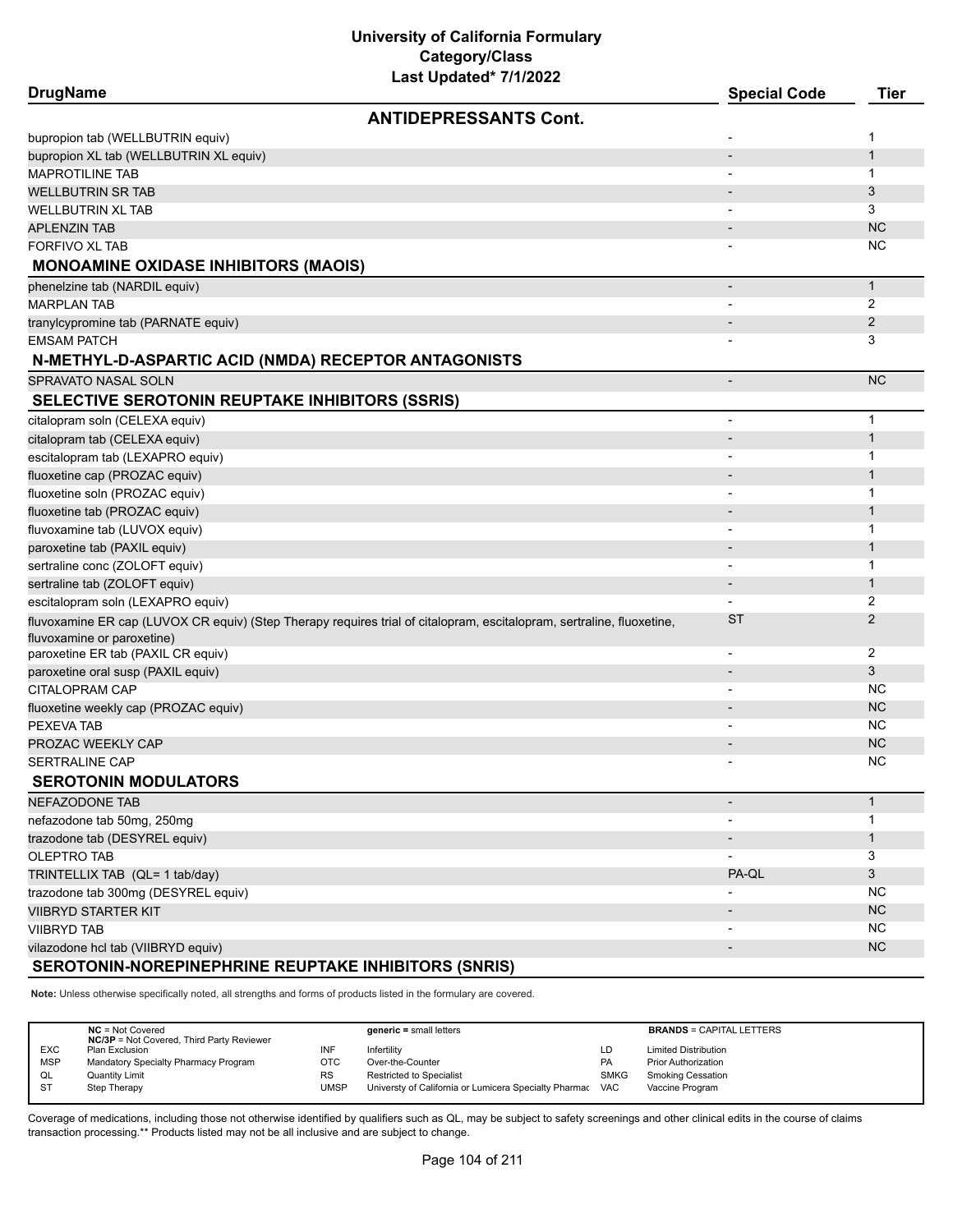**DrugName Special Code Tier ANTIDEPRESSANTS Cont.** bupropion tab (WELLBUTRIN equiv) and the control of the control of the control of the control of the control of the control of the control of the control of the control of the control of the control of the control of the c bupropion XL tab (WELLBUTRIN XL equiv) - 1 MAPROTILINE TAB - 1 WELLBUTRIN SR TAB - 3 WELLBUTRIN XL TAB - 3 APLENZIN TAB - NC NORTH AND THE SERVICE OF THE SERVICE OF THE SERVICE OF THE SERVICE OF THE SERVICE OF THE SERVICE OF THE SERVICE OF THE SERVICE OF THE SERVICE OF THE SERVICE OF THE SERVICE OF THE SERVICE OF THE SERVICE OF FORFIVO XL TAB - NC NORTH AND THE SERVICE OF THE SERVICE OF THE SERVICE OF THE SERVICE OF THE SERVICE OF THE SERVICE OF THE SERVICE OF THE SERVICE OF THE SERVICE OF THE SERVICE OF THE SERVICE OF THE SERVICE OF THE SERVICE **MONOAMINE OXIDASE INHIBITORS (MAOIS)** phenelzine tab (NARDIL equiv) - 1 MARPLAN TAB - 2 tranylcypromine tab (PARNATE equiv) - 2 EMSAM PATCH - 3 **N-METHYL-D-ASPARTIC ACID (NMDA) RECEPTOR ANTAGONISTS** SPRAVATO NASAL SOLN - NC **SELECTIVE SEROTONIN REUPTAKE INHIBITORS (SSRIS)** citalopram soln (CELEXA equiv) and the control of the control of the control of the control of the control of the control of the control of the control of the control of the control of the control of the control of the con citalopram tab (CELEXA equiv) - 1 escitalopram tab (LEXAPRO equiv) and the contract of the contract of the contract of the contract of the contract of the contract of the contract of the contract of the contract of the contract of the contract of the contr fluoxetine cap (PROZAC equiv) - 1 fluoxetine soln (PROZAC equiv) and the state of the state of the state of the state of the state of the state of the state of the state of the state of the state of the state of the state of the state of the state of the s **fluoxetine tab (PROZAC equiv)** 1 fluvoxamine tab (LUVOX equiv) - 1 paroxetine tab (PAXIL equiv) and the contract of the contract of the contract of the contract of the contract of the contract of the contract of the contract of the contract of the contract of the contract of the contract sertraline conc (ZOLOFT equiv) and the concerning of the concerning of the concerning of the concerning of the concerning of the concerning of the concerning of the concerning of the concerning of the concerning of the con sertraline tab (ZOLOFT equiv) - 1 escitalopram soln (LEXAPRO equiv) and the control of the control of the control of the control of the control of the control of the control of the control of the control of the control of the control of the control of the fluvoxamine ER cap (LUVOX CR equiv) (Step Therapy requires trial of citalopram, escitalopram, sertraline, fluoxetine, fluvoxamine or paroxetine)  $ST$  2 paroxetine ER tab (PAXIL CR equiv) 2 paroxetine oral susp (PAXIL equiv) - 3  $\sim$  3  $\sim$  3  $\sim$  3  $\sim$  3  $\sim$  3  $\sim$  3  $\sim$  3  $\sim$  3  $\sim$  3  $\sim$  3  $\sim$  3  $\sim$  3  $\sim$  3  $\sim$  3  $\sim$  3  $\sim$  3  $\sim$  3  $\sim$  3  $\sim$  3  $\sim$  3  $\sim$  3  $\sim$  3  $\sim$  3  $\sim$  3  $\sim$  3  $\sim$  3 CITALOPRAM CAP - NC fluoxetine weekly cap (PROZAC equiv) - NC PEXEVA TAB - NC PROZAC WEEKLY CAP - NC SERTRALINE CAP - NC **SEROTONIN MODULATORS** NEFAZODONE TAB - 1 nefazodone tab 50mg, 250mg - 1 trazodone tab (DESYREL equiv) - 1 OLEPTRO TAB - 3 TRINTELLIX TAB (QL= 1 tab/day) and the control of the control of the control of the control of the control of the control of the control of the control of the control of the control of the control of the control of the con trazodone tab 300mg (DESYREL equiv) and the state of the state of the state of the state of the state of the state of the state of the state of the state of the state of the state of the state of the state of the state of VIIBRYD STARTER KIT ANDERS OP DE GENERALISME DE GENERALISME DE GENERALISME DE GENERALISME DE GENERALISME DE GE VIIBRYD TAB - NC vilazodone hcl tab (VIIBRYD equiv) - NC **SEROTONIN-NOREPINEPHRINE REUPTAKE INHIBITORS (SNRIS)**

**Note:** Unless otherwise specifically noted, all strengths and forms of products listed in the formulary are covered.

|            | $NC = Not Covered$                               |           | $generic = small letters$                             |             | <b>BRANDS = CAPITAL LETTERS</b> |
|------------|--------------------------------------------------|-----------|-------------------------------------------------------|-------------|---------------------------------|
|            | <b>NC/3P</b> = Not Covered, Third Party Reviewer |           |                                                       |             |                                 |
| <b>EXC</b> | Plan Exclusion                                   | INF       | Infertilitv                                           | LD          | <b>Limited Distribution</b>     |
| <b>MSP</b> | Mandatory Specialty Pharmacy Program             | отс       | Over-the-Counter                                      | PA          | <b>Prior Authorization</b>      |
| QL         | <b>Quantity Limit</b>                            | <b>RS</b> | <b>Restricted to Specialist</b>                       | <b>SMKG</b> | <b>Smoking Cessation</b>        |
| <b>ST</b>  | Step Therapy                                     | UMSP      | Universty of California or Lumicera Specialty Pharmac | <b>VAC</b>  | Vaccine Program                 |
|            |                                                  |           |                                                       |             |                                 |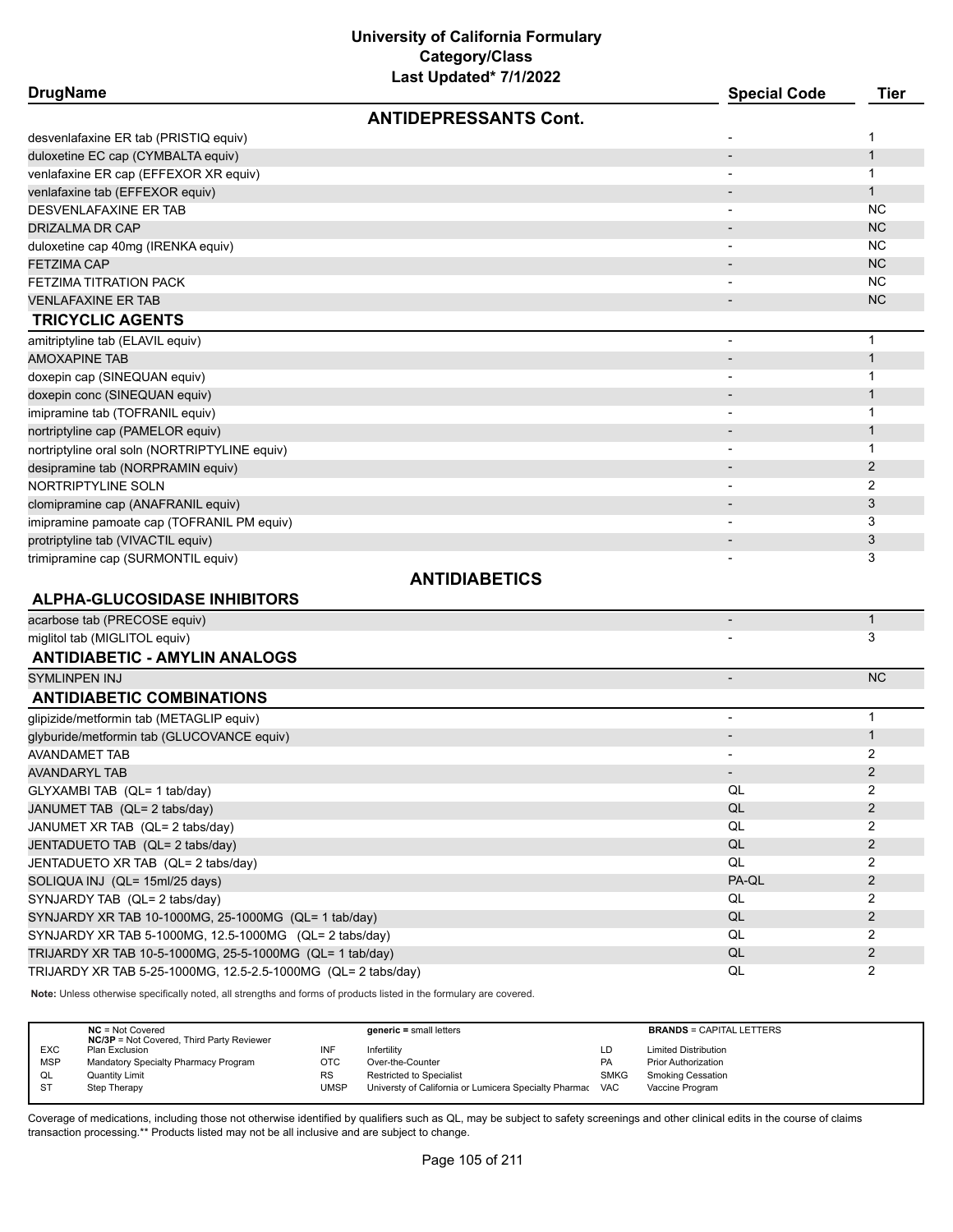| <b>DrugName</b>                                               | Last Upuatou 1111/2022       | <b>Special Code</b>      | <b>Tier</b>    |
|---------------------------------------------------------------|------------------------------|--------------------------|----------------|
|                                                               | <b>ANTIDEPRESSANTS Cont.</b> |                          |                |
| desvenlafaxine ER tab (PRISTIQ equiv)                         |                              |                          | 1              |
| duloxetine EC cap (CYMBALTA equiv)                            |                              |                          | $\mathbf{1}$   |
| venlafaxine ER cap (EFFEXOR XR equiv)                         |                              |                          | $\mathbf{1}$   |
| venlafaxine tab (EFFEXOR equiv)                               |                              |                          | $\mathbf{1}$   |
| DESVENLAFAXINE ER TAB                                         |                              | $\overline{\phantom{a}}$ | <b>NC</b>      |
| DRIZALMA DR CAP                                               |                              |                          | <b>NC</b>      |
| duloxetine cap 40mg (IRENKA equiv)                            |                              |                          | <b>NC</b>      |
| FETZIMA CAP                                                   |                              |                          | <b>NC</b>      |
| FETZIMA TITRATION PACK                                        |                              |                          | NC.            |
| <b>VENLAFAXINE ER TAB</b>                                     |                              | $\overline{\phantom{a}}$ | <b>NC</b>      |
| <b>TRICYCLIC AGENTS</b>                                       |                              |                          |                |
| amitriptyline tab (ELAVIL equiv)                              |                              |                          | $\mathbf 1$    |
| AMOXAPINE TAB                                                 |                              |                          | $\mathbf{1}$   |
| doxepin cap (SINEQUAN equiv)                                  |                              |                          | 1              |
| doxepin conc (SINEQUAN equiv)                                 |                              |                          | $\mathbf{1}$   |
| imipramine tab (TOFRANIL equiv)                               |                              |                          | 1              |
| nortriptyline cap (PAMELOR equiv)                             |                              |                          | $\mathbf{1}$   |
| nortriptyline oral soln (NORTRIPTYLINE equiv)                 |                              |                          | 1              |
| desipramine tab (NORPRAMIN equiv)                             |                              |                          | $\overline{2}$ |
| NORTRIPTYLINE SOLN                                            |                              |                          | 2              |
| clomipramine cap (ANAFRANIL equiv)                            |                              |                          | 3              |
| imipramine pamoate cap (TOFRANIL PM equiv)                    |                              |                          | 3              |
| protriptyline tab (VIVACTIL equiv)                            |                              |                          | 3              |
| trimipramine cap (SURMONTIL equiv)                            |                              |                          | 3              |
|                                                               | <b>ANTIDIABETICS</b>         |                          |                |
| <b>ALPHA-GLUCOSIDASE INHIBITORS</b>                           |                              |                          |                |
| acarbose tab (PRECOSE equiv)                                  |                              |                          | $\mathbf{1}$   |
| miglitol tab (MIGLITOL equiv)                                 |                              |                          | 3              |
| <b>ANTIDIABETIC - AMYLIN ANALOGS</b>                          |                              |                          |                |
| <b>SYMLINPEN INJ</b>                                          |                              |                          | <b>NC</b>      |
| <b>ANTIDIABETIC COMBINATIONS</b>                              |                              |                          |                |
| glipizide/metformin tab (METAGLIP equiv)                      |                              | $\overline{\phantom{a}}$ | $\mathbf{1}$   |
| glyburide/metformin tab (GLUCOVANCE equiv)                    |                              |                          | $\mathbf{1}$   |
| <b>AVANDAMET TAB</b>                                          |                              |                          | 2              |
| AVANDARYL TAB                                                 |                              |                          | $\overline{2}$ |
| GLYXAMBI TAB (QL= 1 tab/day)                                  |                              | QL                       | 2              |
| JANUMET TAB (QL= 2 tabs/day)                                  |                              | $\mathsf{QL}$            | $\overline{2}$ |
| JANUMET XR TAB (QL= 2 tabs/day)                               |                              | QL                       | $\overline{2}$ |
| JENTADUETO TAB (QL= 2 tabs/day)                               |                              | $\mathsf{QL}$            | $\overline{2}$ |
| JENTADUETO XR TAB (QL= 2 tabs/day)                            |                              | QL                       | 2              |
| SOLIQUA INJ (QL= 15ml/25 days)                                |                              | PA-QL                    | $\overline{2}$ |
| SYNJARDY TAB (QL= 2 tabs/day)                                 |                              | QL                       | $\overline{2}$ |
| SYNJARDY XR TAB 10-1000MG, 25-1000MG (QL= 1 tab/day)          |                              | QL                       | $\overline{2}$ |
| SYNJARDY XR TAB 5-1000MG, 12.5-1000MG (QL= 2 tabs/day)        |                              | QL                       | 2              |
| TRIJARDY XR TAB 10-5-1000MG, 25-5-1000MG (QL= 1 tab/day)      |                              | QL                       | $\overline{2}$ |
| TRIJARDY XR TAB 5-25-1000MG, 12.5-2.5-1000MG (QL= 2 tabs/day) |                              | QL                       | $\overline{2}$ |
|                                                               |                              |                          |                |

**Note:** Unless otherwise specifically noted, all strengths and forms of products listed in the formulary are covered.

|            | $NC = Not Covered$<br><b>NC/3P</b> = Not Covered, Third Party Reviewer |      | $generic = small letters$                                 |             | <b>BRANDS = CAPITAL LETTERS</b> |
|------------|------------------------------------------------------------------------|------|-----------------------------------------------------------|-------------|---------------------------------|
| <b>EXC</b> | Plan Exclusion                                                         | INF  | Infertility                                               | LD          | <b>Limited Distribution</b>     |
| <b>MSP</b> | Mandatory Specialty Pharmacy Program                                   | OTC  | Over-the-Counter                                          | <b>PA</b>   | <b>Prior Authorization</b>      |
| QL         | <b>Quantity Limit</b>                                                  | RS   | Restricted to Specialist                                  | <b>SMKG</b> | <b>Smoking Cessation</b>        |
| <b>ST</b>  | Step Therapy                                                           | UMSP | Universty of California or Lumicera Specialty Pharmac VAC |             | Vaccine Program                 |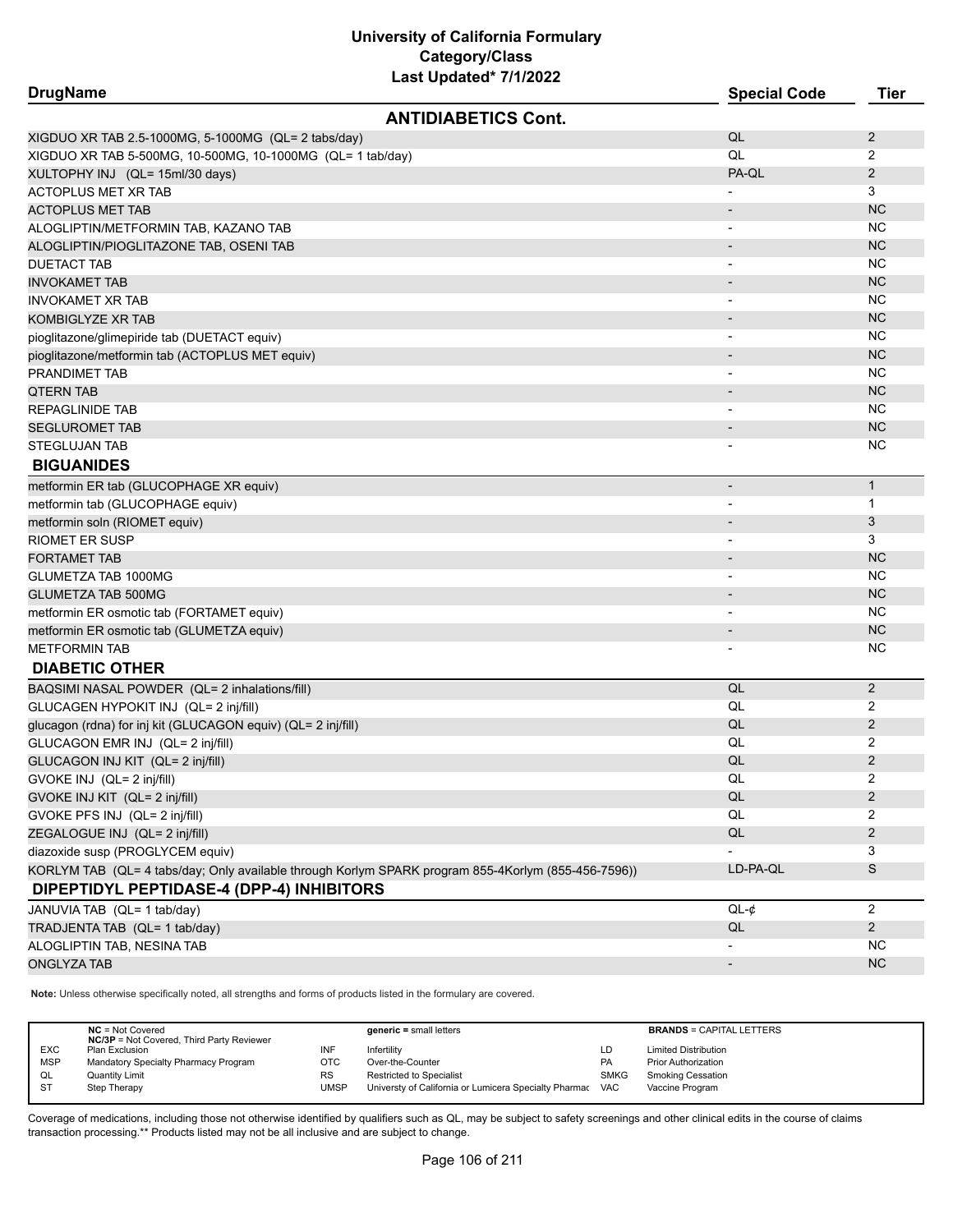| <b>DrugName</b>                                                                                     | <b>Special Code</b>      | <b>Tier</b>    |
|-----------------------------------------------------------------------------------------------------|--------------------------|----------------|
| <b>ANTIDIABETICS Cont.</b>                                                                          |                          |                |
| XIGDUO XR TAB 2.5-1000MG, 5-1000MG (QL= 2 tabs/day)                                                 | QL                       | 2              |
| XIGDUO XR TAB 5-500MG, 10-500MG, 10-1000MG (QL= 1 tab/day)                                          | QL                       | 2              |
| XULTOPHY INJ (QL= 15ml/30 days)                                                                     | PA-QL                    | $\overline{2}$ |
| <b>ACTOPLUS MET XR TAB</b>                                                                          |                          | 3              |
| <b>ACTOPLUS MET TAB</b>                                                                             |                          | <b>NC</b>      |
| ALOGLIPTIN/METFORMIN TAB, KAZANO TAB                                                                |                          | <b>NC</b>      |
| ALOGLIPTIN/PIOGLITAZONE TAB, OSENI TAB                                                              |                          | <b>NC</b>      |
| <b>DUETACT TAB</b>                                                                                  |                          | <b>NC</b>      |
| INVOKAMET TAB                                                                                       |                          | <b>NC</b>      |
| <b>INVOKAMET XR TAB</b>                                                                             |                          | <b>NC</b>      |
| KOMBIGLYZE XR TAB                                                                                   |                          | <b>NC</b>      |
| pioglitazone/glimepiride tab (DUETACT equiv)                                                        |                          | NC.            |
| pioglitazone/metformin tab (ACTOPLUS MET equiv)                                                     |                          | <b>NC</b>      |
| PRANDIMET TAB                                                                                       |                          | NC             |
| <b>QTERN TAB</b>                                                                                    |                          | <b>NC</b>      |
| REPAGLINIDE TAB                                                                                     |                          | <b>NC</b>      |
| <b>SEGLUROMET TAB</b>                                                                               |                          | <b>NC</b>      |
| <b>STEGLUJAN TAB</b>                                                                                |                          | <b>NC</b>      |
| <b>BIGUANIDES</b>                                                                                   |                          |                |
| metformin ER tab (GLUCOPHAGE XR equiv)                                                              | $\overline{\phantom{a}}$ | $\mathbf{1}$   |
| metformin tab (GLUCOPHAGE equiv)                                                                    |                          | 1              |
| metformin soln (RIOMET equiv)                                                                       |                          | 3              |
| <b>RIOMET ER SUSP</b>                                                                               |                          | 3              |
| <b>FORTAMET TAB</b>                                                                                 |                          | <b>NC</b>      |
| GLUMETZA TAB 1000MG                                                                                 |                          | NC.            |
| GLUMETZA TAB 500MG                                                                                  |                          | <b>NC</b>      |
| metformin ER osmotic tab (FORTAMET equiv)                                                           | $\overline{\phantom{a}}$ | NC.            |
| metformin ER osmotic tab (GLUMETZA equiv)                                                           |                          | <b>NC</b>      |
| <b>METFORMIN TAB</b>                                                                                |                          | <b>NC</b>      |
| <b>DIABETIC OTHER</b>                                                                               |                          |                |
| BAQSIMI NASAL POWDER (QL= 2 inhalations/fill)                                                       | QL                       | $\overline{2}$ |
| GLUCAGEN HYPOKIT INJ (QL= 2 inj/fill)                                                               | QL                       | 2              |
| glucagon (rdna) for inj kit (GLUCAGON equiv) (QL= 2 inj/fill)                                       | QL                       | $\overline{2}$ |
| GLUCAGON EMR INJ (QL= 2 inj/fill)                                                                   | QL                       | 2              |
| GLUCAGON INJ KIT (QL= 2 inj/fill)                                                                   | QL                       | $\overline{2}$ |
| GVOKE INJ (QL= 2 inj/fill)                                                                          | QL                       | 2              |
| GVOKE INJ KIT (QL= 2 inj/fill)                                                                      | QL                       | $\overline{2}$ |
| GVOKE PFS INJ (QL= 2 inj/fill)                                                                      | QL                       | 2              |
| ZEGALOGUE INJ (QL= 2 inj/fill)                                                                      | QL                       | $\overline{2}$ |
| diazoxide susp (PROGLYCEM equiv)                                                                    |                          | 3              |
| KORLYM TAB (QL= 4 tabs/day; Only available through Korlym SPARK program 855-4Korlym (855-456-7596)) | LD-PA-QL                 | S              |
| DIPEPTIDYL PEPTIDASE-4 (DPP-4) INHIBITORS                                                           |                          |                |
| JANUVIA TAB (QL= 1 tab/day)                                                                         | $QL-¢$                   | $\overline{2}$ |
| TRADJENTA TAB (QL= 1 tab/day)                                                                       | QL                       | $\overline{2}$ |
| ALOGLIPTIN TAB, NESINA TAB                                                                          |                          | <b>NC</b>      |
| <b>ONGLYZA TAB</b>                                                                                  | $\overline{\phantom{a}}$ | <b>NC</b>      |

**Note:** Unless otherwise specifically noted, all strengths and forms of products listed in the formulary are covered.

|                              | $NC = Not Covered$<br><b>NC/3P</b> = Not Covered, Third Party Reviewer | $generic = small letters$                             |             | <b>BRANDS = CAPITAL LETTERS</b> |
|------------------------------|------------------------------------------------------------------------|-------------------------------------------------------|-------------|---------------------------------|
| <b>EXC</b><br>Plan Exclusion | INF                                                                    | Infertilitv                                           | LD          | <b>Limited Distribution</b>     |
| <b>MSP</b>                   | Mandatory Specialty Pharmacy Program<br>ОТС                            | Over-the-Counter                                      | PA          | <b>Prior Authorization</b>      |
| QL<br><b>Quantity Limit</b>  | <b>RS</b>                                                              | <b>Restricted to Specialist</b>                       | <b>SMKG</b> | <b>Smoking Cessation</b>        |
| $S^{T}$<br>Step Therapy      | <b>UMSP</b>                                                            | Universty of California or Lumicera Specialty Pharmac | <b>VAC</b>  | Vaccine Program                 |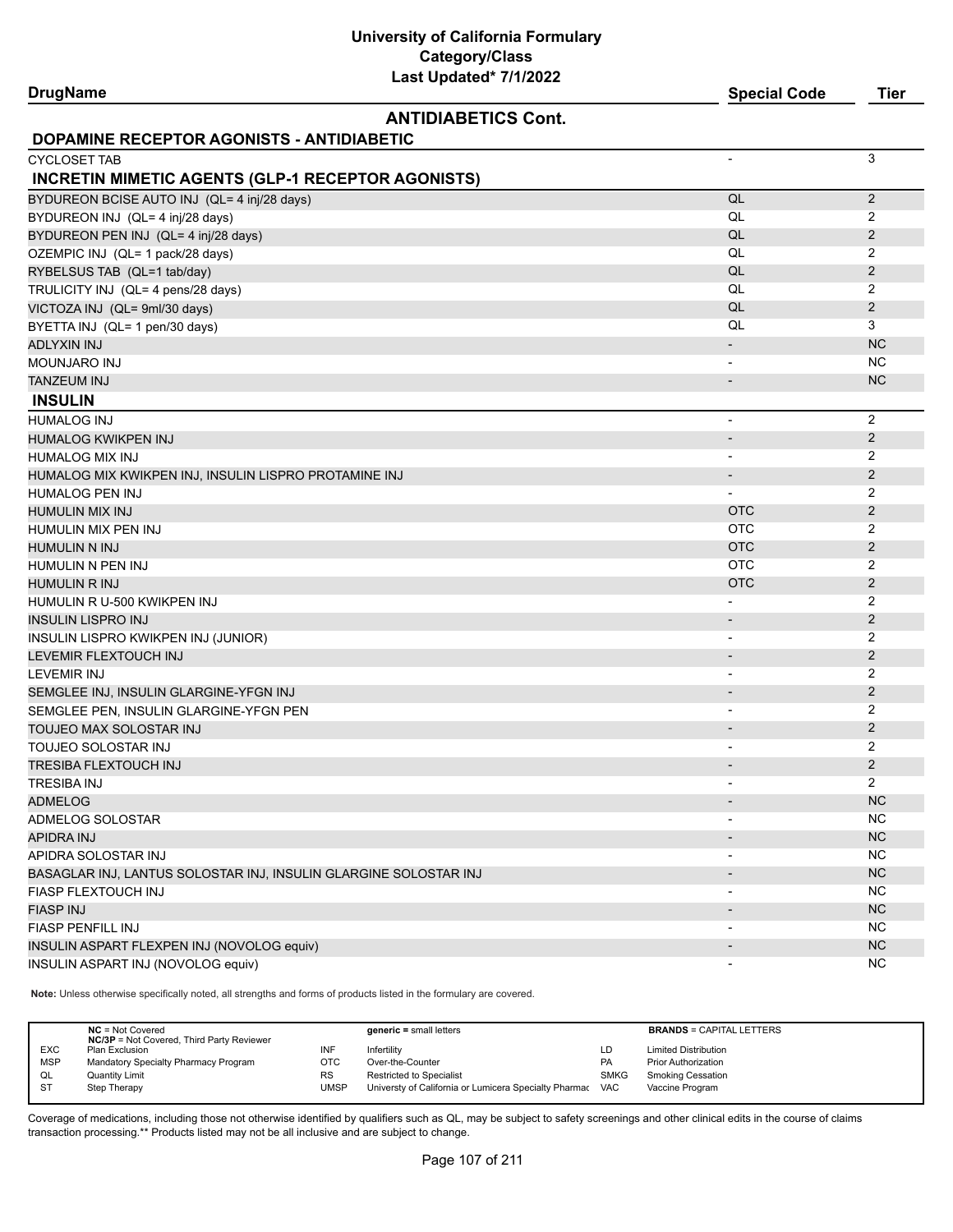# **University of California Formulary Category/Class**

| Last Updated* 7/1/2022<br><b>DrugName</b>                        | <b>Special Code</b>      | Tier           |
|------------------------------------------------------------------|--------------------------|----------------|
| <b>ANTIDIABETICS Cont.</b>                                       |                          |                |
| DOPAMINE RECEPTOR AGONISTS - ANTIDIABETIC                        |                          |                |
| <b>CYCLOSET TAB</b>                                              | $\overline{\phantom{a}}$ | 3              |
| <b>INCRETIN MIMETIC AGENTS (GLP-1 RECEPTOR AGONISTS)</b>         |                          |                |
| BYDUREON BCISE AUTO INJ (QL= 4 inj/28 days)                      | QL                       | $\overline{2}$ |
| BYDUREON INJ (QL= 4 inj/28 days)                                 | QL                       | 2              |
| BYDUREON PEN INJ (QL= 4 inj/28 days)                             | QL                       | 2              |
| OZEMPIC INJ (QL= 1 pack/28 days)                                 | QL                       | 2              |
| RYBELSUS TAB (QL=1 tab/day)                                      | QL                       | 2              |
| TRULICITY INJ (QL= 4 pens/28 days)                               | QL                       | 2              |
| VICTOZA INJ (QL= 9ml/30 days)                                    | QL                       | 2              |
| BYETTA INJ (QL= 1 pen/30 days)                                   | QL                       | 3              |
| <b>ADLYXIN INJ</b>                                               | $\overline{\phantom{a}}$ | <b>NC</b>      |
| MOUNJARO INJ                                                     | $\blacksquare$           | <b>NC</b>      |
| TANZEUM INJ                                                      | $\overline{\phantom{a}}$ | <b>NC</b>      |
| <b>INSULIN</b>                                                   |                          |                |
| <b>HUMALOG INJ</b>                                               | $\overline{\phantom{a}}$ | 2              |
| HUMALOG KWIKPEN INJ                                              | $\overline{\phantom{a}}$ | 2              |
| <b>HUMALOG MIX INJ</b>                                           |                          | 2              |
| HUMALOG MIX KWIKPEN INJ, INSULIN LISPRO PROTAMINE INJ            | $\overline{\phantom{a}}$ | $\overline{2}$ |
| <b>HUMALOG PEN INJ</b>                                           |                          | 2              |
| HUMULIN MIX INJ                                                  | <b>OTC</b>               | 2              |
| HUMULIN MIX PEN INJ                                              | <b>OTC</b>               | 2              |
| HUMULIN N INJ                                                    | <b>OTC</b>               | $\overline{2}$ |
| HUMULIN N PEN INJ                                                | <b>OTC</b>               | 2              |
| HUMULIN R INJ                                                    | <b>OTC</b>               | 2              |
| HUMULIN R U-500 KWIKPEN INJ                                      |                          | 2              |
| <b>INSULIN LISPRO INJ</b>                                        | $\overline{\phantom{a}}$ | $\overline{2}$ |
| INSULIN LISPRO KWIKPEN INJ (JUNIOR)                              | $\overline{\phantom{a}}$ | 2              |
| LEVEMIR FLEXTOUCH INJ                                            | $\overline{\phantom{a}}$ | 2              |
| <b>LEVEMIR INJ</b>                                               |                          | 2              |
| SEMGLEE INJ, INSULIN GLARGINE-YFGN INJ                           |                          | 2              |
| SEMGLEE PEN, INSULIN GLARGINE-YFGN PEN                           | $\overline{\phantom{a}}$ | 2              |
| TOUJEO MAX SOLOSTAR INJ                                          | $\overline{\phantom{a}}$ | $\overline{2}$ |
| TOUJEO SOLOSTAR INJ                                              | $\overline{\phantom{a}}$ | 2              |
| TRESIBA FLEXTOUCH INJ                                            |                          | 2              |
| <b>TRESIBA INJ</b>                                               |                          | $\overline{2}$ |
| <b>ADMELOG</b>                                                   |                          | NC             |
| <b>ADMELOG SOLOSTAR</b>                                          |                          | <b>NC</b>      |
| <b>APIDRA INJ</b>                                                |                          | NC             |
| APIDRA SOLOSTAR INJ                                              |                          | NC             |
| BASAGLAR INJ, LANTUS SOLOSTAR INJ, INSULIN GLARGINE SOLOSTAR INJ | $\overline{\phantom{a}}$ | NC             |
| FIASP FLEXTOUCH INJ                                              | $\overline{\phantom{a}}$ | <b>NC</b>      |
| <b>FIASP INJ</b>                                                 | $\overline{\phantom{a}}$ | NC             |
| <b>FIASP PENFILL INJ</b>                                         |                          | <b>NC</b>      |
| INSULIN ASPART FLEXPEN INJ (NOVOLOG equiv)                       |                          | NC             |
| INSULIN ASPART INJ (NOVOLOG equiv)                               |                          | <b>NC</b>      |

**Note:** Unless otherwise specifically noted, all strengths and forms of products listed in the formulary are covered.

|            | $NC = Not Covered$<br><b>NC/3P</b> = Not Covered, Third Party Reviewer |           | $generic = small letters$                             |             | <b>BRANDS = CAPITAL LETTERS</b> |
|------------|------------------------------------------------------------------------|-----------|-------------------------------------------------------|-------------|---------------------------------|
| <b>EXC</b> | Plan Exclusion                                                         | INF       | Infertility                                           | LD          | <b>Limited Distribution</b>     |
| <b>MSP</b> | Mandatory Specialty Pharmacy Program                                   | отс       | Over-the-Counter                                      | PA          | <b>Prior Authorization</b>      |
| QL         | <b>Quantity Limit</b>                                                  | <b>RS</b> | <b>Restricted to Specialist</b>                       | <b>SMKG</b> | <b>Smoking Cessation</b>        |
| <b>ST</b>  | Step Therapy                                                           | UMSP      | Universty of California or Lumicera Specialty Pharmac | <b>VAC</b>  | Vaccine Program                 |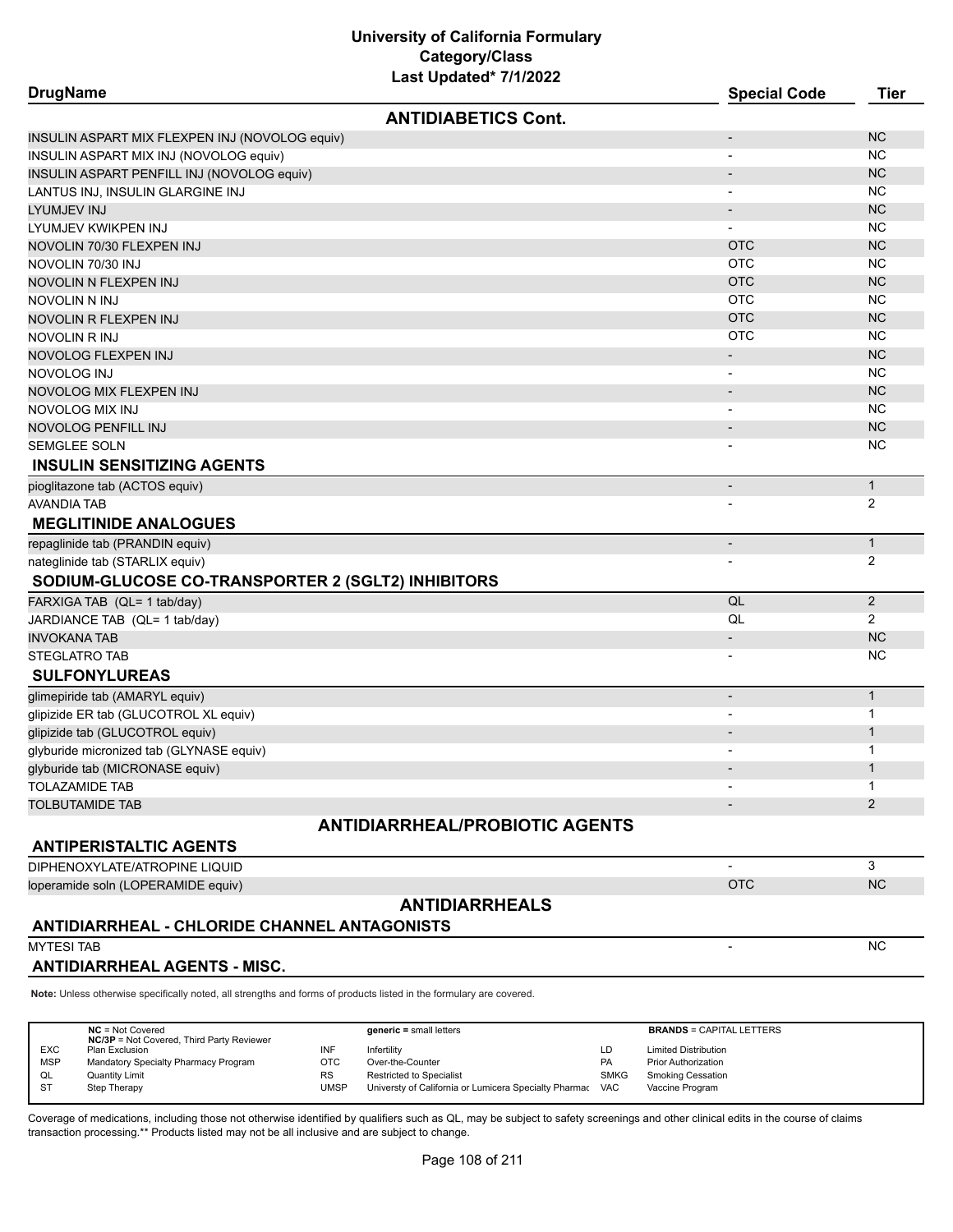| <b>DrugName</b>                                                                                                     |                                       | <b>Special Code</b>      | <b>Tier</b>    |
|---------------------------------------------------------------------------------------------------------------------|---------------------------------------|--------------------------|----------------|
|                                                                                                                     | <b>ANTIDIABETICS Cont.</b>            |                          |                |
| INSULIN ASPART MIX FLEXPEN INJ (NOVOLOG equiv)                                                                      |                                       | $\overline{\phantom{a}}$ | NC             |
| INSULIN ASPART MIX INJ (NOVOLOG equiv)                                                                              |                                       |                          | <b>NC</b>      |
| INSULIN ASPART PENFILL INJ (NOVOLOG equiv)                                                                          |                                       |                          | NC             |
| LANTUS INJ, INSULIN GLARGINE INJ                                                                                    |                                       | $\overline{\phantom{a}}$ | <b>NC</b>      |
| LYUMJEV INJ                                                                                                         |                                       | $\overline{\phantom{a}}$ | NC             |
| LYUMJEV KWIKPEN INJ                                                                                                 |                                       |                          | <b>NC</b>      |
| NOVOLIN 70/30 FLEXPEN INJ                                                                                           |                                       | <b>OTC</b>               | <b>NC</b>      |
| NOVOLIN 70/30 INJ                                                                                                   |                                       | <b>OTC</b>               | <b>NC</b>      |
| NOVOLIN N FLEXPEN INJ                                                                                               |                                       | <b>OTC</b>               | NC             |
| NOVOLIN N INJ                                                                                                       |                                       | <b>OTC</b>               | <b>NC</b>      |
| NOVOLIN R FLEXPEN INJ                                                                                               |                                       | <b>OTC</b>               | <b>NC</b>      |
| NOVOLIN R INJ                                                                                                       |                                       | <b>OTC</b>               | <b>NC</b>      |
| NOVOLOG FLEXPEN INJ                                                                                                 |                                       | $\overline{\phantom{a}}$ | NC             |
| NOVOLOG INJ                                                                                                         |                                       |                          | <b>NC</b>      |
| NOVOLOG MIX FLEXPEN INJ                                                                                             |                                       |                          | NC             |
| NOVOLOG MIX INJ                                                                                                     |                                       |                          | NC             |
| NOVOLOG PENFILL INJ                                                                                                 |                                       |                          | NC             |
| <b>SEMGLEE SOLN</b>                                                                                                 |                                       |                          | <b>NC</b>      |
| <b>INSULIN SENSITIZING AGENTS</b>                                                                                   |                                       |                          |                |
| pioglitazone tab (ACTOS equiv)                                                                                      |                                       | $\overline{\phantom{a}}$ | $\mathbf{1}$   |
| AVANDIA TAB                                                                                                         |                                       |                          | 2              |
| <b>MEGLITINIDE ANALOGUES</b>                                                                                        |                                       |                          |                |
| repaglinide tab (PRANDIN equiv)                                                                                     |                                       | $\overline{\phantom{a}}$ | $\mathbf{1}$   |
| nateglinide tab (STARLIX equiv)                                                                                     |                                       |                          | 2              |
| SODIUM-GLUCOSE CO-TRANSPORTER 2 (SGLT2) INHIBITORS                                                                  |                                       |                          |                |
| FARXIGA TAB (QL= 1 tab/day)                                                                                         |                                       | QL                       | 2              |
| JARDIANCE TAB (QL= 1 tab/day)                                                                                       |                                       | QL                       | $\overline{2}$ |
| <b>INVOKANA TAB</b>                                                                                                 |                                       | $\overline{\phantom{a}}$ | <b>NC</b>      |
| <b>STEGLATRO TAB</b>                                                                                                |                                       |                          | <b>NC</b>      |
| <b>SULFONYLUREAS</b>                                                                                                |                                       |                          |                |
| glimepiride tab (AMARYL equiv)                                                                                      |                                       | $\overline{\phantom{a}}$ | $\mathbf{1}$   |
| glipizide ER tab (GLUCOTROL XL equiv)                                                                               |                                       |                          | 1              |
| glipizide tab (GLUCOTROL equiv)                                                                                     |                                       |                          | $\mathbf{1}$   |
| glyburide micronized tab (GLYNASE equiv)                                                                            |                                       |                          | 1              |
| glyburide tab (MICRONASE equiv)                                                                                     |                                       |                          | $\mathbf{1}$   |
| <b>TOLAZAMIDE TAB</b>                                                                                               |                                       | $\overline{\phantom{a}}$ | 1              |
| <b>TOLBUTAMIDE TAB</b>                                                                                              |                                       |                          | $\overline{2}$ |
|                                                                                                                     | <b>ANTIDIARRHEAL/PROBIOTIC AGENTS</b> |                          |                |
| <b>ANTIPERISTALTIC AGENTS</b>                                                                                       |                                       |                          |                |
| DIPHENOXYLATE/ATROPINE LIQUID                                                                                       |                                       |                          | 3              |
| loperamide soln (LOPERAMIDE equiv)                                                                                  |                                       | <b>OTC</b>               | NC             |
|                                                                                                                     | <b>ANTIDIARRHEALS</b>                 |                          |                |
| <b>ANTIDIARRHEAL - CHLORIDE CHANNEL ANTAGONISTS</b>                                                                 |                                       |                          |                |
| <b>MYTESI TAB</b>                                                                                                   |                                       | $\overline{\phantom{a}}$ | <b>NC</b>      |
| <b>ANTIDIARRHEAL AGENTS - MISC.</b>                                                                                 |                                       |                          |                |
| Note: Unless otherwise specifically noted, all strengths and forms of products listed in the formulary are covered. |                                       |                          |                |

|            | $NC = Not Covered$                                                 |             | $generic = small letters$                                 |             | <b>BRANDS = CAPITAL LETTERS</b> |
|------------|--------------------------------------------------------------------|-------------|-----------------------------------------------------------|-------------|---------------------------------|
| <b>EXC</b> | <b>NC/3P</b> = Not Covered, Third Party Reviewer<br>Plan Exclusion | INF         | Infertility                                               | LD          | <b>Limited Distribution</b>     |
| <b>MSP</b> | Mandatory Specialty Pharmacy Program                               | <b>OTC</b>  | Over-the-Counter                                          | PA          | <b>Prior Authorization</b>      |
| QL         | <b>Quantity Limit</b>                                              | <b>RS</b>   | <b>Restricted to Specialist</b>                           | <b>SMKG</b> | <b>Smoking Cessation</b>        |
| <b>ST</b>  | Step Therapy                                                       | <b>UMSP</b> | Universty of California or Lumicera Specialty Pharmac VAC |             | Vaccine Program                 |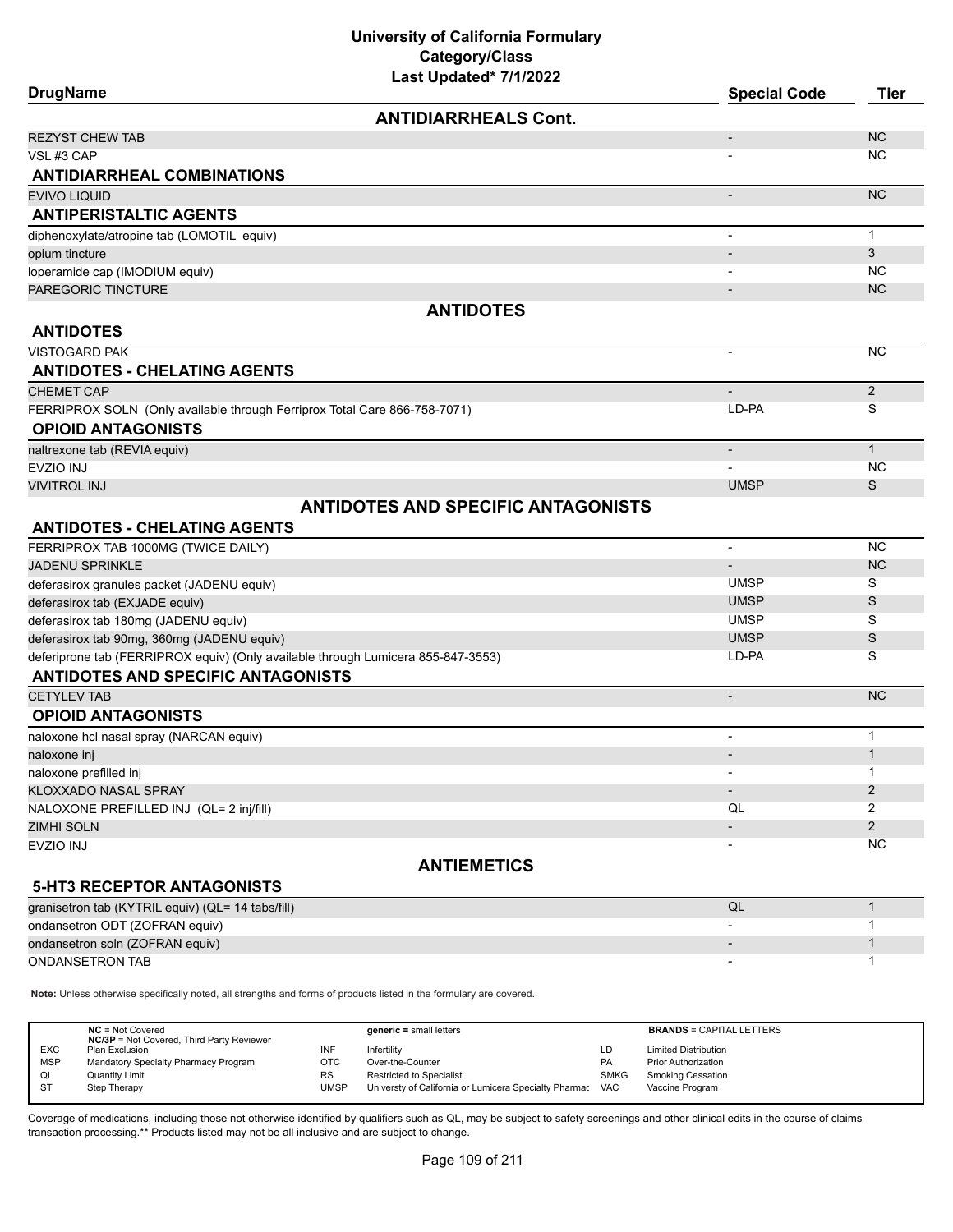| Last updated 1/1/2022<br><b>DrugName</b>                                         | <b>Special Code</b>      | <b>Tier</b>    |
|----------------------------------------------------------------------------------|--------------------------|----------------|
| <b>ANTIDIARRHEALS Cont.</b>                                                      |                          |                |
| <b>REZYST CHEW TAB</b>                                                           | $\overline{\phantom{a}}$ | <b>NC</b>      |
| VSL#3 CAP                                                                        |                          | <b>NC</b>      |
| <b>ANTIDIARRHEAL COMBINATIONS</b>                                                |                          |                |
| <b>EVIVO LIQUID</b>                                                              | $\overline{a}$           | N <sub>C</sub> |
| <b>ANTIPERISTALTIC AGENTS</b>                                                    |                          |                |
| diphenoxylate/atropine tab (LOMOTIL equiv)                                       |                          | $\mathbf{1}$   |
| opium tincture                                                                   | $\overline{\phantom{a}}$ | 3              |
| loperamide cap (IMODIUM equiv)                                                   |                          | <b>NC</b>      |
| PAREGORIC TINCTURE                                                               |                          | <b>NC</b>      |
| <b>ANTIDOTES</b>                                                                 |                          |                |
| <b>ANTIDOTES</b>                                                                 |                          |                |
| <b>VISTOGARD PAK</b>                                                             | $\blacksquare$           | <b>NC</b>      |
| <b>ANTIDOTES - CHELATING AGENTS</b>                                              |                          |                |
| <b>CHEMET CAP</b>                                                                |                          | $\overline{2}$ |
| FERRIPROX SOLN (Only available through Ferriprox Total Care 866-758-7071)        | LD-PA                    | S              |
| <b>OPIOID ANTAGONISTS</b>                                                        |                          |                |
| naltrexone tab (REVIA equiv)                                                     | $\overline{\phantom{a}}$ | $\mathbf{1}$   |
| <b>EVZIO INJ</b>                                                                 |                          | <b>NC</b>      |
| <b>VIVITROL INJ</b>                                                              | <b>UMSP</b>              | S              |
| <b>ANTIDOTES AND SPECIFIC ANTAGONISTS</b>                                        |                          |                |
| <b>ANTIDOTES - CHELATING AGENTS</b>                                              |                          |                |
| FERRIPROX TAB 1000MG (TWICE DAILY)                                               | $\overline{\phantom{a}}$ | <b>NC</b>      |
| <b>JADENU SPRINKLE</b>                                                           | $\overline{\phantom{a}}$ | <b>NC</b>      |
| deferasirox granules packet (JADENU equiv)                                       | <b>UMSP</b>              | S              |
| deferasirox tab (EXJADE equiv)                                                   | <b>UMSP</b>              | S              |
| deferasirox tab 180mg (JADENU equiv)                                             | <b>UMSP</b>              | S              |
| deferasirox tab 90mg, 360mg (JADENU equiv)                                       | <b>UMSP</b>              | $\mathsf S$    |
| deferiprone tab (FERRIPROX equiv) (Only available through Lumicera 855-847-3553) | LD-PA                    | S              |
| <b>ANTIDOTES AND SPECIFIC ANTAGONISTS</b>                                        |                          |                |
| <b>CETYLEV TAB</b>                                                               | $\overline{\phantom{a}}$ | <b>NC</b>      |
| <b>OPIOID ANTAGONISTS</b>                                                        |                          |                |
| naloxone hcl nasal spray (NARCAN equiv)                                          | $\blacksquare$           | $\mathbf{1}$   |
| naloxone inj                                                                     |                          | $\mathbf{1}$   |
| naloxone prefilled inj                                                           |                          | 1              |
| KLOXXADO NASAL SPRAY                                                             | $\overline{\phantom{a}}$ | 2              |
| NALOXONE PREFILLED INJ (QL= 2 inj/fill)                                          | QL                       | 2              |
| <b>ZIMHI SOLN</b>                                                                |                          | $\overline{2}$ |
| EVZIO INJ                                                                        |                          | <b>NC</b>      |
| <b>ANTIEMETICS</b>                                                               |                          |                |
| <b>5-HT3 RECEPTOR ANTAGONISTS</b>                                                |                          |                |
| granisetron tab (KYTRIL equiv) (QL= 14 tabs/fill)                                | QL                       | $\mathbf{1}$   |
| ondansetron ODT (ZOFRAN equiv)                                                   |                          | 1              |
| ondansetron soln (ZOFRAN equiv)                                                  |                          | $\mathbf{1}$   |
| ONDANSETRON TAB                                                                  |                          | 1              |

**Note:** Unless otherwise specifically noted, all strengths and forms of products listed in the formulary are covered.

| $NC = Not Covered$<br><b>NC/3P</b> = Not Covered, Third Party Reviewer |           | $generic = small letters$                             |             | <b>BRANDS = CAPITAL LETTERS</b> |
|------------------------------------------------------------------------|-----------|-------------------------------------------------------|-------------|---------------------------------|
| <b>EXC</b><br>Plan Exclusion                                           |           | Infertility                                           | LD          | <b>Limited Distribution</b>     |
| <b>MSP</b><br>Mandatory Specialty Pharmacy Program                     | отс       | Over-the-Counter                                      | <b>PA</b>   | <b>Prior Authorization</b>      |
| <b>Quantity Limit</b><br>QL                                            | <b>RS</b> | <b>Restricted to Specialist</b>                       | <b>SMKG</b> | <b>Smoking Cessation</b>        |
| - ST<br>Step Therapy                                                   | UMSP      | Universty of California or Lumicera Specialty Pharmac | <b>VAC</b>  | Vaccine Program                 |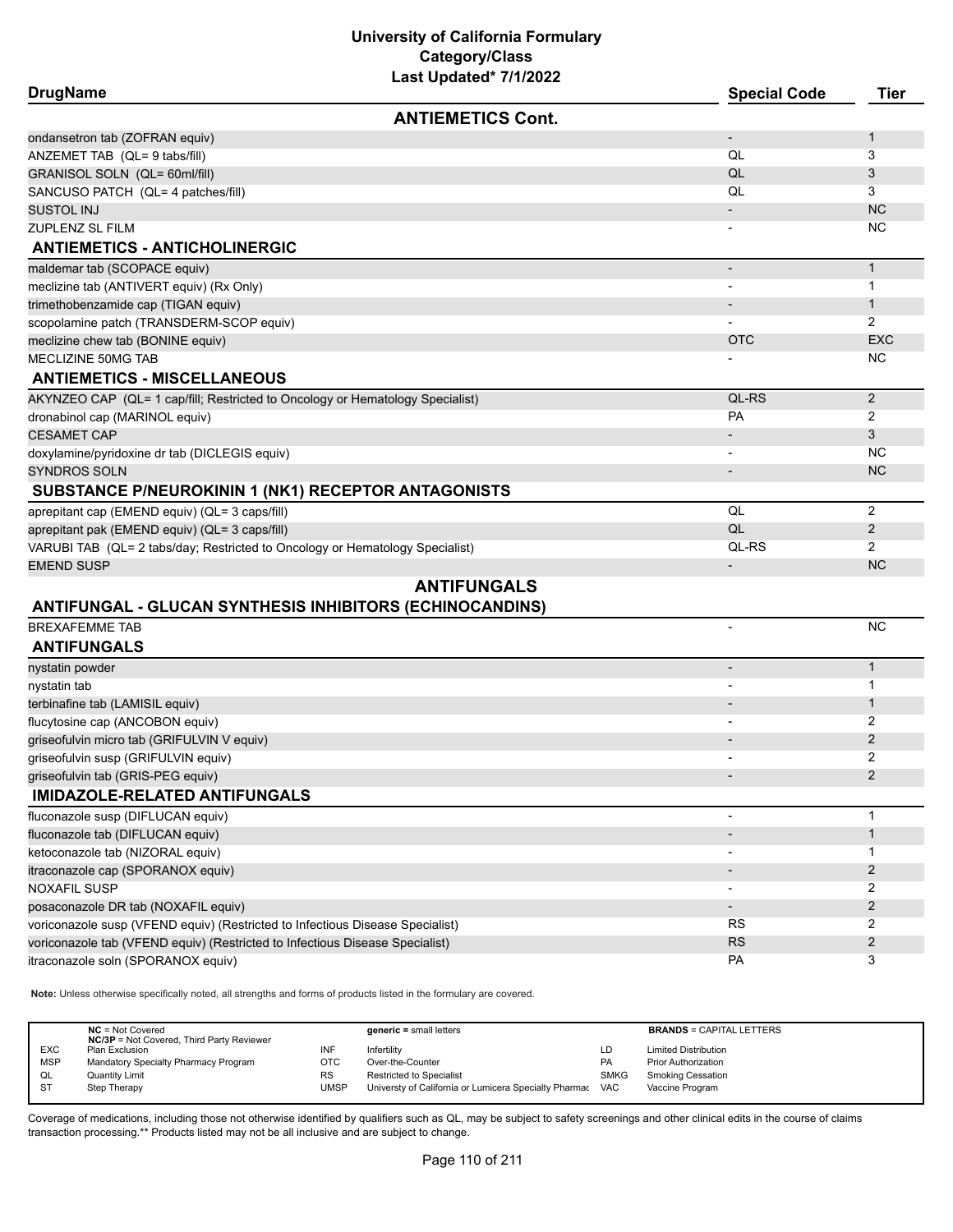| <b>DrugName</b>                                                               | Last upuateu 1111/2022   | <b>Special Code</b>      | <b>Tier</b>    |
|-------------------------------------------------------------------------------|--------------------------|--------------------------|----------------|
|                                                                               | <b>ANTIEMETICS Cont.</b> |                          |                |
| ondansetron tab (ZOFRAN equiv)                                                |                          |                          | 1              |
| ANZEMET TAB (QL= 9 tabs/fill)                                                 |                          | QL                       | 3              |
| GRANISOL SOLN (QL= 60ml/fill)                                                 |                          | QL                       | 3              |
| SANCUSO PATCH (QL= 4 patches/fill)                                            |                          | QL                       | 3              |
| SUSTOL INJ                                                                    |                          |                          | <b>NC</b>      |
| ZUPLENZ SL FILM                                                               |                          |                          | <b>NC</b>      |
| <b>ANTIEMETICS - ANTICHOLINERGIC</b>                                          |                          |                          |                |
| maldemar tab (SCOPACE equiv)                                                  |                          | $\overline{\phantom{m}}$ | $\mathbf{1}$   |
| meclizine tab (ANTIVERT equiv) (Rx Only)                                      |                          |                          | $\mathbf{1}$   |
| trimethobenzamide cap (TIGAN equiv)                                           |                          |                          | 1              |
| scopolamine patch (TRANSDERM-SCOP equiv)                                      |                          |                          | 2              |
| meclizine chew tab (BONINE equiv)                                             |                          | <b>OTC</b>               | <b>EXC</b>     |
| MECLIZINE 50MG TAB                                                            |                          |                          | NC             |
| <b>ANTIEMETICS - MISCELLANEOUS</b>                                            |                          |                          |                |
| AKYNZEO CAP (QL= 1 cap/fill; Restricted to Oncology or Hematology Specialist) |                          | QL-RS                    | 2              |
| dronabinol cap (MARINOL equiv)                                                |                          | PA                       | 2              |
| <b>CESAMET CAP</b>                                                            |                          |                          | 3              |
| doxylamine/pyridoxine dr tab (DICLEGIS equiv)                                 |                          |                          | NС             |
| <b>SYNDROS SOLN</b>                                                           |                          |                          | <b>NC</b>      |
| SUBSTANCE P/NEUROKININ 1 (NK1) RECEPTOR ANTAGONISTS                           |                          |                          |                |
| aprepitant cap (EMEND equiv) (QL= 3 caps/fill)                                |                          | QL                       | 2              |
| aprepitant pak (EMEND equiv) (QL= 3 caps/fill)                                |                          | QL                       | $\overline{2}$ |
| VARUBI TAB (QL= 2 tabs/day; Restricted to Oncology or Hematology Specialist)  |                          | QL-RS                    | $\overline{2}$ |
| <b>EMEND SUSP</b>                                                             |                          |                          | <b>NC</b>      |
|                                                                               | <b>ANTIFUNGALS</b>       |                          |                |
| ANTIFUNGAL - GLUCAN SYNTHESIS INHIBITORS (ECHINOCANDINS)                      |                          |                          |                |
| <b>BREXAFEMME TAB</b>                                                         |                          |                          | <b>NC</b>      |
| <b>ANTIFUNGALS</b>                                                            |                          |                          |                |
| nystatin powder                                                               |                          |                          | $\mathbf{1}$   |
| nystatin tab                                                                  |                          |                          | 1              |
| terbinafine tab (LAMISIL equiv)                                               |                          |                          | 1              |
| flucytosine cap (ANCOBON equiv)                                               |                          |                          | 2              |
| griseofulvin micro tab (GRIFULVIN V equiv)                                    |                          |                          | 2              |
| griseofulvin susp (GRIFULVIN equiv)                                           |                          |                          | 2              |
| griseofulvin tab (GRIS-PEG equiv)                                             |                          |                          | 2              |
| <b>IMIDAZOLE-RELATED ANTIFUNGALS</b>                                          |                          |                          |                |
| fluconazole susp (DIFLUCAN equiv)                                             |                          |                          | 1              |
| fluconazole tab (DIFLUCAN equiv)                                              |                          |                          | $\mathbf{1}$   |
| ketoconazole tab (NIZORAL equiv)                                              |                          |                          | 1              |
| itraconazole cap (SPORANOX equiv)                                             |                          |                          | $\overline{c}$ |
| NOXAFIL SUSP                                                                  |                          |                          | 2              |
| posaconazole DR tab (NOXAFIL equiv)                                           |                          | $\overline{\phantom{a}}$ | $\overline{2}$ |
| voriconazole susp (VFEND equiv) (Restricted to Infectious Disease Specialist) |                          | <b>RS</b>                | 2              |
| voriconazole tab (VFEND equiv) (Restricted to Infectious Disease Specialist)  |                          | <b>RS</b>                | $\overline{2}$ |
| itraconazole soln (SPORANOX equiv)                                            |                          | PA                       | 3              |

**Note:** Unless otherwise specifically noted, all strengths and forms of products listed in the formulary are covered.

|            | $NC = Not Covered$<br><b>NC/3P</b> = Not Covered, Third Party Reviewer |           | $generic = small letters$                             |             | <b>BRANDS = CAPITAL LETTERS</b> |
|------------|------------------------------------------------------------------------|-----------|-------------------------------------------------------|-------------|---------------------------------|
| <b>EXC</b> | Plan Exclusion                                                         | INF       | Infertility                                           | LD          | <b>Limited Distribution</b>     |
| <b>MSP</b> | Mandatory Specialty Pharmacy Program                                   | отс       | Over-the-Counter                                      | PA          | <b>Prior Authorization</b>      |
| QL         | <b>Quantity Limit</b>                                                  | <b>RS</b> | <b>Restricted to Specialist</b>                       | <b>SMKG</b> | <b>Smoking Cessation</b>        |
| <b>ST</b>  | Step Therapy                                                           | UMSP      | Universty of California or Lumicera Specialty Pharmac | <b>VAC</b>  | Vaccine Program                 |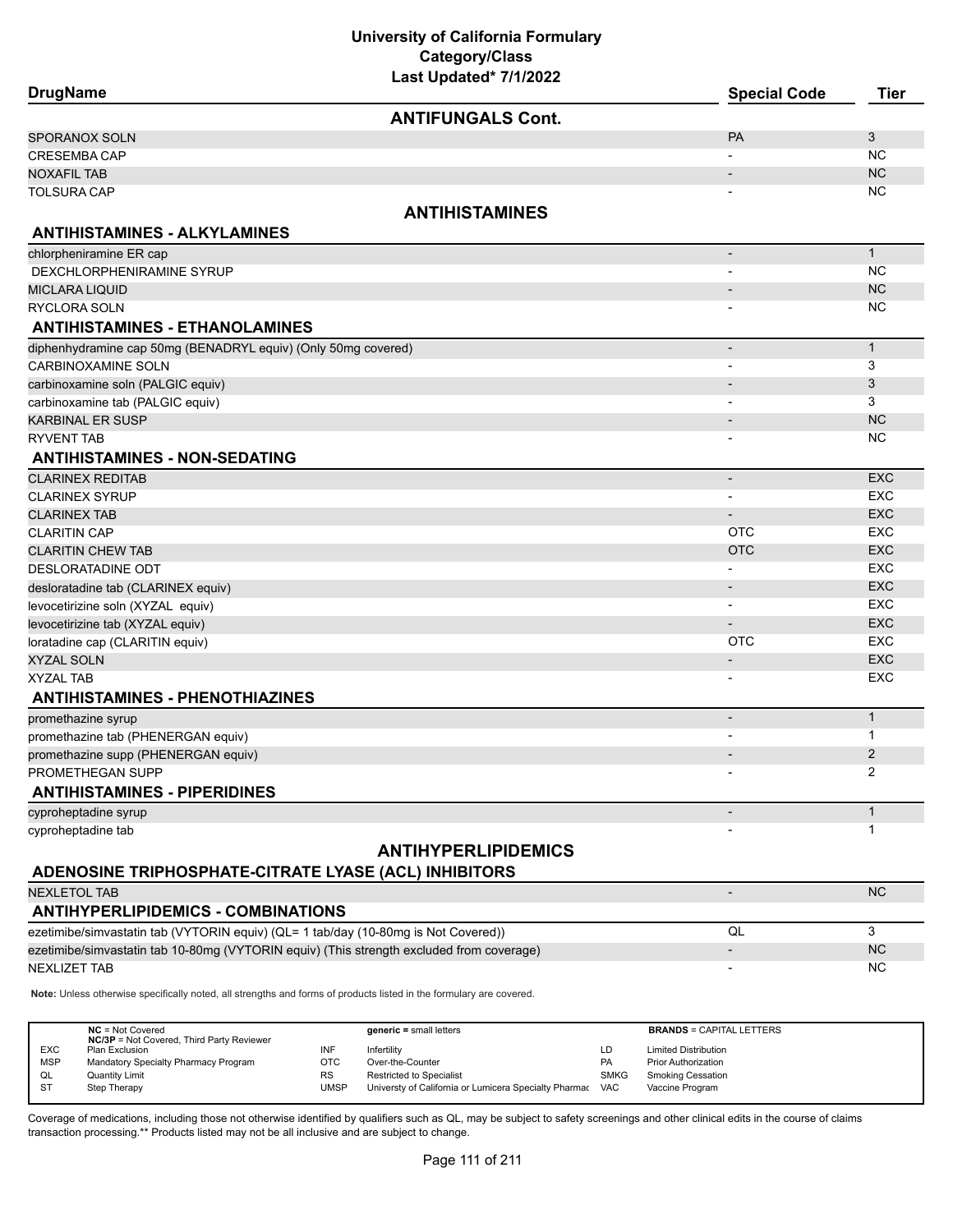# **University of California Formulary Category/Class**

| <b>DrugName</b>                                                                                                     | Last Updated* 7/1/2022     | <b>Special Code</b>      | <b>Tier</b>    |
|---------------------------------------------------------------------------------------------------------------------|----------------------------|--------------------------|----------------|
|                                                                                                                     |                            |                          |                |
|                                                                                                                     | <b>ANTIFUNGALS Cont.</b>   |                          |                |
| SPORANOX SOLN                                                                                                       |                            | <b>PA</b>                | 3              |
| CRESEMBA CAP                                                                                                        |                            |                          | <b>NC</b>      |
| <b>NOXAFIL TAB</b>                                                                                                  |                            |                          | NC             |
| <b>TOLSURA CAP</b>                                                                                                  |                            |                          | NC             |
|                                                                                                                     | <b>ANTIHISTAMINES</b>      |                          |                |
| <b>ANTIHISTAMINES - ALKYLAMINES</b>                                                                                 |                            |                          |                |
| chlorpheniramine ER cap                                                                                             |                            | $\overline{\phantom{a}}$ | $\mathbf{1}$   |
| DEXCHLORPHENIRAMINE SYRUP                                                                                           |                            |                          | <b>NC</b>      |
| MICLARA LIQUID                                                                                                      |                            | $\overline{\phantom{a}}$ | NC             |
| RYCLORA SOLN                                                                                                        |                            |                          | <b>NC</b>      |
| <b>ANTIHISTAMINES - ETHANOLAMINES</b>                                                                               |                            |                          |                |
| diphenhydramine cap 50mg (BENADRYL equiv) (Only 50mg covered)                                                       |                            | $\overline{\phantom{a}}$ | $\mathbf{1}$   |
| <b>CARBINOXAMINE SOLN</b>                                                                                           |                            |                          | 3              |
| carbinoxamine soln (PALGIC equiv)                                                                                   |                            |                          | 3              |
| carbinoxamine tab (PALGIC equiv)                                                                                    |                            |                          | 3              |
| <b>KARBINAL ER SUSP</b>                                                                                             |                            | $\overline{\phantom{a}}$ | <b>NC</b>      |
| RYVENT TAB                                                                                                          |                            |                          | <b>NC</b>      |
| <b>ANTIHISTAMINES - NON-SEDATING</b>                                                                                |                            |                          |                |
| CLARINEX REDITAB                                                                                                    |                            | $\overline{\phantom{a}}$ | <b>EXC</b>     |
| <b>CLARINEX SYRUP</b>                                                                                               |                            |                          | <b>EXC</b>     |
| <b>CLARINEX TAB</b>                                                                                                 |                            | $\overline{\phantom{a}}$ | <b>EXC</b>     |
| <b>CLARITIN CAP</b>                                                                                                 |                            | <b>OTC</b>               | <b>EXC</b>     |
| <b>CLARITIN CHEW TAB</b>                                                                                            |                            | <b>OTC</b>               | <b>EXC</b>     |
| DESLORATADINE ODT                                                                                                   |                            |                          | <b>EXC</b>     |
| desloratadine tab (CLARINEX equiv)                                                                                  |                            |                          | <b>EXC</b>     |
| levocetirizine soln (XYZAL equiv)                                                                                   |                            | $\overline{\phantom{a}}$ | <b>EXC</b>     |
| levocetirizine tab (XYZAL equiv)                                                                                    |                            |                          | <b>EXC</b>     |
| loratadine cap (CLARITIN equiv)                                                                                     |                            | <b>OTC</b>               | <b>EXC</b>     |
| XYZAL SOLN                                                                                                          |                            |                          | <b>EXC</b>     |
| <b>XYZAL TAB</b>                                                                                                    |                            |                          | <b>EXC</b>     |
| <b>ANTIHISTAMINES - PHENOTHIAZINES</b>                                                                              |                            |                          |                |
| promethazine syrup                                                                                                  |                            | $\overline{\phantom{a}}$ | $\mathbf{1}$   |
| promethazine tab (PHENERGAN equiv)                                                                                  |                            |                          | 1              |
| promethazine supp (PHENERGAN equiv)                                                                                 |                            |                          | $\overline{2}$ |
| PROMETHEGAN SUPP                                                                                                    |                            |                          | 2              |
| <b>ANTIHISTAMINES - PIPERIDINES</b>                                                                                 |                            |                          |                |
| cyproheptadine syrup                                                                                                |                            | $\overline{\phantom{a}}$ | $\mathbf{1}$   |
| cyproheptadine tab                                                                                                  |                            |                          | 1              |
|                                                                                                                     | <b>ANTIHYPERLIPIDEMICS</b> |                          |                |
| ADENOSINE TRIPHOSPHATE-CITRATE LYASE (ACL) INHIBITORS                                                               |                            |                          |                |
| <b>NEXLETOL TAB</b>                                                                                                 |                            |                          | NC             |
|                                                                                                                     |                            |                          |                |
| <b>ANTIHYPERLIPIDEMICS - COMBINATIONS</b>                                                                           |                            |                          |                |
| ezetimibe/simvastatin tab (VYTORIN equiv) (QL= 1 tab/day (10-80mg is Not Covered))                                  |                            | QL                       | 3              |
| ezetimibe/simvastatin tab 10-80mg (VYTORIN equiv) (This strength excluded from coverage)                            |                            |                          | <b>NC</b>      |
| <b>NEXLIZET TAB</b>                                                                                                 |                            |                          | <b>NC</b>      |
| Note: Unless otherwise specifically noted, all strengths and forms of products listed in the formulary are covered. |                            |                          |                |
|                                                                                                                     |                            |                          |                |

|            | $NC = Not Covered$<br><b>NC/3P</b> = Not Covered, Third Party Reviewer |           | $generic = small letters$                             |             | <b>BRANDS = CAPITAL LETTERS</b> |
|------------|------------------------------------------------------------------------|-----------|-------------------------------------------------------|-------------|---------------------------------|
| <b>EXC</b> | Plan Exclusion                                                         | INF       | Infertility                                           | LD          | <b>Limited Distribution</b>     |
| <b>MSP</b> | Mandatory Specialty Pharmacy Program                                   | ОТС       | Over-the-Counter                                      | <b>PA</b>   | <b>Prior Authorization</b>      |
| QL         | <b>Quantity Limit</b>                                                  | <b>RS</b> | <b>Restricted to Specialist</b>                       | <b>SMKG</b> | <b>Smoking Cessation</b>        |
| <b>ST</b>  | Step Therapy                                                           | UMSP      | Universty of California or Lumicera Specialty Pharmac | <b>VAC</b>  | Vaccine Program                 |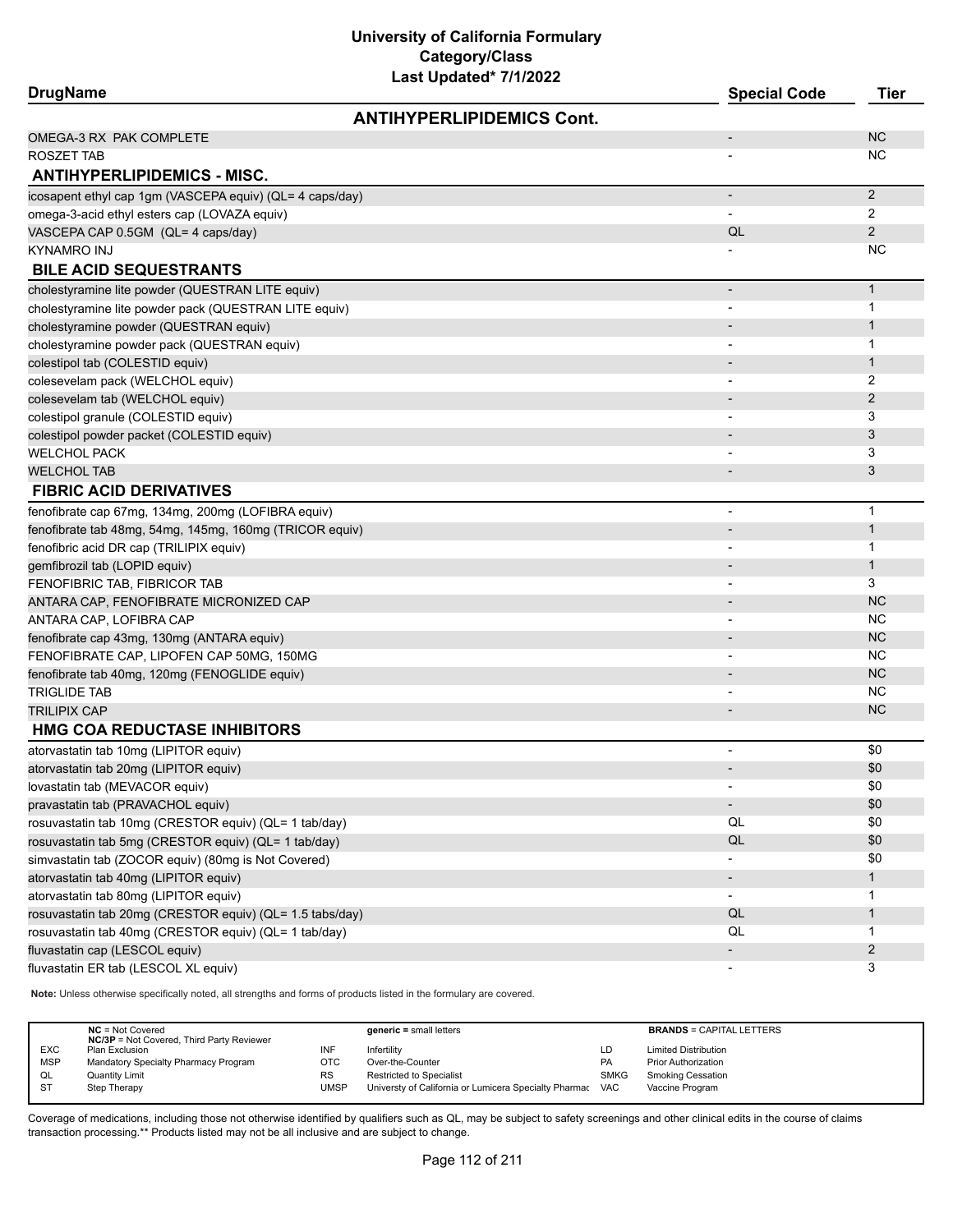| <b>DrugName</b>                                          |                                  | <b>Special Code</b>          | <b>Tier</b>    |
|----------------------------------------------------------|----------------------------------|------------------------------|----------------|
|                                                          | <b>ANTIHYPERLIPIDEMICS Cont.</b> |                              |                |
| OMEGA-3 RX PAK COMPLETE                                  |                                  | $\overline{\phantom{a}}$     | <b>NC</b>      |
| ROSZET TAB                                               |                                  |                              | NC.            |
| <b>ANTIHYPERLIPIDEMICS - MISC.</b>                       |                                  |                              |                |
| icosapent ethyl cap 1gm (VASCEPA equiv) (QL= 4 caps/day) |                                  | $\overline{\phantom{a}}$     | $\overline{c}$ |
| omega-3-acid ethyl esters cap (LOVAZA equiv)             |                                  | $\blacksquare$               | 2              |
| VASCEPA CAP 0.5GM (QL= 4 caps/day)                       |                                  | QL                           | $\overline{2}$ |
| KYNAMRO INJ                                              |                                  |                              | NC.            |
| <b>BILE ACID SEQUESTRANTS</b>                            |                                  |                              |                |
| cholestyramine lite powder (QUESTRAN LITE equiv)         |                                  | $\overline{\phantom{a}}$     | $\mathbf{1}$   |
| cholestyramine lite powder pack (QUESTRAN LITE equiv)    |                                  |                              | $\mathbf{1}$   |
| cholestyramine powder (QUESTRAN equiv)                   |                                  |                              | $\mathbf{1}$   |
| cholestyramine powder pack (QUESTRAN equiv)              |                                  |                              | 1              |
| colestipol tab (COLESTID equiv)                          |                                  |                              | $\mathbf{1}$   |
| colesevelam pack (WELCHOL equiv)                         |                                  |                              | 2              |
| colesevelam tab (WELCHOL equiv)                          |                                  |                              | 2              |
| colestipol granule (COLESTID equiv)                      |                                  | $\overline{\phantom{a}}$     | 3              |
| colestipol powder packet (COLESTID equiv)                |                                  |                              | 3              |
| WELCHOL PACK                                             |                                  |                              | 3              |
| <b>WELCHOL TAB</b>                                       |                                  |                              | 3              |
| <b>FIBRIC ACID DERIVATIVES</b>                           |                                  |                              |                |
| fenofibrate cap 67mg, 134mg, 200mg (LOFIBRA equiv)       |                                  |                              | $\mathbf{1}$   |
| fenofibrate tab 48mg, 54mg, 145mg, 160mg (TRICOR equiv)  |                                  |                              | $\mathbf{1}$   |
| fenofibric acid DR cap (TRILIPIX equiv)                  |                                  | $\overline{\phantom{a}}$     | 1              |
| gemfibrozil tab (LOPID equiv)                            |                                  |                              | $\mathbf{1}$   |
| FENOFIBRIC TAB, FIBRICOR TAB                             |                                  |                              | 3              |
| ANTARA CAP, FENOFIBRATE MICRONIZED CAP                   |                                  |                              | <b>NC</b>      |
| ANTARA CAP, LOFIBRA CAP                                  |                                  |                              | NC.            |
| fenofibrate cap 43mg, 130mg (ANTARA equiv)               |                                  | $\overline{\phantom{a}}$     | <b>NC</b>      |
| FENOFIBRATE CAP, LIPOFEN CAP 50MG, 150MG                 |                                  |                              | NC.            |
| fenofibrate tab 40mg, 120mg (FENOGLIDE equiv)            |                                  |                              | <b>NC</b>      |
| TRIGLIDE TAB                                             |                                  |                              | NC.            |
| TRILIPIX CAP                                             |                                  | $\overline{\phantom{a}}$     | <b>NC</b>      |
| HMG COA REDUCTASE INHIBITORS                             |                                  |                              |                |
| atorvastatin tab 10mg (LIPITOR equiv)                    |                                  | $\overline{\phantom{a}}$     | \$0            |
| atorvastatin tab 20mg (LIPITOR equiv)                    |                                  |                              | \$0            |
| lovastatin tab (MEVACOR equiv)                           |                                  |                              | \$0            |
| pravastatin tab (PRAVACHOL equiv)                        |                                  | $\qquad \qquad \blacksquare$ | \$0            |
| rosuvastatin tab 10mg (CRESTOR equiv) (QL= 1 tab/day)    |                                  | QL                           | \$0            |
| rosuvastatin tab 5mg (CRESTOR equiv) (QL= 1 tab/day)     |                                  | QL                           | \$0            |
| simvastatin tab (ZOCOR equiv) (80mg is Not Covered)      |                                  | $\overline{\phantom{a}}$     | \$0            |
| atorvastatin tab 40mg (LIPITOR equiv)                    |                                  | $\overline{\phantom{a}}$     | $\mathbf{1}$   |
| atorvastatin tab 80mg (LIPITOR equiv)                    |                                  | $\blacksquare$               | 1              |
| rosuvastatin tab 20mg (CRESTOR equiv) (QL= 1.5 tabs/day) |                                  | QL                           | $\mathbf{1}$   |
| rosuvastatin tab 40mg (CRESTOR equiv) (QL= 1 tab/day)    |                                  | QL                           | $\mathbf 1$    |
| fluvastatin cap (LESCOL equiv)                           |                                  |                              | 2              |
| fluvastatin ER tab (LESCOL XL equiv)                     |                                  |                              | 3              |
|                                                          |                                  |                              |                |

**Note:** Unless otherwise specifically noted, all strengths and forms of products listed in the formulary are covered.

|                              | $NC = Not Covered$<br><b>NC/3P</b> = Not Covered, Third Party Reviewer | $generic = small letters$                             |             | <b>BRANDS = CAPITAL LETTERS</b> |
|------------------------------|------------------------------------------------------------------------|-------------------------------------------------------|-------------|---------------------------------|
| <b>EXC</b><br>Plan Exclusion | INF                                                                    | Infertilitv                                           | LD          | <b>Limited Distribution</b>     |
| <b>MSP</b>                   | Mandatory Specialty Pharmacy Program<br>ОТС                            | Over-the-Counter                                      | PA          | <b>Prior Authorization</b>      |
| QL<br><b>Quantity Limit</b>  | <b>RS</b>                                                              | <b>Restricted to Specialist</b>                       | <b>SMKG</b> | <b>Smoking Cessation</b>        |
| $S^{T}$<br>Step Therapy      | <b>UMSP</b>                                                            | Universty of California or Lumicera Specialty Pharmac | <b>VAC</b>  | Vaccine Program                 |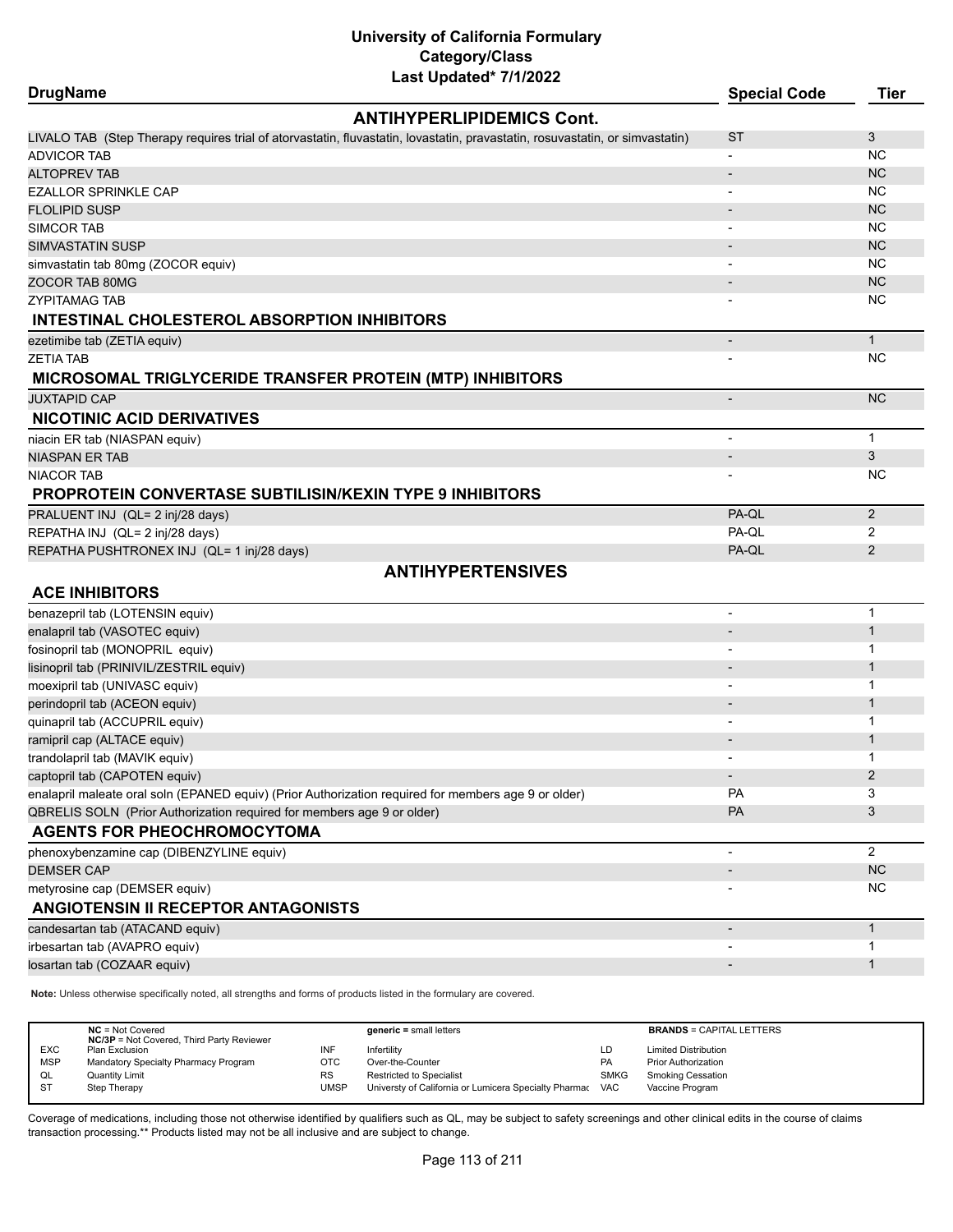| <b>DrugName</b>                                                        | Last Upuateu <i>IIIIZUZZ</i>                                                                                                 | <b>Special Code</b>      | <b>Tier</b>             |
|------------------------------------------------------------------------|------------------------------------------------------------------------------------------------------------------------------|--------------------------|-------------------------|
|                                                                        | <b>ANTIHYPERLIPIDEMICS Cont.</b>                                                                                             |                          |                         |
|                                                                        | LIVALO TAB (Step Therapy requires trial of atorvastatin, fluvastatin, lovastatin, pravastatin, rosuvastatin, or simvastatin) | <b>ST</b>                | 3                       |
| <b>ADVICOR TAB</b>                                                     |                                                                                                                              | $\overline{\phantom{a}}$ | <b>NC</b>               |
| <b>ALTOPREV TAB</b>                                                    |                                                                                                                              |                          | <b>NC</b>               |
| <b>EZALLOR SPRINKLE CAP</b>                                            |                                                                                                                              | $\overline{\phantom{a}}$ | <b>NC</b>               |
| <b>FLOLIPID SUSP</b>                                                   |                                                                                                                              |                          | <b>NC</b>               |
| SIMCOR TAB                                                             |                                                                                                                              |                          | <b>NC</b>               |
| <b>SIMVASTATIN SUSP</b>                                                |                                                                                                                              |                          | <b>NC</b>               |
| simvastatin tab 80mg (ZOCOR equiv)                                     |                                                                                                                              | $\blacksquare$           | <b>NC</b>               |
| ZOCOR TAB 80MG                                                         |                                                                                                                              |                          | <b>NC</b>               |
| <b>ZYPITAMAG TAB</b>                                                   |                                                                                                                              |                          | NC.                     |
| INTESTINAL CHOLESTEROL ABSORPTION INHIBITORS                           |                                                                                                                              |                          |                         |
| ezetimibe tab (ZETIA equiv)                                            |                                                                                                                              | $\overline{\phantom{a}}$ | $\mathbf{1}$            |
| <b>ZETIA TAB</b>                                                       |                                                                                                                              |                          | <b>NC</b>               |
|                                                                        | <b>MICROSOMAL TRIGLYCERIDE TRANSFER PROTEIN (MTP) INHIBITORS</b>                                                             |                          |                         |
| <b>JUXTAPID CAP</b>                                                    |                                                                                                                              | $\overline{\phantom{a}}$ | <b>NC</b>               |
| <b>NICOTINIC ACID DERIVATIVES</b>                                      |                                                                                                                              |                          |                         |
| niacin ER tab (NIASPAN equiv)                                          |                                                                                                                              | $\overline{\phantom{a}}$ | $\mathbf{1}$            |
| <b>NIASPAN ER TAB</b>                                                  |                                                                                                                              | $\overline{\phantom{a}}$ | 3                       |
| <b>NIACOR TAB</b>                                                      |                                                                                                                              |                          | NC.                     |
| PROPROTEIN CONVERTASE SUBTILISIN/KEXIN TYPE 9 INHIBITORS               |                                                                                                                              |                          |                         |
| PRALUENT INJ (QL= 2 inj/28 days)                                       |                                                                                                                              | PA-QL                    | $\overline{2}$          |
| REPATHA INJ (QL= 2 inj/28 days)                                        |                                                                                                                              | PA-QL                    | 2                       |
| REPATHA PUSHTRONEX INJ (QL= 1 inj/28 days)                             |                                                                                                                              | PA-QL                    | 2                       |
|                                                                        | <b>ANTIHYPERTENSIVES</b>                                                                                                     |                          |                         |
| <b>ACE INHIBITORS</b>                                                  |                                                                                                                              |                          |                         |
| benazepril tab (LOTENSIN equiv)                                        |                                                                                                                              | $\blacksquare$           | $\mathbf 1$             |
| enalapril tab (VASOTEC equiv)                                          |                                                                                                                              |                          | $\mathbf{1}$            |
| fosinopril tab (MONOPRIL equiv)                                        |                                                                                                                              |                          | 1                       |
| lisinopril tab (PRINIVIL/ZESTRIL equiv)                                |                                                                                                                              |                          | $\mathbf{1}$            |
| moexipril tab (UNIVASC equiv)                                          |                                                                                                                              |                          | $\mathbf 1$             |
| perindopril tab (ACEON equiv)                                          |                                                                                                                              |                          | $\mathbf{1}$            |
| quinapril tab (ACCUPRIL equiv)                                         |                                                                                                                              |                          | 1                       |
| ramipril cap (ALTACE equiv)                                            |                                                                                                                              |                          | $\mathbf{1}$            |
| trandolapril tab (MAVIK equiv)                                         |                                                                                                                              |                          | 1                       |
| captopril tab (CAPOTEN equiv)                                          |                                                                                                                              |                          | $\overline{\mathbf{c}}$ |
|                                                                        | enalapril maleate oral soln (EPANED equiv) (Prior Authorization required for members age 9 or older)                         | <b>PA</b>                | 3                       |
| QBRELIS SOLN (Prior Authorization required for members age 9 or older) |                                                                                                                              | PA                       | 3                       |
| <b>AGENTS FOR PHEOCHROMOCYTOMA</b>                                     |                                                                                                                              |                          |                         |
| phenoxybenzamine cap (DIBENZYLINE equiv)                               |                                                                                                                              |                          | $\overline{2}$          |
| <b>DEMSER CAP</b>                                                      |                                                                                                                              |                          | NC                      |
| metyrosine cap (DEMSER equiv)<br>ANGIOTENSIN II RECEPTOR ANTAGONISTS   |                                                                                                                              |                          | NC.                     |
|                                                                        |                                                                                                                              |                          | $\mathbf{1}$            |
| candesartan tab (ATACAND equiv)                                        |                                                                                                                              |                          | $\mathbf 1$             |
| irbesartan tab (AVAPRO equiv)                                          |                                                                                                                              |                          | $\mathbf{1}$            |
| losartan tab (COZAAR equiv)                                            |                                                                                                                              |                          |                         |

**Note:** Unless otherwise specifically noted, all strengths and forms of products listed in the formulary are covered.

|            | $NC = Not Covered$<br><b>NC/3P</b> = Not Covered, Third Party Reviewer |      | $generic = small letters$                             |             | <b>BRANDS = CAPITAL LETTERS</b> |
|------------|------------------------------------------------------------------------|------|-------------------------------------------------------|-------------|---------------------------------|
| <b>EXC</b> | Plan Exclusion                                                         |      | Infertility                                           | ιD.         | <b>Limited Distribution</b>     |
| <b>MSP</b> | Mandatory Specialty Pharmacy Program                                   | отс  | Over-the-Counter                                      | PA          | <b>Prior Authorization</b>      |
| QL         | <b>Quantity Limit</b>                                                  | RS   | <b>Restricted to Specialist</b>                       | <b>SMKG</b> | <b>Smoking Cessation</b>        |
| - ST       | Step Therapy                                                           | UMSP | Universty of California or Lumicera Specialty Pharmac | <b>VAC</b>  | Vaccine Program                 |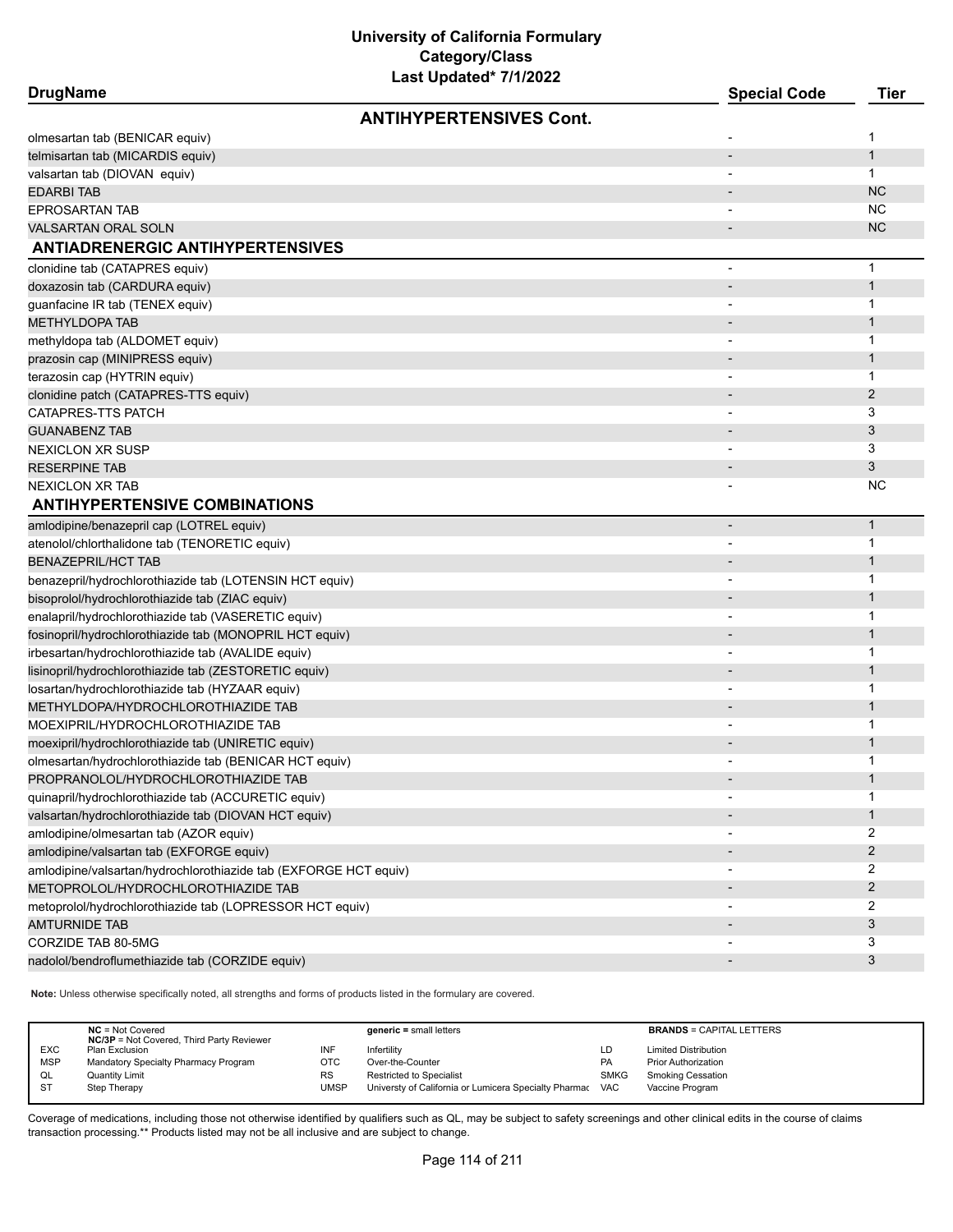| <b>DrugName</b> |  |
|-----------------|--|
|-----------------|--|

| <b>DrugName</b>                                                  | <b>Special Code</b>      | <b>Tier</b>    |
|------------------------------------------------------------------|--------------------------|----------------|
| <b>ANTIHYPERTENSIVES Cont.</b>                                   |                          |                |
| olmesartan tab (BENICAR equiv)                                   |                          | 1              |
| telmisartan tab (MICARDIS equiv)                                 |                          | $\mathbf{1}$   |
| valsartan tab (DIOVAN equiv)                                     |                          | 1              |
| <b>EDARBI TAB</b>                                                |                          | <b>NC</b>      |
| <b>EPROSARTAN TAB</b>                                            |                          | <b>NC</b>      |
| <b>VALSARTAN ORAL SOLN</b>                                       |                          | <b>NC</b>      |
| <b>ANTIADRENERGIC ANTIHYPERTENSIVES</b>                          |                          |                |
| clonidine tab (CATAPRES equiv)                                   | $\overline{a}$           | $\mathbf 1$    |
| doxazosin tab (CARDURA equiv)                                    | $\overline{a}$           | $\mathbf{1}$   |
| guanfacine IR tab (TENEX equiv)                                  |                          | 1              |
| <b>METHYLDOPA TAB</b>                                            |                          | $\mathbf 1$    |
| methyldopa tab (ALDOMET equiv)                                   |                          | $\mathbf{1}$   |
| prazosin cap (MINIPRESS equiv)                                   |                          | 1              |
| terazosin cap (HYTRIN equiv)                                     |                          | 1              |
| clonidine patch (CATAPRES-TTS equiv)                             |                          | $\overline{2}$ |
| CATAPRES-TTS PATCH                                               |                          | 3              |
| <b>GUANABENZ TAB</b>                                             |                          | 3              |
| <b>NEXICLON XR SUSP</b>                                          |                          | 3              |
| <b>RESERPINE TAB</b>                                             |                          | 3              |
| <b>NEXICLON XR TAB</b>                                           |                          | <b>NC</b>      |
| <b>ANTIHYPERTENSIVE COMBINATIONS</b>                             |                          |                |
| amlodipine/benazepril cap (LOTREL equiv)                         |                          | $\mathbf{1}$   |
| atenolol/chlorthalidone tab (TENORETIC equiv)                    |                          | 1              |
| <b>BENAZEPRIL/HCT TAB</b>                                        |                          | 1              |
| benazepril/hydrochlorothiazide tab (LOTENSIN HCT equiv)          |                          | 1              |
| bisoprolol/hydrochlorothiazide tab (ZIAC equiv)                  |                          | $\mathbf 1$    |
| enalapril/hydrochlorothiazide tab (VASERETIC equiv)              |                          | 1              |
| fosinopril/hydrochlorothiazide tab (MONOPRIL HCT equiv)          |                          | $\mathbf 1$    |
| irbesartan/hydrochlorothiazide tab (AVALIDE equiv)               |                          | 1              |
| lisinopril/hydrochlorothiazide tab (ZESTORETIC equiv)            |                          | 1              |
| losartan/hydrochlorothiazide tab (HYZAAR equiv)                  |                          | 1              |
| METHYLDOPA/HYDROCHLOROTHIAZIDE TAB                               |                          | $\mathbf 1$    |
| MOEXIPRIL/HYDROCHLOROTHIAZIDE TAB                                | $\overline{\phantom{a}}$ | 1              |
| moexipril/hydrochlorothiazide tab (UNIRETIC equiv)               |                          | $\mathbf 1$    |
| olmesartan/hydrochlorothiazide tab (BENICAR HCT equiv)           |                          | 1              |
| PROPRANOLOL/HYDROCHLOROTHIAZIDE TAB                              |                          | 1              |
| quinapril/hydrochlorothiazide tab (ACCURETIC equiv)              |                          | 1              |
| valsartan/hydrochlorothiazide tab (DIOVAN HCT equiv)             |                          | 1              |
| amlodipine/olmesartan tab (AZOR equiv)                           |                          | 2              |
| amlodipine/valsartan tab (EXFORGE equiv)                         |                          | 2              |
| amlodipine/valsartan/hydrochlorothiazide tab (EXFORGE HCT equiv) | $\overline{\phantom{a}}$ | 2              |
| METOPROLOL/HYDROCHLOROTHIAZIDE TAB                               |                          | $\overline{2}$ |
| metoprolol/hydrochlorothiazide tab (LOPRESSOR HCT equiv)         |                          | 2              |
| <b>AMTURNIDE TAB</b>                                             |                          | 3              |
| CORZIDE TAB 80-5MG                                               |                          | 3              |
| nadolol/bendroflumethiazide tab (CORZIDE equiv)                  |                          | 3              |
|                                                                  |                          |                |

**Note:** Unless otherwise specifically noted, all strengths and forms of products listed in the formulary are covered.

|            | $NC = Not Covered$<br><b>NC/3P</b> = Not Covered, Third Party Reviewer |           | $generic = small letters$                             |             | <b>BRANDS = CAPITAL LETTERS</b> |
|------------|------------------------------------------------------------------------|-----------|-------------------------------------------------------|-------------|---------------------------------|
| <b>EXC</b> | Plan Exclusion                                                         | INF       | Infertility                                           | LD          | <b>Limited Distribution</b>     |
| <b>MSP</b> | Mandatory Specialty Pharmacy Program                                   | OTC       | Over-the-Counter                                      | <b>PA</b>   | <b>Prior Authorization</b>      |
| QL         | <b>Quantity Limit</b>                                                  | <b>RS</b> | Restricted to Specialist                              | <b>SMKG</b> | <b>Smoking Cessation</b>        |
| <b>ST</b>  | Step Therapy                                                           | UMSP      | Universty of California or Lumicera Specialty Pharmac | VAC         | Vaccine Program                 |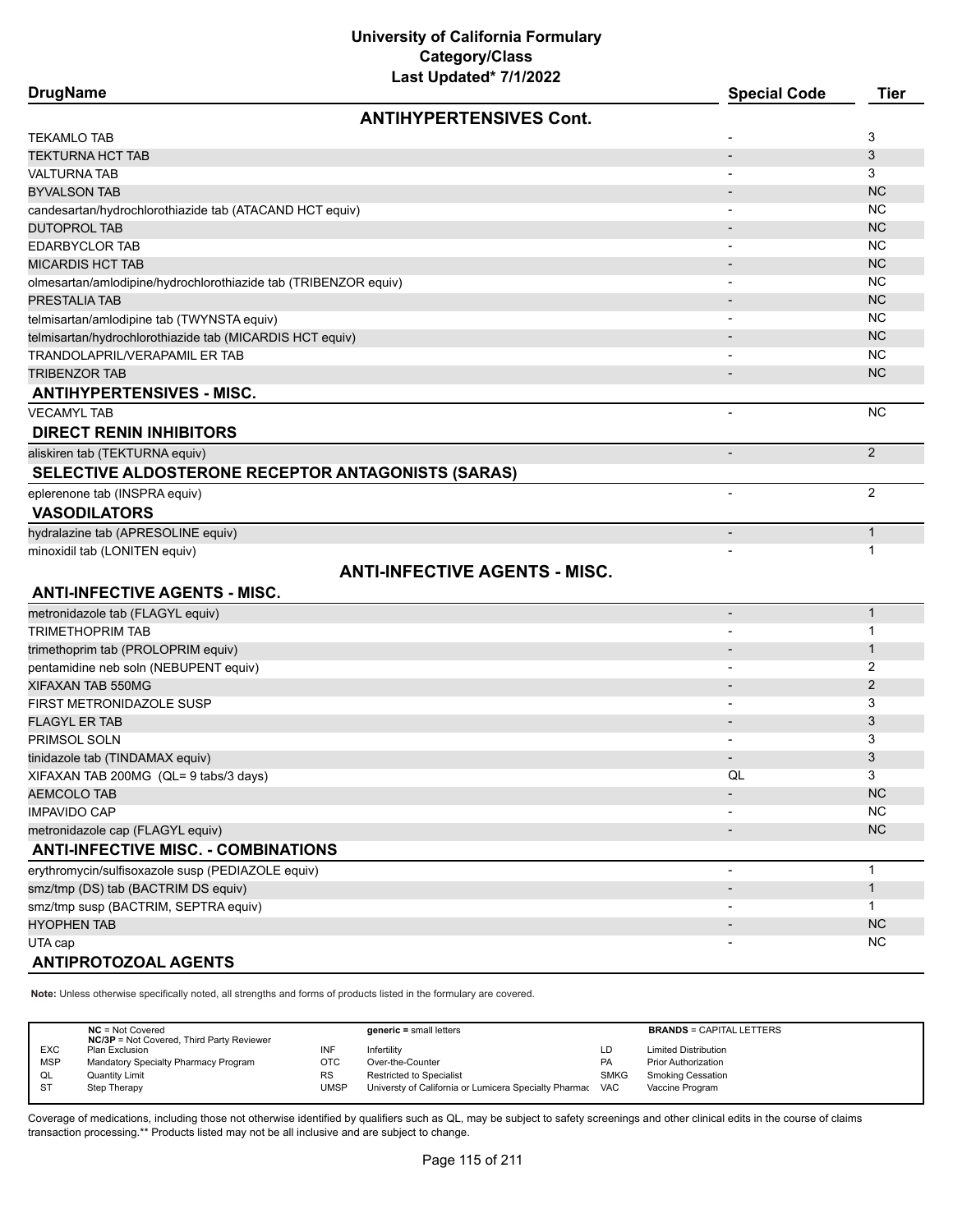| DrugName |  |
|----------|--|
|----------|--|

| <b>DrugName</b>                                                 | <b>Special Code</b>      | <b>Tier</b>    |
|-----------------------------------------------------------------|--------------------------|----------------|
| <b>ANTIHYPERTENSIVES Cont.</b>                                  |                          |                |
| <b>TEKAMLO TAB</b>                                              |                          | 3              |
| <b>TEKTURNA HCT TAB</b>                                         | $\overline{\phantom{a}}$ | 3              |
| <b>VALTURNA TAB</b>                                             |                          | 3              |
| <b>BYVALSON TAB</b>                                             |                          | <b>NC</b>      |
| candesartan/hydrochlorothiazide tab (ATACAND HCT equiv)         |                          | <b>NC</b>      |
| <b>DUTOPROL TAB</b>                                             |                          | <b>NC</b>      |
| <b>EDARBYCLOR TAB</b>                                           |                          | <b>NC</b>      |
| <b>MICARDIS HCT TAB</b>                                         |                          | <b>NC</b>      |
| olmesartan/amlodipine/hydrochlorothiazide tab (TRIBENZOR equiv) |                          | <b>NC</b>      |
| PRESTALIA TAB                                                   |                          | <b>NC</b>      |
| telmisartan/amlodipine tab (TWYNSTA equiv)                      |                          | <b>NC</b>      |
| telmisartan/hydrochlorothiazide tab (MICARDIS HCT equiv)        |                          | <b>NC</b>      |
| TRANDOLAPRIL/VERAPAMIL ER TAB                                   |                          | <b>NC</b>      |
| <b>TRIBENZOR TAB</b>                                            |                          | <b>NC</b>      |
| <b>ANTIHYPERTENSIVES - MISC.</b>                                |                          |                |
| <b>VECAMYL TAB</b>                                              |                          | <b>NC</b>      |
| <b>DIRECT RENIN INHIBITORS</b>                                  |                          |                |
| aliskiren tab (TEKTURNA equiv)                                  | $\overline{\phantom{a}}$ | 2              |
| SELECTIVE ALDOSTERONE RECEPTOR ANTAGONISTS (SARAS)              |                          |                |
| eplerenone tab (INSPRA equiv)                                   | $\overline{\phantom{a}}$ | $\overline{2}$ |
| <b>VASODILATORS</b>                                             |                          |                |
|                                                                 |                          |                |
| hydralazine tab (APRESOLINE equiv)                              |                          | $\mathbf{1}$   |
| minoxidil tab (LONITEN equiv)                                   |                          | 1              |
| <b>ANTI-INFECTIVE AGENTS - MISC.</b>                            |                          |                |
| <b>ANTI-INFECTIVE AGENTS - MISC.</b>                            |                          |                |
| metronidazole tab (FLAGYL equiv)                                | $\overline{\phantom{a}}$ | $\mathbf{1}$   |
| <b>TRIMETHOPRIM TAB</b>                                         | $\overline{\phantom{a}}$ | 1              |
| trimethoprim tab (PROLOPRIM equiv)                              |                          | $\mathbf{1}$   |
| pentamidine neb soln (NEBUPENT equiv)                           |                          | 2              |
| XIFAXAN TAB 550MG                                               |                          | $\mathbf{2}$   |
| FIRST METRONIDAZOLE SUSP                                        |                          | 3              |
| <b>FLAGYL ER TAB</b>                                            |                          | 3              |
| PRIMSOL SOLN                                                    | $\overline{\phantom{a}}$ | 3              |
| tinidazole tab (TINDAMAX equiv)                                 |                          | 3              |
| XIFAXAN TAB 200MG (QL= 9 tabs/3 days)                           | QL                       | 3              |
| <b>AEMCOLO TAB</b>                                              |                          | <b>NC</b>      |
| <b>IMPAVIDO CAP</b>                                             |                          | NC             |
| metronidazole cap (FLAGYL equiv)                                |                          | NC             |
| <b>ANTI-INFECTIVE MISC. - COMBINATIONS</b>                      |                          |                |
| erythromycin/sulfisoxazole susp (PEDIAZOLE equiv)               |                          | $\mathbf{1}$   |
| smz/tmp (DS) tab (BACTRIM DS equiv)                             |                          | $\mathbf{1}$   |
| smz/tmp susp (BACTRIM, SEPTRA equiv)                            |                          | 1              |
| <b>HYOPHEN TAB</b>                                              |                          | <b>NC</b>      |
| UTA cap                                                         |                          | <b>NC</b>      |
|                                                                 |                          |                |

#### **ANTIPROTOZOAL AGENTS**

**Note:** Unless otherwise specifically noted, all strengths and forms of products listed in the formulary are covered.

|            | $NC = Not Covered$<br><b>NC/3P</b> = Not Covered, Third Party Reviewer |           | $generic = small letters$                             |             | <b>BRANDS = CAPITAL LETTERS</b> |
|------------|------------------------------------------------------------------------|-----------|-------------------------------------------------------|-------------|---------------------------------|
| <b>EXC</b> | Plan Exclusion                                                         | INF       | Infertilitv                                           | LD          | <b>Limited Distribution</b>     |
| <b>MSP</b> | Mandatory Specialty Pharmacy Program                                   | ОТС       | Over-the-Counter                                      | PA          | <b>Prior Authorization</b>      |
| QL         | <b>Quantity Limit</b>                                                  | <b>RS</b> | <b>Restricted to Specialist</b>                       | <b>SMKG</b> | <b>Smoking Cessation</b>        |
| <b>ST</b>  | Step Therapy                                                           | UMSP      | Universty of California or Lumicera Specialty Pharmac | <b>VAC</b>  | Vaccine Program                 |
|            |                                                                        |           |                                                       |             |                                 |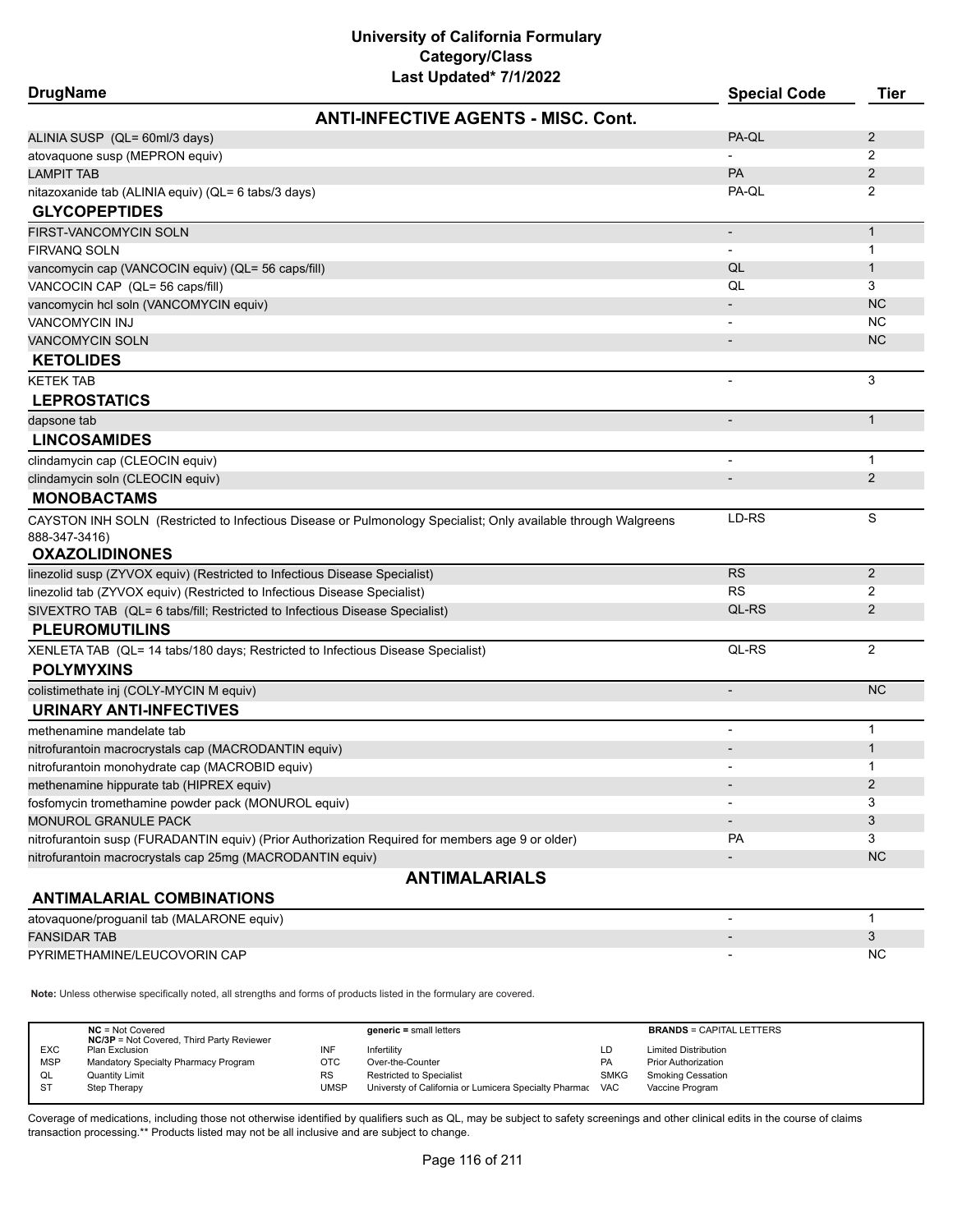| Last Updated <sup>*</sup> 7/1/2022<br><b>DrugName</b>                                                          | <b>Special Code</b>      | <b>Tier</b>    |
|----------------------------------------------------------------------------------------------------------------|--------------------------|----------------|
| <b>ANTI-INFECTIVE AGENTS - MISC, Cont.</b>                                                                     |                          |                |
| ALINIA SUSP (QL= 60ml/3 days)                                                                                  | PA-QL                    | 2              |
| atovaquone susp (MEPRON equiv)                                                                                 |                          | 2              |
| <b>LAMPIT TAB</b>                                                                                              | PA                       | $\mathbf{2}$   |
| nitazoxanide tab (ALINIA equiv) (QL= 6 tabs/3 days)<br><b>GLYCOPEPTIDES</b>                                    | PA-QL                    | 2              |
| FIRST-VANCOMYCIN SOLN                                                                                          |                          | $\mathbf{1}$   |
| FIRVANQ SOLN                                                                                                   |                          | 1              |
| vancomycin cap (VANCOCIN equiv) (QL= 56 caps/fill)                                                             | QL                       | 1              |
| VANCOCIN CAP (QL= 56 caps/fill)                                                                                | QL                       | 3              |
| vancomycin hcl soln (VANCOMYCIN equiv)                                                                         |                          | <b>NC</b>      |
| <b>VANCOMYCIN INJ</b>                                                                                          |                          | NC             |
| <b>VANCOMYCIN SOLN</b>                                                                                         |                          | NC.            |
| <b>KETOLIDES</b>                                                                                               |                          |                |
| <b>KETEK TAB</b>                                                                                               |                          | 3              |
| <b>LEPROSTATICS</b>                                                                                            |                          |                |
| dapsone tab                                                                                                    |                          | $\mathbf{1}$   |
| <b>LINCOSAMIDES</b>                                                                                            |                          |                |
| clindamycin cap (CLEOCIN equiv)                                                                                |                          | $\mathbf{1}$   |
| clindamycin soln (CLEOCIN equiv)                                                                               | $\overline{\phantom{a}}$ | 2              |
| <b>MONOBACTAMS</b>                                                                                             |                          |                |
| CAYSTON INH SOLN (Restricted to Infectious Disease or Pulmonology Specialist; Only available through Walgreens | LD-RS                    | S              |
| 888-347-3416)                                                                                                  |                          |                |
| <b>OXAZOLIDINONES</b>                                                                                          |                          |                |
| linezolid susp (ZYVOX equiv) (Restricted to Infectious Disease Specialist)                                     | <b>RS</b>                | 2              |
| linezolid tab (ZYVOX equiv) (Restricted to Infectious Disease Specialist)                                      | <b>RS</b>                | $\overline{2}$ |
| SIVEXTRO TAB (QL= 6 tabs/fill; Restricted to Infectious Disease Specialist)                                    | QL-RS                    | 2              |
| <b>PLEUROMUTILINS</b>                                                                                          |                          |                |
| XENLETA TAB (QL= 14 tabs/180 days; Restricted to Infectious Disease Specialist)<br><b>POLYMYXINS</b>           | QL-RS                    | $\overline{2}$ |
| colistimethate inj (COLY-MYCIN M equiv)                                                                        |                          | <b>NC</b>      |
| <b>URINARY ANTI-INFECTIVES</b>                                                                                 |                          |                |
| methenamine mandelate tab                                                                                      | $\overline{a}$           | 1              |
| nitrofurantoin macrocrystals cap (MACRODANTIN equiv)                                                           |                          | 1              |
| nitrofurantoin monohydrate cap (MACROBID equiv)                                                                |                          | 1              |
| methenamine hippurate tab (HIPREX equiv)                                                                       |                          | 2              |
| fosfomycin tromethamine powder pack (MONUROL equiv)                                                            |                          | 3              |
| MONUROL GRANULE PACK                                                                                           |                          | 3              |
| nitrofurantoin susp (FURADANTIN equiv) (Prior Authorization Required for members age 9 or older)               | PA                       | 3              |
| nitrofurantoin macrocrystals cap 25mg (MACRODANTIN equiv)                                                      |                          | <b>NC</b>      |
| <b>ANTIMALARIALS</b><br><b>ANTIMALARIAL COMBINATIONS</b>                                                       |                          |                |
| atovaquone/proguanil tab (MALARONE equiv)                                                                      | $\blacksquare$           | 1              |

 $\tt FANSIDAR TAB$   $\hskip 1.0cm \t3$ 

PYRIMETHAMINE/LEUCOVORIN CAP NO

**Note:** Unless otherwise specifically noted, all strengths and forms of products listed in the formulary are covered.

|            | $NC = Not Covered$<br><b>NC/3P</b> = Not Covered, Third Party Reviewer |           | $generic = small letters$                             |             | <b>BRANDS = CAPITAL LETTERS</b> |
|------------|------------------------------------------------------------------------|-----------|-------------------------------------------------------|-------------|---------------------------------|
| <b>EXC</b> | Plan Exclusion                                                         | INF       | Infertility                                           | LD          | <b>Limited Distribution</b>     |
| <b>MSP</b> | Mandatory Specialty Pharmacy Program                                   | отс       | Over-the-Counter                                      | <b>PA</b>   | <b>Prior Authorization</b>      |
| QL         | <b>Quantity Limit</b>                                                  | <b>RS</b> | <b>Restricted to Specialist</b>                       | <b>SMKG</b> | <b>Smoking Cessation</b>        |
| <b>ST</b>  | Step Therapy                                                           | UMSP      | Universty of California or Lumicera Specialty Pharmac | <b>VAC</b>  | Vaccine Program                 |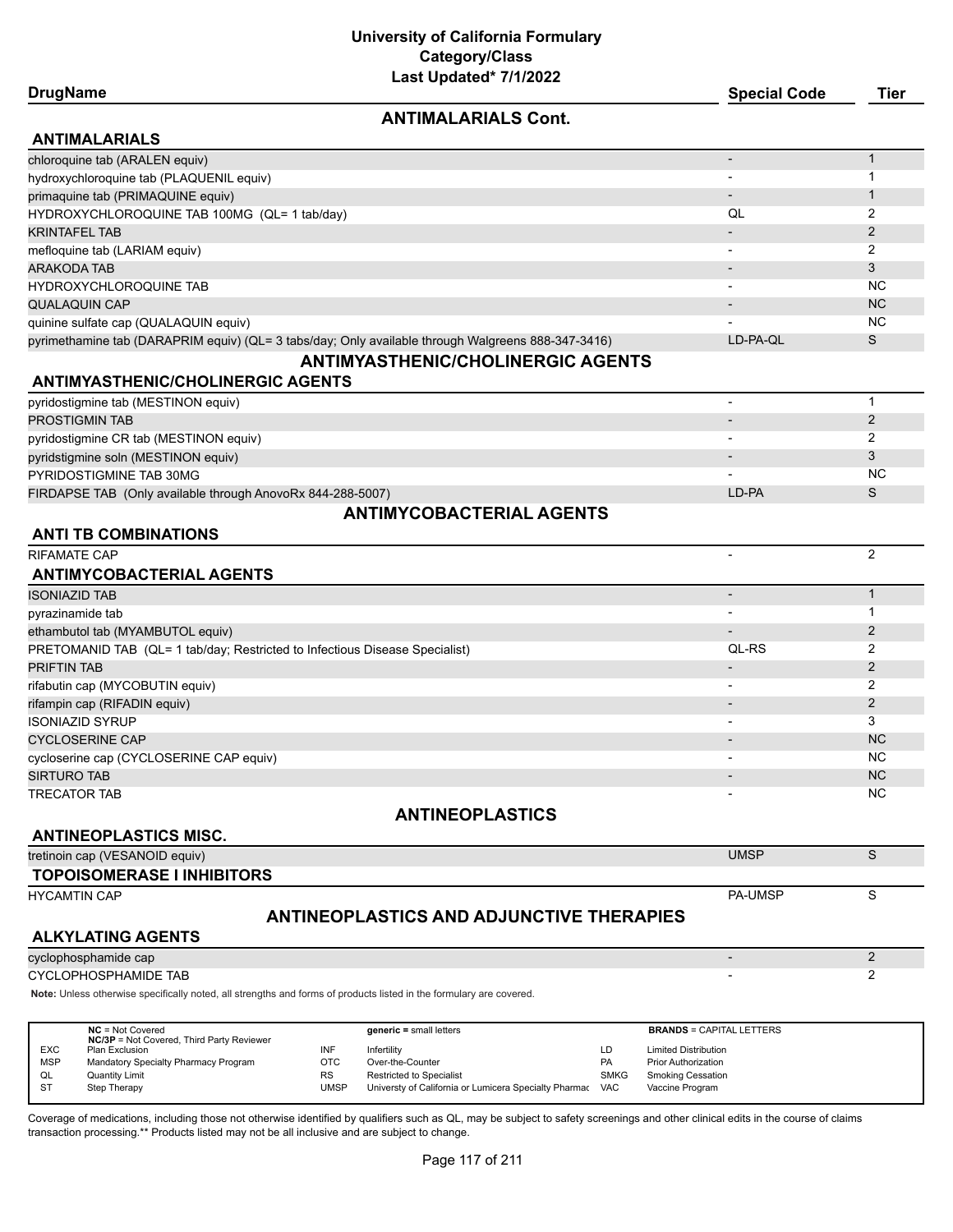## **ANTIMALARIALS Cont.**

| <b>ANTIMALARIALS</b>                                                                               |                          |     |
|----------------------------------------------------------------------------------------------------|--------------------------|-----|
| chloroquine tab (ARALEN equiv)                                                                     |                          |     |
| hydroxychloroquine tab (PLAQUENIL equiv)                                                           | $\overline{\phantom{0}}$ |     |
| primaquine tab (PRIMAQUINE equiv)                                                                  |                          |     |
| HYDROXYCHLOROQUINE TAB 100MG (QL= 1 tab/day)                                                       | QL                       |     |
| KRINTAFEL TAB                                                                                      |                          |     |
| mefloquine tab (LARIAM equiv)                                                                      | $\overline{\phantom{0}}$ | 2   |
| ARAKODA TAB                                                                                        |                          | 3   |
| HYDROXYCHLOROQUINE TAB                                                                             | $\overline{\phantom{0}}$ | NC. |
| QUALAQUIN CAP                                                                                      | $\overline{\phantom{0}}$ | NC. |
| quinine sulfate cap (QUALAQUIN equiv)                                                              |                          | NC. |
| pyrimethamine tab (DARAPRIM equiv) (QL= 3 tabs/day; Only available through Walgreens 888-347-3416) | LD-PA-OL                 | S   |
| <b>ANTIMYASTHENIC/CHOLINERGIC AGENTS</b>                                                           |                          |     |

#### **ANTIMYASTHENIC/CHOLINERGIC AGENTS**

| pyridostigmine tab (MESTINON equiv)                        |       |           |  |  |  |
|------------------------------------------------------------|-------|-----------|--|--|--|
| PROSTIGMIN TAB                                             |       |           |  |  |  |
| pyridostigmine CR tab (MESTINON equiv)                     |       |           |  |  |  |
| pyridstigmine soln (MESTINON equiv)                        |       |           |  |  |  |
| PYRIDOSTIGMINE TAB 30MG                                    |       | <b>NC</b> |  |  |  |
| FIRDAPSE TAB (Only available through AnovoRx 844-288-5007) | LD-PA |           |  |  |  |
| <b>ANTIMYCOBACTERIAL AGENTS</b>                            |       |           |  |  |  |

#### **ANTI TB COMBINATIONS**

| <b>RIFAMATE CAP</b>                                                         |                          |           |
|-----------------------------------------------------------------------------|--------------------------|-----------|
| <b>ANTIMYCOBACTERIAL AGENTS</b>                                             |                          |           |
| <b>ISONIAZID TAB</b>                                                        |                          |           |
| pyrazinamide tab                                                            | $\overline{\phantom{0}}$ |           |
| ethambutol tab (MYAMBUTOL equiv)                                            |                          |           |
| PRETOMANID TAB (QL= 1 tab/day; Restricted to Infectious Disease Specialist) | QL-RS                    |           |
| <b>PRIFTIN TAB</b>                                                          |                          |           |
| rifabutin cap (MYCOBUTIN equiv)                                             |                          |           |
| rifampin cap (RIFADIN equiv)                                                |                          |           |
| <b>ISONIAZID SYRUP</b>                                                      |                          | 3         |
| <b>CYCLOSERINE CAP</b>                                                      |                          | <b>NC</b> |
| cycloserine cap (CYCLOSERINE CAP equiv)                                     |                          | NC.       |
| <b>SIRTURO TAB</b>                                                          |                          | <b>NC</b> |
| <b>TRECATOR TAB</b>                                                         |                          | <b>NC</b> |

## **ANTINEOPLASTICS**

## **ANTINEOPLASTICS MISC.**

| tretinoin cap (VESANOID equiv)    | <b>UMSF</b>    |  |
|-----------------------------------|----------------|--|
| <b>TOPOISOMERASE I INHIBITORS</b> |                |  |
| <b>HYCAMTIN CAP</b>               | <b>PA-UMSP</b> |  |

# **ANTINEOPLASTICS AND ADJUNCTIVE THERAPIES**

#### **ALKYLATING AGENTS**

cyclophosphamide cap 2012 and 2013 and 2014 and 2013 and 2014 and 2014 and 2014 and 2014 and 2014 and 2014 and 2014 and 2014 and 2014 and 2014 and 2014 and 2014 and 2014 and 2014 and 2014 and 2014 and 2014 and 2014 and 201

CYCLOPHOSPHAMIDE TAB 2

**Note:** Unless otherwise specifically noted, all strengths and forms of products listed in the formulary are covered.

|            | $NC = Not Covered$<br><b>NC/3P</b> = Not Covered, Third Party Reviewer |      | $generic = small letters$                                 |             | <b>BRANDS = CAPITAL LETTERS</b> |
|------------|------------------------------------------------------------------------|------|-----------------------------------------------------------|-------------|---------------------------------|
| <b>EXC</b> | Plan Exclusion                                                         | INF  | Infertility                                               | LD          | <b>Limited Distribution</b>     |
| <b>MSP</b> | Mandatory Specialty Pharmacy Program                                   | OTC  | Over-the-Counter                                          | <b>PA</b>   | <b>Prior Authorization</b>      |
| QL         | <b>Quantity Limit</b>                                                  | RS   | <b>Restricted to Specialist</b>                           | <b>SMKG</b> | <b>Smoking Cessation</b>        |
| -ST        | Step Therapy                                                           | UMSP | Universty of California or Lumicera Specialty Pharmac VAC |             | Vaccine Program                 |

Coverage of medications, including those not otherwise identified by qualifiers such as QL, may be subject to safety screenings and other clinical edits in the course of claims transaction processing.\*\* Products listed may not be all inclusive and are subject to change.

**DrugName Special Code Tier**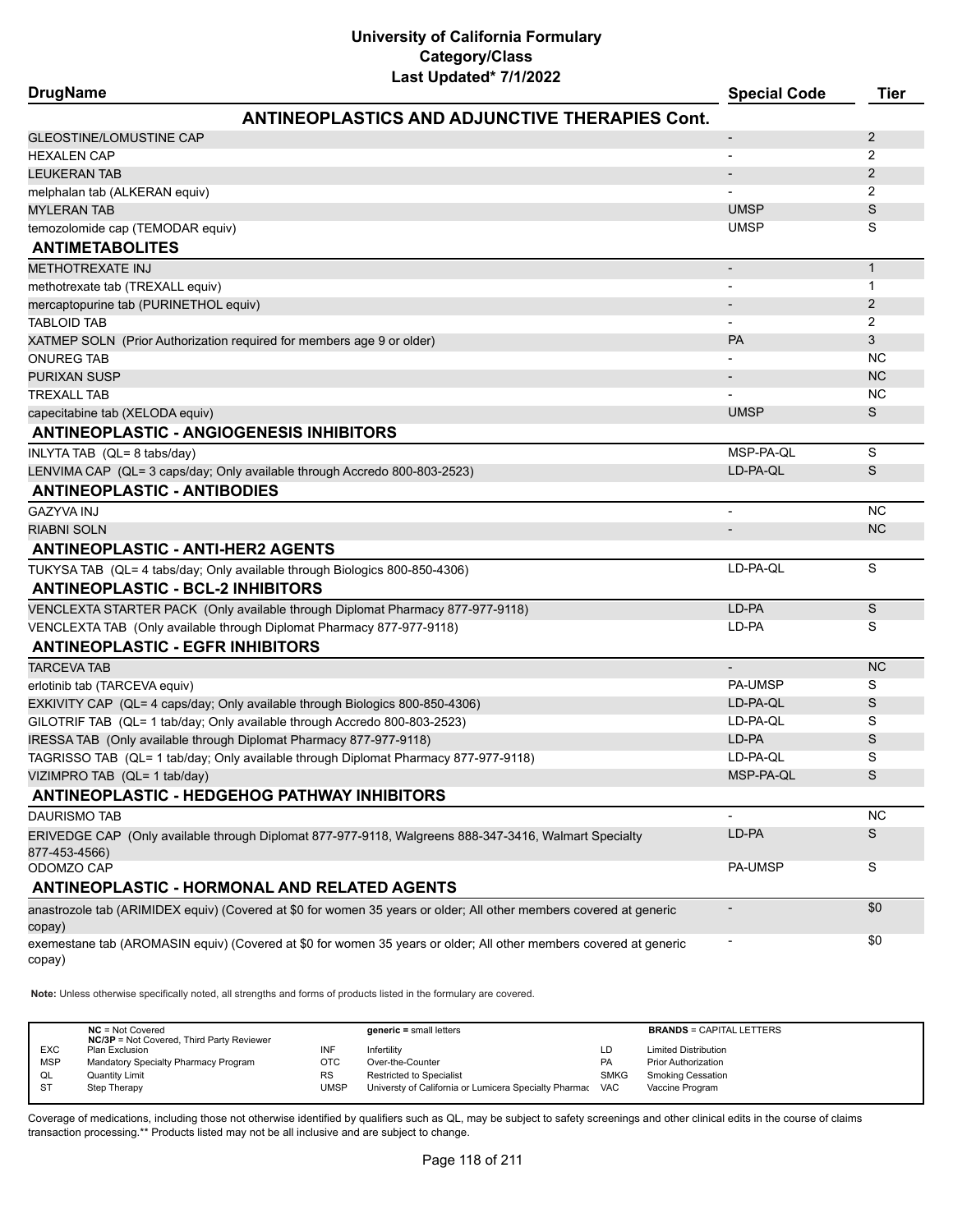| <b>DrugName</b>                                                                                                              | <b>Special Code</b>      | <b>Tier</b>    |
|------------------------------------------------------------------------------------------------------------------------------|--------------------------|----------------|
| <b>ANTINEOPLASTICS AND ADJUNCTIVE THERAPIES Cont.</b>                                                                        |                          |                |
| <b>GLEOSTINE/LOMUSTINE CAP</b>                                                                                               | $\overline{\phantom{a}}$ | 2              |
| <b>HEXALEN CAP</b>                                                                                                           |                          | 2              |
| <b>LEUKERAN TAB</b>                                                                                                          | $\overline{\phantom{a}}$ | $\overline{2}$ |
| melphalan tab (ALKERAN equiv)                                                                                                |                          | 2              |
| <b>MYLERAN TAB</b>                                                                                                           | <b>UMSP</b>              | S              |
| temozolomide cap (TEMODAR equiv)                                                                                             | <b>UMSP</b>              | S              |
| <b>ANTIMETABOLITES</b>                                                                                                       |                          |                |
| <b>METHOTREXATE INJ</b>                                                                                                      | $\overline{\phantom{a}}$ | $\mathbf{1}$   |
| methotrexate tab (TREXALL equiv)                                                                                             |                          | 1              |
| mercaptopurine tab (PURINETHOL equiv)                                                                                        | $\overline{\phantom{a}}$ | $\overline{2}$ |
| <b>TABLOID TAB</b>                                                                                                           |                          | 2              |
| XATMEP SOLN (Prior Authorization required for members age 9 or older)                                                        | <b>PA</b>                | 3              |
| <b>ONUREG TAB</b>                                                                                                            |                          | <b>NC</b>      |
| <b>PURIXAN SUSP</b>                                                                                                          |                          | <b>NC</b>      |
| <b>TREXALL TAB</b>                                                                                                           |                          | <b>NC</b>      |
| capecitabine tab (XELODA equiv)                                                                                              | <b>UMSP</b>              | S              |
| <b>ANTINEOPLASTIC - ANGIOGENESIS INHIBITORS</b>                                                                              |                          |                |
| INLYTA TAB (QL= 8 tabs/day)                                                                                                  | MSP-PA-QL                | S              |
| LENVIMA CAP (QL= 3 caps/day; Only available through Accredo 800-803-2523)                                                    | LD-PA-QL                 | S              |
| <b>ANTINEOPLASTIC - ANTIBODIES</b>                                                                                           |                          |                |
| <b>GAZYVA INJ</b>                                                                                                            | $\blacksquare$           | <b>NC</b>      |
| <b>RIABNI SOLN</b>                                                                                                           |                          | <b>NC</b>      |
| <b>ANTINEOPLASTIC - ANTI-HER2 AGENTS</b>                                                                                     |                          |                |
| TUKYSA TAB (QL= 4 tabs/day; Only available through Biologics 800-850-4306)                                                   | LD-PA-QL                 | S              |
| <b>ANTINEOPLASTIC - BCL-2 INHIBITORS</b>                                                                                     |                          |                |
| VENCLEXTA STARTER PACK (Only available through Diplomat Pharmacy 877-977-9118)                                               | LD-PA                    | S              |
| VENCLEXTA TAB (Only available through Diplomat Pharmacy 877-977-9118)                                                        | LD-PA                    | S              |
| <b>ANTINEOPLASTIC - EGFR INHIBITORS</b>                                                                                      |                          |                |
| <b>TARCEVA TAB</b>                                                                                                           | $\overline{\phantom{a}}$ | <b>NC</b>      |
| erlotinib tab (TARCEVA equiv)                                                                                                | PA-UMSP                  | S              |
| EXKIVITY CAP (QL= 4 caps/day; Only available through Biologics 800-850-4306)                                                 | LD-PA-QL                 | S              |
| GILOTRIF TAB (QL= 1 tab/day; Only available through Accredo 800-803-2523)                                                    | LD-PA-QL                 | S              |
| IRESSA TAB (Only available through Diplomat Pharmacy 877-977-9118)                                                           | LD-PA                    | S              |
| TAGRISSO TAB (QL= 1 tab/day; Only available through Diplomat Pharmacy 877-977-9118)                                          | LD-PA-QL                 | S              |
| VIZIMPRO TAB (QL= 1 tab/day)                                                                                                 | MSP-PA-QL                | S              |
| <b>ANTINEOPLASTIC - HEDGEHOG PATHWAY INHIBITORS</b>                                                                          |                          |                |
| <b>DAURISMO TAB</b>                                                                                                          |                          | <b>NC</b>      |
| ERIVEDGE CAP (Only available through Diplomat 877-977-9118, Walgreens 888-347-3416, Walmart Specialty<br>877-453-4566)       | LD-PA                    | S              |
| ODOMZO CAP                                                                                                                   | PA-UMSP                  | S              |
| <b>ANTINEOPLASTIC - HORMONAL AND RELATED AGENTS</b>                                                                          |                          |                |
| anastrozole tab (ARIMIDEX equiv) (Covered at \$0 for women 35 years or older; All other members covered at generic<br>copay) |                          | \$0            |
| exemestane tab (AROMASIN equiv) (Covered at \$0 for women 35 years or older; All other members covered at generic<br>copay)  |                          | \$0            |

**Note:** Unless otherwise specifically noted, all strengths and forms of products listed in the formulary are covered.

|            | $NC = Not Covered$<br><b>NC/3P</b> = Not Covered, Third Party Reviewer |             | $generic = small letters$                             |             | <b>BRANDS = CAPITAL LETTERS</b> |
|------------|------------------------------------------------------------------------|-------------|-------------------------------------------------------|-------------|---------------------------------|
| <b>EXC</b> | Plan Exclusion                                                         | INF         | Infertility                                           | LD          | <b>Limited Distribution</b>     |
| <b>MSP</b> | Mandatory Specialty Pharmacy Program                                   | OTC         | Over-the-Counter                                      | PA          | <b>Prior Authorization</b>      |
| QL         | Quantity Limit                                                         | <b>RS</b>   | <b>Restricted to Specialist</b>                       | <b>SMKG</b> | <b>Smoking Cessation</b>        |
| -ST        | Step Therapy                                                           | <b>UMSP</b> | Universty of California or Lumicera Specialty Pharmac | <b>VAC</b>  | Vaccine Program                 |
|            |                                                                        |             |                                                       |             |                                 |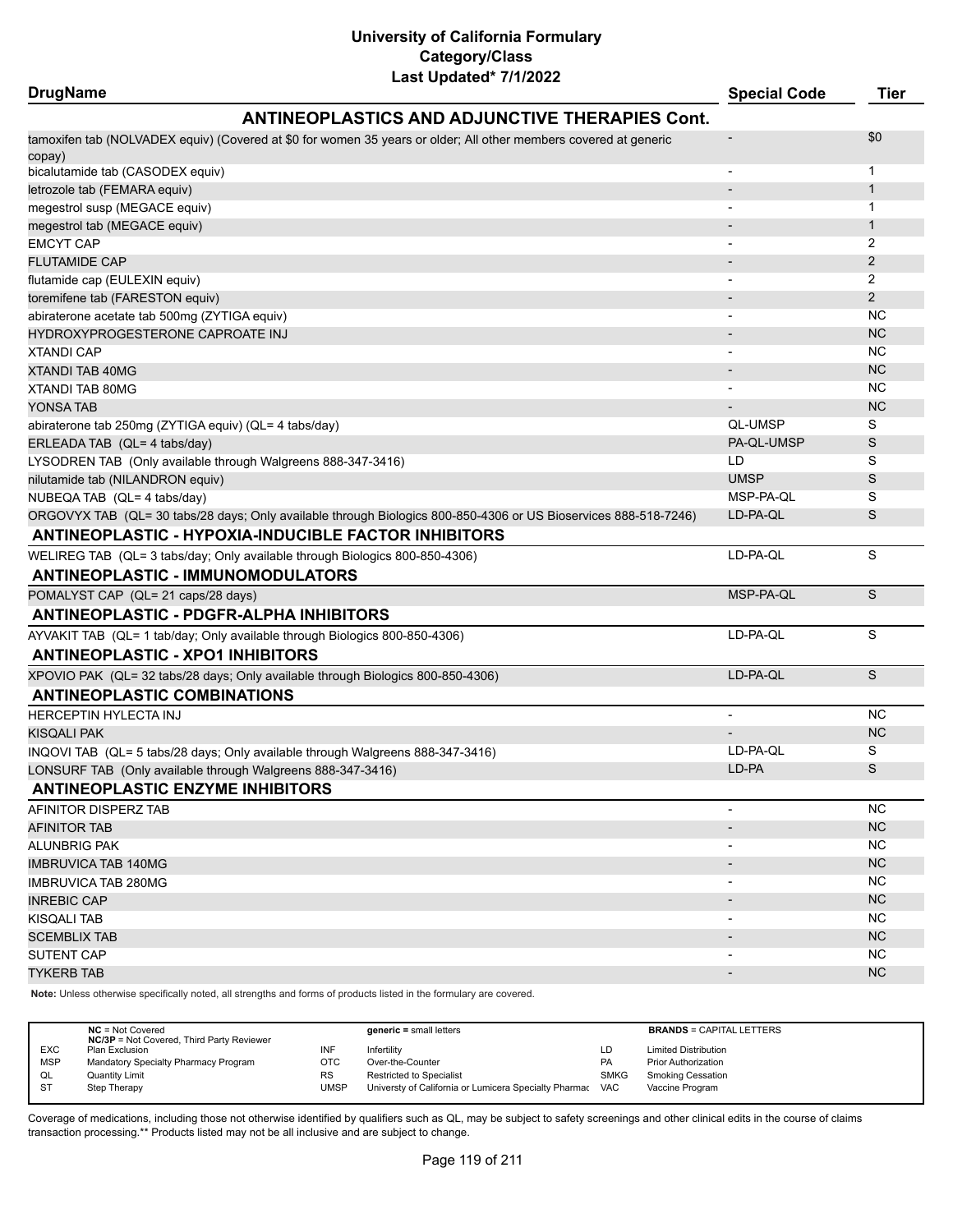### **DrugName Special Code Tier ANTINEOPLASTICS AND ADJUNCTIVE THERAPIES Cont.** tamoxifen tab (NOLVADEX equiv) (Covered at \$0 for women 35 years or older; All other members covered at generic copay) - \$0 bicalutamide tab (CASODEX equiv) and the contract of the contract of the contract of the contract of the contract of the contract of the contract of the contract of the contract of the contract of the contract of the contr letrozole tab (FEMARA equiv) - 1 megestrol susp (MEGACE equiv) - 1 megestrol tab (MEGACE equiv) - 1 EMCYT CAP - 2 FLUTAMIDE CAP - 2 flutamide cap (EULEXIN equiv) - 2 toremifene tab (FARESTON equiv) - 2 abiraterone acetate tab 500mg (ZYTIGA equiv) abiraterone acetate tab 500mg (ZYTIGA equiv) abiraterone acetate tab 500mg (XYTIGA equiv) HYDROXYPROGESTERONE CAPROATE INJ - NC XTANDI CAP - NC XTANDI TAB 40MG - NGC 100 NGC 100 NGC 100 NGC 100 NGC 100 NGC 100 NGC 100 NGC 100 NGC 100 NGC 100 NGC 100 NGC 100 NG XTANDI TAB 80MG - NC YONSA TAB - NC abiraterone tab 250mg (ZYTIGA equiv) (QL= 4 tabs/day) QL-UMSP S ERLEADA TAB (QL= 4 tabs/day) PA-QL-UMSP S LYSODREN TAB (Only available through Walgreens 888-347-3416) LD S nilutamide tab (NILANDRON equiv) UMSP S NUBEQA TAB (QL= 4 tabs/day) and the state of the state of the state of the state of the state of the state of the state of the state of the state of the state of the state of the state of the state of the state of the stat ORGOVYX TAB (QL= 30 tabs/28 days; Only available through Biologics 800-850-4306 or US Bioservices 888-518-7246) LD-PA-QL S **ANTINEOPLASTIC - HYPOXIA-INDUCIBLE FACTOR INHIBITORS** WELIREG TAB (QL= 3 tabs/day; Only available through Biologics 800-850-4306) LO-PA-QL LD-PA-QL S **ANTINEOPLASTIC - IMMUNOMODULATORS** POMALYST CAP (QL= 21 caps/28 days) and the control of the control of the control of the control of the control of the control of the control of the control of the control of the control of the control of the control of the **ANTINEOPLASTIC - PDGFR-ALPHA INHIBITORS** AYVAKIT TAB (QL= 1 tab/day; Only available through Biologics 800-850-4306) LD-PA-QL S **ANTINEOPLASTIC - XPO1 INHIBITORS** XPOVIO PAK (QL= 32 tabs/28 days; Only available through Biologics 800-850-4306) LD-PA-QL S **ANTINEOPLASTIC COMBINATIONS** HERCEPTIN HYLECTA INJ NOOR ALL AND HERCEPTIN HYLECTA INJ KISQALI PAK - NCHA - NCHA - NCHA - NCHA - NCHA - NCHA - NCHA - NCHA - NCHA - NCHA - NCHA - NCHA - NC INQOVI TAB (QL= 5 tabs/28 days; Only available through Walgreens 888-347-3416) LO-PA-QL LD-PA-QL S LONSURF TAB (Only available through Walgreens 888-347-3416) LD-PA S **ANTINEOPLASTIC ENZYME INHIBITORS** AFINITOR DISPERZ TAB - NC NORTH AND THE SERVICE OF THE SERVICE OF THE SERVICE OF THE SERVICE OF THE SERVICE OF THE SERVICE OF THE SERVICE OF THE SERVICE OF THE SERVICE OF THE SERVICE OF THE SERVICE OF THE SERVICE OF THE SE AFINITOR TAB - NO MARCHARD - NO MARCHARD - NO MARCHARD - NO MARCHARD - NO MARCHARD - NO MARCHARD - NO MARCHARD ALUNBRIG PAK - NC IMBRUVICA TAB 140MG - NGC 1999 NGC 1999 NGC 1999 NGC 1999 NGC 1999 NGC 1999 NGC 1999 NGC 1999 NGC 1999 NGC 199 IMBRUVICA TAB 280MG - NC INREBIC CAP  $\blacksquare$ KISQALI TAB - NC  ${\sf SCEMBLIX}$  TAB  ${\sf NC}$ SUTENT CAP - NC TYKERB TAB - NC

**Note:** Unless otherwise specifically noted, all strengths and forms of products listed in the formulary are covered.

|            | $NC = Not Covered$<br><b>NC/3P</b> = Not Covered, Third Party Reviewer |      | $generic = small letters$                                 |             | <b>BRANDS = CAPITAL LETTERS</b> |
|------------|------------------------------------------------------------------------|------|-----------------------------------------------------------|-------------|---------------------------------|
| <b>EXC</b> | Plan Exclusion                                                         | INF  | Infertility                                               | LD          | <b>Limited Distribution</b>     |
| <b>MSP</b> | Mandatory Specialty Pharmacy Program                                   | OTC  | Over-the-Counter                                          | PA          | <b>Prior Authorization</b>      |
| QL         | <b>Quantity Limit</b>                                                  | RS   | <b>Restricted to Specialist</b>                           | <b>SMKG</b> | Smoking Cessation               |
| <b>ST</b>  | Step Therapy                                                           | UMSP | Universty of California or Lumicera Specialty Pharmac VAC |             | Vaccine Program                 |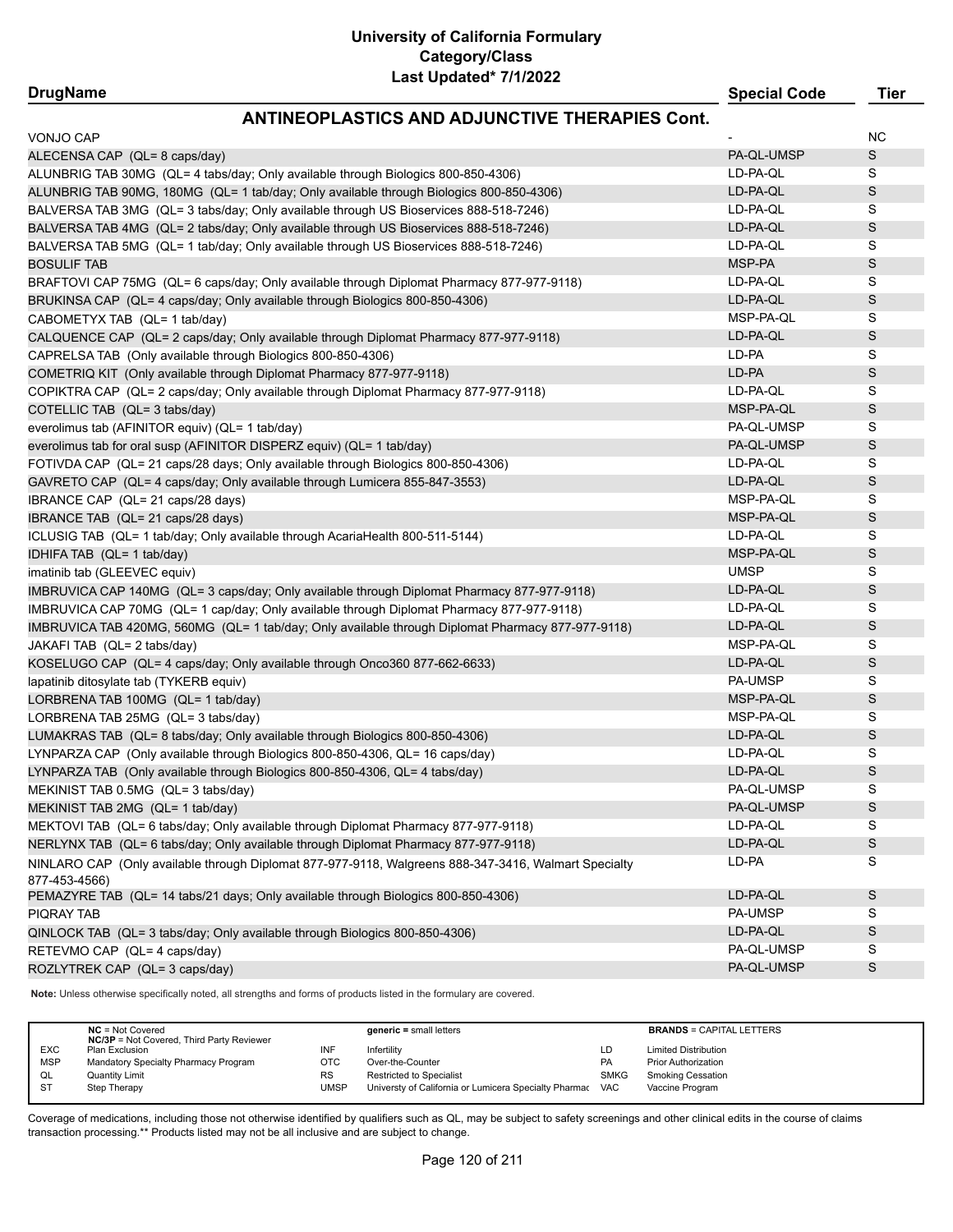# **ANTINEOPLASTICS AND AD ILINCTIVE THERAPIES CO**

| AN HINLUFLASTIUS AND ADJUNUTIVE THENAFILS UUIIL                                                      |             |             |
|------------------------------------------------------------------------------------------------------|-------------|-------------|
| VONJO CAP                                                                                            |             | <b>NC</b>   |
| ALECENSA CAP (QL= 8 caps/day)                                                                        | PA-QL-UMSP  | S           |
| ALUNBRIG TAB 30MG (QL= 4 tabs/day; Only available through Biologics 800-850-4306)                    | LD-PA-QL    | S           |
| ALUNBRIG TAB 90MG, 180MG (QL= 1 tab/day; Only available through Biologics 800-850-4306)              | LD-PA-QL    | S           |
| BALVERSA TAB 3MG (QL= 3 tabs/day; Only available through US Bioservices 888-518-7246)                | LD-PA-QL    | S           |
| BALVERSA TAB 4MG (QL= 2 tabs/day; Only available through US Bioservices 888-518-7246)                | LD-PA-QL    | S           |
| BALVERSA TAB 5MG (QL= 1 tab/day; Only available through US Bioservices 888-518-7246)                 | LD-PA-QL    | S           |
| <b>BOSULIF TAB</b>                                                                                   | MSP-PA      | $\mathbb S$ |
| BRAFTOVI CAP 75MG (QL= 6 caps/day; Only available through Diplomat Pharmacy 877-977-9118)            | LD-PA-QL    | S           |
| BRUKINSA CAP (QL= 4 caps/day; Only available through Biologics 800-850-4306)                         | LD-PA-QL    | S           |
| CABOMETYX TAB (QL= 1 tab/day)                                                                        | MSP-PA-QL   | S           |
| CALQUENCE CAP (QL= 2 caps/day; Only available through Diplomat Pharmacy 877-977-9118)                | LD-PA-QL    | $\mathbb S$ |
| CAPRELSA TAB (Only available through Biologics 800-850-4306)                                         | LD-PA       | S           |
| COMETRIQ KIT (Only available through Diplomat Pharmacy 877-977-9118)                                 | LD-PA       | S           |
| COPIKTRA CAP (QL= 2 caps/day; Only available through Diplomat Pharmacy 877-977-9118)                 | LD-PA-QL    | S           |
| COTELLIC TAB (QL= 3 tabs/day)                                                                        | MSP-PA-QL   | S           |
| everolimus tab (AFINITOR equiv) (QL= 1 tab/day)                                                      | PA-QL-UMSP  | S           |
| everolimus tab for oral susp (AFINITOR DISPERZ equiv) (QL= 1 tab/day)                                | PA-QL-UMSP  | $\mathbb S$ |
| FOTIVDA CAP (QL= 21 caps/28 days; Only available through Biologics 800-850-4306)                     | LD-PA-QL    | S           |
| GAVRETO CAP (QL= 4 caps/day; Only available through Lumicera 855-847-3553)                           | LD-PA-QL    | S           |
| IBRANCE CAP (QL= 21 caps/28 days)                                                                    | MSP-PA-QL   | S           |
|                                                                                                      | MSP-PA-QL   | $\mathbb S$ |
| IBRANCE TAB (QL= 21 caps/28 days)                                                                    | LD-PA-QL    | S           |
| ICLUSIG TAB (QL= 1 tab/day; Only available through AcariaHealth 800-511-5144)                        |             |             |
| IDHIFA TAB (QL= 1 tab/day)                                                                           | MSP-PA-QL   | $\mathbb S$ |
| imatinib tab (GLEEVEC equiv)                                                                         | <b>UMSP</b> | S           |
| IMBRUVICA CAP 140MG (QL= 3 caps/day; Only available through Diplomat Pharmacy 877-977-9118)          | LD-PA-QL    | $\mathbb S$ |
| IMBRUVICA CAP 70MG (QL= 1 cap/day; Only available through Diplomat Pharmacy 877-977-9118)            | LD-PA-QL    | S           |
| IMBRUVICA TAB 420MG, 560MG (QL= 1 tab/day; Only available through Diplomat Pharmacy 877-977-9118)    | LD-PA-QL    | S           |
| JAKAFI TAB (QL= 2 tabs/day)                                                                          | MSP-PA-QL   | S           |
| KOSELUGO CAP (QL= 4 caps/day; Only available through Onco360 877-662-6633)                           | LD-PA-QL    | S           |
| lapatinib ditosylate tab (TYKERB equiv)                                                              | PA-UMSP     | S           |
| LORBRENA TAB 100MG (QL= 1 tab/day)                                                                   | MSP-PA-QL   | S           |
| LORBRENA TAB 25MG (QL= 3 tabs/day)                                                                   | MSP-PA-QL   | S           |
| LUMAKRAS TAB (QL= 8 tabs/day; Only available through Biologics 800-850-4306)                         | LD-PA-QL    | $\mathbb S$ |
| LYNPARZA CAP (Only available through Biologics 800-850-4306, QL= 16 caps/day)                        | LD-PA-QL    | S           |
| LYNPARZA TAB (Only available through Biologics 800-850-4306, QL= 4 tabs/day)                         | LD-PA-QL    | S           |
| MEKINIST TAB 0.5MG (QL= 3 tabs/day)                                                                  | PA-QL-UMSP  | S           |
| MEKINIST TAB 2MG (QL= 1 tab/day)                                                                     | PA-QL-UMSP  | S           |
| MEKTOVI TAB (QL= 6 tabs/day; Only available through Diplomat Pharmacy 877-977-9118)                  | LD-PA-QL    | S           |
| NERLYNX TAB (QL= 6 tabs/day; Only available through Diplomat Pharmacy 877-977-9118)                  | LD-PA-QL    | S           |
| NINLARO CAP (Only available through Diplomat 877-977-9118, Walgreens 888-347-3416, Walmart Specialty | LD-PA       | S           |
| 877-453-4566)<br>PEMAZYRE TAB (QL= 14 tabs/21 days; Only available through Biologics 800-850-4306)   | LD-PA-QL    | S           |
| PIQRAY TAB                                                                                           | PA-UMSP     | S           |
| QINLOCK TAB (QL= 3 tabs/day; Only available through Biologics 800-850-4306)                          | LD-PA-QL    | $\mathbb S$ |
| RETEVMO CAP (QL= 4 caps/day)                                                                         | PA-QL-UMSP  | S           |
| ROZLYTREK CAP (QL= 3 caps/day)                                                                       | PA-QL-UMSP  | $\mathsf S$ |
|                                                                                                      |             |             |

**Note:** Unless otherwise specifically noted, all strengths and forms of products listed in the formulary are covered.

|            | $NC = Not Covered$<br><b>NC/3P</b> = Not Covered, Third Party Reviewer |           | $generic = small letters$                             |             | <b>BRANDS = CAPITAL LETTERS</b> |
|------------|------------------------------------------------------------------------|-----------|-------------------------------------------------------|-------------|---------------------------------|
| <b>EXC</b> | Plan Exclusion                                                         | INF       | Infertility                                           | LD          | <b>Limited Distribution</b>     |
| <b>MSP</b> | Mandatory Specialty Pharmacy Program                                   | отс       | Over-the-Counter                                      | <b>PA</b>   | <b>Prior Authorization</b>      |
| QL         | <b>Quantity Limit</b>                                                  | <b>RS</b> | <b>Restricted to Specialist</b>                       | <b>SMKG</b> | <b>Smoking Cessation</b>        |
| <b>ST</b>  | Step Therapy                                                           | UMSP      | Universty of California or Lumicera Specialty Pharmac | <b>VAC</b>  | Vaccine Program                 |
|            |                                                                        |           |                                                       |             |                                 |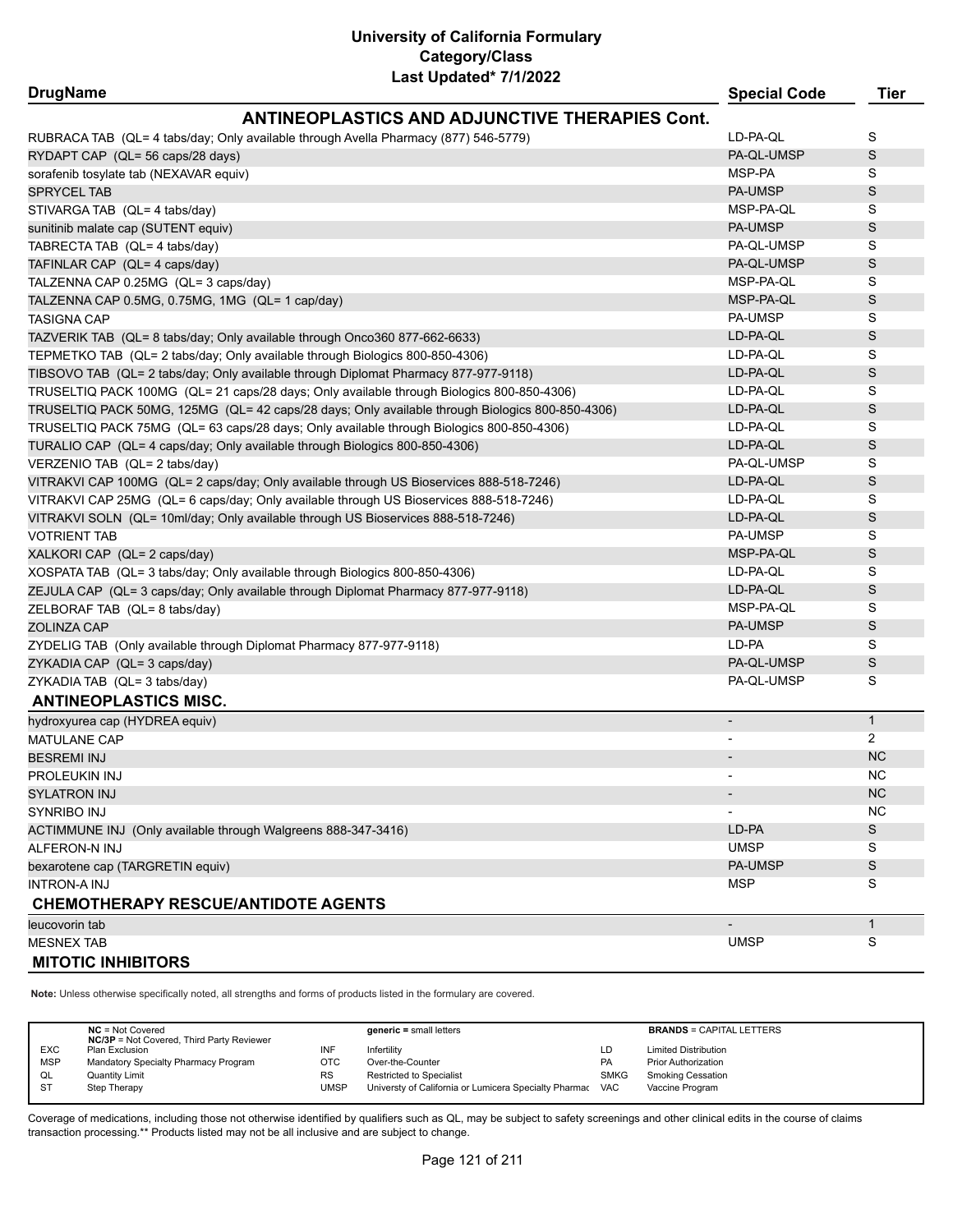| <b>DrugName</b>                                                                                 | <b>Special Code</b>      | <b>Tier</b>  |
|-------------------------------------------------------------------------------------------------|--------------------------|--------------|
| <b>ANTINEOPLASTICS AND ADJUNCTIVE THERAPIES Cont.</b>                                           |                          |              |
| RUBRACA TAB (QL= 4 tabs/day; Only available through Avella Pharmacy (877) 546-5779)             | LD-PA-QL                 | S            |
| RYDAPT CAP (QL= 56 caps/28 days)                                                                | PA-QL-UMSP               | S            |
| sorafenib tosylate tab (NEXAVAR equiv)                                                          | MSP-PA                   | S            |
| <b>SPRYCEL TAB</b>                                                                              | <b>PA-UMSP</b>           | S            |
| STIVARGA TAB (QL= 4 tabs/day)                                                                   | MSP-PA-QL                | S            |
| sunitinib malate cap (SUTENT equiv)                                                             | <b>PA-UMSP</b>           | S            |
| TABRECTA TAB (QL= 4 tabs/day)                                                                   | PA-QL-UMSP               | S            |
| TAFINLAR CAP (QL= 4 caps/day)                                                                   | PA-QL-UMSP               | S            |
| TALZENNA CAP 0.25MG (QL= 3 caps/day)                                                            | MSP-PA-QL                | S            |
| TALZENNA CAP 0.5MG, 0.75MG, 1MG (QL= 1 cap/day)                                                 | MSP-PA-QL                | S            |
| <b>TASIGNA CAP</b>                                                                              | PA-UMSP                  | S            |
| TAZVERIK TAB (QL= 8 tabs/day; Only available through Onco360 877-662-6633)                      | LD-PA-QL                 | S            |
| TEPMETKO TAB (QL= 2 tabs/day; Only available through Biologics 800-850-4306)                    | LD-PA-QL                 | S            |
| TIBSOVO TAB (QL= 2 tabs/day; Only available through Diplomat Pharmacy 877-977-9118)             | LD-PA-QL                 | S            |
| TRUSELTIQ PACK 100MG (QL= 21 caps/28 days; Only available through Biologics 800-850-4306)       | LD-PA-QL                 | S            |
| TRUSELTIQ PACK 50MG, 125MG (QL= 42 caps/28 days; Only available through Biologics 800-850-4306) | LD-PA-QL                 | S            |
| TRUSELTIQ PACK 75MG (QL= 63 caps/28 days; Only available through Biologics 800-850-4306)        | LD-PA-QL                 | S            |
| TURALIO CAP (QL= 4 caps/day; Only available through Biologics 800-850-4306)                     | LD-PA-QL                 | S            |
| VERZENIO TAB (QL= 2 tabs/day)                                                                   | PA-QL-UMSP               | S            |
| VITRAKVI CAP 100MG (QL= 2 caps/day; Only available through US Bioservices 888-518-7246)         | LD-PA-QL                 | S            |
| VITRAKVI CAP 25MG (QL= 6 caps/day; Only available through US Bioservices 888-518-7246)          | LD-PA-QL                 | S            |
| VITRAKVI SOLN (QL= 10ml/day; Only available through US Bioservices 888-518-7246)                | LD-PA-QL                 | S            |
| <b>VOTRIENT TAB</b>                                                                             | PA-UMSP                  | S            |
| XALKORI CAP (QL= 2 caps/day)                                                                    | MSP-PA-QL                | S            |
| XOSPATA TAB (QL= 3 tabs/day; Only available through Biologics 800-850-4306)                     | LD-PA-QL                 | S            |
| ZEJULA CAP (QL= 3 caps/day; Only available through Diplomat Pharmacy 877-977-9118)              | LD-PA-QL                 | $\mathsf S$  |
| ZELBORAF TAB (QL= 8 tabs/day)                                                                   | MSP-PA-QL                | S            |
| ZOLINZA CAP                                                                                     | PA-UMSP                  | S            |
| ZYDELIG TAB (Only available through Diplomat Pharmacy 877-977-9118)                             | LD-PA                    | S            |
| ZYKADIA CAP (QL= 3 caps/day)                                                                    | PA-QL-UMSP               | S            |
| ZYKADIA TAB (QL= 3 tabs/day)                                                                    | PA-QL-UMSP               | S            |
| <b>ANTINEOPLASTICS MISC.</b>                                                                    |                          |              |
| hydroxyurea cap (HYDREA equiv)                                                                  | $\overline{\phantom{a}}$ | $\mathbf{1}$ |
| <b>MATULANE CAP</b>                                                                             | $\overline{\phantom{a}}$ | 2            |
| <b>BESREMI INJ</b>                                                                              |                          | <b>NC</b>    |
| PROLEUKIN INJ                                                                                   |                          | NC.          |
| <b>SYLATRON INJ</b>                                                                             |                          | <b>NC</b>    |
| SYNRIBO INJ                                                                                     |                          | <b>NC</b>    |
| ACTIMMUNE INJ (Only available through Walgreens 888-347-3416)                                   | LD-PA                    | S            |
| <b>ALFERON-N INJ</b>                                                                            | <b>UMSP</b>              | S            |
| bexarotene cap (TARGRETIN equiv)                                                                | <b>PA-UMSP</b>           | S            |
| <b>INTRON-A INJ</b>                                                                             | <b>MSP</b>               | S            |
| <b>CHEMOTHERAPY RESCUE/ANTIDOTE AGENTS</b>                                                      |                          |              |
| leucovorin tab                                                                                  | $\overline{a}$           | $\mathbf{1}$ |
| <b>MESNEX TAB</b>                                                                               | <b>UMSP</b>              | S            |
| <b>MITOTIC INHIBITORS</b>                                                                       |                          |              |

**Note:** Unless otherwise specifically noted, all strengths and forms of products listed in the formulary are covered.

|            | $NC = Not Covered$<br><b>NC/3P</b> = Not Covered, Third Party Reviewer |             | $generic = small letters$                             |             | <b>BRANDS = CAPITAL LETTERS</b> |
|------------|------------------------------------------------------------------------|-------------|-------------------------------------------------------|-------------|---------------------------------|
| <b>EXC</b> | Plan Exclusion                                                         | INF         | Infertility                                           | LD          | <b>Limited Distribution</b>     |
| <b>MSP</b> | Mandatory Specialty Pharmacy Program                                   | OTC         | Over-the-Counter                                      | <b>PA</b>   | <b>Prior Authorization</b>      |
| QL         | <b>Quantity Limit</b>                                                  | <b>RS</b>   | <b>Restricted to Specialist</b>                       | <b>SMKG</b> | <b>Smoking Cessation</b>        |
| <b>ST</b>  | Step Therapy                                                           | <b>UMSP</b> | Universty of California or Lumicera Specialty Pharmac | <b>VAC</b>  | Vaccine Program                 |
|            |                                                                        |             |                                                       |             |                                 |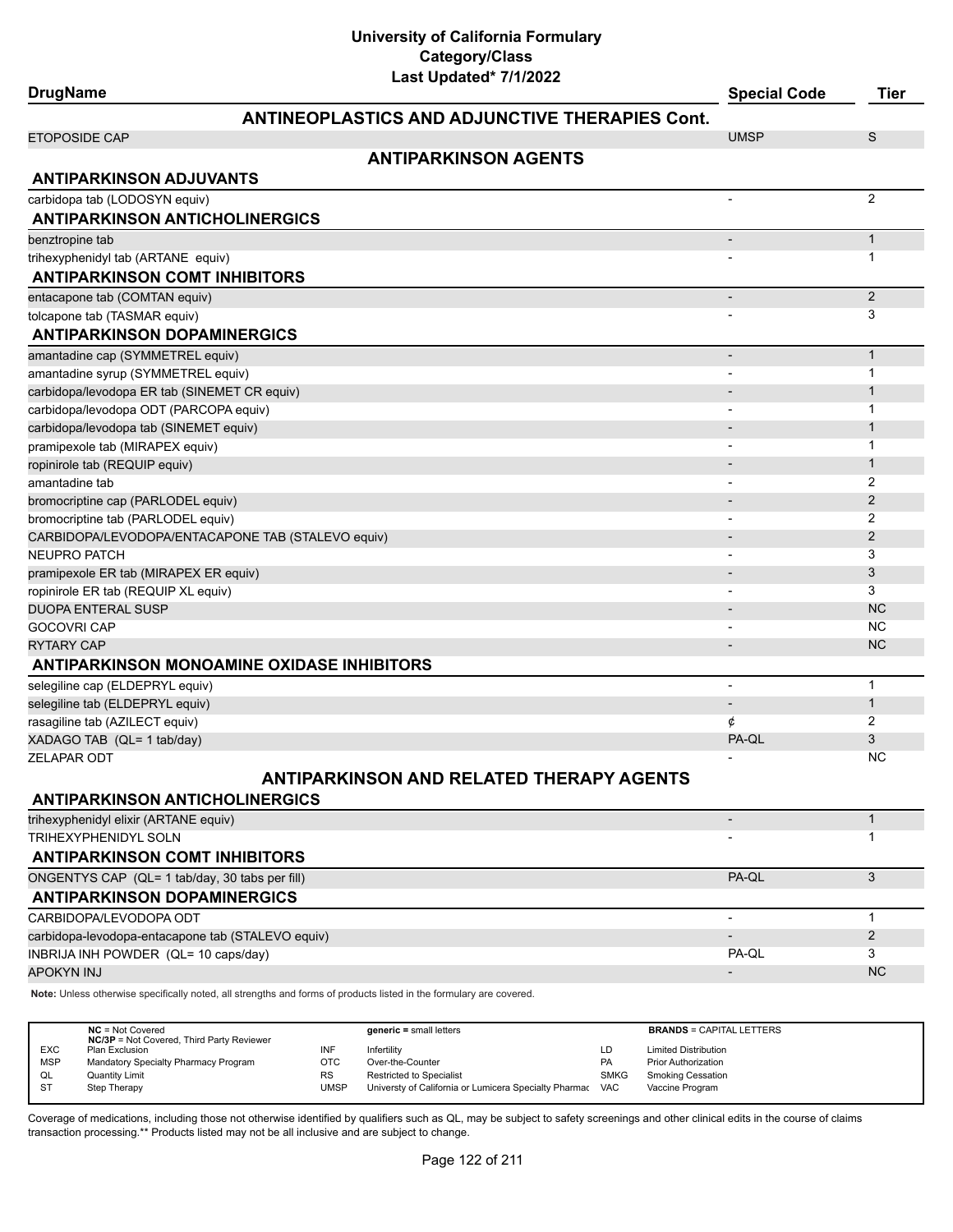# **DrugName Special Code Tier ANTINEOPLASTICS AND ADJUNCTIVE THERAPIES Cont.** ETOPOSIDE CAP UMSP S **ANTIPARKINSON AGENTS ANTIPARKINSON ADJUVANTS** carbidopa tab (LODOSYN equiv) 2 **ANTIPARKINSON ANTICHOLINERGICS** benztropine tab - 12 animato - 12 animato - 12 animato - 12 animato - 12 animato - 12 animato - 12 animato - 1 trihexyphenidyl tab (ARTANE equiv) - 1 **ANTIPARKINSON COMT INHIBITORS** entacapone tab (COMTAN equiv) and a 2 set of the control of the control of the control of the control of the control of the control of the control of the control of the control of the control of the control of the control tolcapone tab (TASMAR equiv) 33 **ANTIPARKINSON DOPAMINERGICS** amantadine cap (SYMMETREL equiv) and the control of the control of the control of the control of the control of the control of the control of the control of the control of the control of the control of the control of the c amantadine syrup (SYMMETREL equiv) and the system of the system of the system of the system of the system of the system of the system of the system of the system of the system of the system of the system of the system of t carbidopa/levodopa ER tab (SINEMET CR equiv) - 1 carbidopa/levodopa ODT (PARCOPA equiv) - 1 carbidopa/levodopa tab (SINEMET equiv) - 1 pramipexole tab (MIRAPEX equiv) and the control of the control of the control of the control of the control of the control of the control of the control of the control of the control of the control of the control of the co ropinirole tab (REQUIP equiv) and the contract of the contract of the contract of the contract of the contract of the contract of the contract of the contract of the contract of the contract of the contract of the contract amantadine tab - 2 bromocriptine cap (PARLODEL equiv) - 2 bromocriptine tab (PARLODEL equiv) 32 CARBIDOPA/LEVODOPA/ENTACAPONE TAB (STALEVO equiv) and a 2 million of the contract of the contract of the contract of the contract of the contract of the contract of the contract of the contract of the contract of the contr NEUPRO PATCH - 3 pramipexole ER tab (MIRAPEX ER equiv) - 3 ropinirole ER tab (REQUIP XL equiv) - 3 DUOPA ENTERAL SUSPNE AND A CONTROL CONTROL CONTROL CONTROL CONTROL CONTROL CONTROL CONTROL CONTROL CONTROL CONTROL CONTROL CONTROL CONTROL CONTROL CONTROL CONTROL CONTROL CONTROL CONTROL CONTROL CONTROL CONTROL CONTROL CON GOCOVRI CAP - NC RYTARY CAP  $\blacksquare$  . Note that the contract of the contract of the contract of the contract of the contract of the contract of the contract of the contract of the contract of the contract of the contract of the contract of **ANTIPARKINSON MONOAMINE OXIDASE INHIBITORS** selegiline cap (ELDEPRYL equiv) - 1 selegiline tab (ELDEPRYL equiv) and the control of the control of the control of the control of the control of the control of the control of the control of the control of the control of the control of the control of the co rasagiline tab (AZILECT equiv)  $\qquad \qquad \qquad 2$ XADAGO TAB (QL= 1 tab/day) PA-QL 3 ZELAPAR ODT - NC **ANTIPARKINSON AND RELATED THERAPY AGENTS ANTIPARKINSON ANTICHOLINERGICS** trihexyphenidyl elixir (ARTANE equiv) - 1 TRIHEXYPHENIDYL SOLN - 1 **ANTIPARKINSON COMT INHIBITORS** ONGENTYS CAP (QL= 1 tab/day, 30 tabs per fill) 8 and 3 and 3 and 3 and 3 and 3 and 3 and 3 and 3 and 3 and 3 and 3 and 3 and 3 and 3 and 3 and 3 and 3 and 3 and 3 and 3 and 3 and 3 and 3 and 3 and 3 and 3 and 3 and 3 and 3

**ANTIPARKINSON DOPAMINERGICS** CARBIDOPA/LEVODOPA ODT - 1 carbidopa-levodopa-entacapone tab (STALEVO equiv) - 2 INBRIJA INH POWDER (QL= 10 caps/day) PA-QL 3 APOKYN INJ NASA NA MARANJI NA MARANJI NA MARANJI NA MARANJI NA MARANJI NA MARANJI NA MARANJI NA MARANJI NA MAR

**Note:** Unless otherwise specifically noted, all strengths and forms of products listed in the formulary are covered.

|            | $NC = Not Covered$<br><b>NC/3P</b> = Not Covered, Third Party Reviewer |             | $generic = small letters$                             |             | <b>BRANDS = CAPITAL LETTERS</b> |
|------------|------------------------------------------------------------------------|-------------|-------------------------------------------------------|-------------|---------------------------------|
| <b>EXC</b> | Plan Exclusion                                                         | INF         | Infertility                                           | LD          | <b>Limited Distribution</b>     |
| <b>MSP</b> | Mandatory Specialty Pharmacy Program                                   | OTC         | Over-the-Counter                                      | <b>PA</b>   | <b>Prior Authorization</b>      |
| QL         | <b>Quantity Limit</b>                                                  | <b>RS</b>   | <b>Restricted to Specialist</b>                       | <b>SMKG</b> | <b>Smoking Cessation</b>        |
| <b>ST</b>  | Step Therapy                                                           | <b>UMSP</b> | Universty of California or Lumicera Specialty Pharmac | VAC         | Vaccine Program                 |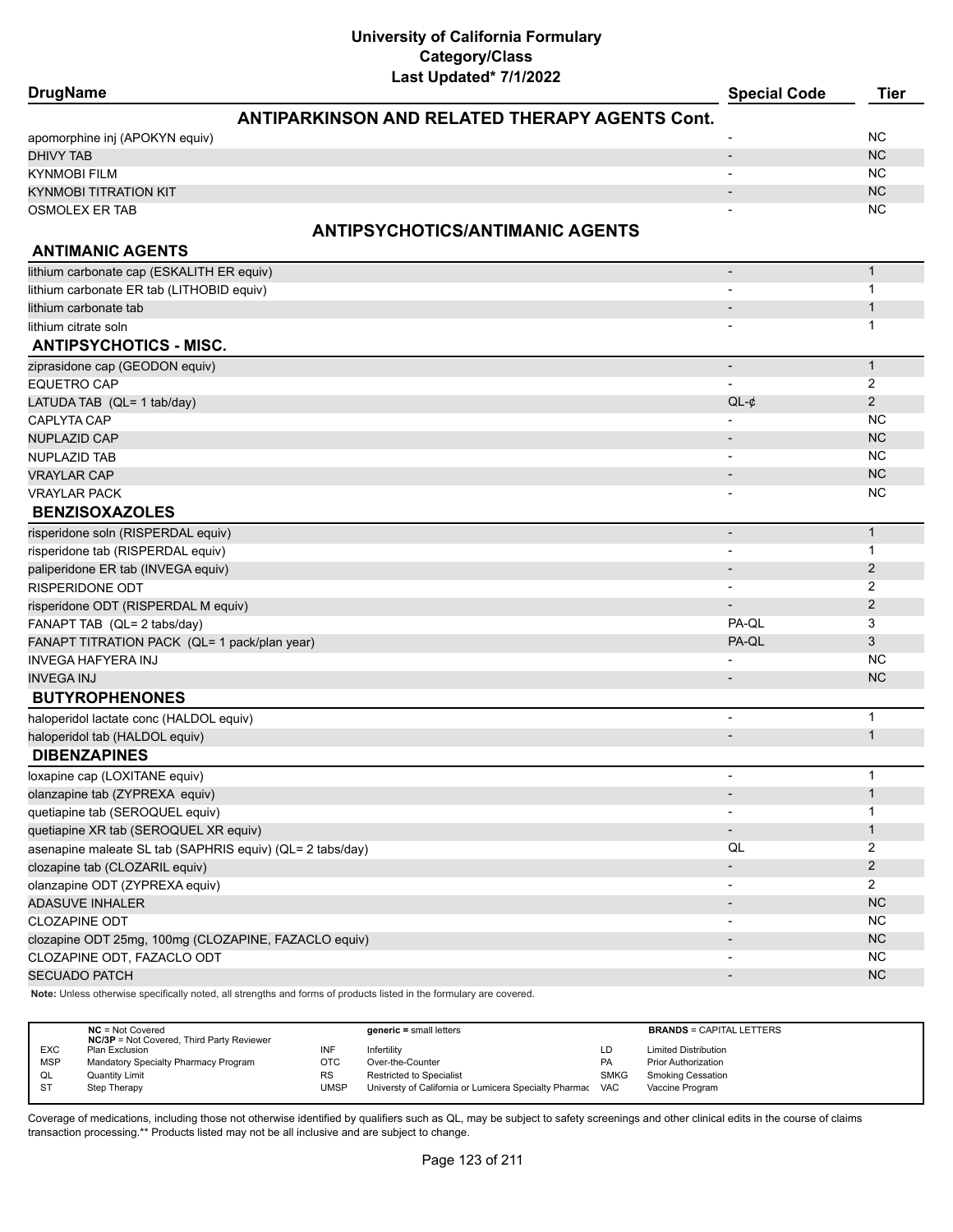| Last Updated" //1/2022<br><b>DrugName</b>                         | <b>Special Code</b>      | <b>Tier</b>    |
|-------------------------------------------------------------------|--------------------------|----------------|
| <b>ANTIPARKINSON AND RELATED THERAPY AGENTS Cont.</b>             |                          |                |
| apomorphine inj (APOKYN equiv)                                    |                          | <b>NC</b>      |
| <b>DHIVY TAB</b>                                                  | $\overline{a}$           | <b>NC</b>      |
| <b>KYNMOBI FILM</b>                                               |                          | <b>NC</b>      |
| <b>KYNMOBI TITRATION KIT</b>                                      | $\overline{\phantom{m}}$ | <b>NC</b>      |
| <b>OSMOLEX ER TAB</b>                                             | $\overline{a}$           | NC             |
|                                                                   |                          |                |
| <b>ANTIPSYCHOTICS/ANTIMANIC AGENTS</b><br><b>ANTIMANIC AGENTS</b> |                          |                |
|                                                                   |                          |                |
| lithium carbonate cap (ESKALITH ER equiv)                         | $\overline{\phantom{a}}$ | $\mathbf{1}$   |
| lithium carbonate ER tab (LITHOBID equiv)                         |                          | 1              |
| lithium carbonate tab                                             |                          | $\mathbf{1}$   |
| lithium citrate soln                                              |                          | 1              |
| <b>ANTIPSYCHOTICS - MISC.</b>                                     |                          |                |
| ziprasidone cap (GEODON equiv)                                    | $\overline{\phantom{a}}$ | $\mathbf{1}$   |
| <b>EQUETRO CAP</b>                                                |                          | 2              |
| LATUDA TAB (QL= 1 tab/day)                                        | $QL-¢$                   | $\overline{2}$ |
| CAPLYTA CAP                                                       |                          | <b>NC</b>      |
| <b>NUPLAZID CAP</b>                                               | $\overline{\phantom{a}}$ | <b>NC</b>      |
| <b>NUPLAZID TAB</b>                                               |                          | <b>NC</b>      |
| <b>VRAYLAR CAP</b>                                                |                          | <b>NC</b>      |
| <b>VRAYLAR PACK</b>                                               |                          | <b>NC</b>      |
| <b>BENZISOXAZOLES</b>                                             |                          |                |
| risperidone soln (RISPERDAL equiv)                                | $\overline{\phantom{a}}$ | $\mathbf{1}$   |
| risperidone tab (RISPERDAL equiv)                                 |                          | 1              |
| paliperidone ER tab (INVEGA equiv)                                | $\overline{\phantom{0}}$ | $\overline{2}$ |
| <b>RISPERIDONE ODT</b>                                            |                          | 2              |
| risperidone ODT (RISPERDAL M equiv)                               | $\overline{\phantom{0}}$ | $\overline{2}$ |
| FANAPT TAB (QL= 2 tabs/day)                                       | PA-QL                    | 3              |
| FANAPT TITRATION PACK (QL= 1 pack/plan year)                      | PA-QL                    | 3              |
| <b>INVEGA HAFYERA INJ</b>                                         |                          | <b>NC</b>      |
| <b>INVEGA INJ</b>                                                 | $\overline{\phantom{a}}$ | <b>NC</b>      |
| <b>BUTYROPHENONES</b>                                             |                          |                |
| haloperidol lactate conc (HALDOL equiv)                           |                          | $\mathbf{1}$   |
| haloperidol tab (HALDOL equiv)                                    |                          | $\mathbf{1}$   |
| <b>DIBENZAPINES</b>                                               |                          |                |
| loxapine cap (LOXITANE equiv)                                     |                          |                |
| olanzapine tab (ZYPREXA equiv)                                    | $\overline{\phantom{a}}$ | $\mathbf{1}$   |
| quetiapine tab (SEROQUEL equiv)                                   |                          | 1              |
| quetiapine XR tab (SEROQUEL XR equiv)                             |                          | $\mathbf{1}$   |
| asenapine maleate SL tab (SAPHRIS equiv) (QL= 2 tabs/day)         | QL                       | $\overline{2}$ |
| clozapine tab (CLOZARIL equiv)                                    |                          | $\overline{2}$ |
| olanzapine ODT (ZYPREXA equiv)                                    |                          | $\overline{2}$ |
| <b>ADASUVE INHALER</b>                                            | $\overline{\phantom{a}}$ | NC             |
| <b>CLOZAPINE ODT</b>                                              |                          | <b>NC</b>      |
| clozapine ODT 25mg, 100mg (CLOZAPINE, FAZACLO equiv)              |                          | NC             |
| CLOZAPINE ODT, FAZACLO ODT                                        |                          | <b>NC</b>      |
| <b>SECUADO PATCH</b>                                              | $\overline{\phantom{a}}$ | NC             |

**Note:** Unless otherwise specifically noted, all strengths and forms of products listed in the formulary are covered.

|            | $NC = Not Covered$<br><b>NC/3P</b> = Not Covered, Third Party Reviewer |      | $generic = small letters$                                 |             | <b>BRANDS = CAPITAL LETTERS</b> |
|------------|------------------------------------------------------------------------|------|-----------------------------------------------------------|-------------|---------------------------------|
| <b>EXC</b> | Plan Exclusion                                                         |      | Infertility                                               | LD          | <b>Limited Distribution</b>     |
| <b>MSP</b> | Mandatory Specialty Pharmacy Program                                   | отс  | Over-the-Counter                                          | PA          | <b>Prior Authorization</b>      |
| QL         | <b>Quantity Limit</b>                                                  | RS   | Restricted to Specialist                                  | <b>SMKG</b> | <b>Smoking Cessation</b>        |
| ST         | Step Therapy                                                           | UMSP | Universty of California or Lumicera Specialty Pharmac VAC |             | Vaccine Program                 |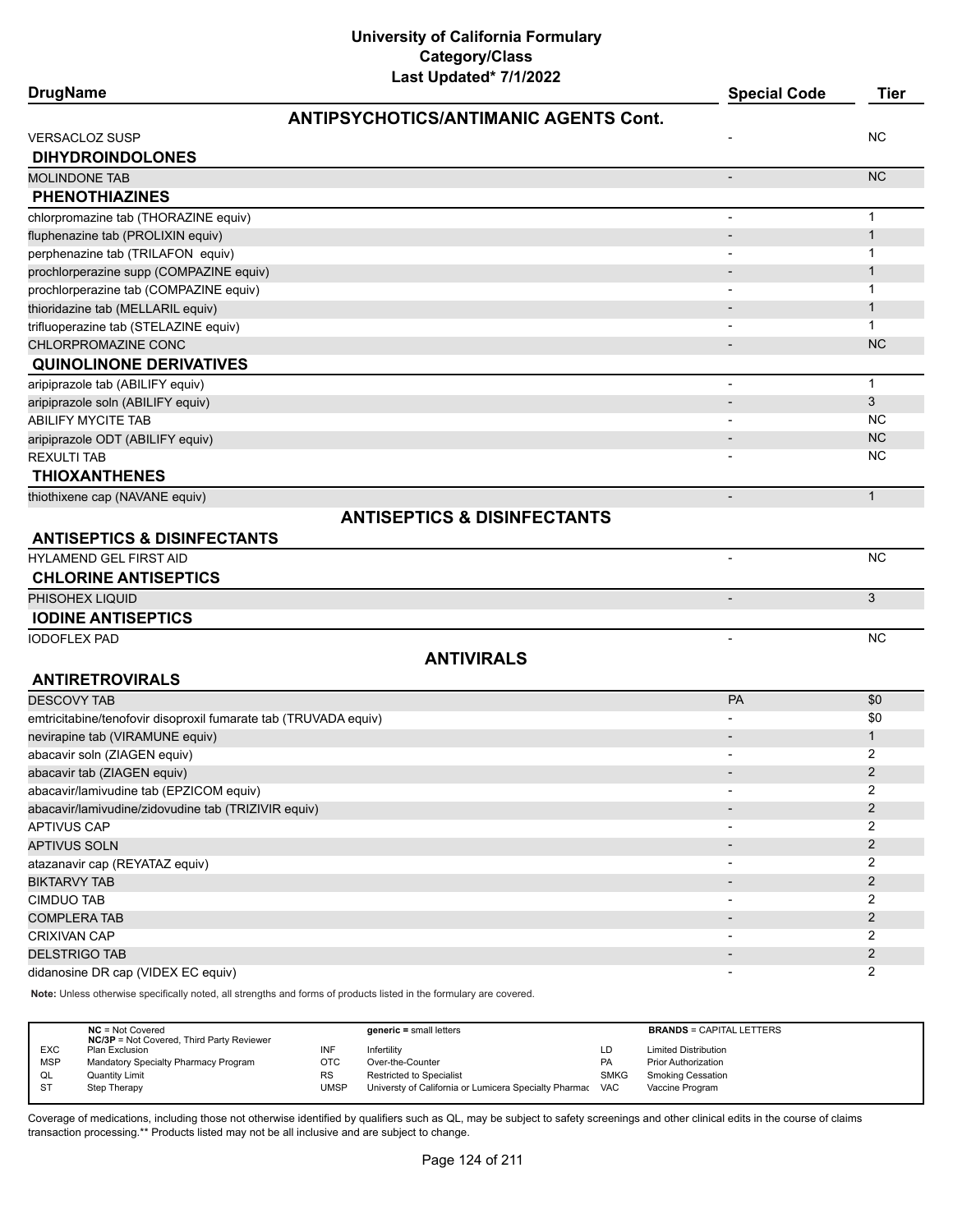| <b>DrugName</b>                                                 | Last Updated" //1/2022                       | <b>Special Code</b>      | <b>Tier</b>         |
|-----------------------------------------------------------------|----------------------------------------------|--------------------------|---------------------|
|                                                                 | <b>ANTIPSYCHOTICS/ANTIMANIC AGENTS Cont.</b> |                          |                     |
| <b>VERSACLOZ SUSP</b>                                           |                                              |                          | NC.                 |
| <b>DIHYDROINDOLONES</b>                                         |                                              |                          |                     |
| <b>MOLINDONE TAB</b>                                            |                                              | $\overline{a}$           | N <sub>C</sub>      |
| <b>PHENOTHIAZINES</b>                                           |                                              |                          |                     |
| chlorpromazine tab (THORAZINE equiv)                            |                                              |                          | $\mathbf{1}$        |
| fluphenazine tab (PROLIXIN equiv)                               |                                              | $\overline{a}$           | $\mathbf{1}$        |
| perphenazine tab (TRILAFON equiv)                               |                                              |                          | $\mathbf{1}$        |
| prochlorperazine supp (COMPAZINE equiv)                         |                                              |                          | $\mathbf{1}$        |
| prochlorperazine tab (COMPAZINE equiv)                          |                                              |                          | 1                   |
| thioridazine tab (MELLARIL equiv)                               |                                              |                          | $\mathbf{1}$        |
| trifluoperazine tab (STELAZINE equiv)                           |                                              |                          | 1                   |
| CHLORPROMAZINE CONC                                             |                                              | $\overline{\phantom{a}}$ | <b>NC</b>           |
| <b>QUINOLINONE DERIVATIVES</b>                                  |                                              |                          |                     |
| aripiprazole tab (ABILIFY equiv)                                |                                              | $\overline{a}$           | $\mathbf{1}$        |
| aripiprazole soln (ABILIFY equiv)                               |                                              |                          | 3                   |
| ABILIFY MYCITE TAB                                              |                                              |                          | <b>NC</b>           |
| aripiprazole ODT (ABILIFY equiv)                                |                                              |                          | <b>NC</b>           |
| <b>REXULTI TAB</b>                                              |                                              |                          | <b>NC</b>           |
| <b>THIOXANTHENES</b>                                            |                                              |                          |                     |
|                                                                 |                                              |                          | $\mathbf{1}$        |
| thiothixene cap (NAVANE equiv)                                  |                                              |                          |                     |
| <b>ANTISEPTICS &amp; DISINFECTANTS</b>                          | <b>ANTISEPTICS &amp; DISINFECTANTS</b>       |                          |                     |
| HYLAMEND GEL FIRST AID                                          |                                              | $\overline{\phantom{a}}$ | NC                  |
| <b>CHLORINE ANTISEPTICS</b>                                     |                                              |                          |                     |
| PHISOHEX LIQUID                                                 |                                              |                          | 3                   |
| <b>IODINE ANTISEPTICS</b>                                       |                                              |                          |                     |
| <b>IODOFLEX PAD</b>                                             |                                              | $\overline{\phantom{a}}$ | <b>NC</b>           |
|                                                                 | <b>ANTIVIRALS</b>                            |                          |                     |
| <b>ANTIRETROVIRALS</b>                                          |                                              |                          |                     |
|                                                                 |                                              | <b>PA</b>                | \$0                 |
| <b>DESCOVY TAB</b>                                              |                                              |                          |                     |
| emtricitabine/tenofovir disoproxil fumarate tab (TRUVADA equiv) |                                              |                          | \$0                 |
| nevirapine tab (VIRAMUNE equiv)                                 |                                              |                          | $\mathbf{1}$        |
| abacavir soln (ZIAGEN equiv)                                    |                                              |                          | 2<br>$\overline{2}$ |
| abacavir tab (ZIAGEN equiv)                                     |                                              |                          |                     |
| abacavir/lamivudine tab (EPZICOM equiv)                         |                                              |                          | 2                   |
| abacavir/lamivudine/zidovudine tab (TRIZIVIR equiv)             |                                              |                          | $\overline{2}$      |
| <b>APTIVUS CAP</b>                                              |                                              |                          | 2                   |
| <b>APTIVUS SOLN</b>                                             |                                              |                          | $\overline{2}$      |
| atazanavir cap (REYATAZ equiv)                                  |                                              |                          | 2                   |
| <b>BIKTARVY TAB</b>                                             |                                              |                          | 2                   |
| <b>CIMDUO TAB</b>                                               |                                              |                          | 2                   |
| <b>COMPLERA TAB</b>                                             |                                              |                          | $\overline{2}$      |
| CRIXIVAN CAP                                                    |                                              |                          | 2                   |
| <b>DELSTRIGO TAB</b>                                            |                                              |                          | $\overline{2}$      |
| didanosine DR cap (VIDEX EC equiv)                              |                                              |                          | 2                   |

**Note:** Unless otherwise specifically noted, all strengths and forms of products listed in the formulary are covered.

|            | $NC = Not Covered$<br><b>NC/3P</b> = Not Covered, Third Party Reviewer |           | $generic = small letters$                             |             | <b>BRANDS = CAPITAL LETTERS</b> |
|------------|------------------------------------------------------------------------|-----------|-------------------------------------------------------|-------------|---------------------------------|
| <b>EXC</b> | Plan Exclusion                                                         |           | Infertility                                           | LD          | <b>Limited Distribution</b>     |
| <b>MSP</b> | Mandatory Specialty Pharmacy Program                                   | отс       | Over-the-Counter                                      | PA          | <b>Prior Authorization</b>      |
| QL         | <b>Quantity Limit</b>                                                  | <b>RS</b> | <b>Restricted to Specialist</b>                       | <b>SMKG</b> | <b>Smoking Cessation</b>        |
| ST         | Step Therapy                                                           | UMSP      | Universty of California or Lumicera Specialty Pharmac | VAC         | Vaccine Program                 |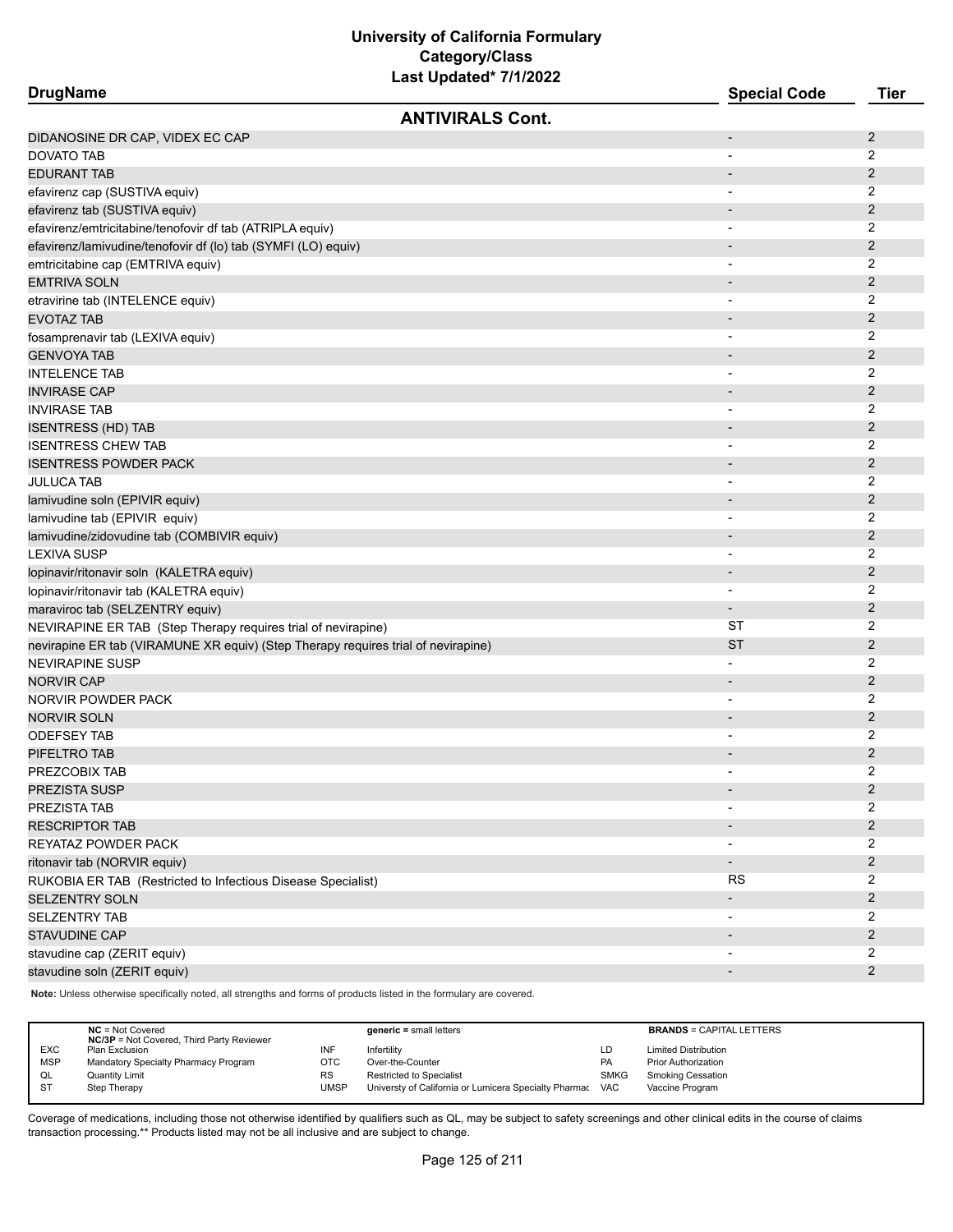| <b>DrugName</b>                                                                                  | <b>Special Code</b>               | <b>Tier</b>         |
|--------------------------------------------------------------------------------------------------|-----------------------------------|---------------------|
| <b>ANTIVIRALS Cont.</b>                                                                          |                                   |                     |
| DIDANOSINE DR CAP, VIDEX EC CAP                                                                  | $\overline{\phantom{a}}$          | 2                   |
| DOVATO TAB                                                                                       |                                   | 2                   |
| <b>EDURANT TAB</b>                                                                               |                                   | 2                   |
| efavirenz cap (SUSTIVA equiv)                                                                    |                                   | 2                   |
| efavirenz tab (SUSTIVA equiv)                                                                    | $\overline{\phantom{a}}$          | $\overline{c}$      |
| efavirenz/emtricitabine/tenofovir df tab (ATRIPLA equiv)                                         | $\overline{\phantom{a}}$          | 2                   |
| efavirenz/lamivudine/tenofovir df (lo) tab (SYMFI (LO) equiv)                                    |                                   | $\overline{2}$      |
| emtricitabine cap (EMTRIVA equiv)                                                                |                                   | 2                   |
| EMTRIVA SOLN                                                                                     |                                   | $\overline{2}$      |
| etravirine tab (INTELENCE equiv)                                                                 |                                   | 2                   |
| <b>EVOTAZ TAB</b>                                                                                |                                   | $\overline{2}$      |
| fosamprenavir tab (LEXIVA equiv)                                                                 |                                   | 2                   |
| <b>GENVOYA TAB</b>                                                                               |                                   | $\overline{2}$      |
| INTELENCE TAB                                                                                    | $\overline{\phantom{0}}$          | 2                   |
| INVIRASE CAP                                                                                     |                                   | $\overline{2}$      |
| <b>INVIRASE TAB</b>                                                                              |                                   | 2                   |
| <b>ISENTRESS (HD) TAB</b>                                                                        | $\overline{\phantom{a}}$          | 2                   |
| <b>ISENTRESS CHEW TAB</b>                                                                        |                                   | 2                   |
| <b>ISENTRESS POWDER PACK</b>                                                                     |                                   | $\overline{2}$      |
| <b>JULUCA TAB</b>                                                                                |                                   | 2                   |
| lamivudine soln (EPIVIR equiv)                                                                   |                                   | 2                   |
|                                                                                                  | $\overline{\phantom{0}}$          | 2                   |
| lamivudine tab (EPIVIR equiv)<br>lamivudine/zidovudine tab (COMBIVIR equiv)                      |                                   | $\overline{c}$      |
| <b>LEXIVA SUSP</b>                                                                               | $\qquad \qquad \blacksquare$<br>- | 2                   |
|                                                                                                  | $\overline{\phantom{a}}$          | $\overline{2}$      |
| lopinavir/ritonavir soln (KALETRA equiv)                                                         | $\overline{\phantom{0}}$          | $\overline{2}$      |
| lopinavir/ritonavir tab (KALETRA equiv)                                                          |                                   | $\overline{2}$      |
| maraviroc tab (SELZENTRY equiv)<br>NEVIRAPINE ER TAB (Step Therapy requires trial of nevirapine) | ST                                | 2                   |
|                                                                                                  | ST                                | $\overline{2}$      |
| nevirapine ER tab (VIRAMUNE XR equiv) (Step Therapy requires trial of nevirapine)                | $\overline{\phantom{0}}$          | 2                   |
| NEVIRAPINE SUSP                                                                                  |                                   | $\overline{2}$      |
| NORVIR CAP                                                                                       | $\overline{\phantom{a}}$          | 2                   |
| NORVIR POWDER PACK<br><b>NORVIR SOLN</b>                                                         | $\overline{\phantom{a}}$          | 2                   |
|                                                                                                  |                                   |                     |
| ODEFSEY TAB                                                                                      |                                   | 2<br>$\overline{c}$ |
| PIFELTRO TAB<br>PREZCOBIX TAB                                                                    |                                   | 2                   |
|                                                                                                  |                                   |                     |
| PREZISTA SUSP                                                                                    |                                   | $\overline{2}$<br>2 |
| PREZISTA TAB                                                                                     |                                   |                     |
| <b>RESCRIPTOR TAB</b>                                                                            |                                   | $\overline{2}$      |
| REYATAZ POWDER PACK                                                                              | $\overline{\phantom{a}}$          | $\overline{2}$      |
| ritonavir tab (NORVIR equiv)                                                                     | $\overline{\phantom{0}}$          | $\overline{c}$      |
| RUKOBIA ER TAB (Restricted to Infectious Disease Specialist)                                     | <b>RS</b>                         | 2                   |
| SELZENTRY SOLN                                                                                   |                                   | $\overline{c}$      |
| <b>SELZENTRY TAB</b>                                                                             | $\qquad \qquad \blacksquare$      | $\overline{2}$      |
| <b>STAVUDINE CAP</b>                                                                             |                                   | $\overline{2}$      |
| stavudine cap (ZERIT equiv)                                                                      |                                   | $\overline{2}$      |
| stavudine soln (ZERIT equiv)                                                                     | $\overline{\phantom{0}}$          | $\overline{c}$      |

**Note:** Unless otherwise specifically noted, all strengths and forms of products listed in the formulary are covered.

|            | $NC = Not Covered$<br><b>NC/3P</b> = Not Covered, Third Party Reviewer |             | $generic = small letters$                             |             | <b>BRANDS = CAPITAL LETTERS</b> |
|------------|------------------------------------------------------------------------|-------------|-------------------------------------------------------|-------------|---------------------------------|
| <b>EXC</b> | Plan Exclusion                                                         | INF         | Infertility                                           | LD          | <b>Limited Distribution</b>     |
| <b>MSP</b> | Mandatory Specialty Pharmacy Program                                   | OTC         | Over-the-Counter                                      | <b>PA</b>   | <b>Prior Authorization</b>      |
| QL         | <b>Quantity Limit</b>                                                  | <b>RS</b>   | <b>Restricted to Specialist</b>                       | <b>SMKG</b> | <b>Smoking Cessation</b>        |
| <b>ST</b>  | Step Therapy                                                           | <b>UMSP</b> | Universty of California or Lumicera Specialty Pharmac | VAC         | Vaccine Program                 |
|            |                                                                        |             |                                                       |             |                                 |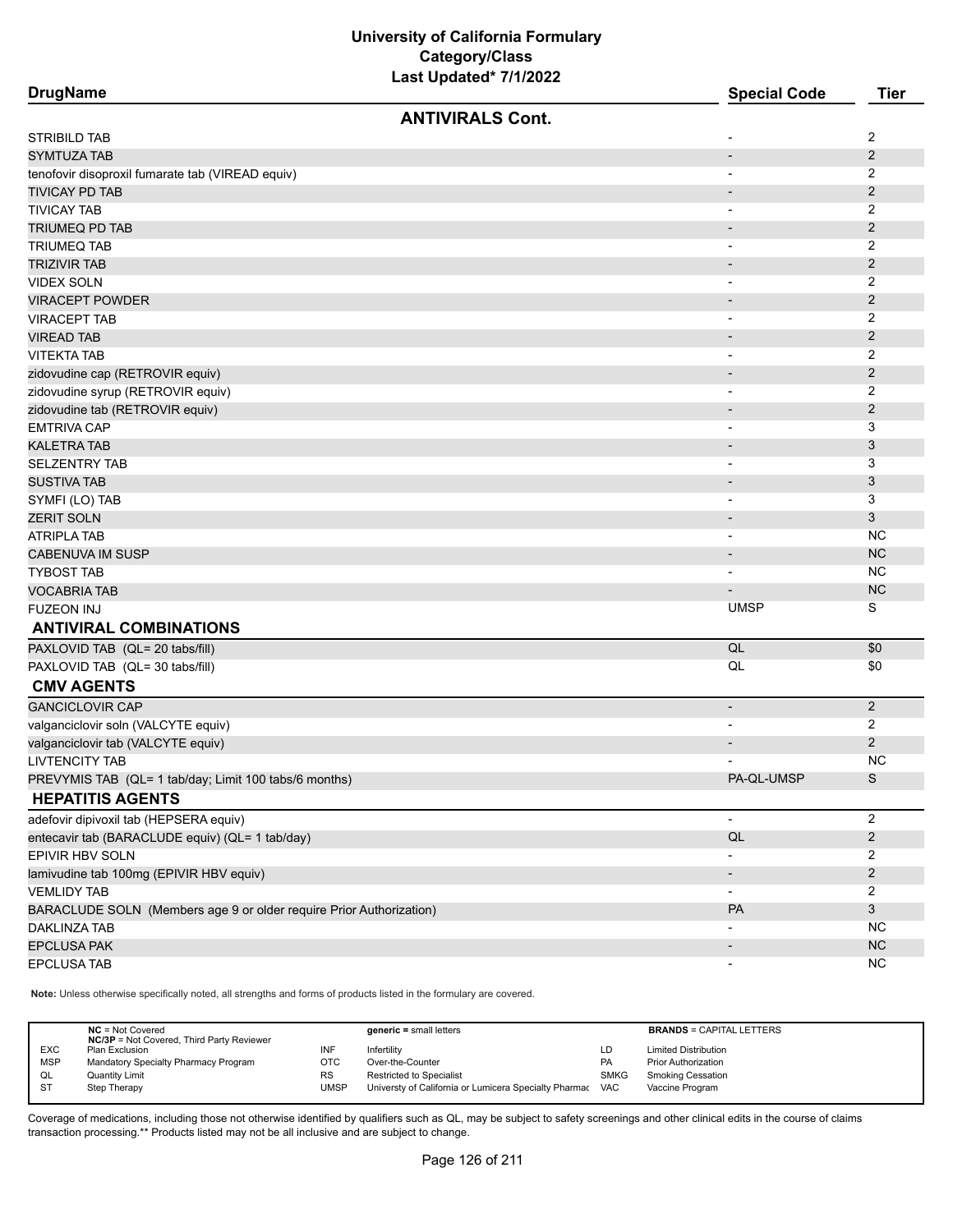| <b>DrugName</b>                                                     |                         | <b>Special Code</b>                                  | <b>Tier</b>               |
|---------------------------------------------------------------------|-------------------------|------------------------------------------------------|---------------------------|
|                                                                     | <b>ANTIVIRALS Cont.</b> |                                                      |                           |
| STRIBILD TAB                                                        |                         |                                                      | 2                         |
| <b>SYMTUZA TAB</b>                                                  |                         | $\overline{\phantom{a}}$                             | 2                         |
| tenofovir disoproxil fumarate tab (VIREAD equiv)                    |                         |                                                      | 2                         |
| <b>TIVICAY PD TAB</b>                                               |                         |                                                      | $\overline{2}$            |
| TIVICAY TAB                                                         |                         |                                                      | 2                         |
| TRIUMEQ PD TAB                                                      |                         | $\overline{\phantom{a}}$                             | 2                         |
| <b>TRIUMEQ TAB</b>                                                  |                         | $\overline{\phantom{a}}$                             | 2                         |
| TRIZIVIR TAB                                                        |                         |                                                      | $\mathbf{2}$              |
| <b>VIDEX SOLN</b>                                                   |                         |                                                      | 2                         |
| <b>VIRACEPT POWDER</b>                                              |                         |                                                      | $\overline{2}$            |
| VIRACEPT TAB                                                        |                         |                                                      | 2                         |
| <b>VIREAD TAB</b>                                                   |                         |                                                      | 2                         |
| <b>VITEKTA TAB</b>                                                  |                         |                                                      | 2                         |
| zidovudine cap (RETROVIR equiv)                                     |                         | $\overline{\phantom{a}}$                             | $\overline{2}$            |
| zidovudine syrup (RETROVIR equiv)                                   |                         | $\overline{\phantom{a}}$                             | 2                         |
|                                                                     |                         | $\blacksquare$                                       | $\mathbf{2}$              |
| zidovudine tab (RETROVIR equiv)<br>EMTRIVA CAP                      |                         |                                                      | 3                         |
| <b>KALETRA TAB</b>                                                  |                         | $\overline{\phantom{a}}$<br>$\overline{\phantom{a}}$ | 3                         |
| <b>SELZENTRY TAB</b>                                                |                         |                                                      | 3                         |
| <b>SUSTIVA TAB</b>                                                  |                         | $\overline{\phantom{a}}$                             | 3                         |
|                                                                     |                         | $\overline{\phantom{a}}$                             | 3                         |
| SYMFI (LO) TAB                                                      |                         |                                                      |                           |
| <b>ZERIT SOLN</b>                                                   |                         | $\overline{\phantom{a}}$                             | 3                         |
| ATRIPLA TAB                                                         |                         | $\overline{\phantom{a}}$                             | NC                        |
| CABENUVA IM SUSP                                                    |                         | $\overline{\phantom{a}}$                             | <b>NC</b>                 |
| <b>TYBOST TAB</b>                                                   |                         | $\overline{\phantom{a}}$                             | NC                        |
| <b>VOCABRIA TAB</b>                                                 |                         |                                                      | <b>NC</b>                 |
| <b>FUZEON INJ</b>                                                   |                         | <b>UMSP</b>                                          | S                         |
| <b>ANTIVIRAL COMBINATIONS</b>                                       |                         |                                                      |                           |
| PAXLOVID TAB (QL= 20 tabs/fill)                                     |                         | QL                                                   | \$0                       |
| PAXLOVID TAB (QL= 30 tabs/fill)                                     |                         | QL                                                   | \$0                       |
| <b>CMV AGENTS</b>                                                   |                         |                                                      |                           |
| <b>GANCICLOVIR CAP</b>                                              |                         | $\overline{\phantom{a}}$                             | $\overline{2}$            |
| valganciclovir soln (VALCYTE equiv)                                 |                         |                                                      | 2                         |
| valganciclovir tab (VALCYTE equiv)                                  |                         |                                                      | $\overline{2}$            |
| <b>LIVTENCITY TAB</b>                                               |                         |                                                      | NC                        |
| PREVYMIS TAB (QL= 1 tab/day; Limit 100 tabs/6 months)               |                         | PA-QL-UMSP                                           | S                         |
| <b>HEPATITIS AGENTS</b>                                             |                         |                                                      |                           |
| adefovir dipivoxil tab (HEPSERA equiv)                              |                         | $\overline{\phantom{a}}$                             | $\overline{2}$            |
| entecavir tab (BARACLUDE equiv) (QL= 1 tab/day)                     |                         | $\mathsf{QL}$                                        | $\overline{c}$            |
| EPIVIR HBV SOLN                                                     |                         |                                                      | 2                         |
| lamivudine tab 100mg (EPIVIR HBV equiv)                             |                         |                                                      | $\overline{2}$            |
| <b>VEMLIDY TAB</b>                                                  |                         |                                                      | 2                         |
| BARACLUDE SOLN (Members age 9 or older require Prior Authorization) |                         | PA                                                   | $\ensuremath{\mathsf{3}}$ |
| <b>DAKLINZA TAB</b>                                                 |                         |                                                      | <b>NC</b>                 |
| <b>EPCLUSA PAK</b>                                                  |                         | $\overline{\phantom{a}}$                             | <b>NC</b>                 |
| EPCLUSA TAB                                                         |                         | $\overline{\phantom{a}}$                             | <b>NC</b>                 |
|                                                                     |                         |                                                      |                           |

**Note:** Unless otherwise specifically noted, all strengths and forms of products listed in the formulary are covered.

|            | $NC = Not Covered$<br><b>NC/3P</b> = Not Covered, Third Party Reviewer |           | $generic = small letters$                             |             | <b>BRANDS = CAPITAL LETTERS</b> |
|------------|------------------------------------------------------------------------|-----------|-------------------------------------------------------|-------------|---------------------------------|
| <b>EXC</b> | Plan Exclusion                                                         | INF       | Infertility                                           | LD          | <b>Limited Distribution</b>     |
| <b>MSP</b> | Mandatory Specialty Pharmacy Program                                   | отс       | Over-the-Counter                                      | PA          | <b>Prior Authorization</b>      |
| QL         | <b>Quantity Limit</b>                                                  | <b>RS</b> | <b>Restricted to Specialist</b>                       | <b>SMKG</b> | <b>Smoking Cessation</b>        |
| <b>ST</b>  | Step Therapy                                                           | UMSP      | Universty of California or Lumicera Specialty Pharmac | <b>VAC</b>  | Vaccine Program                 |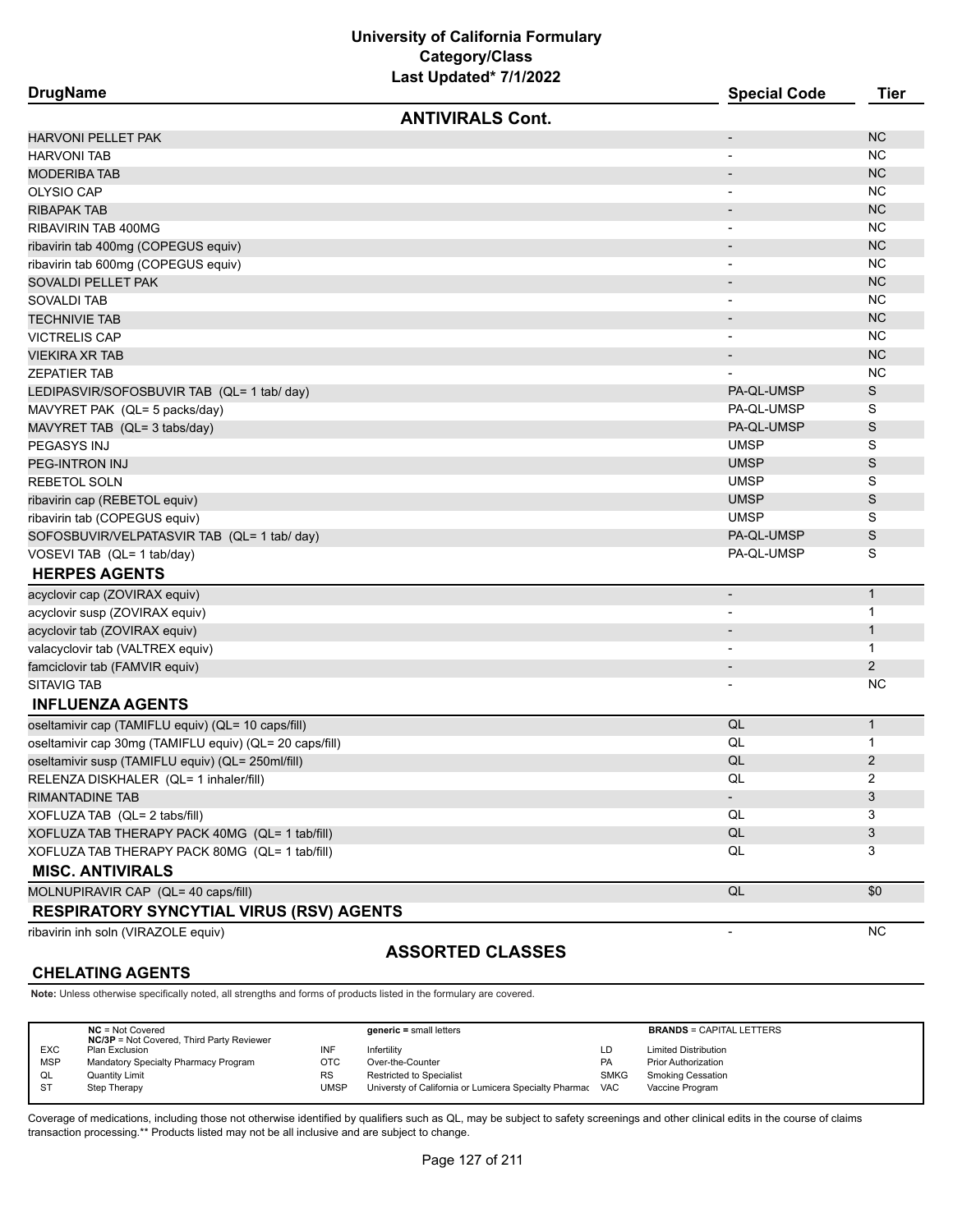| <b>DrugName</b>                                         | <b>Special Code</b>      | <b>Tier</b>    |
|---------------------------------------------------------|--------------------------|----------------|
| <b>ANTIVIRALS Cont.</b>                                 |                          |                |
| <b>HARVONI PELLET PAK</b>                               | $\overline{\phantom{a}}$ | <b>NC</b>      |
| <b>HARVONI TAB</b>                                      |                          | NC.            |
| <b>MODERIBA TAB</b>                                     |                          | <b>NC</b>      |
| OLYSIO CAP                                              |                          | NC.            |
| RIBAPAK TAB                                             | $\overline{\phantom{a}}$ | <b>NC</b>      |
| RIBAVIRIN TAB 400MG                                     | $\overline{\phantom{a}}$ | NC.            |
| ribavirin tab 400mg (COPEGUS equiv)                     |                          | <b>NC</b>      |
| ribavirin tab 600mg (COPEGUS equiv)                     |                          | NC.            |
| SOVALDI PELLET PAK                                      |                          | <b>NC</b>      |
| SOVALDI TAB                                             |                          | <b>NC</b>      |
| TECHNIVIE TAB                                           |                          | <b>NC</b>      |
| VICTRELIS CAP                                           |                          | NC.            |
| VIEKIRA XR TAB                                          |                          | <b>NC</b>      |
| ZEPATIER TAB                                            |                          | <b>NC</b>      |
| LEDIPASVIR/SOFOSBUVIR TAB (QL= 1 tab/ day)              | PA-QL-UMSP               | S              |
| MAVYRET PAK (QL= 5 packs/day)                           | PA-QL-UMSP               | S              |
| MAVYRET TAB (QL= 3 tabs/day)                            | PA-QL-UMSP               | S              |
| PEGASYS INJ                                             | <b>UMSP</b>              | S              |
| PEG-INTRON INJ                                          | <b>UMSP</b>              | S              |
| REBETOL SOLN                                            | <b>UMSP</b>              | S              |
| ribavirin cap (REBETOL equiv)                           | <b>UMSP</b>              | S              |
| ribavirin tab (COPEGUS equiv)                           | <b>UMSP</b>              | S              |
| SOFOSBUVIR/VELPATASVIR TAB (QL= 1 tab/ day)             | PA-QL-UMSP               | S              |
| VOSEVI TAB (QL= 1 tab/day)                              | PA-QL-UMSP               | S              |
| <b>HERPES AGENTS</b>                                    |                          |                |
| acyclovir cap (ZOVIRAX equiv)                           | $\overline{\phantom{a}}$ | $\mathbf{1}$   |
| acyclovir susp (ZOVIRAX equiv)                          |                          | $\mathbf 1$    |
| acyclovir tab (ZOVIRAX equiv)                           | $\overline{\phantom{a}}$ | $\mathbf{1}$   |
| valacyclovir tab (VALTREX equiv)                        | $\overline{\phantom{a}}$ | 1              |
| famciclovir tab (FAMVIR equiv)                          | $\overline{\phantom{a}}$ | 2              |
| <b>SITAVIG TAB</b>                                      |                          | <b>NC</b>      |
| <b>INFLUENZA AGENTS</b>                                 |                          |                |
| oseltamivir cap (TAMIFLU equiv) (QL= 10 caps/fill)      | QL                       | $\mathbf{1}$   |
| oseltamivir cap 30mg (TAMIFLU equiv) (QL= 20 caps/fill) | QL                       | $\mathbf 1$    |
| oseltamivir susp (TAMIFLU equiv) (QL= 250ml/fill)       | QL                       | $\overline{2}$ |
| RELENZA DISKHALER (QL= 1 inhaler/fill)                  | QL                       | 2              |
| RIMANTADINE TAB                                         | $\sim$                   | 3              |
| XOFLUZA TAB (QL= 2 tabs/fill)                           | QL                       | 3              |
| XOFLUZA TAB THERAPY PACK 40MG (QL= 1 tab/fill)          | QL                       | 3              |
| XOFLUZA TAB THERAPY PACK 80MG (QL= 1 tab/fill)          | QL                       | 3              |
| <b>MISC. ANTIVIRALS</b>                                 |                          |                |
| MOLNUPIRAVIR CAP (QL= 40 caps/fill)                     | QL                       | \$0            |
| <b>RESPIRATORY SYNCYTIAL VIRUS (RSV) AGENTS</b>         |                          |                |
| ribavirin inh soln (VIRAZOLE equiv)                     | $\blacksquare$           | <b>NC</b>      |
| <b>ASSORTED CLASSES</b>                                 |                          |                |

#### **CHELATING AGENTS**

#### **Note:** Unless otherwise specifically noted, all strengths and forms of products listed in the formulary are covered.

|            | $NC = Not Covered$<br><b>NC/3P</b> = Not Covered, Third Party Reviewer |             | $generic = small letters$                                 |             | <b>BRANDS = CAPITAL LETTERS</b> |
|------------|------------------------------------------------------------------------|-------------|-----------------------------------------------------------|-------------|---------------------------------|
| <b>EXC</b> | Plan Exclusion                                                         | INF         | Infertility                                               | LD          | <b>Limited Distribution</b>     |
| <b>MSP</b> | Mandatory Specialty Pharmacy Program                                   | отс         | Over-the-Counter                                          | PA          | <b>Prior Authorization</b>      |
| QL         | <b>Quantity Limit</b>                                                  | RS          | Restricted to Specialist                                  | <b>SMKG</b> | Smoking Cessation               |
| <b>ST</b>  | Step Therapy                                                           | <b>JMSP</b> | Universty of California or Lumicera Specialty Pharmac VAC |             | Vaccine Program                 |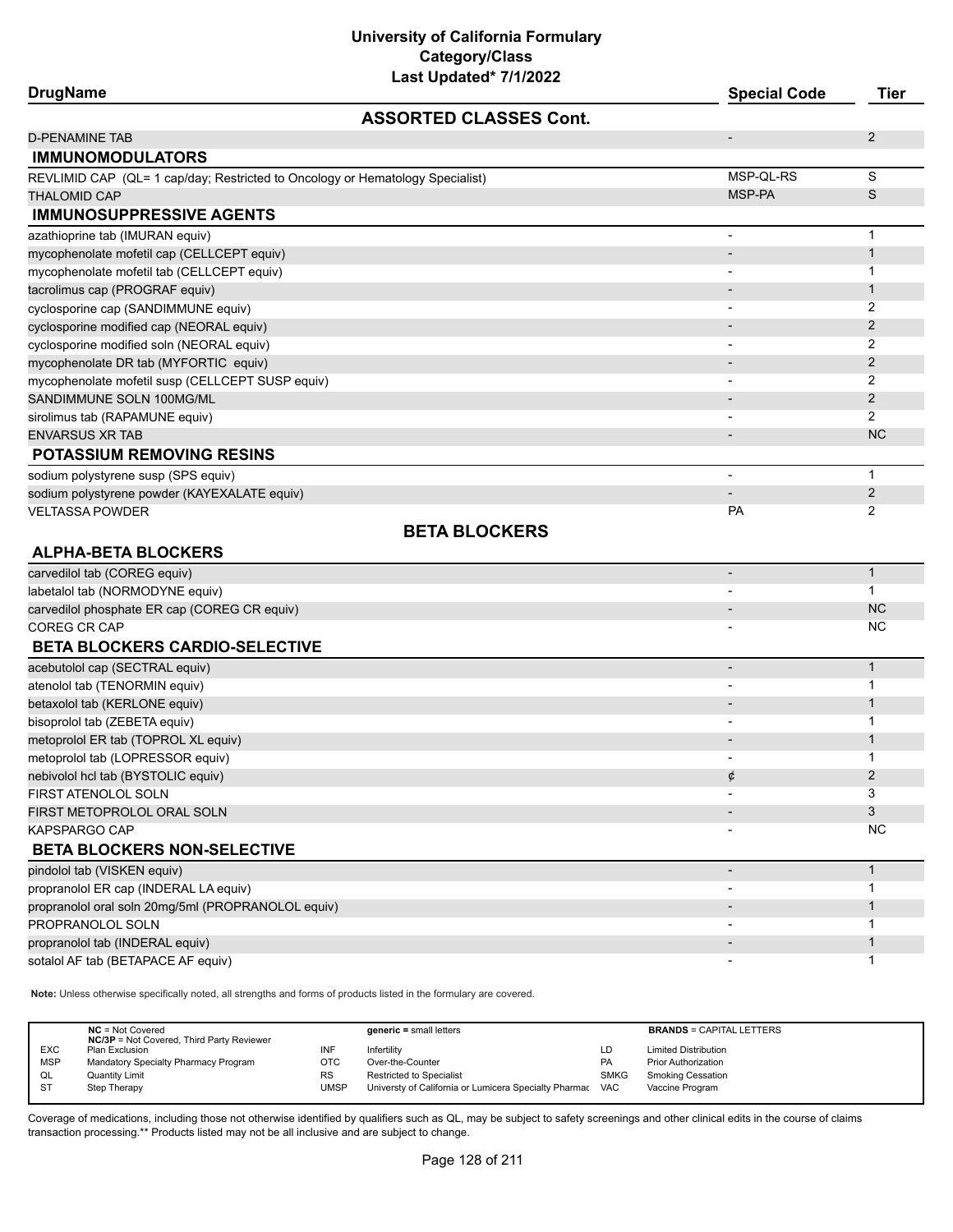# **University of California Formulary Category/Class**

| Last Updated* 7/1/2022                                                        |                              |                |
|-------------------------------------------------------------------------------|------------------------------|----------------|
| <b>DrugName</b>                                                               | <b>Special Code</b>          | <b>Tier</b>    |
| <b>ASSORTED CLASSES Cont.</b>                                                 |                              |                |
| <b>D-PENAMINE TAB</b>                                                         | $\overline{a}$               | $\overline{2}$ |
| <b>IMMUNOMODULATORS</b>                                                       |                              |                |
| REVLIMID CAP (QL= 1 cap/day; Restricted to Oncology or Hematology Specialist) | MSP-QL-RS                    | S              |
| <b>THALOMID CAP</b>                                                           | MSP-PA                       | S              |
| <b>IMMUNOSUPPRESSIVE AGENTS</b>                                               |                              |                |
| azathioprine tab (IMURAN equiv)                                               | -                            | $\mathbf{1}$   |
| mycophenolate mofetil cap (CELLCEPT equiv)                                    |                              | $\mathbf{1}$   |
| mycophenolate mofetil tab (CELLCEPT equiv)                                    |                              | 1              |
| tacrolimus cap (PROGRAF equiv)                                                |                              | $\mathbf{1}$   |
| cyclosporine cap (SANDIMMUNE equiv)                                           |                              | 2              |
| cyclosporine modified cap (NEORAL equiv)                                      |                              | 2              |
| cyclosporine modified soln (NEORAL equiv)                                     |                              | 2              |
| mycophenolate DR tab (MYFORTIC equiv)                                         |                              | $\overline{2}$ |
| mycophenolate mofetil susp (CELLCEPT SUSP equiv)                              |                              | 2              |
| SANDIMMUNE SOLN 100MG/ML                                                      |                              | $\overline{2}$ |
| sirolimus tab (RAPAMUNE equiv)                                                |                              | 2              |
| <b>ENVARSUS XR TAB</b>                                                        |                              | <b>NC</b>      |
| <b>POTASSIUM REMOVING RESINS</b>                                              |                              |                |
| sodium polystyrene susp (SPS equiv)                                           | -                            | $\mathbf{1}$   |
| sodium polystyrene powder (KAYEXALATE equiv)                                  |                              | $\overline{2}$ |
| VELTASSA POWDER                                                               | PA                           | 2              |
| <b>BETA BLOCKERS</b>                                                          |                              |                |
| <b>ALPHA-BETA BLOCKERS</b>                                                    |                              |                |
| carvedilol tab (COREG equiv)                                                  | $\overline{a}$               | $\mathbf{1}$   |
| labetalol tab (NORMODYNE equiv)                                               |                              | 1              |
| carvedilol phosphate ER cap (COREG CR equiv)                                  |                              | <b>NC</b>      |
| COREG CR CAP                                                                  |                              | <b>NC</b>      |
| <b>BETA BLOCKERS CARDIO-SELECTIVE</b>                                         |                              |                |
| acebutolol cap (SECTRAL equiv)                                                |                              | $\mathbf{1}$   |
| atenolol tab (TENORMIN equiv)                                                 |                              | 1              |
| betaxolol tab (KERLONE equiv)                                                 |                              | 1              |
| bisoprolol tab (ZEBETA equiv)                                                 |                              | 1              |
| metoprolol ER tab (TOPROL XL equiv)                                           |                              | $\mathbf{1}$   |
| metoprolol tab (LOPRESSOR equiv)                                              |                              | 1              |
| nebivolol hcl tab (BYSTOLIC equiv)                                            | ¢                            | $\overline{2}$ |
| FIRST ATENOLOL SOLN                                                           |                              | 3              |
| FIRST METOPROLOL ORAL SOLN                                                    |                              | 3              |
| KAPSPARGO CAP                                                                 |                              | <b>NC</b>      |
| <b>BETA BLOCKERS NON-SELECTIVE</b>                                            |                              |                |
| pindolol tab (VISKEN equiv)                                                   | $\overline{a}$               | $\mathbf{1}$   |
| propranolol ER cap (INDERAL LA equiv)                                         |                              | 1              |
| propranolol oral soln 20mg/5ml (PROPRANOLOL equiv)                            |                              | $\mathbf{1}$   |
| PROPRANOLOL SOLN                                                              | $\overline{\phantom{0}}$     | 1              |
| propranolol tab (INDERAL equiv)                                               |                              | $\mathbf{1}$   |
| sotalol AF tab (BETAPACE AF equiv)                                            | $\qquad \qquad \blacksquare$ | 1              |

**Note:** Unless otherwise specifically noted, all strengths and forms of products listed in the formulary are covered.

|            | $NC = Not Covered$<br><b>NC/3P</b> = Not Covered, Third Party Reviewer |      | $generic = small letters$                             |             | <b>BRANDS = CAPITAL LETTERS</b> |
|------------|------------------------------------------------------------------------|------|-------------------------------------------------------|-------------|---------------------------------|
| <b>EXC</b> | Plan Exclusion                                                         | INF  | Infertility                                           | LD          | <b>Limited Distribution</b>     |
| <b>MSP</b> | Mandatory Specialty Pharmacy Program                                   | отс  | Over-the-Counter                                      | PA          | <b>Prior Authorization</b>      |
| QL         | <b>Quantity Limit</b>                                                  | RS   | <b>Restricted to Specialist</b>                       | <b>SMKG</b> | <b>Smoking Cessation</b>        |
| ST         | Step Therapy                                                           | UMSP | Universty of California or Lumicera Specialty Pharmac | <b>VAC</b>  | Vaccine Program                 |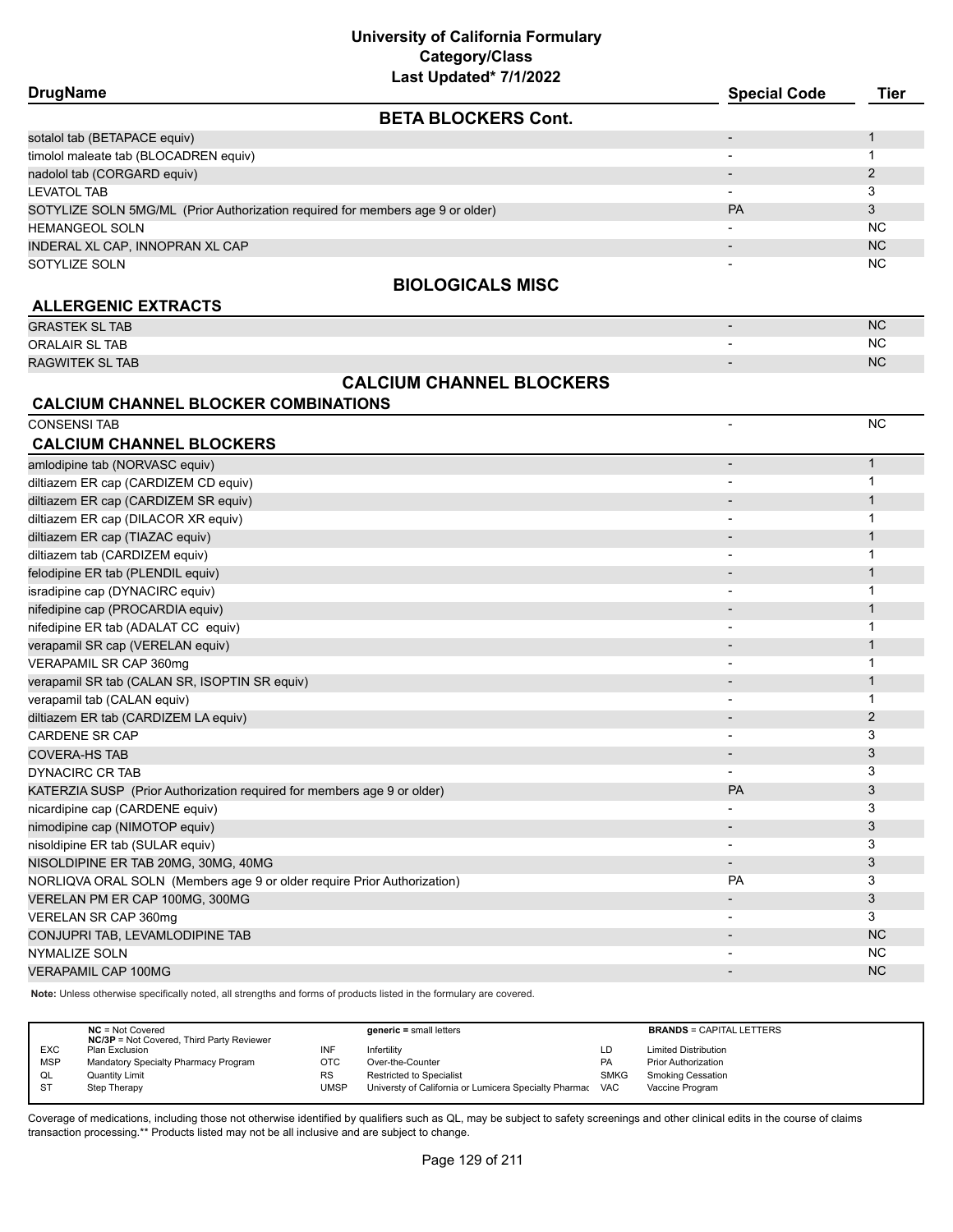| Last Updated 1/1/2022                                                          |                     |                |
|--------------------------------------------------------------------------------|---------------------|----------------|
| <b>DrugName</b>                                                                | <b>Special Code</b> | Tier           |
| <b>BETA BLOCKERS Cont.</b>                                                     |                     |                |
| sotalol tab (BETAPACE equiv)                                                   |                     |                |
| timolol maleate tab (BLOCADREN equiv)                                          |                     |                |
| nadolol tab (CORGARD equiv)                                                    |                     | $\overline{2}$ |
| LEVATOL TAB                                                                    |                     | 3              |
| SOTYLIZE SOLN 5MG/ML (Prior Authorization required for members age 9 or older) | PA                  | 3              |
| <b>HEMANGEOL SOLN</b>                                                          |                     | N <sub>C</sub> |
| INDERAL XL CAP, INNOPRAN XL CAP                                                |                     | N <sub>C</sub> |
| SOTYLIZE SOLN                                                                  |                     | NC.            |
| <b>BIOLOGICALS MISC</b>                                                        |                     |                |
| <b>ALLERGENIC EXTRACTS</b>                                                     |                     |                |
| <b>GRASTEK SL TAB</b>                                                          |                     | NC             |
| <b>ORALAIR SL TAB</b>                                                          |                     | NC.            |
| <b>RAGWITEK SL TAB</b>                                                         |                     | N <sub>C</sub> |
| <b>CALCIUM CHANNEL BLOCKERS</b>                                                |                     |                |
| <b>CALCIUM CHANNEL BLOCKER COMBINATIONS</b>                                    |                     |                |
| <b>CONSENSI TAB</b>                                                            |                     | NC.            |
| CALCIUM CHANNEL BLOCKEDS                                                       |                     |                |

| <b>CALCIUM CHANNEL BLOCKERS</b>                                         |                              |              |
|-------------------------------------------------------------------------|------------------------------|--------------|
| amlodipine tab (NORVASC equiv)                                          | $\overline{\phantom{m}}$     | $\mathbf{1}$ |
| diltiazem ER cap (CARDIZEM CD equiv)                                    |                              |              |
| diltiazem ER cap (CARDIZEM SR equiv)                                    | $\qquad \qquad \blacksquare$ | 1            |
| diltiazem ER cap (DILACOR XR equiv)                                     |                              |              |
| diltiazem ER cap (TIAZAC equiv)                                         | $\qquad \qquad \blacksquare$ |              |
| diltiazem tab (CARDIZEM equiv)                                          | $\overline{a}$               |              |
| felodipine ER tab (PLENDIL equiv)                                       |                              |              |
| isradipine cap (DYNACIRC equiv)                                         |                              |              |
| nifedipine cap (PROCARDIA equiv)                                        |                              |              |
| nifedipine ER tab (ADALAT CC equiv)                                     | $\qquad \qquad \blacksquare$ |              |
| verapamil SR cap (VERELAN equiv)                                        | $\qquad \qquad \blacksquare$ | 1            |
| VERAPAMIL SR CAP 360mg                                                  | -                            |              |
| verapamil SR tab (CALAN SR, ISOPTIN SR equiv)                           | $\qquad \qquad \blacksquare$ |              |
| verapamil tab (CALAN equiv)                                             | $\overline{\phantom{a}}$     |              |
| diltiazem ER tab (CARDIZEM LA equiv)                                    | $\overline{\phantom{a}}$     | 2            |
| <b>CARDENE SR CAP</b>                                                   |                              | 3            |
| <b>COVERA-HS TAB</b>                                                    |                              | 3            |
| <b>DYNACIRC CR TAB</b>                                                  |                              | 3            |
| KATERZIA SUSP (Prior Authorization required for members age 9 or older) | PA                           | 3            |
| nicardipine cap (CARDENE equiv)                                         |                              | 3            |
| nimodipine cap (NIMOTOP equiv)                                          | $\overline{\phantom{a}}$     | 3            |
| nisoldipine ER tab (SULAR equiv)                                        |                              | 3            |
| NISOLDIPINE ER TAB 20MG, 30MG, 40MG                                     | $\overline{\phantom{0}}$     | 3            |
| NORLIQVA ORAL SOLN (Members age 9 or older require Prior Authorization) | <b>PA</b>                    | 3            |
| VERELAN PM ER CAP 100MG, 300MG                                          |                              | 3            |
| VERELAN SR CAP 360mg                                                    |                              | 3            |
| CONJUPRI TAB, LEVAMLODIPINE TAB                                         |                              | <b>NC</b>    |
| <b>NYMALIZE SOLN</b>                                                    | $\overline{a}$               | <b>NC</b>    |
| <b>VERAPAMIL CAP 100MG</b>                                              |                              | <b>NC</b>    |
|                                                                         |                              |              |

**Note:** Unless otherwise specifically noted, all strengths and forms of products listed in the formulary are covered.

|            | $NC = Not Covered$<br><b>NC/3P</b> = Not Covered, Third Party Reviewer |           | $generic = small letters$                             |             | <b>BRANDS = CAPITAL LETTERS</b> |
|------------|------------------------------------------------------------------------|-----------|-------------------------------------------------------|-------------|---------------------------------|
| <b>EXC</b> | Plan Exclusion                                                         | INF       | Infertilitv                                           | LD          | <b>Limited Distribution</b>     |
| <b>MSP</b> | Mandatory Specialty Pharmacy Program                                   | отс       | Over-the-Counter                                      | PA          | <b>Prior Authorization</b>      |
| QL         | Quantity Limit                                                         | <b>RS</b> | <b>Restricted to Specialist</b>                       | <b>SMKG</b> | <b>Smoking Cessation</b>        |
| -ST        | Step Therapy                                                           | UMSP      | Universty of California or Lumicera Specialty Pharmac | <b>VAC</b>  | Vaccine Program                 |
|            |                                                                        |           |                                                       |             |                                 |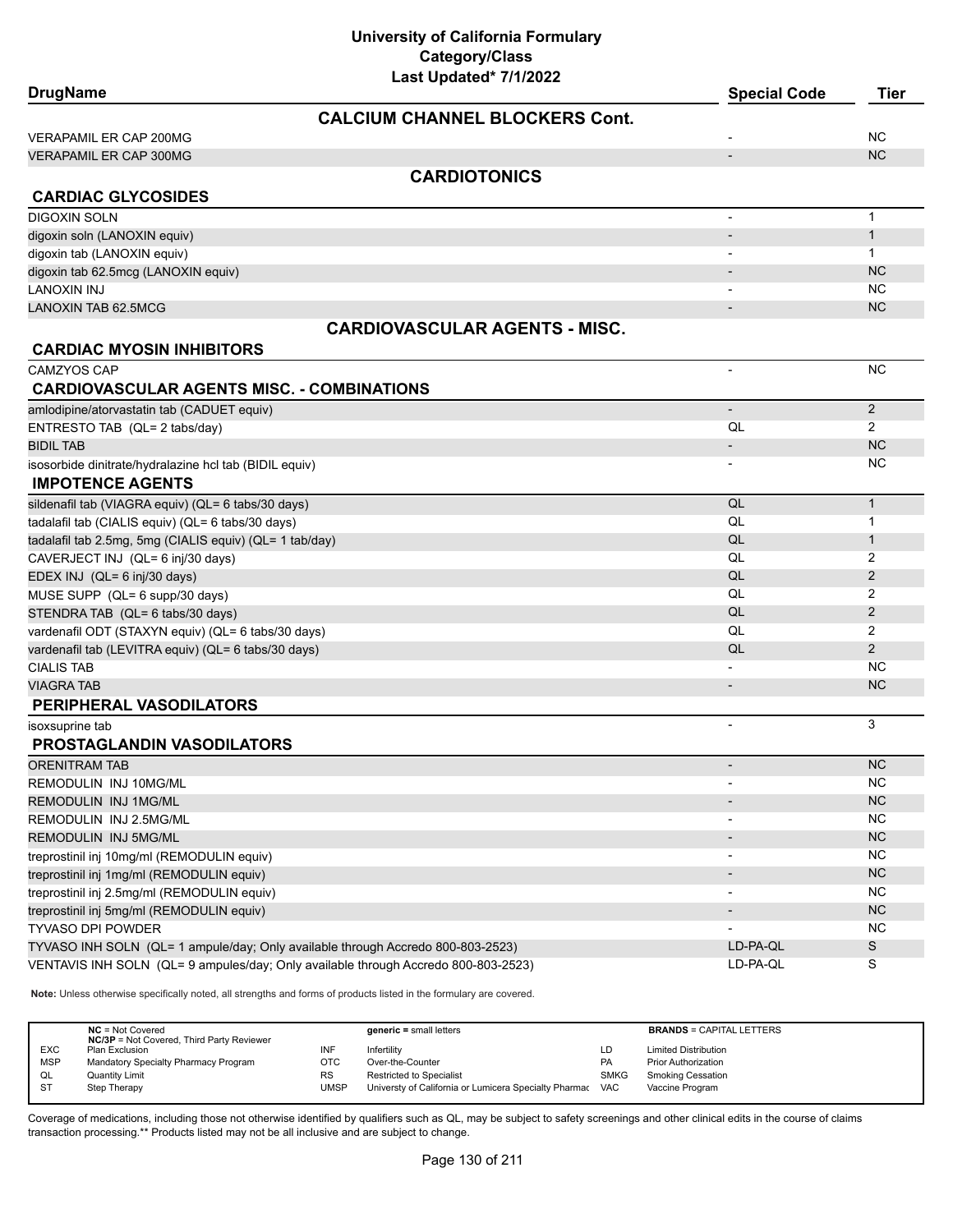| Last Updated* 7/1/2022<br><b>DrugName</b>                                          |                          |                |
|------------------------------------------------------------------------------------|--------------------------|----------------|
|                                                                                    | <b>Special Code</b>      | <b>Tier</b>    |
| <b>CALCIUM CHANNEL BLOCKERS Cont.</b>                                              |                          |                |
| <b>VERAPAMIL ER CAP 200MG</b>                                                      |                          | <b>NC</b>      |
| <b>VERAPAMIL ER CAP 300MG</b>                                                      |                          | <b>NC</b>      |
| <b>CARDIOTONICS</b>                                                                |                          |                |
| <b>CARDIAC GLYCOSIDES</b>                                                          |                          |                |
| <b>DIGOXIN SOLN</b>                                                                | $\overline{\phantom{a}}$ | $\mathbf{1}$   |
| digoxin soln (LANOXIN equiv)                                                       | $\overline{\phantom{a}}$ | $\mathbf{1}$   |
| digoxin tab (LANOXIN equiv)                                                        |                          | $\mathbf{1}$   |
| digoxin tab 62.5mcg (LANOXIN equiv)                                                |                          | <b>NC</b>      |
| LANOXIN INJ                                                                        |                          | <b>NC</b>      |
| <b>LANOXIN TAB 62.5MCG</b>                                                         |                          | <b>NC</b>      |
| <b>CARDIOVASCULAR AGENTS - MISC.</b>                                               |                          |                |
| <b>CARDIAC MYOSIN INHIBITORS</b>                                                   |                          |                |
| <b>CAMZYOS CAP</b>                                                                 | $\overline{\phantom{a}}$ | <b>NC</b>      |
| <b>CARDIOVASCULAR AGENTS MISC. - COMBINATIONS</b>                                  |                          |                |
| amlodipine/atorvastatin tab (CADUET equiv)                                         | $\overline{\phantom{a}}$ | 2              |
| ENTRESTO TAB (QL= 2 tabs/day)                                                      | QL                       | $\overline{2}$ |
| <b>BIDIL TAB</b>                                                                   |                          | <b>NC</b>      |
| isosorbide dinitrate/hydralazine hcl tab (BIDIL equiv)                             |                          | NC.            |
| <b>IMPOTENCE AGENTS</b>                                                            |                          |                |
| sildenafil tab (VIAGRA equiv) (QL= 6 tabs/30 days)                                 | QL                       | $\mathbf{1}$   |
| tadalafil tab (CIALIS equiv) (QL= 6 tabs/30 days)                                  | QL                       | $\mathbf{1}$   |
| tadalafil tab 2.5mg, 5mg (CIALIS equiv) (QL= 1 tab/day)                            | QL                       | $\mathbf{1}$   |
| CAVERJECT INJ (QL= 6 inj/30 days)                                                  | QL                       | 2              |
| EDEX INJ (QL= 6 inj/30 days)                                                       | QL                       | $\overline{2}$ |
| MUSE SUPP (QL= 6 supp/30 days)                                                     | QL                       | 2              |
| STENDRA TAB (QL= 6 tabs/30 days)                                                   | QL                       | $\mathbf{2}$   |
| vardenafil ODT (STAXYN equiv) (QL= 6 tabs/30 days)                                 | QL                       | 2              |
| vardenafil tab (LEVITRA equiv) (QL= 6 tabs/30 days)                                | QL                       | $\overline{2}$ |
| <b>CIALIS TAB</b>                                                                  |                          | <b>NC</b>      |
| <b>VIAGRA TAB</b>                                                                  | $\overline{\phantom{a}}$ | <b>NC</b>      |
| PERIPHERAL VASODILATORS                                                            |                          |                |
| isoxsuprine tab                                                                    | $\blacksquare$           | 3              |
| PROSTAGLANDIN VASODILATORS                                                         |                          |                |
| ORENITRAM TAB                                                                      |                          | <b>NC</b>      |
| REMODULIN INJ 10MG/ML                                                              |                          | <b>NC</b>      |
| REMODULIN INJ 1MG/ML                                                               |                          | NC             |
| REMODULIN INJ 2.5MG/ML                                                             | $\overline{\phantom{a}}$ | <b>NC</b>      |
| REMODULIN INJ 5MG/ML                                                               | $\overline{\phantom{a}}$ | NC             |
| treprostinil inj 10mg/ml (REMODULIN equiv)                                         |                          | <b>NC</b>      |
| treprostinil inj 1mg/ml (REMODULIN equiv)                                          | $\overline{\phantom{a}}$ | NC             |
| treprostinil inj 2.5mg/ml (REMODULIN equiv)                                        |                          | <b>NC</b>      |
| treprostinil inj 5mg/ml (REMODULIN equiv)                                          |                          | NC             |
| <b>TYVASO DPI POWDER</b>                                                           |                          | <b>NC</b>      |
| TYVASO INH SOLN (QL= 1 ampule/day; Only available through Accredo 800-803-2523)    | LD-PA-QL                 | $\mathsf S$    |
| VENTAVIS INH SOLN (QL= 9 ampules/day; Only available through Accredo 800-803-2523) | LD-PA-QL                 | S              |
|                                                                                    |                          |                |

**Note:** Unless otherwise specifically noted, all strengths and forms of products listed in the formulary are covered.

|            | $NC = Not Covered$<br><b>NC/3P</b> = Not Covered, Third Party Reviewer |      | $generic = small letters$                                 |             | <b>BRANDS = CAPITAL LETTERS</b> |
|------------|------------------------------------------------------------------------|------|-----------------------------------------------------------|-------------|---------------------------------|
| <b>EXC</b> | Plan Exclusion                                                         | INF  | Infertility                                               | LD          | <b>Limited Distribution</b>     |
| <b>MSP</b> | Mandatory Specialty Pharmacy Program                                   | OTC  | Over-the-Counter                                          | PA          | <b>Prior Authorization</b>      |
| QL         | <b>Quantity Limit</b>                                                  | RS   | Restricted to Specialist                                  | <b>SMKG</b> | Smoking Cessation               |
| <b>ST</b>  | Step Therapy                                                           | UMSP | Universty of California or Lumicera Specialty Pharmac VAC |             | Vaccine Program                 |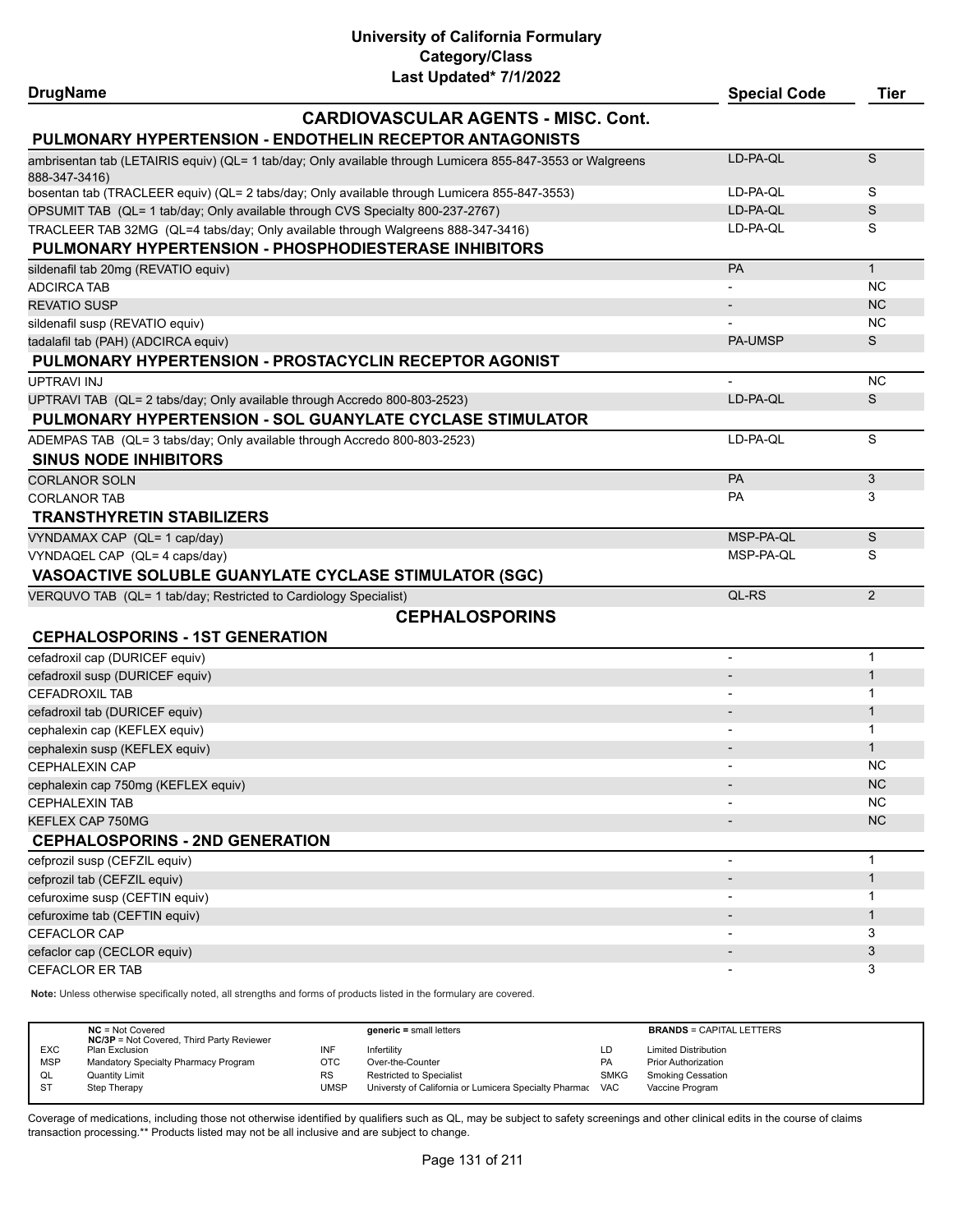| <b>DrugName</b>                                                                  |                                                                                                            | <b>Special Code</b>      | <b>Tier</b>  |
|----------------------------------------------------------------------------------|------------------------------------------------------------------------------------------------------------|--------------------------|--------------|
|                                                                                  | <b>CARDIOVASCULAR AGENTS - MISC. Cont.</b>                                                                 |                          |              |
|                                                                                  | PULMONARY HYPERTENSION - ENDOTHELIN RECEPTOR ANTAGONISTS                                                   |                          |              |
| 888-347-3416)                                                                    | ambrisentan tab (LETAIRIS equiv) (QL= 1 tab/day; Only available through Lumicera 855-847-3553 or Walgreens | LD-PA-QL                 | S            |
|                                                                                  | bosentan tab (TRACLEER equiv) (QL= 2 tabs/day; Only available through Lumicera 855-847-3553)               | LD-PA-QL                 | S            |
| OPSUMIT TAB (QL= 1 tab/day; Only available through CVS Specialty 800-237-2767)   |                                                                                                            | LD-PA-QL                 | S            |
| TRACLEER TAB 32MG (QL=4 tabs/day; Only available through Walgreens 888-347-3416) |                                                                                                            | LD-PA-QL                 | S            |
| PULMONARY HYPERTENSION - PHOSPHODIESTERASE INHIBITORS                            |                                                                                                            |                          |              |
| sildenafil tab 20mg (REVATIO equiv)                                              |                                                                                                            | PA                       | $\mathbf{1}$ |
| <b>ADCIRCA TAB</b>                                                               |                                                                                                            |                          | <b>NC</b>    |
| <b>REVATIO SUSP</b>                                                              |                                                                                                            |                          | <b>NC</b>    |
| sildenafil susp (REVATIO equiv)                                                  |                                                                                                            |                          | <b>NC</b>    |
| tadalafil tab (PAH) (ADCIRCA equiv)                                              |                                                                                                            | <b>PA-UMSP</b>           | S            |
|                                                                                  | PULMONARY HYPERTENSION - PROSTACYCLIN RECEPTOR AGONIST                                                     |                          |              |
| <b>UPTRAVI INJ</b>                                                               |                                                                                                            |                          | <b>NC</b>    |
| UPTRAVI TAB (QL= 2 tabs/day; Only available through Accredo 800-803-2523)        |                                                                                                            | LD-PA-QL                 | S            |
|                                                                                  | PULMONARY HYPERTENSION - SOL GUANYLATE CYCLASE STIMULATOR                                                  |                          |              |
| ADEMPAS TAB (QL= 3 tabs/day; Only available through Accredo 800-803-2523)        |                                                                                                            | LD-PA-QL                 | S            |
| <b>SINUS NODE INHIBITORS</b>                                                     |                                                                                                            |                          |              |
| <b>CORLANOR SOLN</b>                                                             |                                                                                                            | PA                       | 3            |
| <b>CORLANOR TAB</b>                                                              |                                                                                                            | PA                       | 3            |
| <b>TRANSTHYRETIN STABILIZERS</b>                                                 |                                                                                                            |                          |              |
| VYNDAMAX CAP (QL= 1 cap/day)                                                     |                                                                                                            | MSP-PA-QL                | S            |
| VYNDAQEL CAP (QL= 4 caps/day)                                                    |                                                                                                            | MSP-PA-QL                | S            |
| VASOACTIVE SOLUBLE GUANYLATE CYCLASE STIMULATOR (SGC)                            |                                                                                                            |                          |              |
| VERQUVO TAB (QL= 1 tab/day; Restricted to Cardiology Specialist)                 |                                                                                                            | QL-RS                    | 2            |
|                                                                                  | <b>CEPHALOSPORINS</b>                                                                                      |                          |              |
| <b>CEPHALOSPORINS - 1ST GENERATION</b>                                           |                                                                                                            |                          |              |
| cefadroxil cap (DURICEF equiv)                                                   |                                                                                                            | $\overline{\phantom{0}}$ | $\mathbf{1}$ |
| cefadroxil susp (DURICEF equiv)                                                  |                                                                                                            |                          | $\mathbf{1}$ |
| <b>CEFADROXIL TAB</b>                                                            |                                                                                                            |                          | 1            |
| cefadroxil tab (DURICEF equiv)                                                   |                                                                                                            |                          | $\mathbf{1}$ |
| cephalexin cap (KEFLEX equiv)                                                    |                                                                                                            |                          | $\mathbf{1}$ |
| cephalexin susp (KEFLEX equiv)                                                   |                                                                                                            |                          | $\mathbf{1}$ |
| <b>CEPHALEXIN CAP</b>                                                            |                                                                                                            |                          | <b>NC</b>    |
| cephalexin cap 750mg (KEFLEX equiv)                                              |                                                                                                            |                          | NC.          |
| <b>CEPHALEXIN TAB</b>                                                            |                                                                                                            |                          | <b>NC</b>    |
| KEFLEX CAP 750MG                                                                 |                                                                                                            |                          | <b>NC</b>    |
| <b>CEPHALOSPORINS - 2ND GENERATION</b>                                           |                                                                                                            |                          |              |
| cefprozil susp (CEFZIL equiv)                                                    |                                                                                                            | $\overline{\phantom{a}}$ | $\mathbf{1}$ |
| cefprozil tab (CEFZIL equiv)                                                     |                                                                                                            |                          | $\mathbf{1}$ |
| cefuroxime susp (CEFTIN equiv)                                                   |                                                                                                            |                          | 1            |
| cefuroxime tab (CEFTIN equiv)                                                    |                                                                                                            |                          | $\mathbf{1}$ |
| CEFACLOR CAP                                                                     |                                                                                                            |                          | 3            |
| cefaclor cap (CECLOR equiv)                                                      |                                                                                                            |                          | 3            |
| <b>CEFACLOR ER TAB</b>                                                           |                                                                                                            |                          | 3            |

**Note:** Unless otherwise specifically noted, all strengths and forms of products listed in the formulary are covered.

| $NC = Not Covered$<br><b>NC/3P</b> = Not Covered, Third Party Reviewer |           | $generic = small letters$                             |             | <b>BRANDS = CAPITAL LETTERS</b> |
|------------------------------------------------------------------------|-----------|-------------------------------------------------------|-------------|---------------------------------|
| <b>EXC</b><br>Plan Exclusion                                           |           | Infertility                                           | LD          | <b>Limited Distribution</b>     |
| <b>MSP</b><br>Mandatory Specialty Pharmacy Program                     | отс       | Over-the-Counter                                      | <b>PA</b>   | <b>Prior Authorization</b>      |
| <b>Quantity Limit</b><br>QL                                            | <b>RS</b> | <b>Restricted to Specialist</b>                       | <b>SMKG</b> | <b>Smoking Cessation</b>        |
| - ST<br>Step Therapy                                                   | UMSP      | Universty of California or Lumicera Specialty Pharmac | <b>VAC</b>  | Vaccine Program                 |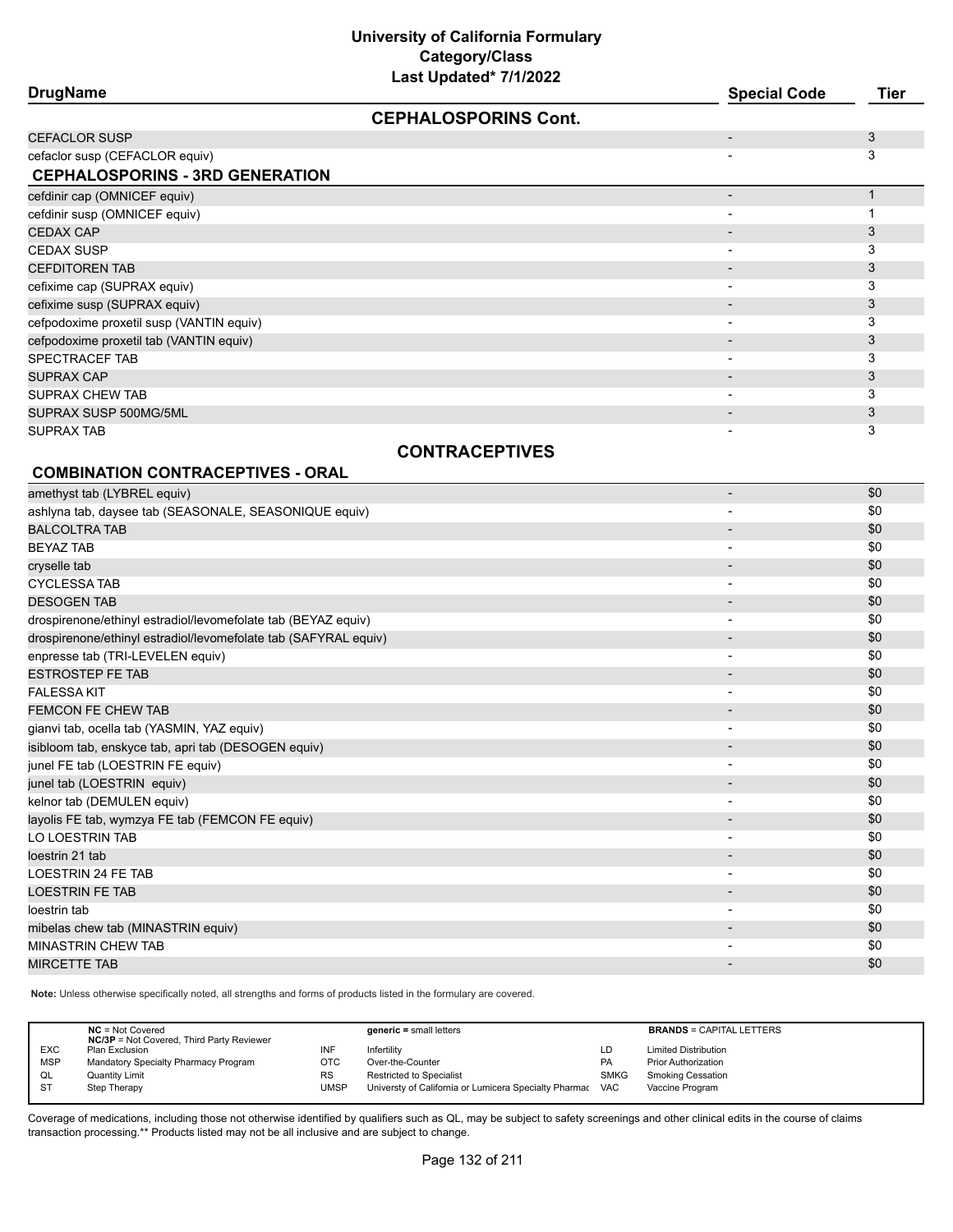| LUJI UPUULUU <i>II</i> IILULL<br><b>DrugName</b> | <b>Special Code</b> | Tier |
|--------------------------------------------------|---------------------|------|
| <b>CEPHALOSPORINS Cont.</b>                      |                     |      |
| <b>CEFACLOR SUSP</b>                             |                     | 3    |
| cefaclor susp (CEFACLOR equiv)                   |                     | 3    |
| <b>CEPHALOSPORINS - 3RD GENERATION</b>           |                     |      |
| cefdinir cap (OMNICEF equiv)                     |                     |      |
| cefdinir susp (OMNICEF equiv)                    |                     |      |
| <b>CEDAX CAP</b>                                 |                     | 3    |
| <b>CEDAX SUSP</b>                                |                     | 3    |
| <b>CEFDITOREN TAB</b>                            |                     | 3    |
| cefixime cap (SUPRAX equiv)                      |                     | 3    |
| cefixime susp (SUPRAX equiv)                     |                     | 3    |
| cefpodoxime proxetil susp (VANTIN equiv)         |                     | 3    |
| cefpodoxime proxetil tab (VANTIN equiv)          |                     | 3    |
| SPECTRACEF TAB                                   |                     | 3    |
| SUPRAX CAP                                       |                     | 3    |
| SUPRAX CHEW TAB                                  |                     | 3    |
| SUPRAX SUSP 500MG/5ML                            |                     | 3    |
| <b>SUPRAX TAB</b>                                |                     | 3    |

# **CONTRACEPTIVES**

# **COMBINATION CONTRACEPTIVES - ORAL**

| amethyst tab (LYBREL equiv)                                     | $\blacksquare$           | \$0 |
|-----------------------------------------------------------------|--------------------------|-----|
| ashlyna tab, daysee tab (SEASONALE, SEASONIQUE equiv)           | $\overline{\phantom{a}}$ | \$0 |
| <b>BALCOLTRA TAB</b>                                            |                          | \$0 |
| <b>BEYAZ TAB</b>                                                |                          | \$0 |
| cryselle tab                                                    |                          | \$0 |
| <b>CYCLESSA TAB</b>                                             | $\overline{\phantom{a}}$ | \$0 |
| <b>DESOGEN TAB</b>                                              | $\overline{\phantom{a}}$ | \$0 |
| drospirenone/ethinyl estradiol/levomefolate tab (BEYAZ equiv)   |                          | \$0 |
| drospirenone/ethinyl estradiol/levomefolate tab (SAFYRAL equiv) | $\overline{\phantom{a}}$ | \$0 |
| enpresse tab (TRI-LEVELEN equiv)                                | $\blacksquare$           | \$0 |
| <b>ESTROSTEP FE TAB</b>                                         | $\overline{\phantom{a}}$ | \$0 |
| <b>FALESSA KIT</b>                                              | $\overline{\phantom{a}}$ | \$0 |
| <b>FEMCON FE CHEW TAB</b>                                       |                          | \$0 |
| gianvi tab, ocella tab (YASMIN, YAZ equiv)                      | $\overline{\phantom{a}}$ | \$0 |
| isibloom tab, enskyce tab, apri tab (DESOGEN equiv)             | $\overline{\phantom{a}}$ | \$0 |
| junel FE tab (LOESTRIN FE equiv)                                | $\overline{\phantom{a}}$ | \$0 |
| junel tab (LOESTRIN equiv)                                      | $\blacksquare$           | \$0 |
| kelnor tab (DEMULEN equiv)                                      | $\overline{\phantom{a}}$ | \$0 |
| layolis FE tab, wymzya FE tab (FEMCON FE equiv)                 | $\overline{\phantom{a}}$ | \$0 |
| LO LOESTRIN TAB                                                 | $\blacksquare$           | \$0 |
| loestrin 21 tab                                                 | $\overline{\phantom{0}}$ | \$0 |
| <b>LOESTRIN 24 FE TAB</b>                                       | $\overline{\phantom{a}}$ | \$0 |
| <b>LOESTRIN FE TAB</b>                                          | $\blacksquare$           | \$0 |
| loestrin tab                                                    |                          | \$0 |
| mibelas chew tab (MINASTRIN equiv)                              | $\blacksquare$           | \$0 |
| <b>MINASTRIN CHEW TAB</b>                                       | $\overline{\phantom{a}}$ | \$0 |
| <b>MIRCETTE TAB</b>                                             |                          | \$0 |

**Note:** Unless otherwise specifically noted, all strengths and forms of products listed in the formulary are covered.

|            | $NC = Not Covered$<br><b>NC/3P</b> = Not Covered, Third Party Reviewer |           | $generic = small letters$                             |             | <b>BRANDS = CAPITAL LETTERS</b> |
|------------|------------------------------------------------------------------------|-----------|-------------------------------------------------------|-------------|---------------------------------|
| <b>EXC</b> | Plan Exclusion                                                         | INF       | Infertility                                           | LD          | <b>Limited Distribution</b>     |
| <b>MSP</b> | Mandatory Specialty Pharmacy Program                                   | OTC       | Over-the-Counter                                      | <b>PA</b>   | <b>Prior Authorization</b>      |
| QL         | Quantity Limit                                                         | <b>RS</b> | <b>Restricted to Specialist</b>                       | <b>SMKG</b> | <b>Smoking Cessation</b>        |
| <b>ST</b>  | Step Therapy                                                           | UMSP      | Universty of California or Lumicera Specialty Pharmac | <b>VAC</b>  | Vaccine Program                 |
|            |                                                                        |           |                                                       |             |                                 |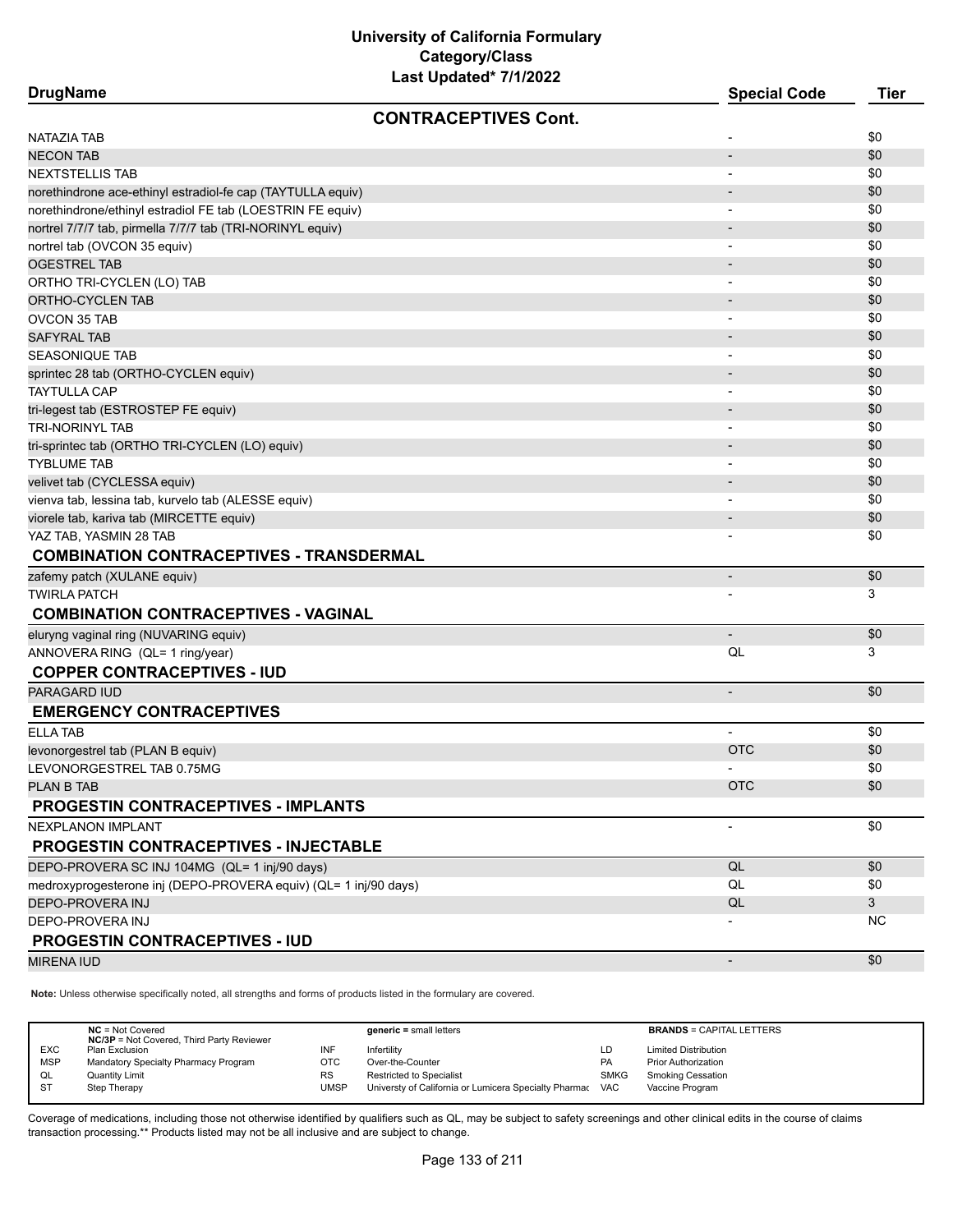**DrugName Special Code Tier CONTRACEPTIVES Cont.** NATAZIA TAB - \$0 NECON TAB - \$0 NEXTSTELLIS TAB - \$0 norethindrone ace-ethinyl estradiol-fe cap (TAYTULLA equiv) - \$0  $\,$  . And the stradiol of the cap (TAYTULLA equiv) norethindrone/ethinyl estradiol FE tab (LOESTRIN FE equiv) 60 and 1 and 2 and 2 and 2 and 2 and 3 and 3 and 3 and 3 and 3 and 3 and 3 and 4 and 4 and 4 and 4 and 4 and 4 and 4 and 4 and 4 and 4 and 4 and 4 and 4 and 4 and nortrel 7/7/7 tab, pirmella 7/7/7 tab (TRI-NORINYL equiv) - \$0  $\,$  50  $\,$  50  $\,$  50  $\,$  50  $\,$  50  $\,$  50  $\,$  50  $\,$  50  $\,$  50  $\,$  50  $\,$  50  $\,$  50  $\,$  50  $\,$  50  $\,$  50  $\,$  50  $\,$  50  $\,$  50  $\,$  50  $\,$  50 nortrel tab (OVCON 35 equiv) 60  $\sim$  50  $\sim$  50  $\sim$  50  $\sim$  50  $\sim$  50  $\sim$  50  $\sim$  50  $\sim$  50  $\sim$  50  $\sim$  50  $\sim$  50  $\sim$  50  $\sim$  50  $\sim$  50  $\sim$  50  $\sim$  50  $\sim$  50  $\sim$  50  $\sim$  50  $\sim$  50  $\sim$  50  $\sim$  50  $\sim$  50  $\sim$  5 ogestreel tab - \$0 and the state of the state of the state of the state of the state of the state of the state of the state of the state of the state of the state of the state of the state of the state of the state of the ORTHO TRI-CYCLEN (LO) TAB - \$0 ortho-cyclen tab - \$0,000 percent in the second second second second second second second second second second second second second second second second second second second second second second second second second second OVCON 35 TAB - \$0 SAFYRAL TAB - \$0 SEASONIQUE TAB - \$0 sprintec 28 tab (ORTHO-CYCLEN equiv) - \$0 TAYTULLA CAP - \$0 tri-legest tab (ESTROSTEP FE equiv) - \$00  $\pm$  50  $\pm$  50  $\pm$  50  $\pm$  50  $\pm$  50  $\pm$  50  $\pm$  50  $\pm$  50  $\pm$  50  $\pm$  50  $\pm$  50  $\pm$  50  $\pm$  50  $\pm$  50  $\pm$  50  $\pm$  50  $\pm$  50  $\pm$  50  $\pm$  50  $\pm$  50  $\pm$  50  $\pm$  50  $\pm$ TRI-NORINYL TAB - \$0 tri-sprintec tab (ORTHO TRI-CYCLEN (LO) equiv) 60  $\pm$  50  $\pm$  50  $\pm$  50  $\pm$  50  $\pm$  50  $\pm$  50  $\pm$  50  $\pm$  50  $\pm$  50  $\pm$  50  $\pm$  50  $\pm$  50  $\pm$  50  $\pm$  50  $\pm$  50  $\pm$  50  $\pm$  50  $\pm$  50  $\pm$  50  $\pm$  50  $\pm$  50  $\pm$ TYBLUME TAB - \$0 velivet tab (CYCLESSA equiv) - \$0 vienva tab, lessina tab, kurvelo tab (ALESSE equiv) \$0 viorele tab, kariva tab (MIRCETTE equiv) - \$0 YAZ TAB, YASMIN 28 TAB - \$0 **COMBINATION CONTRACEPTIVES - TRANSDERMAL** zafemy patch (XULANE equiv) - \$0 TWIRLA PATCH - 3 **COMBINATION CONTRACEPTIVES - VAGINAL** eluryng vaginal ring (NUVARING equiv) - \$0 ANNOVERA RING (QL= 1 ring/year) 3 **COPPER CONTRACEPTIVES - IUD** PARAGARD IUD - \$0 **EMERGENCY CONTRACEPTIVES** er and the set of the set of the set of the set of the set of the set of the set of the set of the set of the set of the set of the set of the set of the set of the set of the set of the set of the set of the set of the se levonorgestrel tab (PLAN B equiv) OTC \$0 LEVONORGESTREL TAB 0.75MG - \$0 PLAN B TAB OTC AND A RESIDENCE OF THE RELEASED OF THE RELEASED OF THE RELEASED OF CHARGING AND SOME AND SOME **PROGESTIN CONTRACEPTIVES - IMPLANTS** NEXPLANON IMPLANT - \$0 **PROGESTIN CONTRACEPTIVES - INJECTABLE** DEPO-PROVERA SC INJ 104MG (QL= 1 inj/90 days) and the contract of the contract of the contract of the contract of the contract of the contract of the contract of the contract of the contract of the contract of the contract medroxyprogesterone inj (DEPO-PROVERA equiv) (QL= 1 inj/90 days)  $\qquad \qquad \qquad$   $\qquad \qquad$   $\qquad \qquad$   $\qquad \qquad Q$ L  $\qquad \qquad \qquad$  \$0 DEPO-PROVERA INJ QL 3 department of the control of the control of the control of the control of the control of the control of the control of the control of the control of the control of the control of the control of the control of the control o **PROGESTIN CONTRACEPTIVES - IUD** MIRENA IUD - \$0

**Note:** Unless otherwise specifically noted, all strengths and forms of products listed in the formulary are covered.

|            | $NC = Not Covered$<br><b>NC/3P</b> = Not Covered, Third Party Reviewer |           | $generic = small letters$                             |             | <b>BRANDS = CAPITAL LETTERS</b> |
|------------|------------------------------------------------------------------------|-----------|-------------------------------------------------------|-------------|---------------------------------|
| <b>EXC</b> | Plan Exclusion                                                         | INF       | Infertilitv                                           | LD          | <b>Limited Distribution</b>     |
| <b>MSP</b> | Mandatory Specialty Pharmacy Program                                   | отс       | Over-the-Counter                                      | <b>PA</b>   | <b>Prior Authorization</b>      |
| QL         | <b>Quantity Limit</b>                                                  | <b>RS</b> | <b>Restricted to Specialist</b>                       | <b>SMKG</b> | Smoking Cessation               |
| -ST        | Step Therapy                                                           | UMSP      | Universty of California or Lumicera Specialty Pharmac | VAC         | Vaccine Program                 |
|            |                                                                        |           |                                                       |             |                                 |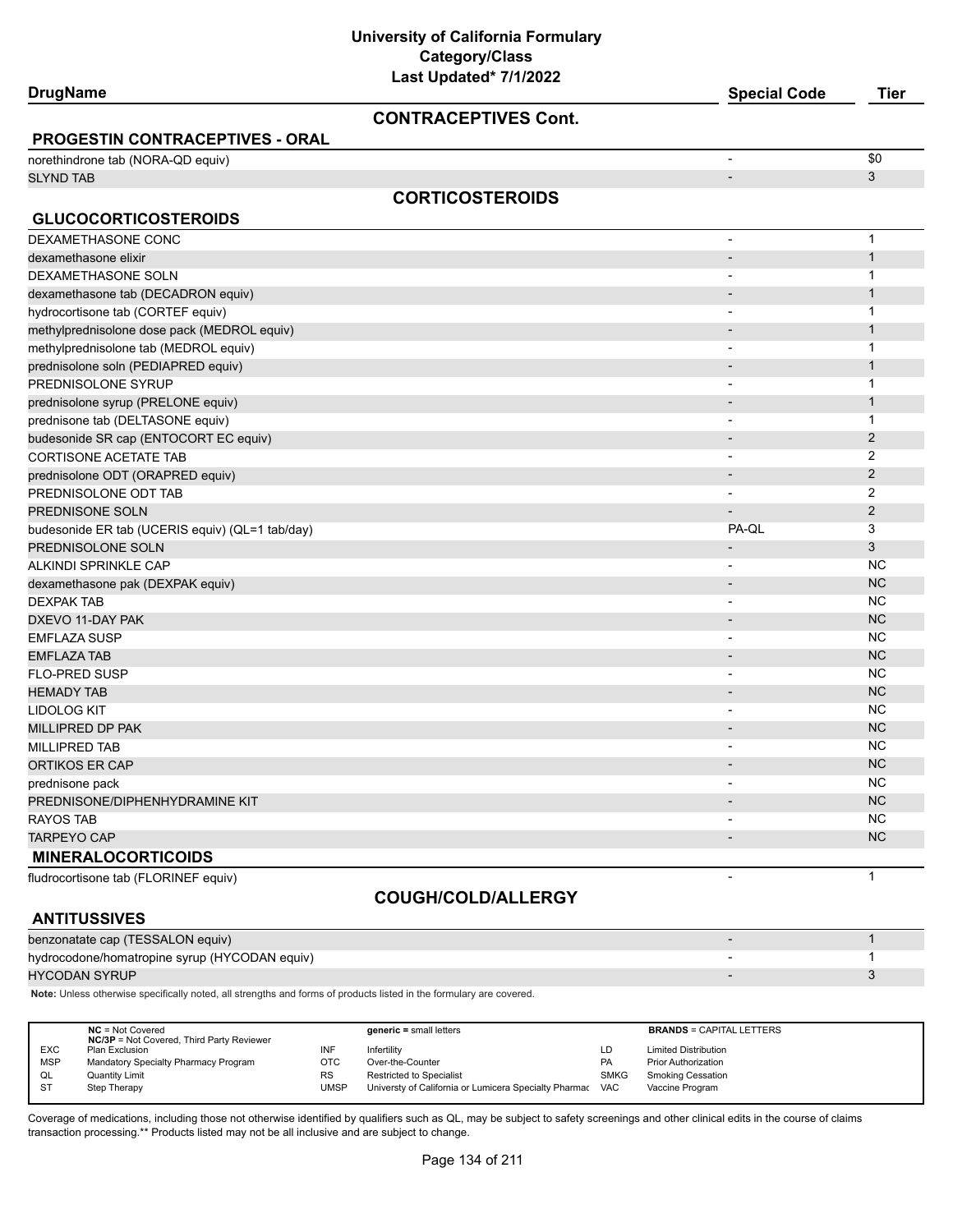**University of California Formulary Category/Class**

| Last Updated* 7/1/2022<br><b>DrugName</b>       | <b>Special Code</b>          | <b>Tier</b>    |
|-------------------------------------------------|------------------------------|----------------|
|                                                 |                              |                |
| <b>CONTRACEPTIVES Cont.</b>                     |                              |                |
| <b>PROGESTIN CONTRACEPTIVES - ORAL</b>          |                              |                |
| norethindrone tab (NORA-QD equiv)               | $\overline{\phantom{a}}$     | \$0            |
| <b>SLYND TAB</b>                                | $\overline{\phantom{m}}$     | 3              |
| <b>CORTICOSTEROIDS</b>                          |                              |                |
| <b>GLUCOCORTICOSTEROIDS</b>                     |                              |                |
| DEXAMETHASONE CONC                              |                              | $\mathbf{1}$   |
| dexamethasone elixir                            | $\overline{\phantom{a}}$     | $\mathbf{1}$   |
| DEXAMETHASONE SOLN                              | $\overline{\phantom{0}}$     | 1              |
| dexamethasone tab (DECADRON equiv)              |                              | $\mathbf{1}$   |
| hydrocortisone tab (CORTEF equiv)               | $\blacksquare$               | 1              |
| methylprednisolone dose pack (MEDROL equiv)     | $\overline{\phantom{a}}$     | $\mathbf{1}$   |
| methylprednisolone tab (MEDROL equiv)           | $\overline{\phantom{0}}$     | 1              |
| prednisolone soln (PEDIAPRED equiv)             |                              | $\mathbf{1}$   |
| PREDNISOLONE SYRUP                              | $\qquad \qquad \blacksquare$ | 1              |
| prednisolone syrup (PRELONE equiv)              | $\overline{\phantom{a}}$     | $\mathbf{1}$   |
| prednisone tab (DELTASONE equiv)                | $\overline{\phantom{0}}$     | 1              |
| budesonide SR cap (ENTOCORT EC equiv)           | $\overline{\phantom{a}}$     | $\overline{2}$ |
| <b>CORTISONE ACETATE TAB</b>                    | $\overline{\phantom{a}}$     | 2              |
| prednisolone ODT (ORAPRED equiv)                | $\overline{\phantom{a}}$     | 2              |
| PREDNISOLONE ODT TAB                            | $\overline{\phantom{0}}$     | 2              |
| PREDNISONE SOLN                                 |                              | 2              |
| budesonide ER tab (UCERIS equiv) (QL=1 tab/day) | PA-QL                        | 3              |
| PREDNISOLONE SOLN                               |                              | 3              |
| ALKINDI SPRINKLE CAP                            |                              | <b>NC</b>      |
| dexamethasone pak (DEXPAK equiv)                | $\qquad \qquad \blacksquare$ | <b>NC</b>      |
| <b>DEXPAK TAB</b>                               |                              | <b>NC</b>      |
| DXEVO 11-DAY PAK                                | $\overline{\phantom{a}}$     | <b>NC</b>      |
| <b>EMFLAZA SUSP</b>                             | $\blacksquare$               | <b>NC</b>      |
| <b>EMFLAZA TAB</b>                              | $\overline{\phantom{a}}$     | <b>NC</b>      |
| FLO-PRED SUSP                                   | $\overline{a}$               | <b>NC</b>      |
| <b>HEMADY TAB</b>                               | $\overline{\phantom{m}}$     | <b>NC</b>      |
| LIDOLOG KIT                                     | $\blacksquare$               | ΝC             |
| MILLIPRED DP PAK                                | $\overline{\phantom{a}}$     | <b>NC</b>      |
| MILLIPRED TAB                                   | $\overline{\phantom{a}}$     | NC             |
| <b>ORTIKOS ER CAP</b>                           |                              | ΝC             |
| prednisone pack                                 |                              | <b>NC</b>      |
| PREDNISONE/DIPHENHYDRAMINE KIT                  |                              | NC             |
| <b>RAYOS TAB</b>                                |                              | NC             |
| TARPEYO CAP                                     |                              | NC             |
| <b>MINERALOCORTICOIDS</b>                       |                              |                |
| fludrocortisone tab (FLORINEF equiv)            | $\overline{\phantom{0}}$     | $\mathbf{1}$   |

# **ANTITUSSIVES**

# **COUGH/COLD/ALLERGY**

| AN III VUUIVLU                                |  |
|-----------------------------------------------|--|
| benzonatate cap (TESSALON equiv)              |  |
| hydrocodone/homatropine syrup (HYCODAN equiv) |  |
| HYCODAN SYRUP I                               |  |

**Note:** Unless otherwise specifically noted, all strengths and forms of products listed in the formulary are covered.

|            | $NC = Not Covered$<br><b>NC/3P</b> = Not Covered, Third Party Reviewer |             | $generic = small letters$                             |             | <b>BRANDS = CAPITAL LETTERS</b> |
|------------|------------------------------------------------------------------------|-------------|-------------------------------------------------------|-------------|---------------------------------|
| <b>EXC</b> | Plan Exclusion                                                         | INF         | Infertility                                           | LD          | <b>Limited Distribution</b>     |
| <b>MSP</b> | Mandatory Specialty Pharmacy Program                                   | OTC         | Over-the-Counter                                      | <b>PA</b>   | <b>Prior Authorization</b>      |
| QL         | <b>Quantity Limit</b>                                                  | RS          | <b>Restricted to Specialist</b>                       | <b>SMKG</b> | <b>Smoking Cessation</b>        |
| -ST        | Step Therapy                                                           | <b>UMSP</b> | Universty of California or Lumicera Specialty Pharmac | <b>VAC</b>  | Vaccine Program                 |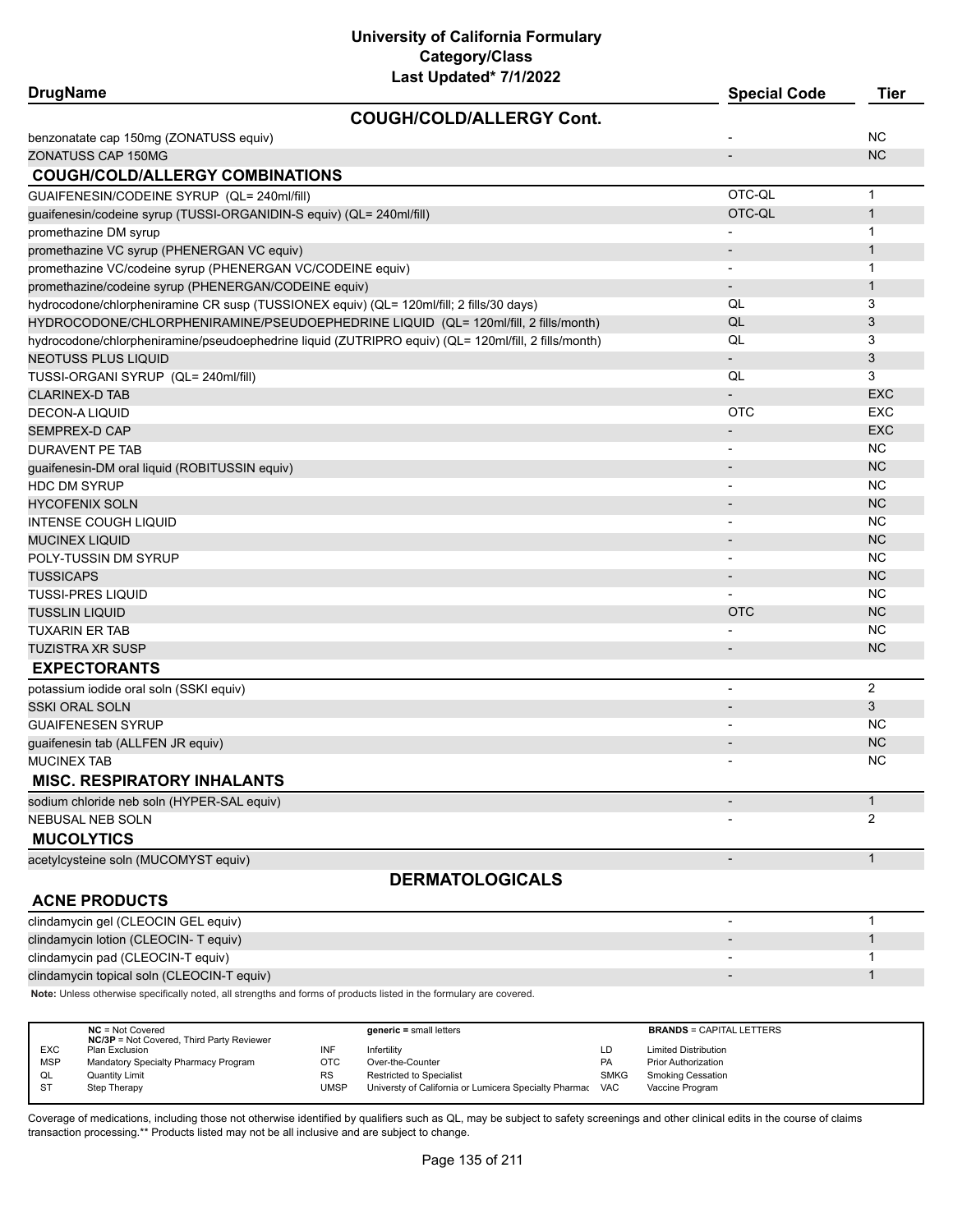| <b>COUGH/COLD/ALLERGY Cont.</b><br>NC<br>benzonatate cap 150mg (ZONATUSS equiv)<br><b>NC</b><br>ZONATUSS CAP 150MG<br><b>COUGH/COLD/ALLERGY COMBINATIONS</b><br>OTC-OL<br>GUAIFENESIN/CODEINE SYRUP (QL= 240ml/fill)<br>$\mathbf{1}$<br>OTC-QL<br>$\mathbf{1}$<br>guaifenesin/codeine syrup (TUSSI-ORGANIDIN-S equiv) (QL= 240ml/fill)<br>1<br>promethazine DM syrup<br>$\overline{\phantom{a}}$<br>promethazine VC syrup (PHENERGAN VC equiv)<br>1<br>$\overline{\phantom{a}}$<br>promethazine VC/codeine syrup (PHENERGAN VC/CODEINE equiv)<br>1<br>$\overline{\phantom{a}}$<br>1<br>promethazine/codeine syrup (PHENERGAN/CODEINE equiv)<br>hydrocodone/chlorpheniramine CR susp (TUSSIONEX equiv) (QL= 120ml/fill; 2 fills/30 days)<br>3<br>QL<br>HYDROCODONE/CHLORPHENIRAMINE/PSEUDOEPHEDRINE LIQUID (QL= 120ml/fill, 2 fills/month)<br>QL<br>3<br>hydrocodone/chlorpheniramine/pseudoephedrine liquid (ZUTRIPRO equiv) (QL= 120ml/fill, 2 fills/month)<br>QL<br>3<br>3<br>NEOTUSS PLUS LIQUID<br>QL<br>3<br>TUSSI-ORGANI SYRUP (QL= 240ml/fill)<br><b>EXC</b><br>CLARINEX-D TAB<br><b>OTC</b><br>EXC<br><b>DECON-A LIQUID</b><br><b>EXC</b><br>SEMPREX-D CAP<br><b>NC</b><br><b>DURAVENT PE TAB</b><br><b>NC</b><br>guaifenesin-DM oral liquid (ROBITUSSIN equiv)<br>ΝC<br><b>HDC DM SYRUP</b><br><b>NC</b><br><b>HYCOFENIX SOLN</b><br>ΝC<br><b>INTENSE COUGH LIQUID</b><br>$\blacksquare$<br><b>NC</b><br>MUCINEX LIQUID<br>ΝC<br>POLY-TUSSIN DM SYRUP<br><b>NC</b><br>TUSSICAPS<br>ΝC<br>TUSSI-PRES LIQUID<br><b>OTC</b><br><b>NC</b><br>TUSSLIN LIQUID<br><b>NC</b><br>TUXARIN ER TAB<br><b>NC</b><br>TUZISTRA XR SUSP<br><b>EXPECTORANTS</b><br>2<br>potassium iodide oral soln (SSKI equiv)<br>$\overline{\phantom{a}}$<br>3<br>SSKI ORAL SOLN<br>ΝC<br>GUAIFENESEN SYRUP<br><b>NC</b><br>guaifenesin tab (ALLFEN JR equiv)<br><b>NC</b><br><b>MUCINEX TAB</b><br><b>MISC. RESPIRATORY INHALANTS</b><br>1<br>sodium chloride neb soln (HYPER-SAL equiv)<br>2<br>NEBUSAL NEB SOLN<br><b>MUCOLYTICS</b><br>acetylcysteine soln (MUCOMYST equiv)<br>$\mathbf{1}$<br>$\overline{\phantom{a}}$<br><b>DERMATOLOGICALS</b><br><b>ACNE PRODUCTS</b><br>clindamycin gel (CLEOCIN GEL equiv)<br>1<br>clindamycin lotion (CLEOCIN- T equiv)<br>1<br>clindamycin pad (CLEOCIN-T equiv)<br>1<br>clindamycin topical soln (CLEOCIN-T equiv)<br>$\mathbf{1}$<br>Note: Unless otherwise specifically noted, all strengths and forms of products listed in the formulary are covered. | <b>DrugName</b> | Last Upualtu 11112022 | <b>Special Code</b> | <b>Tier</b> |
|----------------------------------------------------------------------------------------------------------------------------------------------------------------------------------------------------------------------------------------------------------------------------------------------------------------------------------------------------------------------------------------------------------------------------------------------------------------------------------------------------------------------------------------------------------------------------------------------------------------------------------------------------------------------------------------------------------------------------------------------------------------------------------------------------------------------------------------------------------------------------------------------------------------------------------------------------------------------------------------------------------------------------------------------------------------------------------------------------------------------------------------------------------------------------------------------------------------------------------------------------------------------------------------------------------------------------------------------------------------------------------------------------------------------------------------------------------------------------------------------------------------------------------------------------------------------------------------------------------------------------------------------------------------------------------------------------------------------------------------------------------------------------------------------------------------------------------------------------------------------------------------------------------------------------------------------------------------------------------------------------------------------------------------------------------------------------------------------------------------------------------------------------------------------------------------------------------------------------------------------------------------------------------------------------------------------------------------------------------------------------------------------------------------------------------------------------------------------------------|-----------------|-----------------------|---------------------|-------------|
|                                                                                                                                                                                                                                                                                                                                                                                                                                                                                                                                                                                                                                                                                                                                                                                                                                                                                                                                                                                                                                                                                                                                                                                                                                                                                                                                                                                                                                                                                                                                                                                                                                                                                                                                                                                                                                                                                                                                                                                                                                                                                                                                                                                                                                                                                                                                                                                                                                                                                  |                 |                       |                     |             |
|                                                                                                                                                                                                                                                                                                                                                                                                                                                                                                                                                                                                                                                                                                                                                                                                                                                                                                                                                                                                                                                                                                                                                                                                                                                                                                                                                                                                                                                                                                                                                                                                                                                                                                                                                                                                                                                                                                                                                                                                                                                                                                                                                                                                                                                                                                                                                                                                                                                                                  |                 |                       |                     |             |
|                                                                                                                                                                                                                                                                                                                                                                                                                                                                                                                                                                                                                                                                                                                                                                                                                                                                                                                                                                                                                                                                                                                                                                                                                                                                                                                                                                                                                                                                                                                                                                                                                                                                                                                                                                                                                                                                                                                                                                                                                                                                                                                                                                                                                                                                                                                                                                                                                                                                                  |                 |                       |                     |             |
|                                                                                                                                                                                                                                                                                                                                                                                                                                                                                                                                                                                                                                                                                                                                                                                                                                                                                                                                                                                                                                                                                                                                                                                                                                                                                                                                                                                                                                                                                                                                                                                                                                                                                                                                                                                                                                                                                                                                                                                                                                                                                                                                                                                                                                                                                                                                                                                                                                                                                  |                 |                       |                     |             |
|                                                                                                                                                                                                                                                                                                                                                                                                                                                                                                                                                                                                                                                                                                                                                                                                                                                                                                                                                                                                                                                                                                                                                                                                                                                                                                                                                                                                                                                                                                                                                                                                                                                                                                                                                                                                                                                                                                                                                                                                                                                                                                                                                                                                                                                                                                                                                                                                                                                                                  |                 |                       |                     |             |
|                                                                                                                                                                                                                                                                                                                                                                                                                                                                                                                                                                                                                                                                                                                                                                                                                                                                                                                                                                                                                                                                                                                                                                                                                                                                                                                                                                                                                                                                                                                                                                                                                                                                                                                                                                                                                                                                                                                                                                                                                                                                                                                                                                                                                                                                                                                                                                                                                                                                                  |                 |                       |                     |             |
|                                                                                                                                                                                                                                                                                                                                                                                                                                                                                                                                                                                                                                                                                                                                                                                                                                                                                                                                                                                                                                                                                                                                                                                                                                                                                                                                                                                                                                                                                                                                                                                                                                                                                                                                                                                                                                                                                                                                                                                                                                                                                                                                                                                                                                                                                                                                                                                                                                                                                  |                 |                       |                     |             |
|                                                                                                                                                                                                                                                                                                                                                                                                                                                                                                                                                                                                                                                                                                                                                                                                                                                                                                                                                                                                                                                                                                                                                                                                                                                                                                                                                                                                                                                                                                                                                                                                                                                                                                                                                                                                                                                                                                                                                                                                                                                                                                                                                                                                                                                                                                                                                                                                                                                                                  |                 |                       |                     |             |
|                                                                                                                                                                                                                                                                                                                                                                                                                                                                                                                                                                                                                                                                                                                                                                                                                                                                                                                                                                                                                                                                                                                                                                                                                                                                                                                                                                                                                                                                                                                                                                                                                                                                                                                                                                                                                                                                                                                                                                                                                                                                                                                                                                                                                                                                                                                                                                                                                                                                                  |                 |                       |                     |             |
|                                                                                                                                                                                                                                                                                                                                                                                                                                                                                                                                                                                                                                                                                                                                                                                                                                                                                                                                                                                                                                                                                                                                                                                                                                                                                                                                                                                                                                                                                                                                                                                                                                                                                                                                                                                                                                                                                                                                                                                                                                                                                                                                                                                                                                                                                                                                                                                                                                                                                  |                 |                       |                     |             |
|                                                                                                                                                                                                                                                                                                                                                                                                                                                                                                                                                                                                                                                                                                                                                                                                                                                                                                                                                                                                                                                                                                                                                                                                                                                                                                                                                                                                                                                                                                                                                                                                                                                                                                                                                                                                                                                                                                                                                                                                                                                                                                                                                                                                                                                                                                                                                                                                                                                                                  |                 |                       |                     |             |
|                                                                                                                                                                                                                                                                                                                                                                                                                                                                                                                                                                                                                                                                                                                                                                                                                                                                                                                                                                                                                                                                                                                                                                                                                                                                                                                                                                                                                                                                                                                                                                                                                                                                                                                                                                                                                                                                                                                                                                                                                                                                                                                                                                                                                                                                                                                                                                                                                                                                                  |                 |                       |                     |             |
|                                                                                                                                                                                                                                                                                                                                                                                                                                                                                                                                                                                                                                                                                                                                                                                                                                                                                                                                                                                                                                                                                                                                                                                                                                                                                                                                                                                                                                                                                                                                                                                                                                                                                                                                                                                                                                                                                                                                                                                                                                                                                                                                                                                                                                                                                                                                                                                                                                                                                  |                 |                       |                     |             |
|                                                                                                                                                                                                                                                                                                                                                                                                                                                                                                                                                                                                                                                                                                                                                                                                                                                                                                                                                                                                                                                                                                                                                                                                                                                                                                                                                                                                                                                                                                                                                                                                                                                                                                                                                                                                                                                                                                                                                                                                                                                                                                                                                                                                                                                                                                                                                                                                                                                                                  |                 |                       |                     |             |
|                                                                                                                                                                                                                                                                                                                                                                                                                                                                                                                                                                                                                                                                                                                                                                                                                                                                                                                                                                                                                                                                                                                                                                                                                                                                                                                                                                                                                                                                                                                                                                                                                                                                                                                                                                                                                                                                                                                                                                                                                                                                                                                                                                                                                                                                                                                                                                                                                                                                                  |                 |                       |                     |             |
|                                                                                                                                                                                                                                                                                                                                                                                                                                                                                                                                                                                                                                                                                                                                                                                                                                                                                                                                                                                                                                                                                                                                                                                                                                                                                                                                                                                                                                                                                                                                                                                                                                                                                                                                                                                                                                                                                                                                                                                                                                                                                                                                                                                                                                                                                                                                                                                                                                                                                  |                 |                       |                     |             |
|                                                                                                                                                                                                                                                                                                                                                                                                                                                                                                                                                                                                                                                                                                                                                                                                                                                                                                                                                                                                                                                                                                                                                                                                                                                                                                                                                                                                                                                                                                                                                                                                                                                                                                                                                                                                                                                                                                                                                                                                                                                                                                                                                                                                                                                                                                                                                                                                                                                                                  |                 |                       |                     |             |
|                                                                                                                                                                                                                                                                                                                                                                                                                                                                                                                                                                                                                                                                                                                                                                                                                                                                                                                                                                                                                                                                                                                                                                                                                                                                                                                                                                                                                                                                                                                                                                                                                                                                                                                                                                                                                                                                                                                                                                                                                                                                                                                                                                                                                                                                                                                                                                                                                                                                                  |                 |                       |                     |             |
|                                                                                                                                                                                                                                                                                                                                                                                                                                                                                                                                                                                                                                                                                                                                                                                                                                                                                                                                                                                                                                                                                                                                                                                                                                                                                                                                                                                                                                                                                                                                                                                                                                                                                                                                                                                                                                                                                                                                                                                                                                                                                                                                                                                                                                                                                                                                                                                                                                                                                  |                 |                       |                     |             |
|                                                                                                                                                                                                                                                                                                                                                                                                                                                                                                                                                                                                                                                                                                                                                                                                                                                                                                                                                                                                                                                                                                                                                                                                                                                                                                                                                                                                                                                                                                                                                                                                                                                                                                                                                                                                                                                                                                                                                                                                                                                                                                                                                                                                                                                                                                                                                                                                                                                                                  |                 |                       |                     |             |
|                                                                                                                                                                                                                                                                                                                                                                                                                                                                                                                                                                                                                                                                                                                                                                                                                                                                                                                                                                                                                                                                                                                                                                                                                                                                                                                                                                                                                                                                                                                                                                                                                                                                                                                                                                                                                                                                                                                                                                                                                                                                                                                                                                                                                                                                                                                                                                                                                                                                                  |                 |                       |                     |             |
|                                                                                                                                                                                                                                                                                                                                                                                                                                                                                                                                                                                                                                                                                                                                                                                                                                                                                                                                                                                                                                                                                                                                                                                                                                                                                                                                                                                                                                                                                                                                                                                                                                                                                                                                                                                                                                                                                                                                                                                                                                                                                                                                                                                                                                                                                                                                                                                                                                                                                  |                 |                       |                     |             |
|                                                                                                                                                                                                                                                                                                                                                                                                                                                                                                                                                                                                                                                                                                                                                                                                                                                                                                                                                                                                                                                                                                                                                                                                                                                                                                                                                                                                                                                                                                                                                                                                                                                                                                                                                                                                                                                                                                                                                                                                                                                                                                                                                                                                                                                                                                                                                                                                                                                                                  |                 |                       |                     |             |
|                                                                                                                                                                                                                                                                                                                                                                                                                                                                                                                                                                                                                                                                                                                                                                                                                                                                                                                                                                                                                                                                                                                                                                                                                                                                                                                                                                                                                                                                                                                                                                                                                                                                                                                                                                                                                                                                                                                                                                                                                                                                                                                                                                                                                                                                                                                                                                                                                                                                                  |                 |                       |                     |             |
|                                                                                                                                                                                                                                                                                                                                                                                                                                                                                                                                                                                                                                                                                                                                                                                                                                                                                                                                                                                                                                                                                                                                                                                                                                                                                                                                                                                                                                                                                                                                                                                                                                                                                                                                                                                                                                                                                                                                                                                                                                                                                                                                                                                                                                                                                                                                                                                                                                                                                  |                 |                       |                     |             |
|                                                                                                                                                                                                                                                                                                                                                                                                                                                                                                                                                                                                                                                                                                                                                                                                                                                                                                                                                                                                                                                                                                                                                                                                                                                                                                                                                                                                                                                                                                                                                                                                                                                                                                                                                                                                                                                                                                                                                                                                                                                                                                                                                                                                                                                                                                                                                                                                                                                                                  |                 |                       |                     |             |
|                                                                                                                                                                                                                                                                                                                                                                                                                                                                                                                                                                                                                                                                                                                                                                                                                                                                                                                                                                                                                                                                                                                                                                                                                                                                                                                                                                                                                                                                                                                                                                                                                                                                                                                                                                                                                                                                                                                                                                                                                                                                                                                                                                                                                                                                                                                                                                                                                                                                                  |                 |                       |                     |             |
|                                                                                                                                                                                                                                                                                                                                                                                                                                                                                                                                                                                                                                                                                                                                                                                                                                                                                                                                                                                                                                                                                                                                                                                                                                                                                                                                                                                                                                                                                                                                                                                                                                                                                                                                                                                                                                                                                                                                                                                                                                                                                                                                                                                                                                                                                                                                                                                                                                                                                  |                 |                       |                     |             |
|                                                                                                                                                                                                                                                                                                                                                                                                                                                                                                                                                                                                                                                                                                                                                                                                                                                                                                                                                                                                                                                                                                                                                                                                                                                                                                                                                                                                                                                                                                                                                                                                                                                                                                                                                                                                                                                                                                                                                                                                                                                                                                                                                                                                                                                                                                                                                                                                                                                                                  |                 |                       |                     |             |
|                                                                                                                                                                                                                                                                                                                                                                                                                                                                                                                                                                                                                                                                                                                                                                                                                                                                                                                                                                                                                                                                                                                                                                                                                                                                                                                                                                                                                                                                                                                                                                                                                                                                                                                                                                                                                                                                                                                                                                                                                                                                                                                                                                                                                                                                                                                                                                                                                                                                                  |                 |                       |                     |             |
|                                                                                                                                                                                                                                                                                                                                                                                                                                                                                                                                                                                                                                                                                                                                                                                                                                                                                                                                                                                                                                                                                                                                                                                                                                                                                                                                                                                                                                                                                                                                                                                                                                                                                                                                                                                                                                                                                                                                                                                                                                                                                                                                                                                                                                                                                                                                                                                                                                                                                  |                 |                       |                     |             |
|                                                                                                                                                                                                                                                                                                                                                                                                                                                                                                                                                                                                                                                                                                                                                                                                                                                                                                                                                                                                                                                                                                                                                                                                                                                                                                                                                                                                                                                                                                                                                                                                                                                                                                                                                                                                                                                                                                                                                                                                                                                                                                                                                                                                                                                                                                                                                                                                                                                                                  |                 |                       |                     |             |
|                                                                                                                                                                                                                                                                                                                                                                                                                                                                                                                                                                                                                                                                                                                                                                                                                                                                                                                                                                                                                                                                                                                                                                                                                                                                                                                                                                                                                                                                                                                                                                                                                                                                                                                                                                                                                                                                                                                                                                                                                                                                                                                                                                                                                                                                                                                                                                                                                                                                                  |                 |                       |                     |             |
|                                                                                                                                                                                                                                                                                                                                                                                                                                                                                                                                                                                                                                                                                                                                                                                                                                                                                                                                                                                                                                                                                                                                                                                                                                                                                                                                                                                                                                                                                                                                                                                                                                                                                                                                                                                                                                                                                                                                                                                                                                                                                                                                                                                                                                                                                                                                                                                                                                                                                  |                 |                       |                     |             |
|                                                                                                                                                                                                                                                                                                                                                                                                                                                                                                                                                                                                                                                                                                                                                                                                                                                                                                                                                                                                                                                                                                                                                                                                                                                                                                                                                                                                                                                                                                                                                                                                                                                                                                                                                                                                                                                                                                                                                                                                                                                                                                                                                                                                                                                                                                                                                                                                                                                                                  |                 |                       |                     |             |
|                                                                                                                                                                                                                                                                                                                                                                                                                                                                                                                                                                                                                                                                                                                                                                                                                                                                                                                                                                                                                                                                                                                                                                                                                                                                                                                                                                                                                                                                                                                                                                                                                                                                                                                                                                                                                                                                                                                                                                                                                                                                                                                                                                                                                                                                                                                                                                                                                                                                                  |                 |                       |                     |             |
|                                                                                                                                                                                                                                                                                                                                                                                                                                                                                                                                                                                                                                                                                                                                                                                                                                                                                                                                                                                                                                                                                                                                                                                                                                                                                                                                                                                                                                                                                                                                                                                                                                                                                                                                                                                                                                                                                                                                                                                                                                                                                                                                                                                                                                                                                                                                                                                                                                                                                  |                 |                       |                     |             |
|                                                                                                                                                                                                                                                                                                                                                                                                                                                                                                                                                                                                                                                                                                                                                                                                                                                                                                                                                                                                                                                                                                                                                                                                                                                                                                                                                                                                                                                                                                                                                                                                                                                                                                                                                                                                                                                                                                                                                                                                                                                                                                                                                                                                                                                                                                                                                                                                                                                                                  |                 |                       |                     |             |
|                                                                                                                                                                                                                                                                                                                                                                                                                                                                                                                                                                                                                                                                                                                                                                                                                                                                                                                                                                                                                                                                                                                                                                                                                                                                                                                                                                                                                                                                                                                                                                                                                                                                                                                                                                                                                                                                                                                                                                                                                                                                                                                                                                                                                                                                                                                                                                                                                                                                                  |                 |                       |                     |             |
|                                                                                                                                                                                                                                                                                                                                                                                                                                                                                                                                                                                                                                                                                                                                                                                                                                                                                                                                                                                                                                                                                                                                                                                                                                                                                                                                                                                                                                                                                                                                                                                                                                                                                                                                                                                                                                                                                                                                                                                                                                                                                                                                                                                                                                                                                                                                                                                                                                                                                  |                 |                       |                     |             |
|                                                                                                                                                                                                                                                                                                                                                                                                                                                                                                                                                                                                                                                                                                                                                                                                                                                                                                                                                                                                                                                                                                                                                                                                                                                                                                                                                                                                                                                                                                                                                                                                                                                                                                                                                                                                                                                                                                                                                                                                                                                                                                                                                                                                                                                                                                                                                                                                                                                                                  |                 |                       |                     |             |
|                                                                                                                                                                                                                                                                                                                                                                                                                                                                                                                                                                                                                                                                                                                                                                                                                                                                                                                                                                                                                                                                                                                                                                                                                                                                                                                                                                                                                                                                                                                                                                                                                                                                                                                                                                                                                                                                                                                                                                                                                                                                                                                                                                                                                                                                                                                                                                                                                                                                                  |                 |                       |                     |             |
|                                                                                                                                                                                                                                                                                                                                                                                                                                                                                                                                                                                                                                                                                                                                                                                                                                                                                                                                                                                                                                                                                                                                                                                                                                                                                                                                                                                                                                                                                                                                                                                                                                                                                                                                                                                                                                                                                                                                                                                                                                                                                                                                                                                                                                                                                                                                                                                                                                                                                  |                 |                       |                     |             |
|                                                                                                                                                                                                                                                                                                                                                                                                                                                                                                                                                                                                                                                                                                                                                                                                                                                                                                                                                                                                                                                                                                                                                                                                                                                                                                                                                                                                                                                                                                                                                                                                                                                                                                                                                                                                                                                                                                                                                                                                                                                                                                                                                                                                                                                                                                                                                                                                                                                                                  |                 |                       |                     |             |
|                                                                                                                                                                                                                                                                                                                                                                                                                                                                                                                                                                                                                                                                                                                                                                                                                                                                                                                                                                                                                                                                                                                                                                                                                                                                                                                                                                                                                                                                                                                                                                                                                                                                                                                                                                                                                                                                                                                                                                                                                                                                                                                                                                                                                                                                                                                                                                                                                                                                                  |                 |                       |                     |             |
|                                                                                                                                                                                                                                                                                                                                                                                                                                                                                                                                                                                                                                                                                                                                                                                                                                                                                                                                                                                                                                                                                                                                                                                                                                                                                                                                                                                                                                                                                                                                                                                                                                                                                                                                                                                                                                                                                                                                                                                                                                                                                                                                                                                                                                                                                                                                                                                                                                                                                  |                 |                       |                     |             |
|                                                                                                                                                                                                                                                                                                                                                                                                                                                                                                                                                                                                                                                                                                                                                                                                                                                                                                                                                                                                                                                                                                                                                                                                                                                                                                                                                                                                                                                                                                                                                                                                                                                                                                                                                                                                                                                                                                                                                                                                                                                                                                                                                                                                                                                                                                                                                                                                                                                                                  |                 |                       |                     |             |
|                                                                                                                                                                                                                                                                                                                                                                                                                                                                                                                                                                                                                                                                                                                                                                                                                                                                                                                                                                                                                                                                                                                                                                                                                                                                                                                                                                                                                                                                                                                                                                                                                                                                                                                                                                                                                                                                                                                                                                                                                                                                                                                                                                                                                                                                                                                                                                                                                                                                                  |                 |                       |                     |             |

|            | $NC = Not Covered$<br><b>NC/3P</b> = Not Covered, Third Party Reviewer |           | $generic = small letters$                             |             | <b>BRANDS = CAPITAL LETTERS</b> |
|------------|------------------------------------------------------------------------|-----------|-------------------------------------------------------|-------------|---------------------------------|
| <b>EXC</b> | Plan Exclusion                                                         |           | Infertilitv                                           | LD          | <b>Limited Distribution</b>     |
| <b>MSP</b> | Mandatory Specialty Pharmacy Program                                   | отс       | Over-the-Counter                                      | <b>PA</b>   | <b>Prior Authorization</b>      |
| QL         | <b>Quantity Limit</b>                                                  | <b>RS</b> | <b>Restricted to Specialist</b>                       | <b>SMKG</b> | <b>Smoking Cessation</b>        |
| <b>ST</b>  | Step Therapy                                                           | UMSP      | Universty of California or Lumicera Specialty Pharmac | <b>VAC</b>  | Vaccine Program                 |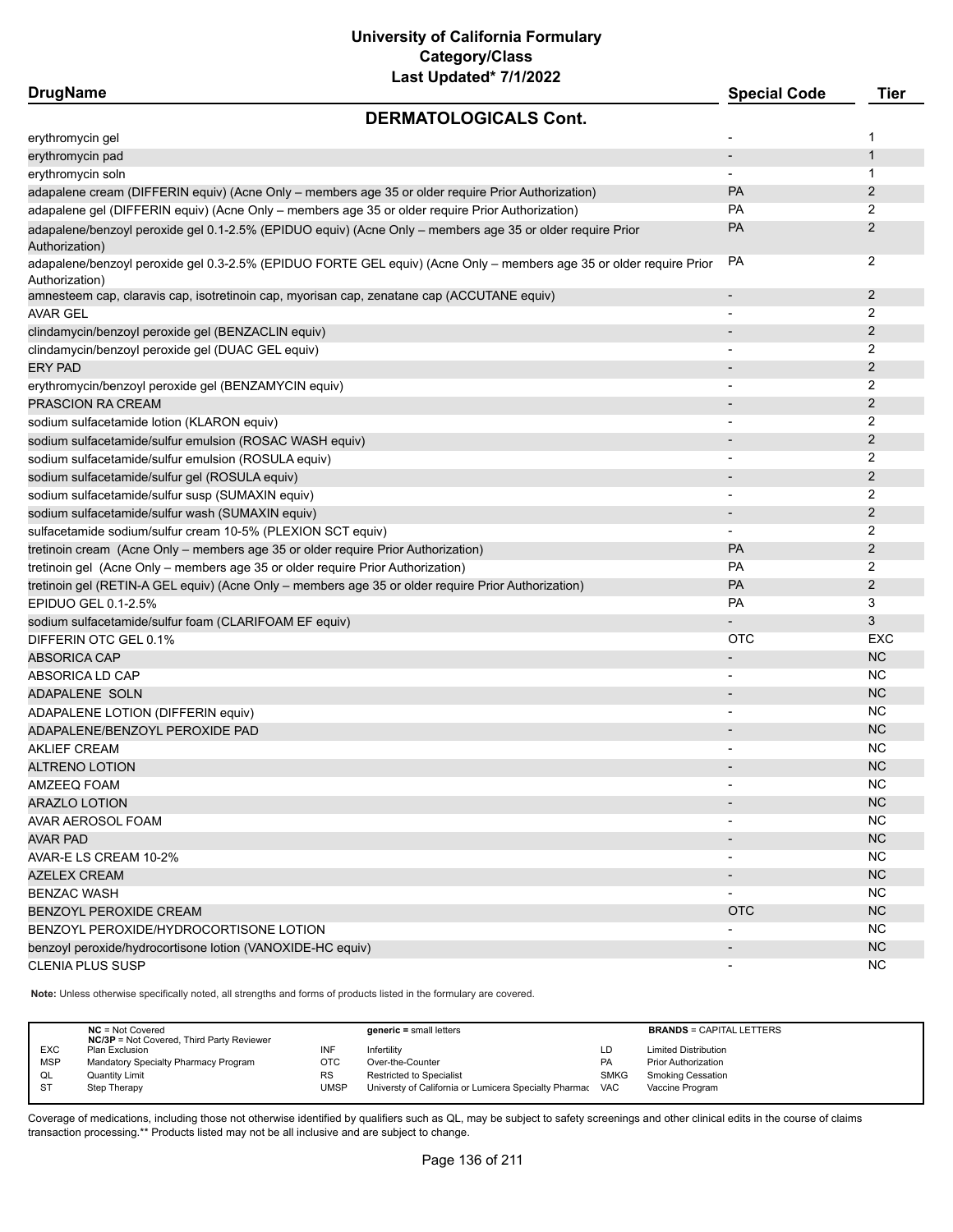| <b>DrugName</b>                                                                                     | -ast opaalog 7772022                                                                                                | <b>Special Code</b>      | <b>Tier</b>    |
|-----------------------------------------------------------------------------------------------------|---------------------------------------------------------------------------------------------------------------------|--------------------------|----------------|
|                                                                                                     | <b>DERMATOLOGICALS Cont.</b>                                                                                        |                          |                |
| erythromycin gel                                                                                    |                                                                                                                     |                          | 1              |
| erythromycin pad                                                                                    |                                                                                                                     |                          | $\mathbf{1}$   |
| erythromycin soln                                                                                   |                                                                                                                     | $\overline{\phantom{a}}$ | 1              |
| adapalene cream (DIFFERIN equiv) (Acne Only - members age 35 or older require Prior Authorization)  |                                                                                                                     | PA                       | $\overline{2}$ |
| adapalene gel (DIFFERIN equiv) (Acne Only - members age 35 or older require Prior Authorization)    |                                                                                                                     | <b>PA</b>                | 2              |
| Authorization)                                                                                      | adapalene/benzoyl peroxide gel 0.1-2.5% (EPIDUO equiv) (Acne Only - members age 35 or older require Prior           | PA                       | 2              |
| Authorization)                                                                                      | adapalene/benzoyl peroxide gel 0.3-2.5% (EPIDUO FORTE GEL equiv) (Acne Only - members age 35 or older require Prior | PA                       | 2              |
| amnesteem cap, claravis cap, isotretinoin cap, myorisan cap, zenatane cap (ACCUTANE equiv)          |                                                                                                                     | $\overline{\phantom{a}}$ | $\overline{2}$ |
| <b>AVAR GEL</b>                                                                                     |                                                                                                                     |                          | 2              |
| clindamycin/benzoyl peroxide gel (BENZACLIN equiv)                                                  |                                                                                                                     |                          | 2              |
| clindamycin/benzoyl peroxide gel (DUAC GEL equiv)                                                   |                                                                                                                     |                          | 2              |
| <b>ERY PAD</b>                                                                                      |                                                                                                                     |                          | 2              |
| erythromycin/benzoyl peroxide gel (BENZAMYCIN equiv)                                                |                                                                                                                     |                          | 2              |
| PRASCION RA CREAM                                                                                   |                                                                                                                     |                          | 2              |
| sodium sulfacetamide lotion (KLARON equiv)                                                          |                                                                                                                     |                          | 2              |
| sodium sulfacetamide/sulfur emulsion (ROSAC WASH equiv)                                             |                                                                                                                     |                          | 2              |
| sodium sulfacetamide/sulfur emulsion (ROSULA equiv)                                                 |                                                                                                                     | $\blacksquare$           | 2              |
| sodium sulfacetamide/sulfur gel (ROSULA equiv)                                                      |                                                                                                                     |                          | $\overline{2}$ |
| sodium sulfacetamide/sulfur susp (SUMAXIN equiv)                                                    |                                                                                                                     | $\overline{\phantom{a}}$ | 2              |
| sodium sulfacetamide/sulfur wash (SUMAXIN equiv)                                                    |                                                                                                                     |                          | 2              |
| sulfacetamide sodium/sulfur cream 10-5% (PLEXION SCT equiv)                                         |                                                                                                                     | $\overline{\phantom{a}}$ | 2              |
| tretinoin cream (Acne Only - members age 35 or older require Prior Authorization)                   |                                                                                                                     | PA                       | $\overline{2}$ |
| tretinoin gel (Acne Only - members age 35 or older require Prior Authorization)                     |                                                                                                                     | PA                       | 2              |
| tretinoin gel (RETIN-A GEL equiv) (Acne Only - members age 35 or older require Prior Authorization) |                                                                                                                     | PA                       | $\overline{2}$ |
| EPIDUO GEL 0.1-2.5%                                                                                 |                                                                                                                     | <b>PA</b>                | 3              |
| sodium sulfacetamide/sulfur foam (CLARIFOAM EF equiv)                                               |                                                                                                                     |                          | 3              |
| DIFFERIN OTC GEL 0.1%                                                                               |                                                                                                                     | <b>OTC</b>               | EXC            |
| <b>ABSORICA CAP</b>                                                                                 |                                                                                                                     |                          | NC             |
| ABSORICA LD CAP                                                                                     |                                                                                                                     |                          | ΝC             |
| ADAPALENE SOLN                                                                                      |                                                                                                                     | $\blacksquare$           | <b>NC</b>      |
| ADAPALENE LOTION (DIFFERIN equiv)                                                                   |                                                                                                                     |                          | <b>NC</b>      |
| ADAPALENE/BENZOYL PEROXIDE PAD                                                                      |                                                                                                                     |                          | <b>NC</b>      |
| <b>AKLIEF CREAM</b>                                                                                 |                                                                                                                     |                          | NC             |
| <b>ALTRENO LOTION</b>                                                                               |                                                                                                                     |                          | <b>NC</b>      |
| AMZEEQ FOAM                                                                                         |                                                                                                                     | $\overline{\phantom{a}}$ | <b>NC</b>      |
| <b>ARAZLO LOTION</b>                                                                                |                                                                                                                     |                          | NC             |
| AVAR AEROSOL FOAM                                                                                   |                                                                                                                     |                          | <b>NC</b>      |
| <b>AVAR PAD</b>                                                                                     |                                                                                                                     |                          | <b>NC</b>      |
| AVAR-E LS CREAM 10-2%                                                                               |                                                                                                                     |                          | <b>NC</b>      |
| AZELEX CREAM                                                                                        |                                                                                                                     |                          | NC             |
| <b>BENZAC WASH</b>                                                                                  |                                                                                                                     |                          | NC             |
|                                                                                                     |                                                                                                                     | <b>OTC</b>               | <b>NC</b>      |
| BENZOYL PEROXIDE CREAM                                                                              |                                                                                                                     |                          | NC             |
| BENZOYL PEROXIDE/HYDROCORTISONE LOTION                                                              |                                                                                                                     |                          |                |
| benzoyl peroxide/hydrocortisone lotion (VANOXIDE-HC equiv)<br><b>CLENIA PLUS SUSP</b>               |                                                                                                                     |                          | NC<br>NC.      |

**Note:** Unless otherwise specifically noted, all strengths and forms of products listed in the formulary are covered.

|            | $NC = Not Covered$<br><b>NC/3P</b> = Not Covered, Third Party Reviewer |           | $generic = small letters$                             |             | <b>BRANDS = CAPITAL LETTERS</b> |
|------------|------------------------------------------------------------------------|-----------|-------------------------------------------------------|-------------|---------------------------------|
| <b>EXC</b> | Plan Exclusion                                                         | INF       | Infertilitv                                           | LD          | <b>Limited Distribution</b>     |
| <b>MSP</b> | Mandatory Specialty Pharmacy Program                                   | отс       | Over-the-Counter                                      | PA          | <b>Prior Authorization</b>      |
| QL         | <b>Quantity Limit</b>                                                  | <b>RS</b> | Restricted to Specialist                              | <b>SMKG</b> | <b>Smoking Cessation</b>        |
| <b>ST</b>  | Step Therapy                                                           | UMSP      | Universty of California or Lumicera Specialty Pharmac | <b>VAC</b>  | Vaccine Program                 |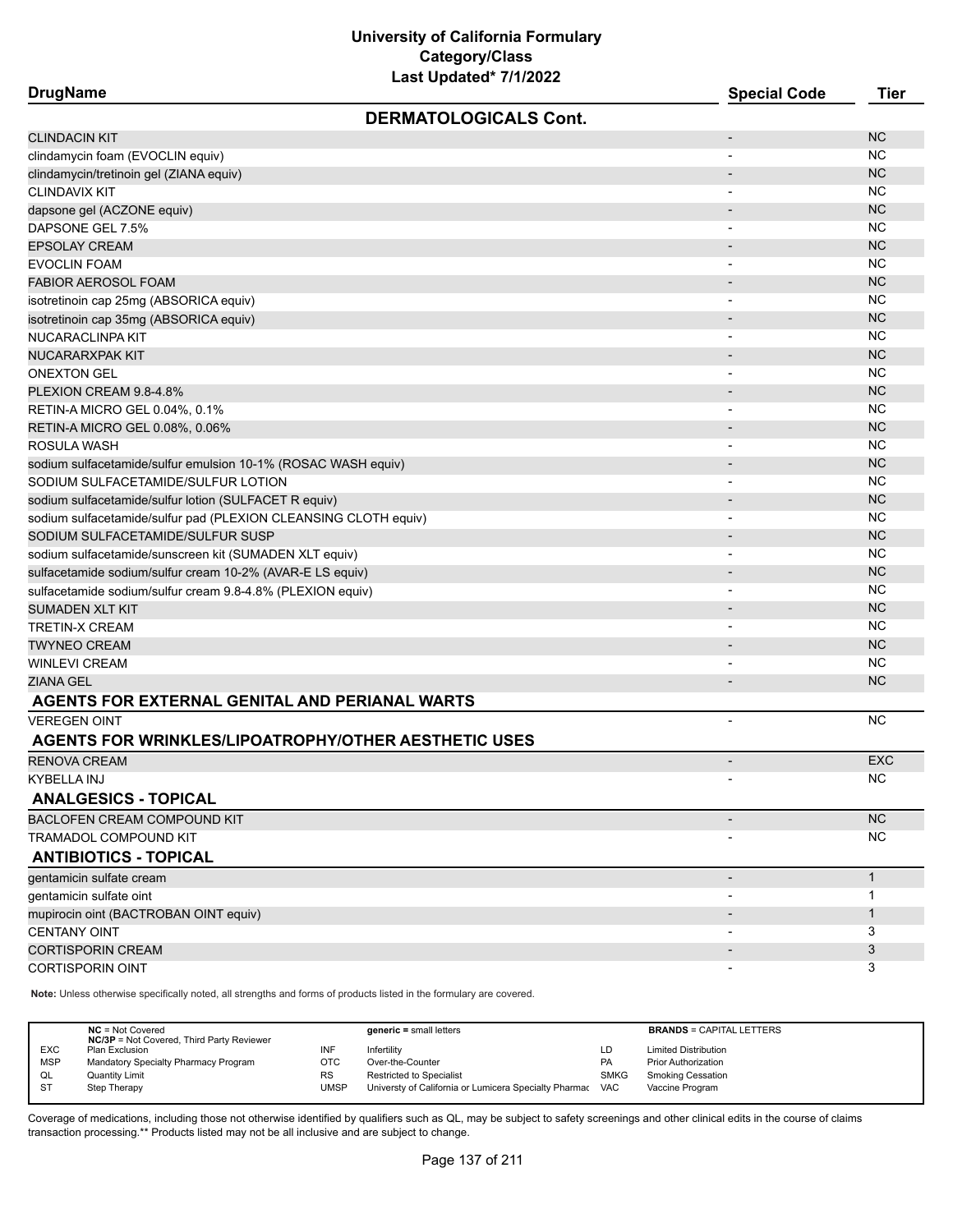| <b>DrugName</b>                                                 | Last Updated" //1/2022       | <b>Special Code</b>      | <b>Tier</b>  |
|-----------------------------------------------------------------|------------------------------|--------------------------|--------------|
|                                                                 | <b>DERMATOLOGICALS Cont.</b> |                          |              |
| <b>CLINDACIN KIT</b>                                            |                              | $\overline{\phantom{a}}$ | <b>NC</b>    |
| clindamycin foam (EVOCLIN equiv)                                |                              | $\overline{\phantom{a}}$ | <b>NC</b>    |
| clindamycin/tretinoin gel (ZIANA equiv)                         |                              |                          | <b>NC</b>    |
| CLINDAVIX KIT                                                   |                              | $\overline{\phantom{a}}$ | <b>NC</b>    |
| dapsone gel (ACZONE equiv)                                      |                              |                          | <b>NC</b>    |
| DAPSONE GEL 7.5%                                                |                              | $\blacksquare$           | <b>NC</b>    |
| <b>EPSOLAY CREAM</b>                                            |                              |                          | <b>NC</b>    |
| EVOCLIN FOAM                                                    |                              |                          | <b>NC</b>    |
| <b>FABIOR AEROSOL FOAM</b>                                      |                              |                          | <b>NC</b>    |
| isotretinoin cap 25mg (ABSORICA equiv)                          |                              | $\overline{\phantom{a}}$ | <b>NC</b>    |
| isotretinoin cap 35mg (ABSORICA equiv)                          |                              |                          | <b>NC</b>    |
| NUCARACLINPA KIT                                                |                              | $\overline{\phantom{a}}$ | <b>NC</b>    |
| NUCARARXPAK KIT                                                 |                              |                          | <b>NC</b>    |
| <b>ONEXTON GEL</b>                                              |                              | $\overline{\phantom{a}}$ | <b>NC</b>    |
| PLEXION CREAM 9.8-4.8%                                          |                              | $\overline{\phantom{a}}$ | <b>NC</b>    |
| RETIN-A MICRO GEL 0.04%, 0.1%                                   |                              |                          | <b>NC</b>    |
| RETIN-A MICRO GEL 0.08%, 0.06%                                  |                              |                          | <b>NC</b>    |
| ROSULA WASH                                                     |                              |                          | <b>NC</b>    |
| sodium sulfacetamide/sulfur emulsion 10-1% (ROSAC WASH equiv)   |                              | $\overline{\phantom{a}}$ | <b>NC</b>    |
| SODIUM SULFACETAMIDE/SULFUR LOTION                              |                              | $\overline{\phantom{a}}$ | <b>NC</b>    |
| sodium sulfacetamide/sulfur lotion (SULFACET R equiv)           |                              |                          | <b>NC</b>    |
| sodium sulfacetamide/sulfur pad (PLEXION CLEANSING CLOTH equiv) |                              |                          | <b>NC</b>    |
| SODIUM SULFACETAMIDE/SULFUR SUSP                                |                              |                          | <b>NC</b>    |
| sodium sulfacetamide/sunscreen kit (SUMADEN XLT equiv)          |                              |                          | <b>NC</b>    |
| sulfacetamide sodium/sulfur cream 10-2% (AVAR-E LS equiv)       |                              |                          | <b>NC</b>    |
| sulfacetamide sodium/sulfur cream 9.8-4.8% (PLEXION equiv)      |                              |                          | <b>NC</b>    |
| SUMADEN XLT KIT                                                 |                              |                          | <b>NC</b>    |
| TRETIN-X CREAM                                                  |                              |                          | <b>NC</b>    |
| TWYNEO CREAM                                                    |                              |                          | <b>NC</b>    |
| WINLEVI CREAM                                                   |                              |                          | <b>NC</b>    |
| ZIANA GEL                                                       |                              |                          | <b>NC</b>    |
| AGENTS FOR EXTERNAL GENITAL AND PERIANAL WARTS                  |                              |                          |              |
| <b>VEREGEN OINT</b>                                             |                              |                          | <b>NC</b>    |
| <b>AGENTS FOR WRINKLES/LIPOATROPHY/OTHER AESTHETIC USES</b>     |                              |                          |              |
| <b>RENOVA CREAM</b>                                             |                              | $\overline{\phantom{a}}$ | <b>EXC</b>   |
| KYBELLA INJ                                                     |                              |                          | NС           |
| <b>ANALGESICS - TOPICAL</b>                                     |                              |                          |              |
| <b>BACLOFEN CREAM COMPOUND KIT</b>                              |                              | $\overline{\phantom{a}}$ | <b>NC</b>    |
| TRAMADOL COMPOUND KIT                                           |                              |                          | NC.          |
| <b>ANTIBIOTICS - TOPICAL</b>                                    |                              |                          |              |
| gentamicin sulfate cream                                        |                              |                          | $\mathbf{1}$ |
| gentamicin sulfate oint                                         |                              |                          | 1            |
| mupirocin oint (BACTROBAN OINT equiv)                           |                              |                          | $\mathbf{1}$ |
| <b>CENTANY OINT</b>                                             |                              |                          | 3            |
| <b>CORTISPORIN CREAM</b>                                        |                              |                          | 3            |
| <b>CORTISPORIN OINT</b>                                         |                              |                          | 3            |

**Note:** Unless otherwise specifically noted, all strengths and forms of products listed in the formulary are covered.

|            | $NC = Not Covered$<br><b>NC/3P</b> = Not Covered, Third Party Reviewer |           | $generic = small letters$                             |             | <b>BRANDS = CAPITAL LETTERS</b> |
|------------|------------------------------------------------------------------------|-----------|-------------------------------------------------------|-------------|---------------------------------|
| <b>EXC</b> | Plan Exclusion                                                         | INF       | Infertility                                           | LD          | <b>Limited Distribution</b>     |
| <b>MSP</b> | Mandatory Specialty Pharmacy Program                                   | отс       | Over-the-Counter                                      | PA          | <b>Prior Authorization</b>      |
| QL         | <b>Quantity Limit</b>                                                  | <b>RS</b> | <b>Restricted to Specialist</b>                       | <b>SMKG</b> | <b>Smoking Cessation</b>        |
| <b>ST</b>  | Step Therapy                                                           | UMSP      | Universty of California or Lumicera Specialty Pharmac | <b>VAC</b>  | Vaccine Program                 |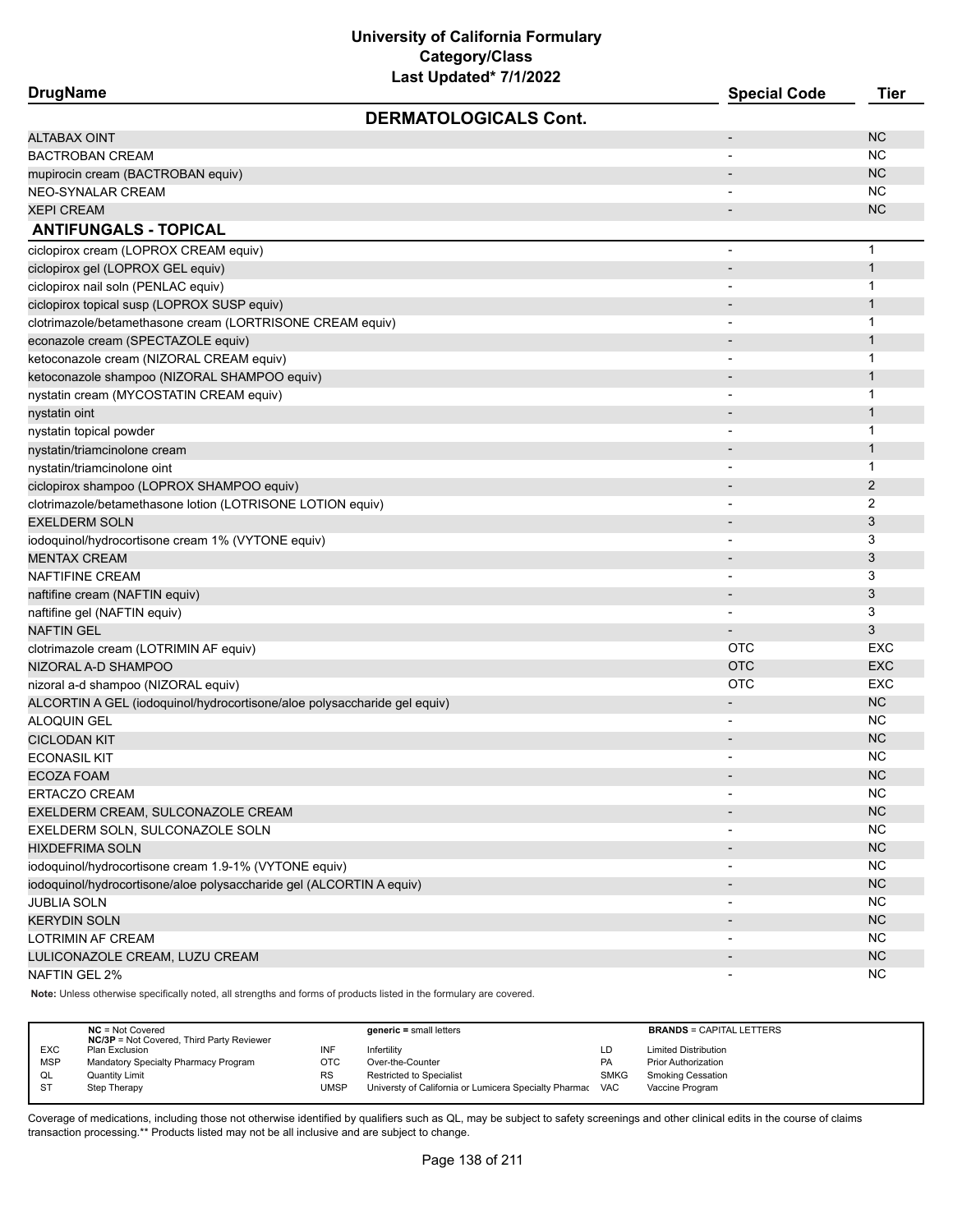| <b>DrugName</b>                                                          | <b>Special Code</b>      | Tier         |
|--------------------------------------------------------------------------|--------------------------|--------------|
| <b>DERMATOLOGICALS Cont.</b>                                             |                          |              |
| <b>ALTABAX OINT</b>                                                      | $\overline{\phantom{a}}$ | <b>NC</b>    |
| <b>BACTROBAN CREAM</b>                                                   | -                        | NC.          |
| mupirocin cream (BACTROBAN equiv)                                        | $\overline{\phantom{a}}$ | <b>NC</b>    |
| <b>NEO-SYNALAR CREAM</b>                                                 |                          | <b>NC</b>    |
| <b>XEPI CREAM</b>                                                        | -                        | <b>NC</b>    |
| <b>ANTIFUNGALS - TOPICAL</b>                                             |                          |              |
| ciclopirox cream (LOPROX CREAM equiv)                                    | -                        | $\mathbf{1}$ |
| ciclopirox gel (LOPROX GEL equiv)                                        | $\overline{\phantom{a}}$ | $\mathbf{1}$ |
| ciclopirox nail soln (PENLAC equiv)                                      | $\overline{\phantom{a}}$ | $\mathbf{1}$ |
| ciclopirox topical susp (LOPROX SUSP equiv)                              | $\overline{\phantom{a}}$ | $\mathbf{1}$ |
| clotrimazole/betamethasone cream (LORTRISONE CREAM equiv)                | $\overline{\phantom{a}}$ | $\mathbf{1}$ |
| econazole cream (SPECTAZOLE equiv)                                       |                          | $\mathbf{1}$ |
| ketoconazole cream (NIZORAL CREAM equiv)                                 |                          | $\mathbf 1$  |
| ketoconazole shampoo (NIZORAL SHAMPOO equiv)                             |                          | $\mathbf{1}$ |
| nystatin cream (MYCOSTATIN CREAM equiv)                                  |                          | $\mathbf{1}$ |
| nystatin oint                                                            |                          | $\mathbf{1}$ |
| nystatin topical powder                                                  | $\blacksquare$           | $\mathbf{1}$ |
| nystatin/triamcinolone cream                                             | $\overline{\phantom{a}}$ | $\mathbf{1}$ |
| nystatin/triamcinolone oint                                              | $\overline{\phantom{a}}$ | $\mathbf{1}$ |
| ciclopirox shampoo (LOPROX SHAMPOO equiv)                                | -                        | 2            |
| clotrimazole/betamethasone lotion (LOTRISONE LOTION equiv)               | $\blacksquare$           | 2            |
| <b>EXELDERM SOLN</b>                                                     |                          | 3            |
| iodoquinol/hydrocortisone cream 1% (VYTONE equiv)                        |                          | 3            |
| <b>MENTAX CREAM</b>                                                      |                          | 3            |
| <b>NAFTIFINE CREAM</b>                                                   | -                        | 3            |
| naftifine cream (NAFTIN equiv)                                           | $\overline{\phantom{a}}$ | 3            |
| naftifine gel (NAFTIN equiv)                                             | $\overline{\phantom{a}}$ | 3            |
| <b>NAFTIN GEL</b>                                                        |                          | 3            |
| clotrimazole cream (LOTRIMIN AF equiv)                                   | <b>OTC</b>               | EXC          |
| NIZORAL A-D SHAMPOO                                                      | <b>OTC</b>               | <b>EXC</b>   |
| nizoral a-d shampoo (NIZORAL equiv)                                      | <b>OTC</b>               | <b>EXC</b>   |
| ALCORTIN A GEL (iodoquinol/hydrocortisone/aloe polysaccharide gel equiv) |                          | <b>NC</b>    |
| ALOQUIN GEL                                                              | $\blacksquare$           | NC.          |
| <b>CICLODAN KIT</b>                                                      |                          | <b>NC</b>    |
| <b>ECONASIL KIT</b>                                                      | $\blacksquare$           | <b>NC</b>    |
| <b>ECOZA FOAM</b>                                                        |                          | <b>NC</b>    |
| <b>ERTACZO CREAM</b>                                                     |                          | <b>NC</b>    |
| EXELDERM CREAM, SULCONAZOLE CREAM                                        |                          | NC           |
| EXELDERM SOLN, SULCONAZOLE SOLN                                          | -                        | <b>NC</b>    |
| <b>HIXDEFRIMA SOLN</b>                                                   |                          | NC           |
| iodoquinol/hydrocortisone cream 1.9-1% (VYTONE equiv)                    |                          | <b>NC</b>    |
| iodoquinol/hydrocortisone/aloe polysaccharide gel (ALCORTIN A equiv)     |                          | NC           |
| <b>JUBLIA SOLN</b>                                                       | $\overline{\phantom{a}}$ | <b>NC</b>    |
| <b>KERYDIN SOLN</b>                                                      | -                        | NC           |
| LOTRIMIN AF CREAM                                                        | $\overline{\phantom{a}}$ | <b>NC</b>    |
| LULICONAZOLE CREAM, LUZU CREAM                                           |                          | NC           |
| <b>NAFTIN GEL 2%</b>                                                     | $\overline{\phantom{a}}$ | <b>NC</b>    |
|                                                                          |                          |              |

**Note:** Unless otherwise specifically noted, all strengths and forms of products listed in the formulary are covered.

|            | $NC = Not Covered$<br><b>NC/3P</b> = Not Covered, Third Party Reviewer |             | $generic = small letters$                             |             | <b>BRANDS = CAPITAL LETTERS</b> |
|------------|------------------------------------------------------------------------|-------------|-------------------------------------------------------|-------------|---------------------------------|
| <b>EXC</b> | Plan Exclusion                                                         |             | Infertility                                           | LD          | <b>Limited Distribution</b>     |
| <b>MSP</b> | Mandatory Specialty Pharmacy Program                                   | отс         | Over-the-Counter                                      | PA          | <b>Prior Authorization</b>      |
| QL         | <b>Quantity Limit</b>                                                  | <b>RS</b>   | <b>Restricted to Specialist</b>                       | <b>SMKG</b> | <b>Smoking Cessation</b>        |
| <b>ST</b>  | Step Therapy                                                           | <b>UMSP</b> | Universty of California or Lumicera Specialty Pharmac | VAC         | Vaccine Program                 |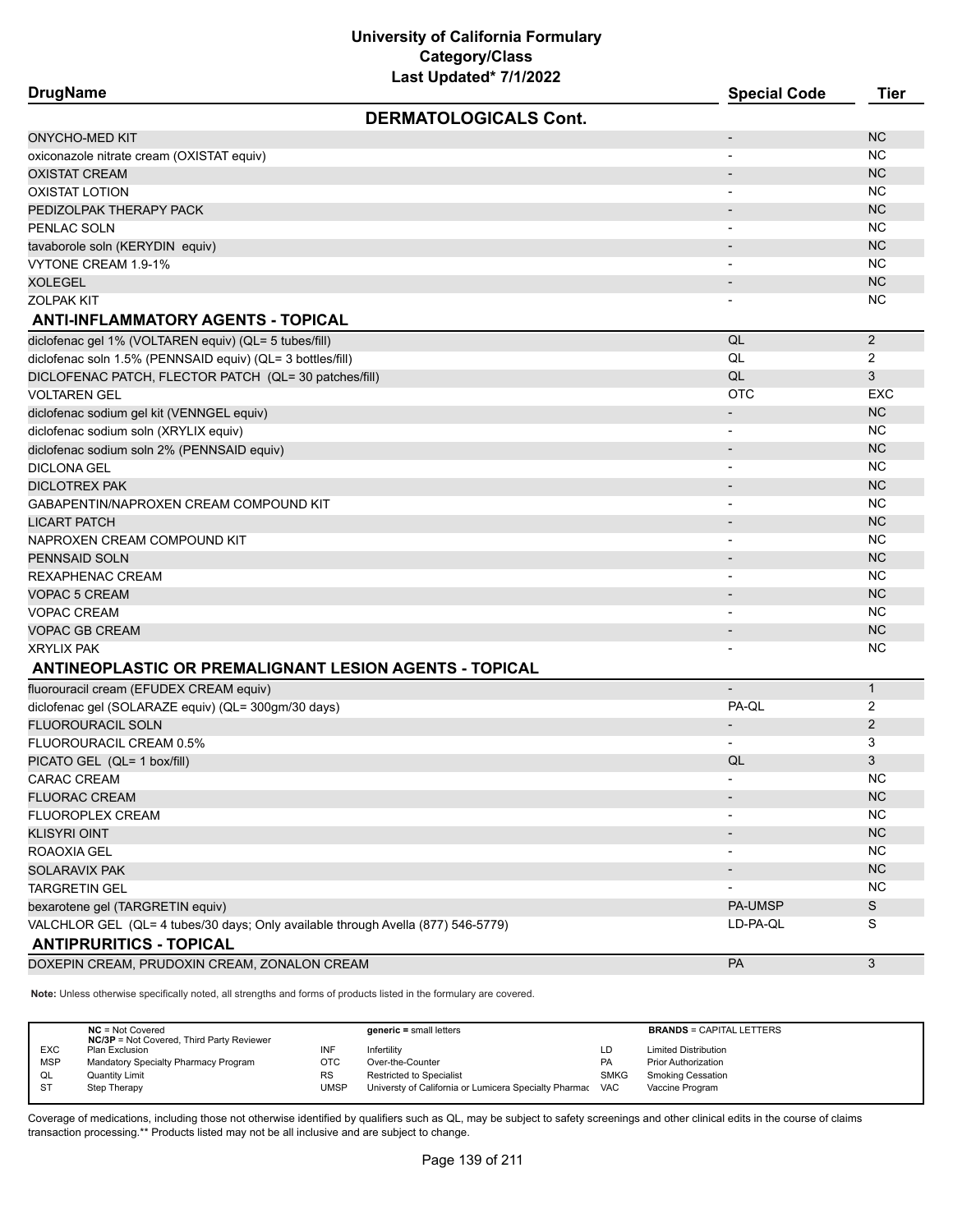**DrugName Special Code Tier DERMATOLOGICALS Cont.** ONYCHO-MED KIT AND THE STATE OF THE STATE OF THE STATE OF THE STATE OF THE STATE OF THE STATE OF THE STATE OF T oxiconazole nitrate cream (OXISTAT equiv) and the creative control of the creative creative creative creative creative creative creative creative creative creative creative creative creative creative creative creative crea OXISTAT CREAM AND THE RELEASE OF THE RELEASE OF THE RELEASE OF THE RELEASE OF THE RELEASE OF THE RELEASE OF THE RELEASE OF THE RELEASE OF THE RELEASE OF THE RELEASE OF THE RELEASE OF THE RELEASE OF THE RELEASE OF THE RELEA OXISTAT LOTION - NC PEDIZOLPAK THERAPY PACK AND A MOTOR CONTROL CONTROL CONTROL CONTROL CONTROL CONTROL CONTROL CONTROL CONTROL CO PENLAC SOLN - NC tavaborole soln (KERYDIN equiv) - NC VYTONE CREAM 1.9-1% - NC NOTES AND RELEASED FOR THE RELEASED FOR THE RELEASED FOR THE RELEASED FOR THE RELEASED FOR THE RELEASED FOR THE RELEASED FOR THE RELEASED FOR THE RELEASED FOR THE RELEASED FOR THE RELEASED FOR THE  $\blacksquare$ XOLEGEL - NC  $\blacksquare$ ZOLPAK KIT AND A SERIES AND A SERIES AND A SERIES AND A SERIES AND A SERIES AND A SERIES AND A SERIES AND A SE **ANTI-INFLAMMATORY AGENTS - TOPICAL** diclofenac gel 1% (VOLTAREN equiv) (QL= 5 tubes/fill)  $\sim$  2 diclofenac soln 1.5% (PENNSAID equiv) (QL= 3 bottles/fill)  $\qquad \qquad$  QL 2 DICLOFENAC PATCH, FLECTOR PATCH (QL= 30 patches/fill) 33 VOLTAREN GEL OTC EXC diclofenac sodium gel kit (VENNGEL equiv) - NC NOVEMBER 1999 - NC NOVEMBER 1999 - NC NC NOVEMBER 1999 - NC NC diclofenac sodium soln (XRYLIX equiv) and the control of the control of the control of the control of the control of the control of the control of the control of the control of the control of the control of the control of diclofenac sodium soln 2% (PENNSAID equiv) - NC NC NO NOVEMBER 2014 1999 - NC NC NOVEMBER 2014 1999 - NC NC NC DICLONA GEL - NC DICLOTREX PAK - NC GABAPENTIN/NAPROXEN CREAM COMPOUND KIT AND A COMPOUND THE CONSTRUCTION OF THE CONSTRUCTION OF THE COMPOUND COMPOUND THE COMPOUND OF THE COMPOUND OF THE COMPOUND OF THE COMPOUND OF THE CONFIDENTIAL COMPOUND OF THE COMPOUND LICART PATCH - NO ONE OF THE RESERVED OF THE RESERVED OF THE RESERVED OF THE RESERVED OF THE RESERVED OF THE R NAPROXEN CREAM COMPOUND KIT A REAL PROPERTY OF THE REAL PROPERTY AND THE REAL PROPERTY OF THE REAL PROPERTY OF THE REAL PROPERTY OF THE REAL PROPERTY OF THE REAL PROPERTY OF THE REAL PROPERTY OF THE REAL PROPERTY OF THE RE PENNSAID SOLN AND RESERVED ON A SERVED ON A SERVED ON A SERVED ON A SERVED ON A SERVED ON A SERVED ON A SERVED REXAPHENAC CREAM AND RESOLUTION CONTINUES. THE SERVICE OF THE SERVICE OF THE SERVICE OF THE SERVICE OF THE SERVICE OF THE SERVICE OF THE SERVICE OF THE SERVICE OF THE SERVICE OF THE SERVICE OF THE SERVICE OF THE SERVICE OF VOPAC 5 CREAM - NC NORTH AND THE RELEASED OF THE RELEASED OF THE RELEASED OF THE RELEASED OF THE RELEASED OF T VOPAC CREAM - NC VOPAC GB CREAM AND THE RELEASE OF THE RELEASE OF THE RELEASE OF THE RELEASE OF THE RELEASE OF THE RELEASE OF THE RELEASE OF THE RELEASE OF THE RELEASE OF THE RELEASE OF THE RELEASE OF THE RELEASE OF THE RELEASE OF THE RELE XRYLIX PAK - NC NORTH AND THE RELEASED OF THE RELEASED OF THE RELEASED OF THE RELEASED OF THE RELEASED OF THE RELEASED OF THE RELEASED OF THE RELEASED OF THE RELEASED OF THE RELEASED OF THE RELEASED OF THE RELEASED OF THE **ANTINEOPLASTIC OR PREMALIGNANT LESION AGENTS - TOPICAL** fluorouracil cream (EFUDEX CREAM equiv) - 1 diclofenac gel (SOLARAZE equiv) (QL= 300gm/30 days) PA-QL 2 FLUOROURACIL SOLN 2000 CONTROL CONTROL CONTROL CONTROL CONTROL CONTROL CONTROL CONTROL CONTROL CONTROL CONTROL CONTROL CONTROL CONTROL CONTROL CONTROL CONTROL CONTROL CONTROL CONTROL CONTROL CONTROL CONTROL CONTROL CONTROL FLUOROURACIL CREAM 0.5% - 3 PICATO GEL (QL= 1 box/fill) QL 3  $C$ ARAC CREAM  $\sim$ FLUORAC CREAM AND THE RESERVE ENTIRE RESERVE THE RESERVE ENTIRE RESERVE THE RESERVE ENTIRE RESERVE THE RESERVE FLUOROPLEX CREAM AND THE REAL PROPERTY OF THE REAL PROPERTY OF THE REAL PROPERTY OF THE REAL PROPERTY OF THE REAL PROPERTY OF THE REAL PROPERTY OF THE REAL PROPERTY OF THE REAL PROPERTY OF THE REAL PROPERTY OF THE REAL PRO KLISYRI OINT AND ANN AN DEALER AN DEALER ANN AN DEALER AN DEALER ANN AN DEALER ANN AN DEALER AN DEALER ANN AN ROAOXIA GEL - NC SOLARAVIX PAK - NC TARGRETIN GEL - NC bexarotene gel (TARGRETIN equiv) PA-UMSP S VALCHLOR GEL (QL= 4 tubes/30 days; Only available through Avella (877) 546-5779) LO-PA-QL LD-PA-QL S **ANTIPRURITICS - TOPICAL** DOXEPIN CREAM, PRUDOXIN CREAM, ZONALON CREAM PA 3

**Note:** Unless otherwise specifically noted, all strengths and forms of products listed in the formulary are covered.

|            | $NC = Not Covered$<br><b>NC/3P</b> = Not Covered, Third Party Reviewer |           | $generic = small letters$                             |             | <b>BRANDS = CAPITAL LETTERS</b> |
|------------|------------------------------------------------------------------------|-----------|-------------------------------------------------------|-------------|---------------------------------|
| <b>EXC</b> | Plan Exclusion                                                         | INF       | Infertility                                           | LD          | <b>Limited Distribution</b>     |
| <b>MSP</b> | Mandatory Specialty Pharmacy Program                                   | отс       | Over-the-Counter                                      | PA          | <b>Prior Authorization</b>      |
| QL         | <b>Quantity Limit</b>                                                  | <b>RS</b> | <b>Restricted to Specialist</b>                       | <b>SMKG</b> | <b>Smoking Cessation</b>        |
| <b>ST</b>  | Step Therapy                                                           | UMSP      | Universty of California or Lumicera Specialty Pharmac | <b>VAC</b>  | Vaccine Program                 |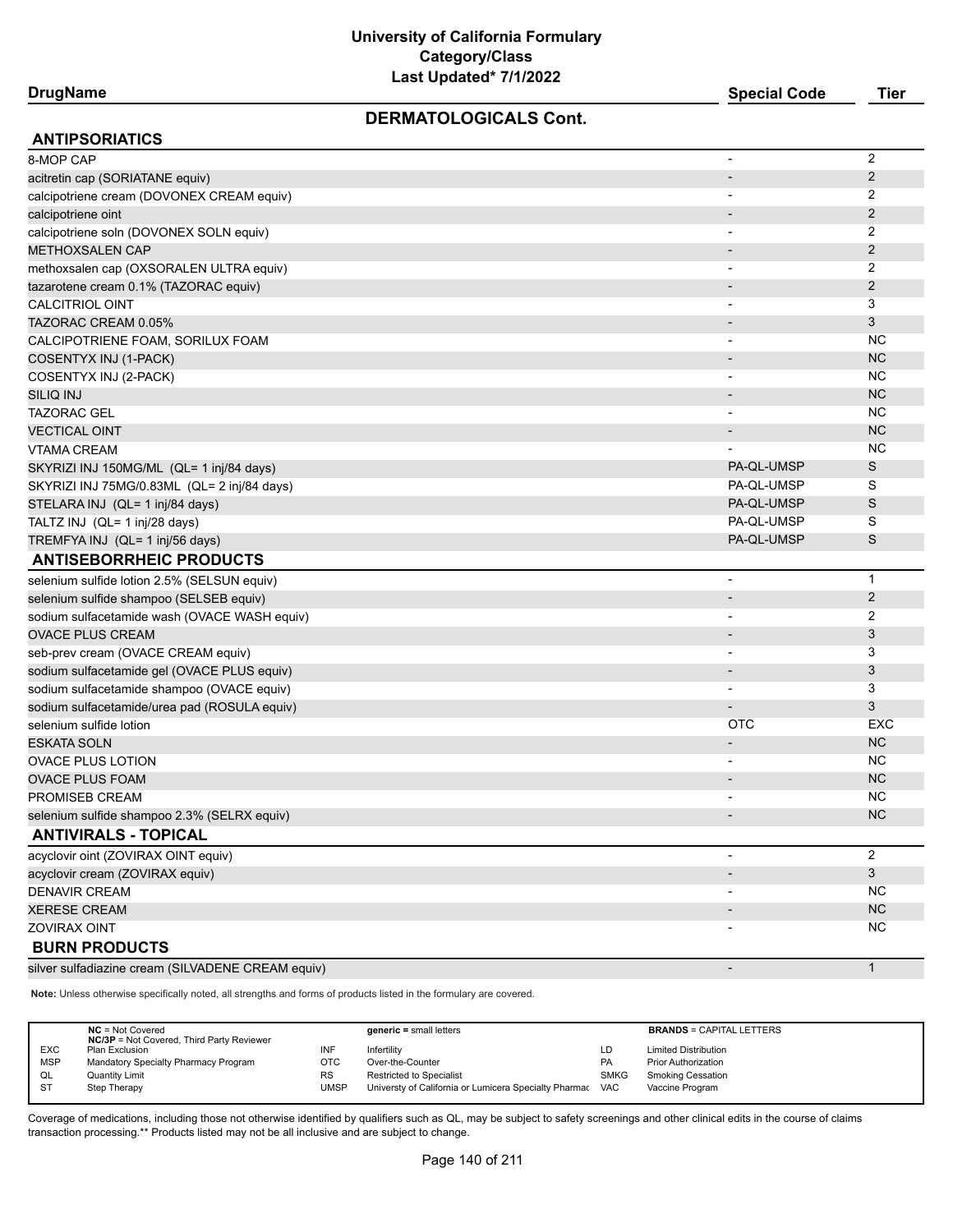# **DrugName Special Code Tier**

# **DERMATOLOGICALS Cont.**

| <b>ANTIPSORIATICS</b>                             |                              |                |
|---------------------------------------------------|------------------------------|----------------|
| 8-MOP CAP                                         | $\overline{a}$               | $\overline{2}$ |
| acitretin cap (SORIATANE equiv)                   | $\overline{\phantom{a}}$     | 2              |
| calcipotriene cream (DOVONEX CREAM equiv)         | $\overline{\phantom{0}}$     | 2              |
| calcipotriene oint                                |                              | $\overline{2}$ |
| calcipotriene soln (DOVONEX SOLN equiv)           |                              | 2              |
| <b>METHOXSALEN CAP</b>                            | $\overline{\phantom{a}}$     | $\overline{2}$ |
| methoxsalen cap (OXSORALEN ULTRA equiv)           | $\overline{\phantom{0}}$     | $\overline{2}$ |
| tazarotene cream 0.1% (TAZORAC equiv)             | $\overline{\phantom{a}}$     | $\overline{2}$ |
| <b>CALCITRIOL OINT</b>                            | $\overline{\phantom{a}}$     | 3              |
| TAZORAC CREAM 0.05%                               |                              | 3              |
| CALCIPOTRIENE FOAM, SORILUX FOAM                  | $\overline{\phantom{a}}$     | <b>NC</b>      |
| COSENTYX INJ (1-PACK)                             | $\overline{\phantom{a}}$     | <b>NC</b>      |
| COSENTYX INJ (2-PACK)                             |                              | <b>NC</b>      |
| <b>SILIQ INJ</b>                                  |                              | <b>NC</b>      |
| <b>TAZORAC GEL</b>                                | $\overline{a}$               | <b>NC</b>      |
| <b>VECTICAL OINT</b>                              | $\overline{\phantom{a}}$     | <b>NC</b>      |
| <b>VTAMA CREAM</b>                                |                              | <b>NC</b>      |
| SKYRIZI INJ 150MG/ML (QL= 1 inj/84 days)          | PA-QL-UMSP                   | S              |
| SKYRIZI INJ 75MG/0.83ML (QL= 2 inj/84 days)       | PA-QL-UMSP                   | S              |
| STELARA INJ (QL= 1 inj/84 days)                   | PA-QL-UMSP                   | S              |
| TALTZ INJ (QL= 1 inj/28 days)                     | PA-QL-UMSP                   | S              |
| TREMFYA INJ (QL= 1 inj/56 days)                   | PA-QL-UMSP                   | S              |
| <b>ANTISEBORRHEIC PRODUCTS</b>                    |                              |                |
| selenium sulfide lotion 2.5% (SELSUN equiv)       | $\overline{a}$               | $\mathbf 1$    |
| selenium sulfide shampoo (SELSEB equiv)           | $\qquad \qquad \blacksquare$ | $\overline{2}$ |
| sodium sulfacetamide wash (OVACE WASH equiv)      | -                            | $\overline{2}$ |
| <b>OVACE PLUS CREAM</b>                           | $\overline{\phantom{a}}$     | $\mathfrak{Z}$ |
| seb-prev cream (OVACE CREAM equiv)                | $\overline{a}$               | 3              |
| sodium sulfacetamide gel (OVACE PLUS equiv)       | $\overline{\phantom{m}}$     | 3              |
| sodium sulfacetamide shampoo (OVACE equiv)        | $\qquad \qquad \blacksquare$ | 3              |
| sodium sulfacetamide/urea pad (ROSULA equiv)      |                              | $\sqrt{3}$     |
| selenium sulfide lotion                           | OTC                          | EXC            |
| <b>ESKATA SOLN</b>                                | $\overline{\phantom{m}}$     | <b>NC</b>      |
| <b>OVACE PLUS LOTION</b>                          | $\overline{\phantom{a}}$     | <b>NC</b>      |
| <b>OVACE PLUS FOAM</b>                            | $\overline{\phantom{a}}$     | <b>NC</b>      |
| PROMISEB CREAM                                    |                              | <b>NC</b>      |
| selenium sulfide shampoo 2.3% (SELRX equiv)       |                              | <b>NC</b>      |
| <b>ANTIVIRALS - TOPICAL</b>                       |                              |                |
| acyclovir oint (ZOVIRAX OINT equiv)               | $\blacksquare$               | $\overline{2}$ |
| acyclovir cream (ZOVIRAX equiv)                   | $\overline{\phantom{m}}$     | $\mathfrak{S}$ |
| <b>DENAVIR CREAM</b>                              |                              | NC             |
| <b>XERESE CREAM</b>                               |                              | NC             |
| <b>ZOVIRAX OINT</b>                               |                              | <b>NC</b>      |
| <b>BURN PRODUCTS</b>                              |                              |                |
| silver sulfadiazine cream (SILVADENE CREAM equiv) |                              | $\mathbf{1}$   |

**Note:** Unless otherwise specifically noted, all strengths and forms of products listed in the formulary are covered.

|            | $NC = Not Covered$<br><b>NC/3P</b> = Not Covered, Third Party Reviewer |           | $generic = small letters$                             |             | <b>BRANDS = CAPITAL LETTERS</b> |
|------------|------------------------------------------------------------------------|-----------|-------------------------------------------------------|-------------|---------------------------------|
| <b>EXC</b> | Plan Exclusion                                                         | INF       | Infertility                                           | LD          | <b>Limited Distribution</b>     |
| <b>MSP</b> | Mandatory Specialty Pharmacy Program                                   | отс       | Over-the-Counter                                      | PA          | <b>Prior Authorization</b>      |
| QL         | <b>Quantity Limit</b>                                                  | <b>RS</b> | Restricted to Specialist                              | <b>SMKG</b> | <b>Smoking Cessation</b>        |
| <b>ST</b>  | Step Therapy                                                           | UMSP      | Universty of California or Lumicera Specialty Pharmac | <b>VAC</b>  | Vaccine Program                 |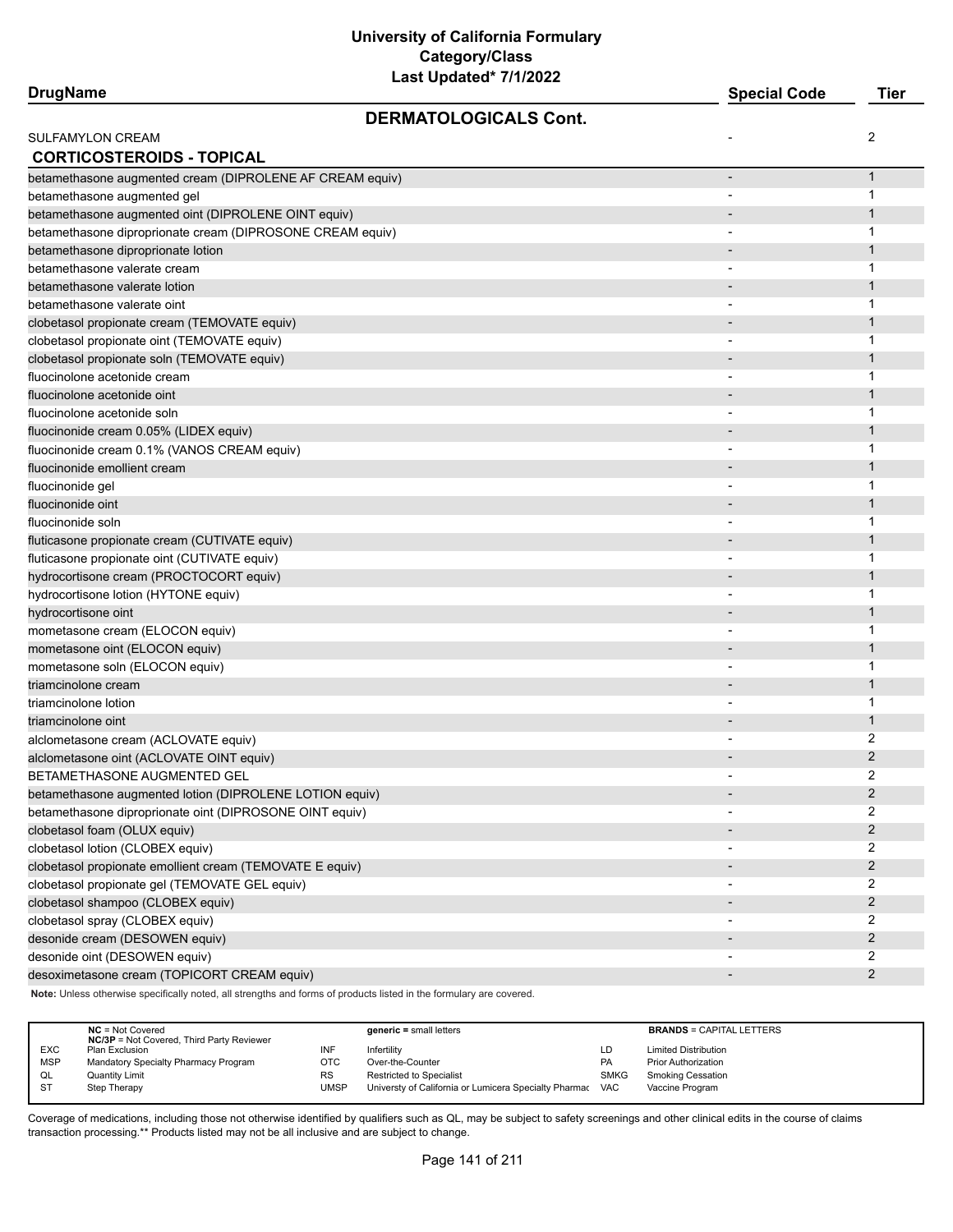| <b>DrugName</b>                                           |                              | <b>Special Code</b>      | <b>Tier</b>    |
|-----------------------------------------------------------|------------------------------|--------------------------|----------------|
|                                                           | <b>DERMATOLOGICALS Cont.</b> |                          |                |
| <b>SULFAMYLON CREAM</b>                                   |                              |                          | 2              |
| <b>CORTICOSTEROIDS - TOPICAL</b>                          |                              |                          |                |
| betamethasone augmented cream (DIPROLENE AF CREAM equiv)  |                              | $\overline{a}$           | 1              |
| betamethasone augmented gel                               |                              |                          | 1              |
| betamethasone augmented oint (DIPROLENE OINT equiv)       |                              |                          | 1              |
| betamethasone diproprionate cream (DIPROSONE CREAM equiv) |                              |                          | 1              |
| betamethasone diproprionate lotion                        |                              |                          | 1              |
| betamethasone valerate cream                              |                              |                          | 1              |
| betamethasone valerate lotion                             |                              |                          | 1              |
| betamethasone valerate oint                               |                              |                          | 1              |
| clobetasol propionate cream (TEMOVATE equiv)              |                              |                          | 1              |
| clobetasol propionate oint (TEMOVATE equiv)               |                              |                          | 1              |
| clobetasol propionate soln (TEMOVATE equiv)               |                              |                          | 1              |
| fluocinolone acetonide cream                              |                              |                          | 1              |
| fluocinolone acetonide oint                               |                              |                          | 1              |
| fluocinolone acetonide soln                               |                              |                          | 1              |
| fluocinonide cream 0.05% (LIDEX equiv)                    |                              |                          | 1              |
| fluocinonide cream 0.1% (VANOS CREAM equiv)               |                              |                          | 1              |
| fluocinonide emollient cream                              |                              |                          | 1              |
| fluocinonide gel                                          |                              |                          | 1              |
| fluocinonide oint                                         |                              |                          | 1              |
| fluocinonide soln                                         |                              |                          | 1              |
| fluticasone propionate cream (CUTIVATE equiv)             |                              |                          | 1              |
| fluticasone propionate oint (CUTIVATE equiv)              |                              |                          | 1              |
| hydrocortisone cream (PROCTOCORT equiv)                   |                              |                          | 1              |
| hydrocortisone lotion (HYTONE equiv)                      |                              |                          | 1              |
| hydrocortisone oint                                       |                              |                          | 1              |
| mometasone cream (ELOCON equiv)                           |                              |                          | 1              |
| mometasone oint (ELOCON equiv)                            |                              |                          | 1              |
| mometasone soln (ELOCON equiv)                            |                              |                          | 1              |
| triamcinolone cream                                       |                              |                          | 1              |
| triamcinolone lotion                                      |                              | -                        | 1              |
| triamcinolone oint                                        |                              |                          | 1              |
| alclometasone cream (ACLOVATE equiv)                      |                              |                          | 2              |
| alclometasone oint (ACLOVATE OINT equiv)                  |                              |                          | 2              |
| BETAMETHASONE AUGMENTED GEL                               |                              |                          | $\overline{2}$ |
| betamethasone augmented lotion (DIPROLENE LOTION equiv)   |                              | $\overline{\phantom{a}}$ | $\overline{2}$ |
| betamethasone diproprionate oint (DIPROSONE OINT equiv)   |                              |                          | 2              |
| clobetasol foam (OLUX equiv)                              |                              |                          | $\overline{2}$ |
| clobetasol lotion (CLOBEX equiv)                          |                              |                          | 2              |
| clobetasol propionate emollient cream (TEMOVATE E equiv)  |                              |                          | $\overline{2}$ |
| clobetasol propionate gel (TEMOVATE GEL equiv)            |                              | $\overline{\phantom{a}}$ | 2              |
| clobetasol shampoo (CLOBEX equiv)                         |                              |                          | 2              |
| clobetasol spray (CLOBEX equiv)                           |                              |                          | 2              |
| desonide cream (DESOWEN equiv)                            |                              |                          | $\overline{2}$ |
| desonide oint (DESOWEN equiv)                             |                              |                          | 2              |
| desoximetasone cream (TOPICORT CREAM equiv)               |                              |                          | $\overline{2}$ |
|                                                           |                              |                          |                |

**Note:** Unless otherwise specifically noted, all strengths and forms of products listed in the formulary are covered.

|            | $NC = Not Covered$<br><b>NC/3P</b> = Not Covered, Third Party Reviewer |           | $generic = small letters$                                 |             | <b>BRANDS = CAPITAL LETTERS</b> |
|------------|------------------------------------------------------------------------|-----------|-----------------------------------------------------------|-------------|---------------------------------|
| <b>EXC</b> | Plan Exclusion                                                         | INF       | Infertility                                               | LD          | <b>Limited Distribution</b>     |
| <b>MSP</b> | Mandatory Specialty Pharmacy Program                                   | отс       | Over-the-Counter                                          | <b>PA</b>   | <b>Prior Authorization</b>      |
| QL         | <b>Quantity Limit</b>                                                  | <b>RS</b> | Restricted to Specialist                                  | <b>SMKG</b> | Smoking Cessation               |
| <b>ST</b>  | Step Therapy                                                           | UMSP      | Universty of California or Lumicera Specialty Pharmac VAC |             | Vaccine Program                 |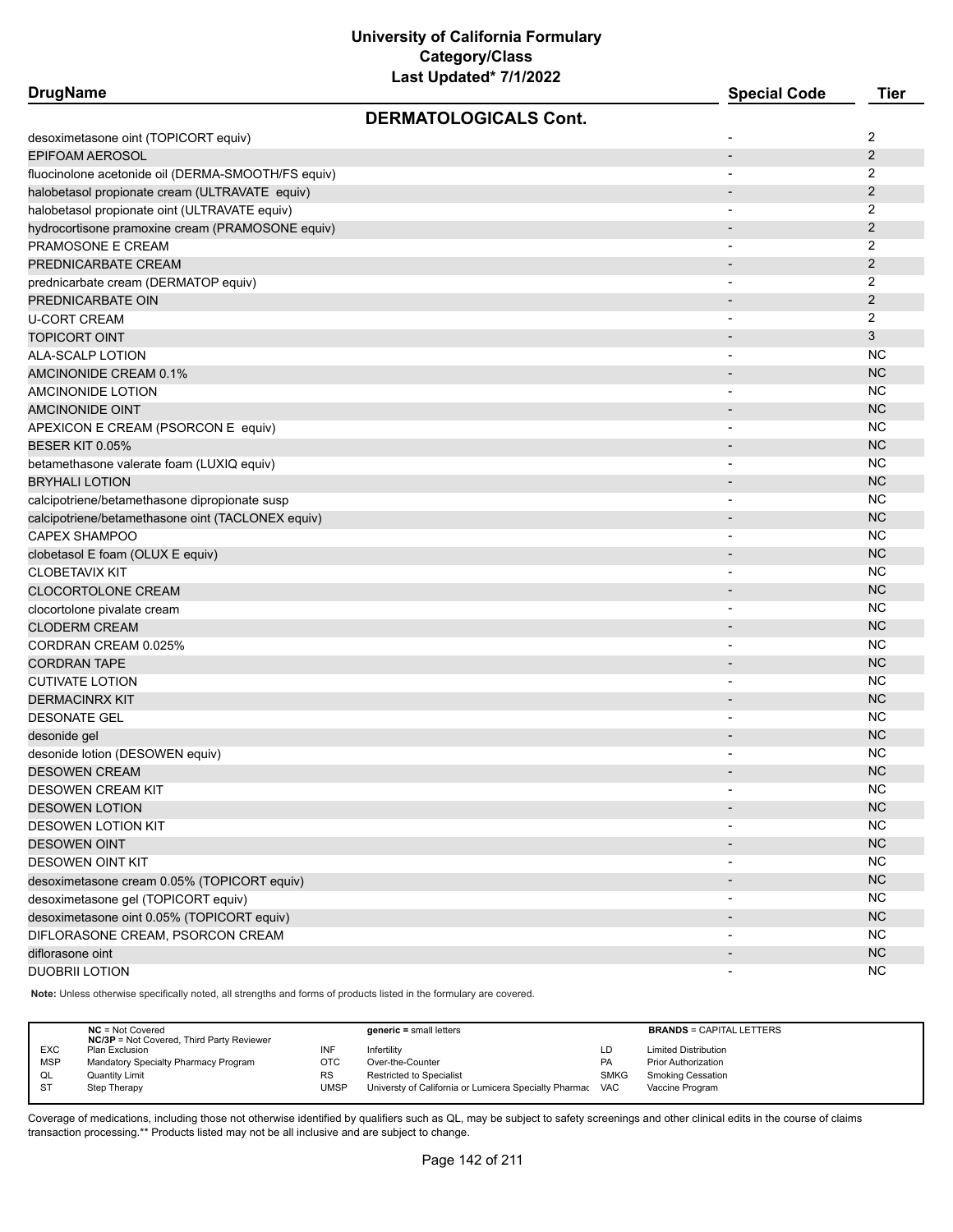| <b>DrugName</b>                                    |                              | <b>Special Code</b>      | <b>Tier</b>    |
|----------------------------------------------------|------------------------------|--------------------------|----------------|
|                                                    | <b>DERMATOLOGICALS Cont.</b> |                          |                |
| desoximetasone oint (TOPICORT equiv)               |                              |                          | 2              |
| EPIFOAM AEROSOL                                    |                              | $\overline{\phantom{a}}$ | $\overline{2}$ |
| fluocinolone acetonide oil (DERMA-SMOOTH/FS equiv) |                              |                          | 2              |
| halobetasol propionate cream (ULTRAVATE equiv)     |                              |                          | 2              |
| halobetasol propionate oint (ULTRAVATE equiv)      |                              |                          | 2              |
| hydrocortisone pramoxine cream (PRAMOSONE equiv)   |                              |                          | $\overline{2}$ |
| PRAMOSONE E CREAM                                  |                              | $\blacksquare$           | 2              |
| PREDNICARBATE CREAM                                |                              |                          | 2              |
| prednicarbate cream (DERMATOP equiv)               |                              |                          | 2              |
| PREDNICARBATE OIN                                  |                              |                          | $\overline{2}$ |
| U-CORT CREAM                                       |                              |                          | $\overline{2}$ |
| <b>TOPICORT OINT</b>                               |                              |                          | 3              |
| ALA-SCALP LOTION                                   |                              |                          | <b>NC</b>      |
|                                                    |                              |                          | <b>NC</b>      |
| AMCINONIDE CREAM 0.1%                              |                              |                          | <b>NC</b>      |
| AMCINONIDE LOTION                                  |                              | $\overline{\phantom{a}}$ |                |
| <b>AMCINONIDE OINT</b>                             |                              |                          | <b>NC</b>      |
| APEXICON E CREAM (PSORCON E equiv)                 |                              |                          | <b>NC</b>      |
| <b>BESER KIT 0.05%</b>                             |                              | $\overline{\phantom{a}}$ | <b>NC</b>      |
| betamethasone valerate foam (LUXIQ equiv)          |                              |                          | <b>NC</b>      |
| <b>BRYHALI LOTION</b>                              |                              |                          | <b>NC</b>      |
| calcipotriene/betamethasone dipropionate susp      |                              |                          | <b>NC</b>      |
| calcipotriene/betamethasone oint (TACLONEX equiv)  |                              |                          | <b>NC</b>      |
| <b>CAPEX SHAMPOO</b>                               |                              | $\overline{\phantom{a}}$ | <b>NC</b>      |
| clobetasol E foam (OLUX E equiv)                   |                              |                          | <b>NC</b>      |
| <b>CLOBETAVIX KIT</b>                              |                              |                          | <b>NC</b>      |
| CLOCORTOLONE CREAM                                 |                              |                          | <b>NC</b>      |
| clocortolone pivalate cream                        |                              |                          | <b>NC</b>      |
| <b>CLODERM CREAM</b>                               |                              |                          | <b>NC</b>      |
| CORDRAN CREAM 0.025%                               |                              |                          | <b>NC</b>      |
| <b>CORDRAN TAPE</b>                                |                              |                          | <b>NC</b>      |
| <b>CUTIVATE LOTION</b>                             |                              | $\overline{\phantom{0}}$ | <b>NC</b>      |
| <b>DERMACINRX KIT</b>                              |                              |                          | <b>NC</b>      |
| <b>DESONATE GEL</b>                                |                              | $\overline{\phantom{a}}$ | <b>NC</b>      |
| desonide gel                                       |                              |                          | <b>NC</b>      |
| desonide lotion (DESOWEN equiv)                    |                              |                          | NC.            |
| <b>DESOWEN CREAM</b>                               |                              |                          | <b>NC</b>      |
| DESOWEN CREAM KIT                                  |                              |                          | <b>NC</b>      |
| <b>DESOWEN LOTION</b>                              |                              |                          | NC             |
| <b>DESOWEN LOTION KIT</b>                          |                              | $\blacksquare$           | <b>NC</b>      |
| <b>DESOWEN OINT</b>                                |                              | $\overline{\phantom{a}}$ | NC             |
| <b>DESOWEN OINT KIT</b>                            |                              | $\overline{\phantom{a}}$ | <b>NC</b>      |
| desoximetasone cream 0.05% (TOPICORT equiv)        |                              |                          | <b>NC</b>      |
| desoximetasone gel (TOPICORT equiv)                |                              | $\overline{\phantom{a}}$ | NC             |
| desoximetasone oint 0.05% (TOPICORT equiv)         |                              |                          | NC             |
| DIFLORASONE CREAM, PSORCON CREAM                   |                              | $\overline{\phantom{a}}$ | <b>NC</b>      |
| diflorasone oint                                   |                              |                          | NC             |
| DUOBRII LOTION                                     |                              |                          | <b>NC</b>      |
|                                                    |                              |                          |                |

**Note:** Unless otherwise specifically noted, all strengths and forms of products listed in the formulary are covered.

|            | $NC = Not Covered$<br><b>NC/3P</b> = Not Covered, Third Party Reviewer |           | $generic = small letters$                             |             | <b>BRANDS = CAPITAL LETTERS</b> |
|------------|------------------------------------------------------------------------|-----------|-------------------------------------------------------|-------------|---------------------------------|
| <b>EXC</b> | Plan Exclusion                                                         | INF       | Infertility                                           | LD          | <b>Limited Distribution</b>     |
| <b>MSP</b> | Mandatory Specialty Pharmacy Program                                   | отс       | Over-the-Counter                                      | PA          | <b>Prior Authorization</b>      |
| QL         | <b>Quantity Limit</b>                                                  | <b>RS</b> | <b>Restricted to Specialist</b>                       | <b>SMKG</b> | <b>Smoking Cessation</b>        |
| <b>ST</b>  | Step Therapy                                                           | UMSP      | Universty of California or Lumicera Specialty Pharmac | <b>VAC</b>  | Vaccine Program                 |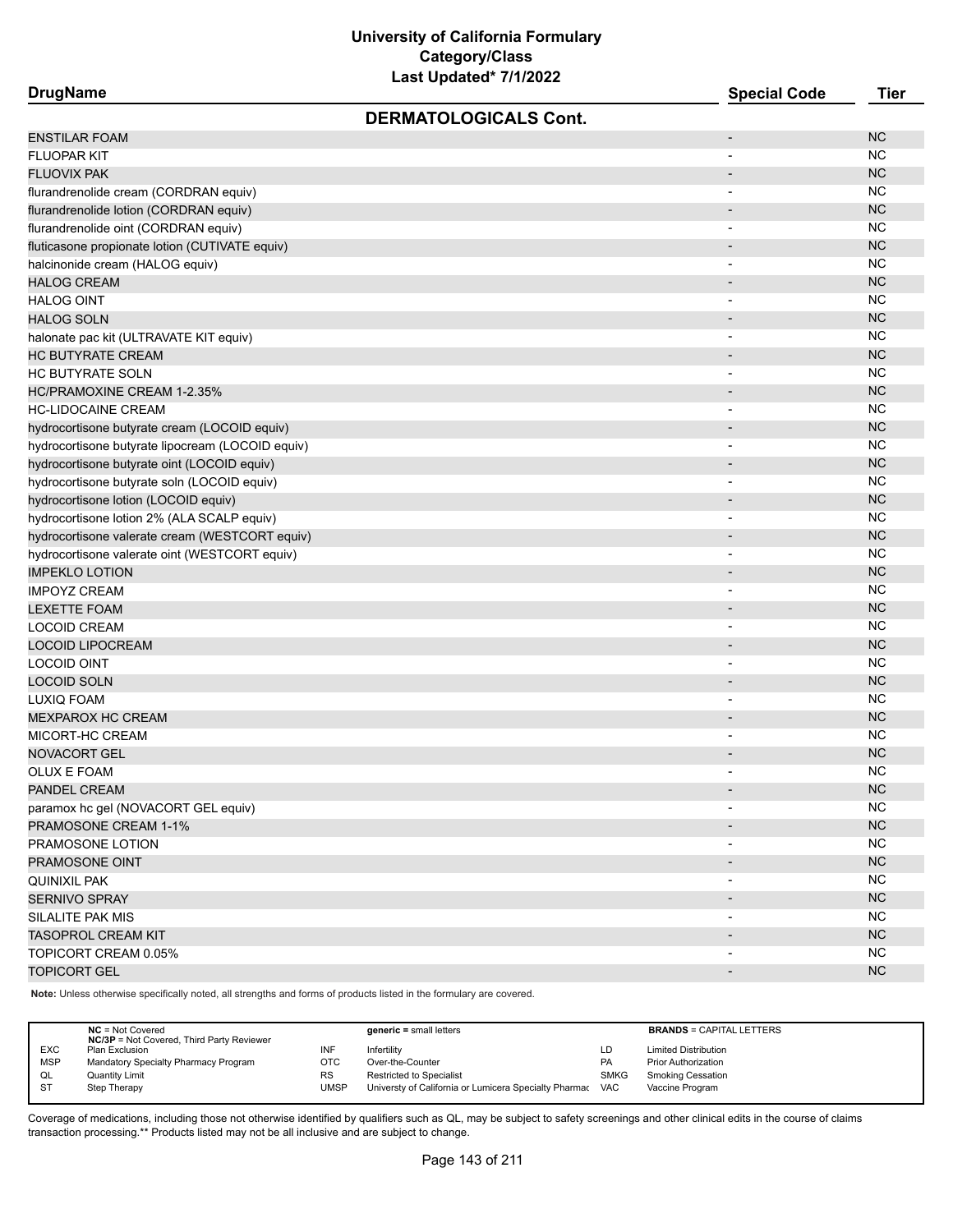| <b>DrugName</b>                                  | <b>Special Code</b>      | <b>Tier</b> |
|--------------------------------------------------|--------------------------|-------------|
| <b>DERMATOLOGICALS Cont.</b>                     |                          |             |
| <b>ENSTILAR FOAM</b>                             | $\overline{\phantom{a}}$ | <b>NC</b>   |
| <b>FLUOPAR KIT</b>                               |                          | <b>NC</b>   |
| <b>FLUOVIX PAK</b>                               | $\overline{\phantom{0}}$ | <b>NC</b>   |
| flurandrenolide cream (CORDRAN equiv)            |                          | <b>NC</b>   |
| flurandrenolide lotion (CORDRAN equiv)           | $\overline{\phantom{0}}$ | <b>NC</b>   |
| flurandrenolide oint (CORDRAN equiv)             | $\overline{\phantom{a}}$ | <b>NC</b>   |
| fluticasone propionate lotion (CUTIVATE equiv)   |                          | <b>NC</b>   |
| halcinonide cream (HALOG equiv)                  |                          | <b>NC</b>   |
| <b>HALOG CREAM</b>                               | $\overline{a}$           | <b>NC</b>   |
| <b>HALOG OINT</b>                                | $\overline{\phantom{a}}$ | <b>NC</b>   |
| <b>HALOG SOLN</b>                                | $\overline{\phantom{0}}$ | <b>NC</b>   |
| halonate pac kit (ULTRAVATE KIT equiv)           |                          | <b>NC</b>   |
| <b>HC BUTYRATE CREAM</b>                         | -                        | <b>NC</b>   |
| <b>HC BUTYRATE SOLN</b>                          | $\blacksquare$           | <b>NC</b>   |
| HC/PRAMOXINE CREAM 1-2.35%                       | $\overline{\phantom{0}}$ | <b>NC</b>   |
| <b>HC-LIDOCAINE CREAM</b>                        |                          | <b>NC</b>   |
| hydrocortisone butyrate cream (LOCOID equiv)     |                          | <b>NC</b>   |
| hydrocortisone butyrate lipocream (LOCOID equiv) | $\blacksquare$           | <b>NC</b>   |
| hydrocortisone butyrate oint (LOCOID equiv)      | $\overline{\phantom{a}}$ | <b>NC</b>   |
| hydrocortisone butyrate soln (LOCOID equiv)      | $\overline{\phantom{a}}$ | <b>NC</b>   |
| hydrocortisone lotion (LOCOID equiv)             | $\overline{\phantom{0}}$ | <b>NC</b>   |
| hydrocortisone lotion 2% (ALA SCALP equiv)       | $\overline{\phantom{a}}$ | <b>NC</b>   |
| hydrocortisone valerate cream (WESTCORT equiv)   | $\blacksquare$           | <b>NC</b>   |
| hydrocortisone valerate oint (WESTCORT equiv)    |                          | <b>NC</b>   |
| <b>IMPEKLO LOTION</b>                            | $\overline{\phantom{0}}$ | <b>NC</b>   |
| <b>IMPOYZ CREAM</b>                              | $\overline{\phantom{a}}$ | <b>NC</b>   |
| <b>LEXETTE FOAM</b>                              | $\blacksquare$           | <b>NC</b>   |
| <b>LOCOID CREAM</b>                              | $\overline{\phantom{a}}$ | <b>NC</b>   |
| <b>LOCOID LIPOCREAM</b>                          | $\overline{\phantom{0}}$ | <b>NC</b>   |
| <b>LOCOID OINT</b>                               | $\overline{\phantom{a}}$ | <b>NC</b>   |
| <b>LOCOID SOLN</b>                               | -                        | <b>NC</b>   |
| LUXIQ FOAM                                       | $\overline{\phantom{a}}$ | <b>NC</b>   |
| <b>MEXPAROX HC CREAM</b>                         | $\overline{a}$           | <b>NC</b>   |
| MICORT-HC CREAM                                  |                          | <b>NC</b>   |
| NOVACORT GEL                                     |                          | <b>NC</b>   |
| <b>OLUX E FOAM</b>                               | $\blacksquare$           | <b>NC</b>   |
| PANDEL CREAM                                     |                          | <b>NC</b>   |
| paramox hc gel (NOVACORT GEL equiv)              |                          | <b>NC</b>   |
| PRAMOSONE CREAM 1-1%                             |                          | NC          |
| PRAMOSONE LOTION                                 |                          | <b>NC</b>   |
| PRAMOSONE OINT                                   |                          | NC          |
| <b>QUINIXIL PAK</b>                              |                          | NC          |
| SERNIVO SPRAY                                    | $\overline{\phantom{a}}$ | <b>NC</b>   |
| SILALITE PAK MIS                                 |                          | NC          |
| <b>TASOPROL CREAM KIT</b>                        |                          | NC          |
| TOPICORT CREAM 0.05%                             |                          | <b>NC</b>   |
| <b>TOPICORT GEL</b>                              | $\overline{\phantom{a}}$ | <b>NC</b>   |
|                                                  |                          |             |

**Note:** Unless otherwise specifically noted, all strengths and forms of products listed in the formulary are covered.

|            | $NC = Not Covered$<br><b>NC/3P</b> = Not Covered, Third Party Reviewer |           | $generic = small letters$                             |             | <b>BRANDS = CAPITAL LETTERS</b> |
|------------|------------------------------------------------------------------------|-----------|-------------------------------------------------------|-------------|---------------------------------|
| <b>EXC</b> | Plan Exclusion                                                         | INF       | Infertility                                           | LD          | <b>Limited Distribution</b>     |
| <b>MSP</b> | Mandatory Specialty Pharmacy Program                                   | OTC       | Over-the-Counter                                      | PA          | <b>Prior Authorization</b>      |
| QL         | <b>Quantity Limit</b>                                                  | <b>RS</b> | <b>Restricted to Specialist</b>                       | <b>SMKG</b> | <b>Smoking Cessation</b>        |
| <b>ST</b>  | Step Therapy                                                           | UMSP      | Universty of California or Lumicera Specialty Pharmac | <b>VAC</b>  | Vaccine Program                 |
|            |                                                                        |           |                                                       |             |                                 |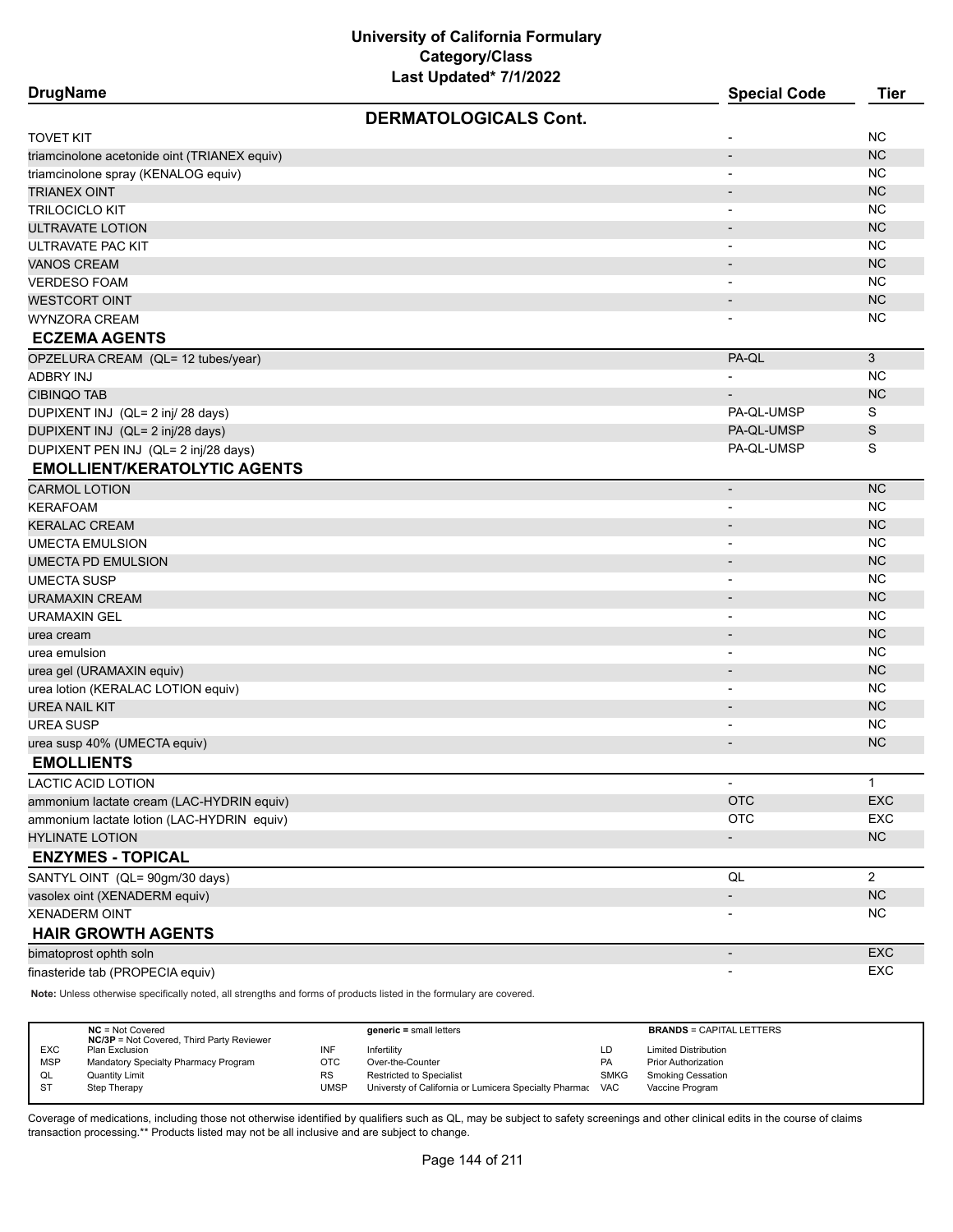| <b>DrugName</b>                              |                              | <b>Special Code</b>          | <b>Tier</b>    |
|----------------------------------------------|------------------------------|------------------------------|----------------|
|                                              | <b>DERMATOLOGICALS Cont.</b> |                              |                |
| TOVET KIT                                    |                              |                              | <b>NC</b>      |
| triamcinolone acetonide oint (TRIANEX equiv) |                              | $\overline{\phantom{a}}$     | <b>NC</b>      |
| triamcinolone spray (KENALOG equiv)          |                              | $\overline{\phantom{a}}$     | NC             |
| TRIANEX OINT                                 |                              |                              | <b>NC</b>      |
| TRILOCICLO KIT                               |                              |                              | NC             |
| ULTRAVATE LOTION                             |                              | $\overline{\phantom{a}}$     | <b>NC</b>      |
| ULTRAVATE PAC KIT                            |                              | $\blacksquare$               | NC             |
| <b>VANOS CREAM</b>                           |                              | $\overline{\phantom{a}}$     | <b>NC</b>      |
| <b>VERDESO FOAM</b>                          |                              |                              | <b>NC</b>      |
| <b>WESTCORT OINT</b>                         |                              | $\overline{\phantom{m}}$     | <b>NC</b>      |
| WYNZORA CREAM                                |                              |                              | <b>NC</b>      |
| <b>ECZEMA AGENTS</b>                         |                              |                              |                |
| OPZELURA CREAM (QL= 12 tubes/year)           |                              | PA-QL                        | 3              |
| ADBRY INJ                                    |                              |                              | NC             |
| <b>CIBINQO TAB</b>                           |                              |                              | <b>NC</b>      |
| DUPIXENT INJ (QL= 2 inj/ 28 days)            |                              | PA-QL-UMSP                   | S              |
| DUPIXENT INJ (QL= 2 inj/28 days)             |                              | PA-QL-UMSP                   | S              |
| DUPIXENT PEN INJ (QL= 2 inj/28 days)         |                              | PA-QL-UMSP                   | S              |
| <b>EMOLLIENT/KERATOLYTIC AGENTS</b>          |                              |                              |                |
| <b>CARMOL LOTION</b>                         |                              | $\qquad \qquad \blacksquare$ | <b>NC</b>      |
| KERAFOAM                                     |                              | $\overline{\phantom{a}}$     | <b>NC</b>      |
| <b>KERALAC CREAM</b>                         |                              | $\overline{\phantom{a}}$     | <b>NC</b>      |
| <b>UMECTA EMULSION</b>                       |                              |                              | <b>NC</b>      |
| UMECTA PD EMULSION                           |                              | $\overline{\phantom{a}}$     | <b>NC</b>      |
| UMECTA SUSP                                  |                              |                              | <b>NC</b>      |
| URAMAXIN CREAM                               |                              |                              | <b>NC</b>      |
| URAMAXIN GEL                                 |                              |                              | <b>NC</b>      |
| urea cream                                   |                              | $\overline{\phantom{a}}$     | <b>NC</b>      |
| urea emulsion                                |                              | $\blacksquare$               | <b>NC</b>      |
| urea gel (URAMAXIN equiv)                    |                              | $\qquad \qquad \blacksquare$ | <b>NC</b>      |
| urea lotion (KERALAC LOTION equiv)           |                              | $\overline{\phantom{a}}$     | NC             |
| <b>UREA NAIL KIT</b>                         |                              | ٠                            | <b>NC</b>      |
| UREA SUSP                                    |                              | $\blacksquare$               | NC             |
| urea susp 40% (UMECTA equiv)                 |                              | $\overline{\phantom{a}}$     | NC.            |
| <b>EMOLLIENTS</b>                            |                              |                              |                |
| LACTIC ACID LOTION                           |                              |                              | $\mathbf{1}$   |
| ammonium lactate cream (LAC-HYDRIN equiv)    |                              | <b>OTC</b>                   | EXC            |
| ammonium lactate lotion (LAC-HYDRIN equiv)   |                              | <b>OTC</b>                   | <b>EXC</b>     |
| <b>HYLINATE LOTION</b>                       |                              | $\overline{\phantom{a}}$     | NC             |
| <b>ENZYMES - TOPICAL</b>                     |                              |                              |                |
| SANTYL OINT (QL= 90gm/30 days)               |                              | QL                           | $\overline{2}$ |
| vasolex oint (XENADERM equiv)                |                              |                              | ${\sf NC}$     |
| <b>XENADERM OINT</b>                         |                              |                              | NC             |
| <b>HAIR GROWTH AGENTS</b>                    |                              |                              |                |
| bimatoprost ophth soln                       |                              | $\overline{\phantom{a}}$     | EXC            |
| finasteride tab (PROPECIA equiv)             |                              | $\overline{\phantom{a}}$     | EXC            |

**Note:** Unless otherwise specifically noted, all strengths and forms of products listed in the formulary are covered.

|            | $NC = Not Covered$<br><b>NC/3P</b> = Not Covered, Third Party Reviewer |           | $generic = small letters$                             |             | <b>BRANDS = CAPITAL LETTERS</b> |
|------------|------------------------------------------------------------------------|-----------|-------------------------------------------------------|-------------|---------------------------------|
| <b>EXC</b> | Plan Exclusion                                                         | INF       | Infertility                                           | LD          | <b>Limited Distribution</b>     |
| <b>MSP</b> | Mandatory Specialty Pharmacy Program                                   | отс       | Over-the-Counter                                      | <b>PA</b>   | <b>Prior Authorization</b>      |
| QL         | <b>Quantity Limit</b>                                                  | <b>RS</b> | Restricted to Specialist                              | <b>SMKG</b> | <b>Smoking Cessation</b>        |
| <b>ST</b>  | Step Therapy                                                           | UMSP      | Universty of California or Lumicera Specialty Pharmac | <b>VAC</b>  | Vaccine Program                 |
|            |                                                                        |           |                                                       |             |                                 |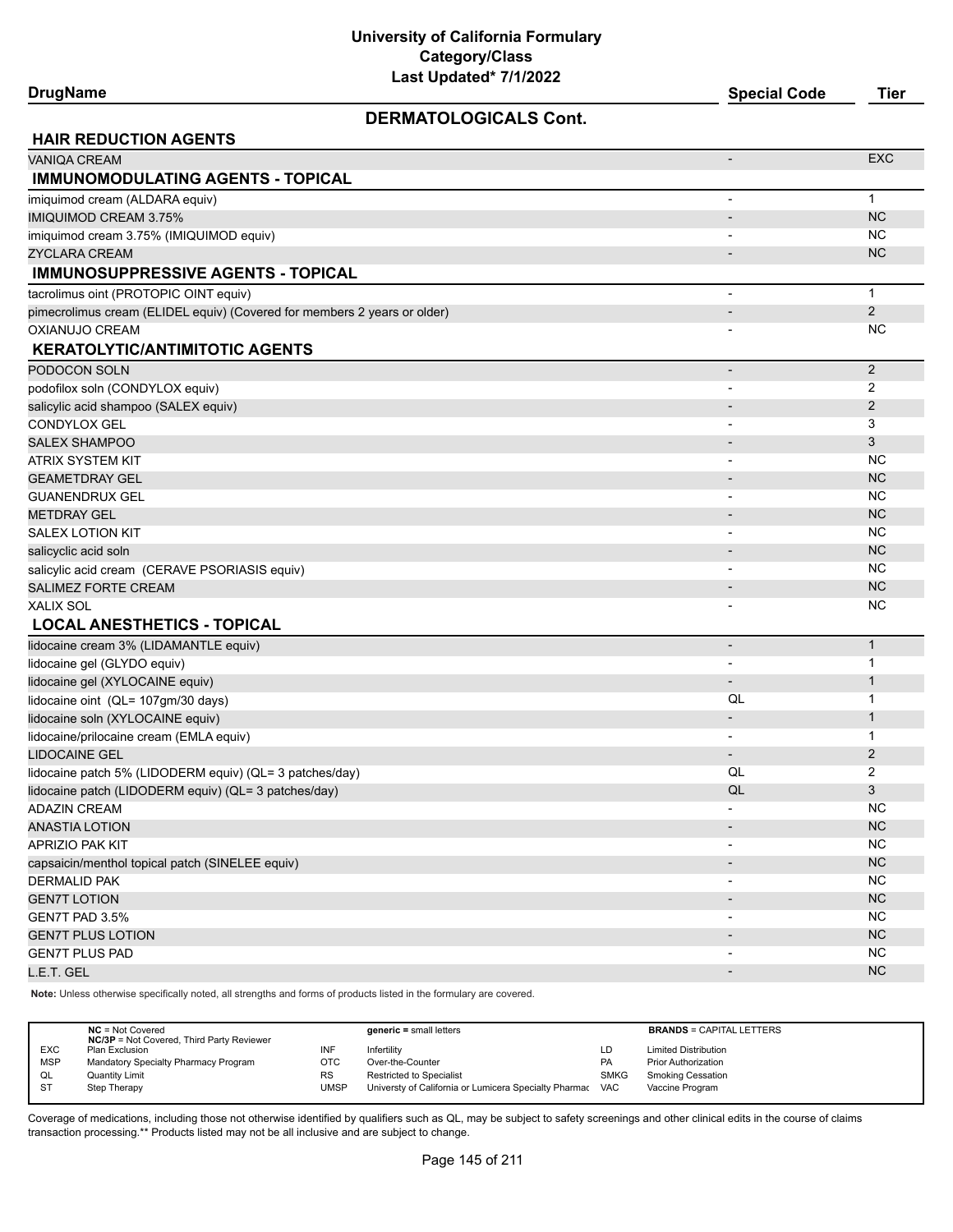#### **DERMATOLOGICALS Cont.**

**DrugName Special Code Tier**

| <b>HAIR REDUCTION AGENTS</b>                                             |                              |                |
|--------------------------------------------------------------------------|------------------------------|----------------|
| <b>VANIQA CREAM</b>                                                      |                              | <b>EXC</b>     |
| <b>IMMUNOMODULATING AGENTS - TOPICAL</b>                                 |                              |                |
| imiquimod cream (ALDARA equiv)                                           | ٠                            | $\mathbf{1}$   |
| <b>IMIQUIMOD CREAM 3.75%</b>                                             | $\overline{\phantom{a}}$     | <b>NC</b>      |
| imiquimod cream 3.75% (IMIQUIMOD equiv)                                  |                              | <b>NC</b>      |
| ZYCLARA CREAM                                                            |                              | <b>NC</b>      |
| <b>IMMUNOSUPPRESSIVE AGENTS - TOPICAL</b>                                |                              |                |
| tacrolimus oint (PROTOPIC OINT equiv)                                    | $\overline{\phantom{a}}$     | $\mathbf 1$    |
| pimecrolimus cream (ELIDEL equiv) (Covered for members 2 years or older) | $\overline{\phantom{a}}$     | $\overline{2}$ |
| <b>OXIANUJO CREAM</b>                                                    |                              | <b>NC</b>      |
| <b>KERATOLYTIC/ANTIMITOTIC AGENTS</b>                                    |                              |                |
| PODOCON SOLN                                                             | $\overline{\phantom{a}}$     | $\overline{2}$ |
| podofilox soln (CONDYLOX equiv)                                          |                              | 2              |
| salicylic acid shampoo (SALEX equiv)                                     | $\overline{\phantom{m}}$     | 2              |
| CONDYLOX GEL                                                             | $\overline{\phantom{0}}$     | 3              |
| <b>SALEX SHAMPOO</b>                                                     | $\overline{\phantom{a}}$     | 3              |
| ATRIX SYSTEM KIT                                                         | $\qquad \qquad \blacksquare$ | <b>NC</b>      |
| <b>GEAMETDRAY GEL</b>                                                    | $\qquad \qquad \blacksquare$ | <b>NC</b>      |
| <b>GUANENDRUX GEL</b>                                                    |                              | <b>NC</b>      |
| <b>METDRAY GEL</b>                                                       |                              | <b>NC</b>      |
| <b>SALEX LOTION KIT</b>                                                  |                              | <b>NC</b>      |
| salicyclic acid soln                                                     | $\blacksquare$               | NC             |
| salicylic acid cream (CERAVE PSORIASIS equiv)                            |                              | <b>NC</b>      |
| <b>SALIMEZ FORTE CREAM</b>                                               |                              | NC             |
| XALIX SOL                                                                |                              | <b>NC</b>      |
| <b>LOCAL ANESTHETICS - TOPICAL</b>                                       |                              |                |
| lidocaine cream 3% (LIDAMANTLE equiv)                                    | $\overline{a}$               | $\mathbf{1}$   |
| lidocaine gel (GLYDO equiv)                                              |                              | $\mathbf 1$    |
| lidocaine gel (XYLOCAINE equiv)                                          | $\overline{\phantom{0}}$     | $\mathbf{1}$   |
| lidocaine oint (QL= 107gm/30 days)                                       | QL                           | $\mathbf{1}$   |
| lidocaine soln (XYLOCAINE equiv)                                         |                              | $\mathbf{1}$   |
| lidocaine/prilocaine cream (EMLA equiv)                                  |                              | 1              |
| <b>LIDOCAINE GEL</b>                                                     | $\overline{\phantom{a}}$     | $\overline{2}$ |
| lidocaine patch 5% (LIDODERM equiv) (QL= 3 patches/day)                  | QL                           | 2              |
| lidocaine patch (LIDODERM equiv) (QL= 3 patches/day)                     | QL                           | 3              |
| <b>ADAZIN CREAM</b>                                                      |                              | <b>NC</b>      |
| <b>ANASTIA LOTION</b>                                                    |                              | <b>NC</b>      |
| APRIZIO PAK KIT                                                          | $\overline{a}$               | <b>NC</b>      |
| capsaicin/menthol topical patch (SINELEE equiv)                          | $\overline{\phantom{a}}$     | $NC$           |
| <b>DERMALID PAK</b>                                                      |                              | <b>NC</b>      |
| <b>GEN7T LOTION</b>                                                      | $\overline{\phantom{a}}$     | NC             |
| GEN7T PAD 3.5%                                                           | $\overline{\phantom{a}}$     | NC             |
| <b>GEN7T PLUS LOTION</b>                                                 |                              | NC             |
| <b>GEN7T PLUS PAD</b>                                                    |                              | <b>NC</b>      |
| L.E.T. GEL                                                               |                              | $NC$           |

**Note:** Unless otherwise specifically noted, all strengths and forms of products listed in the formulary are covered.

|            | $NC = Not Covered$<br><b>NC/3P</b> = Not Covered, Third Party Reviewer |           | $generic = small letters$                             |             | <b>BRANDS = CAPITAL LETTERS</b> |
|------------|------------------------------------------------------------------------|-----------|-------------------------------------------------------|-------------|---------------------------------|
| <b>EXC</b> | Plan Exclusion                                                         |           | Infertility                                           | LD          | <b>Limited Distribution</b>     |
| <b>MSP</b> | Mandatory Specialty Pharmacy Program                                   | отс       | Over-the-Counter                                      | PA          | <b>Prior Authorization</b>      |
| QL         | <b>Quantity Limit</b>                                                  | <b>RS</b> | <b>Restricted to Specialist</b>                       | <b>SMKG</b> | <b>Smoking Cessation</b>        |
| <b>ST</b>  | Step Therapy                                                           | UMSP      | Universty of California or Lumicera Specialty Pharmac | <b>VAC</b>  | Vaccine Program                 |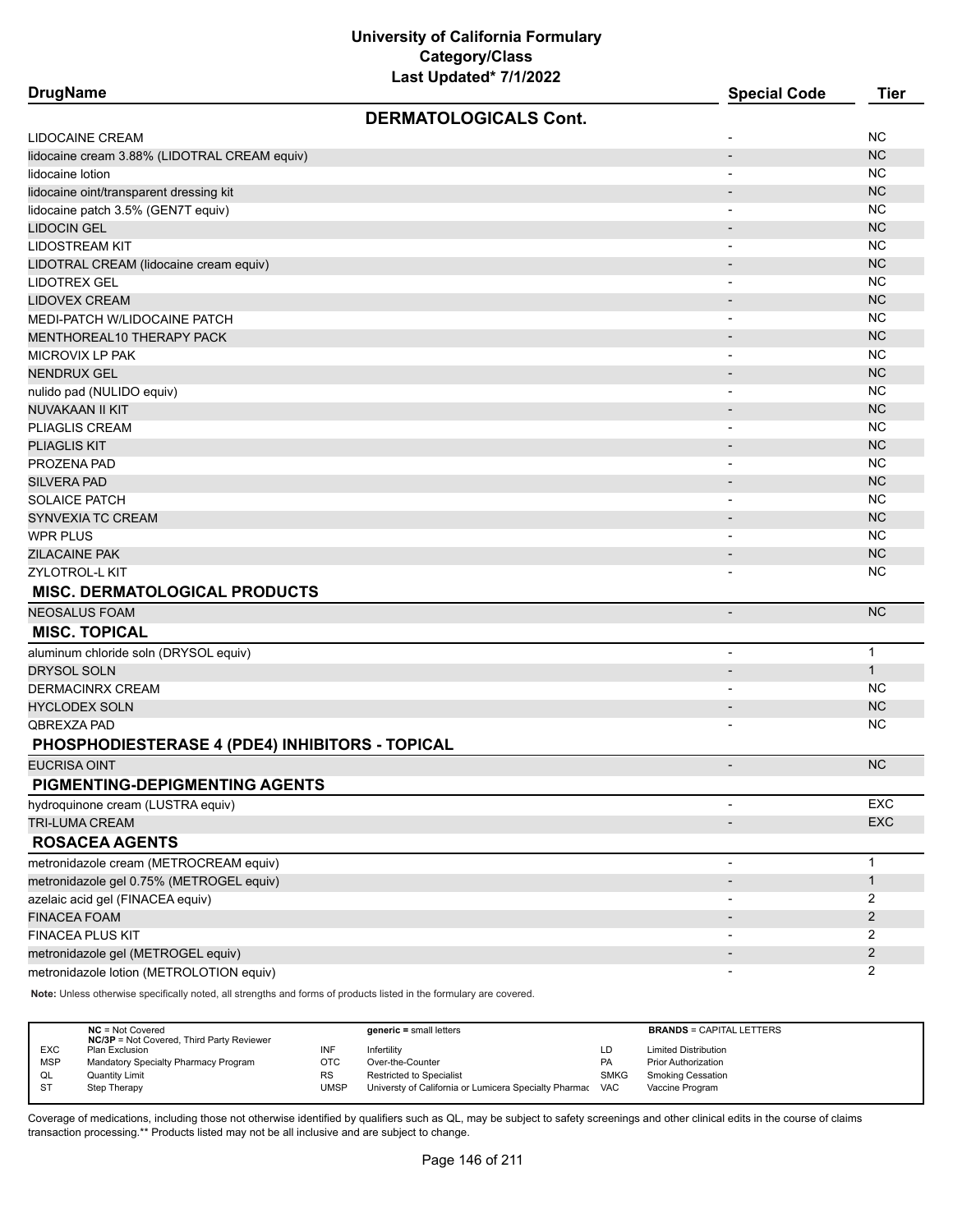| <b>DrugName</b>                                                                | <b>Special Code</b>          | <b>Tier</b>    |
|--------------------------------------------------------------------------------|------------------------------|----------------|
| <b>DERMATOLOGICALS Cont.</b>                                                   |                              |                |
| LIDOCAINE CREAM                                                                |                              | NC             |
| lidocaine cream 3.88% (LIDOTRAL CREAM equiv)                                   | $\overline{a}$               | <b>NC</b>      |
| lidocaine lotion                                                               |                              | <b>NC</b>      |
| lidocaine oint/transparent dressing kit                                        |                              | <b>NC</b>      |
| lidocaine patch 3.5% (GEN7T equiv)                                             | $\overline{\phantom{a}}$     | NC             |
| <b>LIDOCIN GEL</b>                                                             | $\overline{\phantom{a}}$     | <b>NC</b>      |
| LIDOSTREAM KIT                                                                 | $\overline{a}$               | <b>NC</b>      |
| LIDOTRAL CREAM (lidocaine cream equiv)                                         |                              | <b>NC</b>      |
| LIDOTREX GEL                                                                   | $\overline{\phantom{0}}$     | <b>NC</b>      |
| <b>LIDOVEX CREAM</b>                                                           |                              | <b>NC</b>      |
| MEDI-PATCH W/LIDOCAINE PATCH                                                   |                              | <b>NC</b>      |
| MENTHOREAL10 THERAPY PACK                                                      |                              | <b>NC</b>      |
| MICROVIX LP PAK                                                                | $\overline{\phantom{a}}$     | <b>NC</b>      |
| <b>NENDRUX GEL</b>                                                             |                              | <b>NC</b>      |
| nulido pad (NULIDO equiv)                                                      | $\overline{\phantom{a}}$     | <b>NC</b>      |
| NUVAKAAN II KIT                                                                |                              | <b>NC</b>      |
| PLIAGLIS CREAM                                                                 | $\overline{\phantom{a}}$     | <b>NC</b>      |
| <b>PLIAGLIS KIT</b>                                                            | $\overline{\phantom{a}}$     | <b>NC</b>      |
| PROZENA PAD                                                                    |                              | <b>NC</b>      |
| <b>SILVERA PAD</b>                                                             |                              | <b>NC</b>      |
| <b>SOLAICE PATCH</b>                                                           | $\overline{\phantom{0}}$     | NC             |
| SYNVEXIA TC CREAM                                                              | $\overline{\phantom{0}}$     | <b>NC</b>      |
| WPR PLUS                                                                       | $\overline{\phantom{a}}$     | <b>NC</b>      |
| ZILACAINE PAK                                                                  |                              | <b>NC</b>      |
|                                                                                | $\blacksquare$               | NC             |
| ZYLOTROL-L KIT                                                                 |                              |                |
| <b>MISC. DERMATOLOGICAL PRODUCTS</b>                                           |                              |                |
| <b>NEOSALUS FOAM</b>                                                           | $\overline{a}$               | <b>NC</b>      |
| <b>MISC. TOPICAL</b>                                                           |                              |                |
| aluminum chloride soln (DRYSOL equiv)                                          | $\overline{\phantom{a}}$     | $\mathbf{1}$   |
| <b>DRYSOL SOLN</b>                                                             | $\blacksquare$               | $\mathbf{1}$   |
| DERMACINRX CREAM                                                               | $\overline{\phantom{a}}$     | NC             |
| <b>HYCLODEX SOLN</b>                                                           | $\qquad \qquad \blacksquare$ | <b>NC</b>      |
| QBREXZA PAD                                                                    |                              | NC             |
| PHOSPHODIESTERASE 4 (PDE4) INHIBITORS - TOPICAL                                |                              |                |
| EUCRISA OINT                                                                   |                              | <b>NC</b>      |
| PIGMENTING-DEPIGMENTING AGENTS                                                 |                              |                |
| hydroquinone cream (LUSTRA equiv)                                              | $\blacksquare$               | EXC            |
| TRI-LUMA CREAM                                                                 |                              | EXC            |
| <b>ROSACEA AGENTS</b>                                                          |                              |                |
| metronidazole cream (METROCREAM equiv)                                         | -                            | $\mathbf{1}$   |
| metronidazole gel 0.75% (METROGEL equiv)                                       |                              | $\mathbf{1}$   |
| azelaic acid gel (FINACEA equiv)                                               | $\qquad \qquad \blacksquare$ | 2              |
| <b>FINACEA FOAM</b>                                                            |                              | $\overline{c}$ |
| FINACEA PLUS KIT                                                               |                              | 2              |
|                                                                                |                              | $\overline{c}$ |
| metronidazole gel (METROGEL equiv)<br>metronidazole lotion (METROLOTION equiv) |                              | 2              |
|                                                                                |                              |                |

**Note:** Unless otherwise specifically noted, all strengths and forms of products listed in the formulary are covered.

|            | $NC = Not Covered$<br><b>NC/3P</b> = Not Covered, Third Party Reviewer |      | $generic = small letters$                                 |             | <b>BRANDS = CAPITAL LETTERS</b> |
|------------|------------------------------------------------------------------------|------|-----------------------------------------------------------|-------------|---------------------------------|
| <b>EXC</b> | Plan Exclusion                                                         |      | Infertility                                               | LD          | <b>Limited Distribution</b>     |
| <b>MSP</b> | Mandatory Specialty Pharmacy Program                                   | отс  | Over-the-Counter                                          | <b>PA</b>   | <b>Prior Authorization</b>      |
| QL         | <b>Quantity Limit</b>                                                  | RS   | Restricted to Specialist                                  | <b>SMKG</b> | Smoking Cessation               |
| <b>ST</b>  | Step Therapy                                                           | UMSP | Universty of California or Lumicera Specialty Pharmac VAC |             | Vaccine Program                 |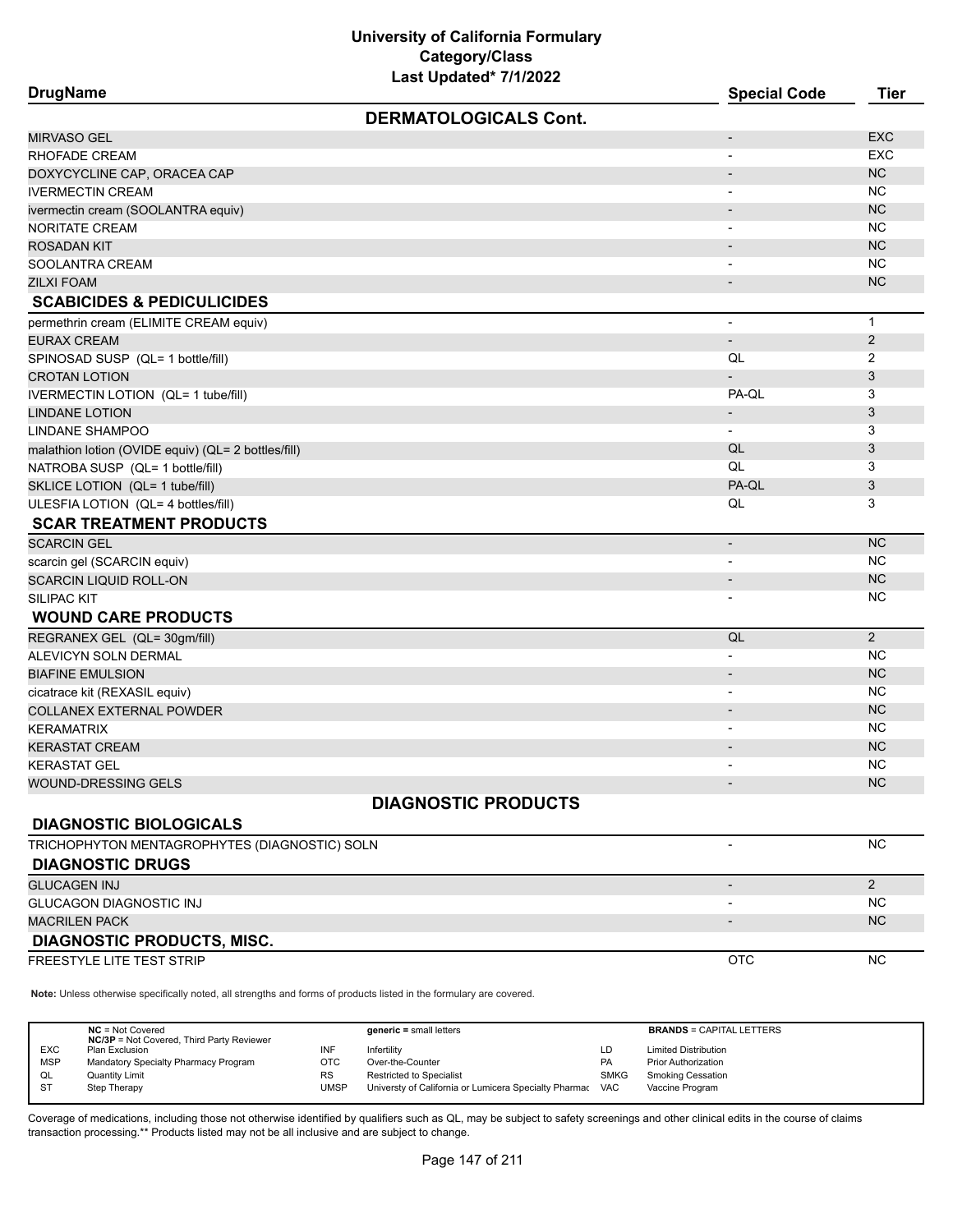# **University of California Formulary Category/Class**

| Last Updated* 7/1/2022                              |                          |                |
|-----------------------------------------------------|--------------------------|----------------|
| <b>DrugName</b>                                     | <b>Special Code</b>      | <b>Tier</b>    |
| <b>DERMATOLOGICALS Cont.</b>                        |                          |                |
| MIRVASO GEL                                         |                          | <b>EXC</b>     |
| RHOFADE CREAM                                       |                          | <b>EXC</b>     |
| DOXYCYCLINE CAP, ORACEA CAP                         |                          | <b>NC</b>      |
| <b>IVERMECTIN CREAM</b>                             | $\blacksquare$           | <b>NC</b>      |
| ivermectin cream (SOOLANTRA equiv)                  |                          | NC             |
| NORITATE CREAM                                      |                          | NC.            |
| <b>ROSADAN KIT</b>                                  |                          | NC             |
| SOOLANTRA CREAM                                     |                          | <b>NC</b>      |
| ZILXI FOAM                                          |                          | NC             |
| <b>SCABICIDES &amp; PEDICULICIDES</b>               |                          |                |
| permethrin cream (ELIMITE CREAM equiv)              |                          | $\mathbf{1}$   |
| EURAX CREAM                                         |                          | $\overline{2}$ |
| SPINOSAD SUSP (QL= 1 bottle/fill)                   | QL                       | 2              |
| <b>CROTAN LOTION</b>                                |                          | 3              |
| IVERMECTIN LOTION (QL= 1 tube/fill)                 | PA-QL                    | 3              |
| <b>LINDANE LOTION</b>                               |                          | 3              |
| LINDANE SHAMPOO                                     | $\overline{\phantom{a}}$ | 3              |
| malathion lotion (OVIDE equiv) (QL= 2 bottles/fill) | QL                       | 3              |
| NATROBA SUSP (QL= 1 bottle/fill)                    | QL                       | 3              |
| SKLICE LOTION (QL= 1 tube/fill)                     | PA-QL                    | 3              |
| ULESFIA LOTION (QL= 4 bottles/fill)                 | QL                       | 3              |
| <b>SCAR TREATMENT PRODUCTS</b>                      |                          |                |
| <b>SCARCIN GEL</b>                                  | $\overline{\phantom{a}}$ | <b>NC</b>      |
| scarcin gel (SCARCIN equiv)                         |                          | NC.            |
| <b>SCARCIN LIQUID ROLL-ON</b>                       | $\overline{\phantom{a}}$ | NC             |
| SILIPAC KIT                                         |                          | NC.            |
| <b>WOUND CARE PRODUCTS</b>                          |                          |                |
| REGRANEX GEL (QL= 30gm/fill)                        | QL                       | $\overline{2}$ |
| ALEVICYN SOLN DERMAL                                |                          | <b>NC</b>      |
| <b>BIAFINE EMULSION</b>                             |                          | <b>NC</b>      |
| cicatrace kit (REXASIL equiv)                       |                          | <b>NC</b>      |
| COLLANEX EXTERNAL POWDER                            |                          | <b>NC</b>      |
| KERAMATRIX                                          | $\overline{\phantom{a}}$ | <b>NC</b>      |
| <b>KERASTAT CREAM</b>                               |                          | <b>NC</b>      |
| KERASTAT GEL                                        |                          | <b>NC</b>      |
| WOUND-DRESSING GELS                                 |                          | <b>NC</b>      |
| <b>DIAGNOSTIC PRODUCTS</b>                          |                          |                |
| <b>DIAGNOSTIC BIOLOGICALS</b>                       |                          |                |
| TRICHOPHYTON MENTAGROPHYTES (DIAGNOSTIC) SOLN       |                          | <b>NC</b>      |
| <b>DIAGNOSTIC DRUGS</b>                             |                          |                |
| <b>GLUCAGEN INJ</b>                                 |                          | $\overline{2}$ |
| GLUCAGON DIAGNOSTIC INJ                             |                          | <b>NC</b>      |
| <b>MACRILEN PACK</b>                                |                          | NC             |
| <b>DIAGNOSTIC PRODUCTS, MISC.</b>                   |                          |                |

FREESTYLE LITE TEST STRIP NOTCH THE STRIP CONTACT THE STRIP OTCHANGE THE STRIP OTCHANGE THE STRIP OTCHANGE THE STRIP

**Note:** Unless otherwise specifically noted, all strengths and forms of products listed in the formulary are covered.

|            | $NC = Not Covered$<br><b>NC/3P</b> = Not Covered, Third Party Reviewer |             | $generic = small letters$                             |             | <b>BRANDS = CAPITAL LETTERS</b> |
|------------|------------------------------------------------------------------------|-------------|-------------------------------------------------------|-------------|---------------------------------|
| <b>EXC</b> | Plan Exclusion                                                         | INF         | Infertility                                           | LD          | <b>Limited Distribution</b>     |
| <b>MSP</b> | Mandatory Specialty Pharmacy Program                                   | OTC         | Over-the-Counter                                      | PA          | <b>Prior Authorization</b>      |
| QL         | <b>Quantity Limit</b>                                                  | RS          | Restricted to Specialist                              | <b>SMKG</b> | <b>Smoking Cessation</b>        |
| <b>ST</b>  | Step Therapy                                                           | <b>JMSP</b> | Universty of California or Lumicera Specialty Pharmac | <b>VAC</b>  | Vaccine Program                 |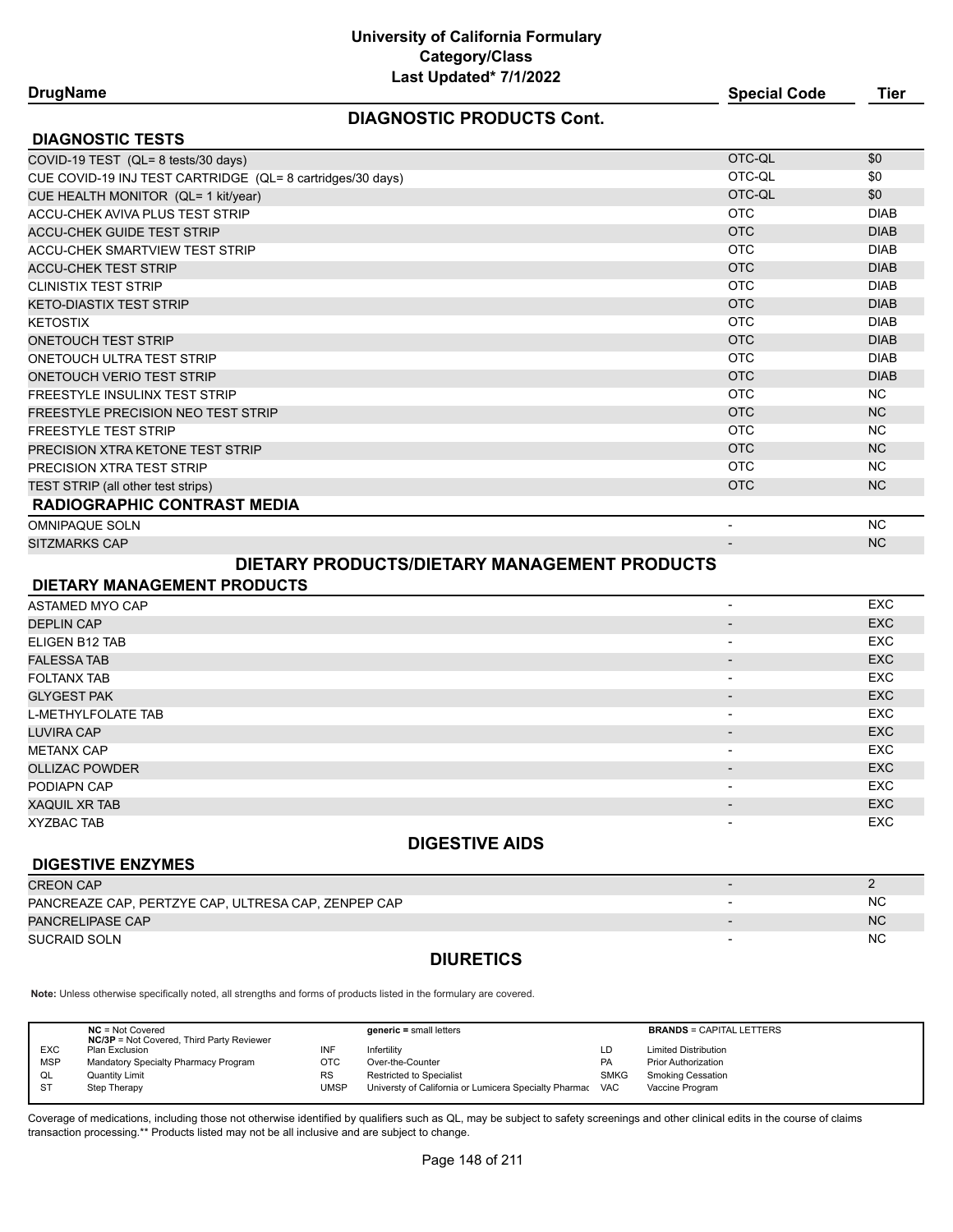#### **DIAGNOSTIC PRODUCTS Cont.**

| <b>DrugName</b> | <b>Special Code</b> | Tier |
|-----------------|---------------------|------|
|-----------------|---------------------|------|

| <b>DIAGNOSTIC TESTS</b>                                    |            |                |
|------------------------------------------------------------|------------|----------------|
| COVID-19 TEST (QL= 8 tests/30 days)                        | OTC-QL     | \$0            |
| CUE COVID-19 INJ TEST CARTRIDGE (QL= 8 cartridges/30 days) | OTC-QL     | \$0            |
| CUE HEALTH MONITOR (QL= 1 kit/year)                        | OTC-QL     | \$0            |
| ACCU-CHEK AVIVA PLUS TEST STRIP                            | <b>OTC</b> | <b>DIAB</b>    |
| <b>ACCU-CHEK GUIDE TEST STRIP</b>                          | <b>OTC</b> | <b>DIAB</b>    |
| <b>ACCU-CHEK SMARTVIEW TEST STRIP</b>                      | <b>OTC</b> | <b>DIAB</b>    |
| <b>ACCU-CHEK TEST STRIP</b>                                | <b>OTC</b> | <b>DIAB</b>    |
| <b>CLINISTIX TEST STRIP</b>                                | <b>OTC</b> | <b>DIAB</b>    |
| <b>KETO-DIASTIX TEST STRIP</b>                             | <b>OTC</b> | <b>DIAB</b>    |
| <b>KETOSTIX</b>                                            | <b>OTC</b> | <b>DIAB</b>    |
| <b>ONETOUCH TEST STRIP</b>                                 | <b>OTC</b> | <b>DIAB</b>    |
| ONETOUCH ULTRA TEST STRIP                                  | <b>OTC</b> | <b>DIAB</b>    |
| ONETOUCH VERIO TEST STRIP                                  | <b>OTC</b> | <b>DIAB</b>    |
| <b>FREESTYLE INSULINX TEST STRIP</b>                       | OTC        | NC.            |
| FREESTYLE PRECISION NEO TEST STRIP                         | <b>OTC</b> | <b>NC</b>      |
| <b>FREESTYLE TEST STRIP</b>                                | OTC        | NC.            |
| PRECISION XTRA KETONE TEST STRIP                           | <b>OTC</b> | <b>NC</b>      |
| <b>PRECISION XTRA TEST STRIP</b>                           | <b>OTC</b> | NC.            |
| TEST STRIP (all other test strips)                         | <b>OTC</b> | N <sub>C</sub> |
| <b>RADIOGRAPHIC CONTRAST MEDIA</b>                         |            |                |
| <b>OMNIPAQUE SOLN</b>                                      |            | NC.            |

SITZMARKS CAP - NC

**DIGESTIVE ENZYMES**

## **DIETARY PRODUCTS/DIETARY MANAGEMENT PRODUCTS**

| DIETARY MANAGEMENT PRODUCTS |                          |            |
|-----------------------------|--------------------------|------------|
| <b>ASTAMED MYO CAP</b>      |                          | <b>EXC</b> |
| <b>DEPLIN CAP</b>           | $\overline{\phantom{0}}$ | <b>EXC</b> |
| ELIGEN B12 TAB              | $\overline{\phantom{0}}$ | <b>EXC</b> |
| <b>FALESSA TAB</b>          |                          | <b>EXC</b> |
| <b>FOLTANX TAB</b>          | $\overline{\phantom{a}}$ | <b>EXC</b> |
| <b>GLYGEST PAK</b>          | $\overline{\phantom{a}}$ | <b>EXC</b> |
| <b>L-METHYLFOLATE TAB</b>   | $\overline{\phantom{a}}$ | <b>EXC</b> |
| <b>LUVIRA CAP</b>           | $\overline{\phantom{0}}$ | <b>EXC</b> |
| <b>METANX CAP</b>           | $\overline{\phantom{0}}$ | <b>EXC</b> |
| <b>OLLIZAC POWDER</b>       | $\overline{\phantom{0}}$ | <b>EXC</b> |
| PODIAPN CAP                 | $\overline{\phantom{0}}$ | <b>EXC</b> |
| <b>XAQUIL XR TAB</b>        | $\overline{\phantom{0}}$ | <b>EXC</b> |
| <b>XYZBAC TAB</b>           | $\overline{\phantom{a}}$ | <b>EXC</b> |

#### **DIGESTIVE AIDS**

| <b>DIVESTIVE ENZIMES</b>                            |                          |           |
|-----------------------------------------------------|--------------------------|-----------|
| <b>CREON CAP</b>                                    |                          |           |
| PANCREAZE CAP, PERTZYE CAP, ULTRESA CAP, ZENPEP CAP |                          | <b>NC</b> |
| PANCRELIPASE CAP                                    | $\overline{\phantom{0}}$ | <b>NC</b> |
| SUCRAID SOLN                                        |                          | <b>NC</b> |
|                                                     |                          |           |

### **DIURETICS**

**Note:** Unless otherwise specifically noted, all strengths and forms of products listed in the formulary are covered.

|            | $NC = Not Covered$<br><b>NC/3P</b> = Not Covered, Third Party Reviewer |           | $generic = small letters$                                 |             | <b>BRANDS = CAPITAL LETTERS</b> |
|------------|------------------------------------------------------------------------|-----------|-----------------------------------------------------------|-------------|---------------------------------|
| <b>EXC</b> | Plan Exclusion                                                         | INF       | Infertilitv                                               | LD          | <b>Limited Distribution</b>     |
| <b>MSP</b> | Mandatory Specialty Pharmacy Program                                   | отс       | Over-the-Counter                                          | <b>PA</b>   | <b>Prior Authorization</b>      |
| QL         | Quantity Limit                                                         | <b>RS</b> | <b>Restricted to Specialist</b>                           | <b>SMKG</b> | <b>Smoking Cessation</b>        |
| -ST        | Step Therapy                                                           | UMSP      | Universty of California or Lumicera Specialty Pharmac VAC |             | Vaccine Program                 |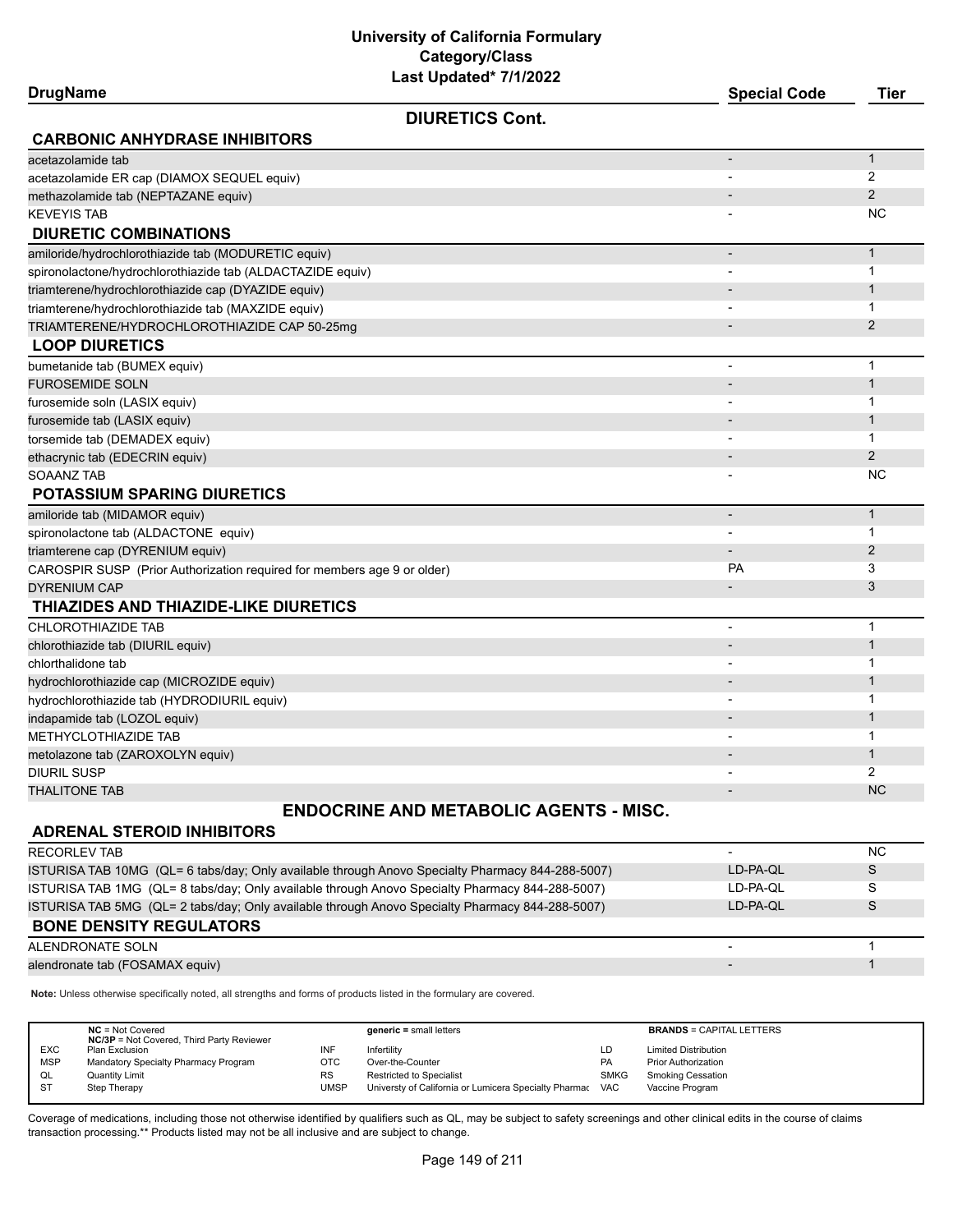**University of California Formulary Category/Class**

| Last Updated* 7/1/2022<br><b>DrugName</b>                               | <b>Special Code</b>          | Tier           |
|-------------------------------------------------------------------------|------------------------------|----------------|
| <b>DIURETICS Cont.</b>                                                  |                              |                |
| <b>CARBONIC ANHYDRASE INHIBITORS</b>                                    |                              |                |
| acetazolamide tab                                                       | $\blacksquare$               | $\mathbf{1}$   |
| acetazolamide ER cap (DIAMOX SEQUEL equiv)                              |                              | 2              |
| methazolamide tab (NEPTAZANE equiv)                                     | $\overline{\phantom{a}}$     | $\overline{2}$ |
| <b>KEVEYIS TAB</b>                                                      |                              | ΝC             |
| <b>DIURETIC COMBINATIONS</b>                                            |                              |                |
| amiloride/hydrochlorothiazide tab (MODURETIC equiv)                     | $\overline{a}$               | $\mathbf{1}$   |
| spironolactone/hydrochlorothiazide tab (ALDACTAZIDE equiv)              | $\overline{\phantom{a}}$     | 1              |
| triamterene/hydrochlorothiazide cap (DYAZIDE equiv)                     |                              | $\mathbf{1}$   |
| triamterene/hydrochlorothiazide tab (MAXZIDE equiv)                     | $\overline{\phantom{0}}$     | 1              |
| TRIAMTERENE/HYDROCHLOROTHIAZIDE CAP 50-25mg                             |                              | $\overline{2}$ |
| <b>LOOP DIURETICS</b>                                                   |                              |                |
| bumetanide tab (BUMEX equiv)                                            | $\overline{\phantom{0}}$     | $\mathbf 1$    |
| <b>FUROSEMIDE SOLN</b>                                                  |                              | $\mathbf{1}$   |
| furosemide soln (LASIX equiv)                                           | $\overline{\phantom{a}}$     | $\mathbf{1}$   |
| furosemide tab (LASIX equiv)                                            |                              | $\mathbf{1}$   |
| torsemide tab (DEMADEX equiv)                                           | $\overline{a}$               | 1              |
| ethacrynic tab (EDECRIN equiv)                                          |                              | $\overline{2}$ |
| <b>SOAANZ TAB</b>                                                       |                              | <b>NC</b>      |
| <b>POTASSIUM SPARING DIURETICS</b>                                      |                              |                |
| amiloride tab (MIDAMOR equiv)                                           | $\overline{a}$               | $\mathbf{1}$   |
| spironolactone tab (ALDACTONE equiv)                                    | $\blacksquare$               | $\mathbf 1$    |
| triamterene cap (DYRENIUM equiv)                                        | $\qquad \qquad \blacksquare$ | $\overline{2}$ |
| CAROSPIR SUSP (Prior Authorization required for members age 9 or older) | PA                           | 3              |
| <b>DYRENIUM CAP</b>                                                     |                              | 3              |
| THIAZIDES AND THIAZIDE-LIKE DIURETICS                                   |                              |                |
| <b>CHLOROTHIAZIDE TAB</b>                                               |                              | $\mathbf 1$    |
| chlorothiazide tab (DIURIL equiv)                                       |                              | $\mathbf{1}$   |
| chlorthalidone tab                                                      | $\overline{\phantom{0}}$     | 1              |
| hydrochlorothiazide cap (MICROZIDE equiv)                               |                              | $\mathbf{1}$   |
| hydrochlorothiazide tab (HYDRODIURIL equiv)                             | $\overline{\phantom{0}}$     | 1              |
| indapamide tab (LOZOL equiv)                                            |                              | $\mathbf{1}$   |
| METHYCLOTHIAZIDE TAB                                                    | $\overline{\phantom{a}}$     | 1              |
| metolazone tab (ZAROXOLYN equiv)                                        |                              | $\mathbf{1}$   |
| <b>DIURIL SUSP</b>                                                      |                              | 2              |
| <b>THALITONE TAB</b>                                                    |                              | <b>NC</b>      |
| <b>ENDOCRINE AND METABOLIC AGENTS - MISC.</b>                           |                              |                |
|                                                                         |                              |                |

#### **ADRENAL STEROID INHIBITORS**

| <b>RECORLEV TAB</b>                                                                              | $\overline{\phantom{0}}$ | <b>NC</b> |
|--------------------------------------------------------------------------------------------------|--------------------------|-----------|
| ISTURISA TAB 10MG (QL= 6 tabs/day; Only available through Anovo Specialty Pharmacy 844-288-5007) | LD-PA-OL                 | S         |
| ISTURISA TAB 1MG (QL= 8 tabs/day; Only available through Anovo Specialty Pharmacy 844-288-5007)  | LD-PA-QL                 | S         |
| ISTURISA TAB 5MG (QL= 2 tabs/day: Only available through Anovo Specialty Pharmacy 844-288-5007)  | LD-PA-OL                 | S         |
| <b>BONE DENSITY REGULATORS</b>                                                                   |                          |           |
| ALENDRONATE SOLN                                                                                 | $\overline{\phantom{0}}$ |           |
| alendronate tab (FOSAMAX equiv)                                                                  | $\overline{\phantom{a}}$ |           |

**Note:** Unless otherwise specifically noted, all strengths and forms of products listed in the formulary are covered.

|            | $NC = Not Covered$<br><b>NC/3P</b> = Not Covered, Third Party Reviewer |           | $generic = small letters$                             |             | <b>BRANDS = CAPITAL LETTERS</b> |
|------------|------------------------------------------------------------------------|-----------|-------------------------------------------------------|-------------|---------------------------------|
| <b>EXC</b> | Plan Exclusion                                                         | INF       | Infertilitv                                           | LD          | <b>Limited Distribution</b>     |
| <b>MSP</b> | Mandatory Specialty Pharmacy Program                                   | отс       | Over-the-Counter                                      | <b>PA</b>   | <b>Prior Authorization</b>      |
| QL         | <b>Quantity Limit</b>                                                  | <b>RS</b> | <b>Restricted to Specialist</b>                       | <b>SMKG</b> | <b>Smoking Cessation</b>        |
| <b>ST</b>  | Step Therapy                                                           | UMSP      | Universty of California or Lumicera Specialty Pharmac | <b>VAC</b>  | Vaccine Program                 |
|            |                                                                        |           |                                                       |             |                                 |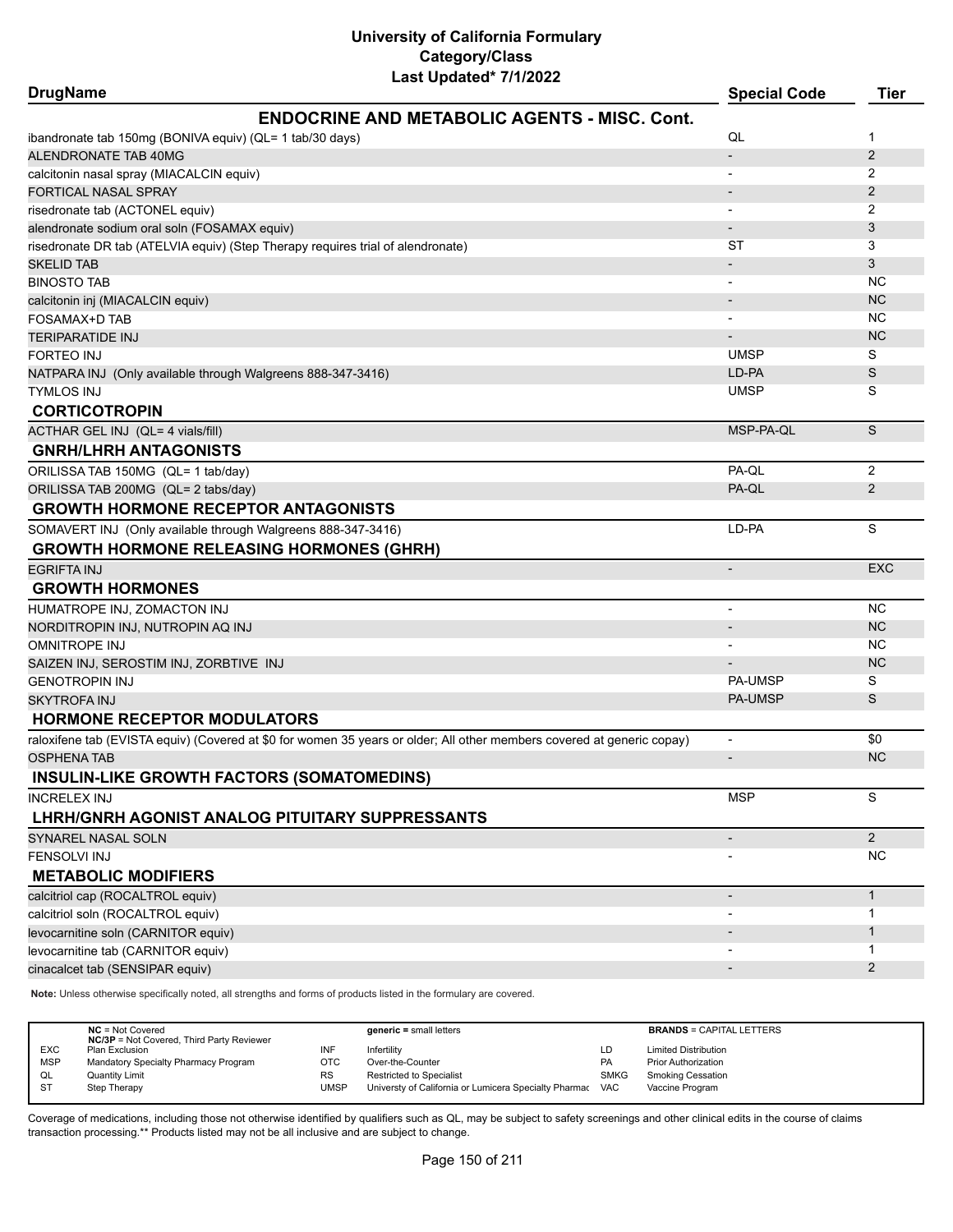| <b>DrugName</b>                                                                 |                                                                                                                        | <b>Special Code</b>      | <b>Tier</b>    |
|---------------------------------------------------------------------------------|------------------------------------------------------------------------------------------------------------------------|--------------------------|----------------|
|                                                                                 | <b>ENDOCRINE AND METABOLIC AGENTS - MISC. Cont.</b>                                                                    |                          |                |
| ibandronate tab 150mg (BONIVA equiv) (QL= 1 tab/30 days)                        |                                                                                                                        | QL                       | $\mathbf 1$    |
| ALENDRONATE TAB 40MG                                                            |                                                                                                                        |                          | $\overline{2}$ |
| calcitonin nasal spray (MIACALCIN equiv)                                        |                                                                                                                        |                          | 2              |
| FORTICAL NASAL SPRAY                                                            |                                                                                                                        |                          | 2              |
| risedronate tab (ACTONEL equiv)                                                 |                                                                                                                        |                          | 2              |
| alendronate sodium oral soln (FOSAMAX equiv)                                    |                                                                                                                        |                          | 3              |
| risedronate DR tab (ATELVIA equiv) (Step Therapy requires trial of alendronate) |                                                                                                                        | ST                       | 3              |
| <b>SKELID TAB</b>                                                               |                                                                                                                        |                          | 3              |
| <b>BINOSTO TAB</b>                                                              |                                                                                                                        |                          | NC.            |
| calcitonin inj (MIACALCIN equiv)                                                |                                                                                                                        |                          | <b>NC</b>      |
| FOSAMAX+D TAB                                                                   |                                                                                                                        |                          | NC.            |
| <b>TERIPARATIDE INJ</b>                                                         |                                                                                                                        |                          | <b>NC</b>      |
| FORTEO INJ                                                                      |                                                                                                                        | <b>UMSP</b>              | S              |
| NATPARA INJ (Only available through Walgreens 888-347-3416)                     |                                                                                                                        | LD-PA                    | S              |
| <b>TYMLOS INJ</b>                                                               |                                                                                                                        | <b>UMSP</b>              | S              |
| <b>CORTICOTROPIN</b>                                                            |                                                                                                                        |                          |                |
| ACTHAR GEL INJ (QL= 4 vials/fill)                                               |                                                                                                                        | MSP-PA-QL                | S              |
| <b>GNRH/LHRH ANTAGONISTS</b>                                                    |                                                                                                                        |                          |                |
| ORILISSA TAB 150MG (QL= 1 tab/day)                                              |                                                                                                                        | PA-QL                    | 2              |
| ORILISSA TAB 200MG (QL= 2 tabs/day)                                             |                                                                                                                        | PA-QL                    | 2              |
| <b>GROWTH HORMONE RECEPTOR ANTAGONISTS</b>                                      |                                                                                                                        |                          |                |
| SOMAVERT INJ (Only available through Walgreens 888-347-3416)                    |                                                                                                                        | LD-PA                    | S              |
|                                                                                 |                                                                                                                        |                          |                |
| <b>GROWTH HORMONE RELEASING HORMONES (GHRH)</b>                                 |                                                                                                                        |                          |                |
| EGRIFTA INJ                                                                     |                                                                                                                        | $\overline{\phantom{a}}$ | <b>EXC</b>     |
| <b>GROWTH HORMONES</b>                                                          |                                                                                                                        |                          |                |
| HUMATROPE INJ, ZOMACTON INJ                                                     |                                                                                                                        | $\overline{\phantom{a}}$ | NC.            |
| NORDITROPIN INJ, NUTROPIN AQ INJ                                                |                                                                                                                        |                          | <b>NC</b>      |
| <b>OMNITROPE INJ</b>                                                            |                                                                                                                        |                          | NC.            |
| SAIZEN INJ, SEROSTIM INJ, ZORBTIVE INJ                                          |                                                                                                                        |                          | <b>NC</b>      |
| <b>GENOTROPIN INJ</b>                                                           |                                                                                                                        | <b>PA-UMSP</b>           | S              |
| <b>SKYTROFA INJ</b>                                                             |                                                                                                                        | <b>PA-UMSP</b>           | S              |
| <b>HORMONE RECEPTOR MODULATORS</b>                                              |                                                                                                                        |                          |                |
|                                                                                 | raloxifene tab (EVISTA equiv) (Covered at \$0 for women 35 years or older; All other members covered at generic copay) | $\overline{\phantom{a}}$ | \$0            |
| <b>OSPHENA TAB</b>                                                              |                                                                                                                        | $\overline{a}$           | <b>NC</b>      |
| INSULIN-LIKE GROWTH FACTORS (SOMATOMEDINS)                                      |                                                                                                                        |                          |                |
| INCRELEX INJ                                                                    |                                                                                                                        | <b>MSP</b>               | S              |
| LHRH/GNRH AGONIST ANALOG PITUITARY SUPPRESSANTS                                 |                                                                                                                        |                          |                |
| SYNAREL NASAL SOLN                                                              |                                                                                                                        |                          | $\overline{2}$ |
| FENSOLVI INJ                                                                    |                                                                                                                        |                          | <b>NC</b>      |
| <b>METABOLIC MODIFIERS</b>                                                      |                                                                                                                        |                          |                |
| calcitriol cap (ROCALTROL equiv)                                                |                                                                                                                        | $\overline{\phantom{a}}$ | $\mathbf{1}$   |
| calcitriol soln (ROCALTROL equiv)                                               |                                                                                                                        |                          | $\mathbf 1$    |
| levocarnitine soln (CARNITOR equiv)                                             |                                                                                                                        |                          | $\mathbf{1}$   |
| levocarnitine tab (CARNITOR equiv)                                              |                                                                                                                        |                          | $\mathbf 1$    |
| cinacalcet tab (SENSIPAR equiv)                                                 |                                                                                                                        |                          | 2              |
|                                                                                 |                                                                                                                        |                          |                |

**Note:** Unless otherwise specifically noted, all strengths and forms of products listed in the formulary are covered.

|                              | $NC = Not Covered$<br><b>NC/3P</b> = Not Covered, Third Party Reviewer | $generic = small letters$                             |             | <b>BRANDS = CAPITAL LETTERS</b> |
|------------------------------|------------------------------------------------------------------------|-------------------------------------------------------|-------------|---------------------------------|
| <b>EXC</b><br>Plan Exclusion | INF                                                                    | Infertilitv                                           | LD          | <b>Limited Distribution</b>     |
| <b>MSP</b>                   | Mandatory Specialty Pharmacy Program<br>ОТС                            | Over-the-Counter                                      | PA          | <b>Prior Authorization</b>      |
| QL<br><b>Quantity Limit</b>  | <b>RS</b>                                                              | <b>Restricted to Specialist</b>                       | <b>SMKG</b> | <b>Smoking Cessation</b>        |
| $S^{T}$<br>Step Therapy      | <b>UMSP</b>                                                            | Universty of California or Lumicera Specialty Pharmac | <b>VAC</b>  | Vaccine Program                 |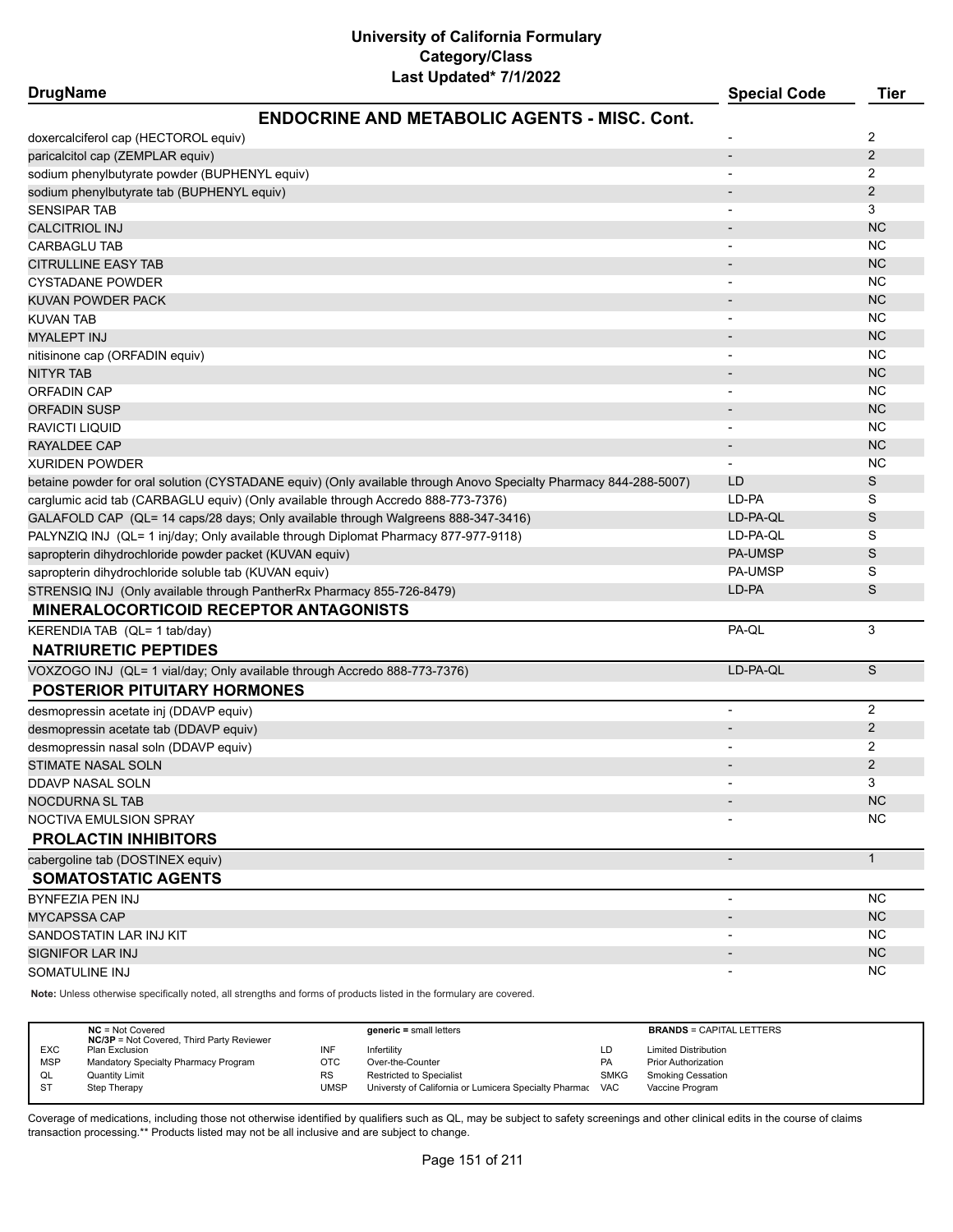| <b>DrugName</b>                                                                                                   | <b>Special Code</b>      | <b>Tier</b>    |
|-------------------------------------------------------------------------------------------------------------------|--------------------------|----------------|
| <b>ENDOCRINE AND METABOLIC AGENTS - MISC. Cont.</b>                                                               |                          |                |
| doxercalciferol cap (HECTOROL equiv)                                                                              |                          | 2              |
| paricalcitol cap (ZEMPLAR equiv)                                                                                  | $\overline{\phantom{a}}$ | $\overline{2}$ |
| sodium phenylbutyrate powder (BUPHENYL equiv)                                                                     | -                        | 2              |
| sodium phenylbutyrate tab (BUPHENYL equiv)                                                                        |                          | 2              |
| <b>SENSIPAR TAB</b>                                                                                               |                          | 3              |
| <b>CALCITRIOL INJ</b>                                                                                             |                          | <b>NC</b>      |
| <b>CARBAGLU TAB</b>                                                                                               |                          | <b>NC</b>      |
| <b>CITRULLINE EASY TAB</b>                                                                                        |                          | <b>NC</b>      |
| <b>CYSTADANE POWDER</b>                                                                                           |                          | <b>NC</b>      |
| <b>KUVAN POWDER PACK</b>                                                                                          |                          | <b>NC</b>      |
| <b>KUVAN TAB</b>                                                                                                  |                          | <b>NC</b>      |
| <b>MYALEPT INJ</b>                                                                                                |                          | <b>NC</b>      |
| nitisinone cap (ORFADIN equiv)                                                                                    | -                        | NC.            |
| <b>NITYR TAB</b>                                                                                                  |                          | <b>NC</b>      |
| <b>ORFADIN CAP</b>                                                                                                | $\overline{\phantom{a}}$ | NC.            |
| <b>ORFADIN SUSP</b>                                                                                               | $\overline{\phantom{a}}$ | <b>NC</b>      |
| RAVICTI LIQUID                                                                                                    |                          | <b>NC</b>      |
| RAYALDEE CAP                                                                                                      | $\overline{\phantom{a}}$ | <b>NC</b>      |
| <b>XURIDEN POWDER</b>                                                                                             | -                        | <b>NC</b>      |
| betaine powder for oral solution (CYSTADANE equiv) (Only available through Anovo Specialty Pharmacy 844-288-5007) | LD                       | S              |
| carglumic acid tab (CARBAGLU equiv) (Only available through Accredo 888-773-7376)                                 | LD-PA                    | S              |
| GALAFOLD CAP (QL= 14 caps/28 days; Only available through Walgreens 888-347-3416)                                 | LD-PA-QL                 | $\mathsf S$    |
| PALYNZIQ INJ (QL= 1 inj/day; Only available through Diplomat Pharmacy 877-977-9118)                               | LD-PA-QL                 | S              |
| sapropterin dihydrochloride powder packet (KUVAN equiv)                                                           | <b>PA-UMSP</b>           | S              |
| sapropterin dihydrochloride soluble tab (KUVAN equiv)                                                             | <b>PA-UMSP</b>           | S              |
| STRENSIQ INJ (Only available through PantherRx Pharmacy 855-726-8479)                                             | LD-PA                    | S              |
| <b>MINERALOCORTICOID RECEPTOR ANTAGONISTS</b>                                                                     |                          |                |
| KERENDIA TAB (QL= 1 tab/day)                                                                                      | PA-QL                    | 3              |
| <b>NATRIURETIC PEPTIDES</b>                                                                                       |                          |                |
| VOXZOGO INJ (QL= 1 vial/day; Only available through Accredo 888-773-7376)                                         | LD-PA-QL                 | S              |
| <b>POSTERIOR PITUITARY HORMONES</b>                                                                               |                          |                |
| desmopressin acetate inj (DDAVP equiv)                                                                            | $\overline{\phantom{a}}$ | 2              |
| desmopressin acetate tab (DDAVP equiv)                                                                            |                          | 2              |
| desmopressin nasal soln (DDAVP equiv)                                                                             | -                        | 2              |
| STIMATE NASAL SOLN                                                                                                |                          | $\overline{2}$ |
| DDAVP NASAL SOLN                                                                                                  |                          | 3              |
| <b>NOCDURNA SL TAB</b>                                                                                            |                          | NC             |
| NOCTIVA EMULSION SPRAY                                                                                            |                          | <b>NC</b>      |
| <b>PROLACTIN INHIBITORS</b>                                                                                       |                          |                |
| cabergoline tab (DOSTINEX equiv)                                                                                  |                          | $\mathbf{1}$   |
| <b>SOMATOSTATIC AGENTS</b>                                                                                        |                          |                |
| BYNFEZIA PEN INJ                                                                                                  |                          | <b>NC</b>      |
| MYCAPSSA CAP                                                                                                      |                          | NC             |
| SANDOSTATIN LAR INJ KIT                                                                                           |                          | <b>NC</b>      |
| <b>SIGNIFOR LAR INJ</b>                                                                                           |                          | NC             |
| <b>SOMATULINE INJ</b>                                                                                             |                          | <b>NC</b>      |

**Note:** Unless otherwise specifically noted, all strengths and forms of products listed in the formulary are covered.

|            | $NC = Not Covered$                               |           | $generic = small letters$                             |             | <b>BRANDS = CAPITAL LETTERS</b> |
|------------|--------------------------------------------------|-----------|-------------------------------------------------------|-------------|---------------------------------|
|            | <b>NC/3P</b> = Not Covered, Third Party Reviewer |           |                                                       |             |                                 |
| <b>EXC</b> | Plan Exclusion                                   | INF       | Infertility                                           | LD          | <b>Limited Distribution</b>     |
| <b>MSP</b> | Mandatory Specialty Pharmacy Program             | отс       | Over-the-Counter                                      | <b>PA</b>   | <b>Prior Authorization</b>      |
| QL         | <b>Quantity Limit</b>                            | <b>RS</b> | Restricted to Specialist                              | <b>SMKG</b> | <b>Smoking Cessation</b>        |
| <b>ST</b>  | Step Therapy                                     | UMSP      | Universty of California or Lumicera Specialty Pharmac | <b>VAC</b>  | Vaccine Program                 |
|            |                                                  |           |                                                       |             |                                 |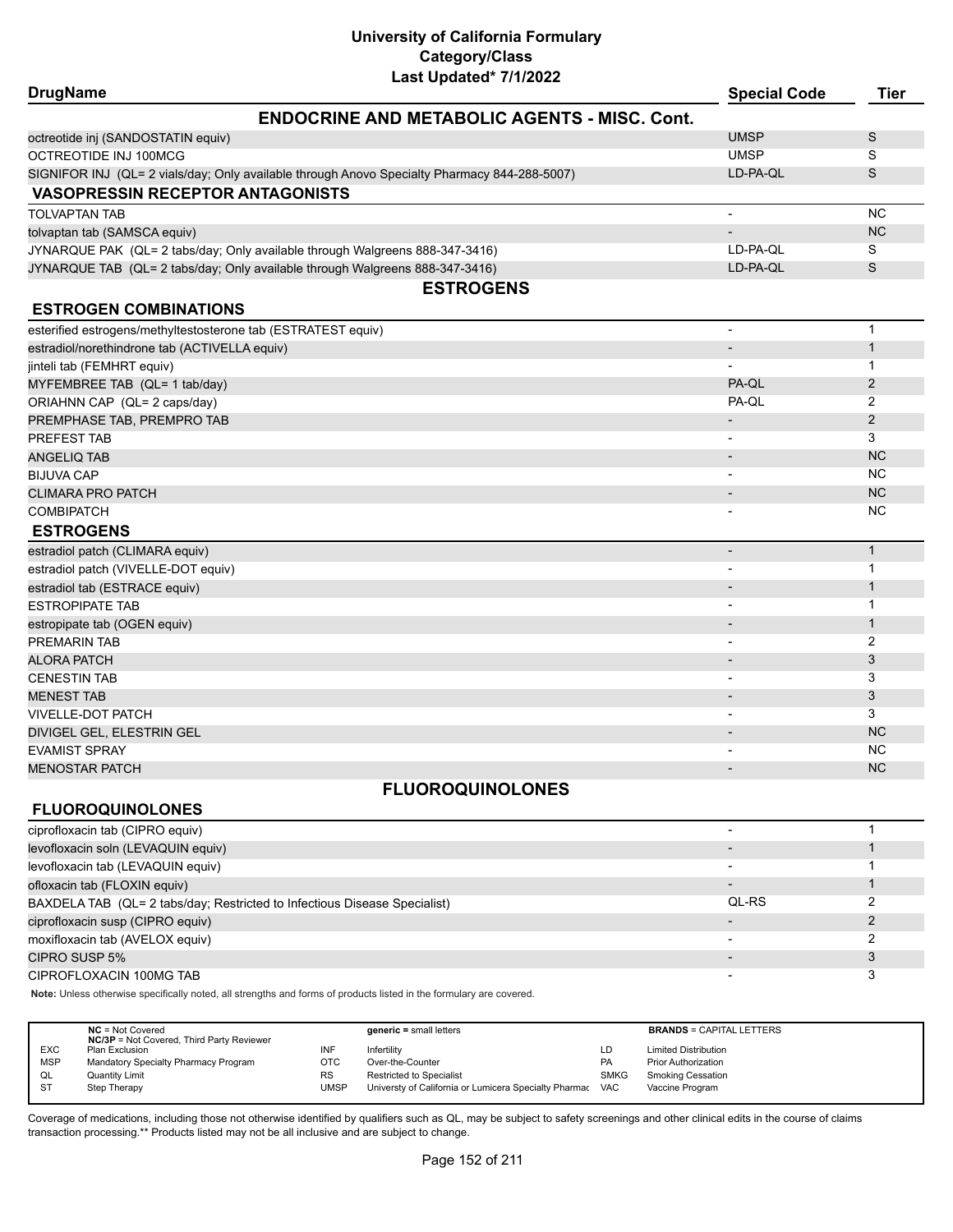| <b>DrugName</b>                                                                              |                                                     | <b>Special Code</b>          | <b>Tier</b>    |
|----------------------------------------------------------------------------------------------|-----------------------------------------------------|------------------------------|----------------|
|                                                                                              | <b>ENDOCRINE AND METABOLIC AGENTS - MISC, Cont.</b> |                              |                |
| octreotide inj (SANDOSTATIN equiv)                                                           |                                                     | <b>UMSP</b>                  | S              |
| OCTREOTIDE INJ 100MCG                                                                        |                                                     | <b>UMSP</b>                  | S              |
| SIGNIFOR INJ (QL= 2 vials/day; Only available through Anovo Specialty Pharmacy 844-288-5007) |                                                     | LD-PA-OL                     | S              |
| <b>VASOPRESSIN RECEPTOR ANTAGONISTS</b>                                                      |                                                     |                              |                |
| <b>TOLVAPTAN TAB</b>                                                                         |                                                     | $\overline{\phantom{a}}$     | <b>NC</b>      |
| tolvaptan tab (SAMSCA equiv)                                                                 |                                                     | $\overline{\phantom{a}}$     | <b>NC</b>      |
| JYNARQUE PAK (QL= 2 tabs/day; Only available through Walgreens 888-347-3416)                 |                                                     | LD-PA-QL                     | S              |
| JYNARQUE TAB (QL= 2 tabs/day; Only available through Walgreens 888-347-3416)                 |                                                     | LD-PA-QL                     | S              |
|                                                                                              | <b>ESTROGENS</b>                                    |                              |                |
| <b>ESTROGEN COMBINATIONS</b>                                                                 |                                                     |                              |                |
| esterified estrogens/methyltestosterone tab (ESTRATEST equiv)                                |                                                     | $\overline{\phantom{a}}$     | $\mathbf{1}$   |
| estradiol/norethindrone tab (ACTIVELLA equiv)                                                |                                                     | $\qquad \qquad \blacksquare$ | $\mathbf{1}$   |
| jinteli tab (FEMHRT equiv)                                                                   |                                                     | $\overline{\phantom{a}}$     | $\mathbf{1}$   |
| MYFEMBREE TAB (QL= 1 tab/day)                                                                |                                                     | PA-QL                        | 2              |
| ORIAHNN CAP (QL= 2 caps/day)                                                                 |                                                     | PA-QL                        | 2              |
| PREMPHASE TAB, PREMPRO TAB                                                                   |                                                     | $\overline{\phantom{a}}$     | $\overline{2}$ |
| PREFEST TAB                                                                                  |                                                     | $\overline{\phantom{a}}$     | 3              |
| ANGELIQ TAB                                                                                  |                                                     | $\overline{\phantom{0}}$     | <b>NC</b>      |
| <b>BIJUVA CAP</b>                                                                            |                                                     | $\overline{\phantom{a}}$     | NC.            |
| <b>CLIMARA PRO PATCH</b>                                                                     |                                                     | $\overline{\phantom{a}}$     | <b>NC</b>      |
| <b>COMBIPATCH</b>                                                                            |                                                     | -                            | NC.            |
| <b>ESTROGENS</b>                                                                             |                                                     |                              |                |
| estradiol patch (CLIMARA equiv)                                                              |                                                     | $\centerdot$                 | $\mathbf{1}$   |
| estradiol patch (VIVELLE-DOT equiv)                                                          |                                                     | $\overline{\phantom{a}}$     | 1              |
| estradiol tab (ESTRACE equiv)                                                                |                                                     |                              | $\mathbf 1$    |
| <b>ESTROPIPATE TAB</b>                                                                       |                                                     |                              | $\mathbf 1$    |
| estropipate tab (OGEN equiv)                                                                 |                                                     |                              | $\mathbf{1}$   |
| <b>PREMARIN TAB</b>                                                                          |                                                     | $\overline{\phantom{a}}$     | 2              |
| <b>ALORA PATCH</b>                                                                           |                                                     | -                            | 3              |
| <b>CENESTIN TAB</b>                                                                          |                                                     | $\overline{\phantom{a}}$     | 3              |
| <b>MENEST TAB</b>                                                                            |                                                     | $\overline{\phantom{a}}$     | 3              |
| VIVELLE-DOT PATCH                                                                            |                                                     |                              | 3              |
| DIVIGEL GEL, ELESTRIN GEL                                                                    |                                                     |                              | <b>NC</b>      |
| <b>EVAMIST SPRAY</b>                                                                         |                                                     |                              | <b>NC</b>      |
| <b>MENOSTAR PATCH</b>                                                                        |                                                     |                              | <b>NC</b>      |
|                                                                                              | <b>FLUOROQUINOLONES</b>                             |                              |                |
| <b>FLUOROQUINOLONES</b>                                                                      |                                                     |                              |                |
| ciprofloxacin tab (CIPRO equiv)                                                              |                                                     | $\overline{\phantom{a}}$     | $\mathbf{1}$   |
| levofloxacin soln (LEVAQUIN equiv)                                                           |                                                     |                              | $\mathbf 1$    |
| levofloxacin tab (LEVAQUIN equiv)                                                            |                                                     |                              | 1              |
| ofloxacin tab (FLOXIN equiv)                                                                 |                                                     |                              | $\mathbf{1}$   |
| BAXDELA TAB (QL= 2 tabs/day; Restricted to Infectious Disease Specialist)                    |                                                     | QL-RS                        | 2              |
| ciprofloxacin susp (CIPRO equiv)                                                             |                                                     |                              | $\overline{2}$ |
| moxifloxacin tab (AVELOX equiv)                                                              |                                                     |                              | 2              |
| CIPRO SUSP 5%                                                                                |                                                     | $\overline{\phantom{a}}$     | 3              |

CIPROFLOXACIN 100MG TAB 3

**Note:** Unless otherwise specifically noted, all strengths and forms of products listed in the formulary are covered.

|            | $NC = Not Covered$<br><b>NC/3P</b> = Not Covered, Third Party Reviewer |           | $generic = small letters$                             |             | <b>BRANDS = CAPITAL LETTERS</b> |
|------------|------------------------------------------------------------------------|-----------|-------------------------------------------------------|-------------|---------------------------------|
| <b>EXC</b> | Plan Exclusion                                                         |           | Infertility                                           | LD          | <b>Limited Distribution</b>     |
| <b>MSP</b> | Mandatory Specialty Pharmacy Program                                   | отс       | Over-the-Counter                                      | <b>PA</b>   | <b>Prior Authorization</b>      |
| QL         | <b>Quantity Limit</b>                                                  | <b>RS</b> | Restricted to Specialist                              | <b>SMKG</b> | <b>Smoking Cessation</b>        |
| <b>ST</b>  | Step Therapy                                                           | UMSP      | Universty of California or Lumicera Specialty Pharmac | <b>VAC</b>  | Vaccine Program                 |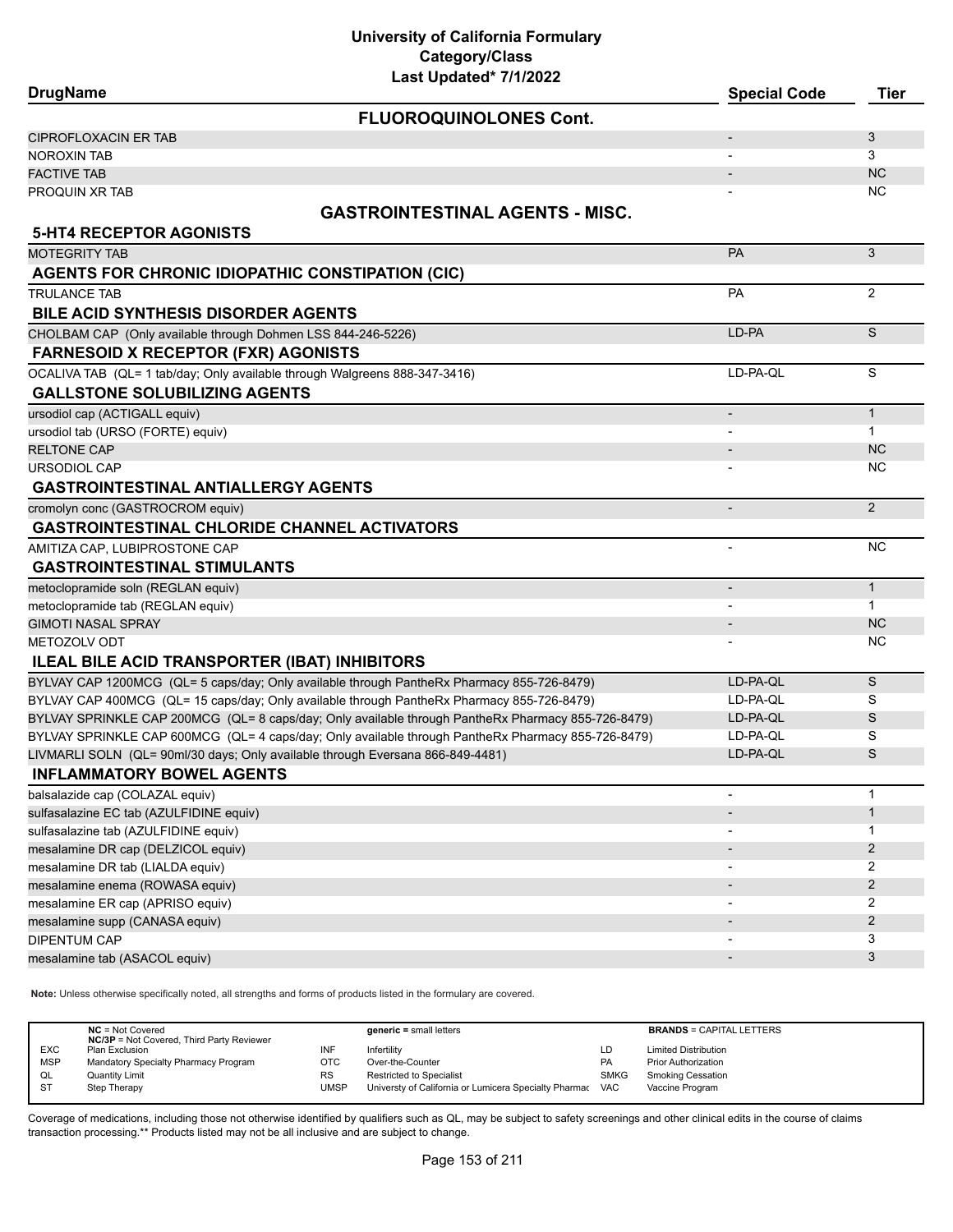# **University of California Formulary Category/Class**

| Last Updated* 7/1/2022                                                                             |                          |                |
|----------------------------------------------------------------------------------------------------|--------------------------|----------------|
| <b>DrugName</b>                                                                                    | <b>Special Code</b>      | <b>Tier</b>    |
| <b>FLUOROQUINOLONES Cont.</b>                                                                      |                          |                |
| <b>CIPROFLOXACIN ER TAB</b>                                                                        |                          | 3              |
| <b>NOROXIN TAB</b>                                                                                 |                          | 3              |
| <b>FACTIVE TAB</b>                                                                                 |                          | <b>NC</b>      |
| PROQUIN XR TAB                                                                                     |                          | <b>NC</b>      |
| <b>GASTROINTESTINAL AGENTS - MISC.</b>                                                             |                          |                |
| <b>5-HT4 RECEPTOR AGONISTS</b>                                                                     |                          |                |
| <b>MOTEGRITY TAB</b>                                                                               | PA                       | 3              |
| AGENTS FOR CHRONIC IDIOPATHIC CONSTIPATION (CIC)                                                   |                          |                |
| <b>TRULANCE TAB</b>                                                                                | PA                       | 2              |
| <b>BILE ACID SYNTHESIS DISORDER AGENTS</b>                                                         |                          |                |
| CHOLBAM CAP (Only available through Dohmen LSS 844-246-5226)                                       | LD-PA                    | S              |
| <b>FARNESOID X RECEPTOR (FXR) AGONISTS</b>                                                         |                          |                |
| OCALIVA TAB (QL= 1 tab/day; Only available through Walgreens 888-347-3416)                         | LD-PA-QL                 | S              |
| <b>GALLSTONE SOLUBILIZING AGENTS</b>                                                               |                          |                |
| ursodiol cap (ACTIGALL equiv)                                                                      | $\overline{\phantom{a}}$ | $\mathbf{1}$   |
| ursodiol tab (URSO (FORTE) equiv)                                                                  |                          | $\mathbf{1}$   |
| <b>RELTONE CAP</b>                                                                                 |                          | <b>NC</b>      |
| <b>URSODIOL CAP</b>                                                                                |                          | <b>NC</b>      |
| <b>GASTROINTESTINAL ANTIALLERGY AGENTS</b>                                                         |                          |                |
| cromolyn conc (GASTROCROM equiv)                                                                   | $\overline{\phantom{a}}$ | 2              |
| <b>GASTROINTESTINAL CHLORIDE CHANNEL ACTIVATORS</b>                                                |                          |                |
| AMITIZA CAP, LUBIPROSTONE CAP                                                                      | $\blacksquare$           | <b>NC</b>      |
| <b>GASTROINTESTINAL STIMULANTS</b>                                                                 |                          |                |
| metoclopramide soln (REGLAN equiv)                                                                 |                          | $\mathbf{1}$   |
| metoclopramide tab (REGLAN equiv)                                                                  |                          | $\mathbf{1}$   |
| <b>GIMOTI NASAL SPRAY</b>                                                                          |                          | <b>NC</b>      |
| <b>METOZOLV ODT</b>                                                                                |                          | <b>NC</b>      |
| <b>ILEAL BILE ACID TRANSPORTER (IBAT) INHIBITORS</b>                                               |                          |                |
| BYLVAY CAP 1200MCG (QL= 5 caps/day; Only available through PantheRx Pharmacy 855-726-8479)         | LD-PA-QL                 | S              |
| BYLVAY CAP 400MCG (QL= 15 caps/day; Only available through PantheRx Pharmacy 855-726-8479)         | LD-PA-QL                 | S              |
| BYLVAY SPRINKLE CAP 200MCG (QL= 8 caps/day; Only available through PantheRx Pharmacy 855-726-8479) | LD-PA-QL                 | S              |
| BYLVAY SPRINKLE CAP 600MCG (QL= 4 caps/day; Only available through PantheRx Pharmacy 855-726-8479) | LD-PA-QL                 | S              |
| LIVMARLI SOLN (QL= 90ml/30 days; Only available through Eversana 866-849-4481)                     | LD-PA-QL                 | S              |
| <b>INFLAMMATORY BOWEL AGENTS</b>                                                                   |                          |                |
| balsalazide cap (COLAZAL equiv)                                                                    |                          | $\mathbf 1$    |
| sulfasalazine EC tab (AZULFIDINE equiv)                                                            | $\overline{\phantom{a}}$ | $\mathbf{1}$   |
| sulfasalazine tab (AZULFIDINE equiv)                                                               | $\overline{\phantom{a}}$ | 1              |
| mesalamine DR cap (DELZICOL equiv)                                                                 |                          | $\overline{2}$ |
| mesalamine DR tab (LIALDA equiv)                                                                   |                          | 2              |
| mesalamine enema (ROWASA equiv)                                                                    |                          | $\overline{2}$ |
| mesalamine ER cap (APRISO equiv)                                                                   |                          | 2              |
| mesalamine supp (CANASA equiv)                                                                     |                          | $\overline{2}$ |
| <b>DIPENTUM CAP</b>                                                                                |                          | 3              |
| mesalamine tab (ASACOL equiv)                                                                      |                          | 3              |

**Note:** Unless otherwise specifically noted, all strengths and forms of products listed in the formulary are covered.

|            | $NC = Not Covered$<br><b>NC/3P</b> = Not Covered, Third Party Reviewer |             | $generic = small letters$                             |             | <b>BRANDS = CAPITAL LETTERS</b> |
|------------|------------------------------------------------------------------------|-------------|-------------------------------------------------------|-------------|---------------------------------|
| <b>EXC</b> | Plan Exclusion                                                         | INF         | Infertility                                           | LD          | <b>Limited Distribution</b>     |
| <b>MSP</b> | Mandatory Specialty Pharmacy Program                                   | ОТС         | Over-the-Counter                                      | <b>PA</b>   | <b>Prior Authorization</b>      |
| QL         | <b>Quantity Limit</b>                                                  | <b>RS</b>   | Restricted to Specialist                              | <b>SMKG</b> | <b>Smoking Cessation</b>        |
| <b>ST</b>  | Step Therapy                                                           | <b>UMSP</b> | Universty of California or Lumicera Specialty Pharmac | <b>VAC</b>  | Vaccine Program                 |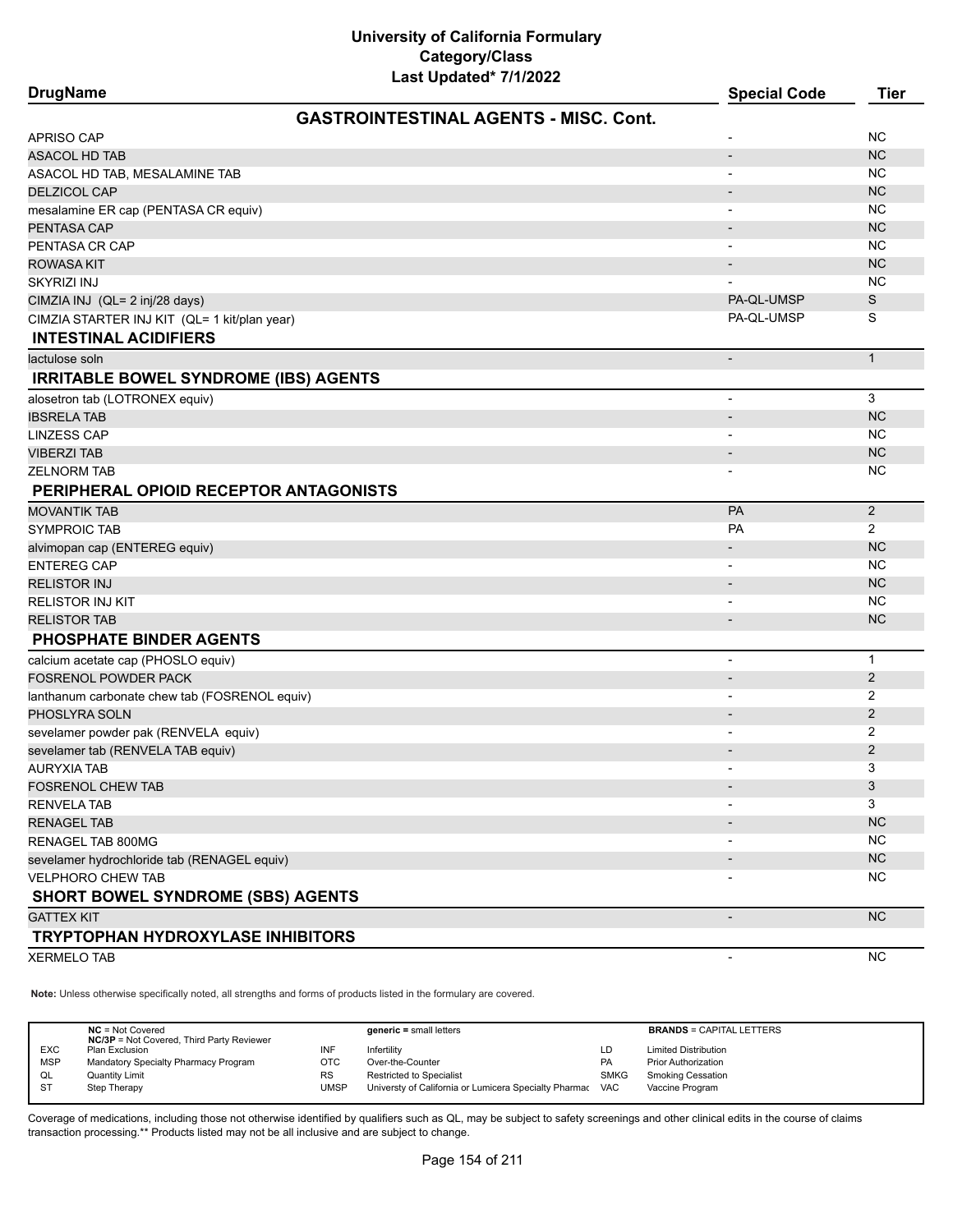| Last Updated <sup>*</sup> 7/1/2022<br><b>DrugName</b> | <b>Special Code</b>          | <b>Tier</b>    |
|-------------------------------------------------------|------------------------------|----------------|
|                                                       |                              |                |
| <b>GASTROINTESTINAL AGENTS - MISC, Cont.</b>          |                              |                |
| APRISO CAP                                            |                              | ΝC             |
| ASACOL HD TAB                                         |                              | <b>NC</b>      |
| ASACOL HD TAB, MESALAMINE TAB                         |                              | NC.            |
| <b>DELZICOL CAP</b>                                   |                              | <b>NC</b>      |
| mesalamine ER cap (PENTASA CR equiv)                  | $\qquad \qquad \blacksquare$ | NC             |
| PENTASA CAP                                           |                              | <b>NC</b>      |
| PENTASA CR CAP                                        | $\overline{\phantom{a}}$     | NC             |
| ROWASA KIT                                            |                              | <b>NC</b>      |
| SKYRIZI INJ                                           |                              | NC             |
| CIMZIA INJ (QL= 2 inj/28 days)                        | PA-QL-UMSP                   | S              |
| CIMZIA STARTER INJ KIT (QL= 1 kit/plan year)          | PA-QL-UMSP                   | S              |
| <b>INTESTINAL ACIDIFIERS</b>                          |                              |                |
| lactulose soln                                        | $\qquad \qquad \blacksquare$ | $\mathbf{1}$   |
| <b>IRRITABLE BOWEL SYNDROME (IBS) AGENTS</b>          |                              |                |
| alosetron tab (LOTRONEX equiv)                        | $\overline{\phantom{a}}$     | 3              |
| <b>IBSRELA TAB</b>                                    | $\overline{\phantom{m}}$     | NC             |
| <b>LINZESS CAP</b>                                    |                              | NC.            |
| <b>VIBERZI TAB</b>                                    | $\overline{\phantom{a}}$     | <b>NC</b>      |
| ZELNORM TAB                                           |                              | NC.            |
| PERIPHERAL OPIOID RECEPTOR ANTAGONISTS                |                              |                |
| MOVANTIK TAB                                          | PA                           | 2              |
| <b>SYMPROIC TAB</b>                                   | <b>PA</b>                    | $\overline{2}$ |
| alvimopan cap (ENTEREG equiv)                         |                              | <b>NC</b>      |
| <b>ENTEREG CAP</b>                                    |                              | NC             |
| <b>RELISTOR INJ</b>                                   | $\overline{\phantom{a}}$     | <b>NC</b>      |
| RELISTOR INJ KIT                                      | $\overline{\phantom{a}}$     | NC             |
| <b>RELISTOR TAB</b>                                   | $\overline{\phantom{m}}$     | <b>NC</b>      |
| <b>PHOSPHATE BINDER AGENTS</b>                        |                              |                |
| calcium acetate cap (PHOSLO equiv)                    | $\overline{\phantom{a}}$     | $\mathbf{1}$   |
| FOSRENOL POWDER PACK                                  | $\overline{\phantom{m}}$     | $\overline{2}$ |
| lanthanum carbonate chew tab (FOSRENOL equiv)         |                              | 2              |
| PHOSLYRA SOLN                                         | $\overline{\phantom{a}}$     | $\overline{2}$ |
| sevelamer powder pak (RENVELA equiv)                  | $\overline{\phantom{a}}$     | 2              |
| sevelamer tab (RENVELA TAB equiv)                     |                              | 2              |
| AURYXIA TAB                                           |                              | 3              |
| <b>FOSRENOL CHEW TAB</b>                              |                              | 3              |
| <b>RENVELA TAB</b>                                    |                              | 3              |
| <b>RENAGEL TAB</b>                                    |                              | <b>NC</b>      |
| RENAGEL TAB 800MG                                     |                              | <b>NC</b>      |
| sevelamer hydrochloride tab (RENAGEL equiv)           |                              | <b>NC</b>      |
| <b>VELPHORO CHEW TAB</b>                              |                              | <b>NC</b>      |
| <b>SHORT BOWEL SYNDROME (SBS) AGENTS</b>              |                              |                |
| <b>GATTEX KIT</b>                                     | $\overline{\phantom{a}}$     | <b>NC</b>      |
| <b>TRYPTOPHAN HYDROXYLASE INHIBITORS</b>              |                              |                |
| <b>XERMELO TAB</b>                                    | $\overline{\phantom{a}}$     | <b>NC</b>      |

**Note:** Unless otherwise specifically noted, all strengths and forms of products listed in the formulary are covered.

|            | $NC = Not Covered$<br><b>NC/3P</b> = Not Covered, Third Party Reviewer |      | $generic = small letters$                                 |             | <b>BRANDS = CAPITAL LETTERS</b> |
|------------|------------------------------------------------------------------------|------|-----------------------------------------------------------|-------------|---------------------------------|
| <b>EXC</b> | Plan Exclusion                                                         | INF  | Infertility                                               | LD          | <b>Limited Distribution</b>     |
| <b>MSP</b> | Mandatory Specialty Pharmacy Program                                   | отс  | Over-the-Counter                                          | PA          | <b>Prior Authorization</b>      |
| QL         | <b>Quantity Limit</b>                                                  | RS   | Restricted to Specialist                                  | <b>SMKG</b> | <b>Smoking Cessation</b>        |
| -ST        | Step Therapy                                                           | UMSP | Universty of California or Lumicera Specialty Pharmac VAC |             | Vaccine Program                 |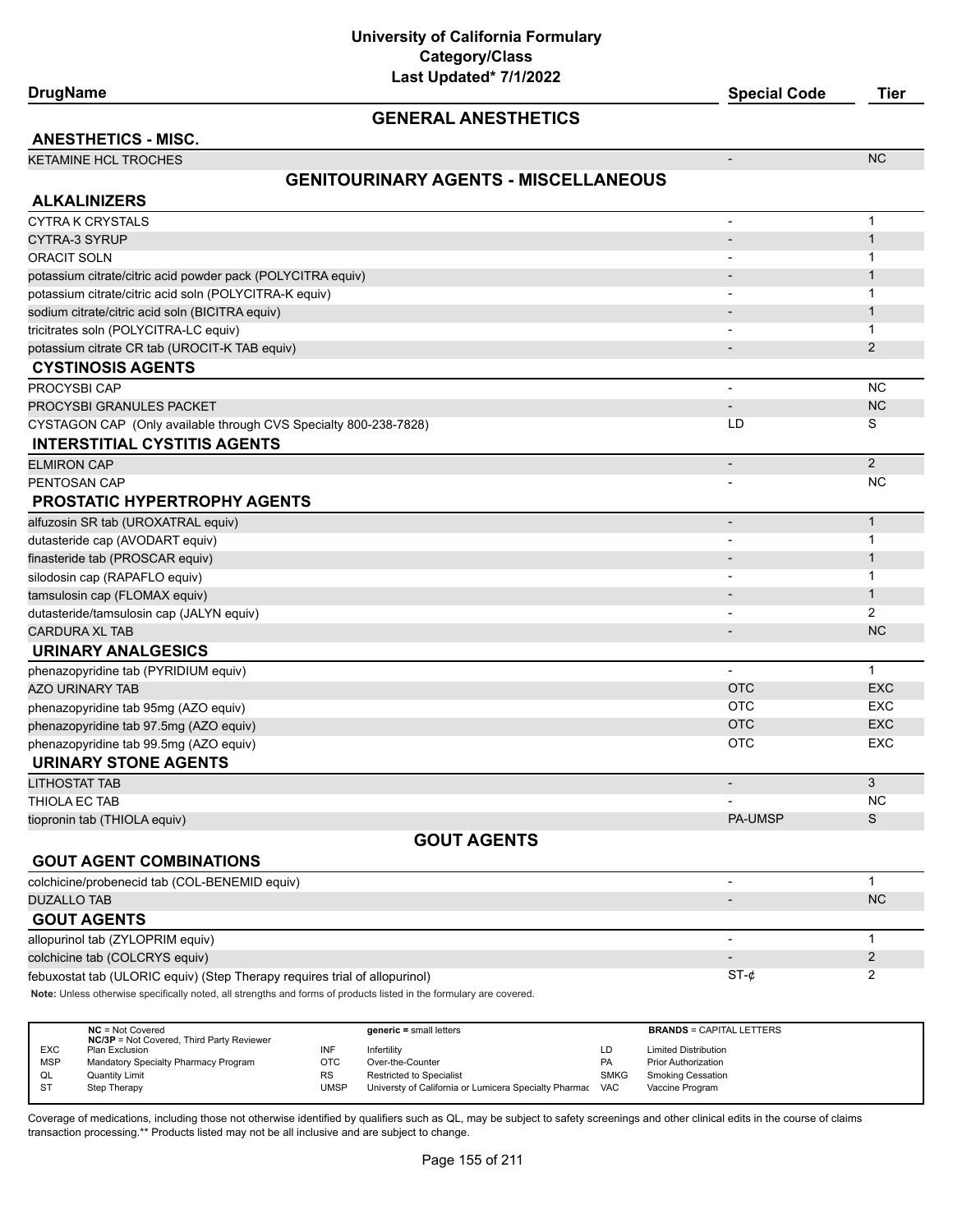#### **GENERAL ANESTHETICS**

**ANESTHETICS - MISC.** KETAMINE HCL TROCHES AND THE RESERVE THAT IS A RESERVE THAT IS A RESERVE THAT IS A RESERVE THAT IS A RESERVE THAT IS A RESERVE THAT IS A RESERVE THAT IS A RESERVE THAT IS A RESERVE THAT IS A RESERVE THAT IS A RESERVE THAT

#### **GENITOURINARY AGENTS - MISCELLANEOUS**

| <b>ALKALINIZERS</b>                                                                                                 |                |                |
|---------------------------------------------------------------------------------------------------------------------|----------------|----------------|
| <b>CYTRA K CRYSTALS</b>                                                                                             |                | $\mathbf 1$    |
| <b>CYTRA-3 SYRUP</b>                                                                                                |                | $\mathbf{1}$   |
| <b>ORACIT SOLN</b>                                                                                                  |                | $\mathbf 1$    |
| potassium citrate/citric acid powder pack (POLYCITRA equiv)                                                         |                | $\mathbf{1}$   |
| potassium citrate/citric acid soln (POLYCITRA-K equiv)                                                              |                | $\mathbf 1$    |
| sodium citrate/citric acid soln (BICITRA equiv)                                                                     |                | $\mathbf{1}$   |
| tricitrates soln (POLYCITRA-LC equiv)                                                                               |                | -1             |
| potassium citrate CR tab (UROCIT-K TAB equiv)                                                                       |                | $\overline{2}$ |
| <b>CYSTINOSIS AGENTS</b>                                                                                            |                |                |
| PROCYSBI CAP                                                                                                        | ÷,             | <b>NC</b>      |
| PROCYSBI GRANULES PACKET                                                                                            |                | <b>NC</b>      |
| CYSTAGON CAP (Only available through CVS Specialty 800-238-7828)                                                    | LD             | S              |
| <b>INTERSTITIAL CYSTITIS AGENTS</b>                                                                                 |                |                |
| <b>ELMIRON CAP</b>                                                                                                  |                | 2              |
| PENTOSAN CAP                                                                                                        |                | <b>NC</b>      |
| <b>PROSTATIC HYPERTROPHY AGENTS</b>                                                                                 |                |                |
| alfuzosin SR tab (UROXATRAL equiv)                                                                                  |                | $\mathbf{1}$   |
| dutasteride cap (AVODART equiv)                                                                                     |                | $\mathbf 1$    |
| finasteride tab (PROSCAR equiv)                                                                                     |                | $\mathbf{1}$   |
| silodosin cap (RAPAFLO equiv)                                                                                       |                | 1              |
| tamsulosin cap (FLOMAX equiv)                                                                                       |                | $\mathbf{1}$   |
| dutasteride/tamsulosin cap (JALYN equiv)                                                                            |                | 2              |
| <b>CARDURA XL TAB</b>                                                                                               |                | <b>NC</b>      |
| <b>URINARY ANALGESICS</b>                                                                                           |                |                |
| phenazopyridine tab (PYRIDIUM equiv)                                                                                |                | $\mathbf{1}$   |
| <b>AZO URINARY TAB</b>                                                                                              | <b>OTC</b>     | <b>EXC</b>     |
| phenazopyridine tab 95mg (AZO equiv)                                                                                | <b>OTC</b>     | <b>EXC</b>     |
| phenazopyridine tab 97.5mg (AZO equiv)                                                                              | <b>OTC</b>     | <b>EXC</b>     |
| phenazopyridine tab 99.5mg (AZO equiv)                                                                              | <b>OTC</b>     | EXC            |
| <b>URINARY STONE AGENTS</b>                                                                                         |                |                |
| <b>LITHOSTAT TAB</b>                                                                                                |                | 3              |
| THIOLA EC TAB                                                                                                       |                | <b>NC</b>      |
| tiopronin tab (THIOLA equiv)                                                                                        | <b>PA-UMSP</b> | S              |
| <b>GOUT AGENTS</b>                                                                                                  |                |                |
| <b>GOUT AGENT COMBINATIONS</b>                                                                                      |                |                |
| colchicine/probenecid tab (COL-BENEMID equiv)                                                                       | $\blacksquare$ | $\mathbf 1$    |
| <b>DUZALLO TAB</b>                                                                                                  |                | NC             |
| <b>GOUT AGENTS</b>                                                                                                  |                |                |
| allopurinol tab (ZYLOPRIM equiv)                                                                                    | $\overline{a}$ | $\mathbf{1}$   |
| colchicine tab (COLCRYS equiv)                                                                                      |                | $\overline{c}$ |
| febuxostat tab (ULORIC equiv) (Step Therapy requires trial of allopurinol)                                          | ST- $\phi$     | 2              |
| Note: Unless otherwise specifically noted, all strengths and forms of products listed in the formulary are covered. |                |                |
|                                                                                                                     |                |                |
|                                                                                                                     |                |                |

|            | $NC = Not Covered$                                                 |           | $generic = small letters$                             |             | <b>BRANDS = CAPITAL LETTERS</b> |
|------------|--------------------------------------------------------------------|-----------|-------------------------------------------------------|-------------|---------------------------------|
| <b>EXC</b> | <b>NC/3P</b> = Not Covered, Third Party Reviewer<br>Plan Exclusion | INF       | Infertility                                           | LD          | <b>Limited Distribution</b>     |
| <b>MSP</b> | Mandatory Specialty Pharmacy Program                               | OTC       | Over-the-Counter                                      | <b>PA</b>   | <b>Prior Authorization</b>      |
|            |                                                                    |           |                                                       |             |                                 |
| QL         | Quantity Limit                                                     | <b>RS</b> | <b>Restricted to Specialist</b>                       | <b>SMKG</b> | <b>Smoking Cessation</b>        |
| S1         | Step Therapy                                                       | UMSP      | Universty of California or Lumicera Specialty Pharmac | <b>VAC</b>  | Vaccine Program                 |

Coverage of medications, including those not otherwise identified by qualifiers such as QL, may be subject to safety screenings and other clinical edits in the course of claims transaction processing.\*\* Products listed may not be all inclusive and are subject to change.

**DrugName Special Code Tier**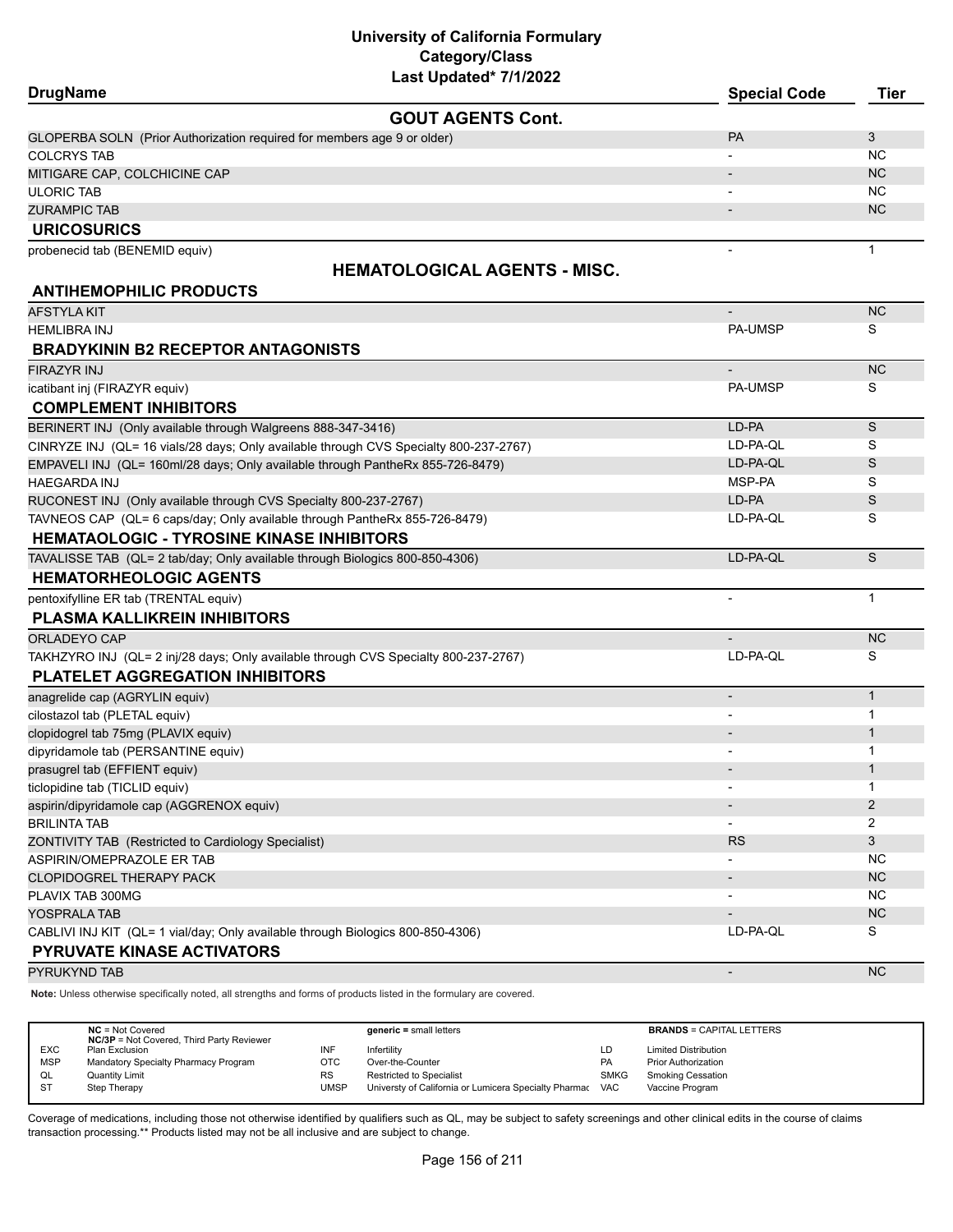| <b>DrugName</b>                                                                       | <b>Special Code</b>      | Tier         |
|---------------------------------------------------------------------------------------|--------------------------|--------------|
| <b>GOUT AGENTS Cont.</b>                                                              |                          |              |
| GLOPERBA SOLN (Prior Authorization required for members age 9 or older)               | <b>PA</b>                | 3            |
| <b>COLCRYS TAB</b>                                                                    |                          | NC.          |
| MITIGARE CAP, COLCHICINE CAP                                                          |                          | <b>NC</b>    |
| <b>ULORIC TAB</b>                                                                     |                          | NC.          |
| <b>ZURAMPIC TAB</b>                                                                   |                          | NC           |
| <b>URICOSURICS</b>                                                                    |                          |              |
| probenecid tab (BENEMID equiv)                                                        | $\overline{\phantom{a}}$ | $\mathbf{1}$ |
| <b>HEMATOLOGICAL AGENTS - MISC.</b>                                                   |                          |              |
| <b>ANTIHEMOPHILIC PRODUCTS</b>                                                        |                          |              |
| AFSTYLA KIT                                                                           |                          | <b>NC</b>    |
| <b>HEMLIBRA INJ</b>                                                                   | <b>PA-UMSP</b>           | S            |
| <b>BRADYKININ B2 RECEPTOR ANTAGONISTS</b>                                             |                          |              |
| <b>FIRAZYR INJ</b>                                                                    | $\overline{\phantom{a}}$ | <b>NC</b>    |
| icatibant inj (FIRAZYR equiv)                                                         | <b>PA-UMSP</b>           | S            |
| <b>COMPLEMENT INHIBITORS</b>                                                          |                          |              |
| BERINERT INJ (Only available through Walgreens 888-347-3416)                          | LD-PA                    | S            |
| CINRYZE INJ (QL= 16 vials/28 days; Only available through CVS Specialty 800-237-2767) | LD-PA-QL                 | S            |
| EMPAVELI INJ (QL= 160ml/28 days; Only available through PantheRx 855-726-8479)        | LD-PA-QL                 | S            |
| <b>HAEGARDA INJ</b>                                                                   | MSP-PA                   | S            |
| RUCONEST INJ (Only available through CVS Specialty 800-237-2767)                      | LD-PA                    | S            |
| TAVNEOS CAP (QL= 6 caps/day; Only available through PantheRx 855-726-8479)            | LD-PA-QL                 | S            |
| <b>HEMATAOLOGIC - TYROSINE KINASE INHIBITORS</b>                                      |                          |              |
| TAVALISSE TAB (QL= 2 tab/day; Only available through Biologics 800-850-4306)          | LD-PA-QL                 | S            |
| <b>HEMATORHEOLOGIC AGENTS</b>                                                         |                          |              |
| pentoxifylline ER tab (TRENTAL equiv)                                                 |                          | $\mathbf{1}$ |
| <b>PLASMA KALLIKREIN INHIBITORS</b>                                                   |                          |              |
| ORLADEYO CAP                                                                          |                          | <b>NC</b>    |
| TAKHZYRO INJ (QL= 2 inj/28 days; Only available through CVS Specialty 800-237-2767)   | LD-PA-QL                 | S            |
| <b>PLATELET AGGREGATION INHIBITORS</b>                                                |                          |              |
| anagrelide cap (AGRYLIN equiv)                                                        | $\overline{\phantom{a}}$ | $\mathbf{1}$ |
| cilostazol tab (PLETAL equiv)                                                         |                          | $\mathbf{1}$ |
| clopidogrel tab 75mg (PLAVIX equiv)                                                   |                          | $\mathbf{1}$ |
| dipyridamole tab (PERSANTINE equiv)                                                   |                          | 1            |
| prasugrel tab (EFFIENT equiv)                                                         |                          | $\mathbf 1$  |
| ticlopidine tab (TICLID equiv)                                                        |                          | 1            |
| aspirin/dipyridamole cap (AGGRENOX equiv)                                             |                          | 2            |
| <b>BRILINTA TAB</b>                                                                   |                          | 2            |
| ZONTIVITY TAB (Restricted to Cardiology Specialist)                                   | <b>RS</b>                | 3            |
| ASPIRIN/OMEPRAZOLE ER TAB                                                             |                          | <b>NC</b>    |
| CLOPIDOGREL THERAPY PACK                                                              |                          | <b>NC</b>    |
| PLAVIX TAB 300MG                                                                      |                          | NC.          |
| YOSPRALA TAB                                                                          |                          | NC           |
| CABLIVI INJ KIT (QL= 1 vial/day; Only available through Biologics 800-850-4306)       | LD-PA-QL                 | S            |
| <b>PYRUVATE KINASE ACTIVATORS</b>                                                     |                          |              |
| PYRUKYND TAB                                                                          | $\overline{\phantom{a}}$ | <b>NC</b>    |

**Note:** Unless otherwise specifically noted, all strengths and forms of products listed in the formulary are covered.

|            | $NC = Not Covered$<br><b>NC/3P</b> = Not Covered, Third Party Reviewer |      | $generic = small letters$                                 |             | <b>BRANDS = CAPITAL LETTERS</b> |
|------------|------------------------------------------------------------------------|------|-----------------------------------------------------------|-------------|---------------------------------|
| <b>EXC</b> | Plan Exclusion                                                         | INF  | Infertility                                               | LD          | <b>Limited Distribution</b>     |
| <b>MSP</b> | Mandatory Specialty Pharmacy Program                                   | отс  | Over-the-Counter                                          | PA          | <b>Prior Authorization</b>      |
| QL         | <b>Quantity Limit</b>                                                  | RS   | Restricted to Specialist                                  | <b>SMKG</b> | <b>Smoking Cessation</b>        |
| <b>ST</b>  | Step Therapy                                                           | JMSP | Universty of California or Lumicera Specialty Pharmac VAC |             | Vaccine Program                 |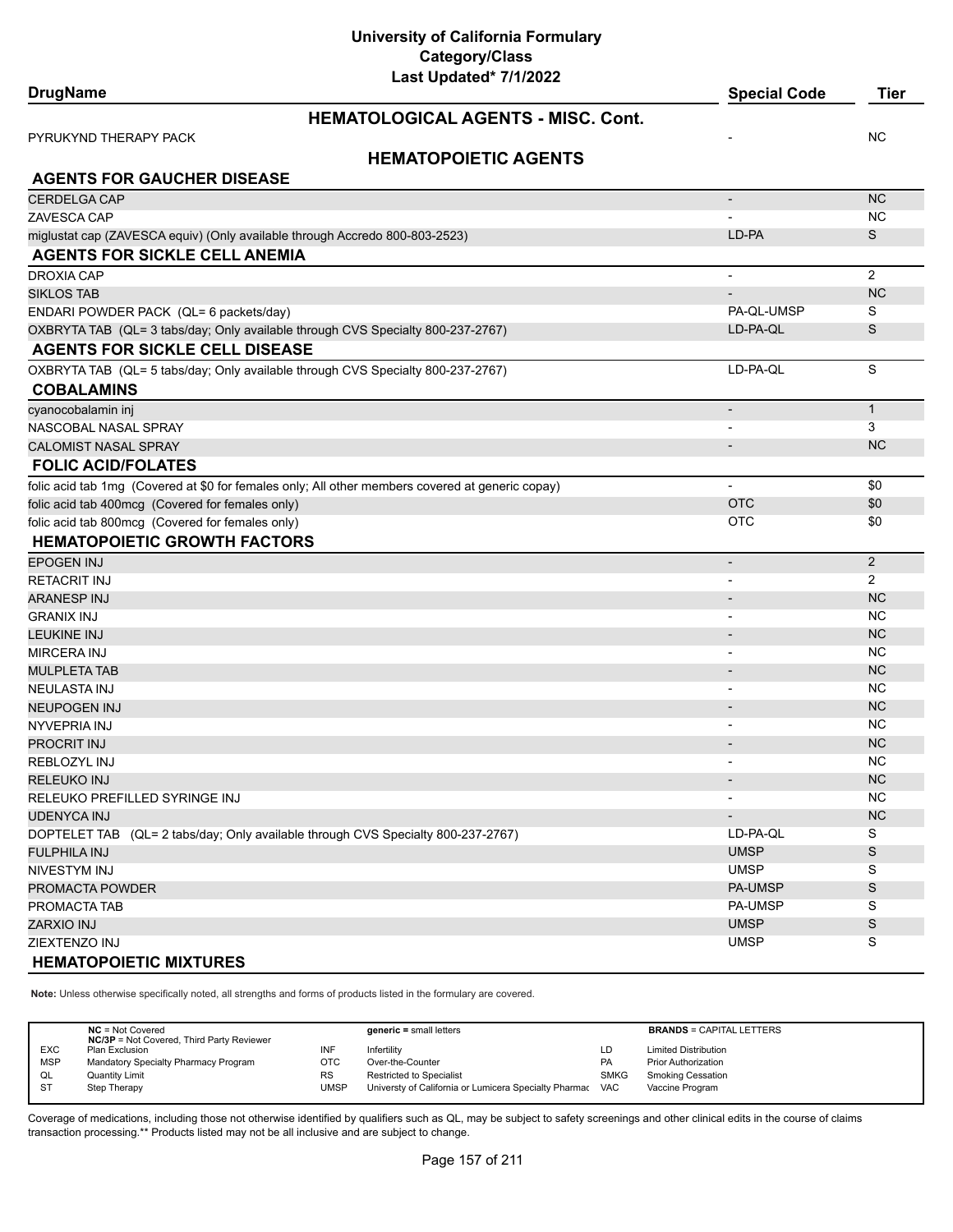**University of California Formulary Category/Class**

| Last Updated* 7/1/2022                                                                           |                          |                |
|--------------------------------------------------------------------------------------------------|--------------------------|----------------|
| <b>DrugName</b>                                                                                  | <b>Special Code</b>      | <b>Tier</b>    |
| <b>HEMATOLOGICAL AGENTS - MISC. Cont.</b>                                                        |                          |                |
| PYRUKYND THERAPY PACK                                                                            |                          | <b>NC</b>      |
| <b>HEMATOPOIETIC AGENTS</b>                                                                      |                          |                |
| <b>AGENTS FOR GAUCHER DISEASE</b>                                                                |                          |                |
| CERDELGA CAP                                                                                     | $\overline{\phantom{a}}$ | <b>NC</b>      |
| ZAVESCA CAP                                                                                      |                          | <b>NC</b>      |
| miglustat cap (ZAVESCA equiv) (Only available through Accredo 800-803-2523)                      | LD-PA                    | S              |
| <b>AGENTS FOR SICKLE CELL ANEMIA</b>                                                             |                          |                |
| <b>DROXIA CAP</b>                                                                                |                          | $\overline{2}$ |
| SIKLOS TAB                                                                                       |                          | <b>NC</b>      |
| ENDARI POWDER PACK (QL= 6 packets/day)                                                           | PA-QL-UMSP               | S              |
| OXBRYTA TAB (QL= 3 tabs/day; Only available through CVS Specialty 800-237-2767)                  | LD-PA-QL                 | S              |
| <b>AGENTS FOR SICKLE CELL DISEASE</b>                                                            |                          |                |
| OXBRYTA TAB (QL= 5 tabs/day; Only available through CVS Specialty 800-237-2767)                  | LD-PA-QL                 | S              |
| <b>COBALAMINS</b>                                                                                |                          |                |
| cyanocobalamin inj                                                                               | $\overline{\phantom{a}}$ | $\mathbf{1}$   |
| NASCOBAL NASAL SPRAY                                                                             | $\overline{\phantom{a}}$ | 3              |
| <b>CALOMIST NASAL SPRAY</b>                                                                      | $\overline{\phantom{0}}$ | <b>NC</b>      |
| <b>FOLIC ACID/FOLATES</b>                                                                        |                          |                |
| folic acid tab 1mg (Covered at \$0 for females only; All other members covered at generic copay) | $\blacksquare$           | \$0            |
| folic acid tab 400mcg (Covered for females only)                                                 | <b>OTC</b>               | \$0            |
| folic acid tab 800mcg (Covered for females only)                                                 | <b>OTC</b>               | \$0            |
| <b>HEMATOPOIETIC GROWTH FACTORS</b>                                                              |                          |                |
| <b>EPOGEN INJ</b>                                                                                | $\centerdot$             | $\overline{2}$ |
| RETACRIT INJ                                                                                     |                          | $\overline{2}$ |
| <b>ARANESP INJ</b>                                                                               |                          | <b>NC</b>      |
| <b>GRANIX INJ</b>                                                                                | $\overline{a}$           | <b>NC</b>      |
| <b>LEUKINE INJ</b>                                                                               |                          | <b>NC</b>      |
| MIRCERA INJ                                                                                      | $\overline{\phantom{a}}$ | <b>NC</b>      |
| MULPLETA TAB                                                                                     |                          | <b>NC</b>      |
| NEULASTA INJ                                                                                     | -                        | <b>NC</b>      |
| NEUPOGEN INJ                                                                                     |                          | <b>NC</b>      |
| NYVEPRIA INJ                                                                                     |                          | <b>NC</b>      |
| PROCRIT INJ                                                                                      |                          | <b>NC</b>      |
| REBLOZYL INJ                                                                                     | $\overline{\phantom{a}}$ | <b>NC</b>      |
| RELEUKO INJ                                                                                      |                          | <b>NC</b>      |
| RELEUKO PREFILLED SYRINGE INJ                                                                    |                          | <b>NC</b>      |
| <b>UDENYCA INJ</b>                                                                               | $\overline{\phantom{0}}$ | <b>NC</b>      |
| DOPTELET TAB (QL= 2 tabs/day; Only available through CVS Specialty 800-237-2767)                 | LD-PA-QL                 | S              |
| <b>FULPHILA INJ</b>                                                                              | <b>UMSP</b>              | S              |
| NIVESTYM INJ                                                                                     | <b>UMSP</b>              | S              |
| PROMACTA POWDER                                                                                  | <b>PA-UMSP</b>           | S              |
| PROMACTA TAB                                                                                     | PA-UMSP                  | S              |
| ZARXIO INJ                                                                                       | <b>UMSP</b>              | $\mathbb S$    |
| ZIEXTENZO INJ                                                                                    | <b>UMSP</b>              | S              |
| <b>HEMATOPOIETIC MIXTURES</b>                                                                    |                          |                |

**Note:** Unless otherwise specifically noted, all strengths and forms of products listed in the formulary are covered.

|            | $NC = Not Covered$<br><b>NC/3P</b> = Not Covered, Third Party Reviewer |           | $generic = small letters$                             |             | <b>BRANDS = CAPITAL LETTERS</b> |
|------------|------------------------------------------------------------------------|-----------|-------------------------------------------------------|-------------|---------------------------------|
| <b>EXC</b> | Plan Exclusion                                                         | INF       | Infertilitv                                           | LD          | <b>Limited Distribution</b>     |
| <b>MSP</b> | Mandatory Specialty Pharmacy Program                                   | отс       | Over-the-Counter                                      | PA          | <b>Prior Authorization</b>      |
| QL         | <b>Quantity Limit</b>                                                  | <b>RS</b> | <b>Restricted to Specialist</b>                       | <b>SMKG</b> | <b>Smoking Cessation</b>        |
| <b>ST</b>  | Step Therapy                                                           | UMSP      | Universty of California or Lumicera Specialty Pharmac | <b>VAC</b>  | Vaccine Program                 |
|            |                                                                        |           |                                                       |             |                                 |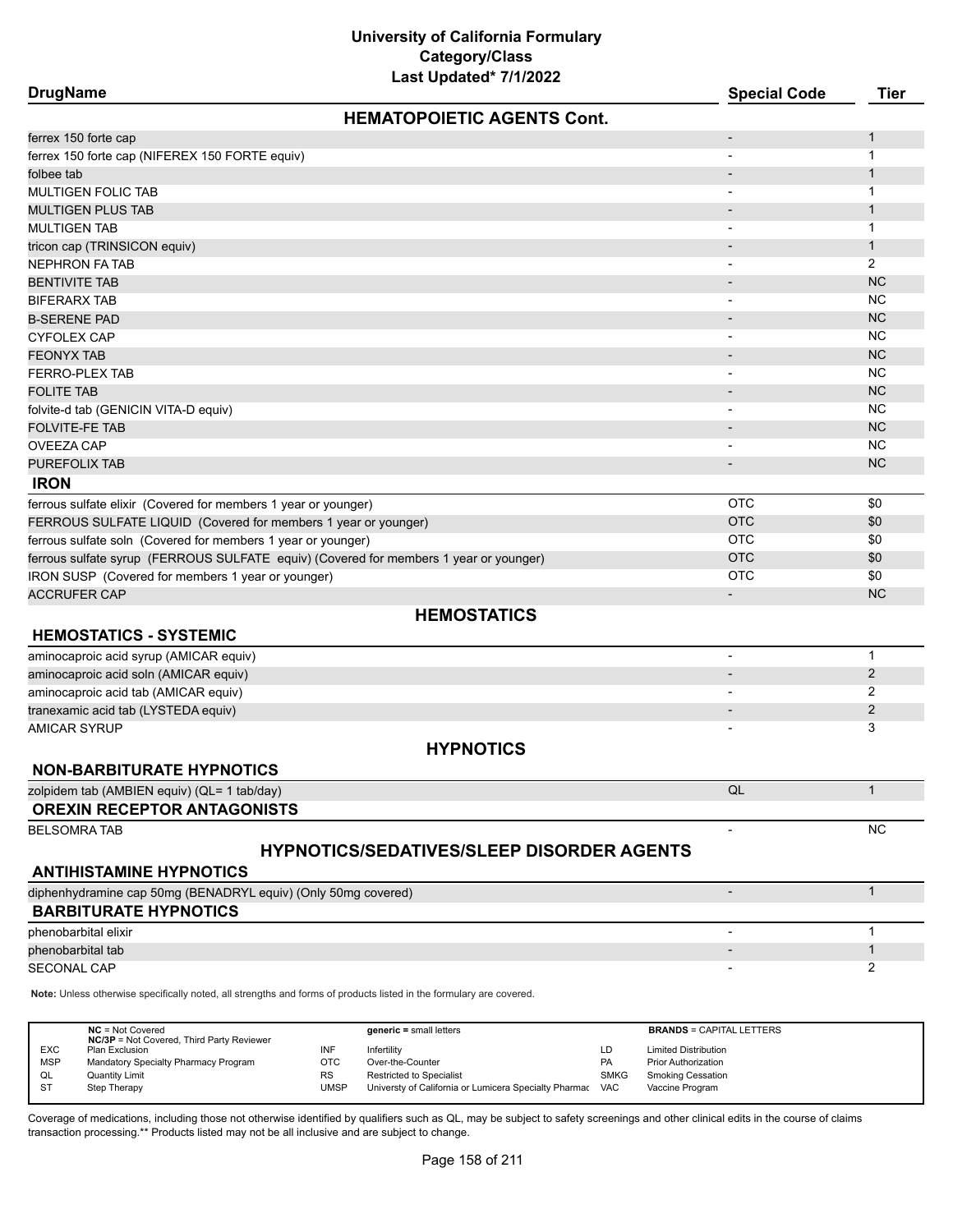| Last Updated* 7/1/2022<br><b>DrugName</b>                                                                           | <b>Special Code</b>          | <b>Tier</b>    |
|---------------------------------------------------------------------------------------------------------------------|------------------------------|----------------|
| <b>HEMATOPOIETIC AGENTS Cont.</b>                                                                                   |                              |                |
| ferrex 150 forte cap                                                                                                | $\overline{\phantom{m}}$     | 1              |
| ferrex 150 forte cap (NIFEREX 150 FORTE equiv)                                                                      |                              | 1              |
| folbee tab                                                                                                          |                              | 1              |
| <b>MULTIGEN FOLIC TAB</b>                                                                                           |                              | 1              |
| <b>MULTIGEN PLUS TAB</b>                                                                                            |                              | $\mathbf{1}$   |
| <b>MULTIGEN TAB</b>                                                                                                 |                              | 1              |
| tricon cap (TRINSICON equiv)                                                                                        |                              | $\mathbf{1}$   |
| <b>NEPHRON FA TAB</b>                                                                                               | $\overline{\phantom{0}}$     | 2              |
| <b>BENTIVITE TAB</b>                                                                                                |                              | <b>NC</b>      |
| <b>BIFERARX TAB</b>                                                                                                 | $\qquad \qquad \blacksquare$ | <b>NC</b>      |
| <b>B-SERENE PAD</b>                                                                                                 |                              | <b>NC</b>      |
| CYFOLEX CAP                                                                                                         | -                            | <b>NC</b>      |
| <b>FEONYX TAB</b>                                                                                                   |                              | <b>NC</b>      |
| <b>FERRO-PLEX TAB</b>                                                                                               |                              | <b>NC</b>      |
| <b>FOLITE TAB</b>                                                                                                   |                              | <b>NC</b>      |
| folvite-d tab (GENICIN VITA-D equiv)                                                                                | $\overline{\phantom{0}}$     | <b>NC</b>      |
| FOLVITE-FE TAB                                                                                                      |                              | <b>NC</b>      |
| <b>OVEEZA CAP</b>                                                                                                   | $\qquad \qquad \blacksquare$ | <b>NC</b>      |
| <b>PUREFOLIX TAB</b>                                                                                                | $\overline{a}$               | <b>NC</b>      |
| <b>IRON</b>                                                                                                         |                              |                |
| ferrous sulfate elixir (Covered for members 1 year or younger)                                                      | <b>OTC</b>                   | \$0            |
| FERROUS SULFATE LIQUID (Covered for members 1 year or younger)                                                      | <b>OTC</b>                   | \$0            |
| ferrous sulfate soln (Covered for members 1 year or younger)                                                        | <b>OTC</b>                   | \$0            |
| ferrous sulfate syrup (FERROUS SULFATE equiv) (Covered for members 1 year or younger)                               | <b>OTC</b>                   | \$0            |
| IRON SUSP (Covered for members 1 year or younger)                                                                   | <b>OTC</b>                   | \$0            |
| <b>ACCRUFER CAP</b>                                                                                                 |                              | <b>NC</b>      |
| <b>HEMOSTATICS</b>                                                                                                  |                              |                |
| <b>HEMOSTATICS - SYSTEMIC</b>                                                                                       |                              |                |
| aminocaproic acid syrup (AMICAR equiv)                                                                              | $\overline{\phantom{a}}$     | $\mathbf{1}$   |
| aminocaproic acid soln (AMICAR equiv)                                                                               |                              | $\overline{2}$ |
| aminocaproic acid tab (AMICAR equiv)                                                                                |                              | 2              |
| tranexamic acid tab (LYSTEDA equiv)                                                                                 |                              | 2              |
| AMICAR SYRUP                                                                                                        |                              | 3              |
| <b>HYPNOTICS</b>                                                                                                    |                              |                |
| <b>NON-BARBITURATE HYPNOTICS</b>                                                                                    |                              |                |
| zolpidem tab (AMBIEN equiv) (QL= 1 tab/day)                                                                         | QL                           | $\mathbf{1}$   |
| <b>OREXIN RECEPTOR ANTAGONISTS</b>                                                                                  |                              |                |
| <b>BELSOMRA TAB</b>                                                                                                 |                              | <b>NC</b>      |
| <b>HYPNOTICS/SEDATIVES/SLEEP DISORDER AGENTS</b>                                                                    |                              |                |
| <b>ANTIHISTAMINE HYPNOTICS</b>                                                                                      |                              |                |
| diphenhydramine cap 50mg (BENADRYL equiv) (Only 50mg covered)                                                       | $\overline{a}$               | $\mathbf{1}$   |
| <b>BARBITURATE HYPNOTICS</b>                                                                                        |                              |                |
| phenobarbital elixir                                                                                                |                              | 1              |
| phenobarbital tab                                                                                                   |                              | 1              |
| <b>SECONAL CAP</b>                                                                                                  |                              | 2              |
| Note: Unless otherwise specifically noted, all strengths and forms of products listed in the formulary are covered. |                              |                |

|            | $NC = Not Covered$<br><b>NC/3P</b> = Not Covered, Third Party Reviewer |           | $generic = small letters$                             |             | <b>BRANDS = CAPITAL LETTERS</b> |
|------------|------------------------------------------------------------------------|-----------|-------------------------------------------------------|-------------|---------------------------------|
| <b>EXC</b> | Plan Exclusion                                                         |           | Infertility                                           | LD          | <b>Limited Distribution</b>     |
| <b>MSP</b> | Mandatory Specialty Pharmacy Program                                   | отс       | Over-the-Counter                                      | PA          | <b>Prior Authorization</b>      |
| QL         | <b>Quantity Limit</b>                                                  | <b>RS</b> | <b>Restricted to Specialist</b>                       | <b>SMKG</b> | <b>Smoking Cessation</b>        |
| ST         | Step Therapy                                                           | UMSP      | Universty of California or Lumicera Specialty Pharmac | <b>VAC</b>  | Vaccine Program                 |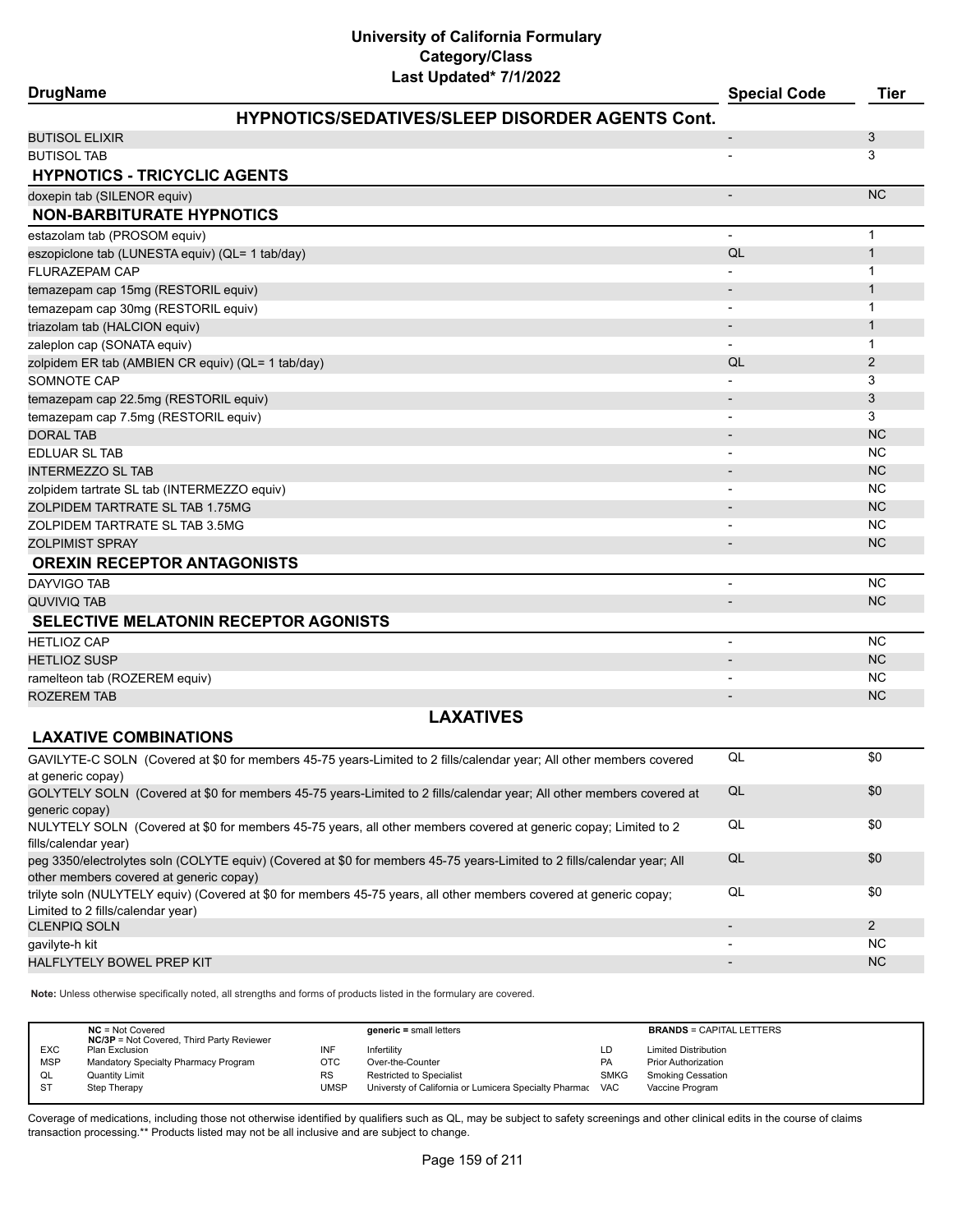| Last Updated" //1/2022<br><b>DrugName</b>                                                                                                                          | <b>Special Code</b>      | <b>Tier</b>    |
|--------------------------------------------------------------------------------------------------------------------------------------------------------------------|--------------------------|----------------|
| <b>HYPNOTICS/SEDATIVES/SLEEP DISORDER AGENTS Cont.</b>                                                                                                             |                          |                |
| <b>BUTISOL ELIXIR</b>                                                                                                                                              |                          | 3              |
| <b>BUTISOL TAB</b>                                                                                                                                                 |                          | 3              |
| <b>HYPNOTICS - TRICYCLIC AGENTS</b>                                                                                                                                |                          |                |
| doxepin tab (SILENOR equiv)                                                                                                                                        |                          | <b>NC</b>      |
| <b>NON-BARBITURATE HYPNOTICS</b>                                                                                                                                   |                          |                |
| estazolam tab (PROSOM equiv)                                                                                                                                       | $\overline{\phantom{a}}$ | $\mathbf{1}$   |
| eszopiclone tab (LUNESTA equiv) (QL= 1 tab/day)                                                                                                                    | QL                       | $\mathbf{1}$   |
| <b>FLURAZEPAM CAP</b>                                                                                                                                              |                          | 1              |
| temazepam cap 15mg (RESTORIL equiv)                                                                                                                                |                          | $\mathbf{1}$   |
| temazepam cap 30mg (RESTORIL equiv)                                                                                                                                | $\overline{\phantom{a}}$ | $\mathbf{1}$   |
| triazolam tab (HALCION equiv)                                                                                                                                      |                          | $\mathbf{1}$   |
| zaleplon cap (SONATA equiv)                                                                                                                                        |                          | 1              |
| zolpidem ER tab (AMBIEN CR equiv) (QL= 1 tab/day)                                                                                                                  | QL                       | 2              |
| SOMNOTE CAP                                                                                                                                                        |                          | 3              |
| temazepam cap 22.5mg (RESTORIL equiv)                                                                                                                              |                          | 3              |
| temazepam cap 7.5mg (RESTORIL equiv)                                                                                                                               |                          | 3              |
| <b>DORAL TAB</b>                                                                                                                                                   |                          | <b>NC</b>      |
| <b>EDLUAR SL TAB</b>                                                                                                                                               |                          | NC             |
| <b>INTERMEZZO SL TAB</b>                                                                                                                                           |                          | <b>NC</b>      |
| zolpidem tartrate SL tab (INTERMEZZO equiv)                                                                                                                        | $\overline{\phantom{a}}$ | NC             |
| ZOLPIDEM TARTRATE SL TAB 1.75MG                                                                                                                                    |                          | <b>NC</b>      |
| ZOLPIDEM TARTRATE SL TAB 3.5MG                                                                                                                                     |                          | <b>NC</b>      |
| <b>ZOLPIMIST SPRAY</b>                                                                                                                                             |                          | <b>NC</b>      |
| <b>OREXIN RECEPTOR ANTAGONISTS</b>                                                                                                                                 |                          |                |
| <b>DAYVIGO TAB</b>                                                                                                                                                 | $\overline{\phantom{a}}$ | <b>NC</b>      |
| <b>QUVIVIQ TAB</b>                                                                                                                                                 |                          | <b>NC</b>      |
| <b>SELECTIVE MELATONIN RECEPTOR AGONISTS</b>                                                                                                                       |                          |                |
| <b>HETLIOZ CAP</b>                                                                                                                                                 | $\overline{\phantom{a}}$ | <b>NC</b>      |
| <b>HETLIOZ SUSP</b>                                                                                                                                                |                          | NC             |
| ramelteon tab (ROZEREM equiv)                                                                                                                                      |                          | <b>NC</b>      |
| <b>ROZEREM TAB</b>                                                                                                                                                 | $\overline{\phantom{a}}$ | <b>NC</b>      |
| <b>LAXATIVES</b>                                                                                                                                                   |                          |                |
| <b>LAXATIVE COMBINATIONS</b>                                                                                                                                       |                          |                |
| GAVILYTE-C SOLN (Covered at \$0 for members 45-75 years-Limited to 2 fills/calendar year; All other members covered                                                | QL                       | \$0            |
| at generic copay)                                                                                                                                                  |                          |                |
| GOLYTELY SOLN (Covered at \$0 for members 45-75 years-Limited to 2 fills/calendar year; All other members covered at                                               | QL                       | \$0            |
| generic copay)                                                                                                                                                     |                          |                |
| NULYTELY SOLN (Covered at \$0 for members 45-75 years, all other members covered at generic copay; Limited to 2                                                    | QL                       | \$0            |
| fills/calendar year)                                                                                                                                               |                          |                |
| peg 3350/electrolytes soln (COLYTE equiv) (Covered at \$0 for members 45-75 years-Limited to 2 fills/calendar year; All<br>other members covered at generic copay) | QL                       | \$0            |
| trilyte soln (NULYTELY equiv) (Covered at \$0 for members 45-75 years, all other members covered at generic copay;                                                 | QL                       | \$0            |
| Limited to 2 fills/calendar year)                                                                                                                                  |                          |                |
| <b>CLENPIQ SOLN</b>                                                                                                                                                |                          | $\overline{2}$ |
| gavilyte-h kit                                                                                                                                                     |                          | <b>NC</b>      |
| HALFLYTELY BOWEL PREP KIT                                                                                                                                          |                          | NC             |
|                                                                                                                                                                    |                          |                |

**Note:** Unless otherwise specifically noted, all strengths and forms of products listed in the formulary are covered.

|            | $NC = Not Covered$<br><b>NC/3P</b> = Not Covered, Third Party Reviewer |           | $generic = small letters$                             |             | <b>BRANDS = CAPITAL LETTERS</b> |
|------------|------------------------------------------------------------------------|-----------|-------------------------------------------------------|-------------|---------------------------------|
| <b>EXC</b> | Plan Exclusion                                                         | INF       | Infertility                                           | LD          | <b>Limited Distribution</b>     |
| <b>MSP</b> | Mandatory Specialty Pharmacy Program                                   | отс       | Over-the-Counter                                      | <b>PA</b>   | <b>Prior Authorization</b>      |
| QL         | <b>Quantity Limit</b>                                                  | <b>RS</b> | <b>Restricted to Specialist</b>                       | <b>SMKG</b> | <b>Smoking Cessation</b>        |
| <b>ST</b>  | Step Therapy                                                           | UMSP      | Universty of California or Lumicera Specialty Pharmac | VAC         | Vaccine Program                 |
|            |                                                                        |           |                                                       |             |                                 |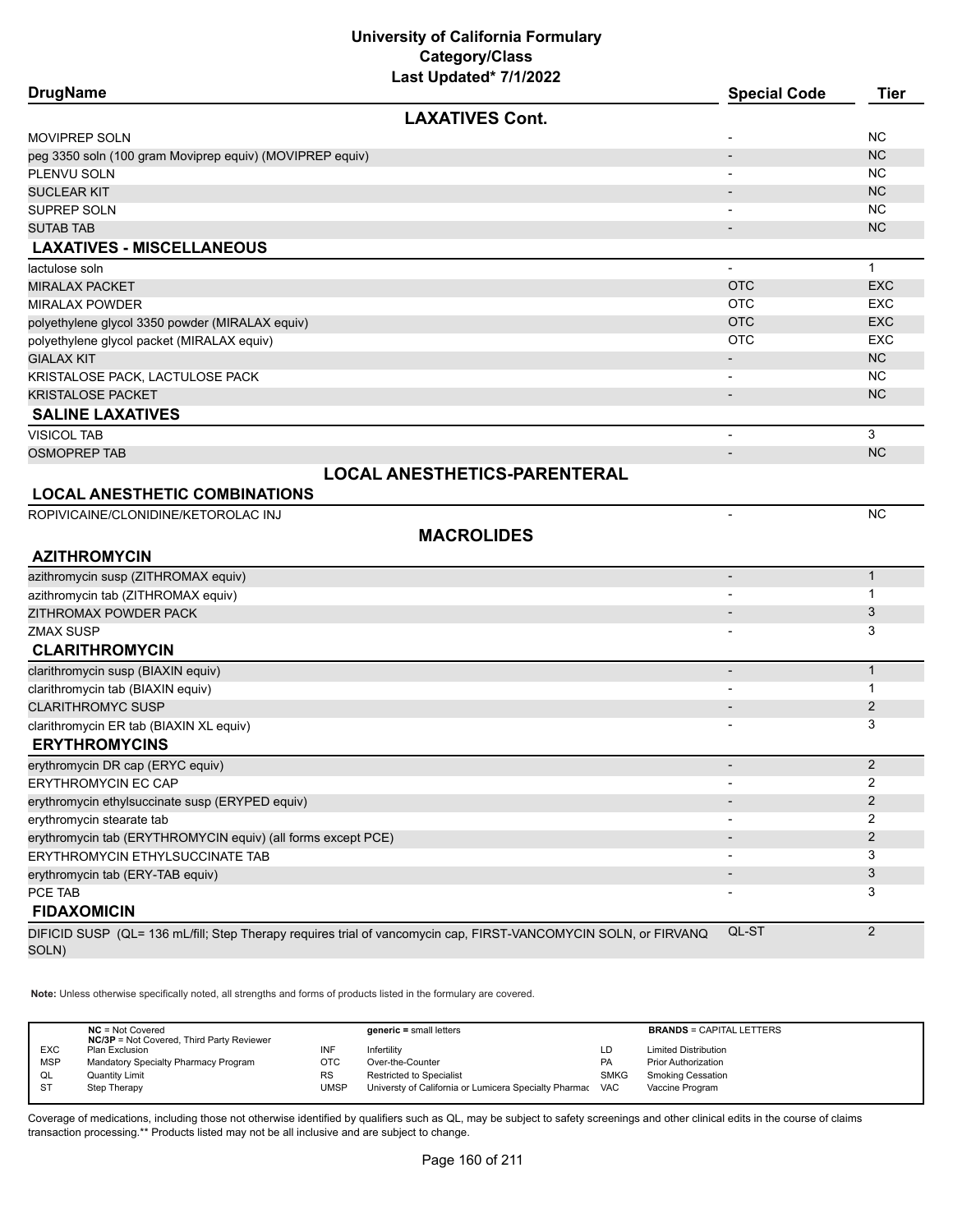| <b>DrugName</b>                                              |                                                                                                                 | <b>Special Code</b>      | <b>Tier</b>    |
|--------------------------------------------------------------|-----------------------------------------------------------------------------------------------------------------|--------------------------|----------------|
|                                                              | <b>LAXATIVES Cont.</b>                                                                                          |                          |                |
| <b>MOVIPREP SOLN</b>                                         |                                                                                                                 |                          | <b>NC</b>      |
| peg 3350 soln (100 gram Moviprep equiv) (MOVIPREP equiv)     |                                                                                                                 |                          | <b>NC</b>      |
| PLENVU SOLN                                                  |                                                                                                                 |                          | <b>NC</b>      |
| <b>SUCLEAR KIT</b>                                           |                                                                                                                 |                          | <b>NC</b>      |
| <b>SUPREP SOLN</b>                                           |                                                                                                                 |                          | <b>NC</b>      |
| <b>SUTAB TAB</b>                                             |                                                                                                                 | $\overline{\phantom{a}}$ | <b>NC</b>      |
| <b>LAXATIVES - MISCELLANEOUS</b>                             |                                                                                                                 |                          |                |
| lactulose soln                                               |                                                                                                                 | $\blacksquare$           | $\mathbf{1}$   |
| <b>MIRALAX PACKET</b>                                        |                                                                                                                 | <b>OTC</b>               | <b>EXC</b>     |
| <b>MIRALAX POWDER</b>                                        |                                                                                                                 | <b>OTC</b>               | <b>EXC</b>     |
| polyethylene glycol 3350 powder (MIRALAX equiv)              |                                                                                                                 | <b>OTC</b>               | <b>EXC</b>     |
| polyethylene glycol packet (MIRALAX equiv)                   |                                                                                                                 | <b>OTC</b>               | <b>EXC</b>     |
| <b>GIALAX KIT</b>                                            |                                                                                                                 | $\overline{\phantom{a}}$ | <b>NC</b>      |
| KRISTALOSE PACK, LACTULOSE PACK                              |                                                                                                                 | $\overline{\phantom{a}}$ | <b>NC</b>      |
| <b>KRISTALOSE PACKET</b>                                     |                                                                                                                 | $\overline{\phantom{a}}$ | <b>NC</b>      |
| <b>SALINE LAXATIVES</b>                                      |                                                                                                                 |                          |                |
| <b>VISICOL TAB</b>                                           |                                                                                                                 | $\overline{a}$           | 3              |
| <b>OSMOPREP TAB</b>                                          |                                                                                                                 | $\overline{\phantom{a}}$ | <b>NC</b>      |
|                                                              | <b>LOCAL ANESTHETICS-PARENTERAL</b>                                                                             |                          |                |
| <b>LOCAL ANESTHETIC COMBINATIONS</b>                         |                                                                                                                 |                          |                |
| ROPIVICAINE/CLONIDINE/KETOROLAC INJ                          |                                                                                                                 | $\overline{\phantom{a}}$ | <b>NC</b>      |
|                                                              | <b>MACROLIDES</b>                                                                                               |                          |                |
| <b>AZITHROMYCIN</b>                                          |                                                                                                                 |                          |                |
| azithromycin susp (ZITHROMAX equiv)                          |                                                                                                                 | $\overline{\phantom{a}}$ | $\mathbf{1}$   |
| azithromycin tab (ZITHROMAX equiv)                           |                                                                                                                 |                          | $\mathbf 1$    |
| ZITHROMAX POWDER PACK                                        |                                                                                                                 |                          | 3              |
| <b>ZMAX SUSP</b>                                             |                                                                                                                 |                          | 3              |
| <b>CLARITHROMYCIN</b>                                        |                                                                                                                 |                          |                |
| clarithromycin susp (BIAXIN equiv)                           |                                                                                                                 |                          | $\mathbf{1}$   |
| clarithromycin tab (BIAXIN equiv)                            |                                                                                                                 |                          | 1              |
| <b>CLARITHROMYC SUSP</b>                                     |                                                                                                                 |                          | $\overline{2}$ |
| clarithromycin ER tab (BIAXIN XL equiv)                      |                                                                                                                 |                          | 3              |
| <b>ERYTHROMYCINS</b>                                         |                                                                                                                 |                          |                |
| erythromycin DR cap (ERYC equiv)                             |                                                                                                                 |                          | $\overline{2}$ |
| ERYTHROMYCIN EC CAP                                          |                                                                                                                 |                          | $\overline{c}$ |
| erythromycin ethylsuccinate susp (ERYPED equiv)              |                                                                                                                 |                          | 2              |
| erythromycin stearate tab                                    |                                                                                                                 |                          | 2              |
| erythromycin tab (ERYTHROMYCIN equiv) (all forms except PCE) |                                                                                                                 |                          | $\overline{2}$ |
| ERYTHROMYCIN ETHYLSUCCINATE TAB                              |                                                                                                                 |                          | 3              |
| erythromycin tab (ERY-TAB equiv)                             |                                                                                                                 |                          | 3              |
| PCE TAB                                                      |                                                                                                                 |                          | 3              |
| <b>FIDAXOMICIN</b>                                           |                                                                                                                 |                          |                |
|                                                              | DIFICID SUSP (QL= 136 mL/fill; Step Therapy requires trial of vancomycin cap, FIRST-VANCOMYCIN SOLN, or FIRVANQ | QL-ST                    | 2              |
| SOLN)                                                        |                                                                                                                 |                          |                |

**Note:** Unless otherwise specifically noted, all strengths and forms of products listed in the formulary are covered.

|            | $NC = Not Covered$<br><b>NC/3P</b> = Not Covered, Third Party Reviewer |           | $generic = small letters$                             |             | <b>BRANDS = CAPITAL LETTERS</b> |
|------------|------------------------------------------------------------------------|-----------|-------------------------------------------------------|-------------|---------------------------------|
| <b>EXC</b> | Plan Exclusion                                                         | INF       | Infertility                                           | LD          | <b>Limited Distribution</b>     |
| <b>MSP</b> | Mandatory Specialty Pharmacy Program                                   | отс       | Over-the-Counter                                      | PA          | <b>Prior Authorization</b>      |
| QL         | <b>Quantity Limit</b>                                                  | <b>RS</b> | <b>Restricted to Specialist</b>                       | <b>SMKG</b> | Smoking Cessation               |
| ST         | Step Therapy                                                           | UMSP      | Universty of California or Lumicera Specialty Pharmac | <b>VAC</b>  | Vaccine Program                 |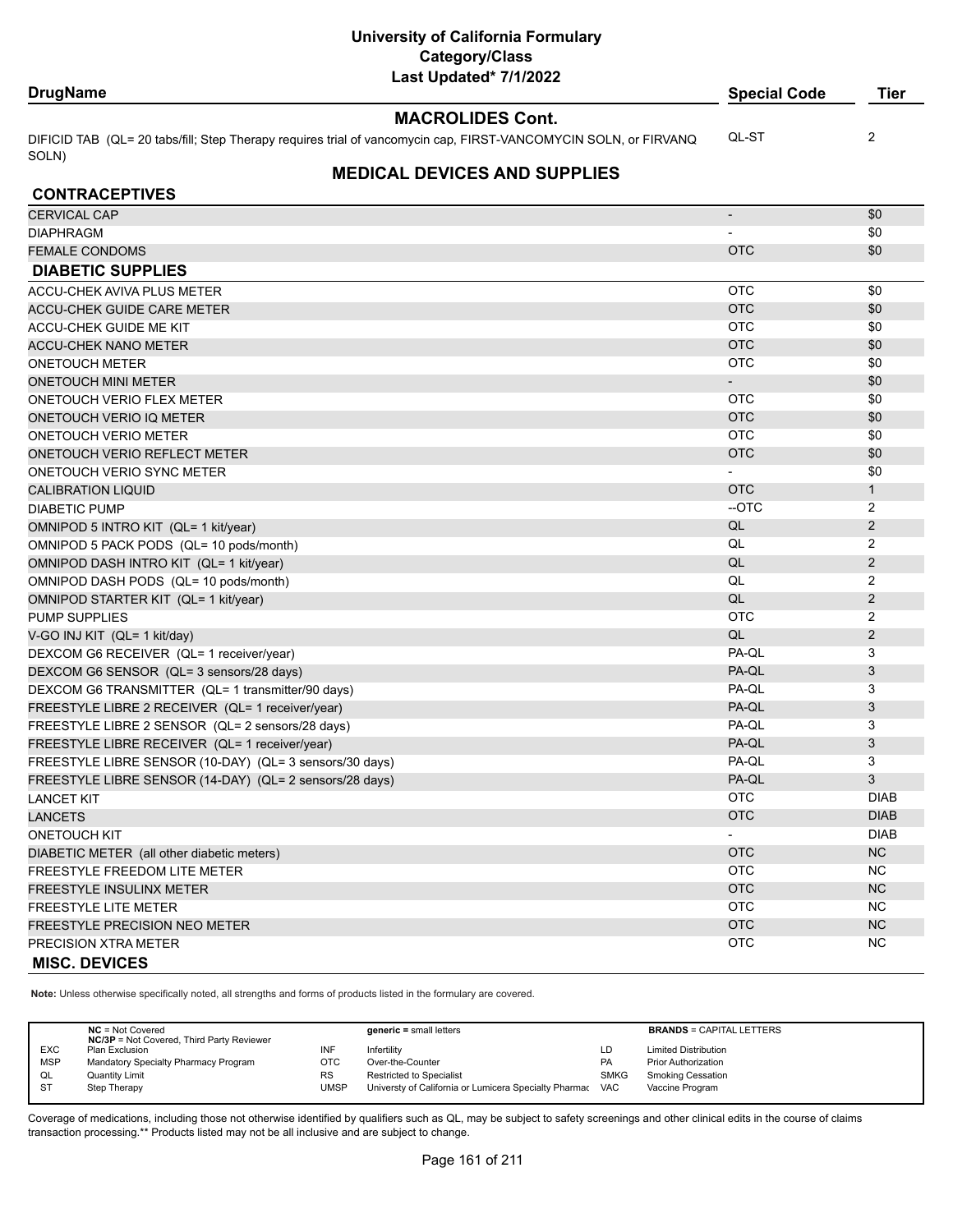#### **DrugName Special Code Tier**

**MACROLIDES Cont.**

DIFICID TAB (QL= 20 tabs/fill; Step Therapy requires trial of vancomycin cap, FIRST-VANCOMYCIN SOLN, or FIRVANQ SOLN) QL-ST 2

# **MEDICAL DEVICES AND SUPPLIES**

| <b>CONTRACEPTIVES</b>                                   |                          |                |
|---------------------------------------------------------|--------------------------|----------------|
| <b>CERVICAL CAP</b>                                     | $\overline{\phantom{a}}$ | \$0            |
| <b>DIAPHRAGM</b>                                        |                          | \$0            |
| <b>FEMALE CONDOMS</b>                                   | <b>OTC</b>               | \$0            |
| <b>DIABETIC SUPPLIES</b>                                |                          |                |
| <b>ACCU-CHEK AVIVA PLUS METER</b>                       | <b>OTC</b>               | \$0            |
| <b>ACCU-CHEK GUIDE CARE METER</b>                       | <b>OTC</b>               | \$0            |
| <b>ACCU-CHEK GUIDE ME KIT</b>                           | <b>OTC</b>               | \$0            |
| <b>ACCU-CHEK NANO METER</b>                             | <b>OTC</b>               | \$0            |
| <b>ONETOUCH METER</b>                                   | <b>OTC</b>               | \$0            |
| <b>ONETOUCH MINI METER</b>                              | $\blacksquare$           | \$0            |
| ONETOUCH VERIO FLEX METER                               | <b>OTC</b>               | \$0            |
| ONETOUCH VERIO IQ METER                                 | <b>OTC</b>               | \$0            |
| <b>ONETOUCH VERIO METER</b>                             | <b>OTC</b>               | \$0            |
| <b>ONETOUCH VERIO REFLECT METER</b>                     | <b>OTC</b>               | \$0            |
| <b>ONETOUCH VERIO SYNC METER</b>                        |                          | \$0            |
| <b>CALIBRATION LIQUID</b>                               | <b>OTC</b>               | $\mathbf{1}$   |
| <b>DIABETIC PUMP</b>                                    | $-OTC$                   | $\overline{2}$ |
| OMNIPOD 5 INTRO KIT (QL= 1 kit/year)                    | QL                       | $\overline{2}$ |
| OMNIPOD 5 PACK PODS (QL= 10 pods/month)                 | QL                       | $\overline{2}$ |
| OMNIPOD DASH INTRO KIT (QL= 1 kit/year)                 | QL                       | 2              |
| OMNIPOD DASH PODS (QL= 10 pods/month)                   | QL                       | $\overline{2}$ |
| OMNIPOD STARTER KIT (QL= 1 kit/year)                    | QL                       | 2              |
| <b>PUMP SUPPLIES</b>                                    | <b>OTC</b>               | $\overline{2}$ |
| V-GO INJ KIT (QL= 1 kit/day)                            | QL                       | $\overline{2}$ |
| DEXCOM G6 RECEIVER (QL= 1 receiver/year)                | PA-QL                    | 3              |
| DEXCOM G6 SENSOR (QL= 3 sensors/28 days)                | PA-QL                    | 3              |
| DEXCOM G6 TRANSMITTER (QL= 1 transmitter/90 days)       | PA-QL                    | 3              |
| FREESTYLE LIBRE 2 RECEIVER (QL= 1 receiver/year)        | PA-QL                    | 3              |
| FREESTYLE LIBRE 2 SENSOR (QL= 2 sensors/28 days)        | PA-QL                    | 3              |
| FREESTYLE LIBRE RECEIVER (QL= 1 receiver/year)          | PA-QL                    | 3              |
| FREESTYLE LIBRE SENSOR (10-DAY) (QL= 3 sensors/30 days) | PA-QL                    | 3              |
| FREESTYLE LIBRE SENSOR (14-DAY) (QL= 2 sensors/28 days) | PA-QL                    | 3              |
| <b>LANCET KIT</b>                                       | <b>OTC</b>               | <b>DIAB</b>    |
| <b>LANCETS</b>                                          | <b>OTC</b>               | <b>DIAB</b>    |
| <b>ONETOUCH KIT</b>                                     | $\blacksquare$           | <b>DIAB</b>    |
| DIABETIC METER (all other diabetic meters)              | <b>OTC</b>               | <b>NC</b>      |
| <b>FREESTYLE FREEDOM LITE METER</b>                     | <b>OTC</b>               | <b>NC</b>      |
| <b>FREESTYLE INSULINX METER</b>                         | <b>OTC</b>               | <b>NC</b>      |
| <b>FREESTYLE LITE METER</b>                             | <b>OTC</b>               | <b>NC</b>      |
| <b>FREESTYLE PRECISION NEO METER</b>                    | <b>OTC</b>               | <b>NC</b>      |
| PRECISION XTRA METER                                    | <b>OTC</b>               | <b>NC</b>      |
| <b>MISC. DEVICES</b>                                    |                          |                |

**Note:** Unless otherwise specifically noted, all strengths and forms of products listed in the formulary are covered.

|            | $NC = Not Covered$<br><b>NC/3P</b> = Not Covered, Third Party Reviewer |             | $generic = small letters$                             |             | <b>BRANDS = CAPITAL LETTERS</b> |
|------------|------------------------------------------------------------------------|-------------|-------------------------------------------------------|-------------|---------------------------------|
| <b>EXC</b> | Plan Exclusion                                                         | INF         | Infertility                                           | LD          | <b>Limited Distribution</b>     |
| <b>MSP</b> | Mandatory Specialty Pharmacy Program                                   | OTC         | Over-the-Counter                                      | PA          | <b>Prior Authorization</b>      |
| QL         | <b>Quantity Limit</b>                                                  | <b>RS</b>   | <b>Restricted to Specialist</b>                       | <b>SMKG</b> | <b>Smoking Cessation</b>        |
| <b>ST</b>  | Step Therapy                                                           | <b>UMSP</b> | Universty of California or Lumicera Specialty Pharmac | <b>VAC</b>  | Vaccine Program                 |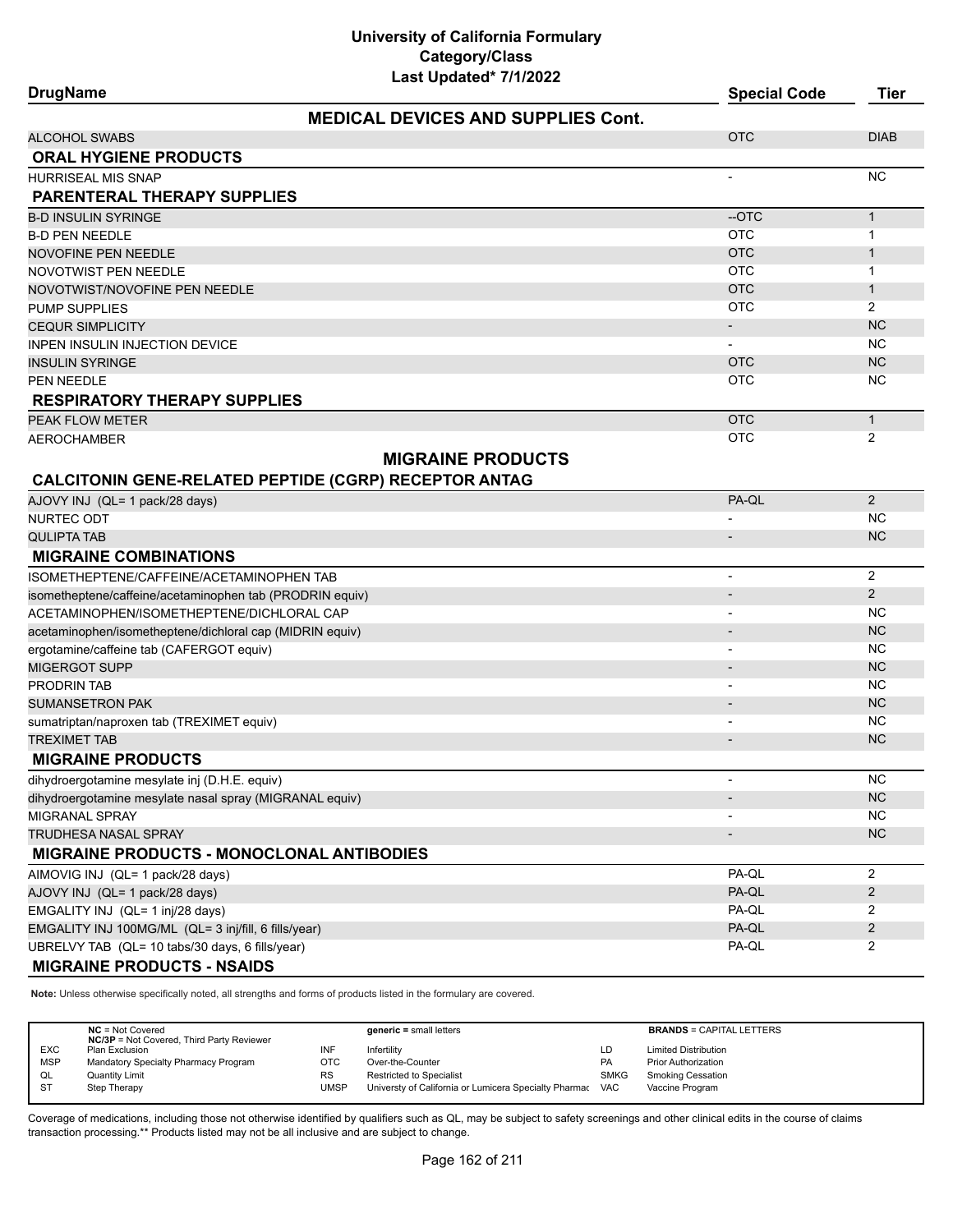| <b>DrugName</b>                                                  | <b>Special Code</b>      | <b>Tier</b>            |
|------------------------------------------------------------------|--------------------------|------------------------|
| <b>MEDICAL DEVICES AND SUPPLIES Cont.</b>                        |                          |                        |
| ALCOHOL SWABS                                                    | <b>OTC</b>               | <b>DIAB</b>            |
| <b>ORAL HYGIENE PRODUCTS</b>                                     |                          |                        |
| HURRISEAL MIS SNAP                                               |                          | <b>NC</b>              |
| <b>PARENTERAL THERAPY SUPPLIES</b>                               |                          |                        |
| B-D INSULIN SYRINGE                                              | --OTC                    | $\mathbf{1}$           |
| <b>B-D PEN NEEDLE</b>                                            | <b>OTC</b>               | $\mathbf{1}$           |
| NOVOFINE PEN NEEDLE                                              | <b>OTC</b>               | $\mathbf{1}$           |
| NOVOTWIST PEN NEEDLE                                             | <b>OTC</b>               | 1                      |
| NOVOTWIST/NOVOFINE PEN NEEDLE                                    | <b>OTC</b>               | $\mathbf{1}$           |
| PUMP SUPPLIES                                                    | <b>OTC</b>               | 2                      |
| <b>CEQUR SIMPLICITY</b>                                          | $\overline{\phantom{a}}$ | <b>NC</b>              |
| INPEN INSULIN INJECTION DEVICE                                   |                          | NC                     |
| INSULIN SYRINGE                                                  | <b>OTC</b><br><b>OTC</b> | <b>NC</b><br><b>NC</b> |
| PEN NEEDLE                                                       |                          |                        |
| <b>RESPIRATORY THERAPY SUPPLIES</b>                              |                          |                        |
| PEAK FLOW METER<br>AEROCHAMBER                                   | <b>OTC</b><br><b>OTC</b> | $\mathbf{1}$<br>2      |
|                                                                  |                          |                        |
| <b>MIGRAINE PRODUCTS</b>                                         |                          |                        |
| <b>CALCITONIN GENE-RELATED PEPTIDE (CGRP) RECEPTOR ANTAG</b>     |                          |                        |
| AJOVY INJ (QL= 1 pack/28 days)                                   | PA-QL                    | $\overline{2}$         |
| NURTEC ODT                                                       |                          | NC.                    |
| <b>QULIPTA TAB</b>                                               |                          | <b>NC</b>              |
| <b>MIGRAINE COMBINATIONS</b>                                     |                          |                        |
| ISOMETHEPTENE/CAFFEINE/ACETAMINOPHEN TAB                         | $\overline{\phantom{0}}$ | 2                      |
| isometheptene/caffeine/acetaminophen tab (PRODRIN equiv)         |                          | 2                      |
| ACETAMINOPHEN/ISOMETHEPTENE/DICHLORAL CAP                        |                          | NС                     |
| acetaminophen/isometheptene/dichloral cap (MIDRIN equiv)         |                          | <b>NC</b>              |
| ergotamine/caffeine tab (CAFERGOT equiv)                         | $\overline{\phantom{a}}$ | NC                     |
| MIGERGOT SUPP                                                    |                          | <b>NC</b>              |
| PRODRIN TAB<br><b>SUMANSETRON PAK</b>                            |                          | <b>NC</b>              |
|                                                                  |                          | <b>NC</b><br><b>NC</b> |
| sumatriptan/naproxen tab (TREXIMET equiv)<br><b>TREXIMET TAB</b> |                          | <b>NC</b>              |
| <b>MIGRAINE PRODUCTS</b>                                         |                          |                        |
|                                                                  |                          |                        |
| dihydroergotamine mesylate inj (D.H.E. equiv)                    |                          | ΝC                     |
| dihydroergotamine mesylate nasal spray (MIGRANAL equiv)          | $\overline{\phantom{a}}$ | NC                     |
| MIGRANAL SPRAY<br>TRUDHESA NASAL SPRAY                           |                          | NC.<br><b>NC</b>       |
|                                                                  | $\overline{\phantom{a}}$ |                        |
| <b>MIGRAINE PRODUCTS - MONOCLONAL ANTIBODIES</b>                 |                          |                        |
| AIMOVIG INJ (QL= 1 pack/28 days)                                 | PA-QL                    | 2                      |
| AJOVY INJ (QL= 1 pack/28 days)                                   | PA-QL                    | $\overline{2}$         |
| EMGALITY INJ (QL= 1 inj/28 days)                                 | PA-QL                    | 2                      |
| EMGALITY INJ 100MG/ML (QL= 3 inj/fill, 6 fills/year)             | PA-QL<br>PA-QL           | $\overline{2}$         |
| UBRELVY TAB (QL= 10 tabs/30 days, 6 fills/year)                  |                          | $\overline{2}$         |
| <b>MIGRAINE PRODUCTS - NSAIDS</b>                                |                          |                        |

**Note:** Unless otherwise specifically noted, all strengths and forms of products listed in the formulary are covered.

|            | $NC = Not Covered$<br><b>NC/3P</b> = Not Covered, Third Party Reviewer |           | $generic = small letters$                             |             | <b>BRANDS = CAPITAL LETTERS</b> |
|------------|------------------------------------------------------------------------|-----------|-------------------------------------------------------|-------------|---------------------------------|
| <b>EXC</b> | Plan Exclusion                                                         | INF       | Infertilitv                                           | LD          | <b>Limited Distribution</b>     |
| <b>MSP</b> | Mandatory Specialty Pharmacy Program                                   | отс       | Over-the-Counter                                      | <b>PA</b>   | <b>Prior Authorization</b>      |
| QL         | <b>Quantity Limit</b>                                                  | <b>RS</b> | <b>Restricted to Specialist</b>                       | <b>SMKG</b> | <b>Smoking Cessation</b>        |
| <b>ST</b>  | Step Therapy                                                           | UMSP      | Universty of California or Lumicera Specialty Pharmac | <b>VAC</b>  | Vaccine Program                 |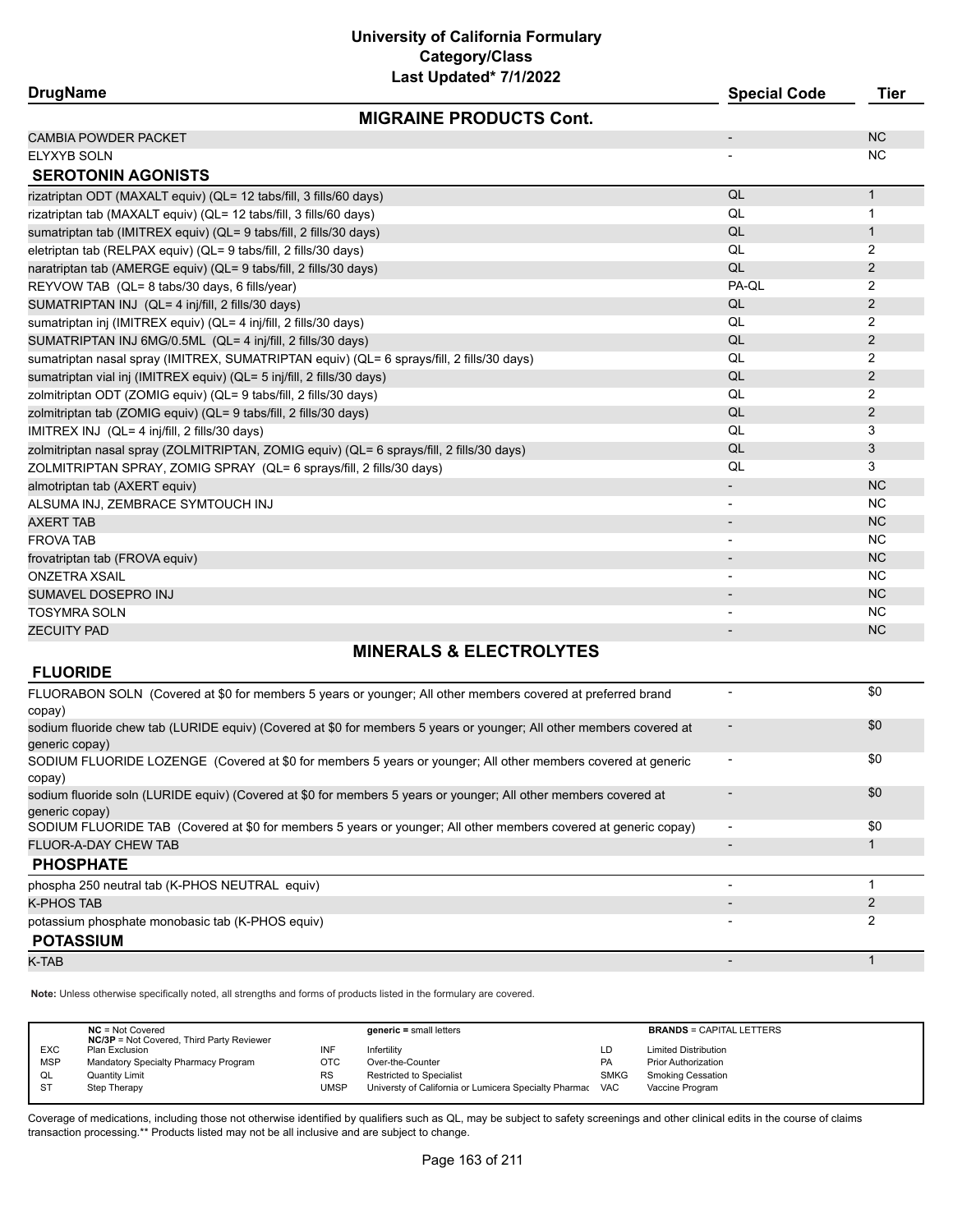# **University of California Formulary Category/Class**

| Last Updated* 7/1/2022                                                                    |                          |              |
|-------------------------------------------------------------------------------------------|--------------------------|--------------|
| <b>DrugName</b>                                                                           | <b>Special Code</b>      | <b>Tier</b>  |
| <b>MIGRAINE PRODUCTS Cont.</b>                                                            |                          |              |
| <b>CAMBIA POWDER PACKET</b>                                                               | $\overline{\phantom{a}}$ | <b>NC</b>    |
| ELYXYB SOLN                                                                               |                          | NC.          |
| <b>SEROTONIN AGONISTS</b>                                                                 |                          |              |
| rizatriptan ODT (MAXALT equiv) (QL= 12 tabs/fill, 3 fills/60 days)                        | QL                       | $\mathbf{1}$ |
| rizatriptan tab (MAXALT equiv) (QL= 12 tabs/fill, 3 fills/60 days)                        | QL                       | 1            |
| sumatriptan tab (IMITREX equiv) (QL= 9 tabs/fill, 2 fills/30 days)                        | QL                       | $\mathbf{1}$ |
| eletriptan tab (RELPAX equiv) (QL= 9 tabs/fill, 2 fills/30 days)                          | QL                       | 2            |
| naratriptan tab (AMERGE equiv) (QL= 9 tabs/fill, 2 fills/30 days)                         | QL                       | 2            |
| REYVOW TAB (QL= 8 tabs/30 days, 6 fills/year)                                             | PA-QL                    | 2            |
| SUMATRIPTAN INJ (QL= 4 inj/fill, 2 fills/30 days)                                         | QL                       | 2            |
| sumatriptan inj (IMITREX equiv) (QL= 4 inj/fill, 2 fills/30 days)                         | QL                       | 2            |
| SUMATRIPTAN INJ 6MG/0.5ML (QL= 4 inj/fill, 2 fills/30 days)                               | QL                       | 2            |
| sumatriptan nasal spray (IMITREX, SUMATRIPTAN equiv) (QL= 6 sprays/fill, 2 fills/30 days) | QL                       | 2            |
| sumatriptan vial inj (IMITREX equiv) (QL= 5 inj/fill, 2 fills/30 days)                    | QL                       | 2            |
| zolmitriptan ODT (ZOMIG equiv) (QL= 9 tabs/fill, 2 fills/30 days)                         | QL                       | 2            |
| zolmitriptan tab (ZOMIG equiv) (QL= 9 tabs/fill, 2 fills/30 days)                         | QL                       | 2            |
| IMITREX INJ (QL= 4 inj/fill, 2 fills/30 days)                                             | QL                       | 3            |
| zolmitriptan nasal spray (ZOLMITRIPTAN, ZOMIG equiv) (QL= 6 sprays/fill, 2 fills/30 days) | QL                       | 3            |
| ZOLMITRIPTAN SPRAY, ZOMIG SPRAY (QL= 6 sprays/fill, 2 fills/30 days)                      | QL                       | 3            |
| almotriptan tab (AXERT equiv)                                                             |                          | <b>NC</b>    |
| ALSUMA INJ, ZEMBRACE SYMTOUCH INJ                                                         |                          | NC           |
| <b>AXERT TAB</b>                                                                          | $\overline{\phantom{a}}$ | NC           |
| <b>FROVA TAB</b>                                                                          | $\overline{\phantom{a}}$ | <b>NC</b>    |
| frovatriptan tab (FROVA equiv)                                                            |                          | <b>NC</b>    |
| ONZETRA XSAIL                                                                             | $\overline{\phantom{a}}$ | <b>NC</b>    |
| SUMAVEL DOSEPRO INJ                                                                       |                          | <b>NC</b>    |
| <b>TOSYMRA SOLN</b>                                                                       |                          | NC           |
| <b>ZECUITY PAD</b>                                                                        |                          | <b>NC</b>    |
| MINICDAI C 2 CI CATDAI VTCC                                                               |                          |              |

## **MINERALS & ELECTROLYTES**

#### **FLUORIDE**

| FLUORABON SOLN (Covered at \$0 for members 5 years or younger; All other members covered at preferred brand<br>copay)                  |                          | \$0 |
|----------------------------------------------------------------------------------------------------------------------------------------|--------------------------|-----|
| sodium fluoride chew tab (LURIDE equiv) (Covered at \$0 for members 5 years or younger; All other members covered at<br>generic copay) |                          | \$0 |
| SODIUM FLUORIDE LOZENGE (Covered at \$0 for members 5 years or younger; All other members covered at generic<br>copay)                 | $\overline{\phantom{a}}$ | \$0 |
| sodium fluoride soln (LURIDE equiv) (Covered at \$0 for members 5 years or younger; All other members covered at<br>qeneric copay)     |                          | \$0 |
| SODIUM FLUORIDE TAB (Covered at \$0 for members 5 years or younger; All other members covered at generic copay)                        | $\overline{\phantom{a}}$ | \$0 |
| <b>FLUOR-A-DAY CHEW TAB</b>                                                                                                            | $\overline{\phantom{0}}$ |     |
| <b>PHOSPHATE</b>                                                                                                                       |                          |     |
| phospha 250 neutral tab (K-PHOS NEUTRAL equiv)                                                                                         |                          |     |
| K-PHOS TAB                                                                                                                             | $\overline{\phantom{0}}$ |     |
| potassium phosphate monobasic tab (K-PHOS equiv)                                                                                       |                          |     |
| <b>POTASSIUM</b>                                                                                                                       |                          |     |
| K-TAB                                                                                                                                  |                          |     |

**Note:** Unless otherwise specifically noted, all strengths and forms of products listed in the formulary are covered.

|            | $NC = Not Covered$<br><b>NC/3P</b> = Not Covered, Third Party Reviewer |           | $generic = small letters$                             |             | <b>BRANDS = CAPITAL LETTERS</b> |
|------------|------------------------------------------------------------------------|-----------|-------------------------------------------------------|-------------|---------------------------------|
| <b>EXC</b> | Plan Exclusion                                                         | INF       | Infertilitv                                           | LD          | <b>Limited Distribution</b>     |
| <b>MSP</b> | Mandatory Specialty Pharmacy Program                                   | отс       | Over-the-Counter                                      | <b>PA</b>   | <b>Prior Authorization</b>      |
| QL         | <b>Quantity Limit</b>                                                  | <b>RS</b> | <b>Restricted to Specialist</b>                       | <b>SMKG</b> | <b>Smoking Cessation</b>        |
| -ST        | Step Therapy                                                           | UMSP      | Universty of California or Lumicera Specialty Pharmac | <b>VAC</b>  | Vaccine Program                 |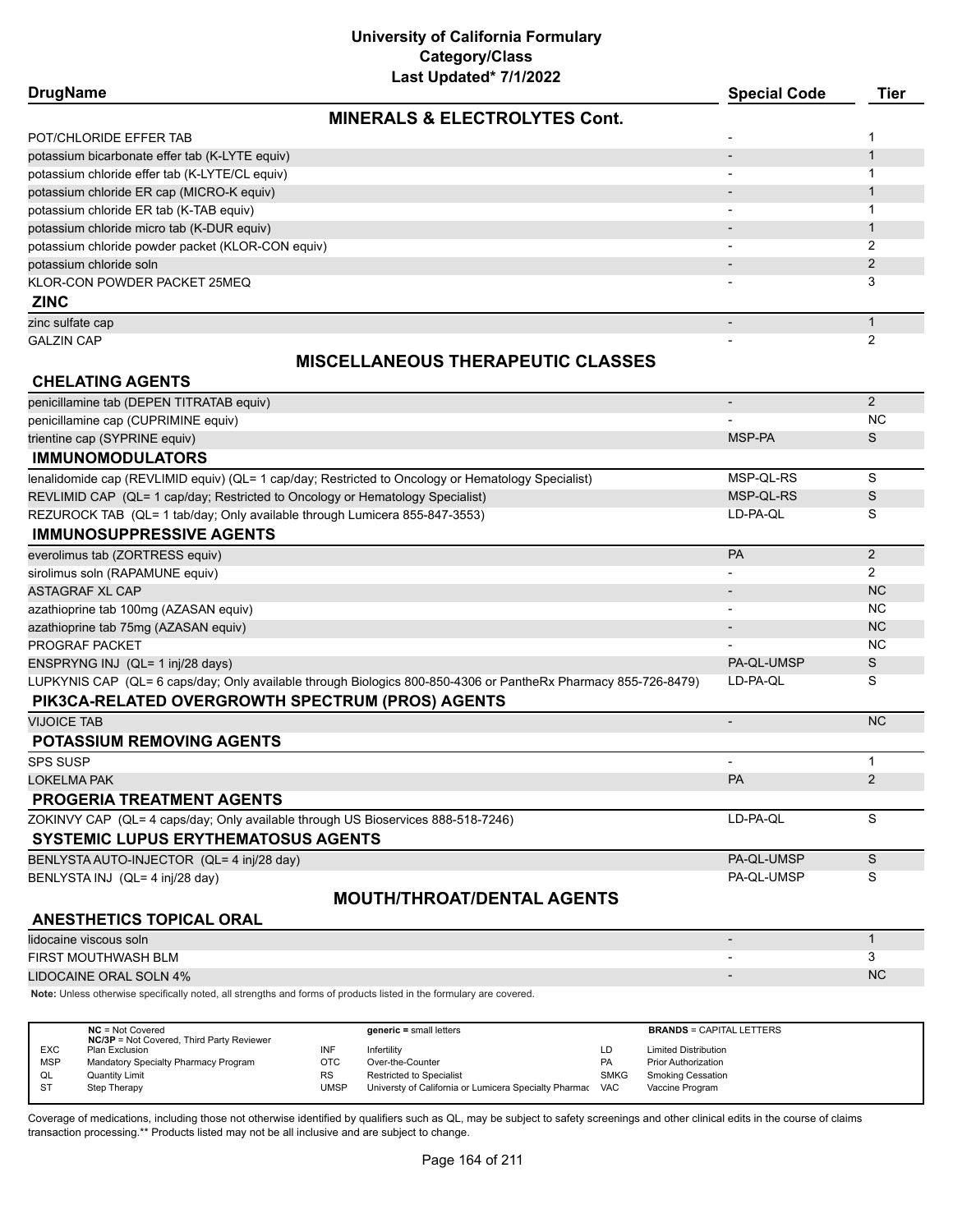| Last updated" //1/2022                            |                     |      |
|---------------------------------------------------|---------------------|------|
| <b>DrugName</b>                                   | <b>Special Code</b> | Tier |
| <b>MINERALS &amp; ELECTROLYTES Cont.</b>          |                     |      |
| POT/CHLORIDE EFFER TAB                            |                     |      |
| potassium bicarbonate effer tab (K-LYTE equiv)    |                     |      |
| potassium chloride effer tab (K-LYTE/CL equiv)    |                     |      |
| potassium chloride ER cap (MICRO-K equiv)         |                     |      |
| potassium chloride ER tab (K-TAB equiv)           |                     |      |
| potassium chloride micro tab (K-DUR equiv)        |                     |      |
| potassium chloride powder packet (KLOR-CON equiv) |                     |      |
| potassium chloride soln                           |                     |      |
| KLOR-CON POWDER PACKET 25MEQ                      |                     | 3    |
| <b>ZINC</b>                                       |                     |      |
| zinc sulfate cap                                  |                     |      |
| <b>GALZIN CAP</b>                                 |                     |      |

# **MISCELLANEOUS THERAPEUTIC CLASSES**

| <b>CHELATING AGENTS</b>                                                                                        |                |                |
|----------------------------------------------------------------------------------------------------------------|----------------|----------------|
| penicillamine tab (DEPEN TITRATAB equiv)                                                                       |                | $\overline{2}$ |
| penicillamine cap (CUPRIMINE equiv)                                                                            |                | <b>NC</b>      |
| trientine cap (SYPRINE equiv)                                                                                  | MSP-PA         | S              |
| <b>IMMUNOMODULATORS</b>                                                                                        |                |                |
| lenalidomide cap (REVLIMID equiv) (QL= 1 cap/day; Restricted to Oncology or Hematology Specialist)             | MSP-QL-RS      | S              |
| REVLIMID CAP (QL= 1 cap/day; Restricted to Oncology or Hematology Specialist)                                  | MSP-QL-RS      | S              |
| REZUROCK TAB (QL= 1 tab/day; Only available through Lumicera 855-847-3553)                                     | LD-PA-QL       | S              |
| <b>IMMUNOSUPPRESSIVE AGENTS</b>                                                                                |                |                |
| everolimus tab (ZORTRESS equiv)                                                                                | PA             | 2              |
| sirolimus soln (RAPAMUNE equiv)                                                                                |                | 2              |
| <b>ASTAGRAF XL CAP</b>                                                                                         |                | <b>NC</b>      |
| azathioprine tab 100mg (AZASAN equiv)                                                                          |                | NC.            |
| azathioprine tab 75mg (AZASAN equiv)                                                                           |                | <b>NC</b>      |
| <b>PROGRAF PACKET</b>                                                                                          |                | <b>NC</b>      |
| ENSPRYNG INJ (QL= 1 inj/28 days)                                                                               | PA-QL-UMSP     | S              |
| LUPKYNIS CAP (QL= 6 caps/day; Only available through Biologics 800-850-4306 or PantheRx Pharmacy 855-726-8479) | LD-PA-QL       | S              |
| PIK3CA-RELATED OVERGROWTH SPECTRUM (PROS) AGENTS                                                               |                |                |
| <b>VIJOICE TAB</b>                                                                                             |                | <b>NC</b>      |
| <b>POTASSIUM REMOVING AGENTS</b>                                                                               |                |                |
| <b>SPS SUSP</b>                                                                                                | $\blacksquare$ | $\mathbf 1$    |
| <b>LOKELMA PAK</b>                                                                                             | PA             | $\overline{2}$ |
| <b>PROGERIA TREATMENT AGENTS</b>                                                                               |                |                |
| ZOKINVY CAP (QL= 4 caps/day; Only available through US Bioservices 888-518-7246)                               | LD-PA-QL       | S              |
| <b>SYSTEMIC LUPUS ERYTHEMATOSUS AGENTS</b>                                                                     |                |                |
| BENLYSTA AUTO-INJECTOR (QL= 4 inj/28 day)                                                                      | PA-QL-UMSP     | S              |
| BENLYSTA INJ (QL= 4 inj/28 day)                                                                                | PA-QL-UMSP     | S              |
| <b>MOUTH/THROAT/DENTAL AGENTS</b>                                                                              |                |                |
| <b>ANESTHETICS TOPICAL ORAL</b>                                                                                |                |                |
| lidocaine viscous soln                                                                                         |                | $\mathbf{1}$   |
| FIRST MOUTHWASH BLM                                                                                            |                | 3              |
| <b>LIDOCAINE ORAL SOLN 4%</b>                                                                                  |                | <b>NC</b>      |
|                                                                                                                |                |                |

|            | $NC = Not Covered$<br><b>NC/3P</b> = Not Covered, Third Party Reviewer |             | $generic = small letters$                             |             | <b>BRANDS = CAPITAL LETTERS</b> |
|------------|------------------------------------------------------------------------|-------------|-------------------------------------------------------|-------------|---------------------------------|
| <b>EXC</b> | Plan Exclusion                                                         | INF         | Infertility                                           | LD          | <b>Limited Distribution</b>     |
| <b>MSP</b> | Mandatory Specialty Pharmacy Program                                   | OTC         | Over-the-Counter                                      | <b>PA</b>   | <b>Prior Authorization</b>      |
| QL         | Quantity Limit                                                         | <b>RS</b>   | <b>Restricted to Specialist</b>                       | <b>SMKG</b> | <b>Smoking Cessation</b>        |
| - ST       | Step Therapy                                                           | <b>UMSP</b> | Universty of California or Lumicera Specialty Pharmac | <b>VAC</b>  | Vaccine Program                 |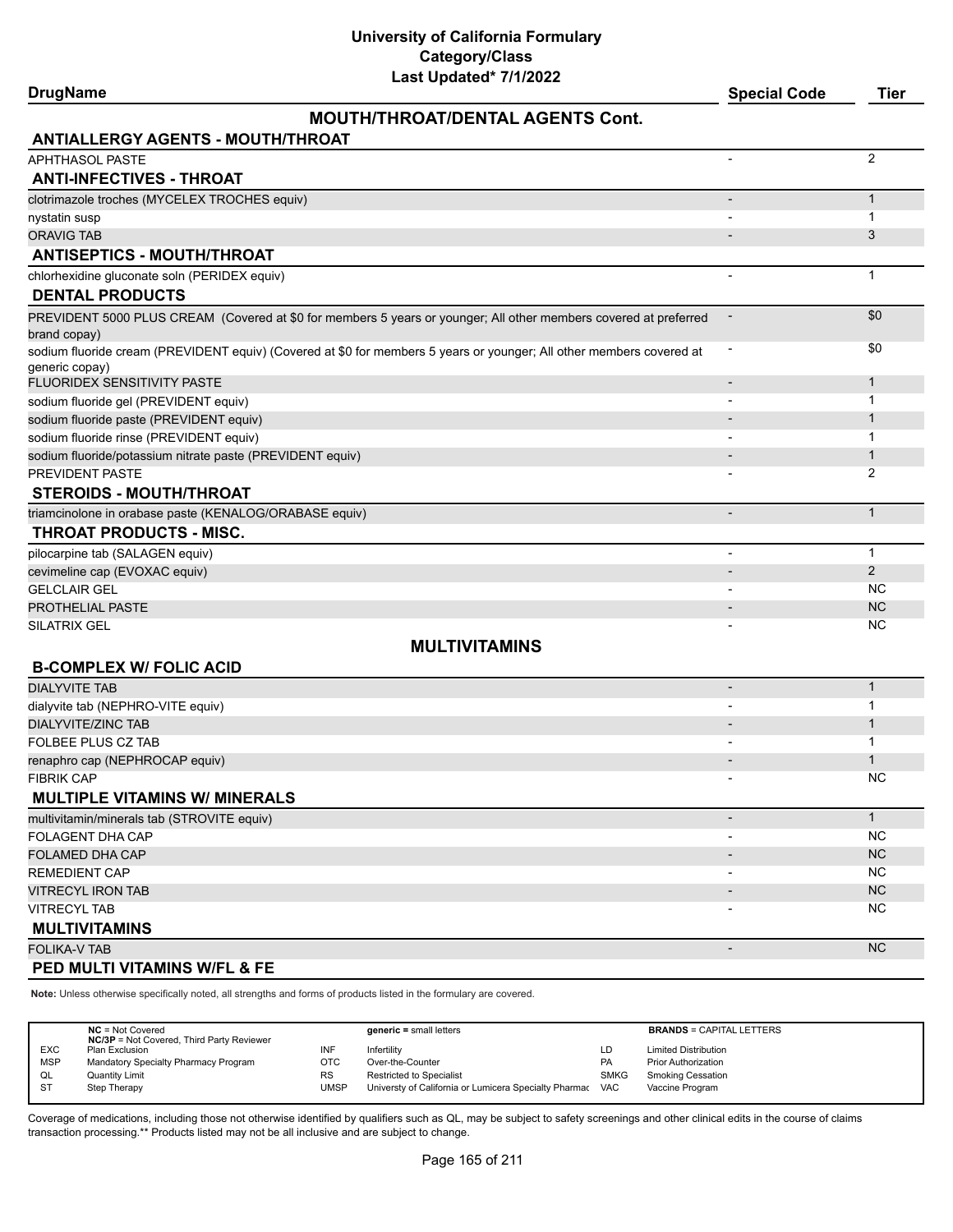|  | <b>DrugName</b> |
|--|-----------------|
|--|-----------------|

## **MOUTH/THROAT/DENTAL AGENTS Cont.**

**DrugName Special Code Tier**

| <b>ANTIALLERGY AGENTS - MOUTH/THROAT</b>                                                                                               |                          |                |
|----------------------------------------------------------------------------------------------------------------------------------------|--------------------------|----------------|
| APHTHASOL PASTE                                                                                                                        |                          | 2              |
| <b>ANTI-INFECTIVES - THROAT</b>                                                                                                        |                          |                |
| clotrimazole troches (MYCELEX TROCHES equiv)                                                                                           |                          | $\mathbf{1}$   |
| nystatin susp                                                                                                                          |                          | 1              |
| <b>ORAVIG TAB</b>                                                                                                                      |                          | 3              |
| <b>ANTISEPTICS - MOUTH/THROAT</b>                                                                                                      |                          |                |
| chlorhexidine gluconate soln (PERIDEX equiv)<br><b>DENTAL PRODUCTS</b>                                                                 | $\overline{\phantom{a}}$ | $\mathbf{1}$   |
| PREVIDENT 5000 PLUS CREAM (Covered at \$0 for members 5 years or younger; All other members covered at preferred<br>brand copay)       |                          | \$0            |
| sodium fluoride cream (PREVIDENT equiv) (Covered at \$0 for members 5 years or younger; All other members covered at<br>generic copay) | $\overline{\phantom{a}}$ | \$0            |
| FLUORIDEX SENSITIVITY PASTE                                                                                                            |                          | $\mathbf{1}$   |
| sodium fluoride gel (PREVIDENT equiv)                                                                                                  |                          | 1              |
| sodium fluoride paste (PREVIDENT equiv)                                                                                                |                          | $\mathbf 1$    |
| sodium fluoride rinse (PREVIDENT equiv)                                                                                                |                          | 1              |
| sodium fluoride/potassium nitrate paste (PREVIDENT equiv)                                                                              |                          | $\mathbf 1$    |
| PREVIDENT PASTE                                                                                                                        |                          | 2              |
| <b>STEROIDS - MOUTH/THROAT</b>                                                                                                         |                          |                |
| triamcinolone in orabase paste (KENALOG/ORABASE equiv)                                                                                 |                          | $\mathbf{1}$   |
| THROAT PRODUCTS - MISC.                                                                                                                |                          |                |
| pilocarpine tab (SALAGEN equiv)                                                                                                        |                          | $\mathbf{1}$   |
| cevimeline cap (EVOXAC equiv)                                                                                                          |                          | $\overline{2}$ |
| <b>GELCLAIR GEL</b>                                                                                                                    |                          | NC.            |
| PROTHELIAL PASTE                                                                                                                       |                          | <b>NC</b>      |
| SILATRIX GEL                                                                                                                           |                          | NC             |
| <b>MULTIVITAMINS</b>                                                                                                                   |                          |                |
| <b>B-COMPLEX W/ FOLIC ACID</b>                                                                                                         |                          |                |
| <b>DIALYVITE TAB</b>                                                                                                                   | $\overline{\phantom{a}}$ | $\mathbf{1}$   |
| dialyvite tab (NEPHRO-VITE equiv)                                                                                                      |                          | 1              |
| <b>DIALYVITE/ZINC TAB</b>                                                                                                              |                          | $\mathbf 1$    |
| <b>FOLBEE PLUS CZ TAB</b>                                                                                                              |                          | $\mathbf 1$    |
| renaphro cap (NEPHROCAP equiv)                                                                                                         |                          | 1              |
| <b>FIBRIK CAP</b>                                                                                                                      |                          | NС             |
| <b>MULTIPLE VITAMINS W/ MINERALS</b>                                                                                                   |                          |                |
| multivitamin/minerals tab (STROVITE equiv)                                                                                             |                          | 1              |
| FOLAGENT DHA CAP                                                                                                                       |                          | <b>NC</b>      |
| FOLAMED DHA CAP                                                                                                                        |                          | <b>NC</b>      |
| REMEDIENT CAP                                                                                                                          |                          | NC.            |
| <b>VITRECYL IRON TAB</b>                                                                                                               |                          | <b>NC</b>      |
| VITRECYL TAB                                                                                                                           |                          | ΝC             |
| <b>MULTIVITAMINS</b>                                                                                                                   |                          |                |
| FOLIKA-V TAB                                                                                                                           | $\overline{\phantom{a}}$ | <b>NC</b>      |
| PED MULTI VITAMINS W/FL & FE                                                                                                           |                          |                |

**Note:** Unless otherwise specifically noted, all strengths and forms of products listed in the formulary are covered.

|            | $NC = Not Covered$<br><b>NC/3P</b> = Not Covered, Third Party Reviewer |           | $generic = small letters$                             |             | <b>BRANDS = CAPITAL LETTERS</b> |
|------------|------------------------------------------------------------------------|-----------|-------------------------------------------------------|-------------|---------------------------------|
| <b>EXC</b> | Plan Exclusion                                                         | INF       | Infertility                                           | LD          | <b>Limited Distribution</b>     |
| <b>MSP</b> | Mandatory Specialty Pharmacy Program                                   | OTC       | Over-the-Counter                                      | <b>PA</b>   | <b>Prior Authorization</b>      |
| QL         | <b>Quantity Limit</b>                                                  | <b>RS</b> | <b>Restricted to Specialist</b>                       | <b>SMKG</b> | <b>Smoking Cessation</b>        |
| <b>ST</b>  | Step Therapy                                                           | UMSP      | Universty of California or Lumicera Specialty Pharmac | <b>VAC</b>  | Vaccine Program                 |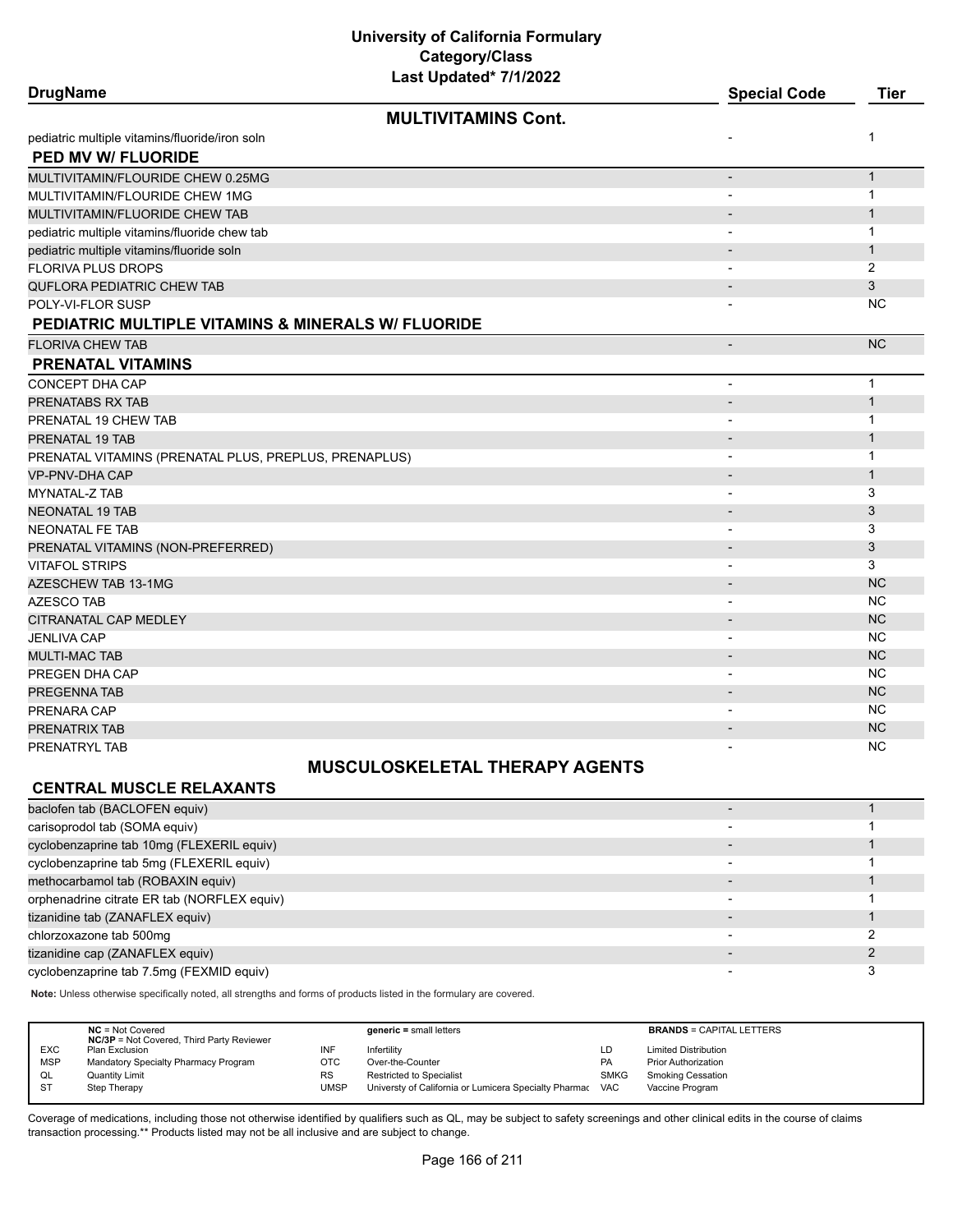| <b>DrugName</b>                                               | Last Upuateu 1111/2022     | <b>Special Code</b>      | <b>Tier</b>    |
|---------------------------------------------------------------|----------------------------|--------------------------|----------------|
|                                                               | <b>MULTIVITAMINS Cont.</b> |                          |                |
| pediatric multiple vitamins/fluoride/iron soln                |                            | $\overline{\phantom{a}}$ | 1              |
| PED MV W/ FLUORIDE                                            |                            |                          |                |
| MULTIVITAMIN/FLOURIDE CHEW 0.25MG                             |                            |                          | $\mathbf{1}$   |
| MULTIVITAMIN/FLOURIDE CHEW 1MG                                |                            | $\overline{\phantom{0}}$ | $\mathbf{1}$   |
| MULTIVITAMIN/FLUORIDE CHEW TAB                                |                            | $\overline{\phantom{a}}$ | $\mathbf{1}$   |
| pediatric multiple vitamins/fluoride chew tab                 |                            | $\overline{\phantom{0}}$ | $\mathbf{1}$   |
| pediatric multiple vitamins/fluoride soln                     |                            | $\blacksquare$           | $\mathbf{1}$   |
| <b>FLORIVA PLUS DROPS</b>                                     |                            | $\overline{\phantom{0}}$ | $\overline{2}$ |
| QUFLORA PEDIATRIC CHEW TAB                                    |                            | $\blacksquare$           | 3              |
| POLY-VI-FLOR SUSP                                             |                            |                          | <b>NC</b>      |
| <b>PEDIATRIC MULTIPLE VITAMINS &amp; MINERALS W/ FLUORIDE</b> |                            |                          |                |
| <b>FLORIVA CHEW TAB</b>                                       |                            | $\overline{\phantom{a}}$ | <b>NC</b>      |
| <b>PRENATAL VITAMINS</b>                                      |                            |                          |                |
| CONCEPT DHA CAP                                               |                            | $\overline{\phantom{a}}$ | $\mathbf{1}$   |
| PRENATABS RX TAB                                              |                            | $\overline{\phantom{a}}$ | $\mathbf{1}$   |
| PRENATAL 19 CHEW TAB                                          |                            | $\overline{\phantom{a}}$ | 1              |
| PRENATAL 19 TAB                                               |                            | $\overline{\phantom{a}}$ | $\mathbf{1}$   |
| PRENATAL VITAMINS (PRENATAL PLUS, PREPLUS, PRENAPLUS)         |                            |                          | 1              |
| VP-PNV-DHA CAP                                                |                            | $\blacksquare$           | $\mathbf{1}$   |
| MYNATAL-Z TAB                                                 |                            | $\overline{\phantom{a}}$ | 3              |
| <b>NEONATAL 19 TAB</b>                                        |                            | $\blacksquare$           | 3              |
| <b>NEONATAL FE TAB</b>                                        |                            |                          | 3              |
| PRENATAL VITAMINS (NON-PREFERRED)                             |                            | $\blacksquare$           | 3              |
| <b>VITAFOL STRIPS</b>                                         |                            | $\overline{\phantom{a}}$ | 3              |
| <b>AZESCHEW TAB 13-1MG</b>                                    |                            | $\overline{\phantom{a}}$ | <b>NC</b>      |
| <b>AZESCO TAB</b>                                             |                            | $\overline{\phantom{a}}$ | <b>NC</b>      |
| CITRANATAL CAP MEDLEY                                         |                            | $\overline{\phantom{a}}$ | <b>NC</b>      |
| <b>JENLIVA CAP</b>                                            |                            | $\overline{\phantom{a}}$ | <b>NC</b>      |
| MULTI-MAC TAB                                                 |                            | $\overline{\phantom{a}}$ | <b>NC</b>      |
| PREGEN DHA CAP                                                |                            |                          | <b>NC</b>      |
| PREGENNA TAB                                                  |                            | $\overline{\phantom{a}}$ | <b>NC</b>      |
| PRENARA CAP                                                   |                            |                          | <b>NC</b>      |
| PRENATRIX TAB                                                 |                            |                          | <b>NC</b>      |
| PRENATRYL TAB                                                 |                            | $\blacksquare$           | <b>NC</b>      |

### **MUSCULOSKELETAL THERAPY AGENTS**

## **CENTRAL MUSCLE RELAXANTS**

| baclofen tab (BACLOFEN equiv)               |                          |  |
|---------------------------------------------|--------------------------|--|
| carisoprodol tab (SOMA equiv)               |                          |  |
| cyclobenzaprine tab 10mg (FLEXERIL equiv)   |                          |  |
| cyclobenzaprine tab 5mg (FLEXERIL equiv)    |                          |  |
| methocarbamol tab (ROBAXIN equiv)           |                          |  |
| orphenadrine citrate ER tab (NORFLEX equiv) |                          |  |
| tizanidine tab (ZANAFLEX equiv)             | $\overline{\phantom{0}}$ |  |
| chlorzoxazone tab 500mg                     |                          |  |
| tizanidine cap (ZANAFLEX equiv)             |                          |  |
| cyclobenzaprine tab 7.5mg (FEXMID equiv)    |                          |  |

**Note:** Unless otherwise specifically noted, all strengths and forms of products listed in the formulary are covered.

|            | $NC = Not Covered$<br><b>NC/3P</b> = Not Covered, Third Party Reviewer |           | generic = small letters                               |             | <b>BRANDS = CAPITAL LETTERS</b> |
|------------|------------------------------------------------------------------------|-----------|-------------------------------------------------------|-------------|---------------------------------|
| <b>EXC</b> | Plan Exclusion                                                         | INF       | Infertility                                           | LD          | <b>Limited Distribution</b>     |
| <b>MSP</b> | Mandatory Specialty Pharmacy Program                                   | отс       | Over-the-Counter                                      | <b>PA</b>   | <b>Prior Authorization</b>      |
| QL         | <b>Quantity Limit</b>                                                  | <b>RS</b> | Restricted to Specialist                              | <b>SMKG</b> | <b>Smoking Cessation</b>        |
| <b>ST</b>  | Step Therapy                                                           | UMSP      | Universty of California or Lumicera Specialty Pharmac | <b>VAC</b>  | Vaccine Program                 |
|            |                                                                        |           |                                                       |             |                                 |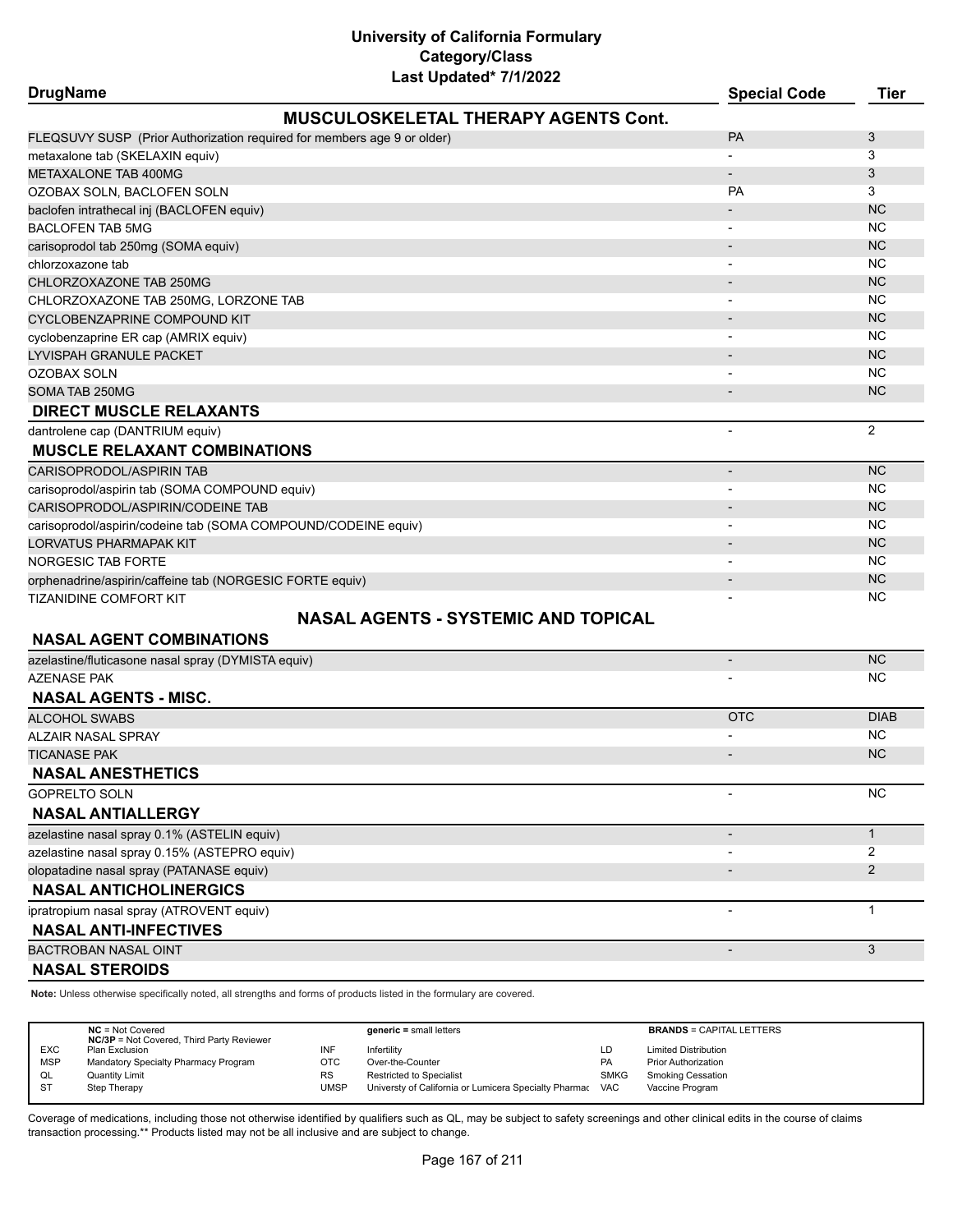| <b>DrugName</b>                                                         | Last Upuateu <i>IIIIZUZZ</i>                | <b>Special Code</b>      | <b>Tier</b>    |
|-------------------------------------------------------------------------|---------------------------------------------|--------------------------|----------------|
|                                                                         | <b>MUSCULOSKELETAL THERAPY AGENTS Cont.</b> |                          |                |
| FLEQSUVY SUSP (Prior Authorization required for members age 9 or older) |                                             | <b>PA</b>                | 3              |
| metaxalone tab (SKELAXIN equiv)                                         |                                             |                          | 3              |
| <b>METAXALONE TAB 400MG</b>                                             |                                             | $\blacksquare$           | 3              |
| OZOBAX SOLN, BACLOFEN SOLN                                              |                                             | PA                       | 3              |
| baclofen intrathecal inj (BACLOFEN equiv)                               |                                             |                          | <b>NC</b>      |
| <b>BACLOFEN TAB 5MG</b>                                                 |                                             |                          | <b>NC</b>      |
| carisoprodol tab 250mg (SOMA equiv)                                     |                                             |                          | <b>NC</b>      |
| chlorzoxazone tab                                                       |                                             | $\overline{\phantom{a}}$ | <b>NC</b>      |
| CHLORZOXAZONE TAB 250MG                                                 |                                             |                          | <b>NC</b>      |
| CHLORZOXAZONE TAB 250MG, LORZONE TAB                                    |                                             |                          | NC.            |
| CYCLOBENZAPRINE COMPOUND KIT                                            |                                             |                          | <b>NC</b>      |
| cyclobenzaprine ER cap (AMRIX equiv)                                    |                                             | $\overline{\phantom{a}}$ | NC             |
| LYVISPAH GRANULE PACKET                                                 |                                             |                          | <b>NC</b>      |
| <b>OZOBAX SOLN</b>                                                      |                                             |                          | NC.            |
| SOMA TAB 250MG                                                          |                                             | $\overline{a}$           | <b>NC</b>      |
| <b>DIRECT MUSCLE RELAXANTS</b>                                          |                                             |                          |                |
| dantrolene cap (DANTRIUM equiv)                                         |                                             |                          | 2              |
| <b>MUSCLE RELAXANT COMBINATIONS</b>                                     |                                             |                          |                |
| CARISOPRODOL/ASPIRIN TAB                                                |                                             | $\overline{a}$           | <b>NC</b>      |
| carisoprodol/aspirin tab (SOMA COMPOUND equiv)                          |                                             |                          | <b>NC</b>      |
| CARISOPRODOL/ASPIRIN/CODEINE TAB                                        |                                             |                          | <b>NC</b>      |
| carisoprodol/aspirin/codeine tab (SOMA COMPOUND/CODEINE equiv)          |                                             | $\overline{\phantom{a}}$ | <b>NC</b>      |
| LORVATUS PHARMAPAK KIT                                                  |                                             |                          | <b>NC</b>      |
| <b>NORGESIC TAB FORTE</b>                                               |                                             |                          | NC.            |
| orphenadrine/aspirin/caffeine tab (NORGESIC FORTE equiv)                |                                             | $\overline{\phantom{a}}$ | <b>NC</b>      |
| <b>TIZANIDINE COMFORT KIT</b>                                           |                                             |                          | <b>NC</b>      |
|                                                                         | <b>NASAL AGENTS - SYSTEMIC AND TOPICAL</b>  |                          |                |
| <b>NASAL AGENT COMBINATIONS</b>                                         |                                             |                          |                |
| azelastine/fluticasone nasal spray (DYMISTA equiv)                      |                                             | $\overline{\phantom{a}}$ | <b>NC</b>      |
| <b>AZENASE PAK</b>                                                      |                                             |                          | NC.            |
| <b>NASAL AGENTS - MISC.</b>                                             |                                             |                          |                |
| <b>ALCOHOL SWABS</b>                                                    |                                             | <b>OTC</b>               | <b>DIAB</b>    |
| <b>ALZAIR NASAL SPRAY</b>                                               |                                             |                          | <b>NC</b>      |
| <b>TICANASE PAK</b>                                                     |                                             |                          | <b>NC</b>      |
| <b>NASAL ANESTHETICS</b>                                                |                                             |                          |                |
| <b>GOPRELTO SOLN</b>                                                    |                                             |                          | NC             |
| <b>NASAL ANTIALLERGY</b>                                                |                                             |                          |                |
| azelastine nasal spray 0.1% (ASTELIN equiv)                             |                                             |                          | $\mathbf{1}$   |
| azelastine nasal spray 0.15% (ASTEPRO equiv)                            |                                             |                          | $\overline{2}$ |
| olopatadine nasal spray (PATANASE equiv)                                |                                             |                          | $\overline{2}$ |
| <b>NASAL ANTICHOLINERGICS</b>                                           |                                             |                          |                |
| ipratropium nasal spray (ATROVENT equiv)                                |                                             |                          | 1              |
| <b>NASAL ANTI-INFECTIVES</b>                                            |                                             |                          |                |
| BACTROBAN NASAL OINT                                                    |                                             | $\overline{\phantom{a}}$ | 3              |

**NASAL STEROIDS**

**Note:** Unless otherwise specifically noted, all strengths and forms of products listed in the formulary are covered.

| $NC = Not Covered$<br><b>NC/3P</b> = Not Covered, Third Party Reviewer |           | $generic = small letters$                             |             | <b>BRANDS = CAPITAL LETTERS</b> |
|------------------------------------------------------------------------|-----------|-------------------------------------------------------|-------------|---------------------------------|
| <b>EXC</b><br>Plan Exclusion                                           | INF       | Infertility                                           | LD          | <b>Limited Distribution</b>     |
| <b>MSP</b><br>Mandatory Specialty Pharmacy Program                     | отс       | Over-the-Counter                                      | PA          | <b>Prior Authorization</b>      |
| QL<br><b>Quantity Limit</b>                                            | <b>RS</b> | <b>Restricted to Specialist</b>                       | <b>SMKG</b> | <b>Smoking Cessation</b>        |
| <b>ST</b><br>Step Therapy                                              | UMSP      | Universty of California or Lumicera Specialty Pharmac | <b>VAC</b>  | Vaccine Program                 |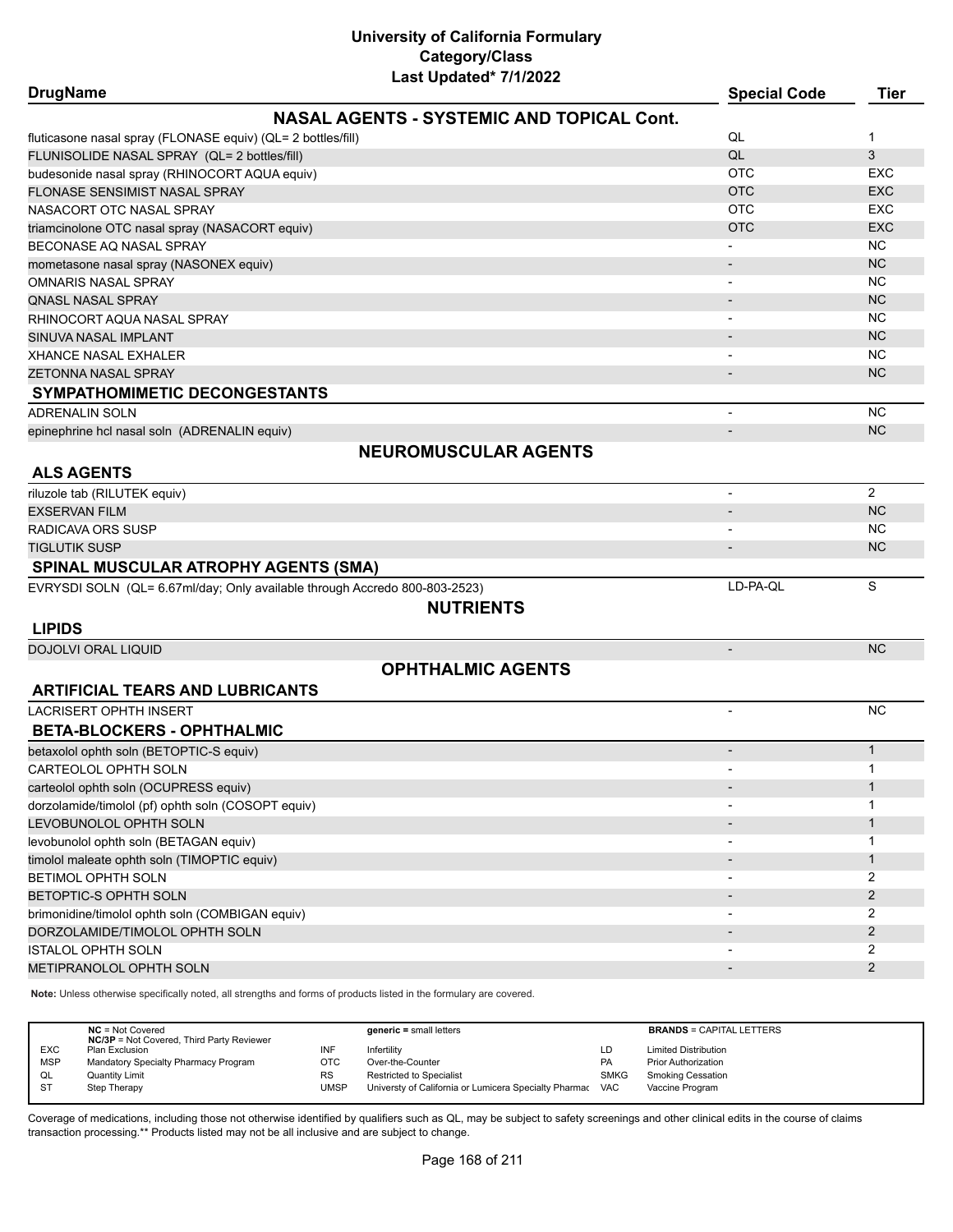| <b>DrugName</b>                                                            |                                                  | <b>Special Code</b>      | <b>Tier</b>    |
|----------------------------------------------------------------------------|--------------------------------------------------|--------------------------|----------------|
|                                                                            | <b>NASAL AGENTS - SYSTEMIC AND TOPICAL Cont.</b> |                          |                |
| fluticasone nasal spray (FLONASE equiv) (QL= 2 bottles/fill)               |                                                  | QL                       | $\mathbf{1}$   |
| FLUNISOLIDE NASAL SPRAY (QL= 2 bottles/fill)                               |                                                  | QL                       | 3              |
| budesonide nasal spray (RHINOCORT AQUA equiv)                              |                                                  | <b>OTC</b>               | <b>EXC</b>     |
| <b>FLONASE SENSIMIST NASAL SPRAY</b>                                       |                                                  | <b>OTC</b>               | <b>EXC</b>     |
| NASACORT OTC NASAL SPRAY                                                   |                                                  | <b>OTC</b>               | <b>EXC</b>     |
| triamcinolone OTC nasal spray (NASACORT equiv)                             |                                                  | <b>OTC</b>               | <b>EXC</b>     |
| BECONASE AO NASAL SPRAY                                                    |                                                  |                          | <b>NC</b>      |
| mometasone nasal spray (NASONEX equiv)                                     |                                                  |                          | <b>NC</b>      |
| <b>OMNARIS NASAL SPRAY</b>                                                 |                                                  |                          | <b>NC</b>      |
| <b>QNASL NASAL SPRAY</b>                                                   |                                                  |                          | <b>NC</b>      |
| RHINOCORT AQUA NASAL SPRAY                                                 |                                                  |                          | <b>NC</b>      |
| SINUVA NASAL IMPLANT                                                       |                                                  |                          | <b>NC</b>      |
| XHANCE NASAL EXHALER                                                       |                                                  |                          | <b>NC</b>      |
| <b>ZETONNA NASAL SPRAY</b>                                                 |                                                  |                          | <b>NC</b>      |
|                                                                            |                                                  |                          |                |
| SYMPATHOMIMETIC DECONGESTANTS                                              |                                                  |                          |                |
| <b>ADRENALIN SOLN</b>                                                      |                                                  |                          | <b>NC</b>      |
| epinephrine hcl nasal soln (ADRENALIN equiv)                               |                                                  | $\overline{\phantom{a}}$ | <b>NC</b>      |
|                                                                            | <b>NEUROMUSCULAR AGENTS</b>                      |                          |                |
| <b>ALS AGENTS</b>                                                          |                                                  |                          |                |
| riluzole tab (RILUTEK equiv)                                               |                                                  |                          | $\overline{2}$ |
| <b>EXSERVAN FILM</b>                                                       |                                                  |                          | <b>NC</b>      |
| RADICAVA ORS SUSP                                                          |                                                  |                          | NC.            |
| TIGLUTIK SUSP                                                              |                                                  | $\overline{\phantom{a}}$ | NC             |
| <b>SPINAL MUSCULAR ATROPHY AGENTS (SMA)</b>                                |                                                  |                          |                |
| EVRYSDI SOLN (QL= 6.67ml/day; Only available through Accredo 800-803-2523) |                                                  | LD-PA-QL                 | S              |
|                                                                            | <b>NUTRIENTS</b>                                 |                          |                |
| <b>LIPIDS</b>                                                              |                                                  |                          |                |
| <b>DOJOLVI ORAL LIQUID</b>                                                 |                                                  | $\overline{\phantom{a}}$ | <b>NC</b>      |
|                                                                            | <b>OPHTHALMIC AGENTS</b>                         |                          |                |
| <b>ARTIFICIAL TEARS AND LUBRICANTS</b>                                     |                                                  |                          |                |
| <b>LACRISERT OPHTH INSERT</b>                                              |                                                  | $\overline{\phantom{a}}$ | <b>NC</b>      |
| <b>BETA-BLOCKERS - OPHTHALMIC</b>                                          |                                                  |                          |                |
| betaxolol ophth soln (BETOPTIC-S equiv)                                    |                                                  | $\overline{\phantom{a}}$ | $\mathbf{1}$   |
| <b>CARTEOLOL OPHTH SOLN</b>                                                |                                                  | $\blacksquare$           | 1              |
| carteolol ophth soln (OCUPRESS equiv)                                      |                                                  |                          | 1              |
| dorzolamide/timolol (pf) ophth soln (COSOPT equiv)                         |                                                  |                          | 1              |
| LEVOBUNOLOL OPHTH SOLN                                                     |                                                  |                          | $\mathbf{1}$   |
| levobunolol ophth soln (BETAGAN equiv)                                     |                                                  |                          | 1              |
|                                                                            |                                                  |                          | $\mathbf{1}$   |
| timolol maleate ophth soln (TIMOPTIC equiv)                                |                                                  |                          | 2              |
| BETIMOL OPHTH SOLN                                                         |                                                  |                          | 2              |
| BETOPTIC-S OPHTH SOLN                                                      |                                                  |                          |                |
| brimonidine/timolol ophth soln (COMBIGAN equiv)                            |                                                  |                          | 2              |
| DORZOLAMIDE/TIMOLOL OPHTH SOLN                                             |                                                  |                          | $\overline{2}$ |
| <b>ISTALOL OPHTH SOLN</b>                                                  |                                                  |                          | 2              |
| METIPRANOLOL OPHTH SOLN                                                    |                                                  |                          | 2              |

**Note:** Unless otherwise specifically noted, all strengths and forms of products listed in the formulary are covered.

|            | $NC = Not Covered$<br><b>NC/3P</b> = Not Covered, Third Party Reviewer |      | $generic = small letters$                                 |             | <b>BRANDS = CAPITAL LETTERS</b> |
|------------|------------------------------------------------------------------------|------|-----------------------------------------------------------|-------------|---------------------------------|
| <b>EXC</b> | Plan Exclusion                                                         |      | Infertility                                               | LD          | <b>Limited Distribution</b>     |
| <b>MSP</b> | Mandatory Specialty Pharmacy Program                                   | отс  | Over-the-Counter                                          | <b>PA</b>   | <b>Prior Authorization</b>      |
| QL         | <b>Quantity Limit</b>                                                  | RS   | Restricted to Specialist                                  | <b>SMKG</b> | Smoking Cessation               |
| <b>ST</b>  | Step Therapy                                                           | UMSP | Universty of California or Lumicera Specialty Pharmac VAC |             | Vaccine Program                 |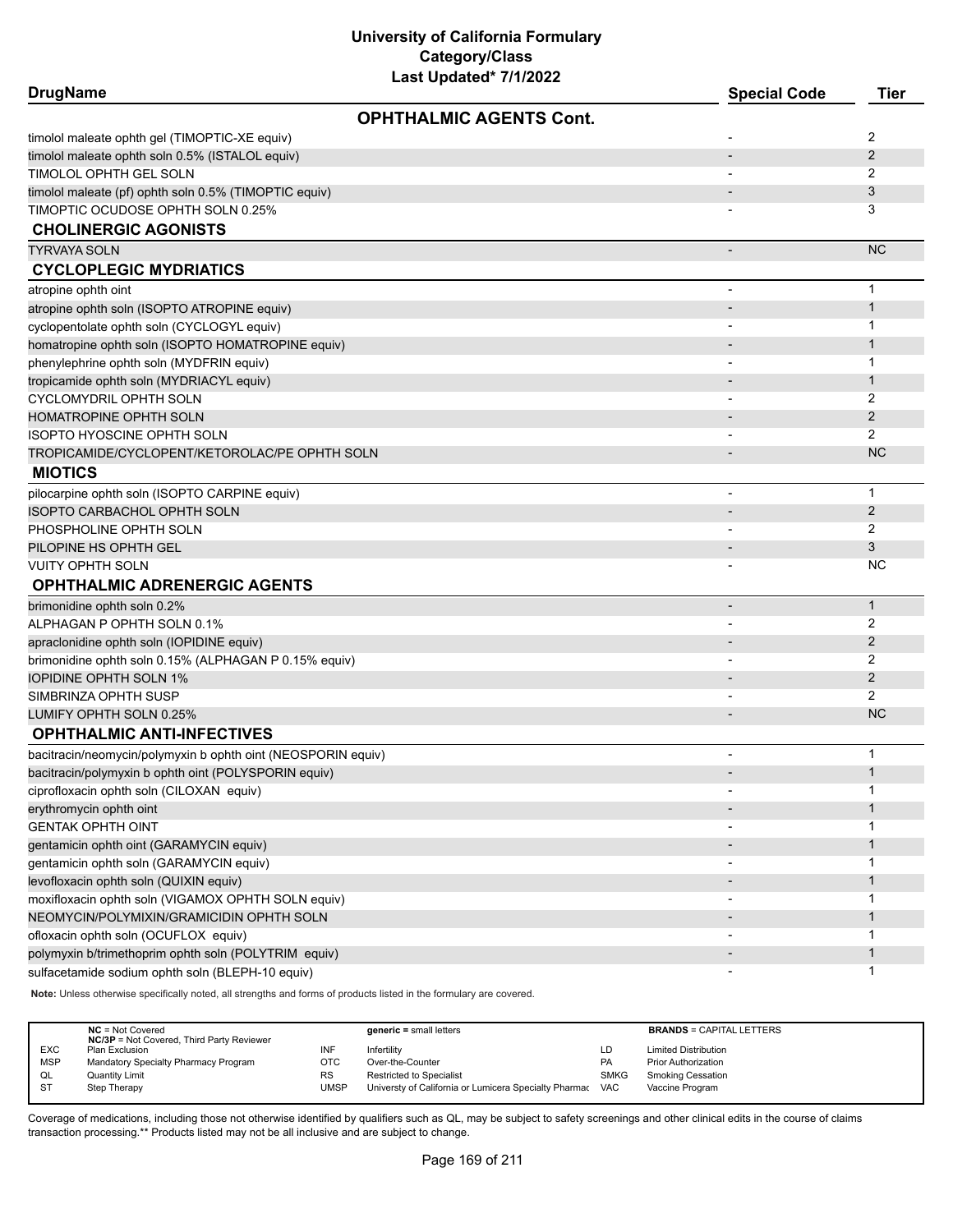| <b>DrugName</b>                                              |                                | <b>Special Code</b>      | <b>Tier</b>    |
|--------------------------------------------------------------|--------------------------------|--------------------------|----------------|
|                                                              | <b>OPHTHALMIC AGENTS Cont.</b> |                          |                |
| timolol maleate ophth gel (TIMOPTIC-XE equiv)                |                                |                          | 2              |
| timolol maleate ophth soln 0.5% (ISTALOL equiv)              |                                |                          | 2              |
| TIMOLOL OPHTH GEL SOLN                                       |                                |                          | 2              |
| timolol maleate (pf) ophth soln 0.5% (TIMOPTIC equiv)        |                                |                          | 3              |
| TIMOPTIC OCUDOSE OPHTH SOLN 0.25%                            |                                |                          | 3              |
| <b>CHOLINERGIC AGONISTS</b>                                  |                                |                          |                |
| <b>TYRVAYA SOLN</b>                                          |                                |                          | <b>NC</b>      |
| <b>CYCLOPLEGIC MYDRIATICS</b>                                |                                |                          |                |
| atropine ophth oint                                          |                                | $\overline{\phantom{a}}$ | $\mathbf 1$    |
| atropine ophth soln (ISOPTO ATROPINE equiv)                  |                                |                          | $\mathbf{1}$   |
| cyclopentolate ophth soln (CYCLOGYL equiv)                   |                                |                          | $\mathbf 1$    |
| homatropine ophth soln (ISOPTO HOMATROPINE equiv)            |                                |                          | $\mathbf{1}$   |
| phenylephrine ophth soln (MYDFRIN equiv)                     |                                |                          | 1              |
| tropicamide ophth soln (MYDRIACYL equiv)                     |                                |                          | $\mathbf{1}$   |
| CYCLOMYDRIL OPHTH SOLN                                       |                                |                          | 2              |
| <b>HOMATROPINE OPHTH SOLN</b>                                |                                |                          | $\overline{2}$ |
| <b>ISOPTO HYOSCINE OPHTH SOLN</b>                            |                                |                          | 2              |
| TROPICAMIDE/CYCLOPENT/KETOROLAC/PE OPHTH SOLN                |                                |                          | <b>NC</b>      |
| <b>MIOTICS</b>                                               |                                |                          |                |
| pilocarpine ophth soln (ISOPTO CARPINE equiv)                |                                |                          | $\mathbf{1}$   |
| ISOPTO CARBACHOL OPHTH SOLN                                  |                                |                          | 2              |
| PHOSPHOLINE OPHTH SOLN                                       |                                |                          | 2              |
| PILOPINE HS OPHTH GEL                                        |                                |                          | 3              |
| <b>VUITY OPHTH SOLN</b>                                      |                                |                          | <b>NC</b>      |
| <b>OPHTHALMIC ADRENERGIC AGENTS</b>                          |                                |                          |                |
| brimonidine ophth soln 0.2%                                  |                                |                          | $\mathbf{1}$   |
| ALPHAGAN P OPHTH SOLN 0.1%                                   |                                |                          | 2              |
| apraclonidine ophth soln (IOPIDINE equiv)                    |                                |                          | 2              |
| brimonidine ophth soln 0.15% (ALPHAGAN P 0.15% equiv)        |                                |                          | 2              |
| <b>IOPIDINE OPHTH SOLN 1%</b>                                |                                |                          | 2              |
| SIMBRINZA OPHTH SUSP                                         |                                |                          | 2              |
| LUMIFY OPHTH SOLN 0.25%                                      |                                |                          | <b>NC</b>      |
| <b>OPHTHALMIC ANTI-INFECTIVES</b>                            |                                |                          |                |
| bacitracin/neomycin/polymyxin b ophth oint (NEOSPORIN equiv) |                                |                          | $\mathbf 1$    |
| bacitracin/polymyxin b ophth oint (POLYSPORIN equiv)         |                                |                          | $\mathbf{1}$   |
| ciprofloxacin ophth soln (CILOXAN equiv)                     |                                |                          | 1              |
| erythromycin ophth oint                                      |                                |                          | $\mathbf{1}$   |
| <b>GENTAK OPHTH OINT</b>                                     |                                |                          | 1              |
| gentamicin ophth oint (GARAMYCIN equiv)                      |                                |                          | $\mathbf{1}$   |
| gentamicin ophth soln (GARAMYCIN equiv)                      |                                |                          | 1              |
| levofloxacin ophth soln (QUIXIN equiv)                       |                                |                          | $\mathbf{1}$   |
| moxifloxacin ophth soln (VIGAMOX OPHTH SOLN equiv)           |                                | $\overline{\phantom{a}}$ | 1              |
| NEOMYCIN/POLYMIXIN/GRAMICIDIN OPHTH SOLN                     |                                |                          | $\mathbf{1}$   |
| ofloxacin ophth soln (OCUFLOX equiv)                         |                                |                          | $\mathbf 1$    |
| polymyxin b/trimethoprim ophth soln (POLYTRIM equiv)         |                                |                          | $\mathbf{1}$   |
| sulfacetamide sodium ophth soln (BLEPH-10 equiv)             |                                | $\overline{\phantom{a}}$ | $\mathbf{1}$   |
|                                                              |                                |                          |                |

**Note:** Unless otherwise specifically noted, all strengths and forms of products listed in the formulary are covered.

|            | $NC = Not Covered$<br><b>NC/3P</b> = Not Covered, Third Party Reviewer |           | $generic = small letters$                             |             | <b>BRANDS = CAPITAL LETTERS</b> |
|------------|------------------------------------------------------------------------|-----------|-------------------------------------------------------|-------------|---------------------------------|
| <b>EXC</b> | Plan Exclusion                                                         | INF       | Infertility                                           | LD          | <b>Limited Distribution</b>     |
| <b>MSP</b> | Mandatory Specialty Pharmacy Program                                   | отс       | Over-the-Counter                                      | <b>PA</b>   | <b>Prior Authorization</b>      |
| QL         | <b>Quantity Limit</b>                                                  | <b>RS</b> | <b>Restricted to Specialist</b>                       | <b>SMKG</b> | <b>Smoking Cessation</b>        |
| -ST        | Step Therapy                                                           | UMSP      | Universty of California or Lumicera Specialty Pharmac | <b>VAC</b>  | Vaccine Program                 |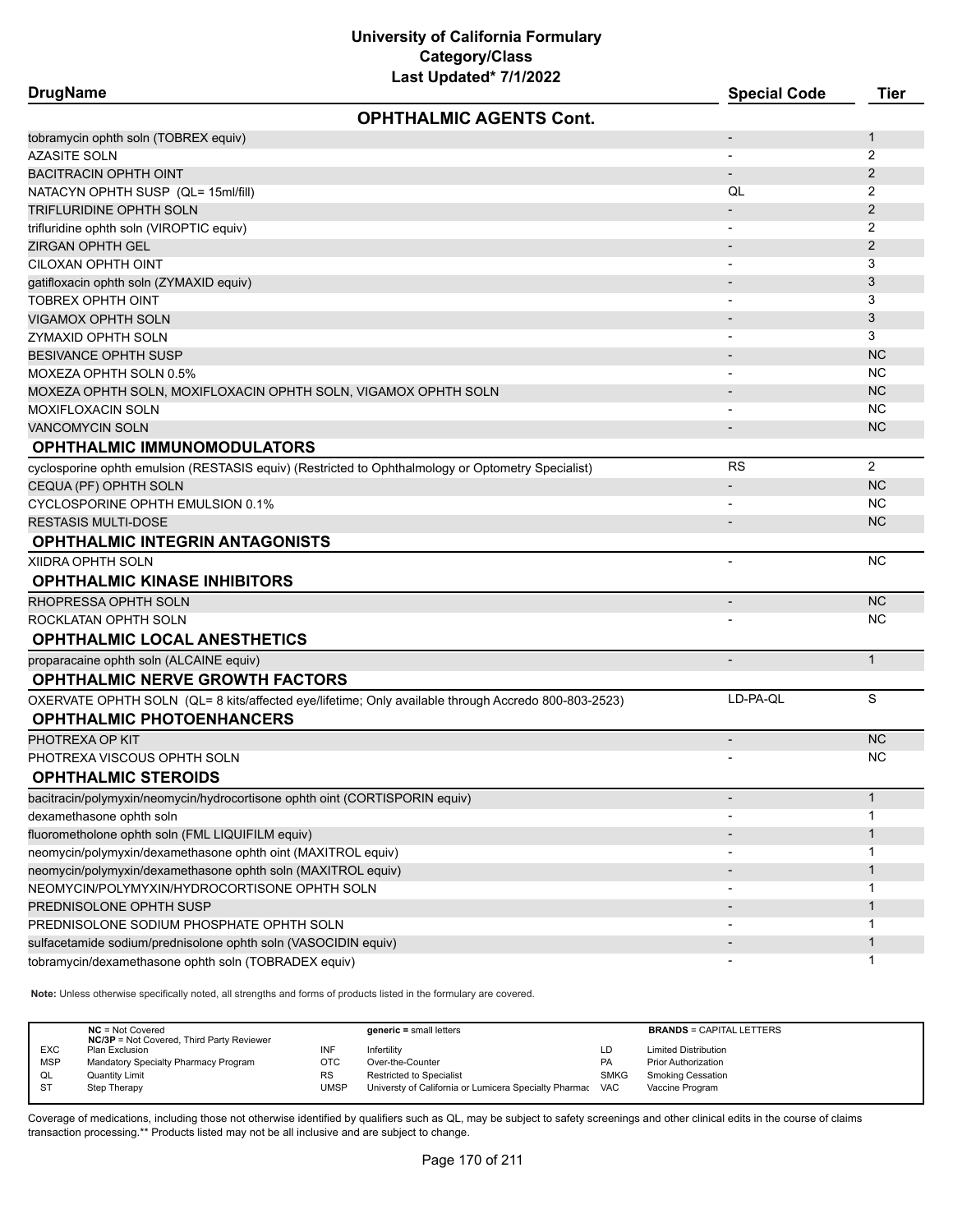| Last Updated* 7/1/2022<br><b>DrugName</b>                                                           | <b>Special Code</b>      | <b>Tier</b>    |
|-----------------------------------------------------------------------------------------------------|--------------------------|----------------|
| <b>OPHTHALMIC AGENTS Cont.</b>                                                                      |                          |                |
| tobramycin ophth soln (TOBREX equiv)                                                                |                          | $\mathbf{1}$   |
| <b>AZASITE SOLN</b>                                                                                 |                          | 2              |
| <b>BACITRACIN OPHTH OINT</b>                                                                        | $\overline{\phantom{a}}$ | $\overline{2}$ |
| NATACYN OPHTH SUSP (QL= 15ml/fill)                                                                  | QL                       | 2              |
| TRIFLURIDINE OPHTH SOLN                                                                             |                          | 2              |
| trifluridine ophth soln (VIROPTIC equiv)                                                            | $\overline{\phantom{a}}$ | 2              |
| ZIRGAN OPHTH GEL                                                                                    |                          | $\overline{2}$ |
| CILOXAN OPHTH OINT                                                                                  | $\overline{\phantom{a}}$ | 3              |
| gatifloxacin ophth soln (ZYMAXID equiv)                                                             |                          | 3              |
| TOBREX OPHTH OINT                                                                                   | $\blacksquare$           | 3              |
| <b>VIGAMOX OPHTH SOLN</b>                                                                           |                          | 3              |
| ZYMAXID OPHTH SOLN                                                                                  |                          | 3              |
| <b>BESIVANCE OPHTH SUSP</b>                                                                         |                          | <b>NC</b>      |
| MOXEZA OPHTH SOLN 0.5%                                                                              |                          | <b>NC</b>      |
| MOXEZA OPHTH SOLN, MOXIFLOXACIN OPHTH SOLN, VIGAMOX OPHTH SOLN                                      |                          | <b>NC</b>      |
| MOXIFLOXACIN SOLN                                                                                   | $\overline{\phantom{a}}$ | <b>NC</b>      |
| <b>VANCOMYCIN SOLN</b>                                                                              |                          | <b>NC</b>      |
| <b>OPHTHALMIC IMMUNOMODULATORS</b>                                                                  |                          |                |
| cyclosporine ophth emulsion (RESTASIS equiv) (Restricted to Ophthalmology or Optometry Specialist)  | <b>RS</b>                | $\overline{2}$ |
| CEQUA (PF) OPHTH SOLN                                                                               |                          | <b>NC</b>      |
| CYCLOSPORINE OPHTH EMULSION 0.1%                                                                    |                          | NC.            |
| <b>RESTASIS MULTI-DOSE</b>                                                                          |                          | <b>NC</b>      |
| <b>OPHTHALMIC INTEGRIN ANTAGONISTS</b>                                                              |                          |                |
| XIIDRA OPHTH SOLN                                                                                   | $\blacksquare$           | <b>NC</b>      |
| <b>OPHTHALMIC KINASE INHIBITORS</b>                                                                 |                          |                |
| RHOPRESSA OPHTH SOLN                                                                                | $\overline{\phantom{a}}$ | <b>NC</b>      |
| ROCKLATAN OPHTH SOLN                                                                                |                          | NC.            |
| <b>OPHTHALMIC LOCAL ANESTHETICS</b>                                                                 |                          |                |
| proparacaine ophth soln (ALCAINE equiv)                                                             | $\blacksquare$           | $\mathbf{1}$   |
| <b>OPHTHALMIC NERVE GROWTH FACTORS</b>                                                              |                          |                |
| OXERVATE OPHTH SOLN (QL= 8 kits/affected eye/lifetime; Only available through Accredo 800-803-2523) | LD-PA-QL                 | S              |
| <b>OPHTHALMIC PHOTOENHANCERS</b>                                                                    |                          |                |
| PHOTREXA OP KIT                                                                                     | $\overline{\phantom{a}}$ | <b>NC</b>      |
| PHOTREXA VISCOUS OPHTH SOLN                                                                         |                          | <b>NC</b>      |
| <b>OPHTHALMIC STEROIDS</b>                                                                          |                          |                |
| bacitracin/polymyxin/neomycin/hydrocortisone ophth oint (CORTISPORIN equiv)                         |                          | $\mathbf{1}$   |
| dexamethasone ophth soln                                                                            |                          | $\mathbf 1$    |
| fluorometholone ophth soln (FML LIQUIFILM equiv)                                                    |                          | $\mathbf{1}$   |
| neomycin/polymyxin/dexamethasone ophth oint (MAXITROL equiv)                                        | $\overline{\phantom{a}}$ | 1              |
| neomycin/polymyxin/dexamethasone ophth soln (MAXITROL equiv)                                        |                          | $\mathbf{1}$   |
| NEOMYCIN/POLYMYXIN/HYDROCORTISONE OPHTH SOLN                                                        |                          | -1             |
| PREDNISOLONE OPHTH SUSP                                                                             |                          | $\mathbf 1$    |
| PREDNISOLONE SODIUM PHOSPHATE OPHTH SOLN                                                            |                          | -1             |
| sulfacetamide sodium/prednisolone ophth soln (VASOCIDIN equiv)                                      |                          | $\mathbf{1}$   |
| tobramycin/dexamethasone ophth soln (TOBRADEX equiv)                                                |                          | 1              |

**Note:** Unless otherwise specifically noted, all strengths and forms of products listed in the formulary are covered.

|                              | $NC = Not Covered$<br><b>NC/3P</b> = Not Covered, Third Party Reviewer | $generic = small letters$                             |             | <b>BRANDS = CAPITAL LETTERS</b> |
|------------------------------|------------------------------------------------------------------------|-------------------------------------------------------|-------------|---------------------------------|
| <b>EXC</b><br>Plan Exclusion | INF                                                                    | Infertilitv                                           | LD          | <b>Limited Distribution</b>     |
| <b>MSP</b>                   | Mandatory Specialty Pharmacy Program<br>ОТС                            | Over-the-Counter                                      | PA          | <b>Prior Authorization</b>      |
| QL<br><b>Quantity Limit</b>  | <b>RS</b>                                                              | <b>Restricted to Specialist</b>                       | <b>SMKG</b> | <b>Smoking Cessation</b>        |
| $S^{T}$<br>Step Therapy      | UMSP                                                                   | Universty of California or Lumicera Specialty Pharmac | <b>VAC</b>  | Vaccine Program                 |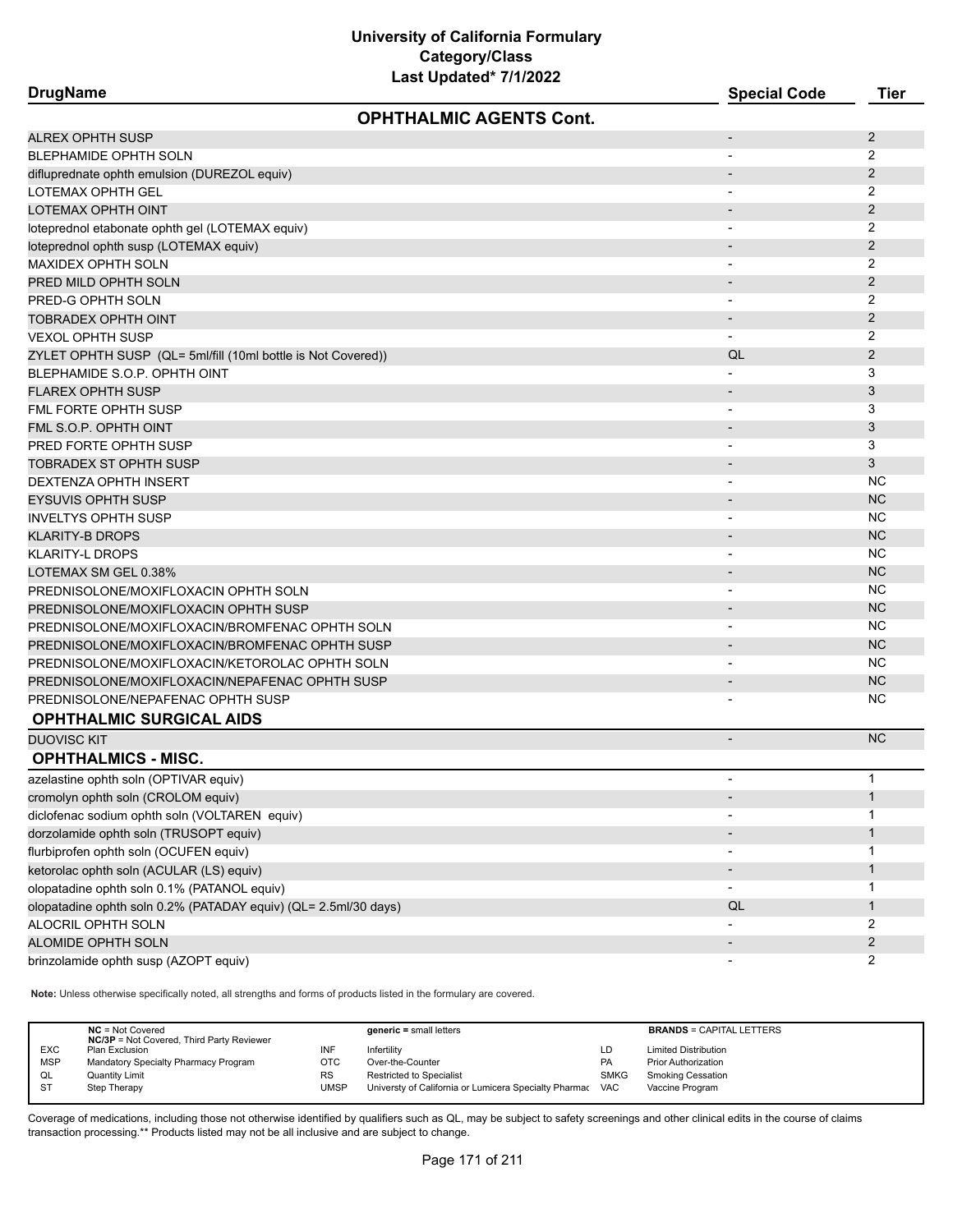**DrugName Special Code Tier OPHTHALMIC AGENTS Cont.** ALREX OPHTH SUSP  $\sim$  2 BLEPHAMIDE OPHTH SOLN 2 difluprednate ophth emulsion (DUREZOL equiv) and the contract of the contract of the contract of the contract of the contract of the contract of the contract of the contract of the contract of the contract of the contract LOTEMAX OPHTH GEL - 2 LOTEMAX OPHTH OINT - 2 loteprednol etabonate ophth gel (LOTEMAX equiv) - 2 loteprednol ophth susp (LOTEMAX equiv) - 2 MAXIDEX OPHTH SOLN - 2 PRED MILD OPHTH SOLN  $\sim$  2 PRED-G OPHTH SOLN 2 TOBRADEX OPHTH OINT - 2 VEXOL OPHTH SUSP - 2 ZYLET OPHTH SUSP (QL= 5ml/fill (10ml bottle is Not Covered)) QL 2 BLEPHAMIDE S.O.P. OPHTH OINT 3 FLAREX OPHTH SUSP - 3 FML FORTE OPHTH SUSP 3 AND THE SUSP IN THE SUSPENSION OF THE SUSPENSION OF THE SUSPENSION OF THE SUSPENSION OF THE SUSPENSION OF THE SUSPENSION OF THE SUSPENSION OF THE SUSPENSION OF THE SUSPENSION OF THE SUSPENSION OF THE FML S.O.P. OPHTH OINT  $\sim$  3 PRED FORTE OPHTH SUSP 3 3 TOBRADEX ST OPHTH SUSP - 3 DEXTENZA OPHTH INSERT AND THE SERIES OF THE SERIES OF THE SERIES OF THE SERIES OF THE SERIES OF THE SERIES OF THE SERIES OF THE SERIES OF THE SERIES OF THE SERIES OF THE SERIES OF THE SERIES OF THE SERIES OF THE SERIES OF EYSUVIS OPHTH SUSP AND THE RELEASED OF THE RELEASED OF THE RELEASED OF THE RELEASED OF THE RELEASED OF THE RELEASED OF THE RELEASED OF THE RELEASED OF THE RELEASED OF THE RELEASED OF THE RELEASED OF THE RELEASED OF THE REL INVELTYS OPHTH SUSP NOTICE AND THE RELEASE OF THE RELEASE OF THE RELEASE OF THE RELEASE OF THE RELEASE OF THE RELEASE OF THE RELEASE OF THE RELEASE OF THE RELEASE OF THE RELEASE OF THE RELEASE OF THE RELEASE OF THE RELEASE KLARITY-B DROPS - NC klarity-l drops have been always to be a set of the set of the set of the set of the set of the set of the set of the set of the set of the set of the set of the set of the set of the set of the set of the set of the set o  $\blacksquare$  LOTEMAX SM GEL 0.38%  $\blacksquare$  NC PREDNISOLONE/MOXIFLOXACIN OPHTH SOLN AND AND AND AND AND AND AND ANNOUNCLY AND ANNOUNCLY AND AND AND AND AND A PREDNISOLONE/MOXIFLOXACIN OPHTH SUSP - NC PREDNISOLONE/MOXIFLOXACIN/BROMFENAC OPHTH SOLN AND AND AND AND AND AND AND ANOTHER SOLD AND A RED MOVED A REPORT OF THE SOLD AND A REPORT OF THE SOLD AND A REPORT OF THE SOLD AND A REPORT OF THE SOLD AND A REPORT OF THE SO PREDNISOLONE/MOXIFLOXACIN/BROMFENAC OPHTH SUSP - NC PREDNISOLONE/MOXIFLOXACIN/KETOROLAC OPHTH SOLN AND AND AND AND AND AND AND ANOTHER SOLD AND AND AND AND AND AN PREDNISOLONE/MOXIFLOXACIN/NEPAFENAC OPHTH SUSP - NC PREDNISOLONE/NEPAFENAC OPHTH SUSP - NC **OPHTHALMIC SURGICAL AIDS** DUOVISC KIT AND DESCRIPTION OF THE RELEASED OF THE RELEASED OF THE RELEASED OF THE RELEASED OF THE RELEASED OF **OPHTHALMICS - MISC.** azelastine ophth soln (OPTIVAR equiv) and the solution of the solution of the solution of the solution of the solution of the solution of the solution of the solution of the solution of the solution of the solution of the cromolyn ophth soln (CROLOM equiv) - 1 diclofenac sodium ophth soln (VOLTAREN equiv) - 1 dorzolamide ophth soln (TRUSOPT equiv) - 1 flurbiprofen ophth soln (OCUFEN equiv) - 1 ketorolac ophth soln (ACULAR (LS) equiv) - 1 olopatadine ophth soln 0.1% (PATANOL equiv) 1 olopatadine ophth soln 0.2% (PATADAY equiv) (QL= 2.5ml/30 days) QL 1 ALOCRIL OPHTH SOLN - 2 ALOMIDE OPHTH SOLN 22 NO. 2008. THE SOLID CONTROL IS A SECOND MANUSCRIPT OF THE SOLID CONTROL OF THE SOLID CONTROL IS A SECOND MANUSCRIPT OF THE SOLID CONTROL OF THE SOLID CONTROL IS A SECOND MANUSCRIPT OF THE SOLID CONTRO brinzolamide ophth susp (AZOPT equiv) and the control of the control of the control of the control of the control of the control of the control of the control of the control of the control of the control of the control of

**Note:** Unless otherwise specifically noted, all strengths and forms of products listed in the formulary are covered.

|            | $NC = Not Covered$<br><b>NC/3P</b> = Not Covered, Third Party Reviewer |           | $generic = small letters$                             |             | <b>BRANDS = CAPITAL LETTERS</b> |
|------------|------------------------------------------------------------------------|-----------|-------------------------------------------------------|-------------|---------------------------------|
| <b>EXC</b> | Plan Exclusion                                                         | INF       | Infertility                                           | LD          | <b>Limited Distribution</b>     |
| <b>MSP</b> | Mandatory Specialty Pharmacy Program                                   | OTC       | Over-the-Counter                                      | <b>PA</b>   | <b>Prior Authorization</b>      |
| QL         | <b>Quantity Limit</b>                                                  | <b>RS</b> | <b>Restricted to Specialist</b>                       | <b>SMKG</b> | <b>Smoking Cessation</b>        |
| <b>ST</b>  | Step Therapy                                                           | UMSP      | Universty of California or Lumicera Specialty Pharmac | VAC         | Vaccine Program                 |
|            |                                                                        |           |                                                       |             |                                 |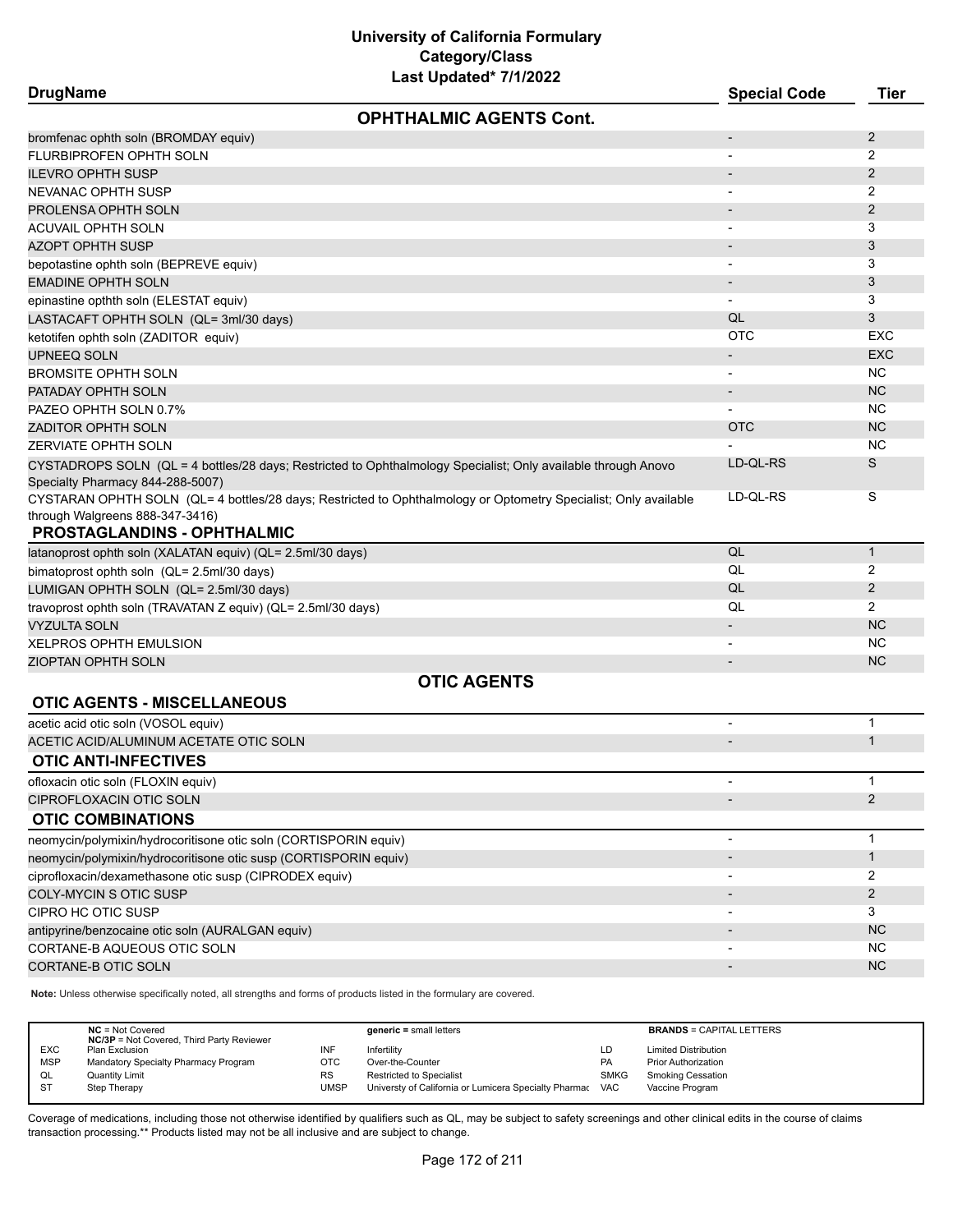| <b>DrugName</b>                                                  | Last Upuateu <i>IIIIZUZZ</i>                                                                                    | <b>Special Code</b>      | <b>Tier</b>    |
|------------------------------------------------------------------|-----------------------------------------------------------------------------------------------------------------|--------------------------|----------------|
|                                                                  | <b>OPHTHALMIC AGENTS Cont.</b>                                                                                  |                          |                |
| bromfenac ophth soln (BROMDAY equiv)                             |                                                                                                                 |                          | 2              |
| FLURBIPROFEN OPHTH SOLN                                          |                                                                                                                 |                          | 2              |
| <b>ILEVRO OPHTH SUSP</b>                                         |                                                                                                                 |                          | $\overline{2}$ |
| NEVANAC OPHTH SUSP                                               |                                                                                                                 |                          | 2              |
| PROLENSA OPHTH SOLN                                              |                                                                                                                 |                          | 2              |
| <b>ACUVAIL OPHTH SOLN</b>                                        |                                                                                                                 |                          | 3              |
| AZOPT OPHTH SUSP                                                 |                                                                                                                 |                          | 3              |
| bepotastine ophth soln (BEPREVE equiv)                           |                                                                                                                 | $\overline{\phantom{a}}$ | 3              |
| EMADINE OPHTH SOLN                                               |                                                                                                                 |                          | 3              |
| epinastine opthth soln (ELESTAT equiv)                           |                                                                                                                 |                          | 3              |
| LASTACAFT OPHTH SOLN (QL= 3ml/30 days)                           |                                                                                                                 | QL                       | 3              |
| ketotifen ophth soln (ZADITOR equiv)                             |                                                                                                                 | <b>OTC</b>               | EXC            |
| UPNEEQ SOLN                                                      |                                                                                                                 |                          | <b>EXC</b>     |
| <b>BROMSITE OPHTH SOLN</b>                                       |                                                                                                                 |                          | NC.            |
| PATADAY OPHTH SOLN                                               |                                                                                                                 | $\overline{\phantom{a}}$ | <b>NC</b>      |
| PAZEO OPHTH SOLN 0.7%                                            |                                                                                                                 |                          | <b>NC</b>      |
| ZADITOR OPHTH SOLN                                               |                                                                                                                 | <b>OTC</b>               | <b>NC</b>      |
| <b>ZERVIATE OPHTH SOLN</b>                                       |                                                                                                                 |                          | <b>NC</b>      |
| Specialty Pharmacy 844-288-5007)                                 | CYSTADROPS SOLN (QL = 4 bottles/28 days; Restricted to Ophthalmology Specialist; Only available through Anovo   | LD-QL-RS                 | S              |
| through Walgreens 888-347-3416)<br>PROSTAGLANDINS - OPHTHALMIC   | CYSTARAN OPHTH SOLN (QL= 4 bottles/28 days; Restricted to Ophthalmology or Optometry Specialist; Only available | LD-QL-RS                 | S              |
| latanoprost ophth soln (XALATAN equiv) (QL= 2.5ml/30 days)       |                                                                                                                 | QL                       | $\mathbf{1}$   |
| bimatoprost ophth soln (QL= 2.5ml/30 days)                       |                                                                                                                 | QL                       | 2              |
| LUMIGAN OPHTH SOLN (QL= 2.5ml/30 days)                           |                                                                                                                 | QL                       | $\overline{2}$ |
| travoprost ophth soln (TRAVATAN Z equiv) (QL= 2.5ml/30 days)     |                                                                                                                 | QL                       | 2              |
| <b>VYZULTA SOLN</b>                                              |                                                                                                                 |                          | <b>NC</b>      |
| XELPROS OPHTH EMULSION                                           |                                                                                                                 |                          | <b>NC</b>      |
| <b>ZIOPTAN OPHTH SOLN</b>                                        |                                                                                                                 | $\overline{\phantom{a}}$ | <b>NC</b>      |
|                                                                  | <b>OTIC AGENTS</b>                                                                                              |                          |                |
| <b>OTIC AGENTS - MISCELLANEOUS</b>                               |                                                                                                                 |                          |                |
| acetic acid otic soln (VOSOL equiv)                              |                                                                                                                 |                          | $\mathbf 1$    |
| ACETIC ACID/ALUMINUM ACETATE OTIC SOLN                           |                                                                                                                 |                          | $\mathbf{1}$   |
| <b>OTIC ANTI-INFECTIVES</b>                                      |                                                                                                                 |                          |                |
| ofloxacin otic soln (FLOXIN equiv)                               |                                                                                                                 |                          | 1              |
| CIPROFLOXACIN OTIC SOLN                                          |                                                                                                                 |                          | $\overline{2}$ |
| <b>OTIC COMBINATIONS</b>                                         |                                                                                                                 |                          |                |
| neomycin/polymixin/hydrocoritisone otic soln (CORTISPORIN equiv) |                                                                                                                 | -                        | $\mathbf{1}$   |
| neomycin/polymixin/hydrocoritisone otic susp (CORTISPORIN equiv) |                                                                                                                 |                          | $\mathbf{1}$   |
| ciprofloxacin/dexamethasone otic susp (CIPRODEX equiv)           |                                                                                                                 | $\overline{\phantom{a}}$ | 2              |
| COLY-MYCIN S OTIC SUSP                                           |                                                                                                                 |                          | $\overline{2}$ |
| CIPRO HC OTIC SUSP                                               |                                                                                                                 |                          | 3              |
| antipyrine/benzocaine otic soln (AURALGAN equiv)                 |                                                                                                                 |                          | <b>NC</b>      |
| CORTANE-B AQUEOUS OTIC SOLN                                      |                                                                                                                 |                          | <b>NC</b>      |
| CORTANE-B OTIC SOLN                                              |                                                                                                                 |                          | <b>NC</b>      |
|                                                                  |                                                                                                                 |                          |                |

**Note:** Unless otherwise specifically noted, all strengths and forms of products listed in the formulary are covered.

|            | $NC = Not Covered$                               |           | $generic = small letters$                             |             | <b>BRANDS = CAPITAL LETTERS</b> |
|------------|--------------------------------------------------|-----------|-------------------------------------------------------|-------------|---------------------------------|
|            | <b>NC/3P</b> = Not Covered, Third Party Reviewer |           |                                                       |             |                                 |
| <b>EXC</b> | Plan Exclusion                                   | INF       | Infertility                                           | LD          | <b>Limited Distribution</b>     |
| <b>MSP</b> | Mandatory Specialty Pharmacy Program             | отс       | Over-the-Counter                                      | <b>PA</b>   | <b>Prior Authorization</b>      |
| QL         | <b>Quantity Limit</b>                            | <b>RS</b> | Restricted to Specialist                              | <b>SMKG</b> | <b>Smoking Cessation</b>        |
| <b>ST</b>  | Step Therapy                                     | UMSP      | Universty of California or Lumicera Specialty Pharmac | <b>VAC</b>  | Vaccine Program                 |
|            |                                                  |           |                                                       |             |                                 |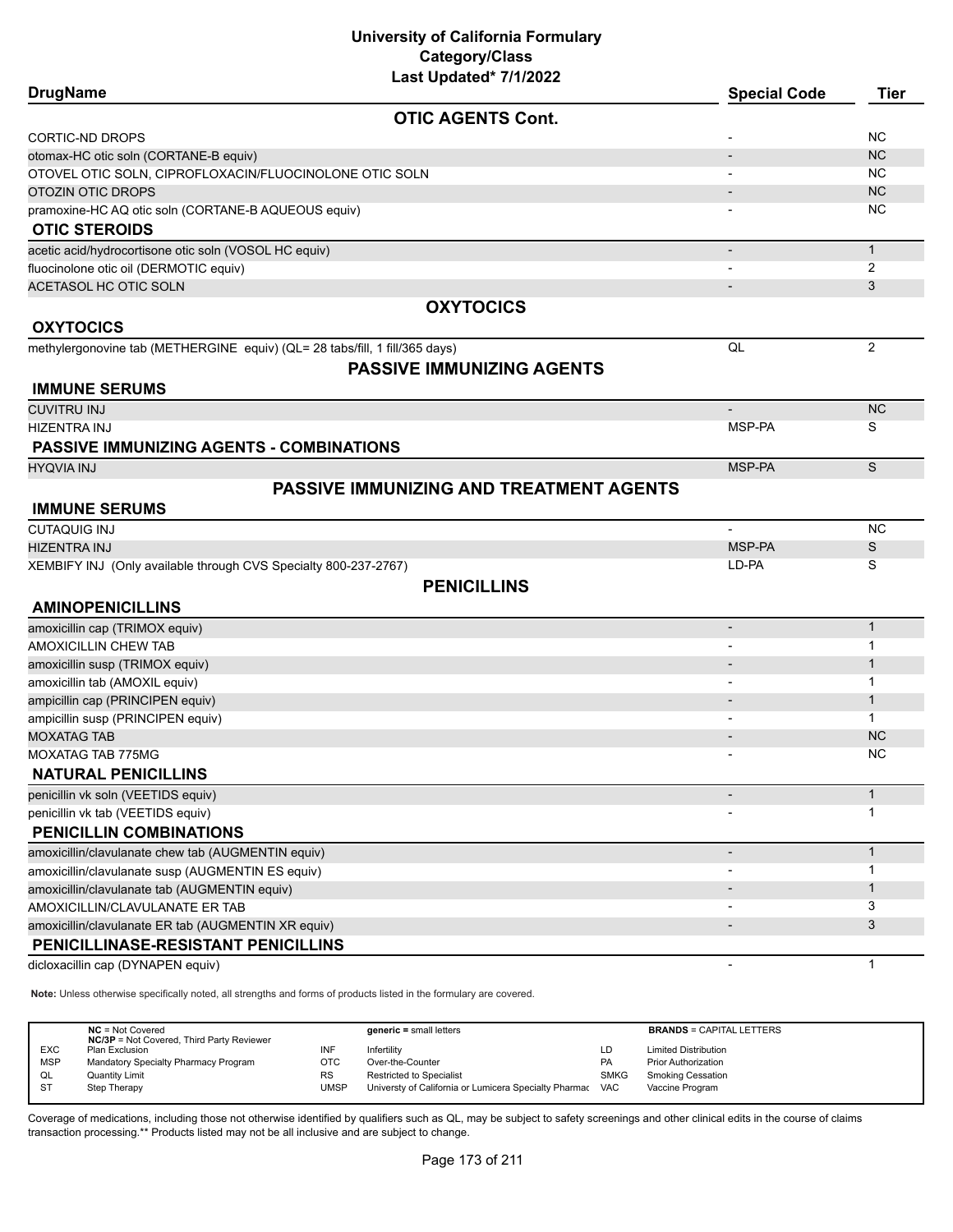| <b>DrugName</b>                                                             | <b>Special Code</b>      | <b>Tier</b>    |
|-----------------------------------------------------------------------------|--------------------------|----------------|
| <b>OTIC AGENTS Cont.</b>                                                    |                          |                |
| CORTIC-ND DROPS                                                             |                          | <b>NC</b>      |
| otomax-HC otic soln (CORTANE-B equiv)                                       |                          | <b>NC</b>      |
| OTOVEL OTIC SOLN, CIPROFLOXACIN/FLUOCINOLONE OTIC SOLN                      |                          | <b>NC</b>      |
| OTOZIN OTIC DROPS                                                           |                          | <b>NC</b>      |
| pramoxine-HC AQ otic soln (CORTANE-B AQUEOUS equiv)                         |                          | <b>NC</b>      |
| <b>OTIC STEROIDS</b>                                                        |                          |                |
| acetic acid/hydrocortisone otic soln (VOSOL HC equiv)                       | $\overline{\phantom{a}}$ | $\mathbf{1}$   |
| fluocinolone otic oil (DERMOTIC equiv)                                      |                          | 2              |
| ACETASOL HC OTIC SOLN                                                       |                          | 3              |
| <b>OXYTOCICS</b>                                                            |                          |                |
| <b>OXYTOCICS</b>                                                            |                          |                |
| methylergonovine tab (METHERGINE equiv) (QL= 28 tabs/fill, 1 fill/365 days) | QL                       | $\overline{c}$ |
| <b>PASSIVE IMMUNIZING AGENTS</b>                                            |                          |                |
| <b>IMMUNE SERUMS</b>                                                        |                          |                |
| <b>CUVITRU INJ</b>                                                          |                          | <b>NC</b>      |
| HIZENTRA INJ                                                                | MSP-PA                   | S              |
| <b>PASSIVE IMMUNIZING AGENTS - COMBINATIONS</b>                             |                          |                |
| <b>HYQVIA INJ</b>                                                           | MSP-PA                   | S              |
| <b>PASSIVE IMMUNIZING AND TREATMENT AGENTS</b>                              |                          |                |
| <b>IMMUNE SERUMS</b>                                                        |                          |                |
| <b>CUTAQUIG INJ</b>                                                         | $\blacksquare$           | <b>NC</b>      |
| <b>HIZENTRA INJ</b>                                                         | MSP-PA                   | S              |
| XEMBIFY INJ (Only available through CVS Specialty 800-237-2767)             | LD-PA                    | S              |
| <b>PENICILLINS</b>                                                          |                          |                |
| <b>AMINOPENICILLINS</b>                                                     |                          |                |
| amoxicillin cap (TRIMOX equiv)                                              | $\overline{\phantom{a}}$ | $\mathbf{1}$   |
| AMOXICILLIN CHEW TAB                                                        |                          | 1              |
| amoxicillin susp (TRIMOX equiv)                                             |                          | $\mathbf{1}$   |
| amoxicillin tab (AMOXIL equiv)                                              | $\overline{\phantom{a}}$ | 1              |
| ampicillin cap (PRINCIPEN equiv)                                            |                          | $\mathbf{1}$   |
| ampicillin susp (PRINCIPEN equiv)                                           |                          | $\mathbf{1}$   |
| <b>MOXATAG TAB</b>                                                          |                          | <b>NC</b>      |
| <b>MOXATAG TAB 775MG</b>                                                    |                          | <b>NC</b>      |
| <b>NATURAL PENICILLINS</b>                                                  |                          |                |
| penicillin vk soln (VEETIDS equiv)                                          |                          | $\mathbf{1}$   |
| penicillin vk tab (VEETIDS equiv)                                           |                          | 1              |
| PENICILLIN COMBINATIONS                                                     |                          |                |
| amoxicillin/clavulanate chew tab (AUGMENTIN equiv)                          | $\overline{\phantom{a}}$ | $\mathbf{1}$   |
| amoxicillin/clavulanate susp (AUGMENTIN ES equiv)                           |                          | 1              |
| amoxicillin/clavulanate tab (AUGMENTIN equiv)                               |                          | $\mathbf{1}$   |
| AMOXICILLIN/CLAVULANATE ER TAB                                              |                          | 3              |
| amoxicillin/clavulanate ER tab (AUGMENTIN XR equiv)                         |                          | 3              |
| PENICILLINASE-RESISTANT PENICILLINS                                         |                          |                |
| dicloxacillin cap (DYNAPEN equiv)                                           |                          | $\mathbf{1}$   |

**Note:** Unless otherwise specifically noted, all strengths and forms of products listed in the formulary are covered.

|            | $NC = Not Covered$<br><b>NC/3P</b> = Not Covered, Third Party Reviewer |      | $generic = small letters$                             |             | <b>BRANDS = CAPITAL LETTERS</b> |
|------------|------------------------------------------------------------------------|------|-------------------------------------------------------|-------------|---------------------------------|
| <b>EXC</b> | Plan Exclusion                                                         | INF  | Infertility                                           | LD          | <b>Limited Distribution</b>     |
| <b>MSP</b> | Mandatory Specialty Pharmacy Program                                   | OTC  | Over-the-Counter                                      | PA          | <b>Prior Authorization</b>      |
| QL         | <b>Quantity Limit</b>                                                  | RS   | <b>Restricted to Specialist</b>                       | <b>SMKG</b> | Smoking Cessation               |
| <b>ST</b>  | Step Therapy                                                           | UMSP | Universty of California or Lumicera Specialty Pharmac | VAC         | Vaccine Program                 |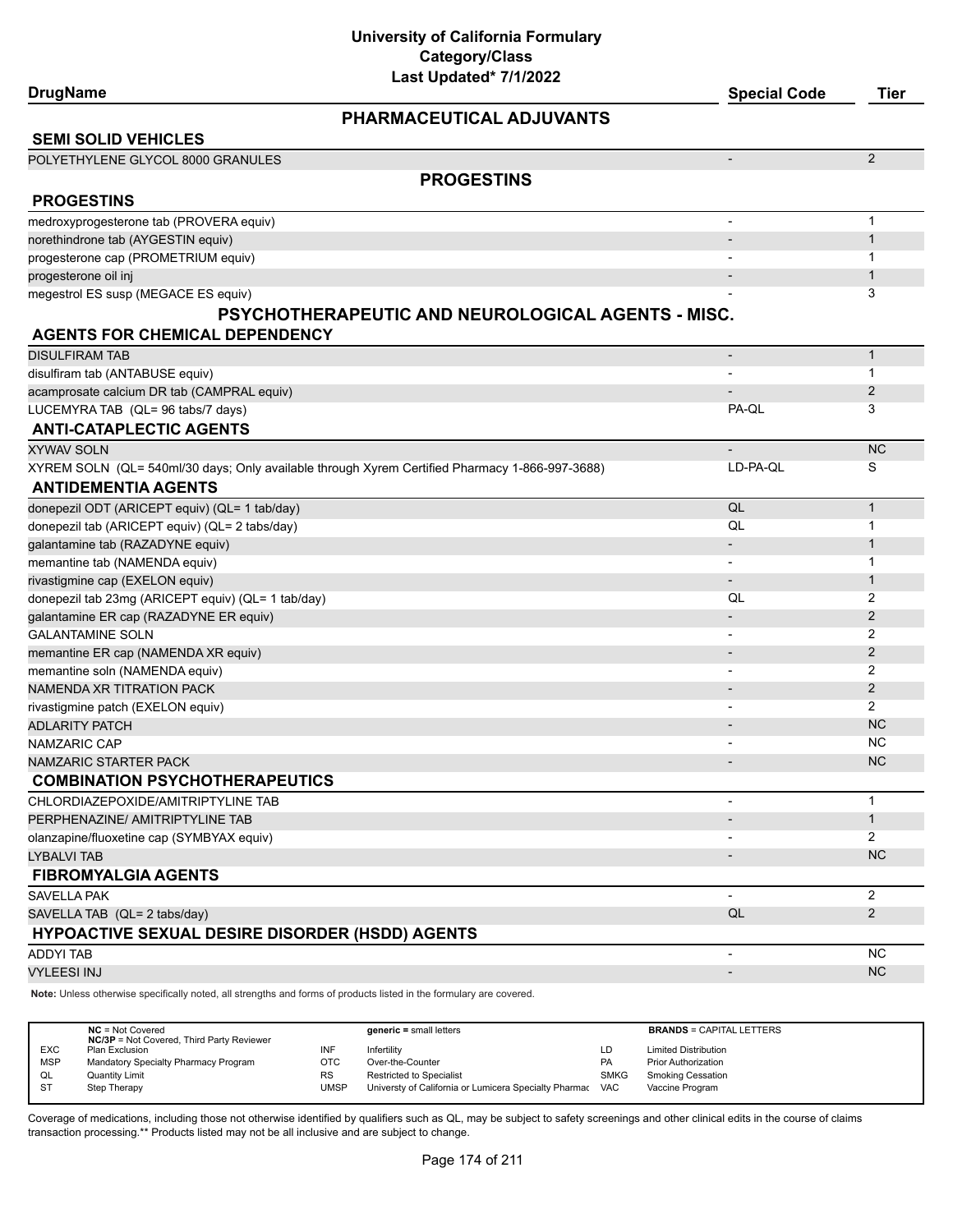#### **DrugName Special Code Tier**

# **PHARMACEUTICAL ADJUVANTS**

| PHARMACEUTICAL ADJUVANTS                                                                       |                          |                |
|------------------------------------------------------------------------------------------------|--------------------------|----------------|
| <b>SEMI SOLID VEHICLES</b>                                                                     |                          |                |
| POLYETHYLENE GLYCOL 8000 GRANULES                                                              | $\overline{\phantom{0}}$ | $\overline{2}$ |
| <b>PROGESTINS</b>                                                                              |                          |                |
| <b>PROGESTINS</b>                                                                              |                          |                |
| medroxyprogesterone tab (PROVERA equiv)                                                        | $\overline{\phantom{0}}$ | $\mathbf{1}$   |
| norethindrone tab (AYGESTIN equiv)                                                             |                          | $\mathbf{1}$   |
| progesterone cap (PROMETRIUM equiv)                                                            |                          | 1              |
| progesterone oil inj                                                                           |                          | $\mathbf{1}$   |
| megestrol ES susp (MEGACE ES equiv)                                                            |                          | 3              |
| <b>PSYCHOTHERAPEUTIC AND NEUROLOGICAL AGENTS - MISC.</b>                                       |                          |                |
| <b>AGENTS FOR CHEMICAL DEPENDENCY</b>                                                          |                          |                |
| <b>DISULFIRAM TAB</b>                                                                          | $\overline{\phantom{0}}$ | $\mathbf{1}$   |
| disulfiram tab (ANTABUSE equiv)                                                                |                          | $\mathbf 1$    |
| acamprosate calcium DR tab (CAMPRAL equiv)                                                     |                          | 2              |
| LUCEMYRA TAB (QL= 96 tabs/7 days)                                                              | PA-QL                    | 3              |
| <b>ANTI-CATAPLECTIC AGENTS</b>                                                                 |                          |                |
| <b>XYWAV SOLN</b>                                                                              | $\overline{\phantom{0}}$ | <b>NC</b>      |
| XYREM SOLN (QL= 540ml/30 days; Only available through Xyrem Certified Pharmacy 1-866-997-3688) | LD-PA-OL                 | S              |
| <b>ANTIDEMENTIA AGENTS</b>                                                                     |                          |                |
| donepezil ODT (ARICEPT equiv) (QL= 1 tab/day)                                                  | QL                       | $\mathbf{1}$   |
| donepezil tab (ARICEPT equiv) (QL= 2 tabs/day)                                                 | QL                       | 1              |
| galantamine tab (RAZADYNE equiv)                                                               | $\overline{\phantom{0}}$ | $\mathbf{1}$   |
| memantine tab (NAMENDA equiv)                                                                  |                          | 1              |
| rivastigmine cap (EXELON equiv)                                                                | $\overline{\phantom{0}}$ | $\mathbf{1}$   |
| donepezil tab 23mg (ARICEPT equiv) (QL= 1 tab/day)                                             | QL                       | 2              |
| galantamine ER cap (RAZADYNE ER equiv)                                                         | $\overline{\phantom{a}}$ | 2              |
| <b>GALANTAMINE SOLN</b>                                                                        | $\overline{\phantom{0}}$ | $\overline{2}$ |
| memantine ER cap (NAMENDA XR equiv)                                                            | $\overline{\phantom{a}}$ | 2              |
| memantine soln (NAMENDA equiv)                                                                 | -                        | $\overline{2}$ |
| NAMENDA XR TITRATION PACK                                                                      | $\overline{\phantom{0}}$ | 2              |
| rivastigmine patch (EXELON equiv)                                                              |                          | $\overline{2}$ |
| <b>ADLARITY PATCH</b>                                                                          |                          | <b>NC</b>      |
| NAMZARIC CAP                                                                                   |                          | <b>NC</b>      |
| NAMZARIC STARTER PACK                                                                          | $\overline{a}$           | <b>NC</b>      |
| <b>COMBINATION PSYCHOTHERAPEUTICS</b>                                                          |                          |                |
| CHLORDIAZEPOXIDE/AMITRIPTYLINE TAB                                                             | $\overline{\phantom{0}}$ | $\mathbf{1}$   |
| PERPHENAZINE/ AMITRIPTYLINE TAB                                                                |                          | $\mathbf{1}$   |
| olanzapine/fluoxetine cap (SYMBYAX equiv)                                                      |                          | $\overline{2}$ |
| LYBALVI TAB                                                                                    |                          | <b>NC</b>      |
| <b>FIBROMYALGIA AGENTS</b>                                                                     |                          |                |
| <b>SAVELLA PAK</b>                                                                             | $\overline{\phantom{a}}$ | $\overline{2}$ |
| SAVELLA TAB (QL= 2 tabs/day)                                                                   | QL                       | $\overline{2}$ |
| <b>HYPOACTIVE SEXUAL DESIRE DISORDER (HSDD) AGENTS</b>                                         |                          |                |
| <b>ADDYI TAB</b>                                                                               | $\overline{\phantom{a}}$ | NC             |
| <b>VYLEESI INJ</b>                                                                             | $\overline{\phantom{a}}$ | NC             |

**Note:** Unless otherwise specifically noted, all strengths and forms of products listed in the formulary are covered.

|            | $NC = Not Covered$<br><b>NC/3P</b> = Not Covered, Third Party Reviewer |      | $generic = small letters$                                 |             | <b>BRANDS = CAPITAL LETTERS</b> |
|------------|------------------------------------------------------------------------|------|-----------------------------------------------------------|-------------|---------------------------------|
| <b>EXC</b> | Plan Exclusion                                                         | INF  | Infertility                                               | LD          | <b>Limited Distribution</b>     |
| <b>MSP</b> | Mandatory Specialty Pharmacy Program                                   | OTC  | Over-the-Counter                                          | <b>PA</b>   | <b>Prior Authorization</b>      |
| QL         | <b>Quantity Limit</b>                                                  | RS   | <b>Restricted to Specialist</b>                           | <b>SMKG</b> | Smoking Cessation               |
| -ST        | Step Therapy                                                           | UMSP | Universty of California or Lumicera Specialty Pharmac VAC |             | Vaccine Program                 |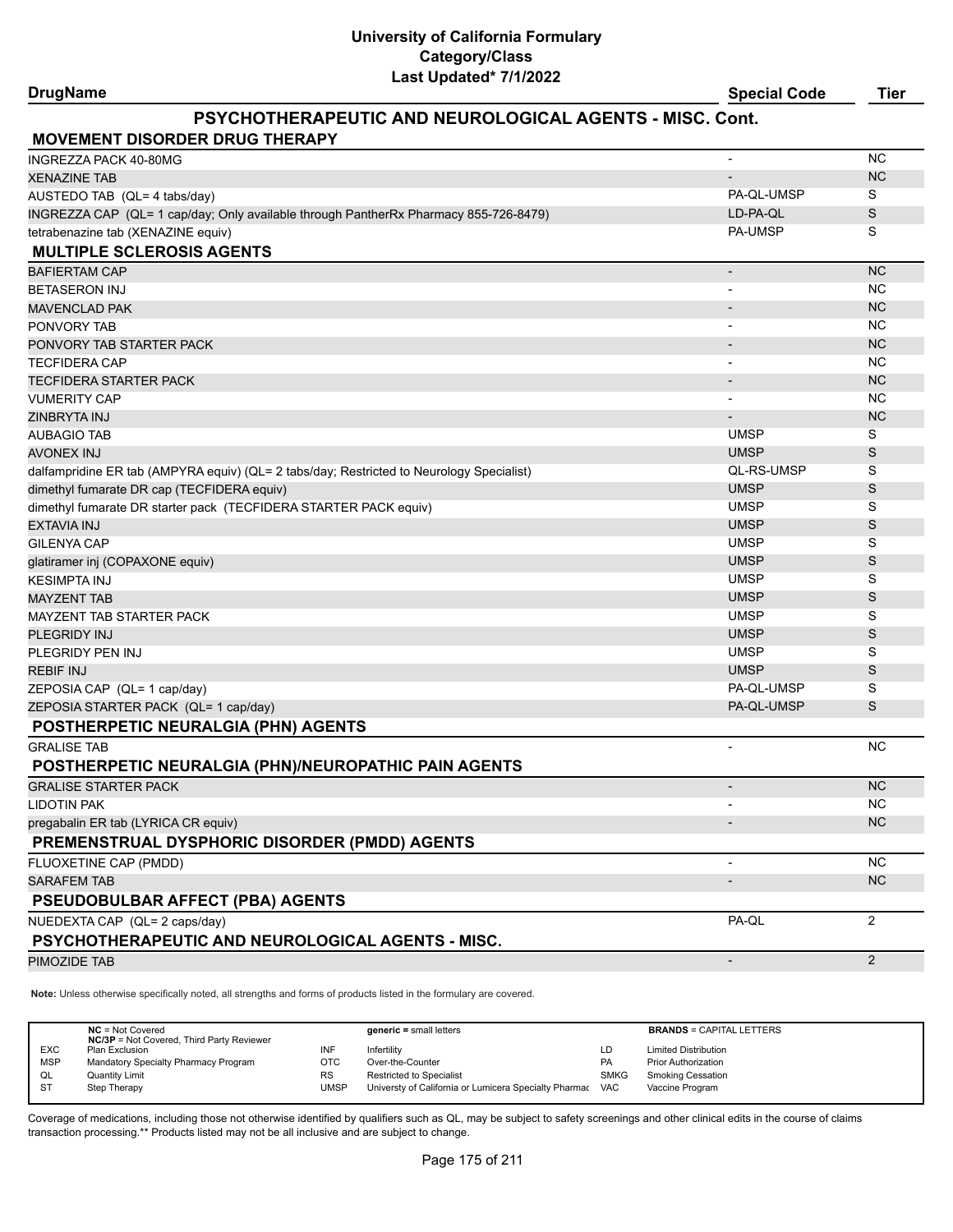#### **DrugName Special Code Tier**

### **PSYCHOTHERAPEUTIC AND NEUROLOGICAL AGENTS - MISC. Cont.**

| <b>MOVEMENT DISORDER DRUG THERAPY</b>                                                    |                          |                |
|------------------------------------------------------------------------------------------|--------------------------|----------------|
| <b>INGREZZA PACK 40-80MG</b>                                                             | $\blacksquare$           | <b>NC</b>      |
| <b>XENAZINE TAB</b>                                                                      |                          | <b>NC</b>      |
| AUSTEDO TAB (QL= 4 tabs/day)                                                             | PA-QL-UMSP               | S              |
| INGREZZA CAP (QL= 1 cap/day; Only available through PantherRx Pharmacy 855-726-8479)     | LD-PA-QL                 | S              |
| tetrabenazine tab (XENAZINE equiv)                                                       | <b>PA-UMSP</b>           | S              |
| <b>MULTIPLE SCLEROSIS AGENTS</b>                                                         |                          |                |
| <b>BAFIERTAM CAP</b>                                                                     | $\overline{\phantom{a}}$ | <b>NC</b>      |
| <b>BETASERON INJ</b>                                                                     |                          | <b>NC</b>      |
| <b>MAVENCLAD PAK</b>                                                                     |                          | <b>NC</b>      |
| PONVORY TAB                                                                              |                          | <b>NC</b>      |
| PONVORY TAB STARTER PACK                                                                 |                          | <b>NC</b>      |
| <b>TECFIDERA CAP</b>                                                                     | $\blacksquare$           | <b>NC</b>      |
| <b>TECFIDERA STARTER PACK</b>                                                            |                          | <b>NC</b>      |
| <b>VUMERITY CAP</b>                                                                      |                          | <b>NC</b>      |
| ZINBRYTA INJ                                                                             |                          | <b>NC</b>      |
| <b>AUBAGIO TAB</b>                                                                       | <b>UMSP</b>              | S              |
| <b>AVONEX INJ</b>                                                                        | <b>UMSP</b>              | S              |
| dalfampridine ER tab (AMPYRA equiv) (QL= 2 tabs/day; Restricted to Neurology Specialist) | QL-RS-UMSP               | S              |
| dimethyl fumarate DR cap (TECFIDERA equiv)                                               | <b>UMSP</b>              | S              |
| dimethyl fumarate DR starter pack (TECFIDERA STARTER PACK equiv)                         | <b>UMSP</b>              | S              |
| <b>EXTAVIA INJ</b>                                                                       | <b>UMSP</b>              | S              |
| <b>GILENYA CAP</b>                                                                       | <b>UMSP</b>              | S              |
| glatiramer inj (COPAXONE equiv)                                                          | <b>UMSP</b>              | S              |
| <b>KESIMPTA INJ</b>                                                                      | <b>UMSP</b>              | S              |
| <b>MAYZENT TAB</b>                                                                       | <b>UMSP</b>              | S              |
| MAYZENT TAB STARTER PACK                                                                 | <b>UMSP</b>              | S              |
| PLEGRIDY INJ                                                                             | <b>UMSP</b>              | S              |
| PLEGRIDY PEN INJ                                                                         | <b>UMSP</b>              | S              |
| <b>REBIF INJ</b>                                                                         | <b>UMSP</b>              | S              |
| ZEPOSIA CAP (QL= 1 cap/day)                                                              | PA-QL-UMSP               | S              |
| ZEPOSIA STARTER PACK (QL= 1 cap/day)                                                     | PA-QL-UMSP               | S              |
| POSTHERPETIC NEURALGIA (PHN) AGENTS                                                      |                          |                |
| <b>GRALISE TAB</b>                                                                       | $\blacksquare$           | <b>NC</b>      |
| POSTHERPETIC NEURALGIA (PHN)/NEUROPATHIC PAIN AGENTS                                     |                          |                |
| <b>GRALISE STARTER PACK</b>                                                              | $\overline{\phantom{a}}$ | <b>NC</b>      |
| <b>LIDOTIN PAK</b>                                                                       |                          | <b>NC</b>      |
| pregabalin ER tab (LYRICA CR equiv)                                                      |                          | <b>NC</b>      |
| PREMENSTRUAL DYSPHORIC DISORDER (PMDD) AGENTS                                            |                          |                |
| FLUOXETINE CAP (PMDD)                                                                    |                          | <b>NC</b>      |
| <b>SARAFEM TAB</b>                                                                       |                          | <b>NC</b>      |
| <b>PSEUDOBULBAR AFFECT (PBA) AGENTS</b>                                                  |                          |                |
| NUEDEXTA CAP (QL= 2 caps/day)                                                            | PA-QL                    | $\overline{2}$ |
| PSYCHOTHERAPEUTIC AND NEUROLOGICAL AGENTS - MISC.                                        |                          |                |
| PIMOZIDE TAB                                                                             | $\overline{\phantom{a}}$ | $\overline{2}$ |

**Note:** Unless otherwise specifically noted, all strengths and forms of products listed in the formulary are covered.

|            | $NC = Not Covered$<br><b>NC/3P</b> = Not Covered, Third Party Reviewer |           | $generic = small letters$                             |             | <b>BRANDS = CAPITAL LETTERS</b> |
|------------|------------------------------------------------------------------------|-----------|-------------------------------------------------------|-------------|---------------------------------|
| <b>EXC</b> | Plan Exclusion                                                         | INF       | Infertilitv                                           | LD          | <b>Limited Distribution</b>     |
| <b>MSP</b> | Mandatory Specialty Pharmacy Program                                   | отс       | Over-the-Counter                                      | <b>PA</b>   | <b>Prior Authorization</b>      |
| QL         | <b>Quantity Limit</b>                                                  | <b>RS</b> | Restricted to Specialist                              | <b>SMKG</b> | <b>Smoking Cessation</b>        |
| <b>ST</b>  | Step Therapy                                                           | UMSP      | Universty of California or Lumicera Specialty Pharmac | <b>VAC</b>  | Vaccine Program                 |
|            |                                                                        |           |                                                       |             |                                 |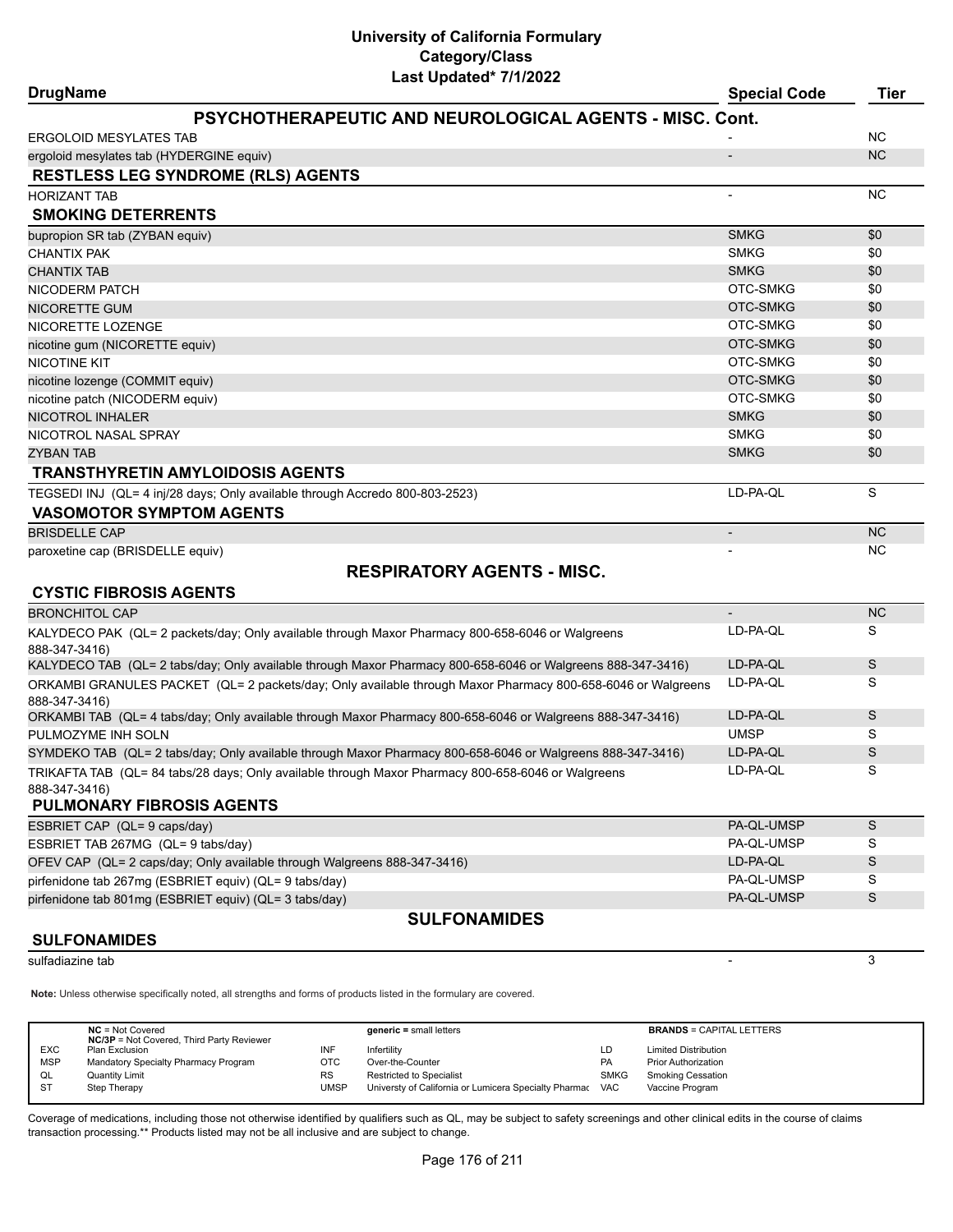| <b>DrugName</b>                                                                                                    |                                                                                                             | <b>Special Code</b>      | <b>Tier</b> |
|--------------------------------------------------------------------------------------------------------------------|-------------------------------------------------------------------------------------------------------------|--------------------------|-------------|
|                                                                                                                    | PSYCHOTHERAPEUTIC AND NEUROLOGICAL AGENTS - MISC. Cont.                                                     |                          |             |
| ERGOLOID MESYLATES TAB                                                                                             |                                                                                                             |                          | <b>NC</b>   |
| ergoloid mesylates tab (HYDERGINE equiv)                                                                           |                                                                                                             |                          | <b>NC</b>   |
| <b>RESTLESS LEG SYNDROME (RLS) AGENTS</b>                                                                          |                                                                                                             |                          |             |
| HORIZANT TAB                                                                                                       |                                                                                                             |                          | <b>NC</b>   |
| <b>SMOKING DETERRENTS</b>                                                                                          |                                                                                                             |                          |             |
| bupropion SR tab (ZYBAN equiv)                                                                                     |                                                                                                             | <b>SMKG</b>              | \$0         |
| <b>CHANTIX PAK</b>                                                                                                 |                                                                                                             | <b>SMKG</b>              | \$0         |
| <b>CHANTIX TAB</b>                                                                                                 |                                                                                                             | <b>SMKG</b>              | \$0         |
| NICODERM PATCH                                                                                                     |                                                                                                             | OTC-SMKG                 | \$0         |
| NICORETTE GUM                                                                                                      |                                                                                                             | OTC-SMKG                 | \$0         |
| NICORETTE LOZENGE                                                                                                  |                                                                                                             | OTC-SMKG                 | \$0         |
| nicotine gum (NICORETTE equiv)                                                                                     |                                                                                                             | OTC-SMKG                 | \$0         |
| NICOTINE KIT                                                                                                       |                                                                                                             | OTC-SMKG                 | \$0         |
| nicotine lozenge (COMMIT equiv)                                                                                    |                                                                                                             | OTC-SMKG                 | \$0         |
| nicotine patch (NICODERM equiv)                                                                                    |                                                                                                             | OTC-SMKG                 | \$0         |
| NICOTROL INHALER                                                                                                   |                                                                                                             | <b>SMKG</b>              | \$0         |
| NICOTROL NASAL SPRAY                                                                                               |                                                                                                             | <b>SMKG</b>              | \$0         |
| ZYBAN TAB                                                                                                          |                                                                                                             | <b>SMKG</b>              | \$0         |
| <b>TRANSTHYRETIN AMYLOIDOSIS AGENTS</b>                                                                            |                                                                                                             |                          |             |
| TEGSEDI INJ (QL= 4 inj/28 days; Only available through Accredo 800-803-2523)                                       |                                                                                                             | LD-PA-QL                 | S           |
| <b>VASOMOTOR SYMPTOM AGENTS</b>                                                                                    |                                                                                                             |                          |             |
| <b>BRISDELLE CAP</b>                                                                                               |                                                                                                             | $\overline{\phantom{a}}$ | <b>NC</b>   |
| paroxetine cap (BRISDELLE equiv)                                                                                   |                                                                                                             |                          | <b>NC</b>   |
|                                                                                                                    | <b>RESPIRATORY AGENTS - MISC.</b>                                                                           |                          |             |
| <b>CYSTIC FIBROSIS AGENTS</b>                                                                                      |                                                                                                             |                          |             |
| <b>BRONCHITOL CAP</b>                                                                                              |                                                                                                             |                          | <b>NC</b>   |
| KALYDECO PAK  (QL= 2 packets/day; Only available through Maxor Pharmacy 800-658-6046 or Walgreens<br>888-347-3416) |                                                                                                             | LD-PA-QL                 | S           |
| KALYDECO TAB (QL= 2 tabs/day; Only available through Maxor Pharmacy 800-658-6046 or Walgreens 888-347-3416)        |                                                                                                             | LD-PA-QL                 | S           |
| 888-347-3416)                                                                                                      | ORKAMBI GRANULES PACKET (QL= 2 packets/day; Only available through Maxor Pharmacy 800-658-6046 or Walgreens | LD-PA-QL                 | S           |
| ORKAMBI TAB (QL= 4 tabs/day; Only available through Maxor Pharmacy 800-658-6046 or Walgreens 888-347-3416)         |                                                                                                             | LD-PA-QL                 | S           |
| PULMOZYME INH SOLN                                                                                                 |                                                                                                             | <b>UMSP</b>              | S           |
| SYMDEKO TAB (QL= 2 tabs/day; Only available through Maxor Pharmacy 800-658-6046 or Walgreens 888-347-3416)         |                                                                                                             | LD-PA-QL                 | S           |
| TRIKAFTA TAB (QL= 84 tabs/28 days; Only available through Maxor Pharmacy 800-658-6046 or Walgreens                 |                                                                                                             | LD-PA-QL                 | S           |
| 888-347-3416)                                                                                                      |                                                                                                             |                          |             |
| PULMONARY FIBROSIS AGENTS                                                                                          |                                                                                                             |                          |             |
| ESBRIET CAP (QL= 9 caps/day)                                                                                       |                                                                                                             | PA-QL-UMSP               | S           |
| ESBRIET TAB 267MG (QL= 9 tabs/day)                                                                                 |                                                                                                             | PA-QL-UMSP               | S           |
| OFEV CAP (QL= 2 caps/day; Only available through Walgreens 888-347-3416)                                           |                                                                                                             | LD-PA-QL                 | S           |
| pirfenidone tab 267mg (ESBRIET equiv) (QL= 9 tabs/day)                                                             |                                                                                                             | PA-QL-UMSP               | S           |
| pirfenidone tab 801mg (ESBRIET equiv) (QL= 3 tabs/day)                                                             |                                                                                                             | PA-QL-UMSP               | S           |
|                                                                                                                    | <b>SULFONAMIDES</b>                                                                                         |                          |             |
| <b>SULFONAMIDES</b>                                                                                                |                                                                                                             |                          |             |
| sulfadiazine tab                                                                                                   |                                                                                                             |                          | 3           |

**Note:** Unless otherwise specifically noted, all strengths and forms of products listed in the formulary are covered.

|            | $NC = Not Covered$<br><b>NC/3P</b> = Not Covered, Third Party Reviewer |             | $generic = small letters$                                 |             | <b>BRANDS = CAPITAL LETTERS</b> |
|------------|------------------------------------------------------------------------|-------------|-----------------------------------------------------------|-------------|---------------------------------|
| <b>EXC</b> | Plan Exclusion                                                         | INF         | Infertility                                               | LD          | <b>Limited Distribution</b>     |
| <b>MSP</b> | Mandatory Specialty Pharmacy Program                                   | OTC         | Over-the-Counter                                          | PA          | <b>Prior Authorization</b>      |
| QL         | <b>Quantity Limit</b>                                                  | <b>RS</b>   | <b>Restricted to Specialist</b>                           | <b>SMKG</b> | <b>Smoking Cessation</b>        |
| <b>ST</b>  | Step Therapy                                                           | <b>UMSP</b> | Universty of California or Lumicera Specialty Pharmac VAC |             | Vaccine Program                 |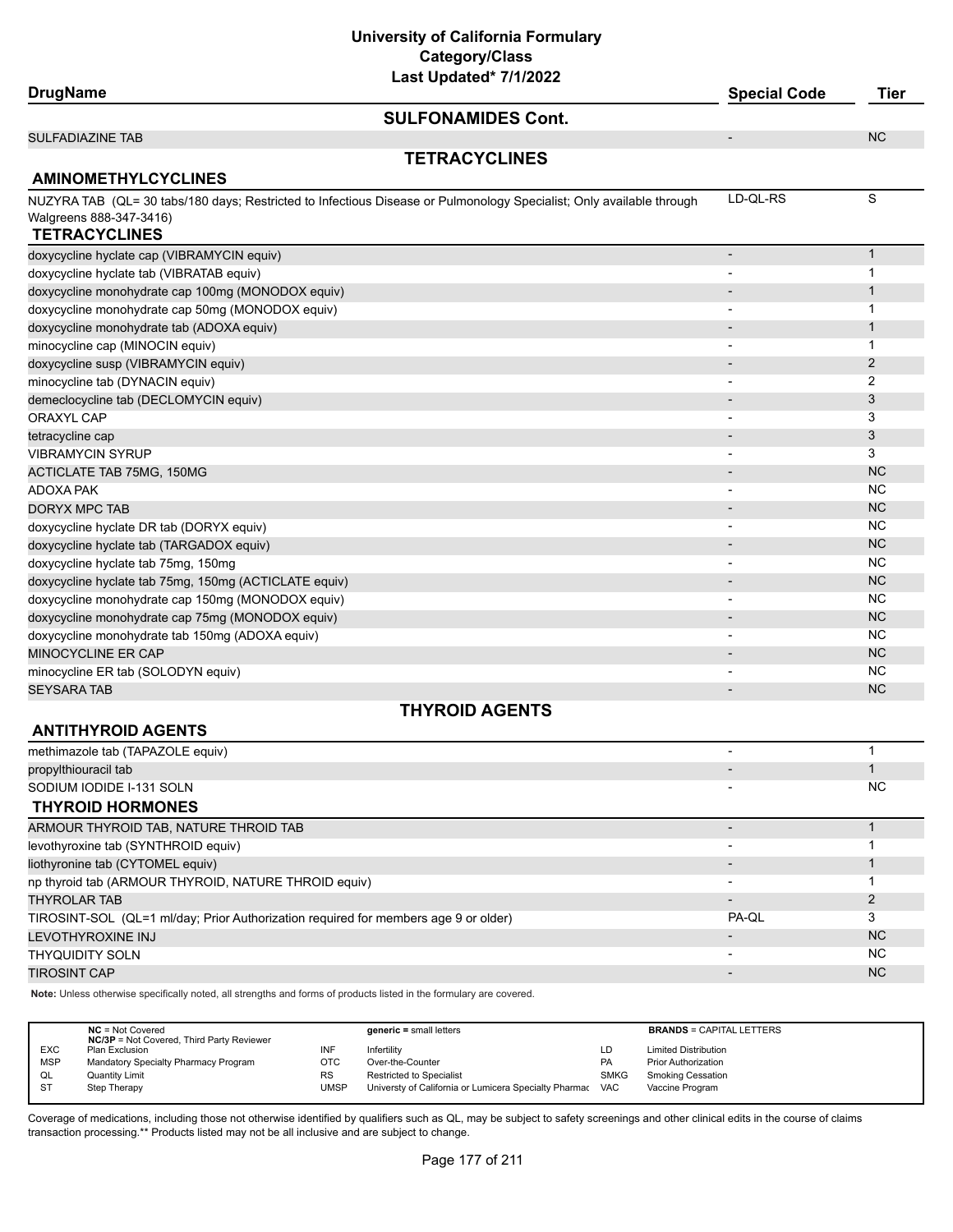**University of California Formulary Category/Class**

| Last Updated* 7/1/2022                                                                                               |                              |                |
|----------------------------------------------------------------------------------------------------------------------|------------------------------|----------------|
| <b>DrugName</b>                                                                                                      | <b>Special Code</b>          | <b>Tier</b>    |
| <b>SULFONAMIDES Cont.</b>                                                                                            |                              |                |
| <b>SULFADIAZINE TAB</b>                                                                                              | $\overline{\phantom{a}}$     | <b>NC</b>      |
| <b>TETRACYCLINES</b>                                                                                                 |                              |                |
| <b>AMINOMETHYLCYCLINES</b>                                                                                           |                              |                |
| NUZYRA TAB (QL= 30 tabs/180 days; Restricted to Infectious Disease or Pulmonology Specialist; Only available through | LD-QL-RS                     | S              |
| Walgreens 888-347-3416)                                                                                              |                              |                |
| <b>TETRACYCLINES</b>                                                                                                 |                              |                |
| doxycycline hyclate cap (VIBRAMYCIN equiv)                                                                           | $\qquad \qquad \blacksquare$ | $\mathbf{1}$   |
| doxycycline hyclate tab (VIBRATAB equiv)                                                                             |                              | $\mathbf{1}$   |
| doxycycline monohydrate cap 100mg (MONODOX equiv)                                                                    |                              | 1              |
| doxycycline monohydrate cap 50mg (MONODOX equiv)                                                                     |                              | 1              |
| doxycycline monohydrate tab (ADOXA equiv)                                                                            |                              | 1              |
| minocycline cap (MINOCIN equiv)                                                                                      | $\overline{\phantom{a}}$     | 1              |
| doxycycline susp (VIBRAMYCIN equiv)                                                                                  |                              | 2              |
| minocycline tab (DYNACIN equiv)                                                                                      |                              | $\overline{2}$ |
| demeclocycline tab (DECLOMYCIN equiv)                                                                                |                              | 3              |
| <b>ORAXYL CAP</b>                                                                                                    |                              | 3              |
| tetracycline cap                                                                                                     |                              | 3              |
| VIBRAMYCIN SYRUP                                                                                                     |                              | 3              |
| <b>ACTICLATE TAB 75MG, 150MG</b>                                                                                     |                              | <b>NC</b>      |
| ADOXA PAK                                                                                                            | $\overline{\phantom{a}}$     | <b>NC</b>      |
| <b>DORYX MPC TAB</b>                                                                                                 |                              | <b>NC</b>      |
| doxycycline hyclate DR tab (DORYX equiv)                                                                             |                              | <b>NC</b>      |
| doxycycline hyclate tab (TARGADOX equiv)                                                                             |                              | <b>NC</b>      |
| doxycycline hyclate tab 75mg, 150mg                                                                                  |                              | <b>NC</b>      |
| doxycycline hyclate tab 75mg, 150mg (ACTICLATE equiv)                                                                |                              | <b>NC</b>      |
| doxycycline monohydrate cap 150mg (MONODOX equiv)                                                                    |                              | <b>NC</b>      |
| doxycycline monohydrate cap 75mg (MONODOX equiv)                                                                     |                              | <b>NC</b>      |
| doxycycline monohydrate tab 150mg (ADOXA equiv)                                                                      | ۰                            | <b>NC</b>      |
| MINOCYCLINE ER CAP                                                                                                   |                              | <b>NC</b>      |
| minocycline ER tab (SOLODYN equiv)                                                                                   |                              | <b>NC</b>      |
| SEYSARA TAB                                                                                                          | $\overline{\phantom{a}}$     | <b>NC</b>      |
| <b>THYROID AGENTS</b>                                                                                                |                              |                |
| <b>ANTITHYROID AGENTS</b>                                                                                            |                              |                |
| methimazole tab (TAPAZOLE equiv)                                                                                     | $\overline{\phantom{a}}$     | $\mathbf{1}$   |
| propylthiouracil tab                                                                                                 | $\blacksquare$               | $\mathbf{1}$   |
| SODIUM IODIDE I-131 SOLN                                                                                             |                              | <b>NC</b>      |
| <b>THYROID HORMONES</b>                                                                                              |                              |                |

| ARMOUR THYROID TAB, NATURE THROID TAB                                               |       |           |
|-------------------------------------------------------------------------------------|-------|-----------|
| levothyroxine tab (SYNTHROID equiv)                                                 |       |           |
| liothyronine tab (CYTOMEL equiv)                                                    |       |           |
| np thyroid tab (ARMOUR THYROID, NATURE THROID equiv)                                |       |           |
| <b>THYROLAR TAB</b>                                                                 |       |           |
| TIROSINT-SOL (QL=1 ml/day; Prior Authorization required for members age 9 or older) | PA-OL |           |
| LEVOTHYROXINE INJ                                                                   |       | <b>NC</b> |
| <b>THYQUIDITY SOLN</b>                                                              |       | NC.       |
| <b>TIROSINT CAP</b>                                                                 |       | <b>NC</b> |

**Note:** Unless otherwise specifically noted, all strengths and forms of products listed in the formulary are covered.

|            | $NC = Not Covered$                               |           | $generic = small letters$                             |             | <b>BRANDS = CAPITAL LETTERS</b> |
|------------|--------------------------------------------------|-----------|-------------------------------------------------------|-------------|---------------------------------|
|            | <b>NC/3P</b> = Not Covered, Third Party Reviewer |           |                                                       |             |                                 |
| <b>EXC</b> | Plan Exclusion                                   | INF       | Infertility                                           | LD          | <b>Limited Distribution</b>     |
| <b>MSP</b> | Mandatory Specialty Pharmacy Program             | отс       | Over-the-Counter                                      | PA          | <b>Prior Authorization</b>      |
| QL         | Quantity Limit                                   | <b>RS</b> | <b>Restricted to Specialist</b>                       | <b>SMKG</b> | <b>Smoking Cessation</b>        |
| <b>ST</b>  | Step Therapy                                     | UMSP      | Universty of California or Lumicera Specialty Pharmac | <b>VAC</b>  | Vaccine Program                 |
|            |                                                  |           |                                                       |             |                                 |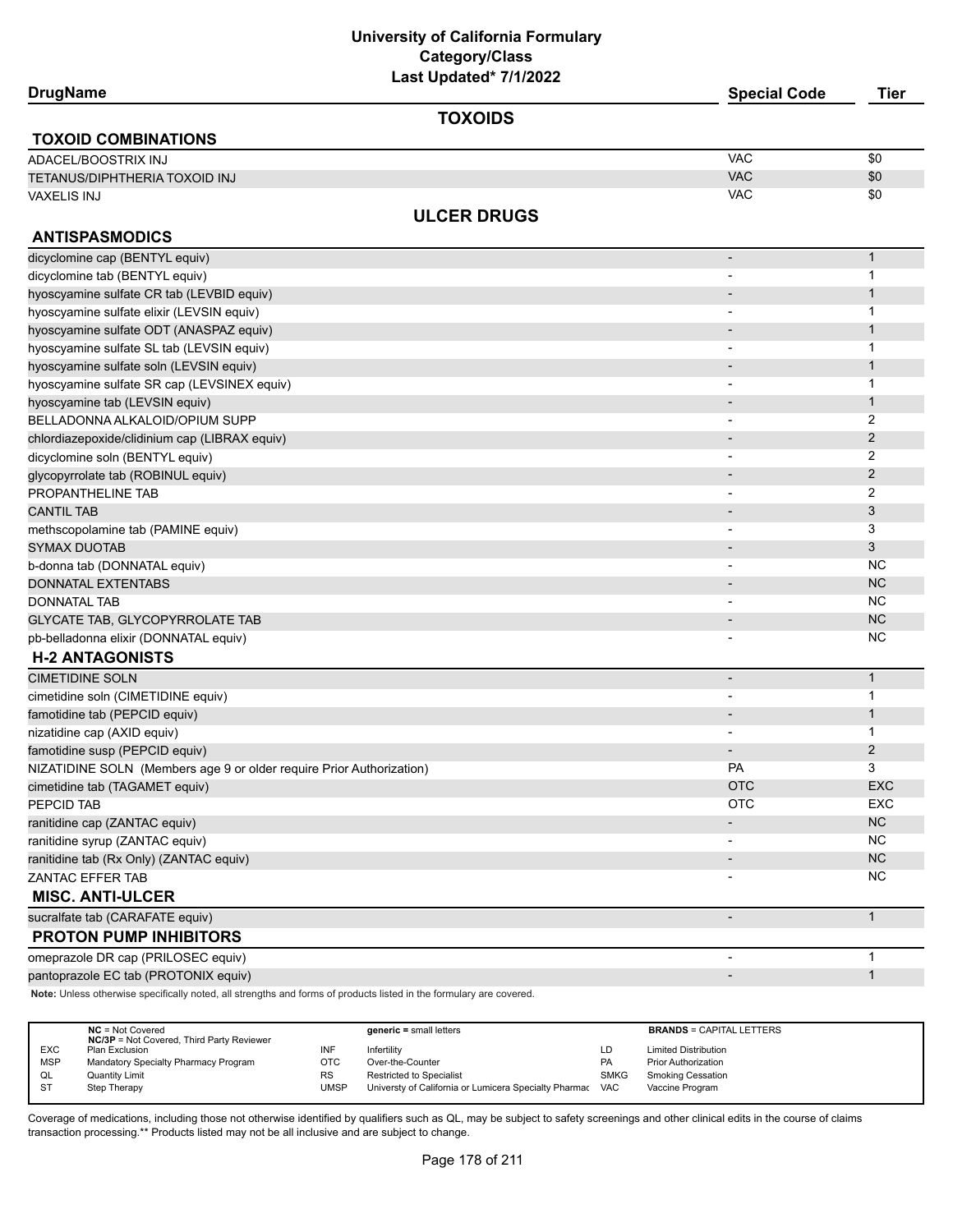| <b>DrugName</b>                                                      | Last Updated 1/1/2022 | <b>Special Code</b>      | <b>Tier</b>    |
|----------------------------------------------------------------------|-----------------------|--------------------------|----------------|
|                                                                      | <b>TOXOIDS</b>        |                          |                |
| <b>TOXOID COMBINATIONS</b>                                           |                       |                          |                |
| ADACEL/BOOSTRIX INJ                                                  |                       | <b>VAC</b>               | \$0            |
| TETANUS/DIPHTHERIA TOXOID INJ                                        |                       | <b>VAC</b>               | \$0            |
| <b>VAXELIS INJ</b>                                                   |                       | <b>VAC</b>               | \$0            |
|                                                                      | <b>ULCER DRUGS</b>    |                          |                |
| <b>ANTISPASMODICS</b>                                                |                       |                          |                |
| dicyclomine cap (BENTYL equiv)                                       |                       | $\overline{\phantom{a}}$ | $\mathbf{1}$   |
| dicyclomine tab (BENTYL equiv)                                       |                       |                          | 1              |
| hyoscyamine sulfate CR tab (LEVBID equiv)                            |                       |                          | $\mathbf{1}$   |
| hyoscyamine sulfate elixir (LEVSIN equiv)                            |                       |                          | 1              |
| hyoscyamine sulfate ODT (ANASPAZ equiv)                              |                       |                          | $\mathbf{1}$   |
| hyoscyamine sulfate SL tab (LEVSIN equiv)                            |                       |                          | 1              |
| hyoscyamine sulfate soln (LEVSIN equiv)                              |                       |                          | $\mathbf{1}$   |
| hyoscyamine sulfate SR cap (LEVSINEX equiv)                          |                       |                          | 1              |
| hyoscyamine tab (LEVSIN equiv)                                       |                       |                          | $\mathbf{1}$   |
| BELLADONNA ALKALOID/OPIUM SUPP                                       |                       | $\blacksquare$           | 2              |
| chlordiazepoxide/clidinium cap (LIBRAX equiv)                        |                       | $\overline{\phantom{a}}$ | $\overline{2}$ |
| dicyclomine soln (BENTYL equiv)                                      |                       |                          | 2              |
| glycopyrrolate tab (ROBINUL equiv)                                   |                       | $\overline{\phantom{a}}$ | 2              |
| PROPANTHELINE TAB                                                    |                       |                          | 2              |
| <b>CANTIL TAB</b>                                                    |                       |                          | 3              |
| methscopolamine tab (PAMINE equiv)                                   |                       |                          | 3              |
| <b>SYMAX DUOTAB</b>                                                  |                       | $\overline{\phantom{a}}$ | 3              |
| b-donna tab (DONNATAL equiv)                                         |                       | $\overline{\phantom{a}}$ | NC.            |
| <b>DONNATAL EXTENTABS</b>                                            |                       | $\overline{\phantom{a}}$ | <b>NC</b>      |
| <b>DONNATAL TAB</b>                                                  |                       | $\overline{\phantom{a}}$ | NC.            |
| <b>GLYCATE TAB, GLYCOPYRROLATE TAB</b>                               |                       | $\overline{\phantom{a}}$ | <b>NC</b>      |
| pb-belladonna elixir (DONNATAL equiv)                                |                       |                          | NC             |
| <b>H-2 ANTAGONISTS</b>                                               |                       |                          |                |
| <b>CIMETIDINE SOLN</b>                                               |                       | $\overline{\phantom{a}}$ | $\mathbf{1}$   |
| cimetidine soln (CIMETIDINE equiv)                                   |                       | $\overline{\phantom{a}}$ | 1              |
| famotidine tab (PEPCID equiv)                                        |                       | $\overline{\phantom{a}}$ | $\mathbf{1}$   |
| nizatidine cap (AXID equiv)                                          |                       |                          | 1              |
| famotidine susp (PEPCID equiv)                                       |                       |                          | 2              |
| NIZATIDINE SOLN (Members age 9 or older require Prior Authorization) |                       | <b>PA</b>                | 3              |
| cimetidine tab (TAGAMET equiv)                                       |                       | <b>OTC</b>               | EXC            |
| PEPCID TAB                                                           |                       | <b>OTC</b>               | EXC            |
| ranitidine cap (ZANTAC equiv)                                        |                       | $\overline{\phantom{a}}$ | NC             |
| ranitidine syrup (ZANTAC equiv)                                      |                       |                          | NC             |
| ranitidine tab (Rx Only) (ZANTAC equiv)                              |                       | $\overline{\phantom{a}}$ | $NC$           |
| ZANTAC EFFER TAB                                                     |                       |                          | <b>NC</b>      |
| <b>MISC. ANTI-ULCER</b>                                              |                       |                          |                |
| sucralfate tab (CARAFATE equiv)                                      |                       |                          | $\mathbf{1}$   |
| <b>PROTON PUMP INHIBITORS</b>                                        |                       |                          |                |
| omeprazole DR cap (PRILOSEC equiv)                                   |                       | $\overline{\phantom{a}}$ | $\mathbf{1}$   |
| pantoprazole EC tab (PROTONIX equiv)                                 |                       | $\overline{\phantom{a}}$ | $\mathbf{1}$   |

**Note:** Unless otherwise specifically noted, all strengths and forms of products listed in the formulary are covered.

|            | $NC = Not Covered$<br><b>NC/3P</b> = Not Covered, Third Party Reviewer |           | $generic = small letters$                                 |             | <b>BRANDS = CAPITAL LETTERS</b> |
|------------|------------------------------------------------------------------------|-----------|-----------------------------------------------------------|-------------|---------------------------------|
| <b>EXC</b> | Plan Exclusion                                                         | INF       | Infertilitv                                               | LD          | <b>Limited Distribution</b>     |
| <b>MSP</b> | Mandatory Specialty Pharmacy Program                                   | OTC       | Over-the-Counter                                          | <b>PA</b>   | <b>Prior Authorization</b>      |
| QL         | Quantity Limit                                                         | <b>RS</b> | <b>Restricted to Specialist</b>                           | <b>SMKG</b> | Smoking Cessation               |
| -ST        | Step Therapy                                                           | UMSP      | Universty of California or Lumicera Specialty Pharmac VAC |             | Vaccine Program                 |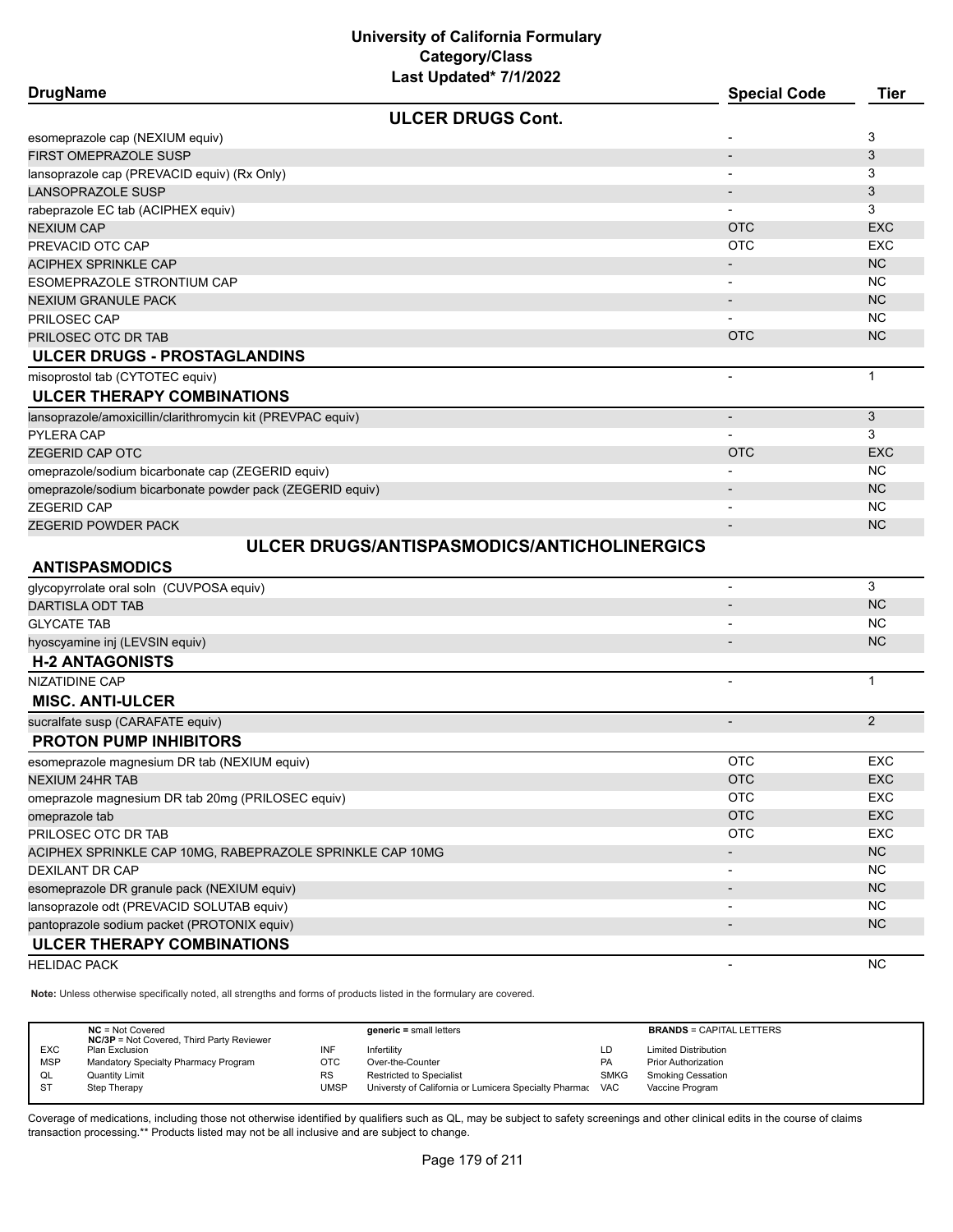| <b>DrugName</b>                                             |                                             | <b>Special Code</b>      | <b>Tier</b>    |
|-------------------------------------------------------------|---------------------------------------------|--------------------------|----------------|
|                                                             | <b>ULCER DRUGS Cont.</b>                    |                          |                |
| esomeprazole cap (NEXIUM equiv)                             |                                             |                          | 3              |
| FIRST OMEPRAZOLE SUSP                                       |                                             |                          | 3              |
| lansoprazole cap (PREVACID equiv) (Rx Only)                 |                                             |                          | 3              |
| LANSOPRAZOLE SUSP                                           |                                             | $\overline{\phantom{a}}$ | 3              |
| rabeprazole EC tab (ACIPHEX equiv)                          |                                             |                          | 3              |
| NEXIUM CAP                                                  |                                             | <b>OTC</b>               | <b>EXC</b>     |
| PREVACID OTC CAP                                            |                                             | <b>OTC</b>               | <b>EXC</b>     |
| <b>ACIPHEX SPRINKLE CAP</b>                                 |                                             |                          | NC             |
| ESOMEPRAZOLE STRONTIUM CAP                                  |                                             | $\blacksquare$           | <b>NC</b>      |
| NEXIUM GRANULE PACK                                         |                                             | $\overline{\phantom{a}}$ | <b>NC</b>      |
| PRILOSEC CAP                                                |                                             |                          | <b>NC</b>      |
| PRILOSEC OTC DR TAB                                         |                                             | <b>OTC</b>               | <b>NC</b>      |
| ULCER DRUGS - PROSTAGLANDINS                                |                                             |                          |                |
| misoprostol tab (CYTOTEC equiv)                             |                                             | $\overline{\phantom{a}}$ | $\mathbf{1}$   |
| <b>ULCER THERAPY COMBINATIONS</b>                           |                                             |                          |                |
| lansoprazole/amoxicillin/clarithromycin kit (PREVPAC equiv) |                                             | $\overline{\phantom{a}}$ | 3              |
| PYLERA CAP                                                  |                                             |                          | 3              |
| ZEGERID CAP OTC                                             |                                             | <b>OTC</b>               | <b>EXC</b>     |
| omeprazole/sodium bicarbonate cap (ZEGERID equiv)           |                                             |                          | <b>NC</b>      |
| omeprazole/sodium bicarbonate powder pack (ZEGERID equiv)   |                                             |                          | <b>NC</b>      |
| <b>ZEGERID CAP</b>                                          |                                             |                          | <b>NC</b>      |
| ZEGERID POWDER PACK                                         |                                             | $\overline{\phantom{a}}$ | NC             |
| <b>ANTISPASMODICS</b>                                       | ULCER DRUGS/ANTISPASMODICS/ANTICHOLINERGICS |                          |                |
| glycopyrrolate oral soln (CUVPOSA equiv)                    |                                             | $\overline{\phantom{a}}$ | 3              |
| <b>DARTISLA ODT TAB</b>                                     |                                             |                          | <b>NC</b>      |
| <b>GLYCATE TAB</b>                                          |                                             |                          | NC.            |
| hyoscyamine inj (LEVSIN equiv)                              |                                             |                          | NC             |
| <b>H-2 ANTAGONISTS</b>                                      |                                             |                          |                |
| NIZATIDINE CAP                                              |                                             | $\overline{\phantom{a}}$ | $\mathbf{1}$   |
| <b>MISC. ANTI-ULCER</b>                                     |                                             |                          |                |
| sucralfate susp (CARAFATE equiv)                            |                                             | $\overline{\phantom{a}}$ | $\overline{2}$ |
| <b>PROTON PUMP INHIBITORS</b>                               |                                             |                          |                |
| esomeprazole magnesium DR tab (NEXIUM equiv)                |                                             | <b>OTC</b>               | <b>EXC</b>     |
| <b>NEXIUM 24HR TAB</b>                                      |                                             | OTC                      | <b>EXC</b>     |
| omeprazole magnesium DR tab 20mg (PRILOSEC equiv)           |                                             | <b>OTC</b>               | <b>EXC</b>     |
| omeprazole tab                                              |                                             | <b>OTC</b>               | <b>EXC</b>     |
| PRILOSEC OTC DR TAB                                         |                                             | <b>OTC</b>               | <b>EXC</b>     |
| ACIPHEX SPRINKLE CAP 10MG, RABEPRAZOLE SPRINKLE CAP 10MG    |                                             | $\overline{\phantom{a}}$ | NC             |
| <b>DEXILANT DR CAP</b>                                      |                                             | $\overline{\phantom{a}}$ | <b>NC</b>      |
| esomeprazole DR granule pack (NEXIUM equiv)                 |                                             | $\overline{\phantom{a}}$ | NC             |
| lansoprazole odt (PREVACID SOLUTAB equiv)                   |                                             |                          | NC.            |
| pantoprazole sodium packet (PROTONIX equiv)                 |                                             | $\overline{\phantom{a}}$ | <b>NC</b>      |
| <b>ULCER THERAPY COMBINATIONS</b>                           |                                             |                          |                |
| <b>HELIDAC PACK</b>                                         |                                             | $\overline{\phantom{a}}$ | <b>NC</b>      |

**Note:** Unless otherwise specifically noted, all strengths and forms of products listed in the formulary are covered.

|            | $NC = Not Covered$<br><b>NC/3P</b> = Not Covered, Third Party Reviewer |           | $generic = small letters$                                 |             | <b>BRANDS = CAPITAL LETTERS</b> |
|------------|------------------------------------------------------------------------|-----------|-----------------------------------------------------------|-------------|---------------------------------|
| <b>EXC</b> | Plan Exclusion                                                         | INF       | Infertility                                               | LD.         | <b>Limited Distribution</b>     |
| <b>MSP</b> | Mandatory Specialty Pharmacy Program                                   | отс       | Over-the-Counter                                          | PA          | <b>Prior Authorization</b>      |
| QL         | <b>Quantity Limit</b>                                                  | <b>RS</b> | Restricted to Specialist                                  | <b>SMKG</b> | <b>Smoking Cessation</b>        |
| - ST       | Step Therapy                                                           | UMSP      | Universty of California or Lumicera Specialty Pharmac VAC |             | Vaccine Program                 |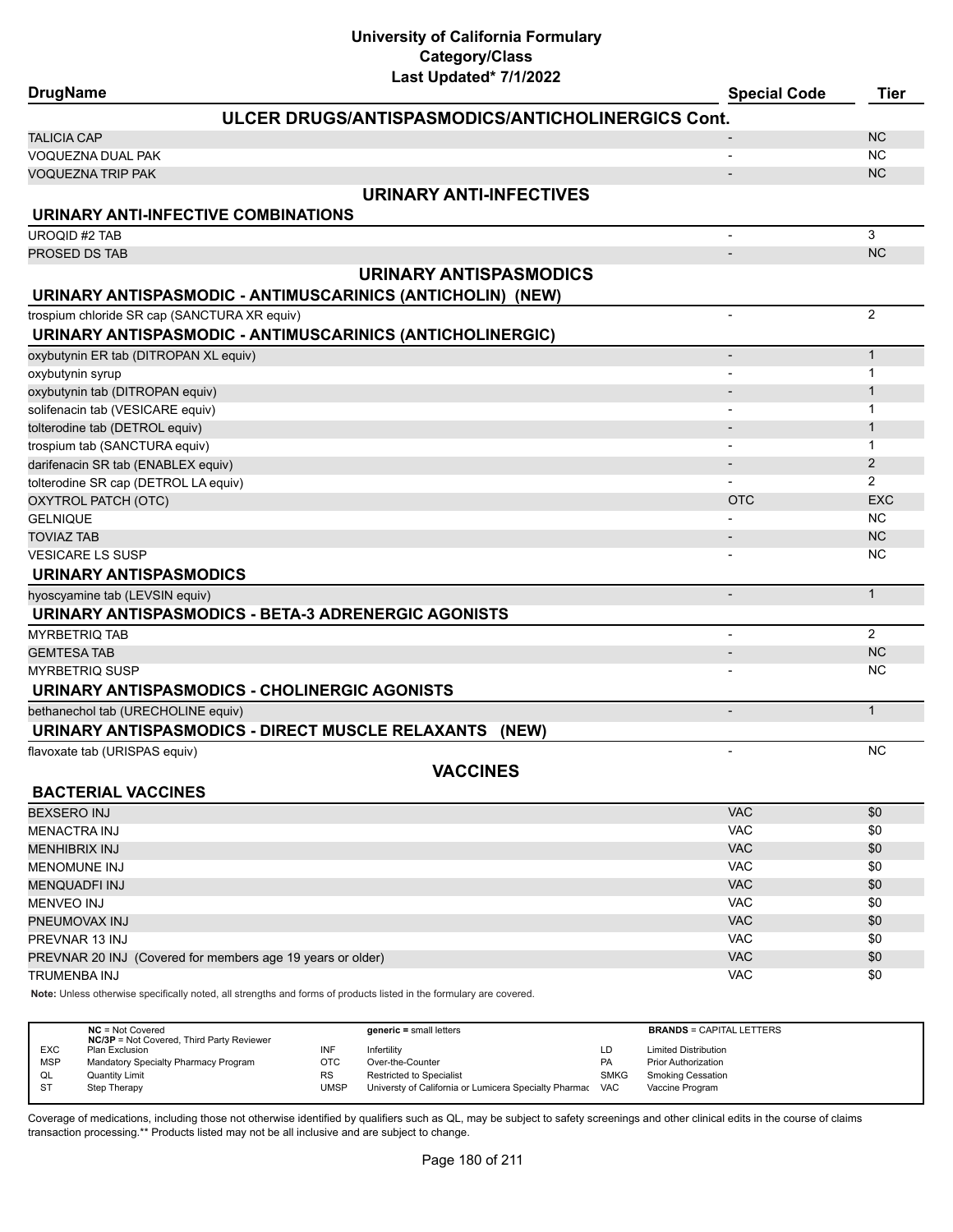| <b>DrugName</b>                                            | Last Upuateu 11112022                                                                                               | <b>Special Code</b>          | <b>Tier</b>    |
|------------------------------------------------------------|---------------------------------------------------------------------------------------------------------------------|------------------------------|----------------|
|                                                            | ULCER DRUGS/ANTISPASMODICS/ANTICHOLINERGICS Cont.                                                                   |                              |                |
| <b>TALICIA CAP</b>                                         |                                                                                                                     |                              | <b>NC</b>      |
| VOQUEZNA DUAL PAK                                          |                                                                                                                     |                              | <b>NC</b>      |
| <b>VOQUEZNA TRIP PAK</b>                                   |                                                                                                                     |                              | <b>NC</b>      |
|                                                            | <b>URINARY ANTI-INFECTIVES</b>                                                                                      |                              |                |
| URINARY ANTI-INFECTIVE COMBINATIONS                        |                                                                                                                     |                              |                |
| <b>UROQID #2 TAB</b>                                       |                                                                                                                     |                              | 3              |
| PROSED DS TAB                                              |                                                                                                                     |                              | <b>NC</b>      |
|                                                            | <b>URINARY ANTISPASMODICS</b>                                                                                       |                              |                |
|                                                            | URINARY ANTISPASMODIC - ANTIMUSCARINICS (ANTICHOLIN) (NEW)                                                          |                              |                |
| trospium chloride SR cap (SANCTURA XR equiv)               |                                                                                                                     | $\overline{\phantom{0}}$     | $\overline{2}$ |
|                                                            | URINARY ANTISPASMODIC - ANTIMUSCARINICS (ANTICHOLINERGIC)                                                           |                              |                |
| oxybutynin ER tab (DITROPAN XL equiv)                      |                                                                                                                     | $\overline{a}$               | $\mathbf{1}$   |
| oxybutynin syrup                                           |                                                                                                                     |                              | 1              |
| oxybutynin tab (DITROPAN equiv)                            |                                                                                                                     |                              | 1              |
| solifenacin tab (VESICARE equiv)                           |                                                                                                                     |                              | 1              |
| tolterodine tab (DETROL equiv)                             |                                                                                                                     | $\overline{\phantom{m}}$     | $\mathbf{1}$   |
| trospium tab (SANCTURA equiv)                              |                                                                                                                     |                              | 1              |
| darifenacin SR tab (ENABLEX equiv)                         |                                                                                                                     |                              | $\mathbf{2}$   |
| tolterodine SR cap (DETROL LA equiv)                       |                                                                                                                     |                              | $\overline{2}$ |
| OXYTROL PATCH (OTC)                                        |                                                                                                                     | <b>OTC</b>                   | <b>EXC</b>     |
| <b>GELNIQUE</b>                                            |                                                                                                                     |                              | <b>NC</b>      |
| <b>TOVIAZ TAB</b>                                          |                                                                                                                     |                              | <b>NC</b>      |
| <b>VESICARE LS SUSP</b>                                    |                                                                                                                     |                              | <b>NC</b>      |
| <b>URINARY ANTISPASMODICS</b>                              |                                                                                                                     |                              |                |
| hyoscyamine tab (LEVSIN equiv)                             |                                                                                                                     | $\qquad \qquad \blacksquare$ | $\mathbf{1}$   |
|                                                            | URINARY ANTISPASMODICS - BETA-3 ADRENERGIC AGONISTS                                                                 |                              |                |
| <b>MYRBETRIQ TAB</b>                                       |                                                                                                                     | $\overline{\phantom{0}}$     | $\overline{2}$ |
| <b>GEMTESA TAB</b>                                         |                                                                                                                     | $\overline{\phantom{m}}$     | <b>NC</b>      |
| <b>MYRBETRIQ SUSP</b>                                      |                                                                                                                     |                              | NC.            |
|                                                            | URINARY ANTISPASMODICS - CHOLINERGIC AGONISTS                                                                       |                              |                |
| bethanechol tab (URECHOLINE equiv)                         |                                                                                                                     | $\overline{a}$               | $\mathbf{1}$   |
|                                                            | URINARY ANTISPASMODICS - DIRECT MUSCLE RELAXANTS (NEW)                                                              |                              |                |
| flavoxate tab (URISPAS equiv)                              |                                                                                                                     |                              | <b>NC</b>      |
|                                                            | <b>VACCINES</b>                                                                                                     |                              |                |
| <b>BACTERIAL VACCINES</b>                                  |                                                                                                                     |                              |                |
| <b>BEXSERO INJ</b>                                         |                                                                                                                     | VAC                          | \$0            |
| <b>MENACTRA INJ</b>                                        |                                                                                                                     | <b>VAC</b>                   | \$0            |
| <b>MENHIBRIX INJ</b>                                       |                                                                                                                     | <b>VAC</b>                   | \$0            |
| <b>MENOMUNE INJ</b>                                        |                                                                                                                     | <b>VAC</b>                   | \$0            |
| <b>MENQUADFI INJ</b>                                       |                                                                                                                     | VAC                          | \$0            |
| <b>MENVEO INJ</b>                                          |                                                                                                                     | <b>VAC</b>                   | \$0            |
| PNEUMOVAX INJ                                              |                                                                                                                     | <b>VAC</b>                   | \$0            |
| PREVNAR 13 INJ                                             |                                                                                                                     | <b>VAC</b>                   | \$0            |
| PREVNAR 20 INJ (Covered for members age 19 years or older) |                                                                                                                     | VAC                          | \$0            |
| TRUMENBA INJ                                               |                                                                                                                     | <b>VAC</b>                   | \$0            |
|                                                            | Note: Unless otherwise specifically noted, all strengths and forms of products listed in the formulary are covered. |                              |                |

|            | $NC = Not Covered$<br><b>NC/3P</b> = Not Covered, Third Party Reviewer |           | $generic = small letters$                             |             | <b>BRANDS = CAPITAL LETTERS</b> |
|------------|------------------------------------------------------------------------|-----------|-------------------------------------------------------|-------------|---------------------------------|
| <b>EXC</b> | Plan Exclusion                                                         | INF       | Infertility                                           | LD          | <b>Limited Distribution</b>     |
| <b>MSP</b> | Mandatory Specialty Pharmacy Program                                   | OTC       | Over-the-Counter                                      | <b>PA</b>   | <b>Prior Authorization</b>      |
| QL         | Quantity Limit                                                         | <b>RS</b> | <b>Restricted to Specialist</b>                       | <b>SMKG</b> | <b>Smoking Cessation</b>        |
| <b>ST</b>  | Step Therapy                                                           | UMSP      | Universty of California or Lumicera Specialty Pharmac | <b>VAC</b>  | Vaccine Program                 |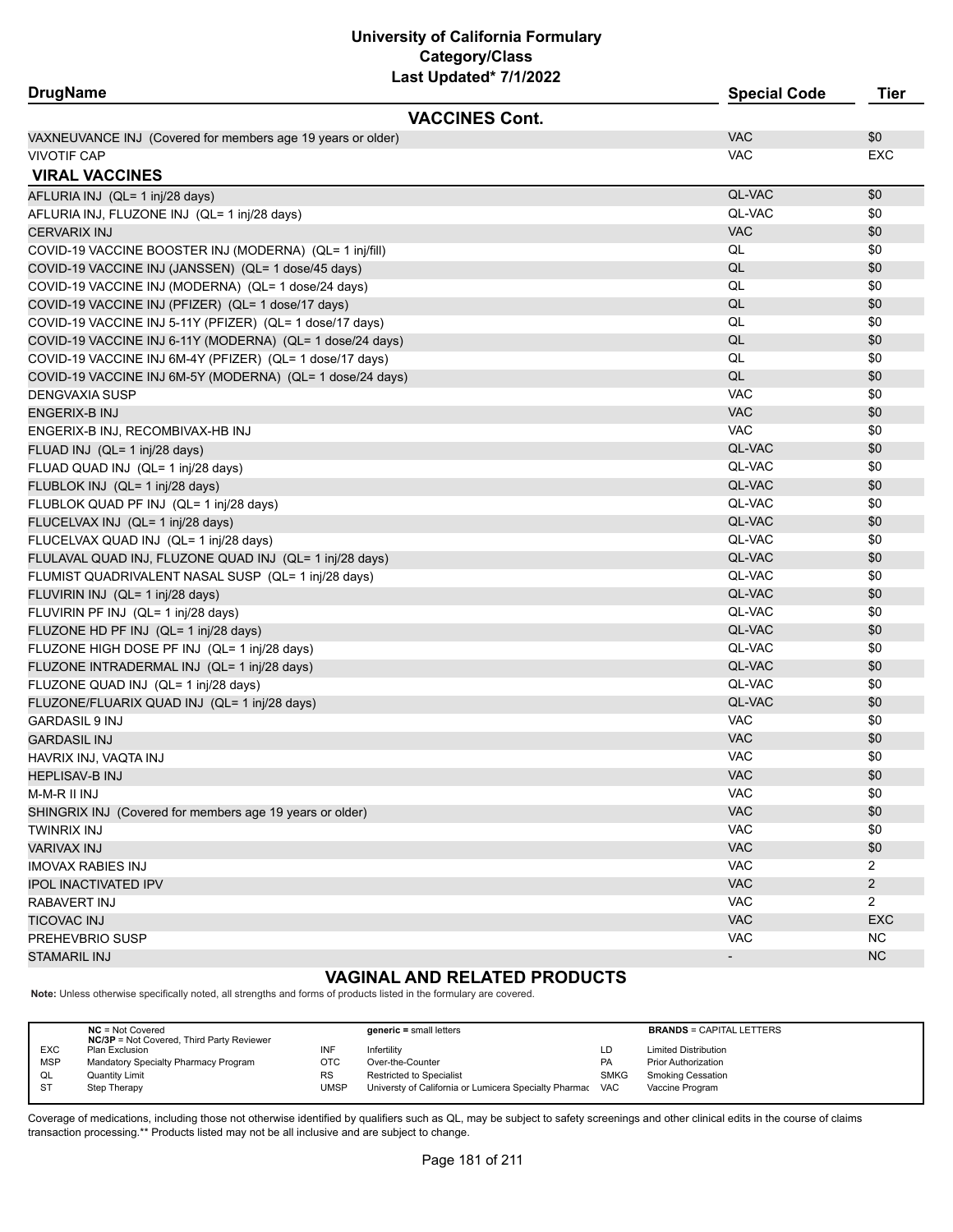# **University of California Formulary Last Updated\* 7/1/2022 Category/Class**

| <b>DrugName</b>                                             |                       | <b>Special Code</b> | <b>Tier</b>    |
|-------------------------------------------------------------|-----------------------|---------------------|----------------|
|                                                             | <b>VACCINES Cont.</b> |                     |                |
| VAXNEUVANCE INJ (Covered for members age 19 years or older) |                       | <b>VAC</b>          | \$0            |
| <b>VIVOTIF CAP</b>                                          |                       | <b>VAC</b>          | <b>EXC</b>     |
| <b>VIRAL VACCINES</b>                                       |                       |                     |                |
| AFLURIA INJ (QL= 1 inj/28 days)                             |                       | QL-VAC              | \$0            |
| AFLURIA INJ, FLUZONE INJ (QL= 1 inj/28 days)                |                       | QL-VAC              | \$0            |
| CERVARIX INJ                                                |                       | <b>VAC</b>          | \$0            |
| COVID-19 VACCINE BOOSTER INJ (MODERNA) (QL= 1 inj/fill)     |                       | QL                  | \$0            |
| COVID-19 VACCINE INJ (JANSSEN) (QL= 1 dose/45 days)         |                       | QL                  | \$0            |
| COVID-19 VACCINE INJ (MODERNA) (QL= 1 dose/24 days)         |                       | QL                  | \$0            |
| COVID-19 VACCINE INJ (PFIZER) (QL= 1 dose/17 days)          |                       | QL                  | \$0            |
| COVID-19 VACCINE INJ 5-11Y (PFIZER) (QL= 1 dose/17 days)    |                       | QL                  | \$0            |
| COVID-19 VACCINE INJ 6-11Y (MODERNA) (QL= 1 dose/24 days)   |                       | QL                  | \$0            |
| COVID-19 VACCINE INJ 6M-4Y (PFIZER) (QL= 1 dose/17 days)    |                       | QL                  | \$0            |
| COVID-19 VACCINE INJ 6M-5Y (MODERNA) (QL= 1 dose/24 days)   |                       | QL                  | \$0            |
| DENGVAXIA SUSP                                              |                       | <b>VAC</b>          | \$0            |
| ENGERIX-B INJ                                               |                       | <b>VAC</b>          | \$0            |
| ENGERIX-B INJ, RECOMBIVAX-HB INJ                            |                       | <b>VAC</b>          | \$0            |
| FLUAD INJ (QL= 1 inj/28 days)                               |                       | QL-VAC              | \$0            |
| FLUAD QUAD INJ (QL= 1 inj/28 days)                          |                       | QL-VAC              | \$0            |
| FLUBLOK INJ (QL= 1 inj/28 days)                             |                       | QL-VAC              | \$0            |
| FLUBLOK QUAD PF INJ (QL= 1 inj/28 days)                     |                       | QL-VAC              | \$0            |
| FLUCELVAX INJ (QL= 1 inj/28 days)                           |                       | QL-VAC              | \$0            |
| FLUCELVAX QUAD INJ (QL= 1 inj/28 days)                      |                       | QL-VAC              | \$0            |
| FLULAVAL QUAD INJ, FLUZONE QUAD INJ (QL= 1 inj/28 days)     |                       | QL-VAC              | \$0            |
| FLUMIST QUADRIVALENT NASAL SUSP (QL= 1 inj/28 days)         |                       | QL-VAC              | \$0            |
| FLUVIRIN INJ (QL= 1 inj/28 days)                            |                       | QL-VAC              | \$0            |
| FLUVIRIN PF INJ (QL= 1 inj/28 days)                         |                       | QL-VAC              | \$0            |
| FLUZONE HD PF INJ (QL= 1 inj/28 days)                       |                       | QL-VAC              | \$0            |
| FLUZONE HIGH DOSE PF INJ (QL= 1 inj/28 days)                |                       | QL-VAC              | \$0            |
| FLUZONE INTRADERMAL INJ (QL= 1 inj/28 days)                 |                       | QL-VAC              | \$0            |
| FLUZONE QUAD INJ (QL= 1 inj/28 days)                        |                       | QL-VAC              | \$0            |
| FLUZONE/FLUARIX QUAD INJ (QL= 1 inj/28 days)                |                       | QL-VAC              | \$0            |
| <b>GARDASIL 9 INJ</b>                                       |                       | <b>VAC</b>          | \$0            |
| <b>GARDASIL INJ</b>                                         |                       | <b>VAC</b>          | \$0            |
| HAVRIX INJ, VAQTA INJ                                       |                       | <b>VAC</b>          | \$0            |
| HEPLISAV-B INJ                                              |                       | <b>VAC</b>          | \$0            |
| M-M-R II INJ                                                |                       | <b>VAC</b>          | \$0            |
| SHINGRIX INJ (Covered for members age 19 years or older)    |                       | VAC                 | \$0            |
| TWINRIX INJ                                                 |                       | <b>VAC</b>          | \$0            |
| VARIVAX INJ                                                 |                       | VAC                 | \$0            |
| <b>IMOVAX RABIES INJ</b>                                    |                       | <b>VAC</b>          | $\overline{2}$ |
| IPOL INACTIVATED IPV                                        |                       | VAC                 | $\overline{c}$ |
| RABAVERT INJ                                                |                       | VAC                 | $\overline{2}$ |
| TICOVAC INJ                                                 |                       | VAC                 | <b>EXC</b>     |
| PREHEVBRIO SUSP                                             |                       | <b>VAC</b>          | <b>NC</b>      |
| <b>STAMARIL INJ</b>                                         |                       |                     | <b>NC</b>      |
|                                                             |                       |                     |                |

# **VAGINAL AND RELATED PRODUCTS**

**Note:** Unless otherwise specifically noted, all strengths and forms of products listed in the formulary are covered.

|            | $NC = Not Covered$<br><b>NC/3P</b> = Not Covered, Third Party Reviewer |           | $generic = small letters$                             |             | <b>BRANDS = CAPITAL LETTERS</b> |
|------------|------------------------------------------------------------------------|-----------|-------------------------------------------------------|-------------|---------------------------------|
| <b>EXC</b> | Plan Exclusion                                                         | INF       | Infertility                                           | LD          | <b>Limited Distribution</b>     |
| <b>MSP</b> | Mandatory Specialty Pharmacy Program                                   | отс       | Over-the-Counter                                      | PA          | <b>Prior Authorization</b>      |
| QL         | <b>Quantity Limit</b>                                                  | <b>RS</b> | <b>Restricted to Specialist</b>                       | <b>SMKG</b> | Smoking Cessation               |
| ST         | Step Therapy                                                           | UMSP      | Universty of California or Lumicera Specialty Pharmac | <b>VAC</b>  | Vaccine Program                 |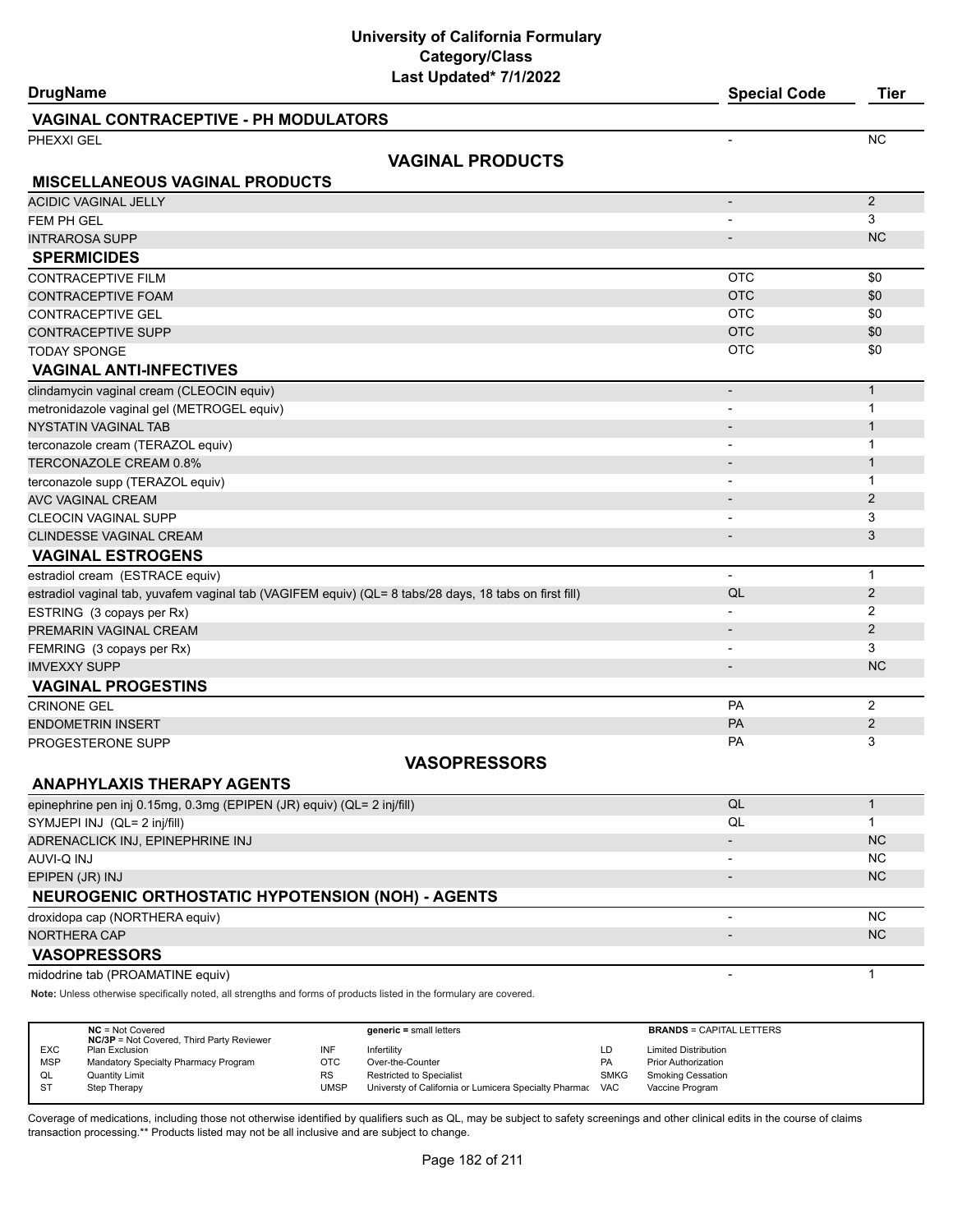# **University of California Formulary Last Updated\* 7/1/2022 Category/Class**

| <b>DrugName</b>                                                                                                     | <b>Special Code</b>      | <b>Tier</b>  |
|---------------------------------------------------------------------------------------------------------------------|--------------------------|--------------|
| <b>VAGINAL CONTRACEPTIVE - PH MODULATORS</b>                                                                        |                          |              |
| PHEXXI GEL                                                                                                          |                          | <b>NC</b>    |
| <b>VAGINAL PRODUCTS</b>                                                                                             |                          |              |
| <b>MISCELLANEOUS VAGINAL PRODUCTS</b>                                                                               |                          |              |
| <b>ACIDIC VAGINAL JELLY</b>                                                                                         | $\overline{\phantom{a}}$ | 2            |
| FEM PH GEL                                                                                                          |                          | 3            |
| <b>INTRAROSA SUPP</b>                                                                                               | $\overline{a}$           | <b>NC</b>    |
| <b>SPERMICIDES</b>                                                                                                  |                          |              |
| <b>CONTRACEPTIVE FILM</b>                                                                                           | <b>OTC</b>               | \$0          |
| <b>CONTRACEPTIVE FOAM</b>                                                                                           | <b>OTC</b>               | \$0          |
| <b>CONTRACEPTIVE GEL</b>                                                                                            | <b>OTC</b>               | \$0          |
| CONTRACEPTIVE SUPP                                                                                                  | <b>OTC</b>               | \$0          |
| <b>TODAY SPONGE</b>                                                                                                 | <b>OTC</b>               | \$0          |
| <b>VAGINAL ANTI-INFECTIVES</b>                                                                                      |                          |              |
| clindamycin vaginal cream (CLEOCIN equiv)                                                                           | $\overline{\phantom{0}}$ | $\mathbf{1}$ |
| metronidazole vaginal gel (METROGEL equiv)                                                                          |                          | $\mathbf{1}$ |
| <b>NYSTATIN VAGINAL TAB</b>                                                                                         |                          | $\mathbf{1}$ |
| terconazole cream (TERAZOL equiv)                                                                                   |                          | 1            |
| TERCONAZOLE CREAM 0.8%                                                                                              |                          | $\mathbf{1}$ |
| terconazole supp (TERAZOL equiv)                                                                                    |                          | $\mathbf{1}$ |
| <b>AVC VAGINAL CREAM</b>                                                                                            |                          | 2            |
| <b>CLEOCIN VAGINAL SUPP</b>                                                                                         | $\blacksquare$           | 3            |
| <b>CLINDESSE VAGINAL CREAM</b>                                                                                      | $\overline{\phantom{m}}$ | 3            |
| <b>VAGINAL ESTROGENS</b>                                                                                            |                          |              |
| estradiol cream (ESTRACE equiv)                                                                                     | $\blacksquare$           | $\mathbf{1}$ |
| estradiol vaginal tab, yuvafem vaginal tab (VAGIFEM equiv) (QL= 8 tabs/28 days, 18 tabs on first fill)              | QL                       | 2            |
| ESTRING (3 copays per Rx)                                                                                           |                          | 2            |
| PREMARIN VAGINAL CREAM                                                                                              | $\overline{\phantom{a}}$ | 2            |
| FEMRING (3 copays per Rx)                                                                                           | $\overline{\phantom{a}}$ | 3            |
| <b>IMVEXXY SUPP</b>                                                                                                 | $\overline{\phantom{m}}$ | <b>NC</b>    |
| <b>VAGINAL PROGESTINS</b>                                                                                           |                          |              |
| <b>CRINONE GEL</b>                                                                                                  | PA                       | 2            |
| <b>ENDOMETRIN INSERT</b>                                                                                            | PA                       | 2            |
| PROGESTERONE SUPP                                                                                                   | <b>PA</b>                | 3            |
| <b>VASOPRESSORS</b>                                                                                                 |                          |              |
| <b>ANAPHYLAXIS THERAPY AGENTS</b>                                                                                   |                          |              |
| epinephrine pen inj 0.15mg, 0.3mg (EPIPEN (JR) equiv) (QL= 2 inj/fill)                                              | QL                       | $\mathbf{1}$ |
| SYMJEPI INJ (QL= 2 inj/fill)                                                                                        | QL                       | $\mathbf 1$  |
| ADRENACLICK INJ, EPINEPHRINE INJ                                                                                    |                          | <b>NC</b>    |
| AUVI-Q INJ                                                                                                          | $\overline{\phantom{a}}$ | <b>NC</b>    |
| EPIPEN (JR) INJ                                                                                                     | $\overline{a}$           | NC           |
| <b>NEUROGENIC ORTHOSTATIC HYPOTENSION (NOH) - AGENTS</b>                                                            |                          |              |
| droxidopa cap (NORTHERA equiv)                                                                                      | $\overline{\phantom{a}}$ | <b>NC</b>    |
| <b>NORTHERA CAP</b>                                                                                                 |                          | <b>NC</b>    |
| <b>VASOPRESSORS</b>                                                                                                 |                          |              |
| midodrine tab (PROAMATINE equiv)                                                                                    | $\overline{a}$           | $\mathbf{1}$ |
| Note: Unless otherwise specifically noted, all strengths and forms of products listed in the formulary are covered. |                          |              |
|                                                                                                                     |                          |              |

|            | $NC = Not Covered$<br><b>NC/3P</b> = Not Covered, Third Party Reviewer |      | $generic = small letters$                             |             | <b>BRANDS = CAPITAL LETTERS</b> |
|------------|------------------------------------------------------------------------|------|-------------------------------------------------------|-------------|---------------------------------|
| <b>EXC</b> | Plan Exclusion                                                         | INF  | Infertility                                           | LD          | <b>Limited Distribution</b>     |
| <b>MSP</b> | Mandatory Specialty Pharmacy Program                                   | OTC  | Over-the-Counter                                      | <b>PA</b>   | <b>Prior Authorization</b>      |
| QL         | <b>Quantity Limit</b>                                                  | RS   | <b>Restricted to Specialist</b>                       | <b>SMKG</b> | <b>Smoking Cessation</b>        |
| <b>ST</b>  | Step Therapy                                                           | UMSP | Universty of California or Lumicera Specialty Pharmac | <b>VAC</b>  | Vaccine Program                 |
|            |                                                                        |      |                                                       |             |                                 |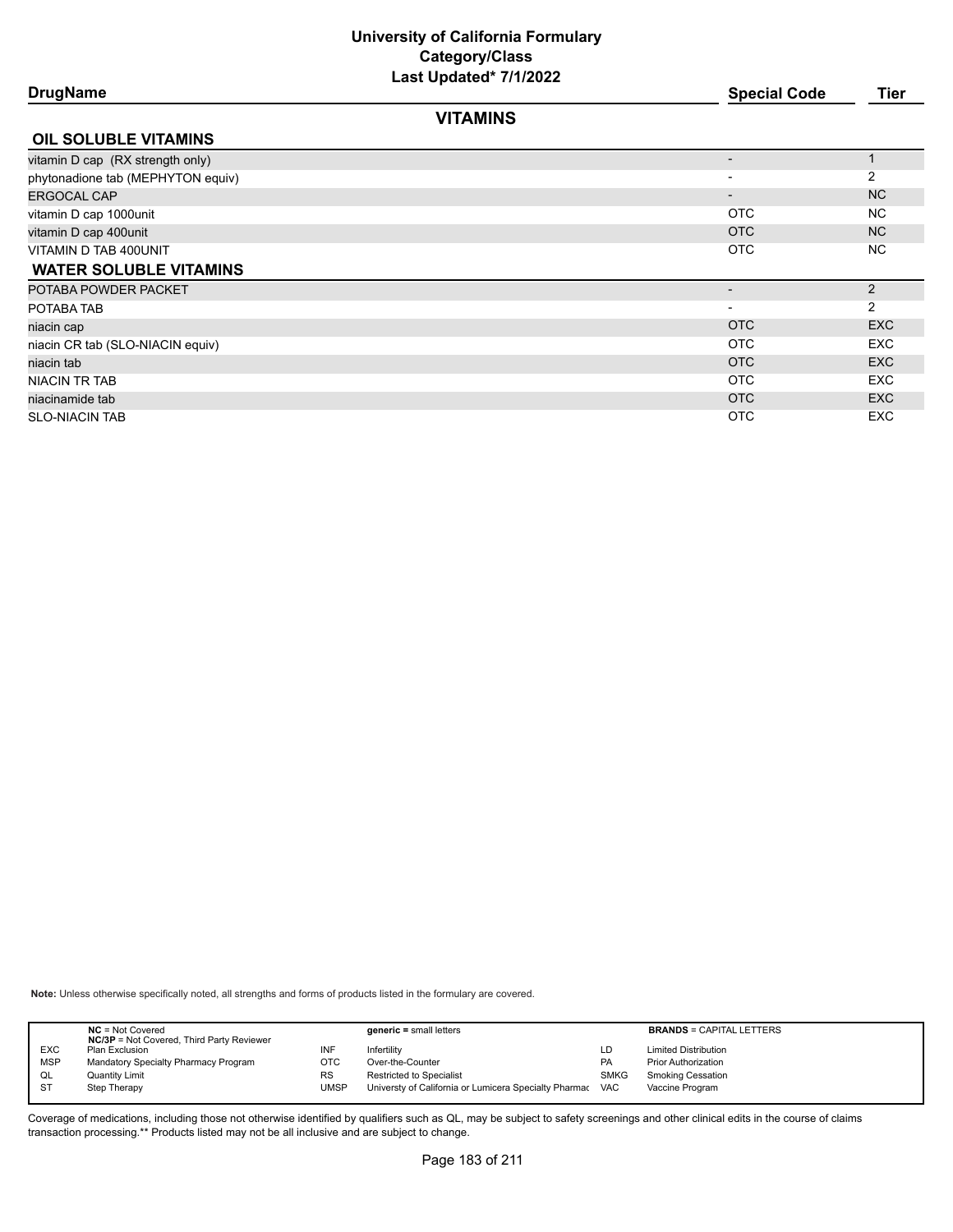# **University of California Formulary Last Updated\* 7/1/2022 Category/Class**

| <b>Last Upualtu</b> <i>II</i> II <b>LULL</b> |                          |            |
|----------------------------------------------|--------------------------|------------|
| <b>DrugName</b>                              | <b>Special Code</b>      | Tier       |
| <b>VITAMINS</b>                              |                          |            |
| <b>OIL SOLUBLE VITAMINS</b>                  |                          |            |
| vitamin D cap (RX strength only)             |                          |            |
| phytonadione tab (MEPHYTON equiv)            |                          | 2          |
| ERGOCAL CAP                                  | $\overline{\phantom{a}}$ | <b>NC</b>  |
| vitamin D cap 1000unit                       | <b>OTC</b>               | NC.        |
| vitamin D cap 400unit                        | <b>OTC</b>               | NC.        |
| VITAMIN D TAB 400UNIT                        | <b>OTC</b>               | NC.        |
| <b>WATER SOLUBLE VITAMINS</b>                |                          |            |
| POTABA POWDER PACKET                         | $\overline{\phantom{a}}$ | 2          |
| POTABA TAB                                   |                          | 2          |
| niacin cap                                   | <b>OTC</b>               | <b>EXC</b> |
| niacin CR tab (SLO-NIACIN equiv)             | <b>OTC</b>               | <b>EXC</b> |
| niacin tab                                   | <b>OTC</b>               | <b>EXC</b> |
| NIACIN TR TAB                                | <b>OTC</b>               | <b>EXC</b> |
| niacinamide tab                              | <b>OTC</b>               | <b>EXC</b> |
| <b>SLO-NIACIN TAB</b>                        | <b>OTC</b>               | <b>EXC</b> |
|                                              |                          |            |

**Note:** Unless otherwise specifically noted, all strengths and forms of products listed in the formulary are covered.

|            | $NC = Not Covered$<br><b>NC/3P</b> = Not Covered, Third Party Reviewer |           | $generic = small letters$                             |             | <b>BRANDS = CAPITAL LETTERS</b> |
|------------|------------------------------------------------------------------------|-----------|-------------------------------------------------------|-------------|---------------------------------|
| <b>EXC</b> | Plan Exclusion                                                         | INF       | Infertilitv                                           | LD          | <b>Limited Distribution</b>     |
| <b>MSP</b> | Mandatory Specialty Pharmacy Program                                   | отс       | Over-the-Counter                                      | <b>PA</b>   | <b>Prior Authorization</b>      |
| QL         | <b>Quantity Limit</b>                                                  | <b>RS</b> | Restricted to Specialist                              | <b>SMKG</b> | <b>Smoking Cessation</b>        |
| <b>ST</b>  | Step Therapy                                                           | UMSP      | Universty of California or Lumicera Specialty Pharmac | <b>VAC</b>  | Vaccine Program                 |
|            |                                                                        |           |                                                       |             |                                 |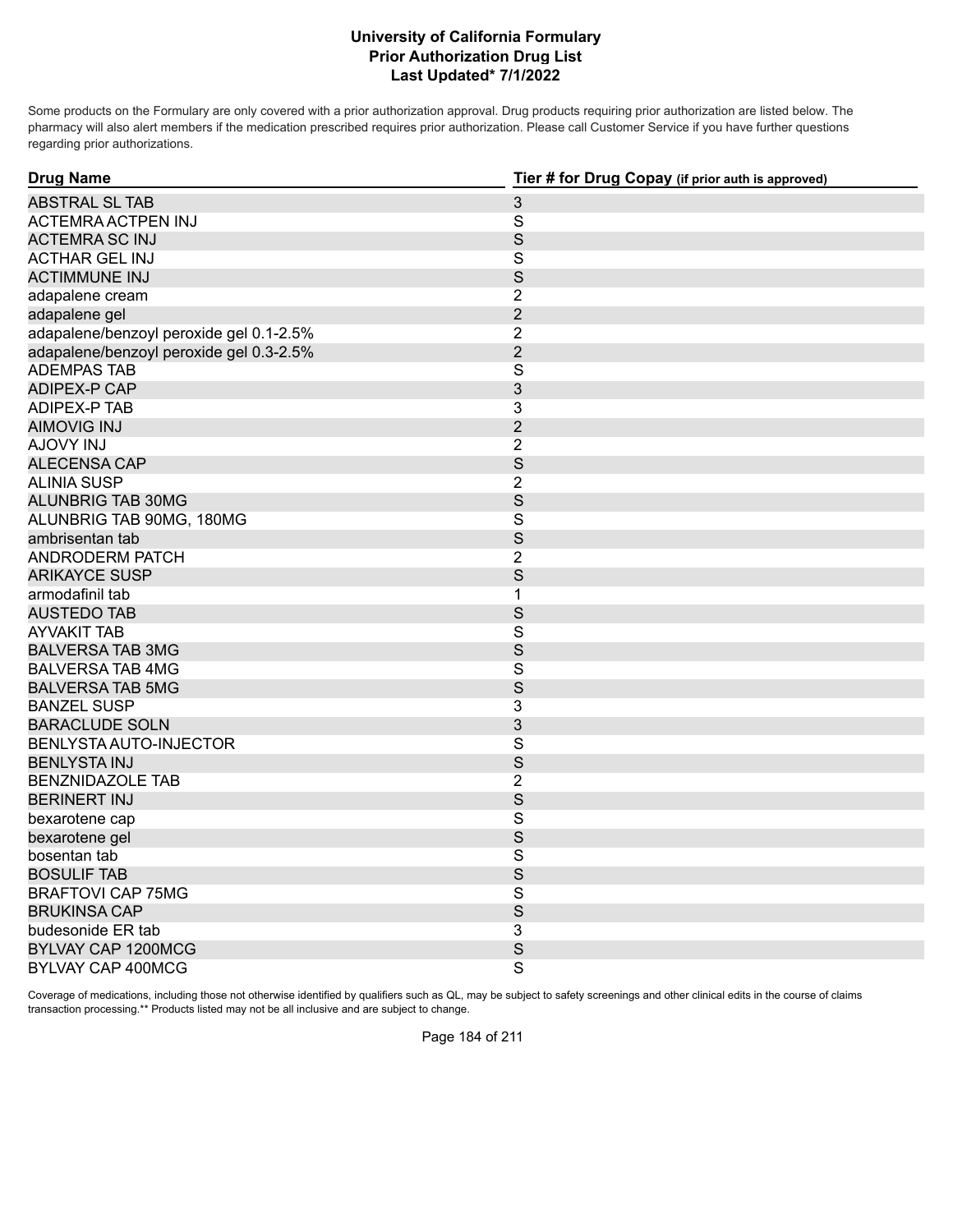Some products on the Formulary are only covered with a prior authorization approval. Drug products requiring prior authorization are listed below. The pharmacy will also alert members if the medication prescribed requires prior authorization. Please call Customer Service if you have further questions regarding prior authorizations.

| <b>Drug Name</b>                        | Tier # for Drug Copay (if prior auth is approved) |
|-----------------------------------------|---------------------------------------------------|
| <b>ABSTRAL SL TAB</b>                   | $\mathfrak{S}$                                    |
| ACTEMRA ACTPEN INJ                      | $\overline{\mathbf{S}}$                           |
| <b>ACTEMRA SC INJ</b>                   | S                                                 |
| <b>ACTHAR GEL INJ</b>                   | S                                                 |
| <b>ACTIMMUNE INJ</b>                    | $\mathsf{S}$                                      |
| adapalene cream                         | $\overline{2}$                                    |
| adapalene gel                           | $\overline{2}$                                    |
| adapalene/benzoyl peroxide gel 0.1-2.5% | $\overline{2}$                                    |
| adapalene/benzoyl peroxide gel 0.3-2.5% | $\overline{2}$                                    |
| <b>ADEMPAS TAB</b>                      | $\mathsf{S}$                                      |
| <b>ADIPEX-P CAP</b>                     | 3                                                 |
| ADIPEX-P TAB                            | 3                                                 |
| <b>AIMOVIG INJ</b>                      | $\overline{2}$                                    |
| AJOVY INJ                               | $\overline{2}$                                    |
| <b>ALECENSA CAP</b>                     | S                                                 |
| <b>ALINIA SUSP</b>                      | $\overline{2}$                                    |
| <b>ALUNBRIG TAB 30MG</b>                | $\mathsf S$                                       |
| ALUNBRIG TAB 90MG, 180MG                | $\overline{\mathbf{S}}$                           |
| ambrisentan tab                         | S                                                 |
| <b>ANDRODERM PATCH</b>                  | $\overline{2}$                                    |
| <b>ARIKAYCE SUSP</b>                    | S                                                 |
| armodafinil tab                         | $\mathbf{1}$                                      |
| <b>AUSTEDO TAB</b>                      | S                                                 |
| <b>AYVAKIT TAB</b>                      | $\overline{\mathbf{S}}$                           |
| <b>BALVERSA TAB 3MG</b>                 | S                                                 |
| <b>BALVERSA TAB 4MG</b>                 | $\overline{\mathbf{S}}$                           |
| <b>BALVERSA TAB 5MG</b>                 | S                                                 |
| <b>BANZEL SUSP</b>                      | 3                                                 |
| <b>BARACLUDE SOLN</b>                   | 3                                                 |
| BENLYSTA AUTO-INJECTOR                  | S                                                 |
| <b>BENLYSTA INJ</b>                     | S                                                 |
| <b>BENZNIDAZOLE TAB</b>                 | $\overline{2}$                                    |
| <b>BERINERT INJ</b>                     | S                                                 |
| bexarotene cap                          | S                                                 |
| bexarotene gel                          | $\mathsf{S}$                                      |
| bosentan tab                            | S                                                 |
| <b>BOSULIF TAB</b>                      | S                                                 |
| <b>BRAFTOVI CAP 75MG</b>                | $\mathsf S$                                       |
| <b>BRUKINSA CAP</b>                     | S                                                 |
| budesonide ER tab                       | 3                                                 |
| BYLVAY CAP 1200MCG                      | S                                                 |
| <b>BYLVAY CAP 400MCG</b>                | $\overline{\mathbf{S}}$                           |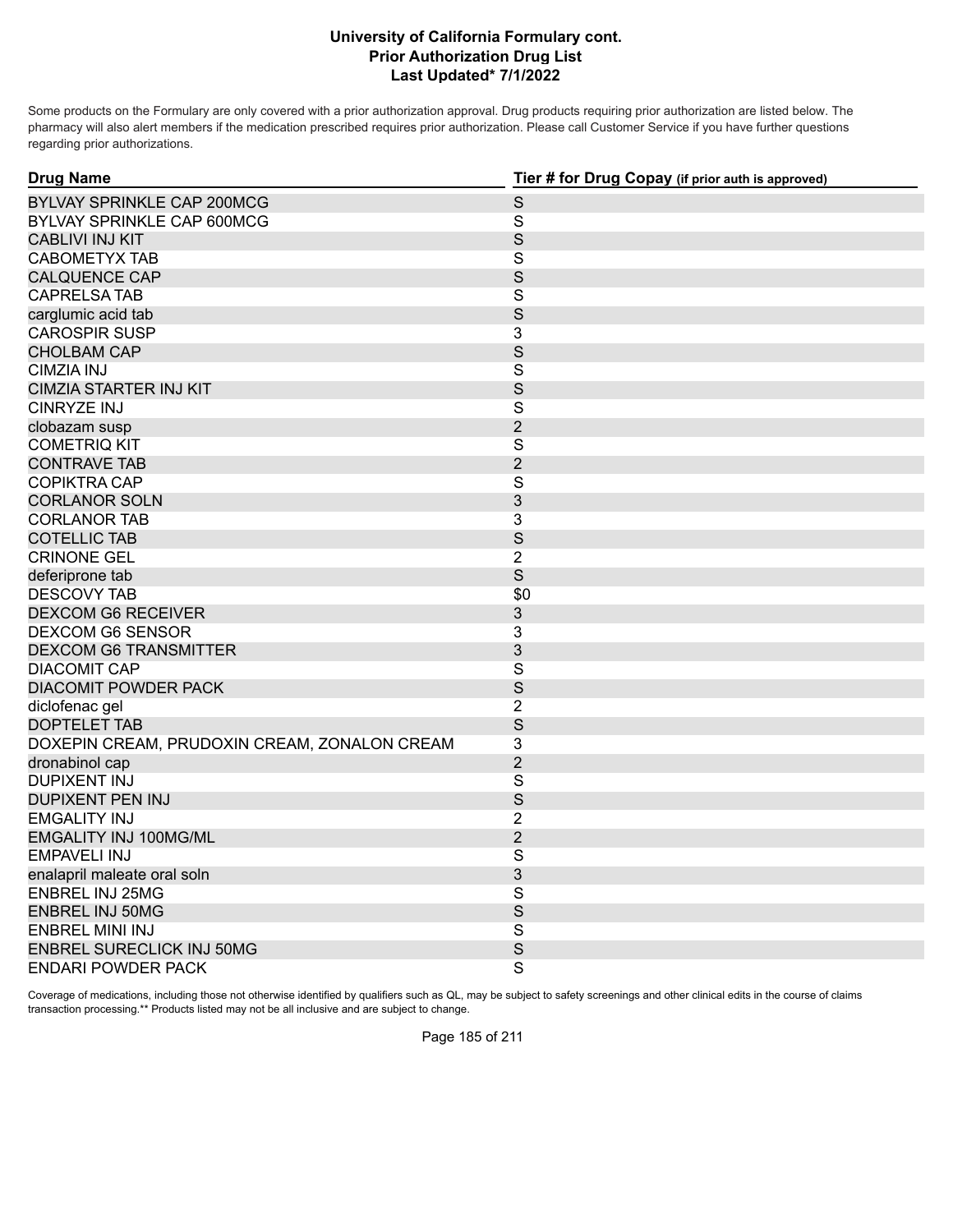Some products on the Formulary are only covered with a prior authorization approval. Drug products requiring prior authorization are listed below. The pharmacy will also alert members if the medication prescribed requires prior authorization. Please call Customer Service if you have further questions regarding prior authorizations.

| <b>Drug Name</b>                             | Tier # for Drug Copay (if prior auth is approved) |
|----------------------------------------------|---------------------------------------------------|
| <b>BYLVAY SPRINKLE CAP 200MCG</b>            | $\mathsf S$                                       |
| BYLVAY SPRINKLE CAP 600MCG                   | $\mathbf S$                                       |
| <b>CABLIVI INJ KIT</b>                       | S                                                 |
| <b>CABOMETYX TAB</b>                         | S                                                 |
| <b>CALQUENCE CAP</b>                         | S                                                 |
| <b>CAPRELSA TAB</b>                          | S                                                 |
| carglumic acid tab                           | S                                                 |
| <b>CAROSPIR SUSP</b>                         | 3                                                 |
| <b>CHOLBAM CAP</b>                           | S                                                 |
| <b>CIMZIA INJ</b>                            | $\overline{S}$                                    |
| <b>CIMZIA STARTER INJ KIT</b>                | S                                                 |
| <b>CINRYZE INJ</b>                           | S                                                 |
| clobazam susp                                | $\overline{2}$                                    |
| <b>COMETRIQ KIT</b>                          | $\overline{S}$                                    |
| <b>CONTRAVE TAB</b>                          | $\overline{2}$                                    |
| <b>COPIKTRA CAP</b>                          | $\overline{\mathsf{S}}$                           |
| <b>CORLANOR SOLN</b>                         | 3                                                 |
| <b>CORLANOR TAB</b>                          | 3                                                 |
| <b>COTELLIC TAB</b>                          | S                                                 |
| <b>CRINONE GEL</b>                           | $\overline{2}$                                    |
| deferiprone tab                              | S                                                 |
| <b>DESCOVY TAB</b>                           | \$0                                               |
| <b>DEXCOM G6 RECEIVER</b>                    | 3                                                 |
| <b>DEXCOM G6 SENSOR</b>                      | 3                                                 |
| <b>DEXCOM G6 TRANSMITTER</b>                 | 3                                                 |
| <b>DIACOMIT CAP</b>                          | S                                                 |
| <b>DIACOMIT POWDER PACK</b>                  | S                                                 |
| diclofenac gel                               | $\overline{2}$                                    |
| <b>DOPTELET TAB</b>                          | S                                                 |
| DOXEPIN CREAM, PRUDOXIN CREAM, ZONALON CREAM | 3                                                 |
| dronabinol cap                               | $\overline{2}$                                    |
| <b>DUPIXENT INJ</b>                          | S                                                 |
| <b>DUPIXENT PEN INJ</b>                      | S                                                 |
| <b>EMGALITY INJ</b>                          | 2                                                 |
| <b>EMGALITY INJ 100MG/ML</b>                 | $\overline{2}$                                    |
| <b>EMPAVELI INJ</b>                          | S                                                 |
| enalapril maleate oral soln                  | 3                                                 |
| <b>ENBREL INJ 25MG</b>                       | S                                                 |
| <b>ENBREL INJ 50MG</b>                       | S                                                 |
| <b>ENBREL MINI INJ</b>                       | $\overline{\mathsf{S}}$                           |
| <b>ENBREL SURECLICK INJ 50MG</b>             | S                                                 |
| <b>ENDARI POWDER PACK</b>                    | S                                                 |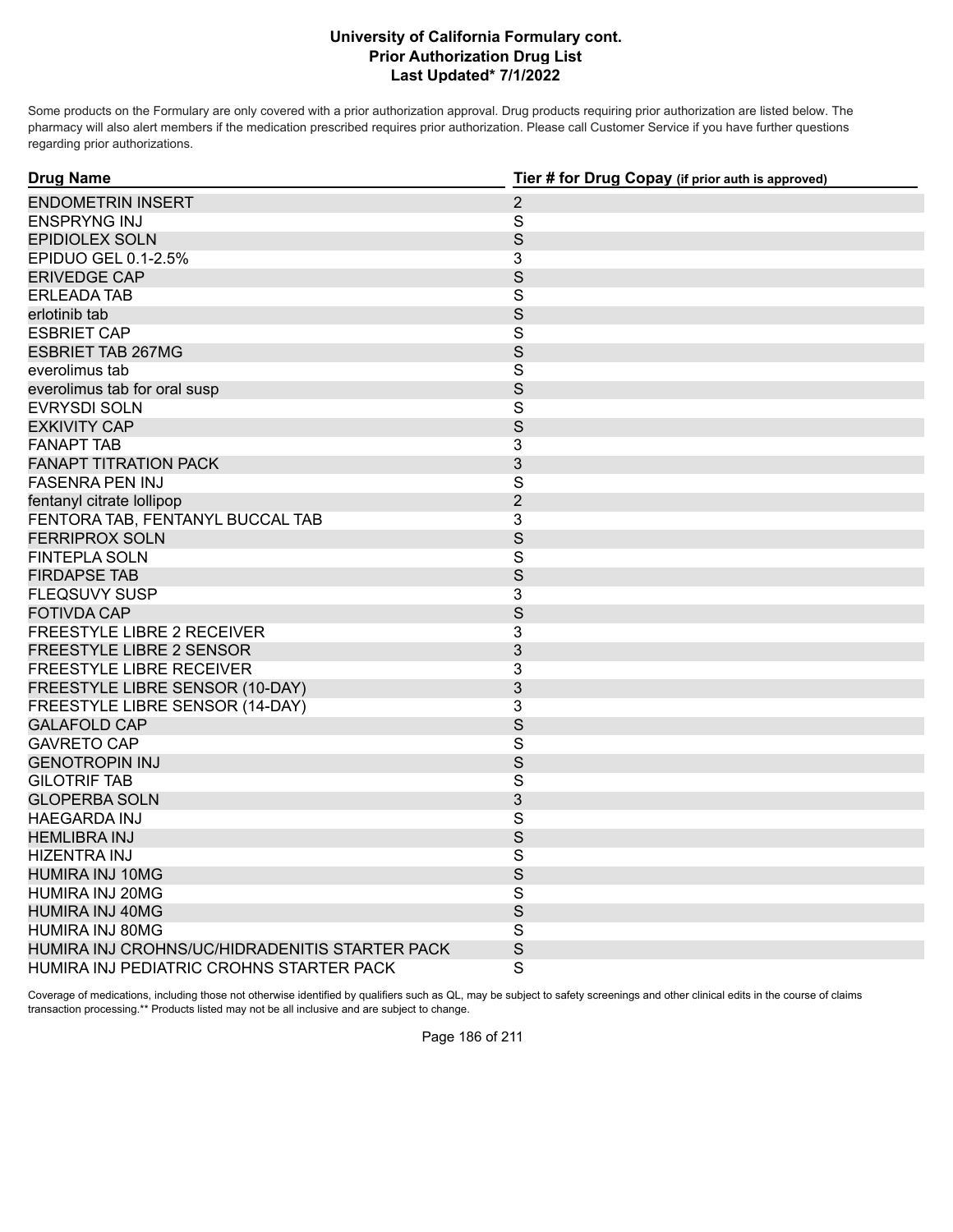Some products on the Formulary are only covered with a prior authorization approval. Drug products requiring prior authorization are listed below. The pharmacy will also alert members if the medication prescribed requires prior authorization. Please call Customer Service if you have further questions regarding prior authorizations.

| <b>Drug Name</b>                               | Tier # for Drug Copay (if prior auth is approved) |
|------------------------------------------------|---------------------------------------------------|
| <b>ENDOMETRIN INSERT</b>                       | $\overline{2}$                                    |
| <b>ENSPRYNG INJ</b>                            | $\mathsf{S}$                                      |
| <b>EPIDIOLEX SOLN</b>                          | S                                                 |
| EPIDUO GEL 0.1-2.5%                            | 3                                                 |
| <b>ERIVEDGE CAP</b>                            | S                                                 |
| <b>ERLEADA TAB</b>                             | S                                                 |
| erlotinib tab                                  | $\mathsf S$                                       |
| <b>ESBRIET CAP</b>                             | $\overline{\mathbf{S}}$                           |
| <b>ESBRIET TAB 267MG</b>                       | $\mathsf S$                                       |
| everolimus tab                                 | $\overline{\mathbf{S}}$                           |
| everolimus tab for oral susp                   | $\mathsf S$                                       |
| <b>EVRYSDI SOLN</b>                            | $\overline{\mathbf{S}}$                           |
| <b>EXKIVITY CAP</b>                            | S                                                 |
| <b>FANAPT TAB</b>                              | 3                                                 |
| <b>FANAPT TITRATION PACK</b>                   | 3                                                 |
| <b>FASENRA PEN INJ</b>                         | $\overline{\mathbf{S}}$                           |
| fentanyl citrate lollipop                      | $\overline{2}$                                    |
| FENTORA TAB, FENTANYL BUCCAL TAB               | 3                                                 |
| <b>FERRIPROX SOLN</b>                          | S                                                 |
| <b>FINTEPLA SOLN</b>                           | $\mathsf{S}$                                      |
| <b>FIRDAPSE TAB</b>                            | S                                                 |
| <b>FLEQSUVY SUSP</b>                           | 3                                                 |
| <b>FOTIVDA CAP</b>                             | S                                                 |
| FREESTYLE LIBRE 2 RECEIVER                     | 3                                                 |
| <b>FREESTYLE LIBRE 2 SENSOR</b>                | 3                                                 |
| FREESTYLE LIBRE RECEIVER                       | 3                                                 |
| FREESTYLE LIBRE SENSOR (10-DAY)                | 3                                                 |
| FREESTYLE LIBRE SENSOR (14-DAY)                | 3                                                 |
| <b>GALAFOLD CAP</b>                            | S                                                 |
| <b>GAVRETO CAP</b>                             | $\mathsf{S}$                                      |
| <b>GENOTROPIN INJ</b>                          | $\mathsf S$                                       |
| <b>GILOTRIF TAB</b>                            | S                                                 |
| <b>GLOPERBA SOLN</b>                           | 3                                                 |
| <b>HAEGARDA INJ</b>                            | $\overline{\mathbf{S}}$                           |
| <b>HEMLIBRA INJ</b>                            | S                                                 |
| HIZENTRA INJ                                   | $\overline{\mathsf{S}}$                           |
| <b>HUMIRA INJ 10MG</b>                         | S                                                 |
| HUMIRA INJ 20MG                                | $\overline{\mathbf{S}}$                           |
| <b>HUMIRA INJ 40MG</b>                         | S                                                 |
| HUMIRA INJ 80MG                                | S                                                 |
| HUMIRA INJ CROHNS/UC/HIDRADENITIS STARTER PACK | S                                                 |
| HUMIRA INJ PEDIATRIC CROHNS STARTER PACK       | $\overline{\mathsf{S}}$                           |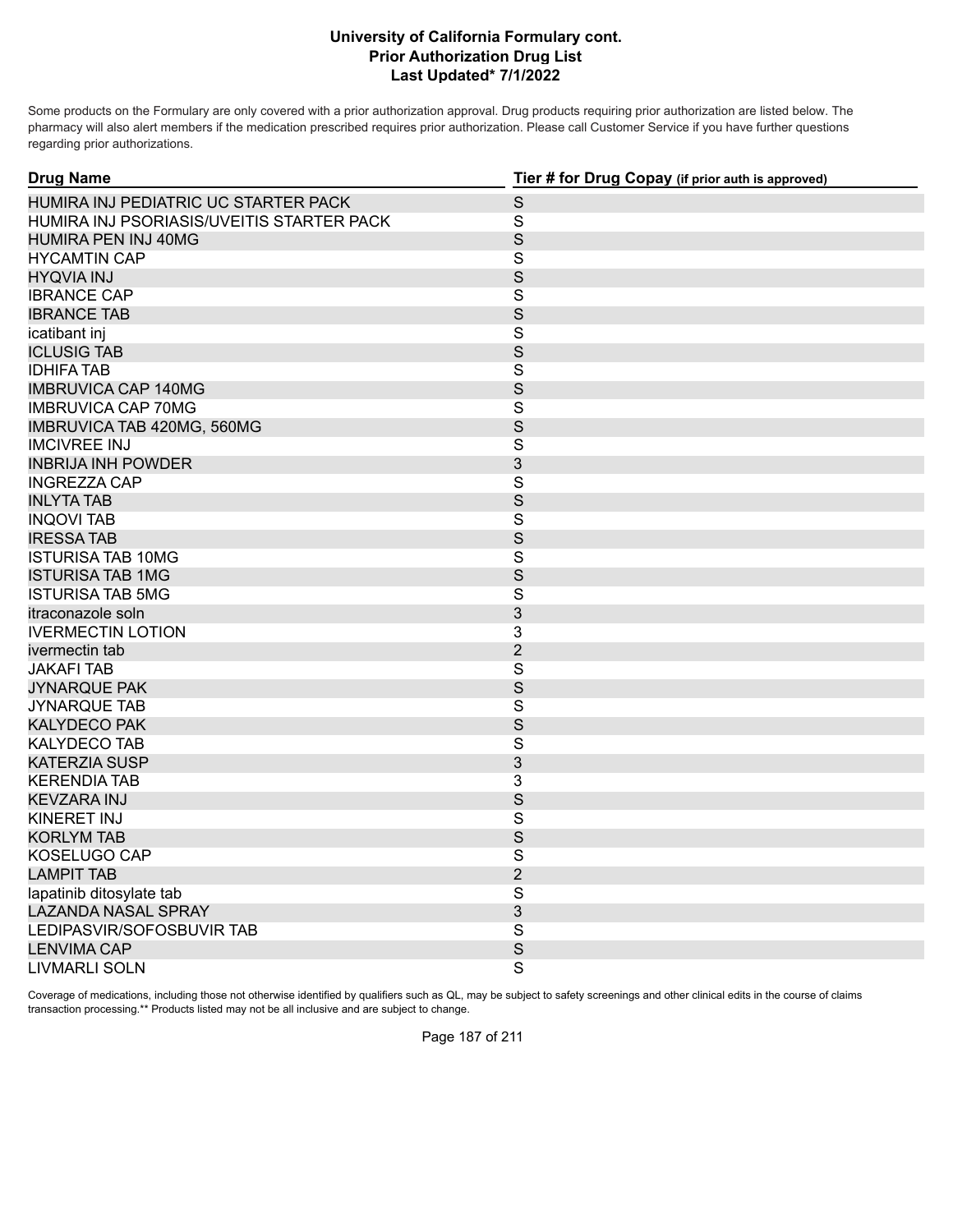Some products on the Formulary are only covered with a prior authorization approval. Drug products requiring prior authorization are listed below. The pharmacy will also alert members if the medication prescribed requires prior authorization. Please call Customer Service if you have further questions regarding prior authorizations.

| <b>Drug Name</b>                          | Tier # for Drug Copay (if prior auth is approved) |
|-------------------------------------------|---------------------------------------------------|
| HUMIRA INJ PEDIATRIC UC STARTER PACK      | $\mathsf S$                                       |
| HUMIRA INJ PSORIASIS/UVEITIS STARTER PACK | $\mathbf S$                                       |
| HUMIRA PEN INJ 40MG                       | $\mathsf S$                                       |
| <b>HYCAMTIN CAP</b>                       | $\mathsf S$                                       |
| <b>HYQVIA INJ</b>                         | S                                                 |
| <b>IBRANCE CAP</b>                        | $\mathbf S$                                       |
| <b>IBRANCE TAB</b>                        | S                                                 |
| icatibant inj                             | $\overline{\mathsf{S}}$                           |
| <b>ICLUSIG TAB</b>                        | $\mathsf S$                                       |
| <b>IDHIFA TAB</b>                         | $\overline{\mathsf{S}}$                           |
| <b>IMBRUVICA CAP 140MG</b>                | S                                                 |
| <b>IMBRUVICA CAP 70MG</b>                 | $\mathbf S$                                       |
| IMBRUVICA TAB 420MG, 560MG                | $\mathsf S$                                       |
| <b>IMCIVREE INJ</b>                       | $\overline{\mathsf{S}}$                           |
| <b>INBRIJA INH POWDER</b>                 | 3                                                 |
| <b>INGREZZA CAP</b>                       | $\mathbf S$                                       |
| <b>INLYTA TAB</b>                         | $\mathsf S$                                       |
| <b>INQOVI TAB</b>                         | $\mathsf{S}$                                      |
| <b>IRESSATAB</b>                          | S                                                 |
| <b>ISTURISA TAB 10MG</b>                  | $\mathsf{S}$                                      |
| <b>ISTURISA TAB 1MG</b>                   | S                                                 |
| <b>ISTURISA TAB 5MG</b>                   | S                                                 |
| itraconazole soln                         | 3                                                 |
| <b>IVERMECTIN LOTION</b>                  | $\overline{3}$                                    |
| ivermectin tab                            | $\overline{2}$                                    |
| <b>JAKAFI TAB</b>                         | $\mathsf S$                                       |
| <b>JYNARQUE PAK</b>                       | S                                                 |
| <b>JYNARQUE TAB</b>                       | $\mathbf S$                                       |
| <b>KALYDECO PAK</b>                       | S                                                 |
| <b>KALYDECO TAB</b>                       | $\overline{\mathsf{S}}$                           |
| <b>KATERZIA SUSP</b>                      | $\mathfrak{S}$                                    |
| <b>KERENDIA TAB</b>                       | 3                                                 |
| <b>KEVZARA INJ</b>                        | S                                                 |
| <b>KINERET INJ</b>                        | $\overline{S}$                                    |
| <b>KORLYM TAB</b>                         | $\mathsf S$                                       |
| KOSELUGO CAP                              | S                                                 |
| <b>LAMPIT TAB</b>                         | $\overline{2}$                                    |
| lapatinib ditosylate tab                  | ${\mathsf S}$                                     |
| <b>LAZANDA NASAL SPRAY</b>                | 3                                                 |
| LEDIPASVIR/SOFOSBUVIR TAB                 | $\overline{S}$                                    |
| <b>LENVIMA CAP</b>                        | S                                                 |
| <b>LIVMARLI SOLN</b>                      | $\overline{\mathbf{s}}$                           |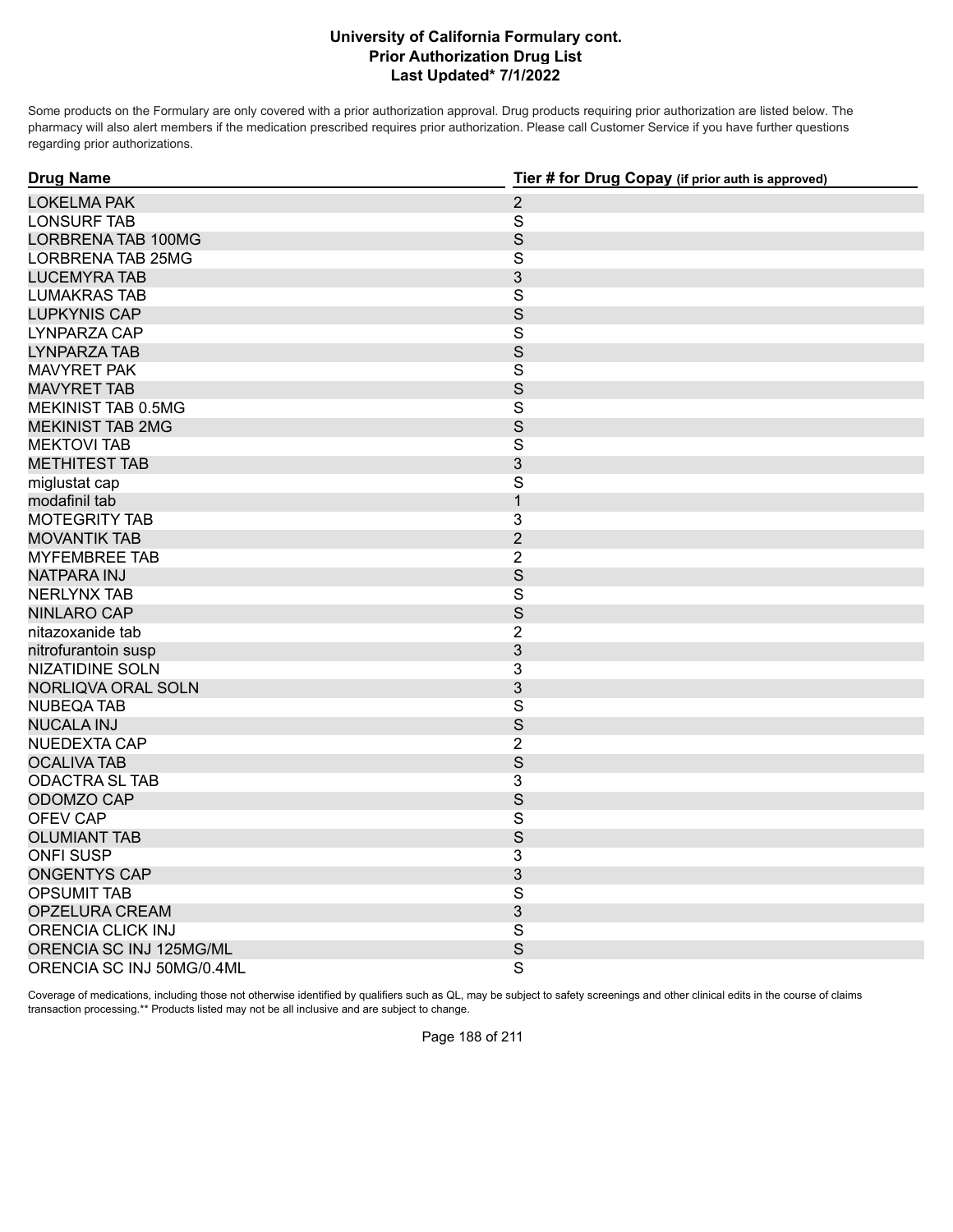Some products on the Formulary are only covered with a prior authorization approval. Drug products requiring prior authorization are listed below. The pharmacy will also alert members if the medication prescribed requires prior authorization. Please call Customer Service if you have further questions regarding prior authorizations.

| <b>Drug Name</b>          | Tier # for Drug Copay (if prior auth is approved) |
|---------------------------|---------------------------------------------------|
| <b>LOKELMA PAK</b>        | $\overline{2}$                                    |
| <b>LONSURF TAB</b>        | $\mathbf S$                                       |
| <b>LORBRENA TAB 100MG</b> | S                                                 |
| LORBRENA TAB 25MG         | $\overline{\mathbf{S}}$                           |
| <b>LUCEMYRA TAB</b>       | $\mathfrak{S}$                                    |
| <b>LUMAKRAS TAB</b>       | S                                                 |
| <b>LUPKYNIS CAP</b>       | S                                                 |
| LYNPARZA CAP              | $\overline{\mathbf{S}}$                           |
| <b>LYNPARZA TAB</b>       | $\mathsf S$                                       |
| <b>MAVYRET PAK</b>        | $\overline{\mathbf{S}}$                           |
| <b>MAVYRET TAB</b>        | S                                                 |
| MEKINIST TAB 0.5MG        | $\mathbf S$                                       |
| <b>MEKINIST TAB 2MG</b>   | $\mathsf S$                                       |
| <b>MEKTOVI TAB</b>        | $\mathsf{S}$                                      |
| <b>METHITEST TAB</b>      | 3                                                 |
| miglustat cap             | $\mathsf{S}$                                      |
| modafinil tab             | $\mathbf{1}$                                      |
| <b>MOTEGRITY TAB</b>      | 3                                                 |
| <b>MOVANTIK TAB</b>       | $\overline{2}$                                    |
| <b>MYFEMBREE TAB</b>      | $\overline{2}$                                    |
| <b>NATPARA INJ</b>        | S                                                 |
| <b>NERLYNX TAB</b>        | $\mathbf S$                                       |
| <b>NINLARO CAP</b>        | S                                                 |
| nitazoxanide tab          | $\overline{2}$                                    |
| nitrofurantoin susp       | $\mathfrak{S}$                                    |
| <b>NIZATIDINE SOLN</b>    | 3                                                 |
| NORLIQVA ORAL SOLN        | $\mathfrak{S}$                                    |
| <b>NUBEQA TAB</b>         | $\mathbf S$                                       |
| <b>NUCALA INJ</b>         | ${\mathsf S}$                                     |
| NUEDEXTA CAP              | $\overline{2}$                                    |
| <b>OCALIVA TAB</b>        | S                                                 |
| <b>ODACTRA SL TAB</b>     | 3                                                 |
| ODOMZO CAP                | S                                                 |
| <b>OFEV CAP</b>           | S                                                 |
| <b>OLUMIANT TAB</b>       | $\mathsf S$                                       |
| <b>ONFI SUSP</b>          | 3                                                 |
| <b>ONGENTYS CAP</b>       | 3                                                 |
| <b>OPSUMIT TAB</b>        | $\overline{\mathbf{S}}$                           |
| OPZELURA CREAM            | 3                                                 |
| <b>ORENCIA CLICK INJ</b>  | $\overline{\mathbf{S}}$                           |
| ORENCIA SC INJ 125MG/ML   | S                                                 |
| ORENCIA SC INJ 50MG/0.4ML | $\overline{\mathbf{S}}$                           |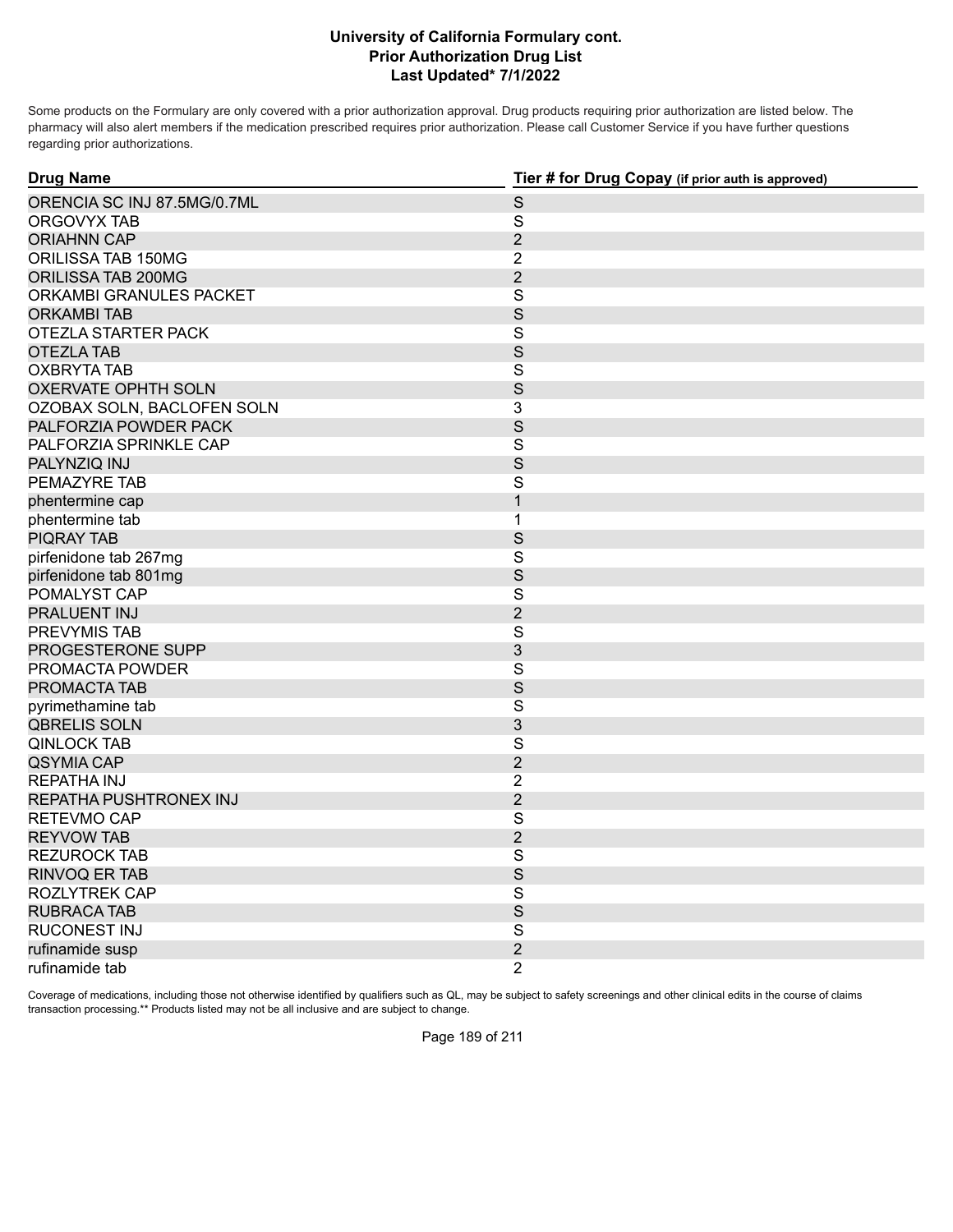Some products on the Formulary are only covered with a prior authorization approval. Drug products requiring prior authorization are listed below. The pharmacy will also alert members if the medication prescribed requires prior authorization. Please call Customer Service if you have further questions regarding prior authorizations.

| <b>Drug Name</b>            | Tier # for Drug Copay (if prior auth is approved) |
|-----------------------------|---------------------------------------------------|
| ORENCIA SC INJ 87.5MG/0.7ML | $\mathsf S$                                       |
| ORGOVYX TAB                 | $\mathsf{S}$                                      |
| <b>ORIAHNN CAP</b>          | $\overline{2}$                                    |
| ORILISSA TAB 150MG          | $\overline{2}$                                    |
| ORILISSA TAB 200MG          | $\overline{2}$                                    |
| ORKAMBI GRANULES PACKET     | S                                                 |
| <b>ORKAMBI TAB</b>          | S                                                 |
| OTEZLA STARTER PACK         | S                                                 |
| <b>OTEZLA TAB</b>           | S                                                 |
| <b>OXBRYTA TAB</b>          | S                                                 |
| <b>OXERVATE OPHTH SOLN</b>  | S                                                 |
| OZOBAX SOLN, BACLOFEN SOLN  | 3                                                 |
| PALFORZIA POWDER PACK       | S                                                 |
| PALFORZIA SPRINKLE CAP      | S                                                 |
| PALYNZIQ INJ                | S                                                 |
| PEMAZYRE TAB                | S                                                 |
| phentermine cap             | $\mathbf{1}$                                      |
| phentermine tab             | $\mathbf{1}$                                      |
| <b>PIQRAY TAB</b>           | S                                                 |
| pirfenidone tab 267mg       | $\overline{\mathbf{s}}$                           |
| pirfenidone tab 801mg       | S                                                 |
| POMALYST CAP                | S                                                 |
| PRALUENT INJ                | $\overline{2}$                                    |
| PREVYMIS TAB                | $\overline{\mathbf{S}}$                           |
| PROGESTERONE SUPP           | 3                                                 |
| PROMACTA POWDER             | $\overline{\mathbf{S}}$                           |
| PROMACTA TAB                | S                                                 |
| pyrimethamine tab           | $\mathsf{S}$                                      |
| <b>QBRELIS SOLN</b>         | 3                                                 |
| <b>QINLOCK TAB</b>          | S                                                 |
| <b>QSYMIA CAP</b>           | $\overline{2}$                                    |
| <b>REPATHA INJ</b>          | $\overline{2}$                                    |
| REPATHA PUSHTRONEX INJ      | $\overline{2}$                                    |
| RETEVMO CAP                 | S                                                 |
| <b>REYVOW TAB</b>           | $\overline{2}$                                    |
| <b>REZUROCK TAB</b>         | S                                                 |
| <b>RINVOQ ER TAB</b>        | S                                                 |
| ROZLYTREK CAP               | S                                                 |
| <b>RUBRACA TAB</b>          | $\mathsf S$                                       |
| RUCONEST INJ                | S                                                 |
| rufinamide susp             | $\overline{2}$                                    |
| rufinamide tab              | $\overline{2}$                                    |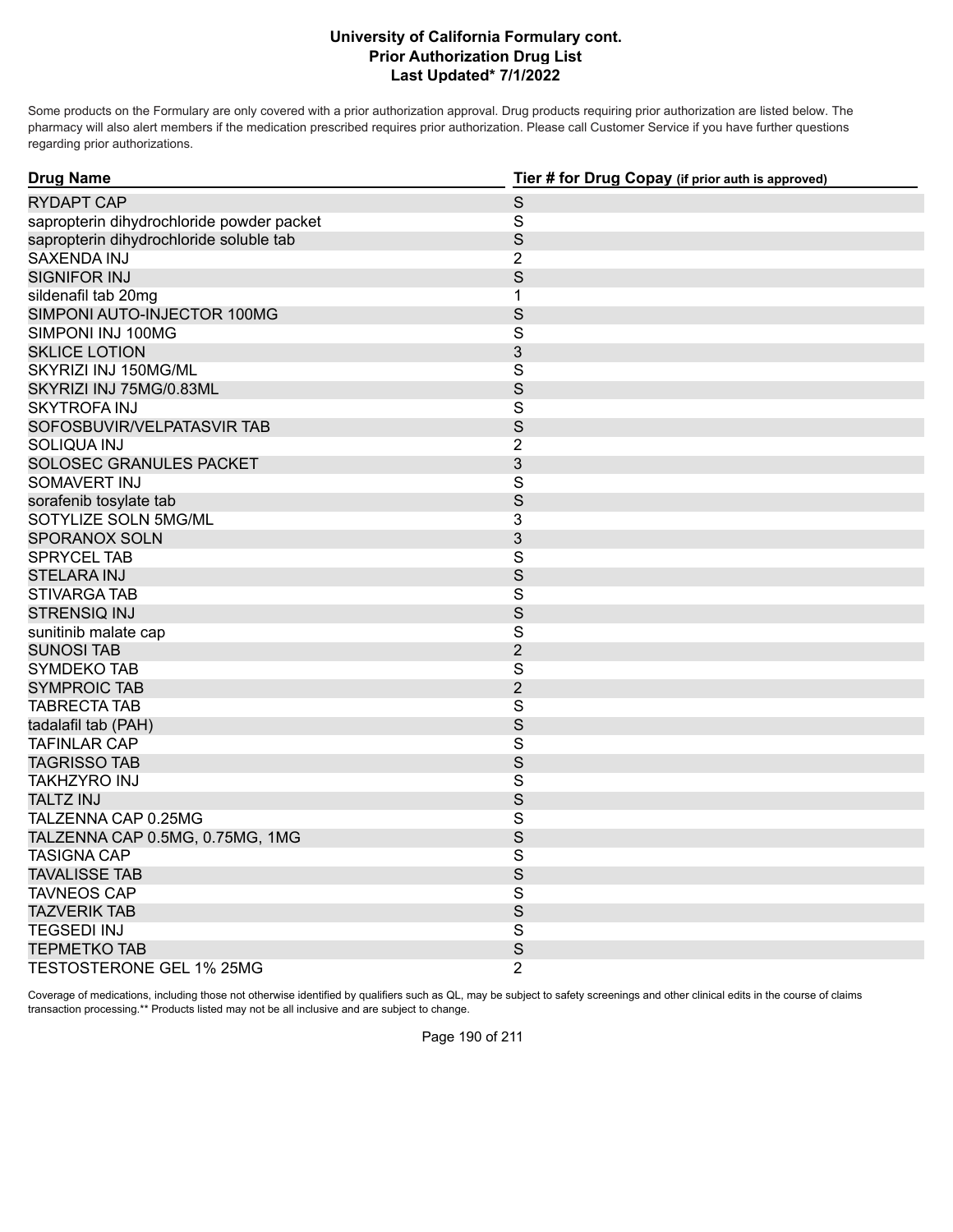Some products on the Formulary are only covered with a prior authorization approval. Drug products requiring prior authorization are listed below. The pharmacy will also alert members if the medication prescribed requires prior authorization. Please call Customer Service if you have further questions regarding prior authorizations.

| <b>Drug Name</b>                          | Tier # for Drug Copay (if prior auth is approved) |
|-------------------------------------------|---------------------------------------------------|
| <b>RYDAPT CAP</b>                         | $\mathsf S$                                       |
| sapropterin dihydrochloride powder packet | $\mathbf S$                                       |
| sapropterin dihydrochloride soluble tab   | S                                                 |
| <b>SAXENDA INJ</b>                        | $\overline{2}$                                    |
| <b>SIGNIFOR INJ</b>                       | S                                                 |
| sildenafil tab 20mg                       | 1                                                 |
| SIMPONI AUTO-INJECTOR 100MG               | $\mathsf S$                                       |
| SIMPONI INJ 100MG                         | $\mathsf{S}$                                      |
| <b>SKLICE LOTION</b>                      | 3                                                 |
| SKYRIZI INJ 150MG/ML                      | $\mathsf{S}$                                      |
| SKYRIZI INJ 75MG/0.83ML                   | S                                                 |
| <b>SKYTROFA INJ</b>                       | $\mathsf S$                                       |
| SOFOSBUVIR/VELPATASVIR TAB                | S                                                 |
| SOLIQUA INJ                               | $\overline{2}$                                    |
| SOLOSEC GRANULES PACKET                   | 3                                                 |
| SOMAVERT INJ                              | $\overline{\mathbf{S}}$                           |
| sorafenib tosylate tab                    | S                                                 |
| SOTYLIZE SOLN 5MG/ML                      | 3                                                 |
| <b>SPORANOX SOLN</b>                      | 3                                                 |
| SPRYCEL TAB                               | $\mathsf S$                                       |
| <b>STELARA INJ</b>                        | S                                                 |
| STIVARGA TAB                              | S                                                 |
| <b>STRENSIQ INJ</b>                       | S                                                 |
| sunitinib malate cap                      | $\overline{\mathbf{S}}$                           |
| <b>SUNOSI TAB</b>                         | $\overline{2}$                                    |
| SYMDEKO TAB                               | $\mathsf{S}$                                      |
| <b>SYMPROIC TAB</b>                       | $\overline{2}$                                    |
| <b>TABRECTA TAB</b>                       | $\mathbf S$                                       |
| tadalafil tab (PAH)                       | S                                                 |
| <b>TAFINLAR CAP</b>                       | $\mathbf S$                                       |
| <b>TAGRISSO TAB</b>                       | S                                                 |
| TAKHZYRO INJ                              | $\mathsf{S}$                                      |
| <b>TALTZ INJ</b>                          | S                                                 |
| TALZENNA CAP 0.25MG                       | $\mathsf S$                                       |
| TALZENNA CAP 0.5MG, 0.75MG, 1MG           | S                                                 |
| <b>TASIGNA CAP</b>                        | S                                                 |
| <b>TAVALISSE TAB</b>                      | S                                                 |
| <b>TAVNEOS CAP</b>                        | $\overline{\mathbf{S}}$                           |
| <b>TAZVERIK TAB</b>                       | $\mathsf S$                                       |
| <b>TEGSEDI INJ</b>                        | S                                                 |
| <b>TEPMETKO TAB</b>                       | $\mathsf S$                                       |
| TESTOSTERONE GEL 1% 25MG                  | 2                                                 |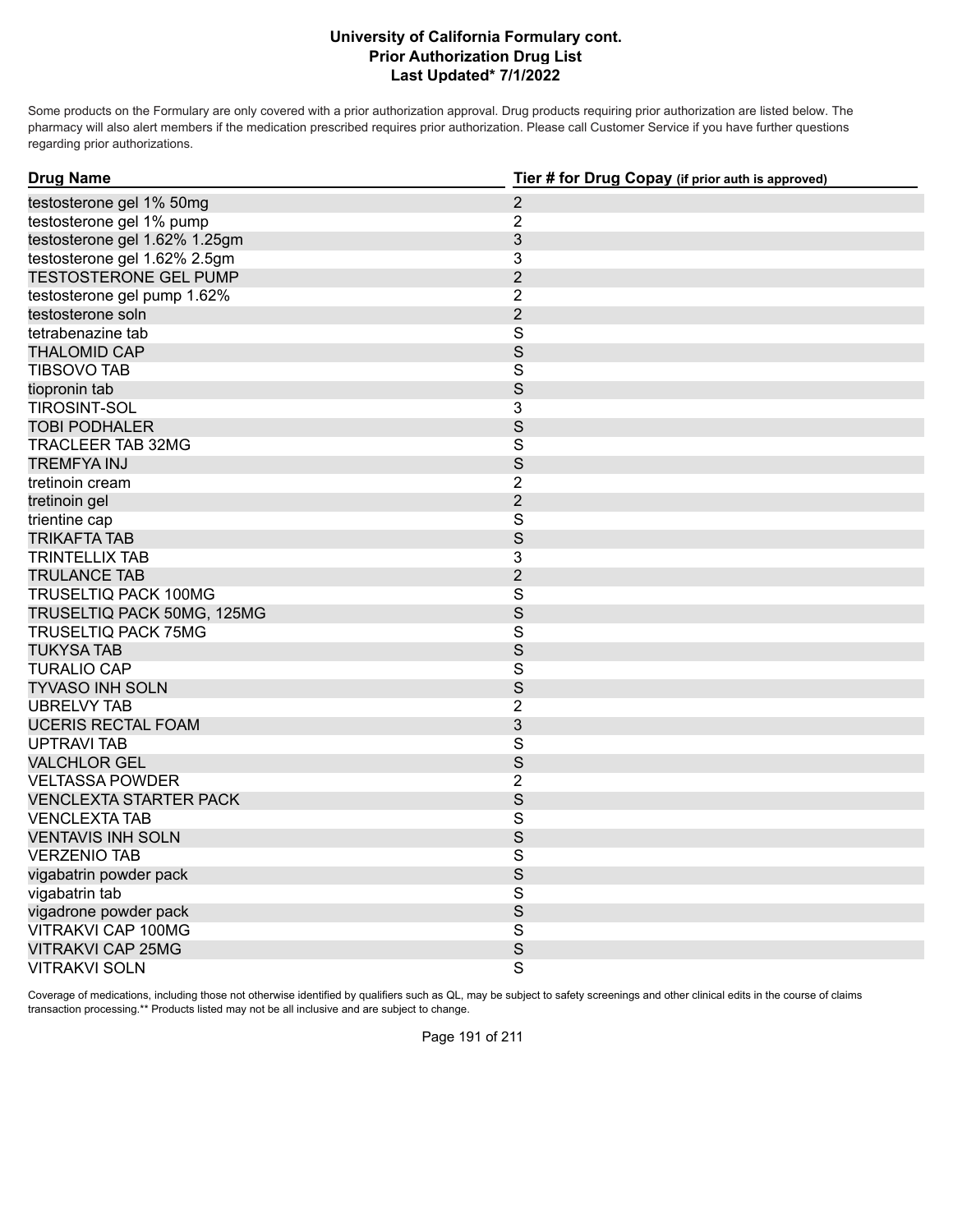Some products on the Formulary are only covered with a prior authorization approval. Drug products requiring prior authorization are listed below. The pharmacy will also alert members if the medication prescribed requires prior authorization. Please call Customer Service if you have further questions regarding prior authorizations.

| <b>Drug Name</b>              | Tier # for Drug Copay (if prior auth is approved) |
|-------------------------------|---------------------------------------------------|
| testosterone gel 1% 50mg      | $\overline{2}$                                    |
| testosterone gel 1% pump      | $\overline{2}$                                    |
| testosterone gel 1.62% 1.25gm | $\mathfrak{S}$                                    |
| testosterone gel 1.62% 2.5gm  | 3                                                 |
| <b>TESTOSTERONE GEL PUMP</b>  | $\overline{2}$                                    |
| testosterone gel pump 1.62%   | $\overline{2}$                                    |
| testosterone soln             | $\overline{2}$                                    |
| tetrabenazine tab             | $\overline{\mathbf{S}}$                           |
| <b>THALOMID CAP</b>           | S                                                 |
| <b>TIBSOVO TAB</b>            | $\mathsf{S}$                                      |
| tiopronin tab                 | $\mathsf S$                                       |
| <b>TIROSINT-SOL</b>           | 3                                                 |
| <b>TOBI PODHALER</b>          | $\mathbf S$                                       |
| TRACLEER TAB 32MG             | $\mathsf S$                                       |
| <b>TREMFYA INJ</b>            | $\mathsf S$                                       |
| tretinoin cream               | $\overline{2}$                                    |
| tretinoin gel                 | $\mathbf{2}$                                      |
| trientine cap                 | $\overline{\mathbf{S}}$                           |
| <b>TRIKAFTA TAB</b>           | S                                                 |
| <b>TRINTELLIX TAB</b>         | $\overline{3}$                                    |
| <b>TRULANCE TAB</b>           | $\overline{2}$                                    |
| TRUSELTIQ PACK 100MG          | S                                                 |
| TRUSELTIQ PACK 50MG, 125MG    | S                                                 |
| <b>TRUSELTIQ PACK 75MG</b>    | $\mathbf S$                                       |
| <b>TUKYSA TAB</b>             | S                                                 |
| <b>TURALIO CAP</b>            | $\mathsf{S}$                                      |
| <b>TYVASO INH SOLN</b>        | S                                                 |
| <b>UBRELVY TAB</b>            | $\overline{2}$                                    |
| <b>UCERIS RECTAL FOAM</b>     | 3                                                 |
| <b>UPTRAVI TAB</b>            | $\overline{\mathbf{S}}$                           |
| <b>VALCHLOR GEL</b>           | S                                                 |
| <b>VELTASSA POWDER</b>        | $\overline{2}$                                    |
| <b>VENCLEXTA STARTER PACK</b> | S                                                 |
| <b>VENCLEXTA TAB</b>          | $\mathsf S$                                       |
| <b>VENTAVIS INH SOLN</b>      | S                                                 |
| <b>VERZENIO TAB</b>           | $\overline{\mathbf{S}}$                           |
| vigabatrin powder pack        | S                                                 |
| vigabatrin tab                | $\mathsf{S}$                                      |
| vigadrone powder pack         | S                                                 |
| VITRAKVI CAP 100MG            | $\overline{\mathbf{S}}$                           |
| <b>VITRAKVI CAP 25MG</b>      | S                                                 |
| <b>VITRAKVI SOLN</b>          | $\overline{\mathsf{S}}$                           |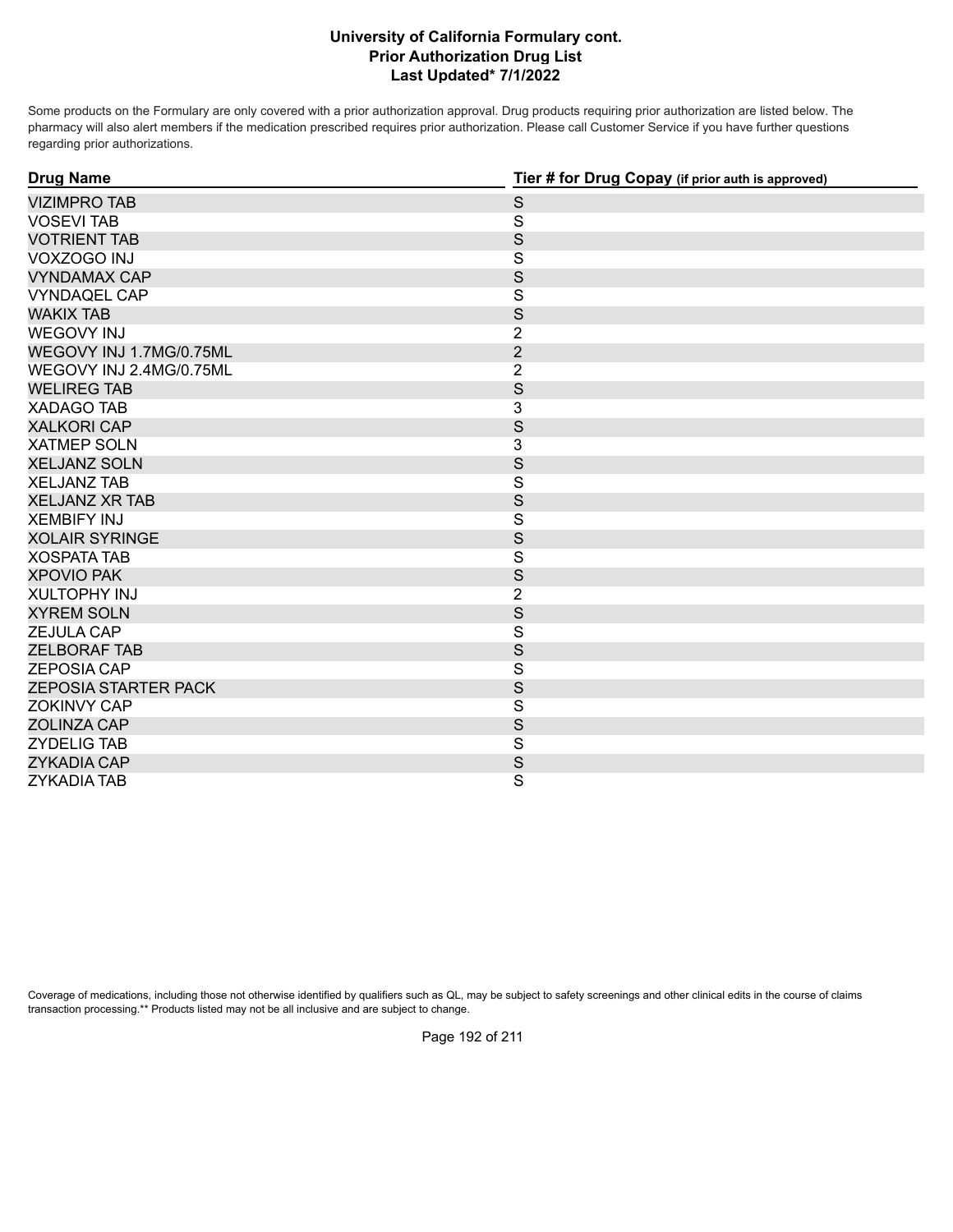Some products on the Formulary are only covered with a prior authorization approval. Drug products requiring prior authorization are listed below. The pharmacy will also alert members if the medication prescribed requires prior authorization. Please call Customer Service if you have further questions regarding prior authorizations.

| <b>Drug Name</b>            | Tier # for Drug Copay (if prior auth is approved) |
|-----------------------------|---------------------------------------------------|
| <b>VIZIMPRO TAB</b>         | $\mathsf S$                                       |
| <b>VOSEVI TAB</b>           | S                                                 |
| <b>VOTRIENT TAB</b>         | $\mathsf{S}$                                      |
| VOXZOGO INJ                 | $\overline{\mathbf{S}}$                           |
| <b>VYNDAMAX CAP</b>         | S                                                 |
| <b>VYNDAQEL CAP</b>         | S                                                 |
| <b>WAKIX TAB</b>            | S                                                 |
| <b>WEGOVY INJ</b>           | $\overline{2}$                                    |
| WEGOVY INJ 1.7MG/0.75ML     | $\overline{2}$                                    |
| WEGOVY INJ 2.4MG/0.75ML     | $\overline{2}$                                    |
| <b>WELIREG TAB</b>          | S                                                 |
| <b>XADAGO TAB</b>           | 3                                                 |
| <b>XALKORI CAP</b>          | $\mathsf{S}$                                      |
| <b>XATMEP SOLN</b>          | 3                                                 |
| <b>XELJANZ SOLN</b>         | S                                                 |
| <b>XELJANZ TAB</b>          | $\overline{\mathbf{S}}$                           |
| <b>XELJANZ XR TAB</b>       | S                                                 |
| <b>XEMBIFY INJ</b>          | $\overline{\mathsf{S}}$                           |
| <b>XOLAIR SYRINGE</b>       | S                                                 |
| <b>XOSPATA TAB</b>          | $\overline{\mathbf{S}}$                           |
| <b>XPOVIO PAK</b>           | S                                                 |
| <b>XULTOPHY INJ</b>         | $\overline{2}$                                    |
| <b>XYREM SOLN</b>           | S                                                 |
| <b>ZEJULA CAP</b>           | S                                                 |
| <b>ZELBORAF TAB</b>         | S                                                 |
| <b>ZEPOSIA CAP</b>          | $\overline{\mathbf{S}}$                           |
| <b>ZEPOSIA STARTER PACK</b> | $\mathsf{S}$                                      |
| ZOKINVY CAP                 | $\overline{\mathbf{S}}$                           |
| <b>ZOLINZA CAP</b>          | S                                                 |
| <b>ZYDELIG TAB</b>          | $\overline{\mathbf{s}}$                           |
| <b>ZYKADIA CAP</b>          | S                                                 |
| <b>ZYKADIA TAB</b>          | S                                                 |

Coverage of medications, including those not otherwise identified by qualifiers such as QL, may be subject to safety screenings and other clinical edits in the course of claims transaction processing.\*\* Products listed may not be all inclusive and are subject to change.

Page 192 of 211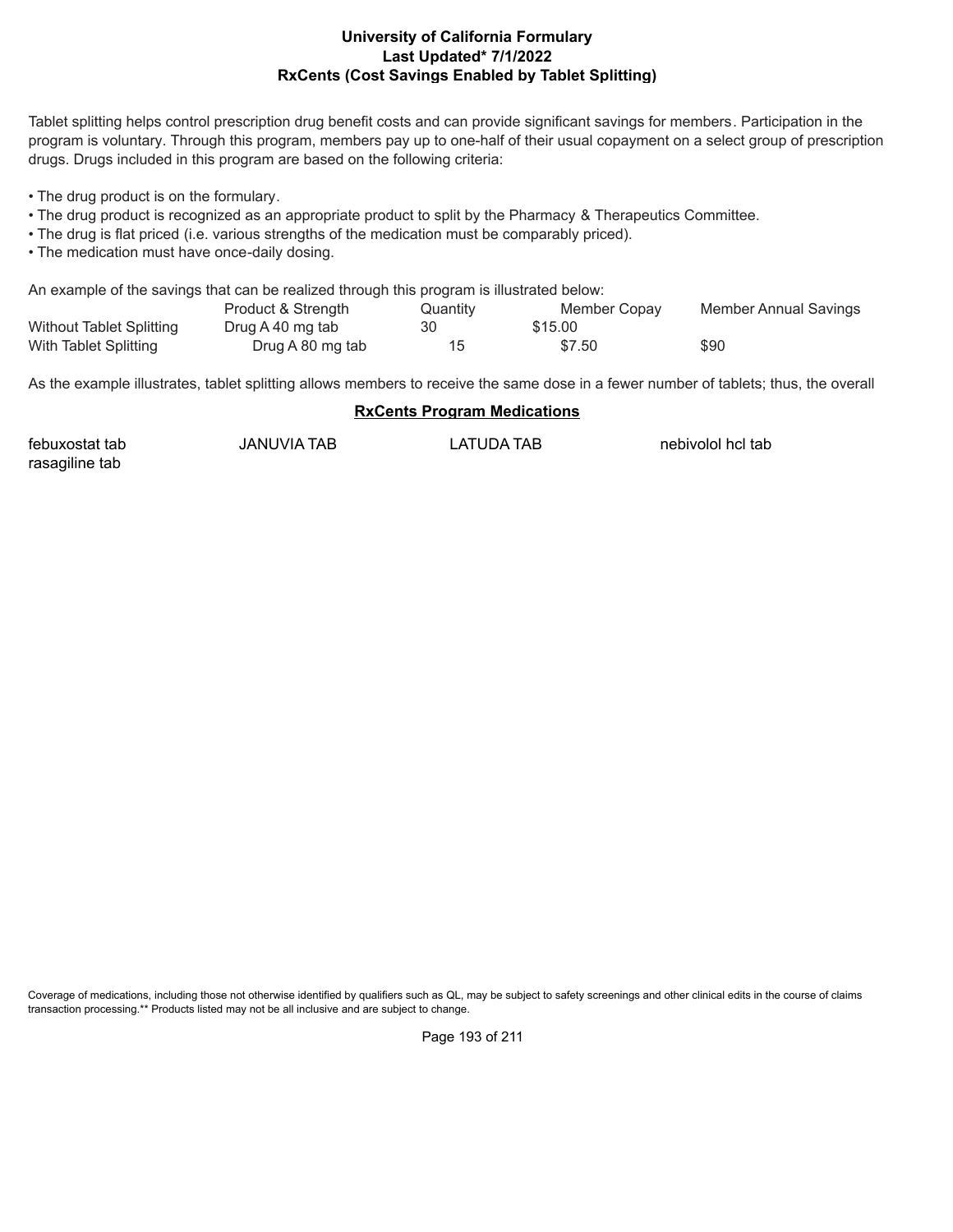### **Last Updated\* 7/1/2022 RxCents (Cost Savings Enabled by Tablet Splitting) University of California Formulary**

Tablet splitting helps control prescription drug benefit costs and can provide significant savings for members. Participation in the program is voluntary. Through this program, members pay up to one-half of their usual copayment on a select group of prescription drugs. Drugs included in this program are based on the following criteria:

• The drug product is on the formulary.

- The drug product is recognized as an appropriate product to split by the Pharmacy & Therapeutics Committee.
- The drug is flat priced (i.e. various strengths of the medication must be comparably priced).
- The medication must have once-daily dosing.

An example of the savings that can be realized through this program is illustrated below:

|                                 | Product & Strength | Quantity | Member Copay | Member Annual Savings |
|---------------------------------|--------------------|----------|--------------|-----------------------|
| <b>Without Tablet Splitting</b> | Drug A 40 mg tab   | 30       | \$15.00      |                       |
| With Tablet Splitting           | Drug A 80 mg tab   |          | \$7.50       | \$90                  |

As the example illustrates, tablet splitting allows members to receive the same dose in a fewer number of tablets; thus, the overall

#### **RxCents Program Medications**

| febuxostat tab | JANUVIA TAB | LATUDA TAB | nebivolol hcl tab |
|----------------|-------------|------------|-------------------|
| rasagiline tab |             |            |                   |

Coverage of medications, including those not otherwise identified by qualifiers such as QL, may be subject to safety screenings and other clinical edits in the course of claims transaction processing.\*\* Products listed may not be all inclusive and are subject to change.

Page 193 of 211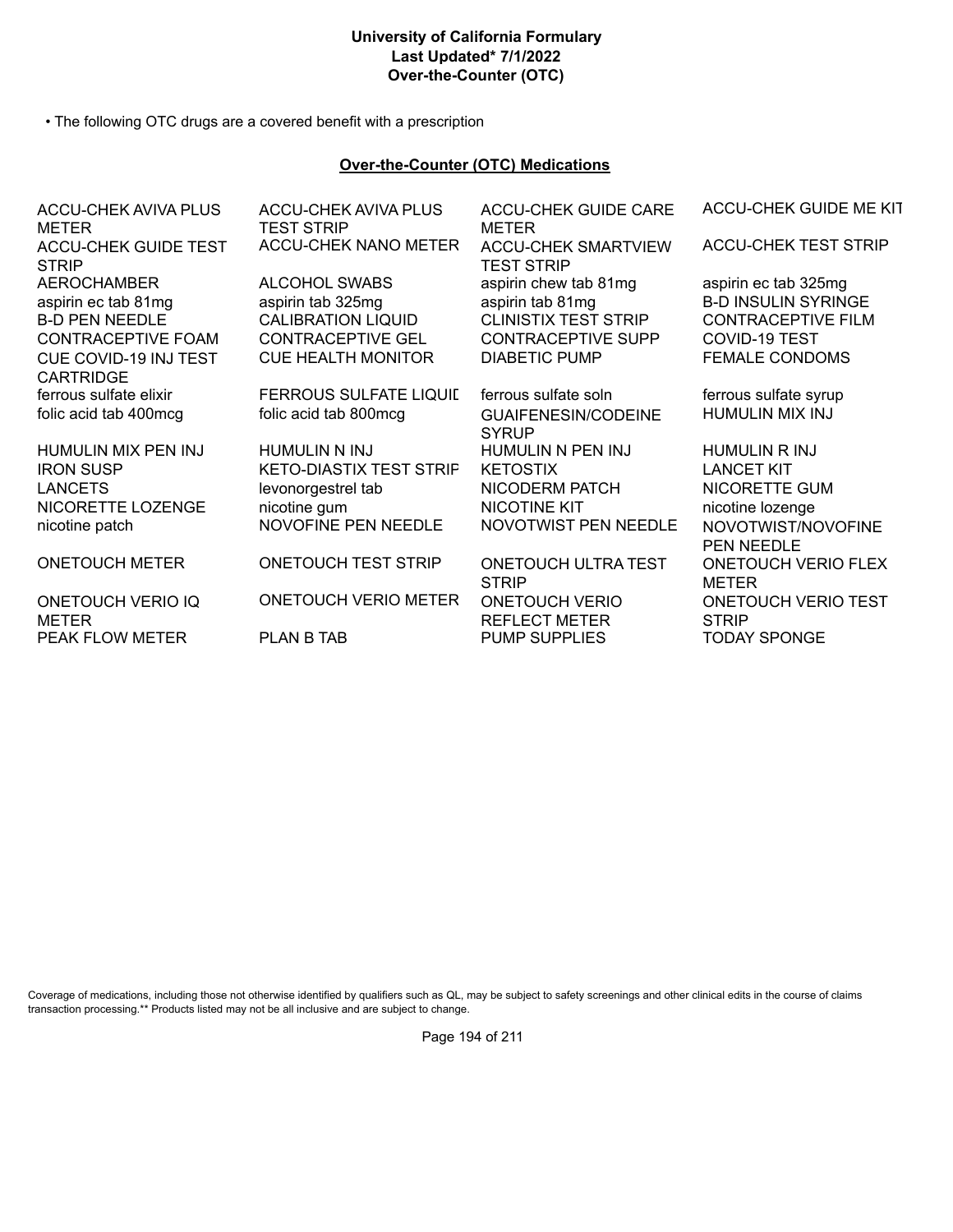# **University of California Formulary Last Updated\* 7/1/2022 Over-the-Counter (OTC)**

• The following OTC drugs are a covered benefit with a prescription

### **Over-the-Counter (OTC) Medications**

| ACCU-CHEK AVIVA PLUS<br><b>METER</b>        | <b>ACCU-CHEK AVIVA PLUS</b><br><b>TEST STRIP</b> | <b>ACCU-CHEK GUIDE CARE</b><br>METER            | ACCU-CHEK GUIDE ME KIT                     |
|---------------------------------------------|--------------------------------------------------|-------------------------------------------------|--------------------------------------------|
| <b>ACCU-CHEK GUIDE TEST</b><br><b>STRIP</b> | <b>ACCU-CHEK NANO METER</b>                      | <b>ACCU-CHEK SMARTVIEW</b><br><b>TEST STRIP</b> | <b>ACCU-CHEK TEST STRIP</b>                |
| <b>AEROCHAMBER</b>                          | <b>ALCOHOL SWABS</b>                             | aspirin chew tab 81mg                           | aspirin ec tab 325mg                       |
| aspirin ec tab 81mg                         | aspirin tab 325mg                                | aspirin tab 81mg                                | <b>B-D INSULIN SYRINGE</b>                 |
| <b>B-D PEN NEEDLE</b>                       | <b>CALIBRATION LIQUID</b>                        | <b>CLINISTIX TEST STRIP</b>                     | <b>CONTRACEPTIVE FILM</b>                  |
| CONTRACEPTIVE FOAM                          | <b>CONTRACEPTIVE GEL</b>                         | <b>CONTRACEPTIVE SUPP</b>                       | COVID-19 TEST                              |
| CUE COVID-19 INJ TEST                       | <b>CUE HEALTH MONITOR</b>                        | <b>DIABETIC PUMP</b>                            | <b>FEMALE CONDOMS</b>                      |
| <b>CARTRIDGE</b>                            |                                                  |                                                 |                                            |
| ferrous sulfate elixir                      | FERROUS SULFATE LIQUII                           | ferrous sulfate soln                            | ferrous sulfate syrup                      |
| folic acid tab 400mcg                       | folic acid tab 800mcg                            | <b>GUAIFENESIN/CODEINE</b><br><b>SYRUP</b>      | HUMULIN MIX INJ                            |
| HUMULIN MIX PEN INJ                         | <b>HUMULIN N INJ</b>                             | HUMULIN N PEN INJ                               | <b>HUMULIN R INJ</b>                       |
| <b>IRON SUSP</b>                            | <b>KETO-DIASTIX TEST STRIF</b>                   | <b>KETOSTIX</b>                                 | <b>LANCET KIT</b>                          |
| <b>LANCETS</b>                              | levonorgestrel tab                               | NICODERM PATCH                                  | NICORETTE GUM                              |
| NICORETTE LOZENGE                           | nicotine gum                                     | NICOTINE KIT                                    | nicotine lozenge                           |
| nicotine patch                              | <b>NOVOFINE PEN NEEDLE</b>                       | <b>NOVOTWIST PEN NEEDLE</b>                     | NOVOTWIST/NOVOFINE                         |
|                                             |                                                  |                                                 | <b>PEN NEEDLE</b>                          |
| <b>ONETOUCH METER</b>                       | <b>ONETOUCH TEST STRIP</b>                       | ONETOUCH ULTRA TEST<br><b>STRIP</b>             | <b>ONETOUCH VERIO FLEX</b><br><b>METER</b> |
| <b>ONETOUCH VERIO IQ</b><br><b>METER</b>    | <b>ONETOUCH VERIO METER</b>                      | <b>ONETOUCH VERIO</b><br><b>REFLECT METER</b>   | <b>ONETOUCH VERIO TEST</b><br><b>STRIP</b> |
| PEAK FLOW METER                             | PLAN B TAB                                       | <b>PUMP SUPPLIES</b>                            | <b>TODAY SPONGE</b>                        |

Coverage of medications, including those not otherwise identified by qualifiers such as QL, may be subject to safety screenings and other clinical edits in the course of claims transaction processing.\*\* Products listed may not be all inclusive and are subject to change.

Page 194 of 211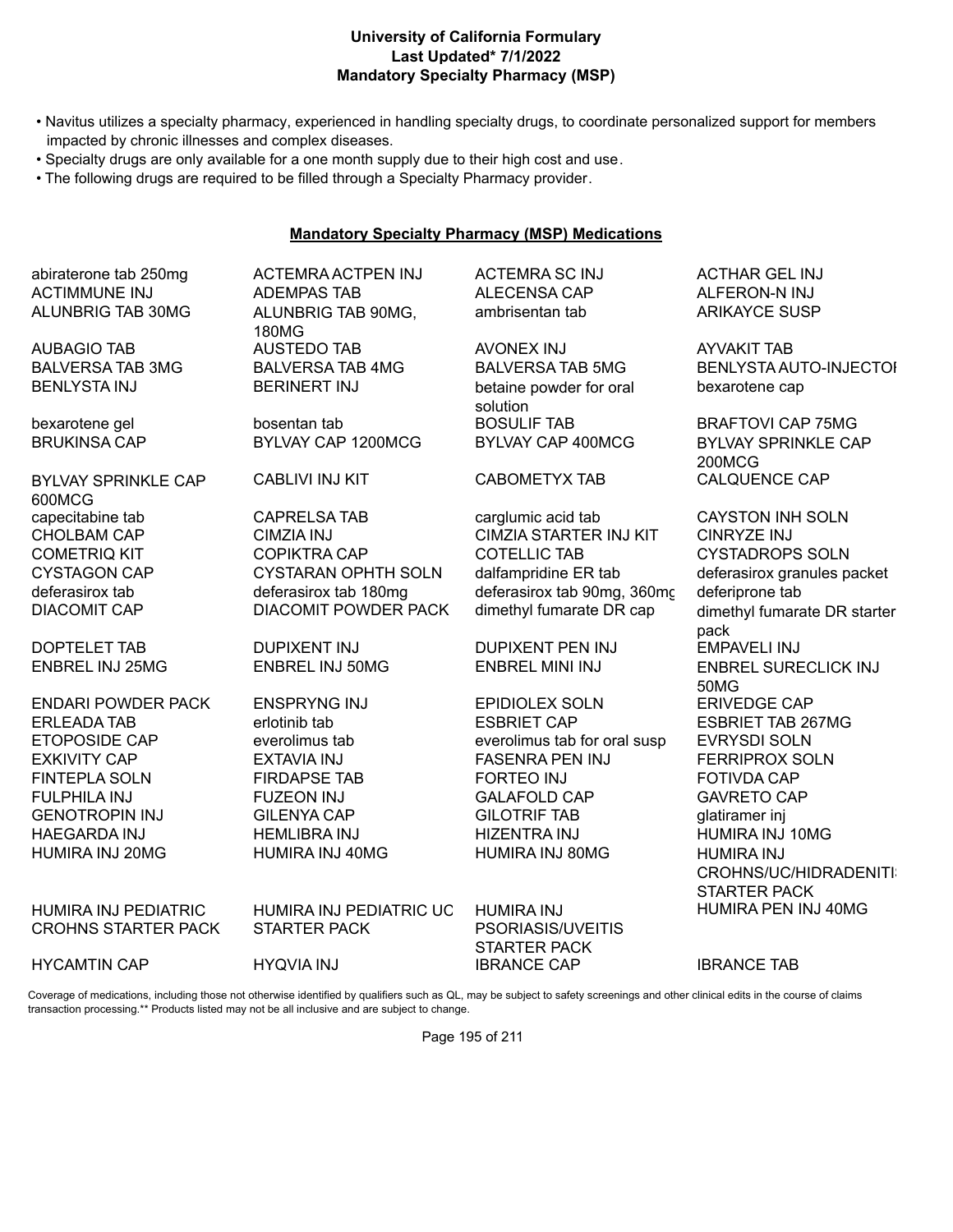# **Last Updated\* 7/1/2022 Mandatory Specialty Pharmacy (MSP) University of California Formulary**

- Navitus utilizes a specialty pharmacy, experienced in handling specialty drugs, to coordinate personalized support for members impacted by chronic illnesses and complex diseases.
- Specialty drugs are only available for a one month supply due to their high cost and use.
- The following drugs are required to be filled through a Specialty Pharmacy provider.

### **Mandatory Specialty Pharmacy (MSP) Medications**

abiraterone tab 250mg ACTEMRA ACTPEN INJ ACTEMRA SC INJ ACTHAR GEL INJ ACTIMMUNE INJ ADEMPAS TAB ALECENSA CAP ALFERON-N INJ ALUNBRIG TAB 30MG ALUNBRIG TAB 90MG,

BYLVAY SPRINKLE CAP 600MCG

ENDARI POWDER PACK ENSPRYNG INJ EPIDIOLEX SOLN ERIVEDGE CAP

HUMIRA INJ PEDIATRIC CROHNS STARTER PACK

180MG

ambrisentan tab ARIKAYCE SUSP

AUBAGIO TAB AUSTEDO TAB AVONEX INJ AYVAKIT TAB BENLYSTA INJ BERINERT INJ betaine powder for oral solution bexarotene gel bosentan tab BOSULIF TAB BRAFTOVI CAP 75MG

CABLIVI INJ KIT CABOMETYX TAB CALQUENCE CAP

capecitabine tab CAPRELSA TAB carglumic acid tab CAYSTON INH SOLN CHOLBAM CAP CIMZIA INJ CIMZIA STARTER INJ KIT CINRYZE INJ COMETRIQ KIT COPIKTRA CAP COTELLIC TAB CYSTADROPS SOLN CYSTAGON CAP CYSTARAN OPHTH SOLN dalfampridine ER tab deferasirox granules packet deferasirox tab deferasirox tab 180mg deferasirox tab 90mg, 360mg deferiprone tab<br>DIACOMIT CAP DIACOMIT POWDER PACK dimethvl fumarate DR cap dimethvl fumara

DOPTELET TAB DUPIXENT INJ DUPIXENT PEN INJ EMPAVELI INJ

ERLEADA TAB erlotinib tab ESBRIET CAP ESBRIET TAB 267MG ETOPOSIDE CAP everolimus tab everolimus tab for oral susp EVRYSDI SOLN EXKIVITY CAP EXTAVIA INJ FASENRA PEN INJ FERRIPROX SOLN FINTEPLA SOLN FIRDAPSE TAB FORTEO INJ FOTIVDA CAP FULPHILA INJ FUZEON INJ GALAFOLD CAP GAVRETO CAP GENOTROPIN INJ GILENYA CAP GILOTRIF TAB glatiramer inj HAEGARDA INJ HEMLIBRA INJ HIZENTRA INJ HUMIRA INJ 10MG HUMIRA INJ 20MG HUMIRA INJ 40MG HUMIRA INJ 80MG HUMIRA INJ

BALVERSA TAB 3MG BALVERSA TAB 4MG BALVERSA TAB 5MG BENLYSTA AUTO-INJECTOL bexarotene cap

BRUKINSA CAP BYLVAY CAP 1200MCG BYLVAY CAP 400MCG BYLVAY SPRINKLE CAP 200MCG

DIACOMIT POWDER PACK dimethyl fumarate DR cap dimethyl fumarate DR starter pack ENBREL INJ 25MG ENBREL INJ 50MG ENBREL MINI INJ ENBREL SURECLICK INJ 50MG CROHNS/UC/HIDRADENITI STARTER PACK HUMIRA PEN INJ 40MG

HUMIRA INJ PEDIATRIC UC STARTER PACK

HUMIRA INJ PSORIASIS/UVEITIS STARTER PACK HYCAMTIN CAP HYQVIA INJ IBRANCE CAP IBRANCE TAB

Coverage of medications, including those not otherwise identified by qualifiers such as QL, may be subject to safety screenings and other clinical edits in the course of claims transaction processing.\*\* Products listed may not be all inclusive and are subject to change.

Page 195 of 211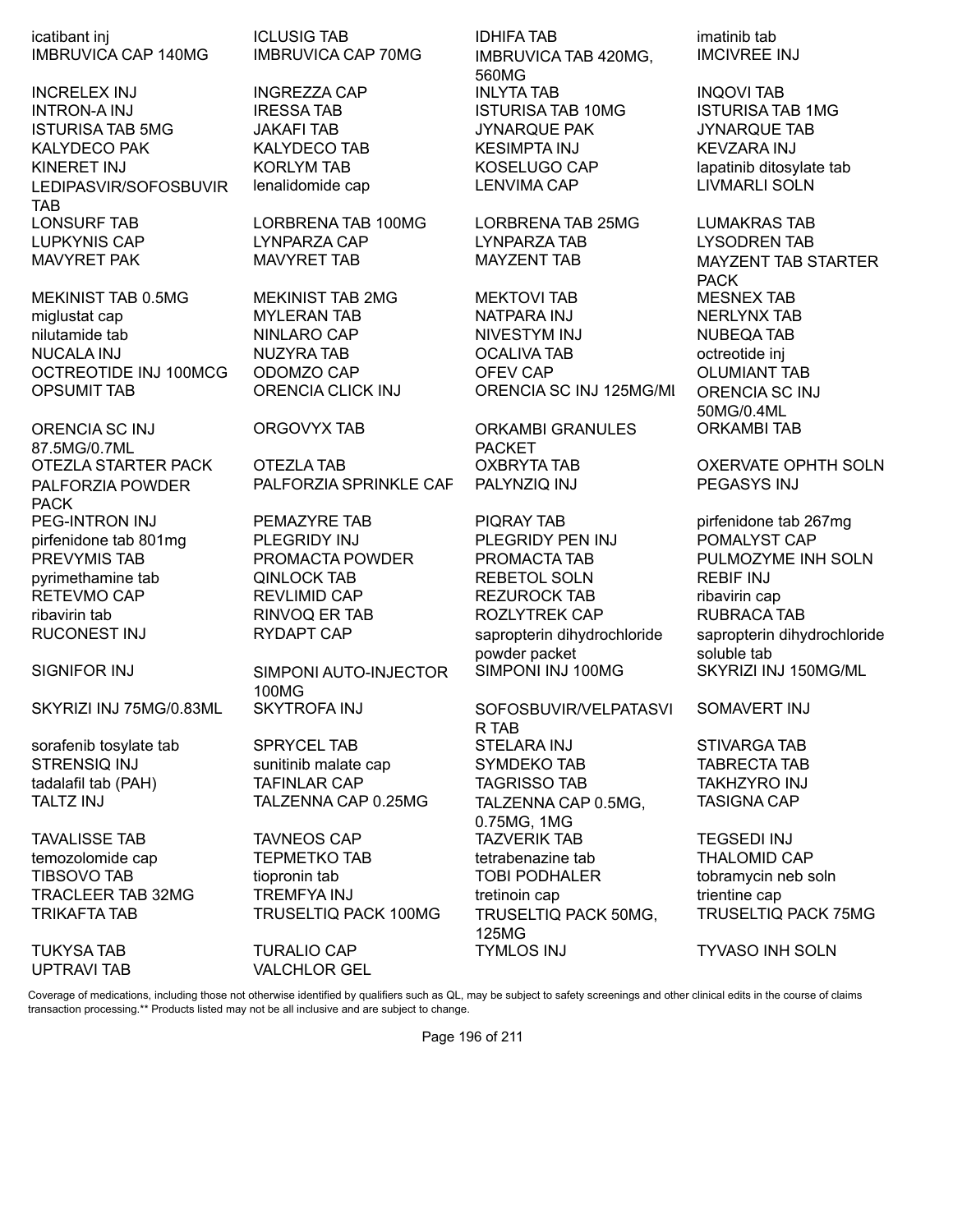icatibant inj ICLUSIG TAB IDHIFA TAB imatinib tab IMBRUVICA CAP 140MG IMBRUVICA CAP 70MG IMBRUVICA TAB 420MG,

INCRELEX INJ INGREZZA CAP INLYTA TAB INQOVI TAB INTRON-A INJ IRESSA TAB ISTURISA TAB 10MG ISTURISA TAB 1MG ISTURISA TAB 5MG JAKAFI TAB JYNARQUE PAK JYNARQUE TAB KALYDECO PAK KALYDECO TAB KESIMPTA INJ KEVZARA INJ KINERET INJ KORLYM TAB KOSELUGO CAP lapatinib ditosylate tab LEDIPASVIR/SOFOSBUVIR TAB LONSURF TAB LORBRENA TAB 100MG LORBRENA TAB 25MG LUMAKRAS TAB LUPKYNIS CAP LYNPARZA CAP LYNPARZA TAB LYSODREN TAB MAVYRET PAK MAVYRET TAB MAYZENT TAB MAYZENT TAB STARTER

ORENCIA SC INJ 87.5MG/0.7ML PALFORZIA POWDER PACK

SKYRIZI INJ 75MG/0.83ML SKYTROFA INJ SOFOSBUVIR/VELPATASVI

OTEZLA STARTER PACK OTEZLA TAB OXBRYTA TAB OXERVATE OPHTH SOLN PALFORZIA SPRINKLE CAP PALYNZIQ INJ PEGASYS INJ

SIGNIFOR INJ SIMPONI AUTO-INJECTOR 100MG

UPTRAVI TAB VALCHLOR GEL

560MG lenalidomide cap LENVIMA CAP LIVMARLI SOLN

MEKINIST TAB 0.5MG MEKINIST TAB 2MG MEKTOVI TAB MESNEX TAB miglustat cap MYLERAN TAB NATPARA INJ NERLYNX TAB nilutamide tab **NINLARO CAP** NIVESTYM INJ NUBEQA TAB NUCALA INJ NUZYRA TAB OCALIVA TAB octreotide inj OCTREOTIDE INJ 100MCG ODOMZO CAP OFEV CAP OLUMIANT TAB OPSUMIT TAB ORENCIA CLICK INJ ORENCIA SC INJ 125MG/ML ORENCIA SC INJ

> ORGOVYX TAB ORKAMBI GRANULES PACKET

PEG-INTRON INJ PEMAZYRE TAB PIQRAY TAB pirfenidone tab 267mg pirfenidone tab 801mg PLEGRIDY INJ PLEGRIDY PEN INJ POMALYST CAP PREVYMIS TAB PROMACTA POWDER PROMACTA TAB PULMOZYME INH SOLN pyrimethamine tab QINLOCK TAB REBETOL SOLN REBIF INJ RETEVMO CAP REVLIMID CAP REZUROCK TAB ribavirin cap ribavirin tab RINVOQ ER TAB ROZLYTREK CAP RUBRACA TAB RUCONEST INJ RYDAPT CAP sapropterin dihydrochloride powder packet

R TAB sorafenib tosylate tab SPRYCEL TAB STELARA INJ STIVARGA TAB STRENSIQ INJ sunitinib malate cap SYMDEKO TAB TABRECTA TAB tadalafil tab (PAH) TAFINLAR CAP TAGRISSO TAB TAKHZYRO INJ TALTZ INJ TALZENNA CAP 0.25MG TALZENNA CAP 0.5MG, 0.75MG, 1MG TAVALISSE TAB TAVNEOS CAP TAZVERIK TAB TEGSEDI INJ temozolomide cap **TEPMETKO TAB** tetrabenazine tab tetrabenazine tab temozolomide cap TIBSOVO TAB tiopronin tab TOBI PODHALER tobramycin neb soln TRACLEER TAB 32MG TREMFYA INJ tretinoin cap trientine cap trientine cap TRIKAFTA TAB TRUSELTIQ PACK 100MG TRUSELTIQ PACK 50MG, 125MG TUKYSA TAB TURALIO CAP TYMLOS INJ TYVASO INH SOLN

IMCIVREE INJ

PACK 50MG/0.4ML ORKAMBI TAB

sapropterin dihydrochloride soluble tab SIMPONI INJ 100MG SKYRIZI INJ 150MG/ML

SOMAVERT INJ

TASIGNA CAP

TRUSELTIQ PACK 75MG

Coverage of medications, including those not otherwise identified by qualifiers such as QL, may be subject to safety screenings and other clinical edits in the course of claims transaction processing.\*\* Products listed may not be all inclusive and are subject to change.

Page 196 of 211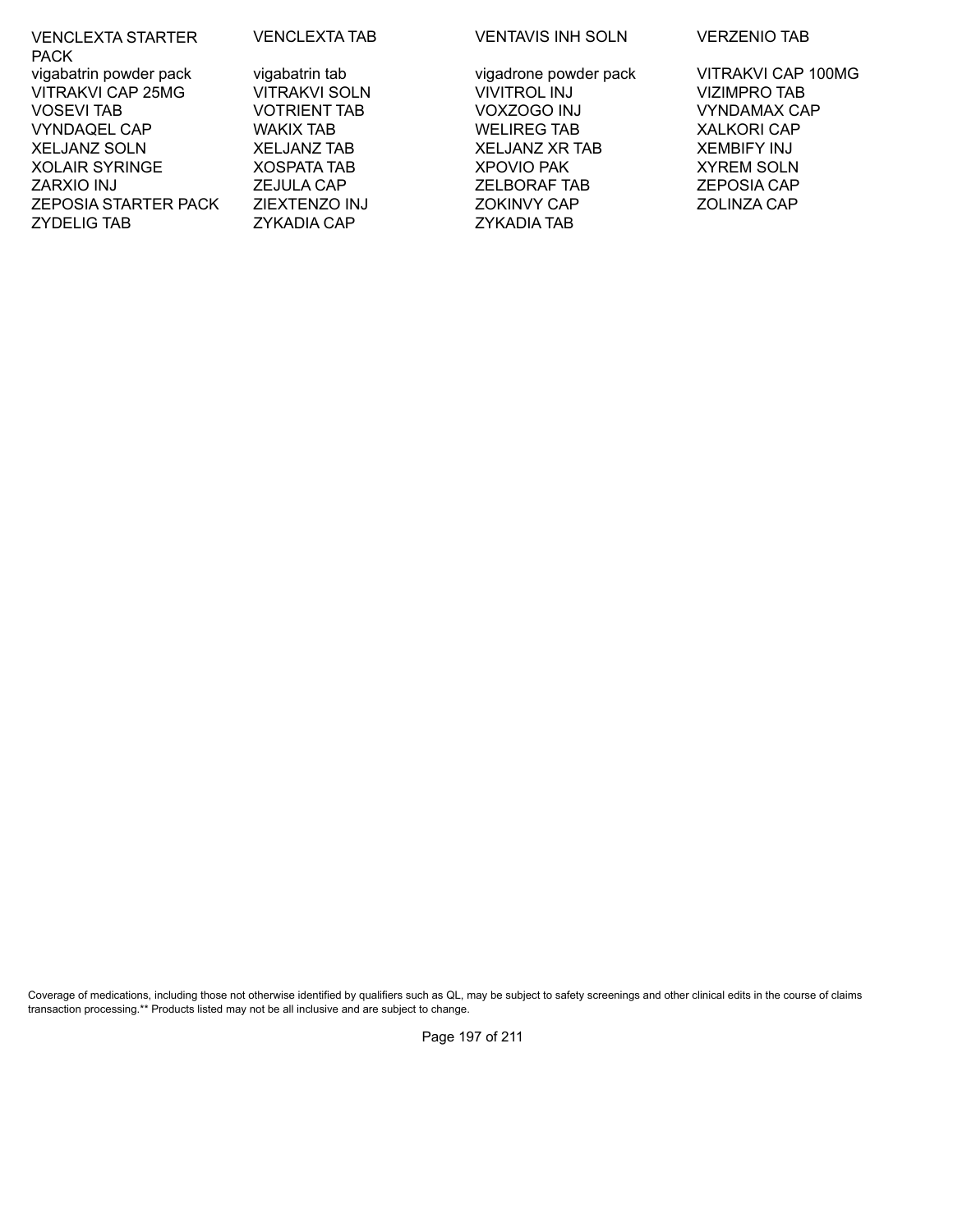| <b>VENCLEXTA STARTER</b><br><b>PACK</b> | <b>VENCLEXTA TAB</b> | <b>VENTAVIS INF</b> |
|-----------------------------------------|----------------------|---------------------|
| vigabatrin powder pack                  | vigabatrin tab       | vigadrone pow       |
| <b>VITRAKVI CAP 25MG</b>                | <b>VITRAKVI SOLN</b> | <b>VIVITROL INJ</b> |
| <b>VOSEVI TAB</b>                       | <b>VOTRIENT TAB</b>  | VOXZOGO IN.         |
| <b>VYNDAQEL CAP</b>                     | WAKIX TAB            | <b>WELIREG TAE</b>  |
| <b>XELJANZ SOLN</b>                     | <b>XELJANZ TAB</b>   | XELJANZ XR          |
| <b>XOLAIR SYRINGE</b>                   | <b>XOSPATA TAB</b>   | <b>XPOVIO PAK</b>   |
| <b>ZARXIO INJ</b>                       | <b>ZEJULA CAP</b>    | ZELBORAF TA         |
| <b>ZEPOSIA STARTER PACK</b>             | <b>ZIEXTENZO INJ</b> | <b>ZOKINVY CAF</b>  |
| <b>ZYDELIG TAB</b>                      | <b>ZYKADIA CAP</b>   | <b>ZYKADIA TAB</b>  |

TA TAB VENTAVIS INH SOLN VERZENIO TAB

SOLN VIVITROL INJ VIZIMPRO TAB VOSEVI TAB VOTRIENT TAB VOXZOGO INJ VYNDAMAX CAP WELIREG TAB TAB XELJANZ XR TAB XEMBIFY INJ TAB XPOVIO PAK XYREM SOLN ZARXIO INJ ZEJULA CAP ZELBORAF TAB ZEPOSIA CAP ZEPOSIA STARTER PACK ZOKINVY CAP ZOLINZA CAP

tab vigadrone powder pack virth VITRAKVI CAP 100MG

Coverage of medications, including those not otherwise identified by qualifiers such as QL, may be subject to safety screenings and other clinical edits in the course of claims transaction processing.\*\* Products listed may not be all inclusive and are subject to change.

Page 197 of 211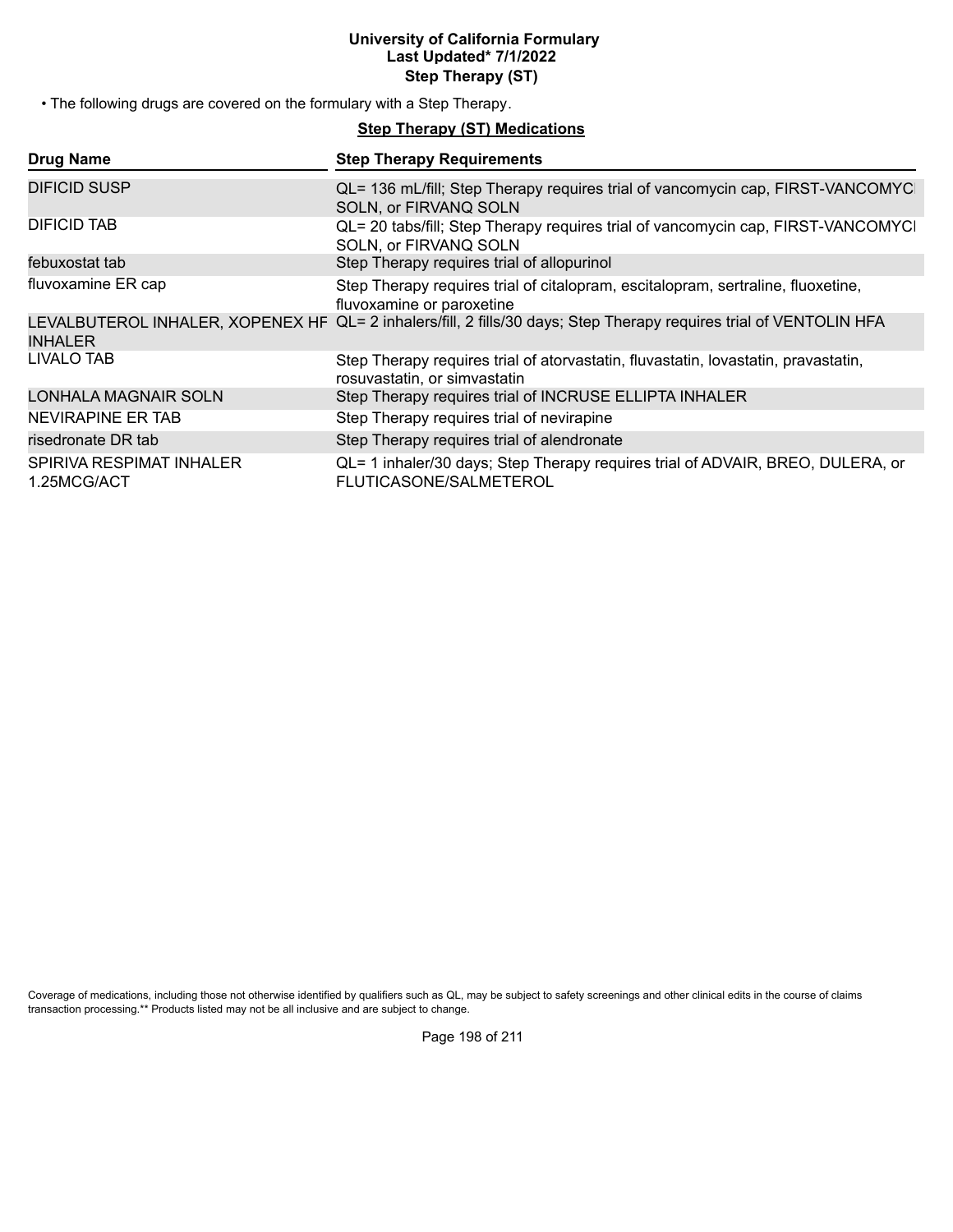# **University of California Formulary Last Updated\* 7/1/2022 Step Therapy (ST)**

• The following drugs are covered on the formulary with a Step Therapy.

# **Step Therapy (ST) Medications**

| <b>Drug Name</b>                        | <b>Step Therapy Requirements</b>                                                                                   |
|-----------------------------------------|--------------------------------------------------------------------------------------------------------------------|
| DIFICID SUSP                            | QL= 136 mL/fill; Step Therapy requires trial of vancomycin cap, FIRST-VANCOMYC<br>SOLN, or FIRVANQ SOLN            |
| DIFICID TAB                             | QL= 20 tabs/fill; Step Therapy requires trial of vancomycin cap, FIRST-VANCOMYCI<br>SOLN, or FIRVANQ SOLN          |
| febuxostat tab                          | Step Therapy requires trial of allopurinol                                                                         |
| fluvoxamine ER cap                      | Step Therapy requires trial of citalopram, escitalopram, sertraline, fluoxetine,<br>fluvoxamine or paroxetine      |
| <b>INHALER</b>                          | LEVALBUTEROL INHALER, XOPENEX HF QL= 2 inhalers/fill, 2 fills/30 days; Step Therapy requires trial of VENTOLIN HFA |
| LIVALO TAB                              | Step Therapy requires trial of atorvastatin, fluvastatin, lovastatin, pravastatin,<br>rosuvastatin, or simvastatin |
| <b>LONHALA MAGNAIR SOLN</b>             | Step Therapy requires trial of INCRUSE ELLIPTA INHALER                                                             |
| NEVIRAPINE ER TAB                       | Step Therapy requires trial of nevirapine                                                                          |
| risedronate DR tab                      | Step Therapy requires trial of alendronate                                                                         |
| SPIRIVA RESPIMAT INHALER<br>1.25MCG/ACT | QL= 1 inhaler/30 days; Step Therapy requires trial of ADVAIR, BREO, DULERA, or<br>FLUTICASONE/SALMETEROL           |

Coverage of medications, including those not otherwise identified by qualifiers such as QL, may be subject to safety screenings and other clinical edits in the course of claims transaction processing.\*\* Products listed may not be all inclusive and are subject to change.

Page 198 of 211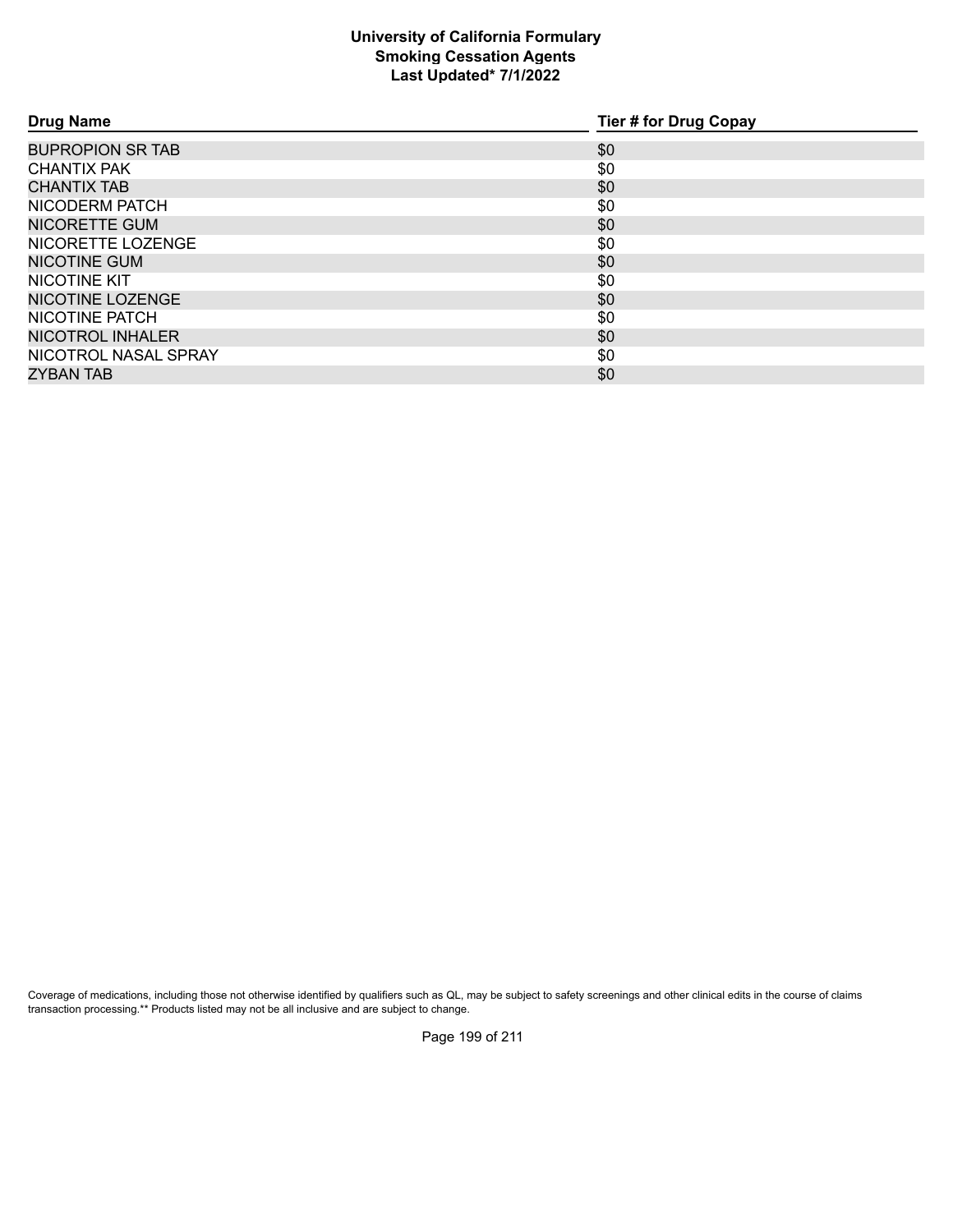# **Smoking Cessation Agents Last Updated\* 7/1/2022 University of California Formulary**

| <b>Drug Name</b>        | <b>Tier # for Drug Copay</b> |
|-------------------------|------------------------------|
| <b>BUPROPION SR TAB</b> | \$0                          |
| <b>CHANTIX PAK</b>      | \$0                          |
| <b>CHANTIX TAB</b>      | \$0                          |
| NICODERM PATCH          | \$0                          |
| NICORETTE GUM           | \$0                          |
| NICORETTE LOZENGE       | \$0                          |
| <b>NICOTINE GUM</b>     | \$0                          |
| NICOTINE KIT            | \$0                          |
| NICOTINE LOZENGE        | \$0                          |
| NICOTINE PATCH          | \$0                          |
| NICOTROL INHALER        | \$0                          |
| NICOTROL NASAL SPRAY    | \$0                          |
| ZYBAN TAB               | \$0                          |

Coverage of medications, including those not otherwise identified by qualifiers such as QL, may be subject to safety screenings and other clinical edits in the course of claims transaction processing.\*\* Products listed may not be all inclusive and are subject to change.

Page 199 of 211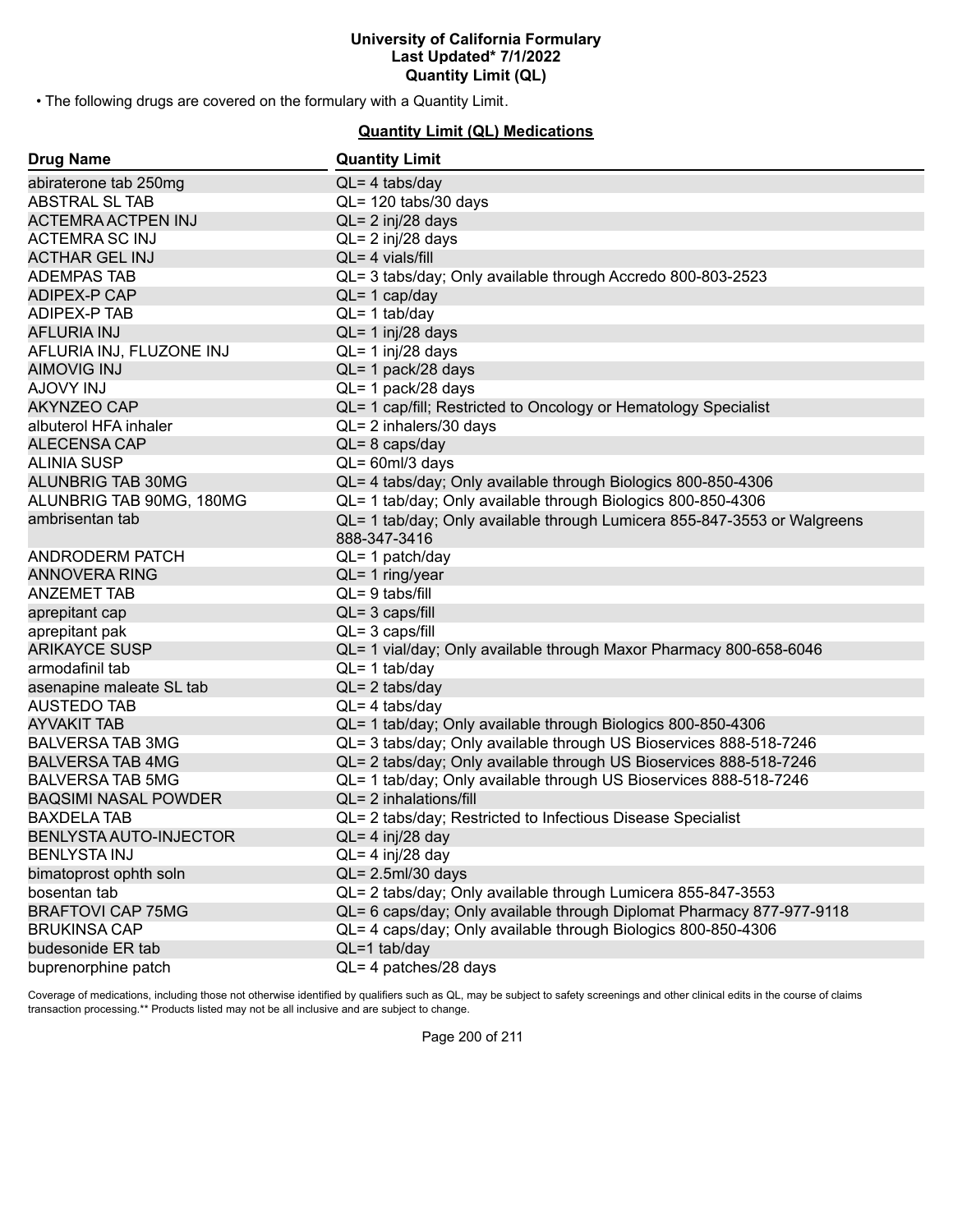• The following drugs are covered on the formulary with a Quantity Limit.

# **Quantity Limit (QL) Medications**

| <b>Drug Name</b>            | <b>Quantity Limit</b>                                                                    |
|-----------------------------|------------------------------------------------------------------------------------------|
| abiraterone tab 250mg       | $QL = 4$ tabs/day                                                                        |
| ABSTRAL SL TAB              | QL= 120 tabs/30 days                                                                     |
| <b>ACTEMRA ACTPEN INJ</b>   | QL= 2 inj/28 days                                                                        |
| <b>ACTEMRA SC INJ</b>       | $QL = 2$ inj/28 days                                                                     |
| <b>ACTHAR GEL INJ</b>       | $QL = 4$ vials/fill                                                                      |
| <b>ADEMPAS TAB</b>          | QL= 3 tabs/day; Only available through Accredo 800-803-2523                              |
| <b>ADIPEX-P CAP</b>         | $QL = 1$ cap/day                                                                         |
| ADIPEX-P TAB                | $QL = 1$ tab/day                                                                         |
| <b>AFLURIA INJ</b>          | $QL = 1$ inj/28 days                                                                     |
| AFLURIA INJ, FLUZONE INJ    | QL= 1 inj/28 days                                                                        |
| <b>AIMOVIG INJ</b>          | QL= 1 pack/28 days                                                                       |
| <b>AJOVY INJ</b>            | QL= 1 pack/28 days                                                                       |
| <b>AKYNZEO CAP</b>          | QL= 1 cap/fill; Restricted to Oncology or Hematology Specialist                          |
| albuterol HFA inhaler       | QL= 2 inhalers/30 days                                                                   |
| <b>ALECENSA CAP</b>         | $QL = 8 \text{ caps/day}$                                                                |
| <b>ALINIA SUSP</b>          | $QL = 60ml/3$ days                                                                       |
| <b>ALUNBRIG TAB 30MG</b>    | QL= 4 tabs/day; Only available through Biologics 800-850-4306                            |
| ALUNBRIG TAB 90MG, 180MG    | QL= 1 tab/day; Only available through Biologics 800-850-4306                             |
| ambrisentan tab             | QL= 1 tab/day; Only available through Lumicera 855-847-3553 or Walgreens<br>888-347-3416 |
| ANDRODERM PATCH             | $QL = 1$ patch/day                                                                       |
| <b>ANNOVERA RING</b>        | $QL = 1$ ring/year                                                                       |
| <b>ANZEMET TAB</b>          | $QL = 9$ tabs/fill                                                                       |
| aprepitant cap              | $QL = 3 \text{ caps/fill}$                                                               |
| aprepitant pak              | $QL = 3 \text{ caps/fill}$                                                               |
| <b>ARIKAYCE SUSP</b>        | QL= 1 vial/day; Only available through Maxor Pharmacy 800-658-6046                       |
| armodafinil tab             | $QL = 1$ tab/day                                                                         |
| asenapine maleate SL tab    | $QL = 2$ tabs/day                                                                        |
| <b>AUSTEDO TAB</b>          | $QL = 4$ tabs/day                                                                        |
| <b>AYVAKIT TAB</b>          | QL= 1 tab/day; Only available through Biologics 800-850-4306                             |
| <b>BALVERSA TAB 3MG</b>     | QL= 3 tabs/day; Only available through US Bioservices 888-518-7246                       |
| <b>BALVERSA TAB 4MG</b>     | QL= 2 tabs/day; Only available through US Bioservices 888-518-7246                       |
| <b>BALVERSA TAB 5MG</b>     | QL= 1 tab/day; Only available through US Bioservices 888-518-7246                        |
| <b>BAQSIMI NASAL POWDER</b> | QL= 2 inhalations/fill                                                                   |
| <b>BAXDELA TAB</b>          | QL= 2 tabs/day; Restricted to Infectious Disease Specialist                              |
| BENLYSTA AUTO-INJECTOR      | $QL = 4$ inj/28 day                                                                      |
| <b>BENLYSTA INJ</b>         | $QL = 4$ inj/28 day                                                                      |
| bimatoprost ophth soln      | $QL = 2.5$ ml/30 days                                                                    |
| bosentan tab                | QL= 2 tabs/day; Only available through Lumicera 855-847-3553                             |
| <b>BRAFTOVI CAP 75MG</b>    | QL= 6 caps/day; Only available through Diplomat Pharmacy 877-977-9118                    |
| <b>BRUKINSA CAP</b>         | QL= 4 caps/day; Only available through Biologics 800-850-4306                            |
| budesonide ER tab           | $QL=1$ tab/day                                                                           |
| buprenorphine patch         | QL= 4 patches/28 days                                                                    |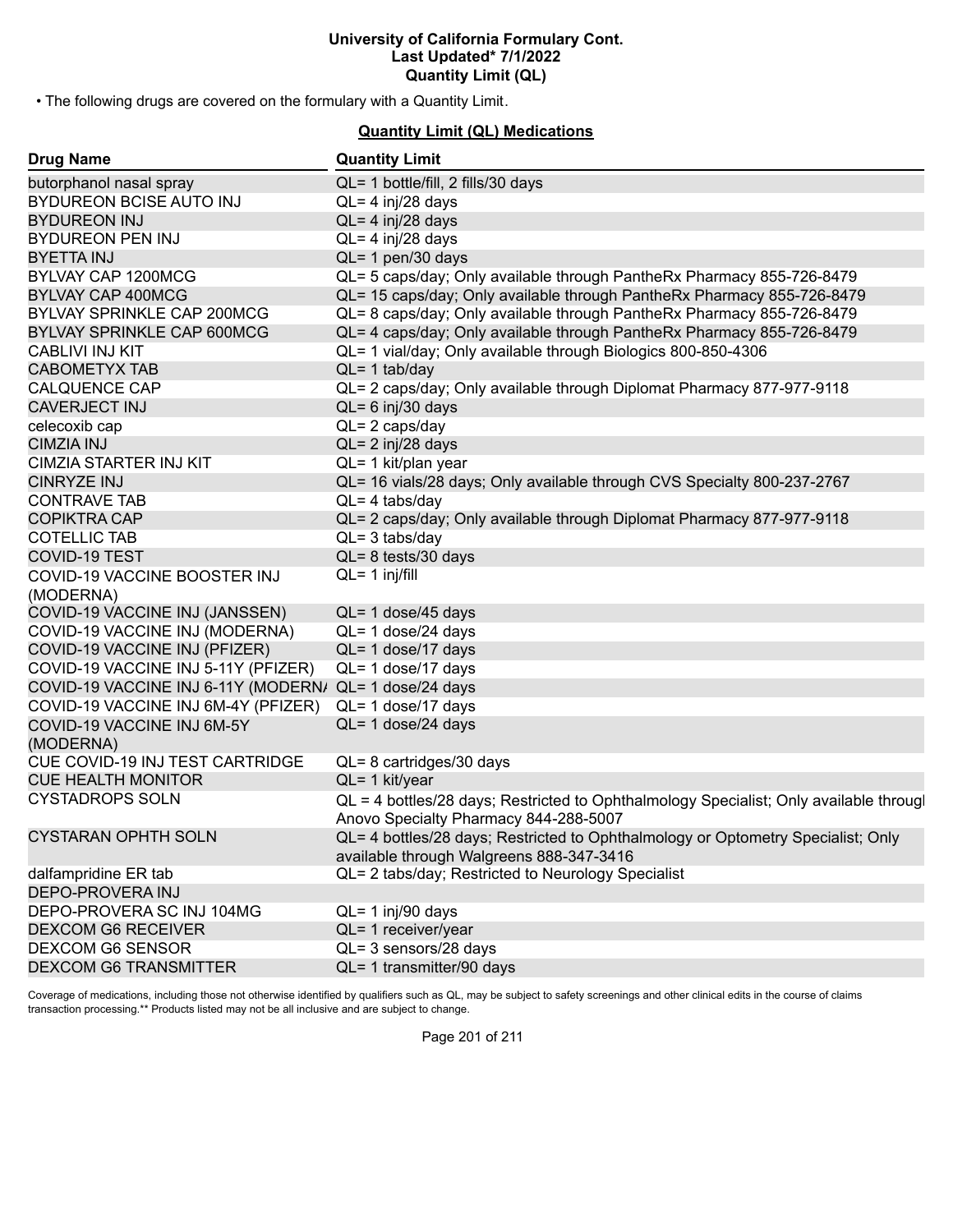• The following drugs are covered on the formulary with a Quantity Limit.

# **Quantity Limit (QL) Medications**

| <b>Drug Name</b>                                       | <b>Quantity Limit</b>                                                                  |
|--------------------------------------------------------|----------------------------------------------------------------------------------------|
| butorphanol nasal spray                                | QL= 1 bottle/fill, 2 fills/30 days                                                     |
| BYDUREON BCISE AUTO INJ                                | $QL = 4$ inj/28 days                                                                   |
| <b>BYDUREON INJ</b>                                    | $QL = 4$ inj/28 days                                                                   |
| <b>BYDUREON PEN INJ</b>                                | $QL = 4$ inj/28 days                                                                   |
| <b>BYETTA INJ</b>                                      | $QL = 1$ pen/30 days                                                                   |
| BYLVAY CAP 1200MCG                                     | QL= 5 caps/day; Only available through PantheRx Pharmacy 855-726-8479                  |
| <b>BYLVAY CAP 400MCG</b>                               | QL= 15 caps/day; Only available through PantheRx Pharmacy 855-726-8479                 |
| BYLVAY SPRINKLE CAP 200MCG                             | QL= 8 caps/day; Only available through PantheRx Pharmacy 855-726-8479                  |
| BYLVAY SPRINKLE CAP 600MCG                             | QL= 4 caps/day; Only available through PantheRx Pharmacy 855-726-8479                  |
| <b>CABLIVI INJ KIT</b>                                 | QL= 1 vial/day; Only available through Biologics 800-850-4306                          |
| <b>CABOMETYX TAB</b>                                   | $QL = 1$ tab/day                                                                       |
| <b>CALQUENCE CAP</b>                                   | QL= 2 caps/day; Only available through Diplomat Pharmacy 877-977-9118                  |
| <b>CAVERJECT INJ</b>                                   | $QL = 6$ inj/30 days                                                                   |
| celecoxib cap                                          | $QL = 2 \text{ caps/day}$                                                              |
| <b>CIMZIA INJ</b>                                      | $QL = 2$ inj/28 days                                                                   |
| CIMZIA STARTER INJ KIT                                 | QL= 1 kit/plan year                                                                    |
| <b>CINRYZE INJ</b>                                     | QL= 16 vials/28 days; Only available through CVS Specialty 800-237-2767                |
| <b>CONTRAVE TAB</b>                                    | $QL = 4$ tabs/day                                                                      |
| <b>COPIKTRA CAP</b>                                    | QL= 2 caps/day; Only available through Diplomat Pharmacy 877-977-9118                  |
| <b>COTELLIC TAB</b>                                    | $QL = 3$ tabs/day                                                                      |
| <b>COVID-19 TEST</b>                                   | $QL = 8$ tests/30 days                                                                 |
| COVID-19 VACCINE BOOSTER INJ                           | $QL = 1$ inj/fill                                                                      |
| (MODERNA)                                              |                                                                                        |
| COVID-19 VACCINE INJ (JANSSEN)                         | QL= 1 dose/45 days                                                                     |
| COVID-19 VACCINE INJ (MODERNA)                         | $QL = 1$ dose/24 days                                                                  |
| COVID-19 VACCINE INJ (PFIZER)                          | QL= 1 dose/17 days                                                                     |
| COVID-19 VACCINE INJ 5-11Y (PFIZER)                    | QL= 1 dose/17 days                                                                     |
| COVID-19 VACCINE INJ 6-11Y (MODERN/ QL= 1 dose/24 days |                                                                                        |
| COVID-19 VACCINE INJ 6M-4Y (PFIZER)                    | QL= 1 dose/17 days                                                                     |
| COVID-19 VACCINE INJ 6M-5Y                             | $QL = 1$ dose/24 days                                                                  |
| (MODERNA)                                              |                                                                                        |
| CUE COVID-19 INJ TEST CARTRIDGE                        | $QL = 8$ cartridges/30 days                                                            |
| <b>CUE HEALTH MONITOR</b>                              | QL= 1 kit/year                                                                         |
| <b>CYSTADROPS SOLN</b>                                 | QL = 4 bottles/28 days; Restricted to Ophthalmology Specialist; Only available througl |
|                                                        | Anovo Specialty Pharmacy 844-288-5007                                                  |
| <b>CYSTARAN OPHTH SOLN</b>                             | QL= 4 bottles/28 days; Restricted to Ophthalmology or Optometry Specialist; Only       |
|                                                        | available through Walgreens 888-347-3416                                               |
| dalfampridine ER tab                                   | QL= 2 tabs/day; Restricted to Neurology Specialist                                     |
| <b>DEPO-PROVERA INJ</b>                                |                                                                                        |
| DEPO-PROVERA SC INJ 104MG                              | QL= 1 inj/90 days                                                                      |
| <b>DEXCOM G6 RECEIVER</b>                              | QL= 1 receiver/year                                                                    |
| DEXCOM G6 SENSOR                                       | QL= 3 sensors/28 days                                                                  |
| <b>DEXCOM G6 TRANSMITTER</b>                           | QL= 1 transmitter/90 days                                                              |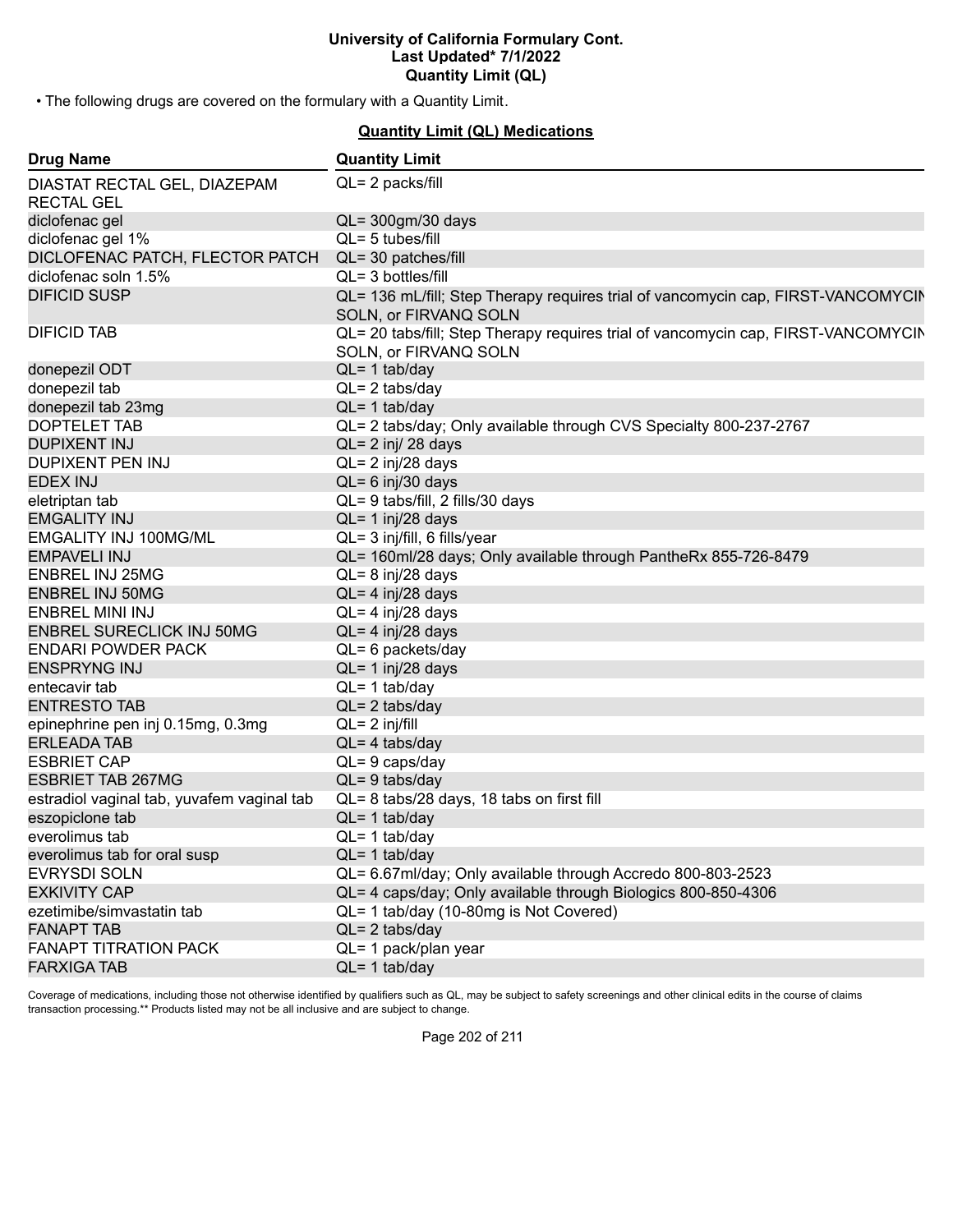• The following drugs are covered on the formulary with a Quantity Limit.

# **Quantity Limit (QL) Medications**

| QL= 2 packs/fill<br><b>RECTAL GEL</b><br>diclofenac gel<br>QL= 300gm/30 days<br>$QL = 5$ tubes/fill<br>diclofenac gel 1%<br>DICLOFENAC PATCH, FLECTOR PATCH<br>QL= 30 patches/fill<br>diclofenac soln 1.5%<br>$QL = 3$ bottles/fill<br><b>DIFICID SUSP</b><br>QL= 136 mL/fill; Step Therapy requires trial of vancomycin cap, FIRST-VANCOMYCIN<br>SOLN, or FIRVANQ SOLN<br>QL= 20 tabs/fill; Step Therapy requires trial of vancomycin cap, FIRST-VANCOMYCIN<br>SOLN, or FIRVANQ SOLN<br>donepezil ODT<br>$QL = 1$ tab/day<br>donepezil tab<br>$QL = 2$ tabs/day<br>$QL = 1$ tab/day<br>donepezil tab 23mg | <b>Drug Name</b>                           | <b>Quantity Limit</b>                                             |
|------------------------------------------------------------------------------------------------------------------------------------------------------------------------------------------------------------------------------------------------------------------------------------------------------------------------------------------------------------------------------------------------------------------------------------------------------------------------------------------------------------------------------------------------------------------------------------------------------------|--------------------------------------------|-------------------------------------------------------------------|
|                                                                                                                                                                                                                                                                                                                                                                                                                                                                                                                                                                                                            | DIASTAT RECTAL GEL, DIAZEPAM               |                                                                   |
|                                                                                                                                                                                                                                                                                                                                                                                                                                                                                                                                                                                                            |                                            |                                                                   |
|                                                                                                                                                                                                                                                                                                                                                                                                                                                                                                                                                                                                            |                                            |                                                                   |
|                                                                                                                                                                                                                                                                                                                                                                                                                                                                                                                                                                                                            |                                            |                                                                   |
|                                                                                                                                                                                                                                                                                                                                                                                                                                                                                                                                                                                                            |                                            |                                                                   |
|                                                                                                                                                                                                                                                                                                                                                                                                                                                                                                                                                                                                            |                                            |                                                                   |
|                                                                                                                                                                                                                                                                                                                                                                                                                                                                                                                                                                                                            |                                            |                                                                   |
|                                                                                                                                                                                                                                                                                                                                                                                                                                                                                                                                                                                                            | <b>DIFICID TAB</b>                         |                                                                   |
|                                                                                                                                                                                                                                                                                                                                                                                                                                                                                                                                                                                                            |                                            |                                                                   |
|                                                                                                                                                                                                                                                                                                                                                                                                                                                                                                                                                                                                            |                                            |                                                                   |
|                                                                                                                                                                                                                                                                                                                                                                                                                                                                                                                                                                                                            |                                            |                                                                   |
|                                                                                                                                                                                                                                                                                                                                                                                                                                                                                                                                                                                                            | DOPTELET TAB                               | QL= 2 tabs/day; Only available through CVS Specialty 800-237-2767 |
| $QL = 2$ inj/ 28 days                                                                                                                                                                                                                                                                                                                                                                                                                                                                                                                                                                                      | <b>DUPIXENT INJ</b>                        |                                                                   |
| QL= 2 inj/28 days                                                                                                                                                                                                                                                                                                                                                                                                                                                                                                                                                                                          | <b>DUPIXENT PEN INJ</b>                    |                                                                   |
| $QL = 6$ inj/30 days                                                                                                                                                                                                                                                                                                                                                                                                                                                                                                                                                                                       | <b>EDEX INJ</b>                            |                                                                   |
| QL= 9 tabs/fill, 2 fills/30 days                                                                                                                                                                                                                                                                                                                                                                                                                                                                                                                                                                           | eletriptan tab                             |                                                                   |
| $QL = 1$ inj/28 days                                                                                                                                                                                                                                                                                                                                                                                                                                                                                                                                                                                       | <b>EMGALITY INJ</b>                        |                                                                   |
| QL= 3 inj/fill, 6 fills/year                                                                                                                                                                                                                                                                                                                                                                                                                                                                                                                                                                               | <b>EMGALITY INJ 100MG/ML</b>               |                                                                   |
| QL= 160ml/28 days; Only available through PantheRx 855-726-8479                                                                                                                                                                                                                                                                                                                                                                                                                                                                                                                                            | <b>EMPAVELI INJ</b>                        |                                                                   |
| QL= 8 inj/28 days                                                                                                                                                                                                                                                                                                                                                                                                                                                                                                                                                                                          | <b>ENBREL INJ 25MG</b>                     |                                                                   |
| $QL = 4$ inj/28 days                                                                                                                                                                                                                                                                                                                                                                                                                                                                                                                                                                                       | <b>ENBREL INJ 50MG</b>                     |                                                                   |
| $QL = 4$ inj/28 days                                                                                                                                                                                                                                                                                                                                                                                                                                                                                                                                                                                       | ENBREL MINI INJ                            |                                                                   |
| $QL = 4$ inj/28 days                                                                                                                                                                                                                                                                                                                                                                                                                                                                                                                                                                                       | <b>ENBREL SURECLICK INJ 50MG</b>           |                                                                   |
| QL= 6 packets/day                                                                                                                                                                                                                                                                                                                                                                                                                                                                                                                                                                                          | <b>ENDARI POWDER PACK</b>                  |                                                                   |
| $QL = 1$ inj/28 days                                                                                                                                                                                                                                                                                                                                                                                                                                                                                                                                                                                       | <b>ENSPRYNG INJ</b>                        |                                                                   |
| $QL = 1$ tab/day                                                                                                                                                                                                                                                                                                                                                                                                                                                                                                                                                                                           | entecavir tab                              |                                                                   |
| $QL = 2$ tabs/day                                                                                                                                                                                                                                                                                                                                                                                                                                                                                                                                                                                          | <b>ENTRESTO TAB</b>                        |                                                                   |
| $QL = 2$ inj/fill                                                                                                                                                                                                                                                                                                                                                                                                                                                                                                                                                                                          | epinephrine pen inj 0.15mg, 0.3mg          |                                                                   |
| $QL = 4$ tabs/day                                                                                                                                                                                                                                                                                                                                                                                                                                                                                                                                                                                          | <b>ERLEADA TAB</b>                         |                                                                   |
| $QL = 9$ caps/day                                                                                                                                                                                                                                                                                                                                                                                                                                                                                                                                                                                          | <b>ESBRIET CAP</b>                         |                                                                   |
| $QL = 9$ tabs/day                                                                                                                                                                                                                                                                                                                                                                                                                                                                                                                                                                                          | <b>ESBRIET TAB 267MG</b>                   |                                                                   |
| QL= 8 tabs/28 days, 18 tabs on first fill                                                                                                                                                                                                                                                                                                                                                                                                                                                                                                                                                                  | estradiol vaginal tab, yuvafem vaginal tab |                                                                   |
| $QL = 1$ tab/day                                                                                                                                                                                                                                                                                                                                                                                                                                                                                                                                                                                           | eszopiclone tab                            |                                                                   |
| $QL = 1$ tab/day                                                                                                                                                                                                                                                                                                                                                                                                                                                                                                                                                                                           | everolimus tab                             |                                                                   |
| $QL = 1$ tab/day                                                                                                                                                                                                                                                                                                                                                                                                                                                                                                                                                                                           | everolimus tab for oral susp               |                                                                   |
| QL= 6.67ml/day; Only available through Accredo 800-803-2523                                                                                                                                                                                                                                                                                                                                                                                                                                                                                                                                                | <b>EVRYSDI SOLN</b>                        |                                                                   |
| QL= 4 caps/day; Only available through Biologics 800-850-4306                                                                                                                                                                                                                                                                                                                                                                                                                                                                                                                                              | <b>EXKIVITY CAP</b>                        |                                                                   |
| QL= 1 tab/day (10-80mg is Not Covered)                                                                                                                                                                                                                                                                                                                                                                                                                                                                                                                                                                     | ezetimibe/simvastatin tab                  |                                                                   |
| $QL = 2$ tabs/day                                                                                                                                                                                                                                                                                                                                                                                                                                                                                                                                                                                          | <b>FANAPT TAB</b>                          |                                                                   |
| QL= 1 pack/plan year                                                                                                                                                                                                                                                                                                                                                                                                                                                                                                                                                                                       | <b>FANAPT TITRATION PACK</b>               |                                                                   |
| $QL = 1$ tab/day                                                                                                                                                                                                                                                                                                                                                                                                                                                                                                                                                                                           | <b>FARXIGA TAB</b>                         |                                                                   |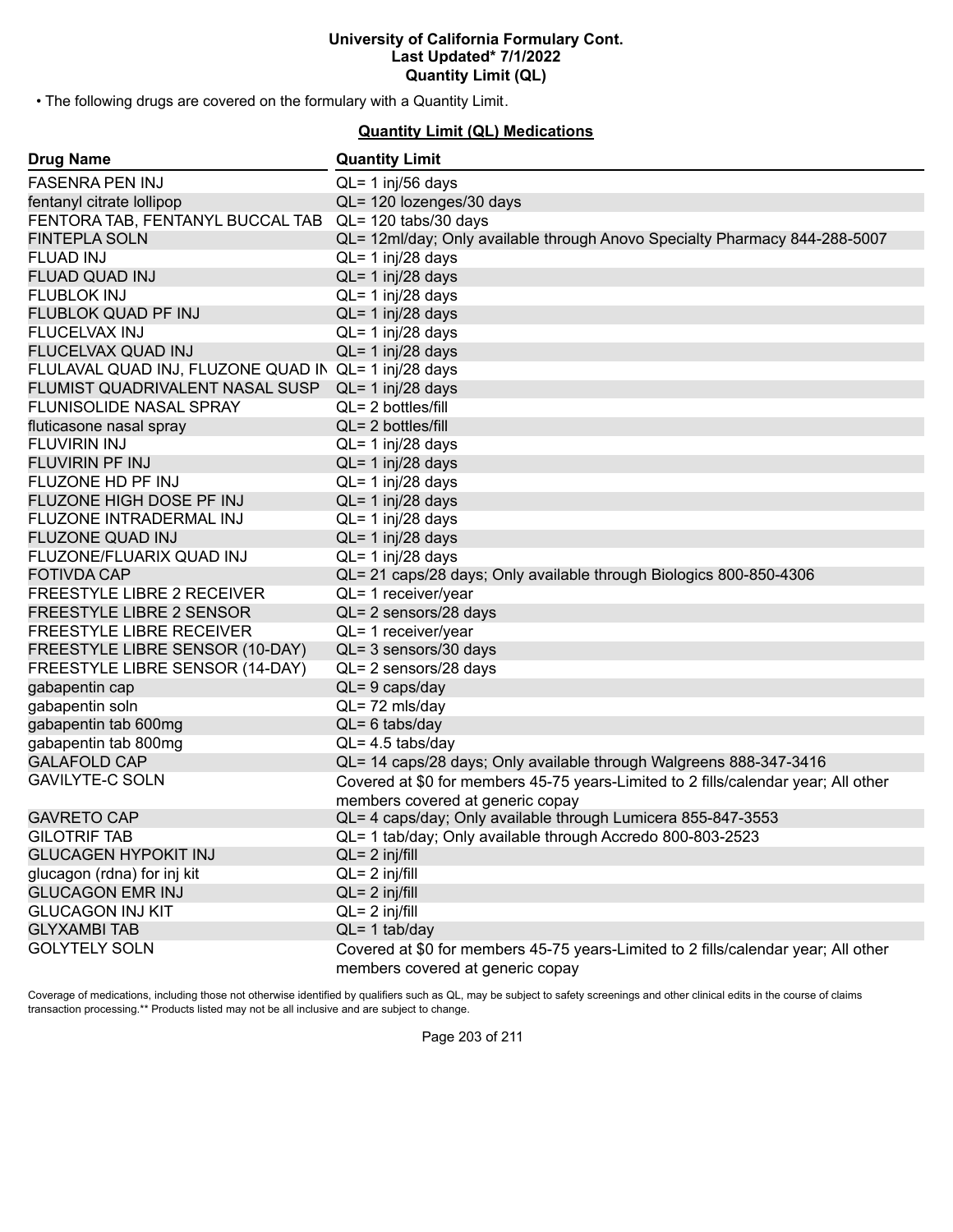• The following drugs are covered on the formulary with a Quantity Limit.

# **Quantity Limit (QL) Medications**

| <b>Drug Name</b>                                     | <b>Quantity Limit</b>                                                                                                  |
|------------------------------------------------------|------------------------------------------------------------------------------------------------------------------------|
| <b>FASENRA PEN INJ</b>                               | $QL = 1$ inj/56 days                                                                                                   |
| fentanyl citrate lollipop                            | QL= 120 lozenges/30 days                                                                                               |
| FENTORA TAB, FENTANYL BUCCAL TAB                     | QL= 120 tabs/30 days                                                                                                   |
| <b>FINTEPLA SOLN</b>                                 | QL= 12ml/day; Only available through Anovo Specialty Pharmacy 844-288-5007                                             |
| <b>FLUAD INJ</b>                                     | $QL = 1$ inj/28 days                                                                                                   |
| <b>FLUAD QUAD INJ</b>                                | $QL = 1$ inj/28 days                                                                                                   |
| <b>FLUBLOK INJ</b>                                   | $QL = 1$ inj/28 days                                                                                                   |
| FLUBLOK QUAD PF INJ                                  | $QL = 1$ inj/28 days                                                                                                   |
| <b>FLUCELVAX INJ</b>                                 | $QL = 1$ inj/28 days                                                                                                   |
| FLUCELVAX QUAD INJ                                   | $QL = 1$ inj/28 days                                                                                                   |
| FLULAVAL QUAD INJ, FLUZONE QUAD IN QL= 1 inj/28 days |                                                                                                                        |
| FLUMIST QUADRIVALENT NASAL SUSP                      | $QL = 1$ inj/28 days                                                                                                   |
| <b>FLUNISOLIDE NASAL SPRAY</b>                       | $QL = 2$ bottles/fill                                                                                                  |
| fluticasone nasal spray                              | $QL = 2$ bottles/fill                                                                                                  |
| <b>FLUVIRIN INJ</b>                                  | $QL = 1$ inj/28 days                                                                                                   |
| <b>FLUVIRIN PF INJ</b>                               | $QL = 1$ inj/28 days                                                                                                   |
| FLUZONE HD PF INJ                                    | $QL = 1$ inj/28 days                                                                                                   |
| FLUZONE HIGH DOSE PF INJ                             | $QL = 1$ inj/28 days                                                                                                   |
| FLUZONE INTRADERMAL INJ                              | $QL = 1$ inj/28 days                                                                                                   |
| <b>FLUZONE QUAD INJ</b>                              | $QL = 1$ inj/28 days                                                                                                   |
| FLUZONE/FLUARIX QUAD INJ                             | $QL = 1$ inj/28 days                                                                                                   |
| <b>FOTIVDA CAP</b>                                   | QL= 21 caps/28 days; Only available through Biologics 800-850-4306                                                     |
| FREESTYLE LIBRE 2 RECEIVER                           | QL= 1 receiver/year                                                                                                    |
| FREESTYLE LIBRE 2 SENSOR                             | QL= 2 sensors/28 days                                                                                                  |
| FREESTYLE LIBRE RECEIVER                             | QL= 1 receiver/year                                                                                                    |
| FREESTYLE LIBRE SENSOR (10-DAY)                      | QL= 3 sensors/30 days                                                                                                  |
| FREESTYLE LIBRE SENSOR (14-DAY)                      | QL= 2 sensors/28 days                                                                                                  |
| gabapentin cap                                       | $QL = 9$ caps/day                                                                                                      |
| gabapentin soln                                      | QL=72 mls/day                                                                                                          |
| gabapentin tab 600mg                                 | $QL = 6$ tabs/day                                                                                                      |
| gabapentin tab 800mg                                 | $QL = 4.5$ tabs/day                                                                                                    |
| <b>GALAFOLD CAP</b>                                  | QL= 14 caps/28 days; Only available through Walgreens 888-347-3416                                                     |
| <b>GAVILYTE-C SOLN</b>                               | Covered at \$0 for members 45-75 years-Limited to 2 fills/calendar year; All other<br>members covered at generic copay |
| <b>GAVRETO CAP</b>                                   | QL= 4 caps/day; Only available through Lumicera 855-847-3553                                                           |
| <b>GILOTRIF TAB</b>                                  | QL= 1 tab/day; Only available through Accredo 800-803-2523                                                             |
| <b>GLUCAGEN HYPOKIT INJ</b>                          | $QL = 2$ inj/fill                                                                                                      |
| glucagon (rdna) for inj kit                          | $QL = 2$ inj/fill                                                                                                      |
| <b>GLUCAGON EMR INJ</b>                              | $QL = 2$ inj/fill                                                                                                      |
| <b>GLUCAGON INJ KIT</b>                              | $QL = 2$ inj/fill                                                                                                      |
| <b>GLYXAMBI TAB</b>                                  | $QL = 1$ tab/day                                                                                                       |
| <b>GOLYTELY SOLN</b>                                 | Covered at \$0 for members 45-75 years-Limited to 2 fills/calendar year; All other                                     |
|                                                      | members covered at generic copay                                                                                       |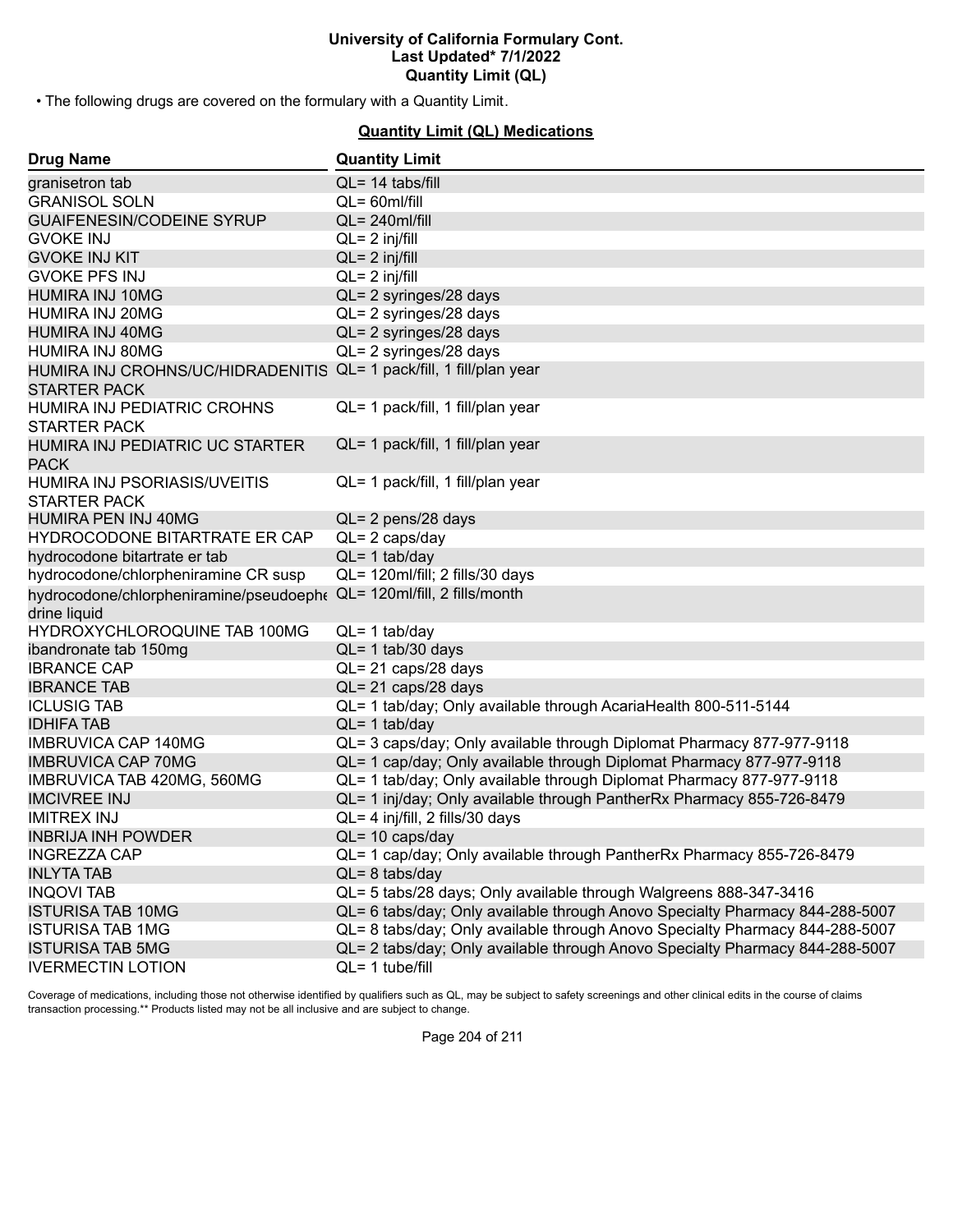• The following drugs are covered on the formulary with a Quantity Limit.

# **Quantity Limit (QL) Medications**

| <b>Drug Name</b>                                                                           | <b>Quantity Limit</b>                                                        |
|--------------------------------------------------------------------------------------------|------------------------------------------------------------------------------|
| granisetron tab                                                                            | $QL = 14$ tabs/fill                                                          |
| <b>GRANISOL SOLN</b>                                                                       | $QL = 60$ ml/fill                                                            |
| <b>GUAIFENESIN/CODEINE SYRUP</b>                                                           | $QL = 240$ ml/fill                                                           |
| <b>GVOKE INJ</b>                                                                           | $QL = 2$ inj/fill                                                            |
| <b>GVOKE INJ KIT</b>                                                                       | $QL = 2$ inj/fill                                                            |
| <b>GVOKE PFS INJ</b>                                                                       | $QL = 2$ inj/fill                                                            |
| <b>HUMIRA INJ 10MG</b>                                                                     | QL= 2 syringes/28 days                                                       |
| HUMIRA INJ 20MG                                                                            | QL= 2 syringes/28 days                                                       |
| <b>HUMIRA INJ 40MG</b>                                                                     | QL= 2 syringes/28 days                                                       |
| HUMIRA INJ 80MG                                                                            | QL= 2 syringes/28 days                                                       |
| HUMIRA INJ CROHNS/UC/HIDRADENITIS QL= 1 pack/fill, 1 fill/plan year<br><b>STARTER PACK</b> |                                                                              |
| HUMIRA INJ PEDIATRIC CROHNS<br><b>STARTER PACK</b>                                         | QL= 1 pack/fill, 1 fill/plan year                                            |
| HUMIRA INJ PEDIATRIC UC STARTER<br><b>PACK</b>                                             | QL= 1 pack/fill, 1 fill/plan year                                            |
| HUMIRA INJ PSORIASIS/UVEITIS<br><b>STARTER PACK</b>                                        | QL= 1 pack/fill, 1 fill/plan year                                            |
| HUMIRA PEN INJ 40MG                                                                        | QL= 2 pens/28 days                                                           |
| HYDROCODONE BITARTRATE ER CAP                                                              | $QL = 2 \text{ caps/day}$                                                    |
| hydrocodone bitartrate er tab                                                              | $QL = 1$ tab/day                                                             |
| hydrocodone/chlorpheniramine CR susp                                                       | QL= 120ml/fill; 2 fills/30 days                                              |
| hydrocodone/chlorpheniramine/pseudoeph( QL= 120ml/fill, 2 fills/month                      |                                                                              |
| drine liquid                                                                               |                                                                              |
| HYDROXYCHLOROQUINE TAB 100MG                                                               | $QL = 1$ tab/day                                                             |
| ibandronate tab 150mg                                                                      | $QL = 1$ tab/30 days                                                         |
| <b>IBRANCE CAP</b>                                                                         | QL= 21 caps/28 days                                                          |
| <b>IBRANCE TAB</b>                                                                         | QL= 21 caps/28 days                                                          |
| <b>ICLUSIG TAB</b>                                                                         | QL= 1 tab/day; Only available through AcariaHealth 800-511-5144              |
| <b>IDHIFA TAB</b>                                                                          | $QL = 1$ tab/day                                                             |
| <b>IMBRUVICA CAP 140MG</b>                                                                 | QL= 3 caps/day; Only available through Diplomat Pharmacy 877-977-9118        |
| <b>IMBRUVICA CAP 70MG</b>                                                                  | QL= 1 cap/day; Only available through Diplomat Pharmacy 877-977-9118         |
| IMBRUVICA TAB 420MG, 560MG                                                                 | QL= 1 tab/day; Only available through Diplomat Pharmacy 877-977-9118         |
| <b>IMCIVREE INJ</b>                                                                        | QL= 1 inj/day; Only available through PantherRx Pharmacy 855-726-8479        |
| <b>IMITREX INJ</b>                                                                         | QL= 4 inj/fill, 2 fills/30 days                                              |
| <b>INBRIJA INH POWDER</b>                                                                  | $QL = 10 \text{ caps/day}$                                                   |
| <b>INGREZZA CAP</b>                                                                        | QL= 1 cap/day; Only available through PantherRx Pharmacy 855-726-8479        |
| <b>INLYTA TAB</b>                                                                          | $QL = 8$ tabs/day                                                            |
| <b>INQOVI TAB</b>                                                                          | QL= 5 tabs/28 days; Only available through Walgreens 888-347-3416            |
| <b>ISTURISA TAB 10MG</b>                                                                   | QL= 6 tabs/day; Only available through Anovo Specialty Pharmacy 844-288-5007 |
| <b>ISTURISA TAB 1MG</b>                                                                    | QL= 8 tabs/day; Only available through Anovo Specialty Pharmacy 844-288-5007 |
| <b>ISTURISA TAB 5MG</b>                                                                    | QL= 2 tabs/day; Only available through Anovo Specialty Pharmacy 844-288-5007 |
| <b>IVERMECTIN LOTION</b>                                                                   | $QL = 1$ tube/fill                                                           |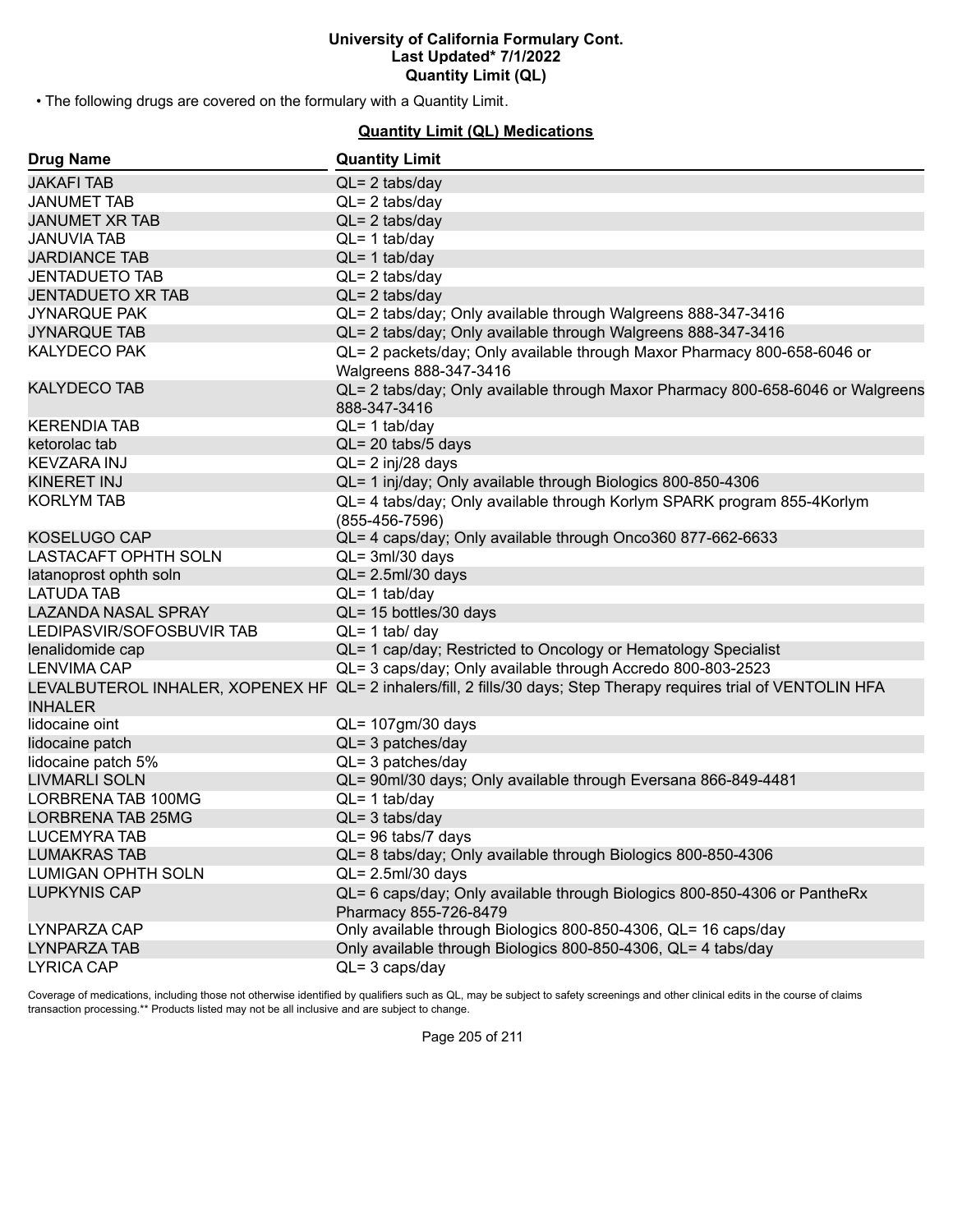• The following drugs are covered on the formulary with a Quantity Limit.

# **Quantity Limit (QL) Medications**

| <b>Drug Name</b>            | <b>Quantity Limit</b>                                                                                              |
|-----------------------------|--------------------------------------------------------------------------------------------------------------------|
| <b>JAKAFI TAB</b>           | $QL = 2$ tabs/day                                                                                                  |
| <b>JANUMET TAB</b>          | $QL = 2$ tabs/day                                                                                                  |
| <b>JANUMET XR TAB</b>       | $QL = 2$ tabs/day                                                                                                  |
| <b>JANUVIA TAB</b>          | $QL = 1$ tab/day                                                                                                   |
| <b>JARDIANCE TAB</b>        | $QL = 1$ tab/day                                                                                                   |
| <b>JENTADUETO TAB</b>       | $QL = 2$ tabs/day                                                                                                  |
| <b>JENTADUETO XR TAB</b>    | $QL = 2$ tabs/day                                                                                                  |
| <b>JYNARQUE PAK</b>         | QL= 2 tabs/day; Only available through Walgreens 888-347-3416                                                      |
| <b>JYNARQUE TAB</b>         | QL= 2 tabs/day; Only available through Walgreens 888-347-3416                                                      |
| <b>KALYDECO PAK</b>         | QL= 2 packets/day; Only available through Maxor Pharmacy 800-658-6046 or<br>Walgreens 888-347-3416                 |
| <b>KALYDECO TAB</b>         | QL= 2 tabs/day; Only available through Maxor Pharmacy 800-658-6046 or Walgreens<br>888-347-3416                    |
| <b>KERENDIA TAB</b>         | $QL = 1$ tab/day                                                                                                   |
| ketorolac tab               | QL= 20 tabs/5 days                                                                                                 |
| <b>KEVZARA INJ</b>          | QL= 2 inj/28 days                                                                                                  |
| KINERET INJ                 | QL= 1 inj/day; Only available through Biologics 800-850-4306                                                       |
| <b>KORLYM TAB</b>           | QL= 4 tabs/day; Only available through Korlym SPARK program 855-4Korlym<br>$(855-456-7596)$                        |
| <b>KOSELUGO CAP</b>         | QL= 4 caps/day; Only available through Onco360 877-662-6633                                                        |
| <b>LASTACAFT OPHTH SOLN</b> | $QL = 3ml/30$ days                                                                                                 |
| latanoprost ophth soln      | $QL = 2.5$ ml/30 days                                                                                              |
| <b>LATUDA TAB</b>           | $QL = 1$ tab/day                                                                                                   |
| <b>LAZANDA NASAL SPRAY</b>  | QL= 15 bottles/30 days                                                                                             |
| LEDIPASVIR/SOFOSBUVIR TAB   | $QL = 1$ tab/ day                                                                                                  |
| lenalidomide cap            | QL= 1 cap/day; Restricted to Oncology or Hematology Specialist                                                     |
| <b>LENVIMA CAP</b>          | QL= 3 caps/day; Only available through Accredo 800-803-2523                                                        |
| <b>INHALER</b>              | LEVALBUTEROL INHALER, XOPENEX HF QL= 2 inhalers/fill, 2 fills/30 days; Step Therapy requires trial of VENTOLIN HFA |
| lidocaine oint              | QL= 107gm/30 days                                                                                                  |
| lidocaine patch             | $QL = 3$ patches/day                                                                                               |
| lidocaine patch 5%          | $QL = 3$ patches/day                                                                                               |
| <b>LIVMARLI SOLN</b>        | QL= 90ml/30 days; Only available through Eversana 866-849-4481                                                     |
| LORBRENA TAB 100MG          | $QL = 1$ tab/day                                                                                                   |
| LORBRENA TAB 25MG           | $QL = 3$ tabs/day                                                                                                  |
| <b>LUCEMYRA TAB</b>         | QL= 96 tabs/7 days                                                                                                 |
| <b>LUMAKRAS TAB</b>         | QL= 8 tabs/day; Only available through Biologics 800-850-4306                                                      |
| <b>LUMIGAN OPHTH SOLN</b>   | $QL = 2.5$ ml/30 days                                                                                              |
| <b>LUPKYNIS CAP</b>         | QL= 6 caps/day; Only available through Biologics 800-850-4306 or PantheRx<br>Pharmacy 855-726-8479                 |
| LYNPARZA CAP                | Only available through Biologics 800-850-4306, QL= 16 caps/day                                                     |
| LYNPARZA TAB                | Only available through Biologics 800-850-4306, QL= 4 tabs/day                                                      |
| <b>LYRICA CAP</b>           | $QL = 3 \text{ caps/day}$                                                                                          |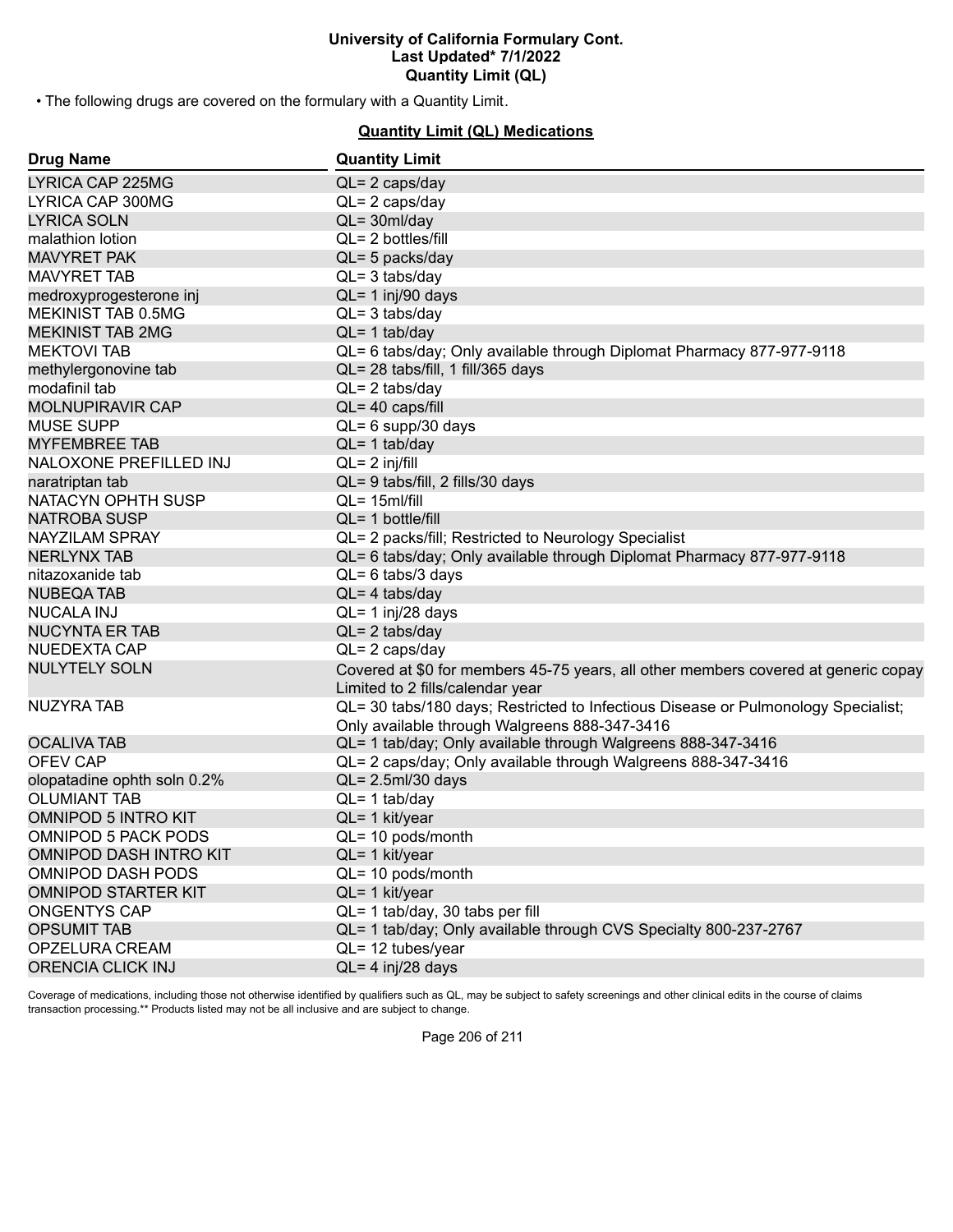• The following drugs are covered on the formulary with a Quantity Limit.

# **Quantity Limit (QL) Medications**

| <b>Drug Name</b>            | <b>Quantity Limit</b>                                                                                                              |
|-----------------------------|------------------------------------------------------------------------------------------------------------------------------------|
| LYRICA CAP 225MG            | $QL = 2 \text{ caps/day}$                                                                                                          |
| LYRICA CAP 300MG            | $QL = 2 \text{ caps/day}$                                                                                                          |
| <b>LYRICA SOLN</b>          | $QL = 30ml/day$                                                                                                                    |
| malathion lotion            | QL= 2 bottles/fill                                                                                                                 |
| <b>MAVYRET PAK</b>          | QL= 5 packs/day                                                                                                                    |
| <b>MAVYRET TAB</b>          | $QL = 3$ tabs/day                                                                                                                  |
| medroxyprogesterone inj     | $QL = 1$ inj/90 days                                                                                                               |
| MEKINIST TAB 0.5MG          | $QL = 3$ tabs/day                                                                                                                  |
| <b>MEKINIST TAB 2MG</b>     | $QL = 1$ tab/day                                                                                                                   |
| <b>MEKTOVI TAB</b>          | QL= 6 tabs/day; Only available through Diplomat Pharmacy 877-977-9118                                                              |
| methylergonovine tab        | QL= 28 tabs/fill, 1 fill/365 days                                                                                                  |
| modafinil tab               | $QL = 2$ tabs/day                                                                                                                  |
| <b>MOLNUPIRAVIR CAP</b>     | QL= 40 caps/fill                                                                                                                   |
| <b>MUSE SUPP</b>            | $QL = 6$ supp/30 days                                                                                                              |
| <b>MYFEMBREE TAB</b>        | $QL = 1$ tab/day                                                                                                                   |
| NALOXONE PREFILLED INJ      | $QL = 2$ inj/fill                                                                                                                  |
| naratriptan tab             | QL= 9 tabs/fill, 2 fills/30 days                                                                                                   |
| NATACYN OPHTH SUSP          | $QL = 15$ ml/fill                                                                                                                  |
| <b>NATROBA SUSP</b>         | $QL = 1$ bottle/fill                                                                                                               |
| NAYZILAM SPRAY              | QL= 2 packs/fill; Restricted to Neurology Specialist                                                                               |
| <b>NERLYNX TAB</b>          | QL= 6 tabs/day; Only available through Diplomat Pharmacy 877-977-9118                                                              |
| nitazoxanide tab            | $QL = 6$ tabs/3 days                                                                                                               |
| <b>NUBEQA TAB</b>           | $QL = 4$ tabs/day                                                                                                                  |
| <b>NUCALA INJ</b>           | $QL = 1$ inj/28 days                                                                                                               |
| <b>NUCYNTA ER TAB</b>       | $QL = 2$ tabs/day                                                                                                                  |
| NUEDEXTA CAP                | $QL = 2 \text{ caps/day}$                                                                                                          |
| <b>NULYTELY SOLN</b>        | Covered at \$0 for members 45-75 years, all other members covered at generic copay<br>Limited to 2 fills/calendar year             |
| <b>NUZYRA TAB</b>           | QL= 30 tabs/180 days; Restricted to Infectious Disease or Pulmonology Specialist;<br>Only available through Walgreens 888-347-3416 |
| <b>OCALIVA TAB</b>          | QL= 1 tab/day; Only available through Walgreens 888-347-3416                                                                       |
| <b>OFEV CAP</b>             | QL= 2 caps/day; Only available through Walgreens 888-347-3416                                                                      |
| olopatadine ophth soln 0.2% | $QL = 2.5$ ml/30 days                                                                                                              |
| <b>OLUMIANT TAB</b>         | $QL = 1$ tab/day                                                                                                                   |
| <b>OMNIPOD 5 INTRO KIT</b>  | QL= 1 kit/year                                                                                                                     |
| <b>OMNIPOD 5 PACK PODS</b>  | QL= 10 pods/month                                                                                                                  |
| OMNIPOD DASH INTRO KIT      | QL= 1 kit/year                                                                                                                     |
| <b>OMNIPOD DASH PODS</b>    | QL= 10 pods/month                                                                                                                  |
| <b>OMNIPOD STARTER KIT</b>  | QL= 1 kit/year                                                                                                                     |
| <b>ONGENTYS CAP</b>         | QL= 1 tab/day, 30 tabs per fill                                                                                                    |
| <b>OPSUMIT TAB</b>          | QL= 1 tab/day; Only available through CVS Specialty 800-237-2767                                                                   |
| OPZELURA CREAM              | QL= 12 tubes/year                                                                                                                  |
| <b>ORENCIA CLICK INJ</b>    | QL= 4 inj/28 days                                                                                                                  |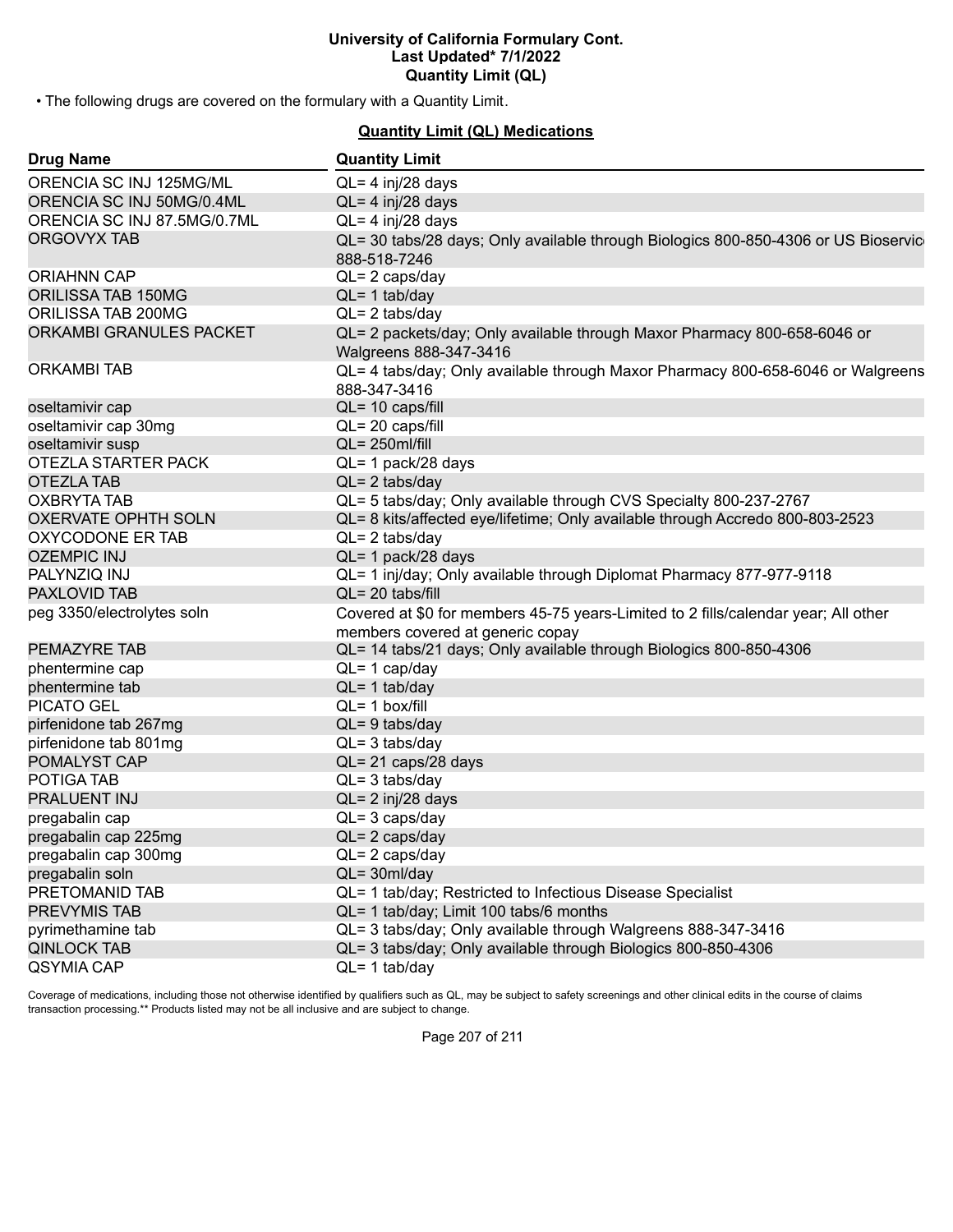• The following drugs are covered on the formulary with a Quantity Limit.

**Quantity Limit (QL) Medications**

| <b>Drug Name</b>            | <b>Quantity Limit</b>                                                                                                  |
|-----------------------------|------------------------------------------------------------------------------------------------------------------------|
| ORENCIA SC INJ 125MG/ML     | QL= 4 inj/28 days                                                                                                      |
| ORENCIA SC INJ 50MG/0.4ML   | $QL = 4$ inj/28 days                                                                                                   |
| ORENCIA SC INJ 87.5MG/0.7ML | $QL = 4$ inj/28 days                                                                                                   |
| <b>ORGOVYX TAB</b>          | QL= 30 tabs/28 days; Only available through Biologics 800-850-4306 or US Bioservic<br>888-518-7246                     |
| <b>ORIAHNN CAP</b>          | $QL = 2 \text{ caps/day}$                                                                                              |
| ORILISSA TAB 150MG          | $QL = 1$ tab/day                                                                                                       |
| ORILISSA TAB 200MG          | $QL = 2$ tabs/day                                                                                                      |
| ORKAMBI GRANULES PACKET     | QL= 2 packets/day; Only available through Maxor Pharmacy 800-658-6046 or<br>Walgreens 888-347-3416                     |
| <b>ORKAMBITAB</b>           | QL= 4 tabs/day; Only available through Maxor Pharmacy 800-658-6046 or Walgreens<br>888-347-3416                        |
| oseltamivir cap             | QL= 10 caps/fill                                                                                                       |
| oseltamivir cap 30mg        | QL= 20 caps/fill                                                                                                       |
| oseltamivir susp            | QL= 250ml/fill                                                                                                         |
| OTEZLA STARTER PACK         | QL= 1 pack/28 days                                                                                                     |
| <b>OTEZLA TAB</b>           | $QL = 2$ tabs/day                                                                                                      |
| <b>OXBRYTA TAB</b>          | QL= 5 tabs/day; Only available through CVS Specialty 800-237-2767                                                      |
| <b>OXERVATE OPHTH SOLN</b>  | QL= 8 kits/affected eye/lifetime; Only available through Accredo 800-803-2523                                          |
| OXYCODONE ER TAB            | $QL = 2$ tabs/day                                                                                                      |
| <b>OZEMPIC INJ</b>          | QL= 1 pack/28 days                                                                                                     |
| PALYNZIQ INJ                | QL= 1 inj/day; Only available through Diplomat Pharmacy 877-977-9118                                                   |
| <b>PAXLOVID TAB</b>         | $QL = 20$ tabs/fill                                                                                                    |
| peg 3350/electrolytes soln  | Covered at \$0 for members 45-75 years-Limited to 2 fills/calendar year; All other<br>members covered at generic copay |
| <b>PEMAZYRE TAB</b>         | QL= 14 tabs/21 days; Only available through Biologics 800-850-4306                                                     |
| phentermine cap             | $QL = 1$ cap/day                                                                                                       |
| phentermine tab             | $QL = 1$ tab/day                                                                                                       |
| <b>PICATO GEL</b>           | $QL = 1$ box/fill                                                                                                      |
| pirfenidone tab 267mg       | $QL = 9$ tabs/day                                                                                                      |
| pirfenidone tab 801mg       | $QL = 3$ tabs/day                                                                                                      |
| POMALYST CAP                | QL= 21 caps/28 days                                                                                                    |
| POTIGA TAB                  | $QL = 3$ tabs/day                                                                                                      |
| PRALUENT INJ                | $QL = 2$ inj/28 days                                                                                                   |
| pregabalin cap              | $QL = 3 \text{ caps/day}$                                                                                              |
| pregabalin cap 225mg        | $QL = 2 \text{ caps/day}$                                                                                              |
| pregabalin cap 300mg        | $QL = 2 \text{ caps/day}$                                                                                              |
| pregabalin soln             | $QL = 30ml/day$                                                                                                        |
| PRETOMANID TAB              | QL= 1 tab/day; Restricted to Infectious Disease Specialist                                                             |
| <b>PREVYMIS TAB</b>         | QL= 1 tab/day; Limit 100 tabs/6 months                                                                                 |
| pyrimethamine tab           | QL= 3 tabs/day; Only available through Walgreens 888-347-3416                                                          |
| <b>QINLOCK TAB</b>          | QL= 3 tabs/day; Only available through Biologics 800-850-4306                                                          |
| QSYMIA CAP                  | $QL = 1$ tab/day                                                                                                       |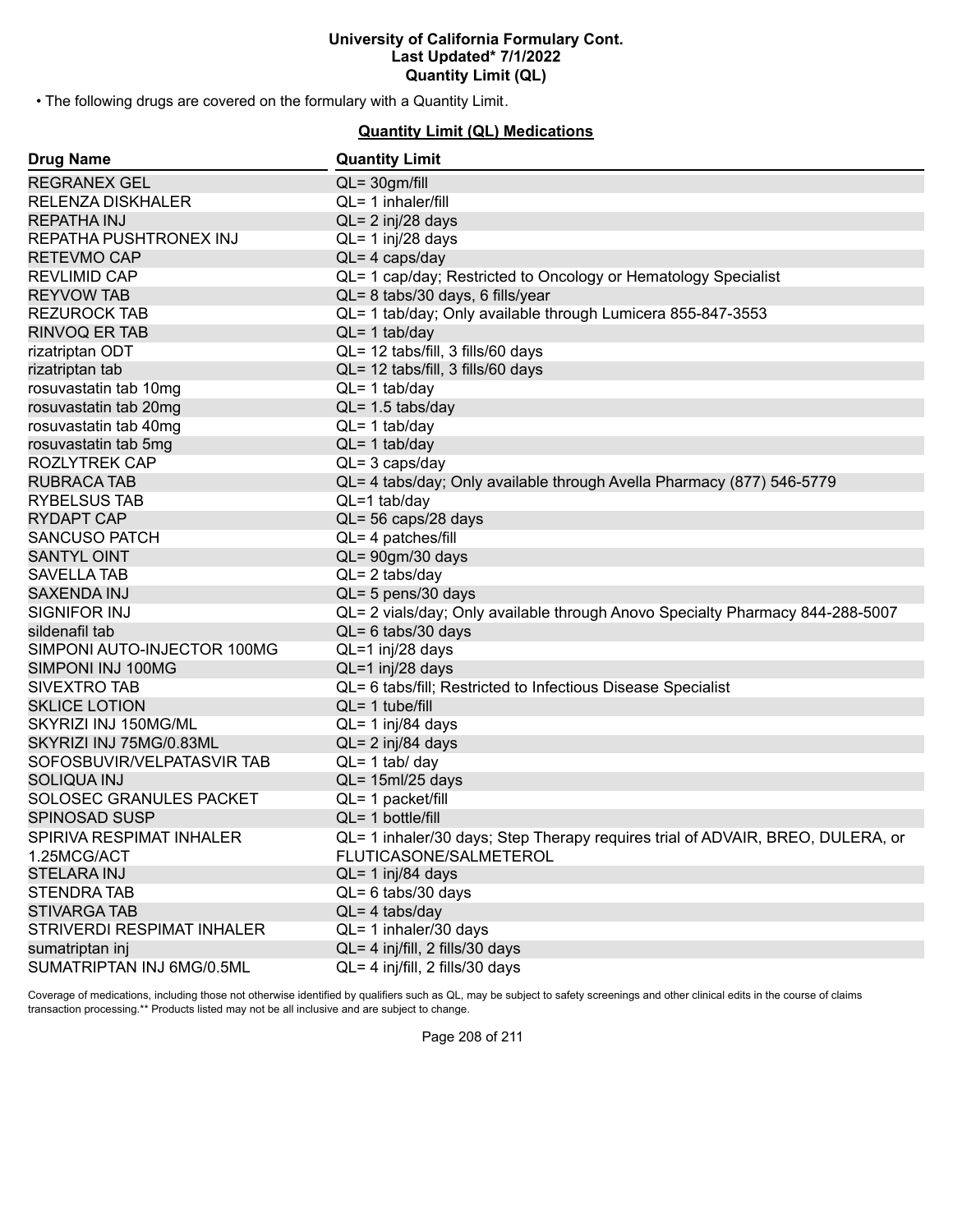• The following drugs are covered on the formulary with a Quantity Limit.

# **Quantity Limit (QL) Medications**

| <b>Drug Name</b>            | <b>Quantity Limit</b>                                                          |
|-----------------------------|--------------------------------------------------------------------------------|
| <b>REGRANEX GEL</b>         | $QL = 30gm/fill$                                                               |
| <b>RELENZA DISKHALER</b>    | QL= 1 inhaler/fill                                                             |
| <b>REPATHA INJ</b>          | $QL = 2$ inj/28 days                                                           |
| REPATHA PUSHTRONEX INJ      | QL= 1 inj/28 days                                                              |
| <b>RETEVMO CAP</b>          | $QL = 4$ caps/day                                                              |
| <b>REVLIMID CAP</b>         | QL= 1 cap/day; Restricted to Oncology or Hematology Specialist                 |
| <b>REYVOW TAB</b>           | QL= 8 tabs/30 days, 6 fills/year                                               |
| <b>REZUROCK TAB</b>         | QL= 1 tab/day; Only available through Lumicera 855-847-3553                    |
| <b>RINVOQ ER TAB</b>        | $QL = 1$ tab/day                                                               |
| rizatriptan ODT             | QL= 12 tabs/fill, 3 fills/60 days                                              |
| rizatriptan tab             | QL= 12 tabs/fill, 3 fills/60 days                                              |
| rosuvastatin tab 10mg       | $QL = 1$ tab/day                                                               |
| rosuvastatin tab 20mg       | QL= 1.5 tabs/day                                                               |
| rosuvastatin tab 40mg       | $QL = 1$ tab/day                                                               |
| rosuvastatin tab 5mg        | $QL = 1$ tab/day                                                               |
| <b>ROZLYTREK CAP</b>        | $QL = 3 \text{ caps/day}$                                                      |
| <b>RUBRACA TAB</b>          | QL= 4 tabs/day; Only available through Avella Pharmacy (877) 546-5779          |
| <b>RYBELSUS TAB</b>         | $QL=1$ tab/day                                                                 |
| <b>RYDAPT CAP</b>           | QL= 56 caps/28 days                                                            |
| <b>SANCUSO PATCH</b>        | QL= 4 patches/fill                                                             |
| <b>SANTYL OINT</b>          | QL= 90gm/30 days                                                               |
| <b>SAVELLA TAB</b>          | $QL = 2$ tabs/day                                                              |
| <b>SAXENDA INJ</b>          | QL= 5 pens/30 days                                                             |
| SIGNIFOR INJ                | QL= 2 vials/day; Only available through Anovo Specialty Pharmacy 844-288-5007  |
| sildenafil tab              | $QL = 6$ tabs/30 days                                                          |
| SIMPONI AUTO-INJECTOR 100MG | QL=1 inj/28 days                                                               |
| SIMPONI INJ 100MG           | QL=1 inj/28 days                                                               |
| SIVEXTRO TAB                | QL= 6 tabs/fill; Restricted to Infectious Disease Specialist                   |
| <b>SKLICE LOTION</b>        | $QL = 1$ tube/fill                                                             |
| SKYRIZI INJ 150MG/ML        | QL= 1 inj/84 days                                                              |
| SKYRIZI INJ 75MG/0.83ML     | QL= 2 inj/84 days                                                              |
| SOFOSBUVIR/VELPATASVIR TAB  | $QL = 1$ tab/ day                                                              |
| <b>SOLIQUA INJ</b>          | $QL = 15ml/25 days$                                                            |
| SOLOSEC GRANULES PACKET     | QL= 1 packet/fill                                                              |
| <b>SPINOSAD SUSP</b>        | $QL = 1$ bottle/fill                                                           |
| SPIRIVA RESPIMAT INHALER    | QL= 1 inhaler/30 days; Step Therapy requires trial of ADVAIR, BREO, DULERA, or |
| 1.25MCG/ACT                 | FLUTICASONE/SALMETEROL                                                         |
| <b>STELARA INJ</b>          | QL= 1 inj/84 days                                                              |
| <b>STENDRATAB</b>           | $QL = 6$ tabs/30 days                                                          |
| <b>STIVARGA TAB</b>         | $QL = 4$ tabs/day                                                              |
| STRIVERDI RESPIMAT INHALER  | QL= 1 inhaler/30 days                                                          |
| sumatriptan inj             | QL= 4 inj/fill, 2 fills/30 days                                                |
| SUMATRIPTAN INJ 6MG/0.5ML   | QL= 4 inj/fill, 2 fills/30 days                                                |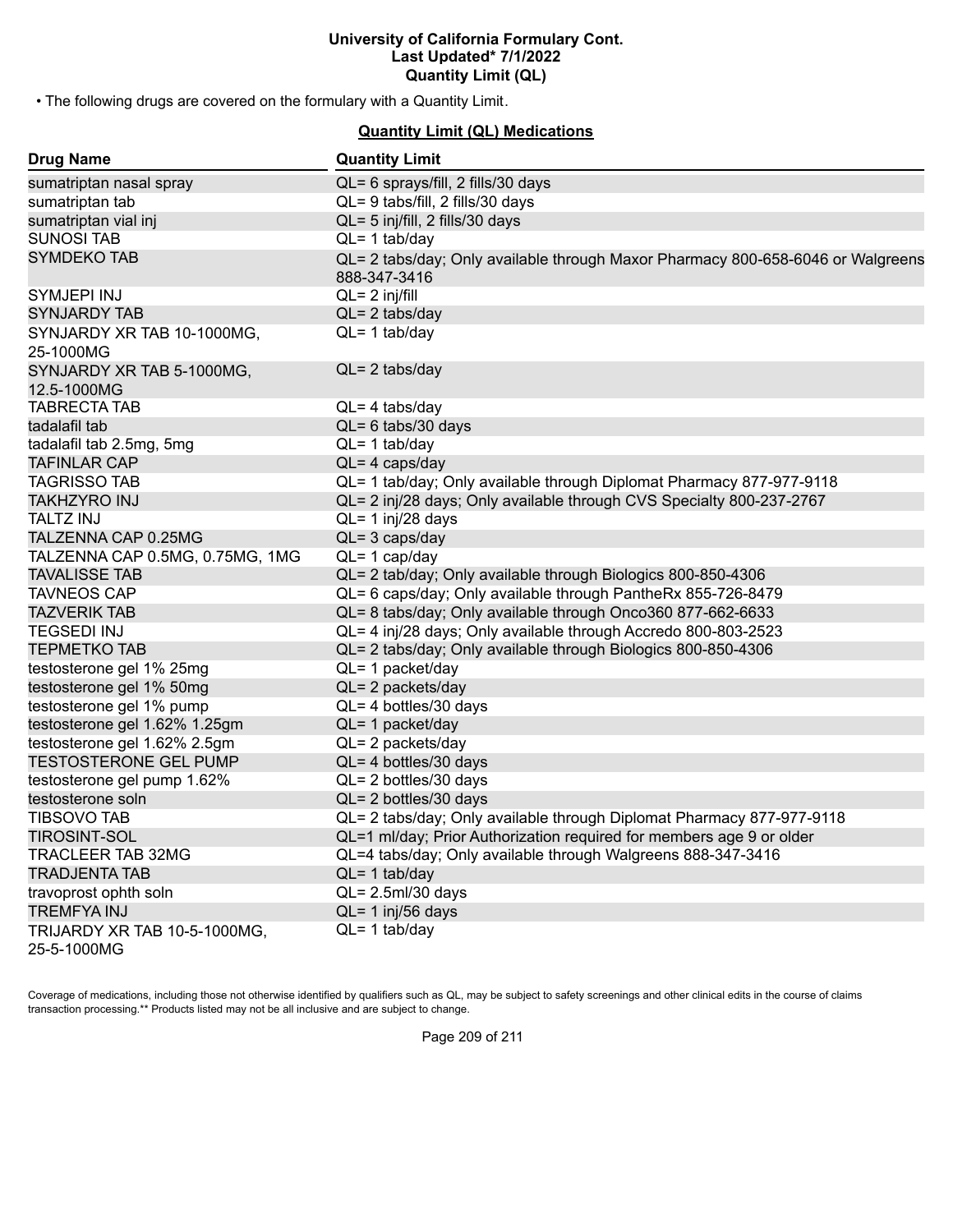• The following drugs are covered on the formulary with a Quantity Limit.

# **Quantity Limit (QL) Medications**

| <b>Drug Name</b>                            | <b>Quantity Limit</b>                                                                           |
|---------------------------------------------|-------------------------------------------------------------------------------------------------|
| sumatriptan nasal spray                     | QL= 6 sprays/fill, 2 fills/30 days                                                              |
| sumatriptan tab                             | QL= 9 tabs/fill, 2 fills/30 days                                                                |
| sumatriptan vial inj                        | QL= 5 inj/fill, 2 fills/30 days                                                                 |
| <b>SUNOSI TAB</b>                           | $QL = 1$ tab/day                                                                                |
| <b>SYMDEKO TAB</b>                          | QL= 2 tabs/day; Only available through Maxor Pharmacy 800-658-6046 or Walgreens<br>888-347-3416 |
| SYMJEPI INJ                                 | $QL = 2$ inj/fill                                                                               |
| <b>SYNJARDY TAB</b>                         | $QL = 2$ tabs/day                                                                               |
| SYNJARDY XR TAB 10-1000MG,<br>25-1000MG     | $QL = 1$ tab/day                                                                                |
| SYNJARDY XR TAB 5-1000MG,<br>12.5-1000MG    | $QL = 2$ tabs/day                                                                               |
| <b>TABRECTA TAB</b>                         | $QL = 4$ tabs/day                                                                               |
| tadalafil tab                               | $QL = 6$ tabs/30 days                                                                           |
| tadalafil tab 2.5mg, 5mg                    | $QL = 1$ tab/day                                                                                |
| <b>TAFINLAR CAP</b>                         | $QL = 4 \text{ caps/day}$                                                                       |
| TAGRISSO TAB                                | QL= 1 tab/day; Only available through Diplomat Pharmacy 877-977-9118                            |
| <b>TAKHZYRO INJ</b>                         | QL= 2 inj/28 days; Only available through CVS Specialty 800-237-2767                            |
| <b>TALTZ INJ</b>                            | $QL = 1$ inj/28 days                                                                            |
| TALZENNA CAP 0.25MG                         | $QL = 3 \text{ caps/day}$                                                                       |
| TALZENNA CAP 0.5MG, 0.75MG, 1MG             | $QL = 1$ cap/day                                                                                |
| <b>TAVALISSE TAB</b>                        | QL= 2 tab/day; Only available through Biologics 800-850-4306                                    |
| <b>TAVNEOS CAP</b>                          | QL= 6 caps/day; Only available through PantheRx 855-726-8479                                    |
| <b>TAZVERIK TAB</b>                         | QL= 8 tabs/day; Only available through Onco360 877-662-6633                                     |
| <b>TEGSEDI INJ</b>                          | QL= 4 inj/28 days; Only available through Accredo 800-803-2523                                  |
| <b>TEPMETKO TAB</b>                         | QL= 2 tabs/day; Only available through Biologics 800-850-4306                                   |
| testosterone gel 1% 25mg                    | QL= 1 packet/day                                                                                |
| testosterone gel 1% 50mg                    | QL= 2 packets/day                                                                               |
| testosterone gel 1% pump                    | QL= 4 bottles/30 days                                                                           |
| testosterone gel 1.62% 1.25gm               | $QL = 1$ packet/day                                                                             |
| testosterone gel 1.62% 2.5gm                | QL= 2 packets/day                                                                               |
| <b>TESTOSTERONE GEL PUMP</b>                | QL= 4 bottles/30 days                                                                           |
| testosterone gel pump 1.62%                 | QL= 2 bottles/30 days                                                                           |
| testosterone soln                           | QL= 2 bottles/30 days                                                                           |
| TIBSOVO TAB                                 | QL= 2 tabs/day; Only available through Diplomat Pharmacy 877-977-9118                           |
| <b>TIROSINT-SOL</b>                         | QL=1 ml/day; Prior Authorization required for members age 9 or older                            |
| TRACLEER TAB 32MG                           | QL=4 tabs/day; Only available through Walgreens 888-347-3416                                    |
| <b>TRADJENTA TAB</b>                        | $QL = 1$ tab/day                                                                                |
| travoprost ophth soln                       | QL= 2.5ml/30 days                                                                               |
| <b>TREMFYA INJ</b>                          | $QL = 1$ inj/56 days                                                                            |
| TRIJARDY XR TAB 10-5-1000MG,<br>25-5-1000MG | $QL = 1$ tab/day                                                                                |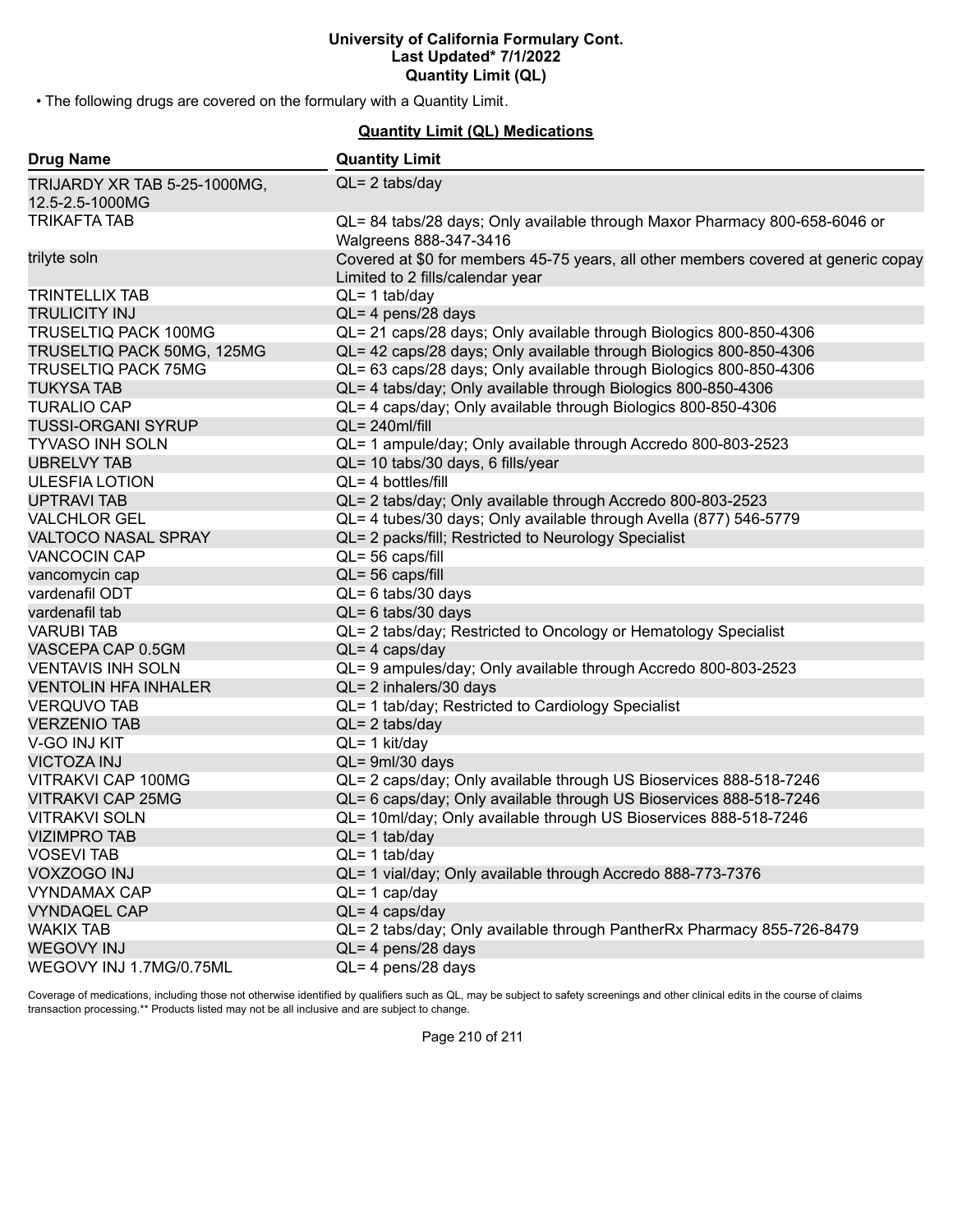• The following drugs are covered on the formulary with a Quantity Limit.

# **Quantity Limit (QL) Medications**

| <b>Drug Name</b>                                | <b>Quantity Limit</b>                                                                                                  |
|-------------------------------------------------|------------------------------------------------------------------------------------------------------------------------|
| TRIJARDY XR TAB 5-25-1000MG,<br>12.5-2.5-1000MG | $QL = 2$ tabs/day                                                                                                      |
| <b>TRIKAFTA TAB</b>                             | QL= 84 tabs/28 days; Only available through Maxor Pharmacy 800-658-6046 or<br>Walgreens 888-347-3416                   |
| trilyte soln                                    | Covered at \$0 for members 45-75 years, all other members covered at generic copay<br>Limited to 2 fills/calendar year |
| <b>TRINTELLIX TAB</b>                           | $QL = 1$ tab/day                                                                                                       |
| <b>TRULICITY INJ</b>                            | QL= 4 pens/28 days                                                                                                     |
| TRUSELTIQ PACK 100MG                            | QL= 21 caps/28 days; Only available through Biologics 800-850-4306                                                     |
| TRUSELTIQ PACK 50MG, 125MG                      | QL= 42 caps/28 days; Only available through Biologics 800-850-4306                                                     |
| <b>TRUSELTIQ PACK 75MG</b>                      | QL= 63 caps/28 days; Only available through Biologics 800-850-4306                                                     |
| <b>TUKYSA TAB</b>                               | QL= 4 tabs/day; Only available through Biologics 800-850-4306                                                          |
| <b>TURALIO CAP</b>                              | QL= 4 caps/day; Only available through Biologics 800-850-4306                                                          |
| <b>TUSSI-ORGANI SYRUP</b>                       | $QL = 240$ ml/fill                                                                                                     |
| <b>TYVASO INH SOLN</b>                          | QL= 1 ampule/day; Only available through Accredo 800-803-2523                                                          |
| <b>UBRELVY TAB</b>                              | QL= 10 tabs/30 days, 6 fills/year                                                                                      |
| <b>ULESFIA LOTION</b>                           | $QL = 4$ bottles/fill                                                                                                  |
| <b>UPTRAVI TAB</b>                              | QL= 2 tabs/day; Only available through Accredo 800-803-2523                                                            |
| <b>VALCHLOR GEL</b>                             | QL= 4 tubes/30 days; Only available through Avella (877) 546-5779                                                      |
| <b>VALTOCO NASAL SPRAY</b>                      | QL= 2 packs/fill; Restricted to Neurology Specialist                                                                   |
| <b>VANCOCIN CAP</b>                             | QL= 56 caps/fill                                                                                                       |
| vancomycin cap                                  | QL= 56 caps/fill                                                                                                       |
| vardenafil ODT                                  | $QL = 6$ tabs/30 days                                                                                                  |
| vardenafil tab                                  | $QL = 6$ tabs/30 days                                                                                                  |
| <b>VARUBI TAB</b>                               | QL= 2 tabs/day; Restricted to Oncology or Hematology Specialist                                                        |
| VASCEPA CAP 0.5GM                               | $QL = 4 \text{ caps/day}$                                                                                              |
| <b>VENTAVIS INH SOLN</b>                        | QL= 9 ampules/day; Only available through Accredo 800-803-2523                                                         |
| <b>VENTOLIN HFA INHALER</b>                     | QL= 2 inhalers/30 days                                                                                                 |
| <b>VERQUVO TAB</b>                              | QL= 1 tab/day; Restricted to Cardiology Specialist                                                                     |
| <b>VERZENIO TAB</b>                             | $QL = 2$ tabs/day                                                                                                      |
| V-GO INJ KIT                                    | QL= 1 kit/day                                                                                                          |
| <b>VICTOZA INJ</b>                              | $QL = 9ml/30 days$                                                                                                     |
| VITRAKVI CAP 100MG                              | QL= 2 caps/day; Only available through US Bioservices 888-518-7246                                                     |
| <b>VITRAKVI CAP 25MG</b>                        | QL= 6 caps/day; Only available through US Bioservices 888-518-7246                                                     |
| <b>VITRAKVI SOLN</b>                            | QL= 10ml/day; Only available through US Bioservices 888-518-7246                                                       |
| <b>VIZIMPRO TAB</b>                             | $QL = 1$ tab/day                                                                                                       |
| <b>VOSEVI TAB</b>                               | $QL = 1$ tab/day                                                                                                       |
| <b>VOXZOGO INJ</b>                              | QL= 1 vial/day; Only available through Accredo 888-773-7376                                                            |
| <b>VYNDAMAX CAP</b>                             | $QL = 1$ cap/day                                                                                                       |
| <b>VYNDAQEL CAP</b>                             | $QL = 4 \text{ caps/day}$                                                                                              |
| <b>WAKIX TAB</b>                                | QL= 2 tabs/day; Only available through PantherRx Pharmacy 855-726-8479                                                 |
| <b>WEGOVY INJ</b>                               | $QL = 4$ pens/28 days                                                                                                  |
| WEGOVY INJ 1.7MG/0.75ML                         | $QL = 4$ pens/28 days                                                                                                  |